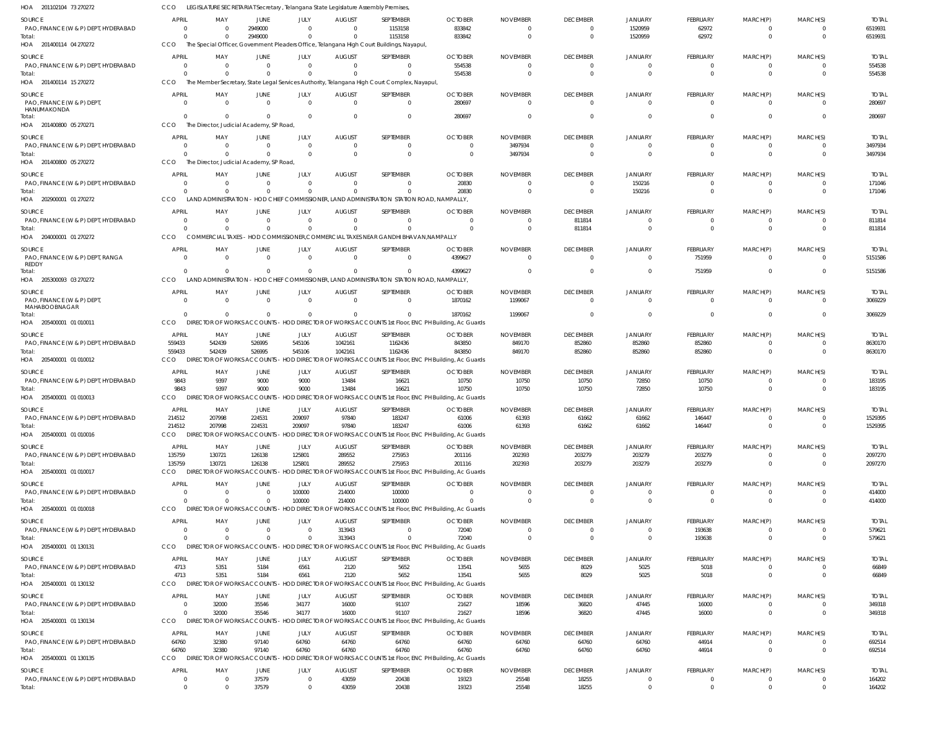| HOA 201102104 73 270272                        | CCO                            |                                          |                                |                                | LEGISLATURE SECRETARIAT Secretary, Telangana State Legislature Assembly Premises, |                                                                                                       |                                                                                                            |                                   |                                   |                                  |                      |                                  |                               |                         |
|------------------------------------------------|--------------------------------|------------------------------------------|--------------------------------|--------------------------------|-----------------------------------------------------------------------------------|-------------------------------------------------------------------------------------------------------|------------------------------------------------------------------------------------------------------------|-----------------------------------|-----------------------------------|----------------------------------|----------------------|----------------------------------|-------------------------------|-------------------------|
| <b>SOURCE</b>                                  | <b>APRIL</b>                   | MAY                                      | JUNE                           | JULY                           | <b>AUGUST</b>                                                                     | SEPTEMBER                                                                                             | <b>OCTOBER</b>                                                                                             | <b>NOVEMBER</b>                   | <b>DECEMBER</b>                   | <b>JANUARY</b>                   | <b>FEBRUARY</b>      | MARCH(P)                         | MARCH(S)                      | <b>TOTAL</b>            |
| PAO, FINANCE (W & P) DEPT, HYDERABAD           | $\overline{\mathbf{0}}$        | $\Omega$                                 | 2949000                        | $\Omega$                       | $\Omega$                                                                          | 1153158                                                                                               | 833842                                                                                                     | $\Omega$                          | $\overline{0}$                    | 1520959                          | 62972                | $\Omega$                         | $\overline{0}$                | 6519931                 |
| Total:<br>HOA 201400114 04 270272              | $\Omega$<br>CCO                | $\Omega$                                 | 2949000                        | $\Omega$                       | $\Omega$                                                                          | 1153158<br>The Special Officer, Government Pleaders Office, Telangana High Court Buildings, Nayapul,  | 833842                                                                                                     | $\Omega$                          | $\mathbf{0}$                      | 1520959                          | 62972                | $\Omega$                         | $\Omega$                      | 6519931                 |
|                                                |                                |                                          |                                |                                |                                                                                   |                                                                                                       |                                                                                                            |                                   |                                   |                                  |                      |                                  |                               |                         |
| <b>SOURCE</b>                                  | <b>APRIL</b><br>$\Omega$       | MAY                                      | JUNE<br>$\Omega$               | JULY<br>$\mathbf{0}$           | <b>AUGUST</b><br>$\Omega$                                                         | SEPTEMBER<br>$\overline{0}$                                                                           | <b>OCTOBER</b>                                                                                             | <b>NOVEMBER</b><br>$\overline{0}$ | <b>DECEMBER</b><br>$\overline{0}$ | <b>JANUARY</b>                   | FEBRUARY<br>$\Omega$ | MARCH(P)<br>$\overline{0}$       | MARCH(S)                      | <b>TOTAL</b><br>554538  |
| PAO, FINANCE (W & P) DEPT, HYDERABAD<br>Total: | - 0                            |                                          | $\Omega$                       | $\Omega$                       | $\Omega$                                                                          | $\Omega$                                                                                              | 554538<br>554538                                                                                           | $\Omega$                          | $\overline{0}$                    | $\overline{0}$<br>$\overline{0}$ | $\Omega$             | $\Omega$                         | $\overline{0}$<br>$\Omega$    | 554538                  |
| HOA 201400114 15 270272                        | CCO                            |                                          |                                |                                |                                                                                   | The Member Secretary, State Legal Services Authority, Telangana High Court Complex, Nayapul           |                                                                                                            |                                   |                                   |                                  |                      |                                  |                               |                         |
| SOURCE                                         | <b>APRIL</b>                   | MAY                                      | JUNE                           | JULY                           | <b>AUGUST</b>                                                                     | SEPTEMBER                                                                                             | <b>OCTOBER</b>                                                                                             | <b>NOVEMBER</b>                   | <b>DECEMBER</b>                   | JANUARY                          | <b>FEBRUARY</b>      | MARCH(P)                         | MARCH(S)                      | <b>TOTAL</b>            |
| PAO, FINANCE (W & P) DEPT                      | $\Omega$                       | $\Omega$                                 | $\mathbf{0}$                   | $\Omega$                       | $\Omega$                                                                          | $\overline{0}$                                                                                        | 280697                                                                                                     | $\Omega$                          | $\overline{0}$                    | $\Omega$                         | $\Omega$             | $\Omega$                         | $\Omega$                      | 280697                  |
| HANUMAKONDA                                    | $\Omega$                       | $\Omega$                                 | $\Omega$                       | $\Omega$                       | $\Omega$                                                                          | $\overline{0}$                                                                                        | 280697                                                                                                     | $\Omega$                          | $\overline{0}$                    | $\overline{0}$                   | $\Omega$             | $\overline{0}$                   | $\overline{0}$                | 280697                  |
| Total:<br>HOA 201400800 05 270271              | CCO                            | The Director, Judicial Academy, SP Road, |                                |                                |                                                                                   |                                                                                                       |                                                                                                            |                                   |                                   |                                  |                      |                                  |                               |                         |
| SOURCE                                         | <b>APRIL</b>                   | MAY                                      | JUNE                           | JULY                           | <b>AUGUST</b>                                                                     | SEPTEMBER                                                                                             | <b>OCTOBER</b>                                                                                             | <b>NOVEMBER</b>                   | <b>DECEMBER</b>                   | <b>JANUARY</b>                   | <b>FEBRUARY</b>      | MARCH(P)                         | MARCH(S)                      | <b>TOTAL</b>            |
| PAO, FINANCE (W & P) DEPT, HYDERABAD           | - 0                            | -0                                       | $\Omega$                       | $\mathbf{0}$                   | $\Omega$                                                                          | $\mathbf 0$                                                                                           | $\overline{0}$                                                                                             | 3497934                           | $\overline{0}$                    | $\mathbf{0}$                     | - 0                  | $\Omega$                         | $\overline{0}$                | 3497934                 |
| Total:                                         | $\Omega$                       |                                          | $\Omega$                       | $\Omega$                       | $\Omega$                                                                          | $\overline{0}$                                                                                        | $\overline{0}$                                                                                             | 3497934                           | $\overline{0}$                    | $\Omega$                         | $\overline{0}$       | $\Omega$                         | $\overline{0}$                | 3497934                 |
| HOA 201400800 05 270272                        | CCO                            | The Director, Judicial Academy, SP Road, |                                |                                |                                                                                   |                                                                                                       |                                                                                                            |                                   |                                   |                                  |                      |                                  |                               |                         |
| SOURCE                                         | <b>APRIL</b>                   | MAY                                      | JUNE                           | JULY                           | <b>AUGUST</b>                                                                     | SEPTEMBER                                                                                             | <b>OCTOBER</b>                                                                                             | <b>NOVEMBER</b>                   | <b>DECEMBER</b>                   | <b>JANUARY</b>                   | FEBRUARY             | MARCH(P)                         | MARCH(S)                      | <b>TOTAL</b>            |
| PAO, FINANCE (W & P) DEPT, HYDERABAD           | $\Omega$                       | $\Omega$                                 | $\Omega$                       | $\Omega$                       | $\Omega$                                                                          | $^{\circ}$                                                                                            | 20830                                                                                                      | $\Omega$                          | $\overline{0}$                    | 150216                           | $\Omega$             | $\Omega$                         | $\mathbf{0}$                  | 171046                  |
| Total:<br>HOA 202900001 01 270272              | $\Omega$<br>CCO                | $\Omega$                                 | $\Omega$                       | $\Omega$                       | $\Omega$                                                                          | $\Omega$<br>LAND ADMINISTRATION - HOD CHIEF COMMISSIONER, LAND ADMINISTRATION STATION ROAD, NAMPALLY, | 20830                                                                                                      | $\Omega$                          | $\overline{0}$                    | 150216                           | $\Omega$             | $\Omega$                         | $\Omega$                      | 171046                  |
|                                                |                                |                                          |                                |                                |                                                                                   |                                                                                                       |                                                                                                            |                                   |                                   |                                  |                      |                                  |                               |                         |
| <b>SOURCE</b>                                  | <b>APRIL</b>                   | MAY                                      | JUNE                           | JULY                           | <b>AUGUST</b>                                                                     | SEPTEMBER                                                                                             | <b>OCTOBER</b>                                                                                             | <b>NOVEMBER</b>                   | <b>DECEMBER</b>                   | <b>JANUARY</b>                   | <b>FEBRUARY</b>      | MARCH(P)                         | MARCH(S)                      | <b>TOTAL</b>            |
| PAO, FINANCE (W & P) DEPT, HYDERABAD<br>Total: | - 0<br>$\Omega$                | -0                                       | $\Omega$                       | $\mathbf{0}$<br>$\Omega$       | $\Omega$                                                                          | $\overline{0}$<br>$\Omega$                                                                            | $\Omega$<br>$\Omega$                                                                                       | $\Omega$<br>$\Omega$              | 811814<br>811814                  | $\mathbf{0}$<br>$\mathbf{0}$     | $\Omega$<br>$\Omega$ | $\Omega$<br>$\Omega$             | $\mathbf{0}$<br>$\Omega$      | 811814<br>811814        |
| HOA 204000001 01 270272                        | CCO                            |                                          |                                |                                |                                                                                   | COMMERCIAL TAXES - HOD COMMISSIONER.COMMERCIAL TAXES NEAR GANDHI BHAVAN.NAMPALLY                      |                                                                                                            |                                   |                                   |                                  |                      |                                  |                               |                         |
| SOURCE                                         | <b>APRIL</b>                   | MAY                                      | JUNE                           | JULY                           | <b>AUGUST</b>                                                                     | SEPTEMBER                                                                                             | <b>OCTOBER</b>                                                                                             | <b>NOVEMBER</b>                   | <b>DECEMBER</b>                   | <b>JANUARY</b>                   | <b>FEBRUARY</b>      | MARCH(P)                         | MARCH(S)                      | <b>TOTAL</b>            |
| PAO, FINANCE (W & P) DEPT, RANGA               | $\Omega$                       | $\Omega$                                 | $\Omega$                       | $\Omega$                       | $\Omega$                                                                          | $\mathbf 0$                                                                                           | 4399627                                                                                                    | $\Omega$                          | $\overline{0}$                    | $\mathbf 0$                      | 751959               | $\Omega$                         | $\Omega$                      | 5151586                 |
| REDDY                                          |                                |                                          |                                |                                |                                                                                   |                                                                                                       |                                                                                                            |                                   |                                   |                                  |                      |                                  |                               |                         |
| Total:<br>HOA 205300093 03 270272              | $\Omega$<br>CCO                | $\Omega$                                 | $\Omega$                       | $\Omega$                       | $\Omega$                                                                          | $\Omega$<br>LAND ADMINISTRATION - HOD CHIEF COMMISSIONER, LAND ADMINISTRATION STATION ROAD, NAMPALLY, | 4399627                                                                                                    | $\Omega$                          | $\overline{0}$                    | $\overline{0}$                   | 751959               | $\Omega$                         | $\Omega$                      | 5151586                 |
|                                                |                                |                                          |                                |                                |                                                                                   |                                                                                                       |                                                                                                            |                                   |                                   |                                  |                      |                                  |                               |                         |
| SOURCE<br>PAO, FINANCE (W & P) DEPT            | <b>APRIL</b><br>$\overline{0}$ | MAY<br>$\Omega$                          | JUNE<br>$\Omega$               | JULY<br>$\overline{0}$         | <b>AUGUST</b><br>$\Omega$                                                         | SEPTEMBER<br>$\overline{0}$                                                                           | <b>OCTOBER</b><br>1870162                                                                                  | <b>NOVEMBER</b><br>1199067        | <b>DECEMBER</b><br>$\overline{0}$ | <b>JANUARY</b><br>$\overline{0}$ | FEBRUARY<br>$\Omega$ | MARCH(P)<br>$\Omega$             | MARCH(S)<br>$\Omega$          | <b>TOTAL</b><br>3069229 |
| MAHABOOBNAGAR                                  |                                |                                          |                                |                                |                                                                                   |                                                                                                       |                                                                                                            |                                   |                                   |                                  |                      |                                  |                               |                         |
| Total:                                         | $\Omega$                       | $\Omega$                                 | $\Omega$                       | $\Omega$                       | $\Omega$                                                                          | $\Omega$                                                                                              | 1870162                                                                                                    | 1199067                           | $\overline{0}$                    | $\mathbf{0}$                     | $\Omega$             | $\Omega$                         | $\overline{0}$                | 3069229                 |
| HOA 205400001 01 010011                        | CCO                            |                                          |                                |                                |                                                                                   |                                                                                                       | DIRECTOR OF WORKS ACCOUNTS - HOD DIRECTOR OF WORKS ACCOUNTS 1st Floor, ENC PH Building, Ac Guards          |                                   |                                   |                                  |                      |                                  |                               |                         |
| SOURCE                                         | <b>APRIL</b>                   | MAY                                      | JUNE                           | JULY                           | <b>AUGUST</b>                                                                     | SEPTEMBER                                                                                             | <b>OCTOBER</b>                                                                                             | <b>NOVEMBER</b>                   | <b>DECEMBER</b>                   | <b>JANUARY</b>                   | FEBRUARY             | MARCH(P)                         | MARCH(S)                      | <b>TOTAL</b>            |
| PAO, FINANCE (W & P) DEPT, HYDERABAD<br>Total: | 559433<br>559433               | 542439<br>542439                         | 526995<br>526995               | 545106<br>545106               | 1042161<br>1042161                                                                | 1162436<br>1162436                                                                                    | 843850<br>843850                                                                                           | 849170<br>849170                  | 852860<br>852860                  | 852860<br>852860                 | 852860<br>852860     | $\Omega$<br>$\Omega$             | $\Omega$<br>$\Omega$          | 8630170<br>8630170      |
| HOA 205400001 01 010012                        | CCO                            | <b>DIRECTOR OF WORKS ACCOUNTS</b>        |                                |                                |                                                                                   |                                                                                                       | HOD DIRECTOR OF WORKS ACCOUNTS 1st Floor, ENC PH Building, Ac Guards                                       |                                   |                                   |                                  |                      |                                  |                               |                         |
| <b>SOURCE</b>                                  | <b>APRIL</b>                   | MAY                                      | JUNE                           | JULY                           | <b>AUGUST</b>                                                                     | SEPTEMBER                                                                                             | <b>OCTOBER</b>                                                                                             | <b>NOVEMBER</b>                   | <b>DECEMBER</b>                   | <b>JANUARY</b>                   | FEBRUARY             | MARCH(P)                         | MARCH(S)                      | <b>TOTAL</b>            |
| PAO, FINANCE (W & P) DEPT, HYDERABAD           | 9843                           | 9397                                     | 9000                           | 9000                           | 13484                                                                             | 16621                                                                                                 | 10750                                                                                                      | 10750                             | 10750                             | 72850                            | 10750                | $\Omega$                         | $\overline{0}$                | 183195                  |
| Total:                                         | 9843                           | 9397                                     | 9000                           | 9000                           | 13484                                                                             | 16621                                                                                                 | 10750                                                                                                      | 10750                             | 10750                             | 72850                            | 10750                | $\Omega$                         | $\Omega$                      | 183195                  |
| HOA 205400001 01 010013                        | CCO                            | DIRECTOR OF WORKS ACCOUNTS               |                                |                                |                                                                                   |                                                                                                       | HOD DIRECTOR OF WORKS ACCOUNTS 1st Floor, ENC PH Building, Ac Guards                                       |                                   |                                   |                                  |                      |                                  |                               |                         |
| SOURCE                                         | APRIL                          | MAY                                      | JUNE                           | JULY                           | <b>AUGUST</b>                                                                     | SEPTEMBER                                                                                             | <b>OCTOBER</b>                                                                                             | <b>NOVEMBER</b>                   | <b>DECEMBER</b>                   | <b>JANUARY</b>                   | <b>FEBRUARY</b>      | MARCH(P)                         | MARCH(S)                      | <b>TOTAL</b>            |
| PAO, FINANCE (W & P) DEPT, HYDERABAD           | 214512                         | 207998                                   | 224531                         | 209097                         | 97840                                                                             | 183247                                                                                                | 61006                                                                                                      | 61393                             | 61662                             | 61662                            | 146447               |                                  | $\Omega$                      | 1529395                 |
| Total:<br>HOA 205400001 01 010016              | 214512<br>CCO                  | 207998                                   | 224531                         | 209097                         | 97840                                                                             | 183247                                                                                                | 61006<br>DIRECTOR OF WORKS ACCOUNTS - HOD DIRECTOR OF WORKS ACCOUNTS 1st Floor, ENC PH Building, Ac Guards | 61393                             | 61662                             | 61662                            | 146447               | $\overline{0}$                   | $\overline{0}$                | 1529395                 |
|                                                |                                |                                          |                                |                                |                                                                                   |                                                                                                       |                                                                                                            |                                   |                                   |                                  |                      |                                  |                               |                         |
| SOURCE<br>PAO, FINANCE (W & P) DEPT, HYDERABAD | APRIL<br>135759                | MAY<br>130721                            | <b>JUNE</b><br>126138          | JULY<br>125801                 | <b>AUGUST</b><br>289552                                                           | SEPTEMBER<br>275953                                                                                   | <b>OCTOBER</b><br>201116                                                                                   | <b>NOVEMBER</b><br>202393         | <b>DECEMBER</b><br>203279         | <b>JANUARY</b><br>203279         | FEBRUARY<br>203279   | MARCH(P)<br>$\Omega$             | MARCH(S)<br>$\overline{0}$    | <b>TOTAL</b><br>2097270 |
| Total:                                         | 135759                         | 130721                                   | 126138                         | 125801                         | 289552                                                                            | 275953                                                                                                | 201116                                                                                                     | 202393                            | 203279                            | 203279                           | 203279               | $\Omega$                         | $\overline{0}$                | 2097270                 |
| HOA 205400001 01 010017                        | CCO                            |                                          |                                |                                |                                                                                   |                                                                                                       | DIRECTOR OF WORKS ACCOUNTS - HOD DIRECTOR OF WORKS ACCOUNTS 1st Floor, ENC PH Building, Ac Guards          |                                   |                                   |                                  |                      |                                  |                               |                         |
| SOURCE                                         | <b>APRIL</b>                   | MAY                                      | JUNE                           | JULY                           | <b>AUGUST</b>                                                                     | SEPTEMBER                                                                                             | <b>OCTOBER</b>                                                                                             | <b>NOVEMBER</b>                   | <b>DECEMBER</b>                   | <b>JANUARY</b>                   | FEBRUARY             | MARCH(P)                         | MARCH(S)                      | <b>TOTAL</b>            |
| PAO, FINANCE (W & P) DEPT, HYDERABAD           | $\Omega$                       | $\Omega$                                 | $\Omega$                       | 100000                         | 214000                                                                            | 100000                                                                                                | $\Omega$                                                                                                   | $\Omega$                          | $\overline{0}$                    | $\mathbf{0}$                     | $\Omega$             | $\Omega$                         | $\overline{0}$                | 414000                  |
| Total:                                         | $\Omega$                       | $\Omega$                                 | $\Omega$                       | 100000                         | 214000                                                                            | 100000                                                                                                | $\Omega$                                                                                                   | $\Omega$                          | $\overline{0}$                    | $\overline{0}$                   | $\Omega$             | $\Omega$                         | $\overline{0}$                | 414000                  |
| HOA 205400001 01 010018                        | CCO                            | <b>DIRECTOR OF WORKS ACCOUNTS</b>        |                                |                                |                                                                                   |                                                                                                       | HOD DIRECTOR OF WORKS ACCOUNTS 1st Floor, ENC PH Building, Ac Guards                                       |                                   |                                   |                                  |                      |                                  |                               |                         |
| SOURCE                                         | APRIL                          | MAY                                      | JUNE                           | JULY                           | <b>AUGUST</b>                                                                     | SEPTEMBER                                                                                             | <b>OCTOBER</b>                                                                                             | <b>NOVEMBER</b>                   | <b>DECEMBER</b>                   | <b>JANUARY</b>                   | FEBRUARY             | MARCH(P)                         | MARCH(S)                      | <b>TOTAL</b>            |
| PAO, FINANCE (W & P) DEPT, HYDERABAD<br>Total: | $\overline{0}$<br>$\Omega$     | $\overline{0}$                           | $\overline{0}$<br>$\mathbf{0}$ | $\overline{0}$<br>$\mathbf{0}$ | 313943<br>313943                                                                  | $\overline{0}$<br>$\mathbf 0$                                                                         | 72040<br>72040                                                                                             | $\overline{0}$<br>$\Omega$        | $\overline{0}$<br>$\overline{0}$  | $\overline{0}$<br>$\overline{0}$ | 193638<br>193638     | $\overline{0}$<br>$\overline{0}$ | $\overline{0}$<br>$\Omega$    | 579621<br>579621        |
| HOA 205400001 01 130131                        | CCO                            |                                          |                                |                                |                                                                                   |                                                                                                       | DIRECTOR OF WORKS ACCOUNTS - HOD DIRECTOR OF WORKS ACCOUNTS 1st Floor, ENC PH Building, Ac Guards          |                                   |                                   |                                  |                      |                                  |                               |                         |
| SOURCE                                         | APRIL                          | MAY                                      | JUNE                           | JULY                           | <b>AUGUST</b>                                                                     | SEPTEMBER                                                                                             | <b>OCTOBER</b>                                                                                             | <b>NOVEMBER</b>                   | <b>DECEMBER</b>                   | JANUARY                          | FEBRUARY             | MARCH(P)                         | MARCH(S)                      | <b>TOTAL</b>            |
| PAO, FINANCE (W & P) DEPT, HYDERABAD           | 4713                           | 5351                                     | 5184                           | 6561                           | 2120                                                                              | 5652                                                                                                  | 13541                                                                                                      | 5655                              | 8029                              | 5025                             | 5018                 | $\Omega$                         | $\Omega$                      | 66849                   |
| Total:                                         | 4713                           | 5351                                     | 5184                           | 6561                           | 2120                                                                              | 5652                                                                                                  | 13541                                                                                                      | 5655                              | 8029                              | 5025                             | 5018                 | $\overline{0}$                   | $\overline{0}$                | 66849                   |
| HOA 205400001 01 130132                        | CCO                            |                                          |                                |                                |                                                                                   |                                                                                                       | DIRECTOR OF WORKS ACCOUNTS - HOD DIRECTOR OF WORKS ACCOUNTS 1st Floor, ENC PH Building, Ac Guards          |                                   |                                   |                                  |                      |                                  |                               |                         |
| SOURCE                                         | <b>APRIL</b>                   | MAY                                      | JUNE                           | JULY                           | <b>AUGUST</b>                                                                     | SEPTEMBER                                                                                             | <b>OCTOBER</b>                                                                                             | <b>NOVEMBER</b>                   | <b>DECEMBER</b>                   | <b>JANUARY</b>                   | FEBRUARY             | MARCH(P)                         | MARCH(S)                      | <b>TOTAL</b>            |
| PAO, FINANCE (W & P) DEPT, HYDERABAD           | $\overline{\mathbf{0}}$        | 32000                                    | 35546                          | 34177                          | 16000                                                                             | 91107                                                                                                 | 21627                                                                                                      | 18596                             | 36820                             | 47445                            | 16000                | $\overline{0}$                   | $\overline{0}$                | 349318                  |
| Total:                                         | $\Omega$                       | 32000                                    | 35546                          | 34177                          | 16000                                                                             | 91107                                                                                                 | 21627                                                                                                      | 18596                             | 36820                             | 47445                            | 16000                | $\overline{0}$                   | $\overline{0}$                | 349318                  |
| HOA 205400001 01 130134                        | CCO                            |                                          |                                |                                |                                                                                   |                                                                                                       | DIRECTOR OF WORKS ACCOUNTS - HOD DIRECTOR OF WORKS ACCOUNTS 1st Floor, ENC PH Building, Ac Guards          |                                   |                                   |                                  |                      |                                  |                               |                         |
| SOURCE                                         | APRIL                          | MAY                                      | JUNE                           | JULY                           | <b>AUGUST</b>                                                                     | SEPTEMBER                                                                                             | <b>OCTOBER</b>                                                                                             | <b>NOVEMBER</b>                   | <b>DECEMBER</b>                   | JANUARY                          | FEBRUARY             | MARCH(P)                         | MARCH(S)                      | <b>TOTAL</b>            |
| PAO, FINANCE (W & P) DEPT, HYDERABAD<br>Total: | 64760<br>64760                 | 32380<br>32380                           | 97140<br>97140                 | 64760<br>64760                 | 64760<br>64760                                                                    | 64760<br>64760                                                                                        | 64760<br>64760                                                                                             | 64760<br>64760                    | 64760<br>64760                    | 64760<br>64760                   | 44914<br>44914       | $\Omega$<br>$\Omega$             | $\overline{0}$<br>$\mathbf 0$ | 692514<br>692514        |
| HOA 205400001 01 130135                        | CCO                            |                                          |                                |                                |                                                                                   |                                                                                                       | DIRECTOR OF WORKS ACCOUNTS - HOD DIRECTOR OF WORKS ACCOUNTS 1st Floor, ENC PH Building, Ac Guards          |                                   |                                   |                                  |                      |                                  |                               |                         |
| <b>SOURCE</b>                                  | <b>APRIL</b>                   | MAY                                      | JUNE                           | JULY                           | <b>AUGUST</b>                                                                     | SEPTEMBER                                                                                             | <b>OCTOBER</b>                                                                                             | <b>NOVEMBER</b>                   | <b>DECEMBER</b>                   | <b>JANUARY</b>                   | FEBRUARY             | MARCH(P)                         | MARCH(S)                      | <b>TOTAL</b>            |
| PAO, FINANCE (W & P) DEPT, HYDERABAD           | $\overline{\phantom{0}}$       | - 0                                      | 37579                          | $\mathbf 0$                    | 43059                                                                             | 20438                                                                                                 | 19323                                                                                                      | 25548                             | 18255                             | $\mathbf 0$                      | $\overline{0}$       | $\overline{0}$                   | $\overline{0}$                | 164202                  |
| Total:                                         | $\overline{0}$                 |                                          | 37579                          | $\mathbf 0$                    | 43059                                                                             | 20438                                                                                                 | 19323                                                                                                      | 25548                             | 18255                             | $\overline{0}$                   | $\overline{0}$       | $\overline{0}$                   | $\overline{0}$                | 164202                  |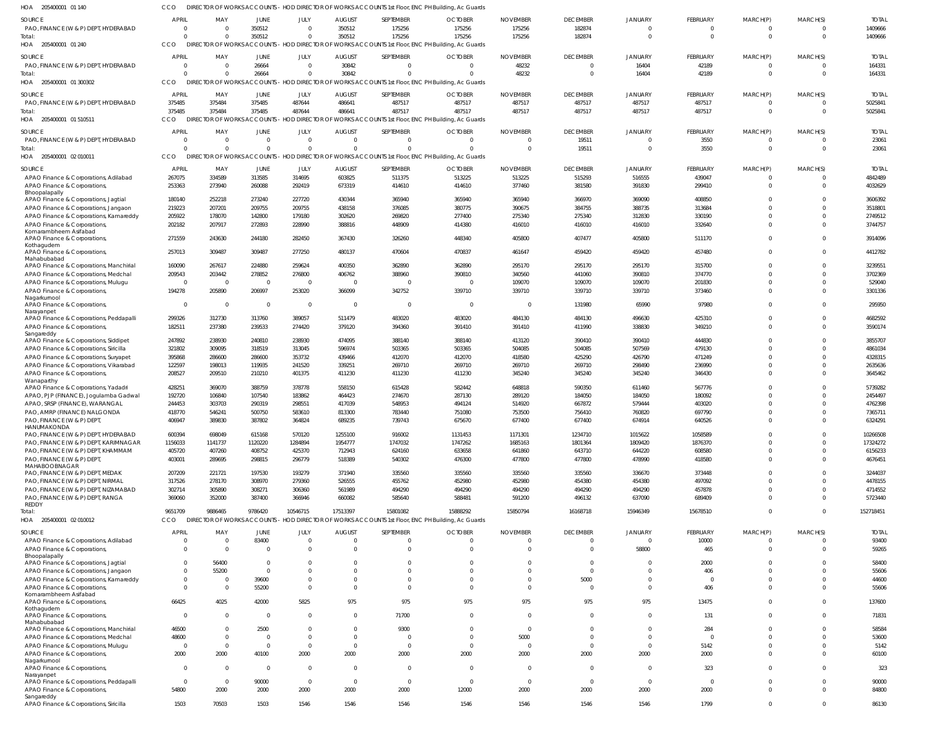| HOA 205400001 01 140                                                            | CCO              |                      |                          |                  |                         | DIRECTOR OF WORKS ACCOUNTS - HOD DIRECTOR OF WORKS ACCOUNTS 1st Floor, ENC PH Building, Ac Guards |                          |                          |                  |                  |                  |                      |                      |                    |
|---------------------------------------------------------------------------------|------------------|----------------------|--------------------------|------------------|-------------------------|---------------------------------------------------------------------------------------------------|--------------------------|--------------------------|------------------|------------------|------------------|----------------------|----------------------|--------------------|
| SOURCE                                                                          | APRIL            | MAY                  | JUNE                     | JULY             | <b>AUGUST</b>           | SEPTEMBER                                                                                         | <b>OCTOBER</b>           | <b>NOVEMBER</b>          | <b>DECEMBER</b>  | <b>JANUARY</b>   | FEBRUARY         | MARCH(P)             | MARCH(S)             | <b>TOTAL</b>       |
| PAO, FINANCE (W & P) DEPT, HYDERABAD                                            | $\Omega$         | $\overline{0}$       | 350512                   | $\Omega$         | 350512                  | 175256                                                                                            | 175256                   | 175256                   | 182874           |                  | $\mathbf 0$      | -0                   | $\Omega$             | 1409666            |
| Total:                                                                          | $\cap$           | $\Omega$             | 350512                   | $\Omega$         | 350512                  | 175256                                                                                            | 175256                   | 175256                   | 182874           | $\Omega$         | $\overline{0}$   | $\overline{0}$       | $\overline{0}$       | 1409666            |
| HOA 205400001 01 240                                                            | CCO              |                      |                          |                  |                         | DIRECTOR OF WORKS ACCOUNTS - HOD DIRECTOR OF WORKS ACCOUNTS 1st Floor, ENC PH Building, Ac Guards |                          |                          |                  |                  |                  |                      |                      |                    |
| <b>SOURCE</b>                                                                   | <b>APRIL</b>     | MAY                  | JUNE                     | JULY             | <b>AUGUST</b>           | SEPTEMBER                                                                                         | <b>OCTOBER</b>           | <b>NOVEMBER</b>          | <b>DECEMBER</b>  | <b>JANUARY</b>   | FEBRUARY         | MARCH(P)             | MARCH(S)             | <b>TOTAL</b>       |
| PAO, FINANCE (W & P) DEPT, HYDERABAD                                            |                  | $\Omega$             | 26664                    | $\Omega$         | 30842                   | $\Omega$                                                                                          | $\overline{0}$           | 48232                    | $\Omega$         | 16404            | 42189            | $\mathbf 0$          | $\Omega$             | 164331             |
| Total:                                                                          |                  | $\Omega$             | 26664                    |                  | 30842                   | $\Omega$                                                                                          | $\sqrt{2}$               | 48232                    | $\Omega$         | 16404            | 42189            | $\overline{0}$       | $\Omega$             | 164331             |
| HOA 205400001 01 300302                                                         | CCO.             |                      |                          |                  |                         | DIRECTOR OF WORKS ACCOUNTS - HOD DIRECTOR OF WORKS ACCOUNTS 1st Floor, ENC PH Building, Ac Guards |                          |                          |                  |                  |                  |                      |                      |                    |
| SOURCE                                                                          | <b>APRIL</b>     | MAY                  | JUNE                     | JULY             | <b>AUGUST</b>           | SEPTEMBER                                                                                         | <b>OCTOBER</b>           | <b>NOVEMBER</b>          | <b>DECEMBER</b>  | <b>JANUARY</b>   | <b>FEBRUARY</b>  | MARCH(P)             | MARCH(S)             | <b>TOTAL</b>       |
| PAO, FINANCE (W & P) DEPT, HYDERABAD                                            | 375485           | 375484               | 375485                   | 487644           | 486641                  | 487517                                                                                            | 487517                   | 487517                   | 487517           | 487517           | 487517           | $^{\circ}$           | $\Omega$             | 5025841            |
| Total:                                                                          | 375485           | 375484               | 375485                   | 487644           | 486641                  | 487517                                                                                            | 487517                   | 487517                   | 487517           | 487517           | 487517           | $\overline{0}$       | $\Omega$             | 5025841            |
| HOA 205400001 01 510511                                                         | CCO              | DIREC <sup>®</sup>   |                          |                  |                         | TOR OF WORKS ACCOUNTS - HOD DIRECTOR OF WORKS ACCOUNTS 1st Floor, ENC PH Building, Ac Guards      |                          |                          |                  |                  |                  |                      |                      |                    |
| SOURCE                                                                          | APRIL            | MAY                  | <b>JUNE</b>              | JULY             | <b>AUGUST</b>           | SEPTEMBER                                                                                         | <b>OCTOBER</b>           | <b>NOVEMBER</b>          | <b>DECEMBER</b>  | <b>JANUARY</b>   | FEBRUARY         | MARCH(P)             | MARCH(S)             | <b>TOTAL</b>       |
| PAO, FINANCE (W & P) DEPT, HYDERABAD                                            | $\Omega$         | $\overline{0}$       | $\Omega$                 | $\Omega$         | $\Omega$                | $\Omega$                                                                                          | $\Omega$                 | $\Omega$                 | 19511            |                  | 3550             | $\Omega$             | $\Omega$             | 23061              |
| Total:                                                                          |                  | $\Omega$             | $\Omega$                 | $\Omega$         | $\Omega$                | $\Omega$                                                                                          | $\Omega$                 | $\overline{0}$           | 19511            | $\Omega$         | 3550             | $\overline{0}$       | $\overline{0}$       | 23061              |
| HOA 205400001 02 010011                                                         | CCO              |                      |                          |                  |                         | DIRECTOR OF WORKS ACCOUNTS - HOD DIRECTOR OF WORKS ACCOUNTS 1st Floor, ENC PH Building, Ac Guards |                          |                          |                  |                  |                  |                      |                      |                    |
| SOURCE                                                                          | <b>APRIL</b>     | MAY                  | JUNE                     | JULY             | <b>AUGUST</b>           | SEPTEMBER                                                                                         | <b>OCTOBER</b>           | <b>NOVEMBER</b>          | <b>DECEMBER</b>  | <b>JANUARY</b>   | FEBRUARY         | MARCH(P)             | MARCH(S)             | <b>TOTAL</b>       |
| APAO Finance & Corporations, Adilabad                                           | 267075           | 334589               | 313585                   | 314695           | 603825                  | 511375                                                                                            | 513225                   | 513225                   | 515293           | 516555           | 439047           | 0                    | $\Omega$             | 4842489            |
| APAO Finance & Corporations,                                                    | 253363           | 273940               | 260088                   | 292419           | 673319                  | 414610                                                                                            | 414610                   | 377460                   | 381580           | 391830           | 299410           | $\mathbf 0$          | $\Omega$             | 4032629            |
| Bhoopalapally                                                                   |                  |                      |                          |                  |                         |                                                                                                   |                          |                          |                  |                  |                  |                      |                      |                    |
| APAO Finance & Corporations, Jagtial                                            | 180140           | 252218               | 273240                   | 227720           | 430344                  | 365940                                                                                            | 365940                   | 365940                   | 366970           | 369090           | 408850           | $\Omega$<br>$\Omega$ | $\Omega$<br>$\Omega$ | 3606392            |
| APAO Finance & Corporations, Jangaon                                            | 219223<br>205922 | 207201<br>178070     | 209755<br>142800         | 209755<br>179180 | 438158<br>302620        | 376085<br>269820                                                                                  | 380775<br>277400         | 390675<br>275340         | 384755<br>275340 | 388735<br>312830 | 313684<br>330190 | $\Omega$             | $\Omega$             | 3518801<br>2749512 |
| APAO Finance & Corporations, Kamareddy<br>APAO Finance & Corporations,          | 202182           | 207917               | 272893                   | 228990           | 388816                  | 448909                                                                                            | 414380                   | 416010                   | 416010           | 416010           | 332640           | $\Omega$             | $\Omega$             | 3744757            |
| Komarambheem Asifabad                                                           |                  |                      |                          |                  |                         |                                                                                                   |                          |                          |                  |                  |                  |                      |                      |                    |
| APAO Finance & Corporations,                                                    | 271559           | 243630               | 244180                   | 282450           | 367430                  | 326260                                                                                            | 448340                   | 405800                   | 407477           | 405800           | 511170           | $\mathbf 0$          | $\Omega$             | 3914096            |
| Kothagudem<br>APAO Finance & Corporations,                                      | 257013           | 309487               | 309487                   | 277250           | 480137                  | 470604                                                                                            | 470837                   | 461647                   | 459420           | 459420           | 457480           | $\mathbf 0$          | $\Omega$             | 4412782            |
| Mahabubabad                                                                     |                  |                      |                          |                  |                         |                                                                                                   |                          |                          |                  |                  |                  |                      |                      |                    |
| APAO Finance & Corporations, Manchirial                                         | 160090           | 267617               | 224880                   | 259624           | 400350                  | 362890                                                                                            | 362890                   | 295170                   | 295170           | 295170           | 315700           | $\Omega$             | $\Omega$             | 3239551            |
| APAO Finance & Corporations, Medchal                                            | 209543           | 203442               | 278852                   | 276800           | 406762                  | 388960                                                                                            | 390810                   | 340560                   | 441060           | 390810           | 374770           | $\Omega$             | $\Omega$             | 3702369            |
| APAO Finance & Corporations, Mulugu                                             | $\Omega$         | $\overline{0}$       | $\overline{\phantom{0}}$ | - 0              | $\overline{0}$          | $\Omega$                                                                                          | - 0                      | 109070                   | 109070           | 109070           | 201830           | $\Omega$             | $\Omega$             | 529040             |
| APAO Finance & Corporations,<br>Nagarkurnool                                    | 194278           | 205890               | 206997                   | 253020           | 366099                  | 342752                                                                                            | 339710                   | 339710                   | 339710           | 339710           | 373460           | $\Omega$             | $\Omega$             | 3301336            |
| APAO Finance & Corporations,                                                    | $\Omega$         | $\Omega$             | $\overline{0}$           | $\overline{0}$   | $\overline{\mathbf{0}}$ | $\Omega$                                                                                          | $\overline{\phantom{0}}$ | - 0                      | 131980           | 65990            | 97980            | $\Omega$             | $\Omega$             | 295950             |
| Narayanpet                                                                      |                  |                      |                          |                  |                         |                                                                                                   |                          |                          |                  |                  |                  |                      |                      |                    |
| APAO Finance & Corporations, Peddapalli                                         | 299326           | 312730               | 313760                   | 389057           | 511479                  | 483020                                                                                            | 483020                   | 484130                   | 484130           | 496630           | 425310           | $\Omega$             | $\Omega$             | 4682592            |
| APAO Finance & Corporations,<br>Sangareddy                                      | 182511           | 237380               | 239533                   | 274420           | 379120                  | 394360                                                                                            | 391410                   | 391410                   | 411990           | 338830           | 349210           | $\mathbf 0$          | $\Omega$             | 3590174            |
| APAO Finance & Corporations, Siddipet                                           | 247892           | 238930               | 240810                   | 238930           | 474095                  | 388140                                                                                            | 388140                   | 413120                   | 390410           | 390410           | 444830           | $\Omega$             | $\Omega$             | 3855707            |
| APAO Finance & Corporations, Siricilla                                          | 321802           | 309095               | 318519                   | 313045           | 596974                  | 503365                                                                                            | 503365                   | 504085                   | 504085           | 507569           | 479130           | $\Omega$             | $\Omega$             | 4861034            |
| APAO Finance & Corporations, Suryapet                                           | 395868           | 286600               | 286600                   | 353732           | 439466                  | 412070                                                                                            | 412070                   | 418580                   | 425290           | 426790           | 471249           | $\Omega$             | $\Omega$             | 4328315            |
| APAO Finance & Corporations, Vikarabad                                          | 122597           | 198013               | 119935                   | 241520           | 339251                  | 269710                                                                                            | 269710                   | 269710                   | 269710           | 298490           | 236990           | $\Omega$             | $\Omega$             | 2635636            |
| APAO Finance & Corporations,                                                    | 208527           | 209510               | 210210                   | 401375           | 411230                  | 411230                                                                                            | 411230                   | 345240                   | 345240           | 345240           | 346430           | $\Omega$             | $\Omega$             | 3645462            |
| Wanaparthy<br>APAO Finance & Corporations, Yadadri                              | 428251           | 369070               | 388759                   | 378778           | 558150                  | 615428                                                                                            | 582442                   | 648818                   | 590350           | 611460           | 567776           | $\Omega$             | $\Omega$             | 5739282            |
| APAO, PJP (FINANCE), Jogulamba Gadwal                                           | 192720           | 106840               | 107540                   | 183862           | 464423                  | 274670                                                                                            | 287130                   | 289120                   | 184050           | 184050           | 180092           | $\Omega$             |                      | 2454497            |
| APAO, SRSP (FINANCE), WARANGAL                                                  | 244453           | 303703               | 290319                   | 298551           | 417039                  | 548953                                                                                            | 494124                   | 514920                   | 667872           | 579444           | 403020           | $\Omega$             | $\Omega$             | 4762398            |
| PAO, AMRP (FINANCE) NALGONDA                                                    | 418770           | 546241               | 500750                   | 583610           | 813300                  | 783440                                                                                            | 751080                   | 753500                   | 756410           | 760820           | 697790           | $\Omega$             | $\Omega$             | 7365711            |
| PAO, FINANCE (W & P) DEPT                                                       | 406947           | 389830               | 387802                   | 364824           | 689235                  | 739743                                                                                            | 675670                   | 677400                   | 677400           | 674914           | 640526           |                      |                      | 6324291            |
| HANUMAKONDA<br>PAO, FINANCE (W & P) DEPT, HYDERABAD                             | 600394           | 698049               | 615168                   | 570120           | 1255100                 | 916002                                                                                            | 1131453                  | 1171301                  | 1234710          | 1015622          | 1058589          | $\Omega$             | $\Omega$             | 10266508           |
| PAO, FINANCE (W & P) DEPT, KARIMNAGAR                                           | 1156033          | 1141737              | 1120220                  | 1284894          | 1954777                 | 1747032                                                                                           | 1747262                  | 1685163                  | 1801364          | 1809420          | 1876370          | $\Omega$             | $\Omega$             | 17324272           |
| PAO, FINANCE (W & P) DEPT, KHAMMAM                                              | 405720           | 407260               | 408752                   | 425370           | 712943                  | 624160                                                                                            | 633658                   | 641860                   | 643710           | 644220           | 608580           | $\Omega$             | $\Omega$             | 6156233            |
| PAO, FINANCE (W & P) DEPT,                                                      | 403001           | 289695               | 298815                   | 296779           | 518389                  | 540302                                                                                            | 476300                   | 477800                   | 477800           | 478990           | 418580           | $\Omega$             | $\Omega$             | 4676451            |
| MAHABOOBNAGAR<br>PAO, FINANCE (W & P) DEPT, MEDAK                               |                  | 221721               | 197530                   | 193279           | 371940                  | 335560                                                                                            | 335560                   | 335560                   | 335560           | 336670           | 373448           | $\Omega$             | $\Omega$             | 3244037            |
| PAO, FINANCE (W & P) DEPT, NIRMAL                                               | 207209<br>317526 | 278170               | 308970                   | 279360           | 526555                  | 455762                                                                                            | 452980                   | 452980                   | 454380           | 454380           | 497092           | $\Omega$             | $\Omega$             | 4478155            |
| PAO, FINANCE (W & P) DEPT, NIZAMABAD                                            | 302714           | 305890               | 308271                   | 306360           | 561989                  | 494290                                                                                            | 494290                   | 494290                   | 494290           | 494290           | 457878           | $\Omega$             | $\Omega$             | 4714552            |
| PAO, FINANCE (W & P) DEPT, RANGA                                                | 369060           | 352000               | 387400                   | 366946           | 660082                  | 585640                                                                                            | 588481                   | 591200                   | 496132           | 637090           | 689409           | $\Omega$             | $\Omega$             | 5723440            |
| REDDY                                                                           |                  |                      |                          |                  |                         |                                                                                                   |                          |                          |                  |                  |                  |                      |                      |                    |
| Total:                                                                          | 9651709          | 9886465              | 9786420                  | 10546715         | 17513397                | 15801082                                                                                          | 15888292                 | 15850794                 | 16168718         | 15946349         | 15678510         | $\Omega$             | $\Omega$             | 152718451          |
| HOA 205400001 02 010012                                                         | CCO              |                      |                          |                  |                         | DIRECTOR OF WORKS ACCOUNTS - HOD DIRECTOR OF WORKS ACCOUNTS 1st Floor, ENC PH Building, Ac Guards |                          |                          |                  |                  |                  |                      |                      |                    |
| SOURCE                                                                          | <b>APRIL</b>     | MAY                  | JUNE                     | JULY             | <b>AUGUST</b>           | SEPTEMBER                                                                                         | <b>OCTOBER</b>           | <b>NOVEMBER</b>          | <b>DECEMBER</b>  | <b>JANUARY</b>   | FEBRUARY         | MARCH(P)             | MARCH(S)             | <b>TOTAL</b>       |
| APAO Finance & Corporations, Adilabad                                           |                  | $\overline{0}$       | 83400                    | $\Omega$         | $\overline{0}$          | $\Omega$                                                                                          | $\overline{0}$           | $\mathbf 0$              | $\Omega$         | $\Omega$         | 10000            | $\Omega$             | $\mathbf{0}$         | 93400              |
| APAO Finance & Corporations,                                                    | $\Omega$         | $\Omega$             | $\Omega$                 | $\Omega$         | $\Omega$                | $\Omega$                                                                                          | $\Omega$                 | $\Omega$                 | $\Omega$         | 58800            | 465              | $\Omega$             | $\Omega$             | 59265              |
| Bhoopalapally<br>APAO Finance & Corporations, Jagtial                           |                  | 56400                | $\Omega$                 |                  | $\Omega$                | <sup>0</sup>                                                                                      | $\Omega$                 | $\Omega$                 | $\Omega$         |                  | 2000             | $\Omega$             | $\Omega$             | 58400              |
| APAO Finance & Corporations, Jangaon                                            | $\Omega$         | 55200                | $\Omega$                 | $\Omega$         | $\Omega$                | $\Omega$                                                                                          | $\Omega$                 | $\Omega$                 | $\Omega$         | $\Omega$         | 406              | $\Omega$             | $\Omega$             | 55606              |
| APAO Finance & Corporations, Kamareddy                                          | $\Omega$         | $\Omega$             | 39600                    | $\Omega$         | $\Omega$                | $\Omega$                                                                                          | $\Omega$                 | $\Omega$                 | 5000             | $\Omega$         | $\Omega$         | $\Omega$             | $\Omega$             | 44600              |
| APAO Finance & Corporations,                                                    | $\Omega$         | $\Omega$             | 55200                    | $\Omega$         | $\Omega$                | $\Omega$                                                                                          | $\Omega$                 | $\Omega$                 | $\Omega$         | $\Omega$         | 406              | $\Omega$             | $\Omega$             | 55606              |
| Komarambheem Asifabad                                                           |                  |                      |                          |                  |                         |                                                                                                   |                          |                          |                  |                  |                  |                      |                      |                    |
| APAO Finance & Corporations,<br>Kothagudem                                      | 66425            | 4025                 | 42000                    | 5825             | 975                     | 975                                                                                               | 975                      | 975                      | 975              | 975              | 13475            | $\Omega$             | $\Omega$             | 137600             |
| APAO Finance & Corporations,                                                    | $\Omega$         | $\Omega$             | - 0                      | $\Omega$         | $\Omega$                | 71700                                                                                             | $\Omega$                 | $\Omega$                 | $\Omega$         | $\Omega$         | 131              | $\Omega$             | $\Omega$             | 71831              |
| Mahabubabad                                                                     |                  |                      |                          | $\Omega$         | $\Omega$                |                                                                                                   | $\Omega$                 | $\Omega$                 | $\Omega$         | $\Omega$         |                  | $\Omega$             | $\Omega$             |                    |
| APAO Finance & Corporations, Manchirial<br>APAO Finance & Corporations, Medchal | 46500<br>48600   | $\Omega$<br>$\Omega$ | 2500<br>$\Omega$         | $\Omega$         | $\Omega$                | 9300<br>$\Omega$                                                                                  | $\Omega$                 | 5000                     | $\Omega$         | $\Omega$         | 284<br>$\Omega$  | $\Omega$             | $\Omega$             | 58584<br>53600     |
| APAO Finance & Corporations, Mulugu                                             | $\Omega$         | $\overline{0}$       | $\Omega$                 | $\Omega$         | $\overline{0}$          | $\Omega$                                                                                          | $\overline{0}$           | $\overline{0}$           | $\Omega$         | $\Omega$         | 5142             | $\Omega$             | $\Omega$             | 5142               |
| APAO Finance & Corporations,                                                    | 2000             | 2000                 | 40100                    | 2000             | 2000                    | 2000                                                                                              | 2000                     | 2000                     | 2000             | 2000             | 2000             | $\Omega$             | $\Omega$             | 60100              |
| Nagarkurnool                                                                    |                  |                      |                          |                  |                         |                                                                                                   |                          |                          |                  |                  |                  |                      |                      |                    |
| APAO Finance & Corporations,                                                    | $\Omega$         | $\Omega$             | $\Omega$                 | $\Omega$         | $\Omega$                | $\Omega$                                                                                          | $\Omega$                 | $\Omega$                 | $\Omega$         | $\Omega$         | 323              | $\Omega$             | $\Omega$             | 323                |
| Narayanpet<br>APAO Finance & Corporations, Peddapalli                           | $\Omega$         | $\Omega$             | 90000                    | $\Omega$         | $\overline{0}$          | $\Omega$                                                                                          | $\overline{0}$           | $\overline{\phantom{0}}$ | $\Omega$         | $\Omega$         | $\Omega$         | $\Omega$             | $\Omega$             | 90000              |
| APAO Finance & Corporations,                                                    | 54800            | 2000                 | 2000                     | 2000             | 2000                    | 2000                                                                                              | 12000                    | 2000                     | 2000             | 2000             | 2000             | $\Omega$             | $\Omega$             | 84800              |
| Sangareddy                                                                      |                  |                      |                          |                  |                         |                                                                                                   |                          |                          |                  |                  |                  |                      |                      |                    |
| APAO Finance & Corporations, Siricilla                                          | 1503             | 70503                | 1503                     | 1546             | 1546                    | 1546                                                                                              | 1546                     | 1546                     | 1546             | 1546             | 1799             | $\mathbf 0$          | $\mathbf 0$          | 86130              |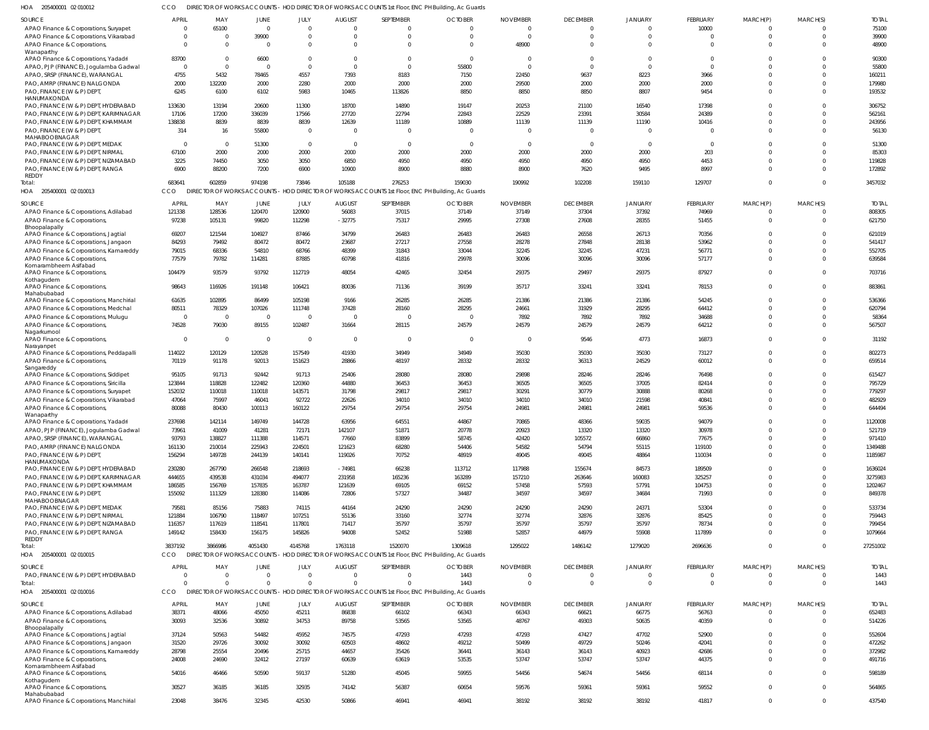CCO DIRECTOR OF WORKS ACCOUNTS - HOD DIRECTOR OF WORKS ACCOUNTS 1st Floor, ENC PH Building, Ac Guards

| HOA<br>205400001 02 010012                            |                |                |                |                |                |                | DIRECTOR OF WORKS ACCOUNTS - HOD DIRECTOR OF WORKS ACCOUNTS 1st Floor, ENC PH Building, Ac Guards |                 |                 |                |                 |             |                |              |
|-------------------------------------------------------|----------------|----------------|----------------|----------------|----------------|----------------|---------------------------------------------------------------------------------------------------|-----------------|-----------------|----------------|-----------------|-------------|----------------|--------------|
| <b>SOURCE</b>                                         | <b>APRIL</b>   | MAY            | <b>JUNE</b>    | JULY           | <b>AUGUST</b>  | SEPTEMBER      | <b>OCTOBER</b>                                                                                    | <b>NOVEMBER</b> | <b>DECEMBER</b> | <b>JANUARY</b> | FEBRUARY        | MARCH(P)    | MARCH(S)       | <b>TOTAL</b> |
| APAO Finance & Corporations, Suryapet                 | $\Omega$       | 65100          | $\overline{0}$ | $\overline{0}$ | $\Omega$       | $\Omega$       | $\cap$                                                                                            | $\bigcap$       | $\overline{0}$  | $\Omega$       | 10000           | $\Omega$    |                | 75100        |
| APAO Finance & Corporations, Vikarabad                | - 0            | $\Omega$       | 39900          | $\overline{0}$ | $\Omega$       | $\mathbf 0$    | - 0                                                                                               | $\Omega$        | $\overline{0}$  | $\Omega$       | $\Omega$        | $\Omega$    | $\Omega$       | 39900        |
| APAO Finance & Corporations,                          | $\Omega$       | $\Omega$       | $\overline{0}$ | $\Omega$       | $\Omega$       | $\Omega$       | $\Omega$                                                                                          | 48900           | $\Omega$        | $\Omega$       | $\Omega$        | $\Omega$    | $\Omega$       | 48900        |
| Wanaparthy                                            |                |                |                |                |                |                |                                                                                                   |                 |                 |                |                 |             |                |              |
| APAO Finance & Corporations, Yadadri                  | 83700          | $\Omega$       | 6600           | $\overline{0}$ | $\Omega$       | $\mathbf{0}$   | $\Omega$                                                                                          | - 0             | $\overline{0}$  | $\Omega$       | $\Omega$        |             |                | 90300        |
| APAO, PJP (FINANCE), Jogulamba Gadwal                 | $\Omega$       | $\Omega$       | $\Omega$       | $\overline{0}$ | $\Omega$       | $\mathbf 0$    | 55800                                                                                             | $\Omega$        | $\overline{0}$  | $\Omega$       | $\Omega$        |             |                | 55800        |
| APAO, SRSP (FINANCE), WARANGAL                        | 4755           | 5432           | 78465          | 4557           | 7393           | 8183           | 7150                                                                                              | 22450           | 9637            | 8223           | 3966            |             | $\Omega$       | 160211       |
| PAO, AMRP (FINANCE) NALGONDA                          | 2000           | 132200         | 2000           | 2280           | 2000           | 2000           | 2000                                                                                              | 29500           | 2000            | 2000           | 2000            |             |                | 179980       |
| PAO, FINANCE (W & P) DEPT,                            | 6245           | 6100           | 6102           | 5983           | 10465          | 113826         | 8850                                                                                              | 8850            | 8850            | 8807           | 9454            | $\Omega$    | $\Omega$       | 193532       |
| HANUMAKONDA                                           |                |                |                |                |                |                |                                                                                                   |                 |                 |                |                 |             |                |              |
| PAO, FINANCE (W & P) DEPT, HYDERABAD                  | 133630         | 13194          | 20600          | 11300          | 18700          | 14890          | 19147                                                                                             | 20253           | 21100           | 16540          | 17398           |             |                | 306752       |
| PAO, FINANCE (W & P) DEPT, KARIMNAGAR                 | 17106          | 17200          | 336039         | 17566          | 27720          | 22794          | 22843                                                                                             | 22529           | 23391           | 30584          | 24389           |             | $\Omega$       | 562161       |
| PAO, FINANCE (W & P) DEPT, KHAMMAM                    | 138838         | 8839           | 8839           | 8839           | 12639          | 11189          | 10889                                                                                             | 11139           | 11139           | 11190          | 10416           |             | $\Omega$       | 243956       |
| PAO, FINANCE (W & P) DEPT,                            | 314            | 16             | 55800          | $\overline{0}$ | $\Omega$       | $\mathbf{0}$   | - 0                                                                                               |                 | $\overline{0}$  | $\Omega$       |                 |             | $\Omega$       | 56130        |
| MAHABOOBNAGAR                                         |                |                |                |                |                |                |                                                                                                   |                 |                 |                |                 |             |                |              |
| PAO, FINANCE (W & P) DEPT, MEDAK                      | - 0            | $\overline{0}$ | 51300          | $\overline{0}$ | $\overline{0}$ | $\overline{0}$ | - 0                                                                                               | - 0             | $\overline{0}$  | $\Omega$       | $\overline{0}$  |             |                | 51300        |
| PAO, FINANCE (W & P) DEPT, NIRMAL                     | 67100          | 2000           | 2000           | 2000           | 2000           | 2000           | 2000                                                                                              | 2000            | 2000            | 2000           | 203             |             | $\Omega$       | 85303        |
| PAO, FINANCE (W & P) DEPT, NIZAMABAD                  | 3225           | 74450          | 3050           | 3050           | 6850           | 4950           | 4950                                                                                              | 4950            | 4950            | 4950           | 4453            |             | $\Omega$       | 119828       |
| PAO, FINANCE (W & P) DEPT, RANGA                      | 6900           | 88200          | 7200           | 6900           | 10900          | 8900           | 8880                                                                                              | 8900            | 7620            | 9495           | 8997            | $\Omega$    | $\Omega$       | 172892       |
| <b>REDDY</b><br>Total:                                | 683641         | 602859         | 974198         | 73846          | 105188         | 276253         | 159030                                                                                            | 190992          | 102208          | 159110         | 129707          | $\Omega$    | $\Omega$       | 3457032      |
| HOA 205400001 02 010013                               | CCO            |                |                |                |                |                | DIRECTOR OF WORKS ACCOUNTS - HOD DIRECTOR OF WORKS ACCOUNTS 1st Floor, ENC PH Building, Ac Guards |                 |                 |                |                 |             |                |              |
|                                                       |                |                |                |                |                |                |                                                                                                   |                 |                 |                |                 |             |                |              |
| SOURCE                                                | <b>APRIL</b>   | MAY            | <b>JUNE</b>    | JULY           | <b>AUGUST</b>  | SEPTEMBER      | <b>OCTOBER</b>                                                                                    | <b>NOVEMBER</b> | <b>DECEMBER</b> | <b>JANUARY</b> | <b>FEBRUARY</b> | MARCH(P)    | MARCH(S)       | <b>TOTAL</b> |
| APAO Finance & Corporations, Adilabad                 | 121338         | 128536         | 120470         | 120900         | 56083          | 37015          | 37149                                                                                             | 37149           | 37304           | 37392          | 74969           |             |                | 808305       |
| APAO Finance & Corporations,                          | 97238          | 105131         | 99820          | 112298         | $-32775$       | 75317          | 29995                                                                                             | 27308           | 27608           | 28355          | 51455           | 0           | $\Omega$       | 621750       |
| Bhoopalapally                                         |                |                |                |                |                |                |                                                                                                   |                 |                 |                |                 |             |                |              |
| APAO Finance & Corporations, Jagtial                  | 69207          | 121544         | 104927         | 87466          | 34799          | 26483          | 26483                                                                                             | 26483           | 26558           | 26713          | 70356           |             | $\Omega$       | 621019       |
| APAO Finance & Corporations, Jangaon                  | 84293          | 79492          | 80472          | 80472          | 23687          | 27217          | 27558                                                                                             | 28278           | 27848           | 28138          | 53962           |             | $\Omega$       | 541417       |
| APAO Finance & Corporations, Kamareddy                | 79015          | 68336          | 54810          | 68766          | 48399          | 31843          | 33044                                                                                             | 32245           | 32245           | 47231          | 56771           |             | $\Omega$       | 552705       |
| APAO Finance & Corporations,                          | 77579          | 79782          | 114281         | 87885          | 60798          | 41816          | 29978                                                                                             | 30096           | 30096           | 30096          | 57177           | $\Omega$    | $\Omega$       | 639584       |
| Komarambheem Asifabad                                 |                |                |                |                |                |                |                                                                                                   |                 |                 |                |                 |             |                |              |
| APAO Finance & Corporations,                          | 104479         | 93579          | 93792          | 112719         | 48054          | 42465          | 32454                                                                                             | 29375           | 29497           | 29375          | 87927           | $\Omega$    | $\Omega$       | 703716       |
| Kothagudem<br>APAO Finance & Corporations,            | 98643          | 116926         | 191148         | 106421         | 80036          | 71136          | 39199                                                                                             | 35717           | 33241           | 33241          | 78153           | $\Omega$    | $\Omega$       | 883861       |
| Mahabubabad                                           |                |                |                |                |                |                |                                                                                                   |                 |                 |                |                 |             |                |              |
| APAO Finance & Corporations, Manchirial               | 61635          | 102895         | 86499          | 105198         | 9166           | 26285          | 26285                                                                                             | 21386           | 21386           | 21386          | 54245           |             | $\Omega$       | 536366       |
| APAO Finance & Corporations, Medchal                  | 80511          | 78329          | 107026         | 111748         | 37428          | 28160          | 28295                                                                                             | 24661           | 31929           | 28295          | 64412           |             | $\Omega$       | 620794       |
| APAO Finance & Corporations, Mulugu                   | $\overline{0}$ | $\Omega$       | $\overline{0}$ | $\overline{0}$ | $\Omega$       | $\overline{0}$ | - 0                                                                                               | 7892            | 7892            | 7892           | 34688           |             | $\Omega$       | 58364        |
| APAO Finance & Corporations,                          | 74528          | 79030          | 89155          | 102487         | 31664          | 28115          | 24579                                                                                             | 24579           | 24579           | 24579          | 64212           | $\Omega$    | $\Omega$       | 567507       |
| Nagarkurnool                                          |                |                |                |                |                |                |                                                                                                   |                 |                 |                |                 |             |                |              |
| APAO Finance & Corporations,                          | - 0            | $\Omega$       | $\overline{0}$ | $\overline{0}$ | $\overline{0}$ | $\mathbf 0$    | - 0                                                                                               | - 0             | 9546            | 4773           | 16873           | $\Omega$    | $\Omega$       | 31192        |
| Narayanpet                                            |                |                |                |                |                |                |                                                                                                   |                 |                 |                |                 |             |                |              |
| APAO Finance & Corporations, Peddapalli               | 114022         | 120129         | 120528         | 157549         | 41930          | 34949          | 34949                                                                                             | 35030           | 35030           | 35030          | 73127           | $\Omega$    | $\Omega$       | 802273       |
| APAO Finance & Corporations,                          | 70119          | 91178          | 92013          | 151623         | 28866          | 48197          | 28332                                                                                             | 28332           | 36313           | 24529          | 60012           | $\Omega$    | $\Omega$       | 659514       |
| Sangareddy<br>APAO Finance & Corporations, Siddipet   | 95105          | 91713          | 92442          | 91713          | 25406          | 28080          | 28080                                                                                             | 29898           | 28246           | 28246          | 76498           | $\Omega$    | $\Omega$       | 615427       |
| APAO Finance & Corporations, Siricilla                | 123844         | 118828         | 122482         | 120360         | 44880          | 36453          | 36453                                                                                             | 36505           | 36505           | 37005          | 82414           |             | $\Omega$       | 795729       |
| APAO Finance & Corporations, Suryapet                 | 152032         | 110018         | 110018         | 143571         | 31798          | 29817          | 29817                                                                                             | 30291           | 30779           | 30888          | 80268           |             | $\Omega$       | 779297       |
|                                                       | 47064          | 75997          | 46041          | 92722          | 22626          | 34010          | 34010                                                                                             | 34010           | 34010           | 21598          | 40841           |             | $\Omega$       | 482929       |
| APAO Finance & Corporations, Vikarabad                | 80088          | 80430          | 100113         |                | 29754          | 29754          |                                                                                                   | 24981           | 24981           | 24981          |                 | U           | $\Omega$       | 644494       |
| APAO Finance & Corporations,<br>Wanaparthy            |                |                |                | 160122         |                |                | 29754                                                                                             |                 |                 |                | 59536           |             |                |              |
| APAO Finance & Corporations, Yadadri                  | 237698         | 142114         | 149749         | 144728         | 63956          | 64551          | 44867                                                                                             | 70865           | 48366           | 59035          | 94079           |             |                | 1120008      |
| APAO, PJP (FINANCE), Jogulamba Gadwal                 | 73961          | 41009          | 41281          | 72171          | 142107         | 51871          | 20778                                                                                             | 20923           | 13320           | 13320          | 30978           | $\Omega$    | $\Omega$       | 521719       |
| APAO, SRSP (FINANCE), WARANGAL                        | 93793          | 138827         | 111388         | 114571         | 77660          | 83899          | 58745                                                                                             | 42420           | 105572          | 66860          | 77675           | $\Omega$    | $\Omega$       | 971410       |
| PAO, AMRP (FINANCE) NALGONDA                          | 161130         | 210014         | 225943         | 224501         | 121623         | 68280          | 54406                                                                                             | 54582           | 54794           | 55115          | 119100          | $\Omega$    | $\Omega$       | 1349488      |
| PAO, FINANCE (W & P) DEPT,                            | 156294         | 149728         | 244139         | 140141         | 119026         | 70752          | 48919                                                                                             | 49045           | 49045           | 48864          | 110034          | $\Omega$    | $\Omega$       | 1185987      |
| HANUMAKONDA                                           |                |                |                |                |                |                |                                                                                                   |                 |                 |                |                 |             |                |              |
| PAO, FINANCE (W & P) DEPT, HYDERABAD                  | 230280         | 267790         | 266548         | 218693         | $-74981$       | 66238          | 113712                                                                                            | 117988          | 155674          | 84573          | 189509          | $\Omega$    | $\Omega$       | 1636024      |
| PAO, FINANCE (W & P) DEPT, KARIMNAGAR                 | 444655         | 439538         | 431034         | 494077         | 231958         | 165236         | 163289                                                                                            | 157210          | 263646          | 160083         | 325257          | $\Omega$    | $\Omega$       | 3275983      |
| PAO, FINANCE (W & P) DEPT, KHAMMAM                    | 186585         | 156769         | 157835         | 163787         | 121639         | 69105          | 69152                                                                                             | 57458           | 57593           | 57791          | 104753          | $\Omega$    | $\Omega$       | 1202467      |
| PAO, FINANCE (W & P) DEPT,                            | 155092         | 111329         | 128380         | 114086         | 72806          | 57327          | 34487                                                                                             | 34597           | 34597           | 34684          | 71993           | $\Omega$    | $\Omega$       | 849378       |
| MAHABOOBNAGAR                                         |                |                |                |                |                |                |                                                                                                   |                 |                 |                |                 |             |                |              |
| PAO, FINANCE (W & P) DEPT, MEDAK                      | 79581          | 85156          | 75883          | 74115          | 44164          | 24290          | 24290                                                                                             | 24290           | 24290           | 24371          | 53304           | $\Omega$    | $\Omega$       | 533734       |
| PAO, FINANCE (W & P) DEPT, NIRMAL                     | 121884         | 106790         | 118497         | 107251         | 55136          | 33160          | 32774                                                                                             | 32774           | 32876           | 32876          | 85425           | $\Omega$    | $\Omega$       | 759443       |
| PAO, FINANCE (W & P) DEPT, NIZAMABAD                  | 116357         | 117619         | 118541         | 117801         | 71417          | 35797          | 35797                                                                                             | 35797           | 35797           | 35797          | 78734           | $\Omega$    | $\Omega$       | 799454       |
| PAO, FINANCE (W & P) DEPT, RANGA                      | 149142         | 158430         | 156175         | 145826         | 94008          | 52452          | 51988                                                                                             | 52857           | 44979           | 55908          | 117899          | $\Omega$    | $\Omega$       | 1079664      |
| <b>REDDY</b>                                          | 3837192        | 3866986        | 4051430        | 4145768        | 1763118        | 1520070        | 1309618                                                                                           | 1295022         | 1486142         | 1279020        | 2696636         | $\Omega$    | $\Omega$       | 27251002     |
| Total:                                                | CCO            |                |                |                |                |                |                                                                                                   |                 |                 |                |                 |             |                |              |
| HOA 205400001 02 010015                               |                |                |                |                |                |                | DIRECTOR OF WORKS ACCOUNTS - HOD DIRECTOR OF WORKS ACCOUNTS 1st Floor, ENC PH Building, Ac Guards |                 |                 |                |                 |             |                |              |
| SOURCE                                                | <b>APRIL</b>   | MAY            | <b>JUNE</b>    | JULY           | <b>AUGUST</b>  | SEPTEMBER      | <b>OCTOBER</b>                                                                                    | <b>NOVEMBER</b> | <b>DECEMBER</b> | <b>JANUARY</b> | FEBRUARY        | MARCH(P)    | MARCH(S)       | <b>TOTAL</b> |
| PAO, FINANCE (W & P) DEPT, HYDERABAD                  |                | $\Omega$       | $\Omega$       | $\Omega$       | $\Omega$       | $\Omega$       | 1443                                                                                              | $\Omega$        | $\overline{0}$  | $\Omega$       | $\mathbf{0}$    | $\Omega$    |                | 1443         |
| Total:                                                |                | $\Omega$       | $\Omega$       | $\Omega$       | $\Omega$       | $\Omega$       | 1443                                                                                              | $\Omega$        | $\overline{0}$  | $\Omega$       | $\Omega$        | $\Omega$    | $\Omega$       | 1443         |
| HOA 205400001 02 010016                               | CCO            |                |                |                |                |                | DIRECTOR OF WORKS ACCOUNTS - HOD DIRECTOR OF WORKS ACCOUNTS 1st Floor, ENC PH Building, Ac Guards |                 |                 |                |                 |             |                |              |
|                                                       |                |                |                |                |                |                |                                                                                                   |                 |                 |                |                 |             |                |              |
| SOURCE                                                | <b>APRIL</b>   | MAY            | JUNE           | JULY           | <b>AUGUST</b>  | SEPTEMBER      | <b>OCTOBER</b>                                                                                    | <b>NOVEMBER</b> | <b>DECEMBER</b> | <b>JANUARY</b> | FEBRUARY        | MARCH(P)    | MARCH(S)       | <b>TOTAL</b> |
| APAO Finance & Corporations, Adilabad                 | 38371          | 48066          | 45050          | 45211          | 86838          | 66102          | 66343                                                                                             | 66343           | 66621           | 66775          | 56763           | $\mathbf 0$ | $\Omega$       | 652483       |
| APAO Finance & Corporations,                          | 30093          | 32536          | 30892          | 34753          | 89758          | 53565          | 53565                                                                                             | 48767           | 49303           | 50635          | 40359           | $\mathbf 0$ | $\Omega$       | 514226       |
| Bhoopalapally                                         |                |                | 54482          |                |                |                |                                                                                                   |                 |                 | 47702          |                 | $\Omega$    | $\Omega$       |              |
| APAO Finance & Corporations, Jagtial                  | 37124          | 50563          |                | 45952          | 74575          | 47293          | 47293                                                                                             | 47293           | 47427           |                | 52900           |             | $\Omega$       | 552604       |
| APAO Finance & Corporations, Jangaon                  | 31520          | 29726          | 30092          | 30092          | 60503          | 48602          | 49212                                                                                             | 50499           | 49729           | 50246          | 42041           | $\Omega$    | $\Omega$       | 472262       |
| APAO Finance & Corporations, Kamareddy                | 28798          | 25554          | 20496          | 25715          | 44657          | 35426          | 36441                                                                                             | 36143           | 36143           | 40923          | 42686           | $\Omega$    |                | 372982       |
| APAO Finance & Corporations,<br>Komarambheem Asifabad | 24008          | 24690          | 32412          | 27197          | 60639          | 63619          | 53535                                                                                             | 53747           | 53747           | 53747          | 44375           | $\Omega$    | $\Omega$       | 491716       |
| APAO Finance & Corporations,                          | 54016          | 46466          | 50590          | 59137          | 51280          | 45045          | 59955                                                                                             | 54456           | 54674           | 54456          | 68114           | $\Omega$    | $\Omega$       | 598189       |
| Kothagudem                                            |                |                |                |                |                |                |                                                                                                   |                 |                 |                |                 |             |                |              |
| APAO Finance & Corporations,                          | 30527          | 36185          | 36185          | 32935          | 74142          | 56387          | 60654                                                                                             | 59576           | 59361           | 59361          | 59552           | $\mathbf 0$ | $\Omega$       | 564865       |
| Mahabubabad                                           |                |                |                |                |                |                |                                                                                                   |                 |                 |                |                 |             |                |              |
| APAO Finance & Corporations, Manchirial               | 23048          | 38476          | 32345          | 42530          | 50866          | 46941          | 46941                                                                                             | 38192           | 38192           | 38192          | 41817           | $\mathbf 0$ | $\overline{0}$ | 437540       |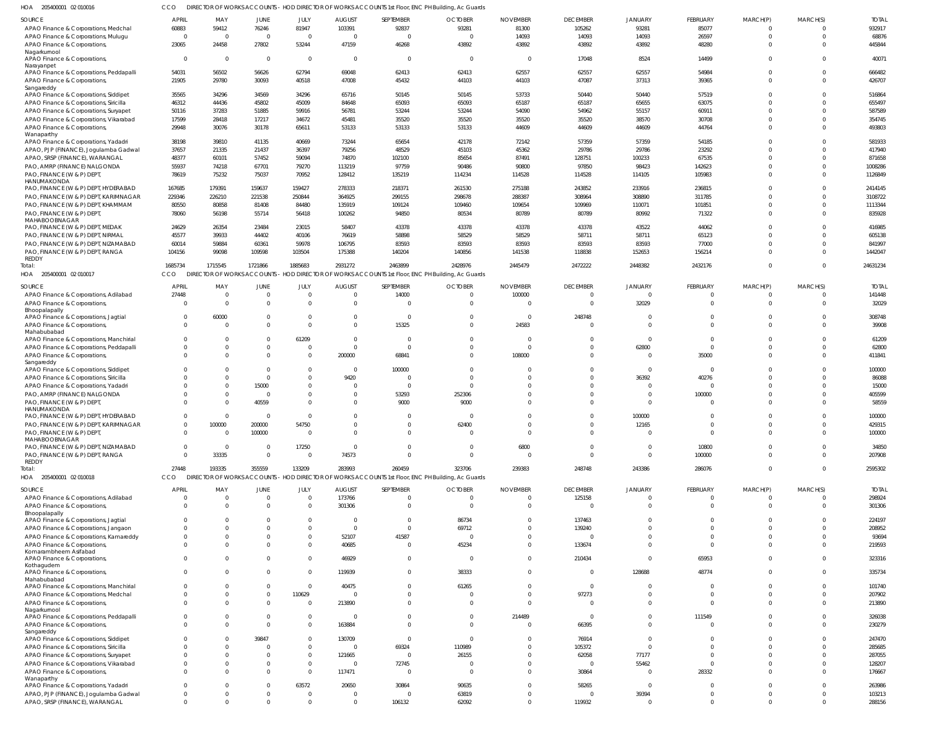205400001 02 010016 HOA CCO DIRECTOR OF WORKS ACCOUNTS - HOD DIRECTOR OF WORKS ACCOUNTS 1st Floor, ENC PH Building, Ac Guards

| .<br>CONTROL OF A LOO LO                                                |                      | <b>PINEOTON OF WONNSTROODONIS</b> |                      |                      |                            | <b>THOD DIRECTOR OF WORKSTROODING ISLINGI, ENOTH DURING, A 10 OUGLUS</b>                          |                         |                          |                    |                |               |          |          |                  |
|-------------------------------------------------------------------------|----------------------|-----------------------------------|----------------------|----------------------|----------------------------|---------------------------------------------------------------------------------------------------|-------------------------|--------------------------|--------------------|----------------|---------------|----------|----------|------------------|
| SOURCE                                                                  | <b>APRIL</b>         | MAY                               | JUNE                 | JULY                 | <b>AUGUST</b>              | SEPTEMBER                                                                                         | <b>OCTOBER</b>          | <b>NOVEMBER</b>          | <b>DECEMBER</b>    | <b>JANUARY</b> | FEBRUARY      | MARCH(P) | MARCH(S) | <b>TOTAI</b>     |
| APAO Finance & Corporations, Medchal                                    | 60883                | 59412                             | 76246                | 81947                | 103391                     | 92837                                                                                             | 93281                   | 81300                    | 105262             | 93281          | 85077         |          |          | 932917           |
| APAO Finance & Corporations, Mulugu                                     | $\Omega$             | $\overline{0}$                    | $\overline{0}$       | $\Omega$             | $\overline{0}$             | $\Omega$                                                                                          | $\overline{0}$          | 14093                    | 14093              | 14093          | 26597         | $\Omega$ | $\Omega$ | 68876            |
| APAO Finance & Corporations,                                            | 23065                | 24458                             | 27802                | 53244                | 47159                      | 46268                                                                                             | 43892                   | 43892                    | 43892              | 43892          | 48280         | $\Omega$ |          | 445844           |
| Nagarkurnool                                                            |                      |                                   |                      |                      |                            |                                                                                                   |                         |                          |                    |                |               |          |          |                  |
| APAO Finance & Corporations,                                            | $\Omega$             | $\overline{0}$                    | $\overline{0}$       | $\overline{0}$       | $\overline{0}$             | $\Omega$                                                                                          | $\overline{0}$          | $\overline{0}$           | 17048              | 8524           | 14499         | $\Omega$ |          | 40071            |
| Narayanpet                                                              |                      |                                   |                      |                      |                            |                                                                                                   |                         |                          |                    |                |               |          |          |                  |
| APAO Finance & Corporations, Peddapalli                                 | 54031                | 56502                             | 56626                | 62794                | 69048                      | 62413                                                                                             | 62413                   | 62557                    | 62557              | 62557          | 54984         | $\Omega$ |          | 666482           |
| APAO Finance & Corporations,                                            | 21905                | 29780                             | 30093                | 40518                | 47008                      | 45432                                                                                             | 44103                   | 44103                    | 47087              | 37313          | 39365         | $\Omega$ |          | 426707           |
| Sangareddy                                                              |                      |                                   |                      |                      |                            |                                                                                                   |                         |                          |                    |                |               |          |          |                  |
| APAO Finance & Corporations, Siddipet                                   | 35565                | 34296                             | 34569                | 34296                | 65716                      | 50145                                                                                             | 50145                   | 53733                    | 50440              | 50440          | 57519         |          |          | 516864           |
| APAO Finance & Corporations, Siricilla                                  | 46312                | 44436                             | 45802                | 45009                | 84648                      | 65093                                                                                             | 65093                   | 65187                    | 65187              | 65655          | 63075         |          |          | 655497           |
| APAO Finance & Corporations, Suryapet                                   | 50116                | 37283                             | 51885                | 59916                | 56781                      | 53244                                                                                             | 53244                   | 54090                    | 54962              | 55157          | 60911         |          |          | 587589           |
| APAO Finance & Corporations, Vikarabad                                  | 17599                | 28418                             | 17217                | 34672                | 45481                      | 35520                                                                                             | 35520                   | 35520                    | 35520              | 38570          | 30708         |          |          | 354745           |
| APAO Finance & Corporations,                                            | 29948                | 30076                             | 30178                | 65611                | 53133                      | 53133                                                                                             | 53133                   | 44609                    | 44609              | 44609          | 44764         | U        |          | 493803           |
| Wanaparthy                                                              |                      |                                   |                      |                      |                            |                                                                                                   |                         |                          |                    |                |               |          |          |                  |
| APAO Finance & Corporations, Yadadri                                    | 38198                | 39810                             | 41135                | 40669                | 73244                      | 65654                                                                                             | 42178                   | 72142                    | 57359              | 57359          | 54185         |          |          | 581933           |
| APAO, PJP (FINANCE), Jogulamba Gadwal                                   | 37657                | 21335                             | 21437                | 36397                | 79256                      | 48529                                                                                             | 45103                   | 45362                    | 29786              | 29786          | 23292         |          |          | 417940           |
| APAO, SRSP (FINANCE), WARANGAL                                          | 48377                | 60101                             | 57452                | 59094                | 74870                      | 102100                                                                                            | 85654                   | 87491                    | 128751             | 100233         | 67535         |          |          | 871658           |
| PAO, AMRP (FINANCE) NALGONDA                                            | 55937                | 74218                             | 67701                | 79270                | 113219                     | 97759                                                                                             | 90486                   | 90800                    | 97850              | 98423          | 142623        |          |          | 1008286          |
| PAO, FINANCE (W & P) DEPT,                                              | 78619                | 75232                             | 75037                | 70952                | 128412                     | 135219                                                                                            | 114234                  | 114528                   | 114528             | 114105         | 105983        |          |          | 1126849          |
| HANUMAKONDA                                                             |                      |                                   |                      |                      |                            |                                                                                                   |                         |                          |                    |                |               |          |          |                  |
| PAO, FINANCE (W & P) DEPT, HYDERABAD                                    | 167685               | 179391                            | 159637               | 159427               | 278333                     | 218371                                                                                            | 261530                  | 275188                   | 243852             | 233916         | 236815        |          |          | 2414145          |
| PAO, FINANCE (W & P) DEPT, KARIMNAGAR                                   | 229346               | 226210                            | 221538               | 250844               | 364925                     | 299155                                                                                            | 298678                  | 288387                   | 308964             | 308890         | 311785        |          |          | 3108722          |
| PAO, FINANCE (W & P) DEPT, KHAMMAM                                      | 80550                | 80858                             | 81408                | 84480                | 135919                     | 109124                                                                                            | 109460                  | 109654                   | 109969             | 110071         | 101851        |          |          | 1113344          |
| PAO, FINANCE (W & P) DEPT,                                              | 78060                | 56198                             | 55714                | 56418                | 100262                     | 94850                                                                                             | 80534                   | 80789                    | 80789              | 80992          | 71322         |          |          | 835928           |
| MAHABOOBNAGAR                                                           |                      |                                   |                      |                      |                            |                                                                                                   |                         |                          |                    |                |               |          |          |                  |
| PAO, FINANCE (W & P) DEPT, MEDAK                                        | 24629                | 26354                             | 23484                | 23015                | 58407                      | 43378                                                                                             | 43378                   | 43378                    | 43378              | 43522          | 44062         |          |          | 416985           |
| PAO, FINANCE (W & P) DEPT, NIRMAL                                       | 45577                | 39933                             | 44402                | 40106                | 76619                      | 58898                                                                                             | 58529                   | 58529                    | 58711              | 58711          | 65123         |          |          | 605138           |
| PAO, FINANCE (W & P) DEPT, NIZAMABAD                                    | 60014                | 59884                             | 60361                | 59978                | 106795                     | 83593                                                                                             | 83593                   | 83593                    | 83593              | 83593          | 77000         |          |          | 841997           |
|                                                                         | 104156               |                                   |                      | 103504               |                            |                                                                                                   | 140856                  | 141538                   | 118838             | 152653         | 156214        | $\Omega$ |          | 1442047          |
| PAO, FINANCE (W & P) DEPT, RANGA<br><b>REDDY</b>                        |                      | 99098                             | 109598               |                      | 175388                     | 140204                                                                                            |                         |                          |                    |                |               |          |          |                  |
| Total:                                                                  | 1685734              | 1715545                           | 1721866              | 1885683              | 2931272                    | 2463899                                                                                           | 2428976                 | 2445479                  | 2472222            | 2448382        | 2432176       | $\Omega$ |          | 24631234         |
| HOA 205400001 02 010017                                                 | CCO                  | DIRECTOR OF WORKS ACCOUNTS        |                      |                      |                            | - HOD DIRECTOR OF WORKS ACCOUNTS 1st Floor, ENC PH Building, Ac Guards                            |                         |                          |                    |                |               |          |          |                  |
|                                                                         |                      |                                   |                      |                      |                            |                                                                                                   |                         |                          |                    |                |               |          |          |                  |
| SOURCE                                                                  | APRIL                | MAY                               | JUNE                 | JULY                 | <b>AUGUST</b>              | SEPTEMBER                                                                                         | <b>OCTOBER</b>          | <b>NOVEMBER</b>          | <b>DECEMBER</b>    | <b>JANUARY</b> | FEBRUARY      | MARCH(P) | MARCH(S) | <b>TOTAI</b>     |
| APAO Finance & Corporations, Adilabad                                   | 27448                | $\overline{0}$                    | $\Omega$             | $\Omega$             | $\overline{0}$             | 14000                                                                                             | $\mathbf 0$             | 100000                   | $\Omega$           | $\Omega$       | $\Omega$      | $\Omega$ | $\Omega$ | 141448           |
| APAO Finance & Corporations,                                            | $\Omega$             | $\Omega$                          | $\Omega$             | $\Omega$             | $\overline{0}$             | $\Omega$                                                                                          | $\overline{0}$          | $\overline{\phantom{0}}$ | $\Omega$           | 32029          | $\mathbf 0$   | $\Omega$ | $\Omega$ | 32029            |
| Bhoopalapally                                                           |                      |                                   |                      |                      |                            |                                                                                                   |                         |                          |                    |                |               |          |          |                  |
| APAO Finance & Corporations, Jagtial                                    | $\Omega$             | 60000                             | $\Omega$             | $\Omega$             | $\overline{0}$             | $\Omega$                                                                                          | $\mathbf 0$             | $\overline{0}$           | 248748             | $\Omega$       | $\Omega$      | $\Omega$ | $\Omega$ | 308748           |
| APAO Finance & Corporations,                                            | $\Omega$             | - 0                               | $\Omega$             | $\Omega$             | $\Omega$                   | 15325                                                                                             | $\Omega$                | 24583                    | $\Omega$           | $\Omega$       | $\Omega$      | $\Omega$ | $\Omega$ | 39908            |
| Mahabubabad                                                             |                      |                                   |                      |                      |                            |                                                                                                   |                         |                          |                    |                |               |          |          |                  |
| APAO Finance & Corporations, Manchirial                                 | $\Omega$             | $\Omega$                          | $\Omega$             | 61209                | $\Omega$                   | $\Omega$                                                                                          | $\Omega$                | $\Omega$                 | $\Omega$           | $\Omega$       | U             |          | $\Omega$ | 61209            |
| APAO Finance & Corporations, Peddapalli                                 | $\Omega$             | $\Omega$                          | $\Omega$             | $\Omega$             | $\overline{0}$             | $\Omega$                                                                                          | $\Omega$                | $\overline{0}$           | $\Omega$           | 62800          | U             |          | $\Omega$ | 62800            |
| APAO Finance & Corporations,                                            | $\Omega$             | $\Omega$                          | $\Omega$             | $\Omega$             | 200000                     | 68841                                                                                             | $\Omega$                | 108000                   | $\Omega$           |                | 35000         | $\Omega$ | $\Omega$ | 411841           |
| Sangareddy                                                              |                      |                                   |                      |                      |                            |                                                                                                   |                         |                          |                    |                |               |          |          |                  |
| APAO Finance & Corporations, Siddipet                                   | $\Omega$             | $\Omega$                          | - 0                  | $\Omega$             | $\overline{0}$             | 100000                                                                                            | $\mathbf 0$             | - 0                      | $\Omega$           | $\Omega$       | $\Omega$      |          | $\Omega$ | 100000           |
| APAO Finance & Corporations, Siricilla                                  | $\Omega$             | $\Omega$                          | $\Omega$             | $\Omega$             | 9420                       | $\Omega$                                                                                          | $\mathbf 0$             | $\Omega$                 | $\Omega$           | 36392          | 40276         |          | $\Omega$ | 86088            |
| APAO Finance & Corporations, Yadadri                                    | $\Omega$             | $\Omega$                          | 15000                | $\Omega$             | $\overline{0}$             | $\Omega$                                                                                          | $\Omega$                | $\Omega$                 | $\Omega$           | $\Omega$       |               |          | $\Omega$ | 15000            |
| PAO, AMRP (FINANCE) NALGONDA                                            | $\Omega$             | $\Omega$                          | - 0                  | $\Omega$             | $\overline{0}$             | 53293                                                                                             | 252306                  | $\Omega$                 | $\Omega$           | $\Omega$       | 100000        |          |          | 405599           |
| PAO, FINANCE (W & P) DEPT,                                              | $\Omega$             | $\Omega$                          | 40559                | $\Omega$             | $\Omega$                   | 9000                                                                                              | 9000                    | $\Omega$                 |                    | $\Omega$       |               |          |          | 58559            |
| HANUMAKONDA                                                             |                      |                                   |                      |                      |                            |                                                                                                   |                         |                          |                    |                |               |          |          |                  |
| PAO, FINANCE (W & P) DEPT, HYDERABAD                                    | $\Omega$             | $\Omega$                          | $\overline{0}$       | $\Omega$             | $\Omega$                   | $\Omega$                                                                                          | $\Omega$                | $\Omega$                 | $\Omega$           | 100000         | U             | $\Omega$ | $\Omega$ | 100000           |
| PAO, FINANCE (W & P) DEPT, KARIMNAGAR                                   | $\Omega$             | 100000                            | 200000               | 54750                | - ()                       | $\Omega$                                                                                          | 62400                   | $\Omega$                 | $\Omega$           | 12165          |               |          |          | 429315           |
| PAO, FINANCE (W & P) DEPT,                                              | $\Omega$             | $\Omega$                          | 100000               | $\Omega$             | $\Omega$                   | $\Omega$                                                                                          | $\mathbf 0$             | $\Omega$                 | $\Omega$           | $\Omega$       | $\Omega$      |          |          | 100000           |
| MAHABOOBNAGAR                                                           |                      |                                   |                      |                      |                            |                                                                                                   |                         |                          |                    |                |               |          |          |                  |
| PAO, FINANCE (W & P) DEPT, NIZAMABAD                                    | $\Omega$             | $\overline{0}$                    | - 0                  | 17250                | $\overline{0}$             | $\Omega$                                                                                          | $\overline{0}$          | 6800                     | $\Omega$           | $\Omega$       | 10800         | 0        | $\Omega$ | 34850            |
| PAO, FINANCE (W & P) DEPT, RANGA                                        | $\Omega$             | 33335                             | $\Omega$             | $\Omega$             | 74573                      | $\Omega$                                                                                          | $\Omega$                | $\overline{0}$           | $\Omega$           | $\Omega$       | 100000        | $\Omega$ | $\Omega$ | 207908           |
| REDDY                                                                   |                      |                                   |                      |                      |                            |                                                                                                   |                         |                          |                    |                |               |          |          |                  |
| Total:                                                                  | 27448                | 193335                            | 355559               | 133209               | 283993                     | 260459                                                                                            | 323706                  | 239383                   | 248748             | 243386         | 286076        | $\Omega$ | $\Omega$ | 2595302          |
| HOA 205400001 02 010018                                                 | CCO                  |                                   |                      |                      |                            | DIRECTOR OF WORKS ACCOUNTS - HOD DIRECTOR OF WORKS ACCOUNTS 1st Floor, ENC PH Building, Ac Guards |                         |                          |                    |                |               |          |          |                  |
|                                                                         |                      |                                   |                      |                      |                            |                                                                                                   |                         |                          |                    |                |               |          |          |                  |
| SOURCE                                                                  | APRIL                | MAY                               | JUNE                 | JULY                 | <b>AUGUST</b>              | SEPTEMBER                                                                                         | <b>OCTOBER</b>          | <b>NOVEMBER</b>          | <b>DECEMBER</b>    | <b>JANUARY</b> | FEBRUARY      | MARCH(P) | MARCH(S) | <b>TOTAL</b>     |
| APAO Finance & Corporations, Adilabad                                   | $\Omega$             | $\mathbf{0}$                      | $\Omega$             | $\Omega$             | 173766                     | $\Omega$                                                                                          | $\mathbf 0$             | $\Omega$                 | 125158             |                |               |          |          | 298924           |
| APAO Finance & Corporations,                                            | $\Omega$             | $\Omega$                          | $\Omega$             | $\Omega$             | 301306                     | $\Omega$                                                                                          | $\Omega$                | $\Omega$                 | $\Omega$           | $\Omega$       | $\Omega$      | $\Omega$ |          | 301306           |
| Bhoopalapally                                                           |                      |                                   |                      |                      |                            |                                                                                                   |                         |                          |                    |                |               |          |          |                  |
| APAO Finance & Corporations, Jagtial                                    | $\Omega$             | U                                 | $\Omega$             | $\Omega$             | $\Omega$                   | $\Omega$                                                                                          | 86734                   | $\Omega$                 | 137463             | $\Omega$       |               |          |          | 224197           |
| APAO Finance & Corporations, Jangaon                                    | $\Omega$             | $\Omega$                          | -C                   |                      | $\overline{0}$             | $\Omega$                                                                                          | 69712                   | $\Omega$                 | 139240             |                |               |          |          | 208952           |
| APAO Finance & Corporations, Kamareddy                                  | $\Omega$             | 0                                 | 0                    |                      | 52107                      | 41587                                                                                             | $\Omega$                | $\Omega$                 |                    | $\Omega$       |               |          |          | 93694            |
| APAO Finance & Corporations,                                            | $\Omega$             | U                                 | $\Omega$             |                      | 40685                      | $\Omega$                                                                                          | 45234                   | $\Omega$                 | 133674             | $\Omega$       | $\Omega$      |          |          | 219593           |
| Komarambheem Asifabad                                                   |                      |                                   |                      |                      |                            |                                                                                                   |                         |                          |                    |                |               |          |          |                  |
| APAO Finance & Corporations,                                            | $\Omega$             | $\Omega$                          | $\Omega$             |                      | 46929                      | $\Omega$                                                                                          | $\overline{\mathbf{0}}$ | $\Omega$                 | 210434             | $\Omega$       | 65953         | $\Omega$ |          | 323316           |
| Kothagudem                                                              |                      |                                   |                      |                      |                            |                                                                                                   |                         |                          |                    |                |               |          |          |                  |
| APAO Finance & Corporations,                                            | $\Omega$             | $\Omega$                          | $\Omega$             | $\Omega$             | 119939                     | $\Omega$                                                                                          | 38333                   | $\Omega$                 | $\Omega$           | 128688         | 48774         |          |          | 335734           |
| Mahabubabad                                                             | $\Omega$             | 0                                 | $\Omega$             | $\Omega$             |                            | $\Omega$                                                                                          |                         | $\Omega$                 | $\Omega$           |                |               |          |          |                  |
| APAO Finance & Corporations, Manchirial                                 |                      |                                   |                      |                      | 40475                      |                                                                                                   | 61265                   |                          |                    |                |               |          |          | 101740           |
| APAO Finance & Corporations, Medchal                                    | $\Omega$             | $\Omega$                          | $\Omega$             | 110629               | $\overline{0}$             | $\Omega$                                                                                          | $\Omega$                | $\Omega$                 | 97273              | $\Omega$       |               |          |          | 207902           |
| APAO Finance & Corporations,                                            | $\Omega$             | $\Omega$                          | $\Omega$             | $\Omega$             | 213890                     | $\Omega$                                                                                          | $\Omega$                | $\Omega$                 | $\Omega$           |                | $\Omega$      |          |          | 213890           |
| Nagarkurnool                                                            |                      |                                   |                      |                      |                            |                                                                                                   |                         |                          |                    |                |               |          |          |                  |
| APAO Finance & Corporations, Peddapalli                                 | $\Omega$             | 0                                 | $\Omega$             | $\Omega$             | $\overline{0}$             | $\Omega$                                                                                          | $\Omega$                | 214489                   | $\Omega$           |                | 111549        |          |          | 326038           |
| APAO Finance & Corporations,                                            | $\Omega$             | $\Omega$                          | $\Omega$             | $\Omega$             | 163884                     | $\Omega$                                                                                          | $\Omega$                | $\Omega$                 | 66395              | $\Omega$       |               | $\Omega$ |          | 230279           |
| Sangareddy                                                              | <sup>0</sup>         | U                                 | 39847                |                      | 130709                     | $\Omega$                                                                                          | $\Omega$                | $\Omega$                 | 76914              | $\Omega$       |               |          |          | 247470           |
| APAO Finance & Corporations, Siddipet                                   |                      |                                   |                      |                      |                            |                                                                                                   |                         |                          |                    |                |               |          |          |                  |
| APAO Finance & Corporations, Siricilla                                  | $\Omega$             | U                                 | $\Omega$             | $\Omega$             | $\Omega$                   | 69324                                                                                             | 110989                  | $\Omega$                 | 105372             | $\Omega$       |               |          |          | 285685           |
|                                                                         |                      |                                   | $\Omega$             |                      | 121665                     | $\Omega$                                                                                          | 26155                   | $\Omega$                 | 62058              | 77177          |               |          |          | 287055           |
| APAO Finance & Corporations, Suryapet                                   | $\Omega$             | $\Omega$                          |                      |                      |                            |                                                                                                   |                         |                          |                    |                |               |          |          |                  |
| APAO Finance & Corporations, Vikarabad                                  | $\Omega$             | 0                                 | 0                    | $\Omega$             | $\Omega$                   | 72745                                                                                             | $\Omega$                | $\Omega$                 | $\Omega$           | 55462          |               |          |          | 128207           |
| APAO Finance & Corporations,                                            | $\Omega$             | U                                 | $\Omega$             | $\Omega$             | 117471                     | $\Omega$                                                                                          | $\overline{0}$          | $\Omega$                 | 30864              |                | 28332         |          |          | 176667           |
| Wanaparthy                                                              |                      |                                   |                      |                      |                            |                                                                                                   |                         |                          |                    |                |               |          |          |                  |
| APAO Finance & Corporations, Yadadri                                    | $\Omega$             | 0                                 | $\Omega$             | 63572                | 20650                      | 30864                                                                                             | 90635                   | $\Omega$                 | 58265              | $\Omega$       |               |          |          | 263986           |
| APAO, PJP (FINANCE), Jogulamba Gadwal<br>APAO, SRSP (FINANCE), WARANGAL | $\Omega$<br>$\Omega$ | $\Omega$<br>$\Omega$              | $\Omega$<br>$\Omega$ | $\Omega$<br>$\Omega$ | $\overline{0}$<br>$\Omega$ | $\Omega$<br>106132                                                                                | 63819<br>62092          | $\Omega$<br>$\Omega$     | $\Omega$<br>119932 | 39394          | 0<br>$\Omega$ | $\Omega$ | $\Omega$ | 103213<br>288156 |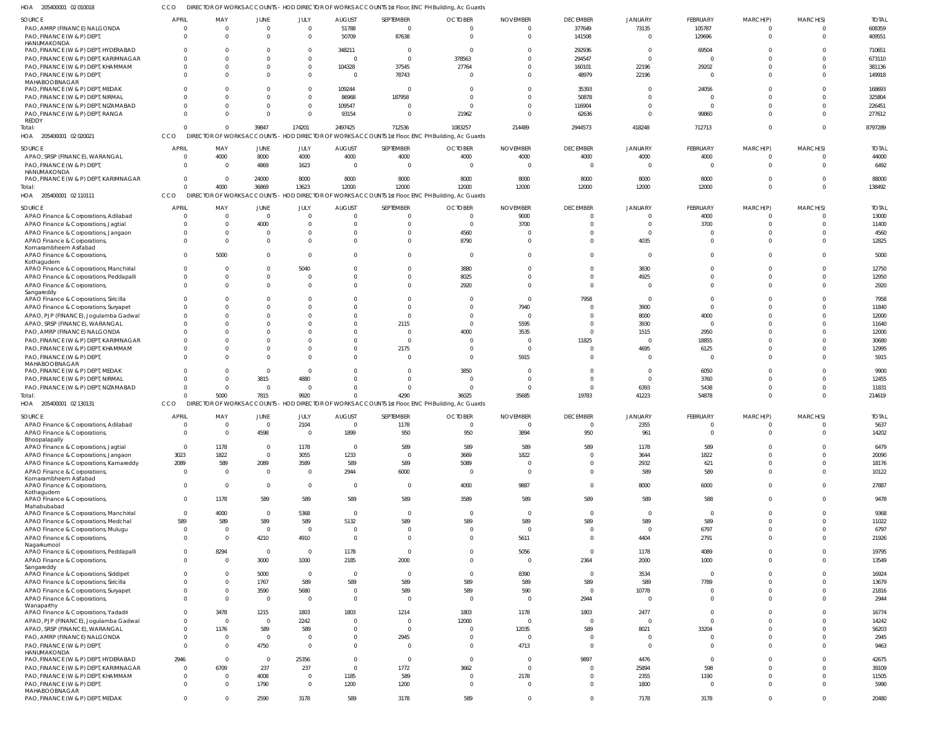| HOA<br>205400001 02 010018                              |                |                      |                |                            |                         |                | DIRECTOR OF WORKS ACCOUNTS - HOD DIRECTOR OF WORKS ACCOUNTS 1st Floor, ENC PH Building, Ac Guards |                 |                 |                |                 |                      |                |              |
|---------------------------------------------------------|----------------|----------------------|----------------|----------------------------|-------------------------|----------------|---------------------------------------------------------------------------------------------------|-----------------|-----------------|----------------|-----------------|----------------------|----------------|--------------|
| SOURCE                                                  | <b>APRIL</b>   | MAY                  | <b>JUNE</b>    | JULY                       | <b>AUGUST</b>           | SEPTEMBER      | <b>OCTOBER</b>                                                                                    | <b>NOVEMBER</b> | <b>DECEMBER</b> | <b>JANUARY</b> | FEBRUARY        | MARCH(P)             | MARCH(S)       | <b>TOTAL</b> |
| PAO, AMRP (FINANCE) NALGONDA                            | - 0            | $\Omega$             | $\mathbf 0$    | $\overline{0}$             | 51788                   | $\overline{0}$ | $\cap$                                                                                            | -C              | 377649          | 73135          | 105787          | $\overline{0}$       | $^{\circ}$     | 608359       |
| PAO, FINANCE (W & P) DEPT                               | $\cap$         | $\Omega$             | $\Omega$       | $\overline{0}$             | 50709                   | 87638          | $\Omega$                                                                                          | $\Omega$        | 141508          | $\Omega$       | 129696          | $\mathbf{0}$         | $\mathbf 0$    | 409551       |
| HANUMAKONDA                                             |                |                      |                |                            |                         |                |                                                                                                   |                 |                 |                |                 |                      |                |              |
| PAO, FINANCE (W & P) DEPT, HYDERABAD                    |                | <sup>0</sup>         |                | $\mathbf{0}$               | 348211                  | $\overline{0}$ | $\Omega$                                                                                          |                 | 292936          | - 0<br>$\cap$  | 69504           |                      | 0              | 710651       |
| PAO, FINANCE (W & P) DEPT, KARIMNAGAR                   | $\cap$         | $\Omega$             | $\Omega$       | $\mathbf 0$                | $\overline{0}$          | $\overline{0}$ | 378563                                                                                            |                 | 294547          |                |                 | $\Omega$             | $\Omega$       | 673110       |
| PAO, FINANCE (W & P) DEPT, KHAMMAM                      | $\cap$         | $\Omega$<br>$\Omega$ | 0<br>$\Omega$  | $\mathbf 0$<br>$\mathbf 0$ | 104328<br>$\Omega$      | 37545          | 27764                                                                                             |                 | 160101          | 22196          | 29202           | $\Omega$<br>$\Omega$ | $\mathbf 0$    | 381136       |
| PAO, FINANCE (W & P) DEPT<br>MAHABOOBNAGAR              |                |                      |                |                            |                         | 78743          |                                                                                                   |                 | 48979           | 22196          |                 |                      | $\mathbf 0$    | 149918       |
| PAO, FINANCE (W & P) DEPT, MEDAK                        |                | <sup>0</sup>         |                | $\mathbf 0$                | 109244                  | $\overline{0}$ | - 0                                                                                               |                 | 35393           |                | 24056           |                      | $\Omega$       | 168693       |
| PAO, FINANCE (W & P) DEPT, NIRMAL                       |                | $\Omega$             | $\Omega$       | $\overline{0}$             | 86968                   | 187958         | $\Omega$                                                                                          |                 | 50878           |                |                 |                      | $\mathbf 0$    | 325804       |
| PAO, FINANCE (W & P) DEPT, NIZAMABAD                    |                | $\Omega$             |                | $\mathbf{0}$               | 109547                  | 0              | $\Omega$                                                                                          |                 | 116904          | $\Omega$       | $\Omega$        | $\Omega$             | $\Omega$       | 226451       |
| PAO, FINANCE (W & P) DEPT, RANGA                        |                | $\Omega$             | $\Omega$       | $\overline{0}$             | 93154                   | $\overline{0}$ | 21962                                                                                             |                 | 62636           | $\Omega$       | 99860           | $\Omega$             | $\mathbf 0$    | 277612       |
| REDDY                                                   |                |                      |                |                            |                         |                |                                                                                                   |                 |                 |                |                 |                      |                |              |
| Total:                                                  |                | $\Omega$             | 39847          | 174201                     | 2497425                 | 712536         | 1083257                                                                                           | 214489          | 2944573         | 418248         | 712713          | $\Omega$             | $\mathbf{0}$   | 8797289      |
| HOA 205400001 02 020021                                 | CCO            |                      |                |                            |                         |                | DIRECTOR OF WORKS ACCOUNTS - HOD DIRECTOR OF WORKS ACCOUNTS 1st Floor, ENC PH Building, Ac Guards |                 |                 |                |                 |                      |                |              |
| SOURCE                                                  | <b>APRIL</b>   | MAY                  | <b>JUNE</b>    | JULY                       | <b>AUGUST</b>           | SEPTEMBER      | <b>OCTOBER</b>                                                                                    | <b>NOVEMBER</b> | <b>DECEMBER</b> | <b>JANUARY</b> | FEBRUARY        | MARCH(P)             | MARCH(S)       | <b>TOTAL</b> |
| APAO, SRSP (FINANCE), WARANGAL                          | - 0            | 4000                 | 8000           | 4000                       | 4000                    | 4000           | 4000                                                                                              | 4000            | 4000            | 4000           | 4000            | $^{\circ}$           | $\mathbf 0$    | 44000        |
| PAO, FINANCE (W & P) DEPT                               | $\Omega$       | $\Omega$             | 4869           | 1623                       | $\overline{\mathbf{0}}$ | $\overline{0}$ | - 0                                                                                               | - 0             | $\overline{0}$  | $\cap$         | $\overline{0}$  | $\overline{0}$       | $\overline{0}$ | 6492         |
| HANUMAKONDA                                             |                |                      |                |                            |                         |                |                                                                                                   |                 |                 |                |                 |                      |                |              |
| PAO, FINANCE (W & P) DEPT, KARIMNAGAR                   | $\Omega$       | $\Omega$             | 24000          | 8000                       | 8000                    | 8000           | 8000                                                                                              | 8000            | 8000            | 8000           | 8000            | $\Omega$             | $\mathbf 0$    | 88000        |
| Total:                                                  |                | 4000                 | 36869          | 13623                      | 12000                   | 12000          | 12000                                                                                             | 12000           | 12000           | 12000          | 12000           | $\Omega$             | $\overline{0}$ | 138492       |
| HOA 205400001 02 110111                                 | CCO            |                      |                |                            |                         |                | DIRECTOR OF WORKS ACCOUNTS - HOD DIRECTOR OF WORKS ACCOUNTS 1st Floor, ENC PH Building, Ac Guards |                 |                 |                |                 |                      |                |              |
| <b>SOURCE</b>                                           | <b>APRIL</b>   | MAY                  | JUNE           | JULY                       | <b>AUGUST</b>           | SEPTEMBER      | <b>OCTOBER</b>                                                                                    | <b>NOVEMBER</b> | <b>DECEMBER</b> | <b>JANUARY</b> | FEBRUARY        | MARCH(P)             | MARCH(S)       | <b>TOTAL</b> |
| APAO Finance & Corporations, Adilabad                   |                | $\Omega$             | $\mathbf 0$    | $\overline{0}$             | $\Omega$                | $\mathbf{0}$   | $\Omega$                                                                                          | 9000            | $\overline{0}$  |                | 4000            | $\Omega$             | $^{\circ}$     | 13000        |
| APAO Finance & Corporations, Jagtial                    | $\Omega$       | $\Omega$             | 4000           | $\overline{0}$             | $\Omega$                | $\mathbf{0}$   | $\overline{0}$                                                                                    | 3700            | $\Omega$        | $\Omega$       | 3700            | $\Omega$             | $\mathbf 0$    | 11400        |
| APAO Finance & Corporations, Jangaon                    |                | $\Omega$             | 0              | $\overline{0}$             | $\Omega$                | $\mathbf 0$    | 4560                                                                                              |                 | $\Omega$        | $\Omega$       |                 | 0                    | $\mathbf 0$    | 4560         |
| APAO Finance & Corporations,                            | $\cap$         | $\Omega$             | $\Omega$       | $\Omega$                   | $\Omega$                | $\Omega$       | 8790                                                                                              |                 | $\Omega$        | 4035           |                 | $\Omega$             | $\mathbf 0$    | 12825        |
| Komarambheem Asifabad                                   |                |                      |                |                            |                         |                |                                                                                                   |                 |                 |                |                 |                      |                |              |
| APAO Finance & Corporations,                            |                | 5000                 | $\Omega$       | $\Omega$                   | $\Omega$                | $\mathbf 0$    | $\Omega$                                                                                          |                 | $\Omega$        | $\Omega$       |                 | $\Omega$             | $\mathbf 0$    | 5000         |
| Kothagudem<br>APAO Finance & Corporations, Manchirial   | $\Omega$       | $\Omega$             | $\Omega$       | 5040                       | <sup>0</sup>            | $\mathbf 0$    | 3880                                                                                              |                 | $\overline{0}$  | 3830           |                 | $\Omega$             | $\mathbf 0$    | 12750        |
| APAO Finance & Corporations, Peddapalli                 |                | $\Omega$             |                | $\mathbf 0$                | $\Omega$                | $\mathbf 0$    | 8025                                                                                              |                 | $\Omega$        | 4925           |                 | $\Omega$             | $\mathbf 0$    | 12950        |
| APAO Finance & Corporations,                            | $\cap$         | $\Omega$             | $\Omega$       | $\Omega$                   | $\Omega$                | $\Omega$       | 2920                                                                                              |                 | $\Omega$        |                |                 | $\Omega$             | $\Omega$       | 2920         |
| Sangareddy                                              |                |                      |                |                            |                         |                |                                                                                                   |                 |                 |                |                 |                      |                |              |
| APAO Finance & Corporations, Siricilla                  |                | <sup>0</sup>         |                | $\Omega$                   |                         | $\Omega$       | $\Omega$                                                                                          | $\Omega$        | 7958            | - 0            |                 |                      | $\Omega$       | 7958         |
| APAO Finance & Corporations, Suryapet                   |                | $\Omega$             |                | $\Omega$                   | $\Omega$                | $\Omega$       | $\Omega$                                                                                          | 7940            | $\Omega$        | 3900           | $\Omega$        |                      | $\Omega$       | 11840        |
| APAO, PJP (FINANCE), Jogulamba Gadwal                   |                | $\Omega$             |                | $\Omega$                   |                         | $\mathbf{0}$   | $\Omega$                                                                                          | $\mathsf{C}$    | $\Omega$        | 8000           | 4000            |                      | $\Omega$       | 12000        |
| APAO, SRSP (FINANCE), WARANGAL                          |                | <sup>0</sup>         |                | $\Omega$                   | <sup>0</sup>            | 2115           | $\Omega$                                                                                          | 5595            | $\Omega$        | 3930           |                 |                      | $\Omega$       | 11640        |
| PAO, AMRP (FINANCE) NALGONDA                            |                | $\Omega$             |                | $\Omega$                   |                         | $\overline{0}$ | 4000                                                                                              | 3535            | $\Omega$        | 1515           | 2950            |                      | $\Omega$       | 12000        |
| PAO, FINANCE (W & P) DEPT, KARIMNAGAR                   |                | $\Omega$             |                | $\Omega$                   | <sup>0</sup>            | $\Omega$       | $\Omega$                                                                                          | -C              | 11825           |                | 18855           |                      | $\Omega$       | 30680        |
| PAO, FINANCE (W & P) DEPT, KHAMMAM                      |                | $\Omega$             |                | $\Omega$                   | $\Omega$                | 2175           | $\Omega$                                                                                          | $\Omega$        | $\Omega$        | 4695           | 6125            | $\Omega$             | $\Omega$       | 12995        |
| PAO, FINANCE (W & P) DEPT,                              |                | $\Omega$             | $\Omega$       | $\Omega$                   | $\Omega$                | $\Omega$       | $\Omega$                                                                                          | 5915            | $\Omega$        |                | $\Omega$        | $\Omega$             | $\Omega$       | 5915         |
| MAHABOOBNAGAR<br>PAO, FINANCE (W & P) DEPT, MEDAK       |                | <sup>0</sup>         | $\Omega$       | $\Omega$                   |                         | $\Omega$       | 3850                                                                                              |                 | $\Omega$        | $\Omega$       | 6050            |                      | $\Omega$       | 9900         |
| PAO, FINANCE (W & P) DEPT, NIRMAL                       |                | $\Omega$             | 3815           | 4880                       | <sup>0</sup>            | $\Omega$       | $\Omega$                                                                                          |                 | $\Omega$        | $\Omega$       | 3760            |                      | $\Omega$       | 12455        |
| PAO, FINANCE (W & P) DEPT, NIZAMABAD                    |                | $\Omega$             | $\mathbf 0$    | $\Omega$                   | <sup>0</sup>            | $\Omega$       | $\Omega$                                                                                          | -C              | $\Omega$        | 6393           | 5438            | $\Omega$             | $\Omega$       | 11831        |
| Total:                                                  |                | 5000                 | 7815           | 9920                       | <sup>0</sup>            | 4290           | 36025                                                                                             | 35685           | 19783           | 41223          | 54878           | $\Omega$             | $\Omega$       | 214619       |
| 205400001 02 130131<br>HOA                              | CCO            | <b>DIREC</b>         |                |                            |                         |                | IOR OF WORKS ACCOUNIS - HOD DIRECTOR OF WORKS ACCOUNIS 1st Floor, ENC PH Building, Ac Guards      |                 |                 |                |                 |                      |                |              |
|                                                         |                |                      |                |                            |                         |                |                                                                                                   |                 |                 |                |                 |                      |                |              |
| <b>SOURCE</b>                                           | APRIL          | MAY                  | <b>JUNE</b>    | JULY                       | <b>AUGUST</b>           | SEPTEMBER      | <b>OCTOBER</b>                                                                                    | <b>NOVEMBER</b> | <b>DECEMBER</b> | <b>JANUARY</b> | <b>FEBRUARY</b> | MARCH(P)             | MARCH(S)       | <b>TOTAL</b> |
| APAO Finance & Corporations, Adilabad                   | $\Omega$       | $\Omega$             | $\mathbf 0$    | 2104                       | $\overline{0}$          | 1178           | $\Omega$                                                                                          | $\Omega$        | $\overline{0}$  | 2355           | $\Omega$        | $\Omega$             | $\mathbf 0$    | 5637         |
| APAO Finance & Corporations,<br>Bhoopalapally           | $\Omega$       | $\Omega$             | 4598           | $\overline{0}$             | 1899                    | 950            | 950                                                                                               | 3894            | 950             | 961            | $\mathbf 0$     | $\mathbf{0}$         | $\mathbf 0$    | 14202        |
| APAO Finance & Corporations, Jagtial                    | $\Omega$       | 1178                 | $\Omega$       | 1178                       | $\Omega$                | 589            | 589                                                                                               | 589             | 589             | 1178           | 589             | $\Omega$             | $\Omega$       | 6479         |
| APAO Finance & Corporations, Jangaon                    | 3023           | 1822                 | $\mathbf 0$    | 3055                       | 1233                    | $\mathbf{0}$   | 3669                                                                                              | 1822            | $\Omega$        | 3644           | 1822            | $\Omega$             | $\overline{0}$ | 20090        |
| APAO Finance & Corporations, Kamareddy                  | 2089           | 589                  | 2089           | 3589                       | 589                     | 589            | 5089                                                                                              | -C              | $\Omega$        | 2932           | 621             | $\Omega$             | $\overline{0}$ | 18176        |
| APAO Finance & Corporations,                            | $\Omega$       | $\Omega$             | $\mathbf{0}$   | $\overline{0}$             | 2944                    | 6000           | $\Omega$                                                                                          | $\mathsf{C}$    | $\Omega$        | 589            | 589             | $\Omega$             | $\Omega$       | 10122        |
| Komarambheem Asifabad                                   |                |                      |                |                            |                         |                |                                                                                                   |                 |                 |                |                 |                      |                |              |
| APAO Finance & Corporations,                            | $\Omega$       | $\overline{0}$       | $\mathbf 0$    | $\overline{0}$             | $\overline{0}$          | $\overline{0}$ | 4000                                                                                              | 9887            | $\overline{0}$  | 8000           | 6000            | $\overline{0}$       | $\mathbf{0}$   | 27887        |
| Kothagudem<br>APAO Finance & Corporations,              | $\Omega$       | 1178                 | 589            | 589                        | 589                     | 589            | 3589                                                                                              | 589             | 589             | 589            | 588             | $\Omega$             | $\mathbf{0}$   | 9478         |
| Mahabubabad                                             |                |                      |                |                            |                         |                |                                                                                                   |                 |                 |                |                 |                      |                |              |
| APAO Finance & Corporations, Manchirial                 | $\overline{0}$ | 4000                 | $\Omega$       | 5368                       | $\Omega$                | $\overline{0}$ | $\overline{0}$                                                                                    | $\Omega$        | $\overline{0}$  | $\Omega$       | $\Omega$        | $\Omega$             | $\mathbf{0}$   | 9368         |
| APAO Finance & Corporations, Medchal                    | 589            | 589                  | 589            | 589                        | 5132                    | 589            | 589                                                                                               | 589             | 589             | 589            | 589             | $\Omega$             | $\mathbf 0$    | 11022        |
| APAO Finance & Corporations, Mulugu                     | $\overline{0}$ | $\overline{0}$       | $\mathbf{0}$   | $\overline{0}$             | $\Omega$                | $\mathbf{0}$   | $\Omega$                                                                                          | - 0             | $\Omega$        | $\Omega$       | 6797            | $\Omega$             | $\overline{0}$ | 6797         |
| APAO Finance & Corporations,                            | $\Omega$       | $\Omega$             | 4210           | 4910                       | $\Omega$                | $\mathbf{0}$   | $\Omega$                                                                                          | 5611            | $\Omega$        | 4404           | 2791            | $\Omega$             | $\Omega$       | 21926        |
| Nagarkurnool<br>APAO Finance & Corporations, Peddapalli | $\Omega$       | 8294                 | $\mathbf{0}$   | $\overline{0}$             | 1178                    | $\overline{0}$ | $\Omega$                                                                                          | 5056            | $\overline{0}$  | 1178           | 4089            | $\Omega$             | $\Omega$       | 19795        |
| APAO Finance & Corporations,                            | $\Omega$       | $\Omega$             | 3000           | 1000                       | 2185                    | 2000           | $\Omega$                                                                                          | - 0             | 2364            | 2000           | 1000            | $\Omega$             | $\overline{0}$ | 13549        |
| Sangareddy                                              |                |                      |                |                            |                         |                |                                                                                                   |                 |                 |                |                 |                      |                |              |
| APAO Finance & Corporations, Siddipet                   | $\Omega$       | $\Omega$             | 5000           | $\overline{0}$             | $\Omega$                | $\overline{0}$ | $\Omega$                                                                                          | 8390            | $\overline{0}$  | 3534           | $\overline{0}$  | $\Omega$             | $\Omega$       | 16924        |
| APAO Finance & Corporations, Siricilla                  | $\Omega$       | $\Omega$             | 1767           | 589                        | 589                     | 589            | 589                                                                                               | 589             | 589             | 589            | 7789            | $\Omega$             | $\overline{0}$ | 13679        |
| APAO Finance & Corporations, Suryapet                   | $\Omega$       | $\Omega$             | 3590           | 5680                       | $\overline{0}$          | 589            | 589                                                                                               | 590             | $\overline{0}$  | 10778          | $\Omega$        | $\Omega$             | $\overline{0}$ | 21816        |
| APAO Finance & Corporations,                            | $\Omega$       | $\Omega$             | $\overline{0}$ | $\overline{0}$             | $\Omega$                | $\mathbf{0}$   | $\overline{0}$                                                                                    | $\sqrt{ }$      | 2944            | $\Omega$       | $\Omega$        | $\Omega$             | $\Omega$       | 2944         |
| Wanaparthy                                              |                |                      |                |                            |                         |                |                                                                                                   |                 |                 |                |                 |                      |                |              |
| APAO Finance & Corporations, Yadadri                    | $\Omega$       | 3478                 | 1215           | 1803                       | 1803                    | 1214           | 1803                                                                                              | 1178            | 1803            | 2477           | $\Omega$        | $\Omega$             | $\Omega$       | 16774        |
| APAO, PJP (FINANCE), Jogulamba Gadwal                   | $\Omega$       | $\Omega$             | $\mathbf 0$    | 2242                       | $\Omega$                | $\mathbf{0}$   | 12000                                                                                             | $\mathsf{C}$    | $\Omega$        | $\Omega$       | $\Omega$        | $\Omega$             | $\overline{0}$ | 14242        |
| APAO, SRSP (FINANCE), WARANGAL                          | $\Omega$       | 1176                 | 589            | 589                        | $\Omega$                | $\overline{0}$ | $\overline{0}$                                                                                    | 12035           | 589             | 8021           | 33204           | $\Omega$             | $\overline{0}$ | 56203        |
| PAO, AMRP (FINANCE) NALGONDA                            | $\Omega$       | $\Omega$             | $\overline{0}$ | $\overline{0}$             | $\Omega$                | 2945           | $\Omega$                                                                                          | - 0             | $\Omega$        | $\Omega$       | $\Omega$        | $\Omega$             | $\overline{0}$ | 2945         |
| PAO, FINANCE (W & P) DEPT,<br>HANUMAKONDA               | $\Omega$       | $\Omega$             | 4750           | $\overline{0}$             | $\Omega$                | $\overline{0}$ | $\Omega$                                                                                          | 4713            | $\Omega$        | $\Omega$       | $\Omega$        | $\Omega$             | $\overline{0}$ | 9463         |
| PAO, FINANCE (W & P) DEPT, HYDERABAD                    | 2946           | $\overline{0}$       | $\mathbf{0}$   | 25356                      | $\Omega$                | $\overline{0}$ | $\overline{0}$                                                                                    | $\Omega$        | 9897            | 4476           | $\mathbf 0$     | $\Omega$             | $\Omega$       | 42675        |
| PAO, FINANCE (W & P) DEPT, KARIMNAGAR                   | $\overline{0}$ | 6709                 | 237            | 237                        | $\Omega$                | 1772           | 3662                                                                                              | $\Omega$        | $\Omega$        | 25894          | 598             | $\Omega$             | $\overline{0}$ | 39109        |
| PAO, FINANCE (W & P) DEPT, KHAMMAM                      | $\Omega$       | $\Omega$             | 4008           | $\overline{0}$             | 1185                    | 589            | $\Omega$                                                                                          | 2178            | $\Omega$        | 2355           | 1190            | $\Omega$             | $\overline{0}$ | 11505        |
| PAO, FINANCE (W & P) DEPT,                              | $\Omega$       | $\overline{0}$       | 1790           | $\overline{0}$             | 1200                    | 1200           | $\overline{0}$                                                                                    |                 | $\Omega$        | 1800           | $\mathbf 0$     | $\mathbf 0$          | $\overline{0}$ | 5990         |
| MAHABOOBNAGAR                                           |                |                      |                |                            |                         |                |                                                                                                   |                 |                 |                |                 |                      |                |              |
| PAO, FINANCE (W & P) DEPT, MEDAK                        | $\overline{0}$ | 0                    | 2590           | 3178                       | 589                     | 3178           | 589                                                                                               | 0               | $\mathbf{0}$    | 7178           | 3178            | $\mathbf{0}$         | $\mathbf 0$    | 20480        |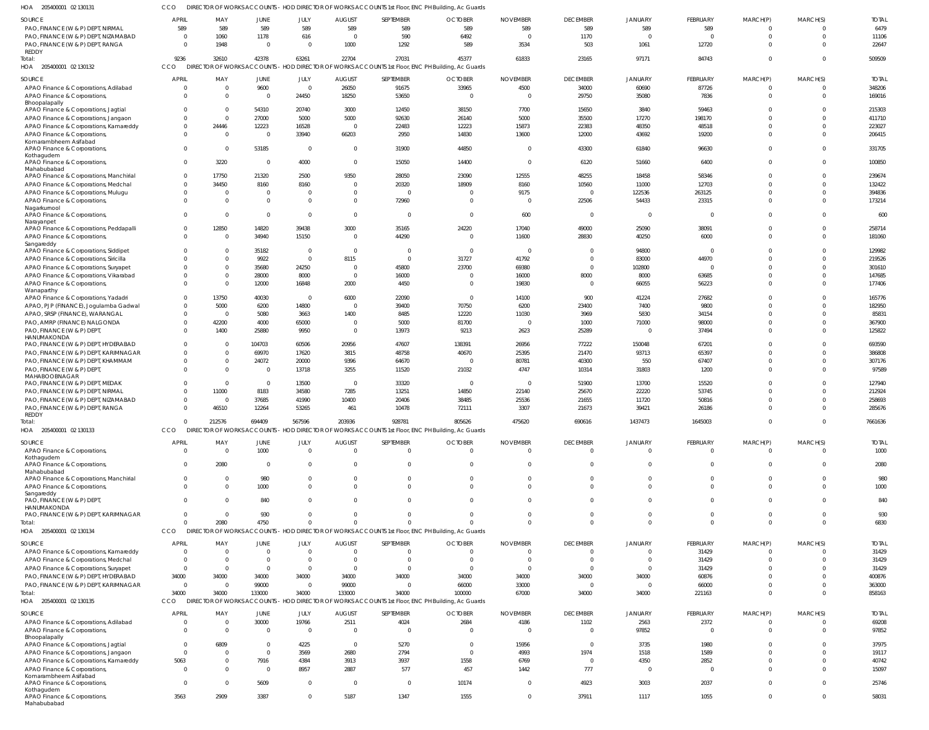| SOURCE                                                                        | <b>APRIL</b>   | MAY            | JUNE     | JULY           | <b>AUGUST</b>  | SEPTEMBER      | <b>OCTOBER</b>                                                                                    | <b>NOVEMBER</b> | <b>DECEMBER</b>          | <b>JANUARY</b> | FEBRUARY       | MARCH(P) | MARCH(S)       | <b>TOTAI</b>    |
|-------------------------------------------------------------------------------|----------------|----------------|----------|----------------|----------------|----------------|---------------------------------------------------------------------------------------------------|-----------------|--------------------------|----------------|----------------|----------|----------------|-----------------|
| PAO, FINANCE (W & P) DEPT, NIRMAL                                             | 589            | 589            | 589      | 589            | 589            | 589            | 589                                                                                               | 589             | 589                      | 589            | 589            | $\Omega$ | $\Omega$       | 6479            |
| PAO, FINANCE (W & P) DEPT, NIZAMABAD                                          | $\Omega$       | 1060           | 1178     | 616            | $\Omega$       | 590            | 6492                                                                                              | $\Omega$        | 1170                     | $\Omega$       | $\Omega$       | $\Omega$ | $\Omega$       | 11106           |
| PAO, FINANCE (W & P) DEPT, RANGA                                              | $\Omega$       | 1948           | $\Omega$ | $\Omega$       | 1000           | 1292           | 589                                                                                               | 3534            | 503                      | 1061           | 12720          | $\Omega$ | $\Omega$       | 22647           |
| REDDY                                                                         |                |                |          |                |                |                |                                                                                                   |                 |                          |                |                |          |                |                 |
| Total:                                                                        | 9236<br>CCO    | 32610          | 42378    | 63261          | 22704          | 27031          | 45377                                                                                             | 61833           | 23165                    | 97171          | 84743          | $\Omega$ | $\Omega$       | 509509          |
| HOA 205400001 02 130132                                                       |                |                |          |                |                |                | DIRECTOR OF WORKS ACCOUNTS - HOD DIRECTOR OF WORKS ACCOUNTS 1st Floor, ENC PH Building, Ac Guards |                 |                          |                |                |          |                |                 |
| SOURCE                                                                        | <b>APRIL</b>   | MAY            | JUNE     | JULY           | <b>AUGUST</b>  | SEPTEMBER      | <b>OCTOBER</b>                                                                                    | <b>NOVEMBER</b> | <b>DECEMBER</b>          | <b>JANUARY</b> | FEBRUARY       | MARCH(P) | MARCH(S)       | <b>TOTAL</b>    |
| APAO Finance & Corporations, Adilabad                                         | $\overline{0}$ | $\overline{0}$ | 9600     | $\overline{0}$ | 26050          | 91675          | 33965                                                                                             | 4500            | 34000                    | 60690          | 87726          | $\Omega$ | $\overline{0}$ | 348206          |
| APAO Finance & Corporations,                                                  | $\Omega$       | $\Omega$       | $\Omega$ | 24450          | 18250          | 53650          | - 0                                                                                               | - 0             | 29750                    | 35080          | 7836           | $\Omega$ | $\overline{0}$ | 169016          |
| Bhoopalapally                                                                 |                |                |          |                |                |                |                                                                                                   |                 |                          |                |                |          |                |                 |
| APAO Finance & Corporations, Jagtial                                          | $\overline{0}$ | $\Omega$       | 54310    | 20740          | 3000           | 12450          | 38150                                                                                             | 7700            | 15650                    | 3840           | 59463          | $\Omega$ | $\Omega$       | 215303          |
| APAO Finance & Corporations, Jangaon                                          | $\overline{0}$ | $\Omega$       | 27000    | 5000           | 5000           | 92630          | 26140                                                                                             | 5000            | 35500                    | 17270          | 198170         | $\Omega$ | $\Omega$       | 411710          |
| APAO Finance & Corporations, Kamareddy                                        | $\overline{0}$ | 24446          | 12223    | 16528          | $\Omega$       | 22483          | 12223                                                                                             | 15873           | 22383                    | 48350          | 48518          | $\Omega$ | $\overline{0}$ | 223027          |
| APAO Finance & Corporations,                                                  | $\Omega$       | $\overline{0}$ | $\Omega$ | 33940          | 66203          | 2950           | 14830                                                                                             | 13600           | 12000                    | 43692          | 19200          | $\Omega$ | $\Omega$       | 206415          |
| Komarambheem Asifabad                                                         |                |                |          |                |                |                |                                                                                                   |                 |                          |                |                |          |                |                 |
| APAO Finance & Corporations,                                                  | $\overline{0}$ | $\overline{0}$ | 53185    | $\mathbf 0$    | $\Omega$       | 31900          | 44850                                                                                             |                 | 43300                    | 61840          | 96630          | $\Omega$ | $\Omega$       | 331705          |
| Kothagudem<br>APAO Finance & Corporations,                                    | $\overline{0}$ | 3220           | $\Omega$ | 4000           | $\Omega$       | 15050          | 14400                                                                                             | $\Omega$        | 6120                     | 51660          | 6400           | $\Omega$ | $\Omega$       | 100850          |
| Mahabubabad                                                                   |                |                |          |                |                |                |                                                                                                   |                 |                          |                |                |          |                |                 |
| APAO Finance & Corporations, Manchirial                                       | $\overline{0}$ | 17750          | 21320    | 2500           | 9350           | 28050          | 23090                                                                                             | 12555           | 48255                    | 18458          | 58346          | $\Omega$ | $\Omega$       | 239674          |
| APAO Finance & Corporations, Medchal                                          | $\overline{0}$ | 34450          | 8160     | 8160           | $\Omega$       | 20320          | 18909                                                                                             | 8160            | 10560                    | 11000          | 12703          | $\Omega$ | $\overline{0}$ | 132422          |
| APAO Finance & Corporations, Mulugu                                           | $\overline{0}$ | $\overline{0}$ | $\Omega$ | 0              | - 0            | $\overline{0}$ | $\Omega$                                                                                          | 9175            | $\overline{\phantom{0}}$ | 122536         | 263125         | $\Omega$ | $\overline{0}$ | 394836          |
| APAO Finance & Corporations,                                                  | $\overline{0}$ | $\Omega$       | $\Omega$ | $\mathbf{0}$   | $\Omega$       | 72960          | $\Omega$                                                                                          | - 0             | 22506                    | 54433          | 23315          | $\Omega$ | $\Omega$       | 173214          |
| Nagarkurnool                                                                  |                |                |          |                |                |                |                                                                                                   |                 |                          |                |                |          |                |                 |
| APAO Finance & Corporations,                                                  | $\overline{0}$ | $\overline{0}$ | $\Omega$ | $\mathbf 0$    | $\Omega$       | $\overline{0}$ | $\Omega$                                                                                          | 600             | $\overline{\mathbf{0}}$  | $\overline{0}$ | $\Omega$       | $\Omega$ | $\overline{0}$ | 600             |
| Narayanpet                                                                    |                |                |          |                |                |                |                                                                                                   |                 |                          |                |                |          |                |                 |
| APAO Finance & Corporations, Peddapalli                                       | $\overline{0}$ | 12850          | 14820    | 39438          | 3000           | 35165          | 24220                                                                                             | 17040           | 49000                    | 25090          | 38091          | $\Omega$ | $\overline{0}$ | 258714          |
| APAO Finance & Corporations,                                                  | $\overline{0}$ | $\Omega$       | 34940    | 15150          | $\Omega$       | 44290          | $\Omega$                                                                                          | 11600           | 28830                    | 40250          | 6000           | $\Omega$ | $\overline{0}$ | 181060          |
| Sangareddy                                                                    |                |                |          |                |                |                |                                                                                                   |                 |                          |                |                |          |                |                 |
| APAO Finance & Corporations, Siddipet                                         | $\overline{0}$ | $\Omega$       | 35182    | $\mathbf{0}$   | $\Omega$       | $\mathbf 0$    | $\overline{0}$                                                                                    | $\Omega$        | $\overline{\mathbf{0}}$  | 94800          | $\mathbf{0}$   | $\Omega$ | $\Omega$       | 129982          |
| APAO Finance & Corporations, Siricilla                                        | $\Omega$       | $\Omega$       | 9922     | $\mathbf 0$    | 8115           | $\overline{0}$ | 31727                                                                                             | 41792           | $\overline{\mathbf{0}}$  | 83000          | 44970          | $\Omega$ | $\overline{0}$ | 219526          |
| APAO Finance & Corporations, Suryapet                                         | $\overline{0}$ | $\Omega$       | 35680    | 24250          | $\Omega$       | 45800          | 23700                                                                                             | 69380           | $\overline{0}$           | 102800         | $\Omega$       | $\Omega$ | $\Omega$       | 301610          |
| APAO Finance & Corporations, Vikarabad                                        | $\overline{0}$ | $\Omega$       | 28000    | 8000           | $\overline{0}$ | 16000          | - 0                                                                                               | 16000           | 8000                     | 8000           | 63685          | $\Omega$ | $\overline{0}$ | 147685          |
| APAO Finance & Corporations,                                                  | $\Omega$       | $\Omega$       | 12000    | 16848          | 2000           | 4450           | $\Omega$                                                                                          | 19830           | $\overline{0}$           | 66055          | 56223          | $\Omega$ | $\Omega$       | 177406          |
| Wanaparthy<br>APAO Finance & Corporations, Yadadri                            | $\overline{0}$ | 13750          | 40030    | $\Omega$       | 6000           | 22090          | $\overline{0}$                                                                                    | 14100           | 900                      | 41224          | 27682          | $\Omega$ | $\Omega$       | 165776          |
| APAO, PJP (FINANCE), Jogulamba Gadwal                                         | $\overline{0}$ | 5000           | 6200     | 14800          | $\Omega$       | 39400          | 70750                                                                                             | 6200            | 23400                    | 7400           | 9800           | $\Omega$ | $\Omega$       | 182950          |
| APAO, SRSP (FINANCE), WARANGAL                                                | $\overline{0}$ | - 0            | 5080     |                | 1400           | 8485           | 12220                                                                                             | 11030           | 3969                     | 5830           | 34154          | $\Omega$ | $\Omega$       | 8583            |
|                                                                               | $\overline{0}$ | 42200          |          | 3663           | $\Omega$       | 5000           | 81700                                                                                             | $\Omega$        |                          |                |                | $\Omega$ | $\Omega$       |                 |
| PAO, AMRP (FINANCE) NALGONDA                                                  |                |                | 4000     | 65000          |                |                |                                                                                                   |                 | 1000                     | 71000          | 98000          |          |                | 367900          |
| PAO, FINANCE (W & P) DEPT,<br>HANUMAKONDA                                     | $\Omega$       | 1400           | 25880    | 9950           | $\Omega$       | 13973          | 9213                                                                                              | 2623            | 25289                    | $\circ$        | 37494          | $\Omega$ | $\Omega$       | 125822          |
| PAO, FINANCE (W & P) DEPT, HYDERABAD                                          | $\mathbf{0}$   | - 0            | 104703   | 60506          | 20956          | 47607          | 138391                                                                                            | 26956           | 77222                    | 150048         | 67201          | $\Omega$ | $\overline{0}$ | 693590          |
| PAO, FINANCE (W & P) DEPT, KARIMNAGAR                                         | $\Omega$       | $\Omega$       | 69970    | 17620          | 3815           | 48758          | 40670                                                                                             | 25395           | 21470                    | 93713          | 65397          | $\Omega$ | $\Omega$       | 386808          |
| PAO, FINANCE (W & P) DEPT, KHAMMAM                                            | $\mathbf{0}$   | $\overline{0}$ | 24072    | 20000          | 9396           | 64670          | $\Omega$                                                                                          | 80781           | 40300                    | 550            | 67407          | $\Omega$ | $\overline{0}$ | 307176          |
|                                                                               | $\Omega$       | $\Omega$       | $\Omega$ |                |                | 11520          | 21032                                                                                             | 4747            |                          | 31803          |                | $\Omega$ | $\Omega$       | 97589           |
| PAO, FINANCE (W & P) DEPT,<br>MAHABOOBNAGAR                                   |                |                |          | 13718          | 3255           |                |                                                                                                   |                 | 10314                    |                | 1200           |          |                |                 |
| PAO, FINANCE (W & P) DEPT, MEDAK                                              | $\Omega$       | $\overline{0}$ | $\Omega$ | 13500          | $\overline{0}$ | 33320          | $\overline{0}$                                                                                    | $\overline{0}$  | 51900                    | 13700          | 15520          | $\Omega$ | $\Omega$       | 127940          |
| PAO, FINANCE (W & P) DEPT, NIRMAL                                             | $\Omega$       | 11000          | 8183     | 34580          | 7285           | 13251          | 14850                                                                                             | 22140           | 25670                    | 22220          | 53745          | $\Omega$ | $\Omega$       | 212924          |
| PAO, FINANCE (W & P) DEPT, NIZAMABAD                                          | $\overline{0}$ | - 0            | 37685    | 41990          | 10400          | 20406          | 38485                                                                                             | 25536           | 21655                    | 11720          | 50816          | $\Omega$ | $\Omega$       | 258693          |
| PAO, FINANCE (W & P) DEPT, RANGA                                              | $\Omega$       | 46510          | 12264    | 53265          | 461            | 10478          | 72111                                                                                             | 3307            | 21673                    | 39421          | 26186          |          | $\Omega$       | 285676          |
| REDDY                                                                         |                |                |          |                |                |                |                                                                                                   |                 |                          |                |                |          |                |                 |
| Total:                                                                        | $\Omega$       | 212576         | 694409   | 567596         | 203936         | 928781         | 805626                                                                                            | 475620          | 690616                   | 1437473        | 1645003        | $\Omega$ | $\Omega$       | 7661636         |
| HOA<br>205400001 02 130133                                                    | <b>CCO</b>     |                |          |                |                |                | DIRECTOR OF WORKS ACCOUNTS - HOD DIRECTOR OF WORKS ACCOUNTS 1st Floor, ENC PH Building, Ac Guards |                 |                          |                |                |          |                |                 |
|                                                                               |                |                |          |                |                |                |                                                                                                   |                 |                          |                |                |          |                |                 |
| SOURCE                                                                        | <b>APRIL</b>   | MAY            | JUNE     | JULY           | <b>AUGUST</b>  | SEPTEMBER      | <b>OCTOBER</b>                                                                                    | <b>NOVEMBER</b> | <b>DECEMBER</b>          | <b>JANUARY</b> | FEBRUARY       | MARCH(P) | MARCH(S)       | <b>TOTAL</b>    |
| APAO Finance & Corporations,                                                  | $\Omega$       | $\Omega$       | 1000     | $\Omega$       | $\Omega$       | $\Omega$       | $\Omega$                                                                                          | $\Omega$        | $\Omega$                 | $\Omega$       | $\Omega$       | $\Omega$ | $\Omega$       | 1000            |
| Kothagudem                                                                    |                |                |          |                |                |                |                                                                                                   |                 |                          |                |                |          |                |                 |
| APAO Finance & Corporations,<br>Mahabubabad                                   | $\Omega$       | 2080           | $\Omega$ | 0              | $\Omega$       | $\Omega$       | $\Omega$                                                                                          |                 | $\Omega$                 | $\Omega$       | $\Omega$       | $\Omega$ | $\Omega$       | 2080            |
| APAO Finance & Corporations, Manchirial                                       | $\mathbf{0}$   | $\Omega$       | 980      |                |                | $\Omega$       |                                                                                                   |                 | $\Omega$                 | $\Omega$       | $\Omega$       | $\Omega$ | $\Omega$       | 980             |
| APAO Finance & Corporations,                                                  | $\Omega$       | $\Omega$       | 1000     | $\Omega$       | $\Omega$       | $\Omega$       |                                                                                                   |                 | $\Omega$                 | $\Omega$       | $\Omega$       | $\Omega$ | $\Omega$       | 1000            |
| Sangareddy                                                                    |                |                |          |                |                |                |                                                                                                   |                 |                          |                |                |          |                |                 |
| PAO, FINANCE (W & P) DEPT,                                                    | $\Omega$       | $\Omega$       | 840      |                |                | $\Omega$       |                                                                                                   |                 | $\Omega$                 | $\Omega$       | $\Omega$       | $\Omega$ | $\Omega$       | 840             |
| HANUMAKONDA                                                                   |                |                |          |                |                |                |                                                                                                   |                 |                          |                |                |          |                |                 |
| PAO, FINANCE (W & P) DEPT, KARIMNAGAR                                         | $\Omega$       | $\Omega$       | 930      | $\Omega$       |                | $\Omega$       |                                                                                                   |                 | $\Omega$                 | $\Omega$       | $\Omega$       | $\Omega$ | $\Omega$       | 930             |
| Total:                                                                        | $\Omega$       | 2080           | 4750     | $\Omega$       |                | $\Omega$       |                                                                                                   |                 | $\Omega$                 | $\Omega$       | $\Omega$       | $\Omega$ | $\Omega$       | 6830            |
| HOA 205400001 02 130134                                                       | CCO            |                |          |                |                |                | DIRECTOR OF WORKS ACCOUNTS - HOD DIRECTOR OF WORKS ACCOUNTS 1st Floor, ENC PH Building, Ac Guards |                 |                          |                |                |          |                |                 |
| SOURCE                                                                        | APRIL          | MAY            | JUNE     | JULY           | <b>AUGUST</b>  | SEPTEMBER      | <b>OCTOBER</b>                                                                                    | <b>NOVEMBER</b> | <b>DECEMBER</b>          | <b>JANUARY</b> | FEBRUARY       | MARCH(P) | MARCH(S)       | <b>TOTAL</b>    |
| APAO Finance & Corporations, Kamareddy                                        | $\overline{0}$ | $\Omega$       | $\Omega$ | $\Omega$       | $\Omega$       | $\overline{0}$ | $\Omega$                                                                                          | $\Omega$        | $\overline{0}$           | $\overline{0}$ | 31429          | $\Omega$ | $\Omega$       | 31429           |
| APAO Finance & Corporations, Medchal                                          | $\overline{0}$ | $\Omega$       | $\Omega$ | $\Omega$       | $\Omega$       | $\Omega$       | $\Omega$                                                                                          | $\Omega$        | $\Omega$                 | $\overline{0}$ | 31429          | $\Omega$ | $\Omega$       | 31429           |
|                                                                               | $\overline{0}$ | $\overline{0}$ | $\Omega$ | $\Omega$       | $\Omega$       | $\overline{0}$ | $\Omega$                                                                                          | $\Omega$        | $\overline{\mathbf{0}}$  | $\overline{0}$ |                | $\Omega$ | $\Omega$       |                 |
| APAO Finance & Corporations, Suryapet<br>PAO, FINANCE (W & P) DEPT, HYDERABAD | 34000          | 34000          | 34000    | 34000          | 34000          | 34000          | 34000                                                                                             | 34000           | 34000                    | 34000          | 31429<br>60876 | $\Omega$ | $\Omega$       | 31429<br>400876 |
|                                                                               | $\overline{0}$ | $\overline{0}$ |          | $\mathbf{0}$   |                | $\overline{0}$ |                                                                                                   |                 | $\overline{\mathbf{0}}$  | $\overline{0}$ |                | $\Omega$ | $\Omega$       |                 |
| PAO, FINANCE (W & P) DEPT, KARIMNAGAR                                         |                |                | 99000    |                | 99000          |                | 66000                                                                                             | 33000           |                          |                | 66000          |          |                | 363000          |
| Total:                                                                        | 34000          | 34000          | 133000   | 34000          | 133000         | 34000          | 100000                                                                                            | 67000           | 34000                    | 34000          | 221163         | $\Omega$ | $\Omega$       | 858163          |
| HOA 205400001 02 130135                                                       | CCO            |                |          |                |                |                | DIRECTOR OF WORKS ACCOUNTS - HOD DIRECTOR OF WORKS ACCOUNTS 1st Floor, ENC PH Building, Ac Guards |                 |                          |                |                |          |                |                 |
| SOURCE                                                                        | <b>APRIL</b>   | MAY            | JUNE     | JULY           | <b>AUGUST</b>  | SEPTEMBER      | <b>OCTOBER</b>                                                                                    | <b>NOVEMBER</b> | <b>DECEMBER</b>          | <b>JANUARY</b> | FEBRUARY       | MARCH(P) | MARCH(S)       | <b>TOTAL</b>    |
| APAO Finance & Corporations, Adilabad                                         | $\mathbf{0}$   | $\Omega$       | 30000    | 19766          | 2511           | 4024           | 2684                                                                                              | 4186            | 1102                     | 2563           | 2372           | $\Omega$ | $\Omega$       | 69208           |
| APAO Finance & Corporations,                                                  | $\Omega$       | $\Omega$       | $\Omega$ | $\Omega$       | $\Omega$       | $\overline{0}$ | $\Omega$                                                                                          | $\Omega$        | $\overline{0}$           | 97852          | $\Omega$       | $\Omega$ | $\Omega$       | 97852           |
| Bhoopalapally                                                                 |                |                |          |                |                |                |                                                                                                   |                 |                          |                |                |          |                |                 |
| APAO Finance & Corporations, Jagtial                                          | $\overline{0}$ | 6809           |          | 4225           | $\overline{0}$ | 5270           | $\Omega$                                                                                          | 15956           | $\Omega$                 | 3735           | 1980           | $\Omega$ | $\Omega$       | 37975           |
| APAO Finance & Corporations, Jangaon                                          | $\overline{0}$ | $\Omega$       | $\Omega$ | 3569           | 2680           | 2794           | $\Omega$                                                                                          | 4993            | 1974                     | 1518           | 1589           |          | $\Omega$       | 19117           |
| APAO Finance & Corporations, Kamareddy                                        | 5063           | $\Omega$       | 7916     | 4384           | 3913           | 3937           | 1558                                                                                              | 6769            | $\Omega$                 | 4350           | 2852           | $\Omega$ | $\Omega$       | 40742           |
| APAO Finance & Corporations,                                                  | $\overline{0}$ | $\Omega$       | $\Omega$ | 8957           | 2887           | 577            | 457                                                                                               | 1442            | 777                      | $\overline{0}$ | $\overline{0}$ | $\Omega$ | $\Omega$       | 15097           |
| Komarambheem Asifabad                                                         |                |                |          |                |                |                |                                                                                                   |                 |                          |                |                |          |                |                 |
| APAO Finance & Corporations,                                                  | $\overline{0}$ | $\Omega$       | 5609     | $\Omega$       | $\Omega$       | $\overline{0}$ | 10174                                                                                             | $\Omega$        | 4923                     | 3003           | 2037           | $\Omega$ | $\Omega$       | 25746           |
| Kothagudem                                                                    |                |                |          |                |                |                |                                                                                                   |                 |                          |                |                |          |                |                 |
| APAO Finance & Corporations,<br>Mahabubabad                                   | 3563           | 2909           | 3387     | $\mathbf 0$    | 5187           | 1347           | 1555                                                                                              | $\Omega$        | 37911                    | 1117           | 1055           | $\Omega$ | $\overline{0}$ | 58031           |
|                                                                               |                |                |          |                |                |                |                                                                                                   |                 |                          |                |                |          |                |                 |

CCO DIRECTOR OF WORKS ACCOUNTS - HOD DIRECTOR OF WORKS ACCOUNTS 1st Floor, ENC PH Building, Ac Guards

205400001 02 130131 HOA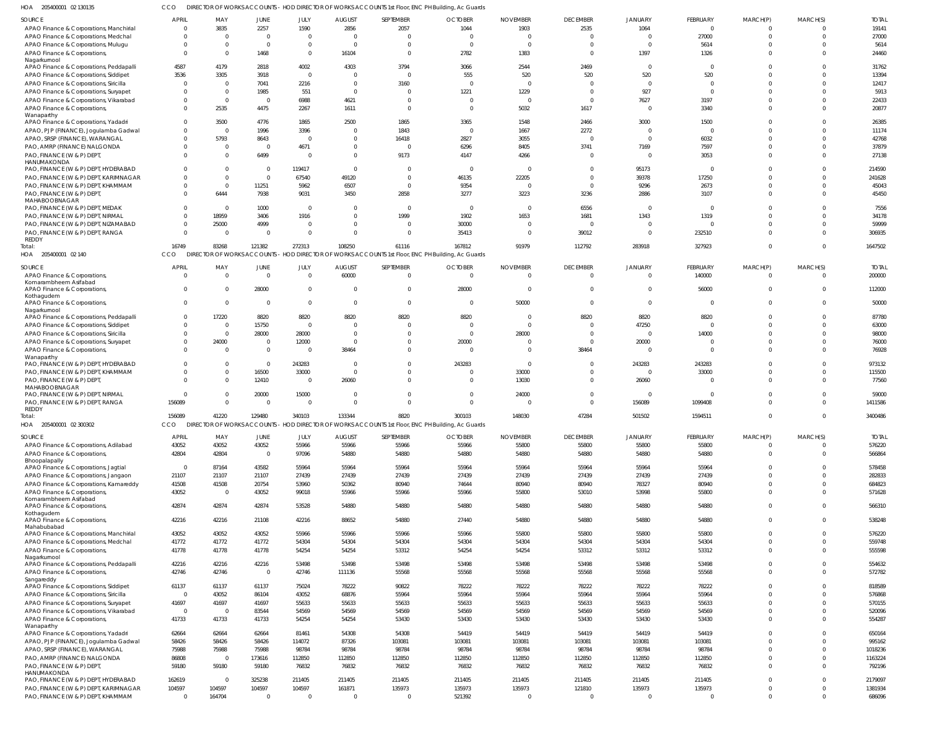205400001 02 130135 HOA CCO DIRECTOR OF WORKS ACCOUNTS - HOD DIRECTOR OF WORKS ACCOUNTS 1st Floor, ENC PH Building, Ac Guards

|                                                                             |                          |                  |                        |                       |                |                          | ion of works Accounts - Hob blitterion of works Accounts ist hour, ENCT if ballarily, Ac ouald.   |                 |                          |                        |                       |                   |                      |                   |
|-----------------------------------------------------------------------------|--------------------------|------------------|------------------------|-----------------------|----------------|--------------------------|---------------------------------------------------------------------------------------------------|-----------------|--------------------------|------------------------|-----------------------|-------------------|----------------------|-------------------|
| SOURCE                                                                      | <b>APRIL</b>             | MAY              | JUNE                   | JULY                  | <b>AUGUST</b>  | SEPTEMBER                | <b>OCTOBER</b>                                                                                    | <b>NOVEMBER</b> | <b>DECEMBER</b>          | JANUARY                | FEBRUARY              | MARCH(P)          | MARCH(S)             | <b>TOTAI</b>      |
| APAO Finance & Corporations, Manchirial                                     | $\mathbf 0$              | 3835             | 2257                   | 1590                  | 2856           | 2057                     | 1044                                                                                              | 1903            | 2535                     | 1064                   | $\mathbf 0$           |                   | $\Omega$             | 19141             |
| APAO Finance & Corporations, Medchal                                        | $\mathbf{0}$             | - 0              | $\overline{0}$         | $\Omega$              | $\Omega$       | $\overline{0}$           | - 0                                                                                               | $\Omega$        | $\Omega$                 | $\Omega$               | 27000                 |                   | $\Omega$             | 27000             |
| APAO Finance & Corporations, Mulugu                                         | $^{\circ}$               | $\Omega$         | $\Omega$               | $\mathbf{0}$          | $\overline{0}$ | $\Omega$                 | $\Omega$                                                                                          | - 0             | $\Omega$                 | $\Omega$               | 5614                  |                   | $\Omega$             | 5614              |
| APAO Finance & Corporations,                                                | $\overline{0}$           | $\Omega$         | 1468                   | $\mathbf{0}$          | 16104          | $\overline{0}$           | 2782                                                                                              | 1383            | $\Omega$                 | 1397                   | 1326                  |                   | $\Omega$             | 24460             |
| Nagarkurnool                                                                |                          |                  |                        |                       |                |                          |                                                                                                   |                 |                          |                        |                       |                   |                      |                   |
| APAO Finance & Corporations, Peddapalli                                     | 4587                     | 4179             | 2818                   | 4002                  | 4303           | 3794                     | 3066                                                                                              | 2544            | 2469                     | $\Omega$               | $\Omega$              |                   | $\Omega$             | 31762             |
| APAO Finance & Corporations, Siddipet                                       | 3536                     | 3305             | 3918                   | $\overline{0}$        | $\Omega$       | $\overline{0}$           | 555                                                                                               | 520             | 520                      | 520                    | 520                   |                   | $\Omega$             | 13394             |
| APAO Finance & Corporations, Siricilla                                      | $\overline{0}$           | $\Omega$         | 7041                   | 2216                  | $\Omega$       | 3160                     | $\Omega$                                                                                          | $\Omega$        | $\Omega$                 | $\Omega$               | $\Omega$              |                   | $\Omega$             | 12417             |
| APAO Finance & Corporations, Suryapet                                       | $\mathbf{0}$             | $\Omega$         | 1985                   | 551                   | $\Omega$       | $\overline{0}$           | 1221                                                                                              | 1229            | $\Omega$                 | 927                    | $\Omega$              |                   | $\cap$               | 5913              |
| APAO Finance & Corporations, Vikarabad                                      | $\Omega$                 | $\Omega$         | $\Omega$               | 6988                  | 4621           | $\Omega$                 | $\Omega$                                                                                          | - 0             | $\Omega$                 | 7627                   | 3197                  |                   | $\Omega$             | 22433             |
| APAO Finance & Corporations,                                                | $\mathbf{0}$             | 2535             | 4475                   | 2267                  | 1611           | $\overline{0}$           | $\Omega$                                                                                          | 5032            | 1617                     | $\Omega$               | 3340                  |                   | $\Omega$             | 20877             |
| Wanaparthy                                                                  |                          |                  |                        |                       |                |                          |                                                                                                   |                 |                          |                        |                       |                   |                      |                   |
| APAO Finance & Corporations, Yadadri                                        | $\mathbf 0$              | 3500             | 4776                   | 1865                  | 2500           | 1865                     | 3365                                                                                              | 1548            | 2466                     | 3000                   | 1500                  |                   | $\Omega$             | 26385             |
| APAO, PJP (FINANCE), Jogulamba Gadwal                                       | $\mathbf{0}$             | $\Omega$         | 1996                   | 3396                  |                | 1843                     | $\Omega$                                                                                          | 1667            | 2272                     | $\Omega$               | $\Omega$              |                   | $\cap$               | 11174             |
| APAO, SRSP (FINANCE), WARANGAL                                              | $\Omega$                 | 5793             | 8643                   | $\Omega$              | - 0            | 16418                    | 2827                                                                                              | 3055            | $\Omega$                 | $\Omega$               | 6032                  |                   | $\Omega$             | 42768             |
| PAO, AMRP (FINANCE) NALGONDA                                                | $^{\circ}$               | $\Omega$         | $\overline{0}$         | 4671                  | $\Omega$       | $\overline{0}$           | 6296                                                                                              | 8405            | 3741                     | 7169                   | 7597                  |                   | $\Omega$             | 37879             |
| PAO, FINANCE (W & P) DEPT,                                                  | $\Omega$                 | $\Omega$         | 6499                   | $\Omega$              | $\Omega$       | 9173                     | 4147                                                                                              | 4266            | $\Omega$                 | $\Omega$               | 3053                  |                   | $\Omega$             | 27138             |
| HANUMAKONDA                                                                 |                          |                  |                        |                       |                |                          |                                                                                                   |                 |                          |                        |                       |                   |                      |                   |
| PAO, FINANCE (W & P) DEPT, HYDERABAD                                        | $\Omega$                 |                  | $\overline{0}$         | 119417                | $\Omega$       | $\overline{0}$           | $\overline{0}$                                                                                    | - 0             | $\Omega$                 | 95173                  | $\mathbf 0$           |                   |                      | 214590            |
| PAO, FINANCE (W & P) DEPT, KARIMNAGAR                                       | $\Omega$                 | $\Omega$         | $\Omega$               | 67540                 | 49120          | $\Omega$                 | 46135                                                                                             | 22205           | $\Omega$                 | 39378                  | 17250                 |                   | $\cap$               | 241628            |
| PAO, FINANCE (W & P) DEPT, KHAMMAM                                          | $^{\circ}$               | $\Omega$         | 11251                  | 5962                  | 6507           | $\overline{0}$           | 9354                                                                                              | - 0             | $\overline{0}$           | 9296                   | 2673                  |                   | $\Omega$             | 45043             |
| PAO, FINANCE (W & P) DEPT,                                                  | $\Omega$                 | 6444             | 7938                   | 9031                  | 3450           | 2858                     | 3277                                                                                              | 3223            | 3236                     | 2886                   | 3107                  |                   | $\Omega$             | 45450             |
| MAHABOOBNAGAR                                                               |                          |                  |                        |                       |                |                          |                                                                                                   |                 |                          |                        |                       |                   |                      |                   |
| PAO, FINANCE (W & P) DEPT, MEDAK                                            | $\mathbf{0}$             | $\Omega$         | 1000                   | $\Omega$              |                | $\overline{0}$           | $\Omega$                                                                                          | $\Omega$        | 6556                     |                        | $\Omega$              |                   |                      | 7556              |
| PAO, FINANCE (W & P) DEPT, NIRMAL                                           | $\mathbf 0$              | 18959            | 3406                   | 1916                  | $\Omega$       | 1999                     | 1902                                                                                              | 1653            | 1681                     | 1343                   | 1319                  |                   | $\Omega$             | 34178             |
| PAO, FINANCE (W & P) DEPT, NIZAMABAD                                        | $\mathbf{0}$             | 25000            | 4999                   | $\overline{0}$        | $\Omega$       | $\overline{0}$           | 30000                                                                                             | $\Omega$        | $\Omega$                 | $\Omega$               | $\Omega$              |                   | $\Omega$             | 59999             |
| PAO, FINANCE (W & P) DEPT, RANGA                                            | $\mathbf 0$              | - 0              | $\Omega$               | $\Omega$              | $\cap$         | $\Omega$                 | 35413                                                                                             | $\Omega$        | 39012                    | $\Omega$               | 232510                |                   | $\Omega$             | 306935            |
| REDDY                                                                       |                          |                  |                        |                       |                |                          |                                                                                                   |                 |                          |                        |                       |                   |                      |                   |
| Total:                                                                      | 16749                    | 83268            | 121382                 | 272313                | 108250         | 61116                    | 167812                                                                                            | 91979           | 112792                   | 283918                 | 327923                | $\Omega$          | $\Omega$             | 1647502           |
| HOA 205400001 02 140                                                        | CCO                      |                  |                        |                       |                |                          | DIRECTOR OF WORKS ACCOUNTS - HOD DIRECTOR OF WORKS ACCOUNTS 1st Floor, ENC PH Building, Ac Guards |                 |                          |                        |                       |                   |                      |                   |
| SOURCE                                                                      | APRIL                    | MAY              | JUNE                   | JULY                  | <b>AUGUST</b>  | SEPTEMBER                | <b>OCTOBER</b>                                                                                    | <b>NOVEMBER</b> | <b>DECEMBER</b>          | <b>JANUARY</b>         | FEBRUARY              | MARCH(P)          | MARCH(S)             | <b>TOTAL</b>      |
| APAO Finance & Corporations,                                                | $\overline{0}$           | - 0              | $\overline{0}$         | $\overline{0}$        | 60000          | $\overline{0}$           | $\Omega$                                                                                          | $\Omega$        | $\overline{0}$           | $\Omega$               | 140000                | $\mathbf 0$       | $\Omega$             | 200000            |
| Komarambheem Asifabad                                                       |                          |                  |                        |                       |                |                          |                                                                                                   |                 |                          |                        |                       |                   |                      |                   |
| APAO Finance & Corporations,                                                | $\mathbf 0$              | $\Omega$         | 28000                  | $\mathbf 0$           | $\Omega$       | $\mathbf 0$              | 28000                                                                                             | $\Omega$        | $\Omega$                 | $\Omega$               | 56000                 | $\Omega$          | $\Omega$             | 112000            |
| Kothagudem                                                                  |                          |                  |                        |                       |                |                          |                                                                                                   |                 |                          |                        |                       |                   |                      |                   |
| APAO Finance & Corporations,                                                | $\mathbf 0$              | $\Omega$         | $\overline{0}$         | $\mathbf{0}$          | $\Omega$       | $\overline{0}$           | $\Omega$                                                                                          | 50000           | $\overline{0}$           | $\overline{0}$         | $\overline{0}$        | $\Omega$          | $\Omega$             | 50000             |
| Nagarkurnool                                                                |                          |                  |                        |                       |                |                          |                                                                                                   |                 |                          |                        |                       |                   | $\Omega$             |                   |
| APAO Finance & Corporations, Peddapalli                                     | $^{\circ}$               | 17220            | 8820                   | 8820                  | 8820           | 8820                     | 8820                                                                                              | - 0             | 8820                     | 8820                   | 8820                  |                   |                      | 87780             |
| APAO Finance & Corporations, Siddipet                                       | $^{\circ}$               | $\Omega$         | 15750                  | $\mathbf{0}$          | - 0            | $\overline{0}$           | $\bigcap$                                                                                         | $\Omega$        | $\Omega$                 | 47250                  | $\Omega$              |                   | $\Omega$             | 63000             |
| APAO Finance & Corporations, Siricilla                                      | $\mathbf 0$              | $\Omega$         | 28000                  | 28000                 | $\Omega$       | $\Omega$                 | $\Omega$                                                                                          | 28000           | $\Omega$                 | $\Omega$               | 14000                 |                   | $\Omega$             | 98000             |
| APAO Finance & Corporations, Suryapet                                       | $\mathbf 0$              | 24000            | $\overline{0}$         | 12000                 | $\Omega$       | $\overline{0}$           | 20000                                                                                             |                 | $\Omega$                 | 20000                  | $\Omega$              | $\Omega$          | $\Omega$             | 76000             |
| APAO Finance & Corporations,                                                | $\Omega$                 | $\Omega$         | $\overline{0}$         | $\overline{0}$        | 38464          | $\Omega$                 | $\bigcap$                                                                                         | $\Omega$        | 38464                    | $\Omega$               | $\mathbf 0$           | $\Omega$          | $\Omega$             | 76928             |
| Wanaparthy                                                                  |                          |                  |                        |                       |                |                          |                                                                                                   |                 |                          |                        |                       |                   |                      |                   |
|                                                                             |                          |                  |                        |                       |                |                          |                                                                                                   |                 |                          |                        |                       |                   |                      |                   |
| PAO, FINANCE (W & P) DEPT, HYDERABAD                                        | $\mathbf{0}$             | $\Omega$         | $\overline{0}$         | 243283                | $\Omega$       | $\overline{0}$           | 243283                                                                                            | $\Omega$        | $\Omega$                 | 243283                 | 243283                |                   | $\Omega$             | 973132            |
| PAO, FINANCE (W & P) DEPT, KHAMMAM                                          | $\Omega$                 | $\Omega$         | 16500                  | 33000                 | $\Omega$       | $\Omega$                 | - 0                                                                                               | 33000           | $\Omega$                 | $\Omega$               | 33000                 | $\Omega$          | $\Omega$             | 115500            |
| PAO, FINANCE (W & P) DEPT,                                                  | $\Omega$                 | $\Omega$         | 12410                  | $\mathbf{0}$          | 26060          | $\Omega$                 | $\Omega$                                                                                          | 13030           | $\Omega$                 | 26060                  | $\Omega$              | $\Omega$          | $\Omega$             | 77560             |
| MAHABOOBNAGAR                                                               |                          | $\Omega$         |                        |                       |                |                          | $\Omega$                                                                                          |                 | $\Omega$                 |                        | $\Omega$              | $\Omega$          | $\cap$               |                   |
| PAO, FINANCE (W & P) DEPT, NIRMAL                                           | $\overline{0}$           |                  | 20000                  | 15000                 | $\Omega$       | $\overline{0}$           |                                                                                                   | 24000           |                          | $\Omega$               |                       |                   |                      | 59000             |
| PAO, FINANCE (W & P) DEPT, RANGA                                            | 156089                   | $\Omega$         | $\overline{0}$         | $\mathbf{0}$          | $\Omega$       | $\Omega$                 |                                                                                                   |                 | $\Omega$                 | 156089                 | 1099408               | $\Omega$          | $\Omega$             | 1411586           |
| REDDY<br>Total:                                                             | 156089                   | 41220            | 129480                 | 340103                | 133344         | 8820                     | 300103                                                                                            | 148030          | 47284                    | 501502                 | 1594511               | $\Omega$          | $\Omega$             | 3400486           |
| HOA<br>205400001 02 300302                                                  | CCO.                     |                  |                        |                       |                |                          | DIRECTOR OF WORKS ACCOUNTS - HOD DIRECTOR OF WORKS ACCOUNTS 1st Floor, ENC PH Building, Ac Guards |                 |                          |                        |                       |                   |                      |                   |
|                                                                             |                          |                  |                        |                       |                |                          |                                                                                                   |                 |                          |                        |                       |                   |                      |                   |
| SOURCE                                                                      | <b>APRIL</b>             | MAY              | <b>JUNE</b>            | JULY                  | <b>AUGUST</b>  | SEPTEMBER                | <b>OCTOBER</b>                                                                                    | <b>NOVEMBER</b> | <b>DECEMBER</b>          | <b>JANUARY</b>         | <b>FEBRUARY</b>       | MARCH(P)          | MARCH(S)             | <b>TOTAL</b>      |
| APAO Finance & Corporations, Adilabad                                       | 43052                    | 43052            | 43052                  | 55966                 | 55966          | 55966                    | 55966                                                                                             | 55800           | 55800                    | 55800                  | 55800                 | $\mathbf 0$       | $\Omega$             | 576220            |
| APAO Finance & Corporations,                                                | 42804                    | 42804            | $\overline{0}$         | 97096                 | 54880          | 54880                    | 54880                                                                                             | 54880           | 54880                    | 54880                  | 54880                 | $\mathbf 0$       | $\Omega$             | 566864            |
| Bhoopalapally                                                               |                          |                  |                        |                       |                |                          |                                                                                                   |                 |                          |                        |                       |                   |                      |                   |
| APAO Finance & Corporations, Jagtial                                        | $\mathbf{0}$             | 87164            | 43582                  | 55964                 | 55964          | 55964                    | 55964                                                                                             | 55964           | 55964                    | 55964                  | 55964                 | $\Omega$          | $\Omega$             | 578458            |
| APAO Finance & Corporations, Jangaon                                        | 21107                    | 21107            | 21107                  | 27439                 | 27439          | 27439                    | 27439                                                                                             | 27439           | 27439                    | 27439                  | 27439                 | $\Omega$          | $\Omega$             | 282833            |
| APAO Finance & Corporations, Kamareddy                                      | 41508                    | 41508            | 20754                  | 53960                 | 50362          | 80940                    | 74644                                                                                             | 80940           | 80940                    | 78327                  | 80940                 | $\Omega$          | $\Omega$             | 684823            |
| APAO Finance & Corporations,                                                | 43052                    | $\overline{0}$   | 43052                  | 99018                 | 55966          | 55966                    | 55966                                                                                             | 55800           | 53010                    | 53998                  | 55800                 | $\Omega$          | $\Omega$             | 571628            |
| Komarambheem Asifabad<br>APAO Finance & Corporations,                       | 42874                    | 42874            | 42874                  | 53528                 | 54880          | 54880                    | 54880                                                                                             | 54880           | 54880                    | 54880                  | 54880                 | $\Omega$          | $\Omega$             | 566310            |
| Kothagudem                                                                  |                          |                  |                        |                       |                |                          |                                                                                                   |                 |                          |                        |                       |                   |                      |                   |
| APAO Finance & Corporations,                                                | 42216                    | 42216            | 21108                  | 42216                 | 88652          | 54880                    | 27440                                                                                             | 54880           | 54880                    | 54880                  | 54880                 | $\Omega$          | $\Omega$             | 538248            |
| Mahabubabad                                                                 |                          |                  |                        |                       |                |                          |                                                                                                   |                 |                          |                        |                       |                   |                      |                   |
| APAO Finance & Corporations, Manchirial                                     | 43052                    | 43052            | 43052                  | 55966                 | 55966          | 55966                    | 55966                                                                                             | 55800           | 55800                    | 55800                  | 55800                 | $\Omega$          | $\Omega$             | 576220            |
| APAO Finance & Corporations, Medchal                                        | 41772                    | 41772            | 41772                  | 54304                 | 54304          | 54304                    | 54304                                                                                             | 54304           | 54304                    | 54304                  | 54304                 | $\Omega$          | $\Omega$             | 559748            |
| APAO Finance & Corporations,                                                | 41778                    | 41778            | 41778                  | 54254                 | 54254          | 53312                    | 54254                                                                                             | 54254           | 53312                    | 53312                  | 53312                 | $\Omega$          | $\Omega$             | 555598            |
| Nagarkurnool                                                                |                          |                  |                        |                       |                |                          |                                                                                                   |                 |                          |                        |                       |                   |                      |                   |
| APAO Finance & Corporations, Peddapalli                                     | 42216                    | 42216            | 42216                  | 53498                 | 53498          | 53498                    | 53498                                                                                             | 53498           | 53498                    | 53498                  | 53498                 | $\Omega$          | $\Omega$             | 554632            |
| APAO Finance & Corporations,<br>Sangareddy                                  | 42746                    | 42746            | $\overline{0}$         | 42746                 | 111136         | 55568                    | 55568                                                                                             | 55568           | 55568                    | 55568                  | 55568                 | $\Omega$          | $\Omega$             | 572782            |
| APAO Finance & Corporations, Siddipet                                       | 61137                    | 61137            | 61137                  | 75024                 | 78222          | 90822                    | 78222                                                                                             | 78222           | 78222                    | 78222                  | 78222                 | $\Omega$          | $\Omega$             | 818589            |
| APAO Finance & Corporations, Siricilla                                      | $\mathbf 0$              | 43052            | 86104                  | 43052                 | 68876          | 55964                    | 55964                                                                                             | 55964           | 55964                    | 55964                  | 55964                 | $\Omega$          | $\Omega$             | 576868            |
|                                                                             | 41697                    | 41697            | 41697                  | 55633                 | 55633          | 55633                    | 55633                                                                                             | 55633           | 55633                    | 55633                  | 55633                 | $\Omega$          | $\Omega$             | 570155            |
| APAO Finance & Corporations, Suryapet                                       |                          | $\overline{0}$   |                        |                       |                |                          |                                                                                                   |                 |                          | 54569                  |                       | $\Omega$          | $\Omega$             |                   |
| APAO Finance & Corporations, Vikarabad                                      | $\mathbf 0$              |                  | 83544                  | 54569                 | 54569          | 54569                    | 54569                                                                                             | 54569           | 54569                    |                        | 54569                 | $\Omega$          | $\Omega$             | 520096            |
| APAO Finance & Corporations,<br>Wanaparthy                                  | 41733                    | 41733            | 41733                  | 54254                 | 54254          | 53430                    | 53430                                                                                             | 53430           | 53430                    | 53430                  | 53430                 |                   |                      | 554287            |
| APAO Finance & Corporations, Yadadri                                        | 62664                    | 62664            | 62664                  | 81461                 | 54308          | 54308                    | 54419                                                                                             | 54419           | 54419                    | 54419                  | 54419                 | $\Omega$          | $\Omega$             | 650164            |
| APAO, PJP (FINANCE), Jogulamba Gadwal                                       | 58426                    | 58426            | 58426                  | 114072                | 87326          | 103081                   | 103081                                                                                            | 103081          | 103081                   | 103081                 | 103081                | $\Omega$          | $\Omega$             | 995162            |
| APAO, SRSP (FINANCE), WARANGAL                                              | 75988                    | 75988            | 75988                  | 98784                 | 98784          | 98784                    | 98784                                                                                             | 98784           | 98784                    | 98784                  | 98784                 | $\Omega$          | $\Omega$             | 1018236           |
| PAO, AMRP (FINANCE) NALGONDA                                                | 86808                    | $\Omega$         | 173616                 | 112850                | 112850         | 112850                   | 112850                                                                                            | 112850          | 112850                   | 112850                 | 112850                | $\Omega$          | $\Omega$             | 1163224           |
| PAO, FINANCE (W & P) DEPT,                                                  | 59180                    | 59180            | 59180                  | 76832                 | 76832          | 76832                    | 76832                                                                                             | 76832           | 76832                    | 76832                  | 76832                 | $\Omega$          | $\Omega$             | 792196            |
| HANUMAKONDA                                                                 |                          |                  |                        |                       |                |                          |                                                                                                   |                 |                          |                        |                       |                   |                      |                   |
| PAO, FINANCE (W & P) DEPT, HYDERABAD                                        | 162619                   | $\Omega$         | 325238                 | 211405                | 211405         | 211405                   | 211405                                                                                            | 211405          | 211405                   | 211405                 | 211405                | $\Omega$          | $\Omega$             | 2179097           |
| PAO, FINANCE (W & P) DEPT, KARIMNAGAR<br>PAO, FINANCE (W & P) DEPT, KHAMMAM | 104597<br>$\overline{0}$ | 104597<br>164704 | 104597<br>$\mathbf{0}$ | 104597<br>$\mathbf 0$ | 161871         | 135973<br>$\overline{0}$ | 135973<br>521392                                                                                  | 135973          | 121810<br>$\overline{0}$ | 135973<br>$\mathbf{0}$ | 135973<br>$\mathbf 0$ | 0<br>$\mathbf{0}$ | $\Omega$<br>$\Omega$ | 1381934<br>686096 |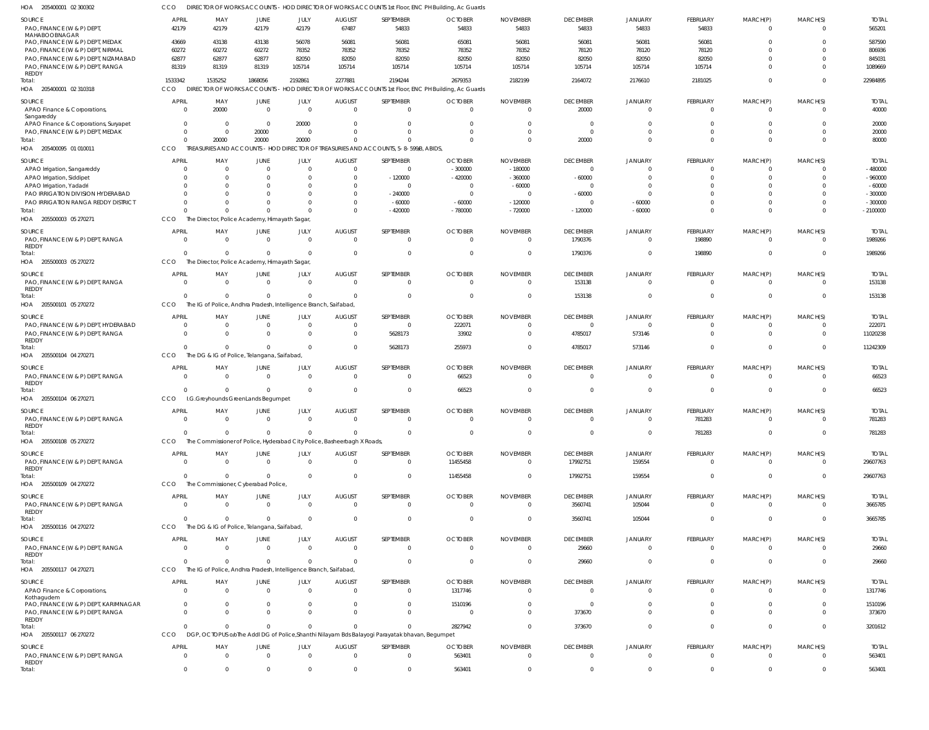| HOA<br>205400001 02 300302                                                             | CCO                      |                                                                                     |                               |                        |                                           |                                                                                                            | DIRECTOR OF WORKS ACCOUNTS - HOD DIRECTOR OF WORKS ACCOUNTS 1st Floor, ENC PH Building, Ac Guards |                                   |                                   |                                  |                                   |                                |                            |                           |
|----------------------------------------------------------------------------------------|--------------------------|-------------------------------------------------------------------------------------|-------------------------------|------------------------|-------------------------------------------|------------------------------------------------------------------------------------------------------------|---------------------------------------------------------------------------------------------------|-----------------------------------|-----------------------------------|----------------------------------|-----------------------------------|--------------------------------|----------------------------|---------------------------|
| SOURCE<br>PAO, FINANCE (W & P) DEPT,                                                   | APRIL<br>42179           | MAY<br>42179                                                                        | <b>JUNE</b><br>42179          | JULY<br>42179          | <b>AUGUST</b><br>67487                    | SEPTEMBER<br>54833                                                                                         | <b>OCTOBER</b><br>54833                                                                           | <b>NOVEMBER</b><br>54833          | <b>DECEMBER</b><br>54833          | JANUARY<br>54833                 | <b>FEBRUARY</b><br>54833          | MARCH(P)<br>$\mathbf 0$        | MARCH(S)<br>$\overline{0}$ | <b>TOTAL</b><br>565201    |
| MAHABOOBNAGAR<br>PAO, FINANCE (W & P) DEPT, MEDAK<br>PAO, FINANCE (W & P) DEPT, NIRMAL | 43669<br>60272           | 43138<br>60272                                                                      | 43138<br>60272                | 56078<br>78352         | 56081<br>78352                            | 56081<br>78352                                                                                             | 65081<br>78352                                                                                    | 56081<br>78352                    | 56081<br>78120                    | 56081<br>78120                   | 56081<br>78120                    | $\Omega$<br>$\Omega$           | $\Omega$<br>$\Omega$       | 587590<br>806936          |
| PAO, FINANCE (W & P) DEPT, NIZAMABAD                                                   | 62877                    | 62877                                                                               | 62877                         | 82050                  | 82050                                     | 82050                                                                                                      | 82050                                                                                             | 82050                             | 82050                             | 82050                            | 82050                             | $\Omega$                       | $\Omega$                   | 845031                    |
| PAO, FINANCE (W & P) DEPT, RANGA<br>REDDY                                              | 81319                    | 81319                                                                               | 81319                         | 105714                 | 105714                                    | 105714                                                                                                     | 105714                                                                                            | 105714                            | 105714                            | 105714                           | 105714                            | $\Omega$                       | $\Omega$                   | 1089669                   |
| Total:<br>HOA<br>205400001 02 310318                                                   | 1533342<br>CCO           | 1535252<br><b>DIRECTOR OF WORKS ACCOUNTS</b>                                        | 1868056                       | 2192861                | 2277881                                   | 2194244                                                                                                    | 2679353<br>HOD DIRECTOR OF WORKS ACCOUNTS 1st Floor, ENC PH Building, Ac Guards                   | 2182199                           | 2164072                           | 2176610                          | 2181025                           | $\mathbf{0}$                   | $\Omega$                   | 22984895                  |
| SOURCE<br>APAO Finance & Corporations,                                                 | <b>APRIL</b><br>$\Omega$ | MAY<br>20000                                                                        | <b>JUNE</b><br>$\overline{0}$ | JULY<br>$\overline{0}$ | <b>AUGUST</b><br>$\overline{0}$           | SEPTEMBER<br>$\overline{0}$                                                                                | <b>OCTOBER</b><br>$\overline{0}$                                                                  | <b>NOVEMBER</b><br>$\overline{0}$ | <b>DECEMBER</b><br>20000          | JANUARY<br>$\Omega$              | <b>FEBRUARY</b><br>$\overline{0}$ | MARCH(P)<br>$\mathbf 0$        | MARCH(S)<br>$\overline{0}$ | <b>TOTAL</b><br>40000     |
| Sangareddy<br>APAO Finance & Corporations, Suryapet                                    | $\Omega$                 | $\overline{\mathbf{0}}$                                                             | $\overline{0}$                | 20000                  | 0                                         | $\mathbf{0}$                                                                                               | 0                                                                                                 | 0                                 | $\Omega$                          |                                  | $\mathbf 0$                       | 0                              | $\Omega$                   | 20000                     |
| PAO, FINANCE (W & P) DEPT, MEDAK                                                       | $\Omega$                 | $\overline{0}$                                                                      | 20000                         | $\Omega$               | $\Omega$                                  | $\Omega$                                                                                                   | $\Omega$                                                                                          | $\overline{0}$                    | $\Omega$                          | $\Omega$                         | $\mathbf 0$                       | $\mathbf 0$                    | $\Omega$                   | 20000                     |
| Total:<br>HOA 205400095 01 010011                                                      | $\Omega$<br>CCO          | 20000                                                                               | 20000                         | 20000                  | $\cup$                                    | $\Omega$<br>TREASURIES AND ACCOUNTS - HOD DIRECTOR OF TREASURIES AND ACCOUNTS, 5-8-599/B, ABIDS,           | $\Omega$                                                                                          | $\Omega$                          | 20000                             | $\Omega$                         | $\overline{0}$                    | $\mathbf 0$                    | $\Omega$                   | 80000                     |
| SOURCE<br>APAO Irrigation, Sangareddy                                                  | <b>APRIL</b><br>$\Omega$ | MAY<br>$\overline{0}$                                                               | JUNE<br>$\overline{0}$        | JULY<br>$\Omega$       | <b>AUGUST</b><br>$\mathbf 0$              | SEPTEMBER<br>$\overline{0}$                                                                                | <b>OCTOBER</b><br>$-300000$                                                                       | <b>NOVEMBER</b><br>$-180000$      | <b>DECEMBER</b><br>$\Omega$       | JANUARY<br>$\Omega$              | <b>FEBRUARY</b><br>$\Omega$       | MARCH(P)<br>0                  | MARCH(S)<br>$\Omega$       | <b>TOTAL</b><br>$-480000$ |
| APAO Irrigation, Siddipet                                                              |                          | - 0                                                                                 | $\Omega$                      | $\Omega$               | 0                                         | $-120000$                                                                                                  | $-420000$                                                                                         | $-360000$                         | $-60000$                          | $\Omega$                         | $\Omega$                          | $\Omega$                       | $\Omega$                   | $-960000$                 |
| APAO Irrigation, Yadadri                                                               |                          | $\Omega$                                                                            | $\Omega$                      |                        | $\mathbf 0$                               | $\Omega$                                                                                                   | 0                                                                                                 | $-60000$                          | $\Omega$                          | $\Omega$                         | $\Omega$                          | $\Omega$                       | $\Omega$                   | $-60000$                  |
| PAO IRRIGATION DIVISION HYDERABAD                                                      |                          |                                                                                     | $\Omega$                      |                        | $\mathbf 0$                               | $-240000$                                                                                                  | $\overline{0}$                                                                                    | $\Omega$                          | $-60000$                          | $\Omega$                         | $\Omega$                          | $\Omega$                       | $\Omega$                   | $-300000$                 |
| PAO IRRIGATION RANGA REDDY DISTRICT                                                    |                          |                                                                                     | $\Omega$                      |                        | $\mathbf 0$                               | $-60000$                                                                                                   | $-60000$                                                                                          | $-120000$                         | $\Omega$                          | $-60000$                         | $\Omega$                          | $\Omega$                       | $\Omega$                   | $-300000$                 |
| Total:<br>HOA 205500003 05 270271                                                      | CCO                      | The Director, Police Academy, Himayath Sagar,                                       | $\Omega$                      | $\Omega$               | $\Omega$                                  | $-420000$                                                                                                  | $-780000$                                                                                         | $-720000$                         | $-120000$                         | $-60000$                         | $\Omega$                          | $\Omega$                       | $\Omega$                   | $-2100000$                |
| SOURCE                                                                                 | <b>APRIL</b>             | MAY                                                                                 | JUNE                          | JULY                   | <b>AUGUST</b>                             | SEPTEMBER                                                                                                  | <b>OCTOBER</b>                                                                                    | <b>NOVEMBER</b>                   | <b>DECEMBER</b>                   | <b>JANUARY</b>                   | <b>FEBRUARY</b>                   | MARCH(P)                       | MARCH(S)                   | <b>TOTAL</b>              |
| PAO, FINANCE (W & P) DEPT, RANGA<br><b>REDDY</b>                                       | $\Omega$                 | $\Omega$                                                                            | $\overline{0}$                | $\Omega$               | $\overline{0}$                            | $\overline{0}$                                                                                             | $\overline{0}$                                                                                    | $\overline{0}$                    | 1790376                           | $\overline{0}$                   | 198890                            | $\mathbf 0$                    | $\Omega$                   | 1989266                   |
| Total:<br>HOA 205500003 05 270272                                                      | $\Omega$<br>CCO          | $\overline{0}$<br>The Director, Police Academy, Himayath Sagar,                     | $\mathbf{0}$                  | $\Omega$               | $\mathbf 0$                               | $\overline{0}$                                                                                             | $\overline{0}$                                                                                    | $\overline{0}$                    | 1790376                           | $\overline{0}$                   | 198890                            | $\overline{0}$                 | $\Omega$                   | 1989266                   |
|                                                                                        |                          |                                                                                     |                               |                        |                                           |                                                                                                            |                                                                                                   |                                   |                                   |                                  |                                   |                                |                            |                           |
| SOURCE<br>PAO, FINANCE (W & P) DEPT, RANGA<br><b>REDDY</b>                             | <b>APRIL</b><br>$\Omega$ | MAY<br>$\Omega$                                                                     | <b>JUNE</b><br>$\Omega$       | JULY<br>$\Omega$       | <b>AUGUST</b><br>$\overline{0}$           | SEPTEMBER<br>$\overline{0}$                                                                                | <b>OCTOBER</b><br>$\Omega$                                                                        | <b>NOVEMBER</b><br>$\Omega$       | <b>DECEMBER</b><br>153138         | JANUARY<br>$\Omega$              | <b>FEBRUARY</b><br>$\mathbf 0$    | MARCH(P)<br>$\mathbf 0$        | MARCH(S)<br>$\overline{0}$ | <b>TOTAL</b><br>153138    |
| Total:<br>HOA 205500101 05 270272                                                      | $\Omega$<br>CCO          | $\Omega$<br>The IG of Police, Andhra Pradesh, Intelligence Branch, Saifabad,        | $\mathbf{0}$                  | $\Omega$               | $\Omega$                                  | $\Omega$                                                                                                   | $\Omega$                                                                                          | $\Omega$                          | 153138                            | $\Omega$                         | $\Omega$                          | $\mathbf{0}$                   | $\Omega$                   | 153138                    |
|                                                                                        |                          |                                                                                     |                               |                        |                                           |                                                                                                            |                                                                                                   |                                   |                                   |                                  |                                   |                                |                            |                           |
| SOURCE<br>PAO, FINANCE (W & P) DEPT, HYDERABAD                                         | APRIL<br>$\Omega$        | MAY<br>$\overline{0}$                                                               | <b>JUNE</b><br>$\overline{0}$ | JULY<br>$\Omega$       | <b>AUGUST</b><br>$\mathbf 0$              | SEPTEMBER<br>$\overline{0}$                                                                                | <b>OCTOBER</b><br>222071                                                                          | <b>NOVEMBER</b><br>$\overline{0}$ | <b>DECEMBER</b><br>$\overline{0}$ | JANUARY<br>$\Omega$              | <b>FEBRUARY</b><br>$\mathbf 0$    | MARCH(P)<br>0                  | MARCH(S)<br>$\Omega$       | <b>TOTAL</b><br>222071    |
| PAO, FINANCE (W & P) DEPT, RANGA<br><b>REDDY</b>                                       | $\Omega$<br>$\Omega$     | $\overline{0}$<br>$\Omega$                                                          | $\overline{0}$<br>$\Omega$    | $\Omega$<br>$\Omega$   | $\overline{0}$<br>$\overline{0}$          | 5628173                                                                                                    | 33902                                                                                             | $\Omega$<br>$\overline{0}$        | 4785017                           | 573146                           | $\mathbf 0$<br>$\overline{0}$     | $\overline{0}$<br>$\mathbf{0}$ | $\Omega$<br>$\overline{0}$ | 11020238<br>11242309      |
| Total:<br>HOA 205500104 04 270271                                                      | CCO                      | The DG & IG of Police, Telangana, Saifabad,                                         |                               |                        |                                           | 5628173                                                                                                    | 255973                                                                                            |                                   | 4785017                           | 573146                           |                                   |                                |                            |                           |
| SOURCE<br>PAO, FINANCE (W & P) DEPT, RANGA                                             | <b>APRIL</b><br>$\Omega$ | MAY<br>$\overline{0}$                                                               | JUNE<br>$\Omega$              | JULY<br>$\overline{0}$ | <b>AUGUST</b><br>$\overline{\phantom{0}}$ | SEPTEMBER<br>$\overline{0}$                                                                                | <b>OCTOBER</b><br>66523                                                                           | <b>NOVEMBER</b><br>$\Omega$       | <b>DECEMBER</b><br>$\Omega$       | JANUARY<br>$\Omega$              | <b>FEBRUARY</b><br>$\overline{0}$ | MARCH(P)<br>$\mathbf 0$        | MARCH(S)<br>$\overline{0}$ | <b>TOTAL</b><br>66523     |
| <b>REDDY</b><br>Total:                                                                 |                          | $\Omega$                                                                            | $\Omega$                      | $\Omega$               | $\overline{0}$                            | $\mathbf{0}$                                                                                               | 66523                                                                                             | $\Omega$                          | $\Omega$                          | $\Omega$                         | $\overline{0}$                    | $\mathbf 0$                    | $\overline{0}$             | 66523                     |
| HOA 205500104 06 270271<br>SOURCE                                                      | CCO<br><b>APRIL</b>      | I.G.Greyhounds GreenLands Begumpet<br>MAY                                           | JUNE                          | JULY                   | <b>AUGUST</b>                             | SEPTEMBER                                                                                                  | <b>OCTOBER</b>                                                                                    | <b>NOVEMBER</b>                   | <b>DECEMBER</b>                   | <b>JANUARY</b>                   | <b>FEBRUARY</b>                   | MARCH(P)                       | MARCH(S)                   | <b>TOTAL</b>              |
| PAO, FINANCE (W & P) DEPT, RANGA<br><b>REDDY</b>                                       |                          | $\bigcap$                                                                           | $\cap$                        |                        | $\cap$                                    |                                                                                                            | $\Omega$                                                                                          |                                   |                                   |                                  | 781283                            |                                |                            | 781283                    |
| Total:<br>HOA 205500108 05 270272                                                      | $\Omega$<br>CCO          | $\Omega$<br>The Commissioner of Police, Hyderabad City Police, Basheerbagh X Roads, | $\Omega$                      |                        | $\Omega$                                  | $\mathbf{0}$                                                                                               | $\overline{0}$                                                                                    | $\overline{0}$                    | $\overline{0}$                    | $\overline{0}$                   | 781283                            | $\mathbf 0$                    | $\overline{0}$             | 781283                    |
| SOURCE                                                                                 | <b>APRIL</b>             | MAY                                                                                 | JUNE                          | JULY                   | <b>AUGUST</b>                             | SEPTEMBER                                                                                                  | <b>OCTOBER</b>                                                                                    | <b>NOVEMBER</b>                   | <b>DECEMBER</b>                   | <b>JANUARY</b>                   | <b>FEBRUARY</b>                   | MARCH(P)                       | MARCH(S)                   | <b>TOTAL</b>              |
| PAO, FINANCE (W & P) DEPT, RANGA<br>REDDY                                              | $\Omega$                 | $\Omega$                                                                            | $\mathbf 0$                   | $\overline{0}$         | $\overline{0}$                            | $\overline{0}$                                                                                             | 11455458                                                                                          | $\Omega$                          | 17992751                          | 159554                           | $\overline{0}$                    | $\Omega$                       | $\overline{0}$             | 29607763                  |
| Total:<br>HOA 205500109 04 270272                                                      | $\Omega$<br>CCO          | $\Omega$<br>The Commissioner, Cyberabad Police,                                     | $\Omega$                      | $\Omega$               | $\overline{0}$                            | $\overline{0}$                                                                                             | 11455458                                                                                          | $\overline{0}$                    | 17992751                          | 159554                           | $\overline{0}$                    | $\overline{0}$                 | $\overline{0}$             | 29607763                  |
| SOURCE                                                                                 | APRIL                    |                                                                                     |                               |                        |                                           | SEPTEMBER                                                                                                  | <b>OCTOBER</b>                                                                                    | <b>NOVEMBER</b>                   | <b>DECEMBER</b>                   | <b>JANUARY</b>                   | FEBRUARY                          | MARCH(P)                       | MARCH(S)                   | <b>TOTAL</b>              |
| PAO, FINANCE (W & P) DEPT, RANGA<br>REDDY                                              | $\Omega$                 | MAY<br>$\overline{0}$                                                               | JUNE<br>$\overline{0}$        | JULY<br>$\overline{0}$ | <b>AUGUST</b><br>$\overline{\phantom{0}}$ | $\overline{0}$                                                                                             | $\mathbf{0}$                                                                                      | $\Omega$                          | 3560741                           | 105044                           | $\overline{0}$                    | $\mathbf 0$                    | $\Omega$                   | 3665785                   |
| Total:<br>HOA 205500116 04 270272                                                      | $\Omega$<br>CCO          | $\Omega$<br>The DG & IG of Police, Telangana, Saifabad,                             | $\mathbf 0$                   | $\Omega$               | $\overline{0}$                            | $\overline{0}$                                                                                             | $\overline{0}$                                                                                    | $\overline{0}$                    | 3560741                           | 105044                           | $\overline{0}$                    | $\mathbf 0$                    | $\overline{0}$             | 3665785                   |
|                                                                                        |                          |                                                                                     |                               |                        |                                           |                                                                                                            |                                                                                                   |                                   |                                   |                                  |                                   |                                |                            |                           |
| SOURCE<br>PAO, FINANCE (W & P) DEPT, RANGA                                             | APRIL<br>$\Omega$        | MAY<br>$\Omega$                                                                     | JUNE<br>$\Omega$              | JULY<br>$\overline{0}$ | <b>AUGUST</b><br>$\overline{0}$           | SEPTEMBER<br>$\overline{0}$                                                                                | <b>OCTOBER</b><br>$\mathbf{0}$                                                                    | <b>NOVEMBER</b><br>$\mathbf{0}$   | <b>DECEMBER</b><br>29660          | <b>JANUARY</b><br>$\Omega$       | <b>FEBRUARY</b><br>$\overline{0}$ | MARCH(P)<br>$\mathbf 0$        | MARCH(S)<br>$\overline{0}$ | <b>TOTAL</b><br>29660     |
| REDDY<br>Total:                                                                        | $\Omega$                 | $\Omega$                                                                            | $\Omega$                      | $\Omega$               | $\Omega$                                  | $\Omega$                                                                                                   | $\Omega$                                                                                          | $\overline{0}$                    | 29660                             | $\Omega$                         | $\Omega$                          | $\overline{0}$                 | $\Omega$                   | 29660                     |
| HOA 205500117 04 270271                                                                | CCO                      | The IG of Police, Andhra Pradesh, Intelligence Branch, Saifabad                     |                               |                        |                                           |                                                                                                            |                                                                                                   |                                   |                                   |                                  |                                   |                                |                            |                           |
| SOURCE<br>APAO Finance & Corporations,                                                 | APRIL<br>$\Omega$        | MAY<br>$\overline{0}$                                                               | JUNE<br>$\mathbf 0$           | JULY<br>$\overline{0}$ | <b>AUGUST</b><br>$\overline{0}$           | SEPTEMBER<br>$\overline{0}$                                                                                | <b>OCTOBER</b><br>1317746                                                                         | <b>NOVEMBER</b><br>$\overline{0}$ | <b>DECEMBER</b><br>$\overline{0}$ | <b>JANUARY</b><br>$\overline{0}$ | <b>FEBRUARY</b><br>$\overline{0}$ | MARCH(P)<br>$\mathbf 0$        | MARCH(S)<br>$\Omega$       | <b>TOTAL</b><br>1317746   |
| Kothagudem<br>PAO, FINANCE (W & P) DEPT, KARIMNAGAR                                    | $\Omega$                 | $\overline{0}$                                                                      | $\Omega$                      | $\Omega$               | $\mathbf 0$                               | $\overline{0}$                                                                                             | 1510196                                                                                           | $\overline{0}$                    | $\overline{\mathbf{0}}$           | $\Omega$                         | $\mathbf 0$                       | $\mathbf 0$                    | $\Omega$                   | 1510196                   |
| PAO, FINANCE (W & P) DEPT, RANGA<br>REDDY                                              | $\Omega$                 | $\Omega$                                                                            | $\Omega$                      | $\Omega$               | $\Omega$                                  | $\overline{0}$                                                                                             | $\overline{0}$                                                                                    | $\mathbf{0}$                      | 373670                            | $\Omega$                         | $\mathbf 0$                       | $\mathbf 0$                    | $\overline{0}$             | 373670                    |
| Total:<br>HOA 205500117 06 270272                                                      | $\Omega$<br>CCO          | $\Omega$                                                                            | $\mathbf 0$                   | $\Omega$               | $\Omega$                                  | $\Omega$<br>DGP, OCTOPUS oloThe Addl DG of Police, Shanthi Nilayam Bds Balayogi Parayatak bhavan, Begumpet | 2827942                                                                                           | $\Omega$                          | 373670                            | $\Omega$                         | $\overline{0}$                    | $\mathbf 0$                    | $\Omega$                   | 3201612                   |
| SOURCE                                                                                 | APRIL                    | MAY                                                                                 | JUNE                          | JULY                   | <b>AUGUST</b>                             | SEPTEMBER                                                                                                  | <b>OCTOBER</b>                                                                                    | <b>NOVEMBER</b>                   | <b>DECEMBER</b>                   | <b>JANUARY</b>                   | <b>FEBRUARY</b>                   | MARCH(P)                       | MARCH(S)                   | <b>TOTAL</b>              |
| PAO, FINANCE (W & P) DEPT, RANGA<br><b>REDDY</b>                                       | $\Omega$                 | $\Omega$                                                                            | $\mathbf 0$                   | $\overline{0}$         | $\overline{0}$                            | $\overline{0}$                                                                                             | 563401                                                                                            | $\Omega$                          | $\Omega$                          | $\overline{0}$                   | $\mathbf 0$                       | 0                              | $\overline{0}$             | 563401                    |
| Total:                                                                                 | $\Omega$                 | $\Omega$                                                                            | $\Omega$                      |                        | $\Omega$                                  | $\overline{0}$                                                                                             | 563401                                                                                            | - 0                               |                                   | $\Omega$                         | $\Omega$                          | $\Omega$                       | $\Omega$                   | 563401                    |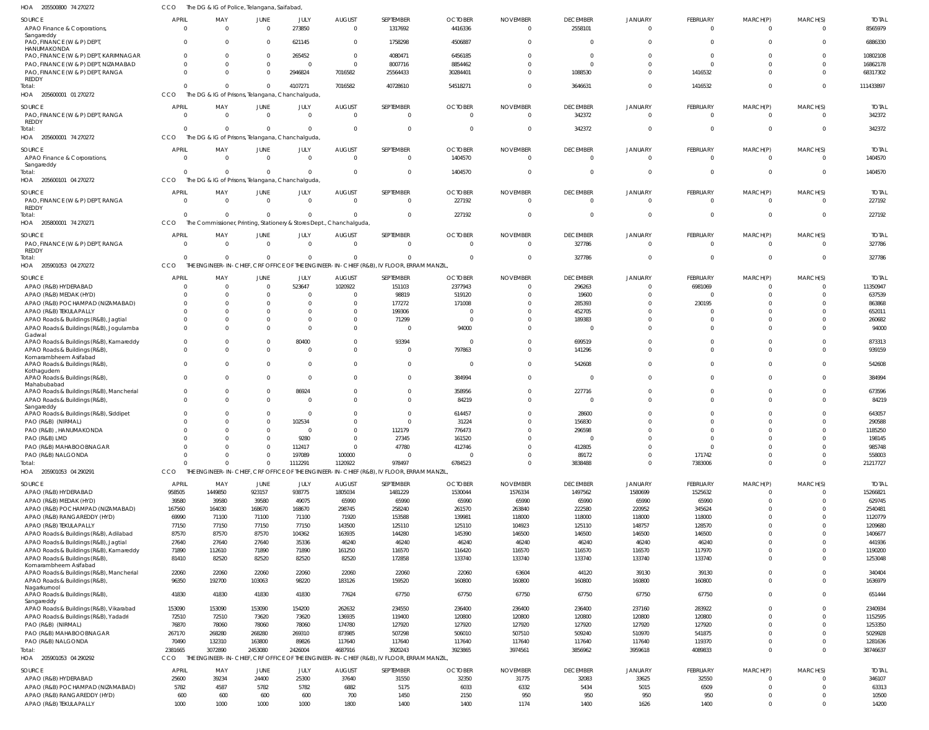| HOA<br>205500800 74 270272                                                                   |                      | The DG & IG of Police, Telangana, Saifabad,                                      |                                |                      |                                  |                                                                                                       |                                  |                                   |                             |                            |                                   |                               |                            |                         |
|----------------------------------------------------------------------------------------------|----------------------|----------------------------------------------------------------------------------|--------------------------------|----------------------|----------------------------------|-------------------------------------------------------------------------------------------------------|----------------------------------|-----------------------------------|-----------------------------|----------------------------|-----------------------------------|-------------------------------|----------------------------|-------------------------|
| SOURCE<br>APAO Finance & Corporations,                                                       | APRIL<br>$\Omega$    | MAY<br>$\Omega$                                                                  | <b>JUNE</b><br>$\mathbf 0$     | JULY<br>273850       | <b>AUGUST</b><br>$\overline{0}$  | SEPTEMBER<br>1317692                                                                                  | <b>OCTOBER</b><br>4416336        | <b>NOVEMBER</b><br>$\Omega$       | <b>DECEMBER</b><br>2558101  | JANUARY<br>$\overline{0}$  | <b>FEBRUARY</b><br>$\mathbf 0$    | MARCH(P)<br>$\mathbf 0$       | MARCH(S)<br>$\overline{0}$ | <b>TOTAL</b><br>8565979 |
| Sangareddy<br>PAO, FINANCE (W & P) DEPT,<br>HANUMAKONDA                                      | $\Omega$             | $\Omega$                                                                         | $\mathbf 0$                    | 621145               | $\mathbf{0}$                     | 1758298                                                                                               | 4506887                          | $\Omega$                          | $\Omega$                    | $\Omega$                   | $\Omega$                          | $\Omega$                      | $\Omega$                   | 6886330                 |
| PAO, FINANCE (W & P) DEPT, KARIMNAGAR<br>PAO, FINANCE (W & P) DEPT, NIZAMABAD                | $\Omega$             | $\Omega$                                                                         | $\mathbf{0}$<br>$\overline{0}$ | 265452<br>$\sqrt{ }$ | $\overline{0}$<br>$\Omega$       | 4080471<br>8007716                                                                                    | 6456185<br>8854462               | $\Omega$<br>$\Omega$              | $\Omega$                    | $\Omega$<br>$\Omega$       | $^{\circ}$<br>$\Omega$            | $\Omega$                      | $\Omega$<br>$\Omega$       | 10802108<br>16862178    |
| PAO, FINANCE (W & P) DEPT, RANGA                                                             | $\Omega$             | $\Omega$                                                                         | $\Omega$                       | 2946824              | 7016582                          | 25564433                                                                                              | 30284401                         | $\Omega$                          | 1088530                     | $\Omega$                   | 1416532                           | $\Omega$                      | $\Omega$                   | 68317302                |
| <b>REDDY</b><br>Total:<br>HOA 205600001 01 270272                                            | $\Omega$<br>CCO      | $\Omega$<br>The DG & IG of Prisons, Telangana, Chanchalguda                      | $\mathbf 0$                    | 4107271              | 7016582                          | 40728610                                                                                              | 54518271                         | $\Omega$                          | 3646631                     | $\Omega$                   | 1416532                           | $\mathbf 0$                   | $\overline{0}$             | 111433897               |
| SOURCE                                                                                       | APRIL                | MAY                                                                              | <b>JUNE</b>                    | JULY                 | <b>AUGUST</b>                    | SEPTEMBER                                                                                             | <b>OCTOBER</b>                   | <b>NOVEMBER</b>                   | <b>DECEMBER</b>             | JANUARY                    | <b>FEBRUARY</b>                   | MARCH(P)                      | MARCH(S)                   | <b>TOTAL</b>            |
| PAO, FINANCE (W & P) DEPT, RANGA<br><b>REDDY</b><br>Total:                                   | $\Omega$<br>$\Omega$ | $\overline{0}$<br>$\Omega$                                                       | $\mathbf 0$<br>$\overline{0}$  | $\Omega$<br>$\Omega$ | $\overline{0}$<br>$\overline{0}$ | $\overline{0}$<br>$\Omega$                                                                            | $\overline{0}$<br>$\overline{0}$ | $\overline{0}$<br>0               | 342372<br>342372            | $\overline{0}$<br>$\Omega$ | $\overline{0}$<br>$\overline{0}$  | $\mathbf 0$<br>$\mathbf 0$    | $\overline{0}$<br>$\Omega$ | 342372<br>342372        |
| HOA 205600001 74 270272                                                                      | CCO                  | The DG & IG of Prisons, Telangana, Chanchalguda                                  |                                |                      |                                  |                                                                                                       |                                  |                                   |                             |                            |                                   |                               |                            |                         |
| SOURCE<br>APAO Finance & Corporations,<br>Sangareddy                                         | APRIL<br>$\Omega$    | MAY<br>$\overline{0}$                                                            | JUNE<br>$\mathbf 0$            | JULY<br>$\Omega$     | <b>AUGUST</b><br>$\overline{0}$  | SEPTEMBER<br>$\overline{0}$                                                                           | <b>OCTOBER</b><br>1404570        | <b>NOVEMBER</b><br>$\Omega$       | <b>DECEMBER</b><br>$\Omega$ | JANUARY<br>$\Omega$        | <b>FEBRUARY</b><br>$\mathbf 0$    | MARCH(P)<br>$\mathbf 0$       | MARCH(S)<br>$\Omega$       | <b>TOTAL</b><br>1404570 |
| Total:<br>HOA 205600101 04 270272                                                            | $\cap$<br>CCO        | $\Omega$<br>The DG & IG of Prisons, Telangana, Chanchalguda                      | $\Omega$                       | $\Omega$             | $\overline{0}$                   | $\Omega$                                                                                              | 1404570                          | 0                                 | $\Omega$                    | $\Omega$                   | $\overline{0}$                    | $\overline{0}$                | $\overline{0}$             | 1404570                 |
| SOURCE<br>PAO, FINANCE (W & P) DEPT, RANGA                                                   | APRIL<br>$\Omega$    | MAY<br>$\overline{\mathbf{0}}$                                                   | JUNE<br>$\mathbf 0$            | JULY<br>$\Omega$     | <b>AUGUST</b><br>$\overline{0}$  | SEPTEMBER<br>$\overline{0}$                                                                           | <b>OCTOBER</b><br>227192         | <b>NOVEMBER</b><br>$\overline{0}$ | <b>DECEMBER</b><br>$\Omega$ | <b>JANUARY</b><br>$\Omega$ | <b>FEBRUARY</b><br>$\overline{0}$ | MARCH(P)<br>$\mathbf 0$       | MARCH(S)<br>$\Omega$       | <b>TOTAL</b><br>227192  |
| REDDY<br>Total:<br>HOA 205800001 74 270271                                                   | $\Omega$<br>CCO      | $\Omega$<br>The Commissioner, Printing, Stationery & Stores Dept., Chanchalguda, | $\mathbf 0$                    | $\Omega$             | $\overline{0}$                   | $\Omega$                                                                                              | 227192                           | 0                                 | $\Omega$                    | $\Omega$                   | $\overline{0}$                    | $\overline{0}$                | $\overline{0}$             | 227192                  |
| SOURCE                                                                                       | <b>APRIL</b>         | MAY                                                                              | JUNE                           | JULY                 | <b>AUGUST</b>                    | SEPTEMBER                                                                                             | <b>OCTOBER</b>                   | <b>NOVEMBER</b>                   | <b>DECEMBER</b>             | <b>JANUARY</b>             | <b>FEBRUARY</b>                   | MARCH(P)                      | MARCH(S)                   | <b>TOTAL</b>            |
| PAO, FINANCE (W & P) DEPT, RANGA<br><b>REDDY</b><br>Total:                                   | $\Omega$<br>$\Omega$ | $\Omega$<br>$\Omega$                                                             | $\overline{0}$<br>$\Omega$     | $\Omega$             | $\overline{0}$<br>$\Omega$       | $\overline{0}$<br>$\Omega$                                                                            | $\Omega$<br>$\Omega$             | $\Omega$<br>$\Omega$              | 327786<br>327786            | $\Omega$<br>$\Omega$       | $\mathbf 0$<br>$\overline{0}$     | $\mathbf 0$<br>$\overline{0}$ | $\Omega$<br>$\overline{0}$ | 327786<br>327786        |
| HOA 205901053 04 270272                                                                      | CCO                  |                                                                                  |                                |                      |                                  | THE ENGINEER-IN-CHIEF, CRF OFFICE OF THE ENGINEER-IN-CHIEF (R&B), IV FLOOR, ERRAM MANZIL              |                                  |                                   |                             |                            |                                   |                               |                            |                         |
| SOURCE                                                                                       | APRIL                | MAY                                                                              | JUNE                           | JULY                 | <b>AUGUST</b>                    | SEPTEMBER                                                                                             | <b>OCTOBER</b>                   | <b>NOVEMBER</b>                   | <b>DECEMBER</b>             | JANUARY                    | <b>FEBRUARY</b>                   | MARCH(P)                      | MARCH(S)                   | <b>TOTAL</b>            |
| APAO (R&B) HYDERABAD                                                                         | $\Omega$             | $\overline{0}$<br>$\Omega$                                                       | $\overline{0}$<br>$\Omega$     | 523647               | 1020922<br>$\Omega$              | 151103                                                                                                | 2377943                          | $\overline{0}$<br>-C              | 296263                      | $\Omega$<br>$\Omega$       | 6981069                           | O<br>$\Omega$                 | $\Omega$<br>$\Omega$       | 11350947                |
| APAO (R&B) MEDAK (HYD)<br>APAO (R&B) POCHAMPAD (NIZAMABAD)                                   |                      |                                                                                  | C                              |                      | 0                                | 98819<br>177272                                                                                       | 519120<br>171008                 | -0                                | 19600<br>285393             | $\Omega$                   | -0<br>230195                      |                               | $\Omega$                   | 637539<br>863868        |
| APAO (R&B) TEKULAPALLY                                                                       |                      | $\Omega$                                                                         | C                              |                      | $\Omega$                         | 199306                                                                                                | $\Omega$                         | $\Omega$                          | 452705                      | $\Omega$                   | 0                                 |                               | $\Omega$                   | 652011                  |
| APAO Roads & Buildings (R&B), Jagtial                                                        |                      |                                                                                  |                                |                      | $\Omega$                         | 71299                                                                                                 | 0                                | $\Omega$                          | 189383                      |                            | $\Omega$                          | $\cup$                        |                            | 260682                  |
| APAO Roads & Buildings (R&B), Jogulamba<br>Gadwal<br>APAO Roads & Buildings (R&B), Kamareddy | $\Omega$<br>$\Omega$ | $\Omega$<br>$\Omega$                                                             | $\Omega$<br>$\Omega$           | 80400                | $\Omega$<br>$\Omega$             | $\Omega$<br>93394                                                                                     | 94000<br>0                       | $\Omega$<br>$\Omega$              | 699519                      | $\Omega$                   | $\Omega$<br>$\Omega$              | $\Omega$<br>$\Omega$          | $\Omega$<br>$\Omega$       | 94000<br>873313         |
| APAO Roads & Buildings (R&B),<br>Komarambheem Asifabad                                       | $\Omega$             | $\Omega$                                                                         | $\Omega$                       | - 0                  | $\Omega$                         | $\overline{0}$                                                                                        | 797863                           | $\Omega$                          | 141296                      | $\Omega$                   | $\Omega$                          | $\Omega$                      | $\Omega$                   | 939159                  |
| APAO Roads & Buildings (R&B),<br>Kothagudem                                                  | $\Omega$             | $\Omega$                                                                         | $\Omega$                       | $\Omega$             | $\Omega$                         | $\overline{0}$                                                                                        | 0                                | $\Omega$                          | 542608                      | $\Omega$                   | $\Omega$                          | $\Omega$                      | $\Omega$                   | 542608                  |
| APAO Roads & Buildings (R&B),<br>Mahabubabad                                                 | $\Omega$<br>$\Omega$ | $\Omega$<br>$\Omega$                                                             | $\Omega$<br>$\Omega$           | - 0                  | $\Omega$<br>$\Omega$             | $\overline{0}$<br>$\Omega$                                                                            | 384994                           | $\Omega$<br>$\Omega$              | $\Omega$<br>227716          | $\Omega$<br>$\Omega$       | $\Omega$<br>$\Omega$              | $\Omega$<br>$\Omega$          | $\Omega$<br>$\Omega$       | 384994<br>673596        |
| APAO Roads & Buildings (R&B), Mancherial<br>APAO Roads & Buildings (R&B),<br>Sangareddy      | $\Omega$             | $\Omega$                                                                         | $\Omega$                       | 86924<br>- 0         | $\Omega$                         | $\Omega$                                                                                              | 358956<br>84219                  | $\Omega$                          | $\Omega$                    | $\Omega$                   | $\Omega$                          | $\Omega$                      | $\Omega$                   | 84219                   |
| APAO Roads & Buildings (R&B), Siddipet                                                       | $\Omega$             | $\Omega$                                                                         | $\Omega$                       | $\Omega$             | $\Omega$                         | $\Omega$                                                                                              | 614457                           | $\Omega$                          | 28600                       | $\Omega$                   | $\Omega$                          | $\Omega$                      | $\Omega$                   | 643057                  |
| PAO (R&B) (NIRMAL)                                                                           |                      |                                                                                  | - 0                            | 102534               | - 0                              | $\overline{0}$                                                                                        | 31224                            | 0                                 | 156830                      | $\Omega$                   |                                   |                               | $\Omega$                   | 290588                  |
| PAO (R&B), HANUMAKONDA                                                                       | $\Omega$<br>$\Omega$ | $\Omega$                                                                         | $\Omega$                       | - 0                  | $\mathbf{0}$                     | 112179                                                                                                | 776473                           | $\Omega$                          | 296598                      | $\Omega$<br>$\Omega$       | $\Omega$                          | $\Omega$<br>$\Omega$          | $\Omega$<br>$\Omega$       | 1185250                 |
| PAO (R&B) LMD<br>PAO (R&B) MAHABOOBNAGAR                                                     | $\Omega$             | $\Omega$<br>$\Omega$                                                             | $\Omega$<br>$\Omega$           | 9280<br>112417       | $\overline{0}$<br>$\overline{0}$ | 27345<br>47780                                                                                        | 161520<br>412746                 | $\Omega$<br>$\Omega$              | $\Omega$<br>412805          | $\Omega$                   | $\mathbf 0$<br>$\Omega$           | $\Omega$                      | $\Omega$                   | 198145<br>985748        |
| PAO (R&B) NALGONDA                                                                           | $\Omega$             | $\Omega$                                                                         | $\Omega$                       | 197089               | 100000                           | $\Omega$                                                                                              | $\Omega$                         | $\Omega$                          | 89172                       | $\overline{0}$             | 171742                            | $\overline{0}$                | $\Omega$                   | 558003                  |
| Total:<br>HOA 205901053 04 290291                                                            | $\Omega$<br>CCO      | $\Omega$                                                                         | $\Omega$                       | 1112291              | 1120922                          | 978497<br>THE ENGINEER-IN-CHIEF, CRF OFFICE OF THE ENGINEER-IN-CHIEF (R&B), IV FLOOR, ERRAM MANZIL    | 6784523                          | $\Omega$                          | 3838488                     | $\overline{0}$             | 7383006                           | $\mathbf{0}$                  | $\Omega$                   | 21217727                |
|                                                                                              |                      |                                                                                  |                                |                      |                                  |                                                                                                       |                                  |                                   |                             |                            |                                   |                               |                            |                         |
| SOURCE                                                                                       | <b>APRIL</b>         | MAY                                                                              | JUNE                           | JULY                 | <b>AUGUST</b>                    | SEPTEMBER                                                                                             | <b>OCTOBER</b>                   | <b>NOVEMBER</b>                   | <b>DECEMBER</b>             | <b>JANUARY</b>             | <b>FEBRUARY</b>                   | MARCH(P)                      | MARCH(S)                   | <b>TOTAL</b>            |
| APAO (R&B) HYDERABAD<br>APAO (R&B) MEDAK (HYD)                                               | 958505<br>39580      | 1449850<br>39580                                                                 | 923157<br>39580                | 938775<br>49075      | 1805034<br>65990                 | 1481229<br>65990                                                                                      | 1530044<br>65990                 | 1576334<br>65990                  | 1497562<br>65990            | 1580699<br>65990           | 1525632<br>65990                  | $\mathbf 0$<br>$\Omega$       | $\Omega$<br>$\Omega$       | 15266821<br>629745      |
| APAO (R&B) POCHAMPAD (NIZAMABAD)                                                             | 167560               | 164030                                                                           | 168670                         | 168670               | 298745                           | 258240                                                                                                | 261570                           | 263840                            | 222580                      | 220952                     | 345624                            | $\Omega$                      | $\Omega$                   | 2540481                 |
| APAO (R&B) RANGAREDDY (HYD)                                                                  | 69990                | 71100                                                                            | 71100                          | 71100                | 71920                            | 153588                                                                                                | 139981                           | 118000                            | 118000                      | 118000                     | 118000                            | $\Omega$                      | $\Omega$                   | 1120779                 |
| APAO (R&B) TEKULAPALLY                                                                       | 77150                | 77150                                                                            | 77150                          | 77150                | 143500                           | 125110                                                                                                | 125110                           | 104923                            | 125110                      | 148757                     | 128570                            | $\Omega$                      | $\Omega$                   | 1209680                 |
| APAO Roads & Buildings (R&B), Adilabad                                                       | 87570                | 87570                                                                            | 87570                          | 104362               | 163935                           | 144280                                                                                                | 145390                           | 146500                            | 146500                      | 146500                     | 146500                            | $\Omega$                      | $\Omega$                   | 1406677                 |
| APAO Roads & Buildings (R&B), Jagtial                                                        | 27640                | 27640                                                                            | 27640                          | 35336                | 46240                            | 46240                                                                                                 | 46240                            | 46240                             | 46240                       | 46240                      | 46240                             | $\Omega$                      | $\Omega$                   | 441936                  |
| APAO Roads & Buildings (R&B), Kamareddy<br>APAO Roads & Buildings (R&B),                     | 71890<br>81410       | 112610<br>82520                                                                  | 71890<br>82520                 | 71890<br>82520       | 161250<br>82520                  | 116570<br>172858                                                                                      | 116420<br>133740                 | 116570<br>133740                  | 116570<br>133740            | 116570<br>133740           | 117970<br>133740                  | $\Omega$<br>$\Omega$          | $\Omega$<br>$\Omega$       | 1190200<br>1253048      |
| Komarambheem Asifabad<br>APAO Roads & Buildings (R&B), Mancherial                            | 22060                | 22060                                                                            | 22060                          | 22060                | 22060                            | 22060                                                                                                 | 22060                            | 63604                             | 44120                       | 39130                      | 39130                             | $\Omega$                      | $\Omega$                   | 340404                  |
| APAO Roads & Buildings (R&B),<br>Nagarkurnool<br>APAO Roads & Buildings (R&B),               | 96350<br>41830       | 192700<br>41830                                                                  | 103063<br>41830                | 98220<br>41830       | 183126<br>77624                  | 159520<br>67750                                                                                       | 160800<br>67750                  | 160800<br>67750                   | 160800<br>67750             | 160800<br>67750            | 160800<br>67750                   | $\mathbf 0$<br>$\Omega$       | $\mathbf{0}$<br>$\Omega$   | 1636979<br>651444       |
| Sangareddy                                                                                   |                      |                                                                                  |                                |                      |                                  |                                                                                                       |                                  |                                   |                             |                            |                                   |                               | $\Omega$                   |                         |
| APAO Roads & Buildings (R&B), Vikarabad<br>APAO Roads & Buildings (R&B), Yadadri             | 153090<br>72510      | 153090<br>72510                                                                  | 153090<br>73620                | 154200<br>73620      | 262632<br>136935                 | 234550<br>119400                                                                                      | 236400<br>120800                 | 236400<br>120800                  | 236400<br>120800            | 237160<br>120800           | 283922<br>120800                  | $\Omega$<br>$\Omega$          | $\Omega$                   | 2340934<br>1152595      |
| PAO (R&B) (NIRMAL)                                                                           | 76870                | 78060                                                                            | 78060                          | 78060                | 174780                           | 127920                                                                                                | 127920                           | 127920                            | 127920                      | 127920                     | 127920                            | $\Omega$                      | $\Omega$                   | 1253350                 |
| PAO (R&B) MAHABOOBNAGAR                                                                      | 267170               | 268280                                                                           | 268280                         | 269310               | 873985                           | 507298                                                                                                | 506010                           | 507510                            | 509240                      | 510970                     | 541875                            | $\Omega$                      | $\Omega$                   | 5029928                 |
| PAO (R&B) NALGONDA                                                                           | 70490                | 132310                                                                           | 163800                         | 89826                | 117640                           | 117640                                                                                                | 117640                           | 117640                            | 117640                      | 117640                     | 119370                            | $\mathbf 0$                   | $\Omega$                   | 1281636                 |
| Total:                                                                                       | 2381665              | 3072890                                                                          | 2453080                        | 2426004              | 4687916                          | 3920243                                                                                               | 3923865                          | 3974561                           | 3856962                     | 3959618                    | 4089833                           | $\Omega$                      | $\Omega$                   | 38746637                |
| HOA 205901053 04 290292<br>SOURCE                                                            | CCO<br>APRIL         | MAY                                                                              | JUNE                           | JULY                 | <b>AUGUST</b>                    | THE ENGINEER-IN-CHIEF, CRF OFFICE OF THE ENGINEER-IN-CHIEF (R&B), IV FLOOR, ERRAM MANZIL<br>SEPTEMBER | <b>OCTOBER</b>                   | <b>NOVEMBER</b>                   | <b>DECEMBER</b>             | <b>JANUARY</b>             | <b>FEBRUARY</b>                   | MARCH(P)                      | MARCH(S)                   | <b>TOTAL</b>            |
| APAO (R&B) HYDERABAD                                                                         | 25600                | 39234                                                                            | 24400                          | 25300                | 37640                            | 31550                                                                                                 | 32350                            | 31775                             | 32083                       | 33625                      | 32550                             | $\mathbf 0$                   | $\Omega$                   | 346107                  |
| APAO (R&B) POCHAMPAD (NIZAMABAD)                                                             | 5782                 | 4587                                                                             | 5782                           | 5782                 | 6882                             | 5175                                                                                                  | 6033                             | 6332                              | 5434                        | 5015                       | 6509                              | $\mathbf 0$                   | $\Omega$                   | 63313                   |
| APAO (R&B) RANGAREDDY (HYD)                                                                  | 600                  | 600                                                                              | 600                            | 600                  | 700                              | 1450                                                                                                  | 2150                             | 950                               | 950                         | 950                        | 950                               | $\overline{0}$                | $\overline{0}$             | 10500                   |
| APAO (R&B) TEKULAPALLY                                                                       | 1000                 | 1000                                                                             | 1000                           | 1000                 | 1800                             | 1400                                                                                                  | 1400                             | 1174                              | 1400                        | 1626                       | 1400                              | $\overline{0}$                | $\Omega$                   | 14200                   |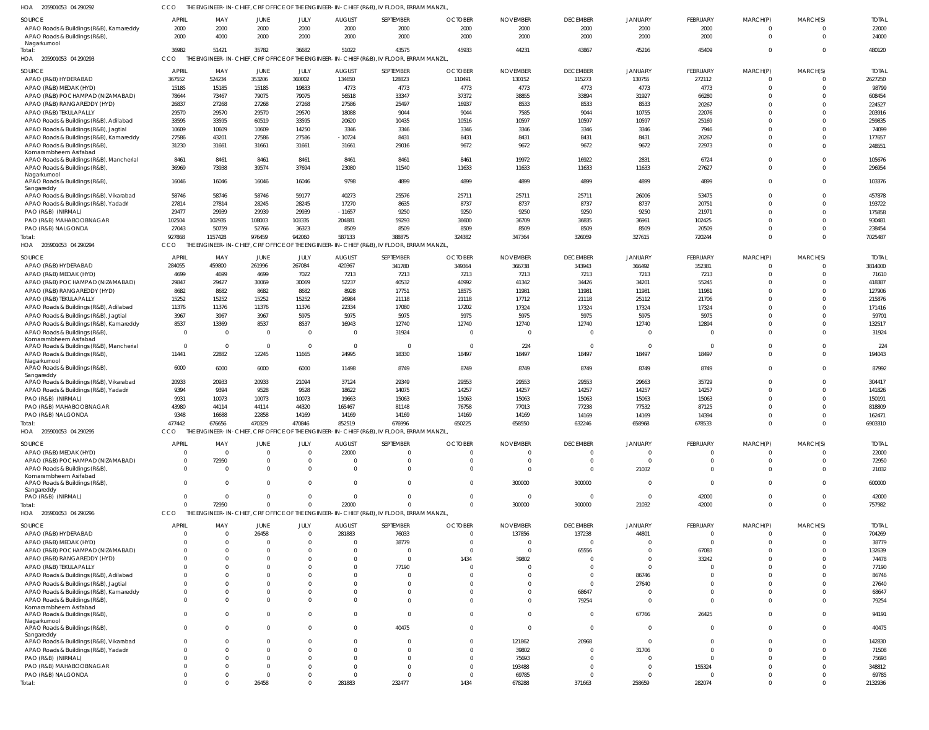205901053 04 290292 HOA CCO THE ENGINEER-IN-CHIEF, CRF OFFICE OF THE ENGINEER-IN-CHIEF (R&B), IV FLOOR, ERRAM MANZIL,

| SOURCE                                                                          | <b>APRIL</b>               | MAY                   | JUNE                 | JULY           | <b>AUGUST</b>        | SEPTEMBER                                                                                          | <b>OCTOBER</b>       | <b>NOVEMBER</b>          | <b>DECEMBER</b>            | <b>JANUARY</b>          | <b>FEBRUARY</b>            | MARCH(P)             | MARCH(S)             | <b>TOTAL</b>     |
|---------------------------------------------------------------------------------|----------------------------|-----------------------|----------------------|----------------|----------------------|----------------------------------------------------------------------------------------------------|----------------------|--------------------------|----------------------------|-------------------------|----------------------------|----------------------|----------------------|------------------|
| APAO Roads & Buildings (R&B), Kamareddy                                         | 2000                       | 2000                  | 2000                 | 2000           | 2000                 | 2000                                                                                               | 2000                 | 2000                     | 2000                       | 2000                    | 2000                       | $\mathbf 0$          | $\Omega$             | 22000            |
| APAO Roads & Buildings (R&B)                                                    | 2000                       | 4000                  | 2000                 | 2000           | 2000                 | 2000                                                                                               | 2000                 | 2000                     | 2000                       | 2000                    | 2000                       | $\mathbf 0$          | $\Omega$             | 24000            |
| Nagarkurnool<br>Total:                                                          | 36982                      | 51421                 | 35782                | 36682          | 51022                | 43575                                                                                              | 45933                | 44231                    | 43867                      | 45216                   | 45409                      | $\mathbf 0$          | $\Omega$             | 480120           |
| HOA<br>205901053 04 290293                                                      | <b>CCO</b>                 | THE ENGINEER-IN-CHIEF |                      |                |                      | , CRF OFFICE OF THE ENGINEER-IN-CHIEF (R&B), IV FLOOR, ERRAM MANZIL                                |                      |                          |                            |                         |                            |                      |                      |                  |
| SOURCE                                                                          | APRIL                      | MAY                   | JUNE                 | JULY           | <b>AUGUST</b>        | SEPTEMBER                                                                                          | <b>OCTOBER</b>       | <b>NOVEMBER</b>          | <b>DECEMBER</b>            | <b>JANUARY</b>          | FEBRUARY                   | MARCH(P)             | MARCH(S)             | <b>TOTAI</b>     |
| APAO (R&B) HYDERABAD                                                            | 367552                     | 524234                | 353206               | 360002         | 134650               | 128823                                                                                             | 110491               | 130152                   | 115273                     | 130755                  | 272112                     | $\Omega$             | $\Omega$             | 2627250          |
| APAO (R&B) MEDAK (HYD)                                                          | 15185                      | 15185                 | 15185                | 19833          | 4773                 | 4773                                                                                               | 4773                 | 4773                     | 4773                       | 4773                    | 4773                       | $\Omega$             | $\Omega$             | 98799            |
| APAO (R&B) POCHAMPAD (NIZAMABAD)                                                | 78644                      | 73467                 | 79075                | 79075          | 56518                | 33347                                                                                              | 37372                | 38855                    | 33894                      | 31927                   | 66280                      | $\Omega$             | $\Omega$             | 608454           |
| APAO (R&B) RANGAREDDY (HYD)                                                     | 26837                      | 27268                 | 27268                | 27268          | 27586                | 25497                                                                                              | 16937                | 8533                     | 8533                       | 8533                    | 20267                      | $\Omega$             | $\Omega$             | 224527           |
| APAO (R&B) TEKULAPALLY                                                          | 29570                      | 29570                 | 29570                | 29570          | 18088                | 9044                                                                                               | 9044                 | 7585                     | 9044                       | 10755                   | 22076                      | $\Omega$<br>$\Omega$ | $\Omega$<br>$\Omega$ | 203916           |
| APAO Roads & Buildings (R&B), Adilabad<br>APAO Roads & Buildings (R&B), Jagtial | 33595<br>10609             | 33595<br>10609        | 60519<br>10609       | 33595<br>14250 | 20620<br>3346        | 10435<br>3346                                                                                      | 10516<br>3346        | 10597<br>3346            | 10597<br>3346              | 10597<br>3346           | 25169<br>7946              | $\Omega$             | $\Omega$             | 259835<br>74099  |
| APAO Roads & Buildings (R&B), Kamareddy                                         | 27586                      | 43201                 | 27586                | 27586          | $-10724$             | 8431                                                                                               | 8431                 | 8431                     | 8431                       | 8431                    | 20267                      | $\Omega$             | $\Omega$             | 177657           |
| APAO Roads & Buildings (R&B)                                                    | 31230                      | 31661                 | 31661                | 31661          | 31661                | 29016                                                                                              | 9672                 | 9672                     | 9672                       | 9672                    | 22973                      | $\Omega$             | $\Omega$             | 248551           |
| Komarambheem Asifabad                                                           |                            |                       |                      |                |                      |                                                                                                    |                      |                          |                            |                         |                            |                      | $\Omega$             |                  |
| APAO Roads & Buildings (R&B), Mancherial<br>APAO Roads & Buildings (R&B)        | 8461<br>36969              | 8461<br>73938         | 8461<br>39574        | 8461<br>37694  | 8461<br>23080        | 8461<br>11540                                                                                      | 8461<br>11633        | 19972<br>11633           | 16922<br>11633             | 2831<br>11633           | 6724<br>27627              | $\Omega$<br>$\Omega$ | $\Omega$             | 105676<br>296954 |
| Nagarkurnool                                                                    |                            |                       |                      |                |                      |                                                                                                    |                      |                          |                            |                         |                            |                      |                      |                  |
| APAO Roads & Buildings (R&B)                                                    | 16046                      | 16046                 | 16046                | 16046          | 9798                 | 4899                                                                                               | 4899                 | 4899                     | 4899                       | 4899                    | 4899                       | $\Omega$             | $\Omega$             | 103376           |
| Sangareddy<br>APAO Roads & Buildings (R&B), Vikarabad                           | 58746                      | 58746                 | 58746                | 59177          | 40273                | 25576                                                                                              | 25711                | 25711                    | 25711                      | 26006                   | 53475                      | $\Omega$             | $\Omega$             | 457878           |
| APAO Roads & Buildings (R&B), Yadadri                                           | 27814                      | 27814                 | 28245                | 28245          | 17270                | 8635                                                                                               | 8737                 | 8737                     | 8737                       | 8737                    | 20751                      | $\Omega$             | $\Omega$             | 193722           |
| PAO (R&B) (NIRMAL)                                                              | 29477                      | 29939                 | 29939                | 29939          | $-11657$             | 9250                                                                                               | 9250                 | 9250                     | 9250                       | 9250                    | 21971                      | $\Omega$             | $\Omega$             | 175858           |
| PAO (R&B) MAHABOOBNAGAR                                                         | 102504                     | 102935                | 108003               | 103335         | 204881               | 59293                                                                                              | 36600                | 36709                    | 36835                      | 36961                   | 102425                     | $\Omega$             | $\Omega$             | 930481           |
| PAO (R&B) NALGONDA                                                              | 27043                      | 50759                 | 52766                | 36323          | 8509                 | 8509                                                                                               | 8509                 | 8509                     | 8509                       | 8509                    | 20509                      | $\Omega$             | $\Omega$             | 238454           |
| Total:                                                                          | 927868                     | 1157428               | 976459               | 942060         | 587133               | 388875                                                                                             | 324382               | 347364                   | 326059                     | 327615                  | 720244                     | $\Omega$             | $\Omega$             | 7025487          |
| HOA 205901053 04 290294                                                         | CCO                        |                       |                      |                |                      | THE ENGINEER-IN-CHIEF, CRF OFFICE OF THE ENGINEER-IN-CHIEF (R&B), IV FLOOR, ERRAM MANZIL           |                      |                          |                            |                         |                            |                      |                      |                  |
| SOURCE                                                                          | APRIL                      | MAY                   | JUNE                 | JULY           | <b>AUGUST</b>        | SEPTEMBER                                                                                          | <b>OCTOBER</b>       | <b>NOVEMBER</b>          | <b>DECEMBER</b>            | <b>JANUARY</b>          | <b>FEBRUARY</b>            | MARCH(P)             | MARCH(S)             | <b>TOTAI</b>     |
| APAO (R&B) HYDERABAD                                                            | 284055                     | 459800                | 261996               | 267084         | 420367               | 341780                                                                                             | 349364               | 366738                   | 343943                     | 366492                  | 352381                     | -0                   | $\Omega$             | 3814000          |
| APAO (R&B) MEDAK (HYD)                                                          | 4699                       | 4699                  | 4699                 | 7022           | 7213                 | 7213                                                                                               | 7213                 | 7213                     | 7213                       | 7213                    | 7213                       | $\Omega$             | $\Omega$             | 71610            |
| APAO (R&B) POCHAMPAD (NIZAMABAD)<br>APAO (R&B) RANGAREDDY (HYD)                 | 29847<br>8682              | 29427<br>8682         | 30069<br>8682        | 30069<br>8682  | 52237<br>8928        | 40532<br>17751                                                                                     | 40992<br>18575       | 41342<br>11981           | 34426<br>11981             | 34201<br>11981          | 55245<br>11981             | $\Omega$<br>$\Omega$ | $\Omega$<br>$\Omega$ | 418387<br>127906 |
| APAO (R&B) TEKULAPALLY                                                          | 15252                      | 15252                 | 15252                | 15252          | 26984                | 21118                                                                                              | 21118                | 17712                    | 21118                      | 25112                   | 21706                      | $\Omega$             | $\Omega$             | 215876           |
| APAO Roads & Buildings (R&B), Adilabad                                          | 11376                      | 11376                 | 11376                | 11376          | 22334                | 17080                                                                                              | 17202                | 17324                    | 17324                      | 17324                   | 17324                      | $\Omega$             | $\Omega$             | 171416           |
| APAO Roads & Buildings (R&B), Jagtial                                           | 3967                       | 3967                  | 3967                 | 5975           | 5975                 | 5975                                                                                               | 5975                 | 5975                     | 5975                       | 5975                    | 5975                       | $\Omega$             | $\Omega$             | 59701            |
| APAO Roads & Buildings (R&B), Kamareddy                                         | 8537                       | 13369                 | 8537                 | 8537           | 16943                | 12740                                                                                              | 12740                | 12740                    | 12740                      | 12740                   | 12894                      | $\Omega$             | $\Omega$             | 132517           |
| APAO Roads & Buildings (R&B)                                                    | $\overline{0}$             | $\overline{0}$        | $\mathbf{0}$         | $\Omega$       | $\mathbf 0$          | 31924                                                                                              | $\overline{0}$       |                          | $\Omega$                   | $\Omega$                | $\Omega$                   | $\Omega$             | $\Omega$             | 31924            |
| Komarambheem Asifabad<br>APAO Roads & Buildings (R&B), Mancherial               | $\overline{0}$             | $\overline{0}$        | $\mathbf{0}$         | $\Omega$       | $\overline{0}$       | $\overline{0}$                                                                                     | $\Omega$             | 224                      | $\overline{0}$             | $\overline{0}$          | $\overline{0}$             | $\mathbf 0$          | $\Omega$             | 224              |
| APAO Roads & Buildings (R&B)                                                    | 11441                      | 22882                 | 12245                | 11665          | 24995                | 18330                                                                                              | 18497                | 18497                    | 18497                      | 18497                   | 18497                      | $\mathbf 0$          | $\Omega$             | 194043           |
| Nagarkurnool                                                                    |                            |                       |                      |                |                      |                                                                                                    |                      |                          |                            |                         |                            |                      |                      |                  |
| APAO Roads & Buildings (R&B),<br>Sangareddy                                     | 6000                       | 6000                  | 6000                 | 6000           | 11498                | 8749                                                                                               | 8749                 | 8749                     | 8749                       | 8749                    | 8749                       | $\mathbf 0$          | $\Omega$             | 87992            |
| APAO Roads & Buildings (R&B), Vikarabad                                         | 20933                      | 20933                 | 20933                | 21094          | 37124                | 29349                                                                                              | 29553                | 29553                    | 29553                      | 29663                   | 35729                      | $\mathbf 0$          | $\Omega$             | 304417           |
| APAO Roads & Buildings (R&B), Yadadri                                           | 9394                       | 9394                  | 9528                 | 9528           | 18622                | 14075                                                                                              | 14257                | 14257                    | 14257                      | 14257                   | 14257                      | $\Omega$             | $\Omega$             | 141826           |
| PAO (R&B) (NIRMAL)                                                              | 9931                       | 10073                 | 10073                | 10073          | 19663                | 15063                                                                                              | 15063                | 15063                    | 15063                      | 15063                   | 15063                      | $\Omega$             | $\Omega$             | 150191           |
| PAO (R&B) MAHABOOBNAGAR                                                         | 43980                      | 44114                 | 44114                | 44320          | 165467               | 81148                                                                                              | 76758                | 77013                    | 77238                      | 77532                   | 87125                      | $\Omega$             | $\Omega$             | 818809           |
| PAO (R&B) NALGONDA<br>Total:                                                    | 9348                       | 16688                 | 22858                | 14169          | 14169                | 14169                                                                                              | 14169                | 14169                    | 14169                      | 14169                   | 14394                      | $\Omega$<br>$\cap$   | $\Omega$<br>$\Omega$ | 162471           |
| HOA 205901053 04 290295                                                         | 477442<br>CCO              | 676656                | 470329               | 470846         | 852519               | 676996<br>THE ENGINEER-IN-CHIEF, CRF OFFICE OF THE ENGINEER-IN-CHIEF (R&B), IV FLOOR, ERRAM MANZIL | 650225               | 658550                   | 632246                     | 658968                  | 678533                     |                      |                      | 6903310          |
|                                                                                 |                            |                       |                      |                |                      |                                                                                                    |                      |                          |                            |                         |                            |                      |                      |                  |
| SOURCE                                                                          | APRIL                      | MAY                   | <b>JUNE</b>          | JULY           | AUGUST               | SEPTEMBER                                                                                          | <b>OCTOBER</b>       | <b>NOVEMBER</b>          | <b>DECEMBER</b>            | <b>JANUARY</b>          | FEBRUARY                   | MARCH(P)             | MARCH(S)             | <b>TOTAL</b>     |
| APAO (R&B) MEDAK (HYD)                                                          | $\mathbf 0$<br>$\mathbf 0$ | $\Omega$              | $\Omega$<br>$\Omega$ |                | 22000<br>$\Omega$    | $\Omega$<br>$\Omega$                                                                               | $\Omega$<br>$\Omega$ | $\Omega$                 | $\mathbf 0$<br>$\mathbf 0$ | $\mathbf 0$<br>$\Omega$ | $\overline{0}$<br>$\Omega$ | $\Omega$<br>$\Omega$ | $\Omega$<br>$\Omega$ | 22000            |
| APAO (R&B) POCHAMPAD (NIZAMABAD)<br>APAO Roads & Buildings (R&B),               | $\overline{0}$             | 72950<br>$\Omega$     | $\Omega$             |                | $\Omega$             | $\Omega$                                                                                           | $\Omega$             |                          | $\mathbf 0$                | 21032                   | $\Omega$                   | $\Omega$             | $\Omega$             | 72950<br>21032   |
| Komarambheem Asifabad                                                           |                            |                       |                      |                |                      |                                                                                                    |                      |                          |                            |                         |                            |                      |                      |                  |
| APAO Roads & Buildings (R&B)                                                    | $\Omega$                   | $\Omega$              | $\Omega$             | $\Omega$       | $\Omega$             | $\Omega$                                                                                           | $\Omega$             | 300000                   | 300000                     | $\Omega$                | $\Omega$                   | $\Omega$             | $\Omega$             | 600000           |
| Sangareddy<br>PAO (R&B) (NIRMAL)                                                | $\Omega$                   | $\Omega$              | $\Omega$             | $\Omega$       | $\Omega$             | $\Omega$                                                                                           | $\Omega$             | $\Omega$                 | $\mathbf 0$                | $\mathbf 0$             | 42000                      | $\Omega$             | $\Omega$             | 42000            |
| Total:                                                                          | $\Omega$                   | 72950                 | $\Omega$             | $\Omega$       | 22000                | $\Omega$                                                                                           | $\Omega$             | 300000                   | 300000                     | 21032                   | 42000                      | $\Omega$             | $\Omega$             | 757982           |
| HOA 205901053 04 290296                                                         | CCO                        |                       |                      |                |                      | THE ENGINEER-IN-CHIEF, CRF OFFICE OF THE ENGINEER-IN-CHIEF (R&B), IV FLOOR, ERRAM MANZIL,          |                      |                          |                            |                         |                            |                      |                      |                  |
| SOURCE                                                                          | <b>APRIL</b>               | MAY                   | JUNE                 | JULY           | <b>AUGUST</b>        | SEPTEMBER                                                                                          | <b>OCTOBER</b>       | <b>NOVEMBER</b>          | <b>DECEMBER</b>            | JANUARY                 | <b>FEBRUARY</b>            | MARCH(P)             | MARCH(S)             | <b>TOTAL</b>     |
| APAO (R&B) HYDERABAD                                                            | $\mathbf 0$                | $\mathbf 0$           | 26458                | $\Omega$       | 281883               | 76033                                                                                              | $\overline{0}$       | 137856                   | 137238                     | 44801                   | $\overline{0}$             | $\mathbf 0$          | $\Omega$             | 704269           |
| APAO (R&B) MEDAK (HYD)                                                          | $\Omega$                   | $\Omega$              | $\mathbf 0$          | $\Omega$       | $\Omega$             | 38779                                                                                              | $\Omega$             |                          | $\overline{0}$             | $\Omega$                | $\overline{0}$             | $\mathbf 0$          | $\Omega$             | 38779            |
| APAO (R&B) POCHAMPAD (NIZAMABAD)                                                | $\Omega$                   | $\Omega$              | $\Omega$             |                | $\Omega$             | $\Omega$                                                                                           | $\Omega$             | $\Omega$                 | 65556                      | $\mathbf 0$             | 67083                      | $\Omega$             | $\Omega$             | 132639           |
| APAO (R&B) RANGAREDDY (HYD)                                                     | $\Omega$                   | $\Omega$              | $\Omega$             |                | $\Omega$             | $\Omega$                                                                                           | 1434                 | 39802                    | $\Omega$                   | $\overline{0}$          | 33242                      | $\Omega$             | $\Omega$             | 74478            |
| APAO (R&B) TEKULAPALLY                                                          |                            | $\Omega$              | $\Omega$             |                | $\Omega$             | 77190                                                                                              | $\Omega$             |                          | $\Omega$                   | $\Omega$                | $\Omega$                   | $\Omega$             | $\Omega$             | 77190            |
| APAO Roads & Buildings (R&B), Adilabad                                          |                            | $\Omega$              | $\Omega$             |                | $\Omega$             | $\Omega$                                                                                           | $\Omega$             |                          | $\Omega$                   | 86746                   | $\Omega$                   | $\Omega$             | $\Omega$             | 86746            |
| APAO Roads & Buildings (R&B), Jagtial                                           | $\Omega$                   | $\Omega$              | $\Omega$             |                | $\Omega$             | $\Omega$                                                                                           | $\Omega$             |                          | $\Omega$                   | 27640                   | $\Omega$                   | $\Omega$             | $\Omega$             | 27640            |
| APAO Roads & Buildings (R&B), Kamareddy<br>APAO Roads & Buildings (R&B),        | $\mathbf 0$<br>$\Omega$    | $\Omega$<br>$\Omega$  | $\Omega$<br>$\Omega$ |                | $\Omega$<br>$\Omega$ | $\Omega$<br>$\Omega$                                                                               | $\Omega$<br>$\Omega$ | <sup>0</sup><br>$\Omega$ | 68647<br>79254             | $\Omega$<br>$\Omega$    | $\Omega$<br>$\mathbf 0$    | $\Omega$<br>$\Omega$ | $\Omega$<br>$\Omega$ | 68647<br>79254   |
| Komarambheem Asifabad                                                           |                            |                       |                      |                |                      |                                                                                                    |                      |                          |                            |                         |                            |                      |                      |                  |
| APAO Roads & Buildings (R&B),                                                   | $\Omega$                   | $\Omega$              | $\Omega$             |                | $\Omega$             | $\Omega$                                                                                           | $\mathbf 0$          | $\Omega$                 | $\overline{0}$             | 67766                   | 26425                      | $\mathbf 0$          | $\Omega$             | 94191            |
| Nagarkurnool<br>APAO Roads & Buildings (R&B),                                   | $\mathbf 0$                | $\Omega$              | $\Omega$             | $\Omega$       | $\Omega$             | 40475                                                                                              | $\Omega$             | $\Omega$                 | $\overline{0}$             | $\overline{0}$          | $\overline{0}$             | $\mathbf 0$          | $\Omega$             | 40475            |
| Sangareddy                                                                      |                            |                       |                      |                |                      |                                                                                                    |                      |                          |                            |                         |                            |                      |                      |                  |
| APAO Roads & Buildings (R&B), Vikarabad                                         | 0                          | $\Omega$              | $\Omega$             |                | $\Omega$             | $\Omega$                                                                                           | $\Omega$             | 121862                   | 20968                      | $\overline{0}$          | $\mathbf 0$                | $\Omega$             | $\Omega$             | 142830           |
| APAO Roads & Buildings (R&B), Yadadri                                           | $\Omega$                   | $\Omega$              | $\Omega$             |                | $\Omega$             | $\Omega$                                                                                           | $\Omega$             | 39802                    | $\mathbf 0$                | 31706                   | $\mathbf 0$                | $\Omega$             | $\Omega$             | 71508            |
| PAO (R&B) (NIRMAL)                                                              | U                          | $\Omega$              | $\Omega$             |                | $\Omega$             | $\Omega$                                                                                           | $\Omega$             | 75693                    | $\Omega$                   | $\Omega$                | $\Omega$                   | $\Omega$             | $\Omega$             | 75693            |
| PAO (R&B) MAHABOOBNAGAR<br>PAO (R&B) NALGONDA                                   | 0                          | $\Omega$<br>$\Omega$  | $\Omega$<br>$\Omega$ |                | $\Omega$<br>$\Omega$ | $\Omega$<br>$\Omega$                                                                               | $\Omega$<br>$\Omega$ | 193488<br>69785          | $\Omega$<br>$\Omega$       | $\mathbf 0$<br>$\Omega$ | 155324<br>$\mathbf 0$      | $\Omega$<br>$\Omega$ | $\Omega$<br>$\Omega$ | 348812<br>69785  |
| Total:                                                                          | $\Omega$                   | $\Omega$              | 26458                | $\Omega$       | 281883               | 232477                                                                                             | 1434                 | 678288                   | 371663                     | 258659                  | 282074                     | $\Omega$             | $\Omega$             | 2132936          |
|                                                                                 |                            |                       |                      |                |                      |                                                                                                    |                      |                          |                            |                         |                            |                      |                      |                  |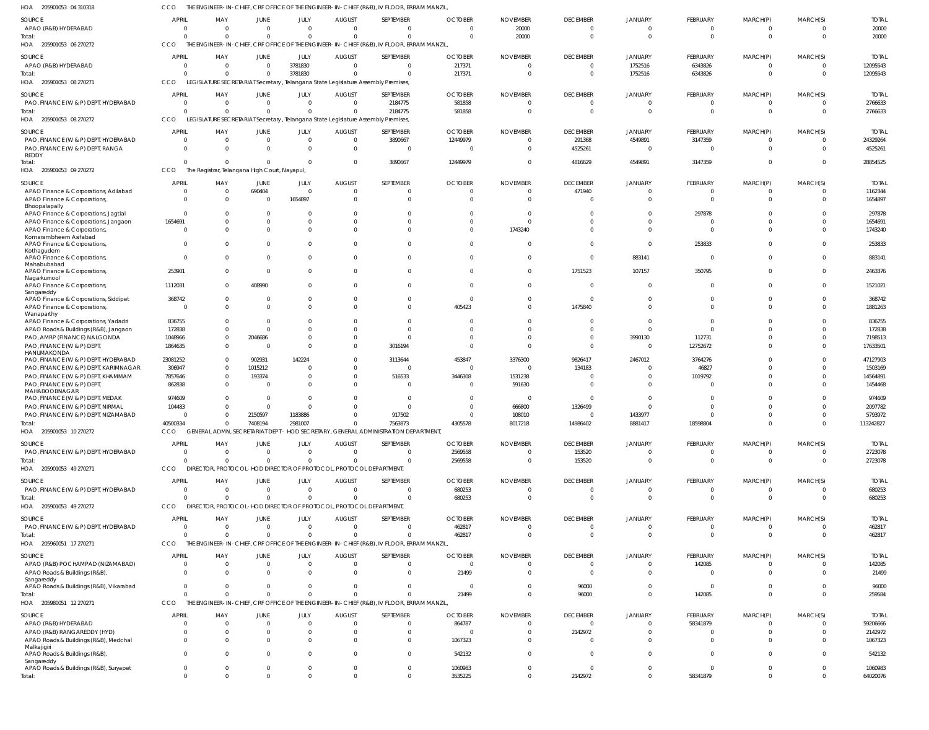205901053 04 310318 HOA CCO THE ENGINEER-IN-CHIEF, CRF OFFICE OF THE ENGINEER-IN-CHIEF (R&B), IV FLOOR, ERRAM MANZIL,

| SOURCE                                                                | <b>APRIL</b>   | MAY            | JUNE                                                              | JULY     | <b>AUGUST</b>        | SEPTEMBER                                                                                 | <b>OCTOBER</b> | <b>NOVEMBER</b> | <b>DECEMBER</b> | <b>JANUARY</b> | FEBRUARY             | MARCH(P)    | MARCH(S)       | <b>TOTAL</b> |
|-----------------------------------------------------------------------|----------------|----------------|-------------------------------------------------------------------|----------|----------------------|-------------------------------------------------------------------------------------------|----------------|-----------------|-----------------|----------------|----------------------|-------------|----------------|--------------|
| APAO (R&B) HYDERABAD                                                  | $\Omega$       | $\mathbf{0}$   | $\Omega$                                                          | $\Omega$ | $\overline{0}$       | $\Omega$                                                                                  | $\Omega$       | 20000           | $\overline{0}$  | $\Omega$       | $\overline{0}$       | 0           | $\Omega$       | 20000        |
| Total:                                                                | $\Omega$       | $\Omega$       | $\Omega$                                                          | $\Omega$ | $\Omega$             | $\Omega$                                                                                  | $\Omega$       | 20000           | $\Omega$        | $\Omega$       | $\overline{0}$       | $\Omega$    | $\Omega$       | 20000        |
| HOA 205901053 06 270272                                               | CCO            |                |                                                                   |          |                      | THE ENGINEER-IN-CHIEF, CRF OFFICE OF THE ENGINEER-IN-CHIEF (R&B), IV FLOOR, ERRAM MANZIL, |                |                 |                 |                |                      |             |                |              |
| SOURCE                                                                | <b>APRIL</b>   | MAY            | JUNE                                                              | JULY     | <b>AUGUST</b>        | SEPTEMBER                                                                                 | <b>OCTOBER</b> | <b>NOVEMBER</b> | <b>DECEMBER</b> | JANUARY        | FEBRUARY             | MARCH(P)    | MARCH(S)       | <b>TOTAL</b> |
| APAO (R&B) HYDERABAD                                                  | $\Omega$       | $\mathbf{0}$   | $\Omega$                                                          | 3781830  | $\Omega$             | $\Omega$                                                                                  | 217371         | $\Omega$        | $\mathbf{0}$    | 1752516        | 6343826              | 0           | $\Omega$       | 12095543     |
| Total:                                                                | $\Omega$       | $\Omega$       | $\Omega$                                                          | 3781830  | $\Omega$             | $\Omega$                                                                                  | 217371         | $\Omega$        | $\overline{0}$  | 1752516        | 6343826              | $\Omega$    | $\Omega$       | 12095543     |
| HOA 205901053 08 270271                                               | CCO            |                |                                                                   |          |                      | LEGISLATURE SECRETARIAT Secretary, Telangana State Legislature Assembly Premises,         |                |                 |                 |                |                      |             |                |              |
|                                                                       |                |                |                                                                   |          |                      |                                                                                           |                |                 |                 |                |                      |             |                |              |
| SOURCE                                                                | <b>APRIL</b>   | MAY            | JUNE                                                              | JULY     | <b>AUGUST</b>        | SEPTEMBER                                                                                 | <b>OCTOBER</b> | <b>NOVEMBER</b> | <b>DECEMBER</b> | JANUARY        | FEBRUARY             | MARCH(P)    | MARCH(S)       | <b>TOTAL</b> |
| PAO, FINANCE (W & P) DEPT, HYDERABAD                                  | $\overline{0}$ | $\mathbf{0}$   | $\Omega$                                                          | $\Omega$ | $\mathbf{0}$         | 2184775                                                                                   | 581858         | $\Omega$        | $\overline{0}$  | $\Omega$       | $\overline{0}$       | $\Omega$    | $\Omega$       | 2766633      |
| Total:                                                                | $\Omega$       | $\mathbf 0$    | $\Omega$                                                          | $\Omega$ | $\Omega$             | 2184775                                                                                   | 581858         | $\Omega$        | $\Omega$        | $\Omega$       | $\Omega$             | $\Omega$    | $\mathbf 0$    | 2766633      |
| HOA<br>205901053 08 270272                                            | <b>CCO</b>     |                |                                                                   |          |                      | LEGISLATURE SECRETARIAT Secretary, Telangana State Legislature Assembly Premises,         |                |                 |                 |                |                      |             |                |              |
| SOURCE                                                                | <b>APRIL</b>   | MAY            | JUNE                                                              | JULY     | <b>AUGUST</b>        | SEPTEMBER                                                                                 | <b>OCTOBER</b> | <b>NOVEMBER</b> | <b>DECEMBER</b> | JANUARY        | <b>FEBRUARY</b>      | MARCH(P)    | MARCH(S)       | <b>TOTAL</b> |
| PAO, FINANCE (W & P) DEPT, HYDERABAD                                  | $\circ$        | $\mathbf 0$    | $\Omega$                                                          | $\Omega$ | $\overline{0}$       | 3890667                                                                                   | 12449979       | $\Omega$        | 291368          | 4549891        | 3147359              | 0           | $\Omega$       | 24329264     |
| PAO, FINANCE (W & P) DEPT, RANGA                                      | $\Omega$       | $\Omega$       | $\Omega$                                                          | $\Omega$ | $\mathbf{0}$         | $\Omega$                                                                                  |                | $\Omega$        | 4525261         | $\Omega$       | $\overline{0}$       | $\Omega$    | $\Omega$       | 4525261      |
| REDDY                                                                 |                |                |                                                                   |          |                      |                                                                                           |                |                 |                 |                |                      |             |                |              |
| Total:                                                                | $\Omega$       | $\Omega$       | $\Omega$                                                          | $\Omega$ | $\mathbf 0$          | 3890667                                                                                   | 12449979       | $\Omega$        | 4816629         | 4549891        | 3147359              | $\Omega$    | $\Omega$       | 28854525     |
| HOA 205901053 09 270272                                               | CCO            |                | The Registrar, Telangana High Court, Nayapul,                     |          |                      |                                                                                           |                |                 |                 |                |                      |             |                |              |
| SOURCE                                                                | <b>APRIL</b>   | MAY            | JUNE                                                              | JULY     | <b>AUGUST</b>        | SEPTEMBER                                                                                 | <b>OCTOBER</b> | <b>NOVEMBER</b> | <b>DECEMBER</b> | JANUARY        | <b>FEBRUARY</b>      | MARCH(P)    | MARCH(S)       | <b>TOTAL</b> |
| APAO Finance & Corporations, Adilabad                                 | $\overline{0}$ | $\overline{0}$ | 690404                                                            | $\Omega$ | $\overline{0}$       | $\Omega$                                                                                  |                | $\Omega$        | 471940          | $\overline{0}$ | $\overline{0}$       | 0           | $\Omega$       | 1162344      |
| APAO Finance & Corporations,                                          | $\overline{0}$ | $\mathbf 0$    | $\Omega$                                                          | 1654897  | $\Omega$             | $\Omega$                                                                                  |                | $\Omega$        | $\Omega$        | $\Omega$       | $\Omega$             | $\Omega$    | $\Omega$       | 1654897      |
| Bhoopalapally                                                         |                |                |                                                                   |          |                      |                                                                                           |                |                 |                 |                |                      |             |                |              |
| APAO Finance & Corporations, Jagtial                                  | $\Omega$       | $^{\circ}$     | $\Omega$                                                          |          | $\Omega$             |                                                                                           |                |                 | $\Omega$        | $\Omega$       | 297878               |             | $\Omega$       | 297878       |
| APAO Finance & Corporations, Jangaon                                  | 1654691        | $\mathbf 0$    | $\Omega$                                                          | $\Omega$ | $\Omega$             | $\Omega$                                                                                  |                | $\Omega$        | $\Omega$        | $\Omega$       | $\Omega$             |             | $\Omega$       | 1654691      |
| APAO Finance & Corporations,                                          | $\Omega$       | $\Omega$       | $\Omega$                                                          | $\Omega$ | $\Omega$             | $\Omega$                                                                                  | $\Omega$       | 1743240         | $\Omega$        | $\Omega$       | $\Omega$             | $\Omega$    | $\Omega$       | 1743240      |
| Komarambheem Asifabad                                                 |                |                |                                                                   |          |                      |                                                                                           |                |                 |                 |                |                      |             |                |              |
| APAO Finance & Corporations                                           | $\Omega$       | $\mathbf{0}$   | $\Omega$                                                          | $\Omega$ | $\Omega$             | $\Omega$                                                                                  |                | $\Omega$        | $\Omega$        | $\Omega$       | 253833               | U           | $\Omega$       | 253833       |
| Kothagudem<br>APAO Finance & Corporations,                            | $\Omega$       | $\mathbf{0}$   | $\Omega$                                                          | $\Omega$ | $\Omega$             | $\Omega$                                                                                  |                | $\Omega$        | $\Omega$        | 883141         | $\overline{0}$       | 0           | $\Omega$       | 883141       |
| Mahabubabad                                                           |                |                |                                                                   |          |                      |                                                                                           |                |                 |                 |                |                      |             |                |              |
| APAO Finance & Corporations,                                          | 253901         | $\mathbf{0}$   | $\Omega$                                                          | $\Omega$ | 0                    | $\Omega$                                                                                  |                | $\Omega$        | 1751523         | 107157         | 350795               | 0           | $\mathbf{0}$   | 2463376      |
| Nagarkurnool                                                          |                |                |                                                                   |          |                      |                                                                                           |                |                 |                 |                |                      |             |                |              |
| APAO Finance & Corporations,                                          | 1112031        | $\Omega$       | 408990                                                            | $\Omega$ | $\Omega$             | $\Omega$                                                                                  |                | $\Omega$        | $\Omega$        | $\overline{0}$ | $\Omega$             |             | $\Omega$       | 1521021      |
| Sangareddy                                                            | 368742         | $\mathbf{0}$   | $\Omega$                                                          | $\Omega$ | $\Omega$             | $\Omega$                                                                                  |                | $\Omega$        | $\Omega$        | $\Omega$       | $\Omega$             |             | $\Omega$       | 368742       |
| APAO Finance & Corporations, Siddipet                                 | - 0            | $\Omega$       | $\Omega$                                                          | $\Omega$ | $\Omega$             | $\Omega$                                                                                  | 405423         | $\Omega$        | 1475840         | $\Omega$       | $\Omega$             |             | $\Omega$       | 1881263      |
| APAO Finance & Corporations<br>Wanaparthy                             |                |                |                                                                   |          |                      |                                                                                           |                |                 |                 |                |                      |             |                |              |
| APAO Finance & Corporations, Yadadri                                  | 836755         | $\mathbf 0$    | $\Omega$                                                          |          | $\Omega$             | $\Omega$                                                                                  |                | $\Omega$        | $\Omega$        | $\Omega$       | $\Omega$             |             | $\Omega$       | 836755       |
| APAO Roads & Buildings (R&B), Jangaon                                 | 172838         | $\mathbf{0}$   | $\Omega$                                                          | $\cap$   | $\Omega$             | $\Omega$                                                                                  |                | $\cap$          | $\Omega$        | $\Omega$       | $\Omega$             |             | $\Omega$       | 172838       |
| PAO, AMRP (FINANCE) NALGONDA                                          | 1048966        | $\mathbf 0$    | 2046686                                                           | $\Omega$ | $\Omega$             | $\cap$                                                                                    |                |                 | $\Omega$        | 3990130        | 112731               |             | $\Omega$       | 7198513      |
| PAO, FINANCE (W & P) DEPT,                                            | 1864635        | $\Omega$       | $\Omega$                                                          | $\Omega$ | $\Omega$             | 3016194                                                                                   |                | $\cap$          | $\Omega$        | $\Omega$       | 12752672             |             | $\Omega$       | 17633501     |
| HANUMAKONDA                                                           |                |                |                                                                   |          |                      |                                                                                           |                |                 |                 |                |                      |             |                |              |
| PAO, FINANCE (W & P) DEPT, HYDERABAD                                  | 23081252       | $\Omega$       | 902931                                                            | 142224   | $\Omega$             | 3113644                                                                                   | 453847         | 3376300         | 9826417         | 2467012        | 3764276              |             |                | 47127903     |
| PAO, FINANCE (W & P) DEPT, KARIMNAGAR                                 | 306947         | $\mathbf{0}$   | 1015212                                                           | $\Omega$ | $\mathbf 0$          | $\Omega$                                                                                  |                | $\Omega$        | 134183          | $\Omega$       | 46827                |             | $\Omega$       | 1503169      |
| PAO, FINANCE (W & P) DEPT, KHAMMAM                                    | 7857646        | $\mathbf 0$    | 193374                                                            | $\Omega$ | $\Omega$             | 516533                                                                                    | 3446308        | 1531238         | $\Omega$        | $\Omega$       | 1019792              |             | $\Omega$       | 14564891     |
| PAO, FINANCE (W & P) DEPT,                                            | 862838         | $\Omega$       | -C                                                                | $\Omega$ | $\Omega$             | $\Omega$                                                                                  |                | 591630          | $\Omega$        | $\Omega$       | $\Omega$             |             | $\Omega$       | 1454468      |
| MAHABOOBNAGAR                                                         |                |                |                                                                   | $\Omega$ |                      | $\Omega$                                                                                  |                |                 | $\Omega$        |                |                      |             | $\Omega$       |              |
| PAO, FINANCE (W & P) DEPT, MEDAK<br>PAO, FINANCE (W & P) DEPT, NIRMAL | 974609         | $\Omega$       | $\Omega$                                                          | $\cap$   | $\Omega$<br>$\Omega$ | $\Omega$                                                                                  |                | 666800          |                 |                | $\Omega$<br>$\Omega$ |             | $\Omega$       | 974609       |
|                                                                       | 104483         |                |                                                                   |          |                      |                                                                                           |                |                 | 1326499         |                |                      |             |                | 2097782      |
| PAO, FINANCE (W & P) DEPT, NIZAMABAD                                  |                | $\Omega$       | $\Omega$                                                          |          |                      |                                                                                           |                |                 |                 |                |                      |             |                |              |
| lotal:                                                                | $\Omega$       | $\Omega$       | 2150597                                                           | 1183886  | $\Omega$             | 917502                                                                                    |                | 108010          | $\Omega$        | 1433977        | $\Omega$             |             | $\Omega$       | 5793972      |
| HOA<br>205901053 10 270272                                            | 40500334       |                | 7408194                                                           | 298100   | 0                    | /5638/3                                                                                   | 4305578        | 8017218         | 14986402        | 8881417        | 18598804             |             |                | 113242827    |
|                                                                       | CCO            |                |                                                                   |          |                      | GENERAL ADMN, SECRETARIAT DEPT - HOD SECRETARY, GENERAL ADMINISTRATION DEPARTMENT,        |                |                 |                 |                |                      |             |                |              |
| SOURCE                                                                | <b>APRIL</b>   | MAY            | <b>JUNE</b>                                                       | JULY     | <b>AUGUST</b>        | SEPTEMBER                                                                                 | <b>OCTOBER</b> | <b>NOVEMBER</b> | <b>DECEMBER</b> | JANUARY        | <b>FEBRUARY</b>      | MARCH(P)    | MARCH(S)       | <b>TOTAL</b> |
| PAO, FINANCE (W & P) DEPT, HYDERABAD                                  | $\overline{0}$ | $\overline{0}$ | $\mathbf{0}$                                                      | $\Omega$ | $\overline{0}$       | $\Omega$                                                                                  | 2569558        | $\overline{0}$  | 153520          | $\overline{0}$ | $\overline{0}$       | 0           | $\overline{0}$ | 2723078      |
| Total:                                                                | $\Omega$       | $\mathbf 0$    | $\Omega$                                                          | $\Omega$ | $\mathbf 0$          | $\Omega$                                                                                  | 2569558        | $\overline{0}$  | 153520          | $\Omega$       | $\overline{0}$       | $\mathbf 0$ | $\mathbf 0$    | 2723078      |
| HOA 205901053 49 270271                                               | CCO            |                | DIRECTOR, PROTOCOL-HOD DIRECTOR OF PROTOCOL, PROTOCOL DEPARTMENT, |          |                      |                                                                                           |                |                 |                 |                |                      |             |                |              |
|                                                                       |                |                |                                                                   |          |                      |                                                                                           |                |                 |                 |                |                      |             |                |              |
| SOURCE                                                                | <b>APRIL</b>   | MAY            | JUNE                                                              | JULY     | <b>AUGUST</b>        | SEPTEMBER                                                                                 | <b>OCTOBER</b> | <b>NOVEMBER</b> | <b>DECEMBER</b> | <b>JANUARY</b> | <b>FEBRUARY</b>      | MARCH(P)    | MARCH(S)       | <b>TOTAL</b> |
| PAO, FINANCE (W & P) DEPT, HYDERABAD                                  | $\overline{0}$ | $\overline{0}$ | $\Omega$                                                          | $\Omega$ | $\overline{0}$       | $\Omega$                                                                                  | 680253         | $\Omega$        | $\mathbf{0}$    | $\overline{0}$ | $\overline{0}$       | 0           | -0             | 680253       |
| Total:                                                                | $\Omega$       | $\mathbf 0$    | $\Omega$                                                          | $\Omega$ | $\Omega$             | $\Omega$                                                                                  | 680253         | $\Omega$        | $\overline{0}$  | $\Omega$       | $\overline{0}$       | $\mathbf 0$ | $\mathbf 0$    | 680253       |
| HOA 205901053 49 270272                                               | CCO            |                | DIRECTOR, PROTOCOL-HOD DIRECTOR OF PROTOCOL, PROTOCOL DEPARTMENT, |          |                      |                                                                                           |                |                 |                 |                |                      |             |                |              |
| SOURCE                                                                | <b>APRIL</b>   | MAY            | <b>JUNE</b>                                                       | JULY     | <b>AUGUST</b>        | SEPTEMBER                                                                                 | <b>OCTOBER</b> | <b>NOVEMBER</b> | <b>DECEMBER</b> | JANUARY        | FEBRUARY             | MARCH(P)    | MARCH(S)       | <b>TOTAL</b> |
| PAO, FINANCE (W & P) DEPT, HYDERABAD                                  | - 0            | $\overline{0}$ | $\Omega$                                                          | $\Omega$ | $\overline{0}$       | $\Omega$                                                                                  | 462817         | $\overline{0}$  | $\overline{0}$  | $\overline{0}$ | $\overline{0}$       | 0           | $\mathbf 0$    | 462817       |
| Total:                                                                | $\Omega$       | $\mathbf 0$    | $\Omega$                                                          | $\Omega$ | $\mathbf 0$          | $\Omega$                                                                                  | 462817         | $\Omega$        | $\overline{0}$  | $\Omega$       | $\overline{0}$       | $\mathbf 0$ | $\Omega$       | 462817       |
| 205960051 17 270271<br>HOA                                            | CCO            |                |                                                                   |          |                      | THE ENGINEER-IN-CHIEF, CRF OFFICE OF THE ENGINEER-IN-CHIEF (R&B), IV FLOOR, ERRAM MANZIL, |                |                 |                 |                |                      |             |                |              |
|                                                                       |                |                |                                                                   |          |                      |                                                                                           |                |                 |                 |                |                      |             |                |              |
| SOURCE                                                                | <b>APRIL</b>   | MAY            | JUNE                                                              | JULY     | <b>AUGUST</b>        | SEPTEMBER                                                                                 | <b>OCTOBER</b> | <b>NOVEMBER</b> | <b>DECEMBER</b> | JANUARY        | <b>FEBRUARY</b>      | MARCH(P)    | MARCH(S)       | <b>TOTAL</b> |
| APAO (R&B) POCHAMPAD (NIZAMABAD)                                      | $\overline{0}$ | $\overline{0}$ | $\Omega$                                                          | $\Omega$ | $\overline{0}$       | $\Omega$                                                                                  | $\Omega$       | $\Omega$        | $\mathbf{0}$    | $\overline{0}$ | 142085               |             | $\Omega$       | 142085       |
| APAO Roads & Buildings (R&B),                                         | $\overline{0}$ | $\Omega$       | $\Omega$                                                          | $\Omega$ | $\Omega$             | $\Omega$                                                                                  | 21499          | $\Omega$        | $\overline{0}$  | $\Omega$       | $\overline{0}$       | $\Omega$    | $\Omega$       | 21499        |
| Sangareddy<br>APAO Roads & Buildings (R&B), Vikarabad                 | $\overline{0}$ | $^{\circ}$     | $\Omega$                                                          | $\Omega$ | $\Omega$             | $\Omega$                                                                                  | $\Omega$       | $\Omega$        | 96000           | $\overline{0}$ | $\overline{0}$       | 0           | $\Omega$       | 96000        |
| Total:                                                                | $\Omega$       | $\Omega$       | $\Omega$                                                          | $\Omega$ | $\Omega$             | $\Omega$                                                                                  | 21499          | $\Omega$        | 96000           | $\overline{0}$ | 142085               | $\Omega$    | $\Omega$       | 259584       |
| 205980051 12 270271<br>HOA                                            | CCO            |                |                                                                   |          |                      | THE ENGINEER-IN-CHIEF, CRF OFFICE OF THE ENGINEER-IN-CHIEF (R&B), IV FLOOR, ERRAM MANZIL, |                |                 |                 |                |                      |             |                |              |
|                                                                       |                |                |                                                                   |          |                      |                                                                                           |                |                 |                 |                |                      |             |                |              |
| SOURCE                                                                | <b>APRIL</b>   | MAY            | <b>JUNE</b>                                                       | JULY     | <b>AUGUST</b>        | SEPTEMBER                                                                                 | <b>OCTOBER</b> | <b>NOVEMBER</b> | <b>DECEMBER</b> | JANUARY        | <b>FEBRUARY</b>      | MARCH(P)    | MARCH(S)       | <b>TOTAL</b> |
| APAO (R&B) HYDERABAD                                                  | 0              | $\overline{0}$ | $\Omega$                                                          | $\Omega$ | $\mathbf 0$          | $\Omega$                                                                                  | 864787         | $\Omega$        | $\overline{0}$  | $\overline{0}$ | 58341879             | 0           | $\Omega$       | 59206666     |
| APAO (R&B) RANGAREDDY (HYD)                                           | $\overline{0}$ | $\overline{0}$ | $\Omega$                                                          | $\Omega$ | $\overline{0}$       | $\Omega$                                                                                  |                | $\Omega$        | 2142972         | $\Omega$       | $\overline{0}$       | 0           | $\Omega$       | 2142972      |
| APAO Roads & Buildings (R&B), Medchal                                 | $\overline{0}$ | $\overline{0}$ | $\Omega$                                                          | $\Omega$ | $\mathbf 0$          | $\Omega$                                                                                  | 1067323        | $\Omega$        | $\overline{0}$  | $\Omega$       | $\overline{0}$       | 0           | $\Omega$       | 1067323      |
| Malkajigiri                                                           | $\overline{0}$ | $\mathbf{0}$   | $\Omega$                                                          | $\Omega$ | 0                    | $\Omega$                                                                                  |                | $\Omega$        | $\overline{0}$  | $\Omega$       | $\overline{0}$       | 0           | $\Omega$       |              |
| APAO Roads & Buildings (R&B),<br>Sangareddy                           |                |                |                                                                   |          |                      |                                                                                           | 542132         |                 |                 |                |                      |             |                | 542132       |
| APAO Roads & Buildings (R&B), Suryapet                                | $\overline{0}$ | $\overline{0}$ | $\Omega$                                                          | $\Omega$ | $\overline{0}$       | $\overline{0}$                                                                            | 1060983        | $\Omega$        | $\overline{0}$  | $\overline{0}$ | $\overline{0}$       | 0           | $\mathbf{0}$   | 1060983      |
| Total:                                                                | $\overline{0}$ | $\mathbf 0$    | $\Omega$                                                          | $\Omega$ | $\mathbf 0$          | $\Omega$                                                                                  | 3535225        | $\mathbf 0$     | 2142972         | $\overline{0}$ | 58341879             | 0           | $\mathbf 0$    | 64020076     |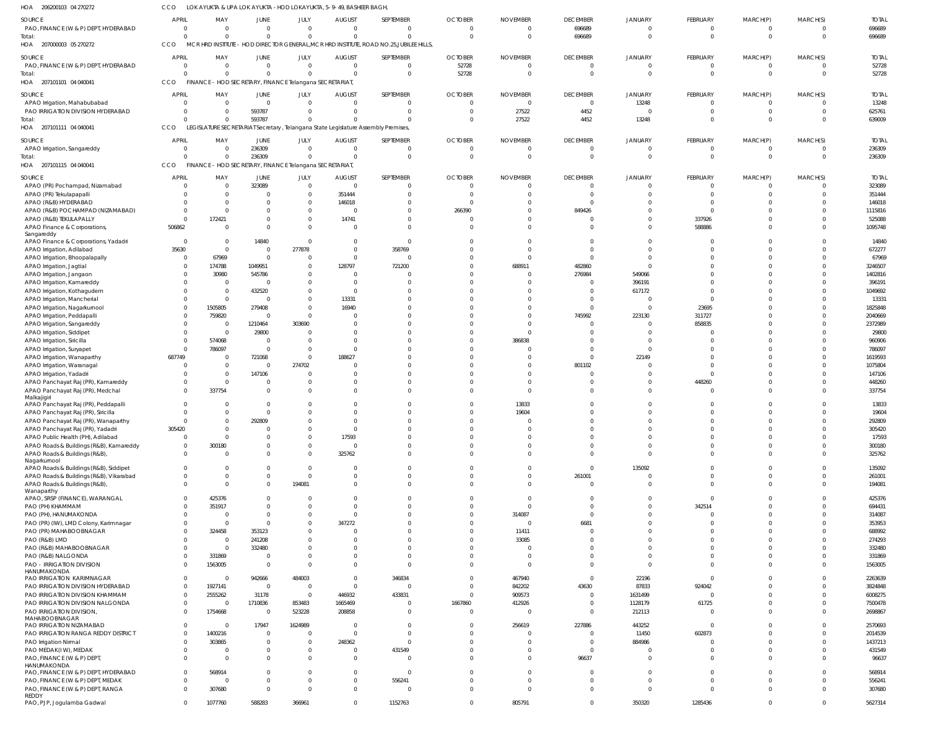206200103 04 270272 HOA 207000003 05 270272 HOA 207101101 04 040041 207101111 04 040041 HOA 207101115 04 040041 HOA HOA LOK AYUKTA & UPA LOK AYUKTA -HOD LOKAYUKTA, 5-9-49, BASHEER BAGH, MCR HRD INSTITUTE - HOD DIRECTOR GENERAL,MCR HRD INSTITUTE, ROAD NO.25,JUBILEE HILLS, CCO CCO FINANCE - HOD SECRETARY, FINANCE Telangana SECRETARIAT, LEGISLATURE SECRETARIAT Secretary , Telangana State Legislature Assembly Premises, CCO FINANCE - HOD SECRETARY, FINANCE Telangana SECRETARIAT, CCO CCO 0 0 0  $\Omega$ 0 0 0 0 0 0 593787 236309 0 0 0 0 0 0 0  $\Omega$ 0 0 0  $\Omega$ 0 52728 0  $\Omega$ 0 0 27522  $\Omega$ 696689 0 4452  $\Omega$ 0 0 13248  $\Omega$ 0 0 0  $\Omega$ 0 0 0  $\Omega$ 0 0 0  $\Omega$ 696689 52728 639009 236309 PAO, FINANCE (W & P) DEPT, HYDERABAD PAO, FINANCE (W & P) DEPT, HYDERABAD APAO Irrigation, Mahabubabad PAO IRRIGATION DIVISION HYDERABAD APAO Irrigation, Sangareddy APAO (PR) Pochampad, Nizamabad APAO (PR) Tekulapapalli APAO (R&B) HYDERABAD APAO (R&B) POCHAMPAD (NIZAMABAD) APAO (R&B) TEKULAPALLY APAO Finance & Corporations, Sangareddy APAO Finance & Corporations, Yadadri APAO Irrigation, Adilabad APAO Irrigation, Bhoopalapally APAO Irrigation, Jagtial APAO Irrigation, Jangaon APAO Irrigation, Kamareddy APAO Irrigation, Kothagudem APAO Irrigation, Mancherial APAO Irrigation, Nagarkurnool APAO Irrigation, Peddapalli APAO Irrigation, Sangareddy APAO Irrigation, Siddipet APAO Irrigation, Siricilla APAO Irrigation, Suryapet APAO Irrigation, Wanaparthy APAO Irrigation, Waranagal APAO Irrigation, Yadadri APAO Panchayat Raj (PR), Kamareddy APAO Panchayat Raj (PR), Medchal Malkaijgiri APAO Panchayat Raj (PR), Peddapalli APAO Panchayat Raj (PR), Siricilla APAO Panchayat Raj (PR), Wanaparthy APAO Panchayat Raj (PR), Yadadri APAO Public Health (PH), Adilabad APAO Roads & Buildings (R&B), Kamareddy APAO Roads & Buildings (R&B), Nagarkurnool APAO Roads & Buildings (R&B), Siddipet APAO Roads & Buildings (R&B), Vikarabad APAO Roads & Buildings (R&B), Wanaparthy APAO, SRSP (FINANCE), WARANGAL PAO (PH) KHAMMAM PAO (PH), HANUMAKONDA PAO (PR) (IW), LMD Colony, Karimnagar PAO (PR) MAHABOOBNAGAR PAO (R&B) LMD PAO (R&B) MAHABOOBNAGAR PAO (R&B) NALGONDA PAO - IRRIGATION DIVISION HANUMAKONDA PAO IRRIGATION KARIMNAGAR PAO IRRIGATION DIVISION HYDERABAD PAO IRRIGATION DIVISION KHAMMAM PAO IRRIGATION DIVISION NALGONDA PAO IRRIGATION DIVISION, MAHABOOBNAGAR PAO IRRIGATION NIZAMABAD PAO IRRIGATION RANGA REDDY DISTRICT PAO Irrigation Nirmal PAO MEDAK(I W), MEDAK PAO, FINANCE (W & P) DEPT, HANUMAKONDA PAO, FINANCE (W & P) DEPT, HYDERABAD PAO, FINANCE (W & P) DEPT, MEDAK PAO, FINANCE (W & P) DEPT, RANGA REDDY PAO, PJP, Jogulamba Gadwal **SOURCE** SOURCE SOURCE SOURCE SOURCE 0 0 0 0 0  $\Omega$ 0 0  $\Omega$ 0 506862 0 35630 0 0 0 0 0 0  $\Omega$ 0 0 0 0  $\Omega$ 687749 0 0 0  $\Omega$  $\Omega$  $\Omega$ 0 305420 0 0 0 0 0 0  $\,$  0  $\,$ 0 0 0  $\Omega$ 0 0 0 0  $\,$  0  $\,$ 0 0 0  $\Omega$ 0  $\Omega$ 0 0  $\,$  0  $\,$  $\Omega$  $\,$  0  $\,$ 0 0 APRIL APRIL APRIL APRIL APRIL 0 0 0  $\,$  0  $\,$  $\,$  0  $\,$  $\Omega$ 0 0  $\sqrt{0}$ 172421  $\Omega$ 0  $\Omega$ 67969 174788 30980 0 0 0 1505805 759820 0 0 574068 786097 0 0 0 0 337754  $\sqrt{0}$  $\Omega$ 0  $\Omega$ 0 300180 0 0 0 0 425376 351917 0 0 324458 0  $\Omega$ 331869 1563005 0 1927141 2555262 0 1754668 0 1400216 303865 0 0 568914  $\Omega$ 307680 1077760 MAY MAY MAY MAY MAY 0 0 0 593787 236309 323089 0  $\Omega$  $\Omega$ 0  $\Omega$ 14840  $\Omega$ 0 1049951 545786  $\Omega$ 432520 0 279408 0 1210464 29800 0  $\Omega$ 721068 0 147106  $\mathbf{C}$  $\Omega$  $\Omega$  $\Omega$ 292809  $\Omega$ 0 0 0 0 0 0 0 0 0 0 353123 241208 332480 0 0 942666 0 31178 1710836  $\Omega$ 17947  $\Omega$ 0 0 0  $\Omega$ 0 0 588283 JUNE JUNE JUNE JUNE JUNE 0 0 0  $\Omega$ 0  $\Omega$ 0  $\Omega$  $\Omega$ 0  $\Omega$ 0 277878 0  $\Omega$  $\bigcap$  $\Omega$  $\Omega$ 0  $\Omega$ 0 303690  $\Omega$ 0  $\Omega$ 0 274702  $\Omega$ 0  $\bigcap$ 0  $\Omega$ 0  $\Omega$ 0  $\Omega$ 0  $\Omega$  $\bigcap$ 194081 0  $\Omega$  $\Omega$ 0  $\Omega$ 0  $\Omega$  $\bigcap$ 0 484003  $\Omega$  $\Omega$ 853483 523228 1624989  $\Omega$ 0 0 0  $\Omega$ 0 0 366961 JULY JULY JULY JULY JULY 0 0 0 0 0  $\Omega$ 351444 146018  $\Omega$ 14741  $\Omega$ 0  $\Omega$ 0 128797 0 0  $\Omega$ 13331 16940 0 0  $\mathbf{0}$ 0  $\Omega$ 188627 0 0 0  $\Omega$ 0 0 0  $\Omega$ 17593 0 325762 0 0 0 0 0  $\Omega$ 347272  $\Omega$ 0 0  $\Omega$ 0  $\,$  0  $\,$  $\Omega$ 446932 1665469 208858 0  $\Omega$ 248362 0  $\,$  0  $\,$  $\Omega$  $\,$  0  $\,$ 0 0 AUGUST AUGUST AUGUST **AUGUST** AUGUST  $\Omega$ 0  $\Omega$  $\bigcap$ 0  $\Omega$ 0  $\Omega$  $\Omega$ 0 0 0 358769 0 721200 0  $\Omega$  $\Omega$ 0  $\Omega$ 0  $\Omega$  $\Omega$ 0  $\Omega$ 0  $\Omega$  $\Omega$ 0  $\Omega$  $\Omega$  $\Omega$ 0  $\Omega$ 0  $\Omega$ 0  $\Omega$  $\Omega$ 0  $\Omega$  $\Omega$  $\Omega$ 0  $\Omega$ 0  $\Omega$  $\bigcap$ 0 346834  $\Omega$ 433831 0  $\Omega$ 0  $\Omega$ 0 431549  $\bigcap$ 0 556241  $\Omega$ 1152763 SEPTEMBER SEPTEMBER SEPTEMBER SEPTEMBER SEPTEMBER  $\Omega$ 52728  $\Omega$ 0 0  $\Omega$ 0  $\Omega$ 266390 0  $\Omega$ 0  $\Omega$ 0 0 0  $\Omega$  $\Omega$ 0  $\Omega$  $\Omega$ 0  $\Omega$ 0  $\Omega$ 0  $\Omega$  $\Omega$ 0  $\Omega$  $\Omega$  $\Omega$ 0  $\Omega$ 0  $\Omega$  $\Omega$  $\Omega$ 0 0  $\Omega$  $\Omega$  $\Omega$ 0  $\Omega$ 0 0 0 0 0 0 0 1667860  $\Omega$ 0  $\Omega$ 0  $\Omega$  $\Omega$  $\Omega$ 0  $\Omega$  $\Omega$ OCTOBER **OCTOBER** OCTOBER **OCTOBER** OCTOBER  $\Omega$ 0  $\Omega$ 27522 0  $\Omega$ 0  $\Omega$  $\Omega$ 0  $\Omega$ 0  $\Omega$ 0 688911 0  $\Omega$  $\Omega$ 0  $\Omega$ 0 0  $\bigcap$ 386838  $\Omega$ 0 0  $\bigcap$ 0  $\Omega$ 13833 19604 0  $\Omega$ 0  $\Omega$ 0 0 0 0  $\bigcap$ 0 314087 0 11411 33085  $\Omega$  $\bigcap$ 0 467940 842202 909573 412926  $\Omega$ 256619  $\Omega$ 0 0 0  $\Omega$ 0  $\Omega$ 805791 NOVEMBER NOVEMBER NOVEMBER NOVEMBER NOVEMBER 696689 0  $\Omega$ 4452 0  $\Omega$ 0  $\Omega$ 849426 0  $\Omega$ 0  $\Omega$ 0 482860 276984  $\Omega$  $\Omega$ 0  $\Omega$ 745992  $\Omega$  $\Omega$ 0  $\Omega$ 0 801102  $\Omega$ 0  $\Omega$  $\Omega$  $\Omega$ 0  $\Omega$ 0 0 0 0 261001 0 0 0  $\Omega$ 6681  $\Omega$ 0 0  $\bigcap$ 0  $\bigcap$ 43630  $\Omega$ 0  $\Omega$ 227886  $\Omega$ 0  $\Omega$ 96637  $\Omega$ 0 0 0 DECEMBER DECEMBER DECEMBER **DECEMBER** DECEMBER 0 0 13248  $\Omega$ 0  $\Omega$ 0 0  $\Omega$ 0  $\Omega$ 0  $\Omega$ 0 0 549066 396191 617172 0  $\Omega$ 223130 0  $\Omega$ 0  $\Omega$ 22149 0  $\Omega$ 0  $\Omega$ 0  $\Omega$ 0  $\Omega$ 0 0 0 135092 0 0 0 0 0 0  $\Omega$ 0 0  $\Omega$ 0 22196 87833 1631499 1128179 212113 443252 11450 884986 0 0  $\Omega$ 0 0 350320 JANUARY JANUARY JANUARY JANUARY **JANUARY** 0 0 0 0 0  $\Omega$ 0 0  $\Omega$ 337926 588886 0  $\Omega$ 0  $\Omega$  $\sqrt{2}$  $\Omega$  $\Omega$ 0 23695 311727 858835  $\Omega$ 0  $\Omega$ 0  $\Omega$ 0 448260  $\Omega$  $\Omega$  $\Omega$ 0  $\Omega$ 0  $\Omega$ 0 0  $\Omega$ 0 0 342514 0 0  $\Omega$ 0 0  $\Omega$ 0 0 924042 0 61725  $\Omega$ 0 602873 0 0 0  $\Omega$ 0  $\Omega$ 1285436 FEBRUARY FEBRUARY FEBRUARY FEBRUARY FEBRUARY 0 0  $\Omega$ 0 0  $\Omega$ 0 0  $\Omega$ 0  $\Omega$ 0  $\Omega$ 0 0  $\Omega$  $\Omega$  $\Omega$  $\overline{0}$  $\Omega$ 0  $\Omega$  $\Omega$ 0  $\Omega$ 0  $\Omega$  $\Omega$ 0  $\Omega$  $\theta$  $\Omega$ 0  $\Omega$ 0  $\Omega$ 0 0  $\Omega$ 0 0  $\Omega$  $\Omega$ 0  $\Omega$ 0 0  $\Omega$ 0 0  $\Omega$  $\Omega$ 0  $\Omega$ 0  $\Omega$ 0 0 0  $\Omega$ 0 0 0 MARCH(P) MARCH(P) MARCH(P) MARCH(P) MARCH(P) 0 0  $\Omega$  $\Omega$ 0  $\Omega$ 0  $\Omega$  $\Omega$ 0  $\Omega$ 0  $\Omega$ 0  $\Omega$ 0  $\Omega$  $\Omega$ 0  $\Omega$  $\Omega$ 0  $\Omega$ 0  $\Omega$ 0  $\Omega$  $\bigcap$ 0  $\Omega$  $\Omega$  $\Omega$ 0  $\Omega$ 0  $\Omega$ 0  $\Omega$  $\Omega$ 0  $\Omega$  $\Omega$  $\Omega$ 0  $\Omega$ 0  $\Omega$  $\bigcap$ 0 0  $\Omega$  $\Omega$ 0  $\Omega$ 0  $\Omega$ 0  $\Omega$ 0  $\Omega$ 0  $\Omega$  $\Omega$ MARCH(S) MARCH(S) MARCH(S) MARCH(S) MARCH(S) 696689 52728 13248 625761 236309 323089 351444 146018 1115816 525088 1095748 14840 672277 67969 3246507 1402816 396191 1049692 13331 1825848 2040669 2372989 29800 960906 786097 1619593 1075804 147106 448260 337754 13833 19604 292809 305420 17593 300180 325762 135092 261001 194081 425376 694431 314087 353953 688992 274293 332480 331869 1563005 2263639 3824848 6008275 7500478 2698867 2570693 2014539 1437213 431549 96637 568914 556241 307680 5627314 TOTAL TOTAL TOTAL TOTAL TOTAL Total: Total: Total: Total: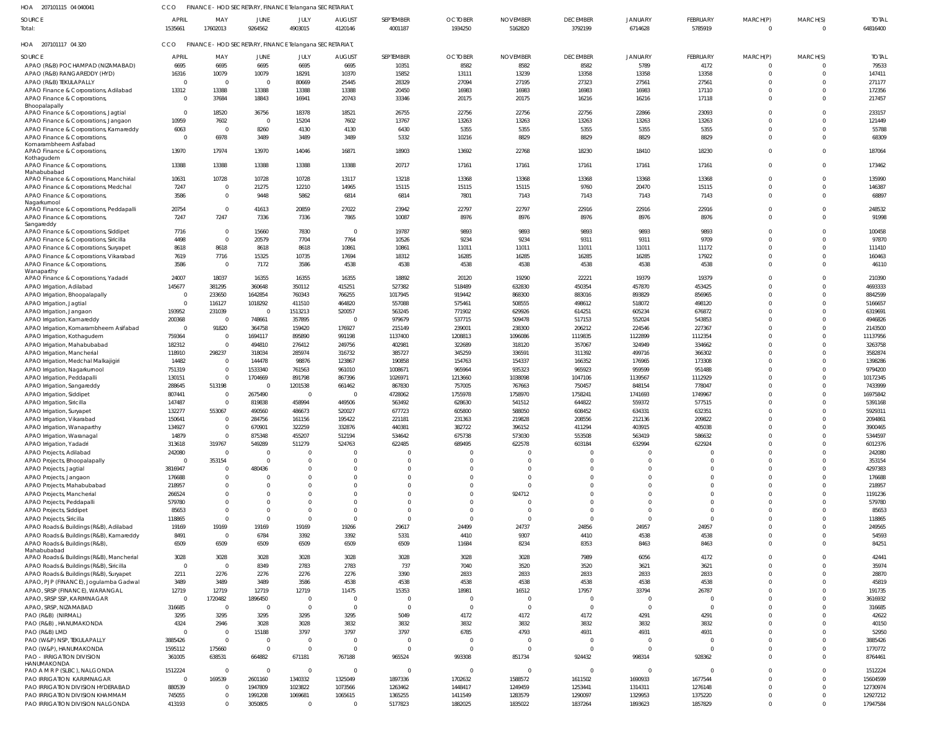| 207101115 04 040041<br>HOA                           | CCO                     | FINANCE - HOD SECRETARY, FINANCE Telangana SECRETARIAT, |                          |                 |                          |                      |                           |                            |                            |                           |                     |                      |                      |                          |
|------------------------------------------------------|-------------------------|---------------------------------------------------------|--------------------------|-----------------|--------------------------|----------------------|---------------------------|----------------------------|----------------------------|---------------------------|---------------------|----------------------|----------------------|--------------------------|
| SOURCE<br>Total:                                     | <b>APRIL</b><br>1535661 | MAY<br>17602013                                         | JUNE<br>9264562          | JULY<br>4903015 | <b>AUGUST</b><br>4120146 | SEPTEMBER<br>4001187 | <b>OCTOBER</b><br>1934250 | <b>NOVEMBER</b><br>5162820 | <b>DECEMBER</b><br>3792199 | <b>JANUARY</b><br>6714628 | FEBRUARY<br>5785919 | MARCH(P)<br>$\Omega$ | MARCH(S)<br>$\Omega$ | <b>TOTAL</b><br>64816400 |
| HOA 207101117 04 320                                 | <b>CCO</b>              | FINANCE - HOD SECRETARY, FINANCE Telangana SECRETARIAT, |                          |                 |                          |                      |                           |                            |                            |                           |                     |                      |                      |                          |
| SOURCE                                               | <b>APRIL</b>            | MAY                                                     | JUNE                     | JULY            | <b>AUGUST</b>            | SEPTEMBER            | <b>OCTOBER</b>            | <b>NOVEMBER</b>            | <b>DECEMBER</b>            | JANUARY                   | <b>FEBRUARY</b>     | MARCH(P)             | MARCH(S)             | <b>TOTAL</b>             |
| APAO (R&B) POCHAMPAD (NIZAMABAD)                     | 6695                    | 6695                                                    | 6695                     | 6695            | 6695                     | 10351                | 8582                      | 8582                       | 8582                       | 5789                      | 4172                | $\Omega$             | $\mathbf{0}$         | 79533                    |
| APAO (R&B) RANGAREDDY (HYD)                          | 16316                   | 10079                                                   | 10079                    | 18291           | 10370                    | 15852                | 13111                     | 13239                      | 13358                      | 13358                     | 13358               | $\Omega$             | $\Omega$             | 147411                   |
| APAO (R&B) TEKULAPALLY                               | $\Omega$                | $\overline{0}$                                          | $\overline{\mathbf{0}}$  | 80669           | 25445                    | 28329                | 27094                     | 27195                      | 27323                      | 27561                     | 27561               | $\Omega$             | $\Omega$             | 271177                   |
| APAO Finance & Corporations, Adilabad                | 13312                   | 13388                                                   | 13388                    | 13388           | 13388                    | 20450                | 16983                     | 16983                      | 16983                      | 16983                     | 17110               | $\Omega$             | $\Omega$             | 172356                   |
| APAO Finance & Corporations,                         | $\mathbf 0$             | 37684                                                   | 18843                    | 16941           | 20743                    | 33346                | 20175                     | 20175                      | 16216                      | 16216                     | 17118               | $\Omega$             | $\Omega$             | 217457                   |
| Bhoopalapally                                        |                         |                                                         |                          |                 |                          |                      |                           |                            |                            |                           |                     |                      |                      |                          |
| APAO Finance & Corporations, Jagtial                 | $\mathbf{0}$            | 18520                                                   | 36756                    | 18378           | 18521                    | 26755                | 22756                     | 22756                      | 22756                      | 22866                     | 23093               | $\Omega$             | $\Omega$             | 233157                   |
| APAO Finance & Corporations, Jangaon                 | 10959                   | 7602                                                    | $\overline{0}$           | 15204           | 7602                     | 13767                | 13263                     | 13263                      | 13263                      | 13263                     | 13263               | $\Omega$             | $\Omega$             | 121449                   |
| APAO Finance & Corporations, Kamareddy               | 6063                    | $\overline{0}$                                          | 8260                     | 4130            | 4130                     | 6430                 | 5355                      | 5355                       | 5355                       | 5355                      | 5355                | $\Omega$             | $\mathbf 0$          | 55788                    |
| APAO Finance & Corporations<br>Komarambheem Asifabad | $\Omega$                | 6978                                                    | 3489                     | 3489            | 3489                     | 5332                 | 10216                     | 8829                       | 8829                       | 8829                      | 8829                | $\Omega$             | $\Omega$             | 68309                    |
| APAO Finance & Corporations                          | 13970                   | 17974                                                   | 13970                    | 14046           | 16871                    | 18903                | 13692                     | 22768                      | 18230                      | 18410                     | 18230               | $\Omega$             | $\Omega$             | 187064                   |
| Kothagudem                                           |                         |                                                         |                          |                 |                          |                      |                           |                            |                            |                           |                     |                      |                      |                          |
| APAO Finance & Corporations,                         | 13388                   | 13388                                                   | 13388                    | 13388           | 13388                    | 20717                | 17161                     | 17161                      | 17161                      | 17161                     | 17161               | $\Omega$             | $\mathbf{0}$         | 173462                   |
| Mahabubabac                                          |                         |                                                         |                          |                 |                          |                      |                           |                            |                            |                           |                     |                      |                      |                          |
| APAO Finance & Corporations, Manchirial              | 10631                   | 10728                                                   | 10728                    | 10728           | 13117                    | 13218                | 13368                     | 13368                      | 13368                      | 13368                     | 13368               | $\Omega$             | $\Omega$             | 135990                   |
| APAO Finance & Corporations, Medchal                 | 7247                    | $\overline{0}$                                          | 21275                    | 12210           | 14965                    | 15115                | 15115                     | 15115                      | 9760                       | 20470                     | 15115               | $\Omega$             | $\mathbf 0$          | 146387                   |
| APAO Finance & Corporations                          | 3586                    | $\overline{0}$                                          | 9448                     | 5862            | 6814                     | 6814                 | 7801                      | 7143                       | 7143                       | 7143                      | 7143                | $\Omega$             | $\Omega$             | 68897                    |
| Nagarkurnool                                         | 20754                   | $\overline{0}$                                          |                          |                 |                          | 23942                | 22797                     | 22797                      | 22916                      | 22916                     |                     | $\Omega$             | $\mathbf 0$          |                          |
| APAO Finance & Corporations, Peddapalli              | 7247                    | 7247                                                    | 41613                    | 20859           | 27022                    | 10087                |                           | 8976                       |                            |                           | 22916<br>8976       | $\Omega$             | $\Omega$             | 248532<br>91998          |
| APAO Finance & Corporations,<br>Sangareddy           |                         |                                                         | 7336                     | 7336            | 7865                     |                      | 8976                      |                            | 8976                       | 8976                      |                     |                      |                      |                          |
| APAO Finance & Corporations, Siddipet                | 7716                    | $\overline{0}$                                          | 15660                    | 7830            | $\overline{0}$           | 19787                | 9893                      | 9893                       | 9893                       | 9893                      | 9893                | $\Omega$             | $\Omega$             | 100458                   |
| APAO Finance & Corporations, Siricilla               | 4498                    | $\overline{0}$                                          | 20579                    | 7704            | 7764                     | 10526                | 9234                      | 9234                       | 9311                       | 9311                      | 9709                | $\Omega$             | $\Omega$             | 97870                    |
| APAO Finance & Corporations, Suryapet                | 8618                    | 8618                                                    | 8618                     | 8618            | 10861                    | 10861                | 11011                     | 11011                      | 11011                      | 11011                     | 11172               | $\Omega$             | $\Omega$             | 111410                   |
| APAO Finance & Corporations, Vikarabad               | 7619                    | 7716                                                    | 15325                    | 10735           | 17694                    | 18312                | 16285                     | 16285                      | 16285                      | 16285                     | 17922               | $\Omega$             | $\Omega$             | 160463                   |
| APAO Finance & Corporations,                         | 3586                    | $\overline{0}$                                          | 7172                     | 3586            | 4538                     | 4538                 | 4538                      | 4538                       | 4538                       | 4538                      | 4538                | $\Omega$             | $\Omega$             | 46110                    |
| Wanaparthy                                           |                         |                                                         |                          |                 |                          |                      |                           |                            |                            |                           |                     |                      |                      |                          |
| APAO Finance & Corporations, Yadadri                 | 24007                   | 18037                                                   | 16355                    | 16355           | 16355                    | 18892                | 20120                     | 19290                      | 22221                      | 19379                     | 19379               | $\Omega$             | $\Omega$             | 210390                   |
| APAO Irrigation, Adilabad                            | 145677                  | 381295                                                  | 360648                   | 350112          | 415251                   | 527382               | 518489                    | 632830                     | 450354                     | 457870                    | 453425              | $\Omega$             | $\Omega$             | 4693333                  |
| APAO Irrigation, Bhoopalapally                       | $\overline{0}$          | 233650                                                  | 1642854                  | 760343          | 766255                   | 1017945              | 919442                    | 868300                     | 883016                     | 893829                    | 856965              | $\Omega$             | $\Omega$             | 8842599                  |
| APAO Irrigation, Jagtial                             | $\mathbf 0$             | 116127                                                  | 1018292                  | 411510          | 464820                   | 557088               | 575461                    | 508555                     | 498612                     | 518072                    | 498120              | $\Omega$             | $\Omega$             | 5166657                  |
| APAO Irrigation, Jangaon                             | 193952                  | 231039                                                  | $\overline{\phantom{0}}$ | 1513213         | 520057                   | 563245               | 771902                    | 629926                     | 614251                     | 605234                    | 676872              | $\Omega$             | $\Omega$             | 6319691                  |
| APAO Irrigation, Kamareddy                           | 200368                  | $\overline{0}$                                          | 748661                   | 357895          | $\overline{0}$           | 979679               | 537715                    | 509478                     | 517153                     | 552024                    | 543853              | $\Omega$             | $\Omega$             | 4946826                  |
| APAO Irrigation, Komarambheem Asifabad               | $\overline{0}$          | 91820                                                   | 364758                   | 159420          | 176927                   | 215149               | 239001                    | 238300                     | 206212                     | 224546                    | 227367              | $\Omega$             | $\Omega$             | 2143500                  |
| APAO Irrigation, Kothagudem                          | 759364                  | $\overline{0}$                                          | 1694117                  | 895890          | 991198                   | 1137400              | 1208813                   | 1096086                    | 1119835                    | 1122899                   | 1112354             | $\Omega$             | $\Omega$             | 11137956                 |
| APAO Irrigation, Mahabubabad                         | 182312                  | $\overline{0}$                                          | 494810                   | 276412          | 249756                   | 402981               | 322689                    | 318120                     | 357067                     | 324949                    | 334662              | $\Omega$             | $\Omega$             | 3263758                  |
| APAO Irrigation, Mancherial                          | 118910                  | 298237                                                  | 318034                   | 285974          | 316732                   | 385727               | 345259                    | 336591                     | 311392                     | 499716                    | 366302              | $\Omega$             | $\Omega$             | 3582874                  |
| APAO Irrigation, Medchal Malkajigiri                 | 14482                   | $\overline{0}$                                          | 144478                   | 98876           | 123867                   | 190858               | 154763                    | 154337                     | 166352                     | 176965                    | 173308              | $\Omega$             | $\Omega$             | 1398286                  |
| APAO Irrigation, Nagarkurnool                        | 751319                  | $\overline{0}$                                          | 1533340                  | 761563          | 961010                   | 1008671              | 965964                    | 935323                     | 965923                     | 959599                    | 951488              | $\Omega$             | $\Omega$             | 9794200                  |
| APAO Irrigation, Peddapalli                          | 130151                  | $\overline{0}$                                          | 1704669                  | 891798          | 867396                   | 1026971              | 1213660                   | 1038098                    | 1047106                    | 1139567                   | 1112929             | $\Omega$             | $\Omega$             | 10172345                 |
| APAO Irrigation, Sangareddy                          | 288645                  | 513198                                                  | $\overline{\mathbf{0}}$  | 1201538         | 661462                   | 867830               | 757005                    | 767663                     | 750457                     | 848154                    | 778047              | $\Omega$             | $\Omega$             | 7433999                  |
| APAO Irrigation, Siddipet                            | 807441                  | $\overline{0}$                                          | 2675490                  | $\mathsf{C}$    | $\overline{0}$           | 4728062              | 1755978                   | 1758970                    | 1758241                    | 1741693                   | 1749967             | $\Omega$             | $\Omega$             | 16975842                 |
| APAO Irrigation, Siricilla                           | 147487                  | $\overline{0}$                                          | 819838                   | 458994          | 449506                   | 563492               | 628630                    | 541512                     | 644822                     | 559372                    | 577515              | $\Omega$             | $\Omega$             | 5391168                  |
| APAO Irrigation, Suryapet                            | 132277                  | 553067                                                  | 490560                   | 486673          | 520027                   | 677723               | 605800                    | 588050                     | 608452                     | 634331                    | 632351              | $\Omega$             | $\Omega$             | 5929311                  |
| APAO Irrigation, Vikarabad                           | 150641                  | $\Omega$                                                | 284756                   | 161156          | 195422                   | 221181               | 231363                    | 219828                     | 208556                     | 212136                    | 209822              |                      | - ( )                | 2094861                  |
| APAO Irrigation, Wanaparthy                          | 134927                  | $\overline{0}$                                          | 670901                   | 322259          | 332876                   | 440381               | 382722                    | 396152                     | 411294                     | 403915                    | 405038              | $\Omega$             | $\Omega$             | 3900465                  |
| APAO Irrigation, Waranagal                           | 14879                   | $\Omega$                                                | 875348                   | 455207          | 512194                   | 534642               | 675738                    | 573030                     | 553508                     | 563419                    | 586632              | $\Omega$             | $\Omega$             | 5344597                  |
| APAO Irrigation, Yadadri                             | 313618                  | 319767                                                  | 549289                   | 511279          | 524763                   | 622485               | 689495                    | 622578                     | 603184                     | 632994                    | 622924              | $\Omega$             | $\Omega$             | 6012376                  |
| APAO Projects, Adilabad                              | 242080                  | $\overline{0}$                                          | $\overline{\mathbf{0}}$  |                 | O                        |                      | -0                        |                            | $\mathbf 0$                | $\Omega$                  | $\Omega$            | $\Omega$             | $\Omega$             | 242080                   |
| APAO Projects, Bhoopalapally                         | $\Omega$                | 353154                                                  | $\overline{0}$           | -C              | $\overline{0}$           |                      | $^{\circ}$                |                            | $\mathbf 0$                | $\mathbf 0$               | $\Omega$            | $\Omega$             | $\Omega$             | 353154                   |
| APAO Projects, Jagtial                               | 3816947                 | $\overline{0}$                                          | 480436                   |                 | $\Omega$                 |                      | $\Omega$                  |                            | $\Omega$                   | $\Omega$                  | $\Omega$            | $\Omega$             | $\Omega$             | 4297383                  |
| APAO Projects, Jangaon                               | 176688                  | $\overline{0}$                                          | $\circ$                  |                 | $\Omega$                 |                      | $\Omega$                  |                            | $\Omega$                   | $\mathbf 0$               | $\Omega$            | $\Omega$             | $\Omega$             | 176688                   |
| APAO Projects, Mahabubabad                           | 218957                  | $\Omega$                                                | $\Omega$                 |                 | $\cup$                   |                      | $\Omega$                  |                            | $\Omega$                   | $\Omega$                  | $\Omega$            | $\Omega$             | $\Omega$             | 218957                   |
| APAO Projects, Mancherial                            | 266524                  | $\Omega$                                                | $\Omega$                 |                 | $\cup$                   |                      | $\Omega$                  | 924712                     | $\Omega$                   | $\mathbf 0$               | $\Omega$            | $\Omega$             | $\Omega$             | 1191236                  |
| APAO Projects, Peddapalli                            | 579780                  | $\Omega$                                                | $\Omega$                 |                 | $\Omega$                 |                      | $\Omega$                  |                            | $\Omega$                   | $\Omega$                  | $\Omega$            | $\Omega$             | $\Omega$             | 579780                   |
| APAO Projects, Siddipet                              | 85653                   | $\Omega$                                                | $\overline{0}$           |                 | $\Omega$                 |                      | $\Omega$                  |                            | $\Omega$                   | $\overline{0}$            | $\Omega$            | $\Omega$             | $\Omega$             | 85653                    |
| APAO Projects, Siricilla                             | 118865                  | $\overline{0}$                                          | $\Omega$                 |                 | $\Omega$                 | $\Omega$             | $\Omega$                  |                            | $\Omega$                   | $\Omega$                  | $\Omega$            | $\Omega$             | $\Omega$             | 118865                   |
| APAO Roads & Buildings (R&B), Adilabad               | 19169                   | 19169                                                   | 19169                    | 19169           | 19266                    | 29617                | 24499                     | 24737                      | 24856                      | 24957                     | 24957               | $\Omega$             | $\Omega$             | 249565                   |
| APAO Roads & Buildings (R&B), Kamareddy              | 8491                    | $\overline{0}$                                          | 6784                     | 3392            | 3392                     | 5331                 | 4410                      | 9307                       | 4410                       | 4538                      | 4538                | $\Omega$             | $\Omega$             | 54593                    |
| APAO Roads & Buildings (R&B)                         | 6509                    | 6509                                                    | 6509                     | 6509            | 6509                     | 6509                 | 11684                     | 8234                       | 8353                       | 8463                      | 8463                | $\Omega$             | $\mathbf 0$          | 84251                    |
| Mahabubabad                                          |                         |                                                         |                          |                 |                          |                      |                           |                            |                            |                           |                     |                      |                      |                          |
| APAO Roads & Buildings (R&B), Mancherial             | 3028                    | 3028                                                    | 3028                     | 3028            | 3028                     | 3028                 | 3028                      | 3028                       | 7989                       | 6056                      | 4172                | $\Omega$             | $\Omega$             | 42441                    |
| APAO Roads & Buildings (R&B), Siricilla              | $\mathbf 0$             | $\overline{0}$                                          | 8349                     | 2783            | 2783                     | 737                  | 7040                      | 3520                       | 3520                       | 3621                      | 3621                | $\Omega$             | $\Omega$             | 35974                    |
| APAO Roads & Buildings (R&B), Suryapet               | 2211                    | 2276                                                    | 2276                     | 2276            | 2276                     | 3390                 | 2833                      | 2833                       | 2833                       | 2833                      | 2833                | $\Omega$             | $\Omega$             | 28870                    |
| APAO, PJP (FINANCE), Jogulamba Gadwal                | 3489                    | 3489                                                    | 3489                     | 3586            | 4538                     | 4538                 | 4538                      | 4538                       | 4538                       | 4538                      | 4538                | $\Omega$             | $\Omega$             | 45819                    |
| APAO, SRSP (FINANCE), WARANGAL                       | 12719                   | 12719                                                   | 12719                    | 12719           | 11475                    | 15353                | 18981                     | 16512                      | 17957                      | 33794                     | 26787               | $\Omega$             | $\Omega$             | 191735                   |
| APAO, SRSP SSP, KARIMNAGAR                           | $\Omega$                | 1720482                                                 | 1896450                  | $\overline{0}$  | $\overline{0}$           | $\overline{0}$       | $\overline{0}$            | $\Omega$                   | $\overline{0}$             | $\overline{0}$            | $\Omega$            | $\Omega$             | $\Omega$             | 3616932                  |
| APAO, SRSP, NIZAMABAD                                | 316685                  | $\overline{0}$                                          | $\overline{\phantom{0}}$ | $\mathsf{C}$    | $\overline{0}$           | $\Omega$             | $\overline{0}$            | - 0                        | $\overline{0}$             | $\overline{0}$            | $\Omega$            | $\Omega$             | $\Omega$             | 316685                   |
| PAO (R&B) (NIRMAL)                                   | 3295                    | 3295                                                    | 3295                     | 3295            | 3295                     | 5049                 | 4172                      | 4172                       | 4172                       | 4291                      | 4291                | $\Omega$             | $\Omega$             | 42622                    |
| PAO (R&B), HANUMAKONDA                               | 4324                    | 2946                                                    | 3028                     | 3028            | 3832                     | 3832                 | 3832                      | 3832                       | 3832                       | 3832                      | 3832                | $\Omega$             | $\Omega$             | 40150                    |
| PAO (R&B) LMD                                        | - 0                     | $\overline{0}$                                          | 15188                    | 3797            | 3797                     | 3797                 | 6785                      | 4793                       | 4931                       | 4931                      | 4931                | $\Omega$             | $\Omega$             | 52950                    |
| PAO (W&P) NSP, TEKULAPALLY                           | 3885426                 | $\overline{0}$                                          | $\overline{0}$           | - 0             | $\overline{0}$           | $\Omega$             | $\overline{0}$            | $\Omega$                   | $\overline{0}$             | $\Omega$                  | $\Omega$            | $\Omega$             | $\Omega$             | 3885426                  |
| PAO (W&P), HANUMAKONDA                               | 1595112                 | 175660                                                  | $\overline{\mathbf{0}}$  | $\Omega$        | $\overline{0}$           | $\Omega$             | $\overline{0}$            | $\Omega$                   | $\overline{0}$             | $\overline{0}$            | $\Omega$            | $\Omega$             | $\Omega$             | 1770772                  |
| PAO - IRRIGATION DIVISION                            | 361005                  | 638531                                                  | 664882                   | 671181          | 767188                   | 965524               | 993308                    | 851734                     | 924432                     | 998314                    | 928362              | $\Omega$             | $\Omega$             | 8764461                  |
| HANUMAKONDA                                          |                         |                                                         |                          |                 |                          |                      |                           |                            |                            |                           |                     |                      |                      |                          |
| PAO A M R P (SLBC), NALGONDA                         | 1512224                 | $\overline{0}$                                          | $\overline{\mathbf{0}}$  | - 0             | $\overline{0}$           | $\Omega$             | $\overline{0}$            | - 0                        | $\overline{0}$             | 0                         | $\Omega$            | $\Omega$             | $\Omega$             | 1512224                  |
| PAO IRRIGATION KARIMNAGAR                            | $\Omega$                | 169539                                                  | 2601160                  | 1340332         | 1325049                  | 1897336              | 1702632                   | 1588572                    | 1611502                    | 1690933                   | 1677544             | $\Omega$             | $\Omega$             | 15604599                 |
| PAO IRRIGATION DIVISION HYDERABAD                    | 880539                  | $\overline{0}$                                          | 1947809                  | 1023822         | 1073566                  | 1263462              | 1448417                   | 1249459                    | 1253441                    | 1314311                   | 1276148             | $\Omega$             | $\Omega$             | 12730974                 |
| PAO IRRIGATION DIVISION KHAMMAM                      | 745055                  | $\Omega$                                                | 1991208                  | 1069681         | 1065615                  | 1365255              | 1411549                   | 1283579                    | 1290097                    | 1329953                   | 1375220             | $\Omega$             | $^{\circ}$           | 12927212                 |
| PAO IRRIGATION DIVISION NALGONDA                     | 413193                  | $\Omega$                                                | 3050805                  | $\Omega$        | $\overline{0}$           | 5177823              | 1882025                   | 1835022                    | 1837264                    | 1893623                   | 1857829             | $\Omega$             | $\Omega$             | 17947584                 |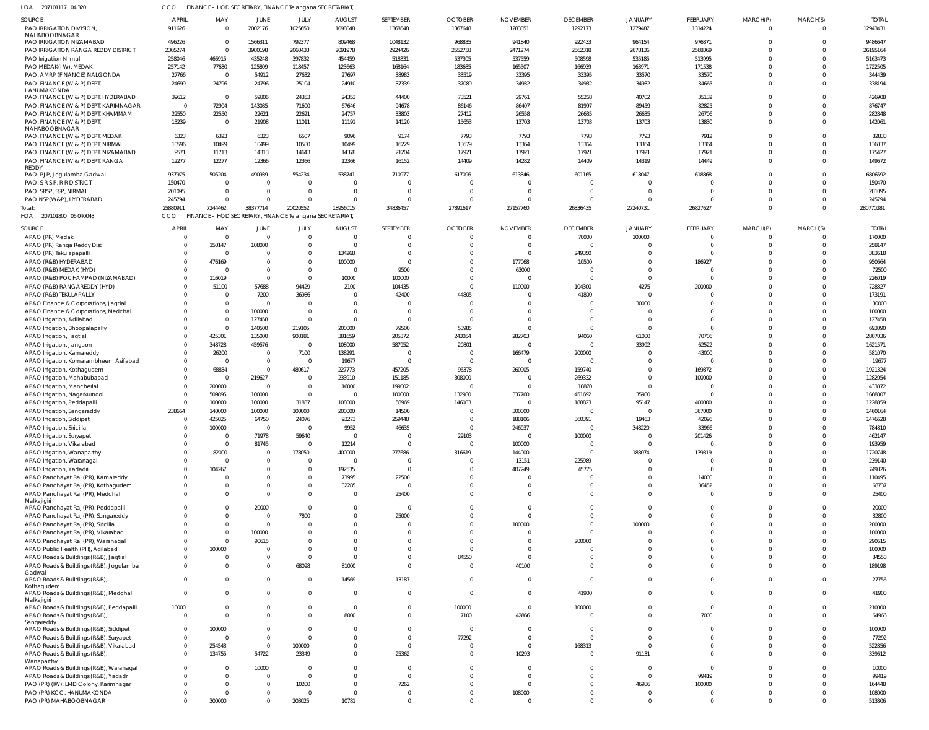| HOA 207101117 04 320                                                              |                        | FINANCE - HOD SECRETARY, FINANCE Telangana SECRETARIAT  |                                  |                      |                                     |                      |                            |                            |                            |                            |                      |                            |                            |                          |
|-----------------------------------------------------------------------------------|------------------------|---------------------------------------------------------|----------------------------------|----------------------|-------------------------------------|----------------------|----------------------------|----------------------------|----------------------------|----------------------------|----------------------|----------------------------|----------------------------|--------------------------|
| SOURCE<br>PAO IRRIGATION DIVISION                                                 | <b>APRIL</b><br>911626 | MAY<br>$\overline{0}$                                   | JUNE<br>2002176                  | JULY<br>1025650      | <b>AUGUST</b><br>1098048            | SEPTEMBER<br>1368548 | <b>OCTOBER</b><br>1367648  | <b>NOVEMBER</b><br>1283851 | <b>DECEMBER</b><br>1292173 | <b>JANUARY</b><br>1279487  | FEBRUARY<br>1314224  | MARCH(P)<br>$\overline{0}$ | MARCH(S)<br>$\mathbf 0$    | <b>TOTAL</b><br>12943431 |
| MAHABOOBNAGAR<br>PAO IRRIGATION NIZAMABAD                                         | 496226                 | $\overline{\mathbf{0}}$                                 | 1566311                          | 792377               | 809468                              | 1048132              | 968835                     | 941840                     | 922433                     | 964154                     | 976871               | $\Omega$                   | $\mathbf 0$                | 9486647                  |
| PAO IRRIGATION RANGA REDDY DISTRICT                                               | 2305274                | $\overline{0}$                                          | 3980198                          | 2060433              | 2091978                             | 2924426              | 2552758                    | 2471274                    | 2562318                    | 2678136                    | 2568369              | $\Omega$                   | $\mathbf 0$                | 26195164                 |
| PAO Irrigation Nirmal                                                             | 258046                 | 466915                                                  | 435248                           | 397832               | 454459                              | 518331               | 537305                     | 537559                     | 508598                     | 535185                     | 513995               | $\Omega$                   | $\Omega$                   | 5163473                  |
| PAO MEDAK(IW), MEDAK                                                              | 257142                 | 77630                                                   | 125809                           | 118457               | 123663                              | 168164               | 183685                     | 165507                     | 166939                     | 163971                     | 171538               | $\Omega$                   | $\Omega$                   | 1722505                  |
| PAO, AMRP (FINANCE) NALGONDA                                                      | 27766                  | $\overline{0}$                                          | 54912                            | 27632                | 27697                               | 38983                | 33519                      | 33395                      | 33395                      | 33570                      | 33570                | $\Omega$                   | $\Omega$                   | 344439                   |
| PAO, FINANCE (W & P) DEPT,<br>HANUMAKONDA                                         | 24699                  | 24796                                                   | 24796                            | 25104                | 24910                               | 37339                | 37089                      | 34932                      | 34932                      | 34932                      | 34665                | $\Omega$                   | $\Omega$                   | 338194                   |
| PAO, FINANCE (W & P) DEPT, HYDERABAD                                              | 39612                  | $\overline{\mathbf{0}}$                                 | 59806                            | 24353                | 24353                               | 44400                | 73521                      | 29761                      | 55268                      | 40702                      | 35132                | $\Omega$                   | $\Omega$                   | 426908                   |
| PAO, FINANCE (W & P) DEPT, KARIMNAGAR                                             | $\Omega$               | 72904                                                   | 143085                           | 71600                | 67646                               | 94678                | 86146                      | 86407                      | 81997                      | 89459                      | 82825                | $\Omega$                   | $\Omega$                   | 876747                   |
| PAO, FINANCE (W & P) DEPT, KHAMMAM<br>PAO, FINANCE (W & P) DEPT,<br>MAHABOOBNAGAR | 22550<br>13239         | 22550<br>$\overline{0}$                                 | 22621<br>21908                   | 22621<br>11011       | 24757<br>11191                      | 33803<br>14120       | 27412<br>15653             | 26558<br>13703             | 26635<br>13703             | 26635<br>13703             | 26706<br>13830       | $\Omega$<br>$\Omega$       | $\Omega$<br>$\Omega$       | 282848<br>142061         |
| PAO, FINANCE (W & P) DEPT, MEDAK                                                  | 6323                   | 6323                                                    | 6323                             | 6507                 | 9096                                | 9174                 | 7793                       | 7793                       | 7793                       | 7793                       | 7912                 | $\Omega$                   | $\Omega$                   | 82830                    |
| PAO, FINANCE (W & P) DEPT, NIRMAL                                                 | 10596                  | 10499                                                   | 10499                            | 10580                | 10499                               | 16229                | 13679                      | 13364                      | 13364                      | 13364                      | 13364                | $\Omega$                   | $\Omega$                   | 136037                   |
| PAO, FINANCE (W & P) DEPT, NIZAMABAD                                              | 9571                   | 11713                                                   | 14313                            | 14643                | 14378                               | 21204                | 17921                      | 17921                      | 17921                      | 17921                      | 17921                | $\Omega$                   | $\mathbf 0$                | 175427                   |
| PAO, FINANCE (W & P) DEPT, RANGA<br>REDDY                                         | 12277                  | 12277                                                   | 12366                            | 12366                | 12366                               | 16152                | 14409                      | 14282                      | 14409                      | 14319                      | 14449                | $\Omega$                   | $\Omega$                   | 149672                   |
| PAO, PJP, Jogulamba Gadwal                                                        | 937975                 | 505204                                                  | 490939                           | 554234               | 538741                              | 710977               | 617096                     | 613346                     | 601165                     | 618047                     | 618868               | $\Omega$                   | $\Omega$                   | 6806592                  |
| PAO, S R S P, R R DISTRICT                                                        | 150470                 | $\Omega$                                                | $\overline{\mathbf{0}}$          | $\circ$              | $\overline{\mathbf{0}}$             |                      | $\Omega$                   | $\Omega$                   |                            | $\Omega$                   |                      | <sup>0</sup>               | $\mathbf 0$                | 150470                   |
| PAO, SRSP, SSP, NIRMAL                                                            | 201095                 | $\overline{0}$                                          | $\overline{0}$                   | $\overline{0}$       | $\overline{0}$                      | $\Omega$             | $\overline{0}$             | $\Omega$                   | $\Omega$                   | $\Omega$                   | $\Omega$             | $\Omega$                   | $\mathbf 0$                | 201095                   |
| PAO, NSP (W&P), HYDERABAD<br>Total:                                               | 245794<br>2588091      | $\Omega$<br>7244462                                     | $\overline{0}$<br>38377714       | $\Omega$<br>20020552 | $\overline{\mathbf{0}}$<br>18956015 | $\Omega$<br>34836457 | $\overline{0}$<br>27891617 | $\Omega$<br>27157760       | $\Omega$<br>26336435       | $\Omega$<br>27240731       | $\Omega$<br>26827627 | $\Omega$<br>$\Omega$       | $\mathbf 0$<br>$\Omega$    | 245794<br>280770281      |
| HOA 207101800 06 040043                                                           | CCO                    | FINANCE - HOD SECRETARY, FINANCE Telangana SECRETARIAT, |                                  |                      |                                     |                      |                            |                            |                            |                            |                      |                            |                            |                          |
| SOURCE                                                                            | APRIL                  | MAY                                                     | JUNE                             | JULY                 | <b>AUGUST</b>                       | SEPTEMBER            | <b>OCTOBER</b>             | <b>NOVEMBER</b>            | <b>DECEMBER</b>            | JANUARY                    | FEBRUARY             | MARCH(P)                   | MARCH(S)                   | <b>TOTAL</b>             |
| APAO (PR) Medak                                                                   | $\Omega$               | $\overline{0}$                                          | $\overline{0}$                   | $\overline{0}$       | $\overline{0}$                      |                      | $\overline{0}$             | $\overline{0}$             | 70000                      | 100000                     | $\overline{0}$       | $\overline{0}$             | $\mathbf 0$                | 170000                   |
| APAO (PR) Ranga Reddy Dist                                                        | $\Omega$               | 150147                                                  | 108000                           | $\overline{0}$       | $\overline{\mathbf{0}}$             |                      | 0                          | $\overline{0}$             | $\Omega$                   | $\Omega$                   | $\Omega$             | $\Omega$                   | $\mathbf 0$                | 258147                   |
| APAO (PR) Tekulapapalli                                                           | $\Omega$               | $\overline{0}$                                          | $\overline{0}$                   | $\Omega$             | 134268                              |                      | 0                          | $\overline{0}$             | 249350                     | $\Omega$                   | $\Omega$             | $\Omega$                   | $\mathbf 0$                | 383618                   |
| APAO (R&B) HYDERABAD                                                              | $\Omega$               | 476169                                                  | $\overline{0}$                   | $\overline{0}$       | 100000                              | $\Omega$             | $\overline{0}$             | 177068                     | 10500                      | $\mathbf 0$                | 186927               | $\Omega$                   | $\mathbf 0$                | 950664                   |
| APAO (R&B) MEDAK (HYD)                                                            | $\Omega$               | - 0                                                     | $\overline{0}$                   | $\Omega$             | $\overline{\mathbf{0}}$             | 9500                 | $\overline{0}$             | 63000                      | -C                         | $\mathbf 0$                | $\Omega$             | <sup>0</sup>               | $\mathbf 0$                | 72500                    |
| APAO (R&B) POCHAMPAD (NIZAMABAD)                                                  | $\Omega$               | 116019                                                  | $\overline{0}$                   | $\circ$              | 10000                               | 100000               | $\Omega$                   | $\Omega$                   | $\Omega$                   | $\mathbf 0$                | $\Omega$             | $\Omega$                   | $\mathbf 0$                | 226019                   |
| APAO (R&B) RANGAREDDY (HYD)<br>APAO (R&B) TEKULAPALLY                             | $\Omega$<br>$\Omega$   | 51100<br>$\overline{\mathbf{0}}$                        | 57688<br>7200                    | 94429<br>36986       | 2100<br>$\overline{0}$              | 104435<br>42400      | $\overline{0}$<br>44805    | 110000<br>$\Omega$         | 104300<br>41800            | 4275<br>$\Omega$           | 200000               | <sup>0</sup><br>$\Omega$   | $\mathbf 0$<br>$\mathbf 0$ | 728327<br>173191         |
| APAO Finance & Corporations, Jagtial                                              | $\Omega$               | $\overline{0}$                                          | $\overline{0}$                   | $\Omega$             | $\overline{0}$                      |                      | $\overline{0}$             | $\Omega$                   |                            | 30000                      |                      | <sup>0</sup>               | $\mathbf 0$                | 30000                    |
| APAO Finance & Corporations, Medchal                                              | $\Omega$               | $\overline{\mathbf{0}}$                                 | 100000                           | $\circ$              | $\overline{0}$                      |                      | $\overline{0}$             | $\Omega$                   | $\Omega$                   | $\Omega$                   | $\Omega$             | $\Omega$                   | $\mathbf 0$                | 100000                   |
| APAO Irrigation, Adilabad                                                         | $\Omega$               | $\overline{0}$                                          | 127458                           | $\circ$              | $\overline{0}$                      |                      | $\overline{0}$             | $\Omega$                   | $\Omega$                   | $\mathbf 0$                | $\Omega$             | $\Omega$                   | $\mathbf 0$                | 127458                   |
| APAO Irrigation, Bhoopalapally                                                    | $\Omega$               | $\Omega$                                                | 140500                           | 219105               | 200000                              | 79500                | 53985                      | $\Omega$                   | $\Omega$                   | $\Omega$                   | $\Omega$             | <sup>0</sup>               | $\Omega$                   | 693090                   |
| APAO Irrigation, Jagtial                                                          | $\Omega$               | 425301                                                  | 135000                           | 908181               | 381659                              | 205372               | 243054                     | 282703                     | 94060                      | 61000                      | 70706                | $\Omega$                   | $\mathbf 0$                | 2807036                  |
| APAO Irrigation, Jangaon                                                          | $\Omega$               | 348728                                                  | 459576                           | $\overline{0}$       | 108000                              | 587952               | 20801                      | $\overline{0}$             | $\Omega$                   | 33992                      | 62522                | <sup>0</sup>               | $\Omega$                   | 1621571                  |
| APAO Irrigation, Kamareddy                                                        | $\Omega$               | 26200                                                   | $\overline{0}$                   | 7100                 | 138291                              | $\Omega$             | $\overline{0}$             | 166479                     | 200000                     | $\Omega$                   | 43000                | <sup>0</sup><br>$\Omega$   | $\mathbf 0$                | 581070                   |
| APAO Irrigation, Komarambheem Asifabad<br>APAO Irrigation, Kothagudem             | $\Omega$<br>$\Omega$   | $\overline{0}$<br>68834                                 | $\overline{0}$<br>$\overline{0}$ | $\circ$<br>480617    | 19677<br>227773                     | 457205               | $\overline{0}$<br>96378    | $\overline{0}$<br>260905   | $\Omega$<br>159740         | $\Omega$<br>$\mathbf 0$    | $\Omega$<br>169872   |                            | $\mathbf 0$<br>$\mathbf 0$ | 19677<br>1921324         |
| APAO Irrigation, Mahabubabad                                                      | $\Omega$               | $\overline{\mathbf{0}}$                                 | 219627                           | $\circ$              | 233910                              | 151185               | 308000                     | $\Omega$                   | 269332                     | $\mathbf{0}$               | 100000               | <sup>0</sup>               | $\mathbf 0$                | 1282054                  |
| APAO Irrigation, Mancherial                                                       | $\Omega$               | 200000                                                  | $\overline{\mathbf{0}}$          | $\overline{0}$       | 16000                               | 199002               | $\overline{0}$             | $\overline{0}$             | 18870                      | $\Omega$                   | $\Omega$             |                            | $\Omega$                   | 433872                   |
| APAO Irrigation, Nagarkurnool                                                     | $\Omega$               | 509895                                                  | 100000                           | $\overline{0}$       | $\overline{0}$                      | 100000               | 132980                     | 337760                     | 451692                     | 35980                      |                      |                            | $\Omega$                   | 1668307                  |
| APAO Irrigation, Peddapall                                                        | $\Omega$               | 100000                                                  | 100000                           | 31837                | 108000                              | 58969                | 146083                     | $\Omega$                   | 188823                     | 95147                      | 400000               |                            | $\Omega$                   | 1228859                  |
| APAO Irrigation, Sangareddy                                                       | 238664                 | 140000                                                  | 100000                           | 100000               | 200000                              | 14500                | $\overline{0}$             | 300000                     | $\Omega$                   | $\Omega$                   | 367000               | $\Omega$                   | $\mathbf 0$                | 1460164                  |
| APAO Irrigation, Siddipet                                                         |                        | 425025                                                  | 64750                            | 24076                | 93273                               | 259448               | $\cap$                     | 188106                     | 360391                     | 19463                      | 42096                |                            | $\cap$                     | 1476628                  |
| APAO Irrigation, Siricilla                                                        | $\Omega$               | 100000                                                  | $\overline{0}$                   | $\circ$              | 9952                                | 46635                | $\overline{0}$             | 246037<br>$\overline{0}$   | $\Omega$                   | 348220                     | 33966                | $\Omega$                   | $\mathbf 0$<br>$\mathbf 0$ | 784810                   |
| APAO Irrigation, Suryapet<br>APAO Irrigation, Vikarabad                           | $\Omega$               | $\overline{\mathbf{0}}$<br>$\overline{\mathbf{0}}$      | 71978<br>81745                   | 59640<br>$\circ$     | $\overline{\mathbf{0}}$<br>12214    | $\Omega$             | 29103<br>$\overline{0}$    | 100000                     | 100000<br>$\Omega$         | $\mathbf 0$<br>$\mathbf 0$ | 201426<br>$\Omega$   | $\Omega$                   | $\Omega$                   | 462147<br>193959         |
| APAO Irrigation, Wanaparthy                                                       | $\Omega$               | 82000                                                   | $\overline{0}$                   | 178050               | 400000                              | 277686               | 316619                     | 144000                     | $\mathbf 0$                | 183074                     | 139319               |                            | $\mathbf 0$                | 1720748                  |
| APAO Irrigation, Waranagal                                                        | $\Omega$               | $\overline{\mathbf{0}}$                                 | $\overline{0}$                   | $\circ$              | $\overline{0}$                      |                      | $\overline{0}$             | 13151                      | 225989                     | -0                         |                      |                            | $\Omega$                   | 239140                   |
| APAO Irrigation, Yadadri                                                          | $\Omega$               | 104267                                                  | $\Omega$                         |                      | 192535                              |                      | $\overline{0}$             | 407249                     | 45775                      | $\mathbf 0$                | $\Omega$             |                            | $\mathbf 0$                | 749826                   |
| APAO Panchayat Raj (PR), Kamareddy                                                | $\Omega$               | $\Omega$                                                | $\overline{0}$                   | - 0                  | 73995                               | 22500                | 0                          | $\Omega$                   |                            | $\mathbf 0$                | 14000                | <sup>0</sup>               | $\mathbf 0$                | 110495                   |
| APAO Panchayat Raj (PR), Kothagudem                                               | $\Omega$               | $\overline{0}$                                          | $\Omega$                         |                      | 32285                               | $\Omega$             | $\overline{0}$             | $\overline{0}$             | $\Omega$                   | $\mathbf 0$                | 36452                | $\Omega$                   | $\mathbf 0$                | 68737                    |
| APAO Panchayat Raj (PR), Medchal<br>Malkajigiri                                   | $\Omega$               | $\Omega$                                                | $\overline{0}$                   | $\Omega$             | $\overline{0}$                      | 25400                | $\overline{0}$             | $\Omega$                   | $\Omega$                   | $\mathbf{0}$               | $\Omega$             | $\Omega$                   | $\mathbf 0$                | 25400                    |
| APAO Panchayat Raj (PR), Peddapalli                                               | $\Omega$               | $\Omega$                                                | 20000                            | $\Omega$             | $\overline{0}$                      | $\Omega$             | $\Omega$                   | $\Omega$                   | $\Omega$                   | $\mathbf 0$                | $\Omega$             | $\Omega$                   | $\mathbf 0$                | 20000                    |
| APAO Panchayat Raj (PR), Sangareddy                                               | $\cap$                 | $\Omega$                                                | $\overline{0}$                   | 7800                 | $\overline{0}$                      | 25000                | $\Omega$                   | $\Omega$                   | $\Omega$                   | $\Omega$                   | $\Omega$             | $\Omega$                   | $\Omega$                   | 32800                    |
| APAO Panchayat Raj (PR), Siricilla<br>APAO Panchayat Raj (PR), Vikarabad          | $\Omega$<br>$\Omega$   | $\overline{0}$<br>$\overline{0}$                        | $\overline{0}$<br>100000         |                      | $\overline{0}$<br>$\Omega$          |                      | 0<br>$\Omega$              | 100000<br>$\mathbf 0$      | $\Omega$<br>$\Omega$       | 100000<br>$\Omega$         | $\Omega$<br>$\Omega$ | $\Omega$<br>$\Omega$       | $\mathbf 0$<br>$\mathbf 0$ | 200000<br>100000         |
| APAO Panchayat Raj (PR), Waranagal                                                | $\Omega$               | $\overline{0}$                                          | 90615                            |                      | $\Omega$                            |                      | $\Omega$                   | $\Omega$                   | 200000                     | $\Omega$                   | $\Omega$             |                            | $\mathbf 0$                | 290615                   |
| APAO Public Health (PH), Adilabad                                                 | $\Omega$               | 100000                                                  | - 0                              |                      | $\overline{0}$                      |                      | $\overline{0}$             | $\Omega$                   |                            | $\Omega$                   | $\Omega$             | <sup>0</sup>               | $\mathbf 0$                | 100000                   |
| APAO Roads & Buildings (R&B), Jagtial                                             | $\Omega$               | $\overline{0}$                                          | $\overline{0}$                   | - 0                  | $\overline{0}$                      |                      | 84550                      | $\overline{0}$             | $\Omega$                   | $\mathbf 0$                | $\Omega$             | $\Omega$                   | $\mathbf 0$                | 84550                    |
| APAO Roads & Buildings (R&B), Jogulamba                                           | $\Omega$               | $\Omega$                                                | $\overline{0}$                   | 68098                | 81000                               | $\Omega$             | $\overline{0}$             | 40100                      | $\Omega$                   | $\Omega$                   | $\Omega$             | $\Omega$                   | $\mathbf{0}$               | 189198                   |
| Gadwal<br>APAO Roads & Buildings (R&B),                                           | $\Omega$               | $\overline{0}$                                          | $\overline{0}$                   | $\overline{0}$       | 14569                               | 13187                | $\overline{0}$             | $\overline{0}$             | $\Omega$                   | $\mathbf 0$                | $\mathbf 0$          | $\mathbf{0}$               | $\mathbf 0$                | 27756                    |
| Kothagudem                                                                        |                        |                                                         |                                  |                      |                                     |                      |                            |                            |                            |                            |                      |                            |                            |                          |
| APAO Roads & Buildings (R&B), Medchal<br>Malkajigiri                              | $\Omega$               | $\Omega$                                                | $\Omega$                         | $\Omega$             | $\overline{\mathbf{0}}$             | $\Omega$             | $\overline{0}$             | $\overline{0}$             | 41900                      | $\mathbf{0}$               | $\mathbf 0$          | $\mathbf{0}$               | $\mathbf{0}$               | 41900                    |
| APAO Roads & Buildings (R&B), Peddapalli                                          | 10000                  | $\overline{0}$                                          | $\overline{0}$                   | - 0                  | $\overline{\mathbf{0}}$             | $\Omega$             | 100000                     | $\overline{0}$             | 100000                     | $\mathbf{0}$               | $\overline{0}$       | $\mathbf 0$                | $\mathbf{0}$               | 210000                   |
| APAO Roads & Buildings (R&B),                                                     | $\Omega$               | $\Omega$                                                | $\Omega$                         | $\Omega$             | 8000                                | $\Omega$             | 7100                       | 42866                      | $\Omega$                   | $\mathbf{0}$               | 7000                 | $\Omega$                   | $\mathbf{0}$               | 64966                    |
| Sangareddy<br>APAO Roads & Buildings (R&B), Siddipet                              | $\Omega$               | 100000                                                  | $\overline{0}$                   | $\Omega$             | $\overline{0}$                      |                      | $\overline{0}$             | $\overline{0}$             | $\Omega$                   | $\mathbf 0$                | $\Omega$             | $\Omega$                   | $\mathbf 0$                | 100000                   |
| APAO Roads & Buildings (R&B), Suryapet                                            | $\overline{0}$         | $\overline{\mathbf{0}}$                                 | $\overline{0}$                   | $\Omega$             | $\overline{0}$                      | $\Omega$             | 77292                      | $\overline{0}$             | $\Omega$                   | $\mathbf{0}$               | $\Omega$             | <sup>0</sup>               | $\mathbf 0$                | 77292                    |
| APAO Roads & Buildings (R&B), Vikarabad                                           | $\Omega$               | 254543                                                  | $\overline{0}$                   | 100000               | $\overline{0}$                      |                      | $\overline{0}$             | $\overline{0}$             | 168313                     | $\mathbf 0$                | $\Omega$             | $\Omega$                   | $\mathbf 0$                | 522856                   |
| APAO Roads & Buildings (R&B),                                                     | $\Omega$               | 134755                                                  | 54722                            | 23349                | $\overline{0}$                      | 25362                | $\overline{0}$             | 10293                      |                            | 91131                      | $\Omega$             | $\Omega$                   | $\Omega$                   | 339612                   |
| Wanaparthy<br>APAO Roads & Buildings (R&B), Waranagal                             | $\Omega$               | $\overline{\mathbf{0}}$                                 | 10000                            | - 0                  | $\overline{0}$                      |                      | $\overline{0}$             | $\mathbf 0$                | $\Omega$                   | $\mathbf 0$                | $\Omega$             | $\Omega$                   | $\mathbf 0$                | 10000                    |
| APAO Roads & Buildings (R&B), Yadadri                                             | $\Omega$               | $\overline{0}$                                          | $\overline{0}$                   | $\circ$              | $\overline{0}$                      |                      | $\Omega$                   | $\overline{0}$             | $\Omega$                   | $\overline{0}$             | 99419                | <sup>0</sup>               | $\mathbf 0$                | 99419                    |
| PAO (PR) (IW), LMD Colony, Karimnagar                                             | $\Omega$               | $\Omega$                                                | $\overline{0}$                   | 10200                | $\overline{0}$                      | 7262                 | $\overline{0}$             | $\overline{0}$             | $\Omega$                   | 46986                      | 100000               | <sup>0</sup>               | $\mathbf 0$                | 164448                   |
| PAO (PR) KCC, HANUMAKONDA                                                         | $\Omega$               | $\Omega$                                                | $\overline{0}$                   | - 0                  | $\overline{\mathbf{0}}$             |                      | $\overline{0}$             | 108000                     | $\Omega$                   | $\mathbf 0$                | $\Omega$             | 0                          | $\mathbf 0$                | 108000                   |
| PAO (PR) MAHABOOBNAGAR                                                            | $\Omega$               | 300000                                                  | $\overline{0}$                   | 203025               | 10781                               | $\Omega$             | $\overline{0}$             | $\overline{0}$             | $\Omega$                   | $\mathbf 0$                | $\mathbf 0$          | $\mathbf 0$                | $\mathbf 0$                | 513806                   |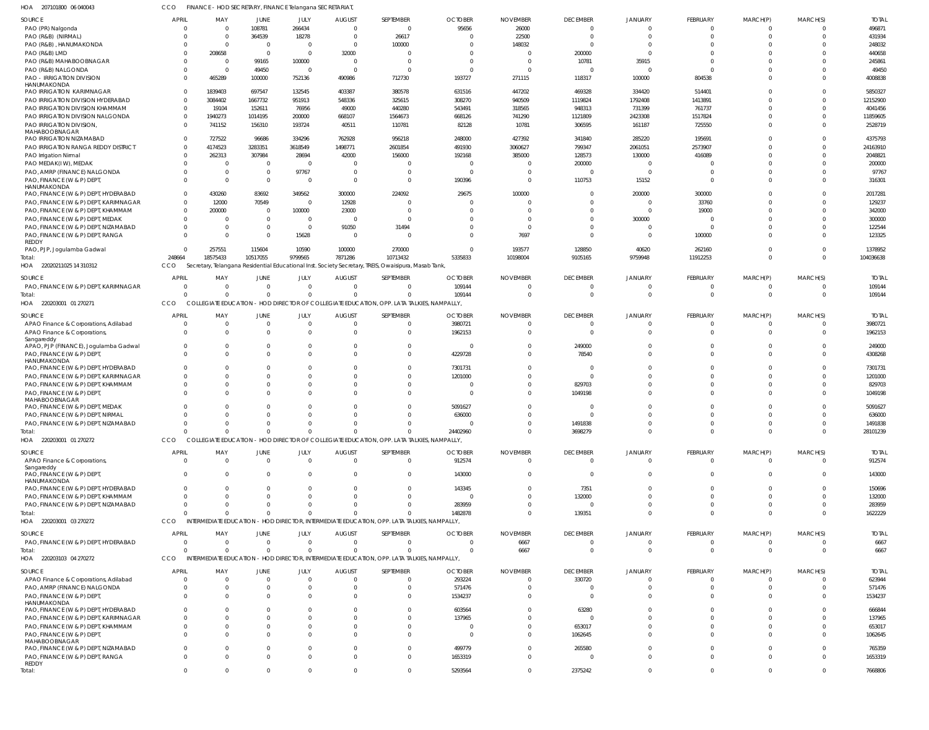| HOA 207101800 06 040043                                                       | CCO                  | FINANCE - HOD SECRETARY, FINANCE Telangana SECRETARIAT |                |                        |                           |                                                                                                      |                           |                 |                                   |                   |                            |                          |                            |                         |
|-------------------------------------------------------------------------------|----------------------|--------------------------------------------------------|----------------|------------------------|---------------------------|------------------------------------------------------------------------------------------------------|---------------------------|-----------------|-----------------------------------|-------------------|----------------------------|--------------------------|----------------------------|-------------------------|
| SOURCE                                                                        | <b>APRIL</b>         | MAY                                                    | JUNE           | JULY                   | <b>AUGUST</b>             | SEPTEMBER                                                                                            | <b>OCTOBER</b>            | <b>NOVEMBER</b> | <b>DECEMBER</b>                   | JANUARY           | FEBRUARY                   | MARCH(P)                 | MARCH(S)                   | <b>TOTAL</b>            |
| PAO (PR) Nalgonda                                                             | 0                    | $\Omega$                                               | 108781         | 266434                 | $\Omega$                  | $\overline{0}$                                                                                       | 95656                     | 26000           | $\overline{0}$                    | $\Omega$          | $\overline{0}$             | $\mathbf 0$              | $\overline{\mathbf{0}}$    | 496871                  |
| PAO (R&B) (NIRMAL)                                                            | $\Omega$             | $\Omega$                                               | 364539         | 18278                  | $\Omega$                  | 26617                                                                                                |                           | 22500           | $\overline{0}$                    | 0                 | $\mathbf{0}$               | $\mathbf 0$              | $\Omega$                   | 431934                  |
| PAO (R&B), HANUMAKONDA                                                        | $\mathbf{0}$         | $\Omega$                                               | $\overline{0}$ | $\mathbf{0}$           | $\Omega$                  | 100000                                                                                               |                           | 148032          | $\overline{0}$                    |                   | $\mathbf 0$                | $\mathbf 0$              | $\Omega$                   | 248032                  |
| PAO (R&B) LMD                                                                 | $\Omega$             | 208658                                                 | $\overline{0}$ | $\mathbf{0}$           | 32000                     | 0                                                                                                    |                           |                 | 200000                            | $\Omega$          | $\Omega$                   | $\Omega$                 | $\Omega$                   | 440658                  |
| PAO (R&B) MAHABOOBNAGAR<br>PAO (R&B) NALGONDA                                 | $\Omega$<br>$\Omega$ | $\Omega$<br>$\Omega$                                   | 99165<br>49450 | 100000<br>$\mathbf{0}$ | $\Omega$                  | $\mathbf{0}$<br>$\mathbf{0}$                                                                         |                           |                 | 10781<br>$\Omega$                 | 35915<br>$\Omega$ | $\mathbf 0$<br>$\Omega$    | $\Omega$<br>$\Omega$     | $\Omega$<br>$\Omega$       | 245861<br>49450         |
| <b>PAO - IRRIGATION DIVISION</b>                                              | $\Omega$             | 465289                                                 | 100000         | 752136                 | 490986                    | 712730                                                                                               | 193727                    | 271115          | 118317                            | 100000            | 804538                     | $\mathbf 0$              | $\Omega$                   | 4008838                 |
| HANUMAKONDA                                                                   |                      |                                                        |                |                        |                           |                                                                                                      |                           |                 |                                   |                   |                            |                          |                            |                         |
| PAO IRRIGATION KARIMNAGAR                                                     | $\mathbf 0$          | 1839403                                                | 697547         | 132545                 | 403387                    | 380578                                                                                               | 631516                    | 447202          | 469328                            | 334420            | 514401                     | $\mathbf 0$              | $\Omega$                   | 5850327                 |
| PAO IRRIGATION DIVISION HYDERABAD                                             | $\mathbf{0}$         | 3084402                                                | 1667732        | 951913                 | 548336                    | 325615                                                                                               | 308270                    | 940509          | 1119824                           | 1792408           | 1413891                    | $\Omega$                 | $\Omega$                   | 12152900                |
| PAO IRRIGATION DIVISION KHAMMAM                                               | $\mathbf 0$          | 19104                                                  | 152611         | 76956                  | 49000                     | 440280                                                                                               | 543491                    | 318565          | 948313                            | 731399            | 761737                     | $\Omega$                 | $\Omega$                   | 4041456                 |
| PAO IRRIGATION DIVISION NALGONDA                                              | $\mathbf 0$          | 1940273                                                | 1014195        | 200000                 | 668107                    | 1564673                                                                                              | 668126                    | 741290          | 1121809                           | 2423308           | 1517824                    | $\Omega$                 | $\Omega$                   | 11859605                |
| PAO IRRIGATION DIVISION,<br>MAHABOOBNAGAR                                     | $\mathbf 0$          | 741152                                                 | 156310         | 193724                 | 40511                     | 110781                                                                                               | 82128                     | 10781           | 306595                            | 161187            | 725550                     | $\mathbf{0}$             | $\Omega$                   | 2528719                 |
| PAO IRRIGATION NIZAMABAD                                                      | $\mathbf 0$          | 727522                                                 | 96686          | 334296                 | 762928                    | 956218                                                                                               | 248000                    | 427392          | 341840                            | 285220            | 195691                     | $\Omega$                 | $\Omega$                   | 4375793                 |
| PAO IRRIGATION RANGA REDDY DISTRICT                                           | $\mathbf 0$          | 4174523                                                | 3283351        | 3618549                | 1498771                   | 2601854                                                                                              | 491930                    | 3060627         | 799347                            | 2061051           | 2573907                    | $\Omega$                 | $\Omega$                   | 24163910                |
| PAO Irrigation Nirmal                                                         | $\Omega$             | 262313                                                 | 307984         | 28694                  | 42000                     | 156000                                                                                               | 192168                    | 385000          | 128573                            | 130000            | 416089                     | $\Omega$                 | $\Omega$                   | 2048821                 |
| PAO MEDAK(IW), MEDAK                                                          | $\mathbf 0$          | - 0                                                    | $\overline{0}$ | $\mathbf{0}$           | $\Omega$                  | $\mathbf{0}$                                                                                         | - 0                       |                 | 200000                            | $\Omega$          | $\Omega$                   | $\Omega$                 | $\Omega$                   | 200000                  |
| PAO, AMRP (FINANCE) NALGONDA                                                  | $\mathbf{0}$         | - 0                                                    | $\overline{0}$ | 97767                  | $\Omega$                  | $\overline{0}$                                                                                       | - 0                       |                 | $\overline{0}$                    | $\Omega$          | $\mathbf 0$                | $\Omega$                 | $\Omega$                   | 97767                   |
| PAO, FINANCE (W & P) DEPT<br>HANUMAKONDA                                      | $\mathbf 0$          | $\Omega$                                               | $\overline{0}$ | $\mathbf{0}$           | $\Omega$                  | $\mathbf{0}$                                                                                         | 190396                    |                 | 110753                            | 15152             | $\overline{0}$             | $\mathbf 0$              | $\Omega$                   | 316301                  |
| PAO, FINANCE (W & P) DEPT, HYDERABAD                                          | $\mathbf 0$          | 430260                                                 | 83692          | 349562                 | 300000                    | 224092                                                                                               | 29675                     | 100000          | $\Omega$                          | 200000            | 300000                     | $\Omega$                 | $\Omega$                   | 2017281                 |
| PAO, FINANCE (W & P) DEPT, KARIMNAGAR                                         | $\mathbf 0$          | 12000                                                  | 70549          | $\mathbf{0}$           | 12928                     | $\overline{0}$                                                                                       |                           |                 | $\Omega$                          | $\Omega$          | 33760                      | $\Omega$                 | $\Omega$                   | 129237                  |
| PAO, FINANCE (W & P) DEPT, KHAMMAM                                            | $\mathbf{0}$         | 200000                                                 | $\overline{0}$ | 100000                 | 23000                     | $\mathbf 0$                                                                                          |                           |                 | $\Omega$                          | $\Omega$          | 19000                      | $\Omega$                 | $\Omega$                   | 342000                  |
| PAO, FINANCE (W & P) DEPT, MEDAK                                              | $\mathbf 0$          | - 0                                                    | $\overline{0}$ | $\overline{0}$         | $\Omega$                  | $\Omega$                                                                                             |                           |                 | $\Omega$                          | 300000            | $\overline{0}$             | $\Omega$                 | $\Omega$                   | 300000                  |
| PAO, FINANCE (W & P) DEPT, NIZAMABAD                                          | $\mathbf 0$          | $\Omega$                                               | $\overline{0}$ | $\overline{0}$         | 91050                     | 31494                                                                                                |                           |                 | $\Omega$                          | $\mathbf 0$       | $\overline{0}$             | $\Omega$                 | $\Omega$                   | 122544                  |
| PAO, FINANCE (W & P) DEPT, RANGA                                              | $\Omega$             | $\Omega$                                               | $\Omega$       | 15628                  | $\Omega$                  | $\overline{0}$                                                                                       |                           | 7697            | $\Omega$                          |                   | 100000                     | $\Omega$                 | $\Omega$                   | 123325                  |
| REDDY<br>PAO, PJP, Jogulamba Gadwal                                           | $\overline{0}$       | 257551                                                 | 115604         | 10590                  | 100000                    | 270000                                                                                               |                           | 193577          | 128850                            | 40620             | 262160                     | $\mathbf 0$              | $\Omega$                   | 1378952                 |
| Total:                                                                        | 248664               | 18575433                                               | 10517055       | 9799565                | 7871286                   | 10713432                                                                                             | 5335833                   | 10198004        | 9105165                           | 9759948           | 11912253                   | $\overline{0}$           | $\Omega$                   | 104036638               |
| HOA 22020211025 14 310312                                                     | CCO                  |                                                        |                |                        |                           | Secretary, Telangana Residential Educational Inst. Society Secretary, TREIS, Owaisipura, Masab Tank, |                           |                 |                                   |                   |                            |                          |                            |                         |
| SOURCE                                                                        | <b>APRIL</b>         | MAY                                                    | JUNE           | JULY                   | <b>AUGUST</b>             | SEPTEMBER                                                                                            | <b>OCTOBER</b>            | <b>NOVEMBER</b> | <b>DECEMBER</b>                   | JANUARY           | FEBRUARY                   | MARCH(P)                 | MARCH(S)                   | <b>TOTAL</b>            |
| PAO, FINANCE (W & P) DEPT, KARIMNAGAR                                         | $\overline{0}$       | $\Omega$                                               | $\overline{0}$ | $\mathbf{0}$           | $\Omega$                  | $\Omega$                                                                                             | 109144                    | - 0             | $\overline{0}$                    |                   | $^{\circ}$                 | $^{\circ}$               | $\overline{\mathbf{0}}$    | 109144                  |
| Total:                                                                        | $\Omega$             | $\Omega$                                               | $\mathbf{0}$   | $\mathbf{0}$           | $\Omega$                  | $\Omega$                                                                                             | 109144                    | $\Omega$        | $\overline{0}$                    | $\Omega$          | $\overline{0}$             | $\overline{0}$           | $\overline{0}$             | 109144                  |
| HOA 220203001 01 270271                                                       | <b>CCO</b>           |                                                        |                |                        |                           | COLLEGIATE EDUCATION - HOD DIRECTOR OF COLLEGIATE EDUCATION, OPP. LATA TALKIES, NAMPALLY,            |                           |                 |                                   |                   |                            |                          |                            |                         |
|                                                                               | APRIL                | MAY                                                    | <b>JUNE</b>    |                        |                           | SEPTEMBER                                                                                            |                           | <b>NOVEMBER</b> |                                   |                   |                            |                          |                            |                         |
| SOURCE<br>APAO Finance & Corporations, Adilabad                               | 0                    | - 0                                                    | $\overline{0}$ | JULY<br>$\mathbf{0}$   | <b>AUGUST</b><br>$\Omega$ | $\overline{0}$                                                                                       | <b>OCTOBER</b><br>3980721 |                 | <b>DECEMBER</b><br>$\overline{0}$ | JANUARY<br>0      | FEBRUARY<br>$\overline{0}$ | MARCH(P)<br>$\mathbf{0}$ | MARCH(S)<br>$\overline{0}$ | <b>TOTAL</b><br>3980721 |
| APAO Finance & Corporations,                                                  | $\mathbf{0}$         | $\Omega$                                               | $\Omega$       | $\Omega$               | $\Omega$                  | $\overline{0}$                                                                                       | 1962153                   |                 | $\overline{0}$                    | $\Omega$          | $\overline{0}$             | $\mathbf 0$              | $\Omega$                   | 1962153                 |
| Sangareddy                                                                    |                      |                                                        |                |                        |                           |                                                                                                      |                           |                 |                                   |                   |                            |                          |                            |                         |
| APAO, PJP (FINANCE), Jogulamba Gadwal                                         | $\mathbf 0$          | $\Omega$                                               | $\overline{0}$ | $\mathbf{0}$           | $\Omega$                  | $\overline{0}$                                                                                       | - 0                       |                 | 249000                            | $\Omega$          | $\overline{0}$             | $\overline{0}$           | $\overline{0}$             | 249000                  |
| PAO, FINANCE (W & P) DEPT                                                     | $\mathbf 0$          | $\cap$                                                 | $\Omega$       | $\Omega$               | $\Omega$                  | $\overline{0}$                                                                                       | 4229728                   |                 | 78540                             | $\Omega$          | $\mathbf 0$                | $\mathbf 0$              | $\Omega$                   | 4308268                 |
| HANUMAKONDA<br>PAO, FINANCE (W & P) DEPT, HYDERABAD                           | $\Omega$             |                                                        | $\Omega$       | $\Omega$               | <sup>0</sup>              | $\overline{0}$                                                                                       | 7301731                   |                 | $\overline{0}$                    | <sup>0</sup>      | $\mathbf 0$                | $\mathbf 0$              | $\Omega$                   | 7301731                 |
| PAO, FINANCE (W & P) DEPT, KARIMNAGAR                                         | $\Omega$             |                                                        | $\Omega$       | $\Omega$               | $\Omega$                  | $\overline{0}$                                                                                       | 1201000                   |                 | $\Omega$                          |                   | $\mathbf 0$                | $\Omega$                 | $\Omega$                   | 1201000                 |
| PAO, FINANCE (W & P) DEPT, KHAMMAM                                            | $\Omega$             |                                                        | $\Omega$       | $\Omega$               | <sup>0</sup>              | $\overline{0}$                                                                                       |                           |                 | 829703                            |                   | $\mathbf 0$                | $\mathbf 0$              | $\Omega$                   | 829703                  |
| PAO, FINANCE (W & P) DEPT                                                     | $\Omega$             |                                                        | $\Omega$       | $\Omega$               | $\Omega$                  | $\mathbf 0$                                                                                          |                           |                 | 1049198                           |                   | $\mathbf 0$                | $\Omega$                 | $\Omega$                   | 1049198                 |
| MAHABOOBNAGAR<br>PAO, FINANCE (W & P) DEPT, MEDAK                             | $\Omega$             | $\Omega$                                               | $\overline{0}$ | $\mathbf 0$            | $\Omega$                  | $\mathbf{0}$                                                                                         | 5091627                   | $\Omega$        | $\overline{0}$                    | $\Omega$          | $\mathbf{0}$               | $\mathbf{0}$             | $\mathbf{0}$               | 5091627                 |
| PAO, FINANCE (W & P) DEPT, NIRMAL                                             |                      |                                                        |                |                        |                           | $\cap$                                                                                               | 636000                    |                 |                                   |                   | $\cap$                     | $\cap$                   | $\sqrt{ }$                 | 636000                  |
| PAO, FINANCE (W & P) DEPT, NIZAMABAD                                          | 0                    |                                                        | $\Omega$       |                        |                           | $\mathbf 0$                                                                                          | - 0                       |                 | 1491838                           |                   | $\mathbf{0}$               | $\mathbf 0$              | $\Omega$                   | 1491838                 |
| Total:                                                                        | $\Omega$             |                                                        | $\Omega$       | $\Omega$               |                           | $\mathbf 0$                                                                                          | 24402960                  |                 | 3698279                           | $\Omega$          | $\overline{0}$             | $\overline{0}$           | $\Omega$                   | 28101239                |
| HOA 220203001 01 270272                                                       | <b>CCO</b>           |                                                        |                |                        |                           | COLLEGIATE EDUCATION - HOD DIRECTOR OF COLLEGIATE EDUCATION, OPP. LATA TALKIES, NAMPALLY,            |                           |                 |                                   |                   |                            |                          |                            |                         |
| SOURCE                                                                        | <b>APRIL</b>         | MAY                                                    | JUNE           | JULY                   | AUGUST                    | SEPTEMBER                                                                                            | <b>OCTOBER</b>            | <b>NOVEMBER</b> | <b>DECEMBER</b>                   | JANUARY           | FEBRUARY                   | MARCH(P)                 | MARCH(S)                   | <b>TOTAL</b>            |
| APAO Finance & Corporations,                                                  | $\Omega$             | $\Omega$                                               | $\overline{0}$ | $\Omega$               | $\Omega$                  | $\overline{0}$                                                                                       | 912574                    | $\Omega$        | $\overline{0}$                    | $\Omega$          | $\overline{0}$             | $\overline{0}$           | - 0                        | 912574                  |
| Sangareddy                                                                    |                      |                                                        |                |                        |                           |                                                                                                      |                           |                 |                                   |                   |                            |                          |                            |                         |
| PAO, FINANCE (W & P) DEPT<br>HANUMAKONDA                                      | $\Omega$             |                                                        | $\Omega$       | $\Omega$               | $\Omega$                  | $\overline{0}$                                                                                       | 143000                    |                 | $\overline{0}$                    | $\Omega$          | $\mathbf 0$                | $\Omega$                 | $\Omega$                   | 143000                  |
| PAO, FINANCE (W & P) DEPT, HYDERABAD                                          | $\Omega$             |                                                        | <sup>0</sup>   | $\Omega$               |                           | $\Omega$                                                                                             | 143345                    |                 | 7351                              |                   | $\Omega$                   | $\Omega$                 | $\Omega$                   | 150696                  |
| PAO, FINANCE (W & P) DEPT, KHAMMAM                                            | $\Omega$             |                                                        | $\Omega$       | $\Omega$               | <sup>0</sup>              | $\Omega$                                                                                             |                           |                 | 132000                            |                   | $\Omega$                   | $\Omega$                 | $\Omega$                   | 132000                  |
| PAO, FINANCE (W & P) DEPT, NIZAMABAD                                          | $\Omega$             |                                                        | <sup>0</sup>   | $\Omega$               |                           | $\Omega$                                                                                             | 283959                    |                 | $\mathbf{0}$                      |                   | $\Omega$                   | $\Omega$                 | $\Omega$                   | 283959                  |
| Total:                                                                        | $\Omega$             |                                                        | $\Omega$       | $\Omega$               |                           | $\Omega$                                                                                             | 1482878                   |                 | 139351                            |                   | $\Omega$                   | $\Omega$                 | $\Omega$                   | 1622229                 |
| HOA 220203001 03 270272                                                       | CCO                  |                                                        |                |                        |                           | INTERMEDIATE EDUCATION - HOD DIRECTOR, INTERMEDIATE EDUCATION, OPP. LATA TALKIES, NAMPALLY,          |                           |                 |                                   |                   |                            |                          |                            |                         |
| SOURCE                                                                        | <b>APRIL</b>         | MAY                                                    | JUNE           | JULY                   | <b>AUGUST</b>             | SEPTEMBER                                                                                            | <b>OCTOBER</b>            | <b>NOVEMBER</b> | <b>DECEMBER</b>                   | JANUARY           | FEBRUARY                   | MARCH(P)                 | MARCH(S)                   | <b>TOTAL</b>            |
| PAO, FINANCE (W & P) DEPT, HYDERABAD                                          | $\Omega$             | $\Omega$                                               | $\overline{0}$ | $\mathbf{0}$           | $\Omega$                  | $\overline{0}$                                                                                       | - 0                       | 6667            | $\overline{0}$                    | $\mathbf 0$       | $\overline{0}$             | $\mathbf 0$              | $\Omega$                   | 6667                    |
| Total:                                                                        | $\Omega$             |                                                        | $\Omega$       | $\Omega$               |                           | $\Omega$                                                                                             | $\Omega$                  | 6667            | $\Omega$                          | $\Omega$          | $\overline{0}$             | $\mathbf{0}$             | $\Omega$                   | 6667                    |
| HOA 220203103 04 270272                                                       | CCO                  |                                                        |                |                        |                           | INTERMEDIATE EDUCATION - HOD DIRECTOR, INTERMEDIATE EDUCATION, OPP. LATA TALKIES, NAMPALLY,          |                           |                 |                                   |                   |                            |                          |                            |                         |
| SOURCE                                                                        | <b>APRII</b>         | MAY                                                    | JUNE           | JULY                   | <b>AUGUST</b>             | SEPTEMBER                                                                                            | <b>OCTOBER</b>            | <b>NOVEMBER</b> | <b>DECEMBER</b>                   | JANUARY           | FEBRUARY                   | MARCH(P)                 | MARCH(S)                   | <b>TOTAL</b>            |
| APAO Finance & Corporations, Adilabad                                         | $\Omega$             | $\Omega$                                               | $\Omega$       | $\Omega$               | $\Omega$                  | $\Omega$                                                                                             | 293224                    | - 0             | 330720                            | 0                 | $\Omega$                   | 0                        | - 0                        | 623944                  |
| PAO, AMRP (FINANCE) NALGONDA                                                  | $\Omega$             | $\Omega$                                               | $\Omega$       | $\Omega$               | <sup>0</sup>              | $\Omega$                                                                                             | 571476                    | $\Omega$        | $\Omega$                          | $\Omega$          | $\mathbf 0$                | $\Omega$                 | $\Omega$                   | 571476                  |
| PAO, FINANCE (W & P) DEPT                                                     | $\Omega$             |                                                        | $\Omega$       | $\Omega$               | $\Omega$                  | $\Omega$                                                                                             | 1534237                   |                 | $\Omega$                          |                   | $\Omega$                   | $\Omega$                 | $\Omega$                   | 1534237                 |
| HANUMAKONDA                                                                   | $\Omega$             |                                                        |                |                        |                           | $\Omega$                                                                                             | 603564                    |                 |                                   |                   | $\Omega$                   | $\Omega$                 |                            | 666844                  |
| PAO, FINANCE (W & P) DEPT, HYDERABAD<br>PAO, FINANCE (W & P) DEPT, KARIMNAGAR | $\Omega$             |                                                        | $\Omega$       | $\Omega$               | <sup>0</sup>              | $\Omega$                                                                                             | 137965                    |                 | 63280<br>$\Omega$                 |                   | $\Omega$                   | $\Omega$                 | $\Omega$                   | 137965                  |
| PAO, FINANCE (W & P) DEPT, KHAMMAM                                            | $\Omega$             |                                                        | <sup>0</sup>   | $\Omega$               |                           | $\Omega$                                                                                             | - 0                       |                 | 653017                            |                   | $\Omega$                   | $\Omega$                 | $\Omega$                   | 653017                  |
| PAO, FINANCE (W & P) DEPT,                                                    | $\Omega$             |                                                        | $\Omega$       | $\Omega$               |                           | $\Omega$                                                                                             | $\Omega$                  |                 | 1062645                           |                   | $\Omega$                   | $\Omega$                 | $\Omega$                   | 1062645                 |
| MAHABOOBNAGAR                                                                 |                      |                                                        |                |                        |                           |                                                                                                      |                           |                 |                                   |                   |                            |                          |                            |                         |
| PAO, FINANCE (W & P) DEPT, NIZAMABAD                                          | $\Omega$             |                                                        | $\Omega$       | $\Omega$               | <sup>0</sup>              | $\Omega$                                                                                             | 499779                    |                 | 265580                            |                   | $\Omega$                   | $\Omega$                 | $\Omega$                   | 765359                  |
| PAO, FINANCE (W & P) DEPT, RANGA<br>REDDY                                     | $\Omega$             | $\cap$                                                 | $\Omega$       | $\Omega$               | $\Omega$                  | $\Omega$                                                                                             | 1653319                   |                 | $\Omega$                          | $\Omega$          | $\Omega$                   | $\Omega$                 | $\Omega$                   | 1653319                 |
| Total:                                                                        | $\mathbf 0$          | $\Omega$                                               | $\mathbf 0$    | $\mathbf{0}$           | $\Omega$                  | $\Omega$                                                                                             | 5293564                   | $\Omega$        | 2375242                           | $\mathbf 0$       | $\mathbf 0$                | $\mathbf 0$              | $\mathbf{0}$               | 7668806                 |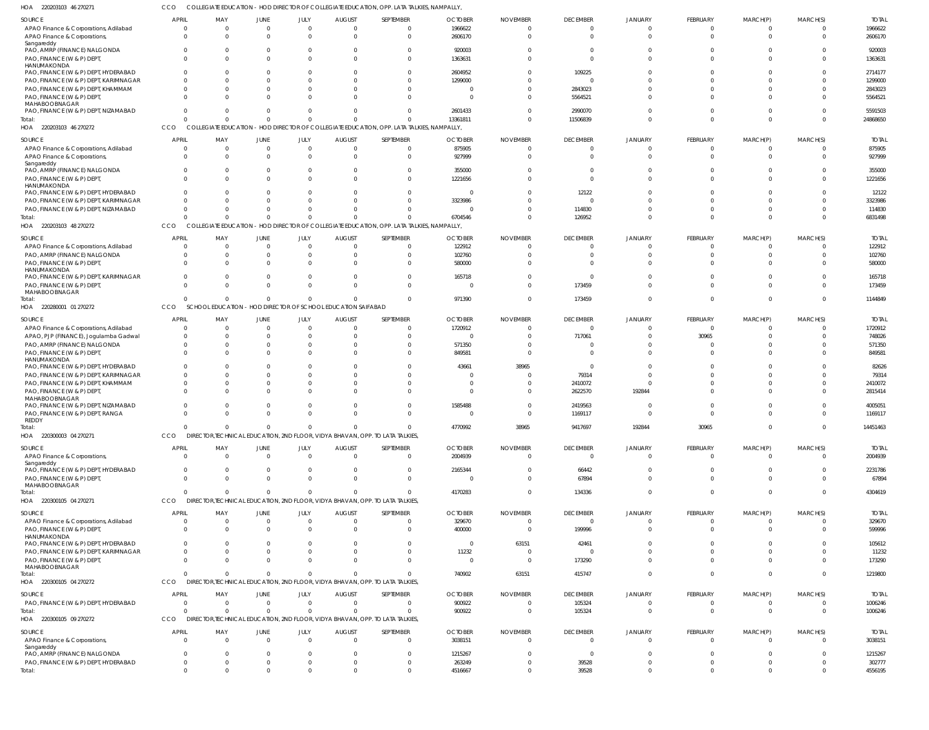220203103 46 270271 HOA COLLEGIATE EDUCATION - HOD DIRECTOR OF COLLEGIATE EDUCATION, OPP. LATA TALKIES, NAMPALLY, CCO

| SOURCE                                    | <b>APRIL</b> | MAY                         | JUNE                           | JULY           | <b>AUGUST</b>                               | SEPTEMBER                                                                     | <b>OCTOBER</b> | <b>NOVEMBER</b> | <b>DECEMBER</b> | JANUARY        | FEBRUARY        | MARCH(P)       | MARCH(S)       | <b>TOTAI</b> |
|-------------------------------------------|--------------|-----------------------------|--------------------------------|----------------|---------------------------------------------|-------------------------------------------------------------------------------|----------------|-----------------|-----------------|----------------|-----------------|----------------|----------------|--------------|
| APAO Finance & Corporations, Adilabad     |              |                             | $\overline{0}$                 | $\mathbf 0$    | 0                                           |                                                                               | 1966622        |                 | $\Omega$        | $\Omega$       | $\mathbf 0$     | $\Omega$       |                | 1966622      |
| APAO Finance & Corporations,              |              |                             | $\Omega$                       | $\Omega$       | $\Omega$                                    | $\Omega$                                                                      | 2606170        |                 | $\Omega$        | $\Omega$       | $\Omega$        | $\Omega$       | $\Omega$       | 2606170      |
| Sangareddy                                |              |                             |                                |                |                                             |                                                                               |                |                 |                 |                |                 |                |                |              |
| PAO, AMRP (FINANCE) NALGONDA              |              |                             | $\Omega$                       | $\Omega$       |                                             |                                                                               | 920003         |                 |                 |                | C               |                |                | 920003       |
| PAO, FINANCE (W & P) DEPT,                |              |                             | $\Omega$                       | $\Omega$       | $\Omega$                                    | $\Omega$                                                                      | 1363631        |                 | $\Omega$        |                | $\Omega$        | $\Omega$       | $\Omega$       | 1363631      |
| HANUMAKONDA                               |              |                             |                                |                |                                             |                                                                               |                |                 |                 |                |                 |                |                |              |
| PAO, FINANCE (W & P) DEPT, HYDERABAD      |              |                             |                                | $\Omega$       |                                             |                                                                               | 2604952        |                 | 109225          |                | C               |                |                | 2714177      |
| PAO, FINANCE (W & P) DEPT, KARIMNAGAR     |              |                             |                                | $\Omega$       |                                             |                                                                               | 1299000        |                 | $\Omega$        |                | $\Omega$        |                |                | 1299000      |
| PAO, FINANCE (W & P) DEPT, KHAMMAM        |              |                             | $\Omega$                       | $\Omega$       |                                             | $\Omega$                                                                      |                |                 | 2843023         |                | $\Omega$        |                |                | 2843023      |
|                                           |              |                             |                                |                |                                             |                                                                               |                |                 |                 |                |                 |                |                |              |
| PAO, FINANCE (W & P) DEPT,                |              |                             | $\Omega$                       | $\Omega$       |                                             | $\Omega$                                                                      | $\Omega$       |                 | 5564521         |                | $\Omega$        |                |                | 5564521      |
| MAHABOOBNAGAR                             |              |                             |                                |                |                                             |                                                                               |                |                 |                 |                |                 |                |                |              |
| PAO, FINANCE (W & P) DEPT, NIZAMABAD      |              |                             | $\Omega$                       | $\Omega$       | 0                                           | $\Omega$                                                                      | 2601433        |                 | 2990070         | $\Omega$       | $\Omega$        | $\Omega$       | $\Omega$       | 5591503      |
| Total:                                    |              | $\Omega$                    | $\Omega$                       | $\Omega$       | $\Omega$                                    | $\Omega$                                                                      | 13361811       |                 | 11506839        | $\Omega$       | $\Omega$        | $\Omega$       | $\Omega$       | 24868650     |
| HOA 220203103 46 270272                   | CCO          | <b>COLLEGIATE EDUCATION</b> |                                |                |                                             | - HOD DIRECTOR OF COLLEGIATE EDUCATION, OPP. LATA TALKIES, NAMPALLY,          |                |                 |                 |                |                 |                |                |              |
| SOURCE                                    | <b>APRIL</b> | MAY                         | JUNE                           | JULY           | <b>AUGUST</b>                               | SEPTEMBER                                                                     | <b>OCTOBER</b> | <b>NOVEMBER</b> | <b>DECEMBER</b> | <b>JANUARY</b> | FEBRUARY        | MARCH(P)       | MARCH(S)       | <b>TOTAI</b> |
|                                           |              |                             |                                |                |                                             |                                                                               |                |                 |                 |                |                 |                |                |              |
| APAO Finance & Corporations, Adilabad     |              | $\Omega$                    | $\overline{0}$                 | $\overline{0}$ | $\Omega$                                    | $\Omega$                                                                      | 875905         |                 | $\Omega$        | $\Omega$       | $\overline{0}$  | 0              | $\Omega$       | 875905       |
| APAO Finance & Corporations,              | $\Omega$     | $\Omega$                    | $\Omega$                       | $\mathbf 0$    |                                             | $\Omega$                                                                      | 927999         |                 | $\Omega$        | $\Omega$       | $\Omega$        | $\Omega$       | $\Omega$       | 927999       |
| Sangareddy                                |              |                             |                                |                |                                             |                                                                               |                |                 |                 |                |                 |                |                | 355000       |
| PAO, AMRP (FINANCE) NALGONDA              |              |                             | $\Omega$                       | 0              |                                             | $\Omega$                                                                      | 355000         |                 |                 |                | $\Omega$        |                |                |              |
| PAO, FINANCE (W & P) DEPT,                |              | $\Omega$                    | $\Omega$                       | $\Omega$       |                                             | $\Omega$                                                                      | 1221656        |                 | $\Omega$        | $\Omega$       | $\Omega$        | $\Omega$       | $\Omega$       | 1221656      |
| HANUMAKONDA                               |              |                             |                                |                |                                             |                                                                               |                |                 |                 |                |                 |                |                |              |
| PAO, FINANCE (W & P) DEPT, HYDERABAD      |              |                             | $\Omega$                       | $\Omega$       |                                             |                                                                               | $\Omega$       |                 | 12122           |                |                 |                |                | 12122        |
| PAO, FINANCE (W & P) DEPT, KARIMNAGAR     |              |                             | $\Omega$                       | $\Omega$       |                                             | $\Omega$                                                                      | 3323986        |                 | $\Omega$        |                | $\Omega$        |                | $\Omega$       | 3323986      |
| PAO, FINANCE (W & P) DEPT, NIZAMABAD      |              | $\Omega$                    | $\Omega$                       | $\Omega$       |                                             | $\Omega$                                                                      |                |                 | 114830          |                | $\Omega$        | $\Omega$       | $\Omega$       | 114830       |
| Total:                                    |              | $\Omega$                    | $\Omega$                       | $\mathbf 0$    | $\Omega$                                    | $\Omega$                                                                      | 6704546        |                 | 126952          | $\Omega$       | $\Omega$        | $\Omega$       | $\Omega$       | 6831498      |
| HOA 220203103 48 270272                   | CCO          | <b>COLLEGIATE EDUCATION</b> |                                |                |                                             | - HOD DIRECTOR OF COLLEGIATE EDUCATION, OPP. LATA TALKIES, NAMPALLY,          |                |                 |                 |                |                 |                |                |              |
|                                           |              |                             |                                |                |                                             |                                                                               |                |                 |                 |                |                 |                |                |              |
| SOURCE                                    | <b>APRIL</b> | MAY                         | JUNE                           | JULY           | <b>AUGUST</b>                               | SEPTEMBER                                                                     | <b>OCTOBER</b> | <b>NOVEMBER</b> | <b>DECEMBER</b> | <b>JANUARY</b> | FEBRUARY        | MARCH(P)       | MARCH(S)       | <b>TOTAL</b> |
| APAO Finance & Corporations, Adilabad     |              |                             | $\overline{0}$                 | $\mathbf 0$    | $\Omega$                                    | $\Omega$                                                                      | 122912         |                 | $\Omega$        | $\Omega$       | $\overline{0}$  | $\Omega$       | $\Omega$       | 122912       |
| PAO, AMRP (FINANCE) NALGONDA              |              |                             | $\Omega$                       | $\mathbf 0$    | 0                                           | $\Omega$                                                                      | 102760         |                 | 0               | $\Omega$       | $\Omega$        | $\Omega$       | $\Omega$       | 102760       |
| PAO, FINANCE (W & P) DEPT,                |              |                             | $\Omega$                       | $\Omega$       |                                             | $\Omega$                                                                      | 580000         |                 | $\Omega$        |                | $\Omega$        | $\Omega$       | $\Omega$       | 580000       |
| <b>HANUMAKONDA</b>                        |              |                             |                                |                |                                             |                                                                               |                |                 |                 |                |                 |                |                |              |
| PAO, FINANCE (W & P) DEPT, KARIMNAGAR     | $\Omega$     |                             | $\Omega$                       | $\Omega$       | 0                                           | $\Omega$                                                                      | 165718         |                 | $\Omega$        |                | $\Omega$        | $\Omega$       | $\Omega$       | 165718       |
| PAO, FINANCE (W & P) DEPT,                |              |                             | $\Omega$                       | $\Omega$       |                                             | $\Omega$                                                                      | $\Omega$       |                 | 173459          |                | $\Omega$        | $\Omega$       | $\Omega$       | 173459       |
| MAHABOOBNAGAR                             |              |                             |                                |                |                                             |                                                                               |                |                 |                 |                |                 |                |                |              |
| Total:                                    |              | $\Omega$                    | $\Omega$                       | $\mathbf{0}$   | 0                                           | $\Omega$                                                                      | 971390         |                 | 173459          | $\Omega$       | $\Omega$        | $\Omega$       | $\Omega$       | 1144849      |
| 220280001 01 270272<br>HOA                | CCO          | <b>SCHOOL EDUCATION</b>     |                                |                | - HOD DIRECTOR OF SCHOOL EDUCATION SAIFABAD |                                                                               |                |                 |                 |                |                 |                |                |              |
|                                           |              |                             |                                |                |                                             |                                                                               |                |                 |                 |                |                 |                |                |              |
| SOURCE                                    | <b>APRIL</b> | MAY                         | JUNE                           | JULY           | <b>AUGUST</b>                               | SEPTEMBER                                                                     | <b>OCTOBER</b> | <b>NOVEMBER</b> | <b>DECEMBER</b> | <b>JANUARY</b> | FEBRUARY        | MARCH(P)       | MARCH(S)       | <b>TOTAI</b> |
| APAO Finance & Corporations, Adilabad     | $\Omega$     |                             | $\Omega$                       | $\mathbf 0$    | 0                                           | $\Omega$                                                                      | 1720912        |                 | $\Omega$        | $\Omega$       | $\overline{0}$  | $\Omega$       | $\Omega$       | 1720912      |
| APAO, PJP (FINANCE), Jogulamba Gadwal     | $\Omega$     |                             | $\Omega$                       | $\mathbf 0$    | $\Omega$                                    | $\Omega$                                                                      | $\Omega$       |                 | 717061          | $\Omega$       | 30965           | $\Omega$       | $\Omega$       | 748026       |
| PAO, AMRP (FINANCE) NALGONDA              | $\Omega$     | 0                           | $\Omega$                       | $\mathbf 0$    |                                             | $\Omega$                                                                      | 571350         |                 | 0               |                | C               |                | $\Omega$       | 571350       |
|                                           | $\Omega$     |                             | $\Omega$                       | $\Omega$       |                                             | $\Omega$                                                                      | 849581         |                 | $\Omega$        |                | $\Omega$        |                | $\Omega$       | 849581       |
| PAO, FINANCE (W & P) DEPT,<br>HANUMAKONDA |              |                             |                                |                |                                             |                                                                               |                |                 |                 |                |                 |                |                |              |
| PAO, FINANCE (W & P) DEPT, HYDERABAD      |              |                             | $\Omega$                       | $\Omega$       |                                             |                                                                               | 43661          | 38965           | $\Omega$        |                | C               |                |                | 82626        |
|                                           |              |                             |                                |                |                                             |                                                                               |                |                 |                 |                |                 |                |                |              |
| PAO, FINANCE (W & P) DEPT, KARIMNAGAR     |              |                             | $\Omega$                       | $\Omega$       |                                             |                                                                               | $\Omega$       |                 | 79314           |                | $\Omega$        |                | $\Omega$       | 79314        |
| PAO, FINANCE (W & P) DEPT, KHAMMAM        |              |                             | $\Omega$                       | $\mathbf 0$    |                                             |                                                                               | $\Omega$       |                 | 2410072         | $\Omega$       | C               |                | $\Omega$       | 2410072      |
| PAO, FINANCE (W & P) DEPT,                |              |                             | $\Omega$                       | $\Omega$       |                                             |                                                                               | $\Omega$       |                 | 2622570         | 192844         | $\Omega$        |                | $\Omega$       | 2815414      |
| MAHABOOBNAGAR                             |              |                             |                                |                |                                             |                                                                               |                |                 |                 |                |                 |                |                |              |
| PAO, FINANCE (W & P) DEPT, NIZAMABAD      | $\Omega$     |                             | $\overline{0}$                 | $^{\circ}$     | 0                                           | $\Omega$                                                                      | 1585488        |                 | 2419563         | $\Omega$       | $\Omega$        | $\Omega$       | $\Omega$       | 4005051      |
| PAO, FINANCE (W & P) DEPT, RANGA          | $\Omega$     |                             | $\Omega$                       | $\Omega$       | $\Omega$                                    | $\Omega$                                                                      | $\Omega$       |                 | 1169117         | $\Omega$       | $\Omega$        | $\Omega$       | $\Omega$       | 1169117      |
| REDDY                                     |              |                             |                                |                |                                             |                                                                               |                |                 |                 |                |                 |                |                |              |
| Total:                                    | $\mathbf{0}$ | $\Omega$                    | $\overline{0}$                 | $\overline{0}$ | $\Omega$                                    | $\Omega$                                                                      | 4770992        | 38965           | 9417697         | 192844         | 30965           | $\overline{0}$ | $\overline{0}$ | 14451463     |
| HOA<br>220300003 04 270271                | CCO          |                             |                                |                |                                             | DIRECTOR, TECHNICAL EDUCATION, 2ND FLOOR, VIDYA BHAVAN, OPP. TO LATA TALKIES, |                |                 |                 |                |                 |                |                |              |
|                                           |              |                             |                                |                |                                             |                                                                               |                | <b>NOVEMBER</b> |                 |                |                 |                |                |              |
| SOURCE                                    | <b>APRIL</b> | MAY                         | <b>JUNE</b>                    | JULY           | <b>AUGUST</b>                               | SEPTEMBER                                                                     | <b>OCTOBER</b> |                 | <b>DECEMBER</b> | <b>JANUARY</b> | FEBRUARY        | MARCH(P)       | MARCH(S)       | <b>TOTAL</b> |
| APAO Finance & Corporations,              | $\Omega$     | $\Omega$                    | $\overline{0}$                 | $\overline{0}$ | $\mathbf 0$                                 | $\mathbf{0}$                                                                  | 2004939        | $\Omega$        | $\overline{0}$  | $\overline{0}$ | $\mathbf 0$     | $\overline{0}$ | $\Omega$       | 2004939      |
| Sangareddy                                |              |                             |                                |                |                                             |                                                                               |                |                 |                 |                |                 |                |                |              |
| PAO, FINANCE (W & P) DEPT, HYDERABAD      | $\Omega$     | $\Omega$                    | $\overline{0}$                 | $\mathbf 0$    | 0                                           | $\mathbf{0}$                                                                  | 2165344        |                 | 66442           | $\Omega$       | $\overline{0}$  | $\mathbf 0$    | $\Omega$       | 2231786      |
| PAO, FINANCE (W & P) DEPT,                | $\Omega$     | $\Omega$                    | $\overline{0}$                 | $\overline{0}$ | $\mathbf 0$                                 | $\mathbf 0$                                                                   | $\overline{0}$ |                 | 67894           | $\Omega$       | $\mathbf 0$     | $\mathbf 0$    | $\Omega$       | 67894        |
| MAHABOOBNAGAR                             | $\Omega$     | $\Omega$                    | $\overline{0}$                 |                |                                             | $\Omega$                                                                      |                |                 |                 | $\overline{0}$ | $\mathbf 0$     | $\mathbf 0$    | $\Omega$       |              |
| Total:                                    |              |                             |                                | $\overline{0}$ | $\mathbf 0$                                 |                                                                               | 4170283        |                 | 134336          |                |                 |                |                | 4304619      |
| HOA 220300105 04 270271                   | <b>CCO</b>   |                             | DIRECTOR, TECHNICAL EDUCATION, |                |                                             | 2ND FLOOR, VIDYA BHAVAN, OPP. TO LATA TALKIES,                                |                |                 |                 |                |                 |                |                |              |
| SOURCE                                    | <b>APRIL</b> | MAY                         | JUNE                           | JULY           | <b>AUGUST</b>                               | SEPTEMBER                                                                     | <b>OCTOBER</b> | <b>NOVEMBER</b> | <b>DECEMBER</b> | <b>JANUARY</b> | <b>FEBRUARY</b> | MARCH(P)       | MARCH(S)       | <b>TOTAL</b> |
|                                           | $\Omega$     | $\Omega$                    | $\overline{0}$                 | $\overline{0}$ | $\mathbf 0$                                 | $\Omega$                                                                      |                | $\Omega$        | $\mathbf{0}$    | $\Omega$       |                 |                | $\Omega$       |              |
| APAO Finance & Corporations, Adilabad     |              |                             |                                |                |                                             |                                                                               | 329670         |                 |                 |                | $\overline{0}$  | 0              |                | 329670       |
| PAO, FINANCE (W & P) DEPT,                | $\Omega$     | $\Omega$                    | $\overline{0}$                 | $\mathbf 0$    | $\Omega$                                    | $\mathbf 0$                                                                   | 400000         | $\Omega$        | 199996          | $\Omega$       | $\overline{0}$  | $\mathbf 0$    | $\Omega$       | 599996       |
| HANUMAKONDA                               |              |                             |                                |                |                                             |                                                                               |                |                 |                 |                |                 |                |                |              |
| PAO, FINANCE (W & P) DEPT, HYDERABAD      | $\Omega$     |                             | $\Omega$                       | $^{\circ}$     |                                             | $\Omega$                                                                      | $\Omega$       | 63151           | 42461           | $\Omega$       | $\Omega$        | $\Omega$       | $\Omega$       | 105612       |
| PAO, FINANCE (W & P) DEPT, KARIMNAGAR     | $\Omega$     | $\Omega$                    | $\Omega$                       | $\mathbf 0$    | $\Omega$                                    | $\Omega$                                                                      | 11232          | $\Omega$        | $\mathbf 0$     | $\Omega$       | $\Omega$        | $\Omega$       | $\Omega$       | 11232        |
| PAO, FINANCE (W & P) DEPT,                | $\Omega$     |                             | $\Omega$                       | $\mathbf 0$    | $\Omega$                                    | $\Omega$                                                                      | $\Omega$       | $\overline{0}$  | 173290          | $\Omega$       | $\Omega$        | $\Omega$       | $\Omega$       | 173290       |
| MAHABOOBNAGAR                             |              |                             |                                |                |                                             |                                                                               |                |                 |                 |                |                 |                |                |              |
| Total:                                    | $\Omega$     | $\Omega$                    | $\overline{0}$                 | $\overline{0}$ | $\Omega$                                    | $\Omega$                                                                      | 740902         | 63151           | 415747          | $\Omega$       | $\Omega$        | $\mathbf 0$    | $\Omega$       | 1219800      |
| HOA 220300105 04 270272                   | CCO          |                             |                                |                |                                             | DIRECTOR, TECHNICAL EDUCATION, 2ND FLOOR, VIDYA BHAVAN, OPP. TO LATA TALKIES, |                |                 |                 |                |                 |                |                |              |
|                                           |              |                             |                                |                |                                             |                                                                               |                |                 |                 |                |                 |                |                |              |
| SOURCE                                    | <b>APRIL</b> | MAY                         | <b>JUNE</b>                    | JULY           | <b>AUGUST</b>                               | SEPTEMBER                                                                     | <b>OCTOBER</b> | <b>NOVEMBER</b> | <b>DECEMBER</b> | <b>JANUARY</b> | FEBRUARY        | MARCH(P)       | MARCH(S)       | <b>TOTAL</b> |
| PAO, FINANCE (W & P) DEPT, HYDERABAD      |              | 0                           | $\overline{0}$                 | $\overline{0}$ | $\mathbf 0$                                 | $\mathbf 0$                                                                   | 900922         |                 | 105324          | $\Omega$       | $\overline{0}$  | 0              | $\Omega$       | 1006246      |
| Total:                                    |              | $\Omega$                    | $\overline{0}$                 | $\overline{0}$ | $\mathbf 0$                                 | $\mathbf 0$                                                                   | 900922         | $\Omega$        | 105324          | $\Omega$       | $\mathbf 0$     | $\mathbf 0$    | $\Omega$       | 1006246      |
| HOA 220300105 09 270272                   | CCO          |                             |                                |                |                                             | DIRECTOR, TECHNICAL EDUCATION, 2ND FLOOR, VIDYA BHAVAN, OPP. TO LATA TALKIES, |                |                 |                 |                |                 |                |                |              |
|                                           |              |                             |                                |                |                                             |                                                                               |                |                 |                 |                |                 |                |                |              |
| SOURCE                                    | <b>APRIL</b> | MAY                         | <b>JUNE</b>                    | JULY           | <b>AUGUST</b>                               | SEPTEMBER                                                                     | <b>OCTOBER</b> | <b>NOVEMBER</b> | <b>DECEMBER</b> | <b>JANUARY</b> | FEBRUARY        | MARCH(P)       | MARCH(S)       | <b>TOTAL</b> |
| APAO Finance & Corporations,              | $\Omega$     | $\Omega$                    | $\overline{0}$                 | $\overline{0}$ | $\Omega$                                    | $\Omega$                                                                      | 3038151        | $\cap$          | $\mathbf{0}$    | $\Omega$       | $\overline{0}$  | $\overline{0}$ | $\Omega$       | 3038151      |
| Sangareddy                                |              |                             |                                |                |                                             |                                                                               |                |                 |                 |                |                 |                |                |              |
| PAO, AMRP (FINANCE) NALGONDA              | $\Omega$     | $\Omega$                    | $\Omega$                       | $^{\circ}$     | 0                                           | $\Omega$                                                                      | 1215267        |                 | $\mathbf{0}$    | $\Omega$       | $\overline{0}$  | $\Omega$       | $\Omega$       | 1215267      |
| PAO, FINANCE (W & P) DEPT, HYDERABAD      | $\mathbf 0$  | $\mathbf 0$                 | $\overline{0}$                 | $\overline{0}$ | 0                                           | $\mathbf 0$                                                                   | 263249         | $\Omega$        | 39528           | $\overline{0}$ | $\overline{0}$  | $\mathbf 0$    | $\Omega$       | 302777       |
| Total:                                    | $\Omega$     | $\Omega$                    | $\overline{0}$                 | $\mathbf 0$    | $\Omega$                                    | $\Omega$                                                                      | 4516667        | $\Omega$        | 39528           | $\overline{0}$ | $\overline{0}$  | $\Omega$       | $\Omega$       | 4556195      |
|                                           |              |                             |                                |                |                                             |                                                                               |                |                 |                 |                |                 |                |                |              |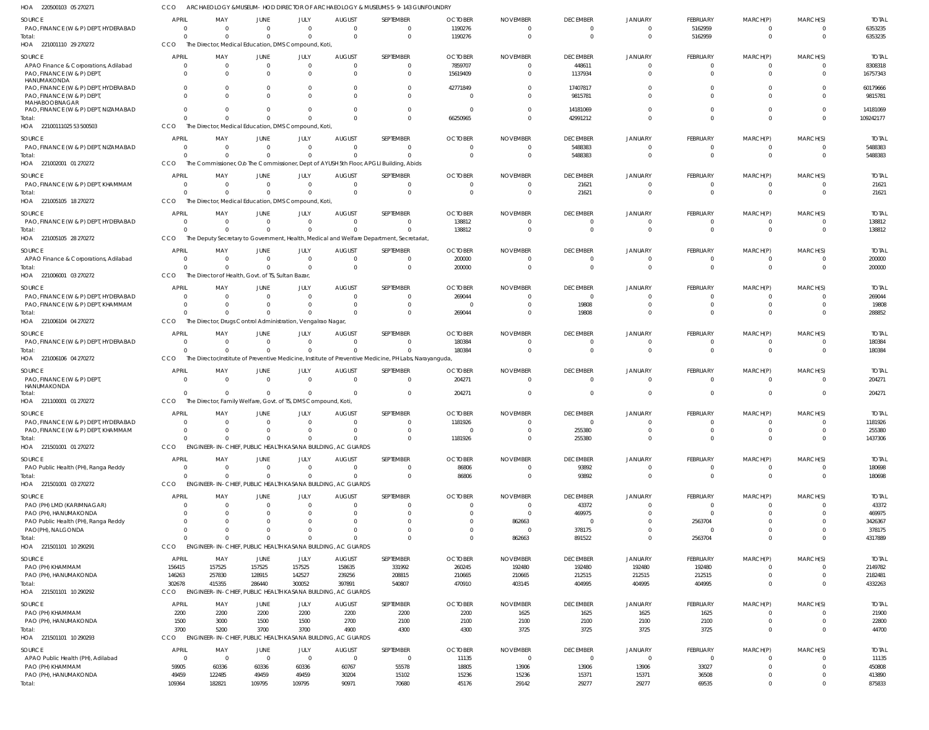220500103 05 270271 HOA ARCHAEOLOGY &MUSEUM- HOD DIRECTOR OF ARCHAEOLOGY & MUSEUMS 5-9-143 GUNFOUNDRY CCO

| SOURCE                                                                             | <b>APRIL</b>             | MAY                      | JUNE                                                                   | JULY                       | <b>AUGUST</b>                                                              | SEPTEMBER                                                                                               | <b>OCTOBER</b>             | <b>NOVEMBER</b>                   | <b>DECEMBER</b>                            | <b>JANUARY</b>                             | <b>FEBRUARY</b>            | MARCH(P)                         | MARCH(S)                   | <b>TOTAL</b>            |
|------------------------------------------------------------------------------------|--------------------------|--------------------------|------------------------------------------------------------------------|----------------------------|----------------------------------------------------------------------------|---------------------------------------------------------------------------------------------------------|----------------------------|-----------------------------------|--------------------------------------------|--------------------------------------------|----------------------------|----------------------------------|----------------------------|-------------------------|
| PAO, FINANCE (W & P) DEPT, HYDERABAD                                               |                          | $^{\circ}$               | $\overline{0}$                                                         | $\overline{0}$             | $\overline{0}$                                                             | $\Omega$                                                                                                | 1190276                    | $\Omega$                          | $\overline{0}$                             | $\overline{0}$                             | 5162959                    | $^{\circ}$                       | $\Omega$                   | 6353235                 |
| Total:<br>HOA 221001110 29 270272                                                  | CCO                      | $\Omega$                 | $\overline{0}$<br>The Director, Medical Education, DMS Compound, Koti, | $\mathbf 0$                | $\Omega$                                                                   | $\Omega$                                                                                                | 1190276                    | $\overline{0}$                    | $\overline{0}$                             | $\overline{0}$                             | 5162959                    | $\mathbf 0$                      | $\Omega$                   | 6353235                 |
| SOURCE                                                                             | <b>APRIL</b>             | MAY                      | JUNE                                                                   | JULY                       | <b>AUGUST</b>                                                              | SEPTEMBER                                                                                               | <b>OCTOBER</b>             | <b>NOVEMBER</b>                   | <b>DECEMBER</b>                            | <b>JANUARY</b>                             | FEBRUARY                   | MARCH(P)                         | MARCH(S)                   | <b>TOTAL</b>            |
| APAO Finance & Corporations, Adilabad<br>PAO, FINANCE (W & P) DEPT,<br>HANUMAKONDA | $\Omega$                 | $\Omega$<br>$\Omega$     | $\overline{0}$<br>$\Omega$                                             | $\mathbf 0$<br>$\Omega$    | $\overline{0}$<br>$\Omega$                                                 | $\Omega$<br>$\Omega$                                                                                    | 7859707<br>15619409        | $\Omega$<br>$\Omega$              | 448611<br>1137934                          | $\mathbf 0$<br>$\Omega$                    | 0<br>$\Omega$              | $^{\circ}$<br>$\mathbf 0$        | $\Omega$                   | 8308318<br>16757343     |
| PAO, FINANCE (W & P) DEPT, HYDERABAD<br>PAO, FINANCE (W & P) DEPT                  | $\Omega$                 |                          | $^{\circ}$<br>$\Omega$                                                 | -0<br>$\Omega$             | $\Omega$                                                                   | $\Omega$<br>$\Omega$                                                                                    | 42771849<br>$\Omega$       | <sup>0</sup>                      | 17407817<br>9815781                        | n<br>$\Omega$                              | $\Omega$                   | -0<br>$\Omega$                   | $\Omega$                   | 60179666<br>9815781     |
| MAHABOOBNAGAR<br>PAO, FINANCE (W & P) DEPT, NIZAMABAD                              |                          |                          | $^{\circ}$                                                             | $\Omega$                   | $\Omega$                                                                   | $\Omega$                                                                                                | - 0                        |                                   | 14181069                                   | $\Omega$                                   | -0                         | $^{\circ}$                       | $\Omega$                   | 14181069                |
| Total:<br>HOA 22100111025 53 500503                                                | CCO                      |                          | $\Omega$<br>The Director, Medical Education, DMS Compound, Koti,       | $\Omega$                   | $\Omega$                                                                   | $\Omega$                                                                                                | 66250965                   | $\Omega$                          | 42991212                                   | $\Omega$                                   |                            | $\Omega$                         | $\Omega$                   | 109242177               |
| SOURCE<br>PAO, FINANCE (W & P) DEPT, NIZAMABAD                                     | <b>APRIL</b>             | MAY<br>$\Omega$          | JUNE<br>$\overline{0}$                                                 | JULY<br>$\overline{0}$     | <b>AUGUST</b><br>$\mathbf{0}$                                              | SEPTEMBER<br>$\Omega$                                                                                   | <b>OCTOBER</b><br>$\Omega$ | <b>NOVEMBER</b><br>$\Omega$       | <b>DECEMBER</b><br>5488383                 | <b>JANUARY</b><br>$\overline{0}$           | FEBRUARY<br>$\mathbf 0$    | MARCH(P)<br>$\overline{0}$       | MARCH(S)<br>$\Omega$       | <b>TOTAL</b><br>5488383 |
| Total:                                                                             |                          |                          | $\Omega$                                                               | $\mathbf 0$                | $\Omega$                                                                   | $\Omega$                                                                                                |                            | $\Omega$                          | 5488383                                    | $\overline{0}$                             | $\Omega$                   | $\overline{0}$                   | $\Omega$                   | 5488383                 |
| HOA 221002001 01 270272                                                            | CCO                      |                          |                                                                        |                            |                                                                            | The Commissioner, Olo The Commissioner, Dept of AYUSH 5th Floor, APGLI Building, Abids                  |                            |                                   |                                            |                                            |                            |                                  |                            |                         |
| SOURCE<br>PAO, FINANCE (W & P) DEPT, KHAMMAM                                       | <b>APRIL</b><br>$\Omega$ | MAY<br>$\Omega$          | JUNE<br>$\overline{0}$                                                 | JULY<br>$\mathbf 0$        | <b>AUGUST</b><br>$\Omega$                                                  | SEPTEMBER<br>$\Omega$                                                                                   | <b>OCTOBER</b><br>$\Omega$ | <b>NOVEMBER</b><br>$\Omega$       | <b>DECEMBER</b><br>21621                   | <b>JANUARY</b><br>$\Omega$                 | FEBRUARY<br>-0             | MARCH(P)<br>$^{\circ}$           | MARCH(S)<br>$\Omega$       | <b>TOTAL</b><br>21621   |
| Total:                                                                             | $\Omega$                 | $\Omega$                 | $\overline{0}$                                                         | $\Omega$                   | $\Omega$                                                                   | $\Omega$                                                                                                | $\Omega$                   | $\Omega$                          | 21621                                      | $\Omega$                                   | $\Omega$                   | $\mathbf{0}$                     | $\Omega$                   | 21621                   |
| HOA 221005105 18 270272                                                            | CCO                      |                          | The Director, Medical Education, DMS Compound, Koti,                   |                            |                                                                            |                                                                                                         |                            |                                   |                                            |                                            |                            |                                  |                            |                         |
| SOURCE<br>PAO, FINANCE (W & P) DEPT, HYDERABAD                                     | <b>APRIL</b>             | MAY<br>$^{\circ}$        | JUNE<br>$\overline{0}$                                                 | JULY<br>$\overline{0}$     | <b>AUGUST</b><br>$\mathbf{0}$                                              | SEPTEMBER<br>$\Omega$                                                                                   | <b>OCTOBER</b><br>138812   | <b>NOVEMBER</b><br>$\Omega$       | <b>DECEMBER</b><br>$\overline{0}$          | JANUARY<br>0                               | FEBRUARY<br>$^{\circ}$     | MARCH(P)<br>$\overline{0}$       | MARCH(S)<br>$\Omega$       | <b>TOTAL</b><br>138812  |
| Total:<br>HOA 221005105 28 270272                                                  | CCO                      | $\Omega$                 | $\Omega$                                                               | $\mathbf 0$                | $\Omega$                                                                   | $\Omega$<br>The Deputy Secretary to Government, Health, Medical and Welfare Department, Secretariat     | 138812                     | $\Omega$                          | $\overline{0}$                             | $\Omega$                                   | $\Omega$                   | $\mathbf 0$                      | $\Omega$                   | 138812                  |
| SOURCE                                                                             | <b>APRIL</b>             | MAY                      | JUNE                                                                   | JULY                       | <b>AUGUST</b>                                                              | SEPTEMBER                                                                                               | <b>OCTOBER</b>             | <b>NOVEMBER</b>                   | <b>DECEMBER</b>                            | <b>JANUARY</b>                             | <b>FEBRUARY</b>            | MARCH(P)                         | MARCH(S)                   | <b>TOTAL</b>            |
| APAO Finance & Corporations, Adilabad<br>Total:                                    | $\Omega$                 | $\Omega$<br>$\Omega$     | $\overline{0}$<br>$\Omega$                                             | $\mathbf 0$<br>$\Omega$    | $\mathbf{0}$<br>$\Omega$                                                   | $\Omega$<br>$\Omega$                                                                                    | 200000<br>200000           | $\Omega$<br>$\Omega$              | $\mathbf{0}$<br>$\overline{0}$             | $\Omega$<br>$\Omega$                       | -0<br>$\Omega$             | $^{\circ}$<br>$\mathbf 0$        | $\Omega$<br>$\Omega$       | 200000<br>200000        |
| HOA 221006001 03 270272                                                            | CCO                      |                          | The Director of Health, Govt. of TS, Sultan Bazar,                     |                            |                                                                            |                                                                                                         |                            |                                   |                                            |                                            |                            |                                  |                            |                         |
| SOURCE                                                                             | <b>APRIL</b>             | MAY                      | JUNE                                                                   | JULY                       | <b>AUGUST</b>                                                              | SEPTEMBER                                                                                               | <b>OCTOBER</b>             | <b>NOVEMBER</b>                   | <b>DECEMBER</b>                            | JANUARY                                    | FEBRUARY                   | MARCH(P)                         | MARCH(S)                   | <b>TOTAL</b>            |
| PAO, FINANCE (W & P) DEPT, HYDERABAD<br>PAO, FINANCE (W & P) DEPT, KHAMMAM         |                          | $\Omega$                 | $\Omega$<br>$\overline{0}$                                             | $\mathbf 0$<br>$\mathbf 0$ | $\Omega$<br>$\Omega$                                                       | $\Omega$<br>$\Omega$                                                                                    | 269044                     | $\Omega$<br>$\Omega$              | $\overline{0}$<br>19808                    | $\mathbf 0$<br>$\Omega$                    | 0<br>$\mathbf 0$           | $\overline{0}$<br>$\overline{0}$ | $\Omega$<br>$\Omega$       | 269044<br>19808         |
| Total:                                                                             |                          | <sup>0</sup>             | $\Omega$                                                               | $\Omega$                   | $\Omega$                                                                   | $\Omega$                                                                                                | 269044                     | <sup>0</sup>                      | 19808                                      | $\Omega$                                   | $\Omega$                   | $\Omega$                         | $\Omega$                   | 288852                  |
| HOA 221006104 04 270272                                                            | CCO                      |                          | The Director, Drugs Control Administration, Vengalrao Nagar            |                            |                                                                            |                                                                                                         |                            |                                   |                                            |                                            |                            |                                  |                            |                         |
| SOURCE<br>PAO, FINANCE (W & P) DEPT, HYDERABAD                                     | APRIL<br>$\Omega$        | MAY<br>$\Omega$          | JUNE<br>$\overline{0}$                                                 | JULY<br>$\mathbf 0$        | <b>AUGUST</b><br>$\Omega$                                                  | SEPTEMBER<br>$\Omega$                                                                                   | <b>OCTOBER</b><br>180384   | <b>NOVEMBER</b><br>$\Omega$       | <b>DECEMBER</b><br>$\mathbf{0}$            | <b>JANUARY</b><br>$\Omega$                 | FEBRUARY<br>0              | MARCH(P)<br>$^{\circ}$           | MARCH(S)<br>$\Omega$       | <b>TOTAL</b><br>180384  |
| Total:                                                                             | $\Omega$                 | $\Omega$                 | $\overline{0}$                                                         | $\mathbf 0$                | $\Omega$                                                                   | $\Omega$                                                                                                | 180384                     | $\Omega$                          | $\Omega$                                   | $\Omega$                                   | $\Omega$                   | $\mathbf 0$                      | $\Omega$                   | 180384                  |
| HOA 221006106 04 270272                                                            | CCO                      |                          |                                                                        |                            |                                                                            | The Director, Institute of Preventive Medicine, Institute of Preventive Medicine, PH Labs, Narayanguda, |                            |                                   |                                            |                                            |                            |                                  |                            |                         |
| SOURCE<br>PAO, FINANCE (W & P) DEPT,<br>HANUMAKONDA                                | APRIL<br>- 0             | MAY<br>$\mathbf{0}$      | JUNE<br>$\overline{0}$                                                 | JULY<br>$\overline{0}$     | <b>AUGUST</b><br>$\overline{0}$                                            | SEPTEMBER<br>$\Omega$                                                                                   | <b>OCTOBER</b><br>204271   | <b>NOVEMBER</b><br>$\Omega$       | <b>DECEMBER</b><br>$\overline{0}$          | <b>JANUARY</b><br>$\overline{\mathbf{0}}$  | FEBRUARY<br>$\mathbf 0$    | MARCH(P)<br>$\overline{0}$       | MARCH(S)<br>$\Omega$       | <b>TOTAL</b><br>204271  |
| Total:                                                                             |                          | $\Omega$                 | $\overline{0}$                                                         | $\mathbf{0}$               | $\Omega$                                                                   | $\Omega$                                                                                                | 204271                     | $\Omega$                          | $\Omega$                                   | $\Omega$                                   | $\Omega$                   | $\overline{0}$                   | $\Omega$                   | 204271                  |
| HOA 221100001 01 270272                                                            | CCO                      |                          | The Director, Family Welfare, Govt. of TS, DMS Compound, Koti,         |                            |                                                                            |                                                                                                         |                            |                                   |                                            |                                            |                            |                                  |                            |                         |
| SOURCE<br>PAO, FINANCE (W & P) DEPT, HYDERABAD                                     | <b>APRIL</b>             | MAY<br>$\overline{0}$    | JUNE<br>$\overline{0}$                                                 | JULY<br>$\overline{0}$     | <b>AUGUST</b><br>$\overline{0}$                                            | SEPTEMBER<br>$\cap$                                                                                     | <b>OCTOBER</b><br>1181926  | <b>NOVEMBER</b><br>$\overline{0}$ | <b>DECEMBER</b><br>$\overline{0}$          | JANUARY<br>$\Omega$                        | FEBRUARY<br>$\Omega$       | MARCH(P)<br>$^{\circ}$           | MARCH(S)<br>$\overline{0}$ | <b>TOTAL</b><br>1181926 |
| PAO, FINANCE (W & P) DEPT, KHAMMAM                                                 | $\Omega$                 |                          | $\Omega$                                                               | $\Omega$                   | $\Omega$                                                                   | $\Omega$                                                                                                | $\Omega$                   | $\Omega$                          | 255380                                     | $\Omega$                                   | $\mathbf 0$                | $\mathbf 0$                      | $\Omega$                   | 255380                  |
| Total:<br>HOA 221501001 01 270272                                                  | $\Omega$<br>CCO          | $\Omega$                 | $\Omega$                                                               | $\mathbf 0$                | $\Omega$<br>ENGINEER-IN-CHIEF, PUBLIC HEALTH KASANA BUILDING, AC GUARDS    | $\Omega$                                                                                                | 1181926                    | $\mathbf{0}$                      | 255380                                     | $\overline{0}$                             | $\mathbf 0$                | $\mathbf 0$                      | $\overline{0}$             | 1437306                 |
| SOURCE                                                                             | APRIL                    | MAY                      | <b>JUNE</b>                                                            | JULY                       | <b>AUGUST</b>                                                              | SEPTEMBER                                                                                               | <b>OCTOBER</b>             | <b>NOVEMBER</b>                   | <b>DECEMBER</b>                            | <b>JANUARY</b>                             | FEBRUARY                   | MARCH(P)                         | MARCH(S)                   | <b>TOTAL</b>            |
| PAO Public Health (PH), Ranga Reddy                                                | $\Omega$                 | $\mathbf 0$              | $\overline{0}$                                                         | $\mathbf 0$                | $\mathbf 0$                                                                | $\Omega$                                                                                                | 86806                      | $\overline{0}$                    | 93892                                      | $\overline{0}$                             | $\overline{0}$             | $\overline{0}$                   | $\overline{0}$             | 180698                  |
| Total:<br>HOA 221501001 03 270272                                                  | CCO                      | $\Omega$                 | $\overline{0}$                                                         | $\mathbf 0$                | $\mathbf 0$<br>ENGINEER-IN-CHIEF, PUBLIC HEALTH KASANA BUILDING, AC GUARDS | $\Omega$                                                                                                | 86806                      | $\overline{0}$                    | 93892                                      | $\overline{0}$                             | $\mathbf 0$                | $\mathbf 0$                      | $\Omega$                   | 180698                  |
| SOURCE                                                                             | <b>APRIL</b>             | MAY                      | <b>JUNE</b>                                                            | JULY                       | <b>AUGUST</b>                                                              | SEPTEMBER                                                                                               | <b>OCTOBER</b>             | <b>NOVEMBER</b>                   | <b>DECEMBER</b>                            | <b>JANUARY</b>                             | FEBRUARY                   | MARCH(P)                         | MARCH(S)                   | <b>TOTAL</b>            |
| PAO (PH) LMD (KARIMNAGAR)                                                          |                          | $\Omega$                 | $\overline{0}$                                                         | $\mathbf 0$                | $\Omega$                                                                   | $\Omega$                                                                                                |                            | $\overline{0}$                    | 43372                                      | $\Omega$                                   | 0                          | $^{\circ}$                       |                            | 43372                   |
| PAO (PH), HANUMAKONDA<br>PAO Public Health (PH), Ranga Reddy                       |                          | $\Omega$                 | $\mathbf{0}$<br>$\Omega$                                               | $\Omega$<br>$\Omega$       | $\Omega$<br>$\Omega$                                                       | $\Omega$<br>$\Omega$                                                                                    | $\Omega$                   | $\Omega$<br>862663                | 469975<br>$\overline{0}$                   | $\mathbf 0$<br>$\mathbf 0$                 | $\Omega$<br>2563704        | $^{\circ}$<br>$\Omega$           |                            | 469975<br>3426367       |
| PAO(PH), NALGONDA                                                                  |                          |                          | $\Omega$                                                               | $\Omega$                   | $\Omega$                                                                   | $\Omega$                                                                                                |                            | $\overline{0}$                    | 378175                                     | $\overline{0}$                             | 0                          | $\mathbf 0$                      | $\Omega$                   | 378175                  |
| Total:<br>HOA 221501101 10 290291                                                  | CCO                      |                          | $\Omega$                                                               | $\Omega$                   | $\Omega$<br>ENGINEER-IN-CHIEF, PUBLIC HEALTH KASANA BUILDING, AC GUARDS    | $\Omega$                                                                                                | $\Omega$                   | 862663                            | 891522                                     | $\overline{0}$                             | 2563704                    | $\mathbf 0$                      | $\Omega$                   | 4317889                 |
| SOURCE                                                                             | APRIL                    | MAY                      | JUNE                                                                   | JULY                       | <b>AUGUST</b>                                                              | SEPTEMBER                                                                                               | <b>OCTOBER</b>             | <b>NOVEMBER</b>                   | <b>DECEMBER</b>                            | <b>JANUARY</b>                             | FEBRUARY                   | MARCH(P)                         | MARCH(S)                   | <b>TOTAL</b>            |
| PAO (PH) KHAMMAM                                                                   | 156415                   | 157525                   | 157525                                                                 | 157525                     | 158635                                                                     | 331992                                                                                                  | 260245                     | 192480                            | 192480                                     | 192480                                     | 192480                     | $\overline{0}$                   | $\Omega$                   | 2149782                 |
| PAO (PH), HANUMAKONDA<br>Total:                                                    | 146263<br>302678         | 257830<br>415355         | 128915<br>286440                                                       | 142527<br>300052           | 239256<br>397891                                                           | 208815<br>540807                                                                                        | 210665<br>470910           | 210665<br>403145                  | 212515<br>404995                           | 212515<br>404995                           | 212515<br>404995           | $\mathbf 0$<br>$\mathbf 0$       | $\overline{0}$<br>$\Omega$ | 2182481<br>4332263      |
| HOA 221501101 10 290292                                                            | <b>CCO</b>               | <b>ENGINEER-IN-CHIEF</b> |                                                                        |                            | PUBLIC HEALTH KASANA BUILDING, AC GUARDS                                   |                                                                                                         |                            |                                   |                                            |                                            |                            |                                  |                            |                         |
| SOURCE                                                                             | APRIL                    | MAY                      | <b>JUNE</b>                                                            | JULY                       | <b>AUGUST</b>                                                              | SEPTEMBER                                                                                               | <b>OCTOBER</b>             | <b>NOVEMBER</b>                   | <b>DECEMBER</b>                            | <b>JANUARY</b>                             | FEBRUARY                   | MARCH(P)                         | MARCH(S)                   | <b>TOTAL</b>            |
| PAO (PH) KHAMMAM<br>PAO (PH), HANUMAKONDA                                          | 2200<br>1500             | 2200<br>3000             | 2200<br>1500                                                           | 2200<br>1500               | 2200<br>2700                                                               | 2200<br>2100                                                                                            | 2200<br>2100               | 1625<br>2100                      | 1625<br>2100                               | 1625<br>2100                               | 1625<br>2100               | $\mathbf 0$<br>$\mathbf 0$       | $\Omega$<br>$\Omega$       | 21900<br>22800          |
| Total:                                                                             | 3700                     | 5200                     | 3700                                                                   | 3700                       | 4900                                                                       | 4300                                                                                                    | 4300                       | 3725                              | 3725                                       | 3725                                       | 3725                       | $\mathbf 0$                      | $\Omega$                   | 44700                   |
| HOA 221501101 10 290293                                                            | <b>CCO</b>               |                          |                                                                        |                            | ENGINEER-IN-CHIEF, PUBLIC HEALTH KASANA BUILDING, AC GUARDS                |                                                                                                         |                            |                                   |                                            |                                            |                            |                                  |                            |                         |
| SOURCE<br>APAO Public Health (PH), Adilabad                                        | APRIL<br>$\Omega$        | MAY<br>$\overline{0}$    | <b>JUNE</b><br>$\overline{0}$                                          | JULY<br>$\overline{0}$     | <b>AUGUST</b><br>$\overline{0}$                                            | SEPTEMBER<br>$\overline{0}$                                                                             | <b>OCTOBER</b><br>11135    | <b>NOVEMBER</b><br>$\overline{0}$ | <b>DECEMBER</b><br>$\overline{\mathbf{0}}$ | <b>JANUARY</b><br>$\overline{\phantom{0}}$ | FEBRUARY<br>$\overline{0}$ | MARCH(P)<br>$^{\circ}$           | MARCH(S)<br>$\Omega$       | <b>TOTAL</b><br>11135   |
| PAO (PH) KHAMMAM                                                                   | 59905                    | 60336                    | 60336                                                                  | 60336                      | 60767                                                                      | 55578                                                                                                   | 18805                      | 13906                             | 13906                                      | 13906                                      | 33027                      | $\mathbf{0}$                     | $\Omega$                   | 450808                  |
| PAO (PH), HANUMAKONDA                                                              | 49459                    | 122485                   | 49459                                                                  | 49459                      | 30204                                                                      | 15102                                                                                                   | 15236                      | 15236                             | 15371                                      | 15371                                      | 36508                      | $\mathbf 0$                      | $\Omega$                   | 413890                  |
| Total:                                                                             | 109364                   | 182821                   | 109795                                                                 | 109795                     | 90971                                                                      | 70680                                                                                                   | 45176                      | 29142                             | 29277                                      | 29277                                      | 69535                      | $\mathbf 0$                      | $\Omega$                   | 875833                  |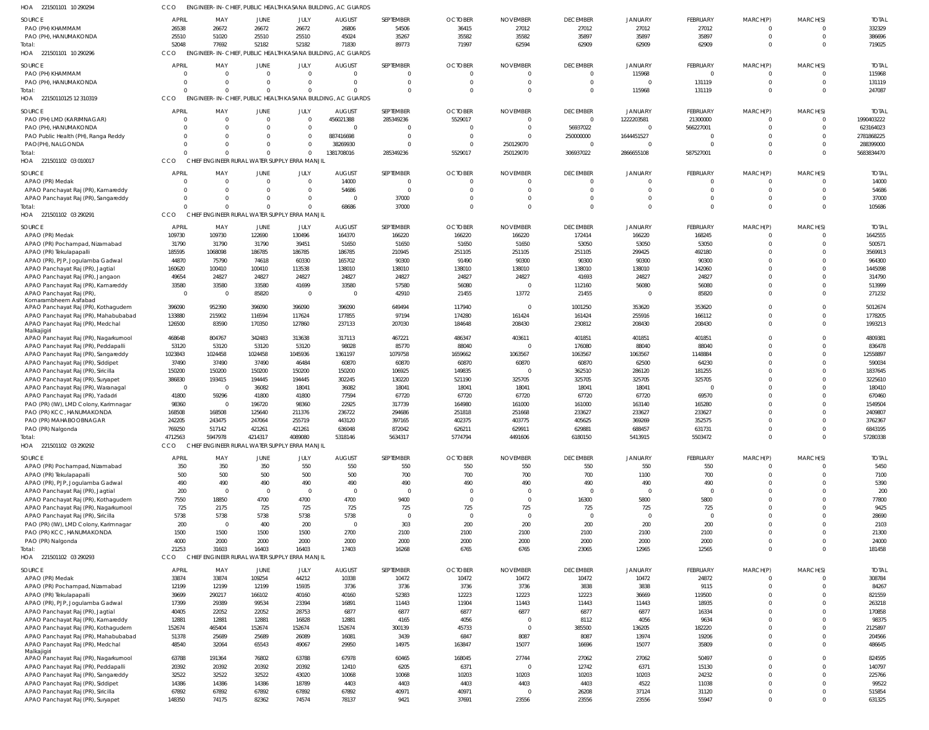| HOA<br>221501101 10 290294                                              |                  |                               |                                               |                      | ENGINEER-IN-CHIEF, PUBLIC HEALTH KASANA BUILDING, AC GUARDS |                                  |                         |                      |                                  |                            |                       |                          |                                  |                         |
|-------------------------------------------------------------------------|------------------|-------------------------------|-----------------------------------------------|----------------------|-------------------------------------------------------------|----------------------------------|-------------------------|----------------------|----------------------------------|----------------------------|-----------------------|--------------------------|----------------------------------|-------------------------|
| SOURCE                                                                  | <b>APRIL</b>     | MAY                           | JUNE                                          | JULY                 | <b>AUGUST</b>                                               | SEPTEMBER                        | <b>OCTOBER</b>          | <b>NOVEMBER</b>      | <b>DECEMBER</b>                  | <b>JANUARY</b>             | FEBRUARY              | MARCH(P)                 | MARCH(S)                         | <b>TOTA</b>             |
| PAO (PH) KHAMMAM                                                        | 26538            | 26672                         | 26672                                         | 26672                | 26806                                                       | 54506                            | 36415                   | 27012                | 27012                            | 27012                      | 27012                 | $\Omega$                 | $\overline{0}$                   | 332329                  |
| PAO (PH), HANUMAKONDA<br>Total:                                         | 25510<br>52048   | 51020<br>77692                | 25510<br>52182                                | 25510<br>52182       | 45024<br>71830                                              | 35267<br>89773                   | 35582<br>71997          | 35582<br>62594       | 35897<br>62909                   | 35897<br>62909             | 35897<br>62909        | $\Omega$<br>$\Omega$     | $\overline{0}$<br>$\Omega$       | 386696<br>719025        |
| HOA 221501101 10 290296                                                 | CCO              |                               |                                               |                      | ENGINEER-IN-CHIEF, PUBLIC HEALTH KASANA BUILDING, AC GUARDS |                                  |                         |                      |                                  |                            |                       |                          |                                  |                         |
| SOURCE                                                                  | <b>APRIL</b>     | MAY                           | <b>JUNE</b>                                   | JULY                 | <b>AUGUST</b>                                               | SEPTEMBER                        | <b>OCTOBER</b>          | <b>NOVEMBER</b>      | <b>DECEMBER</b>                  | <b>JANUARY</b>             | FEBRUARY              | MARCH(P)                 | MARCH(S)                         | <b>TOTAI</b>            |
| PAO (PH) KHAMMAM                                                        |                  | $\overline{0}$                | $\mathbf 0$                                   | $\Omega$             | $\mathbf 0$                                                 | $\overline{0}$                   | $\Omega$                | 0                    | $\mathbf 0$                      | 115968                     | $\overline{0}$        | $\Omega$                 | $\overline{0}$                   | 115968                  |
| PAO (PH), HANUMAKONDA                                                   | $\Omega$         | $\Omega$                      | $\Omega$                                      | $\Omega$             | $\mathbf 0$                                                 | $\overline{0}$                   | $\mathbf 0$             | $\Omega$             | $\overline{0}$                   | $\overline{0}$             | 131119                | $\Omega$                 | $\overline{0}$                   | 131119                  |
| Total:                                                                  | $\Omega$         | $\Omega$                      | $\Omega$                                      | $\Omega$             | $\mathbf 0$                                                 | $\Omega$                         | $\Omega$                | $\Omega$             | $\overline{0}$                   | 115968                     | 131119                | $\Omega$                 | $\Omega$                         | 247087                  |
| HOA 22150110125 12 310319                                               | CCO              |                               |                                               |                      | ENGINEER-IN-CHIEF, PUBLIC HEALTH KASANA BUILDING, AC GUARDS |                                  |                         |                      |                                  |                            |                       |                          |                                  |                         |
| SOURCE                                                                  | <b>APRIL</b>     | MAY                           | JUNE                                          | JULY                 | <b>AUGUST</b>                                               | SEPTEMBER                        | <b>OCTOBER</b>          | <b>NOVEMBER</b>      | <b>DECEMBER</b>                  | <b>JANUARY</b>             | FEBRUARY              | MARCH(P)                 | MARCH(S)                         | <b>TOTAI</b>            |
| PAO (PH) LMD (KARIMNAGAR)<br>PAO (PH), HANUMAKONDA                      |                  | $\mathbf 0$<br>$\Omega$       | $\mathbf{0}$<br>$\Omega$                      | $\Omega$<br>$\Omega$ | 456021388<br>$\Omega$                                       | 285349236<br>$\Omega$            | 5529017<br>$\Omega$     | $\Omega$<br>$\Omega$ | $\mathbf 0$<br>56937022          | 1222203581<br>$\mathbf{0}$ | 21300000<br>566227001 | $\Omega$<br>$\Omega$     | $\overline{0}$<br>$\mathbf{0}$   | 1990403222<br>623164023 |
| PAO Public Health (PH), Ranga Reddy                                     |                  | $\Omega$                      | $\Omega$                                      | $\Omega$             | 887416698                                                   | $\Omega$                         | $\mathbf 0$             | $\Omega$             | 250000000                        | 1644451527                 | - 0                   | $\Omega$                 | $\Omega$                         | 2781868225              |
| PAO(PH), NALGONDA                                                       |                  | $\Omega$                      | $\Omega$                                      | $\overline{0}$       | 38269930                                                    | $\Omega$                         | $\mathbf 0$             | 250129070            | $\overline{0}$                   | $\mathbf{0}$               | $\Omega$              | $\Omega$                 | $\mathbf{0}$                     | 288399000               |
| Total:                                                                  |                  | $\Omega$                      | $\Omega$                                      | $\overline{0}$       | 1381708016                                                  | 285349236                        | 5529017                 | 250129070            | 306937022                        | 2866655108                 | 587527001             | $\Omega$                 | $\Omega$                         | 5683834470              |
| HOA 221501102 03 010017                                                 | CCO              |                               | CHIEF ENGINEER RURAL WATER SUPPLY ERRA MANJIL |                      |                                                             |                                  |                         |                      |                                  |                            |                       |                          |                                  |                         |
| SOURCE                                                                  | <b>APRIL</b>     | MAY                           | <b>JUNE</b><br>$\Omega$                       | JULY<br>$\Omega$     | <b>AUGUST</b>                                               | SEPTEMBER                        | <b>OCTOBER</b>          | <b>NOVEMBER</b>      | <b>DECEMBER</b>                  | <b>JANUARY</b>             | FEBRUARY              | MARCH(P)                 | MARCH(S)                         | <b>TOTAI</b>            |
| APAO (PR) Medak<br>APAO Panchayat Raj (PR), Kamareddy                   | 0<br>0           | $\overline{0}$<br>$\mathbf 0$ | $\mathbf 0$                                   | $\Omega$             | 14000<br>54686                                              | $\overline{0}$<br>$\overline{0}$ | $\mathbf 0$<br>$\Omega$ | $\Omega$<br>$\Omega$ | $\overline{0}$<br>$\overline{0}$ | $\overline{0}$<br>0        | $\Omega$<br>$\Omega$  | $\Omega$<br>$\Omega$     | $\overline{0}$<br>$\overline{0}$ | 14000<br>54686          |
| APAO Panchayat Raj (PR), Sangareddy                                     | 0                | $\mathbf 0$                   | $\Omega$                                      | $\Omega$             | $\overline{0}$                                              | 37000                            | $\mathbf 0$             | $\Omega$             | $\overline{0}$                   | $\mathbf{0}$               | $\Omega$              | $\Omega$                 | $\overline{0}$                   | 37000                   |
| Total:                                                                  |                  | $\Omega$                      | $\Omega$                                      | $\Omega$             | 68686                                                       | 37000                            | $\Omega$                | $\Omega$             | $\Omega$                         | $\mathbf{0}$               | $\Omega$              | $\Omega$                 | $\Omega$                         | 105686                  |
| 221501102 03 290291<br>HOA                                              | CCO              |                               | CHIEF ENGINEER RURAL WATER SUPPLY ERRA MANJIL |                      |                                                             |                                  |                         |                      |                                  |                            |                       |                          |                                  |                         |
| SOURCE                                                                  | <b>APRIL</b>     | MAY                           | JUNE                                          | JULY                 | <b>AUGUST</b>                                               | SEPTEMBER                        | <b>OCTOBER</b>          | <b>NOVEMBER</b>      | <b>DECEMBER</b>                  | <b>JANUARY</b>             | FEBRUARY              | MARCH(P)                 | MARCH(S)                         | <b>TOTAI</b>            |
| APAO (PR) Medak                                                         | 109730           | 109730                        | 122690                                        | 130496               | 164370                                                      | 166220                           | 166220                  | 166220               | 172414                           | 166220                     | 168245                |                          | $\Omega$                         | 1642555                 |
| APAO (PR) Pochampad, Nizamabad                                          | 31790            | 31790                         | 31790                                         | 39451                | 51650                                                       | 51650                            | 51650                   | 51650                | 53050                            | 53050                      | 53050                 | $\Omega$<br>$\Omega$     | $\Omega$<br>$\Omega$             | 500571                  |
| APAO (PR) Tekulapapalli<br>APAO (PR), PJP, Jogulamba Gadwal             | 185595<br>44870  | 1068098<br>75790              | 186785<br>74618                               | 186785<br>60330      | 186785<br>165702                                            | 210945<br>90300                  | 251105<br>91490         | 251105<br>90300      | 251105<br>90300                  | 299425<br>90300            | 492180<br>90300       | $\Omega$                 | $\Omega$                         | 3569913<br>964300       |
| APAO Panchayat Raj (PR), Jagtial                                        | 160620           | 100410                        | 100410                                        | 113538               | 138010                                                      | 138010                           | 138010                  | 138010               | 138010                           | 138010                     | 142060                |                          | $\Omega$                         | 1445098                 |
| APAO Panchayat Raj (PR), Jangaon                                        | 49654            | 24827                         | 24827                                         | 24827                | 24827                                                       | 24827                            | 24827                   | 24827                | 41693                            | 24827                      | 24827                 | $\Omega$                 | $\Omega$                         | 314790                  |
| APAO Panchayat Raj (PR), Kamareddy                                      | 33580            | 33580                         | 33580                                         | 41699                | 33580                                                       | 57580                            | 56080                   |                      | 112160                           | 56080                      | 56080                 | $\Omega$                 | $\Omega$                         | 513999                  |
| APAO Panchayat Raj (PR)<br>Komarambheem Asifabad                        | $\overline{0}$   | $\overline{0}$                | 85820                                         | $\Omega$             | $\mathbf 0$                                                 | 42910                            | 21455                   | 13772                | 21455                            | $\overline{0}$             | 85820                 | $\Omega$                 | $\Omega$                         | 271232                  |
| APAO Panchayat Raj (PR), Kothagudem                                     | 396090           | 952390                        | 396090                                        | 396090               | 396090                                                      | 649494                           | 117940                  |                      | 1001250                          | 353620                     | 353620                | $\Omega$                 | $\Omega$                         | 5012674                 |
| APAO Panchayat Raj (PR), Mahabubabad                                    | 133880           | 215902                        | 116594                                        | 117624               | 177855                                                      | 97194                            | 174280                  | 161424               | 161424                           | 255916                     | 166112                | $\Omega$                 | $\mathbf{0}$                     | 1778205                 |
| APAO Panchayat Raj (PR), Medchal                                        | 126500           | 83590                         | 170350                                        | 127860               | 237133                                                      | 207030                           | 184648                  | 208430               | 230812                           | 208430                     | 208430                | $\Omega$                 | $\Omega$                         | 1993213                 |
| Malkajigiri<br>APAO Panchayat Raj (PR), Nagarkurnool                    | 468648           | 804767                        | 342483                                        | 313638               | 317113                                                      | 467221                           | 486347                  | 403611               | 401851                           | 401851                     | 401851                |                          | $\Omega$                         | 4809381                 |
| APAO Panchayat Raj (PR), Peddapalli                                     | 53120            | 53120                         | 53120                                         | 53120                | 98028                                                       | 85770                            | 88040                   |                      | 176080                           | 88040                      | 88040                 |                          | $\Omega$                         | 836478                  |
| APAO Panchayat Raj (PR), Sangareddy                                     | 1023843          | 1024458                       | 1024458                                       | 1045936              | 1361197                                                     | 1079758                          | 1659662                 | 1063567              | 1063567                          | 1063567                    | 1148884               | $\Omega$                 | $\Omega$                         | 12558897                |
| APAO Panchayat Raj (PR), Siddipet                                       | 37490            | 37490                         | 37490                                         | 46484                | 60870                                                       | 60870                            | 60870                   | 60870                | 60870                            | 62500                      | 64230                 |                          | $\Omega$                         | 590034                  |
| APAO Panchayat Raj (PR), Siricilla<br>APAO Panchayat Raj (PR), Suryapet | 150200<br>386830 | 150200<br>193415              | 150200<br>194445                              | 150200<br>194445     | 150200<br>302245                                            | 106925<br>130220                 | 149835<br>521190        | 325705               | 362510<br>325705                 | 286120<br>325705           | 181255<br>325705      | $\Omega$                 | $\Omega$<br>$\Omega$             | 1837645<br>3225610      |
| APAO Panchayat Raj (PR), Waranagal                                      | $\overline{0}$   | $\overline{0}$                | 36082                                         | 18041                | 36082                                                       | 18041                            | 18041                   | 18041                | 18041                            | 18041                      | - 0                   |                          | $\Omega$                         | 180410                  |
| APAO Panchayat Raj (PR), Yadadri                                        | 41800            | 59296                         | 41800                                         | 41800                | 77594                                                       | 67720                            | 67720                   | 67720                | 67720                            | 67720                      | 69570                 |                          | $\Omega$                         | 670460                  |
| PAO (PR) (IW), LMD Colony, Karimnagar                                   | 98360            | $\Omega$                      | 196720                                        | 98360                | 22925                                                       | 317739                           | 164980                  | 161000               | 161000                           | 163140                     | 165280                |                          |                                  | 1549504                 |
| PAO (PR) KCC, HANUMAKONDA                                               | 168508           | 168508                        | 125640                                        | 211376               | 236722                                                      | 294686                           | 251818                  | 251668               | 233627                           | 233627                     | 233627                |                          | $\Omega$                         | 2409807                 |
| PAO (PR) MAHABOOBNAGAR<br>PAO (PR) Nalgonda                             | 242205<br>769250 | 243475<br>517142              | 24/064<br>421261                              | 255719<br>421261     | 443120<br>636048                                            | 397165<br>872042                 | 402375<br>626211        | 403775<br>629911     | 405625<br>629881                 | 369269<br>688457           | 352575<br>631731      | $\Omega$                 | $\Omega$                         | 3762367<br>6843195      |
| Total:                                                                  | 4712563          | 5947978                       | 4214317                                       | 4089080              | 5318146                                                     | 5634317                          | 5774794                 | 4491606              | 6180150                          | 5413915                    | 5503472               | $\Omega$                 | $\overline{0}$                   | 57280338                |
| HOA 221501102 03 290292                                                 | CCO              |                               | CHIEF ENGINEER RURAL WATER SUPPLY ERRA MANJIL |                      |                                                             |                                  |                         |                      |                                  |                            |                       |                          |                                  |                         |
| SOURCE                                                                  | <b>APRIL</b>     | MAY                           | JUNE                                          | JULY                 | <b>AUGUST</b>                                               | SEPTEMBER                        | <b>OCTOBER</b>          | <b>NOVEMBER</b>      | <b>DECEMBER</b>                  | <b>JANUARY</b>             | FEBRUARY              | MARCH(P)                 | MARCH(S)                         | <b>TOTAL</b>            |
| APAO (PR) Pochampad, Nizamabad                                          | 350              | 350                           | 350                                           | 550                  | 550                                                         | 550                              | 550                     | 550                  | 550                              | 550                        | 550                   | $\Omega$                 | $\Omega$                         | 5450                    |
| APAO (PR) Tekulapapalli                                                 | 500              | 500                           | 500                                           | 500                  | 500                                                         | 700                              | 700                     | 700                  | 700                              | 1100                       | 700                   | $\Omega$                 | $\mathbf 0$                      | 7100                    |
| APAO (PR), PJP, Jogulamba Gadwal                                        | 490              | 490<br>$\overline{0}$         | 490<br>$\mathbf 0$                            | 490<br>$\Omega$      | 490<br>$\overline{0}$                                       | 490<br>$\overline{0}$            | 490<br>$\mathbf 0$      | 490<br>$\mathbf 0$   | 490<br>$\overline{0}$            | 490<br>$\overline{0}$      | 490<br>$\mathbf{0}$   | $\Omega$<br>$\Omega$     | $\Omega$<br>$\mathbf 0$          | 5390                    |
| APAO Panchayat Raj (PR), Jagtial<br>APAO Panchayat Raj (PR), Kothagudem | 200<br>7550      | 18850                         | 4700                                          | 4700                 | 4700                                                        | 9400                             | $\Omega$                | $\Omega$             | 16300                            | 5800                       | 5800                  | $\Omega$                 | $\Omega$                         | 200<br>77800            |
| APAO Panchayat Raj (PR), Nagarkurnool                                   | 725              | 2175                          | 725                                           | 725                  | 725                                                         | 725                              | 725                     | 725                  | 725                              | 725                        | 725                   | $\Omega$                 | $\Omega$                         | 9425                    |
| APAO Panchayat Raj (PR), Siricilla                                      | 5738             | 5738                          | 5738                                          | 5738                 | 5738                                                        | $\overline{0}$                   | $\Omega$                | $\Omega$             | $\overline{0}$                   | $\overline{0}$             | $\overline{0}$        | $\Omega$                 | $\Omega$                         | 28690                   |
| PAO (PR) (IW), LMD Colony, Karimnagar                                   | 200              | $\overline{0}$                | 400                                           | 200                  | $\overline{0}$                                              | 303                              | 200                     | 200                  | 200                              | 200                        | 200                   | $\Omega$                 | $\Omega$                         | 2103                    |
| PAO (PR) KCC, HANUMAKONDA<br>PAO (PR) Nalgonda                          | 1500<br>4000     | 1500<br>2000                  | 1500<br>2000                                  | 1500<br>2000         | 2700<br>2000                                                | 2100<br>2000                     | 2100<br>2000            | 2100<br>2000         | 2100<br>2000                     | 2100<br>2000               | 2100<br>2000          | $\Omega$<br>$\Omega$     | $\Omega$<br>$\mathbf 0$          | 21300<br>24000          |
| Total:                                                                  | 21253            | 31603                         | 16403                                         | 16403                | 17403                                                       | 16268                            | 6765                    | 6765                 | 23065                            | 12965                      | 12565                 | $\Omega$                 | $\Omega$                         | 181458                  |
| HOA 221501102 03 290293                                                 | CCO              |                               | CHIEF ENGINEER RURAL WATER SUPPLY ERRA MANJIL |                      |                                                             |                                  |                         |                      |                                  |                            |                       |                          |                                  |                         |
| SOURCE                                                                  | <b>APRIL</b>     | MAY                           | JUNE                                          | JULY                 | <b>AUGUST</b>                                               | SEPTEMBER                        | <b>OCTOBER</b>          | <b>NOVEMBER</b>      | <b>DECEMBER</b>                  | <b>JANUARY</b>             | FEBRUARY              | MARCH(P)                 | MARCH(S)                         | <b>TOTAL</b>            |
| APAO (PR) Medak                                                         | 33874            | 33874                         | 109254                                        | 44212                | 10338                                                       | 10472                            | 10472                   | 10472                | 10472                            | 10472                      | 24872                 |                          | $\Omega$                         | 308784                  |
| APAO (PR) Pochampad, Nizamabad                                          | 12199            | 12199                         | 12199                                         | 15935                | 3736                                                        | 3736                             | 3736                    | 3736                 | 3838                             | 3838                       | 9115                  | $\Omega$                 | $\Omega$                         | 84267                   |
| APAO (PR) Tekulapapalli                                                 | 39699            | 290217                        | 166102                                        | 40160                | 40160                                                       | 52383                            | 12223                   | 12223                | 12223                            | 36669                      | 119500                | $\Omega$                 | $\Omega$                         | 821559                  |
| APAO (PR), PJP, Jogulamba Gadwal<br>APAO Panchayat Raj (PR), Jagtial    | 17399<br>40405   | 29389<br>22052                | 99534<br>22052                                | 23394<br>28753       | 16891<br>6877                                               | 11443<br>6877                    | 11904<br>6877           | 11443<br>6877        | 11443<br>6877                    | 11443<br>6877              | 18935<br>16334        | $\Omega$<br>$\Omega$     | $\Omega$<br>$\Omega$             | 263218<br>170858        |
| APAO Panchayat Raj (PR), Kamareddy                                      | 12881            | 12881                         | 12881                                         | 16828                | 12881                                                       | 4165                             | 4056                    | $\Omega$             | 8112                             | 4056                       | 9634                  | $\Omega$                 | $\Omega$                         | 98375                   |
| APAO Panchayat Raj (PR), Kothagudem                                     | 152674           | 465404                        | 152674                                        | 152674               | 152674                                                      | 300139                           | 45733                   | $\Omega$             | 385500                           | 136205                     | 182220                | $\Omega$                 | $\Omega$                         | 2125897                 |
| APAO Panchayat Raj (PR), Mahabubabad                                    | 51378            | 25689                         | 25689                                         | 26089                | 16081                                                       | 3439                             | 6847                    | 8087                 | 8087                             | 13974                      | 19206                 | $\Omega$                 | $\mathbf 0$                      | 204566                  |
| APAO Panchayat Raj (PR), Medchal                                        | 48540            | 32064                         | 65543                                         | 49067                | 29950                                                       | 14975                            | 163847                  | 15077                | 16696                            | 15077                      | 35809                 | $\Omega$                 | $\Omega$                         | 486645                  |
| Malkajigiri<br>APAO Panchayat Raj (PR), Nagarkurnool                    | 63788            | 191364                        | 76802                                         | 63788                | 67978                                                       | 60465                            | 168045                  | 27744                | 27062                            | 27062                      | 50497                 | $\Omega$                 | $\Omega$                         | 824595                  |
| APAO Panchayat Raj (PR), Peddapalli                                     | 20392            | 20392                         | 20392                                         | 20392                | 12410                                                       | 6205                             | 6371                    | $\Omega$             | 12742                            | 6371                       | 15130                 | $\Omega$                 | $\Omega$                         | 140797                  |
| APAO Panchayat Raj (PR), Sangareddy                                     | 32522            | 32522                         | 32522                                         | 43020                | 10068                                                       | 10068                            | 10203                   | 10203                | 10203                            | 10203                      | 24232                 | $\Omega$                 | $\Omega$                         | 225766                  |
| APAO Panchayat Raj (PR), Siddipet                                       | 14386            | 14386                         | 14386                                         | 18789                | 4403                                                        | 4403                             | 4403                    | 4403                 | 4403                             | 4522                       | 11038                 | $\Omega$                 | $\Omega$                         | 99522                   |
| APAO Panchayat Raj (PR), Siricilla<br>APAO Panchayat Raj (PR), Suryapet | 67892<br>148350  | 67892<br>74175                | 67892<br>82362                                | 67892<br>74574       | 67892<br>78137                                              | 40971<br>9421                    | 40971<br>37691          | $\Omega$<br>23556    | 26208<br>23556                   | 37124<br>23556             | 31120<br>55947        | $\mathbf{0}$<br>$\Omega$ | $\mathbf{0}$<br>$\Omega$         | 515854<br>631325        |
|                                                                         |                  |                               |                                               |                      |                                                             |                                  |                         |                      |                                  |                            |                       |                          |                                  |                         |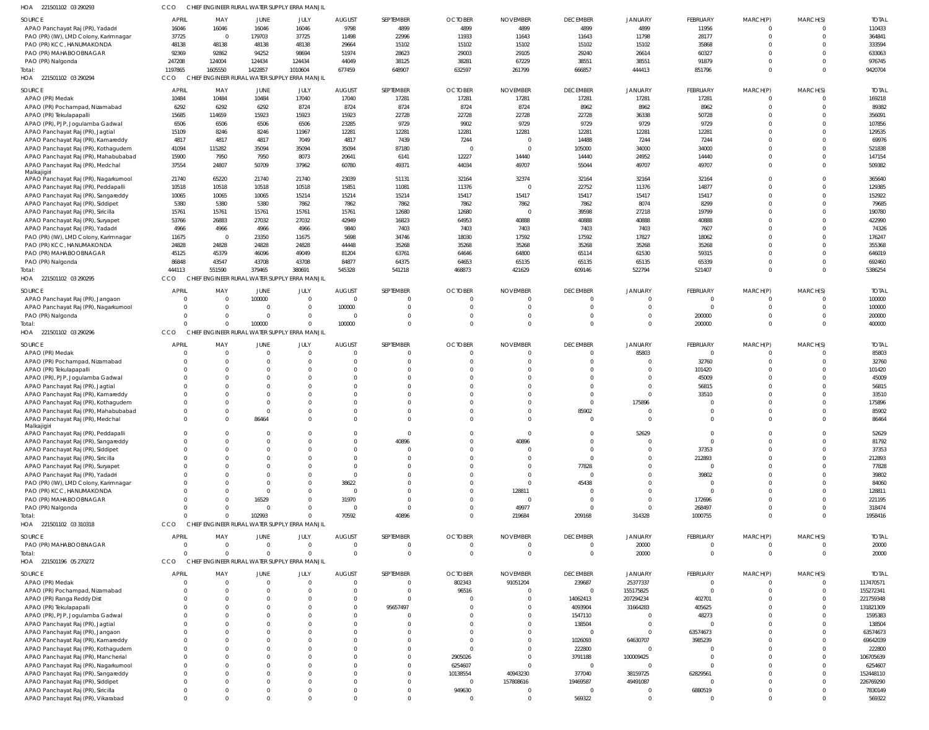| HOA 221501102 03 290293                                                   |                   |                         | CHIEF ENGINEER RURAL WATER SUPPLY ERRA MANJII |                      |                                 |                           |                            |                             |                                   |                                  |                      |                      |                            |                        |
|---------------------------------------------------------------------------|-------------------|-------------------------|-----------------------------------------------|----------------------|---------------------------------|---------------------------|----------------------------|-----------------------------|-----------------------------------|----------------------------------|----------------------|----------------------|----------------------------|------------------------|
| SOURCE                                                                    | <b>APRIL</b>      | MAY                     | JUNE                                          | JULY                 | <b>AUGUST</b>                   | SEPTEMBER                 | <b>OCTOBER</b>             | <b>NOVEMBER</b>             | <b>DECEMBER</b>                   | <b>JANUARY</b>                   | FEBRUARY             | MARCH(P)             | MARCH(S)                   | <b>TOTAL</b>           |
| APAO Panchayat Raj (PR), Yadadri                                          | 16046             | 16046                   | 16046                                         | 16046                | 9798                            | 4899                      | 4899                       | 4899                        | 4899                              | 4899                             | 11956                | $\Omega$             | $\Omega$                   | 110433                 |
| PAO (PR) (IW), LMD Colony, Karimnagar                                     | 37725             | $\Omega$                | 179703                                        | 37725                | 11498                           | 22996                     | 11933                      | 11643                       | 11643                             | 11798                            | 28177                | $\Omega$             | $\overline{0}$             | 364841                 |
| PAO (PR) KCC, HANUMAKONDA                                                 | 48138             | 48138                   | 48138                                         | 48138                | 29664                           | 15102                     | 15102                      | 15102                       | 15102                             | 15102                            | 35868                | $\Omega$             | $\Omega$                   | 333594                 |
| PAO (PR) MAHABOOBNAGAR                                                    | 92369             | 92862                   | 94252                                         | 98694                | 51974                           | 28623                     | 29003                      | 29105                       | 29240                             | 26614                            | 60327                | $\Omega$             | $\Omega$                   | 633063                 |
| PAO (PR) Nalgonda                                                         | 247208<br>1197865 | 124004<br>1605550       | 124434<br>1422857                             | 124434<br>1010604    | 44049<br>677459                 | 38125<br>648907           | 38281<br>632597            | 67229<br>261799             | 38551<br>666857                   | 38551<br>444413                  | 91879<br>851796      | $\Omega$<br>$\Omega$ | $\Omega$<br>$\Omega$       | 976745<br>9420704      |
| Total:<br>HOA 221501102 03 290294                                         | CCO               |                         | CHIEF ENGINEER RURAL WATER SUPPLY ERRA MANJIL |                      |                                 |                           |                            |                             |                                   |                                  |                      |                      |                            |                        |
|                                                                           |                   |                         |                                               |                      |                                 |                           |                            |                             |                                   |                                  |                      |                      |                            |                        |
| SOURCE                                                                    | <b>APRIL</b>      | MAY                     | JUNE                                          | JULY                 | <b>AUGUST</b>                   | SEPTEMBER                 | <b>OCTOBER</b>             | <b>NOVEMBER</b>             | <b>DECEMBER</b>                   | <b>JANUARY</b>                   | FEBRUARY             | MARCH(P)             | MARCH(S)                   | <b>TOTAL</b>           |
| APAO (PR) Medak                                                           | 10484             | 10484                   | 10484                                         | 17040                | 17040                           | 17281                     | 17281                      | 17281                       | 17281                             | 17281                            | 17281                | $\Omega$             | $\overline{0}$             | 169218                 |
| APAO (PR) Pochampad, Nizamabad                                            | 6292              | 6292                    | 6292                                          | 8724                 | 8724                            | 8724                      | 8724                       | 8724                        | 8962                              | 8962                             | 8962                 | $\Omega$             | $\overline{0}$             | 89382                  |
| APAO (PR) Tekulapapalli                                                   | 15685             | 114659                  | 15923                                         | 15923                | 15923                           | 22728                     | 22728                      | 22728                       | 22728                             | 36338                            | 50728                | $\Omega$             | $\Omega$                   | 356091                 |
| APAO (PR), PJP, Jogulamba Gadwal                                          | 6506<br>15109     | 6506<br>8246            | 6506                                          | 6506<br>11967        | 23285<br>12281                  | 9729<br>12281             | 9902<br>12281              | 9729<br>12281               | 9729<br>12281                     | 9729<br>12281                    | 9729<br>12281        | $\Omega$<br>$\Omega$ | $\overline{0}$<br>$\Omega$ | 107856<br>129535       |
| APAO Panchayat Raj (PR), Jagtial<br>APAO Panchayat Raj (PR), Kamareddy    | 4817              | 4817                    | 8246<br>4817                                  | 7049                 | 4817                            | 7439                      | 7244                       |                             | 14488                             | 7244                             | 7244                 | $\Omega$             | $\Omega$                   | 69976                  |
| APAO Panchayat Raj (PR), Kothagudem                                       | 41094             | 115282                  | 35094                                         | 35094                | 35094                           | 87180                     | $\Omega$                   | $\Omega$                    | 105000                            | 34000                            | 34000                | $\Omega$             | $\Omega$                   | 521838                 |
| APAO Panchayat Raj (PR), Mahabubabad                                      | 15900             | 7950                    | 7950                                          | 8073                 | 20641                           | 6141                      | 12227                      | 14440                       | 14440                             | 24952                            | 14440                | $\Omega$             | $\overline{0}$             | 147154                 |
| APAO Panchayat Raj (PR), Medchal                                          | 37554             | 24807                   | 50709                                         | 37962                | 60780                           | 49371                     | 44034                      | 49707                       | 55044                             | 49707                            | 49707                | $\Omega$             | $\overline{0}$             | 509382                 |
| Malkajigiri                                                               |                   |                         |                                               |                      |                                 |                           |                            |                             |                                   |                                  |                      |                      |                            |                        |
| APAO Panchayat Raj (PR), Nagarkurnool                                     | 21740             | 65220                   | 21740                                         | 21740                | 23039                           | 51131                     | 32164                      | 32374                       | 32164                             | 32164                            | 32164                | $\Omega$             | $\overline{0}$             | 365640                 |
| APAO Panchayat Raj (PR), Peddapalli                                       | 10518             | 10518                   | 10518                                         | 10518                | 15851                           | 11081                     | 11376                      |                             | 22752                             | 11376                            | 14877                | $\Omega$             | $\Omega$                   | 129385                 |
| APAO Panchayat Raj (PR), Sangareddy                                       | 10065             | 10065                   | 10065                                         | 15214                | 15214                           | 15214                     | 15417                      | 15417                       | 15417                             | 15417                            | 15417                | $\Omega$             | $\overline{0}$             | 152922                 |
| APAO Panchayat Raj (PR), Siddipet                                         | 5380              | 5380                    | 5380                                          | 7862                 | 7862                            | 7862                      | 7862                       | 7862                        | 7862                              | 8074                             | 8299                 | $\Omega$             | $\Omega$                   | 79685                  |
| APAO Panchayat Raj (PR), Siricilla                                        | 15761             | 15761                   | 15761                                         | 15761                | 15761                           | 12680                     | 12680                      | $\Omega$                    | 39598                             | 27218                            | 19799                | $\Omega$             | $\overline{0}$             | 190780                 |
| APAO Panchayat Raj (PR), Suryapet                                         | 53766             | 26883                   | 27032                                         | 27032                | 42949                           | 16823                     | 64953                      | 40888                       | 40888                             | 40888                            | 40888                | $\Omega$             | $\Omega$                   | 422990                 |
| APAO Panchayat Raj (PR), Yadadri                                          | 4966              | 4966                    | 4966                                          | 4966                 | 9840                            | 7403                      | 7403                       | 7403<br>17592               | 7403                              | 7403                             | 7607                 | $\Omega$<br>$\Omega$ | $\Omega$<br>$\Omega$       | 74326                  |
| PAO (PR) (IW), LMD Colony, Karimnagar<br>PAO (PR) KCC, HANUMAKONDA        | 11675<br>24828    | $\overline{0}$<br>24828 | 23350<br>24828                                | 11675<br>24828       | 5698<br>44448                   | 34746<br>35268            | 18030<br>35268             | 35268                       | 17592<br>35268                    | 17827<br>35268                   | 18062<br>35268       | $\Omega$             | $\Omega$                   | 176247<br>355368       |
| PAO (PR) MAHABOOBNAGAR                                                    | 45125             | 45379                   | 46096                                         | 49049                | 81204                           | 63761                     | 64646                      | 64800                       | 65114                             | 61530                            | 59315                | $\Omega$             | $\Omega$                   | 646019                 |
| PAO (PR) Nalgonda                                                         | 86848             | 43547                   | 43708                                         | 43708                | 84877                           | 64375                     | 64653                      | 65135                       | 65135                             | 65135                            | 65339                | $\Omega$             | $\overline{0}$             | 692460                 |
| Total:                                                                    | 444113            | 551590                  | 379465                                        | 380691               | 545328                          | 541218                    | 468873                     | 421629                      | 609146                            | 522794                           | 521407               | $\Omega$             | $\overline{0}$             | 5386254                |
| HOA 221501102 03 290295                                                   | CCO               |                         | CHIEF ENGINEER RURAL WATER SUPPLY ERRA MANJIL |                      |                                 |                           |                            |                             |                                   |                                  |                      |                      |                            |                        |
|                                                                           | <b>APRIL</b>      |                         |                                               |                      |                                 |                           |                            |                             |                                   |                                  |                      |                      |                            |                        |
| SOURCE                                                                    |                   | MAY<br>- 0              | JUNE                                          | JULY<br>$\mathbf 0$  | <b>AUGUST</b><br>$\overline{0}$ | SEPTEMBER                 | <b>OCTOBER</b><br>$\Omega$ | <b>NOVEMBER</b><br>$\Omega$ | <b>DECEMBER</b><br>$\overline{0}$ | <b>JANUARY</b><br>$\overline{0}$ | FEBRUARY<br>$\Omega$ | MARCH(P)<br>$\Omega$ | MARCH(S)<br>$\Omega$       | <b>TOTAL</b><br>100000 |
| APAO Panchayat Raj (PR), Jangaon<br>APAO Panchayat Raj (PR), Nagarkurnool | 0<br>$\Omega$     | $\Omega$                | 100000<br>$\Omega$                            | $\mathbf 0$          | 100000                          | $^{\circ}$<br>$\mathbf 0$ | $\Omega$                   | $\Omega$                    | $\overline{0}$                    | $\overline{0}$                   | $\Omega$             | $\Omega$             | $\overline{0}$             | 100000                 |
| PAO (PR) Nalgonda                                                         | $\Omega$          | $\Omega$                | $\overline{0}$                                | $\mathbf 0$          | $\Omega$                        | $\mathbf 0$               | $\Omega$                   | $\Omega$                    | $\overline{0}$                    | $\overline{0}$                   | 200000               | $\Omega$             | $\overline{0}$             | 200000                 |
| Total:                                                                    | $\Omega$          |                         | 100000                                        | $\mathbf 0$          | 100000                          | $\mathbf 0$               | $\Omega$                   | $\Omega$                    | $\Omega$                          | $\Omega$                         | 200000               | $\Omega$             | $\Omega$                   | 400000                 |
| HOA 221501102 03 290296                                                   | CCO               |                         | CHIEF ENGINEER RURAL WATER SUPPLY ERRA MANJIL |                      |                                 |                           |                            |                             |                                   |                                  |                      |                      |                            |                        |
| SOURCE                                                                    | <b>APRIL</b>      | MAY                     | <b>JUNE</b>                                   | JULY                 | <b>AUGUST</b>                   | SEPTEMBER                 | <b>OCTOBER</b>             | <b>NOVEMBER</b>             | <b>DECEMBER</b>                   | <b>JANUARY</b>                   | FEBRUARY             | MARCH(P)             | MARCH(S)                   | <b>TOTAL</b>           |
| APAO (PR) Medak                                                           | 0                 | $\Omega$                | $\overline{0}$                                | $\mathbf 0$          | $\Omega$                        | $\mathbf 0$               | $\Omega$                   | $\Omega$                    | $\overline{0}$                    | 85803                            | $\overline{0}$       | $\Omega$             | $\overline{0}$             | 85803                  |
| APAO (PR) Pochampad, Nizamabad                                            | $\Omega$          | $\Omega$                | $\mathbf{0}$                                  | $\mathbf 0$          | $\Omega$                        | $\mathbf 0$               | <sup>0</sup>               |                             | $\mathbf 0$                       | C                                | 32760                | $\Omega$             | $\overline{0}$             | 32760                  |
| APAO (PR) Tekulapapalli                                                   | $\Omega$          |                         | $\Omega$                                      | $\Omega$             | $\Omega$                        | $\mathbf{0}$              | $\Omega$                   | <sup>0</sup>                | $\Omega$                          | $\overline{0}$                   | 101420               | $\Omega$             | $\overline{0}$             | 101420                 |
| APAO (PR), PJP, Jogulamba Gadwal                                          | $\Omega$          |                         | $\Omega$                                      | $\Omega$             | $\Omega$                        | $\mathbf 0$               | <sup>0</sup>               | <sup>0</sup>                | $\Omega$                          | $\overline{0}$                   | 45009                | $\Omega$             | $\overline{0}$             | 45009                  |
| APAO Panchayat Raj (PR), Jagtial                                          | $\Omega$          |                         | <sup>0</sup>                                  | $\Omega$             | <sup>0</sup>                    | $\Omega$                  | <sup>0</sup>               | <sup>0</sup>                | $\Omega$                          | $\overline{0}$                   | 56815                | $\Omega$             | $\Omega$                   | 56815                  |
| APAO Panchayat Raj (PR), Kamareddy                                        | $\Omega$          |                         | $\Omega$                                      | $\Omega$             | <sup>0</sup>                    | $\mathbf 0$               | <sup>0</sup>               |                             | $\Omega$                          | $\overline{0}$                   | 33510                | $\Omega$             | $\Omega$                   | 33510                  |
| APAO Panchayat Raj (PR), Kothagudem                                       | 0                 |                         | <sup>0</sup>                                  | $\Omega$             | <sup>0</sup>                    | $\Omega$                  |                            |                             | $\overline{0}$                    | 175896                           | $\Omega$             |                      | $\Omega$                   | 175896                 |
| APAO Panchayat Raj (PR), Mahabubabad                                      | $\Omega$          | $\Omega$                | $\Omega$                                      | $\Omega$             | $\Omega$                        | $\mathbf 0$               | $\Omega$                   | $\Omega$                    | 85902                             | $\Omega$                         | $\Omega$             | $\Omega$             | $\Omega$                   | 85902                  |
| APAO Panchayat Raj (PR), Medchal                                          | $\cap$            |                         |                                               |                      |                                 |                           |                            |                             |                                   |                                  |                      | $\cap$               | $\cap$                     | 86464                  |
| Malkajigiri<br>APAO Panchayat Raj (PR), Peddapalli                        | $\mathbf{0}$      |                         | $\mathbf{0}$                                  | $\mathbf 0$          | 0                               | $\mathbf 0$               | 0                          | $\mathbf{0}$                | $\overline{0}$                    | 52629                            | $\mathbf{0}$         | $\Omega$             | $\overline{0}$             | 52629                  |
| APAO Panchayat Raj (PR), Sangareddy                                       | $\Omega$          |                         | $\Omega$                                      | $\Omega$             | $\Omega$                        | 40896                     | $\Omega$                   | 40896                       | $\Omega$                          | $\Omega$                         | $\Omega$             | $\Omega$             | $\Omega$                   | 81792                  |
| APAO Panchayat Raj (PR), Siddipet                                         | $\Omega$          |                         | 0                                             | $\Omega$             | $\Omega$                        | $\mathbf 0$               | <sup>0</sup>               |                             | $\Omega$                          | C                                | 37353                | $\Omega$             | $\Omega$                   | 37353                  |
| APAO Panchayat Raj (PR), Siricilla                                        | 0                 |                         |                                               | $\Omega$             | <sup>0</sup>                    | $\Omega$                  |                            |                             | $\overline{0}$                    | $^{\circ}$                       | 212893               | $\Omega$             | $\Omega$                   | 212893                 |
| APAO Panchayat Raj (PR), Suryapet                                         | 0                 |                         |                                               | $\Omega$             | $\Omega$                        | $\Omega$                  |                            |                             | 77828                             | 0                                | $\Omega$             | $\cap$               | $\Omega$                   | 77828                  |
| APAO Panchayat Raj (PR), Yadadri                                          | $\Omega$          |                         |                                               | $\Omega$             | $\Omega$                        | $\Omega$                  |                            |                             | $\overline{0}$                    | $\Omega$                         | 39802                | $\cap$               | $\Omega$                   | 39802                  |
| PAO (PR) (IW), LMD Colony, Karimnagar                                     | 0                 |                         | 0                                             | $\Omega$             | 38622                           | $\Omega$                  |                            | $\Omega$                    | 45438                             | $\Omega$                         | $\Omega$             | $\Omega$             | $\Omega$                   | 84060                  |
| PAO (PR) KCC, HANUMAKONDA                                                 | 0                 |                         | $\Omega$                                      | $\Omega$             | $\Omega$                        | $\Omega$                  |                            | 128811                      | C                                 | $\Omega$                         | $\Omega$             | $\Omega$             | $\Omega$                   | 128811                 |
| PAO (PR) MAHABOOBNAGAR                                                    | $\Omega$          |                         | 16529                                         | $\mathbf 0$          | 31970                           | $\Omega$                  | 0                          | $\Omega$                    | - 0                               | $\overline{0}$                   | 172696               | $\Omega$             | $\Omega$                   | 221195                 |
| PAO (PR) Nalgonda                                                         | 0                 |                         | $\overline{0}$                                | $\mathbf 0$          | $\Omega$                        | $\mathbf 0$               | $\Omega$                   | 49977                       | $\overline{0}$                    | $\overline{0}$                   | 268497               | $\Omega$             | $\overline{0}$             | 318474                 |
| Total:                                                                    | $\Omega$          |                         | 102993                                        | $\mathbf 0$          | 70592                           | 40896                     | $\Omega$                   | 219684                      | 209168                            | 314328                           | 1000755              | $\Omega$             | $\Omega$                   | 1958416                |
| HOA 221501102 03 310318                                                   | CCO               |                         | CHIEF ENGINEER RURAL WATER SUPPLY ERRA MANJIL |                      |                                 |                           |                            |                             |                                   |                                  |                      |                      |                            |                        |
| SOURCE                                                                    | <b>APRIL</b>      | MAY                     | JUNE                                          | JULY                 | <b>AUGUST</b>                   | SEPTEMBER                 | <b>OCTOBER</b>             | <b>NOVEMBER</b>             | <b>DECEMBER</b>                   | <b>JANUARY</b>                   | FEBRUARY             | MARCH(P)             | MARCH(S)                   | <b>TOTAL</b>           |
| PAO (PR) MAHABOOBNAGAR                                                    | $\overline{0}$    | $\Omega$                | $\mathbf{0}$                                  | $\mathbf 0$          | $\overline{0}$                  | $\mathbf 0$               | $\overline{0}$             | $\overline{0}$              | $\overline{0}$                    | 20000                            | $\Omega$             | - 0                  | $\overline{0}$             | 20000                  |
| Total:                                                                    | $\Omega$          | $\Omega$                | $\mathbf{0}$                                  | $\mathbf 0$          | $\overline{0}$                  | $\mathbf 0$               | $\overline{0}$             | $\Omega$                    | $\overline{0}$                    | 20000                            | $\Omega$             | $\overline{0}$       | $\overline{0}$             | 20000                  |
| HOA 221501196 05 270272                                                   | CCO               |                         | CHIEF ENGINEER RURAL WATER SUPPLY ERRA MANJIL |                      |                                 |                           |                            |                             |                                   |                                  |                      |                      |                            |                        |
| SOURCE                                                                    | <b>APRIL</b>      | MAY                     | JUNE                                          | JULY                 | <b>AUGUST</b>                   | SEPTEMBER                 | <b>OCTOBER</b>             | <b>NOVEMBER</b>             | <b>DECEMBER</b>                   | JANUARY                          | FEBRUARY             | MARCH(P)             | MARCH(S)                   | <b>TOTAL</b>           |
| APAO (PR) Medak                                                           | 0                 | - 0                     | $\overline{0}$                                | $\mathbf 0$          | $\Omega$                        | $\mathbf 0$               | 802343                     | 91051204                    | 239687                            | 25377337                         | $\overline{0}$       | $\Omega$             | $\overline{0}$             | 117470571              |
| APAO (PR) Pochampad, Nizamabad                                            | $\Omega$          |                         | $\Omega$                                      | $\Omega$             | $\Omega$                        | $\overline{0}$            | 96516                      |                             | $\overline{0}$                    | 155175825                        | $\mathbf{0}$         | $\Omega$             | $\overline{0}$             | 155272341              |
| APAO (PR) Ranga Reddy Dist                                                | $\Omega$          |                         | $\Omega$                                      | $\Omega$             | $\Omega$                        | $\mathbf{0}$              |                            |                             | 14062413                          | 207294234                        | 402701               | $\Omega$             | $\Omega$                   | 221759348              |
| APAO (PR) Tekulapapalli                                                   |                   |                         |                                               | $\Omega$             | $\Omega$                        | 95657497                  | $\Omega$                   |                             | 4093904                           | 31664283                         | 405625               | $\Omega$             | $\Omega$                   | 131821309              |
| APAO (PR), PJP, Jogulamba Gadwal                                          | $\Omega$          |                         | <sup>0</sup>                                  | $\Omega$             | <sup>0</sup>                    | $\overline{0}$            |                            |                             | 1547110                           | $\overline{0}$                   | 48273                | $\cap$               | $\Omega$                   | 1595383                |
| APAO Panchayat Raj (PR), Jagtial                                          | 0                 |                         |                                               |                      |                                 | $\Omega$                  |                            | <sup>0</sup>                | 138504                            | $\overline{0}$                   | $\Omega$             |                      | $\Omega$                   | 138504                 |
| APAO Panchayat Raj (PR), Jangaon                                          | $\Omega$          |                         |                                               | $\Omega$             |                                 | $\Omega$                  | 0                          | <sup>0</sup>                | $\overline{0}$                    | 0                                | 63574673             |                      | $\Omega$                   | 63574673               |
| APAO Panchayat Raj (PR), Kamareddy                                        | $\Omega$          |                         |                                               | $\Omega$             |                                 | $\Omega$                  | $\Omega$                   | $\Omega$                    | 1026093                           | 64630707                         | 3985239              | $\cap$               | $\Omega$                   | 69642039               |
| APAO Panchayat Raj (PR), Kothagudem                                       | $\Omega$          |                         |                                               | $\Omega$             |                                 | $\Omega$                  | <sup>0</sup>               |                             | 222800                            | $\overline{0}$                   | - 0                  | $\Omega$             | $\Omega$                   | 222800                 |
| APAO Panchayat Raj (PR), Mancherial                                       | $\Omega$          |                         |                                               | $\Omega$             |                                 | $\Omega$                  | 2905026                    |                             | 3791188                           | 100009425                        | $\Omega$             | $\cap$               | $\Omega$                   | 106705639              |
| APAO Panchayat Raj (PR), Nagarkurnool                                     | $\mathbf{0}$<br>0 |                         |                                               | $\Omega$<br>$\Omega$ |                                 | $\mathbf 0$<br>$\Omega$   | 6254607<br>10138554        | 40943230                    | $\overline{0}$<br>377040          | $\overline{0}$<br>38159725       | $\Omega$<br>62829561 | $\cap$<br>$\cap$     | $\Omega$<br>$\Omega$       | 6254607<br>152448110   |
| APAO Panchayat Raj (PR), Sangareddy<br>APAO Panchayat Raj (PR), Siddipet  | $\Omega$          |                         |                                               | $\Omega$             | <sup>0</sup>                    | $\mathbf{0}$              | $\overline{0}$             | 157808616                   | 19469587                          | 49491087                         | $\Omega$             |                      | $\Omega$                   | 226769290              |
| APAO Panchayat Raj (PR), Siricilla                                        | 0                 |                         |                                               | $\Omega$             | $\Omega$                        | $\mathbf{0}$              | 949630                     | $\Omega$                    | $\overline{0}$                    | $\overline{0}$                   | 6880519              | $\Omega$             | $\Omega$                   | 7830149                |
| APAO Panchayat Raj (PR), Vikarabad                                        | $\mathbf 0$       |                         | $\Omega$                                      | $\Omega$             | $\Omega$                        | $\Omega$                  | $\mathbf{0}$               | $\Omega$                    | 569322                            | $\overline{0}$                   | $\Omega$             | $\Omega$             | $\Omega$                   | 569322                 |
|                                                                           |                   |                         |                                               |                      |                                 |                           |                            |                             |                                   |                                  |                      |                      |                            |                        |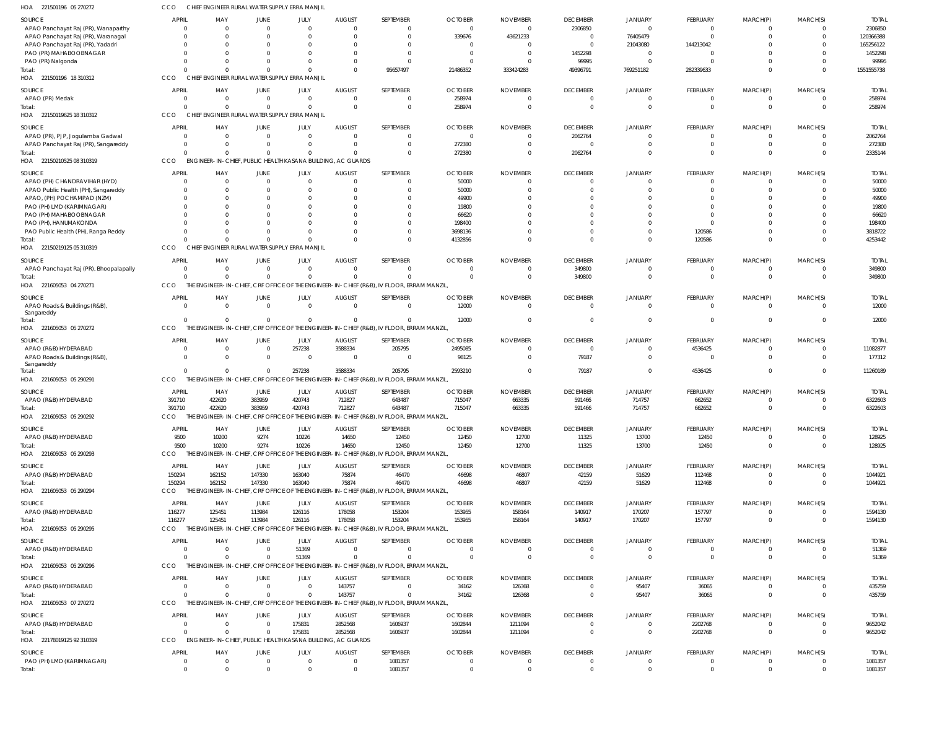| HOA<br>221501196 05 270272                                 | ссо                        | CHIEF ENGINEER RURAL WATER SUPPLY ERRA MANJIL               |                            |                               |                           |                                                                                           |                         |                             |                                   |                                  |                            |                            |                            |                       |
|------------------------------------------------------------|----------------------------|-------------------------------------------------------------|----------------------------|-------------------------------|---------------------------|-------------------------------------------------------------------------------------------|-------------------------|-----------------------------|-----------------------------------|----------------------------------|----------------------------|----------------------------|----------------------------|-----------------------|
| SOURCE                                                     | <b>APRIL</b>               | MAY                                                         | <b>JUNE</b>                | JULY                          | <b>AUGUST</b>             | SEPTEMBER                                                                                 | <b>OCTOBER</b>          | <b>NOVEMBER</b>             | <b>DECEMBER</b>                   | <b>JANUARY</b>                   | FEBRUARY                   | MARCH(P)                   | MARCH(S)                   | <b>TOTAL</b>          |
| APAO Panchayat Raj (PR), Wanaparthy                        | $\Omega$                   | $\Omega$                                                    | $\Omega$                   | $\overline{0}$                | $\Omega$                  |                                                                                           | $\Omega$                | $\Omega$                    | 2306850                           | $\mathbf 0$                      | $\Omega$                   | $\Omega$                   | $\Omega$                   | 2306850               |
| APAO Panchayat Raj (PR), Waranagal                         | $\Omega$                   |                                                             |                            | $\Omega$                      | $\Omega$                  | $\Omega$                                                                                  | 339676                  | 43621233                    | $\overline{0}$                    | 76405479                         | $\Omega$                   | $\Omega$                   | $\Omega$                   | 120366388             |
| APAO Panchayat Raj (PR), Yadadri<br>PAO (PR) MAHABOOBNAGAR | 0<br>0                     |                                                             |                            | $\Omega$<br>$\Omega$          |                           |                                                                                           |                         |                             | 0<br>1452298                      | 21043080<br>$\overline{0}$       | 144213042<br>$\Omega$      | $\Omega$                   |                            | 165256122<br>1452298  |
| PAO (PR) Nalgonda                                          | 0                          |                                                             |                            | $\Omega$                      | $\Omega$                  |                                                                                           |                         |                             | 99995                             | $\Omega$                         | $\cap$                     | $\Omega$                   | $\Omega$                   | 99995                 |
| Total:                                                     | $\Omega$                   |                                                             | $\Omega$                   | $\Omega$                      | $\Omega$                  | 95657497                                                                                  | 21486352                | 333424283                   | 49396791                          | 769251182                        | 282339633                  | $\Omega$                   | $\Omega$                   | 1551555738            |
| HOA 221501196 18 310312                                    | CCO                        | CHIEF ENGINEER RURAL WATER SUPPLY ERRA MANJIL               |                            |                               |                           |                                                                                           |                         |                             |                                   |                                  |                            |                            |                            |                       |
| SOURCE                                                     | APRIL                      | MAY                                                         | <b>JUNE</b>                | JULY                          | <b>AUGUST</b>             | SEPTEMBER                                                                                 | <b>OCTOBER</b>          | <b>NOVEMBER</b>             | <b>DECEMBER</b>                   | <b>JANUARY</b>                   | <b>FEBRUARY</b>            | MARCH(P)                   | MARCH(S)                   | <b>TOTAL</b>          |
| APAO (PR) Medak                                            | 0                          | - 0                                                         | $\overline{0}$             | $\overline{0}$                | $\overline{0}$            | $\Omega$                                                                                  | 258974                  | $\mathbf 0$                 | $\overline{0}$                    | $\circ$                          | $\overline{0}$             | $\overline{0}$             | $\overline{0}$             | 258974                |
| Total:                                                     | $\Omega$                   |                                                             | $\Omega$                   | $\overline{0}$                | $\Omega$                  | $\Omega$                                                                                  | 258974                  | $\Omega$                    | $\Omega$                          | $\Omega$                         | $\Omega$                   | $\Omega$                   | $\Omega$                   | 258974                |
| HOA 22150119625 18 310312                                  | CCO                        | CHIEF ENGINEER RURAL WATER SUPPLY ERRA MANJIL               |                            |                               |                           |                                                                                           |                         |                             |                                   |                                  |                            |                            |                            |                       |
| SOURCE                                                     | APRIL                      | MAY                                                         | JUNE                       | JULY                          | <b>AUGUST</b>             | SEPTEMBER                                                                                 | <b>OCTOBER</b>          | <b>NOVEMBER</b>             | <b>DECEMBER</b>                   | <b>JANUARY</b>                   | <b>FEBRUARY</b>            | MARCH(P)                   | MARCH(S)                   | <b>TOTAL</b>          |
| APAO (PR), PJP, Jogulamba Gadwal                           | $\Omega$                   | $\Omega$                                                    | $\Omega$                   | $\overline{0}$                | $\Omega$                  |                                                                                           | $\Omega$                | $\Omega$                    | 2062764                           | $\Omega$                         | $\Omega$                   | $\Omega$                   | $\Omega$                   | 2062764               |
| APAO Panchayat Raj (PR), Sangareddy<br>Total:              | 0<br>$\Omega$              | - 0<br>$\cap$                                               | $\Omega$<br>$\Omega$       | $\overline{0}$<br>$\Omega$    | $\Omega$                  | 0<br>$\Omega$                                                                             | 272380<br>272380        | $\Omega$                    | $\mathbf 0$<br>2062764            | - 0<br>$\Omega$                  | $\overline{0}$<br>$\Omega$ | $\overline{0}$<br>$\Omega$ | $\overline{0}$<br>$\Omega$ | 272380<br>2335144     |
| HOA 22150210525 08 310319                                  | CCO                        | ENGINEER-IN-CHIEF, PUBLIC HEALTH KASANA BUILDING, AC GUARDS |                            |                               |                           |                                                                                           |                         |                             |                                   |                                  |                            |                            |                            |                       |
|                                                            |                            |                                                             |                            |                               |                           |                                                                                           |                         |                             |                                   |                                  |                            |                            |                            |                       |
| SOURCE<br>APAO (PH) CHANDRAVIHAR (HYD)                     | <b>APRIL</b><br>$\Omega$   | MAY<br>$\Omega$                                             | <b>JUNE</b><br>$\Omega$    | JULY<br>$\overline{0}$        | <b>AUGUST</b><br>$\Omega$ | SEPTEMBER<br>$\Omega$                                                                     | <b>OCTOBER</b><br>50000 | <b>NOVEMBER</b><br>$\Omega$ | <b>DECEMBER</b><br>$\mathbf 0$    | <b>JANUARY</b><br>- 0            | FEBRUARY<br>$\Omega$       | MARCH(P)<br>$\Omega$       | MARCH(S)<br>- 0            | <b>TOTAL</b><br>50000 |
| APAO Public Health (PH), Sangareddy                        | 0                          |                                                             |                            | $\Omega$                      | $\Omega$                  | $\Omega$                                                                                  | 50000                   |                             | $\Omega$                          | $\Omega$                         | $\Omega$                   | $\Omega$                   | $\Omega$                   | 50000                 |
| APAO, (PH) POCHAMPAD (NZM)                                 | $\Omega$                   |                                                             |                            | $\Omega$                      |                           |                                                                                           | 49900                   |                             | -0                                | -0                               | $\Omega$                   | $\Omega$                   |                            | 49900                 |
| PAO (PH) LMD (KARIMNAGAR)                                  | $\Omega$                   |                                                             |                            | $\Omega$                      |                           | $\Omega$                                                                                  | 19800                   |                             | $\Omega$                          | - 0                              | $\Omega$                   | $\Omega$                   | - 0                        | 19800                 |
| PAO (PH) MAHABOOBNAGAR                                     | $\Omega$                   |                                                             |                            | $\Omega$                      |                           |                                                                                           | 66620                   |                             | -0                                |                                  | $\Omega$                   | $\Omega$                   |                            | 66620                 |
| PAO (PH), HANUMAKONDA                                      | $\Omega$                   |                                                             |                            | $\Omega$                      | $\Omega$                  |                                                                                           | 198400                  |                             | $\Omega$                          | - 0                              | $\Omega$                   | $\Omega$                   | -0                         | 198400                |
| PAO Public Health (PH), Ranga Reddy                        | $\Omega$                   |                                                             |                            | $\Omega$                      |                           |                                                                                           | 3698136                 |                             | $\Omega$                          | $\Omega$                         | 120586                     | $\Omega$                   |                            | 3818722               |
| Total:<br>HOA 22150219125 05 310319                        | $\cap$<br>CCO              | CHIEF ENGINEER RURAL WATER SUPPLY ERRA MANJIL               |                            | $\Omega$                      |                           | $\Omega$                                                                                  | 4132856                 |                             | $\Omega$                          | $\Omega$                         | 120586                     | $\Omega$                   | $\Omega$                   | 4253442               |
|                                                            |                            |                                                             |                            |                               |                           |                                                                                           |                         |                             |                                   |                                  |                            |                            |                            |                       |
| SOURCE                                                     | <b>APRIL</b>               | MAY                                                         | JUNE                       | JULY                          | <b>AUGUST</b>             | SEPTEMBER                                                                                 | <b>OCTOBER</b>          | <b>NOVEMBER</b>             | <b>DECEMBER</b>                   | <b>JANUARY</b>                   | FEBRUARY                   | MARCH(P)                   | MARCH(S)                   | <b>TOTAL</b>          |
| APAO Panchayat Raj (PR), Bhoopalapally                     | $\overline{0}$<br>$\Omega$ | $\Omega$<br>$\cap$                                          | $\Omega$<br>$\Omega$       | $\overline{0}$<br>$\mathbf 0$ | $\Omega$<br>$\Omega$      | $\Omega$                                                                                  | $\Omega$                | $\Omega$<br>$\Omega$        | 349800<br>349800                  | $\Omega$<br>$\Omega$             | $\Omega$<br>$\overline{0}$ | $\Omega$<br>$\Omega$       | $\Omega$<br>$\mathbf 0$    | 349800<br>349800      |
| Total:<br>HOA 221605053 04 270271                          | CCO                        |                                                             |                            |                               |                           | THE ENGINEER-IN-CHIEF, CRF OFFICE OF THE ENGINEER-IN-CHIEF (R&B), IV FLOOR, ERRAM MANZIL, |                         |                             |                                   |                                  |                            |                            |                            |                       |
|                                                            | APRIL                      | MAY                                                         | <b>JUNE</b>                |                               |                           | SEPTEMBER                                                                                 | <b>OCTOBER</b>          | <b>NOVEMBER</b>             |                                   |                                  | <b>FEBRUARY</b>            |                            |                            |                       |
| SOURCE<br>APAO Roads & Buildings (R&B),                    | $\Omega$                   | $\Omega$                                                    | $\overline{0}$             | JULY<br>$\overline{0}$        | <b>AUGUST</b><br>$\Omega$ | $\Omega$                                                                                  | 12000                   | $\Omega$                    | <b>DECEMBER</b><br>$\overline{0}$ | <b>JANUARY</b><br>$\overline{0}$ | $\Omega$                   | MARCH(P)<br>$\overline{0}$ | MARCH(S)<br>$\mathbf{0}$   | <b>TOTAL</b><br>12000 |
| Sangareddy                                                 |                            |                                                             |                            |                               |                           |                                                                                           |                         |                             |                                   |                                  |                            |                            |                            |                       |
| Total:                                                     | $\Omega$                   | $\Omega$                                                    | $\overline{0}$             | $\mathbf 0$                   | $\Omega$                  | $\Omega$                                                                                  | 12000                   | $\Omega$                    | $\mathbf 0$                       | $\overline{0}$                   | $\Omega$                   | $\Omega$                   | $\mathbf 0$                | 12000                 |
| HOA 221605053 05 270272                                    | <b>CCO</b>                 |                                                             |                            |                               |                           | THE ENGINEER-IN-CHIEF, CRF OFFICE OF THE ENGINEER-IN-CHIEF (R&B), IV FLOOR, ERRAM MANZIL  |                         |                             |                                   |                                  |                            |                            |                            |                       |
| SOURCE                                                     | <b>APRIL</b>               | MAY                                                         | JUNE                       | JULY                          | <b>AUGUST</b>             | SEPTEMBER                                                                                 | <b>OCTOBER</b>          | <b>NOVEMBER</b>             | <b>DECEMBER</b>                   | <b>JANUARY</b>                   | FEBRUARY                   | MARCH(P)                   | MARCH(S)                   | <b>TOTAL</b>          |
| APAO (R&B) HYDERABAD                                       | $\Omega$                   | - 0                                                         | $\overline{0}$             | 257238                        | 3588334                   | 205795                                                                                    | 2495085                 |                             | $\overline{0}$                    | $\overline{0}$                   | 4536425                    | $\overline{0}$             | $\mathbf{0}$               | 11082877              |
| APAO Roads & Buildings (R&B),<br>Sangareddy                | $\Omega$                   | $\Omega$                                                    | $\overline{0}$             | $\overline{0}$                | $\Omega$                  | $\Omega$                                                                                  | 98125                   | $\Omega$                    | 79187                             | $\mathbf 0$                      | $\Omega$                   | $\Omega$                   | $\Omega$                   | 177312                |
| Total:                                                     | $\Omega$                   |                                                             | $\Omega$                   | 257238                        | 3588334                   | 205795                                                                                    | 2593210                 | $\Omega$                    | 79187                             | $\overline{0}$                   | 4536425                    | $\Omega$                   | $\Omega$                   | 11260189              |
| HOA 221605053 05 290291                                    | CCO                        |                                                             |                            |                               |                           | THE ENGINEER-IN-CHIEF, CRF OFFICE OF THE ENGINEER-IN-CHIEF (R&B), IV FLOOR, ERRAM MANZIL  |                         |                             |                                   |                                  |                            |                            |                            |                       |
| SOURCE                                                     | <b>APRIL</b>               | MAY                                                         | <b>JUNE</b>                | JULY                          | <b>AUGUST</b>             | SEPTEMBER                                                                                 | <b>OCTOBER</b>          | <b>NOVEMBER</b>             | <b>DECEMBER</b>                   | <b>JANUARY</b>                   | FEBRUARY                   | MARCH(P)                   | MARCH(S)                   | <b>TOTAL</b>          |
| APAO (R&B) HYDERABAD                                       | 391710                     | 422620                                                      | 383959                     | 420743                        | 712827                    | 643487                                                                                    | 715047                  | 663335                      | 591466                            | 714757                           | 662652                     | $\Omega$                   | -0                         | 6322603               |
| Total:                                                     | 391710                     | 422620                                                      | 383959                     | 420743                        | 712827                    | 643487                                                                                    | 715047                  | 663335                      | 591466                            | 714757                           | 662652                     | $\Omega$                   | $\Omega$                   | 6322603               |
| HOA 221605053 05 290292                                    | CCO                        |                                                             |                            |                               |                           | THE ENGINEER-IN-CHIEF, CRF OFFICE OF THE ENGINEER-IN-CHIEF (R&B), IV FLOOR, ERRAM MANZIL  |                         |                             |                                   |                                  |                            |                            |                            |                       |
| SOURCE                                                     | <b>APRIL</b>               | MAY                                                         | <b>JUNE</b>                | JULY                          | <b>AUGUST</b>             | SEPTEMBER                                                                                 | <b>OCTOBER</b>          | <b>NOVEMBER</b>             | <b>DECEMBER</b>                   | <b>JANUARY</b>                   | FEBRUARY                   | MARCH(P)                   | MARCH(S)                   | <b>TOTAL</b>          |
| APAO (R&B) HYDERABAD                                       | 9500                       | 10200                                                       | 9274                       | 10226                         | 14650                     | 12450                                                                                     | 12450                   | 12700                       | 11325                             | 13700                            | 12450                      | $\overline{0}$             | $\overline{0}$             | 128925                |
| Total:                                                     | 9500                       | 10200                                                       | 9274                       | 10226                         | 14650                     | 12450                                                                                     | 12450                   | 12700                       | 11325                             | 13700                            | 12450                      | $\Omega$                   | $\mathbf 0$                | 128925                |
| HOA 221605053 05 290293                                    | CCO                        |                                                             |                            |                               |                           | THE ENGINEER-IN-CHIEF, CRF OFFICE OF THE ENGINEER-IN-CHIEF (R&B), IV FLOOR, ERRAM MANZIL  |                         |                             |                                   |                                  |                            |                            |                            |                       |
| SOURCE                                                     | <b>APRIL</b>               | MAY                                                         | <b>JUNE</b>                | JULY                          | <b>AUGUST</b>             | SEPTEMBER                                                                                 | <b>OCTOBER</b>          | <b>NOVEMBER</b>             | <b>DECEMBER</b>                   | JANUARY                          | FEBRUARY                   | MARCH(P)                   | MARCH(S)                   | <b>TOTAL</b>          |
| APAO (R&B) HYDERABAD                                       | 150294                     | 162152                                                      | 147330                     | 163040                        | 75874                     | 46470                                                                                     | 46698                   | 46807                       | 42159                             | 51629                            | 112468                     | $\overline{0}$             | $\overline{0}$             | 1044921               |
| Total:                                                     | 150294                     | 162152                                                      | 147330                     | 163040                        | 75874                     | 46470                                                                                     | 46698                   | 46807                       | 42159                             | 51629                            | 112468                     | $\overline{0}$             | $\overline{0}$             | 1044921               |
| HOA 221605053 05 290294                                    | CCO                        |                                                             |                            |                               |                           | THE ENGINEER-IN-CHIEF, CRF OFFICE OF THE ENGINEER-IN-CHIEF (R&B), IV FLOOR, ERRAM MANZIL  |                         |                             |                                   |                                  |                            |                            |                            |                       |
| SOURCE                                                     | <b>APRIL</b>               | MAY                                                         | JUNE                       | JULY                          | <b>AUGUST</b>             | SEPTEMBER                                                                                 | <b>OCTOBER</b>          | <b>NOVEMBER</b>             | <b>DECEMBER</b>                   | <b>JANUARY</b>                   | FEBRUARY                   | MARCH(P)                   | MARCH(S)                   | <b>TOTAL</b>          |
| APAO (R&B) HYDERABAD                                       | 116277                     | 125451                                                      | 113984                     | 126116                        | 178058                    | 153204                                                                                    | 153955                  | 158164                      | 140917                            | 170207                           | 157797                     | $\Omega$                   | $\overline{0}$             | 1594130               |
| Total:                                                     | 116277                     | 125451                                                      | 113984                     | 126116                        | 178058                    | 153204                                                                                    | 153955                  | 158164                      | 140917                            | 170207                           | 157797                     | $\overline{0}$             | $\overline{0}$             | 1594130               |
| HOA 221605053 05 290295                                    | CCO                        |                                                             |                            |                               |                           | THE ENGINEER-IN-CHIEF, CRF OFFICE OF THE ENGINEER-IN-CHIEF (R&B), IV FLOOR, ERRAM MANZIL  |                         |                             |                                   |                                  |                            |                            |                            |                       |
| SOURCE                                                     | <b>APRIL</b>               | MAY                                                         | <b>JUNE</b>                | JULY                          | <b>AUGUST</b>             | SEPTEMBER                                                                                 | <b>OCTOBER</b>          | <b>NOVEMBER</b>             | <b>DECEMBER</b>                   | <b>JANUARY</b>                   | <b>FEBRUARY</b>            | MARCH(P)                   | MARCH(S)                   | <b>TOTAL</b>          |
| APAO (R&B) HYDERABAD                                       | $\overline{0}$             | $\Omega$                                                    | $\overline{0}$             | 51369                         | $\overline{0}$            | $\Omega$                                                                                  | $\Omega$                | $^{\circ}$                  | $\overline{0}$                    | $\overline{0}$                   | $\overline{0}$             | $\overline{0}$             | $\overline{0}$             | 51369                 |
| Total:                                                     | $\Omega$                   | $\Omega$                                                    | $\Omega$                   | 51369                         | $\Omega$                  | $\Omega$                                                                                  | $\Omega$                | $\mathbf 0$                 | $\overline{0}$                    | $\overline{0}$                   | $\overline{0}$             | $\overline{0}$             | $\overline{0}$             | 51369                 |
| HOA 221605053 05 290296                                    | CCO                        |                                                             |                            |                               |                           | THE ENGINEER-IN-CHIEF, CRF OFFICE OF THE ENGINEER-IN-CHIEF (R&B), IV FLOOR, ERRAM MANZIL, |                         |                             |                                   |                                  |                            |                            |                            |                       |
| SOURCE                                                     | APRIL                      | MAY                                                         | <b>JUNE</b>                | JULY                          | <b>AUGUST</b>             | SEPTEMBER                                                                                 | <b>OCTOBER</b>          | <b>NOVEMBER</b>             | <b>DECEMBER</b>                   | <b>JANUARY</b>                   | FEBRUARY                   | MARCH(P)                   | MARCH(S)                   | <b>TOTAL</b>          |
| APAO (R&B) HYDERABAD                                       | $\overline{0}$             | $\Omega$                                                    | $\overline{0}$             | $\mathbf 0$                   | 143757                    | $\Omega$                                                                                  | 34162                   | 126368                      | $\overline{0}$                    | 95407                            | 36065                      | $\overline{0}$             | $\overline{0}$             | 435759                |
| Total:                                                     | $\Omega$                   | $\Omega$                                                    | $\Omega$                   | $\mathbf 0$                   | 143757                    | $\Omega$                                                                                  | 34162                   | 126368                      | $\overline{0}$                    | 95407                            | 36065                      | $\Omega$                   | $\mathbf 0$                | 435759                |
| HOA 221605053 07 270272                                    | CCO                        |                                                             |                            |                               |                           | THE ENGINEER-IN-CHIEF, CRF OFFICE OF THE ENGINEER-IN-CHIEF (R&B), IV FLOOR, ERRAM MANZIL  |                         |                             |                                   |                                  |                            |                            |                            |                       |
| SOURCE                                                     | <b>APRIL</b>               | MAY                                                         | JUNE                       | JULY                          | <b>AUGUST</b>             | SEPTEMBER                                                                                 | <b>OCTOBER</b>          | <b>NOVEMBER</b>             | <b>DECEMBER</b>                   | JANUARY                          | <b>FEBRUARY</b>            | MARCH(P)                   | MARCH(S)                   | <b>TOTAL</b>          |
| APAO (R&B) HYDERABAD                                       | $\overline{0}$             | - 0                                                         | $\overline{0}$             | 175831                        | 2852568                   | 1606937                                                                                   | 1602844                 | 1211094                     | $\overline{0}$                    | $\overline{0}$                   | 2202768                    | $\overline{0}$             | $\overline{0}$             | 9652042               |
| Total:                                                     | $\Omega$                   | $\cap$                                                      | $\Omega$                   | 175831                        | 2852568                   | 1606937                                                                                   | 1602844                 | 1211094                     | $\overline{0}$                    | $\overline{0}$                   | 2202768                    | $\overline{0}$             | $\overline{0}$             | 9652042               |
| HOA 22178019125 92 310319                                  | CCO                        | ENGINEER-IN-CHIEF, PUBLIC HEALTH KASANA BUILDING, AC GUARDS |                            |                               |                           |                                                                                           |                         |                             |                                   |                                  |                            |                            |                            |                       |
| SOURCE                                                     | <b>APRIL</b>               | MAY                                                         | <b>JUNE</b>                | JULY                          | <b>AUGUST</b>             | SEPTEMBER                                                                                 | <b>OCTOBER</b>          | <b>NOVEMBER</b>             | <b>DECEMBER</b>                   | <b>JANUARY</b>                   | FEBRUARY                   | MARCH(P)                   | MARCH(S)                   | <b>TOTAL</b>          |
| PAO (PH) LMD (KARIMNAGAR)                                  | $\mathbf 0$<br>$\Omega$    | $\Omega$<br>$\Omega$                                        | $\overline{0}$<br>$\Omega$ | $\mathbf 0$<br>$\Omega$       | $\mathbf{0}$<br>$\Omega$  | 1081357                                                                                   | $\mathbf 0$<br>$\Omega$ | $\Omega$                    | $\overline{0}$<br>$\Omega$        | $\overline{0}$<br>$\Omega$       | $\overline{0}$<br>$\Omega$ | $\mathbf{0}$<br>$\Omega$   | $\mathbf 0$                | 1081357               |
| Total:                                                     |                            |                                                             |                            |                               |                           | 1081357                                                                                   |                         |                             |                                   |                                  |                            |                            | $\Omega$                   | 1081357               |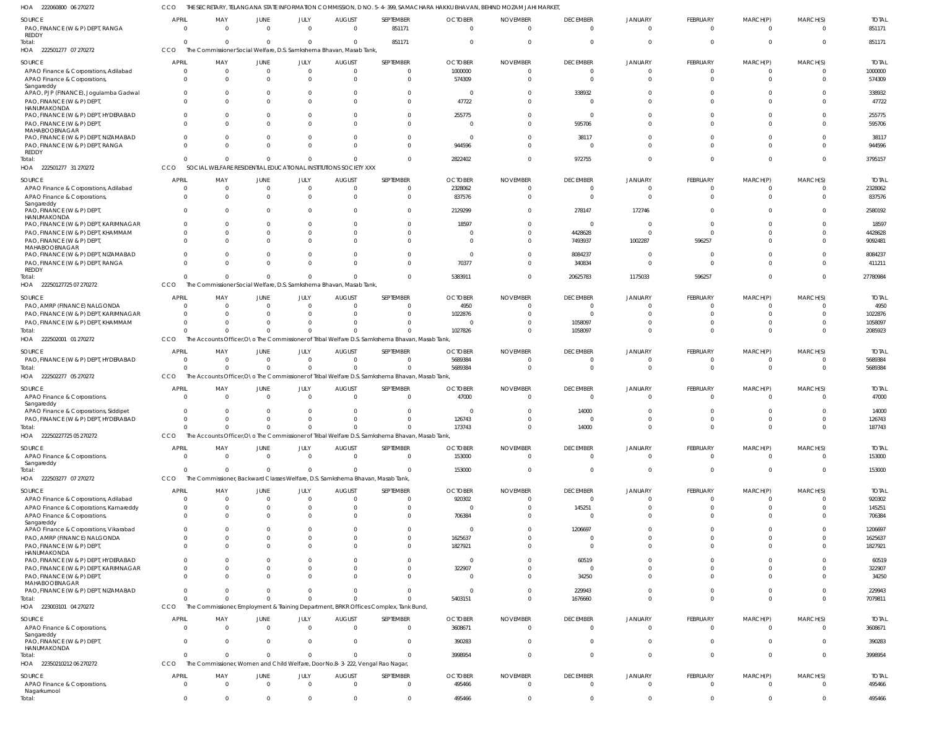222060800 06 270272 HOA CCO THE SECRETARY, TELANGANA STATE INFORMATION COMMISSION, D NO. 5-4-399, SAMACHARA HAKKU BHAVAN, BEHIND MOZAM JAHI MARKET,

| <b>SOURCE</b><br>PAO, FINANCE (W & P) DEPT, RANGA<br>REDDY                                | <b>APRIL</b><br>$\overline{\mathbf{0}}$ | MAY<br>$\overline{0}$             | JUNE<br>$\Omega$             | JULY<br>$\overline{0}$             | <b>AUGUST</b><br>$\Omega$                                           | SEPTEMBER<br>851171                                                                              | <b>OCTOBER</b><br>$\Omega$          | <b>NOVEMBER</b><br>$\Omega$ | <b>DECEMBER</b><br>$\overline{0}$       | JANUARY<br>$\overline{0}$ | FEBRUARY<br>$\mathbf{0}$          | MARCH(P)<br>$\mathbf{0}$    | MARCH(S)<br>$\overline{0}$             | <b>TOTAL</b><br>851171            |
|-------------------------------------------------------------------------------------------|-----------------------------------------|-----------------------------------|------------------------------|------------------------------------|---------------------------------------------------------------------|--------------------------------------------------------------------------------------------------|-------------------------------------|-----------------------------|-----------------------------------------|---------------------------|-----------------------------------|-----------------------------|----------------------------------------|-----------------------------------|
| Total:<br>HOA 222501277 07 270272                                                         | $\Omega$<br>CCO                         | $\Omega$                          | $\Omega$                     | $\Omega$                           | The Commissioner Social Welfare, D.S. Samkshema Bhavan, Masab Tank, | 851171                                                                                           |                                     |                             | $\Omega$                                | $\Omega$                  | $\overline{0}$                    | $\overline{0}$              | $\Omega$                               | 851171                            |
| <b>SOURCE</b><br>APAO Finance & Corporations, Adilabad<br>APAO Finance & Corporations,    | <b>APRIL</b><br>$\Omega$<br>$\Omega$    | MAY<br>$\overline{0}$<br>$\Omega$ | JUNE<br>$\Omega$<br>$\Omega$ | JULY<br>$\overline{0}$<br>$\Omega$ | <b>AUGUST</b><br>$\Omega$<br>$\Omega$                               | SEPTEMBER<br>$\overline{0}$<br>$\Omega$                                                          | <b>OCTOBER</b><br>1000000<br>574309 | <b>NOVEMBER</b><br>$\Omega$ | <b>DECEMBER</b><br>$\Omega$<br>$\Omega$ | <b>JANUARY</b>            | <b>FEBRUARY</b><br>0<br>$\Omega$  | MARCH(P)<br>0<br>$\Omega$   | MARCH(S)<br>$\overline{0}$<br>$\Omega$ | <b>TOTAL</b><br>1000000<br>574309 |
| Sangareddy<br>APAO, PJP (FINANCE), Jogulamba Gadwal<br>PAO, FINANCE (W & P) DEPT,         | $\overline{0}$<br>$\Omega$              | $\Omega$<br>$\Omega$              |                              | $\Omega$                           | - 0                                                                 | $\overline{0}$<br>$\Omega$                                                                       | - 0<br>47722                        |                             | 338932                                  |                           | $\Omega$<br>$\Omega$              | $\Omega$<br>$\Omega$        | $\Omega$<br>$\Omega$                   | 338932<br>47722                   |
| HANUMAKONDA<br>PAO, FINANCE (W & P) DEPT, HYDERABAD<br>PAO, FINANCE (W & P) DEPT          | $\Omega$<br>$\Omega$                    | $\Omega$<br>$\Omega$              |                              |                                    |                                                                     | $\Omega$<br>$\Omega$                                                                             | 255775<br>$\Omega$                  |                             | $\Omega$<br>595706                      |                           | $\Omega$<br>$\Omega$              | $\Omega$<br>$\Omega$        | $\Omega$<br>$\Omega$                   | 255775<br>595706                  |
| MAHABOOBNAGAR<br>PAO, FINANCE (W & P) DEPT, NIZAMABAD<br>PAO, FINANCE (W & P) DEPT, RANGA | $\Omega$<br>$\Omega$                    | $\Omega$<br>$\Omega$              |                              |                                    |                                                                     | $\Omega$<br>$\Omega$                                                                             | $\Omega$<br>944596                  |                             | 38117<br>$\Omega$                       |                           | $\Omega$<br>$\Omega$              | $\Omega$<br>$\Omega$        | $\Omega$<br>$\Omega$                   | 38117<br>944596                   |
| REDDY<br>Total:                                                                           | $\Omega$<br>CCO                         | $\Omega$                          | $\Omega$                     |                                    | SOCIAL WELFARE RESIDENTIAL EDUCATIONAL INSTITUTIONS SOCIETY XXX     | $\Omega$                                                                                         | 2822402                             |                             | 972755                                  |                           | $\Omega$                          | $\Omega$                    | $\Omega$                               | 3795157                           |
| HOA 222501277 31 270272<br>SOURCE                                                         | <b>APRIL</b>                            | MAY                               | JUNE                         | JULY                               | <b>AUGUST</b>                                                       | SEPTEMBER                                                                                        | <b>OCTOBER</b>                      | <b>NOVEMBER</b>             | <b>DECEMBER</b>                         | JANUARY                   | FEBRUARY                          | MARCH(P)                    | MARCH(S)                               | <b>TOTAL</b>                      |
| APAO Finance & Corporations, Adilabad                                                     | 0                                       | $\overline{0}$                    | $\Omega$                     | $\Omega$                           | $\Omega$                                                            | $\Omega$                                                                                         | 2328062                             |                             | $\Omega$                                | $\Omega$                  | $\mathbf 0$                       | 0                           | $\overline{0}$                         | 2328062                           |
| APAO Finance & Corporations,<br>Sangareddy<br>PAO, FINANCE (W & P) DEPT                   | $\Omega$<br>$\Omega$                    | $\Omega$<br>$\Omega$              |                              | $\Omega$                           | $\Omega$                                                            | $\overline{0}$<br>$\Omega$                                                                       | 837576<br>2129299                   |                             | $\Omega$<br>278147                      | $\Omega$<br>172746        | $\mathbf{0}$<br>$\Omega$          | $\mathbf 0$<br>$\Omega$     | $\Omega$<br>$\Omega$                   | 837576<br>2580192                 |
| HANUMAKONDA<br>PAO, FINANCE (W & P) DEPT, KARIMNAGAR                                      | $\Omega$                                | $\Omega$                          |                              |                                    |                                                                     | $\Omega$                                                                                         | 18597                               |                             | $\Omega$                                |                           | $\overline{0}$                    | $\Omega$                    | $\Omega$                               | 18597                             |
| PAO, FINANCE (W & P) DEPT, KHAMMAM                                                        | $\Omega$<br>$\Omega$                    | $\Omega$                          |                              |                                    |                                                                     | $\Omega$                                                                                         |                                     |                             | 4428628                                 | $\Omega$                  | $\Omega$                          | $\Omega$                    | $\Omega$                               | 4428628                           |
| PAO, FINANCE (W & P) DEPT,<br>MAHABOOBNAGAR<br>PAO, FINANCE (W & P) DEPT, NIZAMABAD       | $\Omega$                                | $\Omega$<br>$\Omega$              |                              |                                    |                                                                     | $\Omega$<br>$\Omega$                                                                             | - 0                                 |                             | 7493937<br>8084237                      | 1002287<br>$\Omega$       | 596257<br>$\overline{0}$          | $\Omega$<br>$\Omega$        | $\Omega$                               | 9092481<br>8084237                |
| PAO, FINANCE (W & P) DEPT, RANGA<br>REDDY                                                 | $\Omega$                                | $\Omega$                          |                              | $\Omega$                           |                                                                     | $\Omega$                                                                                         | 70377                               |                             | 340834                                  | $\Omega$                  | $\mathbf 0$                       | $\Omega$                    | $\Omega$                               | 411211                            |
| Total:<br>HOA 22250127725 07 270272                                                       | $\Omega$<br>CCO                         | $\Omega$                          | $\Omega$                     | $\Omega$                           | The Commissioner Social Welfare, D.S. Samkshema Bhavan, Masab Tank, | $\Omega$                                                                                         | 5383911                             |                             | 20625783                                | 1175033                   | 596257                            | $\mathbf 0$                 | $\overline{0}$                         | 27780984                          |
| <b>SOURCE</b>                                                                             | <b>APRIL</b>                            | MAY                               | JUNE                         | JULY                               | <b>AUGUST</b>                                                       | SEPTEMBER                                                                                        | <b>OCTOBER</b>                      | <b>NOVEMBER</b>             | <b>DECEMBER</b>                         | JANUARY                   | FEBRUARY                          | MARCH(P)                    | MARCH(S)                               | <b>TOTAL</b>                      |
| PAO, AMRP (FINANCE) NALGONDA                                                              | - 0                                     | $\Omega$                          | $\Omega$                     | $\Omega$                           | $\cap$                                                              | $\mathbf{0}$                                                                                     | 4950                                |                             | $\Omega$                                |                           | $\Omega$                          | $\Omega$                    | - 0                                    | 4950                              |
| PAO, FINANCE (W & P) DEPT, KARIMNAGAR                                                     | $\Omega$                                | $\Omega$                          |                              |                                    | - 0                                                                 | $\Omega$                                                                                         | 1022876                             |                             |                                         |                           | $\Omega$                          | $\Omega$                    | $\Omega$                               | 1022876                           |
| PAO, FINANCE (W & P) DEPT, KHAMMAM<br>Total:                                              | $\overline{0}$<br>$\cap$                | $\Omega$<br>$\Omega$              | $\Omega$<br>$\Omega$         | $\Omega$                           |                                                                     | $\Omega$<br>$\Omega$                                                                             | 1027826                             |                             | 1058097<br>1058097                      |                           | $\mathbf 0$<br>$\Omega$           | $\Omega$<br>$\Omega$        | $\Omega$<br>$\Omega$                   | 1058097<br>2085923                |
| HOA 222502001 01 270272                                                                   | CCO                                     |                                   |                              |                                    |                                                                     | The Accounts Officer, ONo The Commissioner of Tribal Welfare D.S. Samkshema Bhavan, Masab Tank,  |                                     |                             |                                         |                           |                                   |                             |                                        |                                   |
| <b>SOURCE</b>                                                                             | <b>APRIL</b>                            | MAY                               | JUNE                         | JULY                               | <b>AUGUST</b>                                                       | SEPTEMBER                                                                                        | <b>OCTOBER</b>                      | <b>NOVEMBER</b>             | <b>DECEMBER</b>                         | JANUARY                   | FEBRUARY                          | MARCH(P)                    | MARCH(S)                               | <b>TOTAL</b>                      |
| PAO, FINANCE (W & P) DEPT, HYDERABAD                                                      | $\overline{\mathbf{0}}$                 | $\overline{0}$                    | $\Omega$                     | $\mathbf 0$                        | $\Omega$                                                            | $\overline{0}$                                                                                   | 5689384                             |                             | $\Omega$                                | $\Omega$                  | $\overline{0}$                    | $\overline{0}$              | $\overline{\mathbf{0}}$                | 5689384                           |
| Total:                                                                                    | $\Omega$<br>CCO                         | $\Omega$                          | $\Omega$                     | $\Omega$                           |                                                                     | $\Omega$                                                                                         | 5689384                             |                             | $\Omega$                                | $\Omega$                  | $\mathbf 0$                       | $\mathbf 0$                 | $\Omega$                               | 5689384                           |
| HOA 222502277 05 270272                                                                   |                                         |                                   |                              |                                    |                                                                     | The Accounts Officer, O \o The Commissioner of Tribal Welfare D.S. Samkshema Bhavan, Masab Tank, |                                     |                             |                                         |                           |                                   |                             |                                        |                                   |
| SOURCE<br>APAO Finance & Corporations,<br>Sangareddy                                      | APRIL<br>$\Omega$                       | MAY<br>$\Omega$                   | JUNE<br>$\Omega$             | JULY<br>$\Omega$                   | <b>AUGUST</b><br>$\cap$                                             | SEPTEMBER<br>$\overline{0}$                                                                      | <b>OCTOBER</b><br>47000             | <b>NOVEMBER</b>             | <b>DECEMBER</b><br>$\Omega$             | JANUARY<br>$\Omega$       | FEBRUARY<br>$\Omega$              | MARCH(P)<br>$\Omega$        | MARCH(S)<br>$\Omega$                   | <b>TOTAL</b><br>47000             |
| APAO Finance & Corporations, Siddipet<br>PAO, FINANCE (W & P) DEPT, HYDERABAD             | $\Omega$<br>$\Omega$                    | $\Omega$<br>$\Omega$              | $\Omega$                     |                                    | $\Omega$<br>$\cap$                                                  | $\Omega$<br>$\Omega$                                                                             | 126743                              |                             | 14000<br>$\Omega$                       |                           | $\Omega$<br>$\Omega$              | $\Omega$                    | $\Omega$<br>$\overline{0}$             | 14000<br>126743                   |
| lotal:                                                                                    |                                         |                                   |                              |                                    |                                                                     |                                                                                                  | 173743                              |                             | 14000                                   |                           |                                   |                             |                                        | 187743                            |
| HOA 22250227725 05 270272                                                                 | CCO                                     |                                   |                              |                                    |                                                                     | The Accounts Officer, O \o The Commissioner of Tribal Welfare D.S. Samkshema Bhavan, Masab Tank, |                                     |                             |                                         |                           |                                   |                             |                                        |                                   |
| SOURCE<br>APAO Finance & Corporations,                                                    | APRIL<br>$\overline{0}$                 | MAY<br>$\overline{0}$             | JUNE<br>$\Omega$             | JULY<br>$\overline{0}$             | <b>AUGUST</b><br>$\overline{0}$                                     | SEPTEMBER<br>$\overline{0}$                                                                      | <b>OCTOBER</b><br>153000            | <b>NOVEMBER</b><br>$\Omega$ | <b>DECEMBER</b><br>$\mathbf 0$          | JANUARY<br>$\overline{0}$ | <b>FEBRUARY</b><br>$\mathbf{0}$   | MARCH(P)<br>$\mathbf{0}$    | MARCH(S)<br>$\overline{0}$             | <b>TOTAL</b><br>153000            |
| Sangareddy<br>Total:                                                                      | $\overline{0}$                          | $\overline{0}$                    | $\Omega$                     | $\mathbf 0$                        | - 0                                                                 | $\overline{0}$                                                                                   | 153000                              |                             | $\overline{0}$                          | $\Omega$                  | $\mathbf 0$                       | $\mathbf 0$                 | $\overline{0}$                         | 153000                            |
| HOA 222503277 07 270272                                                                   | CCO                                     |                                   |                              |                                    |                                                                     | The Commissioner, Backward Classes Welfare, D.S. Samkshema Bhavan, Masab Tank,                   |                                     |                             |                                         |                           |                                   |                             |                                        |                                   |
| SOURCE<br>APAO Finance & Corporations, Adilabad                                           | <b>APRIL</b><br>$\overline{0}$          | MAY<br>$\overline{0}$             | JUNE<br>$\Omega$             | JULY<br>$\overline{0}$             | <b>AUGUST</b><br>$\Omega$                                           | SEPTEMBER<br>$\overline{0}$                                                                      | <b>OCTOBER</b><br>920302            | <b>NOVEMBER</b>             | <b>DECEMBER</b><br>$\overline{0}$       | JANUARY                   | <b>FEBRUARY</b><br>$\overline{0}$ | MARCH(P)<br>0               | MARCH(S)<br>$\overline{0}$             | <b>TOTAL</b><br>920302            |
| APAO Finance & Corporations, Kamareddy                                                    | $\overline{0}$                          | $\overline{0}$                    |                              | $\Omega$                           | - 0                                                                 | $\overline{0}$                                                                                   |                                     |                             | 145251                                  | $\Omega$                  | $\overline{0}$                    | $\Omega$                    | $\overline{0}$                         | 145251                            |
| APAO Finance & Corporations,<br>Sangareddy                                                | $\mathbf 0$                             | $\Omega$                          |                              |                                    |                                                                     | $\overline{0}$                                                                                   | 706384                              |                             | $\Omega$                                |                           | $\mathbf 0$                       | $\Omega$                    | $\Omega$                               | 706384                            |
| APAO Finance & Corporations, Vikarabad<br>PAO, AMRP (FINANCE) NALGONDA                    | $\Omega$<br>$\mathbf 0$                 | $\Omega$<br>$^{\circ}$            |                              |                                    |                                                                     | $\overline{0}$<br>$\overline{0}$                                                                 | - 0<br>1625637                      |                             | 1206697                                 |                           | $\Omega$<br>$\Omega$              | $\Omega$<br>$\Omega$        | $\Omega$<br>$\overline{0}$             | 1206697<br>1625637                |
| PAO, FINANCE (W & P) DEPT                                                                 | $\Omega$                                | $\Omega$                          |                              |                                    |                                                                     | $\overline{0}$                                                                                   | 1827921                             |                             | $\Omega$                                | $\Omega$                  | $\Omega$                          | $\Omega$                    | $\Omega$                               | 1827921                           |
| HANUMAKONDA<br>PAO, FINANCE (W & P) DEPT, HYDERABAD                                       | $\Omega$                                | $\Omega$                          |                              |                                    |                                                                     | $\overline{0}$                                                                                   | - 0                                 |                             | 60519                                   |                           | $\Omega$                          | $\Omega$                    | $\overline{0}$                         | 60519                             |
| PAO, FINANCE (W & P) DEPT, KARIMNAGAR                                                     | $\Omega$                                | $\Omega$                          |                              | $\Omega$                           |                                                                     | $\overline{0}$                                                                                   | 322907                              |                             | $\Omega$                                |                           | $\Omega$                          | $\Omega$                    | $\overline{0}$                         | 322907                            |
| PAO, FINANCE (W & P) DEPT<br>MAHABOOBNAGAR                                                | $\Omega$                                | $\Omega$                          |                              |                                    |                                                                     | $\overline{0}$                                                                                   | - 0                                 |                             | 34250                                   |                           | $\Omega$                          | $\Omega$                    | $\Omega$                               | 34250                             |
| PAO, FINANCE (W & P) DEPT, NIZAMABAD<br>Total:                                            | $\overline{0}$<br>$\Omega$              | $\Omega$<br>$\Omega$              | $\Omega$<br>$\Omega$         | $\Omega$                           |                                                                     | $\overline{0}$<br>$\Omega$                                                                       | - 0<br>5403151                      |                             | 229943<br>1676660                       | $\Omega$<br>$\Omega$      | $\mathbf{0}$<br>$\mathbf 0$       | $\mathbf{0}$<br>$\mathbf 0$ | $\mathbf{0}$<br>$\mathbf{0}$           | 229943<br>7079811                 |
| HOA 223003101 04 270272                                                                   | CCO                                     |                                   |                              |                                    |                                                                     | The Commissioner, Employment & Training Department, BRKR Offices Complex, Tank Bund,             |                                     |                             |                                         |                           |                                   |                             |                                        |                                   |
| SOURCE                                                                                    | <b>APRIL</b>                            | MAY                               | JUNE                         | JULY                               | <b>AUGUST</b>                                                       | SEPTEMBER                                                                                        | <b>OCTOBER</b>                      | <b>NOVEMBER</b>             | <b>DECEMBER</b>                         | JANUARY                   | <b>FEBRUARY</b>                   | MARCH(P)                    | MARCH(S)                               | <b>TOTAL</b>                      |
| APAO Finance & Corporations,<br>Sangareddy                                                | $\overline{0}$                          | $\overline{0}$                    | $\Omega$                     | $\overline{0}$                     | $\Omega$                                                            | $\overline{0}$                                                                                   | 3608671                             | - 0                         | $\overline{0}$                          | $\mathbf{0}$              | $\mathbf{0}$                      | $\mathbf{0}$                | $\overline{0}$                         | 3608671                           |
| PAO, FINANCE (W & P) DEPT<br>HANUMAKONDA                                                  | $\overline{0}$                          | $\overline{0}$                    | $\Omega$<br>$\Omega$         | $\mathbf 0$                        | $\overline{0}$<br>$\Omega$                                          | $\overline{0}$                                                                                   | 390283                              |                             | $\Omega$                                | $\Omega$                  | $\mathbf 0$                       | $\mathbf{0}$                | $\overline{0}$                         | 390283                            |
| Total:<br>HOA 22350210212 06 270272                                                       | $\overline{0}$<br>CCO                   | $\Omega$                          |                              | $\mathbf 0$                        |                                                                     | $\overline{0}$<br>The Commissioner, Women and Child Welfare, Door No.8-3-222, Vengal Rao Nagar,  | 3998954                             |                             | $\Omega$                                | $\Omega$                  | $\mathbf 0$                       | $\mathbf 0$                 | $\overline{0}$                         | 3998954                           |
| SOURCE                                                                                    | APRIL                                   | MAY                               | JUNE                         | JULY                               | <b>AUGUST</b>                                                       | SEPTEMBER                                                                                        | <b>OCTOBER</b>                      | <b>NOVEMBER</b>             | <b>DECEMBER</b>                         | JANUARY                   | FEBRUARY                          | MARCH(P)                    | MARCH(S)                               | <b>TOTAL</b>                      |
| APAO Finance & Corporations,<br>Nagarkurnool                                              | $\overline{0}$                          | $\Omega$                          | $\Omega$                     | $\overline{0}$                     | $\Omega$                                                            | $\overline{0}$                                                                                   | 495466                              | $\Omega$                    | $\Omega$                                | $\Omega$                  | $\mathbf{0}$                      | $\mathbf{0}$                | $\Omega$                               | 495466                            |
| Total:                                                                                    | $\overline{0}$                          | $\Omega$                          | $\Omega$                     | $\Omega$                           | $\Omega$                                                            | $\overline{0}$                                                                                   | 495466                              |                             |                                         | $\Omega$                  | $\mathbf 0$                       | $\Omega$                    | $\overline{0}$                         | 495466                            |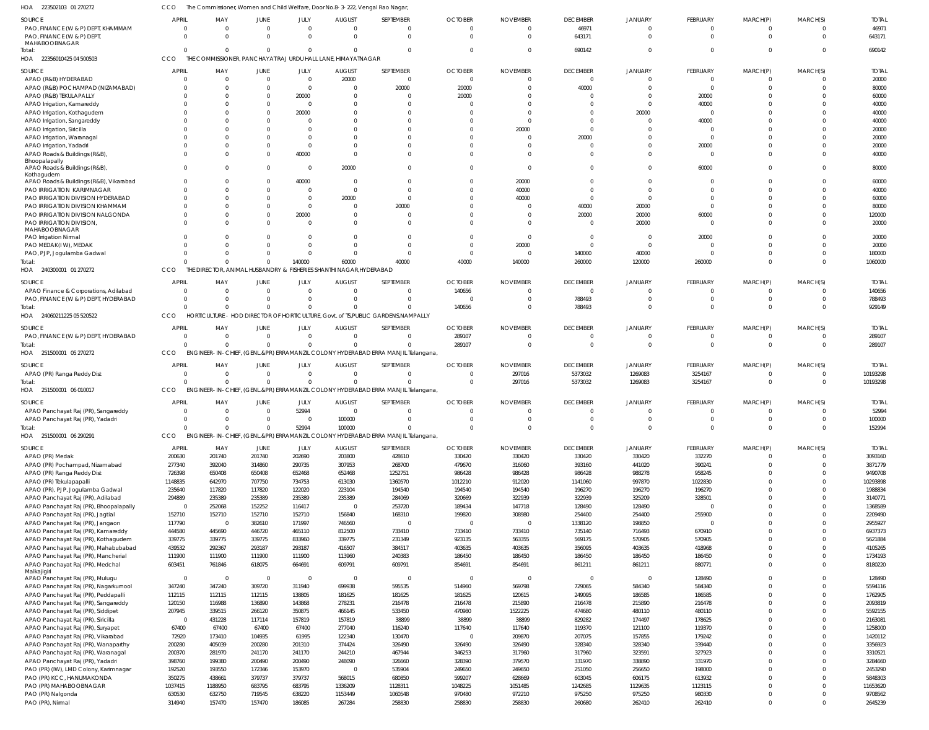CCO The Commissioner, Women and Child Welfare, Door No.8-3-222, Vengal Rao Nagar,

| HOA<br>223502103 01 270272                    | CCO              | The Commissioner, Women and Child Welfare, Door No.8-3-222, Vengal Rao Nagar |                  |                  |                   |                                                                                    |                  |                  |                  |                  |                  |                          |                                |                    |
|-----------------------------------------------|------------------|------------------------------------------------------------------------------|------------------|------------------|-------------------|------------------------------------------------------------------------------------|------------------|------------------|------------------|------------------|------------------|--------------------------|--------------------------------|--------------------|
| SOURCE                                        | <b>APRIL</b>     | MAY                                                                          | JUNE             | JULY             | <b>AUGUST</b>     | SEPTEMBER                                                                          | <b>OCTOBER</b>   | <b>NOVEMBER</b>  | <b>DECEMBER</b>  | <b>JANUARY</b>   | FEBRUARY         | MARCH(P)                 | MARCH(S)                       | <b>TOTAL</b>       |
| PAO, FINANCE (W & P) DEPT, KHAMMAM            |                  | $\Omega$                                                                     | $\Omega$         | $\overline{0}$   | $\Omega$          |                                                                                    | $\overline{0}$   | 0                | 46971            | $\overline{0}$   | $\mathbf{0}$     | $\Omega$                 | $\Omega$                       | 46971              |
| PAO, FINANCE (W & P) DEPT,                    |                  | $\Omega$                                                                     | $\Omega$         | $\Omega$         | $\Omega$          | $\Omega$                                                                           | $\overline{0}$   | $\Omega$         | 643171           | $\Omega$         | $\mathbf 0$      | $\Omega$                 | $\Omega$                       | 643171             |
| MAHABOOBNAGAR                                 |                  |                                                                              |                  |                  |                   |                                                                                    |                  |                  |                  |                  |                  |                          |                                |                    |
| Total:                                        |                  | $\Omega$                                                                     | $\Omega$         | $\Omega$         | $\Omega$          |                                                                                    | $\Omega$         | $\Omega$         | 690142           | $\Omega$         | $\Omega$         | $\Omega$                 | $\Omega$                       | 690142             |
| HOA 22356010425 04 500503                     | CCO              | THE COMMISSIONER, PANCHAYAT RAJ URDU HALL LANE, HIMAYATNAGAR                 |                  |                  |                   |                                                                                    |                  |                  |                  |                  |                  |                          |                                |                    |
| SOURCE                                        | <b>APRIL</b>     | MAY                                                                          | JUNE             | JULY             | <b>AUGUST</b>     | SEPTEMBER                                                                          | <b>OCTOBER</b>   | <b>NOVEMBER</b>  | <b>DECEMBER</b>  | <b>JANUARY</b>   | FEBRUARY         | MARCH(P)                 | MARCH(S)                       | <b>TOTAL</b>       |
| APAO (R&B) HYDERABAD                          |                  | $\overline{0}$                                                               | $\overline{0}$   | $\overline{0}$   | 20000             | $\overline{0}$                                                                     | $\overline{0}$   |                  | $\overline{0}$   | $\Omega$         | $\overline{0}$   |                          |                                | 20000              |
| APAO (R&B) POCHAMPAD (NIZAMABAD)              |                  | $\Omega$                                                                     | $\Omega$         | $\overline{0}$   | $\Omega$          | 20000                                                                              | 20000            | $\Omega$         | 40000            | $\Omega$         | $\mathbf 0$      | $\Omega$                 | $\Omega$                       | 80000              |
| APAO (R&B) TEKULAPALLY                        |                  | $\cap$                                                                       | $\Omega$         | 20000            | $\Omega$          |                                                                                    | 20000            |                  | C                | $\Omega$         | 20000            |                          | $\Omega$                       | 60000              |
| APAO Irrigation, Kamareddy                    |                  |                                                                              | $\Omega$         | $\overline{0}$   |                   |                                                                                    | $\Omega$         |                  | C                | $\Omega$         | 40000            |                          | $\Omega$                       | 40000              |
| APAO Irrigation, Kothagudem                   |                  | $\cap$                                                                       | $\Omega$         | 20000            |                   |                                                                                    |                  |                  | -C               | 20000            | $\Omega$         |                          | $\Omega$                       | 40000              |
| APAO Irrigation, Sangareddy                   |                  |                                                                              |                  | $\Omega$         |                   |                                                                                    |                  |                  | -C               | $\Omega$         | 40000            |                          | $\cap$                         | 40000              |
| APAO Irrigation, Siricilla                    |                  | $\cap$                                                                       |                  |                  |                   |                                                                                    |                  | 20000            | C                |                  | $\Omega$         |                          | $\Omega$                       | 20000              |
| APAO Irrigation, Waranagal                    |                  |                                                                              |                  | $\Omega$         |                   |                                                                                    |                  |                  | 20000            | $\Omega$         | $\mathbf{0}$     |                          | $\Omega$                       | 20000              |
| APAO Irrigation, Yadadri                      |                  | $\cap$                                                                       | $\Omega$         | $\overline{0}$   |                   |                                                                                    |                  |                  | C                | $\Omega$         | 20000            |                          | $\cap$                         | 20000              |
| APAO Roads & Buildings (R&B),                 |                  | $\cap$                                                                       | $\Omega$         | 40000            | $\Omega$          |                                                                                    | $\Omega$         |                  | $\Omega$         | $\Omega$         | 0                |                          | $\Omega$                       | 40000              |
| Bhoopalapally                                 |                  |                                                                              |                  |                  |                   |                                                                                    |                  |                  |                  |                  |                  |                          |                                |                    |
| APAO Roads & Buildings (R&B),                 |                  | $\Omega$                                                                     | $\Omega$         | $\overline{0}$   | 20000             | $\Omega$                                                                           | $\Omega$         | $\mathbf 0$      | $\Omega$         | $\Omega$         | 60000            | $\Omega$                 | $\Omega$                       | 80000              |
| Kothagudem                                    |                  |                                                                              |                  |                  |                   |                                                                                    |                  |                  |                  |                  |                  |                          |                                |                    |
| APAO Roads & Buildings (R&B), Vikarabad       |                  | $\cap$                                                                       | $\Omega$         | 40000            | $\Omega$          |                                                                                    | $\Omega$         | 20000            | C                | $\Omega$         | $\Omega$         |                          | $\cap$                         | 60000              |
| PAO IRRIGATION KARIMNAGAR                     |                  | $\Omega$                                                                     | $\Omega$         | $\overline{0}$   | $\Omega$          |                                                                                    |                  | 40000            |                  | $\Omega$         | $\Omega$         |                          | $\Omega$                       | 40000              |
| PAO IRRIGATION DIVISION HYDERABAD             |                  | $\cap$                                                                       | $\Omega$         | $\overline{0}$   | 20000             | $\Omega$                                                                           | $\Omega$         | 40000            | - 0              | - 0              | $\Omega$         |                          | $\Omega$                       | 60000              |
| PAO IRRIGATION DIVISION KHAMMAM               |                  | $\cap$                                                                       | $\Omega$         | $\overline{0}$   | $\Omega$          | 20000                                                                              |                  |                  | 40000            | 20000            | $\Omega$         |                          | $\Omega$                       | 80000              |
| PAO IRRIGATION DIVISION NALGONDA              |                  |                                                                              | $\Omega$         | 20000            | $\Omega$          | $\Omega$                                                                           |                  |                  | 20000            | 20000            | 60000            |                          | $\Omega$                       | 120000             |
| PAO IRRIGATION DIVISION,                      |                  | $\cap$                                                                       | $\Omega$         | $\Omega$         | $\Omega$          |                                                                                    | $\Omega$         |                  | $\Omega$         | 20000            | $\Omega$         |                          | $\Omega$                       | 20000              |
| MAHABOOBNAGAR<br><b>PAO Irrigation Nirmal</b> |                  |                                                                              |                  | $\Omega$         |                   |                                                                                    | $\Omega$         | $\Omega$         | $\Omega$         | $\overline{0}$   | 20000            |                          | $\Omega$                       | 20000              |
| PAO MEDAK(IW), MEDAK                          |                  | $\cap$                                                                       | $\Omega$         | $\Omega$         |                   |                                                                                    | $\Omega$         | 20000            | - 0              | - 0              | $\Omega$         |                          | $\Omega$                       | 20000              |
| PAO, PJP, Jogulamba Gadwal                    |                  | $\cap$                                                                       | $\Omega$         | $\Omega$         | $\Omega$          | $\Omega$                                                                           | $\overline{0}$   | 0                | 140000           | 40000            | $\overline{0}$   | $\Omega$                 | $\Omega$                       | 180000             |
| Total:                                        |                  | $\cap$                                                                       | $\Omega$         | 140000           | 60000             | 40000                                                                              | 40000            | 140000           | 260000           | 120000           | 260000           | $\Omega$                 | $\Omega$                       | 1060000            |
| HOA 240300001 01 270272                       | CCO.             | THE DIRECTOR, ANIMAL HUSBANDRY & FISHERIES SHANTHI NAGAR, HYDERABAD          |                  |                  |                   |                                                                                    |                  |                  |                  |                  |                  |                          |                                |                    |
|                                               |                  |                                                                              |                  |                  |                   |                                                                                    |                  |                  |                  |                  |                  |                          |                                |                    |
| SOURCE                                        | <b>APRIL</b>     | MAY                                                                          | <b>JUNE</b>      | JULY             | <b>AUGUST</b>     | SEPTEMBER                                                                          | <b>OCTOBER</b>   | <b>NOVEMBER</b>  | <b>DECEMBER</b>  | <b>JANUARY</b>   | FEBRUARY         | MARCH(P)                 | MARCH(S)                       | <b>TOTAL</b>       |
| APAO Finance & Corporations, Adilabad         |                  | $\Omega$                                                                     | $\Omega$         | $\overline{0}$   | - 0               |                                                                                    | 140656           |                  | $\Omega$         | $\Omega$         | $\Omega$         | n                        |                                | 140656             |
| PAO, FINANCE (W & P) DEPT, HYDERABAD          |                  | $\Omega$                                                                     | $\Omega$         | $\overline{0}$   | $\Omega$          |                                                                                    | $\circ$          |                  | 788493           | $\overline{0}$   | $\mathbf{0}$     | $\Omega$                 | $\Omega$                       | 788493             |
| Total:                                        |                  | $\cap$                                                                       | $\Omega$         | $\Omega$         |                   |                                                                                    | 140656           | $\Omega$         | 788493           | $\Omega$         | $\Omega$         | $\Omega$                 | $\Omega$                       | 929149             |
| HOA 24060211225 05 520522                     | CCO              |                                                                              |                  |                  |                   | HORTICULTURE - HOD DIRECTOR OF HORTICULTURE, Govt. of TS, PUBLIC GARDENS, NAMPALLY |                  |                  |                  |                  |                  |                          |                                |                    |
| SOURCE                                        | <b>APRIL</b>     | MAY                                                                          | JUNE             | JULY             | <b>AUGUST</b>     | SEPTEMBER                                                                          | <b>OCTOBER</b>   | <b>NOVEMBER</b>  | <b>DECEMBER</b>  | <b>JANUARY</b>   | FEBRUARY         | MARCH(P)                 | MARCH(S)                       | <b>TOTAL</b>       |
| PAO, FINANCE (W & P) DEPT, HYDERABAD          | $\Omega$         | $\Omega$                                                                     | $\Omega$         | $\overline{0}$   | $\Omega$          | $\Omega$                                                                           | 289107           |                  | $\Omega$         | $\overline{0}$   | $\mathbf{0}$     | $\Omega$                 | $\Omega$                       | 289107             |
| Total:                                        |                  | $\Omega$                                                                     | $\Omega$         | $\Omega$         | $\Omega$          |                                                                                    | 289107           | 0                | $\Omega$         | $\overline{0}$   | $\mathbf 0$      | $\Omega$                 | $\Omega$                       | 289107             |
| HOA 251500001 05 270272                       | CCO              |                                                                              |                  |                  |                   | ENGINEER-IN-CHIEF, (GENL.&PR) ERRAMANZIL COLONY HYDERABAD ERRA MANJIL Telangana,   |                  |                  |                  |                  |                  |                          |                                |                    |
|                                               |                  |                                                                              |                  |                  |                   |                                                                                    |                  |                  |                  |                  |                  |                          |                                |                    |
| SOURCE                                        | <b>APRIL</b>     | MAY                                                                          | <b>JUNE</b>      | JULY             | <b>AUGUST</b>     | SEPTEMBER                                                                          | <b>OCTOBER</b>   | <b>NOVEMBER</b>  | <b>DECEMBER</b>  | <b>JANUARY</b>   | FEBRUARY         | MARCH(P)                 | MARCH(S)                       | <b>TOTAL</b>       |
|                                               |                  |                                                                              |                  | $\overline{0}$   | - 0               |                                                                                    | - 0              | 297016           | 5373032          | 1269083          | 3254167          | 0                        | $\Omega$                       | 10193298           |
| APAO (PR) Ranga Reddy Dist                    |                  | $\Omega$                                                                     | $\overline{0}$   |                  |                   |                                                                                    |                  |                  |                  |                  |                  |                          |                                |                    |
| Total:                                        |                  | $\Omega$                                                                     | $\Omega$         | $\Omega$         |                   |                                                                                    | $\overline{0}$   | 297016           | 5373032          | 1269083          | 3254167          | $\Omega$                 | $\overline{0}$                 | 10193298           |
| HOA 251500001 06 010017                       | CCO              |                                                                              |                  |                  |                   | ENGINEER-IN-CHIEF, (GENL.&PR) ERRAMANZIL COLONY HYDERABAD ERRA MANJIL Telangana,   |                  |                  |                  |                  |                  |                          |                                |                    |
|                                               |                  |                                                                              |                  |                  |                   |                                                                                    |                  |                  |                  |                  |                  |                          |                                |                    |
| SOURCE                                        | <b>APRIL</b>     | MAY                                                                          | JUNE             | JULY             | <b>AUGUST</b>     | SEPTEMBER                                                                          | <b>OCTOBER</b>   | <b>NOVEMBER</b>  | <b>DECEMBER</b>  | <b>JANUARY</b>   | FEBRUARY         | MARCH(P)                 | MARCH(S)                       | <b>TOTAL</b>       |
| APAO Panchayat Raj (PR), Sangareddy           | $\Omega$         | $\Omega$                                                                     | $\overline{0}$   | 52994            | $\Omega$          | $\Omega$                                                                           | $\Omega$         | $\Omega$         | C                | $\Omega$         | $\Omega$         | 0                        |                                | 52994              |
| APAO Panchayat Raj (PR), Yadadri              |                  | $\cap$                                                                       |                  |                  | 100000            |                                                                                    |                  |                  |                  |                  | $\cap$           |                          |                                | 100000             |
| Total:                                        | $\Omega$         | $\Omega$                                                                     | $\Omega$         | 52994            | 100000            | $\Omega$                                                                           | $\overline{0}$   | $\mathbf 0$      | $\overline{0}$   | $\overline{0}$   | $\mathbf 0$      | $\Omega$                 | $\mathbf{0}$                   | 152994             |
| HOA 251500001 06 290291                       | <b>CCO</b>       |                                                                              |                  |                  |                   | ENGINEER-IN-CHIEF, (GENL.&PR) ERRAMANZIL COLONY HYDERABAD ERRA MANJIL Telangana,   |                  |                  |                  |                  |                  |                          |                                |                    |
| SOURCE                                        | <b>APRIL</b>     | MAY                                                                          | JUNE             | JULY             | <b>AUGUST</b>     | SEPTEMBER                                                                          | <b>OCTOBER</b>   | <b>NOVEMBER</b>  | <b>DECEMBER</b>  | <b>JANUARY</b>   | FEBRUARY         | MARCH(P)                 | MARCH(S)                       | <b>TOTAL</b>       |
| APAO (PR) Medak                               | 200630           | 201740                                                                       | 201740           | 202690           | 203800            | 428610                                                                             | 330420           | 330420           | 330420           | 330420           | 332270           | $\Omega$                 | $\Omega$                       | 3093160            |
| APAO (PR) Pochampad, Nizamabad                | 277340           | 392040                                                                       | 314860           | 290735           | 307953            | 268700                                                                             | 479670           | 316060           | 393160           | 441020           | 390241           | $\Omega$                 | $\overline{0}$                 | 3871779            |
| APAO (PR) Ranga Reddy Dist                    | 726398           | 650408                                                                       | 650408           | 652468           | 652468            | 1252751                                                                            | 986428           | 986428           | 986428           | 988278           | 958245           | $\Omega$                 | $\Omega$                       | 9490708            |
| APAO (PR) Tekulapapalli                       | 1148835          | 642970                                                                       | 707750           | 734753           | 613030            | 1360570                                                                            | 1012210          | 912020           | 1141060          | 997870           | 1022830          | $\Omega$                 | $\overline{0}$                 | 10293898           |
| APAO (PR), PJP, Jogulamba Gadwal              | 235640           | 117820                                                                       | 117820           | 122020           | 223104            | 194540                                                                             | 194540           | 194540           | 196270           | 196270           | 196270           | $\Omega$                 | $\Omega$                       | 1988834            |
| APAO Panchayat Raj (PR), Adilabad             | 294889           | 235389                                                                       | 235389           | 235389           | 235389            | 284069                                                                             | 320669           | 322939           | 322939           | 325209           | 328501           | $\Omega$                 | $\Omega$                       | 3140771            |
| APAO Panchayat Raj (PR), Bhoopalapally        | - 0              | 252068                                                                       | 152252           | 116417           | $\Omega$          | 253720                                                                             | 189434           | 147718           | 128490           | 128490           | $\overline{0}$   | $\Omega$                 | $\Omega$                       | 1368589            |
| APAO Panchayat Raj (PR), Jagtial              | 152710           | 152710                                                                       | 152710           | 152710           | 156840            | 168310                                                                             | 199820           | 308980           | 254400           | 254400           | 255900           | $\Omega$                 | $\Omega$                       | 2209490            |
| APAO Panchayat Raj (PR), Jangaon              | 117790           | $\overline{0}$                                                               | 382610           | 171997           | 746560            | $\overline{0}$                                                                     | $\Omega$         | $\mathbf 0$      | 1338120          | 198850           | 0                | $\Omega$                 | $\Omega$                       | 2955927            |
| APAO Panchayat Raj (PR), Kamareddy            | 444580           | 445690                                                                       | 446720           | 465110           | 812500            | 733410                                                                             | 733410           | 733410           | 735140           | 716493           | 670910           | $\Omega$                 | $\Omega$                       | 6937373            |
| APAO Panchayat Raj (PR), Kothagudem           | 339775           | 339775                                                                       | 339775           | 833960           | 339775            | 231349                                                                             | 923135           | 563355           | 569175           | 570905           | 570905           | $\Omega$                 | $\Omega$                       | 5621884            |
| APAO Panchayat Raj (PR), Mahabubabad          | 439532           | 292367                                                                       | 293187           | 293187           | 416507            | 384517                                                                             | 403635           | 403635           | 356095           | 403635           | 418968           | $\Omega$                 | $\overline{0}$                 | 4105265            |
| APAO Panchayat Raj (PR), Mancherial           | 111900           | 111900                                                                       | 111900           | 111900           | 113960            | 240383                                                                             | 186450           | 186450           | 186450           | 186450           | 186450           | $\Omega$                 | $\Omega$                       | 1734193            |
| APAO Panchayat Raj (PR), Medchal              | 603451           | 761846                                                                       | 618075           | 664691           | 609791            | 609791                                                                             | 854691           | 854691           | 861211           | 861211           | 880771           | $\Omega$                 | $\mathbf{0}$                   | 8180220            |
| Malkajigiri                                   |                  |                                                                              |                  |                  |                   |                                                                                    |                  |                  |                  |                  |                  |                          |                                |                    |
| APAO Panchayat Raj (PR), Mulugu               | - 0              | $\overline{\mathbf{0}}$                                                      | $\overline{0}$   | - 0              | - 0               | $\Omega$                                                                           | $\Omega$         | $\Omega$         | $\overline{0}$   | - 0              | 128490           | $\Omega$                 | $\Omega$                       | 128490             |
| APAO Panchayat Raj (PR), Nagarkurnool         | 347240           | 347240                                                                       | 309720           | 311940           | 699938            | 595535                                                                             | 514960           | 569798           | 729065           | 584340           | 584340           | $\Omega$                 | $\Omega$                       | 5594116            |
| APAO Panchayat Raj (PR), Peddapalli           | 112115           | 112115                                                                       | 112115           | 138805           | 181625            | 181625                                                                             | 181625           | 120615           | 249095           | 186585           | 186585           | $\Omega$                 | $\Omega$                       | 1762905            |
| APAO Panchayat Raj (PR), Sangareddy           | 120150           | 116988                                                                       | 136890           | 143868           | 278231            | 216478                                                                             | 216478           | 215890           | 216478           | 215890           | 216478           | $\Omega$                 | $\Omega$                       | 2093819            |
| APAO Panchayat Raj (PR), Siddipet             | 207945           | 339515                                                                       | 266120           | 350875           | 466145            | 533450                                                                             | 470980           | 1522225          | 474680           | 480110           | 480110           | $\Omega$                 | $\Omega$                       | 5592155            |
| APAO Panchayat Raj (PR), Siricilla            | $\overline{0}$   | 431228                                                                       | 117114           | 157819           | 157819            | 38899                                                                              | 38899            | 38899            | 829282           | 174497           | 178625           | $\Omega$                 | $\overline{0}$                 | 2163081            |
| APAO Panchayat Raj (PR), Suryapet             | 67400            | 67400                                                                        | 67400            | 67400            | 277040            | 116240                                                                             | 117640           | 117640           | 119370           | 121100           | 119370           | $\Omega$                 | $\Omega$                       | 1258000            |
| APAO Panchayat Raj (PR), Vikarabad            | 72920            | 173410                                                                       | 104935           | 61995            | 122340            | 130470                                                                             | $\overline{0}$   | 209870           | 207075           | 157855           | 179242           | $\Omega$                 | $\Omega$                       | 1420112            |
| APAO Panchayat Raj (PR), Wanaparthy           | 200280           | 405039                                                                       | 200280           | 201310           | 374424            | 326490                                                                             | 326490           | 326490           | 328340           | 328340           | 339440           | $\Omega$                 | $\Omega$                       | 3356923            |
| APAO Panchayat Raj (PR), Waranagal            | 200370           | 281970                                                                       | 241170           | 241170           | 244210            | 467944                                                                             | 346253           | 317960           | 317960           | 323591           | 327923           | $\Omega$                 | $\Omega$                       | 3310521            |
| APAO Panchayat Raj (PR), Yadadri              | 398760           | 199380                                                                       | 200490           | 200490           | 248090            | 326660                                                                             | 328390           | 379570           | 331970           | 338890           | 331970           | $\Omega$                 | $\Omega$                       | 3284660            |
| PAO (PR) (IW), LMD Colony, Karimnagar         | 192520           | 193550                                                                       | 172346           | 153970           | $\overline{0}$    | 535904                                                                             | 249650           | 249650           | 251050           | 256650           | 198000           | $\Omega$                 | $\Omega$                       | 2453290            |
| PAO (PR) KCC, HANUMAKONDA                     | 350275           | 438661                                                                       | 379737           | 379737           | 568015            | 680850                                                                             | 599207           | 628669           | 603045           | 606175           | 613932           | $\Omega$                 | $\Omega$                       | 5848303            |
| PAO (PR) MAHABOOBNAGAR                        | 1037415          | 1188950                                                                      | 683795           | 683795           | 1336209           | 1128311                                                                            | 1048225          | 1051485          | 1242685          | 1129635          | 1123115          | $\Omega$                 | $\overline{0}$                 | 11653620           |
| PAO (PR) Nalgonda<br>PAO (PR), Nirmal         | 630530<br>314940 | 632750<br>157470                                                             | 719545<br>157470 | 638220<br>186085 | 1153449<br>267284 | 1060548<br>258830                                                                  | 970480<br>258830 | 972210<br>258830 | 975250<br>260680 | 975250<br>262410 | 980330<br>262410 | $\Omega$<br>$\mathbf{0}$ | $\overline{0}$<br>$\mathbf{0}$ | 9708562<br>2645239 |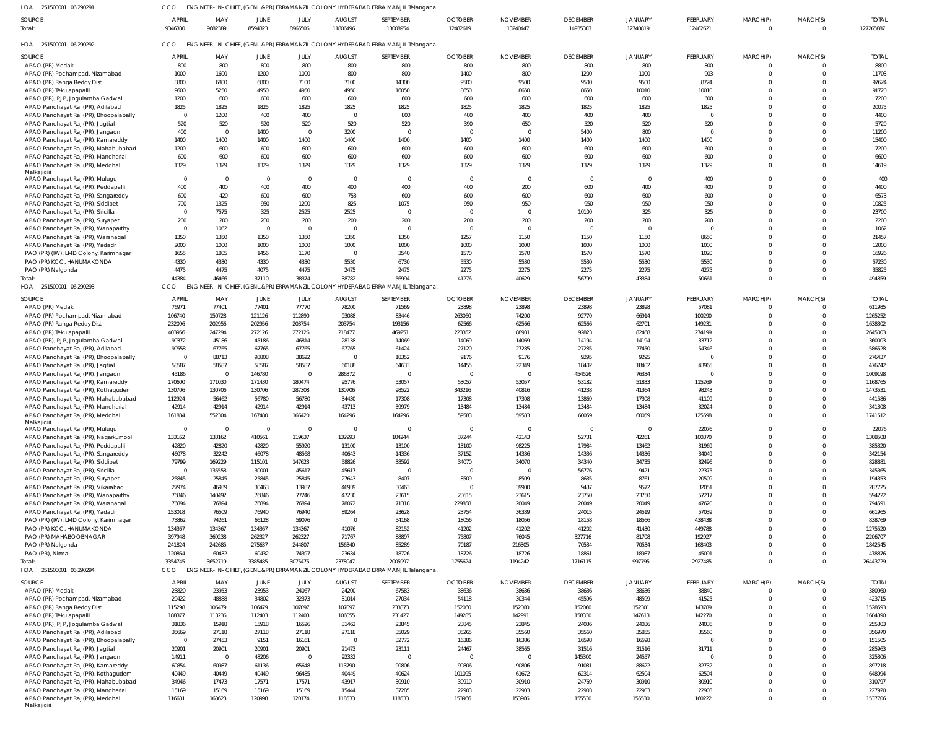251500001 06 290291 HOA CCO ENGINEER-IN-CHIEF, (GENL.&PR) ERRAMANZIL COLONY HYDERABAD ERRA MANJIL Telangana,

APAO Panchayat Raj (PR), Kothagudem APAO Panchayat Raj (PR), Mahabubabad APAO Panchayat Raj (PR), Mancherial APAO Panchayat Raj (PR), Medchal Malkajigiri

 $\,$  0  $\,$  $\mathbf{0}$  

 $\mathbf 0$  $\mathbf 0$   $\mathbf 0$ 

| SOURCE<br>Total:                                                       | <b>APRIL</b><br>9346330  | MAY<br>9682389          | JUNE<br>8594323 | JULY<br>8965506                   | <b>AUGUST</b><br>11806496 | SEPTEMBER<br>13008954                                                                     | <b>OCTOBER</b><br>12482619 | <b>NOVEMBER</b><br>13240447 | <b>DECEMBER</b><br>14935383 | <b>JANUARY</b><br>12740819 | FEBRUARY<br>12462621 | MARCH(P)<br>$\mathbf{0}$   | MARCH(S)<br>$\overline{0}$       | <b>TOTAL</b><br>127265887 |
|------------------------------------------------------------------------|--------------------------|-------------------------|-----------------|-----------------------------------|---------------------------|-------------------------------------------------------------------------------------------|----------------------------|-----------------------------|-----------------------------|----------------------------|----------------------|----------------------------|----------------------------------|---------------------------|
| HOA 251500001 06 290292                                                | CCO                      |                         |                 |                                   |                           | ENGINEER-IN-CHIEF, (GENL.&PR) ERRAMANZIL COLONY HYDERABAD ERRA MANJIL Telangana,          |                            |                             |                             |                            |                      |                            |                                  |                           |
|                                                                        | APRIL                    |                         |                 |                                   | <b>AUGUST</b>             | SEPTEMBER                                                                                 | <b>OCTOBER</b>             | <b>NOVEMBER</b>             | <b>DECEMBER</b>             | JANUARY                    | FEBRUARY             | MARCH(P)                   |                                  | <b>TOTAL</b>              |
| SOURCE<br>APAO (PR) Medak                                              | 800                      | MAY<br>800              | JUNE<br>800     | JULY<br>800                       | 800                       | 800                                                                                       | 800                        | 800                         | 800                         | 800                        | 800                  | $\mathbf{0}$               | MARCH(S)<br>$\Omega$             | 8800                      |
| APAO (PR) Pochampad, Nizamabad                                         | 1000                     | 1600                    | 1200            | 1000                              | 800                       | 800                                                                                       | 1400                       | 800                         | 1200                        | 1000                       | 903                  | $\mathbf 0$                | $\Omega$                         | 11703                     |
| APAO (PR) Ranga Reddy Dist                                             | 8800                     | 6800                    | 6800            | 7100                              | 7100                      | 14300                                                                                     | 9500                       | 9500                        | 9500                        | 9500                       | 8724                 | $\Omega$                   | $\Omega$                         | 97624                     |
| APAO (PR) Tekulapapalli                                                | 9600                     | 5250                    | 4950            | 4950                              | 4950                      | 16050                                                                                     | 8650                       | 8650                        | 8650                        | 10010                      | 10010                | $\Omega$                   | $\Omega$                         | 91720                     |
| APAO (PR), PJP, Jogulamba Gadwal                                       | 1200                     | 600                     | 600             | 600                               | 600                       | 600                                                                                       | 600                        | 600                         | 600                         | 600                        | 600                  | $\Omega$                   | $\Omega$                         | 7200                      |
| APAO Panchayat Raj (PR), Adilabad                                      | 1825                     | 1825                    | 1825            | 1825                              | 1825                      | 1825                                                                                      | 1825                       | 1825                        | 1825                        | 1825                       | 1825                 | $\Omega$                   | $\Omega$                         | 20075                     |
| APAO Panchayat Raj (PR), Bhoopalapally                                 | $\overline{0}$           | 1200                    | 400             | 400                               | $\overline{0}$            | 800                                                                                       | 400                        | 400                         | 400                         | 400                        | $\Omega$             | $\Omega$                   | $\Omega$                         | 4400                      |
| APAO Panchayat Raj (PR), Jagtial                                       | 520                      | 520                     | 520             | 520                               | 520                       | 520                                                                                       | 390                        | 650                         | 520                         | 520                        | 520                  | $\Omega$                   | $\Omega$                         | 5720                      |
| APAO Panchayat Raj (PR), Jangaon                                       | 400                      | $\overline{0}$          | 1400            | $\overline{0}$                    | 3200                      | $\Omega$                                                                                  | $\Omega$                   | $\Omega$                    | 5400                        | 800                        | $\Omega$             | $\Omega$                   | $\Omega$                         | 11200                     |
| APAO Panchayat Raj (PR), Kamareddy                                     | 1400                     | 1400                    | 1400            | 1400                              | 1400                      | 1400                                                                                      | 1400                       | 1400                        | 1400                        | 1400                       | 1400                 | $\Omega$                   | $\Omega$                         | 15400                     |
| APAO Panchayat Raj (PR), Mahabubabad                                   | 1200                     | 600                     | 600             | 600                               | 600                       | 600                                                                                       | 600                        | 600                         | 600                         | 600                        | 600                  | $\Omega$                   | $\Omega$                         | 7200                      |
| APAO Panchayat Raj (PR), Mancherial                                    | 600                      | 600                     | 600             | 600                               | 600                       | 600                                                                                       | 600                        | 600                         | 600                         | 600                        | 600                  | $\Omega$                   | $\Omega$                         | 6600                      |
| APAO Panchayat Raj (PR), Medchal<br>Malkajigiri                        | 1329                     | 1329                    | 1329            | 1329                              | 1329                      | 1329                                                                                      | 1329                       | 1329                        | 1329                        | 1329                       | 1329                 | $\mathbf 0$                | $\Omega$                         | 14619                     |
| APAO Panchayat Raj (PR), Mulugu                                        | $\Omega$                 | $\overline{0}$          | $\overline{0}$  | $\overline{0}$                    | $\overline{0}$            | $\Omega$                                                                                  | $\overline{0}$             | $\overline{0}$              | - 0                         | $\Omega$                   | 400                  | $\Omega$                   | $\Omega$                         | 400                       |
| APAO Panchayat Raj (PR), Peddapalli                                    | 400                      | 400                     | 400             | 400                               | 400                       | 400                                                                                       | 400                        | 200                         | 600                         | 400                        | 400                  | $\Omega$                   | $\Omega$                         | 4400                      |
| APAO Panchayat Raj (PR), Sangareddy                                    | 600                      | 420                     | 600             | 600                               | 753                       | 600                                                                                       | 600                        | 600                         | 600                         | 600                        | 600                  | $\Omega$                   | $\Omega$                         | 6573                      |
| APAO Panchayat Raj (PR), Siddipet                                      | 700                      | 1325                    | 950             | 1200                              | 825                       | 1075                                                                                      | 950                        | 950                         | 950                         | 950                        | 950                  | $\Omega$                   | $\Omega$                         | 10825                     |
| APAO Panchayat Raj (PR), Siricilla                                     | $\overline{0}$           | 7575                    | 325             | 2525                              | 2525                      | $\Omega$                                                                                  | $\Omega$                   | $\Omega$                    | 10100                       | 325                        | 325                  | $\Omega$                   | $\Omega$                         | 23700                     |
| APAO Panchayat Raj (PR), Suryapet                                      | 200                      | 200                     | 200             | 200                               | 200                       | 200                                                                                       | 200                        | 200                         | 200                         | 200                        | 200                  | $\Omega$                   | $\Omega$                         | 2200                      |
| APAO Panchayat Raj (PR), Wanaparthy                                    | $\overline{0}$           | 1062                    | $\overline{0}$  | $\overline{0}$                    | $\overline{0}$            | $\Omega$                                                                                  | $\mathbf{0}$               | $\mathbf{0}$                | $\Omega$                    | $\Omega$                   | $\Omega$             | $\Omega$                   | $\Omega$                         | 1062                      |
| APAO Panchayat Raj (PR), Waranagal                                     | 1350                     | 1350                    | 1350            | 1350                              | 1350                      | 1350                                                                                      | 1257                       | 1150                        | 1150                        | 1150                       | 8650                 | $\Omega$                   | $\Omega$                         | 21457                     |
| APAO Panchayat Raj (PR), Yadadri                                       | 2000                     | 1000                    | 1000            | 1000                              | 1000                      | 1000                                                                                      | 1000                       | 1000                        | 1000                        | 1000                       | 1000                 | $\Omega$                   | $\Omega$                         | 12000                     |
| PAO (PR) (IW), LMD Colony, Karimnagar                                  | 1655                     | 1805                    | 1456            | 1170                              | $\overline{0}$            | 3540                                                                                      | 1570                       | 1570                        | 1570                        | 1570                       | 1020                 | $\Omega$                   | $\Omega$                         | 16926                     |
| PAO (PR) KCC, HANUMAKONDA                                              | 4330                     | 4330                    | 4330            | 4330                              | 5530                      | 6730                                                                                      | 5530                       | 5530                        | 5530                        | 5530                       | 5530                 | $\Omega$                   | $\Omega$                         | 57230                     |
| PAO (PR) Nalgonda                                                      | 4475                     | 4475                    | 4075            | 4475                              | 2475                      | 2475                                                                                      | 2275                       | 2275                        | 2275                        | 2275                       | 4275                 | $\mathbf{0}$               | $\overline{0}$                   | 35825                     |
| Total:<br>HOA 251500001 06 290293                                      | 44384<br>CCO             | 46466                   | 37110           | 38374                             | 38782                     | 56994<br>ENGINEER-IN-CHIEF, (GENL.&PR) ERRAMANZIL COLONY HYDERABAD ERRA MANJIL Telangana, | 41276                      | 40629                       | 56799                       | 43384                      | 50661                | $\Omega$                   | $\Omega$                         | 494859                    |
| SOURCE                                                                 | APRIL                    | MAY                     | JUNE            | JULY                              | <b>AUGUST</b>             | SEPTEMBER                                                                                 | <b>OCTOBER</b>             | <b>NOVEMBER</b>             | <b>DECEMBER</b>             | JANUARY                    | FEBRUARY             | MARCH(P)                   | MARCH(S)                         | <b>TOTAL</b>              |
| APAO (PR) Medak                                                        | 76971                    | 77401                   | 77401           | 77770                             | 78200                     | 71569                                                                                     | 23898                      | 23898                       | 23898                       | 23898                      | 57081                | $\Omega$                   | $\Omega$                         | 611985                    |
| APAO (PR) Pochampad, Nizamabad                                         | 106740                   | 150728                  | 121126          | 112890                            | 93088                     | 83446                                                                                     | 263060                     | 74200                       | 92770                       | 66914                      | 100290               | $\Omega$                   | $\Omega$                         | 1265252                   |
| APAO (PR) Ranga Reddy Dist                                             | 232096                   | 202956                  | 202956          | 203754                            | 203754                    | 193156                                                                                    | 62566                      | 62566                       | 62566                       | 62701                      | 149231               | $\Omega$                   | $\Omega$                         | 1638302                   |
| APAO (PR) Tekulapapalli                                                | 403956                   | 247294                  | 272126          | 272126                            | 218477                    | 469251                                                                                    | 223352                     | 88931                       | 92823                       | 82468                      | 274199               | $\Omega$                   | $\Omega$                         | 2645003                   |
| APAO (PR), PJP, Jogulamba Gadwal                                       | 90372                    | 45186                   | 45186           | 46814                             | 28138                     | 14069                                                                                     | 14069                      | 14069                       | 14194                       | 14194                      | 33712                | $\Omega$                   | $\Omega$                         | 360003                    |
| APAO Panchayat Raj (PR), Adilabad                                      | 90558                    | 67765                   | 67765           | 67765                             | 67765                     | 61424                                                                                     | 27120                      | 27285                       | 27285                       | 27450                      | 54346                | $\Omega$                   | $\Omega$                         | 586528                    |
| APAO Panchayat Raj (PR), Bhoopalapally                                 | $\Omega$                 | 88713                   | 93808           | 38622                             | $\Omega$                  | 18352                                                                                     | 9176                       | 9176                        | 9295                        | 9295                       |                      | $\Omega$                   | $\Omega$                         | 276437                    |
| APAO Panchayat Raj (PR), Jagtial                                       | 58587                    | 58587                   | 58587           | 58587                             | 60188                     | 64633                                                                                     | 14455                      | 22349                       | 18402                       | 18402                      | 43965                | $\Omega$                   | $\Omega$                         | 476742                    |
| APAO Panchayat Raj (PR), Jangaon                                       | 45186                    | $\overline{0}$          | 146780          | $\overline{0}$                    | 286372                    | $\Omega$                                                                                  |                            | $\Omega$                    | 454526                      | 76334                      |                      | $\Omega$                   | $\Omega$                         | 1009198                   |
| APAO Panchayat Raj (PR), Kamareddy                                     | 170600                   | 171030                  | 171430          | 180474                            | 95776                     | 53057                                                                                     | 53057                      | 53057                       | 53182                       | 51833                      | 115269               | $\Omega$                   | $\Omega$                         | 1168765                   |
| APAO Panchayat Raj (PR), Kothagudem                                    | 130706                   | 130706                  | 130706          | 287308                            | 130706                    | 98522                                                                                     | 343216                     | 40816                       | 41238                       | 41364                      | 98243                | $\Omega$                   | $\Omega$                         | 1473531                   |
| APAO Panchayat Raj (PR), Mahabubabad                                   | 112924                   | 56462                   | 56780           | 56780                             | 34430                     | 17308                                                                                     | 17308                      | 17308                       | 13869                       | 17308                      | 41109                | $\Omega$                   | $\Omega$                         | 441586                    |
| APAO Panchayat Raj (PR), Mancherial                                    | 42914                    | 42914                   | 42914           | 42914                             | 43713                     | 39979                                                                                     | 13484                      | 13484                       | 13484                       | 13484                      | 32024                | $\Omega$                   | $\Omega$                         | 341308                    |
| APAO Panchayat Raj (PR), Medchal<br>Malkajigiri                        | 161834                   | 552304                  | 167480          | 166420                            | 164296                    | 164296                                                                                    | 59583                      | 59583                       | 60059                       | 60059                      | 125598               | $\Omega$                   | $\Omega$                         | 1741512                   |
| APAO Panchayat Raj (PR), Mulugu                                        | $\overline{0}$           | $\Omega$                | $\Omega$        | $\Omega$                          | $\Omega$                  | $\mathbf{0}$                                                                              |                            | $\mathbf{0}$                |                             | $\Omega$                   | 22076                | $^{\circ}$                 | $\Omega$                         | 22076                     |
| APAO Panchayat Raj (PR), Nagarkurnool                                  | 133162                   | 133162                  | 410561          | 119637                            | 132993                    | 104244                                                                                    | 37244                      | 42143                       | 52731                       | 42261                      | 100370               | $\Omega$                   | $\Omega$                         | 1308508                   |
| APAO Panchayat Raj (PR), Peddapalli                                    | 42820                    | 42820                   | 42820           | 55920                             | 13100                     | 13100                                                                                     | 13100                      | 98225                       | 17984                       | 13462                      | 31969                | $\Omega$                   | $\Omega$                         | 385320                    |
| APAO Panchayat Raj (PR), Sangareddy                                    | 46078                    | 32242                   | 46078           | 48568                             | 40643                     | 14336                                                                                     | 37152                      | 14336                       | 14336                       | 14336                      | 34049                | $\Omega$                   | $\Omega$                         | 342154                    |
| APAO Panchayat Raj (PR), Siddipet                                      | 79799                    | 169229                  | 115101          | 147623                            | 58826                     | 38592                                                                                     | 34070                      | 34070                       | 34340                       | 34735                      | 82496                | $\Omega$                   | $\Omega$                         | 828881                    |
| APAO Panchayat Raj (PR), Siricilla                                     | $\overline{0}$           | 135558                  | 30001           | 45617                             | 45617                     | $\overline{0}$                                                                            | $\overline{0}$             | $\overline{0}$              | 56776                       | 9421                       | 22375                | $\Omega$                   | $\Omega$                         | 345365                    |
| APAO Panchayat Raj (PR), Suryapet                                      | 25845                    | 25845                   | 25845           | 25845                             | 27643                     | 8407                                                                                      | 8509                       | 8509                        | 8635                        | 8761                       | 20509                | $\Omega$                   | $\Omega$                         | 194353                    |
| APAO Panchayat Raj (PR), Vikarabad                                     | 27974                    | 46939                   | 30463           | 13987                             | 46939                     | 30463                                                                                     | $\overline{0}$             | 39900                       | 9437                        | 9572                       | 32051                | $\Omega$                   | $\Omega$                         | 287725                    |
| APAO Panchayat Raj (PR), Wanaparthy                                    | 76846                    | 140492                  | 76846           | 77246                             | 47230                     | 23615                                                                                     | 23615                      | 23615                       | 23750                       | 23750                      | 57217                | $\Omega$                   | $\Omega$                         | 594222                    |
| APAO Panchayat Raj (PR), Waranagal                                     | 76894                    | 76894                   | 76894           | 76894                             | 78072                     | 71318                                                                                     | 229858                     | 20049                       | 20049                       | 20049                      | 47620                | $\Omega$                   | $\Omega$                         | 794591                    |
| APAO Panchayat Raj (PR), Yadadri                                       | 153018                   | 76509                   | 76940           | 76940                             | 89264                     | 23628                                                                                     | 23754                      | 36339                       | 24015                       | 24519                      | 57039                | $\Omega$<br>$\Omega$       | $\Omega$<br>$\Omega$             | 661965                    |
| PAO (PR) (IW), LMD Colony, Karimnagar                                  | 73862                    | 74261<br>134367         | 66128<br>134367 | 59076<br>134367                   | $\overline{0}$<br>41076   | 54168                                                                                     | 18056<br>41202             | 18056<br>41202              | 18158<br>41202              | 18566<br>41430             | 438438<br>449788     | $\Omega$                   | $\Omega$                         | 838769<br>1275520         |
| PAO (PR) KCC, HANUMAKONDA<br>PAO (PR) MAHABOOBNAGAR                    | 134367<br>397948         | 369238                  | 262327          | 262327                            | 71767                     | 82152<br>88897                                                                            | 75807                      | 76045                       | 327716                      | 81708                      | 192927               | $\Omega$                   | $\Omega$                         | 2206707                   |
| PAO (PR) Nalgonda                                                      | 241824                   | 242685                  | 275637          | 244807                            | 156340                    | 85289                                                                                     | 70187                      | 216305                      | 70534                       | 70534                      | 168403               | $\Omega$                   | $\Omega$                         | 1842545                   |
| PAO (PR), Nirmal                                                       | 120864                   | 60432                   | 60432           | 74397                             | 23634                     | 18726                                                                                     | 18726                      | 18726                       | 18861                       | 18987                      | 45091                | $\mathbf{0}$               | $\overline{0}$                   | 478876                    |
| Total:                                                                 | 3354745                  | 3652719                 | 3385485         | 3075475                           | 2378047                   | 2005997                                                                                   | 1755624                    | 1194242                     | 1716115                     | 997795                     | 2927485              | $\Omega$                   | $\Omega$                         | 26443729                  |
| HOA 251500001 06 290294                                                | <b>CCO</b>               |                         |                 |                                   |                           | ENGINEER-IN-CHIEF, (GENL.&PR) ERRAMANZIL COLONY HYDERABAD ERRA MANJIL Telangana,          |                            |                             |                             |                            |                      |                            |                                  |                           |
| SOURCE                                                                 | <b>APRIL</b>             | MAY                     | JUNE            | JULY                              | <b>AUGUST</b>             | SEPTEMBER                                                                                 | <b>OCTOBER</b>             | <b>NOVEMBER</b>             | <b>DECEMBER</b>             | JANUARY                    | FEBRUARY             | MARCH(P)                   | MARCH(S)                         | <b>TOTAL</b>              |
| APAO (PR) Medak                                                        | 23820                    | 23953                   | 23953           | 24067                             | 24200                     | 67583                                                                                     | 38636                      | 38636                       | 38636                       | 38636                      | 38840                | $\mathbf{0}$               | $\Omega$                         | 380960                    |
| APAO (PR) Pochampad, Nizamabad                                         | 29422                    | 48888                   | 34802           | 32373                             | 31014                     | 27034                                                                                     | 54118                      | 30344                       | 45596                       | 48599                      | 41525                | $\mathbf 0$                | $\overline{0}$                   | 423715                    |
| APAO (PR) Ranga Reddy Dist                                             | 115298                   | 106479                  | 106479          | 107097                            | 107097                    | 233873                                                                                    | 152060                     | 152060                      | 152060                      | 152301                     | 143789               | $\mathbf 0$                | $\Omega$                         | 1528593                   |
| APAO (PR) Tekulapapalli                                                | 188377                   | 113236                  | 112403          | 112403                            | 106055                    | 231427                                                                                    | 149285                     | 142991                      | 158330                      | 147613                     | 142270               | $\mathbf 0$                | $\Omega$                         | 1604390                   |
| APAO (PR), PJP, Jogulamba Gadwal                                       | 31836                    | 15918                   | 15918           | 16526                             | 31462                     | 23845                                                                                     | 23845                      | 23845                       | 24036                       | 24036                      | 24036                | $\mathbf 0$                | $\Omega$                         | 255303                    |
| APAO Panchayat Raj (PR), Adilabad                                      | 35669                    | 27118                   | 27118           | 27118                             | 27118                     | 35029                                                                                     | 35265                      | 35560                       | 35560                       | 35855                      | 35560                | $\mathbf 0$                | $\Omega$                         | 356970                    |
| APAO Panchayat Raj (PR), Bhoopalapally                                 | $\overline{\phantom{0}}$ | 27453                   | 9151            | 16161                             | $\overline{\phantom{0}}$  | 32772                                                                                     | 16386                      | 16386                       | 16598                       | 16598                      |                      | $\mathbf 0$                | $\Omega$                         | 151505                    |
| APAO Panchayat Raj (PR), Jagtial                                       | 20901                    | 20901                   | 20901           | 20901                             | 21473                     | 23111                                                                                     | 24467<br>$\Omega$          | 38565<br>$\overline{0}$     | 31516                       | 31516                      | 31711<br>$\Omega$    | $\mathbf 0$<br>$\mathbf 0$ | $\overline{0}$<br>$\overline{0}$ | 285963                    |
| APAO Panchayat Raj (PR), Jangaon<br>APAO Panchayat Raj (PR), Kamareddy | 14911<br>60854           | $\overline{0}$<br>60987 | 48206<br>61136  | $\overline{\phantom{0}}$<br>65648 | 92332<br>113790           | $\overline{0}$<br>90806                                                                   | 90806                      | 90806                       | 145300<br>91031             | 24557<br>88622             | 82732                | $\mathbf 0$                | $\Omega$                         | 325306<br>897218          |
|                                                                        |                          |                         |                 |                                   |                           |                                                                                           |                            |                             |                             |                            |                      |                            |                                  |                           |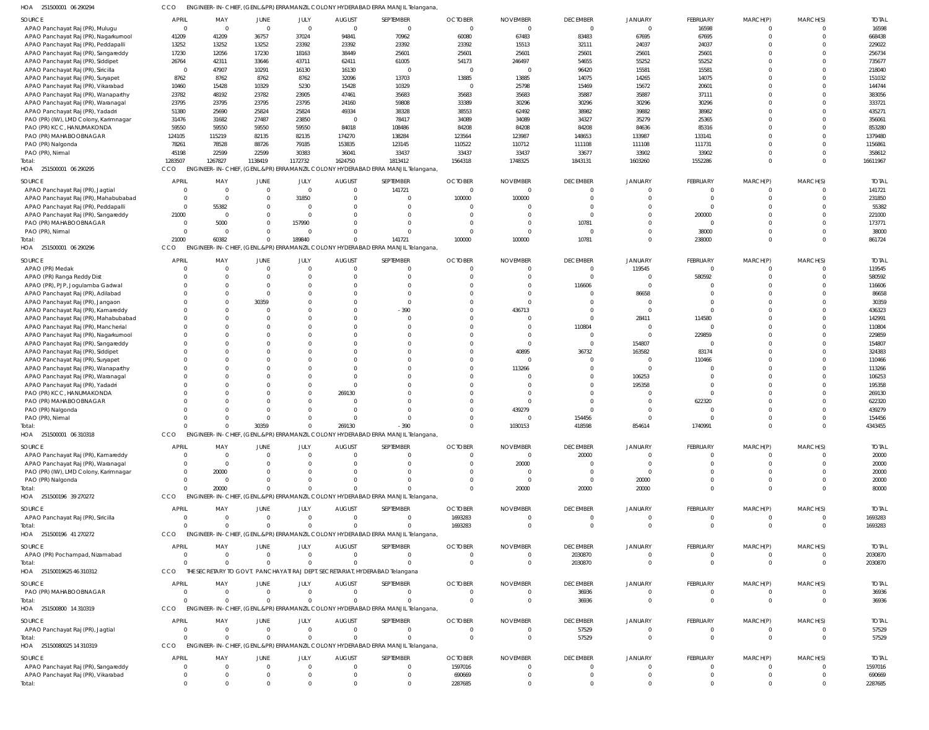| 251500001 06 290294<br>HOA               | CCO                    |                  |                         |                  |                         | ENGINEER-IN-CHIEF, (GENL.&PR) ERRAMANZIL COLONY HYDERABAD ERRA MANJIL Telangana, |                  |                    |                 |                  |                  |          |                      |                    |
|------------------------------------------|------------------------|------------------|-------------------------|------------------|-------------------------|----------------------------------------------------------------------------------|------------------|--------------------|-----------------|------------------|------------------|----------|----------------------|--------------------|
| SOURCE                                   | <b>APRIL</b>           | MAY              | JUNE                    | JULY             | <b>AUGUST</b>           | SEPTEMBER                                                                        | <b>OCTOBER</b>   | <b>NOVEMBER</b>    | <b>DECEMBER</b> | JANUARY          | FEBRUARY         | MARCH(P) | MARCH(S)             | <b>TOTAL</b>       |
| APAO Panchayat Raj (PR), Mulugu          | $\mathbf 0$            | $\overline{0}$   | $\overline{0}$          | $\overline{0}$   | $\overline{0}$          | $\overline{\mathbf{0}}$                                                          | $\overline{0}$   | - 0                | $\overline{0}$  | $\mathbf 0$      | 16598            | $\Omega$ | 0                    | 16598              |
| APAO Panchayat Raj (PR), Nagarkurnool    | 41209                  | 41209            | 36757                   | 37024            | 94841                   | 70962                                                                            | 60080            | 67483              | 83483           | 67695            | 67695            | $\Omega$ | $\Omega$             | 668438             |
| APAO Panchayat Raj (PR), Peddapalli      | 13252                  | 13252            | 13252                   | 23392            | 23392                   | 23392                                                                            | 23392            | 15513              | 32111           | 24037            | 24037            | $\Omega$ | $\Omega$             | 229022             |
| APAO Panchayat Raj (PR), Sangareddy      | 17230                  | 12056            | 17230                   | 18163            | 38449                   | 25601                                                                            | 25601            | 25601              | 25601           | 25601            | 25601            | $\Omega$ | $\Omega$             | 256734             |
| APAO Panchayat Raj (PR), Siddipet        | 26764                  | 42311            | 33646                   | 43711            | 62411                   | 61005<br>$\Omega$                                                                | 54173            | 246497<br>$\Omega$ | 54655           | 55252            | 55252            | $\Omega$ | $\Omega$<br>$\Omega$ | 735677             |
| APAO Panchayat Raj (PR), Siricilla       | $\overline{0}$<br>8762 | 47907<br>8762    | 10291<br>8762           | 16130<br>8762    | 16130<br>32096          | 13703                                                                            | 0<br>13885       | 13885              | 96420<br>14075  | 15581<br>14265   | 15581<br>14075   | $\Omega$ | $\Omega$             | 218040<br>151032   |
| APAO Panchayat Raj (PR), Suryapet        | 10460                  | 15428            | 10329                   | 5230             | 15428                   | 10329                                                                            | 0                | 25798              | 15469           | 15672            | 20601            | $\Omega$ | $\Omega$             | 144744             |
| APAO Panchayat Raj (PR), Vikarabad       |                        | 48192            | 23782                   | 23905            | 47461                   | 35683                                                                            | 35683            | 35683              | 35887           | 35887            | 37111            | $\Omega$ | $\Omega$             | 383056             |
| APAO Panchayat Raj (PR), Wanaparthy      | 23782                  |                  |                         |                  |                         |                                                                                  |                  |                    |                 |                  |                  |          | $\Omega$             |                    |
| APAO Panchayat Raj (PR), Waranagal       | 23795                  | 23795            | 23795                   | 23795            | 24160                   | 59808                                                                            | 33389            | 30296              | 30296           | 30296            | 30296            | $\Omega$ | $\Omega$             | 333721             |
| APAO Panchayat Raj (PR), Yadadri         | 51380                  | 25690            | 25824                   | 25824            | 49334                   | 38328                                                                            | 38553            | 62492              | 38982           | 39882            | 38982            | $\Omega$ |                      | 435271             |
| PAO (PR) (IW), LMD Colony, Karimnagar    | 31476                  | 31682<br>59550   | 27487<br>59550          | 23850            | $\overline{0}$<br>84018 | 78417                                                                            | 34089            | 34089              | 34327           | 35279            | 25365            | $\Omega$ | $\Omega$<br>$\Omega$ | 356061<br>853280   |
| PAO (PR) KCC, HANUMAKONDA                | 59550                  |                  |                         | 59550            |                         | 108486                                                                           | 84208            | 84208              | 84208           | 84636            | 85316            |          | $\Omega$             |                    |
| PAO (PR) MAHABOOBNAGAR                   | 124105                 | 115219           | 82135                   | 82135            | 174270                  | 138284                                                                           | 123564           | 123987             | 148653          | 133987           | 133141           | $\Omega$ | $\Omega$             | 1379480            |
| PAO (PR) Nalgonda                        | 78261                  | 78528            | 88726                   | 79185            | 153835                  | 123145                                                                           | 110522           | 110712             | 111108          | 111108           | 111731           | $\Omega$ | $\Omega$             | 1156861            |
| PAO (PR), Nirmal<br>otal                 | 45198<br>1283507       | 22599<br>1267827 | 22599<br>1138419        | 30383<br>1172732 | 36041<br>1624750        | 33437<br>1813412                                                                 | 33437<br>1564318 | 33437<br>1748325   | 33677           | 33902<br>1603260 | 33902<br>1552286 | $\Omega$ | $\Omega$             | 358612<br>16611967 |
|                                          | CCO                    |                  |                         |                  |                         |                                                                                  |                  |                    | 1843131         |                  |                  |          |                      |                    |
| HOA 251500001 06 290295                  |                        |                  |                         |                  |                         | ENGINEER-IN-CHIEF, (GENL.&PR) ERRAMANZIL COLONY HYDERABAD ERRA MANJIL Telangana, |                  |                    |                 |                  |                  |          |                      |                    |
| SOURCE                                   | APRIL                  | MAY              | JUNE                    | JULY             | <b>AUGUST</b>           | SEPTEMBER                                                                        | <b>OCTOBER</b>   | <b>NOVEMBER</b>    | <b>DECEMBER</b> | JANUARY          | FEBRUARY         | MARCH(P) | MARCH(S)             | <b>TOTAL</b>       |
| APAO Panchayat Raj (PR), Jagtial         |                        | $\overline{0}$   | $\overline{0}$          | $\Omega$         | $\Omega$                | 141721                                                                           | $\Omega$         |                    | $\Omega$        |                  |                  | $\Omega$ | $\Omega$             | 141721             |
| APAO Panchayat Raj (PR), Mahabubabad     | $\Omega$               | $\Omega$         | $\Omega$                | 31850            | $\Omega$                | $\Omega$                                                                         | 100000           | 100000             | $\Omega$        |                  | - 0              | $\Omega$ | $\Omega$             | 231850             |
| APAO Panchayat Raj (PR), Peddapalli      | $\Omega$               | 55382            | $\Omega$                | $\Omega$         | C                       | $\Omega$                                                                         | $\Omega$         |                    | $\Omega$        |                  | - 0              | $\Omega$ | $\Omega$             | 55382              |
| APAO Panchayat Raj (PR), Sangareddy      | 21000                  | $\Omega$         | $\Omega$                | - 0              | $\sqrt{2}$              | $\Omega$                                                                         | $\Omega$         |                    |                 |                  | 200000           |          | $\Omega$             | 221000             |
| PAO (PR) MAHABOOBNAGAR                   | $\Omega$               | 5000             | $\Omega$                | 157990           | C                       | $\Omega$                                                                         | $\Omega$         |                    | 10781           | 0                |                  |          | $\Omega$             | 173771             |
| PAO (PR), Nirmal                         | $\Omega$               | $\Omega$         | $\Omega$                |                  | C                       | $\Omega$                                                                         | $\Omega$         | $\Omega$           | $\Omega$        | 0                | 38000            | $\Omega$ | $\Omega$             | 38000              |
| Total:                                   | 21000                  | 60382            | $\mathbf 0$             | 189840           | $\sqrt{ }$              | 141721                                                                           | 100000           | 100000             | 10781           | $\Omega$         | 238000           | $\Omega$ | $\Omega$             | 861724             |
| HOA<br>251500001 06 290296               | CCO                    |                  |                         |                  |                         | ENGINEER-IN-CHIEF, (GENL.&PR) ERRAMANZIL COLONY HYDERABAD ERRA MANJIL Telangana, |                  |                    |                 |                  |                  |          |                      |                    |
| SOURCE                                   | <b>APRIL</b>           | MAY              | JUNE                    | JULY             | <b>AUGUST</b>           | SEPTEMBER                                                                        | <b>OCTOBER</b>   | <b>NOVEMBER</b>    | <b>DECEMBER</b> | JANUARY          | FEBRUARY         | MARCH(P) | MARCH(S)             | <b>TOTAL</b>       |
| APAO (PR) Medak                          | $\Omega$               | $\Omega$         | $\Omega$                | $\Omega$         | $\Omega$                | $\Omega$                                                                         | $\Omega$         | $\Omega$           | $\overline{0}$  | 119545           | $\Omega$         | $\Omega$ | $\Omega$             | 119545             |
| APAO (PR) Ranga Reddy Dist               |                        | $\Omega$         | $\Omega$                | $\Omega$         | $\mathsf{C}$            | $\Omega$                                                                         | $\Omega$         |                    | $\Omega$        | $\Omega$         | 580592           | $\Omega$ | $\Omega$             | 580592             |
| APAO (PR), PJP, Jogulamba Gadwal         |                        | $\Omega$         | $\Omega$                | $\Omega$         | C                       | $\Omega$                                                                         | $\Omega$         | $\Omega$           | 116606          | $\Omega$         |                  |          | $\Omega$             | 116606             |
| APAO Panchayat Raj (PR), Adilabad        |                        | $\Omega$         | $\Omega$                | $\Omega$         | C                       | $\Omega$                                                                         | $\Omega$         |                    | $\Omega$        | 86658            |                  |          | $\Omega$             | 86658              |
| APAO Panchayat Raj (PR), Jangaon         |                        | $\Omega$         | 30359                   |                  | C                       | $\Omega$                                                                         | $\Omega$         |                    | $\Omega$        | $\Omega$         |                  |          | $\Omega$             | 30359              |
| APAO Panchayat Raj (PR), Kamareddy       |                        | $\Omega$         | $\Omega$                |                  | $\mathsf{C}$            | $-390$                                                                           | $\Omega$         | 436713             | $\Omega$        | $\Omega$         | $\Omega$         | $\Omega$ | $\Omega$             | 436323             |
| APAO Panchayat Raj (PR), Mahabubabad     |                        | $\Omega$         | $\Omega$                |                  | C                       | $\Omega$                                                                         | $\Omega$         |                    | $\Omega$        | 28411            | 114580           |          | $\Omega$             | 142991             |
| APAO Panchayat Raj (PR), Mancherial      |                        | $\Omega$         | $\Omega$                |                  | $\mathsf{C}$            | $\Omega$                                                                         | $\Omega$         |                    | 110804          | $\Omega$         | - 0              | $\Omega$ | $\Omega$             | 110804             |
| APAO Panchayat Raj (PR), Nagarkurnool    |                        | $\Omega$         | $\Omega$                |                  | C                       |                                                                                  | $\Omega$         |                    | $\Omega$        | $\Omega$         | 229859           |          | $\Omega$             | 229859             |
| APAO Panchayat Raj (PR), Sangareddy      |                        | $\Omega$         | $\Omega$                |                  | C                       | $\Omega$                                                                         | $\Omega$         | $\Omega$           | $\Omega$        | 154807           | $\sqrt{ }$       | $\Omega$ | $\Omega$             | 154807             |
| APAO Panchayat Raj (PR), Siddipet        |                        | $\Omega$         | $\Omega$                |                  | C                       |                                                                                  | $\Omega$         | 40895              | 36732           | 163582           | 83174            |          | $\Omega$             | 324383             |
| APAO Panchayat Raj (PR), Suryapet        |                        | $\Omega$         | $\Omega$                |                  | $\mathsf{C}$            | $\Omega$                                                                         | $\Omega$         | $\sqrt{ }$         | $\Omega$        |                  | 110466           |          | $\Omega$             | 110466             |
| APAO Panchayat Raj (PR), Wanaparthy      |                        | $\Omega$         | $\Omega$                |                  | C                       |                                                                                  | $\Omega$         | 113266             | $\Omega$        |                  |                  |          | $\Omega$             | 113266             |
| APAO Panchayat Raj (PR), Waranagal       |                        | $\Omega$         | $\Omega$                | $\Omega$         | $\mathsf{C}$            | $\Omega$                                                                         | $\Omega$         |                    |                 | 106253           |                  |          | $\Omega$             | 106253             |
| APAO Panchayat Raj (PR), Yadadri         |                        | $\Omega$         | $\Omega$                | $\Omega$         | $\mathsf{C}$            |                                                                                  | $\Omega$         |                    |                 | 195358           |                  |          | $\Omega$             | 195358             |
| PAO (PR) KCC, HANUMAKONDA                |                        | $\Omega$         | $\Omega$                | $\Omega$         | 269130                  |                                                                                  |                  |                    |                 |                  | $\Omega$         |          | C                    | 269130             |
| PAO (PR) MAHABOOBNAGAR                   |                        |                  | $\Omega$                |                  | $\mathsf{C}$            |                                                                                  |                  |                    |                 |                  | 622320           |          |                      | 622320             |
| PAO (PR) Nalgonda                        |                        | $\Omega$         | $\Omega$                |                  | $\Omega$                | $\Omega$                                                                         | $\Omega$         | 439279             | $\Omega$        |                  |                  |          | $\Omega$             | 439279             |
| PAO (PR), Nirmal                         | $\Omega$               | $\Omega$         | $\Omega$                |                  |                         |                                                                                  |                  |                    | 154456          | $\Omega$         |                  |          | $\Omega$             | 154456             |
| Total:                                   | $\Omega$               | $\Omega$         | 30359                   | $\Omega$         | 269130                  | $-390$                                                                           | $\Omega$         | 1030153            | 418598          | 854614           | 1740991          | $\Omega$ | $\overline{0}$       | 4343455            |
| HOA 251500001 06 310318                  | CCO                    |                  |                         |                  |                         | ENGINEER-IN-CHIEF, (GENL.&PR) ERRAMANZIL COLONY HYDERABAD ERRA MANJIL Telangana, |                  |                    |                 |                  |                  |          |                      |                    |
|                                          |                        |                  |                         |                  |                         |                                                                                  |                  |                    |                 |                  |                  |          |                      |                    |
| SOURCE                                   | APRIL                  | MAY              | JUNE                    | JULY             | <b>AUGUST</b>           | SEPTEMBER                                                                        | <b>OCTOBER</b>   | <b>NOVEMBER</b>    | <b>DECEMBER</b> | <b>JANUARY</b>   | FEBRUARY         | MARCH(P) | MARCH(S)             | <b>TOTAL</b>       |
| APAO Panchayat Raj (PR), Kamareddy       |                        | $\Omega$         | $\Omega$                |                  | C                       | 0                                                                                | -0               | $\Omega$           | 20000           |                  |                  |          |                      | 20000              |
| APAO Panchayat Raj (PR), Waranagal       |                        | $\Omega$         | $\Omega$                |                  |                         |                                                                                  | -0               | 20000              |                 |                  |                  |          |                      | 20000              |
| PAO (PR) (IW), LMD Colony, Karimnagar    |                        | 20000            |                         |                  |                         |                                                                                  |                  |                    |                 |                  |                  |          |                      | 20000              |
| PAO (PR) Nalgonda                        |                        | $\Omega$         | $\Omega$                |                  |                         |                                                                                  |                  | $\Omega$           |                 | 20000            |                  |          |                      | 20000              |
| Total:                                   | CCO                    | 20000            | $\Omega$                |                  |                         | ENGINEER-IN-CHIEF, (GENL.&PR) ERRAMANZIL COLONY HYDERABAD ERRA MANJIL Telangana, |                  | 20000              | 20000           | 20000            |                  | $\Omega$ | $\Omega$             | 80000              |
| HOA 251500196 39 270272                  |                        |                  |                         |                  |                         |                                                                                  |                  |                    |                 |                  |                  |          |                      |                    |
| SOURCE                                   | <b>APRIL</b>           | MAY              | JUNE                    | JULY             | <b>AUGUST</b>           | SEPTEMBER                                                                        | <b>OCTOBER</b>   | <b>NOVEMBER</b>    | <b>DECEMBER</b> | JANUARY          | FEBRUARY         | MARCH(P) | MARCH(S)             | <b>TOTAL</b>       |
| APAO Panchayat Raj (PR), Siricilla       | $\Omega$               | $\Omega$         | $\Omega$                | $\Omega$         | $\Omega$                | $\Omega$                                                                         | 1693283          | $\Omega$           | $\Omega$        | $\Omega$         | $\Omega$         | $\Omega$ | $\Omega$             | 1693283            |
| Total:                                   |                        | $\Omega$         | $\Omega$                | $\Omega$         | $\Omega$                |                                                                                  | 1693283          | $\Omega$           | $\Omega$        | $\Omega$         | $\Omega$         | $\Omega$ | $\Omega$             | 1693283            |
| HOA 251500196 41 270272                  | <b>CCO</b>             |                  |                         |                  |                         | ENGINEER-IN-CHIEF, (GENL.&PR) ERRAMANZIL COLONY HYDERABAD ERRA MANJIL Telangana, |                  |                    |                 |                  |                  |          |                      |                    |
| SOURCE                                   | APRIL                  | MAY              | JUNE                    | JULY             | <b>AUGUST</b>           | SEPTEMBER                                                                        | <b>OCTOBER</b>   | <b>NOVEMBER</b>    | <b>DECEMBER</b> | JANUARY          | FEBRUARY         | MARCH(P) | MARCH(S)             | <b>TOTAL</b>       |
|                                          | $\Omega$               | $\Omega$         | $\Omega$                | $\Omega$         | $\Omega$                | $\Omega$                                                                         | $\Omega$         |                    | 2030870         |                  |                  | $\Omega$ | $\Omega$             | 2030870            |
| APAO (PR) Pochampad, Nizamabad<br>Total: |                        | $\Omega$         | $\Omega$                | $\Omega$         | $\Omega$                |                                                                                  | $\Omega$         | $\Omega$           |                 | $\Omega$         | $\Omega$         | $\Omega$ | 0                    | 2030870            |
| HOA 25150019625 46 310312                | CCO                    |                  |                         |                  |                         | THE SECRETARY TO GOVT. PANCHAYATI RAJ DEPT. SECRETARIAT, HYDERABAD Telangana     |                  |                    | 2030870         |                  |                  |          |                      |                    |
|                                          |                        |                  |                         |                  |                         |                                                                                  |                  |                    |                 |                  |                  |          |                      |                    |
| SOURCE                                   | APRIL                  | MAY              | JUNE                    | JULY             | <b>AUGUST</b>           | SEPTEMBER                                                                        | <b>OCTOBER</b>   | <b>NOVEMBER</b>    | <b>DECEMBER</b> | JANUARY          | <b>FEBRUARY</b>  | MARCH(P) | MARCH(S)             | <b>TOTAL</b>       |
| PAO (PR) MAHABOOBNAGAR                   | $\Omega$               | $\overline{0}$   | $\overline{\mathbf{0}}$ | $\Omega$         | $\overline{0}$          | 0                                                                                | $\Omega$         |                    | 36936           |                  | $\Omega$         | $\Omega$ | C                    | 36936              |
| Total:                                   | $\Omega$               | $\Omega$         | $\Omega$                | $\Omega$         | $\Omega$                | $\Omega$                                                                         | $\Omega$         | $\Omega$           | 36936           | $\Omega$         | $\Omega$         | $\Omega$ | $\Omega$             | 36936              |
| HOA 251500800 14310319                   | <b>CCO</b>             |                  |                         |                  |                         | ENGINEER-IN-CHIEF, (GENL.&PR) ERRAMANZIL COLONY HYDERABAD ERRA MANJIL Telangana, |                  |                    |                 |                  |                  |          |                      |                    |
| SOURCE                                   | <b>APRIL</b>           | MAY              | JUNE                    | JULY             | <b>AUGUST</b>           | SEPTEMBER                                                                        | <b>OCTOBER</b>   | <b>NOVEMBER</b>    | <b>DECEMBER</b> | JANUARY          | FEBRUARY         | MARCH(P) | MARCH(S)             | <b>TOTAL</b>       |
|                                          | $\Omega$               | $\Omega$         | $\Omega$                | $\Omega$         | $\Omega$                | $\Omega$                                                                         | $\Omega$         | -0                 | 57529           | 0                |                  | $\Omega$ | $\Omega$             | 57529              |
| APAO Panchayat Raj (PR), Jagtial         |                        | $\Omega$         | $\Omega$                | $\Omega$         | $\Omega$                |                                                                                  | $\Omega$         | $\Omega$           | 57529           | $\Omega$         | $\Omega$         | $\Omega$ | $\Omega$             | 57529              |
| Total:<br>HOA 25150080025 14 310319      | CCO                    |                  |                         |                  |                         | ENGINEER-IN-CHIEF, (GENL.&PR) ERRAMANZIL COLONY HYDERABAD ERRA MANJIL Telangana, |                  |                    |                 |                  |                  |          |                      |                    |
|                                          |                        |                  |                         |                  |                         |                                                                                  |                  |                    |                 |                  |                  |          |                      |                    |
| SOURCE                                   | <b>APRIL</b>           | MAY              | JUNE                    | JULY             | <b>AUGUST</b>           | SEPTEMBER                                                                        | <b>OCTOBER</b>   | <b>NOVEMBER</b>    | <b>DECEMBER</b> | JANUARY          | FEBRUARY         | MARCH(P) | MARCH(S)             | <b>TOTAL</b>       |
| APAO Panchayat Raj (PR), Sangareddy      | - 0                    | $\Omega$         | $\Omega$                | $\Omega$         | $\Omega$                | $\Omega$                                                                         | 1597016          | $\Omega$           |                 | 0                | $\Omega$         | $\Omega$ | $\Omega$             | 1597016            |
| APAO Panchayat Raj (PR), Vikarabad       | $\Omega$               | $\Omega$         | $\Omega$                | $\Omega$         | - 0                     | 0                                                                                | 690669           |                    |                 |                  | $\Omega$         | $\Omega$ |                      | 690669             |
| Total:                                   | $\Omega$               | $\Omega$         | $\Omega$                | $\Omega$         | $\Omega$                | $\Omega$                                                                         | 2287685          | $\Omega$           |                 | $\Omega$         |                  | $\Omega$ | $\Omega$             | 2287685            |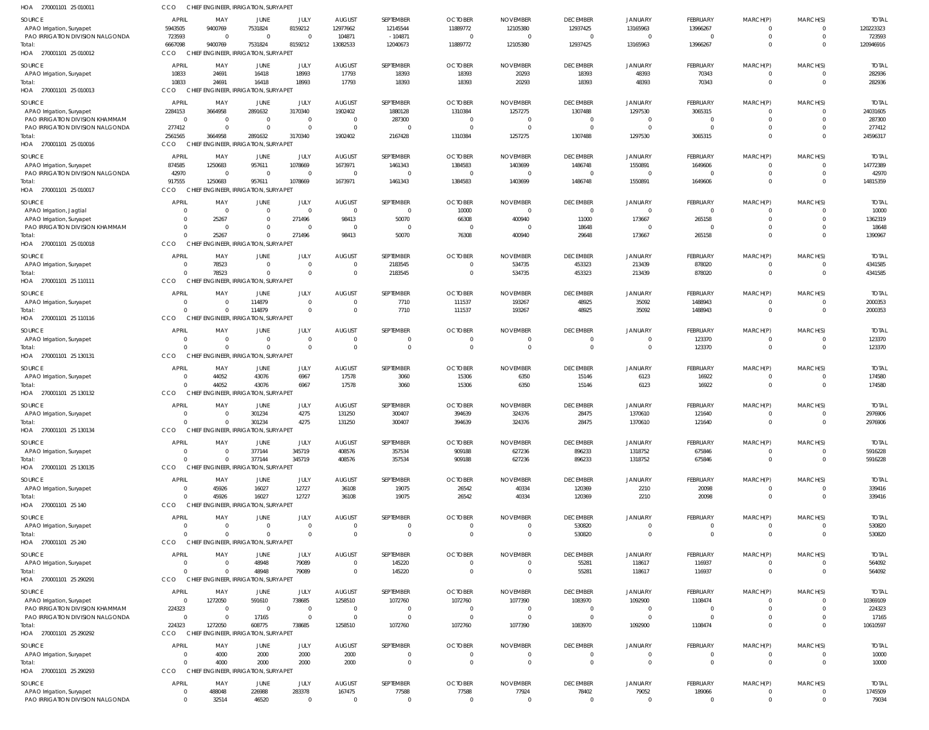| HOA 270001101 25 010011                                      | CCO                          |                     | CHIEF ENGINEER, IRRIGATION, SURYAPET           |                         |                        |                               |                         |                         |                               |                               |                      |                                |                                  |                        |
|--------------------------------------------------------------|------------------------------|---------------------|------------------------------------------------|-------------------------|------------------------|-------------------------------|-------------------------|-------------------------|-------------------------------|-------------------------------|----------------------|--------------------------------|----------------------------------|------------------------|
| SOURCE                                                       | APRIL                        | MAY                 | JUNE                                           | JULY                    | <b>AUGUST</b>          | SEPTEMBER                     | <b>OCTOBER</b>          | <b>NOVEMBER</b>         | <b>DECEMBER</b>               | <b>JANUARY</b>                | FEBRUARY             | MARCH(P)                       | MARCH(S)                         | <b>TOTAI</b>           |
| APAO Irrigation, Suryapet                                    | 5943505                      | 9400769             | 7531824                                        | 8159212                 | 12977662               | 12145544                      | 11889772                | 12105380                | 12937425                      | 13165963                      | 13966267             | $\Omega$                       | $\overline{0}$                   | 120223323              |
| PAO IRRIGATION DIVISION NALGONDA<br>Total:                   | 723593<br>6667098            | $\Omega$<br>9400769 | $\Omega$<br>7531824                            | $\Omega$<br>8159212     | 104871<br>13082533     | $-104871$<br>12040673         | - 0<br>11889772         | $\Omega$<br>12105380    | $\mathbf 0$<br>12937425       | $\Omega$<br>13165963          | $\Omega$<br>13966267 | $\mathbf 0$<br>$\Omega$        | $\overline{0}$<br>$\Omega$       | 723593<br>120946916    |
| HOA 270001101 25 010012                                      | <b>CCO</b>                   |                     | CHIEF ENGINEER, IRRIGATION, SURYAPET           |                         |                        |                               |                         |                         |                               |                               |                      |                                |                                  |                        |
| SOURCE                                                       | <b>APRIL</b>                 | MAY                 | JUNE                                           | JULY                    | <b>AUGUST</b>          | SEPTEMBER                     | <b>OCTOBER</b>          | <b>NOVEMBER</b>         | <b>DECEMBER</b>               | <b>JANUARY</b>                | FEBRUARY             | MARCH(P)                       | MARCH(S)                         | <b>TOTAL</b>           |
| APAO Irrigation, Suryapet                                    | 10833                        | 24691               | 16418                                          | 18993                   | 17793                  | 18393                         | 18393                   | 20293                   | 18393                         | 48393                         | 70343                | $\overline{0}$                 | $\overline{0}$                   | 282936                 |
| Total:                                                       | 10833                        | 24691               | 16418                                          | 18993                   | 17793                  | 18393                         | 18393                   | 20293                   | 18393                         | 48393                         | 70343                | $\mathbf 0$                    | $\overline{0}$                   | 282936                 |
| HOA 270001101 25 010013                                      | CCO                          |                     | CHIEF ENGINEER, IRRIGATION, SURYAPET           |                         |                        |                               |                         |                         |                               |                               |                      |                                |                                  |                        |
| SOURCE                                                       | APRIL                        | MAY                 | <b>JUNE</b>                                    | JULY                    | <b>AUGUST</b>          | SEPTEMBER                     | <b>OCTOBER</b>          | <b>NOVEMBER</b>         | <b>DECEMBER</b>               | <b>JANUARY</b>                | FEBRUARY             | MARCH(P)                       | MARCH(S)                         | <b>TOTAL</b>           |
| APAO Irrigation, Suryapet                                    | 2284153                      | 3664958             | 2891632                                        | 3170340                 | 1902402                | 1880128                       | 1310384                 | 1257275                 | 1307488                       | 1297530                       | 3065315              | $\Omega$                       | $\Omega$                         | 24031605               |
| <b>PAO IRRIGATION DIVISION KHAMMAM</b>                       | $\overline{0}$               | - 0                 | $\Omega$                                       | $\mathbf 0$             | $\Omega$               | 287300                        | $\Omega$                | $\Omega$                | $\mathbf 0$                   | $\Omega$                      | $\overline{0}$       | $\mathbf 0$                    | $\Omega$                         | 287300                 |
| PAO IRRIGATION DIVISION NALGONDA<br>Total:                   | 277412<br>2561565            | -C<br>3664958       | $\Omega$<br>2891632                            | $\Omega$<br>3170340     | 1902402                | $\Omega$<br>2167428           | 1310384                 | $\sqrt{ }$<br>1257275   | 0<br>1307488                  | 1297530                       | $\Omega$<br>3065315  | $\mathbf 0$<br>$\mathbf 0$     | $\Omega$<br>$\Omega$             | 277412<br>24596317     |
| HOA 270001101 25 010016                                      | CCO                          |                     | CHIEF ENGINEER, IRRIGATION, SURYAPET           |                         |                        |                               |                         |                         |                               |                               |                      |                                |                                  |                        |
| SOURCE                                                       | APRIL                        | MAY                 | JUNE                                           | JULY                    | <b>AUGUST</b>          | SEPTEMBER                     | <b>OCTOBER</b>          | <b>NOVEMBER</b>         | <b>DECEMBER</b>               | <b>JANUARY</b>                | FEBRUARY             | MARCH(P)                       | MARCH(S)                         | <b>TOTAL</b>           |
| APAO Irrigation, Suryapet                                    | 874585                       | 1250683             | 957611                                         | 1078669                 | 1673971                | 1461343                       | 1384583                 | 1403699                 | 1486748                       | 1550891                       | 1649606              | 0                              | $\Omega$                         | 14772389               |
| PAO IRRIGATION DIVISION NALGONDA                             | 42970                        | $\Omega$            | $\Omega$                                       | $\Omega$                | $\Omega$               | $\overline{0}$                | - 0                     | - 0                     | $\mathbf 0$                   | $\Omega$                      | $\Omega$             | $\mathbf 0$                    | $\overline{0}$                   | 42970                  |
| Total:                                                       | 917555                       | 1250683             | 957611                                         | 1078669                 | 1673971                | 1461343                       | 1384583                 | 1403699                 | 1486748                       | 1550891                       | 1649606              | $\mathbf 0$                    | $\Omega$                         | 14815359               |
| HOA 270001101 25 010017                                      | CCO                          |                     | CHIEF ENGINEER, IRRIGATION, SURYAPET           |                         |                        |                               |                         |                         |                               |                               |                      |                                |                                  |                        |
| SOURCE                                                       | APRIL                        | MAY                 | JUNE                                           | JULY                    | <b>AUGUST</b>          | SEPTEMBER                     | <b>OCTOBER</b>          | <b>NOVEMBER</b>         | <b>DECEMBER</b>               | <b>JANUARY</b>                | FEBRUARY             | MARCH(P)                       | MARCH(S)                         | <b>TOTAL</b>           |
| APAO Irrigation, Jagtial                                     | $\Omega$                     | - 0                 | $\Omega$                                       | $\Omega$                | $\Omega$               | $\Omega$                      | 10000                   | $\Omega$                | $\mathbf 0$                   | $\Omega$                      | $\Omega$             | $\Omega$                       | $\Omega$                         | 10000                  |
| APAO Irrigation, Suryapet<br>PAO IRRIGATION DIVISION KHAMMAM | $\Omega$<br>$\Omega$         | 25267<br>$\Omega$   | $\Omega$<br>$\Omega$                           | 271496<br>$\Omega$      | 98413<br>$\Omega$      | 50070<br>$\Omega$             | 66308<br>$\Omega$       | 400940<br>$\Omega$      | 11000<br>18648                | 173667<br>$\Omega$            | 265158<br>$\Omega$   | $\Omega$<br>$\Omega$           | $\Omega$<br>$\Omega$             | 1362319<br>18648       |
| Total:                                                       | $\Omega$                     | 25267               | $\Omega$                                       | 271496                  | 98413                  | 50070                         | 76308                   | 400940                  | 29648                         | 173667                        | 265158               | $\mathbf 0$                    | $\Omega$                         | 1390967                |
| HOA 270001101 25 010018                                      | CCO                          |                     | CHIEF ENGINEER, IRRIGATION, SURYAPE            |                         |                        |                               |                         |                         |                               |                               |                      |                                |                                  |                        |
| SOURCE                                                       | APRIL                        | MAY                 | <b>JUNE</b>                                    | JULY                    | <b>AUGUST</b>          | SEPTEMBER                     | <b>OCTOBER</b>          | <b>NOVEMBER</b>         | <b>DECEMBER</b>               | <b>JANUARY</b>                | FEBRUARY             | MARCH(P)                       | MARCH(S)                         | <b>TOTAL</b>           |
| APAO Irrigation, Suryapet                                    | $\overline{0}$               | 78523               | $\mathbf{0}$                                   | $\mathbf 0$             | $\Omega$               | 2183545                       | $\Omega$                | 534735                  | 453323                        | 213439                        | 878020               | $\mathbf 0$                    | $\overline{0}$                   | 4341585                |
| Total:                                                       | $\sqrt{2}$                   | 78523               | $\Omega$                                       | $\Omega$                | $\Omega$               | 2183545                       | $\Omega$                | 534735                  | 453323                        | 213439                        | 878020               | $\mathbf{0}$                   | $\Omega$                         | 4341585                |
| HOA 270001101 25 110111                                      | CCO                          |                     | CHIEF ENGINEER, IRRIGATION, SURYAPET           |                         |                        |                               |                         |                         |                               |                               |                      |                                |                                  |                        |
| SOURCE                                                       | <b>APRIL</b>                 | MAY                 | JUNE                                           | JULY                    | <b>AUGUST</b>          | SEPTEMBER                     | <b>OCTOBER</b>          | <b>NOVEMBER</b>         | <b>DECEMBER</b>               | JANUARY                       | FEBRUARY             | MARCH(P)                       | MARCH(S)                         | <b>TOTAL</b>           |
| APAO Irrigation, Suryapet                                    | $\Omega$                     |                     | 114879                                         | $\Omega$                | $\Omega$               | 7710                          | 111537                  | 193267                  | 48925                         | 35092                         | 1488943              | $\overline{0}$                 | $\overline{0}$                   | 2000353                |
| Total:                                                       | $\sqrt{2}$                   |                     | 114879                                         | $\Omega$                | $\Omega$               | 7710                          | 111537                  | 193267                  | 48925                         | 35092                         | 1488943              | $\mathbf{0}$                   | $\overline{0}$                   | 2000353                |
| HOA 270001101 25 110116                                      | CCO                          |                     | CHIEF ENGINEER, IRRIGATION, SURYAPET           |                         |                        |                               |                         |                         |                               |                               |                      |                                |                                  |                        |
| SOURCE                                                       | <b>APRIL</b>                 | MAY                 | JUNE                                           | JULY                    | <b>AUGUST</b>          | SEPTEMBER                     | <b>OCTOBER</b>          | <b>NOVEMBER</b>         | <b>DECEMBER</b>               | <b>JANUARY</b>                | FEBRUARY             | MARCH(P)                       | MARCH(S)                         | <b>TOTAL</b>           |
| APAO Irrigation, Suryapet                                    | $\overline{0}$<br>$\sqrt{2}$ | $\Omega$            | $\Omega$<br>$\Omega$                           | $\mathbf 0$<br>$\Omega$ | $\Omega$<br>$\Omega$   | $\overline{0}$<br>$\mathbf 0$ | $\Omega$<br>$\Omega$    | $\Omega$<br>$\Omega$    | $\mathbf 0$<br>$\overline{0}$ | $\mathbf 0$<br>$\overline{0}$ | 123370<br>123370     | $\overline{0}$<br>$\mathbf{0}$ | $\overline{0}$<br>$\overline{0}$ | 123370<br>123370       |
| Total:<br>HOA 270001101 25 130131                            | CCO                          |                     | CHIEF ENGINEER, IRRIGATION, SURYAPET           |                         |                        |                               |                         |                         |                               |                               |                      |                                |                                  |                        |
|                                                              |                              |                     |                                                |                         |                        |                               |                         |                         |                               |                               |                      |                                |                                  |                        |
| SOURCE<br>APAO Irrigation, Suryapet                          | APRIL<br>- 0                 | MAY<br>44052        | JUNE<br>43076                                  | JULY<br>6967            | <b>AUGUST</b><br>17578 | SEPTEMBER<br>3060             | <b>OCTOBER</b><br>15306 | <b>NOVEMBER</b><br>6350 | <b>DECEMBER</b><br>15146      | <b>JANUARY</b><br>6123        | FEBRUARY<br>16922    | MARCH(P)<br>$\Omega$           | MARCH(S)<br>$\Omega$             | <b>TOTAL</b><br>174580 |
| Total:                                                       | $\mathsf{C}$                 | 44052               | 43076                                          | 6967                    | 17578                  | 3060                          | 15306                   | 6350                    | 15146                         | 6123                          | 16922                | $\mathbf 0$                    | $\overline{0}$                   | 174580                 |
| HOA 270001101 25 130132                                      | CCO                          |                     | CHIEF ENGINEER, IRRIGATION, SURYAPET           |                         |                        |                               |                         |                         |                               |                               |                      |                                |                                  |                        |
| SOURCE                                                       | APRIL                        | MAY                 | JUNE                                           | JULY                    | <b>AUGUST</b>          | SEPTEMBER                     | <b>OCTOBER</b>          | <b>NOVEMBER</b>         | <b>DECEMBER</b>               | <b>JANUARY</b>                | FEBRUARY             | MARCH(P)                       | MARCH(S)                         | <b>TOTAL</b>           |
| APAO Irrigation, Suryapet                                    | $\Omega$                     | $\Omega$            | 301234                                         | 4275                    | 131250                 | 300407                        | 394639                  | 324376                  | 28475                         | 1370610                       | 121640               | $\Omega$                       | $\Omega$                         | 2976906                |
| Total:                                                       | $\Omega$                     | $\Omega$            | 301234                                         | 4275                    | 131250                 | 300407                        | 394639                  | 324376                  | 28475                         | 1370610                       | 121640               | $\overline{0}$                 | $\overline{0}$                   | 2976906                |
| HOA 270001101 25 130134                                      | CCO                          |                     | CHIEF ENGINEER, IRRIGATION, SURYAPET           |                         |                        |                               |                         |                         |                               |                               |                      |                                |                                  |                        |
| SOURCE                                                       | APRIL                        | MAY                 | JUNE                                           | JULY                    | <b>AUGUST</b>          | SEPTEMBER                     | <b>OCTOBER</b>          | <b>NOVEMBER</b>         | <b>DECEMBER</b>               | <b>JANUARY</b>                | FEBRUARY             | MARCH(P)                       | MARCH(S)                         | <b>TOTAL</b>           |
| APAO Irrigation, Suryapet                                    | $\overline{0}$               |                     | 377144                                         | 345719                  | 408576                 | 357534                        | 909188                  | 627236                  | 896233                        | 1318752                       | 675846               | $\mathbf 0$                    | $\overline{0}$                   | 5916228                |
| Total:                                                       | $\Omega$<br>CCO              |                     | 377144<br>CHIEF ENGINEER, IRRIGATION, SURYAPET | 345719                  | 408576                 | 357534                        | 909188                  | 627236                  | 896233                        | 1318752                       | 675846               | $\mathbf{0}$                   | $\Omega$                         | 5916228                |
| HOA 270001101 25 130135                                      |                              |                     |                                                |                         |                        |                               |                         |                         |                               |                               |                      |                                |                                  |                        |
| SOURCE                                                       | <b>APRIL</b>                 | MAY                 | JUNE                                           | JULY                    | <b>AUGUST</b>          | SEPTEMBER                     | <b>OCTOBER</b>          | <b>NOVEMBER</b>         | <b>DECEMBER</b>               | <b>JANUARY</b>                | FEBRUARY             | MARCH(P)                       | MARCH(S)                         | <b>TOTAL</b>           |
| APAO Irrigation, Suryapet<br>Total:                          | $\overline{0}$<br>$\Omega$   | 45926<br>45926      | 16027<br>16027                                 | 12727<br>12727          | 36108<br>36108         | 19075<br>19075                | 26542<br>26542          | 40334<br>40334          | 120369<br>120369              | 2210<br>2210                  | 20098<br>20098       | $\mathbf 0$<br>$\mathbf 0$     | $\overline{0}$<br>$\overline{0}$ | 339416<br>339416       |
| HOA 270001101 25 140                                         | CCO                          |                     | CHIEF ENGINEER, IRRIGATION, SURYAPET           |                         |                        |                               |                         |                         |                               |                               |                      |                                |                                  |                        |
| SOURCE                                                       | APRIL                        | MAY                 | <b>JUNE</b>                                    | JULY                    | <b>AUGUST</b>          | SEPTEMBER                     | <b>OCTOBER</b>          | <b>NOVEMBER</b>         | <b>DECEMBER</b>               | <b>JANUARY</b>                | FEBRUARY             | MARCH(P)                       | MARCH(S)                         | <b>TOTAL</b>           |
| APAO Irrigation, Suryapet                                    | $\Omega$                     | $\Omega$            | $\Omega$                                       | $\Omega$                | $\Omega$               | $\mathbf 0$                   | $\Omega$                |                         | 530820                        | $\Omega$                      | $\Omega$             | 0                              | $\overline{0}$                   | 530820                 |
| Total:                                                       | $\Omega$                     |                     | $\Omega$                                       | $\Omega$                | $\Omega$               | $\mathbf{0}$                  | $\Omega$                | $\Omega$                | 530820                        | $\Omega$                      | $\mathbf 0$          | $\mathbf 0$                    | $\overline{0}$                   | 530820                 |
| HOA 270001101 25 240                                         | CCO                          |                     | CHIEF ENGINEER, IRRIGATION, SURYAPET           |                         |                        |                               |                         |                         |                               |                               |                      |                                |                                  |                        |
| SOURCE                                                       | <b>APRIL</b>                 | MAY                 | JUNE                                           | JULY                    | <b>AUGUST</b>          | SEPTEMBER                     | <b>OCTOBER</b>          | <b>NOVEMBER</b>         | <b>DECEMBER</b>               | <b>JANUARY</b>                | FEBRUARY             | MARCH(P)                       | MARCH(S)                         | <b>TOTAL</b>           |
| APAO Irrigation, Suryapet                                    | $\Omega$                     | $\Omega$            | 48948                                          | 79089                   | $\Omega$               | 145220                        | $\Omega$                | $\Omega$                | 55281                         | 118617                        | 116937               | $\mathbf 0$                    | $^{\circ}$                       | 564092                 |
| Total:                                                       | $\mathsf{C}$                 |                     | 48948                                          | 79089                   | $\Omega$               | 145220                        | $\Omega$                | $\Omega$                | 55281                         | 118617                        | 116937               | $\mathbf{0}$                   | $\overline{0}$                   | 564092                 |
| HOA 270001101 25 290291                                      | CCO                          |                     | CHIEF ENGINEER, IRRIGATION, SURYAPET           |                         |                        |                               |                         |                         |                               |                               |                      |                                |                                  |                        |
| SOURCE                                                       | APRIL                        | MAY                 | JUNE                                           | JULY                    | <b>AUGUST</b>          | SEPTEMBER                     | <b>OCTOBER</b>          | <b>NOVEMBER</b>         | <b>DECEMBER</b>               | <b>JANUARY</b>                | FEBRUARY             | MARCH(P)                       | MARCH(S)                         | <b>TOTAL</b>           |
| APAO Irrigation, Suryapet<br>PAO IRRIGATION DIVISION KHAMMAM | $\overline{0}$               | 1272050<br>- 0      | 591610<br>$\Omega$                             | 738685<br>$\mathbf 0$   | 1258510                | 1072760<br>$\overline{0}$     | 1072760                 | 1077390                 | 1083970<br>0                  | 1092900<br>$\Omega$           | 1108474<br>0         | $\Omega$<br>$\Omega$           | $\Omega$<br>$\Omega$             | 10369109               |
| PAO IRRIGATION DIVISION NALGONDA                             | 224323<br>$\overline{0}$     | $\Omega$            | 17165                                          | $\Omega$                |                        | $\overline{0}$                | $\Omega$                | $\Omega$                | $\Omega$                      | $\Omega$                      | $\Omega$             | $\Omega$                       | $\Omega$                         | 224323<br>17165        |
| Total:                                                       | 224323                       | 1272050             | 608775                                         | 738685                  | 1258510                | 1072760                       | 1072760                 | 1077390                 | 1083970                       | 1092900                       | 1108474              | $\Omega$                       | $\Omega$                         | 10610597               |
| HOA 270001101 25 290292                                      | CCO                          |                     | CHIEF ENGINEER, IRRIGATION, SURYAPE            |                         |                        |                               |                         |                         |                               |                               |                      |                                |                                  |                        |
| SOURCE                                                       | <b>APRIL</b>                 | MAY                 | JUNE                                           | JULY                    | <b>AUGUST</b>          | SEPTEMBER                     | <b>OCTOBER</b>          | <b>NOVEMBER</b>         | <b>DECEMBER</b>               | <b>JANUARY</b>                | FEBRUARY             | MARCH(P)                       | MARCH(S)                         | <b>TOTAL</b>           |
| APAO Irrigation, Suryapet                                    | $\overline{0}$               | 4000                | 2000                                           | 2000                    | 2000                   | $\overline{0}$                | $\Omega$                | $\Omega$                | $\mathbf 0$                   | $\mathbf 0$                   | $\mathbf 0$          | 0                              | $\overline{0}$                   | 10000                  |
| Total:                                                       | $\Omega$                     | 4000                | 2000                                           | 2000                    | 2000                   | $\mathbf 0$                   | $\Omega$                | $\Omega$                | $\mathbf{0}$                  | $\overline{0}$                | $\mathbf{0}$         | $\mathbf{0}$                   | $\overline{0}$                   | 10000                  |
| HOA 270001101 25 290293                                      | CCO                          |                     | CHIEF ENGINEER, IRRIGATION, SURYAPET           |                         |                        |                               |                         |                         |                               |                               |                      |                                |                                  |                        |
| SOURCE                                                       | <b>APRIL</b>                 | MAY                 | JUNE                                           | JULY                    | <b>AUGUST</b>          | SEPTEMBER                     | <b>OCTOBER</b>          | <b>NOVEMBER</b>         | <b>DECEMBER</b>               | <b>JANUARY</b>                | FEBRUARY             | MARCH(P)                       | MARCH(S)                         | <b>TOTAL</b>           |
| APAO Irrigation, Suryapet                                    | $\overline{0}$               | 488048              | 226988                                         | 283378                  | 167475                 | 77588                         | 77588                   | 77924                   | 78402                         | 79052                         | 189066               | 0                              | $\overline{0}$                   | 1745509                |
| PAO IRRIGATION DIVISION NALGONDA                             | $\overline{0}$               | 32514               | 46520                                          | $\mathbf 0$             | $\overline{0}$         | $\mathbf 0$                   | $\Omega$                | $\Omega$                | $\mathbf 0$                   | $\overline{0}$                | $\overline{0}$       | $\mathbf 0$                    | $\overline{0}$                   | 79034                  |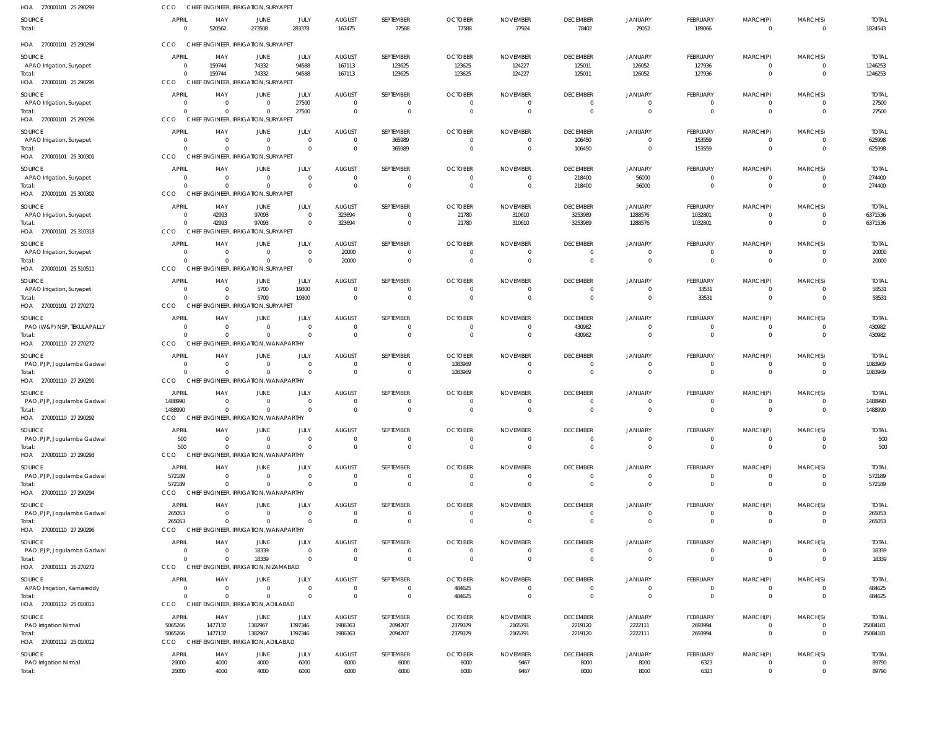| HOA 270001101 25 290293                                         | CCO                                  |                                           | CHIEF ENGINEER, IRRIGATION, SURYAPET                               |                            |                                                |                                |                                    |                                     |                                                     |                                       |                                         |                                        |                                              |                                    |
|-----------------------------------------------------------------|--------------------------------------|-------------------------------------------|--------------------------------------------------------------------|----------------------------|------------------------------------------------|--------------------------------|------------------------------------|-------------------------------------|-----------------------------------------------------|---------------------------------------|-----------------------------------------|----------------------------------------|----------------------------------------------|------------------------------------|
| SOURCE<br>Total:                                                | APRIL<br>$\Omega$                    | MAY<br>520562                             | JUNE<br>273508                                                     | JULY<br>283378             | <b>AUGUST</b><br>167475                        | SEPTEMBER<br>77588             | <b>OCTOBER</b><br>77588            | <b>NOVEMBER</b><br>77924            | <b>DECEMBER</b><br>78402                            | JANUARY<br>79052                      | FEBRUARY<br>189066                      | MARCH(P)<br>$\Omega$                   | MARCH(S)<br>$\overline{\mathbf{0}}$          | <b>TOTAL</b><br>1824543            |
| HOA 270001101 25 290294                                         | CCO                                  |                                           | CHIEF ENGINEER, IRRIGATION, SURYAPET                               |                            |                                                |                                |                                    |                                     |                                                     |                                       |                                         |                                        |                                              |                                    |
| SOURCE<br>APAO Irrigation, Suryapet<br>Total:                   | APRIL<br>$\Omega$<br>$\Omega$        | MAY<br>159744<br>159744                   | JUNE<br>74332<br>74332                                             | JULY<br>94588<br>94588     | <b>AUGUST</b><br>167113<br>167113              | SEPTEMBER<br>123625<br>123625  | <b>OCTOBER</b><br>123625<br>123625 | <b>NOVEMBER</b><br>124227<br>124227 | <b>DECEMBER</b><br>125011<br>125011                 | JANUARY<br>126052<br>126052           | FEBRUARY<br>127936<br>127936            | MARCH(P)<br>$\Omega$<br>$\overline{0}$ | MARCH(S)<br>$\overline{0}$<br>$\overline{0}$ | <b>TOTAL</b><br>1246253<br>1246253 |
| HOA 270001101 25 290295                                         | <b>CCO</b>                           |                                           | CHIEF ENGINEER, IRRIGATION, SURYAPE                                |                            |                                                |                                | <b>OCTOBER</b>                     |                                     |                                                     |                                       |                                         |                                        |                                              |                                    |
| SOURCE<br>APAO Irrigation, Suryapet<br>Total:                   | <b>APRIL</b><br>$\Omega$<br>$\Omega$ | MAY<br>$\overline{0}$<br>$\Omega$         | JUNE<br>$\mathbf{0}$<br>$\Omega$                                   | JULY<br>27500<br>27500     | <b>AUGUST</b><br>$\mathbf 0$<br>$\overline{0}$ | SEPTEMBER<br>0<br>$\mathbf{0}$ | $\overline{0}$<br>$\Omega$         | <b>NOVEMBER</b><br>- 0<br>- 0       | <b>DECEMBER</b><br>$\overline{0}$<br>$\overline{0}$ | JANUARY<br>$\mathbf 0$<br>$\mathbf 0$ | FEBRUARY<br>$\mathbf 0$<br>$\mathbf{0}$ | MARCH(P)<br>$\overline{0}$<br>$\Omega$ | MARCH(S)<br>$\overline{0}$<br>$\overline{0}$ | <b>TOTAL</b><br>27500<br>27500     |
| HOA 270001101 25 290296                                         | CCO                                  |                                           | CHIEF ENGINEER, IRRIGATION, SURYAPET                               |                            |                                                |                                |                                    |                                     |                                                     |                                       |                                         |                                        |                                              |                                    |
| SOURCE<br>APAO Irrigation, Suryapet                             | APRIL<br>$\Omega$                    | MAY<br>$\Omega$                           | JUNE<br>$\mathbf{0}$                                               | JULY<br>$\Omega$           | <b>AUGUST</b><br>$\overline{0}$                | SEPTEMBER<br>365989            | <b>OCTOBER</b><br>$\overline{0}$   | <b>NOVEMBER</b><br>$\Omega$         | <b>DECEMBER</b><br>106450                           | JANUARY<br>$\mathbf 0$                | FEBRUARY<br>153559                      | MARCH(P)                               | MARCH(S)<br>$\overline{0}$                   | <b>TOTAL</b><br>625998             |
| Total:<br>HOA 270001101 25 300301                               | $\Omega$<br>CCO                      | $\overline{0}$                            | $\mathbf{0}$<br>CHIEF ENGINEER, IRRIGATION, SURYAPET               | $\overline{0}$             | $\overline{0}$                                 | 365989                         | $\overline{0}$                     | $\mathbf 0$                         | 106450                                              | $\mathbf 0$                           | 153559                                  | $\overline{0}$                         | $\overline{0}$                               | 625998                             |
| SOURCE                                                          | APRIL                                | MAY                                       | JUNE                                                               | JULY                       | <b>AUGUST</b>                                  | SEPTEMBER                      | <b>OCTOBER</b>                     | <b>NOVEMBER</b>                     | <b>DECEMBER</b>                                     | JANUARY                               | FEBRUARY                                | MARCH(P)                               | MARCH(S)                                     | <b>TOTAL</b>                       |
| APAO Irrigation, Suryapet<br>Total:                             | $\Omega$<br>$\Omega$                 | $\overline{0}$<br>$\Omega$                | $\overline{0}$<br>$\mathbf{0}$                                     | $\Omega$<br>$\Omega$       | $\overline{0}$<br>$\overline{0}$               | 0<br>$\mathbf 0$               | - 0<br>$\overline{0}$              | $\Omega$<br>$\overline{0}$          | 218400<br>218400                                    | 56000<br>56000                        | $\mathbf 0$<br>$\mathbf 0$              | $\overline{0}$<br>$\mathbf{0}$         | $\overline{0}$<br>$\overline{0}$             | 274400<br>274400                   |
| HOA 270001101 25 300302                                         | CCO<br>APRIL                         | MAY                                       | CHIEF ENGINEER, IRRIGATION, SURYAPET<br>JUNE                       | JULY                       | <b>AUGUST</b>                                  | SEPTEMBER                      | <b>OCTOBER</b>                     | <b>NOVEMBER</b>                     | <b>DECEMBER</b>                                     | JANUARY                               | FEBRUARY                                |                                        | MARCH(S)                                     | <b>TOTAL</b>                       |
| SOURCE<br>APAO Irrigation, Suryapet                             | $\Omega$                             | 42993                                     | 97093                                                              | $\Omega$                   | 323694                                         | 0                              | 21780                              | 310610                              | 3253989                                             | 1288576                               | 1032801                                 | MARCH(P)<br>$\Omega$                   | $\overline{0}$                               | 6371536                            |
| Total:<br>HOA 270001101 25 310318                               | $\Omega$<br>CCO<br>CHIEI             | 42993                                     | 97093<br>ENGINEER, IRRIGATION, SURYAPET                            | $\overline{0}$             | 323694                                         | $\mathbf 0$                    | 21780                              | 310610                              | 3253989                                             | 1288576                               | 1032801                                 | $\Omega$                               | $\overline{0}$                               | 6371536                            |
| SOURCE                                                          | APRIL                                | MAY                                       | JUNE                                                               | JULY                       | <b>AUGUST</b>                                  | SEPTEMBER                      | <b>OCTOBER</b>                     | <b>NOVEMBER</b>                     | <b>DECEMBER</b>                                     | JANUARY                               | FEBRUARY                                | MARCH(P)                               | MARCH(S)                                     | <b>TOTAL</b>                       |
| APAO Irrigation, Suryapet<br>Total:                             | $\Omega$<br>$\Omega$                 | $\overline{0}$<br>$\overline{0}$          | $\mathbf{0}$<br>$\mathbf{0}$                                       | $\Omega$<br>$\overline{0}$ | 20000<br>20000                                 | $\mathbf{0}$<br>$\mathbf 0$    | $\overline{0}$<br>$\overline{0}$   | $\overline{0}$<br>$\Omega$          | $\overline{0}$<br>$\overline{0}$                    | $\mathbf 0$<br>$\mathbf 0$            | $\mathbf 0$<br>$\mathbf{0}$             | $\mathbf{0}$<br>$\mathbf{0}$           | $\overline{0}$<br>$\overline{0}$             | 20000<br>20000                     |
| HOA 270001101 25 510511                                         | <b>CCO</b>                           |                                           | CHIEF ENGINEER, IRRIGATION, SURYAPET                               |                            |                                                |                                |                                    |                                     |                                                     |                                       |                                         |                                        |                                              |                                    |
| SOURCE<br>APAO Irrigation, Suryapet                             | APRIL<br>$\Omega$                    | MAY<br>$\overline{0}$                     | JUNE<br>5700                                                       | JULY<br>19300              | <b>AUGUST</b><br>0                             | SEPTEMBER<br>$\Omega$          | <b>OCTOBER</b><br>$\overline{0}$   | <b>NOVEMBER</b><br>0                | <b>DECEMBER</b><br>0                                | JANUARY<br>0                          | FEBRUARY<br>33531                       | MARCH(P)                               | MARCH(S)<br>$\Omega$                         | <b>TOTAL</b><br>58531              |
| Total:<br>HOA 270001101 27 270272                               | $\cap$<br>CCO                        | $\Omega$                                  | 5700<br>CHIEF ENGINEER, IRRIGATION, SURYAPET                       | 19300                      | $\overline{0}$                                 | $\Omega$                       | $\overline{0}$                     | $\Omega$                            | $\overline{0}$                                      | $\mathbf 0$                           | 33531                                   | $\overline{0}$                         | $\overline{0}$                               | 58531                              |
| SOURCE                                                          | <b>APRIL</b>                         | MAY                                       | JUNE                                                               | JULY                       | <b>AUGUST</b>                                  | SEPTEMBER                      | <b>OCTOBER</b>                     | <b>NOVEMBER</b>                     | <b>DECEMBER</b>                                     | JANUARY                               | FEBRUARY                                | MARCH(P)                               | MARCH(S)                                     | <b>TOTAL</b>                       |
| PAO (W&P) NSP, TEKULAPALLY<br>Total:                            | $\Omega$<br>$\Omega$                 | $\overline{\mathbf{0}}$<br>$\overline{0}$ | $\mathbf{0}$<br>$\mathbf{0}$                                       | $\Omega$<br>$\Omega$       | $\overline{0}$<br>$\overline{0}$               | 0<br>$\mathbf 0$               | $\overline{0}$<br>$\overline{0}$   | $\Omega$<br>$\mathbf 0$             | 430982<br>430982                                    | $\mathbf 0$<br>$\mathbf 0$            | $\mathbf 0$<br>$\mathbf{0}$             | $\overline{0}$<br>$\mathbf{0}$         | $\overline{0}$<br>$\overline{0}$             | 430982<br>430982                   |
| HOA 270001110 27 270272                                         | CCO                                  |                                           | CHIEF ENGINEER, IRRIGATION, WANAPARTHY                             |                            |                                                |                                |                                    |                                     |                                                     |                                       |                                         |                                        |                                              |                                    |
| SOURCE                                                          | APRIL                                | MAY                                       | JUNE                                                               | JULY                       | <b>AUGUST</b>                                  | SEPTEMBER                      | <b>OCTOBER</b>                     | <b>NOVEMBER</b>                     | <b>DECEMBER</b>                                     | <b>JANUARY</b>                        | FEBRUARY                                | MARCH(P)                               | MARCH(S)                                     | <b>TOTAL</b>                       |
| PAO, PJP, Jogulamba Gadwal<br>Total:                            | $\Omega$<br>$\Omega$                 | $\overline{0}$<br>$\Omega$                | $\mathbf{0}$<br>$\Omega$                                           | $\Omega$<br>$\Omega$       | $\overline{0}$<br>$\Omega$                     | 0<br>$\mathbf 0$               | 1083969<br>1083969                 | $\mathbf 0$<br>$\Omega$             | 0<br>$\overline{0}$                                 | $\mathbf 0$<br>$\mathbf 0$            | $^{\circ}$<br>$\Omega$                  | $\overline{0}$<br>$\Omega$             | $\overline{0}$<br>$\overline{0}$             | 1083969<br>1083969                 |
| HOA 270001110 27 290291                                         | <b>CCO</b>                           |                                           | CHIEF ENGINEER, IRRIGATION, WANAPARTHY                             |                            |                                                |                                |                                    |                                     |                                                     |                                       |                                         |                                        |                                              |                                    |
| SOURCE<br>PAO, PJP, Jogulamba Gadwal                            | <b>APRIL</b><br>1488990              | MAY<br>$\overline{0}$                     | JUNE<br>$\mathbf{0}$                                               | JULY<br>$\Omega$           | <b>AUGUST</b><br>$\overline{0}$                | SEPTEMBER<br>$\Omega$          | <b>OCTOBER</b><br>$\Omega$         | <b>NOVEMBER</b><br>$\Omega$         | <b>DECEMBER</b><br>$\overline{0}$                   | JANUARY<br>$\mathbf 0$                | FEBRUARY<br>$\mathbf 0$                 | MARCH(P)<br>$\Omega$                   | MARCH(S)<br>$\overline{0}$                   | <b>TOTAL</b><br>1488990            |
| Total:<br>HOA 270001110 27 290292                               | 1488990<br>CCO                       | $\Omega$                                  | $\Omega$<br>CHIEF ENGINEER, IRRIGATION, WANAPARTHY                 | $\Omega$                   | $\Omega$                                       | $\Omega$                       | $\cap$                             |                                     | $\Omega$                                            | $\Omega$                              | $\Omega$                                | $\Omega$                               | $\Omega$                                     | 1488990                            |
| SOURCE                                                          | APRIL                                | MAY                                       | JUNE                                                               | JULY                       | <b>AUGUST</b>                                  | SEPTEMBER                      | <b>OCTOBER</b>                     | <b>NOVEMBER</b>                     | <b>DECEMBER</b>                                     | JANUARY                               | FEBRUARY                                | MARCH(P)                               | MARCH(S)                                     | <b>TOTAL</b>                       |
| PAO, PJP, Jogulamba Gadwal<br>Total:                            | 500<br>500                           | $\overline{0}$<br>$\Omega$                | $\mathbf{0}$<br>$\Omega$                                           | $\overline{0}$<br>$\Omega$ | $\overline{0}$<br>$\mathbf{0}$                 | 0<br>$\mathbf 0$               | $\overline{0}$<br>$\overline{0}$   | $^{\circ}$<br>$\Omega$              | 0<br>$\overline{0}$                                 | 0<br>$\mathbf{0}$                     | 0<br>$\mathbf 0$                        | $\overline{0}$                         | $\mathbf 0$<br>$\overline{0}$                | 500<br>500                         |
| HOA 270001110 27 290293                                         | CCO                                  |                                           | CHIEF ENGINEER, IRRIGATION, WANAPARTHY                             |                            |                                                |                                |                                    |                                     |                                                     |                                       |                                         |                                        |                                              |                                    |
| SOURCE                                                          | <b>APRIL</b>                         | MAY                                       | JUNE                                                               | JULY<br>$\Omega$           | <b>AUGUST</b>                                  | SEPTEMBER                      | <b>OCTOBER</b>                     | <b>NOVEMBER</b>                     | <b>DECEMBER</b>                                     | JANUARY                               | FEBRUARY                                | MARCH(P)                               | MARCH(S)                                     | <b>TOTAL</b>                       |
| PAO, PJP, Jogulamba Gadwal<br>Total:<br>HOA 270001110 27 290294 | 572189<br>572189<br>CCO              | $\overline{\mathbf{0}}$<br>$\overline{0}$ | $\mathbf{0}$<br>$\Omega$<br>CHIEF ENGINEER, IRRIGATION, WANAPARTHY | $\Omega$                   | $\overline{0}$<br>$\overline{0}$               | 0<br>$\mathbf 0$               | $\overline{0}$<br>$\overline{0}$   | 0<br>$\mathsf{C}$                   | $\overline{0}$<br>$\overline{0}$                    | $\mathbf 0$<br>$\mathbf 0$            | 0<br>$\mathbf 0$                        | $\overline{0}$<br>$\mathbf{0}$         | $\overline{0}$<br>$\overline{0}$             | 572189<br>572189                   |
| SOURCE                                                          | <b>APRIL</b>                         | MAY                                       | JUNE                                                               | JULY                       | <b>AUGUST</b>                                  | SEPTEMBER                      | <b>OCTOBER</b>                     | <b>NOVEMBER</b>                     | <b>DECEMBER</b>                                     | JANUARY                               | FEBRUARY                                | MARCH(P)                               | MARCH(S)                                     | <b>TOTAL</b>                       |
| PAO, PJP, Jogulamba Gadwal                                      | 265053                               | $\overline{0}$                            | $\mathbf{0}$                                                       | $\Omega$                   | $\overline{0}$                                 | $\mathbf{0}$                   | $\overline{0}$                     | $\overline{0}$                      | $\overline{0}$                                      | $\mathbf 0$                           | $^{\circ}$                              | $\overline{0}$                         | $\overline{0}$                               | 265053                             |
| Total:<br>HOA 270001110 27 290296                               | 265053<br>CCO                        | $\Omega$                                  | $\Omega$<br>CHIEF ENGINEER, IRRIGATION, WANAPARTHY                 | $\Omega$                   | $\overline{0}$                                 | $\mathbf 0$                    | $\overline{0}$                     | $\Omega$                            | $\mathbf 0$                                         | $\mathbf 0$                           | $\Omega$                                | $\Omega$                               | $\overline{0}$                               | 265053                             |
| SOURCE                                                          | <b>APRIL</b>                         | MAY                                       | JUNE                                                               | JULY                       | <b>AUGUST</b>                                  | SEPTEMBER                      | <b>OCTOBER</b>                     | <b>NOVEMBER</b>                     | <b>DECEMBER</b>                                     | JANUARY                               | FEBRUARY                                | MARCH(P)                               | MARCH(S)                                     | <b>TOTAL</b>                       |
| PAO, PJP, Jogulamba Gadwal<br>Total:                            | $\Omega$<br>$\Omega$                 | $\overline{0}$<br>$\Omega$                | 18339<br>18339                                                     | $\Omega$<br>$\overline{0}$ | $\mathbf 0$<br>$\overline{0}$                  | $\mathbf{0}$<br>$\mathbf 0$    | $\overline{0}$<br>$\overline{0}$   | - 0<br>- 0                          | $\overline{0}$<br>$\overline{0}$                    | $\mathbf 0$<br>$\overline{0}$         | $\mathbf 0$<br>$\mathbf{0}$             | $\overline{0}$<br>$\mathbf{0}$         | $\overline{0}$<br>$\overline{0}$             | 18339<br>18339                     |
| HOA 270001111 26 270272                                         | CCO                                  |                                           | CHIEF ENGINEER, IRRIGATION, NIZAMABAD                              |                            |                                                |                                |                                    |                                     |                                                     |                                       |                                         |                                        |                                              |                                    |
| SOURCE                                                          | <b>APRIL</b><br>$\Omega$             | MAY<br>$\overline{0}$                     | JUNE<br>$\Omega$                                                   | JULY<br>$\Omega$           | <b>AUGUST</b><br>$\overline{0}$                | SEPTEMBER<br>$\Omega$          | <b>OCTOBER</b>                     | <b>NOVEMBER</b><br>$\Omega$         | <b>DECEMBER</b><br>$\overline{0}$                   | JANUARY<br>$\mathbf 0$                | FEBRUARY<br>$^{\circ}$                  | MARCH(P)                               | MARCH(S)<br>$\overline{0}$                   | <b>TOTAL</b><br>484625             |
| APAO Irrigation, Kamareddy<br>Total:                            | $\Omega$                             | $\overline{0}$                            | $\mathbf{0}$                                                       | $\Omega$                   | $\overline{0}$                                 | $\mathbf 0$                    | 484625<br>484625                   | $\overline{0}$                      | $\overline{0}$                                      | $\mathbf 0$                           | $\mathbf 0$                             | $\overline{0}$                         | $\overline{\mathbf{0}}$                      | 484625                             |
| HOA 270001112 25 010011                                         | CCO                                  |                                           | CHIEF ENGINEER, IRRIGATION, ADILABAD                               |                            |                                                |                                |                                    |                                     |                                                     |                                       |                                         |                                        |                                              |                                    |
| SOURCE<br>PAO Irrigation Nirmal                                 | APRIL<br>5065266                     | MAY<br>1477137                            | JUNE<br>1382967                                                    | JULY<br>1397346            | <b>AUGUST</b><br>1986363                       | SEPTEMBER<br>2094707           | <b>OCTOBER</b><br>2379379          | <b>NOVEMBER</b><br>2165791          | <b>DECEMBER</b><br>2219120                          | JANUARY<br>2222111                    | FEBRUARY<br>2693994                     | MARCH(P)<br>$\overline{0}$             | MARCH(S)<br>$\overline{0}$                   | <b>TOTAL</b><br>25084181           |
| Total:                                                          | 5065266                              | 1477137                                   | 1382967                                                            | 1397346                    | 1986363                                        | 2094707                        | 2379379                            | 2165791                             | 2219120                                             | 2222111                               | 2693994                                 | $\mathbf{0}$                           | $\overline{0}$                               | 25084181                           |
| HOA 270001112 25 010012                                         | CCO                                  |                                           | CHIEF ENGINEER, IRRIGATION, ADILABAD                               |                            |                                                |                                |                                    |                                     |                                                     |                                       |                                         |                                        |                                              |                                    |
| SOURCE<br>PAO Irrigation Nirmal                                 | <b>APRIL</b><br>26000                | MAY<br>4000                               | JUNE<br>4000                                                       | JULY<br>6000               | <b>AUGUST</b><br>6000                          | SEPTEMBER<br>6000              | <b>OCTOBER</b><br>6000             | <b>NOVEMBER</b><br>9467             | <b>DECEMBER</b><br>8000                             | JANUARY<br>8000                       | FEBRUARY<br>6323                        | MARCH(P)<br>$\overline{0}$             | MARCH(S)<br>$\overline{0}$                   | <b>TOTAL</b><br>89790              |
| Total:                                                          | 26000                                | 4000                                      | 4000                                                               | 6000                       | 6000                                           | 6000                           | 6000                               | 9467                                | 8000                                                | 8000                                  | 6323                                    | $\overline{0}$                         | $\overline{0}$                               | 89790                              |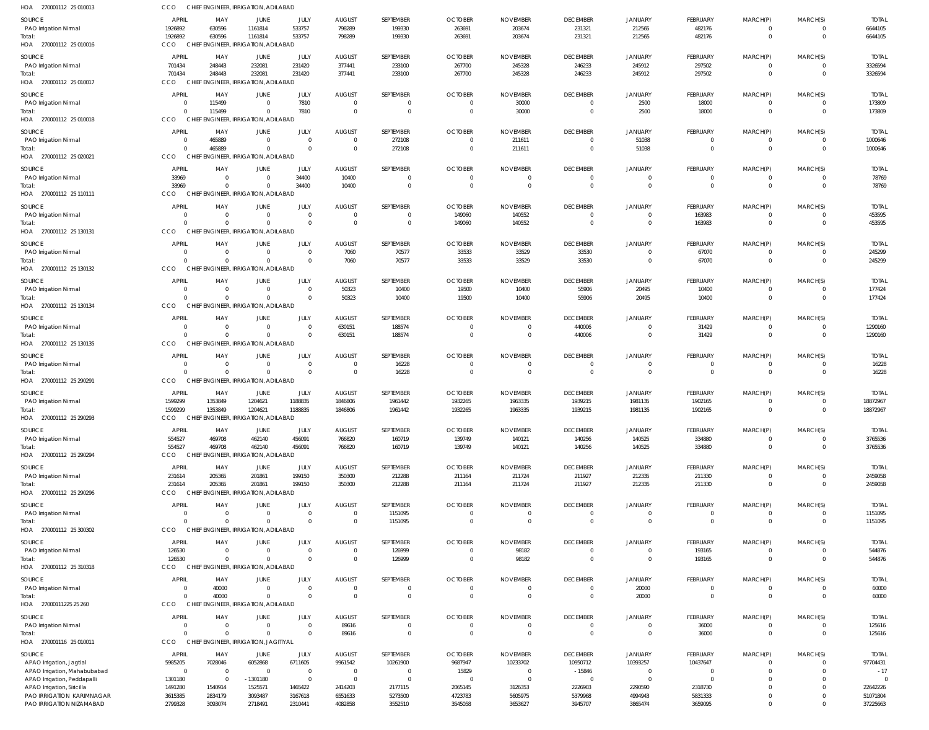| SOURCE                                                  | <b>APRIL</b>               | MAY                                              | JUNE                                      | JULY                             | <b>AUGUST</b>                                      | SEPTEMBER                   | <b>OCTOBER</b>                   | <b>NOVEMBER</b>                  | <b>DECEMBER</b>                   | <b>JANUARY</b>                   | FEBRUARY                         | MARCH(P)                   | MARCH(S)                       | <b>TOTAL</b>            |
|---------------------------------------------------------|----------------------------|--------------------------------------------------|-------------------------------------------|----------------------------------|----------------------------------------------------|-----------------------------|----------------------------------|----------------------------------|-----------------------------------|----------------------------------|----------------------------------|----------------------------|--------------------------------|-------------------------|
| PAO Irrigation Nirmal                                   | 1926892                    | 630596                                           | 1161814                                   | 533757                           | 798289                                             | 199330                      | 263691                           | 203674                           | 231321                            | 212565                           | 482176                           | $\mathbf 0$                | $\overline{0}$                 | 6644105                 |
| Total:<br>HOA 270001112 25 010016                       | 1926892<br>CCO.            | 630596<br>CHIEF ENGINEER, IRRIGATION, ADILABAD   | 1161814                                   | 533757                           | 798289                                             | 199330                      | 263691                           | 203674                           | 231321                            | 212565                           | 482176                           | $\mathbf 0$                | $\overline{0}$                 | 6644105                 |
|                                                         |                            |                                                  |                                           |                                  |                                                    |                             |                                  |                                  |                                   |                                  |                                  |                            |                                |                         |
| SOURCE<br>PAO Irrigation Nirmal                         | <b>APRIL</b><br>701434     | MAY<br>248443                                    | JUNE<br>232081                            | JULY<br>231420                   | <b>AUGUST</b><br>377441                            | SEPTEMBER<br>233100         | <b>OCTOBER</b><br>267700         | <b>NOVEMBER</b><br>245328        | <b>DECEMBER</b><br>246233         | <b>JANUARY</b><br>245912         | FEBRUARY<br>297502               | MARCH(P)<br>$\mathbf 0$    | MARCH(S)<br>$\overline{0}$     | <b>TOTAL</b><br>3326594 |
| Total:                                                  | 701434                     | 248443                                           | 232081                                    | 231420                           | 377441                                             | 233100                      | 267700                           | 245328                           | 246233                            | 245912                           | 297502                           | $\mathbf 0$                | $\overline{0}$                 | 3326594                 |
| HOA 270001112 25 010017                                 | <b>CCO</b>                 | CHIEF ENGINEER, IRRIGATION, ADILABAD             |                                           |                                  |                                                    |                             |                                  |                                  |                                   |                                  |                                  |                            |                                |                         |
| SOURCE                                                  | APRIL                      | MAY                                              | JUNE                                      | JULY                             | <b>AUGUST</b>                                      | SEPTEMBER                   | <b>OCTOBER</b>                   | <b>NOVEMBER</b>                  | <b>DECEMBER</b>                   | <b>JANUARY</b>                   | FEBRUARY                         | MARCH(P)                   | MARCH(S)                       | <b>TOTAL</b>            |
| PAO Irrigation Nirmal                                   | $\Omega$                   | 115499                                           | $\overline{0}$                            | 7810                             | $\overline{\mathbf{0}}$                            | $\overline{0}$              | 0                                | 30000                            | $\overline{0}$                    | 2500                             | 18000                            | $^{\circ}$                 | $\mathbf{0}$                   | 173809                  |
| Total:<br>HOA 270001112 25 010018                       | $\Omega$<br>CCO            | 115499<br>CHIEF ENGINEER, IRRIGATION, ADILABAD   | $\overline{0}$                            | 7810                             | $\overline{\mathbf{0}}$                            | $\mathbf{0}$                | $\overline{\mathbf{0}}$          | 30000                            | $\overline{0}$                    | 2500                             | 18000                            | $\mathbf 0$                | $\overline{0}$                 | 173809                  |
|                                                         |                            |                                                  |                                           |                                  |                                                    |                             |                                  |                                  |                                   |                                  |                                  |                            |                                |                         |
| SOURCE<br>PAO Irrigation Nirmal                         | <b>APRIL</b><br>$\Omega$   | MAY<br>465889                                    | <b>JUNE</b><br>$\overline{\mathbf{0}}$    | JULY<br>$\overline{0}$           | <b>AUGUST</b><br>$\overline{\mathbf{0}}$           | SEPTEMBER<br>272108         | <b>OCTOBER</b><br>$\overline{0}$ | <b>NOVEMBER</b><br>211611        | <b>DECEMBER</b><br>$\overline{0}$ | <b>JANUARY</b><br>51038          | FEBRUARY<br>$\overline{0}$       | MARCH(P)<br>0              | MARCH(S)<br>$\mathbf{0}$       | <b>TOTAL</b><br>1000646 |
| Total:                                                  | $\Omega$                   | 465889                                           | $\overline{0}$                            | $\Omega$                         | $\overline{0}$                                     | 272108                      | $\overline{0}$                   | 211611                           | $\Omega$                          | 51038                            | $\overline{0}$                   | $\mathbf 0$                | $\overline{0}$                 | 1000646                 |
| HOA 270001112 25 020021                                 | CCO                        | CHIEF ENGINEER, IRRIGATION, ADILABAD             |                                           |                                  |                                                    |                             |                                  |                                  |                                   |                                  |                                  |                            |                                |                         |
| SOURCE                                                  | <b>APRIL</b>               | MAY                                              | <b>JUNE</b>                               | JULY                             | <b>AUGUST</b>                                      | SEPTEMBER                   | <b>OCTOBER</b>                   | <b>NOVEMBER</b>                  | <b>DECEMBER</b>                   | <b>JANUARY</b>                   | <b>FEBRUARY</b>                  | MARCH(P)                   | MARCH(S)                       | <b>TOTAL</b>            |
| PAO Irrigation Nirmal                                   | 33969                      | $\overline{0}$                                   | $\overline{0}$                            | 34400                            | 10400                                              | $\overline{0}$              | $\overline{0}$                   | $\mathbf 0$                      | $\Omega$                          | $\Omega$                         | $\overline{0}$                   | $\mathbf 0$                | $\overline{0}$                 | 78769                   |
| Total:                                                  | 33969                      | $\Omega$                                         | $\Omega$                                  | 34400                            | 10400                                              | $\mathbf{0}$                | $\overline{0}$                   | $\overline{0}$                   | $\Omega$                          | $\Omega$                         | $\overline{0}$                   | $\mathbf{0}$               | $\overline{0}$                 | 78769                   |
| HOA 270001112 25 110111                                 | CCO                        | CHIEF ENGINEER, IRRIGATION, ADILABAD             |                                           |                                  |                                                    |                             |                                  |                                  |                                   |                                  |                                  |                            |                                |                         |
| SOURCE                                                  | <b>APRIL</b><br>$\Omega$   | MAY<br>$\overline{0}$                            | JUNE<br>$\overline{0}$                    | JULY<br>$\overline{0}$           | <b>AUGUST</b><br>$\overline{\mathbf{0}}$           | SEPTEMBER<br>$\overline{0}$ | <b>OCTOBER</b><br>149060         | <b>NOVEMBER</b><br>140552        | <b>DECEMBER</b><br>$\overline{0}$ | <b>JANUARY</b><br>$\overline{0}$ | FEBRUARY<br>163983               | MARCH(P)<br>$\mathbf 0$    | MARCH(S)<br>$\overline{0}$     | <b>TOTAL</b>            |
| PAO Irrigation Nirmal<br>Total:                         | $\cap$                     | $\Omega$                                         | $\Omega$                                  | $\Omega$                         | $\overline{\mathbf{0}}$                            | $\mathbf{0}$                | 149060                           | 140552                           | $\Omega$                          | $\overline{0}$                   | 163983                           | $\mathbf 0$                | $\overline{0}$                 | 453595<br>453595        |
| HOA 270001112 25 130131                                 | <b>CCO</b><br><b>CHIEF</b> |                                                  | ENGINEER, IRRIGATION, ADILABAD            |                                  |                                                    |                             |                                  |                                  |                                   |                                  |                                  |                            |                                |                         |
| SOURCE                                                  | APRIL                      | MAY                                              | JUNE                                      | JULY                             | <b>AUGUST</b>                                      | SEPTEMBER                   | <b>OCTOBER</b>                   | <b>NOVEMBER</b>                  | <b>DECEMBER</b>                   | <b>JANUARY</b>                   | FEBRUARY                         | MARCH(P)                   | MARCH(S)                       | <b>TOTAL</b>            |
| PAO Irrigation Nirmal                                   | $\Omega$                   | $\overline{0}$                                   | $\overline{0}$                            | $\overline{0}$                   | 7060                                               | 70577                       | 33533                            | 33529                            | 33530                             | $\Omega$                         | 67070                            | $^{\circ}$                 | $\Omega$                       | 245299                  |
| Total:                                                  | $\cap$                     | $\overline{0}$                                   | $\Omega$                                  | $\overline{0}$                   | 7060                                               | 70577                       | 33533                            | 33529                            | 33530                             | $\overline{0}$                   | 67070                            | $\mathbf 0$                | $\overline{0}$                 | 245299                  |
| HOA 270001112 25 130132                                 | CCO                        | CHIEF ENGINEER, IRRIGATION, ADILABAD             |                                           |                                  |                                                    |                             |                                  |                                  |                                   |                                  |                                  |                            |                                |                         |
| SOURCE                                                  | APRIL                      | MAY                                              | JUNE                                      | JULY                             | <b>AUGUST</b>                                      | SEPTEMBER                   | <b>OCTOBER</b>                   | <b>NOVEMBER</b>                  | <b>DECEMBER</b>                   | <b>JANUARY</b>                   | FEBRUARY                         | MARCH(P)                   | MARCH(S)                       | <b>TOTAL</b>            |
| PAO Irrigation Nirmal<br>Total:                         | $\Omega$<br>$\cap$         | $\overline{0}$<br>$\Omega$                       | $\overline{\mathbf{0}}$<br>$\overline{0}$ | $\overline{0}$<br>$\Omega$       | 50323<br>50323                                     | 10400<br>10400              | 19500<br>19500                   | 10400<br>10400                   | 55906<br>55906                    | 20495<br>20495                   | 10400<br>10400                   | 0<br>$\mathbf 0$           | $\mathbf{0}$<br>$\overline{0}$ | 177424<br>177424        |
| HOA 270001112 25 130134                                 | CCO                        | CHIEF ENGINEER, IRRIGATION, ADILABAD             |                                           |                                  |                                                    |                             |                                  |                                  |                                   |                                  |                                  |                            |                                |                         |
| SOURCE                                                  | <b>APRIL</b>               | MAY                                              | JUNE                                      | JULY                             | <b>AUGUST</b>                                      | SEPTEMBER                   | <b>OCTOBER</b>                   | <b>NOVEMBER</b>                  | <b>DECEMBER</b>                   | <b>JANUARY</b>                   | FEBRUARY                         | MARCH(P)                   | MARCH(S)                       | <b>TOTAL</b>            |
| PAO Irrigation Nirmal                                   | $\Omega$                   | $\overline{0}$                                   | $\overline{0}$                            | $\Omega$                         | 630151                                             | 188574                      | $\overline{0}$                   | $\mathbf 0$                      | 440006                            | $\Omega$                         | 31429                            | $\mathbf 0$                | $\overline{0}$                 | 1290160                 |
| Total:                                                  |                            | $\Omega$                                         | $\Omega$                                  | $\Omega$                         | 630151                                             | 188574                      | $\overline{0}$                   | $\overline{0}$                   | 440006                            | $\Omega$                         | 31429                            | $\mathbf 0$                | $\overline{0}$                 | 1290160                 |
| HOA 270001112 25 130135                                 | CCO<br><b>CHIEF</b>        |                                                  | <b>ENGINEER, IRRIGATION, ADILABAD</b>     |                                  |                                                    |                             |                                  |                                  |                                   |                                  |                                  |                            |                                |                         |
| SOURCE                                                  | APRIL                      | MAY                                              | JUNE                                      | JULY                             | <b>AUGUST</b>                                      | SEPTEMBER                   | <b>OCTOBER</b>                   | <b>NOVEMBER</b>                  | <b>DECEMBER</b>                   | <b>JANUARY</b>                   | FEBRUARY                         | MARCH(P)                   | MARCH(S)                       | <b>TOTAL</b>            |
| PAO Irrigation Nirmal                                   | $\Omega$<br>$\cap$         | $\overline{0}$<br>$\Omega$                       | $\overline{0}$<br>$\Omega$                | $\overline{0}$<br>$\overline{0}$ | $\overline{\mathbf{0}}$<br>$\overline{\mathbf{0}}$ | 16228                       | $\overline{0}$<br>$\overline{0}$ | $\overline{0}$<br>$\overline{0}$ | $\Omega$<br>$\Omega$              | $\Omega$<br>$\Omega$             | $\overline{0}$<br>$\overline{0}$ | $\mathbf 0$<br>$\mathbf 0$ | $\overline{0}$<br>$\Omega$     | 16228<br>16228          |
| Total:<br>HOA 270001112 25 290291                       | <b>CCO</b>                 | CHIEF ENGINEER, IRRIGATION, ADILABAD             |                                           |                                  |                                                    | 16228                       |                                  |                                  |                                   |                                  |                                  |                            |                                |                         |
| SOURCE                                                  | APRIL                      | MAY                                              | JUNE                                      | JULY                             | <b>AUGUST</b>                                      | SEPTEMBER                   | <b>OCTOBER</b>                   | <b>NOVEMBER</b>                  | <b>DECEMBER</b>                   | <b>JANUARY</b>                   | FEBRUARY                         | MARCH(P)                   | MARCH(S)                       | <b>TOTAL</b>            |
| PAO Irrigation Nirmal                                   | 1599299                    | 1353849                                          | 1204621                                   | 1188835                          | 1846806                                            | 1961442                     | 1932265                          | 1963335                          | 1939215                           | 1981135                          | 1902165                          | $^{\circ}$                 | $\Omega$                       | 18872967                |
| Total:                                                  | 1599299                    | 1353849                                          | 1204621                                   | 1188835                          | 1846806                                            | 1961442                     | 1932265                          | 1963335                          | 1939215                           | 1981135                          | 1902165                          | $\overline{0}$             | $\overline{0}$                 | 18872967                |
| HOA 270001112 25 290293                                 | CCO                        | CHIEF ENGINEER, IRRIGATION, ADILABAD             |                                           |                                  |                                                    |                             |                                  |                                  |                                   |                                  |                                  |                            |                                |                         |
| SOURCE                                                  | APRIL                      | MAY                                              | JUNE                                      | JULY                             | <b>AUGUST</b>                                      | SEPTEMBER                   | <b>OCTOBER</b>                   | <b>NOVEMBER</b>                  | <b>DECEMBER</b>                   | <b>JANUARY</b>                   | FEBRUARY                         | MARCH(P)                   | MARCH(S)                       | <b>TOTAL</b>            |
| PAO Irrigation Nirmal                                   | 554527                     | 469708                                           | 462140                                    | 456091                           | 766820                                             | 160719                      | 139749                           | 140121                           | 140256                            | 140525                           | 334880                           | $\mathbf 0$                | $\overline{0}$                 | 3765536                 |
| Total:<br>HOA 270001112 25 290294                       | 554527<br>CCO              | 469708<br>CHIEF ENGINEER, IRRIGATION, ADILABAD   | 462140                                    | 456091                           | 766820                                             | 160719                      | 139749                           | 140121                           | 140256                            | 140525                           | 334880                           | $\mathbf 0$                | $\overline{0}$                 | 3765536                 |
|                                                         |                            |                                                  |                                           |                                  |                                                    |                             |                                  |                                  |                                   |                                  |                                  |                            |                                |                         |
| SOURCE<br>PAO Irrigation Nirmal                         | <b>APRIL</b><br>231614     | MAY<br>205365                                    | JUNE<br>201861                            | JULY<br>199150                   | <b>AUGUST</b><br>350300                            | SEPTEMBER<br>212288         | <b>OCTOBER</b><br>211164         | <b>NOVEMBER</b><br>211724        | <b>DECEMBER</b><br>211927         | <b>JANUARY</b><br>212335         | <b>FEBRUARY</b><br>211330        | MARCH(P)<br>$\mathbf 0$    | MARCH(S)<br>$\mathbf{0}$       | <b>TOTAL</b><br>2459058 |
| Total:                                                  | 231614                     | 205365                                           | 201861                                    | 199150                           | 350300                                             | 212288                      | 211164                           | 211724                           | 211927                            | 212335                           | 211330                           | $\overline{0}$             | $\overline{0}$                 | 2459058                 |
| HOA 270001112 25 290296                                 | CCO                        | CHIEF ENGINEER, IRRIGATION, ADILABAD             |                                           |                                  |                                                    |                             |                                  |                                  |                                   |                                  |                                  |                            |                                |                         |
| SOURCE                                                  | <b>APRIL</b>               | MAY                                              | JUNE                                      | JULY                             | <b>AUGUST</b>                                      | SEPTEMBER                   | <b>OCTOBER</b>                   | <b>NOVEMBER</b>                  | <b>DECEMBER</b>                   | <b>JANUARY</b>                   | <b>FEBRUARY</b>                  | MARCH(P)                   | MARCH(S)                       | <b>TOTAL</b>            |
| PAO Irrigation Nirmal                                   | $\Omega$                   | $\overline{0}$                                   | $\overline{0}$                            | $\overline{0}$                   | $\overline{\mathbf{0}}$                            | 1151095                     | $\overline{0}$                   | $\overline{0}$                   | $\overline{0}$                    | $\overline{0}$                   | $\overline{0}$                   | $\mathbf 0$                | $\overline{0}$                 | 1151095                 |
| Total:<br>HOA 270001112 25 300302                       | $\cap$<br>CCO              | $\Omega$<br>CHIEF ENGINEER, IRRIGATION, ADILABAD | $\Omega$                                  | $\Omega$                         | $\overline{\mathbf{0}}$                            | 1151095                     | $\overline{0}$                   | $\overline{0}$                   | $\Omega$                          | $\Omega$                         | $\overline{0}$                   | $\overline{0}$             | $\overline{0}$                 | 1151095                 |
|                                                         |                            |                                                  |                                           |                                  |                                                    |                             |                                  |                                  |                                   |                                  |                                  |                            |                                |                         |
| SOURCE<br>PAO Irrigation Nirmal                         | APRIL<br>126530            | MAY<br>$\overline{0}$                            | JUNE<br>$\overline{0}$                    | JULY<br>$\overline{0}$           | <b>AUGUST</b><br>$\overline{0}$                    | SEPTEMBER<br>126999         | <b>OCTOBER</b><br>$\overline{0}$ | <b>NOVEMBER</b><br>98182         | <b>DECEMBER</b><br>$\Omega$       | <b>JANUARY</b><br>$\Omega$       | FEBRUARY<br>193165               | MARCH(P)<br>-0             | MARCH(S)<br>$\Omega$           | <b>TOTAL</b><br>544876  |
| Total:                                                  | 126530                     | $\overline{0}$                                   | $\overline{0}$                            | $\mathbf 0$                      | $\overline{\mathbf{0}}$                            | 126999                      | $\overline{0}$                   | 98182                            | $\overline{0}$                    | $\overline{0}$                   | 193165                           | $\overline{0}$             | $\overline{0}$                 | 544876                  |
| HOA 270001112 25 310318                                 | CCO                        | CHIEF ENGINEER, IRRIGATION, ADILABAD             |                                           |                                  |                                                    |                             |                                  |                                  |                                   |                                  |                                  |                            |                                |                         |
| SOURCE                                                  | APRIL                      | MAY                                              | <b>JUNE</b>                               | JULY                             | <b>AUGUST</b>                                      | SEPTEMBER                   | <b>OCTOBER</b>                   | <b>NOVEMBER</b>                  | <b>DECEMBER</b>                   | <b>JANUARY</b>                   | <b>FEBRUARY</b>                  | MARCH(P)                   | MARCH(S)                       | <b>TOTAL</b>            |
| PAO Irrigation Nirmal                                   | $\Omega$                   | 40000                                            | $\overline{0}$                            | $\circ$                          | $\overline{0}$                                     | $\overline{0}$              | $\overline{0}$                   | $\mathbf 0$                      | $\overline{0}$                    | 20000                            | 0                                | 0                          | $\overline{0}$                 | 60000                   |
| Total:                                                  | $\Omega$<br>CCO            | 40000                                            | $\overline{0}$                            | $\Omega$                         | $\overline{0}$                                     | $\overline{0}$              | $\overline{0}$                   | $\overline{0}$                   | $\overline{0}$                    | 20000                            | $\overline{0}$                   | $\mathbf 0$                | $\overline{0}$                 | 60000                   |
| HOA 27000111225 25 260                                  |                            | CHIEF ENGINEER, IRRIGATION, ADILABAD             |                                           |                                  |                                                    |                             |                                  |                                  |                                   |                                  |                                  |                            |                                |                         |
| SOURCE                                                  | <b>APRIL</b><br>$\Omega$   | MAY<br>$\overline{0}$                            | JUNE<br>$\overline{0}$                    | JULY<br>$\Omega$                 | <b>AUGUST</b><br>89616                             | SEPTEMBER<br>$\mathbf{0}$   | <b>OCTOBER</b><br>$\overline{0}$ | <b>NOVEMBER</b><br>$\mathbf 0$   | <b>DECEMBER</b><br>$\Omega$       | <b>JANUARY</b><br>$\Omega$       | <b>FEBRUARY</b>                  | MARCH(P)<br>$\mathbf 0$    | MARCH(S)<br>$\mathbf{0}$       | <b>TOTAL</b>            |
| PAO Irrigation Nirmal<br>Total:                         |                            | $\Omega$                                         | $\overline{0}$                            | $\Omega$                         | 89616                                              | $\mathbf{0}$                | $\overline{0}$                   | $\overline{0}$                   | $\overline{0}$                    | $\overline{0}$                   | 36000<br>36000                   | $\mathbf 0$                | $\overline{0}$                 | 125616<br>125616        |
| HOA 270001116 25 010011                                 | <b>CCO</b>                 | CHIEF ENGINEER, IRRIGATION, JAGITIYAL            |                                           |                                  |                                                    |                             |                                  |                                  |                                   |                                  |                                  |                            |                                |                         |
| SOURCE                                                  | <b>APRIL</b>               | MAY                                              | JUNE                                      | JULY                             | <b>AUGUST</b>                                      | SEPTEMBER                   | <b>OCTOBER</b>                   | <b>NOVEMBER</b>                  | <b>DECEMBER</b>                   | <b>JANUARY</b>                   | <b>FEBRUARY</b>                  | MARCH(P)                   | MARCH(S)                       | <b>TOTAL</b>            |
| APAO Irrigation, Jagtial                                | 5985205                    | 7028046                                          | 6052868                                   | 6711605                          | 9961542                                            | 10261900                    | 9687947                          | 10233702                         | 10950712                          | 10393257                         | 10437647                         | -0                         | $\Omega$                       | 97704431                |
| APAO Irrigation, Mahabubabad                            | $\Omega$                   | $\overline{0}$                                   | $\overline{\mathbf{0}}$                   | $\overline{0}$                   | $\overline{0}$                                     | $\overline{0}$              | 15829                            | 0                                | $-15846$                          |                                  | $\overline{0}$                   | $\Omega$                   |                                | $-17$                   |
| APAO Irrigation, Peddapalli                             | 1301180                    | $\overline{0}$<br>1540914                        | $-1301180$<br>1525571                     | $\overline{0}$<br>1465422        | $\overline{\mathbf{0}}$<br>2414203                 | $\overline{0}$<br>2177115   | $\overline{0}$<br>2065145        | $\overline{0}$<br>3126353        | $\Omega$                          | $\Omega$<br>2290590              | $\Omega$                         | $\Omega$                   | $\Omega$<br>$\Omega$           | 22642226                |
| APAO Irrigation, Siricilla<br>PAO IRRIGATION KARIMNAGAR | 1491280<br>3615385         | 2834179                                          | 3093487                                   | 3167618                          | 6551633                                            | 5273500                     | 4723783                          | 5605975                          | 2226903<br>5379968                | 4994943                          | 2318730<br>5831333               | $\Omega$                   |                                | 51071804                |
| PAO IRRIGATION NIZAMABAD                                | 2799328                    | 3093074                                          | 2718491                                   | 2310441                          | 4082858                                            | 3552510                     | 3545058                          | 3653627                          | 3945707                           | 3865474                          | 3659095                          | $\mathbf 0$                | $\Omega$                       | 37225663                |

270001112 25 010013 HOA

CCO CHIEF ENGINEER, IRRIGATION, ADILABAD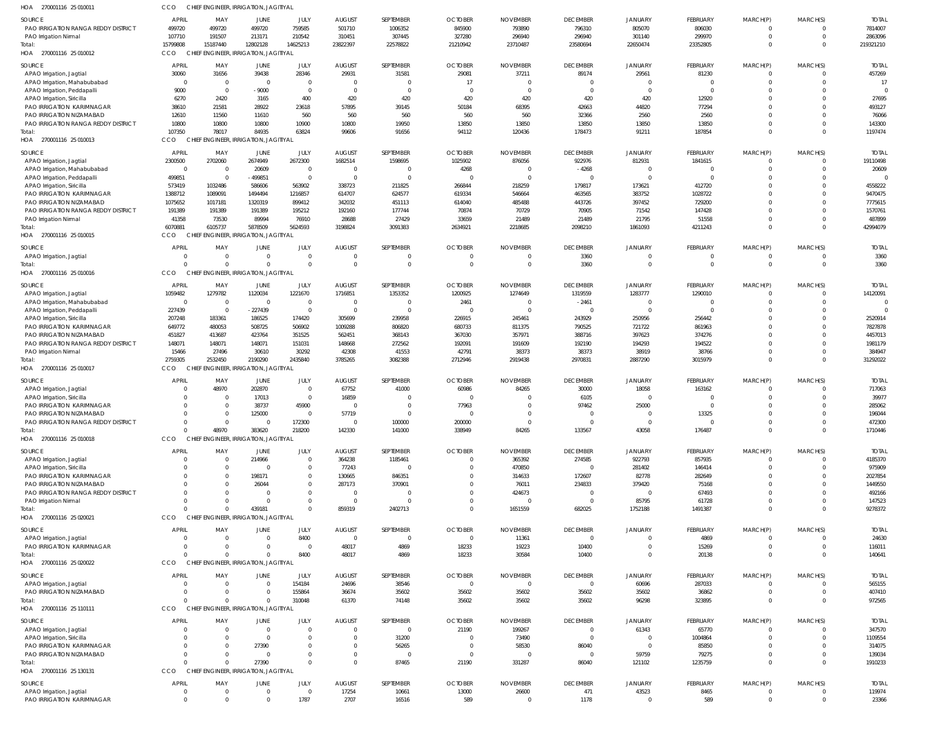| HOA<br>270001116 25 01001           | cco             |                | CHIEF ENGINEER, IRRIGATION, JAGITIYAL |                         |               |                            |                       |                 |                 |                            |                               |                               |                                  |              |
|-------------------------------------|-----------------|----------------|---------------------------------------|-------------------------|---------------|----------------------------|-----------------------|-----------------|-----------------|----------------------------|-------------------------------|-------------------------------|----------------------------------|--------------|
| SOURCE                              | APRIL           | MAY            | JUNE                                  | JULY                    | <b>AUGUST</b> | SEPTEMBER                  | <b>OCTOBER</b>        | <b>NOVEMBER</b> | <b>DECEMBER</b> | <b>JANUARY</b>             | FEBRUARY                      | MARCH(P)                      | MARCH(S)                         | <b>TOTAL</b> |
| PAO IRRIGATION RANGA REDDY DISTRICT | 499720          | 499720         | 499720                                | 759585                  | 501710        | 1006352                    | 845900                | 793890          | 796310          | 805070                     | 806030                        | 0                             | $\overline{0}$                   | 7814007      |
| PAO Irrigation Nirmal               | 107710          | 191507         | 213171                                | 210542                  | 310451        | 307445                     | 327280                | 296940          | 296940          | 301140                     | 299970                        | $\mathbf 0$                   | $\overline{0}$                   | 2863096      |
| Total:                              | 15799808        | 15187440       | 12802128                              | 14625213                | 23822397      | 22578822                   | 21210942              | 23710487        | 23580694        | 22650474                   | 23352805                      | $\mathbf 0$                   | $\overline{0}$                   | 219321210    |
| HOA 270001116 25 010012             | <b>CCO</b>      |                | CHIEF ENGINEER, IRRIGATION, JAGITIYAL |                         |               |                            |                       |                 |                 |                            |                               |                               |                                  |              |
| SOURCE                              | <b>APRIL</b>    | MAY            | JUNE                                  | JULY                    | <b>AUGUST</b> | SEPTEMBER                  | <b>OCTOBER</b>        | <b>NOVEMBER</b> | <b>DECEMBER</b> | <b>JANUARY</b>             | FEBRUARY                      | MARCH(P)                      | MARCH(S)                         | <b>TOTAL</b> |
| APAO Irrigation, Jagtial            | 30060           | 31656          | 39438                                 | 28346                   | 29931         | 31581                      | 29081                 | 37211           | 89174           | 29561                      | 81230                         | 0                             | $\Omega$                         | 457269       |
| APAO Irrigation, Mahabubabad        | $\overline{0}$  | C              | $\overline{0}$                        | $\mathbf 0$             | $\Omega$      | $\overline{0}$             | 17                    | $\Omega$        | $\mathbf 0$     | $\Omega$                   | $\overline{0}$                | $\mathbf 0$                   | $\overline{0}$                   | 17           |
| APAO Irrigation, Peddapalli         | 9000            | $\overline{0}$ | $-9000$                               | $\mathbf 0$             | $\Omega$      | $\overline{0}$             | $\Omega$              | $\Omega$        | $\Omega$        | $\Omega$                   | $\overline{0}$                | $\mathbf 0$                   | $\Omega$                         |              |
| APAO Irrigation, Siricilla          | 6270            | 2420           | 3165                                  | 400                     | 420           | 420                        | 420                   | 420             | 420             | 420                        | 12920                         | $\mathbf 0$                   | $\Omega$                         | 27695        |
| PAO IRRIGATION KARIMNAGAR           | 38610           | 21581          | 28922                                 | 23618                   | 57895         | 39145                      | 50184                 | 68395           | 42663           | 44820                      | 77294                         | $\mathbf 0$                   | $\Omega$                         | 493127       |
| PAO IRRIGATION NIZAMABAD            | 12610           | 11560          | 11610                                 | 560                     | 560           | 560                        | 560                   | 560             | 32366           | 2560                       | 2560                          | $\Omega$                      | $\Omega$                         | 76066        |
| PAO IRRIGATION RANGA REDDY DISTRICT | 10800           | 10800          | 10800                                 | 10900                   | 10800         | 19950                      | 13850                 | 13850           | 13850           | 13850                      | 13850                         | $\mathbf 0$                   | $\Omega$                         | 143300       |
| Total:                              | 107350          | 78017          | 84935                                 | 63824                   | 99606         | 91656                      | 94112                 | 120436          | 178473          | 91211                      | 187854                        | $\mathbf 0$                   | $\Omega$                         | 1197474      |
| HOA 270001116 25 010013             | CCO             |                | CHIEF ENGINEER, IRRIGATION, JAGITIYAI |                         |               |                            |                       |                 |                 |                            |                               |                               |                                  |              |
| SOURCE                              | APRIL           | MAY            | JUNE                                  | JULY                    | <b>AUGUST</b> | SEPTEMBER                  | <b>OCTOBER</b>        | <b>NOVEMBER</b> | <b>DECEMBER</b> | <b>JANUARY</b>             | FEBRUARY                      | MARCH(P)                      | MARCH(S)                         | <b>TOTAL</b> |
| APAO Irrigation, Jagtial            | 2300500         | 2702060        | 2674949                               | 2672300                 | 1682514       | 1598695                    | 1025902               | 876056          | 922976          | 812931                     | 1841615                       | 0                             | $\overline{0}$                   | 19110498     |
| APAO Irrigation, Mahabubabad        | $\overline{0}$  | $\Omega$       | 20609                                 | $\mathbf 0$             | $\Omega$      | 0                          | 4268                  |                 | $-4268$         | $\Omega$                   | 0                             | $\mathbf 0$                   | $\overline{0}$                   | 20609        |
| APAO Irrigation, Peddapalli         | 499851          | $\Omega$       | $-499851$                             | $\mathbf 0$             | $\Omega$      | $\overline{0}$             | - 0                   |                 | $\mathbf 0$     | $\Omega$                   | $\mathbf 0$                   | $\mathbf 0$                   | $\Omega$                         |              |
| APAO Irrigation, Siricilla          | 573419          | 1032486        | 586606                                | 563902                  | 338723        | 211825                     | 266844                | 218259          | 179817          | 173621                     | 412720                        | $\Omega$                      | $\Omega$                         | 4558222      |
| PAO IRRIGATION KARIMNAGAR           | 1388712         | 1089091        | 1494494                               | 1216857                 | 614707        | 624577                     | 619334                | 546664          | 463565          | 383752                     | 1028722                       | $\Omega$                      | $\Omega$                         | 9470475      |
| PAO IRRIGATION NIZAMABAD            | 1075652         | 1017181        | 1320319                               | 899412                  | 342032        | 451113                     | 614040                | 485488          | 443726          | 397452                     | 729200                        | $\Omega$                      | $\Omega$                         | 7775615      |
| PAO IRRIGATION RANGA REDDY DISTRICT | 191389          | 191389         | 191389                                | 195212                  | 192160        | 177744                     | 70874                 | 70729           | 70905           | 71542                      | 147428                        | $\Omega$                      | $\Omega$                         | 1570761      |
| PAO Irrigation Nirmal               | 41358           | 73530          | 89994                                 | 76910                   | 28688         | 27429                      | 33659                 | 21489           | 21489           | 21795                      | 51558                         | $\Omega$                      | $\Omega$                         | 487899       |
| Total:                              | 6070881         | 6105737        | 5878509                               | 5624593                 | 3198824       | 3091383                    | 2634921               | 2218685         | 2098210         | 1861093                    | 4211243                       | $\mathbf 0$                   | $\overline{0}$                   | 42994079     |
| HOA 270001116 25 010015             | <b>CCO</b>      |                | CHIEF ENGINEER, IRRIGATION, JAGITIYAL |                         |               |                            |                       |                 |                 |                            |                               |                               |                                  |              |
|                                     |                 |                |                                       |                         |               |                            |                       |                 |                 |                            |                               |                               |                                  |              |
| SOURCE                              | <b>APRIL</b>    | MAY<br>-C      | JUNE                                  | JULY                    | <b>AUGUST</b> | SEPTEMBER                  | <b>OCTOBER</b><br>- 0 | <b>NOVEMBER</b> | <b>DECEMBER</b> | <b>JANUARY</b><br>$\Omega$ | FEBRUARY                      | MARCH(P)                      | MARCH(S)                         | <b>TOTAL</b> |
| APAO Irrigation, Jagtial            | C<br>$\sqrt{2}$ |                | $\Omega$<br>$\Omega$                  | $\mathbf 0$<br>$\Omega$ | $\Omega$      | $\mathbf 0$<br>$\mathbf 0$ | $\Omega$              | - 0             | 3360            | $\Omega$                   | $\mathbf 0$<br>$\overline{0}$ | $\mathbf 0$<br>$\overline{0}$ | $\overline{0}$<br>$\overline{0}$ | 3360         |
| Total:                              | CCO             |                | CHIEF ENGINEER, IRRIGATION, JAGITIYAL |                         |               |                            |                       |                 | 3360            |                            |                               |                               |                                  | 3360         |
| HOA 270001116 25 010016             |                 |                |                                       |                         |               |                            |                       |                 |                 |                            |                               |                               |                                  |              |
| SOURCE                              | APRIL           | MAY            | JUNE                                  | JULY                    | <b>AUGUST</b> | SEPTEMBER                  | <b>OCTOBER</b>        | <b>NOVEMBER</b> | <b>DECEMBER</b> | <b>JANUARY</b>             | FEBRUARY                      | MARCH(P)                      | MARCH(S)                         | <b>TOTAL</b> |
| APAO Irrigation, Jagtial            | 1059482         | 1279782        | 1120034                               | 1221670                 | 1716851       | 1353352                    | 1200925               | 1274649         | 1319559         | 1283777                    | 1290010                       | 0                             | $\overline{0}$                   | 14120091     |
| APAO Irrigation, Mahabubabad        | $\overline{0}$  | $\Omega$       | $\Omega$                              | $\overline{0}$          | $\Omega$      | $\overline{0}$             | 2461                  | - 0             | $-2461$         | $\Omega$                   | 0                             | $\mathbf 0$                   | $\Omega$                         | $\Omega$     |
| APAO Irrigation, Peddapalli         | 227439          | $\overline{0}$ | $-227439$                             | $\mathbf 0$             | $\Omega$      | $\overline{0}$             | - 0                   | $\Omega$        | $\mathbf 0$     | $\Omega$                   | $\mathbf 0$                   | $\mathbf 0$                   | $\Omega$                         |              |
| APAO Irrigation, Siricilla          | 207248          | 183361         | 186525                                | 174420                  | 305699        | 239958                     | 226915                | 245461          | 243929          | 250956                     | 256442                        | $\Omega$                      | $\Omega$                         | 2520914      |
| PAO IRRIGATION KARIMNAGAR           | 649772          | 480053         | 508725                                | 506902                  | 1009288       | 806820                     | 680733                | 811375          | 790525          | 721722                     | 861963                        | $\Omega$                      | $\Omega$                         | 7827878      |
| PAO IRRIGATION NIZAMABAD            | 451827          | 413687         | 423764                                | 351525                  | 562451        | 368143                     | 367030                | 357971          | 388716          | 397623                     | 374276                        | $\Omega$                      | $\Omega$                         | 4457013      |
| PAO IRRIGATION RANGA REDDY DISTRICT | 148071          | 148071         | 148071                                | 151031                  | 148668        | 272562                     | 192091                | 191609          | 192190          | 194293                     | 194522                        | $\Omega$                      | $\Omega$                         | 1981179      |
| PAO Irrigation Nirmal               | 15466           | 27496          | 30610                                 | 30292                   | 42308         | 41553                      | 42791                 | 38373           | 38373           | 38919                      | 38766                         | $\mathbf 0$                   | $\overline{0}$                   | 384947       |
| Total:                              | 2759305         | 2532450        | 2190290                               | 2435840                 | 3785265       | 3082388                    | 2712946               | 2919438         | 2970831         | 2887290                    | 3015979                       | $\mathbf 0$                   | $\overline{0}$                   | 31292022     |
| HOA 270001116 25 010017             | CCO             |                | CHIEF ENGINEER, IRRIGATION, JAGITIYAL |                         |               |                            |                       |                 |                 |                            |                               |                               |                                  |              |
| SOURCE                              | <b>APRIL</b>    | MAY            | JUNE                                  | JULY                    | <b>AUGUST</b> | SEPTEMBER                  | <b>OCTOBER</b>        | <b>NOVEMBER</b> | <b>DECEMBER</b> | <b>JANUARY</b>             | FEBRUARY                      | MARCH(P)                      | MARCH(S)                         | <b>TOTAL</b> |
| APAO Irrigation, Jagtial            | C               | 48970          | 202870                                | $\mathbf 0$             | 67752         | 41000                      | 60986                 | 84265           | 30000           | 18058                      | 163162                        | 0                             | $\Omega$                         | 717063       |
| APAO Irrigation, Siricilla          | - 0             |                | 17013                                 | $\mathbf 0$             | 16859         | $\overline{0}$             | - 0                   |                 | 6105            | $\Omega$                   | $\overline{0}$                | $\mathbf 0$                   | $\Omega$                         | 39977        |
| PAO IRRIGATION KARIMNAGAR           | $\Omega$        |                | 38737                                 | 45900                   | $\Omega$      | $\mathbf 0$                | 77963                 |                 | 97462           | 25000                      | $\mathbf 0$                   | $\mathbf 0$                   | $\Omega$                         | 285062       |
| PAO IRRIGATION NIZAMABAD            | $\Omega$        |                | 125000                                | $\mathbf 0$             | 57719         | $\Omega$                   | - 0                   |                 | $\Omega$        | $\Omega$                   | 13325                         | $\mathbf 0$                   | $\Omega$                         | 196044       |
| PAO IRRIGATION RANGA REDDY DISTRICT | C               |                |                                       | 172300                  |               | 100000                     | 200000                |                 |                 | $\Omega$                   | $\mathbf 0$                   | 0                             | $\Omega$                         | 472300       |
| Total:                              | $\Omega$        | 48970          | 383620                                | 218200                  | 142330        | 141000                     | 338949                | 84265           | 133567          | 43058                      | 176487                        | $\overline{0}$                | $\overline{0}$                   | 1710446      |
| HOA 270001116 25 010018             | CCO             |                | CHIEF ENGINEER, IRRIGATION, JAGITIYAL |                         |               |                            |                       |                 |                 |                            |                               |                               |                                  |              |
| SOURCE                              | <b>APRIL</b>    | MAY            | JUNE                                  | JULY                    | <b>AUGUST</b> | SEPTEMBER                  | <b>OCTOBER</b>        | <b>NOVEMBER</b> | <b>DECEMBER</b> | <b>JANUARY</b>             | FEBRUARY                      | MARCH(P)                      | MARCH(S)                         | <b>TOTAL</b> |
| APAO Irrigation, Jagtial            | $\overline{0}$  | $\Omega$       | 214966                                | $\Omega$                | 364238        | 1185461                    | $\Omega$              | 365392          | 274585          | 922793                     | 857935                        | 0                             | $\overline{0}$                   | 4185370      |
| APAO Irrigation, Siricilla          | $\Omega$        | $\Omega$       | $\Omega$                              | $\mathbf 0$             | 77243         | $\overline{0}$             | - 0                   | 470850          | $\mathbf 0$     | 281402                     | 146414                        | $\mathbf 0$                   | $\Omega$                         | 975909       |
| PAO IRRIGATION KARIMNAGAR           | $\Omega$        |                | 198171                                | 0                       | 130665        | 846351                     |                       | 314633          | 172607          | 82778                      | 282649                        | $\Omega$                      | $\Omega$                         | 2027854      |
| PAO IRRIGATION NIZAMABAD            | $\Omega$        |                | 26044                                 | $\Omega$                | 287173        | 370901                     |                       | 76011           | 234833          | 379420                     | 75168                         | $\Omega$                      | $\Omega$                         | 1449550      |
| PAO IRRIGATION RANGA REDDY DISTRICT | $\Omega$        |                | $\Omega$                              | $\Omega$                | $\Omega$      | $\overline{0}$             |                       | 424673          | $\overline{0}$  | $\overline{0}$             | 67493                         | $\Omega$                      | $\Omega$                         | 492166       |
| PAO Irrigation Nirmal               | $\Omega$        |                | $\Omega$                              | $\Omega$                | $\Omega$      | $\Omega$                   | - 0                   |                 | $\Omega$        | 85795                      | 61728                         | $\Omega$                      | $\Omega$                         | 147523       |
| Total:                              | $\Omega$        |                | 439181                                | $\Omega$                | 859319        | 2402713                    | $\Omega$              | 1651559         | 682025          | 1752188                    | 1491387                       | $\mathbf 0$                   | $\overline{0}$                   | 9278372      |
| HOA 270001116 25 020021             | CCO             |                | CHIEF ENGINEER, IRRIGATION, JAGITIYAL |                         |               |                            |                       |                 |                 |                            |                               |                               |                                  |              |
|                                     |                 |                |                                       |                         |               |                            |                       |                 |                 |                            |                               |                               |                                  |              |
| SOURCE                              | <b>APRIL</b>    | MAY            | JUNE                                  | JULY                    | <b>AUGUST</b> | SEPTEMBER                  | <b>OCTOBER</b>        | <b>NOVEMBER</b> | <b>DECEMBER</b> | <b>JANUARY</b>             | FEBRUARY                      | MARCH(P)                      | MARCH(S)                         | <b>TOTAL</b> |
| APAO Irrigation, Jagtial            | C               | - 0            | $^{\circ}$                            | 8400                    | $\Omega$      | $\overline{0}$             | $\Omega$              | 11361           | $\mathbf{0}$    | $\Omega$                   | 4869                          | 0                             | $\Omega$                         | 24630        |
| PAO IRRIGATION KARIMNAGAR           | - 0<br>$\Omega$ |                | $\Omega$                              | $\mathbf 0$             | 48017         | 4869                       | 18233                 | 19223           | 10400           | $\Omega$                   | 15269                         | $\mathbf 0$                   | $\overline{0}$<br>$\Omega$       | 116011       |
| Total:<br>HOA 270001116 25 020022   | CCO             |                | $\Omega$                              | 8400                    | 48017         | 4869                       | 18233                 | 30584           | 10400           | $\mathbf{0}$               | 20138                         | $\overline{0}$                |                                  | 140641       |
|                                     |                 |                | CHIEF ENGINEER, IRRIGATION, JAGITIYAL |                         |               |                            |                       |                 |                 |                            |                               |                               |                                  |              |
| SOURCE                              | <b>APRIL</b>    | MAY            | JUNE                                  | JULY                    | <b>AUGUST</b> | SEPTEMBER                  | <b>OCTOBER</b>        | <b>NOVEMBER</b> | <b>DECEMBER</b> | <b>JANUARY</b>             | FEBRUARY                      | MARCH(P)                      | MARCH(S)                         | <b>TOTAL</b> |
| APAO Irrigation, Jagtial            | $\Omega$        | $\Omega$       | $\overline{0}$                        | 154184                  | 24696         | 38546                      | $\Omega$              | $\Omega$        | $\mathbf{0}$    | 60696                      | 287033                        | 0                             | $\Omega$                         | 565155       |
| PAO IRRIGATION NIZAMABAD            | $\Omega$        |                | $\mathbf{0}$                          | 155864                  | 36674         | 35602                      | 35602                 | 35602           | 35602           | 35602                      | 36862                         | $\mathbf 0$                   | $\overline{0}$                   | 407410       |
| Total:                              | $\sqrt{2}$      |                | $\Omega$                              | 310048                  | 61370         | 74148                      | 35602                 | 35602           | 35602           | 96298                      | 323895                        | $\mathbf 0$                   | $\Omega$                         | 972565       |
| HOA 270001116 25 110111             | CCO             |                | CHIEF ENGINEER, IRRIGATION, JAGITIYAL |                         |               |                            |                       |                 |                 |                            |                               |                               |                                  |              |
| SOURCE                              | <b>APRIL</b>    | MAY            | JUNE                                  | JULY                    | <b>AUGUST</b> | SEPTEMBER                  | <b>OCTOBER</b>        | <b>NOVEMBER</b> | <b>DECEMBER</b> | <b>JANUARY</b>             | FEBRUARY                      | MARCH(P)                      | MARCH(S)                         | <b>TOTAL</b> |
| APAO Irrigation, Jagtial            | $\overline{0}$  |                | $\Omega$                              | $\mathbf 0$             |               | $\overline{0}$             | 21190                 | 199267          | $\overline{0}$  | 61343                      | 65770                         | $\mathbf 0$                   | $\overline{0}$                   | 347570       |
| APAO Irrigation, Siricilla          | $\mathsf{C}$    |                | $\overline{0}$                        | 0                       |               | 31200                      |                       | 73490           | $\overline{0}$  | $\overline{0}$             | 1004864                       | $\mathbf 0$                   | $\Omega$                         | 1109554      |
| PAO IRRIGATION KARIMNAGAR           | $\Omega$        |                | 27390                                 | 0                       |               | 56265                      | $\Omega$              | 58530           | 86040           | $\overline{0}$             | 85850                         | $\mathbf 0$                   | $\Omega$                         | 314075       |
| PAO IRRIGATION NIZAMABAD            | $\Omega$        |                | 0                                     | $\Omega$                |               | $\overline{0}$             | $\Omega$              | $\Omega$        | $\mathbf 0$     | 59759                      | 79275                         | $\mathbf 0$                   | $\Omega$                         | 139034       |
| Total:                              | $\sqrt{2}$      |                | 27390                                 | $\Omega$                |               | 87465                      | 21190                 | 331287          | 86040           | 121102                     | 1235759                       | $\mathbf 0$                   | $\Omega$                         | 1910233      |
| HOA 270001116 25 130131             | CCO             |                | CHIEF ENGINEER, IRRIGATION, JAGITIYAL |                         |               |                            |                       |                 |                 |                            |                               |                               |                                  |              |
|                                     |                 |                |                                       |                         |               |                            |                       |                 |                 |                            |                               |                               |                                  |              |
| SOURCE                              | <b>APRIL</b>    | MAY            | JUNE                                  | JULY                    | <b>AUGUST</b> | SEPTEMBER                  | <b>OCTOBER</b>        | <b>NOVEMBER</b> | <b>DECEMBER</b> | <b>JANUARY</b>             | FEBRUARY                      | MARCH(P)                      | MARCH(S)                         | <b>TOTAL</b> |
| APAO Irrigation, Jagtial            | $\overline{0}$  | 0              | $\mathbf{0}$                          | $\mathbf 0$             | 17254         | 10661                      | 13000                 | 26600           | 471             | 43523                      | 8465                          | $\mathbf 0$                   | $\overline{0}$                   | 119974       |
| PAO IRRIGATION KARIMNAGAR           | $\Omega$        | $\Omega$       | $\Omega$                              | 1787                    | 2707          | 16516                      | 589                   | $\Omega$        | 1178            | $\Omega$                   | 589                           | $\mathbf 0$                   | $\overline{0}$                   | 23366        |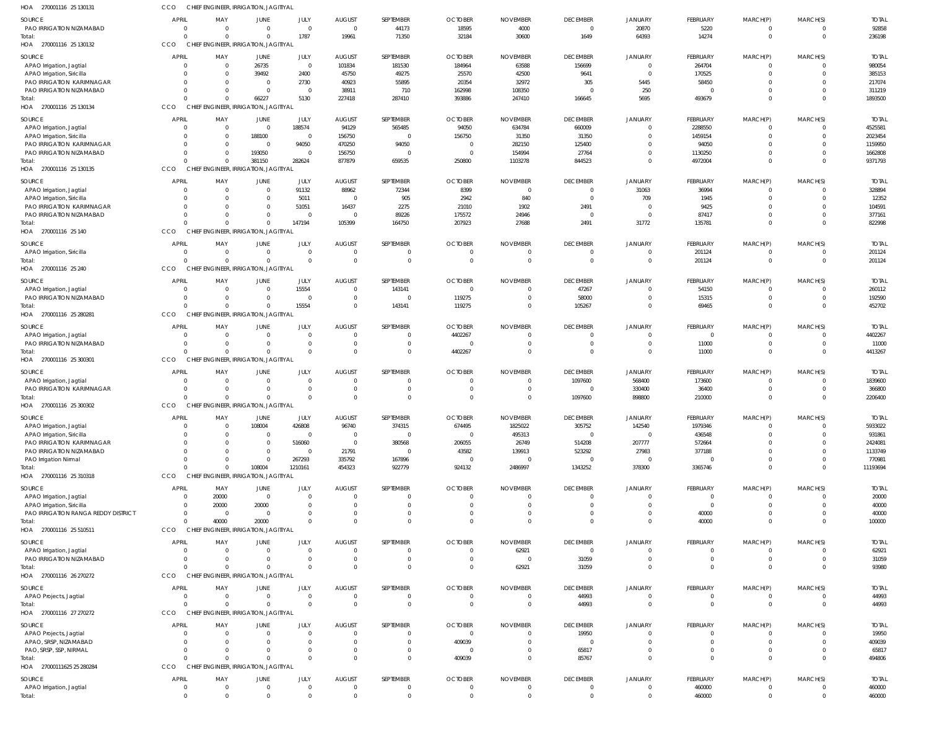270001116 25 130131 HOA 270001116 25 130132 HOA 270001116 25 130134 HOA 270001116 25 130135 HOA 270001116 25 140 HOA 270001116 25 240 HOA 270001116 25 280281 HOA 270001116 25 300301 270001116 25 300302 HOA 270001116 25 310318 270001116 25 510511 HOA 270001116 26 270272 HOA 270001116 27 270272 HOA 27000111625 25 280284 HOA HOA HOA CHIEF ENGINEER, IRRIGATION, JAGITIYAL CCO CHIEF ENGINEER, IRRIGATION, JAGITIYAL CHIEF ENGINEER, IRRIGATION, JAGITIYAL CHIEF ENGINEER, IRRIGATION, JAGITIYAL CHIEF ENGINEER, IRRIGATION, JAGITIYAL CHIEF ENGINEER, IRRIGATION, JAGITIYAL CHIEF ENGINEER, IRRIGATION, JAGITIYAL CHIEF ENGINEER, IRRIGATION, JAGITIYAL CHIEF ENGINEER, IRRIGATION, JAGITIYAL CHIEF ENGINEER, IRRIGATION, JAGITIYAL CHIEF ENGINEER, IRRIGATION, JAGITIYAL CHIEF ENGINEER, IRRIGATION, JAGITIYAL CHIEF ENGINEER, IRRIGATION, JAGITIYAL CHIEF ENGINEER, IRRIGATION, JAGITIYAL CCO **CCO CCO** CCO CCO **CCO CCO CCO CCO** CCO **CCO CCO** CCO 0  $\Omega$  $\Omega$  $\Omega$ 0 0  $\Omega$  $\Omega$  $\Omega$  $\Omega$  $\Omega$  $\Omega$  $\Omega$ 0 0 0  $\Omega$  $\bigcap$ 0 0 0 0 0 40000  $\Omega$ 0  $\Omega$ 0 0 66227 381150  $\Omega$ 0 0  $\Omega$ 0 108004 20000  $\Omega$  $\Omega$  $\Omega$ 0 1787 5130 282624 147194 0 15554  $\Omega$  $\Omega$ 1210161  $\Omega$ 0  $\Omega$  $\Omega$ 0 19961 227418 877879 105399 0 0 0 0 454323  $\Omega$ 0  $\Omega$ 0 0 71350 287410 659535 164750 0 143141 0 0 922779  $\Omega$  $\Omega$  $\Omega$ 0 0 32184 393886 250800 207923 0 119275 4402267 0 924132  $\Omega$  $\Omega$  $\Omega$ 409039 0 30600 247410 1103278 27688 0 0  $\Omega$ 0 2486997  $\Omega$ 62921  $\Omega$  $\Omega$ 0 1649 166645 844523 2491 0 105267  $\Omega$ 1097600 1343252  $\Omega$ 31059 44993 85767 0 64393 5695 0 31772 0 0  $\Omega$ 898800 378300  $\Omega$  $\Omega$  $\Omega$ 0 0 14274 493679 4972004 135781 201124 69465 11000 210000 3365746 40000  $\Omega$  $\Omega$  $\Omega$ 460000 0 0 0 0 0 0  $\Omega$ 0 0  $\Omega$  $\Omega$  $\Omega$ 0 0 0  $\Omega$  $\Omega$ 0 0 0  $\Omega$  $\Omega$ 0  $\Omega$  $^{\circ}$  $\Omega$ 0 0 236198 1893500 9371793 822998 201124 452702 4413267 2206400 11193694 100000 93980 44993 494806 460000 PAO IRRIGATION NIZAMABAD APAO Irrigation, Jagtial APAO Irrigation, Siricilla PAO IRRIGATION KARIMNAGAR PAO IRRIGATION NIZAMABAD APAO Irrigation, Jagtial APAO Irrigation, Siricilla PAO IRRIGATION KARIMNAGAR PAO IRRIGATION NIZAMABAD APAO Irrigation, Jagtial APAO Irrigation, Siricilla PAO IRRIGATION KARIMNAGAR PAO IRRIGATION NIZAMABAD APAO Irrigation, Siricilla APAO Irrigation, Jagtial PAO IRRIGATION NIZAMABAD APAO Irrigation, Jagtial PAO IRRIGATION NIZAMABAD APAO Irrigation, Jagtial PAO IRRIGATION KARIMNAGAR APAO Irrigation, Jagtial APAO Irrigation, Siricilla PAO IRRIGATION KARIMNAGAR PAO IRRIGATION NIZAMABAD PAO Irrigation Nirmal APAO Irrigation, Jagtial APAO Irrigation, Siricilla PAO IRRIGATION RANGA REDDY DISTRICT APAO Irrigation, Jagtial PAO IRRIGATION NIZAMABAD APAO Projects, Jagtial APAO Projects, Jagtial APAO, SRSP, NIZAMABAD PAO, SRSP, SSP, NIRMAL APAO Irrigation, Jagtial **SOURCE** SOURCE SOURCE **SOURCE SOURCE** SOURCE SOURCE SOURCE SOURCE SOURCE SOURCE **SOURCE** SOURCE SOURCE 0 0 0 0  $\Omega$  $\Omega$ 0 0  $\Omega$ 0  $\Omega$  $\mathfrak{c}$  $\Omega$ 0 0  $\Omega$ 0  $\Omega$  $\Omega$ 0 0  $\Omega$ 0  $\Omega$ 0 0  $\Omega$ 0  $\Omega$ 0 0  $\Omega$ 0 0 0 APRIL **APRIL** APRIL **APRIL** APRIL **APRIL** APRIL APRIL APRIL APRIL APRIL APRIL APRIL APRIL 0 0 0 0  $\Omega$ 0 0 0 0 0  $\Omega$ 0 0 0 0 0 0  $\Omega$  $\Omega$ 0 0  $\Omega$ 0  $\Omega$ 0 20000 20000 0 0 0 0  $\Omega$ 0 0 0 MAY MAY MAY MAY MAY MAY MAY MAY MAY MAY MAY MAY MAY MAY 0 26735 39492 0  $\Omega$  $\Omega$ 188100 0 193050 0  $\Omega$ 0 0 0 0  $\Omega$ 0  $\Omega$  $\Omega$ 0 108004  $\Omega$ 0  $\Omega$ 0  $\Omega$ 20000 0 0 0 0  $\Omega$ 0 0  $\Omega$ JUNE **JUNE** JUNE JUNE JUNE JUNE JUNE JUNE JUNE JUNE JUNE JUNE JUNE JUNE  $\Omega$ 0 2400 2730  $\Omega$ 188574 0 94050  $\sqrt{2}$ 91132 5011 51051  $\Omega$  $\Omega$ 15554  $\sqrt{2}$ 0  $\Omega$  $\Omega$ 0 426808  $\bigcap$ 516060  $\Omega$ 267293  $\Omega$  $\Omega$ 0  $\Omega$ 0  $\Omega$  $\sqrt{2}$ 0  $\Omega$  $\Omega$ JULY JULY JULY JULY JULY JULY JULY JULY JULY JULY JULY JULY JULY JULY  $\Omega$ 101834 45750 40923 38911 94129 156750 470250 156750 88962  $\Omega$ 16437 0 0 0  $\Omega$ 0 0  $\Omega$ 0 96740  $\Omega$ 0 21791 335792 0 0 0  $\Omega$ 0 0  $\Omega$ 0 0 0 AUGUST **AUGUST** AUGUST AUGUST AUGUST AUGUST AUGUST AUGUST AUGUST AUGUST AUGUST AUGUST AUGUST AUGUST 44173 181530 49275 55895 710 565485 0 94050 0 72344 905 2275 89226  $\Omega$ 143141  $\bigcap$ 0  $\Omega$  $\Omega$ 0 374315  $\sqrt{2}$ 380568  $\Omega$ 167896  $\Omega$  $\Omega$ 0  $\Omega$ 0  $\Omega$  $\Omega$ 0 0  $\Omega$ SEPTEMBER **SEPTEMBER** SEPTEMBER SEPTEMBER SEPTEMBER **SEPTEMBER** SEPTEMBER SEPTEMBER SEPTEMBER SEPTEMBER SEPTEMBER SEPTEMBER SEPTEMBER SEPTEMBER 18595 184964 25570 20354 162998 94050 156750 0 0 8399 2942 21010 175572  $\Omega$ 0 119275 4402267  $\Omega$  $\Omega$ 0 674495  $\sqrt{2}$ 206055 43582 0  $\Omega$  $\Omega$ 0  $\Omega$ 0  $\Omega$  $\Omega$ 409039  $\Omega$  $\Omega$ OCTOBER OCTOBER OCTOBER **OCTOBER** OCTOBER **OCTOBER OCTOBER** OCTOBER OCTOBER OCTOBER OCTOBER **OCTOBER OCTOBER** OCTOBER 4000 63588 42500 32972 108350 634784 31350 282150 154994 0 840 1902 24946  $\Omega$ 0  $\Omega$  $\Omega$  $\Omega$  $\Omega$ 0 1825022 495313 26749 139913 0  $\Omega$  $\Omega$ 0 62921  $\Omega$  $\Omega$  $\Omega$ 0 0  $\Omega$ NOVEMBER NOVEMBER NOVEMBER NOVEMBER NOVEMBER NOVEMBER NOVEMBER NOVEMBER NOVEMBER NOVEMBER NOVEMBER NOVEMBER NOVEMBER NOVEMBER 0 156699 9641 305  $\Omega$ 660009 31350 125400 27764 0  $\cap$ 2491  $\Omega$ 0 47267 58000  $\Omega$  $\Omega$ 1097600 0 305752  $\bigcap$ 514208 523292 0 0  $\Omega$ 0  $\Omega$ 31059 44993 19950 0 65817  $\Omega$ DECEMBER **DECEMBER** DECEMBER DECEMBER DECEMBER DECEMBER DECEMBER DECEMBER DECEMBER DECEMBER DECEMBER DECEMBER DECEMBER DECEMBER 20870 0 0 5445 250  $\Omega$ 0 0 0 31063 709  $\mathbf{0}$  $\Omega$ 0 0  $\Omega$ 0  $\Omega$ 568400 330400 142540  $\Omega$ 207777 27983  $\mathbf{0}$ 0  $\Omega$ 0  $\Omega$ 0  $\Omega$  $\Omega$ 0 0  $\Omega$ JANUARY JANUARY JANUARY JANUARY JANUARY JANUARY JANUARY JANUARY JANUARY JANUARY JANUARY JANUARY JANUARY JANUARY 5220 264704 170525 58450 0 2288550 1459154 94050 1130250 36994 1945 9425 87417 201124 54150 15315  $\Omega$ 11000 173600 36400 1979346 436548 572664 377188 0 0  $\Omega$ 40000  $\Omega$ 0  $\Omega$  $\Omega$ 0 0 460000 FEBRUARY **FEBRUARY** FEBRUARY FEBRUARY FEBRUARY **FEBRUARY** FEBRUARY FEBRUARY FEBRUARY FEBRUARY FEBRUARY FEBRUARY FEBRUARY FEBRUARY  $\Omega$ 0 0 0  $\Omega$  $\Omega$ 0 0 0 0  $\Omega$ 0 0  $\Omega$ 0  $\Omega$ 0  $\Omega$  $\Omega$ 0  $\Omega$  $\Omega$ 0  $\Omega$ 0  $\Omega$  $\Omega$ 0  $\Omega$ 0  $\Omega$  $\Omega$ 0 0  $\Omega$ MARCH(P) MARCH(P) MARCH(P) MARCH(P) MARCH(P) MARCH(P) MARCH(P) MARCH(P) MARCH(P) MARCH(P) MARCH(P) MARCH(P) MARCH(P) MARCH(P)  $\Omega$ 0 0 0  $\Omega$  $\Omega$ 0 0  $\Omega$ 0  $\Omega$ 0 0 0 0  $\Omega$ 0  $\Omega$  $\Omega$ 0  $\Omega$  $\bigcap$ 0  $\Omega$ 0  $\Omega$  $\Omega$ 0  $\Omega$ 0  $\Omega$  $\cap$ 0 0 0 MARCH(S) MARCH(S) MARCH(S) MARCH(S) MARCH(S) MARCH(S) MARCH(S) MARCH(S) MARCH(S) MARCH(S) MARCH(S) MARCH(S) MARCH(S) MARCH(S) 92858 980054 385153 217074 311219 4525581 2023454 1159950 1662808 328894 12352 104591 377161 201124 260112 192590 4402267 11000 1839600 366800 5933022 931861 2424081 1133749 770981 20000 40000 40000 62921 31059 44993 19950 409039 65817 460000 TOTAL TOTAL TOTAL TOTAL TOTAL TOTAL TOTAL TOTAL TOTAL TOTAL TOTAL TOTAL TOTAL TOTAL Total: Total: Total: Total: Total: Total: Total: Total: Total: Total: Total: Total: Total: Total: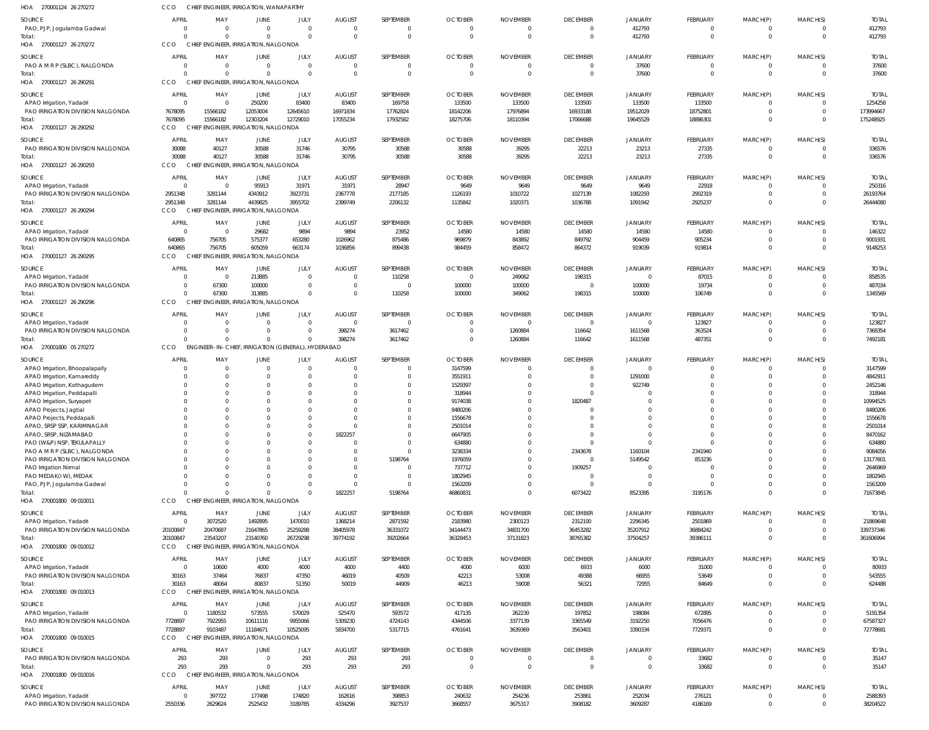| HOA 270001124 26 270272                                          | <b>CCO</b>               | CHIEF ENGINEER, IRRIGATION, WANAPARTHY             |                                                   |                      |                           |                             |                            |                             |                                   |                            |                          |                            |                                  |                        |
|------------------------------------------------------------------|--------------------------|----------------------------------------------------|---------------------------------------------------|----------------------|---------------------------|-----------------------------|----------------------------|-----------------------------|-----------------------------------|----------------------------|--------------------------|----------------------------|----------------------------------|------------------------|
| SOURCE                                                           | <b>APRIL</b>             | MAY                                                | JUNE                                              | JULY                 | <b>AUGUST</b>             | SEPTEMBER                   | <b>OCTOBER</b>             | <b>NOVEMBER</b>             | <b>DECEMBER</b>                   | JANUARY                    | FEBRUARY                 | MARCH(P)                   | MARCH(S)                         | <b>TOTAL</b>           |
| PAO, PJP, Jogulamba Gadwal                                       | $\Omega$                 | $\Omega$                                           | $\Omega$                                          | $\Omega$             | $\Omega$                  | $\overline{0}$              | $\Omega$                   | $\Omega$                    | $\mathbf{0}$                      | 412793                     | $\mathbf 0$              | $\mathbf 0$                | $\overline{0}$                   | 412793                 |
| Total:<br>HOA 270001127 26 270272                                | $\Omega$<br>CCO          | $\Omega$<br><b>CHIEF</b>                           | $\Omega$<br><b>ENGINEER, IRRIGATION, NALGONDA</b> | $\Omega$             | $\Omega$                  | $\Omega$                    |                            |                             | $\Omega$                          | 412793                     | $\mathbf 0$              | $\mathbf 0$                | $\Omega$                         | 412793                 |
|                                                                  |                          |                                                    |                                                   |                      |                           |                             |                            |                             |                                   |                            |                          |                            |                                  |                        |
| SOURCE<br>PAO A M R P (SLBC), NALGONDA                           | <b>APRIL</b><br>$\Omega$ | MAY<br>$\Omega$                                    | JUNE<br>$\Omega$                                  | JULY<br>$\Omega$     | <b>AUGUST</b><br>$\Omega$ | SEPTEMBER<br>$\overline{0}$ | <b>OCTOBER</b><br>$\Omega$ | <b>NOVEMBER</b><br>$\Omega$ | <b>DECEMBER</b><br>$\overline{0}$ | <b>JANUARY</b><br>37600    | FEBRUARY<br>$\mathbf 0$  | MARCH(P)<br>0              | MARCH(S)<br>$\overline{0}$       | <b>TOTAL</b><br>37600  |
| Total:                                                           | $\Omega$                 | $\Omega$                                           | $\Omega$                                          | $\Omega$             | $\Omega$                  | $\overline{0}$              | $\Omega$                   | $\Omega$                    | $\overline{0}$                    | 37600                      | $\mathbf 0$              | $\mathbf{0}$               | $\overline{0}$                   | 37600                  |
| HOA 270001127 26 290291                                          | CCO                      | CHIEF ENGINEER, IRRIGATION, NALGONDA               |                                                   |                      |                           |                             |                            |                             |                                   |                            |                          |                            |                                  |                        |
| SOURCE                                                           | <b>APRIL</b>             | MAY                                                | JUNE                                              | JULY                 | <b>AUGUST</b>             | SEPTEMBER                   | <b>OCTOBER</b>             | <b>NOVEMBER</b>             | <b>DECEMBER</b>                   | JANUARY                    | FEBRUARY                 | MARCH(P)                   | MARCH(S)                         | <b>TOTAL</b>           |
| APAO Irrigation, Yadadri                                         | $\Omega$<br>7678095      | $\Omega$<br>15566182                               | 250200<br>12053004                                | 83400<br>12645610    | 83400<br>16971834         | 169758<br>17762824          | 133500<br>18142206         | 133500<br>17976894          | 133500<br>16933188                | 133500                     | 133500                   | $\Omega$<br>$\Omega$       | - 0<br>$\overline{0}$            | 1254258<br>173994667   |
| PAO IRRIGATION DIVISION NALGONDA<br>Total:                       | 7678095                  | 15566182                                           | 12303204                                          | 12729010             | 17055234                  | 17932582                    | 18275706                   | 18110394                    | 17066688                          | 19512029<br>19645529       | 18752801<br>18886301     | $\Omega$                   | $\Omega$                         | 175248925              |
| HOA 270001127 26 290292                                          | CCO                      | CHIEF ENGINEER, IRRIGATION, NALGONDA               |                                                   |                      |                           |                             |                            |                             |                                   |                            |                          |                            |                                  |                        |
| <b>SOURCE</b>                                                    | <b>APRIL</b>             | MAY                                                | JUNE                                              | JULY                 | <b>AUGUST</b>             | SEPTEMBER                   | <b>OCTOBER</b>             | <b>NOVEMBER</b>             | <b>DECEMBER</b>                   | <b>JANUARY</b>             | FEBRUARY                 | MARCH(P)                   | MARCH(S)                         | <b>TOTAL</b>           |
| PAO IRRIGATION DIVISION NALGONDA                                 | 30088                    | 40127                                              | 30588                                             | 31746                | 30795                     | 30588                       | 30588                      | 39295                       | 22213                             | 23213                      | 27335                    | 0                          | $\overline{0}$                   | 336576                 |
| Total:<br>HOA 270001127 26 290293                                | 30088<br>CCO             | 40127<br>CHIEF ENGINEER, IRRIGATION, NALGONDA      | 30588                                             | 31746                | 30795                     | 30588                       | 30588                      | 39295                       | 22213                             | 23213                      | 27335                    | $\mathbf 0$                | $\Omega$                         | 336576                 |
|                                                                  |                          |                                                    |                                                   |                      |                           |                             |                            |                             |                                   |                            |                          |                            |                                  |                        |
| SOURCE<br>APAO Irrigation, Yadadri                               | <b>APRIL</b><br>$\Omega$ | MAY<br>$\Omega$                                    | JUNE<br>95913                                     | JULY<br>31971        | <b>AUGUST</b><br>31971    | SEPTEMBER<br>28947          | <b>OCTOBER</b><br>9649     | <b>NOVEMBER</b><br>9649     | <b>DECEMBER</b><br>9649           | <b>JANUARY</b><br>9649     | FEBRUARY<br>22918        | MARCH(P)<br>$\Omega$       | MARCH(S)<br>$\Omega$             | <b>TOTAL</b><br>250316 |
| PAO IRRIGATION DIVISION NALGONDA                                 | 2951348                  | 3281144                                            | 4343912                                           | 3923731              | 2367778                   | 2177185                     | 1126193                    | 1010722                     | 1027139                           | 1082293                    | 2902319                  | $\mathbf 0$                | $\Omega$                         | 26193764               |
| Total:                                                           | 2951348                  | 3281144                                            | 4439825                                           | 3955702              | 2399749                   | 2206132                     | 1135842                    | 1020371                     | 1036788                           | 1091942                    | 2925237                  | $\Omega$                   | $\Omega$                         | 26444080               |
| HOA 270001127 26 290294                                          | CCO                      | CHIEF ENGINEER, IRRIGATION, NALGONDA               |                                                   |                      |                           |                             |                            |                             |                                   |                            |                          |                            |                                  |                        |
| SOURCE                                                           | APRIL<br>$\Omega$        | MAY                                                | JUNE                                              | JULY                 | <b>AUGUST</b>             | SEPTEMBER                   | <b>OCTOBER</b>             | <b>NOVEMBER</b>             | <b>DECEMBER</b>                   | <b>JANUARY</b>             | FEBRUARY                 | MARCH(P)                   | MARCH(S)                         | <b>TOTAL</b>           |
| APAO Irrigation, Yadadri<br>PAO IRRIGATION DIVISION NALGONDA     | 640865                   | $\overline{0}$<br>756705                           | 29682<br>575377                                   | 9894<br>653280       | 9894<br>1026962           | 23952<br>875486             | 14580<br>969879            | 14580<br>843892             | 14580<br>849792                   | 14580<br>904459            | 14580<br>905234          | 0<br>$\mathbf 0$           | $\overline{0}$<br>$\overline{0}$ | 146322<br>9001931      |
| Total:                                                           | 640865                   | 756705                                             | 605059                                            | 663174               | 1036856                   | 899438                      | 984459                     | 858472                      | 864372                            | 919039                     | 919814                   | $\mathbf 0$                | $\Omega$                         | 9148253                |
| HOA 270001127 26 290295                                          | CCO                      | CHIEF ENGINEER, IRRIGATION, NALGONDA               |                                                   |                      |                           |                             |                            |                             |                                   |                            |                          |                            |                                  |                        |
| <b>SOURCE</b>                                                    | APRIL                    | MAY                                                | JUNE                                              | JULY                 | <b>AUGUST</b>             | SEPTEMBER                   | <b>OCTOBER</b>             | <b>NOVEMBER</b>             | <b>DECEMBER</b>                   | JANUARY                    | FEBRUARY                 | MARCH(P)                   | MARCH(S)                         | <b>TOTAL</b>           |
| APAO Irrigation, Yadadri<br>PAO IRRIGATION DIVISION NALGONDA     | $\Omega$<br>$\Omega$     | $\overline{0}$                                     | 213885                                            | $\Omega$<br>$\Omega$ | $\Omega$<br>$\Omega$      | 110258<br>$\Omega$          | $\Omega$                   | 249062                      | 198315<br>$\Omega$                | $\overline{0}$             | 87015                    | 0<br>$\mathbf 0$           | 0<br>$\Omega$                    | 858535<br>487034       |
| Total:                                                           | $\Omega$                 | 67300<br>67300                                     | 100000<br>313885                                  | $\Omega$             | $\Omega$                  | 110258                      | 100000<br>100000           | 100000<br>349062            | 198315                            | 100000<br>100000           | 19734<br>106749          | $\mathbf 0$                | $\Omega$                         | 1345569                |
| HOA 270001127 26 290296                                          | CCO                      | CHIEF ENGINEER, IRRIGATION, NALGONDA               |                                                   |                      |                           |                             |                            |                             |                                   |                            |                          |                            |                                  |                        |
| SOURCE                                                           | <b>APRIL</b>             | MAY                                                | JUNE                                              | JULY                 | <b>AUGUST</b>             | SEPTEMBER                   | <b>OCTOBER</b>             | <b>NOVEMBER</b>             | <b>DECEMBER</b>                   | JANUARY                    | FEBRUARY                 | MARCH(P)                   | MARCH(S)                         | <b>TOTAL</b>           |
| APAO Irrigation, Yadadri                                         | $\Omega$                 | $\Omega$                                           | $\Omega$                                          | $\overline{0}$       | $\Omega$                  | $\overline{0}$              |                            | - 0                         | $\overline{0}$                    | $\Omega$                   | 123827                   | 0                          | 0                                | 123827                 |
| PAO IRRIGATION DIVISION NALGONDA<br>Total:                       | $\Omega$<br>$\Omega$     | $\Omega$<br>$\Omega$                               | $\Omega$<br>$\Omega$                              | $\Omega$<br>$\Omega$ | 398274<br>398274          | 3617462<br>3617462          | $\Omega$<br>$\Omega$       | 1260884<br>1260884          | 116642<br>116642                  | 1611568<br>1611568         | 363524<br>487351         | $\mathbf 0$<br>$\mathbf 0$ | $\Omega$<br>$\Omega$             | 7368354<br>7492181     |
| HOA 270001800 05 270272                                          | CCO                      | ENGINEER-IN-CHIEF, IRRIGATION (GENERAL), HYDERABAD |                                                   |                      |                           |                             |                            |                             |                                   |                            |                          |                            |                                  |                        |
| SOURCE                                                           | <b>APRIL</b>             | MAY                                                | JUNE                                              | JULY                 | <b>AUGUST</b>             | SEPTEMBER                   | <b>OCTOBER</b>             | <b>NOVEMBER</b>             | <b>DECEMBER</b>                   | <b>JANUARY</b>             | FEBRUARY                 | MARCH(P)                   | MARCH(S)                         | <b>TOTAL</b>           |
| APAO Irrigation, Bhoopalapally                                   | $\Omega$                 | $\Omega$                                           | $\Omega$                                          | $\Omega$             | - 0                       | $\Omega$                    | 3147599                    |                             |                                   |                            | $\Omega$                 | -0                         | $\Omega$                         | 3147599                |
| APAO Irrigation, Kamareddy                                       | $\Omega$                 | $\Omega$                                           |                                                   |                      |                           | $\Omega$                    | 3551911                    |                             |                                   | 1291000                    | $\Omega$                 | $\Omega$                   | $\Omega$                         | 4842911                |
| APAO Irrigation, Kothagudem<br>APAO Irrigation, Peddapall        | $\Omega$<br>$\Omega$     | $\Omega$<br>$\Omega$                               |                                                   |                      |                           | $\Omega$<br>$\Omega$        | 1529397<br>318944          |                             |                                   | 922749                     | $\Omega$<br>$\Omega$     | $\Omega$<br>$\Omega$       | $\Omega$                         | 2452146<br>318944      |
| APAO Irrigation, Suryapet                                        | $\Omega$                 | $\Omega$                                           |                                                   |                      |                           | $\Omega$                    | 9174038                    |                             | 1820487                           |                            | $\Omega$                 | $\Omega$                   | $\Omega$                         | 10994525               |
| APAO Projects, Jagtial                                           | $\Omega$                 | $\Omega$                                           |                                                   |                      |                           | $\Omega$                    | 8480206                    |                             | $\Omega$                          | $\Omega$                   | $\Omega$                 | $\Omega$                   | $\Omega$                         | 8480206                |
| APAO Projects, Peddapalli<br>APAO, SRSP SSP, KARIMNAGAR          | $\Omega$<br>$\Omega$     | $\Omega$<br>$\Omega$                               |                                                   |                      |                           | $\Omega$<br>$\Omega$        | 1556678<br>2501014         |                             |                                   | $\Omega$<br>$\Omega$       | $\Omega$<br>$\Omega$     | $\Omega$<br>$\Omega$       | $\Omega$<br>$\Omega$             | 1556678<br>2501014     |
| APAO, SRSP, NIZAMABAD                                            | $\Omega$                 | $\Omega$                                           |                                                   |                      | 1822257                   | $\Omega$                    | 6647905                    |                             | $\Omega$                          | $\Omega$                   | $\Omega$                 | $\Omega$                   | $\Omega$                         | 8470162                |
| PAO (W&P) NSP, TEKULAPALLY                                       |                          | $\Omega$                                           |                                                   |                      |                           | $\Omega$                    | 634880                     |                             | $\Omega$                          | $\Omega$                   | $\Omega$                 | $\Omega$                   | $\Omega$                         | 634880                 |
| PAO A M R P (SLBC), NALGONDA<br>PAO IRRIGATION DIVISION NALGONDA | $\Omega$                 | $\Omega$<br>$\Omega$                               |                                                   |                      |                           | $\Omega$<br>5198764         | 3238334<br>1976059         |                             | 2343678<br>$\Omega$               | 1160104<br>5149542         | 2341940<br>853236        | $\Omega$<br>$\Omega$       | $\Omega$<br>$\Omega$             | 9084056<br>13177601    |
| PAO Irrigation Nirmal                                            | $\Omega$                 | $\Omega$                                           |                                                   |                      |                           | $\Omega$                    | 737712                     |                             | 1909257                           |                            | $\sqrt{ }$               | $\Omega$                   | $\Omega$                         | 2646969                |
| PAO MEDAK(IW), MEDAK                                             |                          |                                                    |                                                   |                      |                           | $\Omega$                    | 1802945                    |                             | $\Omega$                          |                            | $\Omega$                 | $\Omega$                   |                                  | 1802945                |
| PAO, PJP, Jogulamba Gadwal<br>Total:                             | $\Omega$<br>$\Omega$     | $\Omega$<br>$\Omega$                               | $\Omega$                                          |                      | 1822257                   | $\Omega$<br>5198764         | 1563209<br>46860831        |                             | 6073422                           | 8523395                    | $\Omega$<br>3195176      | $\Omega$<br>$\Omega$       | $\Omega$<br>$\Omega$             | 1563209<br>71673845    |
| HOA 270001800 09 010011                                          | CCO                      | CHIEF ENGINEER, IRRIGATION, NALGONDA               |                                                   |                      |                           |                             |                            |                             |                                   |                            |                          |                            |                                  |                        |
| <b>SOURCE</b>                                                    | APRIL                    | MAY                                                | JUNE                                              | JULY                 | <b>AUGUST</b>             | SEPTEMBER                   | <b>OCTOBER</b>             | <b>NOVEMBER</b>             | <b>DECEMBER</b>                   | JANUARY                    | FEBRUARY                 | MARCH(P)                   | MARCH(S)                         | <b>TOTAL</b>           |
| APAO Irrigation, Yadadri                                         | $\overline{0}$           | 3072520                                            | 1492895                                           | 1470010              | 1368214                   | 2871592                     | 2183980                    | 2300123                     | 2312100                           | 2296345                    | 2501869                  | 0                          | - 0                              | 21869648               |
| PAO IRRIGATION DIVISION NALGONDA<br>Total:                       | 20100847<br>20100847     | 20470687<br>23543207                               | 21647865<br>23140760                              | 25259288<br>26729298 | 38405978<br>39774192      | 36331072<br>39202664        | 34144473<br>36328453       | 34831700<br>37131823        | 36453282<br>38765382              | 35207912<br>37504257       | 36884242<br>39386111     | $\mathbf 0$<br>$\mathbf 0$ | $\overline{0}$<br>$\Omega$       | 339737346<br>361606994 |
| HOA 270001800 09 010012                                          | CCO                      | CHIEF ENGINEER, IRRIGATION, NALGONDA               |                                                   |                      |                           |                             |                            |                             |                                   |                            |                          |                            |                                  |                        |
| SOURCE                                                           | APRIL                    | MAY                                                | JUNE                                              | JULY                 | <b>AUGUST</b>             | SEPTEMBER                   | <b>OCTOBER</b>             | <b>NOVEMBER</b>             | <b>DECEMBER</b>                   | JANUARY                    | FEBRUARY                 | MARCH(P)                   | MARCH(S)                         | <b>TOTAL</b>           |
| APAO Irrigation, Yadadri                                         | $\overline{0}$           | 10600                                              | 4000                                              | 4000                 | 4000                      | 4400                        | 4000                       | 6000                        | 6933                              | 6000                       | 31000                    | $\Omega$                   | $\Omega$                         | 80933                  |
| PAO IRRIGATION DIVISION NALGONDA                                 | 30163                    | 37464                                              | 76837                                             | 47350                | 46019                     | 40509                       | 42213                      | 53008                       | 49388                             | 66955                      | 53649                    | $\mathbf 0$                | $\Omega$                         | 543555                 |
| Total:<br>HOA 270001800 09 010013                                | 30163<br><b>CCO</b>      | 48064<br><b>CHIEF</b>                              | 80837<br><b>IGINEER, IRRIGATION, NALGONDA</b>     | 51350                | 50019                     | 44909                       | 46213                      | 59008                       | 56321                             | 72955                      | 84649                    | $\Omega$                   | $\Omega$                         | 624488                 |
| SOURCE                                                           | APRIL                    | MAY                                                | JUNE                                              | JULY                 | <b>AUGUST</b>             | SEPTEMBER                   | <b>OCTOBER</b>             | <b>NOVEMBER</b>             | <b>DECEMBER</b>                   | JANUARY                    | FEBRUARY                 | MARCH(P)                   | MARCH(S)                         | <b>TOTAL</b>           |
| APAO Irrigation, Yadadri                                         | $\Omega$                 | 1180532                                            | 573555                                            | 570029               | 525470                    | 593572                      | 417135                     | 262230                      | 197852                            | 198084                     | 672895                   | $\mathbf 0$                | $\Omega$                         | 5191354                |
| PAO IRRIGATION DIVISION NALGONDA                                 | 7728897                  | 7922955                                            | 10611116                                          | 9955066              | 5309230                   | 4724143                     | 4344506                    | 3377139                     | 3365549                           | 3192250                    | 7056476                  | $\mathbf 0$                | $\overline{0}$                   | 67587327               |
| Total:<br>HOA 270001800 09 010015                                | 7728897<br>CCO           | 9103487<br>CHIEF ENGINEER, IRRIGATION, NALGONDA    | 11184671                                          | 10525095             | 5834700                   | 5317715                     | 4761641                    | 3639369                     | 3563401                           | 3390334                    | 7729371                  | $\Omega$                   | $\Omega$                         | 72778681               |
|                                                                  |                          |                                                    |                                                   |                      |                           |                             |                            |                             |                                   |                            |                          |                            |                                  |                        |
| SOURCE<br>PAO IRRIGATION DIVISION NALGONDA                       | APRIL<br>293             | MAY<br>293                                         | JUNE<br>$\Omega$                                  | JULY<br>293          | <b>AUGUST</b><br>293      | SEPTEMBER<br>293            | <b>OCTOBER</b><br>$\Omega$ | <b>NOVEMBER</b>             | <b>DECEMBER</b><br>$\Omega$       | <b>JANUARY</b><br>$\Omega$ | <b>FEBRUARY</b><br>33682 | MARCH(P)<br>$\mathbf 0$    | MARCH(S)<br>$\overline{0}$       | <b>TOTAL</b><br>35147  |
| Total:                                                           | 293                      | 293                                                | $\Omega$                                          | 293                  | 293                       | 293                         | $\Omega$                   |                             | $\Omega$                          | $\Omega$                   | 33682                    | $\mathbf 0$                | $\Omega$                         | 35147                  |
| HOA 270001800 09 010016                                          | CCO                      | CHIEF ENGINEER, IRRIGATION, NALGONDA               |                                                   |                      |                           |                             |                            |                             |                                   |                            |                          |                            |                                  |                        |
| <b>SOURCE</b>                                                    | APRIL                    | MAY                                                | JUNE                                              | JULY                 | <b>AUGUST</b>             | SEPTEMBER                   | <b>OCTOBER</b>             | <b>NOVEMBER</b>             | <b>DECEMBER</b>                   | JANUARY                    | FEBRUARY                 | MARCH(P)                   | MARCH(S)                         | <b>TOTAL</b>           |
| APAO Irrigation, Yadadri<br>PAO IRRIGATION DIVISION NALGONDA     | 0<br>2550336             | 397722<br>2629624                                  | 177498<br>2525432                                 | 174820<br>3189785    | 162616<br>4334296         | 398853<br>3927537           | 240632<br>3668557          | 254236<br>3675317           | 253861<br>3908182                 | 252034<br>3609287          | 276121<br>4186169        | $\mathbf 0$<br>$\mathbf 0$ | $\overline{0}$<br>$\overline{0}$ | 2588393<br>38204522    |
|                                                                  |                          |                                                    |                                                   |                      |                           |                             |                            |                             |                                   |                            |                          |                            |                                  |                        |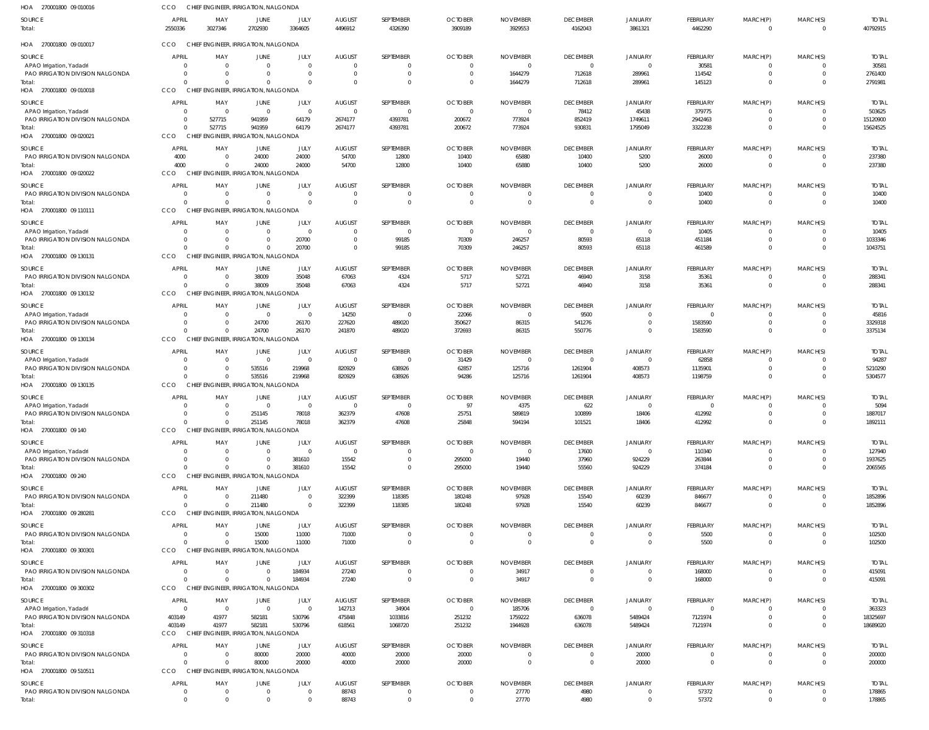| HOA 270001800 09 010016                                      | CCO                     |                            | CHIEF ENGINEER, IRRIGATION, NALGONDA             |                   |                                  |                      |                            |                            |                            |                               |                      |                            |                                     |                          |
|--------------------------------------------------------------|-------------------------|----------------------------|--------------------------------------------------|-------------------|----------------------------------|----------------------|----------------------------|----------------------------|----------------------------|-------------------------------|----------------------|----------------------------|-------------------------------------|--------------------------|
| SOURCE<br>Total:                                             | <b>APRIL</b><br>2550336 | MAY<br>3027346             | JUNE<br>2702930                                  | JULY<br>3364605   | <b>AUGUST</b><br>4496912         | SEPTEMBER<br>4326390 | <b>OCTOBER</b><br>3909189  | <b>NOVEMBER</b><br>3929553 | <b>DECEMBER</b><br>4162043 | JANUARY<br>3861321            | FEBRUARY<br>4462290  | MARCH(P)<br>$\Omega$       | MARCH(S)<br>$\overline{\mathbf{0}}$ | <b>TOTAL</b><br>40792915 |
| HOA 270001800 09 010017                                      | CCO                     |                            | CHIEF ENGINEER, IRRIGATION, NALGONDA             |                   |                                  |                      |                            |                            |                            |                               |                      |                            |                                     |                          |
| SOURCE                                                       | <b>APRIL</b>            | MAY                        | <b>JUNE</b>                                      | JULY              | <b>AUGUST</b>                    | SEPTEMBER            | <b>OCTOBER</b>             | <b>NOVEMBER</b>            | <b>DECEMBER</b>            | JANUARY                       | FEBRUARY             | MARCH(P)                   | MARCH(S)                            | <b>TOTAL</b>             |
| APAO Irrigation, Yadadri                                     |                         | $\Omega$                   | $\overline{0}$                                   | $\Omega$          | $\overline{0}$                   | 0                    | $\Omega$                   | - 0                        | $\overline{0}$             | $\overline{0}$                | 30581                | $\Omega$                   | - 0                                 | 30581                    |
| PAO IRRIGATION DIVISION NALGONDA                             |                         | - 0                        | $\overline{0}$                                   | $\Omega$          | $\overline{0}$                   | $\mathbf 0$          | $\Omega$                   | 1644279                    | 712618                     | 289961                        | 114542               | $\overline{0}$             | $\overline{\mathbf{0}}$             | 2761400                  |
| Total:<br>HOA 270001800 09 010018                            | CCO                     | $\Omega$                   | $\Omega$<br>CHIEF ENGINEER, IRRIGATION, NALGONDA | $\Omega$          | $\Omega$                         | $\Omega$             | $\Omega$                   | 1644279                    | 712618                     | 289961                        | 145123               | $\Omega$                   | $\Omega$                            | 2791981                  |
| SOURCE                                                       | <b>APRIL</b>            | MAY                        | JUNE                                             | JULY              | <b>AUGUST</b>                    | SEPTEMBER            | <b>OCTOBER</b>             | <b>NOVEMBER</b>            | <b>DECEMBER</b>            | JANUARY                       | FEBRUARY             | MARCH(P)                   | MARCH(S)                            | <b>TOTAL</b>             |
| APAO Irrigation, Yadadri                                     |                         | $\overline{0}$             | $\overline{0}$                                   | - 0               | $\overline{0}$                   | $\mathbf 0$          | $\mathsf{C}$               | - 0                        | 78412                      | 45438                         | 379775               | $\Omega$                   | $\overline{0}$                      | 503625                   |
| PAO IRRIGATION DIVISION NALGONDA                             |                         | 527715                     | 941959                                           | 64179             | 2674177                          | 4393781              | 200672                     | 773924                     | 852419                     | 1749611                       | 2942463              | $\Omega$                   | $\overline{0}$                      | 15120900                 |
| Total:                                                       | $\Omega$                | 527715                     | 941959                                           | 64179             | 2674177                          | 4393781              | 200672                     | 773924                     | 930831                     | 1795049                       | 3322238              | $\Omega$                   | $\Omega$                            | 15624525                 |
| HOA 270001800 09 020021                                      | <b>CCO</b>              |                            | CHIEF ENGINEER, IRRIGATION, NALGONDA             |                   |                                  |                      |                            |                            |                            |                               |                      |                            |                                     |                          |
| SOURCE                                                       | APRIL                   | MAY                        | JUNE                                             | JULY              | <b>AUGUST</b>                    | SEPTEMBER            | <b>OCTOBER</b>             | <b>NOVEMBER</b>            | <b>DECEMBER</b>            | JANUARY                       | FEBRUARY             | MARCH(P)                   | MARCH(S)                            | <b>TOTAL</b>             |
| PAO IRRIGATION DIVISION NALGONDA<br>Total:                   | 4000<br>4000            | $\overline{0}$<br>- 0      | 24000<br>24000                                   | 24000<br>24000    | 54700<br>54700                   | 12800<br>12800       | 10400<br>10400             | 65880<br>65880             | 10400<br>10400             | 5200<br>5200                  | 26000<br>26000       | $\Omega$<br>$\mathbf{0}$   | - 0<br>$\overline{0}$               | 237380<br>237380         |
| HOA 270001800 09 020022                                      | <b>CCO</b>              |                            | CHIEF ENGINEER, IRRIGATION, NALGONDA             |                   |                                  |                      |                            |                            |                            |                               |                      |                            |                                     |                          |
| SOURCE                                                       | <b>APRIL</b>            | MAY                        | <b>JUNE</b>                                      | JULY              | <b>AUGUST</b>                    | SEPTEMBER            | <b>OCTOBER</b>             | <b>NOVEMBER</b>            | <b>DECEMBER</b>            | JANUARY                       | FEBRUARY             | MARCH(P)                   | MARCH(S)                            | <b>TOTAL</b>             |
| PAO IRRIGATION DIVISION NALGONDA                             |                         | $\Omega$                   | $\overline{0}$                                   | $\Omega$          | $\overline{0}$                   | 0                    | - 0                        |                            | $\mathbf 0$                | $\overline{0}$                | 10400                | $\Omega$                   | $\overline{0}$                      | 10400                    |
| Total:                                                       | $\Omega$                | $\Omega$                   | $\Omega$                                         | $\Omega$          | $\Omega$                         | $\Omega$             |                            |                            | $\Omega$                   | $\mathbf 0$                   | 10400                | $\Omega$                   | $\Omega$                            | 10400                    |
| HOA 270001800 09 110111                                      | CCO                     |                            | CHIEF ENGINEER, IRRIGATION, NALGONDA             |                   |                                  |                      |                            |                            |                            |                               |                      |                            |                                     |                          |
| SOURCE                                                       | APRIL                   | MAY                        | <b>JUNE</b>                                      | JULY              | <b>AUGUST</b>                    | SEPTEMBER            | <b>OCTOBER</b>             | <b>NOVEMBER</b>            | <b>DECEMBER</b>            | JANUARY                       | FEBRUARY             | MARCH(P)                   | MARCH(S)                            | <b>TOTAL</b>             |
| APAO Irrigation, Yadadri                                     |                         | $\Omega$                   | $\overline{0}$                                   | - 0               | $\overline{0}$                   | $\overline{0}$       | $\Omega$                   | - 0                        | $\overline{0}$             | $\overline{0}$                | 10405                | $\Omega$                   | - 0                                 | 10405                    |
| PAO IRRIGATION DIVISION NALGONDA<br>Total:                   | $\Omega$                | $\Omega$<br>$\Omega$       | $\overline{0}$<br>$\mathbf 0$                    | 20700<br>20700    | $\overline{0}$<br>$\overline{0}$ | 99185<br>99185       | 70309<br>70309             | 246257<br>246257           | 80593<br>80593             | 65118<br>65118                | 451184<br>461589     | $\overline{0}$<br>$\Omega$ | $\overline{0}$<br>$\Omega$          | 1033346<br>1043751       |
| HOA 270001800 09 130131                                      | CCO                     |                            | CHIEF ENGINEER. IRRIGATION. NALGONDA             |                   |                                  |                      |                            |                            |                            |                               |                      |                            |                                     |                          |
| <b>SOURCE</b>                                                | <b>APRIL</b>            | MAY                        | JUNE                                             | JULY              | <b>AUGUST</b>                    | SEPTEMBER            | <b>OCTOBER</b>             | <b>NOVEMBER</b>            | <b>DECEMBER</b>            | JANUARY                       | FEBRUARY             | MARCH(P)                   | MARCH(S)                            | <b>TOTAL</b>             |
| PAO IRRIGATION DIVISION NALGONDA                             | $\Omega$                | 0                          | 38009                                            | 35048             | 67063                            | 4324                 | 5717                       | 52721                      | 46940                      | 3158                          | 35361                | $\Omega$                   | $\overline{0}$                      | 288341                   |
| Total:                                                       | $\Omega$                | $\Omega$                   | 38009                                            | 35048             | 67063                            | 4324                 | 5717                       | 52721                      | 46940                      | 3158                          | 35361                | $\Omega$                   | $\overline{0}$                      | 288341                   |
| HOA 270001800 09 130132                                      | CCO                     |                            | CHIEF ENGINEER, IRRIGATION, NALGONDA             |                   |                                  |                      |                            |                            |                            |                               |                      |                            |                                     |                          |
| SOURCE                                                       | <b>APRIL</b>            | MAY                        | JUNE                                             | JULY              | <b>AUGUST</b>                    | SEPTEMBER            | <b>OCTOBER</b>             | <b>NOVEMBER</b>            | <b>DECEMBER</b>            | JANUARY                       | FEBRUARY             | MARCH(P)                   | MARCH(S)                            | <b>TOTAL</b>             |
| APAO Irrigation, Yadadri                                     |                         | $\overline{0}$             | $\overline{0}$                                   | $\overline{0}$    | 14250                            | $\mathbf 0$          | 22066                      | - 0                        | 9500                       | $\overline{0}$                | $\Omega$             | $\Omega$                   | - 0                                 | 45816                    |
| PAO IRRIGATION DIVISION NALGONDA<br>Total:                   | $\Omega$<br>$\Omega$    | 0<br>$\Omega$              | 24700<br>24700                                   | 26170<br>26170    | 227620<br>241870                 | 489020<br>489020     | 350627<br>372693           | 86315<br>86315             | 541276<br>550776           | $\overline{0}$<br>$\mathbf 0$ | 1583590<br>1583590   | $\overline{0}$<br>$\Omega$ | $\overline{0}$<br>$\Omega$          | 3329318<br>3375134       |
| HOA 270001800 09 130134                                      | <b>CCO</b>              |                            | CHIEF ENGINEER, IRRIGATION, NALGONDA             |                   |                                  |                      |                            |                            |                            |                               |                      |                            |                                     |                          |
| SOURCE                                                       | APRIL                   | MAY                        | JUNE                                             | JULY              | <b>AUGUST</b>                    | SEPTEMBER            | <b>OCTOBER</b>             | <b>NOVEMBER</b>            | <b>DECEMBER</b>            | JANUARY                       | FEBRUARY             | MARCH(P)                   | MARCH(S)                            | <b>TOTAL</b>             |
| APAO Irrigation, Yadadri                                     |                         | $\overline{0}$             | $\overline{0}$                                   | $\Omega$          | $\overline{0}$                   | $\mathbf 0$          | 31429                      | - 0                        | $\mathbf 0$                | $\overline{0}$                | 62858                | $\Omega$                   | $\overline{0}$                      | 94287                    |
| PAO IRRIGATION DIVISION NALGONDA                             |                         | - 0                        | 535516                                           | 219968            | 820929                           | 638926               | 62857                      | 125716                     | 1261904                    | 408573                        | 1135901              | $\Omega$                   | $\overline{0}$                      | 5210290                  |
| Total:                                                       | $\Omega$                | $\Omega$                   | 535516                                           | 219968            | 820929                           | 638926               | 94286                      | 125716                     | 1261904                    | 408573                        | 1198759              | $\Omega$                   | $\overline{0}$                      | 5304577                  |
| HOA 270001800 09 130135                                      | <b>CCO</b>              |                            | CHIEF ENGINEER, IRRIGATION, NALGONDA             |                   |                                  |                      |                            |                            |                            |                               |                      |                            |                                     |                          |
| SOURCE                                                       | APRIL                   | MAY                        | <b>JUNE</b>                                      | JULY              | <b>AUGUST</b>                    | SEPTEMBER            | <b>OCTOBER</b>             | <b>NOVEMBER</b>            | <b>DECEMBER</b>            | JANUARY                       | FEBRUARY             | MARCH(P)                   | MARCH(S)                            | <b>TOTAL</b>             |
| APAO Irrigation, Yadadri<br>PAO IRRIGATION DIVISION NALGONDA | $\Omega$<br>$\Omega$    | $\overline{0}$<br>$\Omega$ | $\Omega$<br>251145                               | $\Omega$<br>78018 | $\Omega$<br>362379               | $\Omega$<br>47608    | 97<br>25751                | 4375<br>589819             | 622<br>100899              | $\Omega$<br>18406             | $\Omega$<br>412992   | $\Omega$<br>$\Omega$       | $\Omega$<br>- 0                     | 5094<br>1887017          |
| Total:                                                       | $\Omega$                | $\Omega$                   | 251145                                           | 78018             | 362379                           | 47608                | 25848                      | 594194                     | 101521                     | 18406                         | 412992               | $\Omega$                   | $\Omega$                            | 1892111                  |
| HOA 270001800 09 140                                         | <b>CCO</b>              |                            | CHIEF ENGINEER, IRRIGATION, NALGONDA             |                   |                                  |                      |                            |                            |                            |                               |                      |                            |                                     |                          |
| SOURCE                                                       | APRIL                   | MAY                        | <b>JUNE</b>                                      | JULY              | <b>AUGUST</b>                    | SEPTEMBER            | <b>OCTOBER</b>             | <b>NOVEMBER</b>            | <b>DECEMBER</b>            | JANUARY                       | FEBRUARY             | MARCH(P)                   | MARCH(S)                            | <b>TOTAL</b>             |
| APAO Irrigation, Yadadri                                     |                         | $\Omega$                   | $\overline{0}$                                   | $\Omega$          | $\overline{0}$                   | 0                    | - 0                        |                            | 17600                      | $\mathbf{0}$                  | 110340               |                            | $\Omega$                            | 127940                   |
| PAO IRRIGATION DIVISION NALGONDA                             |                         | $\Omega$                   | $\overline{0}$                                   | 381610            | 15542                            | 0                    | 295000                     | 19440                      | 37960                      | 924229                        | 263844               | $\Omega$                   | $\overline{0}$                      | 1937625                  |
| Total:<br>HOA 270001800 09 240                               | $\Omega$<br>CCO         | $\Omega$                   | $\Omega$<br>CHIEF ENGINEER, IRRIGATION, NALGONDA | 381610            | 15542                            | $\Omega$             | 295000                     | 19440                      | 55560                      | 924229                        | 374184               | $\Omega$                   | $\Omega$                            | 2065565                  |
|                                                              |                         |                            |                                                  |                   |                                  |                      |                            |                            |                            |                               |                      |                            |                                     |                          |
| <b>SOURCE</b><br>PAO IRRIGATION DIVISION NALGONDA            | <b>APRIL</b>            | MAY<br>- 0                 | JUNE<br>211480                                   | JULY<br>- 0       | <b>AUGUST</b><br>322399          | SEPTEMBER<br>118385  | <b>OCTOBER</b><br>180248   | <b>NOVEMBER</b><br>97928   | <b>DECEMBER</b><br>15540   | <b>JANUARY</b><br>60239       | FEBRUARY<br>846677   | MARCH(P)<br>$\Omega$       | MARCH(S)<br>$\overline{0}$          | <b>TOTAL</b><br>1852896  |
| Total:                                                       | $\Omega$                | - 0                        | 211480                                           | $\Omega$          | 322399                           | 118385               | 180248                     | 97928                      | 15540                      | 60239                         | 846677               | $\overline{0}$             | $\overline{\mathbf{0}}$             | 1852896                  |
| HOA 270001800 09 280281                                      | <b>CCO</b>              |                            | CHIEF ENGINEER, IRRIGATION, NALGONDA             |                   |                                  |                      |                            |                            |                            |                               |                      |                            |                                     |                          |
| <b>SOURCE</b>                                                | <b>APRIL</b>            | MAY                        | <b>JUNE</b>                                      | JULY              | <b>AUGUST</b>                    | SEPTEMBER            | <b>OCTOBER</b>             | <b>NOVEMBER</b>            | <b>DECEMBER</b>            | <b>JANUARY</b>                | FEBRUARY             | MARCH(P)                   | MARCH(S)                            | <b>TOTAL</b>             |
| PAO IRRIGATION DIVISION NALGONDA                             |                         | - 0                        | 15000                                            | 11000             | 71000                            | 0                    |                            |                            | 0                          | 0                             | 5500                 |                            | - 0                                 | 102500                   |
| Total:                                                       | $\Omega$                | - 0                        | 15000                                            | 11000             | 71000                            | 0                    |                            |                            | $\Omega$                   | $\overline{0}$                | 5500                 | $\Omega$                   | $\overline{0}$                      | 102500                   |
| HOA 270001800 09 300301                                      | <b>CCO</b>              |                            | CHIEF ENGINEER, IRRIGATION, NALGONDA             |                   |                                  |                      |                            |                            |                            |                               |                      |                            |                                     |                          |
| SOURCE                                                       | <b>APRIL</b>            | MAY                        | <b>JUNE</b>                                      | JULY              | <b>AUGUST</b>                    | SEPTEMBER            | <b>OCTOBER</b>             | <b>NOVEMBER</b>            | <b>DECEMBER</b>            | <b>JANUARY</b>                | FEBRUARY             | MARCH(P)                   | MARCH(S)                            | <b>TOTAL</b>             |
| PAO IRRIGATION DIVISION NALGONDA<br>Total:                   | $\Omega$<br>$\Omega$    | $\overline{0}$<br>$\Omega$ | $\overline{0}$<br>$\Omega$                       | 184934<br>184934  | 27240<br>27240                   | 0<br>$\mathbf 0$     | $\Omega$<br>$\overline{0}$ | 34917<br>34917             | $\Omega$<br>$\mathbf 0$    | 0<br>$\overline{0}$           | 168000<br>168000     | $\Omega$<br>$\mathbf{0}$   | - 0<br>$\overline{0}$               | 415091<br>415091         |
| HOA 270001800 09 300302                                      | <b>CCO</b>              |                            | CHIEF ENGINEER, IRRIGATION, NALGONDA             |                   |                                  |                      |                            |                            |                            |                               |                      |                            |                                     |                          |
| SOURCE                                                       | APRIL                   | MAY                        | JUNE                                             | JULY              | <b>AUGUST</b>                    | SEPTEMBER            | <b>OCTOBER</b>             | <b>NOVEMBER</b>            | <b>DECEMBER</b>            | JANUARY                       | FEBRUARY             | MARCH(P)                   | MARCH(S)                            | <b>TOTAL</b>             |
| APAO Irrigation, Yadadri                                     | $\Omega$                | $\overline{0}$             | $\overline{0}$                                   | $\Omega$          | 142713                           | 34904                | $\Omega$                   | 185706                     | $\overline{0}$             | $\overline{0}$                | $\Omega$             | $\Omega$                   | - 0                                 | 363323                   |
| PAO IRRIGATION DIVISION NALGONDA                             | 403149                  | 41977                      | 582181                                           | 530796            | 475848                           | 1033816              | 251232                     | 1759222                    | 636078                     | 5489424                       | 7121974              | $\Omega$                   | $\Omega$                            | 18325697                 |
| Total:                                                       | 403149                  | 41977                      | 582181                                           | 530796            | 618561                           | 1068720              | 251232                     | 1944928                    | 636078                     | 5489424                       | 7121974              | $\Omega$                   | $\overline{0}$                      | 18689020                 |
| HOA 270001800 09 310318                                      | <b>CCO</b>              |                            | CHIEF ENGINEER, IRRIGATION, NALGONDA             |                   |                                  |                      |                            |                            |                            |                               |                      |                            |                                     |                          |
| SOURCE                                                       | APRIL                   | MAY                        | <b>JUNE</b>                                      | JULY              | <b>AUGUST</b>                    | SEPTEMBER            | <b>OCTOBER</b>             | <b>NOVEMBER</b>            | <b>DECEMBER</b>            | <b>JANUARY</b>                | FEBRUARY             | MARCH(P)                   | MARCH(S)                            | <b>TOTAL</b>             |
| PAO IRRIGATION DIVISION NALGONDA<br>Total:                   | $\Omega$                | - 0<br>- 0                 | 80000<br>80000                                   | 20000<br>20000    | 40000<br>40000                   | 20000<br>20000       | 20000<br>20000             | - 0<br>- 0                 | 0<br>$\overline{0}$        | 20000<br>20000                | $\Omega$<br>$\Omega$ | $\Omega$<br>$\Omega$       | - 0<br>$\overline{\mathbf{0}}$      | 200000<br>200000         |
| HOA 270001800 09 510511                                      | CCO                     |                            | CHIEF ENGINEER, IRRIGATION, NALGONDA             |                   |                                  |                      |                            |                            |                            |                               |                      |                            |                                     |                          |
| <b>SOURCE</b>                                                | <b>APRIL</b>            | MAY                        | <b>JUNE</b>                                      | JULY              | <b>AUGUST</b>                    | SEPTEMBER            | <b>OCTOBER</b>             | <b>NOVEMBER</b>            | <b>DECEMBER</b>            | <b>JANUARY</b>                | FEBRUARY             | MARCH(P)                   | MARCH(S)                            | <b>TOTAL</b>             |
| PAO IRRIGATION DIVISION NALGONDA                             | $\overline{0}$          | $\mathbf 0$                | $\overline{0}$                                   | $\Omega$          | 88743                            | 0                    | $\Omega$                   | 27770                      | 4980                       | $\overline{0}$                | 57372                | $\Omega$                   | $\overline{0}$                      | 178865                   |
| Total:                                                       | $\Omega$                | $\Omega$                   | $\Omega$                                         | $\Omega$          | 88743                            | $\mathbf 0$          | $\Omega$                   | 27770                      | 4980                       | $\overline{0}$                | 57372                | $\Omega$                   | $\overline{0}$                      | 178865                   |
|                                                              |                         |                            |                                                  |                   |                                  |                      |                            |                            |                            |                               |                      |                            |                                     |                          |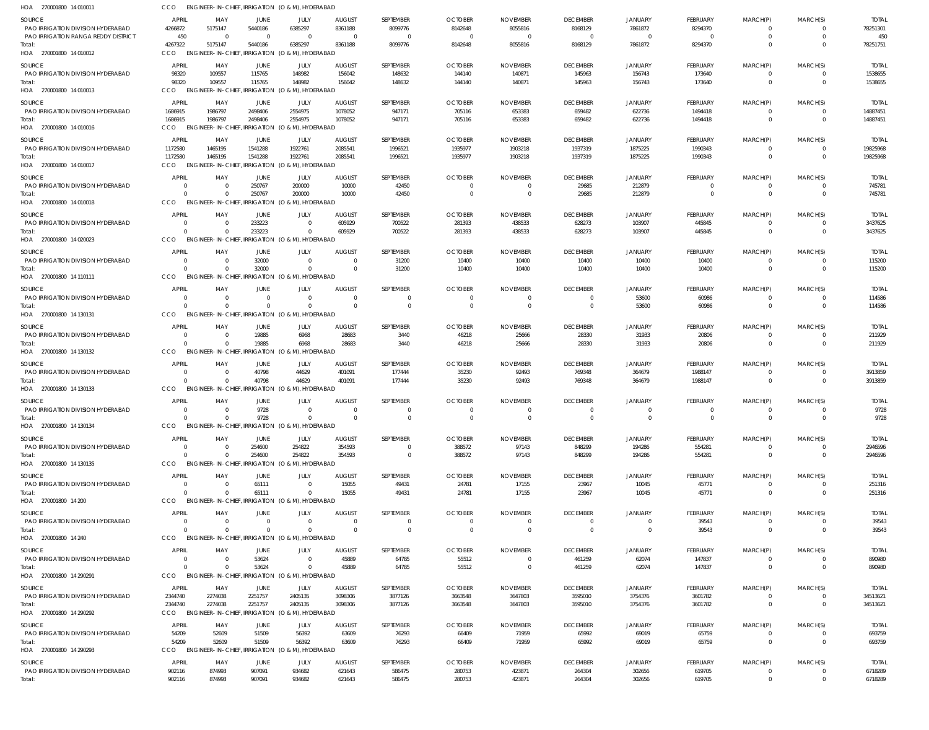| SOURCE<br>PAO IRRIGATION DIVISION HYDERABAD<br>PAO IRRIGATION RANGA REDDY DISTRICT | APRIL<br>4266872<br>450 | MAY<br>5175147<br>- 0                | JUNE<br>5440186<br>$\Omega$ | JULY<br>6385297<br>$\Omega$                                        | <b>AUGUST</b><br>8361188 | SEPTEMBER<br>8099776<br>$\Omega$ | <b>OCTOBER</b><br>8142648<br>$\Omega$ | <b>NOVEMBER</b><br>8055816<br>$\Omega$ | <b>DECEMBER</b><br>8168129<br>$\Omega$ | <b>JANUARY</b><br>7861872 | FEBRUARY<br>8294370<br>$\Omega$ | MARCH(P)<br>$\Omega$<br>$\Omega$ | MARCH(S)<br>$\Omega$<br>$\Omega$ | <b>TOTAL</b><br>78251301<br>450 |
|------------------------------------------------------------------------------------|-------------------------|--------------------------------------|-----------------------------|--------------------------------------------------------------------|--------------------------|----------------------------------|---------------------------------------|----------------------------------------|----------------------------------------|---------------------------|---------------------------------|----------------------------------|----------------------------------|---------------------------------|
| Total:<br>HOA 270001800 14 010012                                                  | 4267322<br>CCO          | 5175147                              | 5440186                     | 6385297<br>ENGINEER-IN-CHIEF, IRRIGATION (O & M), HYDERABAD        | 8361188                  | 8099776                          | 8142648                               | 8055816                                | 8168129                                | 7861872                   | 8294370                         | $\Omega$                         | $\Omega$                         | 78251751                        |
| SOURCE                                                                             | <b>APRIL</b>            | MAY                                  | JUNE                        | JULY                                                               | <b>AUGUST</b>            | SEPTEMBER                        | <b>OCTOBER</b>                        | <b>NOVEMBER</b>                        | <b>DECEMBER</b>                        | <b>JANUARY</b>            | <b>FEBRUARY</b>                 | MARCH(P)                         | MARCH(S)                         | <b>TOTAL</b>                    |
| PAO IRRIGATION DIVISION HYDERABAD                                                  | 98320                   | 109557                               | 115765                      | 148982                                                             | 156042                   | 148632                           | 144140                                | 140871                                 | 145963                                 | 156743                    | 173640                          | $\overline{0}$                   | 0                                | 1538655                         |
| Total:<br>HOA 270001800 14 010013                                                  | 98320<br><b>CCO</b>     | 109557                               | 115765                      | 148982<br>ENGINEER-IN-CHIEF, IRRIGATION (O & M), HYDERABAD         | 156042                   | 148632                           | 144140                                | 140871                                 | 145963                                 | 156743                    | 173640                          | $\Omega$                         | $\overline{0}$                   | 1538655                         |
| <b>SOURCE</b>                                                                      | APRIL                   | MAY                                  | JUNE                        | JULY                                                               | <b>AUGUST</b>            | SEPTEMBER                        | <b>OCTOBER</b>                        | <b>NOVEMBER</b>                        | <b>DECEMBER</b>                        | <b>JANUARY</b>            | <b>FEBRUARY</b>                 | MARCH(P)                         | MARCH(S)                         | <b>TOTAL</b>                    |
| PAO IRRIGATION DIVISION HYDERABAD                                                  | 1686915                 | 1986797                              | 2498406                     | 2554975                                                            | 1078052                  | 947171                           | 705116                                | 653383                                 | 659482                                 | 622736                    | 1494418                         | $\Omega$                         | $\Omega$                         | 14887451                        |
| Total:<br>HOA 270001800 14 010016                                                  | 1686915<br><b>CCO</b>   | 1986797<br><b>ENGINEER-IN-CHIEF</b>  | 2498406                     | 2554975<br>IRRIGATION (O & M), HYDERABAD                           | 1078052                  | 947171                           | 705116                                | 653383                                 | 659482                                 | 622736                    | 1494418                         | $\Omega$                         | $\Omega$                         | 14887451                        |
| SOURCE                                                                             | <b>APRIL</b>            | MAY                                  | JUNE                        | JULY                                                               | <b>AUGUST</b>            | SEPTEMBER                        | <b>OCTOBER</b>                        | <b>NOVEMBER</b>                        | <b>DECEMBER</b>                        | <b>JANUARY</b>            | <b>FEBRUARY</b>                 | MARCH(P)                         | MARCH(S)                         | <b>TOTAL</b>                    |
| PAO IRRIGATION DIVISION HYDERABAD                                                  | 1172580                 | 1465195                              | 1541288                     | 1922761                                                            | 2085541                  | 1996521                          | 1935977                               | 1903218                                | 1937319                                | 1875225                   | 1990343                         | $\overline{0}$                   | $\mathbf 0$                      | 19825968                        |
| Total:<br>HOA 270001800 14 010017                                                  | 1172580<br><b>CCO</b>   | 1465195                              | 1541288                     | 1922761<br>ENGINEER-IN-CHIEF, IRRIGATION (O & M), HYDERABAD        | 2085541                  | 1996521                          | 1935977                               | 1903218                                | 1937319                                | 1875225                   | 1990343                         | $\mathbf{0}$                     | $\Omega$                         | 19825968                        |
| SOURCE                                                                             | <b>APRIL</b>            | MAY                                  | JUNE                        | JULY                                                               | <b>AUGUST</b>            | SEPTEMBER                        | <b>OCTOBER</b>                        | <b>NOVEMBER</b>                        | <b>DECEMBER</b>                        | <b>JANUARY</b>            | FEBRUARY                        | MARCH(P)                         | MARCH(S)                         | <b>TOTAL</b>                    |
| PAO IRRIGATION DIVISION HYDERABAD                                                  | $\Omega$                | - 0                                  | 250767                      | 200000                                                             | 10000                    | 42450                            | $\Omega$                              | $\Omega$                               | 29685                                  | 212879                    | $\Omega$                        | $\Omega$                         | $\Omega$                         | 745781                          |
| Total:<br>HOA 270001800 14 010018                                                  | $\Omega$<br>CCO         | $\Omega$<br><b>ENGINEER-IN-CHIEF</b> | 250767                      | 200000<br>IRRIGATION (O & M), HYDERABAD                            | 10000                    | 42450                            | $\overline{0}$                        | 0                                      | 29685                                  | 212879                    | $\Omega$                        | $\Omega$                         | $\Omega$                         | 745781                          |
| SOURCE                                                                             | APRIL                   | MAY                                  | JUNE                        | JULY                                                               | <b>AUGUST</b>            | SEPTEMBER                        | <b>OCTOBER</b>                        | <b>NOVEMBER</b>                        | <b>DECEMBER</b>                        | <b>JANUARY</b>            | <b>FEBRUARY</b>                 | MARCH(P)                         | MARCH(S)                         | <b>TOTAL</b>                    |
| PAO IRRIGATION DIVISION HYDERABAD<br>Total:                                        | $\Omega$<br>$\Omega$    | $\Omega$                             | 233223<br>233223            | $\Omega$<br>$\Omega$                                               | 605929<br>605929         | 700522<br>700522                 | 281393<br>281393                      | 438533<br>438533                       | 628273<br>628273                       | 103907<br>103907          | 445845<br>445845                | $\overline{0}$<br>$\mathbf{0}$   | $\Omega$<br>$\overline{0}$       | 3437625<br>3437625              |
| HOA 270001800 14 020023                                                            | <b>CCO</b>              |                                      |                             | ENGINEER-IN-CHIEF, IRRIGATION (O & M), HYDERABAD                   |                          |                                  |                                       |                                        |                                        |                           |                                 |                                  |                                  |                                 |
| <b>SOURCE</b>                                                                      | <b>APRIL</b>            | MAY                                  | JUNE                        | JULY                                                               | <b>AUGUST</b>            | SEPTEMBER                        | <b>OCTOBER</b>                        | <b>NOVEMBER</b>                        | <b>DECEMBER</b>                        | <b>JANUARY</b>            | FEBRUARY                        | MARCH(P)                         | MARCH(S)                         | <b>TOTAL</b>                    |
| PAO IRRIGATION DIVISION HYDERABAD<br>Total:                                        | $\Omega$<br>$\Omega$    | -0                                   | 32000<br>32000              | $\Omega$<br>$\Omega$                                               | $\Omega$                 | 31200<br>31200                   | 10400<br>10400                        | 10400<br>10400                         | 10400<br>10400                         | 10400<br>10400            | 10400<br>10400                  | $\Omega$<br>$\mathbf{0}$         | $\Omega$<br>$\Omega$             | 115200<br>115200                |
| HOA 270001800 14 110111                                                            | <b>CCO</b>              |                                      |                             | ENGINEER-IN-CHIEF, IRRIGATION (O & M), HYDERABAD                   |                          |                                  |                                       |                                        |                                        |                           |                                 |                                  |                                  |                                 |
| SOURCE                                                                             | <b>APRIL</b>            | MAY                                  | JUNE                        | JULY                                                               | <b>AUGUST</b>            | SEPTEMBER                        | <b>OCTOBER</b>                        | <b>NOVEMBER</b>                        | <b>DECEMBER</b>                        | <b>JANUARY</b>            | FEBRUARY                        | MARCH(P)                         | MARCH(S)                         | <b>TOTAL</b>                    |
| PAO IRRIGATION DIVISION HYDERABAD<br>Total:                                        | $\Omega$<br>$\Omega$    | $\Omega$<br>$\Omega$                 | $\Omega$<br>$\Omega$        | $\Omega$<br>$\Omega$                                               | $\bigcap$<br>$\Omega$    | $\Omega$<br>$\Omega$             | $\Omega$<br>$\Omega$                  | $\Omega$<br>$\Omega$                   | $\Omega$<br>$\Omega$                   | 53600<br>53600            | 60986<br>60986                  | $\overline{0}$<br>$\Omega$       | $\overline{0}$<br>$\Omega$       | 114586<br>114586                |
| HOA 270001800 14 130131                                                            | CCO                     |                                      |                             | ENGINEER-IN-CHIEF, IRRIGATION (O & M), HYDERABAD                   |                          |                                  |                                       |                                        |                                        |                           |                                 |                                  |                                  |                                 |
| SOURCE                                                                             | <b>APRIL</b>            | MAY                                  | JUNE                        | JULY                                                               | <b>AUGUST</b>            | SEPTEMBER                        | <b>OCTOBER</b>                        | <b>NOVEMBER</b>                        | <b>DECEMBER</b>                        | <b>JANUARY</b>            | FEBRUARY                        | MARCH(P)                         | MARCH(S)                         | <b>TOTAL</b>                    |
| PAO IRRIGATION DIVISION HYDERABAD                                                  | $\Omega$<br>$\Omega$    | $\Omega$                             | 19885<br>19885              | 6968<br>6968                                                       | 28683<br>28683           | 3440                             | 46218                                 | 25666                                  | 28330                                  | 31933                     | 20806                           | 0<br>$\Omega$                    | $\Omega$<br>$\Omega$             | 211929                          |
| Total:<br>HOA 270001800 14 130132                                                  | CCO                     |                                      |                             | ENGINEER-IN-CHIEF, IRRIGATION (O & M), HYDERABAD                   |                          | 3440                             | 46218                                 | 25666                                  | 28330                                  | 31933                     | 20806                           |                                  |                                  | 211929                          |
| <b>SOURCE</b>                                                                      | <b>APRIL</b>            | MAY                                  | JUNE                        | JULY                                                               | <b>AUGUST</b>            | SEPTEMBER                        | <b>OCTOBER</b>                        | <b>NOVEMBER</b>                        | <b>DECEMBER</b>                        | <b>JANUARY</b>            | <b>FEBRUARY</b>                 | MARCH(P)                         | MARCH(S)                         | TOTAL                           |
| PAO IRRIGATION DIVISION HYDERABAD                                                  | $\Omega$                | - 0                                  | 40798                       | 44629                                                              | 401091                   | 177444                           | 35230                                 | 92493                                  | 769348                                 | 364679                    | 1988147                         | $\Omega$                         | $\Omega$                         | 3913859                         |
| Total:<br>HOA 270001800 14 130133                                                  | $\Omega$<br>CCO         | $\Omega$                             | 40798                       | 44629<br>ENGINEER-IN-CHIEF, IRRIGATION (O & M), HYDERABAD          | 401091                   | 177444                           | 35230                                 | 92493                                  | 769348                                 | 364679                    | 1988147                         | $\Omega$                         | $\mathbf 0$                      | 3913859                         |
| <b>SOURCE</b>                                                                      | APRIL                   | MAY                                  | JUNE                        | JULY                                                               | <b>AUGUST</b>            | SEPTEMBER                        | <b>OCTOBER</b>                        | <b>NOVEMBER</b>                        | <b>DECEMBER</b>                        | <b>JANUARY</b>            | FEBRUARY                        | MARCH(P)                         | MARCH(S)                         | <b>TOTAL</b>                    |
| PAO IRRIGATION DIVISION HYDERABAD                                                  | $\Omega$                |                                      | 9728                        | $\Omega$                                                           |                          | $\Omega$                         | - 0                                   | $\Omega$                               | $\Omega$                               |                           | $\Omega$                        | $\Omega$                         | $\Omega$                         | 9728                            |
| Total:<br>HOA 270001800 14 130134                                                  | $\Omega$<br>CCO         | $\Omega$                             | 9728                        | $\overline{0}$<br>ENGINEER-IN-CHIEF, IRRIGATION (O & M), HYDERABAD | $\Omega$                 | $\Omega$                         | $\Omega$                              | $\Omega$                               | $\Omega$                               | $\Omega$                  | $\Omega$                        | $\Omega$                         | $\Omega$                         | 9728                            |
| SOURCE                                                                             | <b>APRIL</b>            | MAY                                  | JUNE                        | JULY                                                               | <b>AUGUST</b>            | SEPTEMBER                        | <b>OCTOBER</b>                        | <b>NOVEMBER</b>                        | <b>DECEMBER</b>                        | JANUARY                   | <b>FEBRUARY</b>                 | MARCH(P)                         | MARCH(S)                         | <b>TOTAL</b>                    |
| PAO IRRIGATION DIVISION HYDERABAD                                                  | $\overline{0}$          | $\Omega$                             | 254600                      | 254822                                                             | 354593                   | $\mathbf{0}$                     | 388572                                | 97143                                  | 848299                                 | 194286                    | 554281                          | $\overline{0}$                   | 0                                | 2946596                         |
| Total:<br>HOA 270001800 14 130135                                                  | $\Omega$<br>CCO         | $\Omega$                             | 254600                      | 254822<br>ENGINEER-IN-CHIEF, IRRIGATION (O & M), HYDERABAD         | 354593                   | $\mathbf 0$                      | 388572                                | 97143                                  | 848299                                 | 194286                    | 554281                          | $\overline{0}$                   | $\mathbf{0}$                     | 2946596                         |
| SOURCE                                                                             | APRIL                   | MAY                                  | JUNE                        | JULY                                                               | <b>AUGUST</b>            | SEPTEMBER                        | <b>OCTOBER</b>                        | <b>NOVEMBER</b>                        | <b>DECEMBER</b>                        | <b>JANUARY</b>            | <b>FEBRUARY</b>                 | MARCH(P)                         | MARCH(S)                         | <b>TOTAL</b>                    |
| PAO IRRIGATION DIVISION HYDERABAD                                                  | $\Omega$                | $\Omega$                             | 65111                       | $\Omega$                                                           | 15055                    | 49431                            | 24781                                 | 17155                                  | 23967                                  | 10045                     | 45771                           | 0                                | $\Omega$                         | 251316                          |
| Total:<br>HOA 270001800 14 200                                                     | $\Omega$<br>CCO         | $\Omega$                             | 65111                       | $\Omega$<br>ENGINEER-IN-CHIEF, IRRIGATION (O & M), HYDERABAD       | 15055                    | 49431                            | 24781                                 | 17155                                  | 23967                                  | 10045                     | 45771                           | $\overline{0}$                   | $\mathbf 0$                      | 251316                          |
| SOURCE                                                                             | <b>APRIL</b>            | MAY                                  | JUNE                        | JULY                                                               | <b>AUGUST</b>            | SEPTEMBER                        | <b>OCTOBER</b>                        | <b>NOVEMBER</b>                        | <b>DECEMBER</b>                        | <b>JANUARY</b>            | <b>FEBRUARY</b>                 | MARCH(P)                         | MARCH(S)                         | <b>TOTAL</b>                    |
| PAO IRRIGATION DIVISION HYDERABAD                                                  | $\Omega$                | $\Omega$                             | $\Omega$                    | $\overline{0}$                                                     | $\Omega$                 | $\mathbf{0}$                     | $\overline{0}$                        | $\overline{0}$                         | $\Omega$                               | $\Omega$                  | 39543                           | $\overline{0}$                   | $\Omega$                         | 39543                           |
| Total:<br>HOA 270001800 14 240                                                     | $\Omega$<br><b>CCO</b>  | $\Omega$                             | $\Omega$                    | $\Omega$<br>ENGINEER-IN-CHIEF, IRRIGATION (O & M), HYDERABAD       | $\Omega$                 | $\mathbf 0$                      | $\overline{0}$                        | $\overline{0}$                         | $\Omega$                               | $\Omega$                  | 39543                           | $\mathbf 0$                      | $\mathbf 0$                      | 39543                           |
| SOURCE                                                                             | APRIL                   | MAY                                  | JUNE                        | JULY                                                               | <b>AUGUST</b>            | SEPTEMBER                        | <b>OCTOBER</b>                        | <b>NOVEMBER</b>                        | <b>DECEMBER</b>                        | JANUARY                   | <b>FEBRUARY</b>                 | MARCH(P)                         | MARCH(S)                         | <b>TOTAL</b>                    |
| PAO IRRIGATION DIVISION HYDERABAD                                                  | $\Omega$                | $\Omega$                             | 53624                       | $\Omega$                                                           | 45889                    | 64785                            | 55512                                 | $\Omega$                               | 461259                                 | 62074                     | 147837                          | $\overline{0}$                   | $\Omega$                         | 890980                          |
| Total:<br>HOA 270001800 14 290291                                                  | $\Omega$<br>CCO         |                                      | 53624                       | $\Omega$<br>ENGINEER-IN-CHIEF, IRRIGATION (O & M), HYDERABAD       | 45889                    | 64785                            | 55512                                 | $\Omega$                               | 461259                                 | 62074                     | 147837                          | $\mathbf 0$                      | $\Omega$                         | 890980                          |
| SOURCE                                                                             | APRIL                   | MAY                                  | JUNE                        | JULY                                                               | <b>AUGUST</b>            | SEPTEMBER                        | <b>OCTOBER</b>                        | <b>NOVEMBER</b>                        | <b>DECEMBER</b>                        | <b>JANUARY</b>            | <b>FEBRUARY</b>                 | MARCH(P)                         | MARCH(S)                         | TOTAL                           |
| PAO IRRIGATION DIVISION HYDERABAD                                                  | 2344740                 | 2274038                              | 2251757                     | 2405135                                                            | 3098306                  | 3877126                          | 3663548                               | 3647803                                | 3595010                                | 3754376                   | 3601782                         | $\overline{0}$                   | $\mathbf{0}$                     | 34513621                        |
| Total:<br>HOA 270001800 14 290292                                                  | 2344740<br>CCO          | 2274038                              | 2251757                     | 2405135<br>ENGINEER-IN-CHIEF, IRRIGATION (O & M), HYDERABAD        | 3098306                  | 3877126                          | 3663548                               | 3647803                                | 3595010                                | 3754376                   | 3601782                         | $\overline{0}$                   | $\mathbf 0$                      | 34513621                        |
| SOURCE                                                                             | APRIL                   | MAY                                  | JUNE                        | JULY                                                               | <b>AUGUST</b>            | SEPTEMBER                        | <b>OCTOBER</b>                        | <b>NOVEMBER</b>                        | <b>DECEMBER</b>                        | <b>JANUARY</b>            | <b>FEBRUARY</b>                 | MARCH(P)                         | MARCH(S)                         | <b>TOTAL</b>                    |
| PAO IRRIGATION DIVISION HYDERABAD                                                  | 54209                   | 52609                                | 51509                       | 56392                                                              | 63609                    | 76293                            | 66409                                 | 71959                                  | 65992                                  | 69019                     | 65759                           | 0                                | $\Omega$                         | 693759                          |
| Total:                                                                             | 54209<br>CCO            | 52609                                | 51509                       | 56392                                                              | 63609                    | 76293                            | 66409                                 | 71959                                  | 65992                                  | 69019                     | 65759                           | $\overline{0}$                   | $\Omega$                         | 693759                          |
| HOA 270001800 14 290293                                                            |                         |                                      |                             | ENGINEER-IN-CHIEF, IRRIGATION (O & M), HYDERABAD                   |                          |                                  |                                       |                                        |                                        |                           |                                 |                                  |                                  |                                 |
| SOURCE<br>PAO IRRIGATION DIVISION HYDERABAD                                        | APRIL<br>902116         | MAY<br>874993                        | JUNE<br>907091              | JULY<br>934682                                                     | <b>AUGUST</b><br>621643  | SEPTEMBER<br>586475              | <b>OCTOBER</b><br>280753              | <b>NOVEMBER</b><br>423871              | <b>DECEMBER</b>                        | JANUARY<br>302656         | <b>FEBRUARY</b><br>619705       | MARCH(P)<br>0                    | MARCH(S)<br>0                    | Total<br>6718289                |
| Total:                                                                             | 902116                  | 874993                               | 907091                      | 934682                                                             | 621643                   | 586475                           | 280753                                | 423871                                 | 264304<br>264304                       | 302656                    | 619705                          | $\mathbf{0}$                     | $\mathbf 0$                      | 6718289                         |
|                                                                                    |                         |                                      |                             |                                                                    |                          |                                  |                                       |                                        |                                        |                           |                                 |                                  |                                  |                                 |

270001800 14 010011 HOA

CCO ENGINEER-IN-CHIEF, IRRIGATION (O & M), HYDERABAD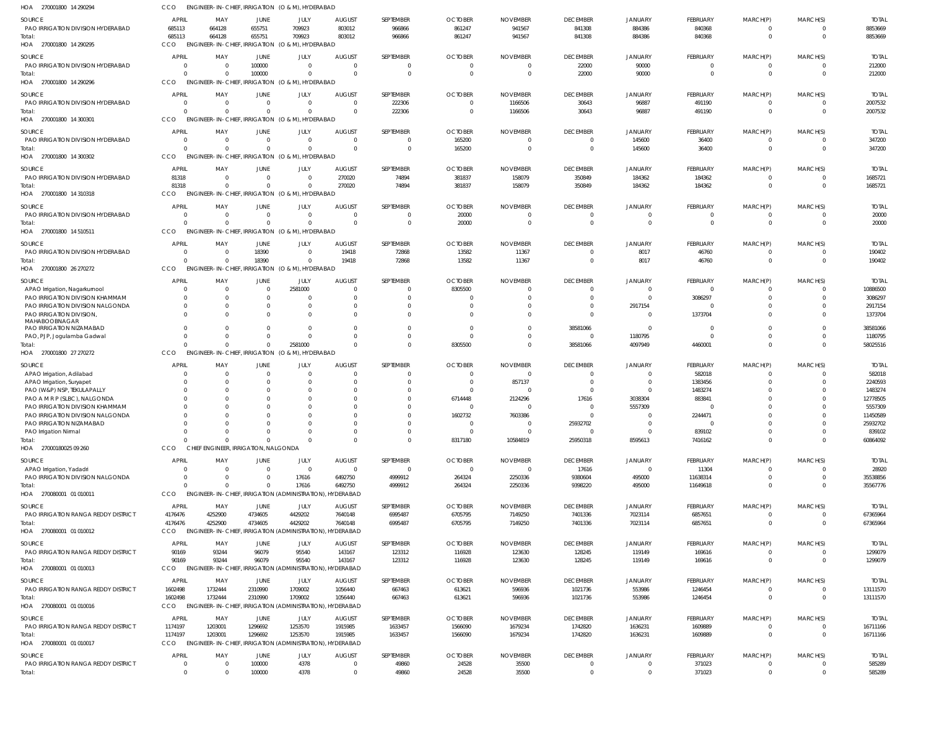| HOA 270001800 14 290294                                          | ссо                        |                                      |                      | ENGINEER-IN-CHIEF, IRRIGATION (O & M), HYDERABAD             |                          |                         |                                  |                                   |                             |                            |                             |                  |                      |                          |
|------------------------------------------------------------------|----------------------------|--------------------------------------|----------------------|--------------------------------------------------------------|--------------------------|-------------------------|----------------------------------|-----------------------------------|-----------------------------|----------------------------|-----------------------------|------------------|----------------------|--------------------------|
| <b>SOURCE</b>                                                    | <b>APRIL</b>               | MAY                                  | <b>JUNE</b>          | JULY                                                         | <b>AUGUST</b>            | SEPTEMBER               | <b>OCTOBER</b>                   | <b>NOVEMBER</b>                   | <b>DECEMBER</b>             | <b>JANUARY</b>             | FEBRUARY                    | MARCH(P)         | MARCH(S)             | <b>TOTAI</b>             |
| PAO IRRIGATION DIVISION HYDERABAD                                | 685113                     | 664128                               | 655751               | 709923                                                       | 803012                   | 966866                  | 861247                           | 941567                            | 841308                      | 884386                     | 840368                      | $\Omega$         |                      | 8853669                  |
| Total:                                                           | 685113                     | 664128                               | 655751               | 709923                                                       | 803012                   | 966866                  | 861247                           | 941567                            | 841308                      | 884386                     | 840368                      | $\mathbf 0$      | $\Omega$             | 8853669                  |
| HOA 270001800 14 290295                                          | CCO                        |                                      |                      | ENGINEER-IN-CHIEF, IRRIGATION (O & M), HYDERABAD             |                          |                         |                                  |                                   |                             |                            |                             |                  |                      |                          |
| <b>SOURCE</b>                                                    | <b>APRIL</b>               | MAY                                  | JUNE                 | JULY                                                         | <b>AUGUST</b>            | SEPTEMBER               | <b>OCTOBER</b>                   | <b>NOVEMBER</b>                   | <b>DECEMBER</b>             | <b>JANUARY</b>             | FEBRUARY                    | MARCH(P)         | MARCH(S)             | <b>TOTAL</b>             |
| PAO IRRIGATION DIVISION HYDERABAD                                | $\overline{0}$             | 0                                    | 100000               | $\overline{0}$                                               | 0                        | 0                       | $\overline{0}$                   | 0                                 | 22000                       | 90000                      | $\mathbf 0$                 | 0                | $\Omega$             | 212000                   |
| Total:                                                           | $\Omega$                   | $\Omega$                             | 100000               | $\Omega$                                                     |                          | $\Omega$                | $\Omega$                         | $\overline{0}$                    | 22000                       | 90000                      | $\mathbf{0}$                | $\mathbf 0$      | $\Omega$             | 212000                   |
| HOA 270001800 14 290296                                          | CCO                        | <b>ENGINEER-IN-CHIEF, IRRIGATION</b> |                      | (O & M), HYDERABAD                                           |                          |                         |                                  |                                   |                             |                            |                             |                  |                      |                          |
| SOURCE                                                           | <b>APRIL</b>               | MAY                                  | JUNE                 | JULY                                                         | <b>AUGUST</b>            | SEPTEMBER               | <b>OCTOBER</b>                   | <b>NOVEMBER</b>                   | <b>DECEMBER</b>             | <b>JANUARY</b>             | FEBRUARY                    | MARCH(P)         | MARCH(S)             | <b>TOTAI</b>             |
| PAO IRRIGATION DIVISION HYDERABAD                                | $\overline{0}$             | $\Omega$                             | $\Omega$             | $\Omega$                                                     | $\Omega$                 | 222306                  | $\overline{0}$                   | 1166506                           | 30643                       | 96887                      | 491190                      |                  |                      | 2007532                  |
| Total:                                                           | $\Omega$                   | $\Omega$                             | $\Omega$             | $\Omega$                                                     | $\Omega$                 | 222306                  | $\overline{0}$                   | 1166506                           | 30643                       | 96887                      | 491190                      | $\mathbf 0$      | $\Omega$             | 2007532                  |
| HOA 270001800 14 300301                                          | CCO                        |                                      |                      | ENGINEER-IN-CHIEF, IRRIGATION (O & M), HYDERABAD             |                          |                         |                                  |                                   |                             |                            |                             |                  |                      |                          |
| <b>SOURCE</b>                                                    | <b>APRIL</b>               | MAY                                  | JUNE                 | JULY                                                         | <b>AUGUST</b>            | SEPTEMBER               | <b>OCTOBER</b>                   | <b>NOVEMBER</b>                   | <b>DECEMBER</b>             | <b>JANUARY</b>             | FEBRUARY                    | MARCH(P)         | MARCH(S)             | <b>TOTAL</b>             |
| PAO IRRIGATION DIVISION HYDERABAD                                | $\overline{0}$             | 0                                    | $\Omega$             | $\Omega$                                                     | $\Omega$                 | 0                       | 165200                           | 0                                 | $\Omega$                    | 145600                     | 36400                       |                  |                      | 347200                   |
| Total:<br>HOA 270001800 14 300302                                | $\Omega$<br>CCO            | $\Omega$                             | $\cap$               | $\Omega$<br>ENGINEER-IN-CHIEF, IRRIGATION (O & M), HYDERABAD |                          | $\mathbf 0$             | 165200                           | 0                                 | $\overline{0}$              | 145600                     | 36400                       | $\mathbf 0$      | $\Omega$             | 347200                   |
|                                                                  |                            |                                      |                      |                                                              |                          |                         |                                  |                                   |                             |                            |                             |                  |                      |                          |
| <b>SOURCE</b>                                                    | <b>APRIL</b>               | MAY                                  | <b>JUNE</b>          | JULY                                                         | <b>AUGUST</b>            | SEPTEMBER               | <b>OCTOBER</b>                   | <b>NOVEMBER</b>                   | <b>DECEMBER</b>             | <b>JANUARY</b>             | FEBRUARY                    | MARCH(P)         | MARCH(S)             | <b>TOTAI</b>             |
| PAO IRRIGATION DIVISION HYDERABAD                                | 81318<br>81318             | $\Omega$<br>$\Omega$                 | $\Omega$<br>$\Omega$ | $\overline{0}$<br>$\Omega$                                   | 270020<br>270020         | 74894<br>74894          | 381837<br>381837                 | 158079<br>158079                  | 350849<br>350849            | 184362<br>184362           | 184362<br>184362            | $\Omega$         | $\Omega$             | 1685721<br>1685721       |
| Total:<br>HOA 270001800 14 310318                                | CCO                        | <b>ENGINEER-IN-CHIEF, IRRIGATION</b> |                      | (O & M), HYDERABAD                                           |                          |                         |                                  |                                   |                             |                            |                             |                  |                      |                          |
|                                                                  |                            |                                      |                      |                                                              |                          |                         |                                  |                                   |                             |                            |                             |                  |                      |                          |
| SOURCE                                                           | <b>APRIL</b>               | MAY                                  | JUNE                 | JULY                                                         | <b>AUGUST</b>            | SEPTEMBER               | <b>OCTOBER</b>                   | <b>NOVEMBER</b>                   | <b>DECEMBER</b>             | <b>JANUARY</b>             | FEBRUARY                    | MARCH(P)         | MARCH(S)             | <b>TOTAI</b>             |
| PAO IRRIGATION DIVISION HYDERABAD<br>Total:                      | $\overline{0}$<br>$\Omega$ | $\Omega$<br>$\Omega$                 | $\Omega$<br>$\Omega$ | $\overline{0}$<br>$\Omega$                                   | $\Omega$<br>$\mathsf{C}$ | 0<br>$\mathbf 0$        | 20000<br>20000                   | $\overline{0}$<br>0               | $\Omega$<br>$\Omega$        | $\Omega$<br>$\Omega$       | $\mathbf 0$<br>$\mathbf{0}$ | 0<br>$\mathbf 0$ | $\Omega$<br>$\Omega$ | 20000<br>20000           |
| HOA 270001800 14 510511                                          | CCO                        |                                      |                      | ENGINEER-IN-CHIEF, IRRIGATION (O & M), HYDERABAD             |                          |                         |                                  |                                   |                             |                            |                             |                  |                      |                          |
|                                                                  |                            |                                      |                      |                                                              |                          |                         |                                  |                                   |                             |                            |                             |                  |                      |                          |
| SOURCE                                                           | <b>APRIL</b>               | MAY                                  | JUNE                 | JULY                                                         | <b>AUGUST</b>            | SEPTEMBER               | <b>OCTOBER</b>                   | <b>NOVEMBER</b>                   | <b>DECEMBER</b>             | <b>JANUARY</b>             | FEBRUARY                    | MARCH(P)         | MARCH(S)             | <b>TOTAI</b>             |
| PAO IRRIGATION DIVISION HYDERABAD<br>Total:                      | $\Omega$<br>$\Omega$       | - 0<br>$\Omega$                      | 18390<br>18390       | $\Omega$<br>$\Omega$                                         | 19418<br>19418           | 72868<br>72868          | 13582<br>13582                   | 11367<br>11367                    | $\Omega$<br>$\overline{0}$  | 8017<br>8017               | 46760<br>46760              | $\mathbf 0$      | $\Omega$             | 190402<br>190402         |
| HOA 270001800 26 270272                                          | CCO                        |                                      |                      | ENGINEER-IN-CHIEF, IRRIGATION (O & M), HYDERABAD             |                          |                         |                                  |                                   |                             |                            |                             |                  |                      |                          |
|                                                                  |                            |                                      |                      |                                                              |                          |                         |                                  |                                   |                             |                            |                             |                  |                      |                          |
| <b>SOURCE</b>                                                    | <b>APRIL</b><br>0          | MAY<br>$\overline{0}$                | JUNE<br>$\Omega$     | JULY<br>2581000                                              | <b>AUGUST</b><br>- 0     | SEPTEMBER<br>0          | <b>OCTOBER</b><br>8305500        | <b>NOVEMBER</b><br>$\Omega$       | <b>DECEMBER</b><br>$\Omega$ | <b>JANUARY</b>             | FEBRUARY<br>$\mathbf 0$     | MARCH(P)         | MARCH(S)             | <b>TOTAI</b><br>10886500 |
| APAO Irrigation, Nagarkurnool<br>PAO IRRIGATION DIVISION KHAMMAM | $\Omega$                   | $\Omega$                             |                      | $\overline{0}$                                               |                          | 0                       | - 0                              | 0                                 | $\Omega$                    | $\Omega$                   | 3086297                     |                  | $\Omega$             | 3086297                  |
| PAO IRRIGATION DIVISION NALGONDA                                 | $\overline{0}$             | 0                                    |                      | $\Omega$                                                     |                          | 0                       | $\Omega$                         | $\Omega$                          | $\Omega$                    | 2917154                    | 0                           |                  |                      | 2917154                  |
| PAO IRRIGATION DIVISION,                                         | $\Omega$                   | $\Omega$                             |                      | $\Omega$                                                     |                          | $\Omega$                | -0                               | $\Omega$                          | $\Omega$                    | $\Omega$                   | 1373704                     |                  |                      | 1373704                  |
| MAHABOOBNAGAR                                                    |                            |                                      |                      |                                                              |                          |                         |                                  |                                   |                             |                            |                             |                  |                      |                          |
| PAO IRRIGATION NIZAMABAD<br>PAO, PJP, Jogulamba Gadwal           | $\Omega$<br>$\overline{0}$ | $\Omega$<br>$\Omega$                 | - 0<br>$\Omega$      | $\Omega$<br>$\Omega$                                         |                          | $\mathbf 0$<br>$\Omega$ | - 0<br>$\overline{0}$            | $\Omega$<br>0                     | 38581066<br>$\Omega$        | $\Omega$<br>1180795        | 0                           |                  | $\Omega$<br>$\Omega$ | 38581066<br>1180795      |
| Total:                                                           | $\Omega$                   | $\Omega$                             | $\Omega$             | 2581000                                                      |                          | $\mathbf 0$             | 8305500                          | $\Omega$                          | 38581066                    | 4097949                    | 4460001                     | $\Omega$         | $\Omega$             | 58025516                 |
| HOA 270001800 27 270272                                          | CCO                        | <b>ENGINEER-IN-CHIEF, IRRIGATION</b> |                      | (O & M), HYDERABAD                                           |                          |                         |                                  |                                   |                             |                            |                             |                  |                      |                          |
|                                                                  | <b>APRIL</b>               | MAY                                  | JUNE                 | JULY                                                         | <b>AUGUST</b>            | SEPTEMBER               | <b>OCTOBER</b>                   | <b>NOVEMBER</b>                   | <b>DECEMBER</b>             | JANUARY                    | FEBRUARY                    | MARCH(P)         | MARCH(S)             | <b>TOTAI</b>             |
| SOURCE<br>APAO Irrigation, Adilabad                              | 0                          | $\Omega$                             | $\Omega$             | $\overline{0}$                                               | $\Omega$                 |                         | -0                               | $\Omega$                          | - 0                         |                            | 582018                      |                  |                      | 582018                   |
| APAO Irrigation, Suryapet                                        |                            | 0                                    |                      | $\Omega$                                                     | -0                       |                         | - 0                              | 857137                            | $\Omega$                    |                            | 1383456                     |                  |                      | 2240593                  |
| PAO (W&P) NSP, TEKULAPALLY                                       |                            | 0                                    |                      | $\Omega$                                                     |                          |                         | -0                               | $\mathcal{L}$                     | $\cap$                      |                            | 1483274                     |                  |                      | 1483274                  |
| PAO A M R P (SLBC), NALGONDA                                     |                            | 0                                    |                      |                                                              |                          |                         | 6714448                          | 2124296                           | 17616                       | 3038304                    | 883841                      |                  |                      | 12778505                 |
| PAO IRRIGATION DIVISION KHAMMAM                                  |                            | $\Omega$                             |                      |                                                              |                          |                         | $\Omega$                         | ſ                                 |                             | 5557309                    |                             |                  |                      | 5557309                  |
| PAO IRRIGATION DIVISION NALGONDA                                 | $\Omega$                   | $\Omega$                             |                      | $\Omega$                                                     |                          |                         | 1602732                          | 7603386                           | $\Omega$                    |                            | 2244471                     |                  |                      | 11450589                 |
| PAO IRRIGATION NIZAMABAD<br>PAO Irrigation Nirmal                | $\Omega$<br>$\Omega$       | $\Omega$<br>$\Omega$                 |                      | $\Omega$<br>$\Omega$                                         | $\Omega$                 | 0<br>$\Omega$           | $\overline{0}$<br>$\overline{0}$ | $\overline{0}$<br>$\overline{0}$  | 25932702<br>$\Omega$        | $\Omega$<br>$\Omega$       | $\Omega$<br>839102          |                  |                      | 25932702<br>839102       |
| Total:                                                           | $\Omega$                   | $\Omega$                             | $\Omega$             | $\Omega$                                                     | $\Omega$                 | $\mathbf 0$             | 8317180                          | 10584819                          | 25950318                    | 8595613                    | 7416162                     | $\Omega$         | $\Omega$             | 60864092                 |
| HOA 27000180025 09 260                                           | CCO                        | CHIEF ENGINEER, IRRIGATION, NALGONDA |                      |                                                              |                          |                         |                                  |                                   |                             |                            |                             |                  |                      |                          |
|                                                                  | <b>APRIL</b>               |                                      | <b>JUNE</b>          | JULY                                                         | <b>AUGUST</b>            | SEPTEMBER               | <b>OCTOBER</b>                   |                                   |                             |                            |                             |                  | MARCH(S)             |                          |
| SOURCE<br>APAO Irrigation, Yadadri                               | $\overline{0}$             | MAY<br>- 0                           | $\Omega$             | $\overline{0}$                                               | $\overline{0}$           | $\mathbf 0$             | $\overline{0}$                   | <b>NOVEMBER</b><br>$\overline{0}$ | <b>DECEMBER</b><br>17616    | <b>JANUARY</b><br>$\Omega$ | FEBRUARY<br>11304           | MARCH(P)<br>0    |                      | <b>TOTAL</b><br>28920    |
| PAO IRRIGATION DIVISION NALGONDA                                 | $\overline{0}$             | 0                                    | $\Omega$             | 17616                                                        | 6492750                  | 4999912                 | 264324                           | 2250336                           | 9380604                     | 495000                     | 11638314                    | $\mathbf 0$      | $\Omega$             | 35538856                 |
| Total:                                                           | $\Omega$                   | $\Omega$                             | $\Omega$             | 17616                                                        | 6492750                  | 4999912                 | 264324                           | 2250336                           | 9398220                     | 495000                     | 11649618                    | $\Omega$         | $\Omega$             | 35567776                 |
| HOA 270080001 01 010011                                          | CCO                        |                                      |                      | ENGINEER-IN-CHIEF, IRRIGATION (ADMINISTRATION), HYDERABAD    |                          |                         |                                  |                                   |                             |                            |                             |                  |                      |                          |
| SOURCE                                                           | APRIL                      | MAY                                  | JUNE                 | JULY                                                         | <b>AUGUST</b>            | SEPTEMBER               | <b>OCTOBER</b>                   | <b>NOVEMBER</b>                   | <b>DECEMBER</b>             | <b>JANUARY</b>             | FEBRUARY                    | MARCH(P)         | MARCH(S)             | <b>TOTAL</b>             |
| PAO IRRIGATION RANGA REDDY DISTRICT                              | 4176476                    | 4252900                              | 4734605              | 4429202                                                      | 7640148                  | 6995487                 | 6705795                          | 7149250                           | 7401336                     | 7023114                    | 6857651                     | $\Omega$         |                      | 67365964                 |
| Total:                                                           | 4176476                    | 4252900                              | 4734605              | 4429202                                                      | 7640148                  | 6995487                 | 6705795                          | 7149250                           | 7401336                     | 7023114                    | 6857651                     | $\mathbf 0$      | $\Omega$             | 67365964                 |
| HOA 270080001 01 010012                                          | CCO                        |                                      |                      | ENGINEER-IN-CHIEF, IRRIGATION (ADMINISTRATION), HYDERABAD    |                          |                         |                                  |                                   |                             |                            |                             |                  |                      |                          |
| SOURCE                                                           | <b>APRIL</b>               | MAY                                  | JUNE                 | JULY                                                         | <b>AUGUST</b>            | <b>SEPTEMBER</b>        | <b>OCTOBER</b>                   | <b>NOVEMBER</b>                   | <b>DECEMBER</b>             | <b>JANUARY</b>             | FEBRUARY                    | MARCH(P)         | MARCH(S)             | <b>TOTAL</b>             |
| PAO IRRIGATION RANGA REDDY DISTRICT                              | 90169                      | 93244                                | 96079                | 95540                                                        | 143167                   | 123312                  | 116928                           | 123630                            | 128245                      | 119149                     | 169616                      | 0                | $\Omega$             | 1299079                  |
| Total:                                                           | 90169                      | 93244                                | 96079                | 95540                                                        | 143167                   | 123312                  | 116928                           | 123630                            | 128245                      | 119149                     | 169616                      | $\mathbf 0$      | $\Omega$             | 1299079                  |
| HOA 270080001 01 010013                                          | <b>CCO</b>                 |                                      |                      | ENGINEER-IN-CHIEF, IRRIGATION (ADMINISTRATION), HYDERABAD    |                          |                         |                                  |                                   |                             |                            |                             |                  |                      |                          |
| SOURCE                                                           | <b>APRIL</b>               | MAY                                  | JUNE                 | JULY                                                         | <b>AUGUST</b>            | <b>SEPTEMBER</b>        | <b>OCTOBER</b>                   | <b>NOVEMBER</b>                   | <b>DECEMBER</b>             | <b>JANUARY</b>             | FEBRUARY                    | MARCH(P)         | MARCH(S)             | <b>TOTAL</b>             |
| PAO IRRIGATION RANGA REDDY DISTRICT                              | 1602498                    | 1732444                              | 2310990              | 1709002                                                      | 1056440                  | 667463                  | 613621                           | 596936                            | 1021736                     | 553986                     | 1246454                     |                  |                      | 13111570                 |
| Total:                                                           | 1602498                    | 1732444                              | 2310990              | 1709002                                                      | 1056440                  | 667463                  | 613621                           | 596936                            | 1021736                     | 553986                     | 1246454                     | $\mathbf 0$      | $\Omega$             | 13111570                 |
| HOA 270080001 01 010016                                          | CCO                        |                                      |                      | ENGINEER-IN-CHIEF, IRRIGATION (ADMINISTRATION), HYDERABAD    |                          |                         |                                  |                                   |                             |                            |                             |                  |                      |                          |
| SOURCE                                                           | <b>APRIL</b>               | MAY                                  | JUNE                 | JULY                                                         | <b>AUGUST</b>            | <b>SEPTEMBER</b>        | <b>OCTOBER</b>                   | <b>NOVEMBER</b>                   | <b>DECEMBER</b>             | <b>JANUARY</b>             | FEBRUARY                    | MARCH(P)         | MARCH(S)             | <b>TOTAL</b>             |
| PAO IRRIGATION RANGA REDDY DISTRICT                              | 1174197                    | 1203001                              | 1296692              | 1253570                                                      | 1915985                  | 1633457                 | 1566090                          | 1679234                           | 1742820                     | 1636231                    | 1609889                     |                  |                      | 16711166                 |
| Total:                                                           | 1174197                    | 1203001                              | 1296692              | 1253570                                                      | 1915985                  | 1633457                 | 1566090                          | 1679234                           | 1742820                     | 1636231                    | 1609889                     | $\mathbf 0$      | $\Omega$             | 16711166                 |
| HOA 270080001 01 010017                                          | <b>CCO</b>                 |                                      |                      | ENGINEER-IN-CHIEF, IRRIGATION (ADMINISTRATION), HYDERABAD    |                          |                         |                                  |                                   |                             |                            |                             |                  |                      |                          |
| <b>SOURCE</b>                                                    | <b>APRIL</b>               | MAY                                  | JUNE                 | JULY                                                         | <b>AUGUST</b>            | <b>SEPTEMBER</b>        | <b>OCTOBER</b>                   | <b>NOVEMBER</b>                   | <b>DECEMBER</b>             | <b>JANUARY</b>             | FEBRUARY                    | MARCH(P)         | MARCH(S)             | <b>TOTAL</b>             |
| PAO IRRIGATION RANGA REDDY DISTRICT                              | $\overline{0}$             | $\Omega$                             | 100000               | 4378                                                         | $\mathbf 0$              | 49860                   | 24528                            | 35500                             | $\overline{0}$              | $\Omega$                   | 371023                      | 0                |                      | 585289                   |
| Total:                                                           | $\overline{0}$             | $\mathbf{0}$                         | 100000               | 4378                                                         | $\mathbf{0}$             | 49860                   | 24528                            | 35500                             | $\overline{0}$              | $\overline{0}$             | 371023                      | $\mathbf 0$      | $\mathbf{0}$         | 585289                   |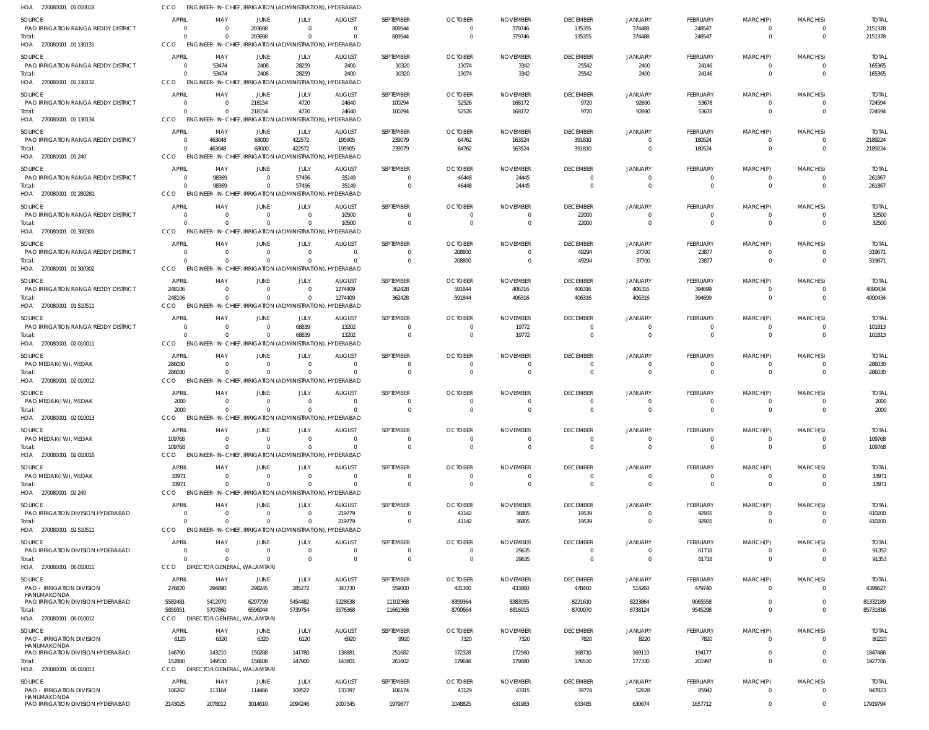| HOA 270080001 01 010018                              |                            | ENGINEER-IN-CHIEF, IRRIGATION (ADMINISTRATION), HYDERABAD           |                               |                               |                                        |                             |                            |                             |                                   |                            |                                   |                         |                            |                        |
|------------------------------------------------------|----------------------------|---------------------------------------------------------------------|-------------------------------|-------------------------------|----------------------------------------|-----------------------------|----------------------------|-----------------------------|-----------------------------------|----------------------------|-----------------------------------|-------------------------|----------------------------|------------------------|
| SOURCE                                               | <b>APRIL</b>               | MAY                                                                 | <b>JUNE</b>                   | JULY                          | <b>AUGUST</b>                          | SEPTEMBER                   | <b>OCTOBER</b>             | <b>NOVEMBER</b>             | <b>DECEMBER</b>                   | <b>JANUARY</b>             | <b>FEBRUARY</b>                   | MARCH(P)                | MARCH(S)                   | <b>TOTAL</b>           |
| PAO IRRIGATION RANGA REDDY DISTRICT<br>Total:        | $\Omega$<br>$\Omega$       | $\cap$                                                              | 203698<br>203698              | $\mathbf{0}$<br>$\Omega$      | $\Omega$<br>$\Omega$                   | 809544<br>809544            | $\Omega$<br>$\Omega$       | 379746<br>379746            | 135355<br>135355                  | 374488<br>374488           | 248547<br>248547                  | 0<br>$\mathbf 0$        | $\Omega$<br>$\Omega$       | 2151378<br>2151378     |
| HOA 270080001 01 130131                              | CCO                        | ENGINEER-IN-CHIEF, IRRIGATION (ADMINISTRATION), HYDERABAD           |                               |                               |                                        |                             |                            |                             |                                   |                            |                                   |                         |                            |                        |
| <b>SOURCE</b>                                        | <b>APRIL</b>               | MAY                                                                 | JUNE                          | JULY                          | <b>AUGUST</b>                          | SEPTEMBER                   | <b>OCTOBER</b>             | <b>NOVEMBER</b>             | <b>DECEMBER</b>                   | JANUARY                    | <b>FEBRUARY</b>                   | MARCH(P)                | MARCH(S)                   | <b>TOTAL</b>           |
| PAO IRRIGATION RANGA REDDY DISTRICT                  | 0                          | 53474                                                               | 2408                          | 28259                         | 2400                                   | 10320                       | 13074                      | 3342                        | 25542                             | 2400                       | 24146                             | $\mathbf 0$             | $\Omega$                   | 165365                 |
| Total:                                               | $\Omega$<br>CCO            | 53474                                                               | 2408                          | 28259                         | 2400                                   | 10320                       | 13074                      | 3342                        | 25542                             | 2400                       | 24146                             | $\overline{0}$          | $\Omega$                   | 165365                 |
| HOA 270080001 01 130132                              |                            | ENGINEER-IN-CHIEF, IRRIGATION (ADMINISTRATION), HYDERABAD           |                               |                               |                                        |                             |                            |                             |                                   |                            |                                   |                         |                            |                        |
| SOURCE<br>PAO IRRIGATION RANGA REDDY DISTRICT        | <b>APRIL</b><br>$\Omega$   | MAY<br>$\Omega$                                                     | JUNE<br>218154                | JULY<br>4720                  | <b>AUGUST</b><br>24640                 | SEPTEMBER<br>100294         | <b>OCTOBER</b><br>52526    | <b>NOVEMBER</b><br>168172   | <b>DECEMBER</b><br>9720           | JANUARY<br>92690           | FEBRUARY<br>53678                 | MARCH(P)<br>0           | MARCH(S)<br>$\Omega$       | <b>TOTAL</b><br>724594 |
| Total:                                               | $\Omega$                   | $\Omega$                                                            | 218154                        | 4720                          | 24640                                  | 100294                      | 52526                      | 168172                      | 9720                              | 92690                      | 53678                             | $\mathbf 0$             | $\Omega$                   | 724594                 |
| HOA 270080001 01 130134                              | CCO                        | <b>ENGINEER-IN-CHIEF,</b>                                           |                               |                               | IRRIGATION (ADMINISTRATION), HYDERABAD |                             |                            |                             |                                   |                            |                                   |                         |                            |                        |
| SOURCE                                               | APRIL                      | MAY                                                                 | <b>JUNE</b>                   | JULY                          | <b>AUGUST</b>                          | SEPTEMBER                   | <b>OCTOBER</b>             | <b>NOVEMBER</b>             | <b>DECEMBER</b>                   | JANUARY                    | <b>FEBRUARY</b>                   | MARCH(P)                | MARCH(S)                   | <b>TOTAL</b>           |
| PAO IRRIGATION RANGA REDDY DISTRICT<br>Total:        | - 0<br>$\Omega$            | 463048<br>463048                                                    | 68000<br>68000                | 422572<br>422572              | 195905<br>195905                       | 239079<br>239079            | 64762<br>64762             | 163524<br>163524            | 391810<br>391810                  | $\overline{0}$<br>$\Omega$ | 180524<br>180524                  | 0<br>$\overline{0}$     | $\Omega$<br>$\overline{0}$ | 2189224<br>2189224     |
| HOA 270080001 01 240                                 | CCO                        | ENGINEER-IN-CHIEF, IRRIGATION (ADMINISTRATION), HYDERABAD           |                               |                               |                                        |                             |                            |                             |                                   |                            |                                   |                         |                            |                        |
| <b>SOURCE</b>                                        | APRIL                      | MAY                                                                 | <b>JUNE</b>                   | JULY                          | <b>AUGUST</b>                          | SEPTEMBER                   | <b>OCTOBER</b>             | <b>NOVEMBER</b>             | <b>DECEMBER</b>                   | JANUARY                    | <b>FEBRUARY</b>                   | MARCH(P)                | MARCH(S)                   | <b>TOTAL</b>           |
| PAO IRRIGATION RANGA REDDY DISTRICT                  | - 0                        | 98369                                                               | $\overline{0}$                | 57456                         | 35149                                  | 0                           | 46448                      | 24445                       | $\Omega$                          | $\Omega$                   | 0                                 | 0                       | $\Omega$                   | 261867                 |
| Total:<br>HOA 270080001 01 280281                    | $\Omega$<br>CCO            | 98369<br>ENGINEER-IN-CHIEF, IRRIGATION (ADMINISTRATION), HYDERABAD  | $\Omega$                      | 57456                         | 35149                                  | $\mathbf 0$                 | 46448                      | 24445                       | $\Omega$                          | $\Omega$                   | $\mathbf{0}$                      | $\overline{0}$          | $\Omega$                   | 261867                 |
| SOURCE                                               | <b>APRIL</b>               | MAY                                                                 | <b>JUNE</b>                   | JULY                          | <b>AUGUST</b>                          | SEPTEMBER                   | <b>OCTOBER</b>             | <b>NOVEMBER</b>             | <b>DECEMBER</b>                   | JANUARY                    | <b>FEBRUARY</b>                   | MARCH(P)                | MARCH(S)                   | <b>TOTAL</b>           |
| PAO IRRIGATION RANGA REDDY DISTRICT                  | 0                          | - 0                                                                 | $\overline{0}$                | $\mathbf 0$                   | 10500                                  | $\mathbf{0}$                | $\Omega$                   | $\Omega$                    | 22000                             | $\overline{0}$             | $\mathbf{0}$                      | $\mathbf 0$             | $\Omega$                   | 32500                  |
| Total:                                               | $\Omega$                   |                                                                     | $\Omega$                      | $\mathbf{0}$                  | 10500                                  | $\mathbf 0$                 | $\Omega$                   | $\Omega$                    | 22000                             | $\Omega$                   | $\mathbf{0}$                      | $\overline{0}$          | $\Omega$                   | 32500                  |
| HOA 270080001 01 300301                              | CCO                        | ENGINEER-IN-CHIEF, IRRIGATION (ADMINISTRATION), HYDERABAD           |                               |                               |                                        |                             |                            |                             |                                   |                            |                                   |                         |                            |                        |
| SOURCE<br><b>PAO IRRIGATION RANGA REDDY DISTRICT</b> | <b>APRIL</b><br>- 0        | MAY<br>$\Omega$                                                     | <b>JUNE</b><br>$\Omega$       | JULY<br>$\mathbf{0}$          | <b>AUGUST</b><br>$\Omega$              | SEPTEMBER<br>$\mathbf{0}$   | <b>OCTOBER</b><br>208800   | <b>NOVEMBER</b><br>$\Omega$ | <b>DECEMBER</b><br>49294          | JANUARY<br>37700           | FEBRUARY<br>23877                 | MARCH(P)<br>$\mathbf 0$ | MARCH(S)<br>$\Omega$       | <b>TOTAL</b><br>319671 |
| Total:                                               | $\Omega$                   |                                                                     | $\Omega$                      | $\Omega$                      | $\Omega$                               | $\mathbf 0$                 | 208800                     | $\Omega$                    | 49294                             | 37700                      | 23877                             | $\mathbf 0$             | $\overline{0}$             | 319671                 |
| HOA 270080001 01 300302                              | CCO                        | ENGINEER-IN-CHIEF, IRRIGATION (ADMINISTRATION), HYDERABAD           |                               |                               |                                        |                             |                            |                             |                                   |                            |                                   |                         |                            |                        |
| SOURCE                                               | APRIL                      | MAY                                                                 | <b>JUNE</b>                   | JULY                          | <b>AUGUST</b>                          | SEPTEMBER                   | <b>OCTOBER</b>             | <b>NOVEMBER</b>             | <b>DECEMBER</b>                   | JANUARY                    | <b>FEBRUARY</b>                   | MARCH(P)                | MARCH(S)                   | <b>TOTAL</b>           |
| PAO IRRIGATION RANGA REDDY DISTRICT                  | 248106<br>248106           | $\Omega$<br>$\Omega$                                                | $\overline{0}$<br>$\Omega$    | $\overline{0}$<br>$\mathbf 0$ | 1274409<br>1274409                     | 362428<br>362428            | 591844<br>591844           | 406316<br>406316            | 406316<br>406316                  | 406316<br>406316           | 394699<br>394699                  | 0<br>$\overline{0}$     | $\Omega$<br>$\Omega$       | 4090434<br>4090434     |
| Total:<br>HOA 270080001 01 510511                    | CCO                        | ENGINEER-IN-CHIEF, IRRIGATION (ADMINISTRATION),                     |                               |                               | HYDERABAD                              |                             |                            |                             |                                   |                            |                                   |                         |                            |                        |
| SOURCE                                               | <b>APRIL</b>               | MAY                                                                 | JUNE                          | JULY                          | <b>AUGUST</b>                          | SEPTEMBER                   | <b>OCTOBER</b>             | <b>NOVEMBER</b>             | <b>DECEMBER</b>                   | <b>JANUARY</b>             | <b>FEBRUARY</b>                   | MARCH(P)                | MARCH(S)                   | <b>TOTAL</b>           |
| PAO IRRIGATION RANGA REDDY DISTRICT                  | - 0                        |                                                                     | $\Omega$                      | 68839                         | 13202                                  | 0                           | - 0                        | 19772                       | $\overline{0}$                    | $\overline{0}$             | 0                                 | 0                       | $\Omega$                   | 101813                 |
| Total:<br>HOA 270080001 02 010011                    | $\Omega$<br>CCO            | $\cap$<br>ENGINEER-IN-CHIEF, IRRIGATION (ADMINISTRATION), HYDERABAD | $\Omega$                      | 68839                         | 13202                                  | $\mathbf 0$                 | $\overline{0}$             | 19772                       | $\Omega$                          | $\Omega$                   | $\mathbf{0}$                      | $\overline{0}$          | $\Omega$                   | 101813                 |
|                                                      |                            |                                                                     |                               |                               |                                        |                             |                            |                             |                                   |                            |                                   |                         |                            |                        |
| SOURCE<br>PAO MEDAK(IW), MEDAK                       | <b>APRIL</b><br>286030     | MAY<br>$\Omega$                                                     | <b>JUNE</b><br>$\overline{0}$ | JULY<br>$\mathbf 0$           | <b>AUGUST</b><br>$\Omega$              | SEPTEMBER<br>$\mathbf{0}$   | <b>OCTOBER</b><br>$\Omega$ | <b>NOVEMBER</b><br>- 0      | <b>DECEMBER</b><br>$\overline{0}$ | JANUARY<br>$\overline{0}$  | <b>FEBRUARY</b><br>$\overline{0}$ | MARCH(P)<br>$\mathbf 0$ | MARCH(S)<br>$\Omega$       | <b>TOTAL</b><br>286030 |
| Total:                                               | 286030                     | $\Omega$                                                            | $\Omega$                      | $\mathbf{0}$                  |                                        | $\mathbf 0$                 | $\Omega$                   |                             | $\Omega$                          | $\Omega$                   | $\overline{0}$                    | $\mathbf 0$             | $\Omega$                   | 286030                 |
| HOA 270080001 02 010012                              | CCO                        | ENGINEER-IN-CHIEF, IRRIGATION (ADMINISTRATION), HYDERABAD           |                               |                               |                                        |                             |                            |                             |                                   |                            |                                   |                         |                            |                        |
| SOURCE                                               | <b>APRIL</b>               | MAY                                                                 | <b>JUNE</b>                   | JULY                          | <b>AUGUST</b>                          | SEPTEMBER                   | <b>OCTOBER</b>             | <b>NOVEMBER</b>             | <b>DECEMBER</b>                   | <b>JANUARY</b>             | <b>FEBRUARY</b>                   | MARCH(P)                | MARCH(S)                   | <b>TOTAL</b>           |
| PAO MEDAK(IW), MEDAK<br>Total:                       | 2000<br>2000               | $\Omega$                                                            | $\Omega$<br>$\Omega$          | $\Omega$<br>$\Omega$          | $\cap$<br>$\Omega$                     | $\Omega$<br>$\mathbf 0$     | $\Omega$                   | - 0<br>$\Omega$             | $\Omega$<br>$\Omega$              | $\Omega$<br>$\Omega$       | $\Omega$<br>$\mathbf{0}$          | O<br>$\Omega$           | $\Omega$<br>$\Omega$       | 2000<br>2000           |
| HOA 270080001 02 010013                              | CCO                        | ENGINEER-IN-CHIEF, IRRIGATION (ADMINISTRATION), HYDERABAD           |                               |                               |                                        |                             |                            |                             |                                   |                            |                                   |                         |                            |                        |
| SOURCE                                               | <b>APRIL</b>               | MAY                                                                 | <b>JUNE</b>                   | JULY                          | <b>AUGUST</b>                          | SEPTEMBER                   | <b>OCTOBER</b>             | <b>NOVEMBER</b>             | <b>DECEMBER</b>                   | JANUARY                    | <b>FEBRUARY</b>                   | MARCH(P)                | MARCH(S)                   | <b>TOTAL</b>           |
| PAO MEDAK(IW), MEDAK                                 | 109768                     | - 0<br>$\Omega$                                                     | $\overline{0}$<br>$\Omega$    | $\mathbf{0}$<br>$\Omega$      | $\Omega$                               | $\overline{0}$              | $\Omega$<br>$\Omega$       |                             | $\overline{0}$<br>$\Omega$        | $\overline{0}$<br>$\Omega$ | $\overline{0}$                    | 0                       | $\Omega$                   | 109768                 |
| Total:<br>HOA 270080001 02 010016                    | 109768<br>CCO              | ENGINEER-IN-CHIEF, IRRIGATION (ADMINISTRATION), HYDERABAD           |                               |                               |                                        | $\mathbf 0$                 |                            | $\Omega$                    |                                   |                            | $\mathbf{0}$                      | $\mathbf 0$             | $\overline{0}$             | 109768                 |
| SOURCE                                               | <b>APRIL</b>               | MAY                                                                 | JUNE                          | JULY                          | <b>AUGUST</b>                          | SEPTEMBER                   | <b>OCTOBER</b>             | <b>NOVEMBER</b>             | <b>DECEMBER</b>                   | JANUARY                    | <b>FEBRUARY</b>                   | MARCH(P)                | MARCH(S)                   | <b>TOTAL</b>           |
| PAO MEDAK(I W), MEDAK                                | 33971                      | $\Omega$                                                            | $\overline{0}$                | $\mathbf 0$                   | $\Omega$                               | $\overline{0}$              | $\Omega$                   | $\Omega$                    | $\overline{0}$                    | $\overline{0}$             | $\overline{0}$                    | $\mathbf 0$             | $\Omega$                   | 33971                  |
| Total:                                               | 33971                      | $\Omega$                                                            | $\Omega$                      | $\Omega$                      | $\Omega$                               | $\mathbf 0$                 | $\Omega$                   | $\Omega$                    | $\Omega$                          | $\Omega$                   | $\mathbf{0}$                      | $\overline{0}$          | $\Omega$                   | 33971                  |
| HOA 270080001 02 240                                 | CCO                        | ENGINEER-IN-CHIEF, IRRIGATION (ADMINISTRATION), HYDERABAD           |                               |                               |                                        |                             |                            |                             |                                   |                            |                                   |                         |                            |                        |
| SOURCE<br>PAO IRRIGATION DIVISION HYDERABAD          | <b>APRIL</b><br>0          | MAY<br>- 0                                                          | JUNE<br>$\overline{0}$        | JULY<br>$\mathbf{0}$          | <b>AUGUST</b><br>219779                | SEPTEMBER<br>$\mathbf{0}$   | <b>OCTOBER</b><br>41142    | <b>NOVEMBER</b><br>36805    | <b>DECEMBER</b><br>19539          | JANUARY<br>$\overline{0}$  | <b>FEBRUARY</b><br>92935          | MARCH(P)<br>$\mathbf 0$ | MARCH(S)<br>$\Omega$       | <b>TOTAL</b><br>410200 |
| Total:                                               | $\Omega$                   |                                                                     | $\Omega$                      | $\mathbf{0}$                  | 219779                                 | $\mathbf 0$                 | 41142                      | 36805                       | 19539                             | $\overline{0}$             | 92935                             | $\overline{0}$          | $\Omega$                   | 410200                 |
| HOA 270080001 02 510511                              | CCO                        | ENGINEER-IN-CHIEF. IRRIGATION (ADMINISTRATION).                     |                               |                               | <b>HYDERABAD</b>                       |                             |                            |                             |                                   |                            |                                   |                         |                            |                        |
| SOURCE                                               | <b>APRIL</b>               | MAY                                                                 | <b>JUNE</b>                   | JULY                          | <b>AUGUST</b>                          | SEPTEMBER                   | <b>OCTOBER</b>             | <b>NOVEMBER</b>             | <b>DECEMBER</b>                   | <b>JANUARY</b>             | FEBRUARY                          | MARCH(P)                | MARCH(S)                   | <b>TOTAL</b>           |
| PAO IRRIGATION DIVISION HYDERABAD<br>Total:          | $\overline{0}$<br>$\Omega$ | $\Omega$<br>$\Omega$                                                | $\overline{0}$<br>$\Omega$    | $\mathbf{0}$<br>$\Omega$      | $\Omega$<br>$\Omega$                   | $\mathbf{0}$<br>$\mathbf 0$ | - 0<br>$\Omega$            | 29635<br>29635              | $\overline{0}$<br>$\Omega$        | $\overline{0}$<br>$\Omega$ | 61718<br>61718                    | 0<br>$\overline{0}$     | $\Omega$<br>$\Omega$       | 91353<br>91353         |
| HOA 270080001 06 010011                              | CCO                        | <b>DIRECTOR GENERAL, WALAMTARI</b>                                  |                               |                               |                                        |                             |                            |                             |                                   |                            |                                   |                         |                            |                        |
|                                                      | <b>APRIL</b>               | MAY                                                                 | JUNE                          | JULY                          | <b>AUGUST</b>                          | SEPTEMBER                   | <b>OCTOBER</b>             | <b>NOVEMBER</b>             | <b>DECEMBER</b>                   | JANUARY                    | <b>FEBRUARY</b>                   | MARCH(P)                | MARCH(S)                   | <b>TOTAL</b>           |
| SOURCE                                               |                            | 294890                                                              | 298245                        | 285272                        | 347730                                 | 559000                      | 431300                     | 433860                      | 478460                            | 514260                     | 479740                            | $\mathbf 0$             | $\Omega$                   | 4399627                |
| <b>PAO - IRRIGATION DIVISION</b>                     | 276870                     |                                                                     |                               |                               |                                        | 11102368                    | 8359364                    | 8383055                     | 8221610                           | 8223864                    | 9065558                           | $\mathbf 0$             | $\Omega$                   | 81332189               |
| HANUMAKONDA<br>PAO IRRIGATION DIVISION HYDERABAD     | 5582481                    | 5412970                                                             | 6297799                       | 5454482                       | 5228638                                |                             |                            |                             |                                   |                            |                                   |                         |                            |                        |
| Total:                                               | 5859351                    | 5707860                                                             | 6596044                       | 5739754                       | 5576368                                | 11661368                    | 8790664                    | 8816915                     | 8700070                           | 8738124                    | 9545298                           | $\overline{0}$          | $\Omega$                   | 85731816               |
| HOA 270080001 06 010012                              | CCO                        | DIRECTOR GENERAL, WALAMTARI                                         |                               |                               |                                        |                             |                            |                             |                                   |                            |                                   |                         |                            |                        |
| SOURCE                                               | <b>APRIL</b>               | MAY                                                                 | JUNE                          | JULY                          | <b>AUGUST</b>                          | SEPTEMBER                   | <b>OCTOBER</b>             | <b>NOVEMBER</b>             | <b>DECEMBER</b>                   | JANUARY                    | <b>FEBRUARY</b>                   | MARCH(P)                | MARCH(S)                   | <b>TOTAL</b>           |
| <b>PAO - IRRIGATION DIVISION</b><br>HANUMAKONDA      | 6120                       | 6320                                                                | 6320                          | 6120                          | 6920                                   | 9920                        | 7320                       | 7320                        | 7820                              | 8220                       | 7820                              | $\Omega$                | $\Omega$                   | 80220                  |
| PAO IRRIGATION DIVISION HYDERABAD                    | 146760                     | 143210                                                              | 150288                        | 141780                        | 136881                                 | 251682                      | 172328                     | 172560                      | 168710                            | 169110                     | 194177                            | $\mathbf 0$             | $\Omega$<br>$\Omega$       | 1847486                |
| Total:<br>HOA 270080001 06 010013                    | 152880<br>CCO              | 149530<br>DIRECTOR GENERAL, WALAMTARI                               | 156608                        | 147900                        | 143801                                 | 261602                      | 179648                     | 179880                      | 176530                            | 177330                     | 201997                            | $\mathbf 0$             |                            | 1927706                |
| SOURCE                                               | <b>APRIL</b>               | MAY                                                                 | JUNE                          | JULY                          | <b>AUGUST</b>                          | SEPTEMBER                   | <b>OCTOBER</b>             | <b>NOVEMBER</b>             | <b>DECEMBER</b>                   | JANUARY                    | <b>FEBRUARY</b>                   | MARCH(P)                | MARCH(S)                   | <b>TOTAL</b>           |
| PAO - IRRIGATION DIVISION<br>HANUMAKONDA             | 106262                     | 113164                                                              | 114466                        | 109522                        | 133397                                 | 106174                      | 43129                      | 43315                       | 39774                             | 52678                      | 85942                             | $\mathbf 0$             | $\Omega$                   | 947823                 |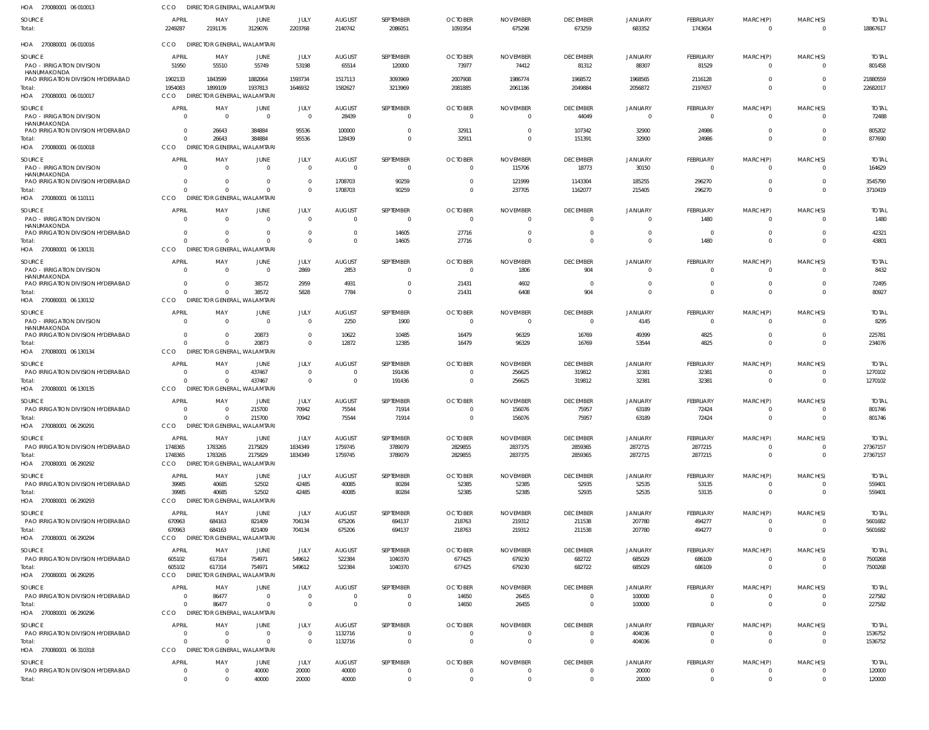| HOA 270080001 06 010013                                                       | CCO                                    | DIRECTOR GENERAL, WALAMTARI                    |                                  |                                  |                                  |                             |                                  |                                  |                                            |                                  |                               |                                  |                                  |                          |
|-------------------------------------------------------------------------------|----------------------------------------|------------------------------------------------|----------------------------------|----------------------------------|----------------------------------|-----------------------------|----------------------------------|----------------------------------|--------------------------------------------|----------------------------------|-------------------------------|----------------------------------|----------------------------------|--------------------------|
| SOURCE<br>Total:                                                              | APRIL<br>2249287                       | MAY<br>2191176                                 | <b>JUNE</b><br>3129076           | JULY<br>2203768                  | <b>AUGUST</b><br>2140742         | SEPTEMBER<br>2086051        | <b>OCTOBER</b><br>1091954        | <b>NOVEMBER</b><br>675298        | <b>DECEMBER</b><br>673259                  | <b>JANUARY</b><br>683352         | FEBRUARY<br>1743654           | MARCH(P)<br>$\Omega$             | MARCH(S)<br>$\overline{0}$       | <b>TOTAL</b><br>18867617 |
| HOA 270080001 06 010016                                                       | CCO                                    | DIRECTOR GENERAL, WALAMTARI                    |                                  |                                  |                                  |                             |                                  |                                  |                                            |                                  |                               |                                  |                                  |                          |
| SOURCE<br><b>PAO - IRRIGATION DIVISION</b>                                    | <b>APRIL</b><br>51950                  | MAY<br>55510                                   | JUNE<br>55749                    | JULY<br>53198                    | <b>AUGUST</b><br>65514           | SEPTEMBER<br>120000         | <b>OCTOBER</b><br>73977          | <b>NOVEMBER</b><br>74412         | <b>DECEMBER</b><br>81312                   | <b>JANUARY</b><br>88307          | FEBRUARY<br>81529             | MARCH(P)<br>$\mathbf{0}$         | MARCH(S)<br>$\Omega$             | <b>TOTAL</b><br>801458   |
| HANUMAKONDA<br>PAO IRRIGATION DIVISION HYDERABAD                              |                                        | 1843599                                        |                                  |                                  |                                  | 3093969                     | 2007908                          | 1986774                          | 1968572                                    | 1968565                          |                               | $\mathbf{0}$                     | $\Omega$                         | 21880559                 |
| Total:<br>HOA 270080001 06 010017                                             | 1902133<br>1954083<br><b>CCO</b>       | 1899109<br><b>DIRECTOR GENERAL, WALAMTARI</b>  | 1882064<br>1937813               | 1593734<br>1646932               | 1517113<br>1582627               | 3213969                     | 2081885                          | 2061186                          | 2049884                                    | 2056872                          | 2116128<br>2197657            | $\overline{0}$                   | $\Omega$                         | 22682017                 |
| SOURCE                                                                        | <b>APRIL</b>                           | MAY                                            | <b>JUNE</b>                      | <b>JULY</b>                      | <b>AUGUST</b>                    | SEPTEMBER                   | <b>OCTOBER</b>                   | <b>NOVEMBER</b>                  | <b>DECEMBER</b>                            | <b>JANUARY</b>                   | FEBRUARY                      | MARCH(P)                         | MARCH(S)                         | <b>TOTAL</b>             |
| PAO - IRRIGATION DIVISION<br>HANUMAKONDA                                      | $\Omega$                               | $\overline{0}$                                 | $\overline{0}$                   | $\overline{0}$                   | 28439                            | 0                           | $\Omega$                         | $\Omega$                         | 44049                                      | $\Omega$                         | $\mathbf{0}$                  | $\Omega$                         | $\Omega$                         | 72488                    |
| PAO IRRIGATION DIVISION HYDERABAD<br>Total:                                   | $\Omega$<br>$\Omega$                   | 26643<br>26643                                 | 384884<br>384884                 | 95536<br>95536                   | 100000<br>128439                 | $\Omega$<br>$\Omega$        | 32911<br>32911                   | $^{\circ}$<br>$\Omega$           | 107342<br>151391                           | 32900<br>32900                   | 24986<br>24986                | $\mathbf 0$<br>$\overline{0}$    | $\Omega$<br>$\Omega$             | 805202<br>877690         |
| HOA 270080001 06 010018                                                       | CCO                                    | DIRECTOR GENERAL, WALAMTARI                    |                                  |                                  |                                  |                             |                                  |                                  |                                            |                                  |                               |                                  |                                  |                          |
| SOURCE<br>PAO - IRRIGATION DIVISION                                           | APRIL<br>$\Omega$                      | MAY<br>$\Omega$                                | JUNE<br>$\overline{0}$           | JULY<br>$\Omega$                 | <b>AUGUST</b><br>$\overline{0}$  | SEPTEMBER<br>$\overline{0}$ | <b>OCTOBER</b><br>$\overline{0}$ | <b>NOVEMBER</b><br>115706        | <b>DECEMBER</b><br>18773                   | <b>JANUARY</b><br>30150          | FEBRUARY<br>$\mathbf 0$       | MARCH(P)<br>$\mathbf{0}$         | MARCH(S)<br>$\Omega$             | <b>TOTAL</b><br>164629   |
| HANUMAKONDA<br>PAO IRRIGATION DIVISION HYDERABAD                              | $\Omega$                               | $\overline{0}$                                 | $\Omega$                         | $\Omega$                         | 1708703                          | 90259                       | - 0                              | 121999                           | 1143304                                    | 185255                           | 296270                        | $\mathbf 0$                      | $\Omega$                         | 3545790                  |
| Total:<br>HOA 270080001 06 110111                                             | $\Omega$<br>CCO                        | $\Omega$<br><b>DIRECTOR GENERAL, WALAMTARI</b> | $\Omega$                         | $\Omega$                         | 1708703                          | 90259                       | $\overline{0}$                   | 237705                           | 1162077                                    | 215405                           | 296270                        | $\overline{0}$                   | $\Omega$                         | 3710419                  |
| SOURCE                                                                        | <b>APRIL</b>                           | MAY                                            | JUNE                             | <b>JULY</b>                      | <b>AUGUST</b>                    | SEPTEMBER                   | <b>OCTOBER</b>                   | <b>NOVEMBER</b>                  | <b>DECEMBER</b>                            | <b>JANUARY</b>                   | FEBRUARY                      | MARCH(P)                         | MARCH(S)                         | <b>TOTAL</b>             |
| PAO - IRRIGATION DIVISION<br>HANUMAKONDA<br>PAO IRRIGATION DIVISION HYDERABAD | $\Omega$<br>$\Omega$                   | $\Omega$<br>$\Omega$                           | $\Omega$<br>$\Omega$             | $\Omega$<br>$\Omega$             | $\Omega$<br>- 0                  | $\overline{0}$<br>14605     | $\Omega$<br>27716                | $\Omega$<br>$\Omega$             | $\overline{\mathbf{0}}$<br>$\overline{0}$  | $\overline{0}$<br>$\overline{0}$ | 1480<br>$\overline{0}$        | $\overline{0}$<br>$\overline{0}$ | $\Omega$<br>$\Omega$             | 1480<br>42321            |
| Total:                                                                        | $\Omega$                               | $\Omega$                                       | $\Omega$                         | $\Omega$                         | $\Omega$                         | 14605                       | 27716                            | $\Omega$                         | $\Omega$                                   | $\Omega$                         | 1480                          | $\mathbf 0$                      | $\Omega$                         | 43801                    |
| HOA 270080001 06 130131                                                       | CCO                                    | DIRECTOR GENERAL, WALAMTARI                    |                                  |                                  |                                  |                             |                                  |                                  |                                            |                                  |                               |                                  |                                  |                          |
| SOURCE<br>PAO - IRRIGATION DIVISION                                           | <b>APRIL</b><br>$\Omega$               | MAY<br>$\overline{0}$                          | JUNE<br>$\overline{0}$           | JULY<br>2869                     | <b>AUGUST</b><br>2853            | SEPTEMBER<br>0              | <b>OCTOBER</b><br>- 0            | <b>NOVEMBER</b><br>1806          | <b>DECEMBER</b><br>904                     | <b>JANUARY</b><br>$\Omega$       | FEBRUARY<br>$\overline{0}$    | MARCH(P)<br>$\overline{0}$       | MARCH(S)<br>$\Omega$             | <b>TOTAL</b><br>8432     |
| HANUMAKONDA<br>PAO IRRIGATION DIVISION HYDERABAD                              | $\Omega$                               | $\Omega$                                       | 38572                            |                                  | 4931                             | $\mathbf{0}$                | 21431                            | 4602                             | $\overline{\mathbf{0}}$                    | $\Omega$                         | $\overline{0}$                | $\mathbf{0}$                     | $\Omega$                         |                          |
| lotal:                                                                        | $\Omega$                               | $\Omega$                                       | 38572                            | 2959<br>5828                     | 7784                             | $\mathbf 0$                 | 21431                            | 6408                             | 904                                        | $\overline{0}$                   | $\mathbf{0}$                  | $\overline{0}$                   | $\Omega$                         | 72495<br>80927           |
| HOA 270080001 06 130132                                                       | CCO                                    | DIRECTOR GENERAL, WALAMTARI                    |                                  |                                  |                                  |                             |                                  |                                  |                                            |                                  |                               |                                  |                                  |                          |
| SOURCE<br>PAO - IRRIGATION DIVISION                                           | <b>APRIL</b><br>$\Omega$               | MAY<br>$\Omega$                                | JUNE<br>$\Omega$                 | <b>JULY</b><br>$\Omega$          | <b>AUGUST</b><br>2250            | SEPTEMBER<br>1900           | <b>OCTOBER</b><br>$\Omega$       | <b>NOVEMBER</b><br>$\Omega$      | <b>DECEMBER</b><br>$\overline{\mathbf{0}}$ | JANUARY<br>4145                  | FEBRUARY<br>$\mathbf{0}$      | MARCH(P)<br>$\Omega$             | MARCH(S)<br>$\Omega$             | <b>TOTAI</b><br>8295     |
| HANUMAKONDA<br>PAO IRRIGATION DIVISION HYDERABAD                              | $\Omega$                               | $\Omega$                                       | 20873                            | $\Omega$                         | 10622                            | 10485                       | 16479                            | 96329                            | 16769                                      | 49399                            | 4825                          | $\mathbf 0$                      | $\Omega$                         | 225781                   |
| Total:                                                                        | $\Omega$                               | $\Omega$                                       | 20873                            | $\Omega$                         | 12872                            | 12385                       | 16479                            | 96329                            | 16769                                      | 53544                            | 4825                          | $\overline{0}$                   | $\Omega$                         | 234076                   |
| HOA 270080001 06 130134                                                       | <b>CCO</b>                             | DIRECTOR GENERAL, WALAMTARI                    |                                  |                                  |                                  |                             |                                  |                                  |                                            |                                  |                               |                                  |                                  |                          |
| SOURCE<br>PAO IRRIGATION DIVISION HYDERABAD                                   | <b>APRIL</b><br>$\Omega$               | MAY<br>$\overline{0}$                          | JUNE<br>437467                   | JULY<br>$\Omega$                 | <b>AUGUST</b><br>$\overline{0}$  | SEPTEMBER<br>191436         | <b>OCTOBER</b><br>$\overline{0}$ | <b>NOVEMBER</b><br>256625        | <b>DECEMBER</b><br>319812                  | <b>JANUARY</b><br>32381          | FEBRUARY<br>32381             | MARCH(P)<br>$\mathbf{0}$         | MARCH(S)<br>$\overline{0}$       | <b>TOTAL</b><br>1270102  |
| Total:                                                                        | $\Omega$                               | $\Omega$                                       | 437467                           | $\Omega$                         | $\overline{0}$                   | 191436                      | $\overline{0}$                   | 256625                           | 319812                                     | 32381                            | 32381                         | $\overline{0}$                   | $\Omega$                         | 1270102                  |
| HOA 270080001 06 130135                                                       | CCO                                    | <b>DIRECTOR GENERAL, WALAMTARI</b>             |                                  |                                  |                                  |                             |                                  |                                  |                                            |                                  |                               |                                  |                                  |                          |
| SOURCE<br>PAO IRRIGATION DIVISION HYDERABAD                                   | <b>APRIL</b><br>$\Omega$               | MAY<br>$\Omega$                                | <b>JUNE</b><br>215700            | JULY<br>70942                    | <b>AUGUST</b><br>75544           | SEPTEMBER<br>71914          | <b>OCTOBER</b><br>$\Omega$       | <b>NOVEMBER</b><br>156076        | <b>DECEMBER</b><br>75957                   | <b>JANUARY</b><br>63189          | FEBRUARY<br>72424             | MARCH(P)<br>$\Omega$             | MARCH(S)<br>$\Omega$             | <b>TOTAL</b><br>801746   |
| Total:                                                                        |                                        |                                                | 215700                           | 70942                            | 75544                            | 71914                       |                                  | 156076                           | 75957                                      | 63189                            | 72424                         |                                  |                                  | 801746                   |
| HOA 270080001 06 290291                                                       | <b>CCO</b>                             | <b>DIRECTOR GENERAL, WALAMTARI</b>             |                                  |                                  |                                  |                             |                                  |                                  |                                            |                                  |                               |                                  |                                  |                          |
| SOURCE                                                                        | <b>APRIL</b>                           | MAY                                            | JUNE                             | JULY                             | <b>AUGUST</b>                    | SEPTEMBER                   | <b>OCTOBER</b>                   | <b>NOVEMBER</b>                  | <b>DECEMBER</b>                            | <b>JANUARY</b>                   | FEBRUARY                      | MARCH(P)                         | MARCH(S)                         | <b>TOTAL</b>             |
| PAO IRRIGATION DIVISION HYDERABAD<br>Total:                                   | 1748365<br>1748365                     | 1783265<br>1783265                             | 2175829<br>2175829               | 1834349<br>1834349               | 1759745<br>1759745               | 3789079<br>3789079          | 2829855<br>2829855               | 2837375<br>2837375               | 2859365<br>2859365                         | 2872715<br>2872715               | 2877215<br>2877215            | $^{\circ}$<br>$\mathbf 0$        | $\overline{0}$<br>$\overline{0}$ | 27367157<br>27367157     |
| HOA 270080001 06 290292                                                       | CCO                                    | <b>DIRECTOR GENERAL, WALAMTARI</b>             |                                  |                                  |                                  |                             |                                  |                                  |                                            |                                  |                               |                                  |                                  |                          |
| SOURCE                                                                        | <b>APRIL</b>                           | MAY                                            | JUNE                             | JULY                             | <b>AUGUST</b>                    | SEPTEMBER                   | <b>OCTOBER</b>                   | <b>NOVEMBER</b>                  | <b>DECEMBER</b>                            | JANUARY                          | FEBRUARY                      | MARCH(P)                         | MARCH(S)                         | <b>TOTAL</b>             |
| PAO IRRIGATION DIVISION HYDERABAD                                             | 39985                                  | 40685                                          | 52502                            | 42485                            | 40085                            | 80284                       | 52385                            | 52385                            | 52935                                      | 52535                            | 53135                         | $\mathbf{0}$                     | $\Omega$                         | 559401                   |
| Total:<br>HOA 270080001 06 290293                                             | 39985<br>CCO                           | 40685<br>DIRECTOR GENERAL, WALAMTARI           | 52502                            | 42485                            | 40085                            | 80284                       | 52385                            | 52385                            | 52935                                      | 52535                            | 53135                         | $\mathbf{0}$                     | $\Omega$                         | 559401                   |
| SOURCE                                                                        | APRIL                                  | MAY                                            | JUNE                             | JULY                             | <b>AUGUST</b>                    | SEPTEMBER                   | <b>OCTOBER</b>                   | <b>NOVEMBER</b>                  | <b>DECEMBER</b>                            | <b>JANUARY</b>                   | FEBRUARY                      | MARCH(P)                         | MARCH(S)                         | <b>TOTAL</b>             |
| PAO IRRIGATION DIVISION HYDERABAD                                             | 670963                                 | 684163                                         | 821409                           | 704134                           | 675206                           | 694137                      | 218763                           | 219312                           | 211538                                     | 207780                           | 494277                        | $\mathbf 0$                      | $\overline{0}$                   | 5601682                  |
| Total:<br>HOA 270080001 06 290294                                             | 670963<br><b>CCO</b>                   | 684163<br>DIRECTOR GENERAL, WALAMTARI          | 821409                           | 704134                           | 675206                           | 694137                      | 218763                           | 219312                           | 211538                                     | 207780                           | 494277                        | $\mathbf 0$                      | $\overline{0}$                   | 5601682                  |
| SOURCE                                                                        | APRIL                                  | MAY                                            | JUNE                             | JULY                             | <b>AUGUST</b>                    | SEPTEMBER                   | <b>OCTOBER</b>                   | <b>NOVEMBER</b>                  | <b>DECEMBER</b>                            | <b>JANUARY</b>                   | FEBRUARY                      | MARCH(P)                         | MARCH(S)                         | <b>TOTAL</b>             |
| PAO IRRIGATION DIVISION HYDERABAD<br>Total:                                   | 605102<br>605102                       | 617314<br>617314                               | 754971<br>754971                 | 549612<br>549612                 | 522384<br>522384                 | 1040370<br>1040370          | 677425<br>677425                 | 679230<br>679230                 | 682722<br>682722                           | 685029<br>685029                 | 686109<br>686109              | 0<br>$\mathbf 0$                 | $\Omega$<br>$\overline{0}$       | 7500268<br>7500268       |
| HOA 270080001 06 290295                                                       | CCO                                    | DIRECTOR GENERAL, WALAMTARI                    |                                  |                                  |                                  |                             |                                  |                                  |                                            |                                  |                               |                                  |                                  |                          |
| SOURCE                                                                        | APRIL                                  | MAY                                            | JUNE                             | JULY                             | <b>AUGUST</b>                    | SEPTEMBER                   | <b>OCTOBER</b>                   | <b>NOVEMBER</b>                  | <b>DECEMBER</b>                            | <b>JANUARY</b>                   | <b>FEBRUARY</b>               | MARCH(P)                         | MARCH(S)                         | <b>TOTAL</b>             |
| PAO IRRIGATION DIVISION HYDERABAD<br>Total:                                   | $\Omega$<br>$\Omega$                   | 86477<br>86477                                 | $\mathbf 0$<br>$\overline{0}$    | $\overline{0}$<br>$\overline{0}$ | $\overline{0}$<br>$\overline{0}$ | 0<br>$\mathbf 0$            | 14650<br>14650                   | 26455<br>26455                   | 0<br>$\overline{0}$                        | 100000<br>100000                 | $\mathbf 0$<br>$\mathbf 0$    | 0<br>$\mathbf 0$                 | $\mathbf{0}$<br>$\overline{0}$   | 227582<br>227582         |
| HOA 270080001 06 290296                                                       | <b>CCO</b>                             | DIRECTOR GENERAL, WALAMTARI                    |                                  |                                  |                                  |                             |                                  |                                  |                                            |                                  |                               |                                  |                                  |                          |
| SOURCE                                                                        | <b>APRIL</b>                           | MAY                                            | JUNE                             | JULY                             | <b>AUGUST</b>                    | SEPTEMBER                   | <b>OCTOBER</b>                   | <b>NOVEMBER</b>                  | <b>DECEMBER</b>                            | <b>JANUARY</b>                   | <b>FEBRUARY</b>               | MARCH(P)                         | MARCH(S)                         | <b>TOTAL</b>             |
| PAO IRRIGATION DIVISION HYDERABAD<br>Total:                                   | $\Omega$<br>$\Omega$                   | $\overline{0}$<br>$\Omega$                     | $\overline{0}$<br>$\overline{0}$ | $\overline{0}$<br>$\Omega$       | 1132716<br>1132716               | $\mathbf{0}$<br>$\mathbf 0$ | $\overline{0}$<br>$\overline{0}$ | $\overline{0}$<br>$\overline{0}$ | $\overline{\mathbf{0}}$<br>$\overline{0}$  | 404036<br>404036                 | $\mathbf 0$<br>$\overline{0}$ | $\mathbf{0}$<br>$\mathbf{0}$     | $\overline{0}$<br>$\Omega$       | 1536752<br>1536752       |
| HOA 270080001 06 310318                                                       | <b>CCO</b>                             | DIRECTOR GENERAL, WALAMTARI                    |                                  |                                  |                                  |                             |                                  |                                  |                                            |                                  |                               |                                  |                                  |                          |
| SOURCE                                                                        | <b>APRIL</b>                           | MAY                                            | JUNE                             | JULY                             | <b>AUGUST</b>                    | SEPTEMBER                   | <b>OCTOBER</b>                   | <b>NOVEMBER</b>                  | <b>DECEMBER</b>                            | <b>JANUARY</b>                   | FEBRUARY                      | MARCH(P)                         | MARCH(S)                         | <b>TOTAL</b>             |
| PAO IRRIGATION DIVISION HYDERABAD<br>Total:                                   | $\overline{\mathbf{0}}$<br>$\mathbf 0$ | $\overline{0}$<br>$\overline{0}$               | 40000<br>40000                   | 20000<br>20000                   | 40000<br>40000                   | 0<br>$\bf 0$                | $\overline{0}$<br>$\overline{0}$ | $\overline{0}$<br>$\overline{0}$ | $\overline{0}$<br>$\overline{0}$           | 20000<br>20000                   | $\mathbf 0$<br>$\mathbf 0$    | $\mathbf 0$<br>$\mathbf 0$       | $\overline{0}$<br>$\overline{0}$ | 120000<br>120000         |
|                                                                               |                                        |                                                |                                  |                                  |                                  |                             |                                  |                                  |                                            |                                  |                               |                                  |                                  |                          |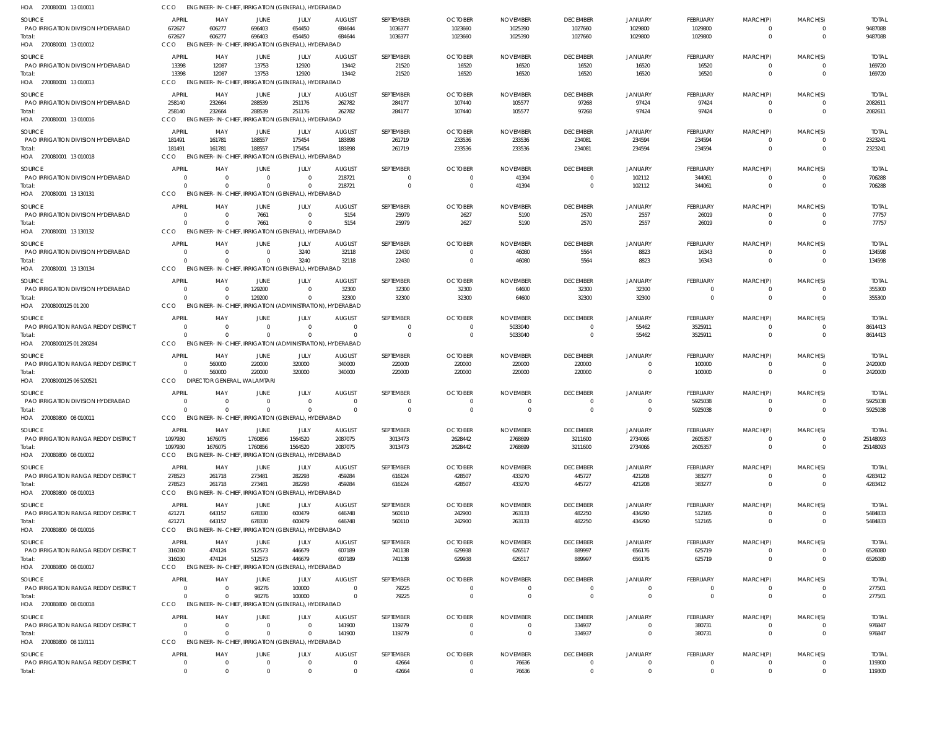| HOA 270080001 13 010011                       | CCO                      | ENGINEER-IN-CHIEF, IRRIGATION (GENERAL), HYDERABAD                    |                         |                        |                      |                    |                            |                             |                             |                            |                     |                            |                                  |                         |
|-----------------------------------------------|--------------------------|-----------------------------------------------------------------------|-------------------------|------------------------|----------------------|--------------------|----------------------------|-----------------------------|-----------------------------|----------------------------|---------------------|----------------------------|----------------------------------|-------------------------|
| <b>SOURCE</b>                                 | APRIL                    | MAY                                                                   | JUNE                    | JULY                   | <b>AUGUST</b>        | SEPTEMBER          | <b>OCTOBER</b>             | <b>NOVEMBER</b>             | <b>DECEMBER</b>             | <b>JANUARY</b>             | <b>FEBRUARY</b>     | MARCH(P)                   | MARCH(S)                         | <b>TOTAL</b>            |
| PAO IRRIGATION DIVISION HYDERABAD             | 672627                   | 606277                                                                | 696403                  | 654450                 | 684644               | 1036377            | 1023660                    | 1025390                     | 1027660                     | 1029800                    | 1029800             | 0<br>$\mathbf 0$           | $\overline{0}$<br>$\overline{0}$ | 9487088                 |
| Total:<br>HOA 270080001 13 010012             | 672627<br>CCO            | 606277<br>ENGINEER-IN-CHIEF, IRRIGATION (GENERAL), HYDERABAD          | 696403                  | 654450                 | 684644               | 1036377            | 1023660                    | 1025390                     | 1027660                     | 1029800                    | 1029800             |                            |                                  | 9487088                 |
| SOURCE                                        | <b>APRIL</b>             | MAY                                                                   | JUNE                    | JULY                   | <b>AUGUST</b>        | SEPTEMBER          | <b>OCTOBER</b>             | <b>NOVEMBER</b>             | <b>DECEMBER</b>             | <b>JANUARY</b>             | FEBRUARY            | MARCH(P)                   | MARCH(S)                         | <b>TOTAL</b>            |
| PAO IRRIGATION DIVISION HYDERABAD<br>Total:   | 13398<br>13398           | 12087<br>12087                                                        | 13753<br>13753          | 12920<br>12920         | 13442<br>13442       | 21520<br>21520     | 16520<br>16520             | 16520<br>16520              | 16520<br>16520              | 16520<br>16520             | 16520<br>16520      | $\mathbf 0$<br>$\mathbf 0$ | $\Omega$<br>$\Omega$             | 169720<br>169720        |
| HOA 270080001 13 010013                       | <b>CCO</b>               | ENGINEER-IN-CHIEF, IRRIGATION (GENERAL), HYDERABAD                    |                         |                        |                      |                    |                            |                             |                             |                            |                     |                            |                                  |                         |
| SOURCE                                        | <b>APRIL</b>             | MAY                                                                   | JUNE                    | JULY                   | <b>AUGUST</b>        | SEPTEMBER          | <b>OCTOBER</b>             | <b>NOVEMBER</b>             | <b>DECEMBER</b>             | <b>JANUARY</b>             | FEBRUARY            | MARCH(P)                   | MARCH(S)                         | <b>TOTAL</b>            |
| PAO IRRIGATION DIVISION HYDERABAD             | 258140                   | 232664                                                                | 288539                  | 251176                 | 262782               | 284177             | 107440                     | 105577                      | 97268                       | 97424                      | 97424               | 0                          | $\overline{0}$                   | 2082611                 |
| Total:<br>HOA 270080001 13010016              | 258140<br><b>CCO</b>     | 232664<br>ENGINEER-IN-CHIEF, IRRIGATION (GENERAL), HYDERABAD          | 288539                  | 251176                 | 262782               | 284177             | 107440                     | 105577                      | 97268                       | 97424                      | 97424               | $\mathbf 0$                | $\overline{0}$                   | 2082611                 |
| SOURCE                                        | APRIL                    | MAY                                                                   | JUNE                    | JULY                   | <b>AUGUST</b>        | SEPTEMBER          | <b>OCTOBER</b>             | <b>NOVEMBER</b>             | <b>DECEMBER</b>             | <b>JANUARY</b>             | FEBRUARY            | MARCH(P)                   | MARCH(S)                         | <b>TOTAL</b>            |
| PAO IRRIGATION DIVISION HYDERABAD             | 181491                   | 161781                                                                | 188557                  | 175454                 | 183898               | 261719             | 233536                     | 233536                      | 234081                      | 234594                     | 234594              | 0                          | $\Omega$                         | 2323241                 |
| Total:<br>HOA 270080001 13 010018             | 181491<br>CCO            | 161781<br>ENGINEER-IN-CHIEF, IRRIGATION (GENERAL), HYDERABAD          | 188557                  | 175454                 | 183898               | 261719             | 233536                     | 233536                      | 234081                      | 234594                     | 234594              | $\mathbf 0$                | $\overline{0}$                   | 2323241                 |
| SOURCE                                        | <b>APRIL</b>             | MAY                                                                   | <b>JUNE</b>             | JULY                   | <b>AUGUST</b>        | SEPTEMBER          | <b>OCTOBER</b>             | <b>NOVEMBER</b>             | <b>DECEMBER</b>             | <b>JANUARY</b>             | FEBRUARY            | MARCH(P)                   | MARCH(S)                         | <b>TOTAL</b>            |
| PAO IRRIGATION DIVISION HYDERABAD             | $\Omega$                 | - 0                                                                   | $\mathbf 0$             | $\Omega$               | 218721               | $\Omega$           | $\overline{0}$             | 41394                       | $\overline{0}$              | 102112                     | 344061              | 0                          | $\overline{0}$                   | 706288                  |
| Total:<br>HOA 270080001 13 130131             | $\Omega$<br>CCO          | $\Omega$<br>ENGINEER-IN-CHIEF, IRRIGATION (GENERAL), HYDERABAD        | $\Omega$                | $\Omega$               | 218721               | $\Omega$           | $\overline{0}$             | 41394                       | $\overline{0}$              | 102112                     | 344061              | $\mathbf 0$                | $\overline{0}$                   | 706288                  |
| SOURCE                                        | <b>APRIL</b>             | MAY                                                                   | <b>JUNE</b>             | JULY                   | <b>AUGUST</b>        | SEPTEMBER          | <b>OCTOBER</b>             | <b>NOVEMBER</b>             | <b>DECEMBER</b>             | <b>JANUARY</b>             | FEBRUARY            | MARCH(P)                   | MARCH(S)                         | <b>TOTAL</b>            |
| PAO IRRIGATION DIVISION HYDERABAD             | $\Omega$                 | $\overline{0}$                                                        | 7661                    | $\Omega$               | 5154                 | 25979              | 2627                       | 5190                        | 2570                        | 2557                       | 26019               | $\mathbf 0$                | $\overline{0}$                   | 77757                   |
| Total:<br>HOA 270080001 13 130132             | $\Omega$<br>CCO          | - 0<br>ENGINEER-IN-CHIEF, IRRIGATION (GENERAL), HYDERABAD             | 7661                    | $\Omega$               | 5154                 | 25979              | 2627                       | 5190                        | 2570                        | 2557                       | 26019               | $\mathbf 0$                | $\Omega$                         | 77757                   |
| SOURCE                                        | <b>APRIL</b>             | MAY                                                                   | <b>JUNE</b>             | JULY                   | <b>AUGUST</b>        | SEPTEMBER          | <b>OCTOBER</b>             | <b>NOVEMBER</b>             | <b>DECEMBER</b>             | <b>JANUARY</b>             | FEBRUARY            | MARCH(P)                   | MARCH(S)                         | <b>TOTAL</b>            |
| PAO IRRIGATION DIVISION HYDERABAD             | $\Omega$                 | $\overline{0}$                                                        | $\mathbf 0$             | 3240                   | 32118                | 22430              | $\overline{0}$             | 46080                       | 5564                        | 8823                       | 16343               | 0                          | $\overline{0}$                   | 134598                  |
| Total:<br>HOA 270080001 13 130134             | $\Omega$<br>CCO          | $\Omega$<br>ENGINEER-IN-CHIEF, IRRIGATION (GENERAL), HYDERABAD        | $\Omega$                | 3240                   | 32118                | 22430              | $\overline{0}$             | 46080                       | 5564                        | 8823                       | 16343               | $\mathbf{0}$               | $\overline{0}$                   | 134598                  |
| SOURCE                                        | <b>APRIL</b>             | MAY                                                                   | <b>JUNE</b>             | <b>JULY</b>            | <b>AUGUST</b>        | SEPTEMBER          | <b>OCTOBER</b>             | <b>NOVEMBER</b>             | <b>DECEMBER</b>             | <b>JANUARY</b>             | <b>FEBRUARY</b>     | MARCH(P)                   | MARCH(S)                         | <b>TOTAL</b>            |
| PAO IRRIGATION DIVISION HYDERABAD             | $\Omega$                 | $\overline{0}$                                                        | 129200                  | $\overline{0}$         | 32300                | 32300              | 32300                      | 64600                       | 32300                       | 32300                      | $\mathbf 0$         | 0                          | $\Omega$                         | 355300                  |
| Total:<br>HOA 27008000125 01 200              | $\Omega$<br><b>CCO</b>   | $\Omega$<br>ENGINEER-IN-CHIEF, IRRIGATION (ADMINISTRATION), HYDERABAD | 129200                  | $\overline{0}$         | 32300                | 32300              | 32300                      | 64600                       | 32300                       | 32300                      | $\mathbf 0$         | $\mathbf 0$                | $\Omega$                         | 355300                  |
| <b>SOURCE</b>                                 | <b>APRIL</b>             | MAY                                                                   | <b>JUNE</b>             | JULY                   | <b>AUGUST</b>        | SEPTEMBER          | <b>OCTOBER</b>             | <b>NOVEMBER</b>             | <b>DECEMBER</b>             | <b>JANUARY</b>             | <b>FEBRUARY</b>     | MARCH(P)                   | MARCH(S)                         | <b>TOTAL</b>            |
| PAO IRRIGATION RANGA REDDY DISTRICT           | $\Omega$                 | $\overline{0}$                                                        | $\mathbf 0$             | $\Omega$               | $\Omega$             | $\Omega$           | $\overline{0}$             | 5033040                     | $\Omega$                    | 55462                      | 3525911             | 0                          | $\overline{0}$                   | 8614413                 |
| Total:<br>HOA 27008000125 01 280284           | $\Omega$<br><b>CCO</b>   | $\Omega$<br>ENGINEER-IN-CHIEF, IRRIGATION (ADMINISTRATION), HYDERABAD | $\Omega$                | $\Omega$               | $\Omega$             | $\overline{0}$     | $\overline{0}$             | 5033040                     | $\overline{0}$              | 55462                      | 3525911             | $\mathbf 0$                | $\overline{0}$                   | 8614413                 |
| SOURCE                                        | <b>APRIL</b>             | MAY                                                                   | JUNE                    | JULY                   | <b>AUGUST</b>        | SEPTEMBER          | <b>OCTOBER</b>             | <b>NOVEMBER</b>             | <b>DECEMBER</b>             | <b>JANUARY</b>             | <b>FEBRUARY</b>     | MARCH(P)                   | MARCH(S)                         | <b>TOTAL</b>            |
| <b>PAO IRRIGATION RANGA REDDY DISTRICT</b>    | $\overline{0}$           | 560000                                                                | 220000                  | 320000                 | 340000               | 220000             | 220000                     | 220000                      | 220000                      | $\overline{0}$             | 100000              | $\mathbf 0$                | $\overline{0}$                   | 2420000                 |
| Total:                                        | $\Omega$                 | 560000                                                                | 220000                  | 320000                 | 340000               | 220000             | 220000                     | 220000                      | 220000                      | $\overline{0}$             | 100000              | $\mathbf{0}$               | $\Omega$                         | 2420000                 |
| HOA 27008000125 06 520521                     | <b>CCO</b>               | <b>DIRECTOR GENERAL, WALAMTARI</b>                                    |                         |                        |                      |                    |                            |                             |                             |                            |                     |                            |                                  |                         |
| SOURCE<br>PAO IRRIGATION DIVISION HYDERABAD   | <b>APRIL</b><br>$\Omega$ | MAY<br>$\Omega$                                                       | <b>JUNE</b><br>$\Omega$ | JULY<br>$\overline{0}$ | <b>AUGUST</b><br>- 0 | SEPTEMBER<br>0     | <b>OCTOBER</b><br>$\Omega$ | <b>NOVEMBER</b><br>$\Omega$ | <b>DECEMBER</b><br>$\Omega$ | <b>JANUARY</b><br>$\Omega$ | FEBRUARY<br>5925038 | MARCH(P)<br>$\Omega$       | MARCH(S)<br>$\Omega$             | <b>TOTAL</b><br>5925038 |
| Total:                                        | $\Omega$                 | $\Omega$                                                              | $\Omega$                | $\Omega$               | $\Omega$             | $\Omega$           | $\Omega$                   | $\Omega$                    | $\overline{0}$              | $\overline{0}$             | 5925038             | $\mathbf{0}$               | $\overline{0}$                   | 5925038                 |
| HOA 270080800 08 010011                       | CCO                      | ENGINEER-IN-CHIEF, IRRIGATION (GENERAL), HYDERABAD                    |                         |                        |                      |                    |                            |                             |                             |                            |                     |                            |                                  |                         |
| SOURCE                                        | <b>APRIL</b>             | MAY                                                                   | JUNE                    | JULY                   | <b>AUGUST</b>        | SEPTEMBER          | <b>OCTOBER</b>             | <b>NOVEMBER</b>             | <b>DECEMBER</b>             | <b>JANUARY</b>             | <b>FEBRUARY</b>     | MARCH(P)                   | MARCH(S)                         | <b>TOTAL</b>            |
| PAO IRRIGATION RANGA REDDY DISTRICT<br>Total: | 1097930<br>1097930       | 1676075<br>1676075                                                    | 1760856<br>1760856      | 1564520<br>1564520     | 2087075<br>2087075   | 3013473<br>3013473 | 2628442<br>2628442         | 2768699<br>2768699          | 3211600<br>3211600          | 2734066<br>2734066         | 2605357<br>2605357  | 0<br>$\mathbf 0$           | $\Omega$<br>$\overline{0}$       | 25148093<br>25148093    |
| HOA 270080800 08 010012                       | CCO                      | ENGINEER-IN-CHIEF, IRRIGATION (GENERAL), HYDERABAD                    |                         |                        |                      |                    |                            |                             |                             |                            |                     |                            |                                  |                         |
| SOURCE                                        | APRIL                    | MAY                                                                   | JUNE                    | JULY                   | <b>AUGUST</b>        | SEPTEMBER          | <b>OCTOBER</b>             | <b>NOVEMBER</b>             | <b>DECEMBER</b>             | <b>JANUARY</b>             | <b>FEBRUARY</b>     | MARCH(P)                   | MARCH(S)                         | <b>TOTAL</b>            |
| PAO IRRIGATION RANGA REDDY DISTRICT           | 278523                   | 261718                                                                | 273481                  | 282293                 | 459284               | 616124             | 428507                     | 433270                      | 445727                      | 421208                     | 383277              | 0                          | $\overline{0}$                   | 4283412                 |
| Total:<br>HOA 270080800 08 010013             | 278523<br>CCO            | 261718<br>ENGINEER-IN-CHIEF, IRRIGATION (GENERAL), HYDERABAD          | 273481                  | 282293                 | 459284               | 616124             | 428507                     | 433270                      | 445727                      | 421208                     | 383277              | $\mathbf 0$                | $\overline{0}$                   | 4283412                 |
| <b>SOURCE</b>                                 | <b>APRIL</b>             | MAY                                                                   | JUNE                    | JULY                   | <b>AUGUST</b>        | SEPTEMBER          | <b>OCTOBER</b>             | <b>NOVEMBER</b>             | <b>DECEMBER</b>             | <b>JANUARY</b>             | <b>FEBRUARY</b>     | MARCH(P)                   | MARCH(S)                         | <b>TOTAL</b>            |
| PAO IRRIGATION RANGA REDDY DISTRICT           | 421271                   | 643157                                                                | 678330                  | 600479                 | 646748               | 560110             | 242900                     | 263133                      | 482250                      | 434290                     | 512165              | $\mathbf 0$                | $\overline{0}$                   | 5484833                 |
| Total:<br>HOA 270080800 08 010016             | 421271<br>CCO            | 643157<br>ENGINEER-IN-CHIEF, IRRIGATION (GENERAL), HYDERABAD          | 678330                  | 600479                 | 646748               | 560110             | 242900                     | 263133                      | 482250                      | 434290                     | 512165              | $\mathbf 0$                | $\overline{0}$                   | 5484833                 |
| SOURCE                                        | <b>APRIL</b>             | MAY                                                                   | JUNE                    | JULY                   | <b>AUGUST</b>        | SEPTEMBER          | <b>OCTOBER</b>             | <b>NOVEMBER</b>             | <b>DECEMBER</b>             | <b>JANUARY</b>             | FEBRUARY            | MARCH(P)                   | MARCH(S)                         | <b>TOTAL</b>            |
| PAO IRRIGATION RANGA REDDY DISTRICT           | 316030                   | 474124                                                                | 512573                  | 446679                 | 607189               | 741138             | 629938                     | 626517                      | 889997                      | 656176                     | 625719              | 0                          | $\overline{0}$                   | 6526080                 |
| Total:<br>HOA 270080800 08 010017             | 316030<br>CCO            | 474124<br>ENGINEER-IN-CHIEF, IRRIGATION (GENERAL), HYDERABAD          | 512573                  | 446679                 | 607189               | 741138             | 629938                     | 626517                      | 889997                      | 656176                     | 625719              | $\mathbf 0$                | $\overline{0}$                   | 6526080                 |
| SOURCE                                        | <b>APRIL</b>             | MAY                                                                   | JUNE                    | JULY                   | <b>AUGUST</b>        | SEPTEMBER          | <b>OCTOBER</b>             | <b>NOVEMBER</b>             | <b>DECEMBER</b>             | <b>JANUARY</b>             | <b>FEBRUARY</b>     | MARCH(P)                   | MARCH(S)                         | <b>TOTAL</b>            |
| PAO IRRIGATION RANGA REDDY DISTRICT           | $\Omega$                 | $\Omega$                                                              | 98276                   | 100000                 | $\overline{0}$       | 79225              | $\overline{0}$             | - 0                         | $\overline{0}$              | $\overline{0}$             | 0                   | 0                          | $\mathbf{0}$                     | 277501                  |
| Total:<br>HOA 270080800 08 010018             | $\Omega$<br><b>CCO</b>   | - 0<br>ENGINEER-IN-CHIEF, IRRIGATION (GENERAL), HYDERABAD             | 98276                   | 100000                 | $\overline{0}$       | 79225              | $\overline{0}$             | $\overline{0}$              | $\overline{0}$              | $\overline{0}$             | $\mathbf 0$         | $\mathbf 0$                | $\overline{0}$                   | 277501                  |
| SOURCE                                        | <b>APRIL</b>             | MAY                                                                   | <b>JUNE</b>             | JULY                   | <b>AUGUST</b>        | SEPTEMBER          | <b>OCTOBER</b>             | <b>NOVEMBER</b>             | <b>DECEMBER</b>             | <b>JANUARY</b>             | <b>FEBRUARY</b>     | MARCH(P)                   | MARCH(S)                         | <b>TOTAL</b>            |
| PAO IRRIGATION RANGA REDDY DISTRICT           | $\Omega$                 | $\overline{0}$                                                        | $\overline{0}$          | $\overline{0}$         | 141900               | 119279             | $\overline{0}$             | $\mathbf{0}$                | 334937                      | $\Omega$                   | 380731              | $\mathbf 0$                | $\overline{0}$                   | 976847                  |
| Total:<br>HOA 270080800 08 110111             | $\Omega$<br><b>CCO</b>   | $\Omega$<br>ENGINEER-IN-CHIEF, IRRIGATION (GENERAL), HYDERABAD        | $\overline{0}$          | $\Omega$               | 141900               | 119279             | $\overline{0}$             | $\overline{0}$              | 334937                      | $\overline{0}$             | 380731              | $\mathbf 0$                | $\overline{0}$                   | 976847                  |
| <b>SOURCE</b>                                 | <b>APRIL</b>             | MAY                                                                   | JUNE                    | JULY                   | <b>AUGUST</b>        | SEPTEMBER          | <b>OCTOBER</b>             | <b>NOVEMBER</b>             | <b>DECEMBER</b>             | <b>JANUARY</b>             | <b>FEBRUARY</b>     | MARCH(P)                   | MARCH(S)                         | <b>TOTAL</b>            |
| PAO IRRIGATION RANGA REDDY DISTRICT           | $\overline{0}$           | $\overline{0}$                                                        | $\overline{0}$          | $\Omega$               | $\mathbf 0$          | 42664              | $\mathbf 0$                | 76636                       | $\overline{0}$              | $\overline{0}$             | $\mathbf 0$         | $\mathbf 0$                | $\overline{0}$                   | 119300                  |
| Total:                                        | $\overline{0}$           | $\overline{0}$                                                        | $\overline{0}$          | $\Omega$               | $\mathbf{0}$         | 42664              | $\overline{0}$             | 76636                       | $\overline{0}$              | $\overline{0}$             | $\mathbf 0$         | $\mathbf 0$                | $\overline{0}$                   | 119300                  |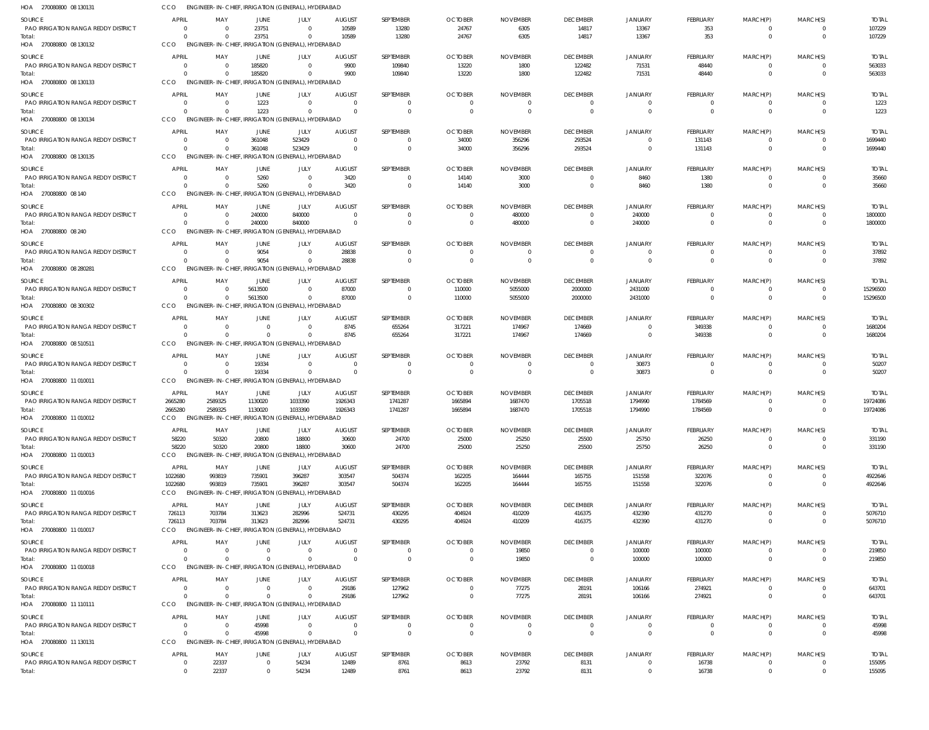| HOA 270080800 08 130131                              | CCO                     | ENGINEER-IN-CHIEF, IRRIGATION (GENERAL), HYDERABAD             |                      |                               |                          |                                  |                           |                            |                                  |                           |                     |                                |                                           |                          |
|------------------------------------------------------|-------------------------|----------------------------------------------------------------|----------------------|-------------------------------|--------------------------|----------------------------------|---------------------------|----------------------------|----------------------------------|---------------------------|---------------------|--------------------------------|-------------------------------------------|--------------------------|
| SOURCE                                               | <b>APRIL</b>            | MAY                                                            | JUNE                 | JULY                          | <b>AUGUST</b>            | SEPTEMBER                        | <b>OCTOBER</b>            | <b>NOVEMBER</b>            | <b>DECEMBER</b>                  | <b>JANUARY</b>            | <b>FEBRUARY</b>     | MARCH(P)                       | MARCH(S)                                  | <b>TOTAL</b>             |
| PAO IRRIGATION RANGA REDDY DISTRICT                  | $\overline{0}$          | - 0                                                            | 23751                | $\Omega$                      | 10589                    | 13280                            | 24767                     | 6305                       | 14817                            | 13367                     | 353                 | $\overline{0}$                 | $\overline{0}$                            | 107229                   |
| Total:                                               | $\Omega$                | $\Omega$                                                       | 23751                | $\Omega$                      | 10589                    | 13280                            | 24767                     | 6305                       | 14817                            | 13367                     | 353                 | $\overline{0}$                 | $\overline{0}$                            | 107229                   |
| HOA 270080800 08 130132                              | CCO                     | ENGINEER-IN-CHIEF, IRRIGATION (GENERAL), HYDERABAD             |                      |                               |                          |                                  |                           |                            |                                  |                           |                     |                                |                                           |                          |
| <b>SOURCE</b>                                        | <b>APRIL</b>            | MAY                                                            | JUNE                 | JULY                          | <b>AUGUST</b>            | SEPTEMBER                        | <b>OCTOBER</b>            | <b>NOVEMBER</b>            | <b>DECEMBER</b>                  | <b>JANUARY</b>            | FEBRUARY            | MARCH(P)                       | MARCH(S)                                  | <b>TOTAL</b>             |
| PAO IRRIGATION RANGA REDDY DISTRICT<br>Total:        | - 0<br>$\Omega$         | $\overline{0}$<br>$\Omega$                                     | 185820<br>185820     | $\Omega$<br>$\Omega$          | 9900<br>9900             | 109840<br>109840                 | 13220<br>13220            | 1800<br>1800               | 122482<br>122482                 | 71531<br>71531            | 48440<br>48440      | $\overline{0}$<br>$\mathbf{0}$ | $\overline{\mathbf{0}}$<br>$\overline{0}$ | 563033<br>563033         |
| HOA 270080800 08 130133                              | CCO                     | ENGINEER-IN-CHIEF, IRRIGATION (GENERAL), HYDERABAD             |                      |                               |                          |                                  |                           |                            |                                  |                           |                     |                                |                                           |                          |
| SOURCE                                               | <b>APRIL</b>            | MAY                                                            | JUNE                 | JULY                          | <b>AUGUST</b>            | SEPTEMBER                        | <b>OCTOBER</b>            | <b>NOVEMBER</b>            | <b>DECEMBER</b>                  | <b>JANUARY</b>            | FEBRUARY            | MARCH(P)                       | MARCH(S)                                  | <b>TOTAL</b>             |
| <b>PAO IRRIGATION RANGA REDDY DISTRICT</b>           | $\overline{0}$          | $\overline{0}$                                                 | 1223                 | $\Omega$                      | $\Omega$                 | $\overline{0}$                   | $\Omega$                  |                            | $\overline{0}$                   | $\overline{0}$            | $\overline{0}$      | $\overline{0}$                 | $\overline{\mathbf{0}}$                   | 1223                     |
| Total:                                               | $\Omega$                | $\Omega$                                                       | 1223                 | $\overline{0}$                | $\Omega$                 | $\overline{0}$                   | $\Omega$                  | $\Omega$                   | $\overline{0}$                   | $\Omega$                  | $\overline{0}$      | $\overline{0}$                 | $\overline{0}$                            | 1223                     |
| HOA 270080800 08 130134                              | CCO                     | ENGINEER-IN-CHIEF, IRRIGATION (GENERAL), HYDERABAD             |                      |                               |                          |                                  |                           |                            |                                  |                           |                     |                                |                                           |                          |
| <b>SOURCE</b>                                        | <b>APRIL</b>            | MAY                                                            | <b>JUNE</b>          | JULY                          | <b>AUGUST</b>            | SEPTEMBER                        | <b>OCTOBER</b>            | <b>NOVEMBER</b>            | <b>DECEMBER</b>                  | <b>JANUARY</b>            | <b>FEBRUARY</b>     | MARCH(P)                       | MARCH(S)                                  | <b>TOTAL</b>             |
| PAO IRRIGATION RANGA REDDY DISTRICT                  | $\Omega$                | $\Omega$                                                       | 361048               | 523429                        | $\Omega$                 | $\overline{0}$                   | 34000                     | 356296                     | 293524                           | $\Omega$                  | 131143              | 0                              | $\overline{\mathbf{0}}$                   | 1699440                  |
| Total:                                               | $\Omega$                | $\Omega$                                                       | 361048               | 523429                        | $\Omega$                 | $\overline{0}$                   | 34000                     | 356296                     | 293524                           | $\Omega$                  | 131143              | $\mathbf{0}$                   | $\overline{0}$                            | 1699440                  |
| HOA 270080800 08 130135                              | CCO                     | ENGINEER-IN-CHIEF, IRRIGATION (GENERAL), HYDERABAD             |                      |                               |                          |                                  |                           |                            |                                  |                           |                     |                                |                                           |                          |
| <b>SOURCE</b>                                        | <b>APRIL</b>            | MAY                                                            | JUNE                 | JULY                          | <b>AUGUST</b>            | SEPTEMBER                        | <b>OCTOBER</b>            | <b>NOVEMBER</b>            | <b>DECEMBER</b>                  | <b>JANUARY</b>            | FEBRUARY            | MARCH(P)                       | MARCH(S)                                  | <b>TOTAL</b>             |
| PAO IRRIGATION RANGA REDDY DISTRICT<br>Total:        | 0<br>$\Omega$           | $\overline{0}$<br>$\Omega$                                     | 5260<br>5260         | $\overline{0}$<br>$\mathbf 0$ | 3420<br>3420             | $\overline{0}$<br>$\overline{0}$ | 14140<br>14140            | 3000<br>3000               | $\overline{0}$<br>$\overline{0}$ | 8460<br>8460              | 1380<br>1380        | 0<br>$\mathbf{0}$              | $\Omega$<br>$\overline{0}$                | 35660<br>35660           |
| HOA 270080800 08 140                                 | CCO                     | ENGINEER-IN-CHIEF, IRRIGATION (GENERAL), HYDERABAD             |                      |                               |                          |                                  |                           |                            |                                  |                           |                     |                                |                                           |                          |
| SOURCE                                               | <b>APRIL</b>            | MAY                                                            | <b>JUNE</b>          | JULY                          | <b>AUGUST</b>            | SEPTEMBER                        | <b>OCTOBER</b>            | <b>NOVEMBER</b>            | <b>DECEMBER</b>                  | <b>JANUARY</b>            | FEBRUARY            | MARCH(P)                       | MARCH(S)                                  | <b>TOTAL</b>             |
| PAO IRRIGATION RANGA REDDY DISTRICT                  | $\Omega$                | $\Omega$                                                       | 240000               | 840000                        | $\cap$                   | $\overline{0}$                   | $\Omega$                  | 480000                     | $\Omega$                         | 240000                    | 0                   | $\overline{0}$                 | $\overline{\mathbf{0}}$                   | 1800000                  |
| Total:                                               | $\Omega$                | $\Omega$                                                       | 240000               | 840000                        | $\Omega$                 | $\overline{0}$                   | $\Omega$                  | 480000                     | $\overline{0}$                   | 240000                    | $\mathbf{0}$        | $\mathbf{0}$                   | $\overline{0}$                            | 1800000                  |
| HOA 270080800 08 240                                 | CCO                     | ENGINEER-IN-CHIEF, IRRIGATION (GENERAL), HYDERABAD             |                      |                               |                          |                                  |                           |                            |                                  |                           |                     |                                |                                           |                          |
| SOURCE                                               | <b>APRIL</b>            | MAY                                                            | JUNE                 | JULY                          | <b>AUGUST</b>            | SEPTEMBER                        | <b>OCTOBER</b>            | <b>NOVEMBER</b>            | <b>DECEMBER</b>                  | <b>JANUARY</b>            | FEBRUARY            | MARCH(P)                       | MARCH(S)                                  | <b>TOTAL</b>             |
| PAO IRRIGATION RANGA REDDY DISTRICT                  | 0                       | - 0                                                            | 9054                 | $\overline{0}$                | 28838                    | $\overline{0}$                   | $\Omega$                  | $\Omega$                   | $\overline{0}$                   | $\overline{0}$            | $\mathbf{0}$        | $\mathbf{0}$                   | $\overline{\mathbf{0}}$                   | 37892                    |
| Total:<br>HOA 270080800 08 280281                    | $\Omega$<br>CCO         | $\Omega$<br>ENGINEER-IN-CHIEF, IRRIGATION (GENERAL), HYDERABAD | 9054                 | $\Omega$                      | 28838                    | $\overline{0}$                   | $\Omega$                  | - 0                        | $\Omega$                         | $\Omega$                  | $\mathbf{0}$        | $\mathbf{0}$                   | $\Omega$                                  | 37892                    |
|                                                      |                         |                                                                |                      |                               |                          |                                  |                           |                            |                                  |                           |                     |                                |                                           |                          |
| SOURCE<br>PAO IRRIGATION RANGA REDDY DISTRICT        | <b>APRIL</b><br>- 0     | MAY<br>$\Omega$                                                | JUNE<br>5613500      | JULY<br>$\Omega$              | <b>AUGUST</b><br>87000   | SEPTEMBER<br>$\Omega$            | <b>OCTOBER</b>            | <b>NOVEMBER</b>            | <b>DECEMBER</b>                  | <b>JANUARY</b>            | FEBRUARY            | MARCH(P)                       | MARCH(S)<br>$\overline{\mathbf{0}}$       | <b>TOTAL</b>             |
| Total:                                               | $\Omega$                | $\Omega$                                                       | 5613500              | $\overline{0}$                | 87000                    | $\overline{0}$                   | 110000<br>110000          | 5055000<br>5055000         | 2000000<br>2000000               | 2431000<br>2431000        | 0<br>$\overline{0}$ | 0<br>$\mathbf{0}$              | $\overline{0}$                            | 15296500<br>15296500     |
| HOA 270080800 08 300302                              | CCO                     | ENGINEER-IN-CHIEF, IRRIGATION (GENERAL), HYDERABAD             |                      |                               |                          |                                  |                           |                            |                                  |                           |                     |                                |                                           |                          |
| <b>SOURCE</b>                                        | <b>APRIL</b>            | MAY                                                            | JUNE                 | <b>JULY</b>                   | <b>AUGUST</b>            | SEPTEMBER                        | <b>OCTOBER</b>            | <b>NOVEMBER</b>            | <b>DECEMBER</b>                  | JANUARY                   | FEBRUARY            | MARCH(P)                       | MARCH(S)                                  | <b>TOTAL</b>             |
| PAO IRRIGATION RANGA REDDY DISTRICT                  | 0                       | - 0                                                            | - 0                  | $\Omega$                      | 8745                     | 655264                           | 317221                    | 174967                     | 174669                           | $\Omega$                  | 349338              | $\overline{0}$                 | $\overline{0}$                            | 1680204                  |
| Total:                                               | $\Omega$                | $\Omega$                                                       | $\Omega$             | $\Omega$                      | 8745                     | 655264                           | 317221                    | 174967                     | 174669                           | $\Omega$                  | 349338              | $\mathbf{0}$                   | $\overline{0}$                            | 1680204                  |
| HOA 270080800 08 510511                              | <b>CCO</b>              | ENGINEER-IN-CHIEF, IRRIGATION (GENERAL), HYDERABAD             |                      |                               |                          |                                  |                           |                            |                                  |                           |                     |                                |                                           |                          |
| SOURCE                                               | <b>APRIL</b>            | MAY                                                            | JUNE                 | JULY                          | <b>AUGUST</b>            | SEPTEMBER                        | <b>OCTOBER</b>            | <b>NOVEMBER</b>            | <b>DECEMBER</b>                  | <b>JANUARY</b>            | FEBRUARY            | MARCH(P)                       | MARCH(S)                                  | <b>TOTAL</b>             |
| PAO IRRIGATION RANGA REDDY DISTRICT                  | - 0                     | $\overline{0}$                                                 | 19334                | $\Omega$                      | $\Omega$                 | $\overline{0}$                   | $\Omega$                  | - 0                        | $\overline{0}$                   | 30873                     | 0                   | $\overline{0}$                 | $\overline{0}$                            | 50207                    |
| Total:<br>HOA 270080800 11 010011                    | $\Omega$<br>CCO         | $\Omega$<br>ENGINEER-IN-CHIEF, IRRIGATION (GENERAL), HYDERABAD | 19334                | $\overline{0}$                | $\Omega$                 | $\overline{0}$                   | $\Omega$                  | $\Omega$                   | $\overline{0}$                   | 30873                     | $\mathbf{0}$        | $\mathbf{0}$                   | $\Omega$                                  | 50207                    |
|                                                      |                         |                                                                |                      |                               |                          |                                  |                           |                            |                                  |                           |                     |                                |                                           |                          |
| SOURCE<br>PAO IRRIGATION RANGA REDDY DISTRICT        | APRIL<br>2665280        | MAY<br>2589325                                                 | JUNE<br>1130020      | JULY<br>1033390               | <b>AUGUST</b><br>1926343 | SEPTEMBER<br>1741287             | <b>OCTOBER</b><br>1665894 | <b>NOVEMBER</b><br>1687470 | <b>DECEMBER</b><br>1705518       | <b>JANUARY</b><br>1794990 | FEBRUARY<br>1784569 | MARCH(P)<br>0                  | MARCH(S)<br>$\overline{0}$                | <b>TOTAL</b><br>19724086 |
| Total:                                               | 2665280                 | 2589325                                                        | 1130020              | 1033390                       | 1926343                  | 1741287                          | 1665894                   | 1687470                    | 1705518                          | 1794990                   | 1784569             | $\overline{0}$                 | $\Omega$                                  | 19724086                 |
| HOA 270080800 11 010012                              | CCO                     | ENGINEER-IN-CHIEF, IRRIGATION (GENERAL), HYDERABAD             |                      |                               |                          |                                  |                           |                            |                                  |                           |                     |                                |                                           |                          |
| <b>SOURCE</b>                                        | <b>APRIL</b>            | MAY                                                            | JUNE                 | JULY                          | <b>AUGUST</b>            | SEPTEMBER                        | <b>OCTOBER</b>            | <b>NOVEMBER</b>            | <b>DECEMBER</b>                  | JANUARY                   | <b>FEBRUARY</b>     | MARCH(P)                       | MARCH(S)                                  | <b>TOTAL</b>             |
| PAO IRRIGATION RANGA REDDY DISTRICT                  | 58220                   | 50320                                                          | 20800                | 18800                         | 30600                    | 24700                            | 25000                     | 25250                      | 25500                            | 25750                     | 26250               | $\Omega$                       | $\overline{0}$                            | 331190                   |
| Total:                                               | 58220                   | 50320                                                          | 20800                | 18800                         | 30600                    | 24700                            | 25000                     | 25250                      | 25500                            | 25750                     | 26250               | $\mathbf{0}$                   | $\overline{0}$                            | 331190                   |
| HOA 270080800 11 010013                              | <b>CCO</b>              | ENGINEER-IN-CHIEF, IRRIGATION (GENERAL), HYDERABAD             |                      |                               |                          |                                  |                           |                            |                                  |                           |                     |                                |                                           |                          |
| SOURCE                                               | <b>APRIL</b>            | MAY                                                            | JUNE                 | JULY                          | <b>AUGUST</b>            | SEPTEMBER                        | <b>OCTOBER</b>            | <b>NOVEMBER</b>            | <b>DECEMBER</b>                  | JANUARY                   | FEBRUARY            | MARCH(P)                       | MARCH(S)                                  | <b>TOTAL</b>             |
| <b>PAO IRRIGATION RANGA REDDY DISTRICT</b><br>Total: | 1022680<br>1022680      | 993819<br>993819                                               | 735901<br>735901     | 396287<br>396287              | 303547<br>303547         | 504374<br>504374                 | 162205<br>162205          | 164444<br>164444           | 165755<br>165755                 | 151558<br>151558          | 322076<br>322076    | 0<br>$\overline{0}$            | 0<br>$\overline{\mathbf{0}}$              | 4922646<br>4922646       |
| HOA 270080800 11 010016                              | CCO                     | ENGINEER-IN-CHIEF, IRRIGATION (GENERAL), HYDERABAD             |                      |                               |                          |                                  |                           |                            |                                  |                           |                     |                                |                                           |                          |
| <b>SOURCE</b>                                        | <b>APRIL</b>            | MAY                                                            | <b>JUNE</b>          | JULY                          | <b>AUGUST</b>            | SEPTEMBER                        | <b>OCTOBER</b>            | <b>NOVEMBER</b>            | <b>DECEMBER</b>                  | <b>JANUARY</b>            | FEBRUARY            | MARCH(P)                       | MARCH(S)                                  | <b>TOTAL</b>             |
| PAO IRRIGATION RANGA REDDY DISTRICT                  | 726113                  | 703784                                                         | 313623               | 282996                        | 524731                   | 430295                           | 404924                    | 410209                     | 416375                           | 432390                    | 431270              | 0                              | $\overline{\mathbf{0}}$                   | 5076710                  |
| Total:                                               | 726113                  | 703784                                                         | 313623               | 282996                        | 524731                   | 430295                           | 404924                    | 410209                     | 416375                           | 432390                    | 431270              | $\mathbf{0}$                   | $\overline{0}$                            | 5076710                  |
| HOA 270080800 11 010017                              | CCO                     | ENGINEER-IN-CHIEF, IRRIGATION (GENERAL), HYDERABAD             |                      |                               |                          |                                  |                           |                            |                                  |                           |                     |                                |                                           |                          |
| SOURCE                                               | <b>APRIL</b>            | MAY                                                            | JUNE                 | JULY                          | <b>AUGUST</b>            | SEPTEMBER                        | <b>OCTOBER</b>            | <b>NOVEMBER</b>            | <b>DECEMBER</b>                  | <b>JANUARY</b>            | FEBRUARY            | MARCH(P)                       | MARCH(S)                                  | <b>TOTAL</b>             |
| <b>PAO IRRIGATION RANGA REDDY DISTRICT</b>           | $\overline{0}$          | $\overline{0}$                                                 | $\Omega$             | $\overline{0}$                | $\Omega$                 | $\overline{0}$                   | $\Omega$                  | 19850                      | $\overline{0}$                   | 100000                    | 100000              | $\mathbf{0}$                   | $\overline{\mathbf{0}}$                   | 219850                   |
| Total:                                               | $\Omega$<br>CCO         | $\Omega$                                                       | $\Omega$             | $\Omega$                      | $\Omega$                 | $\overline{0}$                   | $\Omega$                  | 19850                      | $\overline{0}$                   | 100000                    | 100000              | $\mathbf{0}$                   | $\overline{0}$                            | 219850                   |
| HOA 270080800 11 010018                              |                         | ENGINEER-IN-CHIEF, IRRIGATION (GENERAL), HYDERABAD             |                      |                               |                          |                                  |                           |                            |                                  |                           |                     |                                |                                           |                          |
| SOURCE                                               | <b>APRIL</b>            | MAY                                                            | JUNE                 | JULY                          | <b>AUGUST</b>            | SEPTEMBER                        | <b>OCTOBER</b>            | <b>NOVEMBER</b>            | <b>DECEMBER</b>                  | JANUARY                   | FEBRUARY            | MARCH(P)                       | MARCH(S)                                  | <b>TOTAL</b>             |
| PAO IRRIGATION RANGA REDDY DISTRICT<br>Total:        | $\Omega$<br>- 0         | $\Omega$<br>$\Omega$                                           | $\Omega$<br>$\Omega$ | $\Omega$<br>$\Omega$          | 29186<br>29186           | 127962<br>127962                 | $\Omega$<br>$\mathbf 0$   | 77275<br>77275             | 28191<br>28191                   | 106166<br>106166          | 274921<br>274921    | $\Omega$<br>$\overline{0}$     | $\overline{0}$<br>$\overline{\mathbf{0}}$ | 643701<br>643701         |
| HOA 270080800 11 110111                              | CCO                     | ENGINEER-IN-CHIEF, IRRIGATION (GENERAL), HYDERABAD             |                      |                               |                          |                                  |                           |                            |                                  |                           |                     |                                |                                           |                          |
| <b>SOURCE</b>                                        | <b>APRIL</b>            | MAY                                                            | JUNE                 | JULY                          | <b>AUGUST</b>            | SEPTEMBER                        | <b>OCTOBER</b>            | <b>NOVEMBER</b>            | <b>DECEMBER</b>                  | JANUARY                   | <b>FEBRUARY</b>     | MARCH(P)                       | MARCH(S)                                  | <b>TOTAL</b>             |
| PAO IRRIGATION RANGA REDDY DISTRICT                  | 0                       | $\overline{0}$                                                 | 45998                | $\overline{0}$                | $\Omega$                 | $^{\circ}$                       |                           |                            | 0                                | $\Omega$                  | 0                   | 0                              | $\overline{0}$                            | 45998                    |
| Total:                                               | $\Omega$                | $\Omega$                                                       | 45998                | $\Omega$                      | $\Omega$                 | $\overline{0}$                   | $\Omega$                  | $\Omega$                   | $\overline{0}$                   | $\overline{0}$            | $\mathbf{0}$        | $\mathbf{0}$                   | $\overline{0}$                            | 45998                    |
| HOA 270080800 11 130131                              | CCO                     | ENGINEER-IN-CHIEF, IRRIGATION (GENERAL), HYDERABAD             |                      |                               |                          |                                  |                           |                            |                                  |                           |                     |                                |                                           |                          |
| <b>SOURCE</b>                                        | <b>APRIL</b>            | MAY                                                            | JUNE                 | JULY                          | <b>AUGUST</b>            | SEPTEMBER                        | <b>OCTOBER</b>            | <b>NOVEMBER</b>            | <b>DECEMBER</b>                  | JANUARY                   | FEBRUARY            | MARCH(P)                       | MARCH(S)                                  | <b>TOTAL</b>             |
| PAO IRRIGATION RANGA REDDY DISTRICT                  | $\overline{\mathbf{0}}$ | 22337                                                          | $\Omega$             | 54234                         | 12489                    | 8761                             | 8613                      | 23792                      | 8131                             | $\mathbf{0}$              | 16738               | $\mathbf 0$                    | $\overline{0}$                            | 155095                   |
| Total:                                               | $\overline{0}$          | 22337                                                          | $\overline{0}$       | 54234                         | 12489                    | 8761                             | 8613                      | 23792                      | 8131                             | $\overline{0}$            | 16738               | $\overline{0}$                 | $\overline{0}$                            | 155095                   |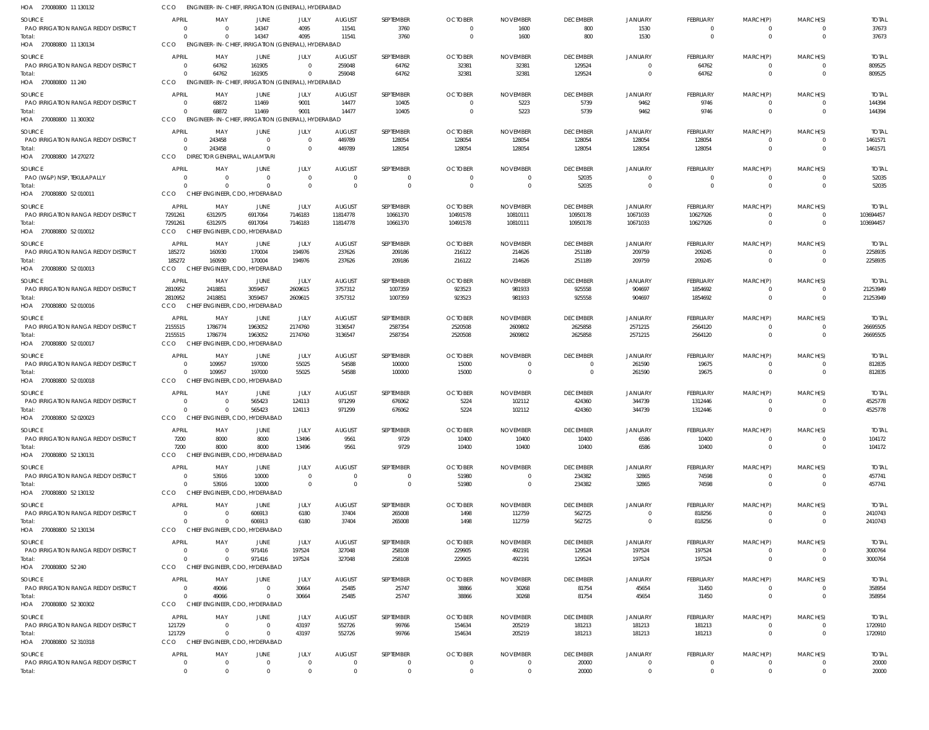| HOA 270080800 11 130132                                               | cco                                |                                  | ENGINEER-IN-CHIEF, IRRIGATION (GENERAL), HYDERABAD                     |                                  |                                  |                       |                                  |                                   |                             |                              |                                   |                                  |                             |                           |
|-----------------------------------------------------------------------|------------------------------------|----------------------------------|------------------------------------------------------------------------|----------------------------------|----------------------------------|-----------------------|----------------------------------|-----------------------------------|-----------------------------|------------------------------|-----------------------------------|----------------------------------|-----------------------------|---------------------------|
| <b>SOURCE</b><br>PAO IRRIGATION RANGA REDDY DISTRICT                  | <b>APRIL</b>                       | MAY<br>$\Omega$                  | <b>JUNE</b><br>14347                                                   | JULY<br>4095                     | <b>AUGUST</b><br>11541           | SEPTEMBER<br>3760     | <b>OCTOBER</b><br>$\overline{0}$ | <b>NOVEMBER</b><br>1600           | <b>DECEMBER</b><br>800      | <b>JANUARY</b><br>1530       | <b>FEBRUARY</b><br>$\overline{0}$ | MARCH(P)<br>$\overline{0}$       | MARCH(S)                    | <b>TOTAL</b><br>37673     |
| Total:<br>HOA 270080800 11 130134                                     | $\Omega$<br><b>CCO</b>             | $\Omega$                         | 14347<br>ENGINEER-IN-CHIEF, IRRIGATION (GENERAL), HYDERABAD            | 4095                             | 11541                            | 3760                  | $\overline{0}$                   | 1600                              | 800                         | 1530                         | $\overline{0}$                    | $\overline{0}$                   | $\Omega$                    | 37673                     |
| SOURCE                                                                | <b>APRIL</b>                       | MAY                              | JUNE                                                                   | JULY                             | <b>AUGUST</b>                    | SEPTEMBER             | <b>OCTOBER</b>                   | <b>NOVEMBER</b>                   | <b>DECEMBER</b>             | <b>JANUARY</b>               | FEBRUARY                          | MARCH(P)                         | MARCH(S)                    | <b>TOTAL</b>              |
| PAO IRRIGATION RANGA REDDY DISTRICT<br>Total:<br>HOA 270080800 11 240 | $\Omega$<br>$\Omega$<br><b>CCO</b> | 64762<br>64762                   | 161905<br>161905<br>ENGINEER-IN-CHIEF, IRRIGATION (GENERAL), HYDERABAD | $\overline{0}$<br>- 0            | 259048<br>259048                 | 64762<br>64762        | 32381<br>32381                   | 32381<br>32381                    | 129524<br>129524            | $\Omega$<br>$\Omega$         | 64762<br>64762                    | $\overline{0}$<br>$\overline{0}$ | $\Omega$<br>$\Omega$        | 809525<br>809525          |
| SOURCE                                                                | <b>APRIL</b>                       | MAY                              | <b>JUNE</b>                                                            | JULY                             | <b>AUGUST</b>                    | SEPTEMBER             | <b>OCTOBER</b>                   | <b>NOVEMBER</b>                   | <b>DECEMBER</b>             | <b>JANUARY</b>               | FEBRUARY                          | MARCH(P)                         | MARCH(S)                    | <b>TOTAL</b>              |
| PAO IRRIGATION RANGA REDDY DISTRICT                                   |                                    | 68872                            | 11469                                                                  | 9001                             | 14477                            | 10405                 | $\mathbf 0$                      | 5223                              | 5739                        | 9462                         | 9746                              | $\overline{0}$                   |                             | 144394                    |
| Total:<br>HOA 270080800 11 300302                                     | $\Omega$<br><b>CCO</b>             | 68872                            | 11469<br>ENGINEER-IN-CHIEF, IRRIGATION (GENERAL), HYDERABAD            | 9001                             | 14477                            | 10405                 | $\overline{0}$                   | 5223                              | 5739                        | 9462                         | 9746                              | $\overline{0}$                   | $\Omega$                    | 144394                    |
| SOURCE                                                                | APRIL                              | MAY                              | <b>JUNE</b>                                                            | JULY                             | <b>AUGUST</b>                    | SEPTEMBER             | <b>OCTOBER</b>                   | <b>NOVEMBER</b>                   | <b>DECEMBER</b>             | <b>JANUARY</b>               | <b>FEBRUARY</b>                   | MARCH(P)                         | MARCH(S)                    | <b>TOTAL</b>              |
| PAO IRRIGATION RANGA REDDY DISTRICT<br>Total:                         | $\Omega$<br>$\Omega$               | 243458<br>243458                 | $\overline{0}$<br>$\Omega$                                             | $\overline{0}$<br>$\overline{0}$ | 449789<br>449789                 | 128054<br>128054      | 128054<br>128054                 | 128054<br>128054                  | 128054<br>128054            | 128054<br>128054             | 128054<br>128054                  | $\overline{0}$<br>$\overline{0}$ | $\Omega$                    | 1461571<br>1461571        |
| HOA 270080800 14 270272                                               | <b>CCO</b>                         | DIRECTOR GENERAL, WALAMTARI      |                                                                        |                                  |                                  |                       |                                  |                                   |                             |                              |                                   |                                  |                             |                           |
| SOURCE<br>PAO (W&P) NSP, TEKULAPALLY                                  | <b>APRIL</b>                       | MAY<br>$\Omega$                  | <b>JUNE</b><br>$\overline{0}$                                          | JULY<br>$\mathbf{0}$             | <b>AUGUST</b><br>$\overline{0}$  | SEPTEMBER<br>- 0      | <b>OCTOBER</b><br>$\overline{0}$ | <b>NOVEMBER</b><br>$\overline{0}$ | <b>DECEMBER</b><br>52035    | <b>JANUARY</b><br>- 0        | <b>FEBRUARY</b><br>$\overline{0}$ | MARCH(P)<br>$\overline{0}$       | MARCH(S)                    | <b>TOTAL</b><br>52035     |
| Total:                                                                | $\Omega$                           | $\Omega$                         | $\overline{0}$                                                         | $\overline{0}$                   | $\overline{0}$                   | $\Omega$              | $\overline{0}$                   | $\overline{0}$                    | 52035                       | $\Omega$                     | $\overline{0}$                    | $\overline{0}$                   | $\Omega$                    | 52035                     |
| HOA 270080800 52 010011                                               | <b>CCO</b>                         |                                  | CHIEF ENGINEER, CDO, HYDERABAD                                         |                                  |                                  |                       |                                  |                                   |                             |                              |                                   |                                  |                             |                           |
| SOURCE<br>PAO IRRIGATION RANGA REDDY DISTRICT                         | <b>APRIL</b><br>7291261            | MAY<br>6312975                   | JUNE<br>6917064                                                        | JULY<br>7146183                  | AUGUST<br>11814778               | SEPTEMBER<br>10661370 | <b>OCTOBER</b><br>10491578       | <b>NOVEMBER</b><br>10810111       | <b>DECEMBER</b><br>10950178 | <b>JANUARY</b><br>10671033   | <b>FEBRUARY</b><br>10627926       | MARCH(P)<br>$\overline{0}$       | MARCH(S)<br>$\Omega$        | <b>TOTAL</b><br>103694457 |
| Total:                                                                | 7291261                            | 6312975                          | 6917064                                                                | 7146183                          | 11814778                         | 10661370              | 10491578                         | 10810111                          | 10950178                    | 10671033                     | 10627926                          | $\overline{0}$                   | $\Omega$                    | 103694457                 |
| HOA 270080800 52 010012                                               | CCO                                |                                  | CHIEF ENGINEER, CDO, HYDERABAD                                         |                                  |                                  |                       |                                  |                                   |                             |                              |                                   |                                  |                             |                           |
| SOURCE<br>PAO IRRIGATION RANGA REDDY DISTRICT                         | <b>APRIL</b><br>185272             | MAY<br>160930                    | JUNE<br>170004                                                         | JULY<br>194976                   | <b>AUGUST</b><br>237626          | SEPTEMBER<br>209186   | <b>OCTOBER</b><br>216122         | <b>NOVEMBER</b><br>214626         | <b>DECEMBER</b><br>251189   | <b>JANUARY</b><br>209759     | <b>FEBRUARY</b><br>209245         | MARCH(P)<br>$\overline{0}$       | MARCH(S)                    | <b>TOTAL</b><br>2258935   |
| Total:                                                                | 185272                             | 160930                           | 170004                                                                 | 194976                           | 237626                           | 209186                | 216122                           | 214626                            | 251189                      | 209759                       | 209245                            | $\overline{0}$                   | $\Omega$                    | 2258935                   |
| HOA 270080800 52 010013                                               | <b>CCO</b>                         |                                  | CHIEF ENGINEER, CDO, HYDERABAD                                         |                                  |                                  |                       |                                  |                                   |                             |                              |                                   |                                  |                             |                           |
| SOURCE<br>PAO IRRIGATION RANGA REDDY DISTRICT                         | <b>APRIL</b><br>2810952            | MAY<br>2418851                   | JUNE<br>3059457                                                        | JULY<br>2609615                  | <b>AUGUST</b><br>3757312         | SEPTEMBER<br>1007359  | <b>OCTOBER</b><br>923523         | <b>NOVEMBER</b><br>981933         | <b>DECEMBER</b><br>925558   | <b>JANUARY</b><br>904697     | <b>FEBRUARY</b><br>1854692        | MARCH(P)<br>$\overline{0}$       | MARCH(S)                    | <b>TOTAL</b><br>21253949  |
| Total:<br>HOA 270080800 52 010016                                     | 2810952<br>CCO                     | 2418851                          | 3059457<br>CHIEF ENGINEER, CDO, HYDERABAD                              | 2609615                          | 3757312                          | 1007359               | 923523                           | 981933                            | 925558                      | 904697                       | 1854692                           | $\overline{0}$                   | $\Omega$                    | 21253949                  |
| <b>SOURCE</b>                                                         | <b>APRIL</b>                       | MAY                              | <b>JUNE</b>                                                            | JULY                             | <b>AUGUST</b>                    | SEPTEMBER             | <b>OCTOBER</b>                   | <b>NOVEMBER</b>                   | <b>DECEMBER</b>             | <b>JANUARY</b>               | <b>FEBRUARY</b>                   | MARCH(P)                         | MARCH(S)                    | <b>TOTAL</b>              |
| PAO IRRIGATION RANGA REDDY DISTRICT                                   | 2155515                            | 1786774                          | 1963052                                                                | 2174760                          | 3136547                          | 2587354               | 2520508                          | 2609802                           | 2625858                     | 2571215                      | 2564120                           | $\overline{0}$                   |                             | 26695505                  |
| Total:<br>HOA 270080800 52 010017                                     | 2155515<br>CCO                     | 1786774                          | 1963052<br>CHIEF ENGINEER, CDO, HYDERABAD                              | 2174760                          | 3136547                          | 2587354               | 2520508                          | 2609802                           | 2625858                     | 2571215                      | 2564120                           | $\overline{0}$                   | $\Omega$                    | 26695505                  |
| SOURCE                                                                | <b>APRIL</b>                       | MAY                              | JUNE                                                                   | JULY                             | <b>AUGUST</b>                    | SEPTEMBER             | <b>OCTOBER</b>                   | <b>NOVEMBER</b>                   | <b>DECEMBER</b>             | <b>JANUARY</b>               | FEBRUARY                          | MARCH(P)                         | MARCH(S)                    | <b>TOTAL</b>              |
| PAO IRRIGATION RANGA REDDY DISTRICT<br>Total:                         | $\Omega$<br>$\Omega$               | 109957<br>109957                 | 197000<br>197000                                                       | 55025<br>55025                   | 54588<br>54588                   | 100000<br>100000      | 15000<br>15000                   | $\overline{0}$<br>$\overline{0}$  | $\mathbf 0$<br>$\Omega$     | 261590<br>261590             | 19675<br>19675                    | $\overline{0}$<br>$\overline{0}$ | $\Omega$<br>$\Omega$        | 812835<br>812835          |
| HOA 270080800 52 010018                                               | <b>CCO</b>                         | <b>CHIEF</b>                     | ENGINEER, CDO, HYDERABAD                                               |                                  |                                  |                       |                                  |                                   |                             |                              |                                   |                                  |                             |                           |
| SOURCE<br><b>PAO IRRIGATION RANGA REDDY DISTRICT</b>                  | <b>APRIL</b><br>$\Omega$           | MAY<br>$\Omega$                  | <b>JUNE</b><br>565423                                                  | JULY<br>124113                   | <b>AUGUST</b><br>971299          | SEPTEMBER<br>676062   | <b>OCTOBER</b><br>5224           | <b>NOVEMBER</b><br>102112         | <b>DECEMBER</b><br>424360   | <b>JANUARY</b><br>344739     | FEBRUARY<br>1312446               | MARCH(P)<br>$\Omega$             | MARCH(S)                    | <b>TOTAL</b><br>4525778   |
| Total:                                                                | $\Omega$                           | $\Omega$                         | 565423                                                                 | 124113                           | 971299                           | 676062                | 5224                             | 102112                            | 424360                      | 344739                       | 1312446                           | $\overline{0}$                   | $\Omega$                    | 4525778                   |
| HOA 270080800 52 020023                                               | CCO                                |                                  | CHIEF ENGINEER, CDO, HYDERABAD                                         |                                  |                                  |                       |                                  |                                   |                             |                              |                                   |                                  |                             |                           |
| SOURCE<br>PAO IRRIGATION RANGA REDDY DISTRICT                         | <b>APRIL</b><br>7200               | MAY<br>8000                      | JUNE<br>8000                                                           | JULY<br>13496                    | <b>AUGUST</b><br>9561            | SEPTEMBER<br>9729     | <b>OCTOBER</b><br>10400          | <b>NOVEMBER</b><br>10400          | <b>DECEMBER</b><br>10400    | JANUARY<br>6586              | FEBRUARY<br>10400                 | MARCH(P)<br>0                    | MARCH(S)                    | <b>TOTAL</b><br>104172    |
| Total:                                                                | 7200                               | 8000                             | 8000                                                                   | 13496                            | 9561                             | 9729                  | 10400                            | 10400                             | 10400                       | 6586                         | 10400                             | $\overline{0}$                   | $\Omega$                    | 104172                    |
| HOA 270080800 52 130131                                               | <b>CCO</b>                         |                                  | CHIEF ENGINEER, CDO, HYDERABAD                                         |                                  |                                  |                       |                                  |                                   |                             |                              |                                   |                                  |                             |                           |
| <b>SOURCE</b><br>PAO IRRIGATION RANGA REDDY DISTRICT                  | <b>APRIL</b>                       | MAY<br>53916                     | JUNE<br>10000                                                          | JULY<br>$\overline{0}$           | <b>AUGUST</b><br>$\overline{0}$  | SEPTEMBER<br>$\Omega$ | <b>OCTOBER</b><br>51980          | <b>NOVEMBER</b><br>$\overline{0}$ | <b>DECEMBER</b><br>234382   | <b>JANUARY</b><br>32865      | FEBRUARY<br>74598                 | MARCH(P)<br>$\overline{0}$       | MARCH(S)                    | <b>TOTAL</b><br>457741    |
| Total:                                                                | $\Omega$                           | 53916                            | 10000                                                                  | $\overline{0}$                   | $\overline{0}$                   | $\Omega$              | 51980                            | $\overline{0}$                    | 234382                      | 32865                        | 74598                             | $\overline{0}$                   | $\Omega$                    | 457741                    |
| HOA 270080800 52 130132                                               | CCO                                |                                  | CHIEF ENGINEER, CDO, HYDERABAD                                         |                                  |                                  |                       |                                  |                                   |                             |                              |                                   |                                  |                             |                           |
| <b>SOURCE</b><br>PAO IRRIGATION RANGA REDDY DISTRICT                  | <b>APRIL</b><br>- 0                | MAY<br>$\Omega$                  | JUNE<br>606913                                                         | JULY<br>6180                     | <b>AUGUST</b><br>37404           | SEPTEMBER<br>265008   | <b>OCTOBER</b><br>1498           | <b>NOVEMBER</b><br>112759         | <b>DECEMBER</b><br>562725   | <b>JANUARY</b><br>$^{\circ}$ | FEBRUARY<br>818256                | MARCH(P)<br>$\overline{0}$       | MARCH(S)<br>$\Omega$        | <b>TOTAL</b><br>2410743   |
| Total:                                                                | $\Omega$                           | $\Omega$                         | 606913                                                                 | 6180                             | 37404                            | 265008                | 1498                             | 112759                            | 562725                      | $\mathbf 0$                  | 818256                            | $\overline{0}$                   | $\Omega$                    | 2410743                   |
| HOA 270080800 52 130134                                               | <b>CCO</b>                         |                                  | CHIEF ENGINEER, CDO, HYDERABAD                                         |                                  |                                  |                       |                                  |                                   |                             |                              |                                   |                                  |                             |                           |
| SOURCE<br>PAO IRRIGATION RANGA REDDY DISTRICT                         | <b>APRIL</b><br>$\Omega$           | MAY<br>$\Omega$                  | JUNE<br>971416                                                         | JULY<br>197524                   | <b>AUGUST</b><br>327048          | SEPTEMBER<br>258108   | <b>OCTOBER</b><br>229905         | <b>NOVEMBER</b><br>492191         | <b>DECEMBER</b><br>129524   | <b>JANUARY</b><br>197524     | <b>FEBRUARY</b><br>197524         | MARCH(P)<br>$\overline{0}$       | MARCH(S)                    | <b>TOTAL</b><br>3000764   |
| Total:                                                                | $\Omega$                           | $\Omega$                         | 971416                                                                 | 197524                           | 327048                           | 258108                | 229905                           | 492191                            | 129524                      | 197524                       | 197524                            | $\overline{0}$                   | $\Omega$                    | 3000764                   |
| HOA 270080800 52 240                                                  | CCO<br>APRIL                       | MAY                              | CHIEF ENGINEER, CDO, HYDERABAD                                         |                                  |                                  |                       |                                  |                                   |                             |                              |                                   |                                  |                             |                           |
| SOURCE<br>PAO IRRIGATION RANGA REDDY DISTRICT                         |                                    | 49066                            | JUNE<br>$\overline{0}$                                                 | JULY<br>30664                    | <b>AUGUST</b><br>25485           | SEPTEMBER<br>25747    | <b>OCTOBER</b><br>38866          | <b>NOVEMBER</b><br>30268          | <b>DECEMBER</b><br>81754    | <b>JANUARY</b><br>45654      | FEBRUARY<br>31450                 | MARCH(P)<br>$\overline{0}$       | MARCH(S)                    | <b>TOTAL</b><br>358954    |
| Total:<br>HOA 270080800 52 300302                                     | $\Omega$<br><b>CCO</b>             | 49066                            | $\overline{0}$<br>CHIEF ENGINEER, CDO, HYDERABAD                       | 30664                            | 25485                            | 25747                 | 38866                            | 30268                             | 81754                       | 45654                        | 31450                             | $\overline{0}$                   | $\mathbf 0$                 | 358954                    |
| <b>SOURCE</b>                                                         | <b>APRIL</b>                       | MAY                              | <b>JUNE</b>                                                            | JULY                             | <b>AUGUST</b>                    | SEPTEMBER             | <b>OCTOBER</b>                   | <b>NOVEMBER</b>                   | <b>DECEMBER</b>             | <b>JANUARY</b>               | <b>FEBRUARY</b>                   | MARCH(P)                         | MARCH(S)                    | <b>TOTAL</b>              |
| <b>PAO IRRIGATION RANGA REDDY DISTRICT</b>                            | 121729                             | $\overline{\mathbf{0}}$          | $\overline{0}$                                                         | 43197                            | 552726                           | 99766                 | 154634                           | 205219                            | 181213                      | 181213                       | 181213                            | $\overline{0}$                   |                             | 1720910                   |
| Total:<br>HOA 270080800 52 310318                                     | 121729<br>CCO                      | $\Omega$                         | $\overline{0}$<br>CHIEF ENGINEER, CDO, HYDERABAD                       | 43197                            | 552726                           | 99766                 | 154634                           | 205219                            | 181213                      | 181213                       | 181213                            | $\overline{0}$                   | $\Omega$                    | 1720910                   |
| SOURCE                                                                | APRIL                              | MAY                              | JUNE                                                                   | JULY                             | <b>AUGUST</b>                    | SEPTEMBER             | <b>OCTOBER</b>                   | <b>NOVEMBER</b>                   | <b>DECEMBER</b>             | <b>JANUARY</b>               | FEBRUARY                          | MARCH(P)                         | MARCH(S)                    | <b>TOTAL</b>              |
| PAO IRRIGATION RANGA REDDY DISTRICT                                   | $\mathbf{0}$<br>$\mathbf{0}$       | $\overline{0}$<br>$\overline{0}$ | $\overline{0}$<br>$\overline{0}$                                       | $\mathbf{0}$                     | $\overline{0}$<br>$\overline{0}$ | $\Omega$<br>$\Omega$  | $\mathbf{0}$<br>$\overline{0}$   | $\overline{0}$<br>$\mathbf{0}$    | 20000                       | $\mathbf 0$<br>$\mathbf{0}$  | $\overline{0}$<br>$\overline{0}$  | $\overline{0}$<br>$\overline{0}$ | $\mathbf 0$<br>$\mathbf{0}$ | 20000                     |
| Total:                                                                |                                    |                                  |                                                                        | $\overline{0}$                   |                                  |                       |                                  |                                   | 20000                       |                              |                                   |                                  |                             | 20000                     |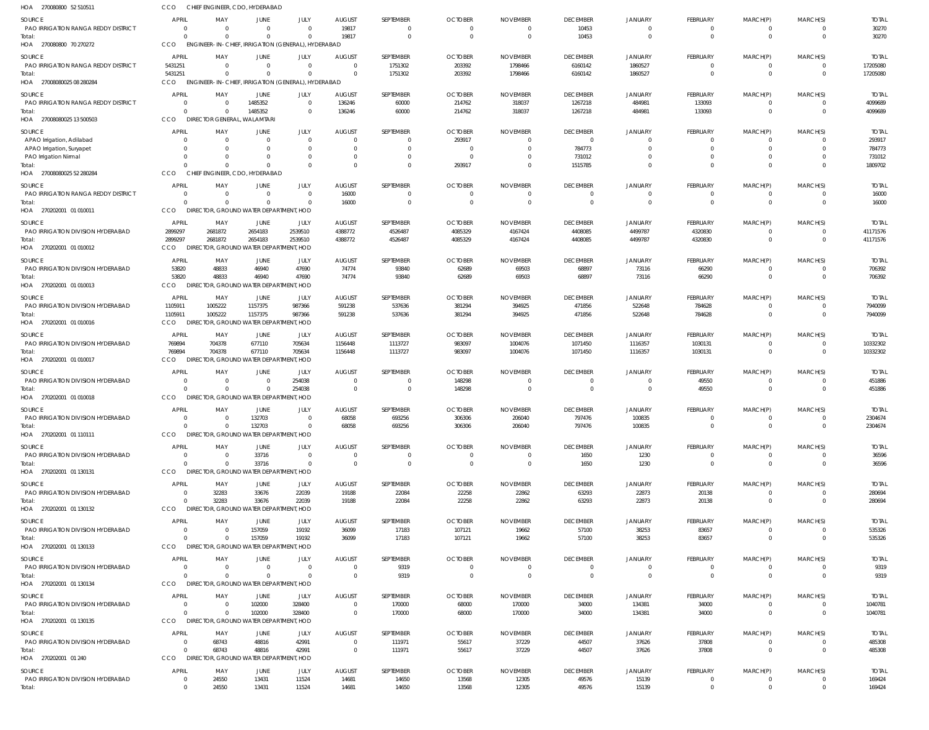| HOA 270080800 52 510511                                                           | CCO                                  | CHIEF ENGINEER, CDO, HYDERABAD                     |                         |                                    |                                       |                                       |                            |                            |                                   |                                  |                                         |                                            |                                              |                                |
|-----------------------------------------------------------------------------------|--------------------------------------|----------------------------------------------------|-------------------------|------------------------------------|---------------------------------------|---------------------------------------|----------------------------|----------------------------|-----------------------------------|----------------------------------|-----------------------------------------|--------------------------------------------|----------------------------------------------|--------------------------------|
| <b>SOURCE</b><br>PAO IRRIGATION RANGA REDDY DISTRICT<br>Total:                    | <b>APRIL</b><br>$\Omega$<br>$\Omega$ | MAY<br>$\Omega$<br>$\Omega$                        | JUNE<br>$\Omega$        | JULY<br>$\Omega$<br>$\Omega$       | <b>AUGUST</b><br>19817<br>19817       | SEPTEMBER<br>$\Omega$<br>$\mathbf{0}$ | <b>OCTOBER</b><br>$\Omega$ | <b>NOVEMBER</b><br>0       | <b>DECEMBER</b><br>10453<br>10453 | JANUARY<br>$\Omega$<br>$\Omega$  | FEBRUARY<br>$\Omega$<br>$\mathbf{0}$    | MARCH(P)<br>0<br>$\overline{0}$            | MARCH(S)<br>$\mathbf{0}$<br>$\overline{0}$   | <b>TOTAL</b><br>30270<br>30270 |
| HOA 270080800 70 270272                                                           | CCO                                  | ENGINEER-IN-CHIEF, IRRIGATION (GENERAL), HYDERABAD |                         |                                    |                                       |                                       |                            |                            |                                   |                                  |                                         |                                            |                                              |                                |
| SOURCE<br><b>PAO IRRIGATION RANGA REDDY DISTRICT</b>                              | APRIL<br>5431251<br>5431251          | MAY<br>$\Omega$<br>$\Omega$                        | <b>JUNE</b><br>$\Omega$ | JULY<br>$\overline{0}$<br>$\Omega$ | <b>AUGUST</b><br>$\Omega$<br>$\Omega$ | SEPTEMBER<br>1751302                  | <b>OCTOBER</b><br>203392   | <b>NOVEMBER</b><br>1798466 | <b>DECEMBER</b><br>6160142        | JANUARY<br>1860527               | FEBRUARY<br>$\mathbf 0$<br>$\mathbf{0}$ | MARCH(P)<br>$\overline{0}$<br>$\mathbf{0}$ | MARCH(S)<br>$\overline{0}$<br>$\overline{0}$ | <b>TOTAL</b><br>17205080       |
| Total:<br>HOA 27008080025 08 280284                                               | CCO                                  | ENGINEER-IN-CHIEF, IRRIGATION (GENERAL), HYDERABAD |                         |                                    |                                       | 1751302                               | 203392                     | 1798466                    | 6160142                           | 1860527                          |                                         |                                            |                                              | 17205080                       |
| SOURCE                                                                            | <b>APRIL</b>                         | MAY                                                | JUNE                    | JULY                               | <b>AUGUST</b>                         | SEPTEMBER                             | <b>OCTOBER</b>             | <b>NOVEMBER</b>            | <b>DECEMBER</b>                   | JANUARY                          | FEBRUARY                                | MARCH(P)                                   | MARCH(S)                                     | <b>TOTAL</b>                   |
| <b>PAO IRRIGATION RANGA REDDY DISTRICT</b><br>Total:<br>HOA 27008080025 13 500503 | $\Omega$<br>$\Omega$<br>CCO          | - 0<br>$\Omega$<br>DIRECTOR GENERAL, WALAMTARI     | 1485352<br>1485352      | $\overline{0}$<br>$\Omega$         | 136246<br>136246                      | 60000<br>60000                        | 214762<br>214762           | 318037<br>318037           | 1267218<br>1267218                | 484981<br>484981                 | 133093<br>133093                        | $\overline{0}$<br>$\mathbf{0}$             | $\overline{0}$<br>$\overline{0}$             | 4099689<br>4099689             |
| SOURCE                                                                            | <b>APRIL</b>                         | MAY                                                | <b>JUNE</b>             | JULY                               | <b>AUGUST</b>                         | SEPTEMBER                             | <b>OCTOBER</b>             | <b>NOVEMBER</b>            | <b>DECEMBER</b>                   | JANUARY                          | <b>FEBRUARY</b>                         | MARCH(P)                                   | MARCH(S)                                     | <b>TOTAL</b>                   |
| APAO Irrigation, Adilabad<br>APAO Irrigation, Suryapet                            | $\Omega$<br>$\Omega$                 | - 0<br>- 0                                         | $\Omega$<br>$\Omega$    | $\overline{0}$<br>$\Omega$         | $\Omega$<br>$\Omega$                  | $\mathbf{0}$<br>$\Omega$              | 293917<br>- 0              | $\Omega$                   | $\overline{0}$<br>784773          | $\Omega$<br>$\Omega$             | $\Omega$<br>$\Omega$                    | 0<br>$\Omega$                              | $\Omega$<br>$\Omega$                         | 293917<br>784773               |
| PAO Irrigation Nirmal                                                             | $\Omega$                             | $\Omega$                                           |                         | $\Omega$                           | $\Omega$                              | $\Omega$                              | $\Omega$                   |                            | 731012                            | $\Omega$                         | $\Omega$                                | $\mathbf 0$                                | $\Omega$                                     | 731012                         |
| Total:<br>HOA 27008080025 52 280284                                               | $\Omega$<br>CCO                      | $\Omega$<br>CHIEF ENGINEER, CDO, HYDERABAD         | $\Omega$                | $\Omega$                           | $\Omega$                              | $\Omega$                              | 293917                     |                            | 1515785                           | $\Omega$                         | $\Omega$                                | $\mathbf 0$                                | $\Omega$                                     | 1809702                        |
| SOURCE                                                                            | <b>APRIL</b>                         | MAY                                                | JUNE                    | JULY                               | <b>AUGUST</b>                         | SEPTEMBER                             | <b>OCTOBER</b>             | <b>NOVEMBER</b>            | <b>DECEMBER</b>                   | JANUARY                          | <b>FEBRUARY</b>                         | MARCH(P)                                   | MARCH(S)                                     | <b>TOTAL</b>                   |
| PAO IRRIGATION RANGA REDDY DISTRICT                                               | $\Omega$<br>$\Omega$                 | - 0<br>$\Omega$                                    | $\Omega$                | $\overline{0}$<br>$\Omega$         | 16000                                 | $\Omega$<br>$\mathbf 0$               | $\Omega$                   |                            | 0<br>$\overline{0}$               | $\Omega$<br>$\Omega$             | 0<br>$\mathbf 0$                        | 0<br>$\mathbf 0$                           | $\overline{0}$<br>$\overline{0}$             | 16000                          |
| Total:<br>HOA 270202001 01 010011                                                 | CCO                                  | DIRECTOR, GROUND WATER DEPARTMENT, HOD             |                         |                                    | 16000                                 |                                       |                            | $\Omega$                   |                                   |                                  |                                         |                                            |                                              | 16000                          |
| SOURCE                                                                            | <b>APRIL</b>                         | MAY                                                | JUNE                    | JULY                               | <b>AUGUST</b>                         | SEPTEMBER                             | <b>OCTOBER</b>             | <b>NOVEMBER</b>            | <b>DECEMBER</b>                   | JANUARY                          | FEBRUARY                                | MARCH(P)                                   | MARCH(S)                                     | <b>TOTAL</b>                   |
| PAO IRRIGATION DIVISION HYDERABAD<br>Total:                                       | 2899297<br>2899297                   | 2681872<br>2681872                                 | 2654183<br>2654183      | 2539510<br>2539510                 | 4388772<br>4388772                    | 4526487<br>4526487                    | 4085329<br>4085329         | 4167424<br>4167424         | 4408085<br>4408085                | 4499787<br>4499787               | 4320830<br>4320830                      | 0<br>$\mathbf 0$                           | $\Omega$<br>$\overline{0}$                   | 41171576<br>41171576           |
| HOA 270202001 01 010012                                                           | CCO                                  | DIRECTOR, GROUND WATER DEPARTMENT, HOD             |                         |                                    |                                       |                                       |                            |                            |                                   |                                  |                                         |                                            |                                              |                                |
| SOURCE                                                                            | <b>APRIL</b>                         | MAY                                                | JUNE                    | JULY                               | <b>AUGUST</b>                         | SEPTEMBER                             | <b>OCTOBER</b>             | <b>NOVEMBER</b>            | <b>DECEMBER</b>                   | <b>JANUARY</b>                   | FEBRUARY                                | MARCH(P)                                   | MARCH(S)                                     | <b>TOTAL</b>                   |
| PAO IRRIGATION DIVISION HYDERABAD<br>Total:                                       | 53820<br>53820                       | 48833<br>48833                                     | 46940<br>46940          | 47690<br>47690                     | 74774<br>74774                        | 93840<br>93840                        | 62689<br>62689             | 69503<br>69503             | 68897<br>68897                    | 73116<br>73116                   | 66290<br>66290                          | 0<br>$\mathbf{0}$                          | $\overline{0}$<br>$\overline{0}$             | 706392<br>706392               |
| HOA 270202001 01 010013                                                           | CCO                                  | DIRECTOR, GROUND WATER DEPARTMENT, HOD             |                         |                                    |                                       |                                       |                            |                            |                                   |                                  |                                         |                                            |                                              |                                |
| SOURCE                                                                            | <b>APRIL</b>                         | MAY                                                | JUNE                    | JULY                               | <b>AUGUST</b>                         | SEPTEMBER                             | <b>OCTOBER</b>             | <b>NOVEMBER</b>            | <b>DECEMBER</b>                   | <b>JANUARY</b>                   | FEBRUARY                                | MARCH(P)                                   | MARCH(S)                                     | <b>TOTAL</b>                   |
| PAO IRRIGATION DIVISION HYDERABAD<br>Total:                                       | 1105911<br>1105911                   | 1005222<br>1005222                                 | 1157375<br>1157375      | 987366<br>987366                   | 591238<br>591238                      | 537636<br>537636                      | 381294<br>381294           | 394925<br>394925           | 471856<br>471856                  | 522648<br>522648                 | 784628<br>784628                        | 0<br>$\overline{0}$                        | $\overline{0}$<br>$\Omega$                   | 7940099<br>7940099             |
| HOA 270202001 01 010016                                                           | <b>CCO</b>                           | DIRECTOR, GROUND WATER DEPARTMENT, HOD             |                         |                                    |                                       |                                       |                            |                            |                                   |                                  |                                         |                                            |                                              |                                |
| SOURCE                                                                            | <b>APRIL</b>                         | MAY                                                | JUNE                    | JULY                               | <b>AUGUST</b>                         | SEPTEMBER                             | <b>OCTOBER</b>             | <b>NOVEMBER</b>            | <b>DECEMBER</b>                   | <b>JANUARY</b>                   | FEBRUARY                                | MARCH(P)                                   | MARCH(S)                                     | <b>TOTAL</b>                   |
| PAO IRRIGATION DIVISION HYDERABAD<br>Total:                                       | 769894<br>769894                     | 704378<br>704378                                   | 677110<br>677110        | 705634<br>705634                   | 1156448<br>1156448                    | 1113727<br>1113727                    | 983097<br>983097           | 1004076<br>1004076         | 1071450<br>1071450                | 1116357<br>1116357               | 1030131<br>1030131                      | $\Omega$<br>$\mathbf{0}$                   | $\Omega$<br>$\overline{0}$                   | 10332302<br>10332302           |
| HOA 270202001 01 010017                                                           | CCO                                  | DIRECTOR, GROUND WATER DEPARTMENT, HOD             |                         |                                    |                                       |                                       |                            |                            |                                   |                                  |                                         |                                            |                                              |                                |
| SOURCE                                                                            | <b>APRIL</b>                         | MAY                                                | <b>JUNE</b>             | JULY                               | <b>AUGUST</b>                         | SEPTEMBER                             | <b>OCTOBER</b>             | <b>NOVEMBER</b>            | <b>DECEMBER</b>                   | JANUARY                          | FEBRUARY                                | MARCH(P)                                   | MARCH(S)                                     | <b>TOTAL</b>                   |
| PAO IRRIGATION DIVISION HYDERABAD<br>Total:                                       | $\Omega$<br>$\Omega$                 | 0<br>$\Omega$                                      | $\Omega$<br>$\Omega$    | 254038<br>254038                   | $\Omega$<br>$\Omega$                  | $\mathbf{0}$<br>$\mathbf 0$           | 148298<br>148298           | $\Omega$                   | $\mathbf{0}$<br>$\overline{0}$    | 0<br>$\overline{0}$              | 49550<br>49550                          | 0<br>$\mathbf 0$                           | $\overline{0}$<br>$\overline{0}$             | 451886<br>451886               |
| HOA 270202001 01 010018                                                           | CCO                                  | DIRECTOR, GROUND WATER DEPARTMENT, HOD             |                         |                                    |                                       |                                       |                            |                            |                                   |                                  |                                         |                                            |                                              |                                |
| SOURCE                                                                            | <b>APRIL</b>                         | MAY                                                | JUNE                    | JULY                               | <b>AUGUST</b>                         | SEPTEMBER                             | <b>OCTOBER</b>             | <b>NOVEMBER</b>            | <b>DECEMBER</b>                   | <b>JANUARY</b>                   | FEBRUARY                                | MARCH(P)                                   | MARCH(S)                                     | <b>TOTAL</b>                   |
| PAO IRRIGATION DIVISION HYDERABAD<br>Total:                                       | $\Omega$                             | $\Omega$                                           | 132703<br>132703        | $\Omega$                           | 68058<br>68058                        | 693256<br>693256                      | 306306<br>306306           | 206040<br>206040           | 797476<br>797476                  | 100835<br>100835                 | $\mathbf{0}$                            | $\mathbf{0}$                               | $\Omega$                                     | 2304674<br>2304674             |
| HOA 270202001 01 110111                                                           | CCO                                  | DIRECTOR, GROUND WATER DEPARTMENT, HOD             |                         |                                    |                                       |                                       |                            |                            |                                   |                                  |                                         |                                            |                                              |                                |
| SOURCE                                                                            | <b>APRIL</b>                         | MAY                                                | <b>JUNE</b>             | JULY                               | <b>AUGUST</b>                         | SEPTEMBER                             | <b>OCTOBER</b>             | <b>NOVEMBER</b>            | <b>DECEMBER</b>                   | JANUARY                          | <b>FEBRUARY</b>                         | MARCH(P)                                   | MARCH(S)                                     | <b>TOTAL</b>                   |
| PAO IRRIGATION DIVISION HYDERABAD<br>Total:                                       | $\Omega$<br>$\Omega$                 | - 0<br>$\Omega$                                    | 33716<br>33716          | $\overline{0}$<br>$\Omega$         | $\Omega$<br>$\Omega$                  | $\mathbf{0}$<br>$\mathbf 0$           | $\Omega$<br>$\Omega$       | $\Omega$<br>$\Omega$       | 1650<br>1650                      | 1230<br>1230                     | 0<br>$\overline{0}$                     | 0<br>$\mathbf{0}$                          | $\overline{0}$<br>$\Omega$                   | 36596<br>36596                 |
| HOA 270202001 01 130131                                                           | CCO                                  | DIRECTOR, GROUND WATER DEPARTMENT, HOD             |                         |                                    |                                       |                                       |                            |                            |                                   |                                  |                                         |                                            |                                              |                                |
| SOURCE                                                                            | <b>APRIL</b>                         | MAY                                                | JUNE                    | JULY                               | <b>AUGUST</b>                         | SEPTEMBER                             | <b>OCTOBER</b>             | <b>NOVEMBER</b>            | <b>DECEMBER</b>                   | JANUARY                          | <b>FEBRUARY</b>                         | MARCH(P)                                   | MARCH(S)                                     | <b>TOTAL</b>                   |
| PAO IRRIGATION DIVISION HYDERABAD<br>Total:                                       | 0<br>$\Omega$                        | 32283<br>32283                                     | 33676<br>33676          | 22039<br>22039                     | 19188<br>19188                        | 22084<br>22084                        | 22258<br>22258             | 22862<br>22862             | 63293<br>63293                    | 22873<br>22873                   | 20138<br>20138                          | $\Omega$<br>$\overline{0}$                 | $\overline{0}$<br>$\overline{0}$             | 280694<br>280694               |
| HOA 270202001 01 130132                                                           | CCO                                  | DIRECTOR, GROUND WATER DEPARTMENT, HOD             |                         |                                    |                                       |                                       |                            |                            |                                   |                                  |                                         |                                            |                                              |                                |
| SOURCE                                                                            | <b>APRIL</b>                         | MAY                                                | JUNE                    | JULY                               | <b>AUGUST</b>                         | SEPTEMBER                             | <b>OCTOBER</b>             | <b>NOVEMBER</b>            | <b>DECEMBER</b>                   | JANUARY                          | FEBRUARY                                | MARCH(P)                                   | MARCH(S)                                     | <b>TOTAL</b>                   |
| PAO IRRIGATION DIVISION HYDERABAD<br>Total:                                       | $\Omega$<br>$\Omega$                 | $\Omega$<br>$\Omega$                               | 157059<br>157059        | 19192<br>19192                     | 36099<br>36099                        | 17183<br>17183                        | 107121<br>107121           | 19662<br>19662             | 57100<br>57100                    | 38253<br>38253                   | 83657<br>83657                          | 0<br>$\mathbf 0$                           | $\overline{0}$<br>$\overline{0}$             | 535326<br>535326               |
| HOA 270202001 01 130133                                                           | CCO                                  | DIRECTOR, GROUND WATER DEPARTMENT, HOD             |                         |                                    |                                       |                                       |                            |                            |                                   |                                  |                                         |                                            |                                              |                                |
| <b>SOURCE</b>                                                                     | <b>APRIL</b><br>$\Omega$             | MAY<br>- 0                                         | <b>JUNE</b><br>$\Omega$ | JULY<br>$\overline{0}$             | <b>AUGUST</b><br>$\Omega$             | SEPTEMBER<br>9319                     | <b>OCTOBER</b><br>- 0      | <b>NOVEMBER</b>            | <b>DECEMBER</b><br>$\overline{0}$ | <b>JANUARY</b><br>$\overline{0}$ | FEBRUARY                                | MARCH(P)                                   | MARCH(S)<br>$\overline{0}$                   | <b>TOTAL</b>                   |
| PAO IRRIGATION DIVISION HYDERABAD<br>Total:                                       | $\Omega$                             | $\Omega$                                           |                         | $\Omega$                           | $\Omega$                              | 9319                                  | $\Omega$                   | $\Omega$                   | $\Omega$                          | $\overline{0}$                   | 0<br>$\mathbf{0}$                       | 0<br>$\mathbf{0}$                          | $\Omega$                                     | 9319<br>9319                   |
| HOA 270202001 01 130134                                                           | CCO                                  | DIRECTOR, GROUND WATER DEPARTMENT, HOD             |                         |                                    |                                       |                                       |                            |                            |                                   |                                  |                                         |                                            |                                              |                                |
| SOURCE<br>PAO IRRIGATION DIVISION HYDERABAD                                       | <b>APRIL</b><br>$\Omega$             | MAY<br>$\Omega$                                    | JUNE<br>102000          | JULY<br>328400                     | <b>AUGUST</b><br>$\Omega$             | SEPTEMBER<br>170000                   | <b>OCTOBER</b><br>68000    | <b>NOVEMBER</b><br>170000  | <b>DECEMBER</b><br>34000          | <b>JANUARY</b><br>134381         | FEBRUARY<br>34000                       | MARCH(P)<br>$\overline{0}$                 | MARCH(S)<br>$\overline{0}$                   | <b>TOTAL</b><br>1040781        |
| Total:                                                                            | $\Omega$                             | $\Omega$                                           | 102000                  | 328400                             | $\Omega$                              | 170000                                | 68000                      | 170000                     | 34000                             | 134381                           | 34000                                   | $\mathbf 0$                                | $\overline{0}$                               | 1040781                        |
| HOA 270202001 01 130135                                                           | CCO                                  | DIRECTOR, GROUND WATER DEPARTMENT, HOD             |                         |                                    |                                       |                                       |                            |                            |                                   |                                  |                                         |                                            |                                              |                                |
| <b>SOURCE</b><br>PAO IRRIGATION DIVISION HYDERABAD                                | <b>APRIL</b><br>$\Omega$             | MAY<br>68743                                       | JUNE<br>48816           | JULY<br>42991                      | <b>AUGUST</b><br>$\Omega$             | SEPTEMBER<br>111971                   | <b>OCTOBER</b><br>55617    | <b>NOVEMBER</b><br>37229   | <b>DECEMBER</b><br>44507          | JANUARY<br>37626                 | FEBRUARY<br>37808                       | MARCH(P)<br>$\Omega$                       | MARCH(S)<br>$\Omega$                         | <b>TOTAL</b><br>485308         |
| Total:                                                                            | $\Omega$                             | 68743                                              | 48816                   | 42991                              | $\Omega$                              | 111971                                | 55617                      | 37229                      | 44507                             | 37626                            | 37808                                   | $\mathbf{0}$                               | $\overline{0}$                               | 485308                         |
| HOA 270202001 01 240                                                              | <b>CCO</b>                           | DIRECTOR, GROUND WATER DEPARTMENT, HOD             |                         |                                    |                                       |                                       |                            |                            |                                   |                                  |                                         |                                            |                                              |                                |
| SOURCE                                                                            | <b>APRIL</b>                         | MAY                                                | <b>JUNE</b>             | JULY                               | <b>AUGUST</b>                         | SEPTEMBER                             | <b>OCTOBER</b>             | <b>NOVEMBER</b>            | <b>DECEMBER</b>                   | JANUARY                          | <b>FEBRUARY</b>                         | MARCH(P)                                   | MARCH(S)                                     | <b>TOTAL</b>                   |
| PAO IRRIGATION DIVISION HYDERABAD<br>Total:                                       | 0<br>$\mathbf 0$                     | 24550<br>24550                                     | 13431<br>13431          | 11524<br>11524                     | 14681<br>14681                        | 14650<br>14650                        | 13568<br>13568             | 12305<br>12305             | 49576<br>49576                    | 15139<br>15139                   | 0<br>$\mathbf{0}$                       | 0<br>$\mathbf 0$                           | $\overline{0}$<br>$\overline{0}$             | 169424<br>169424               |
|                                                                                   |                                      |                                                    |                         |                                    |                                       |                                       |                            |                            |                                   |                                  |                                         |                                            |                                              |                                |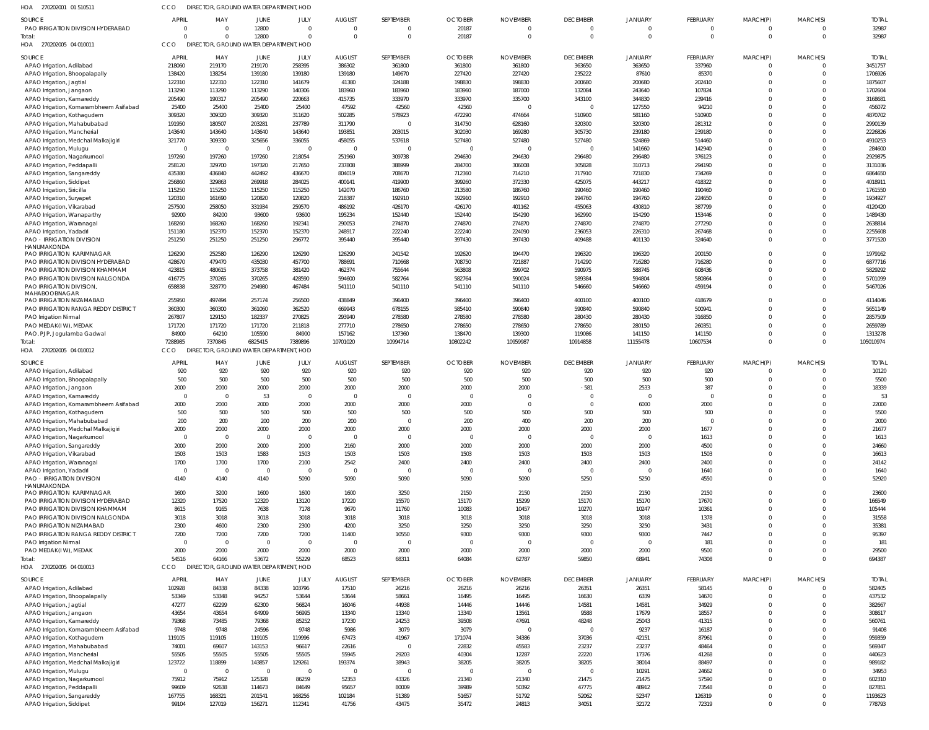| HOA 270202001 01 510511                                             | CCO                      | DIRECTOR, GROUND WATER DEPARTMENT, HOD             |                    |                    |                         |                          |                          |                           |                           |                   |                    |                            |                          |                         |
|---------------------------------------------------------------------|--------------------------|----------------------------------------------------|--------------------|--------------------|-------------------------|--------------------------|--------------------------|---------------------------|---------------------------|-------------------|--------------------|----------------------------|--------------------------|-------------------------|
| <b>SOURCE</b>                                                       | <b>APRIL</b>             | MAY                                                | JUNE               | JULY               | <b>AUGUST</b>           | SEPTEMBER                | <b>OCTOBER</b>           | <b>NOVEMBER</b>           | <b>DECEMBER</b>           | JANUARY           | FEBRUARY           | MARCH(P)                   | MARCH(S)                 | <b>TOTAI</b>            |
| PAO IRRIGATION DIVISION HYDERABAD                                   | $\circ$                  | $\Omega$                                           | 12800              | $\Omega$           | - 0                     | 0                        | 20187                    |                           | $\overline{0}$            | $\Omega$          | $\mathbf 0$        | $^{\circ}$                 |                          | 32987                   |
| Total:<br>HOA 270202005 04 010011                                   | $\Omega$<br>CCO          | $\Omega$<br>DIRECTOR, GROUND WATER DEPARTMENT, HOD | 12800              | $\Omega$           | $\Omega$                | $\mathbf 0$              | 20187                    | $\Omega$                  | $\overline{0}$            | $\mathbf 0$       | $\mathbf 0$        | $\mathbf 0$                | $\Omega$                 | 32987                   |
|                                                                     |                          |                                                    |                    |                    |                         |                          |                          |                           |                           |                   |                    |                            |                          |                         |
| <b>SOURCE</b><br>APAO Irrigation, Adilabad                          | <b>APRIL</b><br>218060   | MAY<br>219170                                      | JUNE<br>219170     | JULY<br>258395     | <b>AUGUST</b><br>386302 | SEPTEMBER<br>361800      | <b>OCTOBER</b><br>361800 | <b>NOVEMBER</b><br>361800 | <b>DECEMBER</b><br>363650 | JANUARY<br>363650 | FEBRUARY<br>337960 | MARCH(P)<br>$^{\circ}$     | MARCH(S)                 | <b>TOTAI</b><br>3451757 |
| APAO Irrigation, Bhoopalapally                                      | 138420                   | 138254                                             | 139180             | 139180             | 139180                  | 149670                   | 227420                   | 227420                    | 235222                    | 87610             | 85370              | $\mathbf 0$                | $\Omega$                 | 1706926                 |
| APAO Irrigation, Jagtial                                            | 122310                   | 122310                                             | 122310             | 141679             | 41380                   | 324188                   | 198830                   | 198830                    | 200680                    | 200680            | 202410             | $^{\circ}$                 |                          | 1875607                 |
| APAO Irrigation, Jangaon                                            | 113290                   | 113290                                             | 113290             | 140306             | 183960                  | 183960                   | 183960                   | 187000                    | 132084                    | 243640            | 107824             | $\Omega$                   |                          | 1702604                 |
| APAO Irrigation, Kamareddy                                          | 205490                   | 190317                                             | 205490             | 220663             | 415735                  | 333970                   | 333970                   | 335700                    | 343100                    | 344830            | 239416             | $\Omega$                   |                          | 3168681                 |
| APAO Irrigation, Komarambheem Asifabad                              | 25400                    | 25400                                              | 25400              | 25400              | 47592                   | 42560                    | 42560                    |                           | $\overline{0}$            | 127550            | 94210              | $\Omega$                   |                          | 456072                  |
| APAO Irrigation, Kothagudem                                         | 309320                   | 309320                                             | 309320             | 311620             | 502285                  | 578923                   | 472290                   | 474664                    | 510900                    | 581160            | 510900             | $\Omega$                   |                          | 4870702                 |
| APAO Irrigation, Mahabubabad                                        | 191950                   | 180507                                             | 203281             | 237789             | 311790                  | $\overline{0}$           | 314750                   | 628160                    | 320300                    | 320300            | 281312             | $\Omega$                   | $\Omega$                 | 2990139                 |
| APAO Irrigation, Mancherial                                         | 143640                   | 143640                                             | 143640             | 143640             | 193851                  | 203015                   | 302030                   | 169280                    | 305730                    | 239180            | 239180             | $\Omega$                   |                          | 2226826                 |
| APAO Irrigation, Medchal Malkajigiri                                | 321770<br>$\overline{0}$ | 309330<br>$\overline{0}$                           | 325656<br>$\Omega$ | 336055<br>$\Omega$ | 458055<br>- 0           | 537618<br>$\overline{0}$ | 527480<br>- 0            | 527480                    | 527480<br>$\overline{0}$  | 524869<br>141660  | 514460<br>142940   | $\Omega$<br>$\Omega$       | $\Omega$                 | 4910253<br>284600       |
| APAO Irrigation, Mulugu<br>APAO Irrigation, Nagarkurnool            | 197260                   | 197260                                             | 197260             | 218054             | 251960                  | 309738                   | 294630                   | 294630                    | 296480                    | 296480            | 376123             | $\Omega$                   | $\Omega$                 | 2929875                 |
| APAO Irrigation, Peddapall                                          | 258120                   | 329700                                             | 197320             | 217650             | 237808                  | 388999                   | 284700                   | 306008                    | 305828                    | 310713            | 294190             | $^{\circ}$                 |                          | 3131036                 |
| APAO Irrigation, Sangareddy                                         | 435380                   | 436840                                             | 442492             | 436670             | 804019                  | 708670                   | 712360                   | 714210                    | 717910                    | 721830            | 734269             | $\Omega$                   |                          | 6864650                 |
| APAO Irrigation, Siddipet                                           | 256860                   | 329863                                             | 269918             | 284025             | 400141                  | 419900                   | 399260                   | 372330                    | 425075                    | 443217            | 418322             | $\mathbf{0}$               |                          | 4018911                 |
| APAO Irrigation, Siricilla                                          | 115250                   | 115250                                             | 115250             | 115250             | 142070                  | 186760                   | 213580                   | 186760                    | 190460                    | 190460            | 190460             | $\Omega$                   |                          | 1761550                 |
| APAO Irrigation, Suryapet                                           | 120310                   | 161690                                             | 120820             | 120820             | 218387                  | 192910                   | 192910                   | 192910                    | 194760                    | 194760            | 224650             | $\Omega$                   |                          | 1934927                 |
| APAO Irrigation, Vikarabad                                          | 257500                   | 258050                                             | 331934             | 259570             | 486192                  | 426170                   | 426170                   | 401162                    | 455063                    | 430810            | 387799             | $\Omega$                   | $\Omega$                 | 4120420                 |
| APAO Irrigation, Wanaparthy                                         | 92900                    | 84200                                              | 93600              | 93600              | 195234                  | 152440                   | 152440                   | 154290                    | 162990                    | 154290            | 153446             | $\Omega$                   |                          | 1489430                 |
| APAO Irrigation, Waranagal                                          | 168260                   | 168260                                             | 168260             | 192341             | 290053                  | 274870                   | 274870                   | 274870                    | 274870                    | 274870            | 277290             | $\Omega$<br>$\mathbf 0$    | $\Omega$<br>$\Omega$     | 2638814<br>2255608      |
| APAO Irrigation, Yadadri<br><b>PAO - IRRIGATION DIVISION</b>        | 151180<br>251250         | 152370<br>251250                                   | 152370<br>251250   | 152370<br>296772   | 248917<br>395440        | 222240<br>395440         | 222240<br>397430         | 224090<br>397430          | 236053<br>409488          | 226310<br>401130  | 267468<br>324640   | $\Omega$                   | $\Omega$                 | 3771520                 |
| HANUMAKONDA                                                         |                          |                                                    |                    |                    |                         |                          |                          |                           |                           |                   |                    |                            |                          |                         |
| PAO IRRIGATION KARIMNAGAR                                           | 126290                   | 252580                                             | 126290             | 126290             | 126290                  | 241542                   | 192620                   | 194470                    | 196320                    | 196320            | 200150             | $\overline{0}$             | $\Omega$                 | 1979162                 |
| PAO IRRIGATION DIVISION HYDERABAD                                   | 428670                   | 479470                                             | 435030             | 457700             | 788691                  | 710668                   | 708750                   | 721887                    | 714290                    | 716280            | 716280             | $\Omega$                   | $\Omega$                 | 6877716                 |
| PAO IRRIGATION DIVISION KHAMMAM                                     | 423815                   | 480615                                             | 373758             | 381420             | 462374                  | 755644                   | 563808                   | 599702                    | 590975                    | 588745            | 608436             | $\mathbf{0}$               | $\Omega$                 | 5829292                 |
| PAO IRRIGATION DIVISION NALGONDA                                    | 416775                   | 370265                                             | 370265             | 428590             | 594600                  | 582764                   | 582764                   | 590024                    | 589384                    | 594804            | 580864             | $\Omega$                   | $\Omega$                 | 5701099                 |
| PAO IRRIGATION DIVISION,<br>MAHABOOBNAGAR                           | 658838                   | 328770                                             | 294980             | 467484             | 541110                  | 541110                   | 541110                   | 541110                    | 546660                    | 546660            | 459194             | $\Omega$                   | $\Omega$                 | 5467026                 |
| PAO IRRIGATION NIZAMABAD                                            | 255950                   | 497494                                             | 257174             | 256500             | 438849                  | 396400                   | 396400                   | 396400                    | 400100                    | 400100            | 418679             | $\Omega$                   | $\Omega$                 | 4114046                 |
| PAO IRRIGATION RANGA REDDY DISTRICT                                 | 360300                   | 360300                                             | 361060             | 362520             | 669943                  | 678155                   | 585410                   | 590840                    | 590840                    | 590840            | 500941             | $\Omega$                   |                          | 5651149                 |
| PAO Irrigation Nirmal                                               | 267807                   | 129150                                             | 182337             | 270825             | 293940                  | 278580                   | 278580                   | 278580                    | 280430                    | 280430            | 316850             | $\Omega$                   | $\Omega$                 | 2857509                 |
| PAO MEDAK(IW), MEDAK                                                | 171720                   | 171720                                             | 171720             | 211818             | 277710                  | 278650                   | 278650                   | 278650                    | 278650                    | 280150            | 260351             | $\mathbf{0}$               | 0                        | 2659789                 |
| PAO, PJP, Jogulamba Gadwal                                          | 84900                    | 64210                                              | 105590             | 84900              | 157162                  | 137360                   | 138470                   | 139300                    | 119086                    | 141150            | 141150             | $\mathbf 0$<br>$\Omega$    | $\Omega$<br>$\Omega$     | 1313278                 |
| Total:<br>HOA 270202005 04 010012                                   | 7288985<br>CCO           | 7370845<br>DIRECTOR, GROUND WATER DEPARTMENT, HOD  | 6825415            | 7389896            | 10701020                | 10994714                 | 10802242                 | 10959987                  | 10914858                  | 11155478          | 10607534           |                            |                          | 105010974               |
|                                                                     |                          |                                                    |                    |                    |                         |                          |                          |                           |                           |                   |                    |                            |                          |                         |
| SOURCE                                                              | <b>APRIL</b>             | MAY                                                | JUNE               | JULY               | <b>AUGUST</b>           | SEPTEMBER                | <b>OCTOBER</b>           | <b>NOVEMBER</b>           | <b>DECEMBER</b>           | JANUARY           | FEBRUARY           | MARCH(P)                   | MARCH(S)                 | <b>TOTAL</b>            |
| APAO Irrigation, Adilabad                                           | 920                      | 920                                                | 920                | 920                | 920                     | 920                      | 920                      | 920                       | 920                       | 920               | 920                | $\overline{0}$             | 0                        | 10120                   |
| APAO Irrigation, Bhoopalapally                                      | 500<br>2000              | 500<br>2000                                        | 500<br>2000        | 500<br>2000        | 500<br>2000             | 500<br>2000              | 500<br>2000              | 500<br>2000               | 500<br>$-581$             | 500<br>2533       | 500<br>387         | $\mathbf 0$<br>$\mathbf 0$ | $\Omega$<br>$\Omega$     | 5500<br>18339           |
| APAO Irrigation, Jangaon<br>APAO Irrigation, Kamareddy              | $\overline{0}$           | $\overline{0}$                                     | 53                 | $\mathbf 0$        | - 0                     | $\overline{0}$           | - 0                      |                           | $\overline{0}$            | $\mathbf 0$       | $\overline{0}$     | $\mathbf 0$                | $\Omega$                 | 53                      |
| APAO Irrigation, Komarambheem Asifabad                              | 2000                     | 2000                                               | 2000               | 2000               | 2000                    | 2000                     | 2000                     |                           | $\Omega$                  | 6000              | 2000               | $\mathbf 0$                | 0                        | 22000                   |
| APAO Irrigation, Kothagudem                                         | 500                      | 500                                                | 500                | 500                | 500                     | 500                      | 500                      | 500                       | 500                       | 500               | 500                | $\Omega$                   | $\Omega$                 | 5500                    |
| APAO Irrigation, Mahabubabad                                        | 200                      | 200                                                | 200                | 200                | 200                     | $\mathbf 0$              | 200                      | 400                       | 200                       | 200               | $\Omega$           |                            |                          | 2000                    |
| APAO Irrigation, Medchal Malkajigiri                                | 2000                     | 2000                                               | 2000               | 2000               | 2000                    | 2000                     | 2000                     | 2000                      | 2000                      | 2000              | 1677               | $\mathbf 0$                | $\Omega$                 | 21677                   |
| APAO Irrigation, Nagarkurnool                                       | $\overline{0}$           | $\overline{0}$                                     | $\Omega$           | $\mathbf 0$        | $\Omega$                | $\overline{0}$           | - 0                      | $\Omega$                  | $\overline{0}$            | $\mathbf 0$       | 1613               | $\mathbf 0$                | $\Omega$                 | 1613                    |
| APAO Irrigation, Sangareddy                                         | 2000                     | 2000                                               | 2000               | 2000               | 2160                    | 2000                     | 2000                     | 2000                      | 2000                      | 2000              | 4500               | $\mathbf 0$                | $\Omega$                 | 24660                   |
| APAO Irrigation, Vikarabad                                          | 1503<br>1700             | 1503<br>1700                                       | 1583<br>1700       | 1503<br>2100       | 1503<br>2542            | 1503<br>2400             | 1503<br>2400             | 1503<br>2400              | 1503<br>2400              | 1503<br>2400      | 1503<br>2400       | $\mathbf 0$<br>$\mathbf 0$ | $\Omega$<br>$\Omega$     | 16613<br>24142          |
| APAO Irrigation, Waranagal<br>APAO Irrigation, Yadadri              | $\overline{\mathbf{0}}$  | $\overline{\mathbf{0}}$                            | $\Omega$           | $\mathbf 0$        | $\Omega$                | $\overline{0}$           | - 0                      | $\Omega$                  | $\overline{0}$            | $\Omega$          | 1640               | $\mathbf 0$                | $\Omega$                 | 1640                    |
| <b>PAO - IRRIGATION DIVISION</b>                                    | 4140                     | 4140                                               | 4140               | 5090               | 5090                    | 5090                     | 5090                     | 5090                      | 5250                      | 5250              | 4550               | $\mathbf 0$                | $\mathbf 0$              | 52920                   |
| HANUMAKONDA                                                         |                          |                                                    |                    |                    |                         |                          |                          |                           |                           |                   |                    |                            |                          |                         |
| PAO IRRIGATION KARIMNAGAR                                           | 1600                     | 3200                                               | 1600               | 1600               | 1600                    | 3250                     | 2150                     | 2150                      | 2150                      | 2150              | 2150               | $\mathbf 0$                | $\Omega$                 | 23600                   |
| PAO IRRIGATION DIVISION HYDERABAD                                   | 12320                    | 17520                                              | 12320              | 13120              | 17220                   | 15570                    | 15170                    | 15299                     | 15170                     | 15170             | 17670              | $\mathbf 0$                | $\Omega$                 | 166549                  |
| PAO IRRIGATION DIVISION KHAMMAM<br>PAO IRRIGATION DIVISION NALGONDA | 8615<br>3018             | 9165<br>3018                                       | 7638<br>3018       | 7178<br>3018       | 9670<br>3018            | 11760<br>3018            | 10083<br>3018            | 10457<br>3018             | 10270<br>3018             | 10247<br>3018     | 10361<br>1378      | $\mathbf 0$<br>$\mathbf 0$ | $\Omega$<br>$\Omega$     | 105444<br>31558         |
| PAO IRRIGATION NIZAMABAD                                            | 2300                     | 4600                                               | 2300               | 2300               | 4200                    | 3250                     | 3250                     | 3250                      | 3250                      | 3250              | 3431               | $\mathbf{0}$               | $\Omega$                 | 35381                   |
| PAO IRRIGATION RANGA REDDY DISTRICT                                 | 7200                     | 7200                                               | 7200               | 7200               | 11400                   | 10550                    | 9300                     | 9300                      | 9300                      | 9300              | 7447               | $\mathbf 0$                | $\Omega$                 | 95397                   |
| PAO Irrigation Nirmal                                               | $\overline{0}$           | $\overline{0}$                                     | $\Omega$           | $\mathbf{0}$       | $\Omega$                | $\overline{0}$           | $\Omega$                 | $\Omega$                  | $\overline{0}$            | $\Omega$          | 181                | $\mathbf{0}$               | $\Omega$                 | 181                     |
| PAO MEDAK(I W), MEDAK                                               | 2000                     | 2000                                               | 2000               | 2000               | 2000                    | 2000                     | 2000                     | 2000                      | 2000                      | 2000              | 9500               | $\mathbf 0$                | $\mathbf 0$              | 29500                   |
| Total:                                                              | 54516                    | 64166                                              | 53672              | 55229              | 68523                   | 68311                    | 64084                    | 62787                     | 59850                     | 68941             | 74308              | $\mathbf 0$                | $\Omega$                 | 694387                  |
| HOA 270202005 04 010013                                             | CCO                      | DIRECTOR, GROUND WATER DEPARTMENT, HOD             |                    |                    |                         |                          |                          |                           |                           |                   |                    |                            |                          |                         |
| SOURCE                                                              | APRIL                    | MAY                                                | <b>JUNE</b>        | JULY               | <b>AUGUST</b>           | SEPTEMBER                | <b>OCTOBER</b>           | <b>NOVEMBER</b>           | <b>DECEMBER</b>           | JANUARY           | FEBRUARY           | MARCH(P)                   | MARCH(S)                 | <b>TOTAL</b>            |
| APAO Irrigation, Adilabad                                           | 102928                   | 84338                                              | 84338              | 103796             | 17510                   | 26216                    | 26216                    | 26216                     | 26351                     | 26351             | 58145              | $\Omega$                   |                          | 582405                  |
|                                                                     |                          | 53348                                              | 94257              | 53644              | 53644                   | 58661                    | 16495                    | 16495                     | 16630                     | 6339              | 14670              | $\mathbf 0$                |                          | 437532                  |
| APAO Irrigation, Bhoopalapally                                      | 53349                    |                                                    |                    |                    | 16046                   | 44938                    | 14446                    | 14446                     | 14581                     | 14581             | 34929              | $\Omega$                   |                          | 382667                  |
| APAO Irrigation, Jagtial                                            | 47277                    | 62299                                              | 62300              | 56824              |                         |                          |                          |                           |                           | 17679             |                    |                            |                          | 308617                  |
| APAO Irrigation, Jangaon                                            | 43654                    | 43654                                              | 64909              | 56995              | 13340                   | 13340                    | 13340                    | 13561                     | 9588                      |                   | 18557              | $\mathbf 0$                |                          |                         |
| APAO Irrigation, Kamareddy                                          | 79368                    | 73485                                              | 79368              | 85252              | 17230                   | 24253                    | 39508                    | 47691                     | 48248                     | 25043             | 41315              | $\Omega$                   |                          | 560761                  |
| APAO Irrigation, Komarambheem Asifabad                              | 9748                     | 9748                                               | 24596              | 9748               | 5986                    | 3079                     | 3079                     | $\mathfrak{g}$            | $\overline{0}$            | 9237              | 16187              | $\Omega$                   |                          | 91408                   |
| APAO Irrigation, Kothagudem                                         | 119105                   | 119105                                             | 119105             | 119996             | 67473                   | 41967                    | 171074                   | 34386                     | 37036                     | 42151             | 87961              | $\Omega$                   | $\Omega$                 | 959359                  |
| APAO Irrigation, Mahabubabad                                        | 74001                    | 69607                                              | 143153             | 96617              | 22616                   | $\overline{0}$           | 22832                    | 45583                     | 23237                     | 23237             | 48464              | $\Omega$<br>$\Omega$       | $\Omega$                 | 569347                  |
| APAO Irrigation, Mancherial<br>APAO Irrigation, Medchal Malkajigiri | 55505<br>123722          | 55505<br>118899                                    | 55505<br>143857    | 55505<br>129261    | 55945<br>193374         | 29203<br>38943           | 40304<br>38205           | 12287<br>38205            | 22220<br>38205            | 17376<br>38014    | 41268<br>88497     | $\mathbf 0$                |                          | 440623<br>989182        |
| APAO Irrigation, Mulugu                                             | $\overline{0}$           | $\overline{\mathbf{0}}$                            | $\Omega$           | $\Omega$           | $\Omega$                | $\overline{0}$           | $\Omega$                 | $\Omega$                  | $\overline{0}$            | 10291             | 24662              | $\Omega$                   |                          | 34953                   |
| APAO Irrigation, Nagarkurnool                                       | 75912                    | 75912                                              | 125328             | 86259              | 52353                   | 43326                    | 21340                    | 21340                     | 21475                     | 21475             | 57590              | $\Omega$                   |                          | 602310                  |
| APAO Irrigation, Peddapalli                                         | 99609                    | 92638                                              | 114673             | 84649              | 95657                   | 80009                    | 39989                    | 50392                     | 47775                     | 48912             | 73548              | $\Omega$                   | $\Omega$                 | 827851                  |
| APAO Irrigation, Sangareddy<br>APAO Irrigation, Siddipet            | 167755<br>99104          | 168321<br>127019                                   | 201541<br>156271   | 168256<br>112341   | 102184<br>41756         | 51389<br>43475           | 51657<br>35472           | 51792<br>24813            | 52062<br>34051            | 52347<br>32172    | 126319<br>72319    | $\mathbf 0$<br>$\mathbf 0$ | $\mathbf{0}$<br>$\Omega$ | 1193623<br>778793       |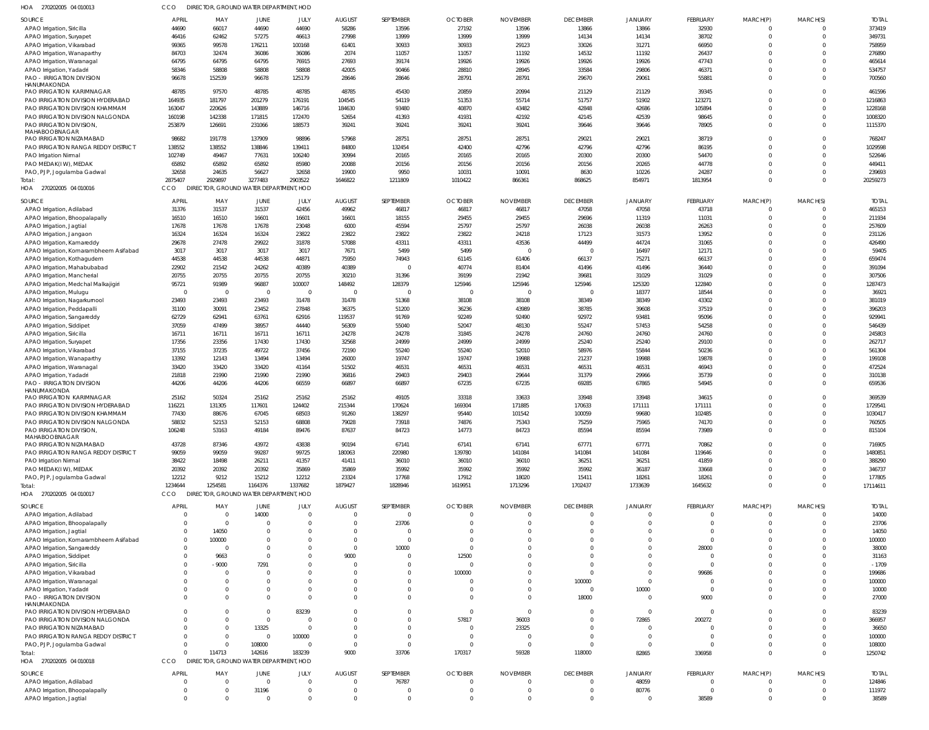| HOA<br>270202005 04 010013                                  |                      |                | DIRECTOR, GROUND WATER DEPARTMENT, HOD |                      |                |                         |                      |                      |                 |                         |                 |                      |                            |                  |
|-------------------------------------------------------------|----------------------|----------------|----------------------------------------|----------------------|----------------|-------------------------|----------------------|----------------------|-----------------|-------------------------|-----------------|----------------------|----------------------------|------------------|
| <b>SOURCE</b>                                               | <b>APRIL</b>         | MAY            | <b>JUNE</b>                            | JULY                 | <b>AUGUST</b>  | SEPTEMBER               | <b>OCTOBER</b>       | <b>NOVEMBER</b>      | <b>DECEMBER</b> | <b>JANUARY</b>          | FEBRUARY        | MARCH(P)             | MARCH(S)                   | <b>TOTAI</b>     |
| APAO Irrigation, Siricilla                                  | 44690                | 66017          | 44690                                  | 44690                | 58286          | 13596                   | 27192                | 13596                | 13866           | 13866                   | 32930           | $\Omega$             | $\Omega$                   | 373419           |
| APAO Irrigation, Suryapet                                   | 46416                | 62462          | 57275                                  | 46613                | 27998          | 13999                   | 13999                | 13999                | 14134           | 14134                   | 38702           | $\Omega$             | $\overline{0}$             | 349731           |
| APAO Irrigation, Vikarabad                                  | 99365                | 99578          | 176211                                 | 100168               | 61401          | 30933                   | 30933                | 29123                | 33026           | 31271                   | 66950           | $\Omega$             | $\Omega$                   | 758959           |
| APAO Irrigation, Wanaparthy                                 | 84703                | 32474          | 36086                                  | 36086                | 2074           | 11057                   | 11057                | 11192                | 14532           | 11192                   | 26437           | $\Omega$             | $\Omega$                   | 276890           |
| APAO Irrigation, Waranagal<br>APAO Irrigation, Yadadri      | 64795<br>58346       | 64795<br>58808 | 64795<br>58808                         | 76915<br>58808       | 27693<br>42005 | 39174<br>90466          | 19926<br>28810       | 19926<br>28945       | 19926<br>33584  | 19926<br>29806          | 47743<br>46371  | $\Omega$<br>$\Omega$ | $\Omega$<br>$\Omega$       | 465614<br>534757 |
| <b>PAO - IRRIGATION DIVISION</b>                            | 96678                | 152539         | 96678                                  | 125179               | 28646          | 28646                   | 28791                | 28791                | 29670           | 29061                   | 55881           | $\Omega$             | $\Omega$                   | 700560           |
| HANUMAKONDA                                                 |                      |                |                                        |                      |                |                         |                      |                      |                 |                         |                 |                      |                            |                  |
| PAO IRRIGATION KARIMNAGAR                                   | 48785                | 97570          | 48785                                  | 48785                | 48785          | 45430                   | 20859                | 20994                | 21129           | 21129                   | 39345           | $\Omega$             | $\Omega$                   | 461596           |
| PAO IRRIGATION DIVISION HYDERABAD                           | 164935               | 181797         | 201279                                 | 176191               | 104545         | 54119                   | 51353                | 55714                | 51757           | 51902                   | 123271          | $\Omega$             | $\mathbf 0$                | 1216863          |
| PAO IRRIGATION DIVISION KHAMMAM                             | 163047               | 220626         | 143889                                 | 146716               | 184630         | 93480                   | 40870                | 43482                | 42848           | 42686                   | 105894          | $\Omega$             | $\Omega$                   | 1228168          |
| PAO IRRIGATION DIVISION NALGONDA                            | 160198               | 142338         | 171815                                 | 172470               | 52654          | 41393                   | 41931                | 42192                | 42145           | 42539                   | 98645           | $\Omega$             | $\mathbf 0$                | 1008320          |
| PAO IRRIGATION DIVISION,<br>MAHABOOBNAGAR                   | 253879               | 126691         | 231066                                 | 188573               | 39241          | 39241                   | 39241                | 39241                | 39646           | 39646                   | 78905           | $\Omega$             | $\overline{0}$             | 1115370          |
| PAO IRRIGATION NIZAMABAD                                    | 98682                | 191778         | 137909                                 | 98896                | 57968          | 28751                   | 28751                | 28751                | 29021           | 29021                   | 38719           | $\Omega$             | $\mathbf 0$                | 768247           |
| PAO IRRIGATION RANGA REDDY DISTRICT                         | 138552               | 138552         | 138846                                 | 139411               | 84800          | 132454                  | 42400                | 42796                | 42796           | 42796                   | 86195           | $\Omega$             | $\Omega$                   | 1029598          |
| PAO Irrigation Nirmal                                       | 102749               | 49467          | 77631                                  | 106240               | 30994          | 20165                   | 20165                | 20165                | 20300           | 20300                   | 54470           | $\Omega$             | $\mathbf 0$                | 522646           |
| PAO MEDAK(IW), MEDAK                                        | 65892                | 65892          | 65892                                  | 85980                | 20088          | 20156                   | 20156                | 20156                | 20156           | 20265                   | 44778           | $\Omega$             | $\Omega$                   | 449411           |
| PAO, PJP, Jogulamba Gadwal                                  | 32658                | 24635          | 56627                                  | 32658                | 19900          | 9950                    | 10031                | 10091                | 8630            | 10226                   | 24287           | $\Omega$             | $\overline{0}$             | 239693           |
| Total:                                                      | 2875407              | 2929897        | 3277483                                | 2903522              | 1646822        | 1211809                 | 1010422              | 866361               | 868625          | 854971                  | 1813954         | $\Omega$             | $\Omega$                   | 20259273         |
| HOA 270202005 04 010016                                     | CCO                  |                | DIRECTOR, GROUND WATER DEPARTMENT, HOD |                      |                |                         |                      |                      |                 |                         |                 |                      |                            |                  |
| <b>SOURCE</b>                                               | <b>APRIL</b>         | MAY            | JUNE                                   | JULY                 | <b>AUGUST</b>  | SEPTEMBER               | <b>OCTOBER</b>       | <b>NOVEMBER</b>      | <b>DECEMBER</b> | <b>JANUARY</b>          | FEBRUARY        | MARCH(P)             | MARCH(S)                   | <b>TOTAL</b>     |
| APAO Irrigation, Adilabad                                   | 31376                | 31537          | 31537                                  | 42456                | 49962          | 46817                   | 46817                | 46817                | 47058           | 47058                   | 43718           | $\Omega$             | $\overline{0}$             | 465153           |
| APAO Irrigation, Bhoopalapally                              | 16510                | 16510          | 16601                                  | 16601                | 16601          | 18155                   | 29455                | 29455                | 29696           | 11319                   | 11031           | $\Omega$             | $\overline{0}$             | 211934           |
| APAO Irrigation, Jagtial                                    | 17678                | 17678          | 17678                                  | 23048                | 6000           | 45594                   | 25797                | 25797                | 26038           | 26038                   | 26263           | $\Omega$             | $\overline{0}$             | 257609           |
| APAO Irrigation, Jangaon                                    | 16324                | 16324          | 16324                                  | 23822                | 23822          | 23822                   | 23822                | 24218                | 17123           | 31573                   | 13952           | $\Omega$             | $\overline{0}$             | 231126           |
| APAO Irrigation, Kamareddy                                  | 29678                | 27478          | 29922                                  | 31878                | 57088          | 43311                   | 43311                | 43536                | 44499           | 44724                   | 31065           | $\Omega$             | $\Omega$                   | 426490           |
| APAO Irrigation, Komarambheem Asifabad                      | 3017                 | 3017           | 3017                                   | 3017                 | 7671           | 5499                    | 5499                 |                      | $\overline{0}$  | 16497                   | 12171           | $\Omega$             | $\overline{0}$             | 59405            |
| APAO Irrigation, Kothagudem<br>APAO Irrigation, Mahabubabad | 44538                | 44538          | 44538                                  | 44871                | 75950          | 74943<br>$\overline{0}$ | 61145                | 61406                | 66137           | 75271                   | 66137<br>36440  | $\Omega$<br>$\Omega$ | $\Omega$<br>$\overline{0}$ | 659474           |
| APAO Irrigation, Mancherial                                 | 22902<br>20755       | 21542<br>20755 | 24262<br>20755                         | 40389<br>20755       | 40389<br>30210 | 31396                   | 40774<br>39199       | 81404<br>21942       | 41496<br>39681  | 41496<br>31029          | 31029           | $\Omega$             | $\Omega$                   | 391094<br>307506 |
| APAO Irrigation, Medchal Malkajigiri                        | 95721                | 91989          | 96887                                  | 100007               | 148492         | 128379                  | 125946               | 125946               | 125946          | 125320                  | 122840          | $\Omega$             | $\overline{0}$             | 1287473          |
| APAO Irrigation, Mulugu                                     | $\overline{0}$       | - C            | $\overline{0}$                         | $\mathbf{0}$         |                | $\mathbf{0}$            |                      |                      | $\overline{0}$  | 18377                   | 18544           | $\Omega$             | $\Omega$                   | 3692'            |
| APAO Irrigation, Nagarkurnool                               | 23493                | 23493          | 23493                                  | 31478                | 31478          | 51368                   | 38108                | 38108                | 38349           | 38349                   | 43302           | $\Omega$             | $\Omega$                   | 381019           |
| APAO Irrigation, Peddapalli                                 | 31100                | 30091          | 23452                                  | 27848                | 36375          | 51200                   | 36236                | 43989                | 38785           | 39608                   | 37519           | $\Omega$             | $\overline{0}$             | 396203           |
| APAO Irrigation, Sangareddy                                 | 62729                | 62941          | 63761                                  | 62916                | 119537         | 91769                   | 92249                | 92490                | 92972           | 93481                   | 95096           | $\Omega$             | $\Omega$                   | 929941           |
| APAO Irrigation, Siddipet                                   | 37059                | 47499          | 38957                                  | 44440                | 56309          | 55040                   | 52047                | 48130                | 55247           | 57453                   | 54258           | $\Omega$             | $\Omega$                   | 546439           |
| APAO Irrigation, Siricilla                                  | 16711                | 16711          | 16711                                  | 16711                | 24278          | 24278                   | 31845                | 24278                | 24760           | 24760                   | 24760           | $\Omega$             | $\Omega$                   | 245803           |
| APAO Irrigation, Suryapet                                   | 17356                | 23356          | 17430                                  | 17430                | 32568          | 24999                   | 24999                | 24999                | 25240           | 25240                   | 29100           | $\Omega$             | $\Omega$                   | 262717           |
| APAO Irrigation, Vikarabad                                  | 37155                | 37235          | 49722                                  | 37456                | 72190          | 55240                   | 55240                | 52010                | 58976           | 55844                   | 50236           | $\Omega$             | $\overline{0}$             | 561304           |
| APAO Irrigation, Wanaparthy                                 | 13392                | 12143          | 13494                                  | 13494                | 26000          | 19747                   | 19747                | 19988                | 21237           | 19988                   | 19878           | $\Omega$             | $\Omega$                   | 199108           |
| APAO Irrigation, Waranagal                                  | 33420                | 33420          | 33420                                  | 41164                | 51502          | 46531                   | 46531                | 46531                | 46531           | 46531                   | 46943           | $\Omega$             | $\overline{0}$             | 472524           |
| APAO Irrigation, Yadadri                                    | 21818                | 21990          | 21990                                  | 21990                | 36816          | 29403                   | 29403                | 29644                | 31379           | 29966                   | 35739           | $\Omega$             | $\overline{0}$             | 310138           |
| <b>PAO - IRRIGATION DIVISION</b><br>HANUMAKONDA             | 44206                | 44206          | 44206                                  | 66559                | 66897          | 66897                   | 67235                | 67235                | 69285           | 67865                   | 54945           | $\Omega$             | $\Omega$                   | 659536           |
| PAO IRRIGATION KARIMNAGAR                                   | 25162                | 50324          | 25162                                  | 25162                | 25162          | 49105                   | 33318                | 33633                | 33948           | 33948                   | 34615           | $\Omega$             | $\Omega$                   | 369539           |
| PAO IRRIGATION DIVISION HYDERABAD                           | 116221               | 131305         | 117601                                 | 124402               | 215344         | 170624                  | 169304               | 171885               | 170633          | 171111                  | 171111          | $\Omega$             | $\overline{0}$             | 1729541          |
| PAO IRRIGATION DIVISION KHAMMAM                             | 77430                | 88676          | 67045                                  | 68503                | 91260          | 138297                  | 95440                | 101542               | 100059          | 99680                   | 102485          | $\Omega$             | $\overline{0}$             | 1030417          |
| PAO IRRIGATION DIVISION NALGONDA                            | 58832                | 52153          | 52153                                  | 68808                | 79028          | 73918                   | 74876                | 75343                | 75259           | 75965                   | 74170           |                      | $\Omega$                   | 760505           |
| PAO IRRIGATION DIVISION,                                    | 106248               | 53163          | 49184                                  | 89476                | 87637          | 84723                   | 14773                | 84723                | 85594           | 85594                   | 73989           | $\Omega$             | $\Omega$                   | 815104           |
| MAHABOOBNAGAR<br>PAO IRRIGATION NIZAMABAD                   | 43728                | 87346          | 43972                                  | 43838                | 90194          | 67141                   | 67141                | 67141                | 67771           | 67771                   | 70862           | $\Omega$             | $\mathbf 0$                | 716905           |
| PAO IRRIGATION RANGA REDDY DISTRICT                         | 99059                | 99059          | 99287                                  | 99725                | 180063         | 220980                  | 139780               | 141084               | 141084          | 141084                  | 119646          | $\Omega$             | $\overline{0}$             | 1480851          |
| PAO Irrigation Nirmal                                       | 38422                | 18498          | 26211                                  | 41357                | 41411          | 36010                   | 36010                | 36010                | 36251           | 36251                   | 41859           | $\Omega$             | $\Omega$                   | 388290           |
| PAO MEDAK(IW), MEDAK                                        | 20392                | 20392          | 20392                                  | 35869                | 35869          | 35992                   | 35992                | 35992                | 35992           | 36187                   | 33668           | $\Omega$             | $\Omega$                   | 346737           |
| PAO, PJP, Jogulamba Gadwal                                  | 12212                | 9212           | 15212                                  | 12212                | 23324          | 17768                   | 17912                | 18020                | 15411           | 18261                   | 18261           | $\Omega$             | $\overline{0}$             | 177805           |
| Total:                                                      | 1234644              | 1254581        | 1164376                                | 1337682              | 1879427        | 1828946                 | 1619951              | 1713296              | 1702437         | 1733639                 | 1645632         | $\Omega$             | $\overline{0}$             | 17114611         |
| HOA 270202005 04 010017                                     | CCO                  |                | DIRECTOR, GROUND WATER DEPARTMENT, HOD |                      |                |                         |                      |                      |                 |                         |                 |                      |                            |                  |
| <b>SOURCE</b>                                               | <b>APRIL</b>         | MAY            | JUNE                                   | JULY                 | <b>AUGUST</b>  | SEPTEMBER               | <b>OCTOBER</b>       | <b>NOVEMBER</b>      | <b>DECEMBER</b> | JANUARY                 | FEBRUARY        | MARCH(P)             | MARCH(S)                   | <b>TOTAL</b>     |
| APAO Irrigation, Adilabad                                   | $\overline{0}$       | - 0            | 14000                                  | $\Omega$             | $\Omega$       | $\overline{0}$          | $\Omega$             |                      | $\overline{0}$  | $\Omega$                | $\Omega$        | $\Omega$             | $\Omega$                   | 14000            |
| APAO Irrigation, Bhoopalapally                              | $\overline{0}$       | $\mathsf{C}$   | $\Omega$                               | $\Omega$             | $\Omega$       | 23706                   | $\Omega$             |                      | $\mathbf 0$     | $\Omega$                | $\Omega$        | $\Omega$             | $\overline{0}$             | 23706            |
| APAO Irrigation, Jagtial                                    | $\overline{0}$       | 14050          | <sup>0</sup>                           | $\Omega$             |                | 0                       | $\Omega$             |                      | $\Omega$        | $\Omega$                | $\Omega$        | $\Omega$             | $\Omega$                   | 14050            |
| APAO Irrigation, Komarambheem Asifabad                      | $\overline{0}$       | 100000         |                                        | $\Omega$             | $\Omega$       | $\mathbf 0$             | $\Omega$             |                      | $\Omega$        | $\Omega$                | $\Omega$        | $\Omega$             | $\Omega$                   | 100000           |
| APAO Irrigation, Sangareddy                                 | $\overline{0}$       | - 0            | 0                                      | $\Omega$             | $\Omega$       | 10000                   | $\Omega$             |                      | $\Omega$        | $\mathbf 0$             | 28000           | $\Omega$             | $\Omega$                   | 38000            |
| APAO Irrigation, Siddipet                                   | $\overline{0}$       | 9663           | $\Omega$                               | $\Omega$             | 9000           | $\Omega$                | 12500                |                      | $\Omega$        | $\mathbf 0$             | $\Omega$        | $\Omega$             | $\Omega$                   | 31163            |
| APAO Irrigation, Siricilla                                  | $\overline{0}$       | $-9000$        | 7291                                   |                      |                | $\mathbf 0$             | $\Omega$             |                      | $\Omega$        | $\mathbf 0$             | $\Omega$        | $\Omega$             | $\Omega$                   | $-1709$          |
| APAO Irrigation, Vikarabad                                  | $\Omega$             | - 0            | $\Omega$                               | $\Omega$             |                | $\Omega$                | 100000               |                      | $\Omega$        | $\overline{0}$          | 99686           | $\Omega$             | $\Omega$                   | 199686           |
| APAO Irrigation, Waranagal                                  | $\overline{0}$       | - 0            | 0                                      | $\Omega$             |                | $\mathbf 0$             |                      |                      | 100000          | $\overline{0}$          | $\Omega$        | $\Omega$             | $\mathbf 0$                | 100000           |
| APAO Irrigation, Yadadri                                    | $\Omega$<br>$\Omega$ |                | 0<br>$\Omega$                          | $\Omega$<br>$\Omega$ |                | $\Omega$<br>$\Omega$    | $\Omega$<br>$\Omega$ | $\Omega$<br>$\Omega$ | $\overline{0}$  | 10000<br>$\overline{0}$ | $\Omega$        | $\Omega$<br>$\Omega$ | $\Omega$<br>$\Omega$       | 10000            |
| <b>PAO - IRRIGATION DIVISION</b><br>HANUMAKONDA             |                      |                |                                        |                      |                |                         |                      |                      | 18000           |                         | 9000            |                      |                            | 27000            |
| PAO IRRIGATION DIVISION HYDERABAD                           | $\Omega$             |                | $\Omega$                               | 83239                |                | $\mathbf 0$             | $\Omega$             | $\Omega$             | $\overline{0}$  | $\overline{0}$          | $\Omega$        | $\Omega$             | $\mathbf 0$                | 83239            |
| PAO IRRIGATION DIVISION NALGONDA                            | $\Omega$             |                | $\mathbf 0$                            | $\Omega$             |                | $\mathbf 0$             | 57817                | 36003                | $^{\circ}$      | 72865                   | 200272          | $\Omega$             | $\mathbf 0$                | 366957           |
| PAO IRRIGATION NIZAMABAD                                    | $\Omega$             |                | 13325                                  | $\Omega$             |                | $\Omega$                | $\Omega$             | 23325                | $\Omega$        | $\mathbf 0$             | - 0             | $\Omega$             | $\Omega$                   | 36650            |
| PAO IRRIGATION RANGA REDDY DISTRICT                         | $\Omega$             | $\Omega$       | $\overline{0}$                         | 100000               |                | $\mathbf 0$             | $\Omega$             |                      | $\overline{0}$  | $\overline{0}$          | $\Omega$        | $\Omega$             | $\mathbf 0$                | 100000           |
| PAO, PJP, Jogulamba Gadwal                                  | $\Omega$             |                | 108000                                 | $\Omega$             | $\Omega$       | $\mathbf 0$             | $\Omega$             | $\Omega$             | $\mathbf 0$     | $\mathbf 0$             | $\Omega$        | $\Omega$             | $\Omega$                   | 108000           |
| Total:                                                      | $\Omega$             | 114713         | 142616                                 | 183239               | 9000           | 33706                   | 170317               | 59328                | 118000          | 82865                   | 336958          | $\Omega$             | $\overline{0}$             | 1250742          |
| HOA 270202005 04 010018                                     | <b>CCO</b>           |                | DIRECTOR, GROUND WATER DEPARTMENT, HOD |                      |                |                         |                      |                      |                 |                         |                 |                      |                            |                  |
| <b>SOURCE</b>                                               | <b>APRIL</b>         | MAY            | <b>JUNE</b>                            | JULY                 | <b>AUGUST</b>  | SEPTEMBER               | <b>OCTOBER</b>       | <b>NOVEMBER</b>      | <b>DECEMBER</b> | <b>JANUARY</b>          | <b>FEBRUARY</b> | MARCH(P)             | MARCH(S)                   | <b>TOTAL</b>     |
| APAO Irrigation, Adilabad                                   | $\circ$              |                | $\overline{\mathbf{0}}$                | $\mathbf{0}$         | $\Omega$       | 76787                   |                      |                      | $\overline{0}$  | 48059                   | $\Omega$        | $\Omega$             | $^{\circ}$                 | 124846           |
| APAO Irrigation, Bhoopalapally                              | $\overline{0}$       |                | 31196                                  | $\mathbf{0}$         | $\Omega$       | $\mathbf 0$             |                      |                      | $\overline{0}$  | 80776                   | $\mathbf{0}$    | $\mathbf{0}$         | $\overline{0}$             | 111972           |
| APAO Irrigation, Jagtial                                    | $\Omega$             |                | 0                                      | $\mathbf 0$          | $\Omega$       | $\mathbf 0$             |                      |                      | $\overline{0}$  | $^{\circ}$              | 38589           | $\Omega$             | $\overline{0}$             | 38589            |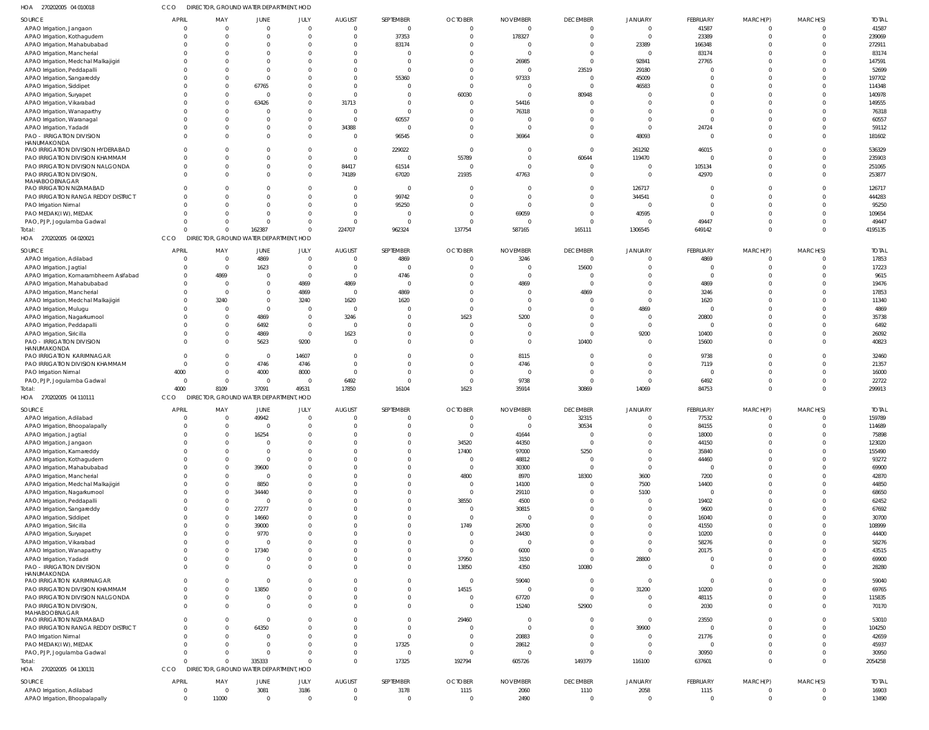| 1OA<br>270202005 04 010018                                           | CCO            | DIRECTOR, GROUND WATER DEPARTMENT, HOD |                      |                      |                                  |                          |                   |                     |                            |                                  |                 |                      |                           |                  |
|----------------------------------------------------------------------|----------------|----------------------------------------|----------------------|----------------------|----------------------------------|--------------------------|-------------------|---------------------|----------------------------|----------------------------------|-----------------|----------------------|---------------------------|------------------|
| SOURCE                                                               | APRIL          | MAY                                    | JUNE                 | JULY                 | <b>AUGUST</b>                    | SEPTEMBER                | <b>OCTOBER</b>    | <b>NOVEMBER</b>     | <b>DECEMBER</b>            | <b>JANUARY</b>                   | FEBRUARY        | MARCH(P)             | MARCH(S)                  | <b>TOTAL</b>     |
| APAO Irrigation, Jangaon                                             | $\Omega$       | $\overline{0}$                         | $\mathbf 0$          | $\Omega$             | $\overline{0}$                   | $\mathbf{0}$             | $\Omega$          | $\Omega$            | $\overline{0}$             | $\overline{0}$                   | 41587           | $\Omega$             | $\mathbf 0$               | 41587            |
| APAO Irrigation, Kothagudem                                          |                | $\mathbf 0$                            | $\Omega$             | $\Omega$             | $\overline{0}$                   | 37353                    | $\Omega$          | 178327              | $\overline{0}$             | $\overline{0}$                   | 23389           | $\Omega$             | $\mathbf 0$               | 239069           |
| APAO Irrigation, Mahabubabad                                         |                | $\Omega$                               | $\Omega$             | - 0                  | $^{\circ}$                       | 83174                    |                   |                     | 0                          | 23389                            | 166348          | - 0                  | $\Omega$                  | 272911           |
| APAO Irrigation, Mancherial<br>APAO Irrigation, Medchal Malkajigiri  |                | 0                                      | 0<br>0               |                      | $^{\circ}$<br>$\Omega$           | $\Omega$<br>$\Omega$     |                   | $\sqrt{ }$<br>26985 | $\Omega$<br>$\overline{0}$ | $\overline{0}$<br>92841          | 83174<br>27765  | $\Omega$             | $\Omega$<br>$\Omega$      | 83174<br>147591  |
| APAO Irrigation, Peddapalli                                          |                |                                        | $\Omega$             |                      | -0                               |                          |                   | $\Omega$            | 23519                      | 29180                            |                 |                      | $\Omega$                  | 52699            |
| APAO Irrigation, Sangareddy                                          |                |                                        | $\overline{0}$       |                      | -0                               | 55360                    |                   | 97333               | $\overline{0}$             | 45009                            | $\Omega$        | $\Omega$             | $\Omega$                  | 197702           |
| APAO Irrigation, Siddipet                                            |                | $\Omega$                               | 67765                |                      | - 0                              | $\Omega$                 |                   | - 0                 | $\Omega$                   | 46583                            | $\cap$          |                      | $\Omega$                  | 114348           |
| APAO Irrigation, Suryapet                                            |                | 0                                      | $\overline{0}$       |                      | $\overline{0}$                   | $\Omega$                 | 60030             | $\Omega$            | 80948                      | $\Omega$                         | $\Omega$        | $\Omega$             | 0                         | 140978           |
| APAO Irrigation, Vikarabad                                           |                | $\Omega$                               | 63426                | $\Omega$             | 31713                            | $\Omega$                 | $\Omega$          | 54416               | $\Omega$                   | $\Omega$                         | $\cap$          |                      | $^{\circ}$                | 149555           |
| APAO Irrigation, Wanaparthy                                          |                | 0                                      | $\Omega$             | $\Omega$             | $\overline{0}$                   | $\Omega$                 |                   | 76318               | $\Omega$                   | $\Omega$                         | $\Omega$        | $\Omega$             | $^{\circ}$                | 76318            |
| APAO Irrigation, Waranagal                                           |                | $\Omega$                               | $\Omega$             | $\Omega$             | $\overline{0}$                   | 60557                    |                   |                     | $\Omega$                   | $\overline{0}$                   | $\Omega$        | $\Omega$             | $\Omega$                  | 60557            |
| APAO Irrigation, Yadadri                                             |                | $\Omega$                               | 0                    | $\Omega$             | 34388                            | $\overline{0}$           |                   | $\Omega$            | $\Omega$                   | $\overline{0}$                   | 24724           | $\Omega$             | 0                         | 59112            |
| <b>PAO - IRRIGATION DIVISION</b>                                     | $\Omega$       | $\Omega$                               | $\Omega$             | $\Omega$             | $\overline{0}$                   | 96545                    | $\Omega$          | 36964               | $\Omega$                   | 48093                            | $\Omega$        | $\Omega$             | $\Omega$                  | 181602           |
| HANUMAKONDA                                                          |                |                                        |                      |                      |                                  |                          |                   |                     |                            |                                  |                 |                      |                           |                  |
| PAO IRRIGATION DIVISION HYDERABAD<br>PAO IRRIGATION DIVISION KHAMMAM | $\Omega$       | 0<br>$\Omega$                          | $\Omega$<br>$\Omega$ | - 0<br>$\Omega$      | $\overline{0}$<br>$\overline{0}$ | 229022<br>$\overline{0}$ | $\Omega$<br>55789 | $\Omega$            | $\overline{0}$<br>60644    | 261292<br>119470                 | 46015<br>- 0    | $\Omega$<br>$\Omega$ | 0<br>$\mathbf 0$          | 536329<br>235903 |
| PAO IRRIGATION DIVISION NALGONDA                                     | $\Omega$       | 0                                      | $\Omega$             | $\Omega$             | 84417                            | 61514                    | $\mathbf{0}$      | - 0                 | $\overline{0}$             | $\overline{0}$                   | 105134          | $\Omega$             | $^{\circ}$                | 251065           |
| PAO IRRIGATION DIVISION,                                             | $\Omega$       | $\Omega$                               | $\Omega$             | $\Omega$             | 74189                            | 67020                    | 21935             | 47763               | $\Omega$                   | $\Omega$                         | 42970           | $\Omega$             | $\Omega$                  | 253877           |
| MAHABOOBNAGAR                                                        |                |                                        |                      |                      |                                  |                          |                   |                     |                            |                                  |                 |                      |                           |                  |
| PAO IRRIGATION NIZAMABAD                                             |                | 0                                      | $\Omega$             |                      | $\overline{0}$                   | $\mathbf{0}$             | - 0               |                     | $\Omega$                   | 126717                           | - 0             | $\Omega$             | $\mathbf 0$               | 126717           |
| PAO IRRIGATION RANGA REDDY DISTRICT                                  | $\Omega$       | $\Omega$                               | $\Omega$             | $\Omega$             | $\overline{0}$                   | 99742                    |                   |                     | $\Omega$                   | 344541                           | $\Omega$        | $\Omega$             | $\mathbf 0$               | 444283           |
| PAO Irrigation Nirmal                                                | $\Omega$       |                                        | $\Omega$             |                      | $\mathbf 0$                      | 95250                    |                   | $\Omega$            | $\Omega$                   | $\overline{0}$                   | $\Omega$        | $\Omega$             | $\mathbf 0$               | 95250            |
| PAO MEDAK(IW), MEDAK                                                 |                |                                        | $\Omega$             | $\Omega$             | $\overline{0}$                   | $\Omega$                 | - 0               | 69059               | $\Omega$                   | 40595                            | $\Omega$        | $\Omega$             | $\Omega$                  | 109654           |
| PAO, PJP, Jogulamba Gadwal                                           |                | 0                                      | $\overline{0}$       | $\Omega$             | $\overline{0}$                   | $\Omega$                 | $\Omega$          | $\Omega$            | $\mathbf{0}$               | $\overline{0}$                   | 49447           | $\Omega$             | $\mathbf 0$               | 49447            |
| Total:                                                               | $\cap$         | $\Omega$                               | 162387               |                      | 224707                           | 962324                   | 137754            | 587165              | 165111                     | 1306545                          | 649142          | $\Omega$             | $\Omega$                  | 4195135          |
| HOA 270202005 04 020021                                              | CCO            | DIRECTOR, GROUND WATER DEPARTMENT, HOD |                      |                      |                                  |                          |                   |                     |                            |                                  |                 |                      |                           |                  |
| SOURCE                                                               | <b>APRIL</b>   | MAY                                    | JUNE                 | JULY                 | <b>AUGUST</b>                    | SEPTEMBER                | <b>OCTOBER</b>    | <b>NOVEMBER</b>     | <b>DECEMBER</b>            | <b>JANUARY</b>                   | FEBRUARY        | MARCH(P)             | MARCH(S)                  | <b>TOTAL</b>     |
| APAO Irrigation, Adilabad                                            | $\Omega$       | $\overline{0}$                         | 4869                 | $\Omega$             | $\overline{0}$                   | 4869                     |                   | 3246                | $\overline{0}$             | $\overline{0}$                   | 4869            | $\Omega$             | $\overline{0}$            | 17853            |
| APAO Irrigation, Jagtial                                             | $\Omega$       | $\overline{0}$                         | 1623                 | $\Omega$             | $\overline{0}$                   | $\mathbf 0$              |                   |                     | 15600                      | $\overline{0}$                   | $\Omega$        | $\Omega$             | 0                         | 17223            |
| APAO Irrigation, Komarambheem Asifabad                               | $\Omega$       | 4869                                   | $\overline{0}$       | $\Omega$             | $\overline{0}$                   | 4746                     |                   | - C                 | $\overline{0}$             | $\overline{0}$                   | $\Omega$        | $\Omega$             | 0                         | 9615             |
| APAO Irrigation, Mahabubabad                                         | $\Omega$       | $\overline{0}$                         | 0                    | 4869                 | 4869                             | $\mathbf{0}$             |                   | 4869                | $\Omega$                   | $\overline{0}$                   | 4869            |                      | 0                         | 19476            |
| APAO Irrigation, Mancherial                                          | $\cap$         | $\overline{0}$                         | $\Omega$             | 4869                 | $\overline{0}$                   | 4869                     |                   |                     | 4869                       | $\overline{0}$                   | 3246            |                      | 0                         | 17853            |
| APAO Irrigation, Medchal Malkajigiri                                 | $\Omega$       | 3240                                   | 0                    | 3240                 | 1620                             | 1620                     |                   |                     | $\Omega$                   | $\overline{0}$                   | 1620            |                      | 0                         | 11340            |
| APAO Irrigation, Mulugu                                              | $\cap$         | $\mathbf 0$                            | 0                    | - 0                  | $\overline{0}$                   | $\overline{0}$           |                   |                     | $\Omega$                   | 4869                             | $\Omega$        |                      | 0                         | 4869             |
| APAO Irrigation, Nagarkurnool                                        | $\Omega$       | $\mathbf 0$                            | 4869                 | $\Omega$             | 3246                             | $\Omega$                 | 1623              | 5200                | $\Omega$                   | $\overline{0}$                   | 20800           | $\Omega$             | 0                         | 35738            |
| APAO Irrigation, Peddapalli                                          |                | $\Omega$<br>0                          | 6492                 | $\Omega$<br>$\Omega$ | $\overline{0}$<br>1623           | $\Omega$<br>$\Omega$     |                   |                     | $\Omega$<br>$\overline{0}$ | $\overline{0}$                   | $\Omega$        | $\Omega$             | 0                         | 6492<br>26092    |
| APAO Irrigation, Siricilla<br><b>PAO - IRRIGATION DIVISION</b>       | $\Omega$       | 0                                      | 4869<br>5623         | 9200                 | $\overline{0}$                   | $\Omega$                 |                   | $\Omega$            | 10400                      | 9200<br>$\overline{0}$           | 10400<br>15600  | $\Omega$             | $^{\circ}$<br>$^{\circ}$  | 40823            |
| HANUMAKONDA                                                          |                |                                        |                      |                      |                                  |                          |                   |                     |                            |                                  |                 |                      |                           |                  |
| PAO IRRIGATION KARIMNAGAR                                            | $\Omega$       | $\Omega$                               | $\overline{0}$       | 14607                | - 0                              | $\mathbf 0$              |                   | 8115                | $\overline{0}$             | $\overline{0}$                   | 9738            | $\Omega$             | 0                         | 32460            |
| PAO IRRIGATION DIVISION KHAMMAM                                      | $\Omega$       | $\Omega$                               | 4746                 | 4746                 | $\overline{0}$                   | $\Omega$                 |                   | 4746                | $\Omega$                   | $\overline{0}$                   | 7119            | $\Omega$             | $\mathbf 0$               | 21357            |
| PAO Irrigation Nirmal                                                | 4000           | $\Omega$                               | 4000                 | 8000                 | $\overline{0}$                   | $\Omega$                 |                   | $\mathcal{C}$       | $\overline{0}$             | $\overline{0}$                   | $\Omega$        | $\Omega$             | $\mathbf 0$               | 16000            |
| PAO, PJP, Jogulamba Gadwal                                           | $\Omega$       | $\mathbf{0}$                           | $\overline{0}$       | - 0                  | 6492                             | $\Omega$                 | - 0               | 9738                | $\overline{0}$             | $\overline{0}$                   | 6492            | $\Omega$             | 0                         | 22722            |
|                                                                      | 4000           | 8109                                   | 37091                | 49531                | 17850                            | 16104                    | 1623              | 35914               | 30869                      | 14069                            | 84753           | $\Omega$             | $\Omega$                  | 299913           |
| HOA 270202005 04 110111                                              | CCO            | DIRECTOR, GROUND WATER DEPARTMENT, HOD |                      |                      |                                  |                          |                   |                     |                            |                                  |                 |                      |                           |                  |
| SOURCE                                                               | APRIL          | MAY                                    | JUNE                 | JULY                 | <b>AUGUST</b>                    | SEPTEMBER                | <b>OCTOBER</b>    | <b>NOVEMBER</b>     | <b>DECEMBER</b>            | <b>JANUARY</b>                   | <b>FEBRUARY</b> | MARCH(P)             | MARCH(S)                  | <b>TOTAL</b>     |
| APAO Irrigation, Adilabad                                            | $\Omega$       | $\overline{0}$                         | 49942                | $\overline{0}$       | $\overline{0}$                   | $\Omega$                 | $\cap$            | $\Omega$            | 32315                      | $\Omega$                         | 77532           |                      | $\overline{0}$            | 159789           |
| APAO Irrigation, Bhoopalapally                                       |                |                                        | $\overline{0}$       |                      | $\Omega$                         | $\Omega$                 | $\Omega$          | $\Omega$            | 30534                      | $\overline{0}$                   | 84155           | $\Omega$             | $\mathbf 0$               | 114689           |
| APAO Irrigation, Jagtial                                             | $\Omega$       | $\Omega$                               | 16254                |                      | $^{\circ}$                       | $\Omega$                 | $\Omega$          | 41644               | 0                          | $\overline{0}$                   | 18000           | $\Omega$             | $\mathbf 0$               | 75898            |
| APAO Irrigation, Jangaon                                             | $\Omega$       | $\Omega$                               | $\Omega$             |                      | -0                               | $\mathbf 0$              | 34520             | 44350               | $\overline{0}$             | $\overline{0}$                   | 44150           | $\Omega$             | $^{\circ}$                | 123020           |
| APAO Irrigation, Kamareddy                                           |                |                                        | $\Omega$             |                      | $\Omega$                         | $\Omega$                 | 17400             | 97000               | 5250                       | $\overline{0}$                   | 35840           | $\Omega$             | $\Omega$                  | 155490           |
| APAO Irrigation, Kothagudem                                          |                |                                        | $\overline{0}$       |                      | $\Omega$                         | $\Omega$                 | - 0               | 48812               | $\overline{0}$             | $\overline{0}$                   | 44460           | - 0                  | $^{\circ}$                | 93272            |
| APAO Irrigation, Mahabubabad                                         |                | $\Omega$                               | 39600                |                      | $\Omega$                         | $\Omega$                 | $\overline{0}$    | 30300               | 0                          | $\overline{0}$                   | $\Omega$        |                      | $\mathbf 0$               | 69900            |
| APAO Irrigation, Mancherial                                          |                |                                        | $\overline{0}$       |                      | $\Omega$                         | $\Omega$                 | 4800              | 8970                | 18300                      | 3600                             | 7200            | $\Omega$             | $^{\circ}$                | 42870            |
| APAO Irrigation, Medchal Malkajigiri                                 |                |                                        | 8850                 |                      | $\Omega$                         | $\Omega$                 | $\overline{0}$    | 14100               | $\overline{0}$             | 7500                             | 14400           | $\Omega$             | $\mathbf 0$               | 44850            |
| APAO Irrigation, Nagarkurnool                                        |                |                                        | 34440                |                      | $\Omega$                         | $\Omega$                 | $\overline{0}$    | 29110               | $\Omega$                   | 5100                             | $\overline{0}$  | $\Omega$             | $\mathbf 0$               | 68650            |
| APAO Irrigation, Peddapalli<br>APAO Irrigation, Sangareddy           | $\Omega$       | 0                                      | 0<br>27277           |                      | $\Omega$<br>$\Omega$             | $\Omega$<br>$\Omega$     | 38550<br>$\Omega$ | 4500<br>30815       | $\Omega$<br>$\Omega$       | $\overline{0}$<br>$\overline{0}$ | 19402<br>9600   | $\Omega$             | $\mathbf 0$<br>$^{\circ}$ | 62452<br>67692   |
|                                                                      |                |                                        | 14660                |                      | $\Omega$                         | $\Omega$                 | $\Omega$          | $\Omega$            | $\Omega$                   | $\overline{0}$                   | 16040           | $\Omega$             | $\mathbf 0$               | 30700            |
| APAO Irrigation, Siddipet<br>APAO Irrigation, Siricilla              |                |                                        | 39000                |                      | $\Omega$                         | $\Omega$                 | 1749              | 26700               | $\Omega$                   | $\overline{0}$                   | 41550           | $\Omega$             | $^{\circ}$                | 108999           |
| APAO Irrigation, Suryapet                                            | $\Omega$       |                                        | 9770                 |                      | $\Omega$                         | $\Omega$                 | 0                 | 24430               | $\Omega$                   | $\overline{0}$                   | 10200           | $\Omega$             | $\Omega$                  | 44400            |
| APAO Irrigation, Vikarabad                                           |                |                                        | 0                    |                      | $\Omega$                         | $\Omega$                 | $\Omega$          | $\Omega$            | $\Omega$                   | $\overline{0}$                   | 58276           | $\Omega$             | $\mathbf 0$               | 58276            |
| APAO Irrigation, Wanaparthy                                          | $\Omega$       | $\Omega$                               | 17340                |                      | $\Omega$                         | $\Omega$                 | $\Omega$          | 6000                | $\Omega$                   | $\overline{0}$                   | 20175           | $\Omega$             | $\mathbf 0$               | 43515            |
| APAO Irrigation, Yadadri                                             | $\Omega$       | 0                                      | 0                    |                      | $^{\circ}$                       | $\mathbf 0$              | 37950             | 3150                | $\overline{0}$             | 28800                            | $\Omega$        | $\Omega$             | $\mathbf 0$               | 69900            |
| PAO - IRRIGATION DIVISION                                            | $\Omega$       | $\Omega$                               | $\Omega$             | $\Omega$             | $\Omega$                         | $\Omega$                 | 13850             | 4350                | 10080                      | $\Omega$                         | $\Omega$        | $\Omega$             | $\mathbf 0$               | 28280            |
| HANUMAKONDA                                                          |                |                                        |                      |                      |                                  |                          |                   |                     |                            |                                  |                 |                      |                           |                  |
| PAO IRRIGATION KARIMNAGAR                                            |                |                                        | $\overline{0}$       |                      | -0                               | $\mathbf 0$              | $\overline{0}$    | 59040               | $\overline{0}$             | $\overline{0}$                   | $\overline{0}$  | $\Omega$             | $\mathbf 0$               | 59040            |
| PAO IRRIGATION DIVISION KHAMMAM                                      | $\Omega$       | $\Omega$                               | 13850                |                      | $\Omega$                         | $\mathbf 0$              | 14515             | - C                 | $\overline{0}$             | 31200                            | 10200           | $\Omega$             | $\mathbf 0$               | 69765            |
| PAO IRRIGATION DIVISION NALGONDA                                     | $\Omega$       | 0                                      | $\mathbf{0}$         | - 0                  | $\mathbf 0$                      | $\mathbf{0}$             | - 0               | 67720               | $\overline{0}$             | $\overline{0}$                   | 48115           | $\Omega$             | $\mathbf 0$               | 115835           |
| PAO IRRIGATION DIVISION,<br>MAHABOOBNAGAR                            | $\Omega$       | $\Omega$                               | $\Omega$             | $\cap$               | $\Omega$                         | $\mathbf 0$              | $\Omega$          | 15240               | 52900                      | $\overline{0}$                   | 2030            | $\Omega$             | $\mathbf 0$               | 70170            |
| PAO IRRIGATION NIZAMABAD                                             |                |                                        | $\overline{0}$       |                      | -0                               | $\Omega$                 | 29460             | - 0                 | 0                          | $\overline{0}$                   | 23550           | $\Omega$             | $\mathbf 0$               | 53010            |
| PAO IRRIGATION RANGA REDDY DISTRICT                                  |                | 0                                      | 64350                |                      | $\Omega$                         | $\Omega$                 | - 0               | $\Omega$            | $\overline{0}$             | 39900                            | - 0             | $\Omega$             | $\mathbf 0$               | 104250           |
| PAO Irrigation Nirmal                                                |                |                                        | $\mathbf{0}$         |                      | $^{\circ}$                       | $\mathbf 0$              | $\Omega$          | 20883               | $\overline{0}$             | $\overline{0}$                   | 21776           | $\Omega$             | $\mathbf 0$               | 42659            |
| PAO MEDAK(IW), MEDAK                                                 | $\cap$         |                                        | $\Omega$             |                      | $\overline{0}$                   | 17325                    | $\Omega$          | 28612               | $\Omega$                   | $\overline{0}$                   | - 0             | $\Omega$             | $^{\circ}$                | 45937            |
| PAO, PJP, Jogulamba Gadwal                                           | $\Omega$       | $\Omega$                               | $\overline{0}$       |                      | $\mathbf 0$                      | $\mathbf 0$              | $\Omega$          | $\Omega$            | $\overline{0}$             | $\overline{0}$                   | 30950           | $\Omega$             | $\mathbf 0$               | 30950            |
| Total:                                                               | $\Omega$       | $\Omega$                               | 335333               | $\Omega$             | $\Omega$                         | 17325                    | 192794            | 605726              | 149379                     | 116100                           | 637601          | $\Omega$             | $\Omega$                  | 2054258          |
| HOA 270202005 04 130131                                              | CCO            | DIRECTOR, GROUND WATER DEPARTMENT, HOD |                      |                      |                                  |                          |                   |                     |                            |                                  |                 |                      |                           |                  |
| SOURCE                                                               | APRIL          | MAY                                    | JUNE                 | JULY                 | <b>AUGUST</b>                    | SEPTEMBER                | <b>OCTOBER</b>    | <b>NOVEMBER</b>     | <b>DECEMBER</b>            | <b>JANUARY</b>                   | FEBRUARY        | MARCH(P)             | MARCH(S)                  | <b>TOTAL</b>     |
| APAO Irrigation, Adilabad                                            | $\overline{0}$ | $\mathbf{0}$                           | 3081                 | 3186                 | $\overline{0}$                   | 3178                     | 1115              | 2060                | 1110                       | 2058                             | 1115            | $\overline{0}$       | $\overline{0}$            | 16903            |
|                                                                      |                |                                        |                      |                      |                                  |                          |                   |                     |                            |                                  |                 |                      |                           | 13490            |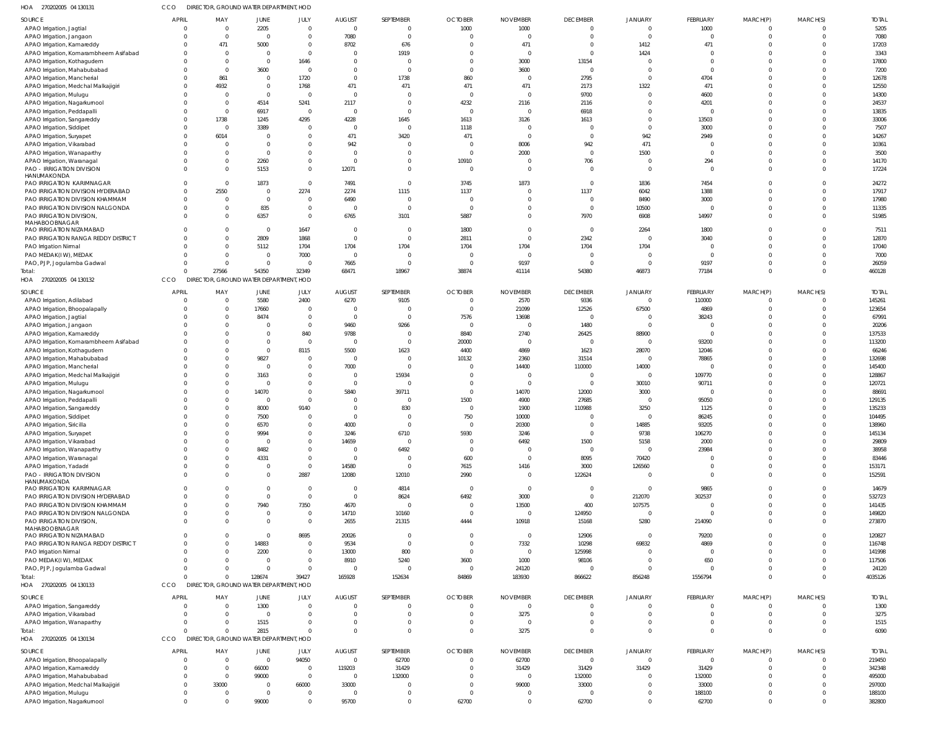| HOA 270202005 04 130131                                               | CCO                  |                            | DIRECTOR, GROUND WATER DEPARTMENT, HOD |                               |                              |                                  |                            |                          |                                   |                            |                            |                             |                            |                        |
|-----------------------------------------------------------------------|----------------------|----------------------------|----------------------------------------|-------------------------------|------------------------------|----------------------------------|----------------------------|--------------------------|-----------------------------------|----------------------------|----------------------------|-----------------------------|----------------------------|------------------------|
| SOURCE                                                                | <b>APRIL</b>         | MAY                        | <b>JUNE</b>                            | JULY                          | <b>AUGUST</b>                | SEPTEMBER                        | <b>OCTOBER</b>             | <b>NOVEMBER</b>          | <b>DECEMBER</b>                   | <b>JANUARY</b>             | FEBRUARY                   | MARCH(P)                    | MARCH(S)                   | <b>TOTAL</b>           |
| APAO Irrigation, Jagtial                                              |                      | $\overline{0}$             | 2205                                   | $\overline{0}$                | $\mathbf 0$                  | $\Omega$                         | 1000                       | 1000                     | $\overline{0}$                    | $\overline{0}$             | 1000                       | $\mathbf 0$                 | $\overline{0}$             | 5205                   |
| APAO Irrigation, Jangaon                                              |                      | $\Omega$                   | $\overline{0}$                         | $\mathbf 0$                   | 7080                         | $\Omega$                         | $\Omega$                   | $\Omega$                 | $\overline{0}$                    | $\Omega$                   | $\mathbf 0$                | $\mathbf 0$                 | $\overline{0}$             | 7080                   |
| APAO Irrigation, Kamareddy                                            | $\Omega$             | 471<br>$\Omega$            | 5000                                   | $\mathbf 0$                   | 8702<br>$\Omega$             | 676                              | $\Omega$                   | 471                      | $\overline{0}$<br>$\Omega$        | 1412                       | 471                        | $\mathbf 0$<br>$\Omega$     | $\Omega$<br>$\Omega$       | 17203                  |
| APAO Irrigation, Komarambheem Asifabad<br>APAO Irrigation, Kothagudem | $\Omega$             | $\Omega$                   | $\overline{0}$<br>$\overline{0}$       | $\mathbf 0$<br>1646           | $\Omega$                     | 1919<br>$\Omega$                 | $\Omega$                   | 3000                     | 13154                             | 1424<br>0                  | $\Omega$<br>$\mathbf 0$    | $\Omega$                    | $\Omega$                   | 3343<br>17800          |
| APAO Irrigation, Mahabubabad                                          |                      | $\Omega$                   | 3600                                   | $\overline{0}$                | $\Omega$                     | $\Omega$                         | $\Omega$                   | 3600                     | $\overline{0}$                    | $\overline{0}$             | $\mathbf 0$                | $\Omega$                    | $\Omega$                   | 7200                   |
| APAO Irrigation, Mancherial                                           |                      | 861                        | $\overline{0}$                         | 1720                          | $\Omega$                     | 1738                             | 860                        | $\Omega$                 | 2795                              | $\overline{0}$             | 4704                       | $\Omega$                    | $\Omega$                   | 12678                  |
| APAO Irrigation, Medchal Malkajigiri                                  |                      | 4932                       | $\overline{0}$                         | 1768                          | 471                          | 471                              | 471                        | 471                      | 2173                              | 1322                       | 471                        | $\Omega$                    | $\Omega$                   | 12550                  |
| APAO Irrigation, Mulugu                                               |                      |                            | $\overline{0}$                         | $\circ$                       | $\Omega$                     | $\Omega$                         | $\Omega$                   | $\Omega$                 | 9700                              | $\mathbf 0$                | 4600                       | $\Omega$                    | $\Omega$                   | 14300                  |
| APAO Irrigation, Nagarkurnool<br>APAO Irrigation, Peddapalli          | $\Omega$             | $\Omega$<br>$\overline{0}$ | 4514<br>6917                           | 5241<br>$\overline{0}$        | 2117<br>$\Omega$             | $\Omega$<br>$\Omega$             | 4232<br>$\Omega$           | 2116<br>$\Omega$         | 2116<br>6918                      | $\mathbf 0$<br>$\mathbf 0$ | 4201<br>0                  | $\Omega$<br>$\Omega$        | $\Omega$<br>$\Omega$       | 24537<br>13835         |
| APAO Irrigation, Sangareddy                                           |                      | 1738                       | 1245                                   | 4295                          | 4228                         | 1645                             | 1613                       | 3126                     | 1613                              | $\overline{0}$             | 13503                      | $\Omega$                    | $\Omega$                   | 33006                  |
| APAO Irrigation, Siddipet                                             |                      | $\overline{0}$             | 3389                                   | $\mathbf{0}$                  | $\Omega$                     | $\overline{0}$                   | 1118                       | $\Omega$                 | $\overline{0}$                    | $\overline{0}$             | 3000                       | $\Omega$                    | $\Omega$                   | 7507                   |
| APAO Irrigation, Suryapet                                             | $\Omega$             | 6014                       | $\overline{0}$                         | $\mathbf 0$                   | 471                          | 3420                             | 471                        | $\Omega$                 | $\overline{0}$                    | 942                        | 2949                       | $\Omega$                    | $\Omega$                   | 14267                  |
| APAO Irrigation, Vikarabad                                            | $\Omega$             |                            | $\overline{0}$                         | $\mathbf 0$                   | 942                          | $\Omega$                         | $\Omega$                   | 8006                     | 942                               | 471                        | -0                         | $\Omega$                    | $\Omega$                   | 10361                  |
| APAO Irrigation, Wanaparthy                                           | $\Omega$             | $\Omega$                   | $\overline{0}$                         | $\mathbf 0$                   | $\Omega$                     | $\Omega$                         | $\Omega$                   | 2000                     | $\overline{0}$                    | 1500                       | $\mathbf 0$                | $\Omega$                    | $\Omega$                   | 3500                   |
| APAO Irrigation, Waranagal                                            | $\Omega$             | $\Omega$<br>$\Omega$       | 2260                                   | $\mathbf 0$                   | $\mathbf 0$                  | $\overline{0}$<br>$\Omega$       | 10910<br>$\Omega$          | $\Omega$<br>$\Omega$     | 706<br>$\Omega$                   | $\overline{0}$             | 294<br>$\Omega$            | $\mathbf 0$<br>$\Omega$     | $\Omega$<br>$\Omega$       | 14170                  |
| <b>PAO - IRRIGATION DIVISION</b><br>HANUMAKONDA                       |                      |                            | 5153                                   | $\mathbf{0}$                  | 12071                        |                                  |                            |                          |                                   | $\overline{0}$             |                            |                             |                            | 17224                  |
| PAO IRRIGATION KARIMNAGAR                                             |                      | $\Omega$                   | 1873                                   | $\overline{0}$                | 7491                         | $\Omega$                         | 3745                       | 1873                     | $\overline{0}$                    | 1836                       | 7454                       | $\Omega$                    | $\Omega$                   | 24272                  |
| PAO IRRIGATION DIVISION HYDERABAD                                     | $\Omega$             | 2550                       | $\overline{0}$                         | 2274                          | 2274                         | 1115                             | 1137                       |                          | 1137                              | 6042                       | 1388                       | $\mathbf 0$                 | $\Omega$                   | 17917                  |
| PAO IRRIGATION DIVISION KHAMMAM                                       | $\Omega$             |                            | $\overline{0}$                         | $\mathbf 0$                   | 6490                         | $\overline{0}$                   | $\overline{0}$             | $\Omega$                 | $\overline{0}$                    | 8490                       | 3000                       | $\mathbf 0$                 | $\Omega$                   | 17980                  |
| PAO IRRIGATION DIVISION NALGONDA<br>PAO IRRIGATION DIVISION,          | $\Omega$<br>$\Omega$ | $\Omega$<br>$\Omega$       | 835<br>6357                            | $\mathbf 0$<br>$\mathbf 0$    | $\mathbf 0$<br>6765          | $\Omega$<br>3101                 | $\Omega$<br>5887           | <sup>0</sup><br>$\Omega$ | $\overline{0}$<br>7970            | 10500<br>6908              | - (<br>14997               | $\Omega$<br>$\mathbf{0}$    | $\Omega$<br>$\Omega$       | 11335<br>51985         |
| MAHABOOBNAGAR                                                         |                      |                            |                                        |                               |                              |                                  |                            |                          |                                   |                            |                            |                             |                            |                        |
| PAO IRRIGATION NIZAMABAD                                              | $\Omega$             | $\Omega$                   | $\overline{\mathbf{0}}$                | 1647                          | $\mathbf 0$                  | $\overline{0}$                   | 1800                       | $\Omega$                 | $\overline{0}$                    | 2264                       | 1800                       | $\mathbf 0$                 | $\Omega$                   | 7511                   |
| PAO IRRIGATION RANGA REDDY DISTRICT                                   |                      | $\Omega$                   | 2809                                   | 1868                          | $\Omega$                     | $\overline{0}$                   | 2811                       | $\Omega$                 | 2342                              | $\mathbf 0$                | 3040                       | $\Omega$                    | $\Omega$                   | 12870                  |
| PAO Irrigation Nirmal<br>PAO MEDAK(IW), MEDAK                         | $\Omega$             | $\Omega$<br>$\Omega$       | 5112<br>$\overline{0}$                 | 1704<br>7000                  | 1704<br>$\mathbf 0$          | 1704<br>$\overline{0}$           | 1704<br>$\overline{0}$     | 1704<br>$\Omega$         | 1704<br>$\overline{0}$            | 1704<br>$\overline{0}$     | 0<br>0                     | $\Omega$<br>$\Omega$        | $\Omega$<br>$\Omega$       | 17040<br>7000          |
| PAO, PJP, Jogulamba Gadwal                                            | $\Omega$             | $\Omega$                   | $\overline{0}$                         | $\overline{0}$                | 7665                         | $\Omega$                         | $\overline{0}$             | 9197                     | $\overline{0}$                    | $\Omega$                   | 9197                       | $\mathbf 0$                 | $\Omega$                   | 26059                  |
| Total:                                                                | $\Omega$             | 27566                      | 54350                                  | 32349                         | 68471                        | 18967                            | 38874                      | 41114                    | 54380                             | 46873                      | 77184                      | $\mathbf 0$                 | $\Omega$                   | 460128                 |
| HOA 270202005 04 130132                                               | CCO                  |                            | DIRECTOR, GROUND WATER DEPARTMENT, HOD |                               |                              |                                  |                            |                          |                                   |                            |                            |                             |                            |                        |
| SOURCE                                                                | <b>APRIL</b>         | MAY                        | <b>JUNE</b>                            | JULY                          | <b>AUGUST</b>                | SEPTEMBER                        | <b>OCTOBER</b>             | <b>NOVEMBER</b>          | <b>DECEMBER</b>                   | <b>JANUARY</b>             | FEBRUARY                   | MARCH(P)                    | MARCH(S)                   | <b>TOTAL</b>           |
| APAO Irrigation, Adilabad                                             |                      |                            | 5580                                   | 2400                          | 6270                         | 9105                             | $^{\circ}$                 | 2570                     | 9336                              | $\overline{0}$             | 110000                     | $^{\circ}$                  | $\overline{0}$             | 145261                 |
| APAO Irrigation, Bhoopalapally                                        |                      | $\mathbf 0$                | 17660                                  | $\overline{0}$                | $\Omega$                     | $\Omega$                         | $\overline{0}$             | 21099                    | 12526                             | 67500                      | 4869                       | $\mathbf 0$                 | $\Omega$                   | 123654                 |
| APAO Irrigation, Jagtial                                              |                      | $\mathbf 0$                | 8474                                   | $\overline{0}$                | $\mathbf 0$                  | $\Omega$                         | 7576                       | 13698                    | $\overline{0}$                    | $\mathbf 0$                | 38243                      | $\mathbf 0$                 | $\Omega$                   | 67991                  |
| APAO Irrigation, Jangaon                                              |                      | $\Omega$                   | $\mathbf{0}$                           | $\mathbf 0$                   | 9460                         | 9266                             | $\overline{0}$             | $\Omega$                 | 1480                              | $\overline{0}$             | $\mathbf 0$                | $\mathbf 0$                 | $\Omega$                   | 20206                  |
| APAO Irrigation, Kamareddy                                            |                      | $\Omega$                   | $\overline{0}$                         | 840                           | 9788                         | $\overline{0}$<br>$\Omega$       | 8840                       | 2740                     | 26425                             | 88900                      | $\mathbf{0}$               | $\mathbf 0$                 | $\Omega$                   | 137533                 |
| APAO Irrigation, Komarambheem Asifabad<br>APAO Irrigation, Kothagudem |                      | <sup>0</sup>               | $\Omega$<br>$\overline{0}$             | $\overline{0}$<br>8115        | $\Omega$<br>5500             | 1623                             | 20000<br>4400              | $\Omega$<br>4869         | $\overline{0}$<br>1623            | $\overline{0}$<br>28070    | 93200<br>12046             | $\mathbf 0$<br>$\mathbf 0$  | $\Omega$<br>$\Omega$       | 113200<br>66246        |
| APAO Irrigation, Mahabubabad                                          |                      | 0                          | 9827                                   | $\mathbf 0$                   | $\Omega$                     | $\overline{0}$                   | 10132                      | 2360                     | 31514                             | $\overline{0}$             | 78865                      | $\mathbf 0$                 | $\Omega$                   | 132698                 |
| APAO Irrigation, Mancherial                                           |                      | $\Omega$                   | $\overline{0}$                         | $\mathbf 0$                   | 7000                         | $\Omega$                         | $\Omega$                   | 14400                    | 110000                            | 14000                      | 0                          | $\mathbf 0$                 | $\Omega$                   | 145400                 |
| APAO Irrigation, Medchal Malkajigiri                                  |                      | $\Omega$                   | 3163                                   | $\mathbf 0$                   | 0                            | 15934                            | $\Omega$                   | $\Omega$                 | $\overline{0}$                    | $\overline{0}$             | 109770                     | $\mathbf 0$                 | $\Omega$                   | 128867                 |
| APAO Irrigation, Mulugu                                               |                      | 0                          | $\overline{0}$                         | $\mathbf{0}$                  | $\mathbf 0$                  | $\Omega$                         | $\Omega$                   | $\Omega$                 | $\overline{0}$                    | 30010                      | 90711                      | $\Omega$                    | $\Omega$                   | 120721                 |
| APAO Irrigation, Nagarkurnool                                         |                      | 0                          | 14070                                  | $\overline{0}$                | 5840                         | 39711                            | $\Omega$                   | 14070                    | 12000                             | 3000                       | $\mathbf 0$                | $\Omega$                    | $\Omega$                   | 88691                  |
| APAO Irrigation, Peddapalli                                           |                      | $\Omega$                   | $\overline{0}$<br>8000                 | $\overline{0}$<br>9140        | $\Omega$                     | $\Omega$<br>830                  | 1500<br>$\Omega$           | 4900<br>1900             | 27685<br>110988                   | $\Omega$<br>3250           | 95050<br>1125              | $\Omega$<br>$\Omega$        | $\Omega$<br>$\Omega$       | 129135<br>135233       |
| APAO Irrigation, Sangareddy<br>APAO Irrigation, Siddipet              |                      |                            | 7500                                   | -0                            |                              |                                  | 750                        | 10000                    | $\Omega$                          | $\Omega$                   | 86245                      | 0                           |                            | 104495                 |
| APAO Irrigation, Siricilla                                            |                      |                            | 6570                                   | $\mathbf{0}$                  | 4000                         | $\Omega$                         | $\overline{0}$             | 20300                    | $\overline{0}$                    | 14885                      | 93205                      | $\mathbf 0$                 | $\Omega$                   | 138960                 |
| APAO Irrigation, Suryapet                                             |                      | 0                          | 9994                                   | $\mathbf{0}$                  | 3246                         | 6710                             | 5930                       | 3246                     | $\overline{0}$                    | 9738                       | 106270                     | $\mathbf{0}$                | $\Omega$                   | 145134                 |
| APAO Irrigation, Vikarabad                                            |                      | $\Omega$                   | $\overline{0}$                         | $\mathbf 0$                   | 14659                        | $\Omega$                         | $\overline{0}$             | 6492                     | 1500                              | 5158                       | 2000                       | $\mathbf 0$                 | $\Omega$                   | 29809                  |
| APAO Irrigation, Wanaparthy                                           |                      | 0                          | 8482                                   | $\mathbf{0}$                  | $\mathbf 0$                  | 6492                             | $\Omega$                   | $\Omega$                 | $\overline{0}$                    | $\overline{0}$             | 23984                      | $\mathbf 0$                 | $\Omega$                   | 38958                  |
| APAO Irrigation, Waranagal                                            |                      | 0<br>0                     | 4331<br>$\overline{0}$                 | $\mathbf 0$<br>$\mathbf 0$    | $\mathbf 0$                  | $\overline{0}$<br>$\overline{0}$ | 600                        | $\Omega$                 | 8095                              | 70420                      | $\mathbf 0$<br>$\mathbf 0$ | $\mathbf 0$<br>$\mathbf 0$  | $\Omega$<br>$\Omega$       | 83446                  |
| APAO Irrigation, Yadadri<br>PAO - IRRIGATION DIVISION                 |                      | $\Omega$                   | $\overline{0}$                         | 2887                          | 14580<br>12080               | 12010                            | 7615<br>2990               | 1416<br>$\Omega$         | 3000<br>122624                    | 126560<br>$\overline{0}$   | $\mathbf 0$                | $\mathbf{0}$                | $\Omega$                   | 153171<br>152591       |
| HANUMAKONDA                                                           |                      |                            |                                        |                               |                              |                                  |                            |                          |                                   |                            |                            |                             |                            |                        |
| PAO IRRIGATION KARIMNAGAR                                             |                      | 0                          | $\overline{0}$                         | $\mathbf 0$                   | $\mathbf 0$                  | 4814                             | $\overline{0}$             | $\overline{0}$           | $\overline{\mathbf{0}}$           | $\overline{0}$             | 9865                       | $\mathbf{0}$                | $\Omega$                   | 14679                  |
| PAO IRRIGATION DIVISION HYDERABAD                                     | $\Omega$             | $\Omega$<br>0              | $\overline{0}$<br>7940                 | $\mathbf 0$                   | $\mathbf 0$                  | 8624<br>$\overline{0}$           | 6492<br>$\overline{0}$     | 3000                     | $\overline{0}$                    | 212070<br>107575           | 302537<br>$\mathbf 0$      | $\mathbf 0$<br>$\mathbf{0}$ | $\Omega$<br>$\Omega$       | 532723                 |
| PAO IRRIGATION DIVISION KHAMMAM<br>PAO IRRIGATION DIVISION NALGONDA   |                      | $\Omega$                   | $\overline{0}$                         | 7350<br>$\overline{0}$        | 4670<br>14710                | 10160                            | $\overline{0}$             | 13500<br>$\Omega$        | 400<br>124950                     | $\overline{0}$             | $\overline{0}$             | $\mathbf{0}$                | $\Omega$                   | 141435<br>149820       |
| PAO IRRIGATION DIVISION,                                              | $\Omega$             | $\Omega$                   | $\overline{0}$                         | $\mathbf 0$                   | 2655                         | 21315                            | 4444                       | 10918                    | 15168                             | 5280                       | 214090                     | $\mathbf 0$                 | $\Omega$                   | 273870                 |
| MAHABOOBNAGAR                                                         |                      |                            |                                        |                               |                              |                                  |                            |                          |                                   |                            |                            |                             |                            |                        |
| PAO IRRIGATION NIZAMABAD                                              |                      |                            | $\overline{0}$                         | 8695                          | 20026                        | $\overline{0}$<br>$\Omega$       | $\overline{0}$             | $\overline{0}$           | 12906                             | $\overline{0}$             | 79200                      | $\mathbf 0$<br>$\mathbf 0$  | $\Omega$<br>$\Omega$       | 120827                 |
| PAO IRRIGATION RANGA REDDY DISTRICT<br>PAO Irrigation Nirmal          |                      | 0                          | 14883<br>2200                          | $\overline{0}$<br>$\mathbf 0$ | 9534<br>13000                | 800                              | $\overline{0}$<br>$\Omega$ | 7332<br>$\overline{0}$   | 10298<br>125998                   | 69832<br>$\overline{0}$    | 4869<br>$\overline{0}$     | $\mathbf 0$                 | $\Omega$                   | 116748<br>141998       |
| PAO MEDAK(IW), MEDAK                                                  |                      |                            | $\overline{0}$                         | $\mathbf 0$                   | 8910                         | 5240                             | 3600                       | 1000                     | 98106                             | $\overline{0}$             | 650                        | $\mathbf 0$                 | $\Omega$                   | 117506                 |
| PAO, PJP, Jogulamba Gadwal                                            |                      | $\Omega$                   | $\overline{0}$                         | $\mathbf 0$                   | $\mathbf 0$                  | $\Omega$                         | $\overline{0}$             | 24120                    | $\overline{0}$                    | $\overline{0}$             | $\mathbf 0$                | $\mathbf{0}$                | $\Omega$                   | 24120                  |
| Total:                                                                |                      | $\Omega$                   | 128674                                 | 39427                         | 165928                       | 152634                           | 84869                      | 183930                   | 866622                            | 856248                     | 1556794                    | $\mathbf 0$                 | $\Omega$                   | 4035126                |
| HOA 270202005 04 130133                                               | CCO                  |                            | DIRECTOR, GROUND WATER DEPARTMENT, HOD |                               |                              |                                  |                            |                          |                                   |                            |                            |                             |                            |                        |
| SOURCE                                                                | <b>APRIL</b>         | MAY                        | <b>JUNE</b>                            | JULY                          | <b>AUGUST</b>                | SEPTEMBER                        | <b>OCTOBER</b>             | <b>NOVEMBER</b>          | <b>DECEMBER</b>                   | <b>JANUARY</b>             | FEBRUARY                   | MARCH(P)                    | MARCH(S)                   | <b>TOTAL</b>           |
| APAO Irrigation, Sangareddy                                           |                      | $\Omega$                   | 1300                                   | $\overline{0}$                | 0                            | $\Omega$                         | $\Omega$                   | $\Omega$                 | $\overline{0}$                    | $\mathbf 0$                | -0                         | $^{\circ}$                  | $\Omega$                   | 1300                   |
| APAO Irrigation, Vikarabad                                            |                      | $\Omega$                   | $\overline{0}$                         | $\mathbf 0$                   | $\Omega$                     | $\Omega$                         | $\Omega$                   | 3275                     | $\overline{0}$                    | $\Omega$                   | $\Omega$                   | $\mathbf 0$                 | $\Omega$                   | 3275                   |
| APAO Irrigation, Wanaparthy<br>Total:                                 | $\cap$               | $\Omega$<br>$\Omega$       | 1515<br>2815                           | $\mathbf 0$<br>$\mathbf 0$    | $\Omega$<br>$\Omega$         | $\Omega$<br>$\Omega$             | $\Omega$<br>$\Omega$       | $\Omega$<br>3275         | $\overline{0}$<br>$\Omega$        | $\mathbf 0$<br>$\Omega$    | $\mathbf 0$<br>$\Omega$    | $\mathbf 0$<br>$\mathbf 0$  | $\overline{0}$<br>$\Omega$ | 1515<br>6090           |
| HOA 270202005 04 130134                                               | CCO                  |                            | DIRECTOR, GROUND WATER DEPARTMENT, HOD |                               |                              |                                  |                            |                          |                                   |                            |                            |                             |                            |                        |
|                                                                       |                      |                            |                                        |                               |                              |                                  |                            |                          |                                   |                            |                            |                             |                            |                        |
| SOURCE                                                                | <b>APRIL</b>         | MAY<br>0                   | <b>JUNE</b><br>$\overline{0}$          | JULY<br>94050                 | <b>AUGUST</b><br>$\mathbf 0$ | SEPTEMBER<br>62700               | <b>OCTOBER</b><br>0        | <b>NOVEMBER</b><br>62700 | <b>DECEMBER</b><br>$\overline{0}$ | JANUARY<br>$\overline{0}$  | FEBRUARY<br>$\overline{0}$ | MARCH(P)<br>$^{\circ}$      | MARCH(S)<br>$\Omega$       | <b>TOTAL</b><br>219450 |
| APAO Irrigation, Bhoopalapally<br>APAO Irrigation, Kamareddy          |                      | $\mathbf 0$                | 66000                                  | $\overline{0}$                | 119203                       | 31429                            | $\Omega$                   | 31429                    | 31429                             | 31429                      | 31429                      | $\mathbf{0}$                | $\Omega$                   | 342348                 |
| APAO Irrigation, Mahabubabad                                          |                      | $\overline{0}$             | 99000                                  | $\mathbf 0$                   | $\mathbf 0$                  | 132000                           | <sup>0</sup>               | $\Omega$                 | 132000                            | $\mathbf 0$                | 132000                     | $\mathbf 0$                 | $\Omega$                   | 495000                 |
| APAO Irrigation, Medchal Malkajigiri                                  |                      | 33000                      | $\overline{0}$                         | 66000                         | 33000                        | $\Omega$                         | $\Omega$                   | 99000                    | 33000                             | $\overline{0}$             | 33000                      | $\mathbf 0$                 | $\Omega$                   | 297000                 |
| APAO Irrigation, Mulugu                                               | $\Omega$             | 0                          | $\overline{0}$                         | $\mathbf 0$                   | $\mathbf 0$                  | $\Omega$                         | $\Omega$                   | 0                        | $\circ$                           | $\overline{0}$             | 188100                     | $\mathbf 0$                 | $\Omega$                   | 188100                 |
| APAO Irrigation, Nagarkurnool                                         | $\overline{0}$       | $\Omega$                   | 99000                                  | $\mathbf 0$                   | 95700                        | $\overline{0}$                   | 62700                      | $\overline{0}$           | 62700                             | $\overline{0}$             | 62700                      | $\mathbf{0}$                | $\Omega$                   | 382800                 |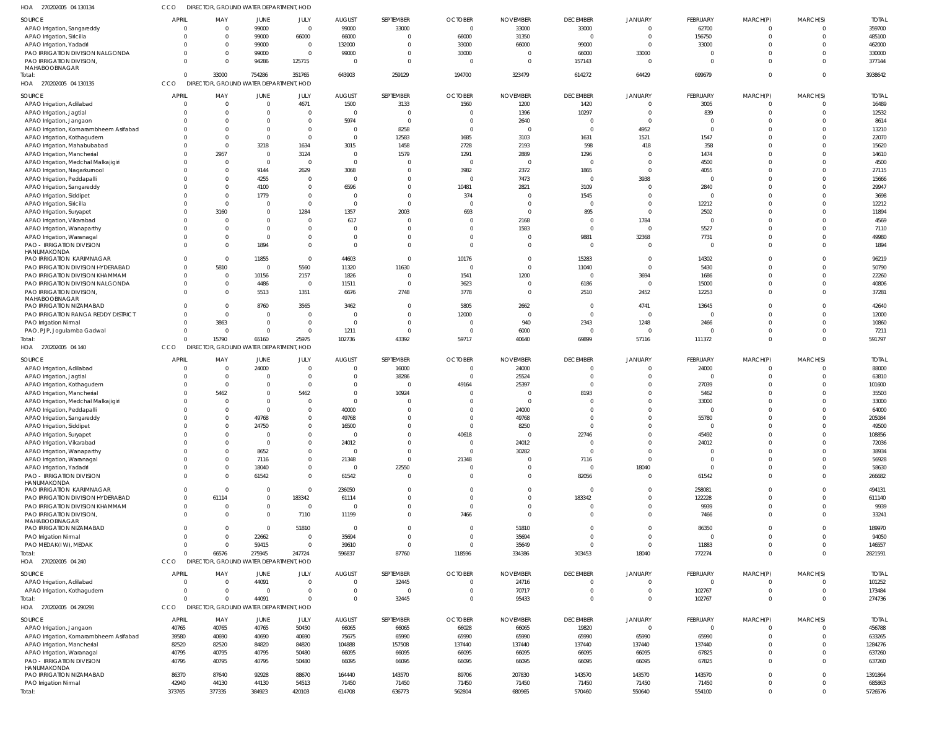| HOA 270202005 04 130134                                             | ссо                        |                      | DIRECTOR, GROUND WATER DEPARTMENT, HOD |                            |                      |                            |                      |                 |                         |                         |                      |                            |                      |                  |
|---------------------------------------------------------------------|----------------------------|----------------------|----------------------------------------|----------------------------|----------------------|----------------------------|----------------------|-----------------|-------------------------|-------------------------|----------------------|----------------------------|----------------------|------------------|
| SOURCE                                                              | <b>APRIL</b>               | MAY                  | JUNE                                   | JULY                       | <b>AUGUST</b>        | SEPTEMBER                  | <b>OCTOBER</b>       | <b>NOVEMBER</b> | <b>DECEMBER</b>         | <b>JANUARY</b>          | FEBRUARY             | MARCH(P)                   | MARCH(S)             | <b>TOTAL</b>     |
| APAO Irrigation, Sangareddy                                         | $\Omega$                   | $\Omega$             | 99000                                  | $\overline{0}$             | 99000                | 33000                      | $\Omega$             | 33000           | 33000                   | $\overline{0}$          | 62700                | $^{\circ}$                 | $\mathbf 0$          | 359700           |
| APAO Irrigation, Siricilla                                          | $\Omega$                   | $\Omega$             | 99000                                  | 66000                      | 66000                | $\mathbf{0}$               | 66000                | 31350           | $\overline{0}$          | $\overline{0}$          | 156750               | $\mathbf 0$                | $\mathbf 0$          | 485100           |
| APAO Irrigation, Yadadri                                            | $\Omega$                   | $\Omega$             | 99000                                  | $\overline{0}$             | 132000               | $\mathbf 0$                | 33000                | 66000           | 99000                   | $\overline{0}$          | 33000                | $\Omega$                   |                      | 462000           |
| PAO IRRIGATION DIVISION NALGONDA<br>PAO IRRIGATION DIVISION,        | $\Omega$<br>$\Omega$       | $\Omega$<br>$\Omega$ | 99000<br>94286                         | $\mathbf 0$<br>125715      | 99000<br>$\Omega$    | $\mathbf 0$<br>$\mathbf 0$ | 33000<br>$\Omega$    | - 0<br>$\Omega$ | 66000<br>157143         | 33000<br>$\Omega$       | $\Omega$<br>$\Omega$ | $\Omega$<br>$\Omega$       | $\Omega$<br>$\Omega$ | 330000<br>377144 |
| MAHABOOBNAGAR                                                       |                            |                      |                                        |                            |                      |                            |                      |                 |                         |                         |                      |                            |                      |                  |
| Total:                                                              | $\Omega$                   | 33000                | 754286                                 | 351765                     | 643903               | 259129                     | 194700               | 323479          | 614272                  | 64429                   | 699679               | $\mathbf 0$                | $\Omega$             | 3938642          |
| HOA 270202005 04 130135                                             | CCO                        |                      | DIRECTOR, GROUND WATER DEPARTMENT, HOD |                            |                      |                            |                      |                 |                         |                         |                      |                            |                      |                  |
| SOURCE                                                              | <b>APRIL</b>               | MAY                  | JUNE                                   | JULY                       | <b>AUGUST</b>        | SEPTEMBER                  | <b>OCTOBER</b>       | <b>NOVEMBER</b> | <b>DECEMBER</b>         | JANUARY                 | FEBRUARY             | MARCH(P)                   | MARCH(S)             | <b>TOTAL</b>     |
| APAO Irrigation, Adilabad                                           | $\overline{0}$             | $\Omega$             | $\mathbf{0}$                           | 4671                       | 1500                 | 3133                       | 1560                 | 1200            | 1420                    | $\overline{0}$          | 3005                 | $\mathbf 0$                | $\mathbf 0$          | 16489            |
| APAO Irrigation, Jagtial                                            | $\Omega$                   | $\Omega$             | 0                                      | $\Omega$                   | $\Omega$             | $\overline{0}$             |                      | 1396            | 10297                   | $\overline{0}$          | 839                  | $\mathbf{0}$               | $\mathbf 0$          | 12532            |
| APAO Irrigation, Jangaon                                            | $\Omega$                   | $\Omega$             | $\Omega$                               | $\mathbf 0$                | 5974                 | $\mathbf{0}$               | $\Omega$             | 2640            | $\overline{0}$          | $\overline{0}$          | $\mathbf 0$          | $\mathbf 0$                | $\Omega$             | 8614             |
| APAO Irrigation, Komarambheem Asifabad                              | $\Omega$                   | $\cap$               | $\Omega$                               | $\mathbf 0$                | $\Omega$             | 8258                       | $\Omega$             | - 0             | $\overline{0}$          | 4952                    | $\mathbf{0}$         | $\Omega$                   | $\Omega$             | 13210            |
| APAO Irrigation, Kothagudem                                         | $\Omega$                   | $\Omega$             | $\Omega$                               | $\Omega$                   | $\Omega$             | 12583                      | 1685                 | 3103            | 1631<br>598             | 1521                    | 1547                 | $\Omega$<br>$\Omega$       | $\Omega$<br>$\Omega$ | 22070            |
| APAO Irrigation, Mahabubabad<br>APAO Irrigation, Mancherial         | $\Omega$<br>$\Omega$       | 2957                 | 3218<br>$\overline{0}$                 | 1634<br>3124               | 3015<br>$\Omega$     | 1458<br>1579               | 2728<br>1291         | 2193<br>2889    | 1296                    | 418<br>$\overline{0}$   | 358<br>1474          | $\Omega$                   | $\Omega$             | 15620<br>14610   |
| APAO Irrigation, Medchal Malkajigiri                                | $\Omega$                   | - 0                  | $\overline{0}$                         | $\mathbf 0$                | $\Omega$             | $\overline{0}$             | $\Omega$             | $\Omega$        | $\overline{0}$          | $\overline{0}$          | 4500                 | $\Omega$                   | $\Omega$             | 4500             |
| APAO Irrigation, Nagarkurnool                                       | $\Omega$                   | $\Omega$             | 9144                                   | 2629                       | 3068                 | $\mathbf 0$                | 3982                 | 2372            | 1865                    | $\overline{0}$          | 4055                 | $\Omega$                   | $\Omega$             | 27115            |
| APAO Irrigation, Peddapalli                                         | $\Omega$                   | $\Omega$             | 4255                                   | $\Omega$                   | $\Omega$             | $\mathbf 0$                | $\Omega$             | 7473            | $\overline{0}$          | 3938                    | $\mathbf{0}$         | $\Omega$                   | $\Omega$             | 15666            |
| APAO Irrigation, Sangareddy                                         | $\Omega$                   | $\Omega$             | 4100                                   | $\Omega$                   | 6596                 | $\mathbf 0$                | 10481                | 2821            | 3109                    | $\overline{0}$          | 2840                 | $\Omega$                   | $\Omega$             | 29947            |
| APAO Irrigation, Siddipet                                           | $\Omega$                   | $\Omega$             | 1779                                   | $\mathbf 0$                |                      | $\mathbf 0$                | 374                  |                 | 1545                    | $\mathbf 0$             | $\mathbf 0$          | $\mathbf 0$                | $\Omega$             | 3698             |
| APAO Irrigation, Siricilla                                          | $\Omega$                   | $\Omega$             | $\overline{0}$                         | $\Omega$                   | $\Omega$             | $\overline{0}$             | $\Omega$             |                 | $\overline{0}$          | $\overline{0}$          | 12212                | $\Omega$                   | $\Omega$             | 12212            |
| APAO Irrigation, Suryapet                                           | $^{\circ}$                 | 3160                 | $\mathbf 0$                            | 1284                       | 1357                 | 2003                       | 693                  | $\cap$          | 895                     | $\overline{0}$          | 2502                 | $\mathbf 0$                | $\Omega$             | 11894            |
| APAO Irrigation, Vikarabad                                          | $\mathbf{0}$               | $\Omega$             | $\Omega$                               | $\Omega$                   | 617                  | $\overline{0}$             |                      | 2168            | $\overline{0}$          | 1784                    | $\overline{0}$       | $\Omega$                   | $\Omega$             | 4569             |
| APAO Irrigation, Wanaparthy                                         | $\Omega$<br>$\Omega$       | $\cap$               | $\Omega$<br>$\Omega$                   | $\Omega$<br>$\Omega$       | $\Omega$<br>$\Omega$ | $\mathbf 0$<br>$\mathbf 0$ |                      | 1583            | $\Omega$<br>9881        | $\Omega$<br>32368       | 5527<br>7731         | $\Omega$<br>$\mathbf 0$    | $\Omega$<br>$\Omega$ | 7110<br>49980    |
| APAO Irrigation, Waranagal<br><b>PAO - IRRIGATION DIVISION</b>      | $\Omega$                   | $\Omega$             | 1894                                   | $\Omega$                   | $\Omega$             | $\mathbf 0$                |                      |                 | $\Omega$                | $\mathbf 0$             | $\overline{0}$       | $\mathbf 0$                | $\Omega$             | 1894             |
| HANUMAKONDA                                                         |                            |                      |                                        |                            |                      |                            |                      |                 |                         |                         |                      |                            |                      |                  |
| PAO IRRIGATION KARIMNAGAR                                           | $\mathbf 0$                | $\Omega$             | 11855                                  | $\mathbf 0$                | 44603                | $\overline{0}$             | 10176                |                 | 15283                   | $\overline{0}$          | 14302                | $\Omega$                   | $\Omega$             | 96219            |
| PAO IRRIGATION DIVISION HYDERABAD                                   | $\mathbf 0$                | 5810                 | $\overline{\mathbf{0}}$                | 5560                       | 11320                | 11630                      | - 0                  |                 | 11040                   | $\overline{0}$          | 5430                 | $\mathbf 0$                | $\Omega$             | 50790            |
| PAO IRRIGATION DIVISION KHAMMAM                                     | $^{\circ}$                 | $\Omega$             | 10156                                  | 2157                       | 1826                 | $\mathbf{0}$               | 1541                 | 1200            | $\overline{0}$          | 3694                    | 1686                 | $\mathbf 0$                | $\Omega$             | 22260            |
| PAO IRRIGATION DIVISION NALGONDA                                    | $\mathbf 0$<br>$\Omega$    | $\Omega$             | 4486<br>5513                           | $\overline{0}$             | 11511                | $\overline{0}$<br>2748     | 3623                 |                 | 6186                    | $\overline{0}$          | 15000                | $\mathbf 0$<br>$\mathbf 0$ | $\Omega$<br>$\Omega$ | 40806            |
| PAO IRRIGATION DIVISION,<br>MAHABOOBNAGAR                           |                            |                      |                                        | 1351                       | 6676                 |                            | 3778                 |                 | 2510                    | 2452                    | 12253                |                            |                      | 37281            |
| PAO IRRIGATION NIZAMABAD                                            | $\mathbf{0}$               | $\Omega$             | 8760                                   | 3565                       | 3462                 | $\mathbf{0}$               | 5805                 | 2662            | $\overline{0}$          | 4741                    | 13645                | $\mathbf{0}$               | $\Omega$             | 42640            |
| PAO IRRIGATION RANGA REDDY DISTRICT                                 | $\Omega$                   | $\Omega$             | $\overline{0}$                         | $\Omega$                   | $\Omega$             | $\mathbf 0$                | 12000                | - 0             | $\overline{0}$          | $\overline{0}$          | $\mathbf 0$          | $\Omega$                   | $\Omega$             | 12000            |
| PAO Irrigation Nirmal                                               | $\mathbf{0}$               | 3863                 | $\mathbf 0$                            | $\mathbf 0$                | $\Omega$             | $\mathbf 0$                | - 0                  | 940             | 2343                    | 1248                    | 2466                 | $\mathbf 0$                | $\Omega$             | 10860            |
| PAO, PJP, Jogulamba Gadwal                                          | $\Omega$                   | $\Omega$             | $\Omega$                               | $\mathbf 0$                | 1211                 | $\overline{0}$             | $\Omega$             | 6000            | $\overline{0}$          | $\overline{0}$          | 0                    | $\mathbf 0$                | $\Omega$             | 7211             |
| Total:                                                              | $\Omega$                   | 15790                | 65160                                  | 25975                      | 102736               | 43392                      | 59717                | 40640           | 69899                   | 57116                   | 111372               | $\mathbf 0$                | $\Omega$             | 591797           |
| HOA 270202005 04 140                                                | CCO                        |                      | DIRECTOR, GROUND WATER DEPARTMENT, HOD |                            |                      |                            |                      |                 |                         |                         |                      |                            |                      |                  |
| SOURCE                                                              | APRIL                      | MAY                  | JUNE                                   | JULY                       | <b>AUGUST</b>        | SEPTEMBER                  | <b>OCTOBER</b>       | <b>NOVEMBER</b> | <b>DECEMBER</b>         | <b>JANUARY</b>          | FEBRUARY             | MARCH(P)                   | MARCH(S)             | <b>TOTAL</b>     |
| APAO Irrigation, Adilabad                                           | $\mathbf{0}$               | $\Omega$             | 24000                                  | $\mathbf 0$                | $\Omega$             | 16000                      |                      | 24000           | $\overline{0}$          | $\overline{0}$          | 24000                | $\Omega$                   | $\Omega$             | 88000            |
| APAO Irrigation, Jagtial                                            | $\Omega$                   | $\overline{0}$       | $\overline{0}$                         | $\mathbf 0$                | $\Omega$             | 38286                      | $\Omega$             | 25524           | $\overline{0}$          | $\overline{0}$          | 0                    | $\mathbf 0$                | $\Omega$             | 63810            |
| APAO Irrigation, Kothagudem                                         | $\Omega$<br>$\Omega$       | $\Omega$<br>5462     | $\Omega$<br>$\Omega$                   | $\Omega$<br>5462           | $\Omega$<br>$\Omega$ | $\mathbf 0$<br>10924       | 49164                | 25397           | $\Omega$<br>8193        | $\Omega$<br>$\Omega$    | 27039<br>5462        | $\Omega$<br>$\Omega$       |                      | 101600<br>35503  |
| APAO Irrigation, Mancherial<br>APAO Irrigation, Medchal Malkajigiri | 0                          |                      | $\Omega$                               | $\Omega$                   | $\Omega$             | $\Omega$                   |                      | $\cap$          | $\Omega$                | $\Omega$                | 33000                | $\Omega$                   |                      | 33000            |
| APAO Irrigation, Peddapalli                                         | $\Omega$                   | $\Omega$             | $\Omega$                               | $\mathbf 0$                | 40000                | $\mathbf 0$                | $\Omega$             | 24000           | $\Omega$                | $\Omega$                | $\cup$               | $\Omega$                   |                      | 64000            |
| APAO Irrigation, Sangareddy                                         | $\Omega$                   | $\Omega$             | 49768                                  | $\mathbf 0$                | 49768                | $\Omega$                   | $\overline{0}$       | 49768           | $\Omega$                | $\Omega$                | 55780                | $\cap$                     | $\mathbf 0$          | 205084           |
| APAO Irrigation, Siddipet                                           | $\mathbf{0}$               |                      | 24750                                  | $\Omega$                   | 16500                | $\mathbf 0$                | $\Omega$             | 8250            | $\overline{0}$          | $\overline{0}$          | $\mathbf 0$          | $\mathbf 0$                |                      | 49500            |
| APAO Irrigation, Suryapet                                           | $\mathbf{0}$               | $\Omega$             | $\overline{0}$                         | $\mathbf 0$                | $\Omega$             | $\mathbf 0$                | 40618                | $\Omega$        | 22746                   | $\mathbf 0$             | 45492                | $\mathbf 0$                | $\Omega$             | 108856           |
| APAO Irrigation, Vikarabad                                          | $\Omega$                   | $\Omega$             | $\overline{0}$                         | $\mathbf 0$                | 24012                | $\mathbf 0$                | $\Omega$             | 24012           | $\overline{\mathbf{0}}$ | $\mathbf{0}$            | 24012                | $\mathbf 0$                | $\Omega$             | 72036            |
| APAO Irrigation, Wanaparthy                                         | $\Omega$                   | $\Omega$             | 8652                                   | $\mathbf 0$                | $\Omega$             | $\mathbf 0$                | $\Omega$             | 30282           | 0                       | $\overline{0}$          | $\Omega$             | $\Omega$                   | $\Omega$             | 38934            |
| APAO Irrigation, Waranagal                                          | $^{\circ}$                 | $\Omega$             | 7116                                   | $\mathbf 0$                | 21348                | $\overline{0}$             | 21348                |                 | 7116                    | $\overline{0}$          | $\mathbf 0$          | $\Omega$                   |                      | 56928            |
| APAO Irrigation, Yadadri<br><b>PAO - IRRIGATION DIVISION</b>        | $\mathbf 0$<br>$\mathbf 0$ | $\Omega$<br>$\Omega$ | 18040<br>61542                         | $\mathbf 0$<br>$\mathbf 0$ | $\Omega$<br>61542    | 22550<br>$\overline{0}$    | $\Omega$<br>$\Omega$ |                 | $\overline{0}$<br>82056 | 18040<br>$\overline{0}$ | $\mathbf 0$<br>61542 | $\mathbf 0$<br>$\Omega$    | $\Omega$<br>$\Omega$ | 58630<br>266682  |
| HANUMAKONDA                                                         |                            |                      |                                        |                            |                      |                            |                      |                 |                         |                         |                      |                            |                      |                  |
| PAO IRRIGATION KARIMNAGAR                                           | $\mathbf 0$                | $\Omega$             | $\overline{0}$                         | $\mathbf 0$                | 236050               | $\mathbf 0$                | $\Omega$             |                 | 0                       | $\mathbf 0$             | 258081               | $\Omega$                   | $\Omega$             | 494131           |
| PAO IRRIGATION DIVISION HYDERABAD                                   | $\mathbf 0$                | 61114                | $\overline{0}$                         | 183342                     | 61114                | $\mathbf 0$                | $\Omega$             | $\Omega$        | 183342                  | $\mathbf{0}$            | 122228               | $\mathbf 0$                | $\Omega$             | 611140           |
| PAO IRRIGATION DIVISION KHAMMAM                                     | $\mathbf 0$                | $\Omega$             | $\mathbf 0$                            | $\overline{0}$             | $\Omega$             | $\mathbf 0$                | $\Omega$             |                 | 0                       | $\mathbf 0$             | 9939                 | $\mathbf 0$                | $\mathbf 0$          | 9939             |
| PAO IRRIGATION DIVISION,<br>MAHABOOBNAGAR                           | $\mathbf{0}$               | $\Omega$             | $\overline{0}$                         | 7110                       | 11199                | $\mathbf 0$                | 7466                 | $\Omega$        | $\Omega$                | $\mathbf 0$             | 7466                 | $\mathbf{0}$               | $\Omega$             | 33241            |
| PAO IRRIGATION NIZAMABAD                                            | $\mathbf 0$                | $\Omega$             | $\overline{0}$                         | 51810                      | $\Omega$             | $\mathbf{0}$               | $\Omega$             | 51810           | $\Omega$                | $\mathbf 0$             | 86350                | $\Omega$                   | $\Omega$             | 189970           |
| PAO Irrigation Nirmal                                               | $\mathbf{0}$               | $\Omega$             | 22662                                  | $\overline{0}$             | 35694                | $\mathbf 0$                | $\Omega$             | 35694           | $\overline{0}$          | $\overline{0}$          | 0                    | $\mathbf 0$                | $\Omega$             | 94050            |
| PAO MEDAK(IW), MEDAK                                                | $\mathbf 0$                | - 0                  | 59415                                  | $\overline{0}$             | 39610                | $\mathbf{0}$               | $\Omega$             | 35649           | $\mathbf 0$             | $\overline{0}$          | 11883                | $\mathbf 0$                | $\Omega$             | 146557           |
| Total:                                                              | $\Omega$                   | 66576                | 275945                                 | 247724                     | 596837               | 87760                      | 118596               | 334386          | 303453                  | 18040                   | 772274               | $\mathbf 0$                | $\Omega$             | 2821591          |
| HOA 270202005 04 240                                                | CCO                        |                      | DIRECTOR, GROUND WATER DEPARTMENT, HOD |                            |                      |                            |                      |                 |                         |                         |                      |                            |                      |                  |
| SOURCE                                                              | APRIL                      | MAY                  | JUNE                                   | JULY                       | <b>AUGUST</b>        | SEPTEMBER                  | <b>OCTOBER</b>       | <b>NOVEMBER</b> | <b>DECEMBER</b>         | <b>JANUARY</b>          | FEBRUARY             | MARCH(P)                   | MARCH(S)             | <b>TOTAL</b>     |
| APAO Irrigation, Adilabad                                           | 0                          | $\Omega$             | 44091                                  | $\mathbf 0$                | $\mathbf{0}$         | 32445                      |                      | 24716           | $\overline{0}$          | $\mathbf{0}$            | $\overline{0}$       | $^{\circ}$                 | $\Omega$             | 101252           |
| APAO Irrigation, Kothagudem                                         | 0                          | $\Omega$             | $\overline{0}$                         | $\mathbf 0$                | $\mathbf{0}$         | $\mathbf{0}$               | $\Omega$             | 70717           | $\overline{0}$          | $\overline{0}$          | 102767               | $\mathbf 0$                | $\mathbf 0$          | 173484           |
| Total:                                                              | $\Omega$                   | $\cap$               | 44091                                  | $\Omega$                   | $\Omega$             | 32445                      | $\Omega$             | 95433           | $\overline{0}$          | $\overline{0}$          | 102767               | $\mathbf 0$                | $\Omega$             | 274736           |
| HOA 270202005 04 290291                                             | CCO                        |                      | DIRECTOR, GROUND WATER DEPARTMENT, HOD |                            |                      |                            |                      |                 |                         |                         |                      |                            |                      |                  |
| SOURCE                                                              | <b>APRIL</b>               | MAY                  | JUNE                                   | JULY                       | <b>AUGUST</b>        | SEPTEMBER                  | <b>OCTOBER</b>       | <b>NOVEMBER</b> | <b>DECEMBER</b>         | <b>JANUARY</b>          | FEBRUARY             | MARCH(P)                   | MARCH(S)             | <b>TOTAL</b>     |
| APAO Irrigation, Jangaon                                            | 40765                      | 40765                | 40765                                  | 50450                      | 66065                | 66065                      | 66028                | 66065           | 19820                   | $\overline{0}$          | 0                    | $^{\circ}$                 | $\Omega$             | 456788           |
| APAO Irrigation, Komarambheem Asifabad                              | 39580                      | 40690                | 40690                                  | 40690                      | 75675                | 65990                      | 65990                | 65990           | 65990                   | 65990                   | 65990                | $\mathbf 0$                | $\Omega$             | 633265           |
| APAO Irrigation, Mancherial                                         | 82520                      | 82520                | 84820                                  | 84820                      | 104888               | 157508                     | 137440               | 137440          | 137440                  | 137440                  | 137440               | $\mathbf 0$                | $\Omega$             | 1284276          |
| APAO Irrigation, Waranagal                                          | 40795                      | 40795                | 40795                                  | 50480                      | 66095                | 66095                      | 66095                | 66095           | 66095                   | 66095                   | 67825                | $\mathbf 0$                | $\Omega$             | 637260           |
| <b>PAO - IRRIGATION DIVISION</b><br>HANUMAKONDA                     | 40795                      | 40795                | 40795                                  | 50480                      | 66095                | 66095                      | 66095                | 66095           | 66095                   | 66095                   | 67825                | $\Omega$                   | $\Omega$             | 637260           |
| PAO IRRIGATION NIZAMABAD                                            | 86370                      | 87640                | 92928                                  | 88670                      | 164440               | 143570                     | 89706                | 207830          | 143570                  | 143570                  | 143570               | $\mathbf 0$                | $\mathbf 0$          | 1391864          |
| PAO Irrigation Nirmal                                               | 42940                      | 44130                | 44130                                  | 54513                      | 71450                | 71450                      | 71450                | 71450           | 71450                   | 71450                   | 71450                | $\mathbf 0$                | $\mathbf 0$          | 685863           |
| Total:                                                              | 373765                     | 377335               | 384923                                 | 420103                     | 614708               | 636773                     | 562804               | 680965          | 570460                  | 550640                  | 554100               | $\mathbf 0$                | $\Omega$             | 5726576          |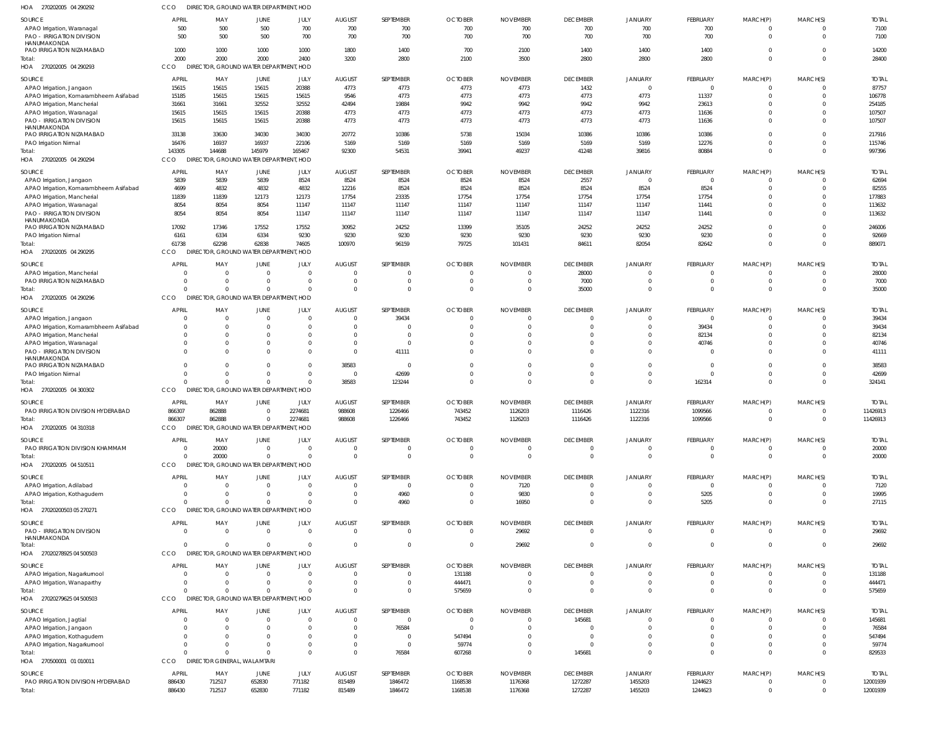| HOA 270202005 04 290292                         | CCO.                |                                    | DIRECTOR, GROUND WATER DEPARTMENT, HOD             |                |                |                |                |                 |                 |                |                |              |                |              |
|-------------------------------------------------|---------------------|------------------------------------|----------------------------------------------------|----------------|----------------|----------------|----------------|-----------------|-----------------|----------------|----------------|--------------|----------------|--------------|
| SOURCE                                          | APRIL               | MAY                                | JUNE                                               | JULY           | <b>AUGUST</b>  | SEPTEMBER      | <b>OCTOBER</b> | <b>NOVEMBER</b> | <b>DECEMBER</b> | <b>JANUARY</b> | FEBRUARY       | MARCH(P)     | MARCH(S)       | <b>TOTAL</b> |
| APAO Irrigation, Waranagal                      | 500                 | 500                                | 500                                                | 700            | 700            | 700            | 700            | 700             | 700             | 700            | 700            | $^{\circ}$   | $\Omega$       | 7100         |
| <b>PAO - IRRIGATION DIVISION</b>                | 500                 | 500                                | 500                                                | 700            | 700            | 700            | 700            | 700             | 700             | 700            | 700            | $\mathbf 0$  | $\mathbf 0$    | 7100         |
| HANUMAKONDA<br>PAO IRRIGATION NIZAMABAD         | 1000                | 1000                               | 1000                                               | 1000           | 1800           | 1400           | 700            | 2100            | 1400            | 1400           | 1400           | $\mathbf 0$  | $\mathbf 0$    | 14200        |
| Total:                                          | 2000                | 2000                               | 2000                                               | 2400           | 3200           | 2800           | 2100           | 3500            | 2800            | 2800           | 2800           | $\mathbf 0$  | $\Omega$       | 28400        |
| HOA 270202005 04 290293                         | CCO                 |                                    | DIRECTOR, GROUND WATER DEPARTMENT, HOD             |                |                |                |                |                 |                 |                |                |              |                |              |
| SOURCE                                          | <b>APRIL</b>        | MAY                                | JUNE                                               | JULY           | <b>AUGUST</b>  | SEPTEMBER      | <b>OCTOBER</b> | <b>NOVEMBER</b> | <b>DECEMBER</b> | JANUARY        | FEBRUARY       | MARCH(P)     | MARCH(S)       | <b>TOTAI</b> |
| APAO Irrigation, Jangaon                        | 15615               | 15615                              | 15615                                              | 20388          | 4773           | 4773           | 4773           | 4773            | 1432            | $\mathbf 0$    | $\mathbf 0$    | $\Omega$     | U              | 87757        |
| APAO Irrigation, Komarambheem Asifabad          | 15185               | 15615                              | 15615                                              | 15615          | 9546           | 4773           | 4773           | 4773            | 4773            | 4773           | 11337          | $\Omega$     | $\Omega$       | 106778       |
| APAO Irrigation, Mancherial                     | 31661               | 31661                              | 32552                                              | 32552          | 42494          | 19884          | 9942           | 9942            | 9942            | 9942           | 23613          | $\Omega$     | 0              | 254185       |
| APAO Irrigation, Waranagal                      | 15615               | 15615                              | 15615                                              | 20388          | 4773           | 4773           | 4773           | 4773            | 4773            | 4773           | 11636          | $\Omega$     | $\Omega$       | 107507       |
| <b>PAO - IRRIGATION DIVISION</b>                | 15615               | 15615                              | 15615                                              | 20388          | 4773           | 4773           | 4773           | 4773            | 4773            | 4773           | 11636          | $\Omega$     | $\Omega$       | 107507       |
| HANUMAKONDA<br>PAO IRRIGATION NIZAMABAD         | 33138               | 33630                              | 34030                                              | 34030          | 20772          | 10386          | 5738           | 15034           | 10386           | 10386          | 10386          | $\Omega$     | $\Omega$       | 217916       |
| PAO Irrigation Nirmal                           | 16476               | 16937                              | 16937                                              | 22106          | 5169           | 5169           | 5169           | 5169            | 5169            | 5169           | 12276          | $\Omega$     | $\Omega$       | 115746       |
| Total:                                          | 143305              | 144688                             | 145979                                             | 165467         | 92300          | 54531          | 39941          | 49237           | 41248           | 39816          | 80884          | $\Omega$     | $\Omega$       | 997396       |
| HOA 270202005 04 290294                         | CCO<br><b>DIREC</b> |                                    | <b>TOR, GROUND WATER DEPARTMENT, HOD</b>           |                |                |                |                |                 |                 |                |                |              |                |              |
| SOURCE                                          | APRIL               | MAY                                | JUNE                                               | JULY           | <b>AUGUST</b>  | SEPTEMBER      | <b>OCTOBER</b> | <b>NOVEMBER</b> | <b>DECEMBER</b> | <b>JANUARY</b> | FEBRUARY       | MARCH(P)     | MARCH(S)       | <b>TOTAI</b> |
| APAO Irrigation, Jangaon                        | 5839                | 5839                               | 5839                                               | 8524           | 8524           | 8524           | 8524           | 8524            | 2557            | $\mathbf 0$    | $\overline{0}$ | $^{\circ}$   | $\Omega$       | 62694        |
| APAO Irrigation, Komarambheem Asifabad          | 4699                | 4832                               | 4832                                               | 4832           | 12216          | 8524           | 8524           | 8524            | 8524            | 8524           | 8524           | $\mathbf 0$  | $\Omega$       | 82555        |
| APAO Irrigation, Mancherial                     | 11839               | 11839                              | 12173                                              | 12173          | 17754          | 23335          | 17754          | 17754           | 17754           | 17754          | 17754          | $\Omega$     | $\Omega$       | 177883       |
| APAO Irrigation, Waranagal                      | 8054                | 8054                               | 8054                                               | 11147          | 11147          | 11147          | 11147          | 11147           | 11147           | 11147          | 11441          | $\mathbf 0$  | $\Omega$       | 113632       |
| PAO - IRRIGATION DIVISION                       | 8054                | 8054                               | 8054                                               | 11147          | 11147          | 11147          | 11147          | 11147           | 11147           | 11147          | 11441          | $\mathbf 0$  | $\Omega$       | 113632       |
| HANUMAKONDA<br>PAO IRRIGATION NIZAMABAD         | 17092               | 17346                              | 17552                                              | 17552          | 30952          | 24252          | 13399          | 35105           | 24252           | 24252          | 24252          | $^{\circ}$   | $\mathbf 0$    | 246006       |
| PAO Irrigation Nirmal                           | 6161                | 6334                               | 6334                                               | 9230           | 9230           | 9230           | 9230           | 9230            | 9230            | 9230           | 9230           | $\mathbf 0$  | $\overline{0}$ | 92669        |
| Total:                                          | 61738               | 62298                              | 62838                                              | 74605          | 100970         | 96159          | 79725          | 101431          | 84611           | 82054          | 82642          | $\mathbf 0$  | $\Omega$       | 889071       |
| HOA 270202005 04 290295                         | CCO                 |                                    | DIRECTOR, GROUND WATER DEPARTMENT, HOD             |                |                |                |                |                 |                 |                |                |              |                |              |
| SOURCE                                          | APRIL               | MAY                                | JUNE                                               | JULY           | <b>AUGUST</b>  | SEPTEMBER      | <b>OCTOBER</b> | <b>NOVEMBER</b> | <b>DECEMBER</b> | <b>JANUARY</b> | FEBRUARY       | MARCH(P)     | MARCH(S)       | <b>TOTAI</b> |
| APAO Irrigation, Mancherial                     | $\Omega$            | $\Omega$                           | $\Omega$                                           | $\Omega$       | $\Omega$       | $\Omega$       |                |                 | 28000           | $\Omega$       |                | -0           | O              | 28000        |
| PAO IRRIGATION NIZAMABAD                        | $\Omega$            |                                    | $\Omega$                                           | $\Omega$       | $\Omega$       | $\mathbf 0$    |                |                 | 7000            | $\Omega$       | $\mathbf 0$    | $\mathbf 0$  | $\Omega$       | 7000         |
| Total:                                          |                     |                                    | $\Omega$                                           | $\Omega$       | $\Omega$       | $\Omega$       |                |                 | 35000           | $\Omega$       | $\Omega$       | $\Omega$     | $\Omega$       | 35000        |
| HOA 270202005 04 290296                         | CCO                 |                                    | DIRECTOR, GROUND WATER DEPARTMENT, HOD             |                |                |                |                |                 |                 |                |                |              |                |              |
| SOURCE                                          | APRIL               | MAY                                | JUNE                                               | JULY           | <b>AUGUST</b>  | SEPTEMBER      | <b>OCTOBER</b> | <b>NOVEMBER</b> | <b>DECEMBER</b> | <b>JANUARY</b> | FEBRUARY       | MARCH(P)     | MARCH(S)       | <b>TOTAL</b> |
| APAO Irrigation, Jangaon                        | $\Omega$            | $\Omega$                           | $\mathbf{0}$                                       | $\mathbf 0$    | $\Omega$       | 39434          |                |                 | $\mathbf 0$     | $\mathbf 0$    | $\mathbf 0$    | $\Omega$     | $\Omega$       | 39434        |
| APAO Irrigation, Komarambheem Asifabad          | $\Omega$            | $\Omega$                           | $\Omega$                                           | $\Omega$       | $\Omega$       | $\mathbf 0$    |                |                 | $\mathbf 0$     | $\mathbf 0$    | 39434          | $^{\circ}$   | $\Omega$       | 39434        |
| APAO Irrigation, Mancherial                     | $\Omega$            | $\Omega$                           | $\Omega$                                           | $\Omega$       | $\Omega$       | $\overline{0}$ |                |                 | $\Omega$        | $\mathbf 0$    | 82134          | $\Omega$     | $\Omega$       | 82134        |
| APAO Irrigation, Waranagal                      | $\Omega$            | $\Omega$                           | $\mathbf 0$                                        | $\Omega$       | $\Omega$       | $\mathbf{0}$   |                |                 | $\Omega$        | $\mathbf 0$    | 40746          | $\mathbf 0$  | $\Omega$       | 40746        |
| PAO - IRRIGATION DIVISION<br>HANUMAKONDA        | $\Omega$            |                                    | $\Omega$                                           | $\Omega$       | $\Omega$       | 41111          |                |                 | $\Omega$        | $\Omega$       | $\Omega$       | $\Omega$     | $\Omega$       | 41111        |
| PAO IRRIGATION NIZAMABAD                        | $\Omega$            | $\Omega$                           | $\mathbf 0$                                        | $\mathbf 0$    | 38583          | $\mathbf 0$    |                |                 | $\mathbf 0$     | $\mathbf 0$    | 0              | $\mathbf 0$  | $\mathbf 0$    | 38583        |
| PAO Irrigation Nirmal                           | $\Omega$            | $\Omega$                           | $\Omega$                                           | $\Omega$       | $\overline{0}$ | 42699          | $\Omega$       |                 | $\mathbf 0$     | $\mathbf 0$    | $\Omega$       | $\mathbf{0}$ | $\Omega$       | 42699        |
| Total:                                          | $\Omega$            |                                    | $\Omega$                                           | $\Omega$       | 38583          | 123244         | $\Omega$       |                 | $\Omega$        | $\mathbf 0$    | 162314         | $\mathbf 0$  | $\Omega$       | 324141       |
| HOA 270202005 04 300302                         | <b>CCO</b>          |                                    | DIRECTOR, GROUND WATER DEPARTMENT, HOD             |                |                |                |                |                 |                 |                |                |              |                |              |
| SOURCE                                          | APRIL               | MAY                                | JUNE                                               | JULY           | <b>AUGUST</b>  | SEPTEMBER      | <b>OCTOBER</b> | <b>NOVEMBER</b> | <b>DECEMBER</b> | <b>JANUARY</b> | FEBRUARY       | MARCH(P)     | MARCH(S)       | <b>TOTAL</b> |
| PAO IRRIGATION DIVISION HYDERABAD               | 866307              | 862888                             | $\Omega$                                           | 2274681        | 988608         | 1226466        | 743452         | 1126203         | 1116426         | 1122316        | 1099566        | $\Omega$     | $\Omega$       | 11426913     |
| Total:                                          | 866307              | 862888                             |                                                    | 2274681        | 988608         | 1226466        | 743452         | 1126203         | 1116426         | 1122316        | 1099566        |              |                | 11426913     |
| HOA 270202005 04 310318                         | CCO                 |                                    | DIRECTOR, GROUND WATER DEPARTMENT, HOD             |                |                |                |                |                 |                 |                |                |              |                |              |
| SOURCE                                          | APRIL               | MAY                                | <b>JUNE</b>                                        | JULY           | <b>AUGUST</b>  | SEPTEMBER      | <b>OCTOBER</b> | <b>NOVEMBER</b> | <b>DECEMBER</b> | <b>JANUARY</b> | FEBRUARY       | MARCH(P)     | MARCH(S)       | <b>TOTAL</b> |
| PAO IRRIGATION DIVISION KHAMMAM                 | $\Omega$            | 20000                              | $\overline{0}$                                     | $\Omega$       | $\Omega$       | $\mathbf{0}$   | $\Omega$       |                 | $\overline{0}$  | $\Omega$       | $^{\circ}$     | $^{\circ}$   | $\Omega$       | 20000        |
| Total:                                          | $\Omega$            | 20000                              | $\Omega$                                           | $\Omega$       | $\Omega$       | $\mathbf{0}$   | $\Omega$       |                 | $\overline{0}$  | $\Omega$       | $\mathbf 0$    | $\mathbf 0$  | $\Omega$       | 20000        |
| HOA 270202005 04 510511                         | CCO                 |                                    | DIRECTOR, GROUND WATER DEPARTMENT, HOD             |                |                |                |                |                 |                 |                |                |              |                |              |
| SOURCE                                          | <b>APRIL</b>        | MAY                                | JUNE                                               | JULY           | <b>AUGUST</b>  | SEPTEMBER      | <b>OCTOBER</b> | <b>NOVEMBER</b> | <b>DECEMBER</b> | JANUARY        | FEBRUARY       | MARCH(P)     | MARCH(S)       | <b>TOTAL</b> |
| APAO Irrigation, Adilabad                       | $\Omega$            |                                    | $\Omega$                                           | $\Omega$       | $\Omega$       | 0              |                | 7120            | $\Omega$        | $\Omega$       | $\Omega$       | $\Omega$     |                | 7120         |
| APAO Irrigation, Kothagudem                     | $\Omega$            |                                    | $\Omega$                                           | $\Omega$       | $\Omega$       | 4960           |                | 9830            | $\Omega$        | $\mathbf 0$    | 5205           | $\mathbf 0$  |                | 19995        |
| Total:<br>HOA 27020200503 05 270271             | $\Omega$<br>CCO     |                                    | $\Omega$<br>DIRECTOR, GROUND WATER DEPARTMENT, HOD | $\Omega$       | $\Omega$       | 4960           |                | 16950           | $\Omega$        | $\Omega$       | 5205           | $\Omega$     |                | 27115        |
|                                                 |                     |                                    |                                                    |                |                |                |                |                 |                 |                |                |              |                |              |
| SOURCE                                          | <b>APRIL</b>        | MAY                                | JUNE                                               | JULY           | <b>AUGUST</b>  | SEPTEMBER      | <b>OCTOBER</b> | <b>NOVEMBER</b> | <b>DECEMBER</b> | JANUARY        | FEBRUARY       | MARCH(P)     | MARCH(S)       | <b>TOTAL</b> |
| <b>PAO - IRRIGATION DIVISION</b><br>HANUMAKONDA | $\Omega$            | $\Omega$                           | $\overline{0}$                                     | $\overline{0}$ | $\Omega$       | $\overline{0}$ | $\Omega$       | 29692           | $\overline{0}$  | $\mathbf 0$    | $\mathbf 0$    | $\Omega$     |                | 29692        |
| Total:                                          | $\Omega$            | $\Omega$                           | $\Omega$                                           | $\Omega$       | $\Omega$       | $\overline{0}$ | $\Omega$       | 29692           | $\mathbf 0$     | $\mathbf 0$    | $\mathbf 0$    | $\mathbf 0$  | $\Omega$       | 29692        |
| HOA 27020278925 04 500503                       | CCO                 |                                    | DIRECTOR, GROUND WATER DEPARTMENT, HOD             |                |                |                |                |                 |                 |                |                |              |                |              |
| SOURCE                                          | <b>APRIL</b>        | MAY                                | JUNE                                               | JULY           | <b>AUGUST</b>  | SEPTEMBER      | <b>OCTOBER</b> | <b>NOVEMBER</b> | <b>DECEMBER</b> | <b>JANUARY</b> | FEBRUARY       | MARCH(P)     | MARCH(S)       | <b>TOTAL</b> |
| APAO Irrigation, Nagarkurnool                   | $\Omega$            |                                    | $\Omega$                                           | $\Omega$       | $\Omega$       | $\Omega$       | 131188         |                 | $\Omega$        | $\Omega$       | $\Omega$       | $\Omega$     |                | 131188       |
| APAO Irrigation, Wanaparthy                     | C                   |                                    | $\Omega$                                           | $\Omega$       | $\Omega$       | $\mathbf 0$    | 444471         |                 | $\mathbf 0$     | $\Omega$       | $\Omega$       | $\mathbf 0$  | $\Omega$       | 444471       |
| Total:                                          | $\Omega$            |                                    | $\Omega$                                           | $\Omega$       | $\Omega$       | $\Omega$       | 575659         |                 | $\Omega$        | $\Omega$       | $\Omega$       | $\Omega$     | $\Omega$       | 575659       |
| HOA 27020279625 04 500503                       | CCO                 |                                    | DIRECTOR, GROUND WATER DEPARTMENT, HOD             |                |                |                |                |                 |                 |                |                |              |                |              |
| SOURCE                                          | <b>APRIL</b>        | MAY                                | JUNE                                               | JULY           | <b>AUGUST</b>  | SEPTEMBER      | <b>OCTOBER</b> | <b>NOVEMBER</b> | <b>DECEMBER</b> | JANUARY        | FEBRUARY       | MARCH(P)     | MARCH(S)       | <b>TOTAL</b> |
| APAO Irrigation, Jagtial                        | C                   | $\Omega$                           | 0                                                  | $\Omega$       | $\Omega$       | $\mathbf{0}$   |                |                 | 145681          | $\Omega$       | $\Omega$       | $\Omega$     |                | 145681       |
| APAO Irrigation, Jangaon                        | ſ                   |                                    | $\Omega$                                           | $\Omega$       | $\Omega$       | 76584          |                |                 | $\Omega$        | $\Omega$       | $\Omega$       | $\Omega$     |                | 76584        |
| APAO Irrigation, Kothagudem                     | $\Omega$            |                                    | 0                                                  | $\Omega$       | $\Omega$       | $\overline{0}$ | 547494         |                 | $\Omega$        | $\Omega$       |                | $\Omega$     |                | 547494       |
| APAO Irrigation, Nagarkurnool                   | $\Omega$            |                                    | $\Omega$                                           | $\Omega$       | $\Omega$       | $\overline{0}$ | 59774          |                 | $\Omega$        | $\Omega$       | $\Omega$       | $^{\circ}$   |                | 59774        |
| Total:                                          | $\Omega$            |                                    | $\Omega$                                           | $\Omega$       | $\Omega$       | 76584          | 607268         |                 | 145681          | $\Omega$       | $\Omega$       | $\mathbf 0$  | $\Omega$       | 829533       |
| HOA 270500001 01 010011                         | CCO                 | <b>DIRECTOR GENERAL, WALAMTARI</b> |                                                    |                |                |                |                |                 |                 |                |                |              |                |              |
| SOURCE                                          | <b>APRIL</b>        | MAY                                | JUNE                                               | JULY           | <b>AUGUST</b>  | SEPTEMBER      | <b>OCTOBER</b> | <b>NOVEMBER</b> | <b>DECEMBER</b> | <b>JANUARY</b> | FEBRUARY       | MARCH(P)     | MARCH(S)       | <b>TOTAL</b> |
| PAO IRRIGATION DIVISION HYDERABAD               | 886430              | 712517                             | 652830                                             | 771182         | 815489         | 1846472        | 1168538        | 1176368         | 1272287         | 1455203        | 1244623        | -0           |                | 12001939     |
| Total:                                          | 886430              | 712517                             | 652830                                             | 771182         | 815489         | 1846472        | 1168538        | 1176368         | 1272287         | 1455203        | 1244623        | $\mathbf 0$  | $\Omega$       | 12001939     |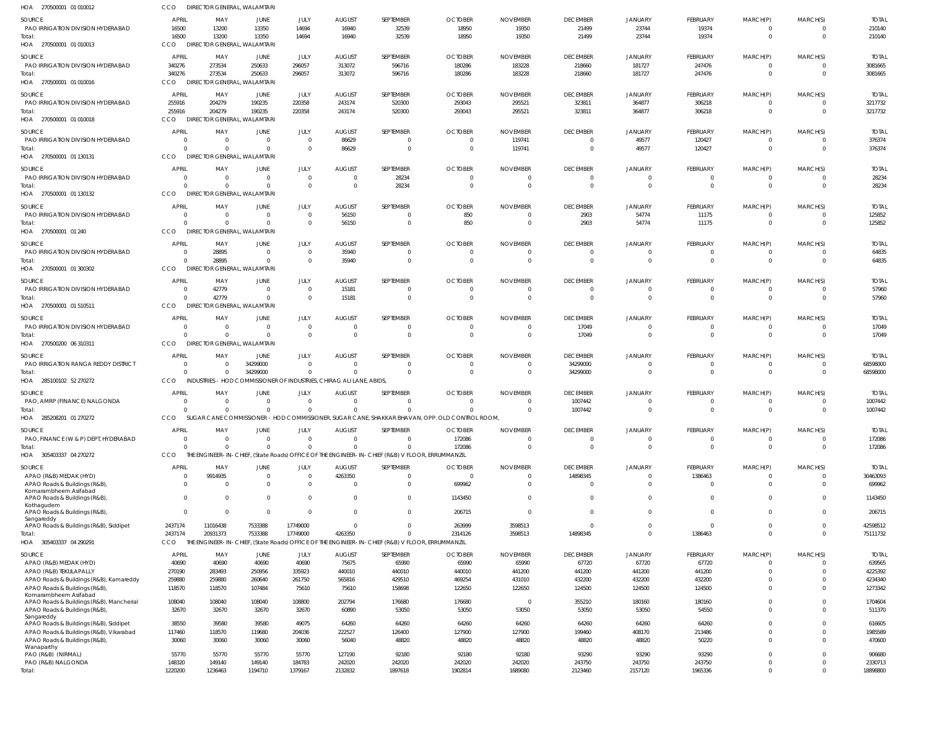| HOA 270500001 01 010012                                                  | CCO                    | <b>DIRECTOR GENERAL, WALAMTARI</b>             |                                 |                            |                                                                      |                                                                                                                   |                                                                                                |                      |                             |                               |                         |                            |                            |                         |
|--------------------------------------------------------------------------|------------------------|------------------------------------------------|---------------------------------|----------------------------|----------------------------------------------------------------------|-------------------------------------------------------------------------------------------------------------------|------------------------------------------------------------------------------------------------|----------------------|-----------------------------|-------------------------------|-------------------------|----------------------------|----------------------------|-------------------------|
| SOURCE                                                                   | <b>APRIL</b>           | MAY                                            | JUNE                            | JULY                       | <b>AUGUST</b>                                                        | SEPTEMBER                                                                                                         | <b>OCTOBER</b>                                                                                 | <b>NOVEMBER</b>      | <b>DECEMBER</b>             | <b>JANUARY</b>                | FEBRUARY                | MARCH(P)                   | MARCH(S)                   | <b>TOTAL</b>            |
| PAO IRRIGATION DIVISION HYDERABAD<br>Total:                              | 16500<br>16500         | 13200<br>13200                                 | 13350<br>13350                  | 14694<br>14694             | 16940<br>16940                                                       | 32539<br>32539                                                                                                    | 18950<br>18950                                                                                 | 19350<br>19350       | 21499<br>21499              | 23744<br>23744                | 19374<br>19374          | $^{\circ}$<br>$\mathbf 0$  | 0<br>$\Omega$              | 210140<br>210140        |
| HOA 270500001 01 010013                                                  | CCO                    | DIRECTOR GENERAL, WALAMTARI                    |                                 |                            |                                                                      |                                                                                                                   |                                                                                                |                      |                             |                               |                         |                            |                            |                         |
| SOURCE                                                                   | <b>APRIL</b>           | MAY                                            | JUNE                            | JULY                       | <b>AUGUST</b>                                                        | SEPTEMBER                                                                                                         | <b>OCTOBER</b>                                                                                 | <b>NOVEMBER</b>      | <b>DECEMBER</b>             | <b>JANUARY</b>                | FEBRUARY                | MARCH(P)                   | MARCH(S)                   | <b>TOTAL</b>            |
| PAO IRRIGATION DIVISION HYDERABAD                                        | 340276                 | 273534                                         | 250633                          | 296057                     | 313072                                                               | 596716                                                                                                            | 180286                                                                                         | 183228               | 218660                      | 181727                        | 247476                  | $\mathbf 0$                | $\Omega$                   | 3081665                 |
| Total:<br>HOA 270500001 01 010016                                        | 340276<br>CCO          | 273534<br>DIRECTOR GENERAL, WALAMTARI          | 250633                          | 296057                     | 313072                                                               | 596716                                                                                                            | 180286                                                                                         | 183228               | 218660                      | 181727                        | 247476                  | $\mathbf 0$                | $\Omega$                   | 3081665                 |
| SOURCE                                                                   | APRIL                  | MAY                                            | JUNE                            | JULY                       | <b>AUGUST</b>                                                        | SEPTEMBER                                                                                                         | <b>OCTOBER</b>                                                                                 | <b>NOVEMBER</b>      | <b>DECEMBER</b>             | <b>JANUARY</b>                | FEBRUARY                | MARCH(P)                   | MARCH(S)                   | <b>TOTAL</b>            |
| PAO IRRIGATION DIVISION HYDERABAD                                        | 255916                 | 204279                                         | 190235                          | 220358                     | 243174                                                               | 520300                                                                                                            | 293043                                                                                         | 295521               | 323811                      | 364877                        | 306218                  | $\overline{0}$             | $\mathbf 0$                | 3217732                 |
| Total:<br>HOA 270500001 01 010018                                        | 255916<br>CCO          | 204279<br>DIRECTOR GENERAL, WALAMTARI          | 190235                          | 220358                     | 243174                                                               | 520300                                                                                                            | 293043                                                                                         | 295521               | 323811                      | 364877                        | 306218                  | $\mathbf 0$                | $\Omega$                   | 3217732                 |
| SOURCE                                                                   | APRIL                  | MAY                                            | JUNE                            | JULY                       | <b>AUGUST</b>                                                        | SEPTEMBER                                                                                                         | <b>OCTOBER</b>                                                                                 | <b>NOVEMBER</b>      | <b>DECEMBER</b>             | <b>JANUARY</b>                | FEBRUARY                | MARCH(P)                   | MARCH(S)                   | <b>TOTAL</b>            |
| PAO IRRIGATION DIVISION HYDERABAD                                        | $\Omega$               | $\Omega$                                       | $\Omega$                        | $\mathbf 0$                | 86629                                                                | $\Omega$                                                                                                          |                                                                                                | 119741               | $\Omega$                    | 49577                         | 120427                  | $^{\circ}$                 | $\Omega$                   | 376374                  |
| Total:<br>HOA 270500001 01 130131                                        | $\Omega$<br><b>CCO</b> | $\Omega$<br>DIRECTOR GENERAL, WALAMTARI        | $\Omega$                        | $\mathbf 0$                | 86629                                                                | $\mathbf 0$                                                                                                       | $\Omega$                                                                                       | 119741               | $\overline{0}$              | 49577                         | 120427                  | $\mathbf 0$                | $\Omega$                   | 376374                  |
| SOURCE                                                                   | APRIL                  | MAY                                            | <b>JUNE</b>                     | JULY                       | <b>AUGUST</b>                                                        | SEPTEMBER                                                                                                         | <b>OCTOBER</b>                                                                                 | <b>NOVEMBER</b>      | <b>DECEMBER</b>             | <b>JANUARY</b>                | FEBRUARY                | MARCH(P)                   | MARCH(S)                   | <b>TOTAL</b>            |
| PAO IRRIGATION DIVISION HYDERABAD                                        | $\Omega$               | $\Omega$                                       | $\overline{0}$                  | $\overline{0}$             | $\Omega$                                                             | 28234                                                                                                             | - 0                                                                                            |                      | $\overline{0}$              | $\mathbf 0$                   | 0                       | $^{\circ}$                 | $\Omega$                   | 28234                   |
| Total:<br>HOA 270500001 01 130132                                        | $\Omega$<br><b>CCO</b> | $\Omega$<br><b>DIRECTOR GENERAL, WALAMTARI</b> | $\Omega$                        | $\Omega$                   | $\overline{0}$                                                       | 28234                                                                                                             | $\Omega$                                                                                       | $\Omega$             | $\overline{0}$              | $\mathbf{0}$                  | $\mathbf 0$             | $\mathbf{0}$               | $\Omega$                   | 28234                   |
| SOURCE                                                                   | APRIL                  | MAY                                            | JUNE                            | JULY                       | <b>AUGUST</b>                                                        | SEPTEMBER                                                                                                         | <b>OCTOBER</b>                                                                                 | <b>NOVEMBER</b>      | <b>DECEMBER</b>             | <b>JANUARY</b>                | FEBRUARY                | MARCH(P)                   | MARCH(S)                   | <b>TOTAL</b>            |
| PAO IRRIGATION DIVISION HYDERABAD                                        | $\Omega$               | $\Omega$                                       | $^{\circ}$                      | $\mathbf 0$                | 56150                                                                | 0                                                                                                                 | 850                                                                                            |                      | 2903                        | 54774                         | 11175                   | $^{\circ}$                 | $\Omega$                   | 125852                  |
| Total:<br>HOA 270500001 01 240                                           | $\Omega$<br>CCO        | $\Omega$<br>DIRECTOR GENERAL, WALAMTARI        | $\Omega$                        | $\Omega$                   | 56150                                                                | $\mathbf{0}$                                                                                                      | 850                                                                                            | $\Omega$             | 2903                        | 54774                         | 11175                   | $\mathbf{0}$               | $\Omega$                   | 125852                  |
| SOURCE                                                                   | APRIL                  | MAY                                            | JUNE                            | JULY                       | <b>AUGUST</b>                                                        | SEPTEMBER                                                                                                         | <b>OCTOBER</b>                                                                                 | <b>NOVEMBER</b>      | <b>DECEMBER</b>             | <b>JANUARY</b>                | FEBRUARY                | MARCH(P)                   | MARCH(S)                   | <b>TOTAL</b>            |
| PAO IRRIGATION DIVISION HYDERABAD                                        | $\Omega$               | 28895                                          | $\overline{0}$                  | $\overline{0}$             | 35940                                                                | $\mathbf{0}$                                                                                                      | - 0                                                                                            | - 0                  | $\overline{0}$              | $\mathbf{0}$                  | $\mathbf 0$             | $\mathbf 0$                | $\Omega$                   | 64835                   |
| Total:                                                                   | $\Omega$<br><b>CCO</b> | 28895                                          | $\overline{0}$                  | $\mathbf 0$                | 35940                                                                | $\overline{0}$                                                                                                    | $\Omega$                                                                                       |                      | $\overline{0}$              | $\mathbf{0}$                  | $\mathbf 0$             | $\overline{0}$             | $\Omega$                   | 64835                   |
| HOA 270500001 01 300302                                                  |                        | <b>DIRECTOR GENERAL, WALAMTARI</b>             |                                 |                            |                                                                      |                                                                                                                   |                                                                                                |                      |                             |                               |                         |                            |                            |                         |
| SOURCE<br>PAO IRRIGATION DIVISION HYDERABAD                              | APRIL<br>$\Omega$      | MAY<br>42779                                   | JUNE<br>$\overline{0}$          | JULY<br>$\Omega$           | <b>AUGUST</b><br>15181                                               | SEPTEMBER<br>$\Omega$                                                                                             | <b>OCTOBER</b>                                                                                 | <b>NOVEMBER</b>      | <b>DECEMBER</b><br>$\Omega$ | <b>JANUARY</b><br>$\Omega$    | FEBRUARY                | MARCH(P)<br>0              | MARCH(S)<br>$\Omega$       | <b>TOTAL</b><br>57960   |
| Total:                                                                   | $\Omega$               | 42779                                          | $\Omega$                        | $\Omega$                   | 15181                                                                | $\mathbf 0$                                                                                                       | $\Omega$                                                                                       | $\Omega$             | $\overline{0}$              | $\Omega$                      | $\mathbf 0$             | $\mathbf 0$                | $\Omega$                   | 57960                   |
| HOA 270500001 01 510511                                                  | CCO                    | DIRECTOR GENERAL, WALAMTARI                    |                                 |                            |                                                                      |                                                                                                                   |                                                                                                |                      |                             |                               |                         |                            |                            |                         |
| SOURCE<br>PAO IRRIGATION DIVISION HYDERABAD                              | APRIL<br>$\Omega$      | MAY<br>$\Omega$                                | JUNE<br>$\overline{\mathbf{0}}$ | JULY<br>$\overline{0}$     | <b>AUGUST</b><br>$\overline{0}$                                      | SEPTEMBER<br>$\mathbf{0}$                                                                                         | <b>OCTOBER</b>                                                                                 | <b>NOVEMBER</b>      | <b>DECEMBER</b><br>17049    | <b>JANUARY</b><br>$\mathbf 0$ | FEBRUARY<br>$\mathbf 0$ | MARCH(P)<br>$\mathbf 0$    | MARCH(S)<br>$\Omega$       | <b>TOTAL</b><br>17049   |
| Total:<br>HOA 270500200 06 310311                                        | $\Omega$<br>CCO        | $\Omega$<br>DIRECTOR GENERAL, WALAMTARI        | $\Omega$                        | $\Omega$                   | $\Omega$                                                             | $\mathbf{0}$                                                                                                      | $\Omega$                                                                                       | $\Omega$             | 17049                       | $\mathbf 0$                   | $\mathbf 0$             | $\mathbf{0}$               | $\Omega$                   | 17049                   |
| SOURCE                                                                   | APRIL                  | MAY                                            | JUNE                            | JULY                       | <b>AUGUST</b>                                                        | SEPTEMBER                                                                                                         | <b>OCTOBER</b>                                                                                 | <b>NOVEMBER</b>      | <b>DECEMBER</b>             | <b>JANUARY</b>                | FEBRUARY                | MARCH(P)                   | MARCH(S)                   | <b>TOTAL</b>            |
| PAO IRRIGATION RANGA REDDY DISTRICT                                      | $\Omega$               |                                                | 34299000                        | $\Omega$                   | $\Omega$                                                             | $\Omega$                                                                                                          | $\Omega$                                                                                       |                      | 34299000                    | $\Omega$                      | -0                      | $^{\circ}$                 |                            | 68598000                |
| Total:                                                                   | $\Omega$               | $\Omega$                                       | 34299000                        | $\Omega$                   | $\Omega$                                                             | $\Omega$                                                                                                          | $\Omega$                                                                                       | $\Omega$             | 34299000                    | $\mathbf 0$                   | $\mathbf 0$             | $\mathbf 0$                | $\Omega$                   | 68598000                |
| HOA 285100102 52 270272                                                  | CCO                    |                                                |                                 |                            | INDUSTRIES - HOD COMMISSIONER OF INDUSTRIES. CHIRAG ALI LANE, ABIDS. |                                                                                                                   |                                                                                                |                      |                             |                               |                         |                            |                            |                         |
| SOURCE<br>PAO, AMRP (FINANCE) NALGONDA                                   | APRIL<br>$\Omega$      | MAY                                            | JUNE<br>$\Omega$                | JULY<br>$\Omega$           | <b>AUGUST</b><br>$\Omega$                                            | SEPTEMBER<br>$\mathbf{0}$                                                                                         | <b>OCTOBER</b>                                                                                 | <b>NOVEMBER</b>      | <b>DECEMBER</b><br>1007442  | <b>JANUARY</b><br>$\mathbf 0$ | FEBRUARY<br>$^{\circ}$  | MARCH(P)<br>$^{\circ}$     | MARCH(S)<br>$\Omega$       | <b>TOTAL</b><br>1007442 |
| Total:                                                                   | $\Omega$               | $\Omega$                                       | $\Omega$                        | $\mathbf 0$                | $\Omega$                                                             | $\Omega$                                                                                                          |                                                                                                |                      | 1007442                     | $\Omega$                      | $\Omega$                | $\overline{0}$             | $\Omega$                   | 1007442                 |
| HOA 285208201 01 270272                                                  | CCO                    |                                                |                                 |                            |                                                                      |                                                                                                                   | SUGAR CANE COMMISSIONER - HOD COMMISSIONER, SUGAR CANE, SHAKKAR BHAVAN, OPP. OLD CONTROL ROOM, |                      |                             |                               |                         |                            |                            |                         |
| SOURCE                                                                   | APRIL                  | MAY                                            | JUNE                            | JULY                       | AUGUST                                                               | SEPTEMBER                                                                                                         | <b>OCTOBER</b>                                                                                 | <b>NOVEMBER</b>      | <b>DECEMBER</b>             | <b>JANUARY</b>                | FEBRUARY                | MARCH(P)                   | MARCH(S)                   | <b>TOTAL</b>            |
| PAO, FINANCE (W & P) DEPT, HYDERABAD<br>Total:                           | $\Omega$<br>$\Omega$   | $\Omega$<br>$\Omega$                           | $\Omega$<br>$\Omega$            | $\Omega$<br>$\mathbf 0$    | $\Omega$<br>$\Omega$                                                 | $\Omega$<br>$\mathbf 0$                                                                                           | 172086<br>172086                                                                               | $\Omega$<br>$\Omega$ | $\mathbf 0$<br>$\mathbf 0$  | $\mathbf 0$<br>$\Omega$       | $\Omega$<br>$\mathbf 0$ | $^{\circ}$<br>$\mathbf 0$  | $\Omega$<br>$\Omega$       | 172086<br>172086        |
| HOA 305403337 04 270272                                                  | CCO                    |                                                |                                 |                            |                                                                      | THE ENGINEER-IN-CHIEF, (State Roads) OFFICE OF THE ENGINEER-IN-CHIEF (R&B) V FLOOR, ERRUMMANZIL                   |                                                                                                |                      |                             |                               |                         |                            |                            |                         |
| SOURCE                                                                   | <b>APRIL</b>           | MAY                                            | JUNE                            | JULY                       | <b>AUGUST</b>                                                        | SEPTEMBER                                                                                                         | <b>OCTOBER</b>                                                                                 | <b>NOVEMBER</b>      | <b>DECEMBER</b>             | JANUARY                       | FEBRUARY                | MARCH(P)                   | MARCH(S)                   | <b>TOTAL</b>            |
| APAO (R&B) MEDAK (HYD)<br>APAO Roads & Buildings (R&B)                   | $\Omega$<br>$\Omega$   | 9914935<br>$\Omega$                            | $\overline{0}$<br>$\mathbf 0$   | $\mathbf 0$<br>$\mathbf 0$ | 4263350<br>$\Omega$                                                  | $\mathbf{0}$<br>$\mathbf{0}$                                                                                      | $\Omega$                                                                                       |                      | 14898345<br>$\overline{0}$  | $\mathbf 0$<br>$\mathbf 0$    | 1386463<br>$\mathbf 0$  | $\mathbf 0$<br>$\mathbf 0$ | $\mathbf 0$<br>$\mathbf 0$ | 30463093                |
| Komarambheem Asifabad                                                    |                        |                                                |                                 |                            |                                                                      |                                                                                                                   | 699962                                                                                         |                      |                             |                               |                         |                            |                            | 699962                  |
| APAO Roads & Buildings (R&B),<br>Kothagudem                              | $\Omega$               | $\Omega$                                       | $\mathbf 0$                     | $\mathbf 0$                | $\Omega$                                                             | $\mathbf{0}$                                                                                                      | 1143450                                                                                        |                      | $\mathbf 0$                 | $\mathbf 0$                   | $\mathbf 0$             | $\mathbf 0$                | $\overline{0}$             | 1143450                 |
| APAO Roads & Buildings (R&B),<br>Sangareddy                              | $\mathbf{0}$           | $\Omega$                                       | $\mathbf 0$                     | $\mathbf 0$                | $\Omega$                                                             | $\mathbf{0}$                                                                                                      | 206715                                                                                         |                      | $\overline{0}$              | $\mathbf 0$                   | $\mathbf{0}$            | $\mathbf 0$                | $\mathbf 0$                | 206715                  |
| APAO Roads & Buildings (R&B), Siddipet                                   | 2437174                | 11016438                                       | 7533388                         | 17749000                   | $\Omega$                                                             | $\mathbf{0}$                                                                                                      | 263999                                                                                         | 3598513              | $\overline{0}$              | $\mathbf 0$                   | $\mathbf 0$             | $\mathbf 0$                | $\mathbf 0$                | 42598512                |
| Total:<br>HOA 305403337 04 290291                                        | 2437174<br>CCO         | 20931373                                       | 7533388                         | 17749000                   | 4263350                                                              | $\overline{0}$<br>THE ENGINEER-IN-CHIEF, (State Roads) OFFICE OF THE ENGINEER-IN-CHIEF (R&B) V FLOOR, ERRUMMANZIL | 2314126                                                                                        | 3598513              | 14898345                    | $\mathbf 0$                   | 1386463                 | $\mathbf 0$                | $\Omega$                   | 75111732                |
| SOURCE                                                                   | <b>APRIL</b>           | MAY                                            | JUNE                            | JULY                       | <b>AUGUST</b>                                                        | SEPTEMBER                                                                                                         | <b>OCTOBER</b>                                                                                 | <b>NOVEMBER</b>      | <b>DECEMBER</b>             | <b>JANUARY</b>                | FEBRUARY                | MARCH(P)                   | MARCH(S)                   | <b>TOTAL</b>            |
| APAO (R&B) MEDAK (HYD)                                                   | 40690                  | 40690                                          | 40690                           | 40690                      | 75675                                                                | 65990                                                                                                             | 65990                                                                                          | 65990                | 67720                       | 67720                         | 67720                   | $^{\circ}$                 | $\Omega$                   | 639565                  |
| APAO (R&B) TEKULAPALLY                                                   | 270190                 | 283493                                         | 250956                          | 335923                     | 440010                                                               | 440010                                                                                                            | 440010                                                                                         | 441200               | 441200                      | 441200                        | 441200                  | $\mathbf 0$                | $\Omega$                   | 4225392                 |
| APAO Roads & Buildings (R&B), Kamareddy<br>APAO Roads & Buildings (R&B)  | 259880<br>118570       | 259880<br>118570                               | 260640<br>107484                | 261750<br>75610            | 565816<br>75610                                                      | 429510<br>158698                                                                                                  | 469254<br>122650                                                                               | 431010<br>122650     | 432200<br>124500            | 432200<br>124500              | 432200<br>124500        | $^{\circ}$<br>$\Omega$     | $\Omega$<br>$\Omega$       | 4234340<br>1273342      |
| Komarambheem Asifabad                                                    |                        |                                                |                                 |                            |                                                                      |                                                                                                                   |                                                                                                |                      |                             |                               |                         |                            |                            |                         |
| APAO Roads & Buildings (R&B), Mancherial                                 | 108040                 | 108040                                         | 108040                          | 108800                     | 202794                                                               | 176680                                                                                                            | 176680                                                                                         | $\Omega$             | 355210                      | 180160                        | 180160                  | $\mathbf 0$                | $\Omega$                   | 1704604                 |
| APAO Roads & Buildings (R&B),<br>Sangareddy                              | 32670                  | 32670                                          | 32670                           | 32670                      | 60890                                                                | 53050                                                                                                             | 53050                                                                                          | 53050                | 53050                       | 53050                         | 54550                   | $\Omega$                   | $\Omega$                   | 511370                  |
| APAO Roads & Buildings (R&B), Siddipet                                   | 38550                  | 39580                                          | 39580                           | 49075                      | 64260                                                                | 64260                                                                                                             | 64260                                                                                          | 64260                | 64260                       | 64260                         | 64260                   | $\Omega$                   | $\Omega$                   | 616605                  |
| APAO Roads & Buildings (R&B), Vikarabad<br>APAO Roads & Buildings (R&B), | 117460<br>30060        | 118570<br>30060                                | 119680<br>30060                 | 204036<br>30060            | 222527<br>56040                                                      | 126400<br>48820                                                                                                   | 127900<br>48820                                                                                | 127900<br>48820      | 199460<br>48820             | 408170<br>48820               | 213486<br>50220         | $\Omega$<br>$\Omega$       | $\Omega$<br>$\Omega$       | 1985589<br>470600       |
| Wanaparthy                                                               |                        |                                                |                                 |                            |                                                                      |                                                                                                                   |                                                                                                |                      |                             |                               |                         |                            |                            |                         |
| PAO (R&B) (NIRMAL)<br>PAO (R&B) NALGONDA                                 | 55770<br>148320        | 55770<br>149140                                | 55770<br>149140                 | 55770<br>184783            | 127190<br>242020                                                     | 92180<br>242020                                                                                                   | 92180<br>242020                                                                                | 92180<br>242020      | 93290<br>243750             | 93290<br>243750               | 93290<br>243750         | $\Omega$<br>$\mathbf 0$    | $\Omega$<br>$\Omega$       | 906680<br>2330713       |
| Total:                                                                   | 1220200                | 1236463                                        | 1194710                         | 1379167                    | 2132832                                                              | 1897618                                                                                                           | 1902814                                                                                        | 1689080              | 2123460                     | 2157120                       | 1965336                 | $\mathbf 0$                | $\Omega$                   | 18898800                |
|                                                                          |                        |                                                |                                 |                            |                                                                      |                                                                                                                   |                                                                                                |                      |                             |                               |                         |                            |                            |                         |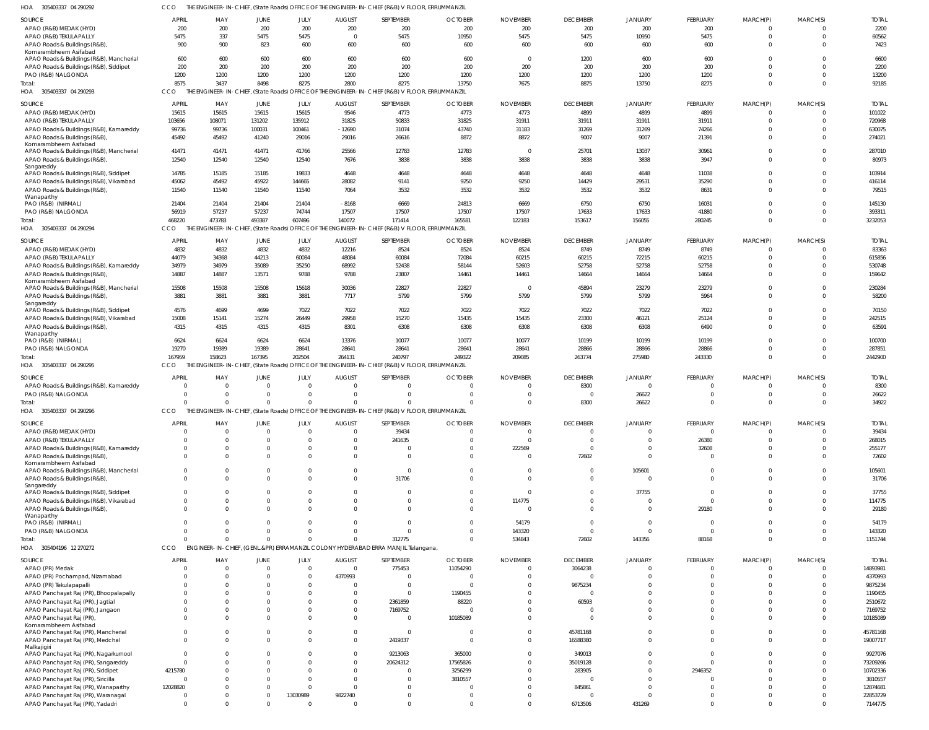| APAO (R&B) MEDAK (HYD)                                                    | 200          | 200            | 200            | 200            | 200                     | 200                                                                                             | 200                     | 200                      | 200             | 200            | 200             | $\Omega$    | $\Omega$ | 2200         |
|---------------------------------------------------------------------------|--------------|----------------|----------------|----------------|-------------------------|-------------------------------------------------------------------------------------------------|-------------------------|--------------------------|-----------------|----------------|-----------------|-------------|----------|--------------|
| APAO (R&B) TEKULAPALLY                                                    | 5475         | 337            | 5475           | 5475           | $\overline{\mathbf{0}}$ | 5475                                                                                            | 10950                   | 5475                     | 5475            | 10950          | 5475            | $\Omega$    | $\Omega$ | 60562        |
| APAO Roads & Buildings (R&B)                                              | 900          | 900            | 823            | 600            | 600                     | 600                                                                                             | 600                     | 600                      | 600             | 600            | 600             | $\Omega$    | $\Omega$ | 7423         |
| Komarambheem Asifabad                                                     |              |                |                |                |                         |                                                                                                 |                         |                          |                 |                |                 |             |          |              |
| APAO Roads & Buildings (R&B), Mancherial                                  | 600          | 600            | 600            | 600            | 600                     | 600                                                                                             | 600                     | $\overline{\mathbf{0}}$  | 1200            | 600            | 600             | $\Omega$    | $\Omega$ | 6600         |
| APAO Roads & Buildings (R&B), Siddipet                                    | 200          | 200            | 200            | 200            | 200                     | 200                                                                                             | 200                     | 200                      | 200             | 200            | 200             | $\Omega$    | $\Omega$ | 2200         |
| PAO (R&B) NALGONDA                                                        | 1200         | 1200           | 1200           | 1200           | 1200                    | 1200                                                                                            | 1200                    | 1200                     | 1200            | 1200           | 1200            | $\mathbf 0$ | $\Omega$ | 13200        |
| Total:                                                                    | 8575         | 3437           | 8498           | 8275           | 2800                    | 8275                                                                                            | 13750                   | 7675                     | 8875            | 13750          | 8275            | $\Omega$    | $\Omega$ | 92185        |
| HOA 305403337 04 290293                                                   | CCO.         |                |                |                |                         | THE ENGINEER-IN-CHIEF, (State Roads) OFFICE OF THE ENGINEER-IN-CHIEF (R&B) V FLOOR, ERRUMMANZIL |                         |                          |                 |                |                 |             |          |              |
|                                                                           |              |                |                |                |                         |                                                                                                 |                         |                          |                 |                |                 |             |          |              |
| SOURCE                                                                    | APRIL        | MAY            | JUNE           | <b>JULY</b>    | <b>AUGUST</b>           | SEPTEMBER                                                                                       | <b>OCTOBER</b>          | <b>NOVEMBER</b>          | <b>DECEMBER</b> | <b>JANUARY</b> | FEBRUARY        | MARCH(P)    | MARCH(S) | <b>TOTA</b>  |
| APAO (R&B) MEDAK (HYD)                                                    | 15615        | 15615          | 15615          | 15615          | 9546                    | 4773                                                                                            | 4773                    | 4773                     | 4899            | 4899           | 4899            | $\Omega$    | $\Omega$ | 101022       |
| APAO (R&B) TEKULAPALLY                                                    | 103656       | 108071         | 131202         | 135912         | 31825                   | 50833                                                                                           | 31825                   | 31911                    | 31911           | 31911          | 31911           | $\Omega$    | $\Omega$ | 720968       |
| APAO Roads & Buildings (R&B), Kamareddy                                   | 99736        | 99736          | 100031         | 100461         | $-12690$                | 31074                                                                                           | 43740                   | 31183                    | 31269           | 31269          | 74266           | $\Omega$    | $\Omega$ | 630075       |
| APAO Roads & Buildings (R&B)                                              | 45492        | 45492          | 41240          | 29016          | 29016                   | 26616                                                                                           | 8872                    | 8872                     | 9007            | 9007           | 21391           | $\Omega$    | $\Omega$ | 274021       |
| Komarambheem Asifabad                                                     |              |                |                |                |                         |                                                                                                 |                         |                          |                 |                |                 |             |          |              |
| APAO Roads & Buildings (R&B), Mancherial                                  | 41471        | 41471          | 41471          | 41766          | 25566                   | 12783                                                                                           | 12783                   | $\overline{0}$           | 25701           | 13037          | 30961           | $\Omega$    | $\Omega$ | 287010       |
| APAO Roads & Buildings (R&B),                                             | 12540        | 12540          | 12540          | 12540          | 7676                    | 3838                                                                                            | 3838                    | 3838                     | 3838            | 3838           | 3947            | $\Omega$    | $\Omega$ | 80973        |
| Sangareddy                                                                |              |                |                |                |                         |                                                                                                 |                         |                          |                 |                |                 |             |          |              |
| APAO Roads & Buildings (R&B), Siddipet                                    | 14785        | 15185          | 15185          | 19833          | 4648                    | 4648                                                                                            | 4648                    | 4648                     | 4648            | 4648           | 11038           | $\Omega$    | $\Omega$ | 103914       |
| APAO Roads & Buildings (R&B), Vikarabad                                   | 45062        | 45492          | 45922          | 144665         | 28082                   | 9141                                                                                            | 9250                    | 9250                     | 14429           | 29531          | 35290           | $\Omega$    | $\Omega$ | 416114       |
| APAO Roads & Buildings (R&B),                                             | 11540        | 11540          | 11540          | 11540          | 7064                    | 3532                                                                                            | 3532                    | 3532                     | 3532            | 3532           | 8631            | $\Omega$    | $\Omega$ | 79515        |
| Wanaparthy                                                                | 21404        | 21404          | 21404          | 21404          | $-8168$                 | 6669                                                                                            | 24813                   | 6669                     | 6750            | 6750           | 16031           | $\Omega$    | $\Omega$ | 145130       |
| PAO (R&B) (NIRMAL)                                                        | 56919        | 57237          | 57237          | 74744          | 17507                   | 17507                                                                                           | 17507                   | 17507                    | 17633           |                |                 | $\Omega$    | $\Omega$ | 393311       |
| PAO (R&B) NALGONDA                                                        |              |                |                |                |                         |                                                                                                 |                         |                          |                 | 17633          | 41880           | $\Omega$    |          |              |
| Total:                                                                    | 468220       | 473783         | 493387         | 607496         | 140072                  | 171414                                                                                          | 165581                  | 122183                   | 153617          | 156055         | 280245          |             | $\Omega$ | 3232053      |
| HOA 305403337 04 290294                                                   | CCO          |                |                |                |                         | THE ENGINEER-IN-CHIEF, (State Roads) OFFICE OF THE ENGINEER-IN-CHIEF (R&B) V FLOOR, ERRUMMANZIL |                         |                          |                 |                |                 |             |          |              |
| SOURCE                                                                    | APRIL        | MAY            | JUNE           | JULY           | <b>AUGUST</b>           | SEPTEMBER                                                                                       | <b>OCTOBER</b>          | <b>NOVEMBER</b>          | <b>DECEMBER</b> | <b>JANUARY</b> | FEBRUARY        | MARCH(P)    | MARCH(S) | <b>TOTAI</b> |
| APAO (R&B) MEDAK (HYD)                                                    | 4832         | 4832           | 4832           | 4832           | 12216                   | 8524                                                                                            | 8524                    | 8524                     | 8749            | 8749           | 8749            | 0           | $\Omega$ | 83363        |
| APAO (R&B) TEKULAPALLY                                                    | 44079        | 34368          | 44213          | 60084          | 48084                   | 60084                                                                                           | 72084                   | 60215                    | 60215           | 72215          | 60215           | $\Omega$    | $\Omega$ | 615856       |
| APAO Roads & Buildings (R&B), Kamareddy                                   | 34979        | 34979          | 35089          | 35250          | 68992                   | 52438                                                                                           | 58144                   | 52603                    | 52758           | 52758          | 52758           | $\Omega$    | $\Omega$ | 530748       |
|                                                                           | 14887        | 14887          | 13571          | 9788           | 9788                    | 23807                                                                                           | 14461                   | 14461                    | 14664           | 14664          | 14664           | $\Omega$    | $\Omega$ | 159642       |
| APAO Roads & Buildings (R&B),<br>Komarambheem Asifabad                    |              |                |                |                |                         |                                                                                                 |                         |                          |                 |                |                 |             |          |              |
| APAO Roads & Buildings (R&B), Mancherial                                  | 15508        | 15508          | 15508          | 15618          | 30036                   | 22827                                                                                           | 22827                   | $\overline{\phantom{0}}$ | 45894           | 23279          | 23279           | $\Omega$    | $\Omega$ | 230284       |
| APAO Roads & Buildings (R&B),                                             | 3881         | 3881           | 3881           | 3881           | 7717                    | 5799                                                                                            | 5799                    | 5799                     | 5799            | 5799           | 5964            | $\Omega$    | $\Omega$ | 58200        |
| Sangareddy                                                                |              |                |                |                |                         |                                                                                                 |                         |                          |                 |                |                 |             |          |              |
| APAO Roads & Buildings (R&B), Siddipet                                    | 4576         | 4699           | 4699           | 7022           | 7022                    | 7022                                                                                            | 7022                    | 7022                     | 7022            | 7022           | 7022            | $\Omega$    | $\Omega$ | 70150        |
| APAO Roads & Buildings (R&B), Vikarabad                                   | 15008        | 15141          | 15274          | 26449          | 29958                   | 15270                                                                                           | 15435                   | 15435                    | 23300           | 46121          | 25124           | $\Omega$    | $\Omega$ | 242515       |
| APAO Roads & Buildings (R&B),                                             | 4315         | 4315           | 4315           | 4315           | 8301                    | 6308                                                                                            | 6308                    | 6308                     | 6308            | 6308           | 6490            | $\Omega$    | $\Omega$ | 63591        |
| Wanaparthy                                                                |              |                |                |                |                         |                                                                                                 |                         |                          |                 |                |                 |             |          |              |
| PAO (R&B) (NIRMAL)                                                        | 6624         | 6624           | 6624           | 6624           | 13376                   | 10077                                                                                           | 10077                   | 10077                    | 10199           | 10199          | 10199           | $\Omega$    | $\Omega$ | 100700       |
| PAO (R&B) NALGONDA                                                        | 19270        | 19389          | 19389          | 28641          | 28641                   | 28641                                                                                           | 28641                   | 28641                    | 28866           | 28866          | 28866           | $\Omega$    | $\Omega$ | 287851       |
| Total:                                                                    | 167959       | 158623         | 167395         | 202504         | 264131                  | 240797                                                                                          | 249322                  | 209085                   | 263774          | 275980         | 243330          | $\Omega$    | $\Omega$ | 2442900      |
| HOA 305403337 04 290295                                                   | CCO.         |                |                |                |                         | THE ENGINEER-IN-CHIEF, (State Roads) OFFICE OF THE ENGINEER-IN-CHIEF (R&B) V FLOOR, ERRUMMANZIL |                         |                          |                 |                |                 |             |          |              |
|                                                                           |              |                |                |                |                         |                                                                                                 |                         |                          |                 |                |                 |             |          |              |
| SOURCE                                                                    | <b>APRIL</b> | MAY            | <b>JUNE</b>    | JULY           | <b>AUGUST</b>           | SEPTEMBER                                                                                       | <b>OCTOBER</b>          | <b>NOVEMBER</b>          | <b>DECEMBER</b> | <b>JANUARY</b> | <b>FEBRUARY</b> | MARCH(P)    | MARCH(S) | <b>TOTAI</b> |
| APAO Roads & Buildings (R&B), Kamareddy                                   |              | $\Omega$       | $\Omega$       | $\overline{0}$ | $\Omega$                |                                                                                                 | $\Omega$                | $\Omega$                 | 8300            |                | 0               | 0           |          | 8300         |
| PAO (R&B) NALGONDA                                                        |              | $\Omega$       | $\Omega$       | $\Omega$       | $\Omega$                | $\Omega$                                                                                        | $\Omega$                | $\overline{0}$           | $\Omega$        | 26622          | $\mathbf 0$     | $\mathbf 0$ | $\Omega$ | 26622        |
| Total:                                                                    |              | $\Omega$       | $\Omega$       | $\Omega$       | $\Omega$                |                                                                                                 | $\Omega$                | $\Omega$                 | 8300            | 26622          | $\Omega$        | $\Omega$    | $\Omega$ | 34922        |
| HOA<br>305403337 04 290296                                                | CCO          | THE EI         |                |                |                         | IGINEER-IN-CHIEF, (State Roads) OFFICE OF THE ENGINEER-IN-CHIEF (R&B) V FLOOR, ERRUMMANZIL      |                         |                          |                 |                |                 |             |          |              |
| SOURCE                                                                    | APRIL        | MAY            | JUNE           | JULY           | <b>AUGUST</b>           | SEPTEMBER                                                                                       | <b>OCTOBER</b>          | <b>NOVEMBER</b>          | <b>DECEMBER</b> | <b>JANUARY</b> | <b>FEBRUARY</b> | MARCH(P)    | MARCH(S) | <b>TOTAI</b> |
| APAO (R&B) MEDAK (HYD)                                                    | $\Omega$     | $\Omega$       | $\overline{0}$ | $\overline{0}$ | $\overline{0}$          | 39434                                                                                           | $\Omega$                | $\overline{0}$           | $\Omega$        | $\Omega$       | $\mathbf 0$     | $\mathbf 0$ | $\Omega$ | 39434        |
| APAO (R&B) TEKULAPALLY                                                    |              |                |                |                |                         | 241635                                                                                          |                         |                          |                 |                | 26380           |             |          | 268015       |
| APAO Roads & Buildings (R&B), Kamareddy                                   |              | $\Omega$       | $\Omega$       | $\Omega$       | $\Omega$                |                                                                                                 | $\Omega$                | 222569                   | $\Omega$        | $\Omega$       | 32608           | $\Omega$    | $\Omega$ | 255177       |
|                                                                           |              | $\Omega$       | $\Omega$       | $\Omega$       | $\Omega$                | $\Omega$                                                                                        | $\Omega$                | $\Omega$                 | 72602           | $\Omega$       | $\mathbf 0$     | $\Omega$    | $\Omega$ | 72602        |
| APAO Roads & Buildings (R&B),<br>Komarambheem Asifabad                    |              |                |                |                |                         |                                                                                                 |                         |                          |                 |                |                 |             |          |              |
| APAO Roads & Buildings (R&B), Mancherial                                  |              | $\Omega$       | $\Omega$       | $\Omega$       | $\Omega$                | $\Omega$                                                                                        | $\Omega$                | $\Omega$                 | $\Omega$        | 105601         | $\Omega$        | $\Omega$    |          | 105601       |
| APAO Roads & Buildings (R&B),                                             |              | $\Omega$       | $\Omega$       | $\Omega$       | $\overline{0}$          | 31706                                                                                           | $\Omega$                | $\Omega$                 | $\Omega$        | $\Omega$       | $\Omega$        | $\Omega$    | $\Omega$ | 31706        |
| Sangareddy                                                                |              |                |                |                |                         |                                                                                                 |                         |                          |                 |                |                 |             |          |              |
| APAO Roads & Buildings (R&B), Siddipet                                    |              | $\Omega$       | $\Omega$       | $\Omega$       | $\Omega$                |                                                                                                 | $\Omega$                | $\overline{0}$           | $\Omega$        | 37755          | $\Omega$        | $\Omega$    |          | 37755        |
| APAO Roads & Buildings (R&B), Vikarabad                                   |              | $\Omega$       | $\Omega$       | $\Omega$       | $\mathbf 0$             |                                                                                                 | $\overline{0}$          | 114775                   | $\Omega$        | $\Omega$       | $\Omega$        |             |          | 114775       |
| APAO Roads & Buildings (R&B),                                             | $\Omega$     | $\Omega$       | $\Omega$       | $\Omega$       | $\Omega$                | $\Omega$                                                                                        | $\overline{0}$          | $\overline{0}$           | $\Omega$        | $\Omega$       | 29180           | $\Omega$    | $\Omega$ | 29180        |
| Wanaparthy                                                                |              |                |                |                |                         |                                                                                                 |                         |                          |                 |                |                 |             |          |              |
| PAO (R&B) (NIRMAL)                                                        |              | $\Omega$       | $\Omega$       | $\Omega$       | $\Omega$                |                                                                                                 | $\Omega$                | 54179                    | $\Omega$        | $\Omega$       | 0               |             |          | 54179        |
| PAO (R&B) NALGONDA                                                        |              | $\Omega$       | $\Omega$       | $\Omega$       | $\Omega$                | $\Omega$                                                                                        | $\overline{0}$          | 143320                   | $\Omega$        | $\Omega$       | $\Omega$        | $\Omega$    |          | 143320       |
| Total:                                                                    | $\Omega$     | $\Omega$       | $\Omega$       | $\Omega$       | $\Omega$                | 312775                                                                                          | $\overline{0}$          | 534843                   | 72602           | 143356         | 88168           | $\mathbf 0$ | $\Omega$ | 1151744      |
| HOA 305404196 12 270272                                                   | CCO          |                |                |                |                         | ENGINEER-IN-CHIEF, (GENL&PR) ERRAMANZIL COLONY HYDERABAD ERRA MANJIL Telangana,                 |                         |                          |                 |                |                 |             |          |              |
|                                                                           |              |                |                |                |                         |                                                                                                 |                         |                          |                 |                |                 |             |          |              |
| SOURCE                                                                    | <b>APRIL</b> | MAY            | JUNE           | JULY           | <b>AUGUST</b>           | SEPTEMBER                                                                                       | <b>OCTOBER</b>          | <b>NOVEMBER</b>          | <b>DECEMBER</b> | <b>JANUARY</b> | <b>FEBRUARY</b> | MARCH(P)    | MARCH(S) | <b>TOTAL</b> |
| APAO (PR) Medak                                                           |              | $\overline{0}$ | $\overline{0}$ | $\overline{0}$ | $\overline{0}$          | 775453                                                                                          | 11054290                | $^{\circ}$               | 3064238         |                | $\Omega$        |             |          | 14893981     |
| APAO (PR) Pochampad, Nizamabad                                            |              | $\Omega$       | $\Omega$       | $\Omega$       | 4370993                 |                                                                                                 | $\overline{0}$          | $\mathbf{0}$             | $\Omega$        |                | $\Omega$        |             |          | 4370993      |
| APAO (PR) Tekulapapalli                                                   |              |                | $\Omega$       | $\Omega$       | 0                       |                                                                                                 | $\overline{0}$          | $\Omega$                 | 9875234         |                |                 |             |          | 9875234      |
| APAO Panchayat Raj (PR), Bhoopalapally                                    |              |                |                |                | $\mathbf 0$             |                                                                                                 | 1190455                 | $\Omega$                 | $\Omega$        |                |                 |             |          | 1190455      |
| APAO Panchayat Raj (PR), Jagtial                                          |              |                |                | -0             | $\mathbf 0$             | 2361859                                                                                         | 88220                   | $\Omega$                 | 60593           |                |                 |             |          | 2510672      |
| APAO Panchayat Raj (PR), Jangaon                                          |              |                |                |                | $\overline{0}$          | 7169752                                                                                         | $\overline{0}$          | $\Omega$                 | $\Omega$        |                | $\Omega$        |             |          | 7169752      |
| APAO Panchayat Raj (PR),                                                  |              | $\Omega$       | $\Omega$       |                | $\Omega$                | $\Omega$                                                                                        | 10185089                | $\Omega$                 | $\Omega$        |                |                 |             |          | 10185089     |
| Komarambheem Asifabad                                                     |              |                |                |                |                         |                                                                                                 |                         | $\Omega$                 |                 |                |                 |             |          |              |
| APAO Panchayat Raj (PR), Mancherial                                       |              | $\Omega$       | $\Omega$       | $\Omega$       | $\mathbf 0$             | $\Omega$                                                                                        | $\overline{0}$          |                          | 45781168        |                | $\Omega$        |             |          | 45781168     |
| APAO Panchayat Raj (PR), Medchal                                          | $\Omega$     | $\Omega$       | $\Omega$       | $\Omega$       | $\overline{0}$          | 2419337                                                                                         | $\overline{\mathbf{0}}$ | $\Omega$                 | 16588380        | $\Omega$       | $\Omega$        | $\Omega$    |          | 19007717     |
| Malkajigiri<br>APAO Panchayat Raj (PR), Nagarkurnool                      |              |                | $\Omega$       |                | $\Omega$                | 9213063                                                                                         | 365000                  | $\overline{0}$           | 349013          |                | $\Omega$        |             |          | 9927076      |
| APAO Panchayat Raj (PR), Sangareddy                                       |              | $\Omega$       | $\Omega$       |                | $\Omega$                | 20624312                                                                                        | 17565826                | $\overline{0}$           | 35019128        |                |                 |             |          | 73209266     |
| APAO Panchayat Raj (PR), Siddipet                                         | 4215780      | $\Omega$       | $\Omega$       |                | $\Omega$                | $\mathbf{0}$                                                                                    | 3256299                 | $\overline{0}$           | 283905          | $\Omega$       | 2946352         |             |          | 10702336     |
|                                                                           |              | $\Omega$       | 0              | $\Omega$       | $\Omega$                | $\Omega$                                                                                        | 3810557                 | $\overline{0}$           |                 | $\Omega$       | $\Omega$        |             |          | 3810557      |
| APAO Panchayat Raj (PR), Siricilla<br>APAO Panchayat Raj (PR), Wanaparthy | 12028820     | $\Omega$       | $\Omega$       | $\Omega$       | $\Omega$                | $\Omega$                                                                                        | $\overline{0}$          | $\overline{0}$           | 845861          | $\Omega$       | $\Omega$        | $\Omega$    | $\Omega$ | 12874681     |
|                                                                           |              |                |                |                |                         |                                                                                                 |                         |                          |                 |                |                 |             |          |              |

THE ENGINEER-IN-CHIEF, (State Roads) OFFICE OF THE ENGINEER-IN-CHIEF (R&B) V FLOOR, ERRUMMANZIL

SEPTEMBER

NOVEMBER

JANUARY

FEBRUARY

TOTAL

MARCH(S)

MARCH(P)

DECEMBER

OCTOBER

AUGUST

JULY

305403337 04 290292 HOA

SOURCE

APAO Panchayat Raj (PR), Waranagal APAO Panchayat Raj (PR), Yadadri

 

  $\,$  0  $\,$ 

  $\,$  0  $\,$           

 

 

     

 

CCO

APRIL

MAY

JUNE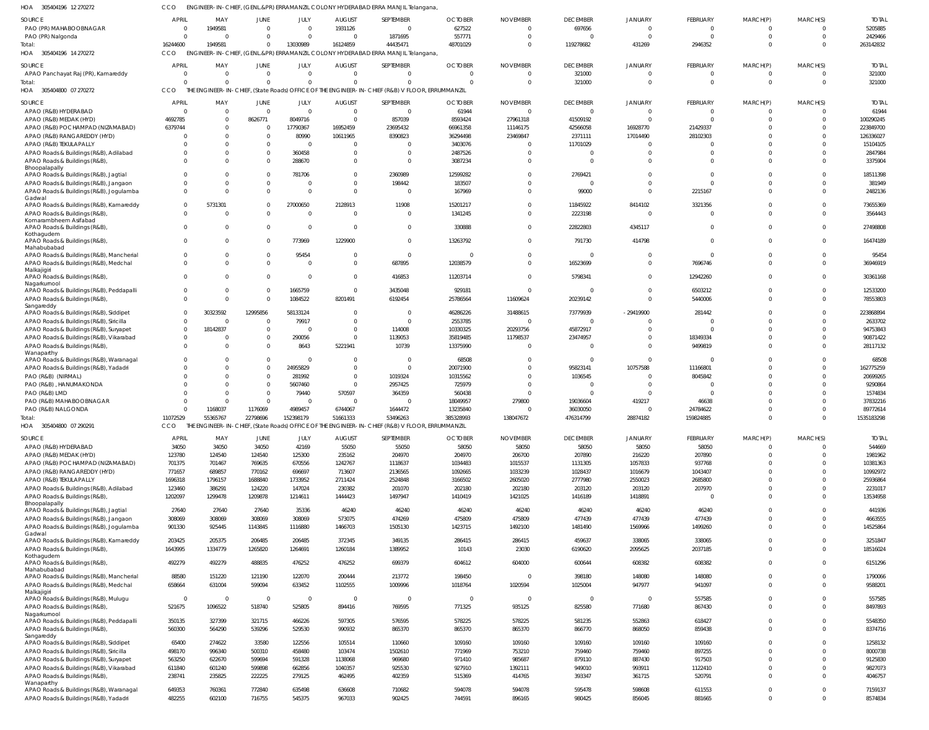305404196 12 270272 HOA CCO ENGINEER-IN-CHIEF, (GENL.&PR) ERRAMANZIL COLONY HYDERABAD ERRA MANJIL Telangana,

| <b>SOURCE</b>                                                                    | <b>APRIL</b>     | MAY              | JUNE             | JULY             | <b>AUGUST</b>    | SEPTEMBER                                                                        | <b>OCTOBER</b>                                                                                  | <b>NOVEMBER</b>  | <b>DECEMBER</b>  | <b>JANUARY</b>   | <b>FEBRUARY</b>  | MARCH(P)                     | MARCH(S)                 | <b>TOTAL</b>       |
|----------------------------------------------------------------------------------|------------------|------------------|------------------|------------------|------------------|----------------------------------------------------------------------------------|-------------------------------------------------------------------------------------------------|------------------|------------------|------------------|------------------|------------------------------|--------------------------|--------------------|
| PAO (PR) MAHABOOBNAGAR                                                           | 0                | 1949581          | $\Omega$         | $\Omega$         | 1931126          | $\Omega$                                                                         | 627522                                                                                          | $\Omega$         | 697656           | $\Omega$         | $\Omega$         |                              | $\Omega$                 | 5205885            |
| PAO (PR) Nalgonda                                                                | $\Omega$         | $\mathsf{C}$     | $\Omega$         | $\Omega$         | $\Omega$         | 1871695                                                                          | 557771                                                                                          | $\Omega$         | $\Omega$         | $\Omega$         | $\Omega$         | $\Omega$                     | $\Omega$                 | 2429466            |
| Total:                                                                           | 16244600         | 1949581          | $\Omega$         | 13030989         | 16124859         | 44435471                                                                         | 48701029                                                                                        | $\Omega$         | 119278682        | 431269           | 2946352          | $\Omega$                     | $\Omega$                 | 263142832          |
| HOA<br>305404196 14 270272                                                       | <b>CCO</b>       |                  |                  |                  |                  | ENGINEER-IN-CHIEF, (GENL.&PR) ERRAMANZIL COLONY HYDERABAD ERRA MANJIL Telangana, |                                                                                                 |                  |                  |                  |                  |                              |                          |                    |
|                                                                                  |                  |                  |                  |                  |                  |                                                                                  |                                                                                                 |                  |                  |                  |                  |                              |                          |                    |
| SOURCE                                                                           | <b>APRIL</b>     | MAY              | JUNE             | JULY             | <b>AUGUST</b>    | SEPTEMBER                                                                        | <b>OCTOBER</b>                                                                                  | <b>NOVEMBER</b>  | <b>DECEMBER</b>  | <b>JANUARY</b>   | FEBRUARY         | MARCH(P)                     | MARCH(S)                 | <b>TOTAL</b>       |
| APAO Panchayat Raj (PR), Kamareddy                                               | $\mathbf 0$      | $\Omega$         | $\Omega$         | $\Omega$         | $\mathbf{0}$     | $\Omega$                                                                         | $\Omega$                                                                                        | $\Omega$         | 321000           | $\Omega$         | $\Omega$         | $\Omega$                     | $\overline{0}$           | 321000             |
| Total:                                                                           | $\Omega$         | $\Omega$         | $\Omega$         | $\Omega$         | $\Omega$         | $\Omega$                                                                         | $\Omega$                                                                                        | $\Omega$         | 321000           | $\Omega$         | $\Omega$         | $\Omega$                     | $\overline{0}$           | 321000             |
| HOA<br>305404800 07 270272                                                       | <b>CCO</b>       |                  |                  |                  |                  |                                                                                  | THE ENGINEER-IN-CHIEF, (State Roads) OFFICE OF THE ENGINEER-IN-CHIEF (R&B) V FLOOR, ERRUMMANZIL |                  |                  |                  |                  |                              |                          |                    |
|                                                                                  |                  |                  |                  |                  |                  |                                                                                  |                                                                                                 |                  |                  |                  |                  |                              |                          |                    |
| <b>SOURCE</b>                                                                    | <b>APRIL</b>     | MAY              | JUNE             | JULY             | <b>AUGUST</b>    | SEPTEMBER                                                                        | <b>OCTOBER</b>                                                                                  | <b>NOVEMBER</b>  | <b>DECEMBER</b>  | <b>JANUARY</b>   | <b>FEBRUARY</b>  | MARCH(P)                     | MARCH(S)                 | <b>TOTAI</b>       |
| APAO (R&B) HYDERABAD                                                             |                  | $\Omega$         | $\Omega$         | $\Omega$         | $\Omega$         | $\Omega$                                                                         | 61944                                                                                           | $\Omega$         | $\Omega$         | $\Omega$         | $\Omega$         |                              | $\Omega$                 | 61944              |
| APAO (R&B) MEDAK (HYD)                                                           | 4692785          | $\Omega$         | 8626771          | 8049716          | $\Omega$         | 857039                                                                           | 8593424                                                                                         | 27961318         | 41509192         | C.               | $\Omega$         |                              | $\Omega$                 | 100290245          |
| APAO (R&B) POCHAMPAD (NIZAMABAD)                                                 | 6379744          | $\Omega$         | $\Omega$         | 17790367         | 16952459         | 23695432                                                                         | 66961358                                                                                        | 11146175         | 42566058         | 16928770         | 21429337         |                              | $\Omega$                 | 223849700          |
|                                                                                  |                  |                  |                  |                  |                  |                                                                                  |                                                                                                 |                  |                  |                  |                  |                              |                          |                    |
| APAO (R&B) RANGAREDDY (HYD)                                                      |                  | C                |                  | 80990            | 10611965         | 8390823                                                                          | 36294498                                                                                        | 23469847         | 2371111          | 17014490         | 28102303         |                              |                          | 126336027          |
| APAO (R&B) TEKULAPALLY                                                           |                  | $\Omega$         |                  |                  | $\Omega$         | $\Omega$                                                                         | 3403076                                                                                         |                  | 11701029         | $\Omega$         |                  |                              |                          | 15104105           |
| APAO Roads & Buildings (R&B), Adilabad                                           |                  | $\Omega$         |                  | 360458           | $\Omega$         | $\Omega$                                                                         | 2487526                                                                                         |                  | $\Omega$         | 0                | $\Omega$         |                              |                          | 2847984            |
| APAO Roads & Buildings (R&B)                                                     | <sup>0</sup>     | $\Omega$         |                  | 288670           | $\Omega$         | $\Omega$                                                                         | 3087234                                                                                         |                  | $\Omega$         | $\Omega$         | $\Omega$         |                              | $\Omega$                 | 3375904            |
| Bhoopalapally                                                                    |                  |                  |                  |                  |                  |                                                                                  |                                                                                                 |                  |                  |                  |                  |                              |                          |                    |
| APAO Roads & Buildings (R&B), Jagtial                                            |                  | $\Omega$         |                  | 781706           | $\Omega$         | 2360989                                                                          | 12599282                                                                                        |                  | 2769421          | $\Omega$         | - 0              |                              |                          | 18511398           |
| APAO Roads & Buildings (R&B), Jangaon                                            |                  | $\Omega$         |                  |                  | $\Omega$         | 198442                                                                           | 183507                                                                                          |                  | $\Omega$         | $\Omega$         | $\Omega$         |                              | $\Omega$                 | 381949             |
| APAO Roads & Buildings (R&B), Jogulamba                                          | 0                | $\Omega$         |                  | $\Omega$         | $\Omega$         | $\Omega$                                                                         | 167969                                                                                          | $\Omega$         | 99000            | $\Omega$         | 2215167          |                              | $\Omega$                 | 2482136            |
| Gadwal                                                                           |                  |                  |                  |                  |                  |                                                                                  |                                                                                                 |                  |                  |                  |                  |                              |                          |                    |
| APAO Roads & Buildings (R&B), Kamareddy                                          | $\Omega$         | 5731301          | $\Omega$         | 27000650         | 2128913          | 11908                                                                            | 15201217                                                                                        | $\Omega$         | 11845922         | 8414102          | 3321356          |                              | $\Omega$                 | 73655369           |
| APAO Roads & Buildings (R&B)                                                     | $\Omega$         | C                |                  | $\Omega$         | $\Omega$         | $\Omega$                                                                         | 1341245                                                                                         |                  | 2223198          | $\Omega$         | - 0              |                              | $\Omega$                 | 3564443            |
| Komarambheem Asifabad                                                            |                  |                  |                  |                  |                  |                                                                                  |                                                                                                 |                  |                  |                  |                  |                              |                          |                    |
| APAO Roads & Buildings (R&B)                                                     | $\Omega$         | $\Omega$         | $\Omega$         | $\Omega$         | $\Omega$         | $\Omega$                                                                         | 330888                                                                                          | $\Omega$         | 22822803         | 4345117          | $\Omega$         |                              | $\Omega$                 | 27498808           |
| Kothagudem                                                                       |                  |                  |                  |                  |                  |                                                                                  |                                                                                                 |                  |                  |                  |                  |                              |                          |                    |
| APAO Roads & Buildings (R&B),                                                    |                  | $\Omega$         |                  | 773969           | 1229900          | $\Omega$                                                                         | 13263792                                                                                        | $\Omega$         | 791730           | 414798           | $\Omega$         |                              | $\Omega$                 | 16474189           |
| Mahabubabad                                                                      |                  |                  |                  |                  |                  |                                                                                  |                                                                                                 |                  |                  |                  |                  |                              |                          |                    |
| APAO Roads & Buildings (R&B), Mancherial                                         | 0                | $\Omega$         | $\Omega$         | 95454            | $\Omega$         | $\Omega$                                                                         | $\Omega$                                                                                        | $\Omega$         | $\Omega$         | $\Omega$         | $\Omega$         |                              | $\Omega$                 | 95454              |
| APAO Roads & Buildings (R&B), Medchal                                            | $\Omega$         | $\Omega$         |                  | $\Omega$         | $\Omega$         | 687895                                                                           | 12038579                                                                                        | $\Omega$         | 16523699         | $\Omega$         | 7696746          |                              | $\Omega$                 | 36946919           |
| Malkajigiri                                                                      |                  |                  |                  |                  |                  |                                                                                  |                                                                                                 |                  |                  |                  |                  |                              |                          |                    |
| APAO Roads & Buildings (R&B),                                                    | $\Omega$         | $\Omega$         | $\Omega$         | $\Omega$         | $\Omega$         | 416853                                                                           | 11203714                                                                                        | $\Omega$         | 5798341          | $\Omega$         | 12942260         | $\Omega$                     | $\Omega$                 | 30361168           |
| Nagarkurnool                                                                     |                  |                  |                  |                  |                  |                                                                                  |                                                                                                 |                  |                  |                  |                  |                              |                          |                    |
| APAO Roads & Buildings (R&B), Peddapalli                                         | 0                | $\Omega$         | $\Omega$         | 1665759          | $\Omega$         | 3435048                                                                          | 929181                                                                                          | $\Omega$         | $\Omega$         | $\Omega$         | 6503212          |                              | $\Omega$                 | 12533200           |
| APAO Roads & Buildings (R&B)                                                     | $\Omega$         | $\Omega$         | $\Omega$         | 1084522          | 8201491          | 6192454                                                                          | 25786564                                                                                        | 11609624         | 20239142         | $\Omega$         | 5440006          |                              | $\Omega$                 | 78553803           |
| Sangareddy                                                                       |                  |                  |                  |                  |                  |                                                                                  |                                                                                                 |                  |                  |                  |                  |                              |                          |                    |
| APAO Roads & Buildings (R&B), Siddipet                                           | $\Omega$         | 30323592         | 12995856         | 58133124         | $\Omega$         | $\Omega$                                                                         | 46286226                                                                                        | 31488615         | 73779939         | $-29419900$      | 281442           |                              | $\Omega$                 | 223868894          |
| APAO Roads & Buildings (R&B), Siricilla                                          | $\Omega$         | C                |                  | 79917            | $\Omega$         | $\Omega$                                                                         | 2553785                                                                                         |                  | $\Omega$         | $\Omega$         |                  |                              | $\Omega$                 | 2633702            |
| APAO Roads & Buildings (R&B), Suryapet                                           | $\Omega$         | 18142837         | $\Omega$         | $\Omega$         | $\Omega$         | 114008                                                                           | 10330325                                                                                        | 20293756         | 45872917         | $\Omega$         | $\Omega$         |                              |                          | 94753843           |
| APAO Roads & Buildings (R&B), Vikarabad                                          | $\Omega$         | C                | $\Omega$         | 290056           | $\Omega$         | 1139053                                                                          | 35819485                                                                                        | 11798537         | 23474957         | $\Omega$         | 18349334         |                              | $\Omega$                 | 90871422           |
| APAO Roads & Buildings (R&B)                                                     | $\Omega$         | $\Omega$         | $\Omega$         | 8643             | 5221941          | 10739                                                                            | 13375990                                                                                        | $\Omega$         | $\Omega$         | $\Omega$         | 9499819          |                              | $\Omega$                 | 28117132           |
| Wanaparthy                                                                       |                  |                  |                  |                  |                  |                                                                                  |                                                                                                 |                  |                  |                  |                  |                              |                          |                    |
| APAO Roads & Buildings (R&B), Waranagal                                          |                  | $\Omega$         | $\Omega$         | $\Omega$         | $\Omega$         | $\Omega$                                                                         | 68508                                                                                           |                  | $\Omega$         | $\mathbf{0}$     | - 0              |                              | $\Omega$                 | 68508              |
| APAO Roads & Buildings (R&B), Yadadri                                            |                  | $\Omega$         | $\Omega$         | 24955829         | $\Omega$         | $\Omega$                                                                         | 20071900                                                                                        |                  | 95823141         | 10757588         | 11166801         |                              |                          | 162775259          |
|                                                                                  |                  |                  |                  |                  | $\Omega$         |                                                                                  |                                                                                                 |                  |                  |                  |                  |                              |                          |                    |
| PAO (R&B) (NIRMAL)                                                               |                  | $\Omega$         |                  |                  |                  | 1019324                                                                          | 10315562                                                                                        | $\Omega$         | 1036545          | $\Omega$         | 8045842          |                              | $\Omega$                 | 20699265           |
|                                                                                  |                  |                  | $\Omega$         | 281992           |                  |                                                                                  |                                                                                                 |                  |                  |                  |                  |                              |                          |                    |
| PAO (R&B), HANUMAKONDA                                                           |                  | $\Omega$         | $\Omega$         | 5607460          | $\Omega$         | 2957425                                                                          | 725979                                                                                          |                  | $\Omega$         | $\Omega$         | - 0              |                              |                          | 9290864            |
| PAO (R&B) LMD                                                                    |                  | $\Omega$         | $\Omega$         | 79440            | 570597           | 364359                                                                           | 560438                                                                                          |                  | $\Omega$         | $\Omega$         | $\Omega$         |                              |                          | 1574834            |
| PAO (R&B) MAHABOOBNAGAR                                                          |                  | $\Omega$         | $\Omega$         | $\Omega$         | $\Omega$         | $\Omega$                                                                         | 18049957                                                                                        | 279800           | 19036604         | 419217           | 46638            |                              |                          | 37832216           |
| PAO (R&B) NALGONDA                                                               | 0                |                  |                  |                  |                  |                                                                                  |                                                                                                 |                  |                  | $\Omega$         |                  |                              | $\Omega$                 |                    |
|                                                                                  |                  | 1168037          | 1176069          | 4989457          | 6744067          | 1644472                                                                          | 13235840                                                                                        |                  | 36030050         |                  | 24784622         |                              |                          | 89772614           |
| Total:                                                                           | 11072529         | 55365767         | 22798696         | 152398179        | 51661333         | 53496263                                                                         | 385328993                                                                                       | 138047672        | 476314799        | 28874182         | 159824885        |                              | $\Omega$                 | 1535183298         |
| HOA<br>305404800 07 290291                                                       | CCO              |                  |                  |                  |                  |                                                                                  | THE ENGINEER-IN-CHIEF, (State Roads) OFFICE OF THE ENGINEER-IN-CHIEF (R&B) V FLOOR, ERRUMMANZIL |                  |                  |                  |                  |                              |                          |                    |
| <b>SOURCE</b>                                                                    | <b>APRIL</b>     | MAY              |                  |                  |                  | SEPTEMBER                                                                        | <b>OCTOBER</b>                                                                                  | <b>NOVEMBER</b>  | <b>DECEMBER</b>  |                  | FEBRUARY         |                              | MARCH(S)                 | <b>TOTAL</b>       |
|                                                                                  |                  |                  | <b>JUNE</b>      | JULY             | <b>AUGUST</b>    |                                                                                  |                                                                                                 |                  |                  | <b>JANUARY</b>   |                  | MARCH(P)<br>$\Omega$         | $\Omega$                 |                    |
| APAO (R&B) HYDERABAD                                                             | 34050            | 34050            | 34050            | 42169            | 55050            | 55050                                                                            | 58050                                                                                           | 58050            | 58050            | 58050            | 58050            |                              |                          | 544669             |
| APAO (R&B) MEDAK (HYD)                                                           | 123780           | 124540           | 124540           | 125300           | 235162           | 204970                                                                           | 204970                                                                                          | 206700           | 207890           | 216220           | 207890           | $\Omega$                     | $\Omega$                 | 1981962            |
| APAO (R&B) POCHAMPAD (NIZAMABAD)                                                 | 701375           | 701467           | 769635           | 670556           | 1242767          | 1118637                                                                          | 1034483                                                                                         | 1015537          | 1131305          | 1057833          | 937768           | $\Omega$                     | $\Omega$                 | 10381363           |
| APAO (R&B) RANGAREDDY (HYD)                                                      | 771657           | 689857           | 770162           | 696697           | 713607           | 2136565                                                                          | 1092665                                                                                         | 1033239          | 1028437          | 1016679          | 1043407          | $\Omega$                     | $\Omega$                 | 10992972           |
| APAO (R&B) TEKULAPALLY                                                           | 1696318          | 1796157          | 1688840          | 1733952          | 2711424          | 2524848                                                                          | 3166502                                                                                         | 2605020          | 2777980          | 2550023          | 2685800          | $\Omega$                     | $\Omega$                 | 25936864           |
| APAO Roads & Buildings (R&B), Adilabad                                           | 123460           | 386291           | 124220           | 147024           | 230382           | 201070                                                                           | 202180                                                                                          | 202180           | 203120           | 203120           | 207970           | $\Omega$                     | $\Omega$                 | 2231017            |
| APAO Roads & Buildings (R&B),                                                    | 1202097          | 1299478          | 1209878          | 1214611          | 1444423          | 1497947                                                                          | 1410419                                                                                         | 1421025          | 1416189          | 1418891          | $\Omega$         | $\Omega$                     | $\Omega$                 | 13534958           |
| Bhoopalapally                                                                    |                  |                  |                  |                  |                  |                                                                                  |                                                                                                 |                  |                  |                  |                  |                              |                          |                    |
| APAO Roads & Buildings (R&B), Jagtial                                            | 27640            | 27640            | 27640            | 35336            | 46240            | 46240                                                                            | 46240                                                                                           | 46240            | 46240            | 46240            | 46240            | $\Omega$                     | $\Omega$                 | 441936             |
| APAO Roads & Buildings (R&B), Jangaon                                            | 308069           | 308069           | 308069           | 308069           | 573075           | 474269                                                                           | 475809                                                                                          | 475809           | 477439           | 477439           | 477439           | $\Omega$                     | $\Omega$                 | 4663555            |
|                                                                                  |                  | 925445           |                  |                  |                  | 1505130                                                                          |                                                                                                 | 1492100          | 1481490          | 1569966          | 1499260          | $\Omega$                     | $\Omega$                 | 14525864           |
| APAO Roads & Buildings (R&B), Jogulamba                                          | 901330           |                  | 1143845          | 1116880          | 1466703          |                                                                                  | 1423715                                                                                         |                  |                  |                  |                  |                              |                          |                    |
| Gadwal                                                                           |                  |                  |                  |                  |                  |                                                                                  |                                                                                                 |                  |                  |                  |                  | $\Omega$                     | $\Omega$                 |                    |
| APAO Roads & Buildings (R&B), Kamareddy                                          | 203425           | 205375           | 206485           | 206485           | 372345           | 349135                                                                           | 286415                                                                                          | 286415           | 459637           | 338065           | 338065           |                              |                          | 3251847            |
| APAO Roads & Buildings (R&B)                                                     | 1643995          | 1334779          | 1265820          | 1264691          | 1260184          | 1389952                                                                          | 10143                                                                                           | 23030            | 6190620          | 2095625          | 2037185          | $\Omega$                     | $\Omega$                 | 18516024           |
| Kothagudem                                                                       |                  |                  |                  |                  |                  |                                                                                  |                                                                                                 |                  |                  |                  |                  | $\Omega$                     | $\Omega$                 |                    |
| APAO Roads & Buildings (R&B),<br>Mahabubabad                                     | 492279           | 492279           | 488835           | 476252           | 476252           | 699379                                                                           | 604612                                                                                          | 604000           | 600644           | 608382           | 608382           |                              |                          | 6151296            |
| APAO Roads & Buildings (R&B), Mancherial                                         | 88580            | 151220           | 121190           | 122070           | 200444           | 213772                                                                           | 198450                                                                                          | $\Omega$         | 398180           | 148080           | 148080           | $\Omega$                     | $\Omega$                 | 1790066            |
|                                                                                  |                  |                  |                  |                  |                  |                                                                                  |                                                                                                 |                  |                  |                  |                  | $\Omega$                     | $\Omega$                 |                    |
| APAO Roads & Buildings (R&B), Medchal<br>Malkajigiri                             | 658664           | 631004           | 599094           | 633452           | 1102555          | 1009996                                                                          | 1018764                                                                                         | 1020594          | 1025004          | 947977           | 941097           |                              |                          | 9588201            |
| APAO Roads & Buildings (R&B), Mulugu                                             | $\overline{0}$   | $\overline{0}$   | $\overline{0}$   | $\Omega$         | $\overline{0}$   | $\Omega$                                                                         | $\Omega$                                                                                        | $\Omega$         | $\overline{0}$   | $\overline{0}$   | 557585           | $\Omega$                     | $\Omega$                 | 557585             |
|                                                                                  |                  |                  |                  |                  |                  |                                                                                  |                                                                                                 |                  |                  |                  |                  | $\Omega$                     | $\Omega$                 |                    |
| APAO Roads & Buildings (R&B),<br>Nagarkurnool                                    | 521675           | 1096522          | 518740           | 525805           | 894416           | 769595                                                                           | 771325                                                                                          | 935125           | 825580           | 771680           | 867430           |                              |                          | 8497893            |
| APAO Roads & Buildings (R&B), Peddapalli                                         | 350135           | 327399           | 321715           | 466226           | 597305           | 576595                                                                           | 578225                                                                                          | 578225           | 581235           | 552863           | 618427           | $\Omega$                     | $\Omega$                 | 5548350            |
|                                                                                  |                  |                  |                  |                  |                  |                                                                                  |                                                                                                 |                  |                  |                  |                  |                              |                          |                    |
| APAO Roads & Buildings (R&B)                                                     | 560300           | 564290           | 539296           | 529530           | 990932           | 865370                                                                           | 865370                                                                                          | 865370           | 866770           | 868050           | 859438           | $\Omega$                     | $\Omega$                 | 8374716            |
| Sangareddy<br>APAO Roads & Buildings (R&B), Siddipet                             | 65400            | 274622           | 33580            | 122556           | 105514           | 110660                                                                           | 109160                                                                                          | 109160           | 109160           | 109160           | 109160           | $\Omega$                     | $\Omega$                 | 1258132            |
|                                                                                  |                  |                  |                  |                  |                  |                                                                                  |                                                                                                 |                  |                  |                  |                  |                              |                          |                    |
| APAO Roads & Buildings (R&B), Siricilla                                          | 498170           | 996340           | 500310           | 458480           | 103474           | 1502610                                                                          | 771969                                                                                          | 753210           | 759460           | 759460           | 897255           | $\Omega$                     | $\Omega$                 | 8000738            |
| APAO Roads & Buildings (R&B), Suryapet                                           | 563250           | 622670           | 599694           | 591328           | 1138068          | 969680                                                                           | 971410                                                                                          | 985687           | 879110           | 887430           | 917503           | $\Omega$                     | $\Omega$                 | 9125830            |
| APAO Roads & Buildings (R&B), Vikarabad                                          | 611840           | 601240           | 599898           | 662856           | 1040357          | 925530                                                                           | 927910                                                                                          | 1392111          | 949010           | 993911           | 1122410          | $\Omega$                     | $\Omega$                 | 9827073            |
| APAO Roads & Buildings (R&B)                                                     | 238741           | 235825           | 222225           | 279125           | 462495           | 402359                                                                           | 515369                                                                                          | 414765           | 393347           | 361715           | 520791           | $\Omega$                     | $\Omega$                 | 4046757            |
| Wanaparthy                                                                       |                  |                  |                  |                  |                  |                                                                                  |                                                                                                 |                  |                  |                  |                  |                              |                          |                    |
| APAO Roads & Buildings (R&B), Waranagal<br>APAO Roads & Buildings (R&B), Yadadri | 649353<br>482255 | 760361<br>602100 | 772840<br>716755 | 635498<br>545375 | 636608<br>967033 | 710682<br>902425                                                                 | 594078<br>744591                                                                                | 594078<br>896165 | 595478<br>980425 | 598608<br>856045 | 611553<br>881665 | $\mathbf{0}$<br>$\mathbf{0}$ | $\mathbf{0}$<br>$\Omega$ | 7159137<br>8574834 |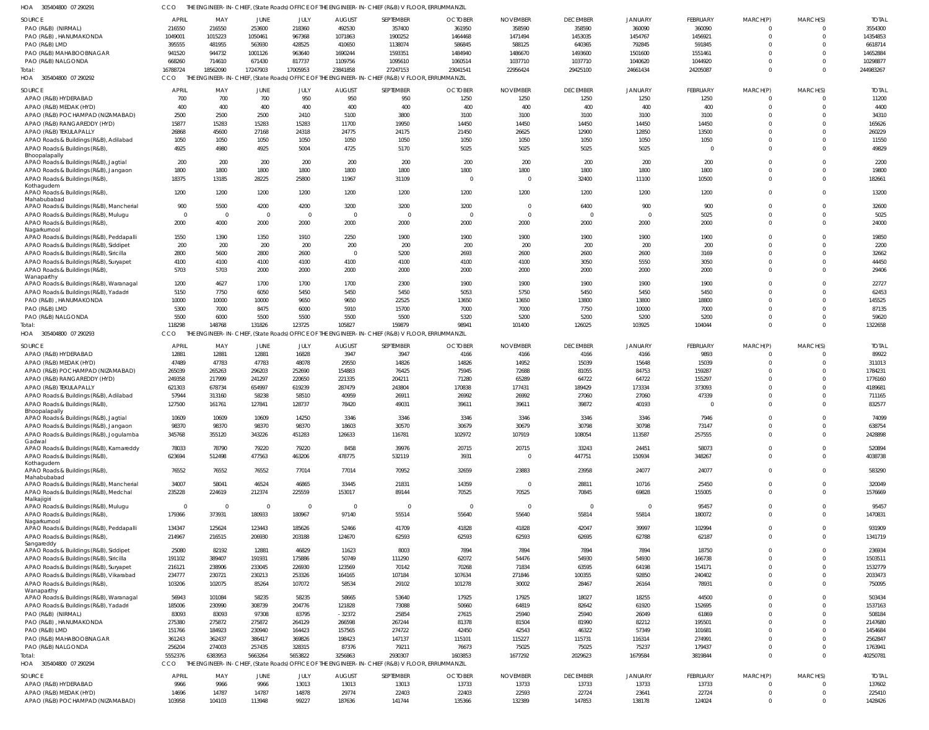305404800 07 290291 HOA CCO THE ENGINEER-IN-CHIEF, (State Roads) OFFICE OF THE ENGINEER-IN-CHIEF (R&B) V FLOOR, ERRUMMANZIL

| <b>SOURCE</b>                                          | APRIL        | MAY      | JUNE                    | JULY           | <b>AUGUST</b> | SEPTEMBER                                                                                       | <b>OCTOBER</b> | <b>NOVEMBER</b>         | <b>DECEMBER</b> | <b>JANUARY</b> | FEBRUARY        | MARCH(P)    | MARCH(S) | <b>TOTAI</b> |
|--------------------------------------------------------|--------------|----------|-------------------------|----------------|---------------|-------------------------------------------------------------------------------------------------|----------------|-------------------------|-----------------|----------------|-----------------|-------------|----------|--------------|
| PAO (R&B) (NIRMAL)                                     | 216550       | 216550   | 253600                  | 218360         | 492530        | 357400                                                                                          | 361950         | 358590                  | 358590          | 360090         | 360090          | $\Omega$    |          | 3554300      |
| PAO (R&B), HANUMAKONDA                                 | 1049001      | 1015223  | 1050461                 | 967368         | 1071863       | 1900252                                                                                         | 1464468        | 1471494                 | 1453035         | 1454767        | 1456921         | $\Omega$    | $\Omega$ | 14354853     |
|                                                        |              | 481955   | 563930                  |                |               | 1138074                                                                                         | 586845         | 588125                  | 640365          | 792845         | 591845          | $\Omega$    |          | 6618714      |
| PAO (R&B) LMD                                          | 395555       |          |                         | 428525         | 410650        |                                                                                                 |                |                         |                 |                |                 |             |          |              |
| PAO (R&B) MAHABOOBNAGAR                                | 941520       | 944732   | 1001126                 | 963640         | 1690244       | 1593351                                                                                         | 1484940        | 1486670                 | 1493600         | 1501600        | 1551461         | $\Omega$    |          | 14652884     |
| PAO (R&B) NALGONDA                                     | 668260       | 714610   | 671430                  | 817737         | 1109756       | 1095610                                                                                         | 1060514        | 1037710                 | 1037710         | 1040620        | 1044920         | $\Omega$    |          | 10298877     |
| Total:                                                 | 16788724     | 18562090 | 17247903                | 17005953       | 23841858      | 27247153                                                                                        | 23041541       | 22956424                | 29425100        | 24661434       | 24205087        | $\Omega$    | $\Omega$ | 244983267    |
| HOA<br>305404800 07 290292                             | CCO          |          |                         |                |               | THE ENGINEER-IN-CHIEF, (State Roads) OFFICE OF THE ENGINEER-IN-CHIEF (R&B) V FLOOR, ERRUMMANZIL |                |                         |                 |                |                 |             |          |              |
| <b>SOURCE</b>                                          | <b>APRIL</b> | MAY      | JUNE                    | JULY           | <b>AUGUST</b> | SEPTEMBER                                                                                       | <b>OCTOBER</b> | <b>NOVEMBER</b>         | <b>DECEMBER</b> | <b>JANUARY</b> | FEBRUARY        | MARCH(P)    | MARCH(S) | <b>TOTAL</b> |
| APAO (R&B) HYDERABAD                                   | 700          | 700      | 700                     | 950            | 950           | 950                                                                                             | 1250           | 1250                    | 1250            | 1250           | 1250            | $\Omega$    | $\Omega$ | 11200        |
| APAO (R&B) MEDAK (HYD)                                 | 400          | 400      | 400                     | 400            | 400           | 400                                                                                             | 400            | 400                     | 400             | 400            | 400             | $\mathbf 0$ | $\Omega$ | 4400         |
| APAO (R&B) POCHAMPAD (NIZAMABAD)                       | 2500         | 2500     | 2500                    | 2410           | 5100          | 3800                                                                                            | 3100           | 3100                    | 3100            | 3100           | 3100            | $\Omega$    | $\Omega$ | 34310        |
|                                                        | 15877        |          |                         |                |               | 19950                                                                                           | 14450          | 14450                   |                 | 14450          | 14450           | $\Omega$    | $\Omega$ | 165626       |
| APAO (R&B) RANGAREDDY (HYD)                            |              | 15283    | 15283                   | 15283          | 11700         |                                                                                                 |                |                         | 14450           |                |                 |             | $\Omega$ |              |
| APAO (R&B) TEKULAPALLY                                 | 26868        | 45600    | 27168                   | 24318          | 24775         | 24175                                                                                           | 21450          | 26625                   | 12900           | 12850          | 13500           | $\Omega$    |          | 260229       |
| APAO Roads & Buildings (R&B), Adilabad                 | 1050         | 1050     | 1050                    | 1050           | 1050          | 1050                                                                                            | 1050           | 1050                    | 1050            | 1050           | 1050            | $\Omega$    | $\Omega$ | 11550        |
| APAO Roads & Buildings (R&B)                           | 4925         | 4980     | 4925                    | 5004           | 4725          | 5170                                                                                            | 5025           | 5025                    | 5025            | 5025           | $\Omega$        | $\Omega$    | $\Omega$ | 49829        |
| Bhoopalapally<br>APAO Roads & Buildings (R&B), Jagtial | 200          | 200      | 200                     | 200            | 200           | 200                                                                                             | 200            | 200                     | 200             | 200            | 200             | $\Omega$    | $\Omega$ | 2200         |
|                                                        | 1800         | 1800     | 1800                    | 1800           | 1800          | 1800                                                                                            | 1800           | 1800                    | 1800            | 1800           | 1800            | $\Omega$    | $\Omega$ | 19800        |
| APAO Roads & Buildings (R&B), Jangaon                  |              |          |                         |                |               |                                                                                                 |                |                         |                 |                |                 | $\Omega$    | $\Omega$ |              |
| APAO Roads & Buildings (R&B)<br>Kothagudem             | 18375        | 13185    | 28225                   | 25800          | 11967         | 31109                                                                                           | $\Omega$       | $\Omega$                | 32400           | 11100          | 10500           |             |          | 182661       |
| APAO Roads & Buildings (R&B)                           | 1200         | 1200     | 1200                    | 1200           | 1200          | 1200                                                                                            | 1200           | 1200                    | 1200            | 1200           | 1200            | $\Omega$    | $\Omega$ | 13200        |
| Mahabubabad                                            |              |          |                         |                |               |                                                                                                 |                |                         |                 |                |                 |             |          |              |
| APAO Roads & Buildings (R&B), Mancherial               | 900          | 5500     | 4200                    | 4200           | 3200          | 3200                                                                                            | 3200           | $\Omega$                | 6400            | 900            | 900             | $\Omega$    | $\Omega$ | 32600        |
| APAO Roads & Buildings (R&B), Mulugu                   | $\Omega$     | $\Omega$ | $\Omega$                | $\overline{0}$ | $\Omega$      | $\Omega$                                                                                        | $\Omega$       | $\Omega$                | $\Omega$        | $\Omega$       | 5025            | $\Omega$    | $\Omega$ | 5025         |
| APAO Roads & Buildings (R&B)                           | 2000         | 4000     | 2000                    | 2000           | 2000          | 2000                                                                                            | 2000           | 2000                    | 2000            | 2000           | 2000            | $\Omega$    | $\Omega$ | 24000        |
| Nagarkurnool                                           |              |          |                         |                |               |                                                                                                 |                |                         |                 |                |                 |             |          |              |
| APAO Roads & Buildings (R&B), Peddapalli               | 1550         | 1390     | 1350                    | 1910           | 2250          | 1900                                                                                            | 1900           | 1900                    | 1900            | 1900           | 1900            | $\Omega$    | $\Omega$ | 19850        |
| APAO Roads & Buildings (R&B), Siddipet                 | 200          | 200      | 200                     | 200            | 200           | 200                                                                                             | 200            | 200                     | 200             | 200            | 200             | $\Omega$    | $\Omega$ | 2200         |
| APAO Roads & Buildings (R&B), Siricilla                | 2800         | 5600     | 2800                    | 2600           | $\Omega$      | 5200                                                                                            | 2693           | 2600                    | 2600            | 2600           | 3169            | $\Omega$    | $\Omega$ | 32662        |
| APAO Roads & Buildings (R&B), Suryapet                 | 4100         | 4100     | 4100                    | 4100           | 4100          | 4100                                                                                            | 4100           | 4100                    | 3050            | 5550           | 3050            | $\Omega$    | $\Omega$ | 44450        |
| APAO Roads & Buildings (R&B)                           | 5703         | 5703     | 2000                    | 2000           | 2000          | 2000                                                                                            | 2000           | 2000                    | 2000            | 2000           | 2000            | $\Omega$    | $\Omega$ | 29406        |
| Wanaparthy                                             |              |          |                         |                |               |                                                                                                 |                |                         |                 |                |                 |             |          |              |
| APAO Roads & Buildings (R&B), Waranagal                | 1200         | 4627     | 1700                    | 1700           | 1700          | 2300                                                                                            | 1900           | 1900                    | 1900            | 1900           | 1900            | $\Omega$    | $\Omega$ | 22727        |
| APAO Roads & Buildings (R&B), Yadadri                  | 5150         | 7750     | 6050                    | 5450           | 5450          | 5450                                                                                            | 5053           | 5750                    | 5450            | 5450           | 5450            | $\Omega$    | $\Omega$ | 62453        |
| PAO (R&B), HANUMAKONDA                                 | 10000        | 10000    | 10000                   | 9650           | 9650          | 22525                                                                                           | 13650          | 13650                   | 13800           | 13800          | 18800           | $\Omega$    | $\Omega$ | 145525       |
| PAO (R&B) LMD                                          | 5300         | 7000     | 8475                    | 6000           | 5910          | 15700                                                                                           | 7000           | 7000                    | 7750            | 10000          | 7000            | $\Omega$    | $\Omega$ | 87135        |
| PAO (R&B) NALGONDA                                     | 5500         | 6000     | 5500                    | 5500           | 5500          | 5500                                                                                            | 5320           | 5200                    | 5200            | 5200           | 5200            | $\Omega$    | $\Omega$ | 59620        |
| Total                                                  | 118298       | 148768   | 131826                  | 123725         | 105827        | 159879                                                                                          | 98941          | 101400                  | 126025          | 103925         | 104044          | $\Omega$    | $\Omega$ | 1322658      |
| HOA<br>305404800 07 290293                             | CCO          |          |                         |                |               | THE ENGINEER-IN-CHIEF, (State Roads) OFFICE OF THE ENGINEER-IN-CHIEF (R&B) V FLOOR, ERRUMMANZIL |                |                         |                 |                |                 |             |          |              |
|                                                        |              |          |                         |                |               |                                                                                                 |                |                         |                 |                |                 |             |          |              |
| <b>SOURCE</b>                                          | <b>APRIL</b> | MAY      | JUNE                    | JULY           | <b>AUGUST</b> | SEPTEMBER                                                                                       | <b>OCTOBER</b> | <b>NOVEMBER</b>         | <b>DECEMBER</b> | <b>JANUARY</b> | FEBRUARY        | MARCH(P)    | MARCH(S) | <b>TOTAL</b> |
| APAO (R&B) HYDERABAD                                   | 12881        | 12881    | 12881                   | 16828          | 3947          | 3947                                                                                            | 4166           | 4166                    | 4166            | 4166           | 9893            | $\Omega$    |          | 89922        |
| APAO (R&B) MEDAK (HYD)                                 | 47489        | 47783    | 47783                   | 48078          | 29550         | 14826                                                                                           | 14826          | 14952                   | 15039           | 15648          | 15039           | $\Omega$    | $\Omega$ | 311013       |
| APAO (R&B) POCHAMPAD (NIZAMABAD)                       | 265039       | 265263   | 296203                  | 252690         | 154883        | 76425                                                                                           | 75945          | 72688                   | 81055           | 84753          | 159287          | $\Omega$    |          | 1784231      |
| APAO (R&B) RANGAREDDY (HYD)                            | 249358       | 217999   | 241297                  | 220650         | 221335        | 204211                                                                                          | 71280          | 65289                   | 64722           | 64722          | 155297          | $\Omega$    |          | 1776160      |
| APAO (R&B) TEKULAPALLY                                 | 621303       | 678734   | 654997                  | 619239         | 287479        | 243804                                                                                          | 170838         | 177431                  | 189429          | 173334         | 373093          | $\Omega$    |          | 4189681      |
| APAO Roads & Buildings (R&B), Adilabad                 | 57944        | 313160   | 58238                   | 58510          | 40959         | 26911                                                                                           | 26992          | 26992                   | 27060           | 27060          | 47339           | $\Omega$    |          | 711165       |
| APAO Roads & Buildings (R&B),                          |              | 161761   | 127841                  |                | 78420         | 49031                                                                                           | 39611          | 39611                   |                 | 40193          | $\Omega$        | $\Omega$    |          | 832577       |
| Bhoopalapally                                          | 127500       |          |                         | 128737         |               |                                                                                                 |                |                         | 39872           |                |                 |             |          |              |
| APAO Roads & Buildings (R&B), Jagtial                  | 10609        | 10609    | 10609                   | 14250          | 3346          | 3346                                                                                            | 3346           | 3346                    | 3346            | 3346           | 7946            | $\Omega$    | $\Omega$ | 74099        |
| APAO Roads & Buildings (R&B), Jangaon                  | 98370        | 98370    | 98370                   | 98370          | 18603         | 30570                                                                                           | 30679          | 30679                   | 30798           | 30798          | 73147           |             | $\sim$   | 638754       |
| APAO Roads & Buildings (R&B), Jogulamba                | 345768       | 355120   | 343226                  | 451283         | 126633        | 116781                                                                                          | 102972         | 107919                  | 108054          | 113587         | 257555          | $\Omega$    | $\Omega$ | 2428898      |
| Gadwal                                                 |              |          |                         |                |               |                                                                                                 |                |                         |                 |                |                 |             |          |              |
| APAO Roads & Buildings (R&B), Kamareddy                | 78033        | 78790    | 79220                   | 79220          | 8458          | 39976                                                                                           | 20715          | 20715                   | 33243           | 24451          | 58073           | $\Omega$    | $\Omega$ | 520894       |
| APAO Roads & Buildings (R&B),                          | 623694       | 512498   | 477563                  | 463206         | 478775        | 532119                                                                                          | 3931           |                         | 447751          | 150934         | 348267          | $\Omega$    | $\Omega$ | 4038738      |
| Kothagudem                                             |              |          |                         |                |               |                                                                                                 |                |                         |                 |                |                 |             |          |              |
| APAO Roads & Buildings (R&B)                           | 76552        | 76552    | 76552                   | 77014          | 77014         | 70952                                                                                           | 32659          | 23883                   | 23958           | 24077          | 24077           | $\Omega$    | $\Omega$ | 583290       |
| Mahabubabad                                            |              |          |                         |                |               |                                                                                                 |                |                         |                 |                |                 |             |          |              |
| APAO Roads & Buildings (R&B), Mancherial               | 34007        | 58041    | 46524                   | 46865          | 33445         | 21831                                                                                           | 14359          | $\overline{0}$          | 28811           | 10716          | 25450           | $\mathbf 0$ | $\Omega$ | 320049       |
| APAO Roads & Buildings (R&B), Medchal                  | 235228       | 224619   | 212374                  | 225559         | 153017        | 89144                                                                                           | 70525          | 70525                   | 70845           | 69828          | 155005          | $\Omega$    | $\Omega$ | 1576669      |
| Malkajigiri<br>APAO Roads & Buildings (R&B), Mulugu    | $\Omega$     | $\Omega$ | $\overline{\mathbf{0}}$ | $\overline{0}$ | $\Omega$      | $\Omega$                                                                                        | $\Omega$       | $\overline{\mathbf{0}}$ | $\Omega$        | $\Omega$       | 95457           | $\mathbf 0$ | $\Omega$ | 95457        |
| APAO Roads & Buildings (R&B)                           | 179366       | 373931   | 180933                  | 180967         | 97140         | 55514                                                                                           | 55640          | 55640                   | 55814           | 55814          | 180072          | $\mathbf 0$ | $\Omega$ | 1470831      |
| Nagarkurnool                                           |              |          |                         |                |               |                                                                                                 |                |                         |                 |                |                 |             |          |              |
| APAO Roads & Buildings (R&B), Peddapalli               | 134347       | 125624   | 123443                  | 185626         | 52466         | 41709                                                                                           | 41828          | 41828                   | 42047           | 39997          | 102994          | $\mathbf 0$ | $\Omega$ | 931909       |
| APAO Roads & Buildings (R&B)                           | 214967       | 216515   | 206930                  | 203188         | 124670        | 62593                                                                                           | 62593          | 62593                   | 62695           | 62788          | 62187           | $\Omega$    | $\Omega$ | 1341719      |
| Sangareddy                                             |              |          |                         |                |               |                                                                                                 |                |                         |                 |                |                 |             |          |              |
| APAO Roads & Buildings (R&B), Siddipet                 | 25080        | 82192    | 12881                   | 46829          | 11623         | 8003                                                                                            | 7894           | 7894                    | 7894            | 7894           | 18750           | $\Omega$    | $\Omega$ | 236934       |
| APAO Roads & Buildings (R&B), Siricilla                | 191102       | 389407   | 191931                  | 175886         | 50749         | 111290                                                                                          | 62072          | 54476                   | 54930           | 54930          | 166738          | $\Omega$    | $\Omega$ | 1503511      |
| APAO Roads & Buildings (R&B), Suryapet                 | 216121       | 238906   | 233045                  | 226930         | 123569        | 70142                                                                                           | 70268          | 71834                   | 63595           | 64198          | 154171          | $\Omega$    | $\Omega$ | 1532779      |
| APAO Roads & Buildings (R&B), Vikarabad                | 234777       | 230721   | 230213                  | 253326         | 164165        | 107184                                                                                          | 107634         | 271846                  | 100355          | 92850          | 240402          | $\Omega$    | $\Omega$ | 2033473      |
| APAO Roads & Buildings (R&B)                           | 103206       | 102075   | 85264                   | 107072         | 58534         | 29102                                                                                           | 101278         | 30002                   | 28467           | 26164          | 78931           | $\Omega$    | $\Omega$ | 750095       |
| Wanaparthy                                             |              |          |                         |                |               |                                                                                                 |                |                         |                 |                |                 |             |          |              |
| APAO Roads & Buildings (R&B), Waranagal                | 56943        | 101084   | 58235                   | 58235          | 58665         | 53640                                                                                           | 17925          | 17925                   | 18027           | 18255          | 44500           | $\Omega$    |          | 503434       |
| APAO Roads & Buildings (R&B), Yadadri                  | 185006       | 230990   | 308739                  | 204776         | 121828        | 73088                                                                                           | 50660          | 64819                   | 82642           | 61920          | 152695          | $\Omega$    | $\Omega$ | 1537163      |
| PAO (R&B) (NIRMAL)                                     | 83093        | 83093    | 97308                   | 83795          | $-32372$      | 25854                                                                                           | 27615          | 25940                   | 25940           | 26049          | 61869           | $\Omega$    |          | 508184       |
| PAO (R&B), HANUMAKONDA                                 | 275380       | 275872   | 275872                  | 264129         | 266598        | 267244                                                                                          | 81378          | 81504                   | 81990           | 82212          | 195501          | $\Omega$    |          | 2147680      |
| PAO (R&B) LMD                                          | 151766       | 184923   | 230940                  | 164423         | 157565        | 274722                                                                                          | 42450          | 42543                   | 46322           | 57349          | 101681          |             |          | 1454684      |
| PAO (R&B) MAHABOOBNAGAR                                | 361243       | 362437   | 386417                  | 369826         | 198423        | 147137                                                                                          | 115101         | 115227                  | 115731          | 116314         | 274991          | $\Omega$    |          | 2562847      |
| PAO (R&B) NALGONDA                                     | 256204       | 274003   | 257435                  | 328315         | 87376         | 79211                                                                                           | 76673          | 75025                   | 75025           | 75237          | 179437          | $\Omega$    | $\Omega$ | 1763941      |
| Total:                                                 | 5552376      | 6383953  | 5663264                 | 5653822        | 3256863       | 2930307                                                                                         | 1603853        | 1677292                 | 2029623         | 1679584        | 3819844         | $\Omega$    | $\Omega$ | 40250781     |
| 305404800 07 290294<br>HOA                             | CCO          |          |                         |                |               | THE ENGINEER-IN-CHIEF, (State Roads) OFFICE OF THE ENGINEER-IN-CHIEF (R&B) V FLOOR, ERRUMMANZIL |                |                         |                 |                |                 |             |          |              |
|                                                        |              |          |                         |                |               |                                                                                                 |                |                         |                 |                |                 |             |          |              |
| <b>SOURCE</b>                                          | <b>APRIL</b> | MAY      | JUNE                    | JULY           | <b>AUGUST</b> | SEPTEMBER                                                                                       | <b>OCTOBER</b> | <b>NOVEMBER</b>         | <b>DECEMBER</b> | <b>JANUARY</b> | <b>FEBRUARY</b> | MARCH(P)    | MARCH(S) | <b>TOTAL</b> |
| APAO (R&B) HYDERABAD                                   | 9966         | 9966     | 9966                    | 13013          | 13013         | 13013                                                                                           | 13733          | 13733                   | 13733           | 13733          | 13733           | $\Omega$    | $\Omega$ | 137602       |
| APAO (R&B) MEDAK (HYD)                                 | 14696        | 14787    | 14787                   | 14878          | 29774         | 22403                                                                                           | 22403          | 22593                   | 22724           | 23641          | 22724           | $\mathbf 0$ | $\Omega$ | 225410       |
| APAO (R&B) POCHAMPAD (NIZAMABAD)                       | 103958       | 104103   | 113948                  | 99227          | 187636        | 141744                                                                                          | 135366         | 132389                  | 147853          | 138178         | 124024          | $\mathbf 0$ | $\Omega$ | 1428426      |
|                                                        |              |          |                         |                |               |                                                                                                 |                |                         |                 |                |                 |             |          |              |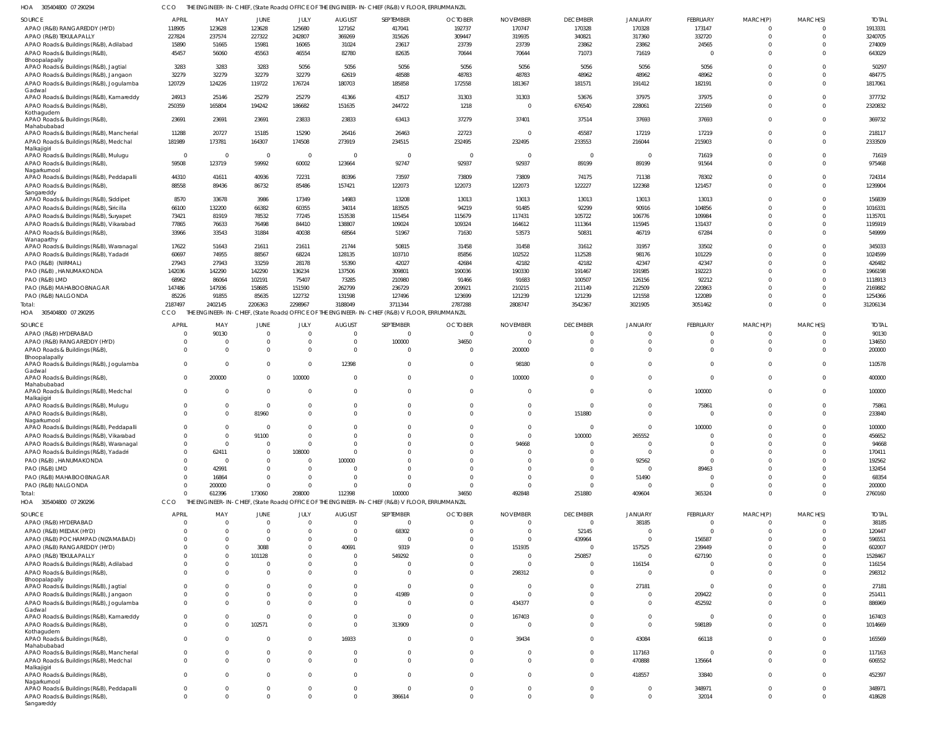305404800 07 290294 HOA CCO THE ENGINEER-IN-CHIEF, (State Roads) OFFICE OF THE ENGINEER-IN-CHIEF (R&B) V FLOOR, ERRUMMANZIL

| <b>SOURCE</b>                            | <b>APRIL</b>            | MAY                     | JUNE           | JULY        | <b>AUGUST</b>  | SEPTEMBER                                                                                       | <b>OCTOBER</b> | <b>NOVEMBER</b> | <b>DECEMBER</b> | <b>JANUARY</b> | <b>FEBRUARY</b> | MARCH(P) | MARCH(S) | <b>TOTAL</b> |
|------------------------------------------|-------------------------|-------------------------|----------------|-------------|----------------|-------------------------------------------------------------------------------------------------|----------------|-----------------|-----------------|----------------|-----------------|----------|----------|--------------|
| APAO (R&B) RANGAREDDY (HYD)              | 118905                  | 123628                  | 123628         | 125680      | 127162         | 417041                                                                                          | 192737         | 170747          | 170328          | 170328         | 173147          |          |          | 1913331      |
| APAO (R&B) TEKULAPALLY                   | 227824                  | 237574                  | 227322         | 242807      | 369269         | 315626                                                                                          | 309447         | 319935          | 340821          | 317360         | 332720          | $\Omega$ | $\Omega$ | 3240705      |
|                                          |                         |                         |                |             |                |                                                                                                 |                |                 |                 |                |                 |          |          |              |
| APAO Roads & Buildings (R&B), Adilabad   | 15890                   | 51665                   | 15981          | 16065       | 31024          | 23617                                                                                           | 23739          | 23739           | 23862           | 23862          | 24565           |          | $\Omega$ | 274009       |
| APAO Roads & Buildings (R&B),            | 45457                   | 56060                   | 45563          | 46554       | 82780          | 82635                                                                                           | 70644          | 70644           | 71073           | 71619          |                 | $\Omega$ | $\Omega$ | 643029       |
| Bhoopalapally                            |                         |                         |                |             |                |                                                                                                 |                |                 |                 |                |                 |          |          |              |
| APAO Roads & Buildings (R&B), Jagtial    | 3283                    | 3283                    | 3283           | 5056        | 5056           | 5056                                                                                            | 5056           | 5056            | 5056            | 5056           | 5056            |          | $\Omega$ | 50297        |
| APAO Roads & Buildings (R&B), Jangaon    | 32279                   | 32279                   | 32279          | 32279       | 62619          | 48588                                                                                           | 48783          | 48783           | 48962           | 48962          | 48962           |          | $\Omega$ | 484775       |
|                                          | 120729                  |                         | 119722         | 176724      | 180703         | 185858                                                                                          | 172558         | 181367          | 181571          | 191412         | 182191          | $\Omega$ | $\Omega$ | 1817061      |
| APAO Roads & Buildings (R&B), Jogulamba  |                         | 124226                  |                |             |                |                                                                                                 |                |                 |                 |                |                 |          |          |              |
| Gadwal                                   |                         |                         |                |             |                |                                                                                                 |                |                 |                 |                |                 |          |          |              |
| APAO Roads & Buildings (R&B), Kamareddy  | 24913                   | 25146                   | 25279          | 25279       | 41366          | 43517                                                                                           | 31303          | 31303           | 53676           | 37975          | 37975           |          | $\Omega$ | 377732       |
| APAO Roads & Buildings (R&B),            | 250359                  | 165804                  | 194242         | 186682      | 151635         | 244722                                                                                          | 1218           | $\overline{0}$  | 676540          | 228061         | 221569          | 0        | $\Omega$ | 2320832      |
| Kothagudem                               |                         |                         |                |             |                |                                                                                                 |                |                 |                 |                |                 |          |          |              |
| APAO Roads & Buildings (R&B),            | 23691                   | 23691                   | 23691          | 23833       | 23833          | 63413                                                                                           | 37279          | 37401           | 37514           | 37693          | 37693           | $\Omega$ | $\Omega$ | 369732       |
| Mahabubabad                              |                         |                         |                |             |                |                                                                                                 |                |                 |                 |                |                 |          |          |              |
| APAO Roads & Buildings (R&B), Mancherial | 11288                   | 20727                   | 15185          | 15290       | 26416          | 26463                                                                                           | 22723          | $\overline{0}$  | 45587           | 17219          | 17219           |          | $\Omega$ | 218117       |
|                                          |                         |                         |                |             |                |                                                                                                 |                |                 |                 |                |                 |          |          |              |
| APAO Roads & Buildings (R&B), Medchal    | 181989                  | 173781                  | 164307         | 174508      | 273919         | 234515                                                                                          | 232495         | 232495          | 233553          | 216044         | 215903          | $\Omega$ | $\Omega$ | 2333509      |
| Malkajigiri                              |                         |                         |                |             |                |                                                                                                 |                |                 |                 |                |                 |          |          |              |
| APAO Roads & Buildings (R&B), Mulugu     | $\overline{0}$          | $\overline{\mathbf{0}}$ | - 0            | - 0         | 0              | $\Omega$                                                                                        | - 0            | - 0             | $\Omega$        | $\Omega$       | 71619           |          | $\Omega$ | 71619        |
| APAO Roads & Buildings (R&B),            | 59508                   | 123719                  | 59992          | 60002       | 123664         | 92747                                                                                           | 92937          | 92937           | 89199           | 89199          | 91564           | $\Omega$ | $\Omega$ | 975468       |
| Nagarkurnool                             |                         |                         |                |             |                |                                                                                                 |                |                 |                 |                |                 |          |          |              |
| APAO Roads & Buildings (R&B), Peddapalli | 44310                   | 41611                   | 40936          | 72231       | 80396          | 73597                                                                                           | 73809          | 73809           | 74175           | 71138          | 78302           |          | $\Omega$ | 724314       |
| APAO Roads & Buildings (R&B),            | 88558                   | 89436                   | 86732          | 85486       | 157421         | 122073                                                                                          | 122073         | 122073          | 122227          | 122368         | 121457          | $\Omega$ | $\Omega$ | 1239904      |
|                                          |                         |                         |                |             |                |                                                                                                 |                |                 |                 |                |                 |          |          |              |
| Sangareddy                               |                         |                         |                |             |                |                                                                                                 |                |                 |                 |                |                 |          |          |              |
| APAO Roads & Buildings (R&B), Siddipet   | 8570                    | 33678                   | 3986           | 17349       | 14983          | 13208                                                                                           | 13013          | 13013           | 13013           | 13013          | 13013           |          |          | 156839       |
| APAO Roads & Buildings (R&B), Siricilla  | 66100                   | 132200                  | 66382          | 60355       | 34014          | 183505                                                                                          | 94219          | 91485           | 92299           | 90916          | 104856          |          | $\Omega$ | 1016331      |
| APAO Roads & Buildings (R&B), Suryapet   | 73421                   | 81919                   | 78532          | 77245       | 153538         | 115454                                                                                          | 115679         | 117431          | 105722          | 106776         | 109984          |          | $\Omega$ | 1135701      |
|                                          |                         |                         |                |             |                |                                                                                                 |                |                 |                 | 115945         |                 |          |          |              |
| APAO Roads & Buildings (R&B), Vikarabad  | 77865                   | 76633                   | 76498          | 84410       | 138807         | 109024                                                                                          | 109324         | 164612          | 111364          |                | 131437          |          | $\Omega$ | 1195919      |
| APAO Roads & Buildings (R&B),            | 33966                   | 33543                   | 31884          | 40038       | 68564          | 51967                                                                                           | 71630          | 53573           | 50831           | 46719          | 67284           |          | $\Omega$ | 549999       |
| Wanaparthy                               |                         |                         |                |             |                |                                                                                                 |                |                 |                 |                |                 |          |          |              |
| APAO Roads & Buildings (R&B), Waranagal  | 17622                   | 51643                   | 21611          | 21611       | 21744          | 50815                                                                                           | 31458          | 31458           | 31612           | 31957          | 33502           |          |          | 345033       |
| APAO Roads & Buildings (R&B), Yadadri    | 60697                   | 74955                   | 88567          | 68224       | 128135         | 103710                                                                                          | 85856          | 102522          | 112528          | 98176          | 101229          |          |          | 1024599      |
|                                          | 27943                   | 27943                   |                |             |                |                                                                                                 |                |                 |                 |                |                 |          |          |              |
| PAO (R&B) (NIRMAL)                       |                         |                         | 33259          | 28178       | 55390          | 42027                                                                                           | 42684          | 42182           | 42182           | 42347          | 42347           |          |          | 426482       |
| PAO (R&B), HANUMAKONDA                   | 142036                  | 142290                  | 142290         | 136234      | 137506         | 309801                                                                                          | 190036         | 190330          | 191467          | 191985         | 192223          |          |          | 1966198      |
| PAO (R&B) LMD                            | 68962                   | 86064                   | 102191         | 75407       | 73285          | 210980                                                                                          | 91466          | 91683           | 100507          | 126156         | 92212           |          |          | 1118913      |
| PAO (R&B) MAHABOOBNAGAR                  | 147486                  | 147936                  | 158685         | 151590      | 262799         | 236729                                                                                          | 209921         | 210215          | 211149          | 212509         | 220863          |          |          | 2169882      |
|                                          |                         |                         |                |             |                |                                                                                                 |                |                 |                 |                |                 |          |          |              |
| PAO (R&B) NALGONDA                       | 85226                   | 91855                   | 85635          | 122732      | 131598         | 127496                                                                                          | 123699         | 121239          | 121239          | 121558         | 122089          |          | $\Omega$ | 1254366      |
| Total:                                   | 2187497                 | 2402145                 | 2206363        | 2298967     | 3188049        | 3711344                                                                                         | 2787288        | 2808747         | 3542367         | 3021905        | 3051462         | $\Omega$ | $\Omega$ | 31206134     |
| HOA 305404800 07 290295                  | CCO                     |                         |                |             |                | THE ENGINEER-IN-CHIEF, (State Roads) OFFICE OF THE ENGINEER-IN-CHIEF (R&B) V FLOOR, ERRUMMANZIL |                |                 |                 |                |                 |          |          |              |
|                                          |                         |                         |                |             |                |                                                                                                 |                |                 |                 |                |                 |          |          |              |
| SOURCE                                   | APRIL                   | MAY                     | JUNE           | JULY        | <b>AUGUST</b>  | SEPTEMBER                                                                                       | <b>OCTOBER</b> | <b>NOVEMBER</b> | <b>DECEMBER</b> | <b>JANUARY</b> | FEBRUARY        | MARCH(P) | MARCH(S) | <b>TOTAI</b> |
| APAO (R&B) HYDERABAD                     |                         | 90130                   | $\Omega$       | - 0         | $\overline{0}$ | $\Omega$                                                                                        | $\overline{0}$ | $\Omega$        | $\Omega$        |                | 0               |          |          | 90130        |
|                                          |                         |                         |                |             |                |                                                                                                 |                |                 |                 |                |                 |          |          |              |
| APAO (R&B) RANGAREDDY (HYD)              | $\Omega$                | $\Omega$                | $\Omega$       | $\Omega$    | $\mathbf 0$    | 100000                                                                                          | 34650          | - 0             | $\Omega$        | $\Omega$       | $\Omega$        |          | $\Omega$ | 134650       |
| APAO Roads & Buildings (R&B),            | $\Omega$                | $\Omega$                | $\Omega$       | $\Omega$    | $\overline{0}$ | $\Omega$                                                                                        | $\overline{0}$ | 200000          | $\Omega$        | $\Omega$       | $\Omega$        | $\Omega$ | $\Omega$ | 200000       |
| Bhoopalapally                            |                         |                         |                |             |                |                                                                                                 |                |                 |                 |                |                 |          |          |              |
| APAO Roads & Buildings (R&B), Jogulamba  | $\mathbf{0}$            | $\overline{\mathbf{0}}$ | $\mathbf 0$    | - 0         | 12398          | $\Omega$                                                                                        | $\overline{0}$ | 98180           | $\Omega$        | $\Omega$       | $\Omega$        | $\Omega$ | $\Omega$ | 110578       |
| Gadwal                                   |                         |                         |                |             |                |                                                                                                 |                |                 |                 |                |                 |          |          |              |
|                                          |                         |                         |                |             |                |                                                                                                 |                |                 |                 |                | $\mathbf 0$     | $\Omega$ | $\Omega$ |              |
|                                          |                         |                         |                |             |                |                                                                                                 |                |                 | $\Omega$        | $\Omega$       |                 |          |          |              |
| APAO Roads & Buildings (R&B),            | $\Omega$                | 200000                  | $\mathbf 0$    | 100000      | $\overline{0}$ | $\mathbf 0$                                                                                     | $\overline{0}$ | 100000          |                 |                |                 |          |          | 400000       |
| Mahabubabad                              |                         |                         |                |             |                |                                                                                                 |                |                 |                 |                |                 |          |          |              |
| APAO Roads & Buildings (R&B), Medchal    | $\overline{0}$          | $\overline{\mathbf{0}}$ | $\overline{0}$ | $\Omega$    | $\overline{0}$ | $\mathbf 0$                                                                                     | $\overline{0}$ | $\overline{0}$  | $\Omega$        | $\Omega$       | 100000          | $\Omega$ | $\Omega$ | 100000       |
| Malkajigiri                              |                         |                         |                |             |                |                                                                                                 |                |                 |                 |                |                 |          |          |              |
| APAO Roads & Buildings (R&B), Mulugu     | $\Omega$                | 0                       | $\overline{0}$ |             | 0              | $\mathbf 0$                                                                                     | 0              | 0               | $\Omega$        | $\Omega$       | 75861           |          | $\Omega$ | 75861        |
| APAO Roads & Buildings (R&B)             | $\Omega$                | $\overline{0}$          | 81960          | $\Omega$    | $\Omega$       | $\Omega$                                                                                        | $\Omega$       | $\overline{0}$  | 151880          | $\Omega$       | $\Omega$        | $\Omega$ | $\Omega$ | 233840       |
| Nagarkurnool                             |                         |                         |                |             |                |                                                                                                 |                |                 |                 |                |                 |          |          |              |
|                                          | $\Omega$                |                         | $\Omega$       |             | -0             |                                                                                                 |                | -0              |                 |                |                 |          |          |              |
| APAO Roads & Buildings (R&B), Peddapalli |                         |                         |                |             |                |                                                                                                 |                |                 |                 |                | 100000          |          |          | 100000       |
| APAO Roads & Buildings (R&B), Vikarabad  | $\Omega$                | $\overline{0}$          | 91100          | $\cap$      | $\Omega$       | $\Omega$                                                                                        | $\Omega$       | $\overline{0}$  | 100000          | 265552         |                 |          |          | 456652       |
| APAO Roads & Buildings (R&B), Waranagal  | $\overline{0}$          | $\overline{0}$          | $\mathbf 0$    | $\Omega$    | $\Omega$       | $\Omega$                                                                                        | $\Omega$       | 94668           | $\Omega$        | $\Omega$       |                 |          |          | 94668        |
| APAO Roads & Buildings (R&B), Yadadri    | $\overline{0}$          | 62411                   | $\Omega$       | 108000      | $\Omega$       |                                                                                                 | $\Omega$       | $\mathbf 0$     | $\Omega$        | $\Omega$       |                 |          |          | 170411       |
|                                          |                         |                         |                | $\Omega$    |                |                                                                                                 | $\Omega$       | $\Omega$        | $\Omega$        |                |                 |          | $\cap$   |              |
| PAO (R&B), HANUMAKONDA                   | $\overline{0}$          | $\overline{\mathbf{0}}$ | $\Omega$       |             | 100000         |                                                                                                 |                |                 |                 | 92562          | $\Omega$        |          |          | 192562       |
| PAO (R&B) LMD                            | $\Omega$                | 42991                   | $\Omega$       | $\Omega$    | $\overline{0}$ |                                                                                                 | $\Omega$       | $\Omega$        | $\Omega$        | $\Omega$       | 89463           |          |          | 132454       |
| PAO (R&B) MAHABOOBNAGAR                  | $\overline{0}$          | 16864                   | $\Omega$       | $\Omega$    | $\Omega$       | $\Omega$                                                                                        | $\Omega$       | $\Omega$        | $\Omega$        | 51490          |                 |          | $\cap$   | 68354        |
| PAO (R&B) NALGONDA                       | $\overline{0}$          | 200000                  | $\Omega$       | - 0         | 0              |                                                                                                 | $\overline{0}$ | $\mathbf 0$     | $\Omega$        | $\Omega$       |                 |          | $\Omega$ | 200000       |
|                                          | $\Omega$                |                         |                |             |                |                                                                                                 |                |                 |                 |                |                 | $\Omega$ | $\Omega$ |              |
| Total:                                   |                         | 612396                  | 173060         | 208000      | 112398         | 100000                                                                                          | 34650          | 492848          | 251880          | 409604         | 365324          |          |          | 2760160      |
| HOA 305404800 07 290296                  | CCO                     |                         |                |             |                | THE ENGINEER-IN-CHIEF, (State Roads) OFFICE OF THE ENGINEER-IN-CHIEF (R&B) V FLOOR, ERRUMMANZIL |                |                 |                 |                |                 |          |          |              |
|                                          |                         |                         |                |             |                |                                                                                                 |                |                 |                 |                |                 |          |          |              |
| SOURCE                                   | <b>APRIL</b>            | MAY                     | JUNE           | <b>JULY</b> | <b>AUGUST</b>  | SEPTEMBER                                                                                       | <b>OCTOBER</b> | <b>NOVEMBER</b> | <b>DECEMBER</b> | <b>JANUARY</b> | FEBRUARY        | MARCH(P) | MARCH(S) | <b>TOTAL</b> |
| APAO (R&B) HYDERABAD                     | $\overline{\mathbf{0}}$ | $\overline{0}$          | $\overline{0}$ | $\Omega$    | $\overline{0}$ | $\overline{0}$                                                                                  | $\Omega$       | $\Omega$        | $\Omega$        | 38185          | $\mathbf 0$     |          |          | 38185        |
| APAO (R&B) MEDAK (HYD)                   | $\Omega$                | 0                       | 0              | - 0         | $\overline{0}$ | 68302                                                                                           | $\overline{0}$ | $\mathbf 0$     | 52145           | $\Omega$       | $\Omega$        |          | $\Omega$ | 120447       |
|                                          | $\Omega$                | $\Omega$                | $\Omega$       | $\Omega$    | $\overline{0}$ | $\Omega$                                                                                        | $\Omega$       | $\Omega$        |                 | $\Omega$       |                 |          |          |              |
| APAO (R&B) POCHAMPAD (NIZAMABAD)         |                         |                         |                |             |                |                                                                                                 |                |                 | 439964          |                | 156587          |          |          | 596551       |
| APAO (R&B) RANGAREDDY (HYD)              | $\Omega$                | $\Omega$                | 3088           |             | 40691          | 9319                                                                                            | $\overline{0}$ | 151935          | $\Omega$        | 157525         | 239449          |          |          | 602007       |
| APAO (R&B) TEKULAPALLY                   | $\Omega$                | $\Omega$                | 101128         |             | $\overline{0}$ | 549292                                                                                          | $\Omega$       | $\mathbf 0$     | 250857          | $\Omega$       | 627190          |          |          | 1528467      |
| APAO Roads & Buildings (R&B), Adilabad   | $\Omega$                | $\mathbf 0$             | $\Omega$       |             | $\mathbf 0$    | $\Omega$                                                                                        | $\Omega$       | $\overline{0}$  | $\Omega$        | 116154         |                 |          |          | 116154       |
|                                          |                         |                         |                | $\cap$      |                |                                                                                                 |                |                 |                 |                |                 |          |          |              |
| APAO Roads & Buildings (R&B),            | $\Omega$                | $\Omega$                | $\Omega$       |             | $\Omega$       | $\Omega$                                                                                        | $\Omega$       | 298312          | $\Omega$        | $\Omega$       | $\Omega$        | $\Omega$ | $\Omega$ | 298312       |
| Bhoopalapally                            |                         |                         |                |             |                |                                                                                                 |                |                 |                 |                |                 |          |          |              |
| APAO Roads & Buildings (R&B), Jagtial    | $\mathbf 0$             | $\Omega$                | $\Omega$       |             | 0              | $\Omega$                                                                                        | $\overline{0}$ | $\overline{0}$  | $\Omega$        | 27181          | $\Omega$        |          |          | 27181        |
| APAO Roads & Buildings (R&B), Jangaon    | $\overline{0}$          | $\Omega$                | $\Omega$       | $\Omega$    | $\mathbf 0$    | 41989                                                                                           | $\Omega$       | $\Omega$        | $\Omega$        | $\Omega$       | 209422          |          |          | 251411       |
|                                          | $\Omega$                | $\Omega$                | $\Omega$       |             | $\Omega$       | $\Omega$                                                                                        | $\Omega$       |                 | $\Omega$        | $\Omega$       |                 |          | $\Omega$ |              |
| APAO Roads & Buildings (R&B), Jogulamba  |                         |                         |                |             |                |                                                                                                 |                | 434377          |                 |                | 452592          |          |          | 886969       |
| Gadwal                                   |                         |                         |                |             |                |                                                                                                 |                |                 | $\Omega$        | $\Omega$       |                 |          |          |              |
| APAO Roads & Buildings (R&B), Kamareddy  | $\mathbf{0}$            | $\Omega$                | $\mathbf 0$    |             | $\mathbf 0$    | $\Omega$                                                                                        | $\overline{0}$ | 167403          |                 |                |                 |          |          | 167403       |
| APAO Roads & Buildings (R&B),            | $\mathbf{0}$            | $\Omega$                | 102571         | $\Omega$    | $\mathbf 0$    | 313909                                                                                          | $\overline{0}$ | $\Omega$        | $\Omega$        | $\Omega$       | 598189          |          |          | 1014669      |
| Kothagudem                               |                         |                         |                |             |                |                                                                                                 |                |                 |                 |                |                 |          |          |              |
| APAO Roads & Buildings (R&B),            | $\overline{0}$          | $\Omega$                | $\Omega$       |             | 16933          | $\Omega$                                                                                        | $\Omega$       | 39434           | $\Omega$        | 43084          | 66118           |          |          | 165569       |
| Mahabubabad                              |                         |                         |                |             |                |                                                                                                 |                |                 |                 |                |                 |          |          |              |
| APAO Roads & Buildings (R&B), Mancherial | $\mathbf 0$             | $\mathbf 0$             | $\Omega$       |             | $\overline{0}$ | $\mathbf 0$                                                                                     | $\overline{0}$ | $\overline{0}$  | $\Omega$        | 117163         | $\Omega$        |          |          | 117163       |
|                                          |                         |                         |                | $\Omega$    |                |                                                                                                 |                |                 | $\Omega$        |                |                 |          |          |              |
| APAO Roads & Buildings (R&B), Medchal    | $\Omega$                | $\Omega$                | $\Omega$       |             | $\Omega$       | $\Omega$                                                                                        | $\Omega$       | $\Omega$        |                 | 470888         | 135664          | $\Omega$ | $\Omega$ | 606552       |
| Malkajigiri                              |                         |                         |                |             |                |                                                                                                 |                |                 |                 |                |                 |          |          |              |
| APAO Roads & Buildings (R&B),            | $\Omega$                | $\Omega$                | $\Omega$       | - 0         | $\Omega$       | $\Omega$                                                                                        | $\Omega$       | $\Omega$        | $\Omega$        | 418557         | 33840           | $\Omega$ | $\Omega$ | 452397       |
| Nagarkurnool                             |                         |                         |                |             |                |                                                                                                 |                |                 |                 |                |                 |          |          |              |
| APAO Roads & Buildings (R&B), Peddapalli | $\overline{0}$          | 0                       | 0              | - 0         | $\Omega$       | $\Omega$                                                                                        | $\Omega$       | $\mathbf 0$     | $\Omega$        | $\Omega$       | 348971          | $\Omega$ | $\Omega$ | 348971       |
| APAO Roads & Buildings (R&B),            | $\mathbf{0}$            | $\Omega$                | $\Omega$       | $\Omega$    | $\Omega$       | 386614                                                                                          | $\Omega$       | $\Omega$        | $\Omega$        | $\Omega$       | 32014           | $\Omega$ | $\Omega$ | 418628       |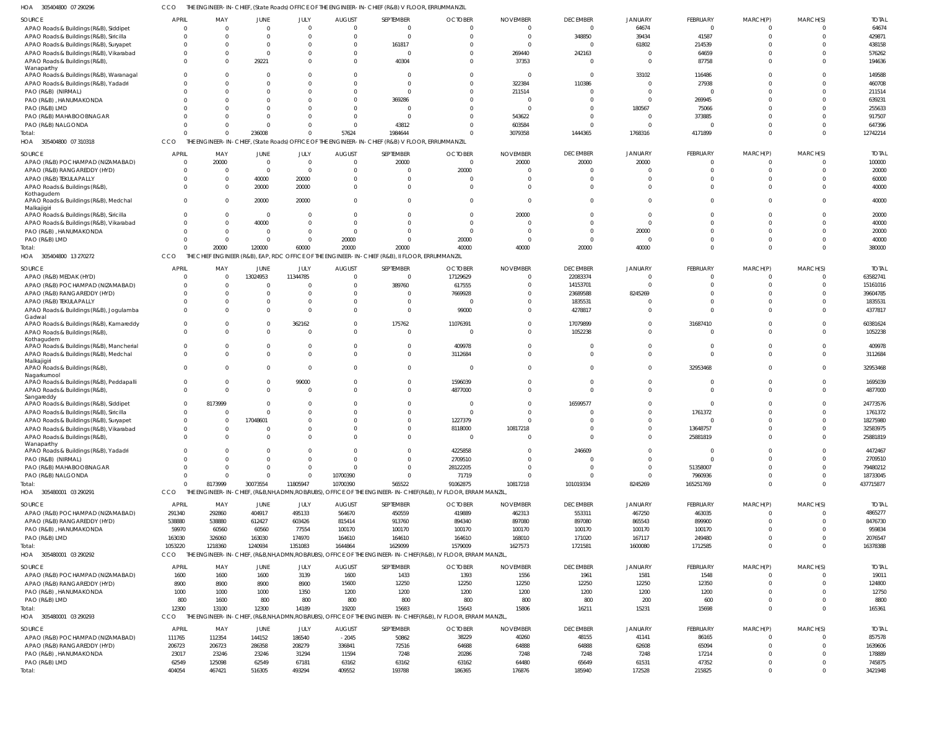| HOA<br>305404800 07 290296                                               | ссо                  |                                                |                   |                 |                 | THE ENGINEER-IN-CHIEF, (State Roads) OFFICE OF THE ENGINEER-IN-CHIEF (R&B) V FLOOR, ERRUMMANZIL |                                                                                                             |                 |                 |                      |                 |          |              |                   |
|--------------------------------------------------------------------------|----------------------|------------------------------------------------|-------------------|-----------------|-----------------|-------------------------------------------------------------------------------------------------|-------------------------------------------------------------------------------------------------------------|-----------------|-----------------|----------------------|-----------------|----------|--------------|-------------------|
| <b>SOURCE</b>                                                            | <b>APRIL</b>         | MAY                                            | <b>JUNE</b>       | JULY            | <b>AUGUST</b>   | SEPTEMBER                                                                                       | <b>OCTOBER</b>                                                                                              | <b>NOVEMBER</b> | <b>DECEMBER</b> | JANUARY              | <b>FEBRUARY</b> | MARCH(P) | MARCH(S)     | <b>TOTAL</b>      |
| APAO Roads & Buildings (R&B), Siddipet                                   | $\Omega$             | - 0                                            | $\Omega$          | $\Omega$        | - 0             | $\mathbf 0$                                                                                     | $\mathbf 0$                                                                                                 | $\Omega$        | $\Omega$        | 64674                | $\Omega$        | $\Omega$ | 0            | 64674             |
| APAO Roads & Buildings (R&B), Siricilla                                  | $\Omega$             |                                                |                   |                 | $\Omega$        | $\Omega$                                                                                        | $\Omega$                                                                                                    | $\Omega$        | 348850          | 39434                | 41587           | $\Omega$ | $\Omega$     | 429871            |
|                                                                          | $\Omega$             |                                                |                   |                 | $\Omega$        |                                                                                                 | $\Omega$                                                                                                    | - 0             | $\Omega$        |                      |                 |          |              | 438158            |
| APAO Roads & Buildings (R&B), Suryapet                                   |                      |                                                |                   |                 |                 | 161817                                                                                          |                                                                                                             |                 |                 | 61802                | 214539          |          |              |                   |
| APAO Roads & Buildings (R&B), Vikarabad<br>APAO Roads & Buildings (R&B), | $\Omega$<br>$\Omega$ |                                                | $\Omega$<br>29221 |                 | $\Omega$        | 40304                                                                                           | $\Omega$<br>$\Omega$                                                                                        | 269440<br>37353 | 242163          | $\Omega$<br>$\Omega$ | 64659<br>87758  |          |              | 576262<br>194636  |
| Wanaparthy                                                               |                      |                                                |                   |                 |                 |                                                                                                 |                                                                                                             |                 |                 |                      |                 |          |              |                   |
| APAO Roads & Buildings (R&B), Waranagal                                  | $\Omega$             |                                                |                   |                 |                 | $\Omega$                                                                                        | $\Omega$                                                                                                    | $\overline{0}$  | $\Omega$        | 33102                | 116486          |          |              | 149588            |
| APAO Roads & Buildings (R&B), Yadadri                                    | $\Omega$             |                                                |                   |                 |                 | $\Omega$                                                                                        | $\Omega$                                                                                                    | 322384          | 110386          | $\Omega$             | 27938           |          |              | 460708            |
| PAO (R&B) (NIRMAL)                                                       | $\Omega$             |                                                |                   |                 |                 | $\Omega$                                                                                        | $\Omega$                                                                                                    | 211514          |                 | $\Omega$             |                 |          |              | 211514            |
| PAO (R&B), HANUMAKONDA                                                   | $\Omega$             |                                                |                   |                 |                 | 369286                                                                                          | $\Omega$                                                                                                    | $\Omega$        |                 | $\Omega$             | 269945          |          |              | 639231            |
| PAO (R&B) LMD                                                            |                      |                                                |                   |                 |                 | 0                                                                                               | $\Omega$                                                                                                    | $\Omega$        |                 | 180567               | 75066           |          |              | 255633            |
| PAO (R&B) MAHABOOBNAGAR                                                  |                      |                                                |                   |                 |                 |                                                                                                 | $\Omega$                                                                                                    | 543622          |                 | $\Omega$             | 373885          |          |              | 917507            |
| PAO (R&B) NALGONDA                                                       | $\Omega$             |                                                |                   |                 |                 | 43812                                                                                           | $\Omega$                                                                                                    | 603584          |                 | $\Omega$             |                 |          | $\Omega$     | 647396            |
| Total:                                                                   | $\Omega$             |                                                | 236008            | $\Omega$        | 57624           | 1984644                                                                                         | $\Omega$                                                                                                    | 3079358         | 1444365         | 1768316              | 4171899         |          | $\Omega$     | 12742214          |
| HOA 305404800 07 310318                                                  | <b>CCO</b>           |                                                |                   |                 |                 | THE ENGINEER-IN-CHIEF, (State Roads) OFFICE OF THE ENGINEER-IN-CHIEF (R&B) V FLOOR, ERRUMMANZIL |                                                                                                             |                 |                 |                      |                 |          |              |                   |
|                                                                          |                      |                                                |                   |                 |                 |                                                                                                 |                                                                                                             |                 |                 |                      |                 |          |              |                   |
| <b>SOURCE</b>                                                            | <b>APRIL</b>         | MAY                                            | <b>JUNE</b>       | JULY            | <b>AUGUST</b>   | SEPTEMBER                                                                                       | <b>OCTOBER</b>                                                                                              | <b>NOVEMBER</b> | <b>DECEMBER</b> | JANUARY              | FEBRUARY        | MARCH(P) | MARCH(S)     | <b>TOTAL</b>      |
| APAO (R&B) POCHAMPAD (NIZAMABAD)                                         | $\Omega$             | 20000                                          | $\Omega$          | $\Omega$        |                 | 20000                                                                                           | $\overline{0}$                                                                                              | 20000           | 20000           | 20000                |                 |          | 0            | 100000            |
| APAO (R&B) RANGAREDDY (HYD)                                              | $\Omega$             |                                                | $\Omega$          | $\Omega$        |                 | $\Omega$                                                                                        | 20000                                                                                                       | $\Omega$        | $\Omega$        | $\Omega$             |                 |          | $\Omega$     | 20000             |
| APAO (R&B) TEKULAPALLY                                                   | $\Omega$             |                                                | 40000             | 20000           |                 | $\Omega$                                                                                        | $\Omega$                                                                                                    | $\Omega$        |                 | $\Omega$             |                 |          | <sup>0</sup> | 60000             |
| APAO Roads & Buildings (R&B)                                             | $\Omega$             |                                                | 20000             | 20000           |                 | $\Omega$                                                                                        | $\Omega$                                                                                                    | $\Omega$        |                 | $\Omega$             |                 |          | $\Omega$     | 40000             |
| Kothagudem<br>APAO Roads & Buildings (R&B), Medchal                      | $\Omega$             |                                                | 20000             | 20000           |                 | $\Omega$                                                                                        | $\Omega$                                                                                                    | $\Omega$        | $\Omega$        | $\mathbf 0$          |                 |          | $\Omega$     | 40000             |
| Malkajigiri<br>APAO Roads & Buildings (R&B), Siricilla                   | $\Omega$             |                                                | $\Omega$          |                 |                 |                                                                                                 | $\Omega$                                                                                                    | 20000           |                 | $\mathbf 0$          |                 |          | $\Omega$     | 20000             |
| APAO Roads & Buildings (R&B), Vikarabad                                  | $\Omega$             |                                                | 40000             | $\Omega$        |                 |                                                                                                 | $\Omega$                                                                                                    | $\Omega$        |                 | $\mathbf 0$          |                 |          | $\Omega$     | 40000             |
| PAO (R&B), HANUMAKONDA                                                   | $\Omega$             |                                                | $\Omega$          | $\Omega$        |                 |                                                                                                 | $\Omega$                                                                                                    | $\Omega$        | $\Omega$        | 20000                |                 |          | $\Omega$     | 20000             |
| PAO (R&B) LMD                                                            | $\Omega$             |                                                |                   | $\Omega$        | 20000           | $\Omega$                                                                                        | 20000                                                                                                       | $\Omega$        | $\Omega$        | $\mathbf 0$          |                 |          | $\Omega$     | 40000             |
| Total:                                                                   | $\Omega$             | 20000                                          | 120000            | 60000           | 20000           | 20000                                                                                           | 40000                                                                                                       | 40000           | 20000           | 40000                |                 |          | $\Omega$     | 380000            |
| HOA 305404800 13 270272                                                  | CCO                  |                                                |                   |                 |                 | THE CHIEF ENGINEER (R&B), EAP, RDC OFFICE OF THE ENGINEER-IN-CHIEF (R&B), II FLOOR, ERRUMMANZIL |                                                                                                             |                 |                 |                      |                 |          |              |                   |
|                                                                          |                      |                                                |                   |                 |                 |                                                                                                 |                                                                                                             |                 |                 |                      |                 |          |              |                   |
| <b>SOURCE</b>                                                            | <b>APRIL</b>         | MAY                                            | JUNE              | JULY            | <b>AUGUST</b>   | <b>SEPTEMBER</b>                                                                                | <b>OCTOBER</b>                                                                                              | <b>NOVEMBER</b> | <b>DECEMBER</b> | JANUARY              | FEBRUARY        | MARCH(P) | MARCH(S)     | <b>TOTAL</b>      |
| APAO (R&B) MEDAK (HYD)                                                   | 0                    | - 0                                            | 13024953          | 11344785        | $\Omega$        | $\mathbf 0$                                                                                     | 17129629                                                                                                    | $\Omega$        | 22083374        | $\Omega$             | $\Omega$        |          |              | 63582741          |
| APAO (R&B) POCHAMPAD (NIZAMABAD)                                         | $\Omega$             | $\Omega$                                       |                   |                 |                 | 389760                                                                                          | 617555                                                                                                      | $\Omega$        | 14153701        | $\Omega$             | $\cap$          |          | $\Omega$     | 15161016          |
| APAO (R&B) RANGAREDDY (HYD)                                              | $\Omega$             |                                                |                   |                 |                 | 0                                                                                               | 7669928                                                                                                     | $\Omega$        | 23689588        | 8245269              |                 |          |              | 39604785          |
| APAO (R&B) TEKULAPALLY                                                   | $\Omega$             |                                                |                   | $\Omega$        |                 | $\Omega$                                                                                        | $\Omega$                                                                                                    | $\Omega$        | 1835531         | $\Omega$             |                 |          |              | 1835531           |
| APAO Roads & Buildings (R&B), Jogulamba                                  | $\Omega$             |                                                | $\Omega$          |                 |                 | $\Omega$                                                                                        | 99000                                                                                                       | $\Omega$        | 4278817         | $\Omega$             | $\Omega$        |          | $\Omega$     | 4377817           |
| Gadwal                                                                   |                      |                                                |                   |                 |                 |                                                                                                 |                                                                                                             |                 |                 |                      |                 |          |              |                   |
| APAO Roads & Buildings (R&B), Kamareddy                                  | $\Omega$             |                                                | $\Omega$          | 362162          |                 | 175762                                                                                          | 11076391                                                                                                    | $\Omega$        | 17079899        | $\Omega$             | 31687410        |          |              | 60381624          |
| APAO Roads & Buildings (R&B),                                            | $\Omega$             |                                                | $\Omega$          |                 |                 | $\Omega$                                                                                        | $\Omega$                                                                                                    | $\Omega$        | 1052238         | $\mathbf 0$          | $\cap$          |          |              | 1052238           |
| Kothagudem                                                               |                      |                                                |                   |                 |                 |                                                                                                 |                                                                                                             |                 |                 |                      |                 |          |              |                   |
| APAO Roads & Buildings (R&B), Mancherial                                 | $\Omega$             |                                                |                   |                 |                 | $\Omega$                                                                                        | 409978                                                                                                      | $\Omega$        |                 | $\Omega$             |                 |          |              | 409978            |
| APAO Roads & Buildings (R&B), Medchal                                    | $\Omega$             |                                                | $\Omega$          | $\Omega$        |                 | $\Omega$                                                                                        | 3112684                                                                                                     | $\Omega$        |                 | $\Omega$             | $\cap$          |          | $\Omega$     | 3112684           |
| Malkajigiri                                                              |                      |                                                | $\Omega$          |                 |                 | $\Omega$                                                                                        | $\Omega$                                                                                                    | $\Omega$        |                 | $\Omega$             |                 |          |              |                   |
| APAO Roads & Buildings (R&B),<br>Nagarkurnool                            | $\mathbf 0$          |                                                |                   |                 |                 |                                                                                                 |                                                                                                             |                 |                 |                      | 32953468        |          |              | 32953468          |
| APAO Roads & Buildings (R&B), Peddapalli                                 | $\mathbf{0}$         |                                                | $\Omega$          | 99000           |                 | $\Omega$                                                                                        | 1596039                                                                                                     | $\Omega$        |                 | $\mathbf 0$          |                 |          |              | 1695039           |
| APAO Roads & Buildings (R&B)                                             | $\Omega$             | $\cap$                                         | $\Omega$          | $\Omega$        |                 | $\Omega$                                                                                        | 4877000                                                                                                     | $\Omega$        |                 | $\Omega$             | $\Omega$        |          | $\Omega$     | 4877000           |
| Sangareddy                                                               |                      |                                                |                   |                 |                 |                                                                                                 |                                                                                                             |                 |                 |                      |                 |          |              |                   |
| APAO Roads & Buildings (R&B), Siddipet                                   | $\Omega$             | 8173999                                        | $\Omega$          |                 |                 |                                                                                                 | 0                                                                                                           | $\Omega$        | 16599577        |                      |                 |          |              | 24773576          |
| APAO Roads & Buildings (R&B), Siricilla                                  | $\Omega$             | $\cap$                                         | $\Omega$          | $\Omega$        |                 | $\Omega$                                                                                        | $\Omega$                                                                                                    | $\Omega$        | $\cap$          | $\Omega$             | 1761372         |          | $\Omega$     | 1761372           |
| APAO Roads & Buildings (R&B), Suryapet                                   |                      |                                                | /04860            |                 |                 |                                                                                                 | 1227379                                                                                                     |                 |                 |                      |                 |          |              | 18275980          |
| APAO Roads & Buildings (R&B), Vikarabad                                  | $\Omega$             |                                                | $\Omega$          | $\Omega$        |                 | $\Omega$                                                                                        | 8118000                                                                                                     | 10817218        |                 | $\mathbf 0$          | 13648757        |          | $\Omega$     | 32583975          |
| APAO Roads & Buildings (R&B),                                            | $\Omega$             |                                                | $\Omega$          | $\Omega$        |                 | $\mathbf 0$                                                                                     | $\mathbf{0}$                                                                                                | $\Omega$        | $\Omega$        | $\mathbf 0$          | 25881819        | $\Omega$ | $\Omega$     | 25881819          |
| Wanaparthy                                                               |                      |                                                |                   |                 |                 |                                                                                                 |                                                                                                             |                 |                 |                      |                 |          |              |                   |
| APAO Roads & Buildings (R&B), Yadadri                                    | $\Omega$             |                                                |                   |                 |                 | $\Omega$                                                                                        | 4225858                                                                                                     | $\overline{0}$  | 246609          | $\mathbf 0$          | - 0             |          |              | 4472467           |
| PAO (R&B) (NIRMAL)                                                       | $\Omega$             |                                                |                   |                 |                 |                                                                                                 | 2709510                                                                                                     | $\overline{0}$  |                 | $\mathbf 0$          |                 |          |              | 2709510           |
| PAO (R&B) MAHABOOBNAGAR                                                  | $\Omega$             |                                                |                   | $\Omega$        |                 | $\Omega$                                                                                        | 28122205                                                                                                    | $\Omega$        |                 | $\mathbf 0$          | 51358007        |          |              | 79480212          |
| PAO (R&B) NALGONDA                                                       | $\mathbf 0$          |                                                | $\Omega$          |                 | 10700390        | $\Omega$                                                                                        | 71719                                                                                                       | $\overline{0}$  |                 | $\mathbf 0$          | 7960936         |          |              | 18733045          |
| Total:                                                                   | $\Omega$             | 8173999                                        | 30073554          | 11805947        | 10700390        | 565522                                                                                          | 91062875                                                                                                    | 10817218        | 101019334       | 8245269              | 165251769       |          | $\Omega$     | 437715877         |
| HOA 305480001 03 290291                                                  | CCO                  | THE ENGINEER-IN-CHIEF, (R&B,NH,ADMN,ROB/RUBS), |                   |                 |                 |                                                                                                 | OFFICE OF THE ENGINEER-IN-CHIEF(R&B), IV FLOOR, ERRAM MANZIL                                                |                 |                 |                      |                 |          |              |                   |
|                                                                          |                      |                                                |                   |                 |                 |                                                                                                 |                                                                                                             |                 |                 |                      |                 |          |              |                   |
| SOURCE                                                                   | <b>APRIL</b>         | MAY                                            | JUNE              | JULY            | <b>AUGUST</b>   | <b>SEPTEMBER</b>                                                                                | <b>OCTOBER</b>                                                                                              | <b>NOVEMBER</b> | <b>DECEMBER</b> | JANUARY              | FEBRUARY        | MARCH(P) | MARCH(S)     | <b>TOTAL</b>      |
| APAO (R&B) POCHAMPAD (NIZAMABAD)                                         | 291340               | 292860                                         | 404917            | 495133          | 564670          | 450559                                                                                          | 419889                                                                                                      | 462313          | 553311          | 467250               | 463035          |          | 0            | 4865277           |
| APAO (R&B) RANGAREDDY (HYD)                                              | 538880               | 538880                                         | 612427            | 603426          | 815414          | 913760                                                                                          | 894340                                                                                                      | 897080          | 897080          | 865543               | 899900          |          |              | 8476730           |
|                                                                          |                      |                                                | 60560             | 77554           | 100170          | 100170                                                                                          | 100170                                                                                                      | 100170          | 100170          | 100170               | 100170          |          |              | 959834            |
| PAO (R&B), HANUMAKONDA                                                   | 59970                | 60560                                          |                   |                 |                 |                                                                                                 |                                                                                                             | 168010          |                 |                      |                 |          | 0            | 2076547           |
| PAO (R&B) LMD                                                            | 163030               | 326060                                         | 163030            | 174970          | 164610          | 164610                                                                                          | 164610                                                                                                      |                 | 171020          | 167117               | 249480          |          |              |                   |
| Total:                                                                   | 1053220              | 1218360                                        | 1240934           | 1351083         | 1644864         | 1629099                                                                                         | 1579009                                                                                                     | 1627573         | 1721581         | 1600080              | 1712585         |          | $\Omega$     | 16378388          |
| HOA 305480001 03 290292                                                  | CCO                  | THE ENGINEER-IN-CHIEF, (R&B,NH,ADMN,ROBRUBS),  |                   |                 |                 |                                                                                                 | OFFICE OF THE ENGINEER-IN-CHIEF(R&B), IV FLOOR, ERRAM MANZIL                                                |                 |                 |                      |                 |          |              |                   |
|                                                                          |                      |                                                |                   |                 |                 |                                                                                                 |                                                                                                             |                 |                 |                      |                 |          |              |                   |
| SOURCE                                                                   | <b>APRIL</b>         | MAY                                            | JUNE              | JULY            | <b>AUGUST</b>   | SEPTEMBER                                                                                       | <b>OCTOBER</b>                                                                                              | <b>NOVEMBER</b> | <b>DECEMBER</b> | JANUARY              | FEBRUARY        | MARCH(P) | MARCH(S)     | <b>TOTAL</b>      |
| APAO (R&B) POCHAMPAD (NIZAMABAD)                                         | 1600                 | 1600                                           | 1600              | 3139            | 1600            | 1433                                                                                            | 1393                                                                                                        | 1556            | 1961            | 1581                 | 1548            |          |              | 19011             |
| APAO (R&B) RANGAREDDY (HYD)                                              | 8900                 | 8900                                           | 8900              | 8900            | 15600           | 12250                                                                                           | 12250                                                                                                       | 12250           | 12250           | 12250                | 12350           | $\Omega$ | 0            | 124800            |
| PAO (R&B), HANUMAKONDA                                                   | 1000                 | 1000                                           | 1000              | 1350            | 1200            | 1200                                                                                            | 1200                                                                                                        | 1200            | 1200            | 1200                 | 1200            |          |              | 12750             |
| PAO (R&B) LMD                                                            | 800                  | 1600                                           | 800               | 800             | 800             | 800                                                                                             | 800                                                                                                         | 800             | 800             | 200                  | 600             |          |              | 8800              |
| Total:                                                                   | 12300                | 13100                                          | 12300             | 14189           | 19200           | 15683                                                                                           | 15643                                                                                                       | 15806           | 16211           | 15231                | 15698           | $\Omega$ | $\Omega$     | 165361            |
| HOA 305480001 03 290293                                                  | CCO                  |                                                |                   |                 |                 |                                                                                                 | THE ENGINEER-IN-CHIEF, (R&B,NH,ADMN,ROB/RUBS), OFFICE OF THE ENGINEER-IN-CHIEF(R&B), IV FLOOR, ERRAM MANZIL |                 |                 |                      |                 |          |              |                   |
|                                                                          |                      |                                                |                   |                 |                 |                                                                                                 |                                                                                                             |                 |                 |                      |                 |          |              |                   |
| SOURCE                                                                   | <b>APRIL</b>         | MAY                                            | JUNE              | JULY            | <b>AUGUST</b>   | SEPTEMBER                                                                                       | <b>OCTOBER</b>                                                                                              | <b>NOVEMBER</b> | <b>DECEMBER</b> | <b>JANUARY</b>       | FEBRUARY        | MARCH(P) | MARCH(S)     | <b>TOTAL</b>      |
| APAO (R&B) POCHAMPAD (NIZAMABAD)                                         | 111765               | 112354                                         | 144152            | 186540          | $-2045$         | 50862                                                                                           | 38229                                                                                                       | 40260           | 48155           | 41141                | 86165           |          | 0            | 857578            |
| APAO (R&B) RANGAREDDY (HYD)                                              | 206723               | 206723                                         | 286358            | 208279          | 336841          | 72516                                                                                           | 64688                                                                                                       | 64888           | 64888           | 62608                | 65094           |          |              | 1639606           |
| PAO (R&B), HANUMAKONDA                                                   | 23017                | 23246                                          | 23246             | 31294           | 11594           | 7248                                                                                            | 20286                                                                                                       | 7248            | 7248            | 7248                 | 17214           |          |              | 178889            |
| PAO (R&B) LMD<br>Total:                                                  | 62549<br>404054      | 125098<br>467421                               | 62549<br>516305   | 67181<br>493294 | 63162<br>409552 | 63162<br>193788                                                                                 | 63162<br>186365                                                                                             | 64480<br>176876 | 65649<br>185940 | 61531<br>172528      | 47352<br>215825 |          | $\Omega$     | 745875<br>3421948 |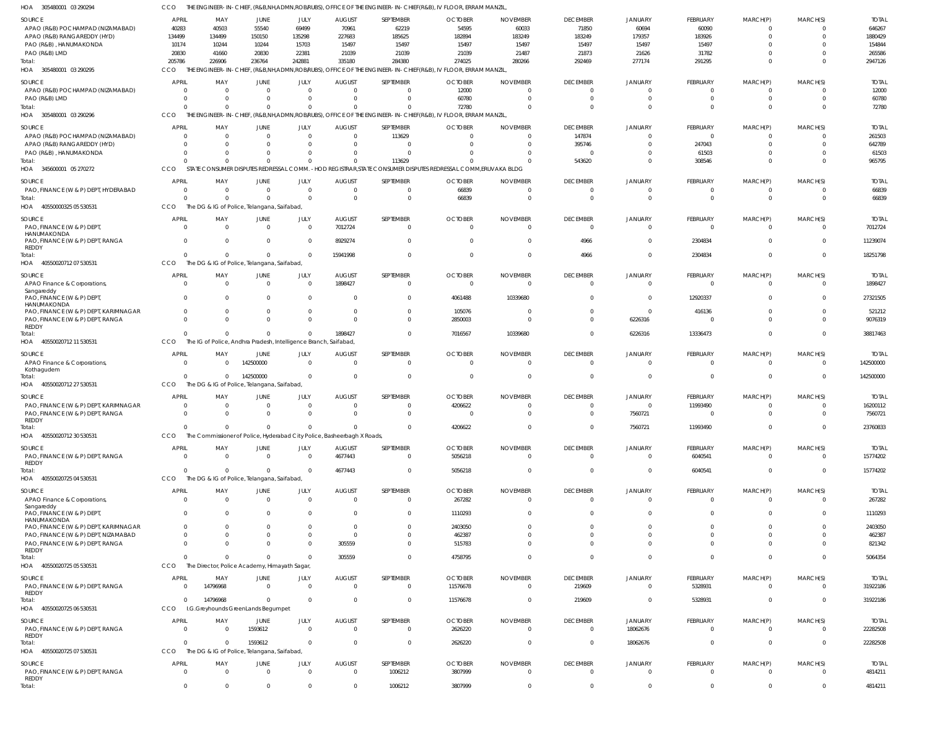| <b>SOURCE</b><br>APAO (R&B) POCHAMPAD (NIZAMABAD)                      | <b>APRIL</b><br>40283            | MAY<br>40503                                                     | JUNE<br>55540              | JULY<br>69499                | <b>AUGUST</b><br>70961                                                  | SEPTEMBER<br>62219         | <b>OCTOBER</b><br>54595                                                                                               | <b>NOVEMBER</b><br>60033 | <b>DECEMBER</b><br>71850         | <b>JANUARY</b><br>60694          | FEBRUARY<br>60090           | MARCH(P)<br>$\Omega$       | MARCH(S)<br>0                 | <b>TOTAL</b><br>646267 |
|------------------------------------------------------------------------|----------------------------------|------------------------------------------------------------------|----------------------------|------------------------------|-------------------------------------------------------------------------|----------------------------|-----------------------------------------------------------------------------------------------------------------------|--------------------------|----------------------------------|----------------------------------|-----------------------------|----------------------------|-------------------------------|------------------------|
| APAO (R&B) RANGAREDDY (HYD)                                            | 134499                           | 134499                                                           | 150150                     | 135298                       | 227683                                                                  | 185625                     | 182894                                                                                                                | 183249                   | 183249                           | 179357                           | 183926                      | $\Omega$                   | $\Omega$                      | 1880429                |
| PAO (R&B), HANUMAKONDA                                                 | 10174                            | 10244                                                            | 10244                      | 15703                        | 15497                                                                   | 15497                      | 15497                                                                                                                 | 15497                    | 15497                            | 15497                            | 15497                       | $\cap$                     | 0                             | 154844                 |
| PAO (R&B) LMD                                                          | 20830                            | 41660                                                            | 20830                      | 22381                        | 21039                                                                   | 21039                      | 21039                                                                                                                 | 21487                    | 21873                            | 21626                            | 31782                       | $\Omega$                   | $\Omega$                      | 265586                 |
| Total:<br>HOA 305480001 03 290295                                      | 205786<br>CCO                    | 226906                                                           | 236764                     | 242881                       | 335180                                                                  | 284380                     | 274025<br>THE ENGINEER-IN-CHIEF, (R&B,NH,ADMN,ROB/RUBS), OFFICE OF THE ENGINEER-IN-CHIEF(R&B), IV FLOOR, ERRAM MANZIL | 280266                   | 292469                           | 277174                           | 291295                      | $\Omega$                   | $\mathbf{0}$                  | 2947126                |
| <b>SOURCE</b>                                                          | <b>APRIL</b>                     | MAY                                                              | JUNE                       | JULY                         | <b>AUGUST</b>                                                           | SEPTEMBER                  | <b>OCTOBER</b>                                                                                                        | <b>NOVEMBER</b>          | <b>DECEMBER</b>                  | <b>JANUARY</b>                   | FEBRUARY                    | MARCH(P)                   | MARCH(S)                      | <b>TOTAL</b>           |
| APAO (R&B) POCHAMPAD (NIZAMABAD)                                       | - 0                              |                                                                  | $\Omega$                   | $\Omega$                     | $\Omega$                                                                | $^{\circ}$                 | 12000                                                                                                                 | $\Omega$                 | 0                                | 0                                | $\Omega$                    | - 0                        | 0                             | 12000                  |
| PAO (R&B) LMD                                                          | $\Omega$                         | $\Omega$                                                         | $\Omega$                   | $\Omega$                     | $\Omega$                                                                | $\mathbf 0$                | 60780                                                                                                                 | $\Omega$                 | $\Omega$                         | $\Omega$                         | $\Omega$                    | $\Omega$                   | 0                             | 60780                  |
| Total:<br>HOA 305480001 03 290296                                      | $\Omega$<br>CCO                  | $\Omega$                                                         | $\overline{0}$             | $\Omega$                     | $\Omega$                                                                | $\mathbf 0$                | 72780<br>THE ENGINEER-IN-CHIEF, (R&B,NH,ADMN,ROB/RUBS), OFFICE OF THE ENGINEER-IN-CHIEF(R&B), IV FLOOR, ERRAM MANZIL, | $\Omega$                 | $\Omega$                         | $\Omega$                         | $\Omega$                    | $\Omega$                   | $\Omega$                      | 72780                  |
|                                                                        |                                  |                                                                  |                            |                              |                                                                         |                            |                                                                                                                       |                          |                                  |                                  |                             |                            |                               |                        |
| <b>SOURCE</b>                                                          | <b>APRIL</b><br>- 0              | MAY                                                              | JUNE<br>$\overline{0}$     | JULY<br>$\mathbf{0}$         | <b>AUGUST</b><br>$\Omega$                                               | SEPTEMBER<br>113629        | <b>OCTOBER</b><br>$\Omega$                                                                                            | <b>NOVEMBER</b>          | <b>DECEMBER</b><br>147874        | JANUARY<br>0                     | <b>FEBRUARY</b><br>$\Omega$ | MARCH(P)<br>- 0            | MARCH(S)<br>$\mathbf{0}$      | <b>TOTAL</b><br>261503 |
| APAO (R&B) POCHAMPAD (NIZAMABAD)<br>APAO (R&B) RANGAREDDY (HYD)        | $\Omega$                         |                                                                  | $\Omega$                   | $\Omega$                     | $\Omega$                                                                | $\overline{0}$             |                                                                                                                       | $\Omega$                 | 395746                           | $\Omega$                         | 247043                      | $\Omega$                   | $\Omega$                      | 642789                 |
| PAO (R&B), HANUMAKONDA                                                 | $\Omega$                         |                                                                  | $\Omega$                   | $\Omega$                     |                                                                         | $\overline{0}$             |                                                                                                                       |                          | 0                                | $\Omega$                         | 61503                       | $\Omega$                   | $\Omega$                      | 61503                  |
| Total:                                                                 | $\Omega$                         |                                                                  | $\Omega$                   | $\Omega$                     | $\Omega$                                                                | 113629                     |                                                                                                                       | $\Omega$                 | 543620                           | $\overline{0}$                   | 308546                      | $\Omega$                   | $\mathbf{0}$                  | 965795                 |
| HOA 345600001 05 270272                                                | CCO                              |                                                                  |                            |                              |                                                                         |                            | STATE CONSUMER DISPUTES REDRESSAL COMM. - HOD REGISTRAR, STATE CONSUMER DISPUTES REDRESSAL COMM, ERUVAKA BLDG         |                          |                                  |                                  |                             |                            |                               |                        |
| SOURCE                                                                 | <b>APRIL</b>                     | MAY                                                              | JUNE                       | JULY                         | <b>AUGUST</b>                                                           | SEPTEMBER                  | <b>OCTOBER</b>                                                                                                        | <b>NOVEMBER</b>          | <b>DECEMBER</b>                  | <b>JANUARY</b>                   | FEBRUARY                    | MARCH(P)                   | MARCH(S)                      | <b>TOTAL</b>           |
| PAO, FINANCE (W & P) DEPT, HYDERABAD                                   | $\Omega$                         | $\Omega$                                                         | $\overline{0}$             | $\mathbf{0}$                 | $\Omega$                                                                | $\mathbf 0$                | 66839                                                                                                                 | $\Omega$                 | 0                                | $\Omega$                         | $\Omega$                    | $\Omega$                   | 0                             | 66839                  |
| Total:                                                                 | $\Omega$                         | $\Omega$                                                         | $\Omega$                   | $\Omega$                     | $\Omega$                                                                | $\overline{0}$             | 66839                                                                                                                 | $\Omega$                 | $\overline{0}$                   | $\Omega$                         | $\Omega$                    | $\Omega$                   | $\overline{0}$                | 66839                  |
| HOA 40550000325 05 530531                                              | CCO                              | The DG & IG of Police, Telangana, Saifabad,                      |                            |                              |                                                                         |                            |                                                                                                                       |                          |                                  |                                  |                             |                            |                               |                        |
| <b>SOURCE</b>                                                          | <b>APRIL</b>                     | MAY                                                              | JUNE                       | JULY                         | <b>AUGUST</b>                                                           | SEPTEMBER                  | <b>OCTOBER</b>                                                                                                        | <b>NOVEMBER</b>          | <b>DECEMBER</b>                  | JANUARY                          | FEBRUARY                    | MARCH(P)                   | MARCH(S)                      | <b>TOTAL</b>           |
| PAO, FINANCE (W & P) DEPT,                                             | $\overline{0}$                   | $\Omega$                                                         | $\overline{0}$             | $\mathbf{0}$                 | 7012724                                                                 | $\overline{0}$             | $\mathbf{0}$                                                                                                          | $\mathbf{0}$             | $\overline{0}$                   | $\overline{0}$                   | $\overline{0}$              | $\Omega$                   | $\overline{0}$                | 7012724                |
| HANUMAKONDA<br>PAO, FINANCE (W & P) DEPT, RANGA                        | $\Omega$                         | $\Omega$                                                         | $\Omega$                   | $\mathbf{0}$                 | 8929274                                                                 | $\overline{0}$             | $\Omega$                                                                                                              | $\Omega$                 | 4966                             | $\overline{0}$                   | 2304834                     | $\Omega$                   | $\mathbf 0$                   | 11239074               |
| REDDY                                                                  |                                  |                                                                  |                            |                              |                                                                         |                            |                                                                                                                       |                          |                                  |                                  |                             |                            |                               |                        |
| Total:<br>HOA 40550020712 07 530531                                    | $\Omega$<br>CCO                  | $\Omega$<br>The DG & IG of Police, Telangana, Saifabad,          | $\mathbf{0}$               | $\mathbf{0}$                 | 15941998                                                                | $\overline{0}$             | $\Omega$                                                                                                              | $\overline{0}$           | 4966                             | $\overline{0}$                   | 2304834                     | $\Omega$                   | $\overline{0}$                | 18251798               |
|                                                                        |                                  |                                                                  |                            |                              |                                                                         |                            |                                                                                                                       |                          |                                  |                                  |                             |                            |                               |                        |
| <b>SOURCE</b>                                                          | <b>APRIL</b>                     | MAY                                                              | JUNE                       | JULY                         | <b>AUGUST</b>                                                           | SEPTEMBER                  | <b>OCTOBER</b>                                                                                                        | <b>NOVEMBER</b>          | <b>DECEMBER</b>                  | <b>JANUARY</b>                   | FEBRUARY                    | MARCH(P)                   | MARCH(S)                      | <b>TOTAL</b>           |
| APAO Finance & Corporations<br>Sangareddy<br>PAO, FINANCE (W & P) DEPT | $\overline{0}$<br>$\overline{0}$ | $\Omega$                                                         | $\overline{0}$<br>$\Omega$ | $\mathbf{0}$<br>$\mathbf{0}$ | 1898427<br>$\Omega$                                                     | $\mathbf 0$<br>$\mathbf 0$ | $\Omega$<br>4061488                                                                                                   | $\Omega$<br>10339680     | $\overline{0}$<br>$\overline{0}$ | $\overline{0}$<br>$\overline{0}$ | $\overline{0}$<br>12920337  | $\Omega$<br>$\Omega$       | $\overline{0}$<br>$\mathbf 0$ | 1898427<br>27321505    |
| HANUMAKONDA                                                            |                                  |                                                                  |                            |                              |                                                                         |                            |                                                                                                                       |                          |                                  |                                  |                             |                            |                               |                        |
| PAO, FINANCE (W & P) DEPT, KARIMNAGAR                                  | $\overline{0}$<br>$\Omega$       | 0                                                                | $\mathbf{0}$<br>$\Omega$   | $\mathbf{0}$<br>$\Omega$     | $\Omega$<br>$\Omega$                                                    | $\mathbf 0$<br>$\Omega$    | 105076                                                                                                                | $\Omega$                 | 0                                | $\overline{0}$                   | 416136                      | $\Omega$<br>$\Omega$       | $\mathbf{0}$                  | 521212                 |
| PAO, FINANCE (W & P) DEPT, RANGA<br>REDDY                              |                                  |                                                                  |                            |                              |                                                                         |                            | 2850003                                                                                                               |                          | $\Omega$                         | 6226316                          | $\cap$                      |                            | $\Omega$                      | 9076319                |
| Total:                                                                 | $\Omega$                         |                                                                  | $\Omega$                   | $\Omega$                     | 1898427                                                                 | $\mathbf 0$                | 7016567                                                                                                               | 10339680                 | $\overline{0}$                   | 6226316                          | 13336473                    | $\Omega$                   | $\mathbf{0}$                  | 38817463               |
| HOA 40550020712 11 530531                                              | CCO                              | The IG of Police, Andhra Pradesh, Intelligence Branch, Saifabad, |                            |                              |                                                                         |                            |                                                                                                                       |                          |                                  |                                  |                             |                            |                               |                        |
| <b>SOURCE</b>                                                          | <b>APRIL</b>                     | MAY                                                              | JUNE                       | JULY                         | <b>AUGUST</b>                                                           | SEPTEMBER                  | <b>OCTOBER</b>                                                                                                        | <b>NOVEMBER</b>          | <b>DECEMBER</b>                  | JANUARY                          | FEBRUARY                    | MARCH(P)                   | MARCH(S)                      | <b>TOTAL</b>           |
| APAO Finance & Corporations,<br>Kothagudem                             | $\overline{0}$                   |                                                                  | 142500000                  | $\overline{0}$               | $\Omega$                                                                | $\overline{0}$             | $\overline{0}$                                                                                                        | $\Omega$                 | $\overline{0}$                   | $\overline{0}$                   | $\Omega$                    | $\Omega$                   | $\overline{0}$                | 142500000              |
| Total:                                                                 | $\Omega$                         |                                                                  | 142500000                  | $\Omega$                     | $\Omega$                                                                | $\overline{0}$             | $\Omega$                                                                                                              | $\Omega$                 | $\overline{0}$                   | 0                                | $\Omega$                    | $\Omega$                   | $\overline{0}$                | 142500000              |
| HOA 40550020712 27 530531                                              | CCO                              | The DG & IG of Police, Telangana, Saifabad,                      |                            |                              |                                                                         |                            |                                                                                                                       |                          |                                  |                                  |                             |                            |                               |                        |
| <b>SOURCE</b>                                                          | <b>APRIL</b>                     | MAY                                                              | <b>JUNE</b>                | JULY                         | <b>AUGUST</b>                                                           | SEPTEMBER                  | <b>OCTOBER</b>                                                                                                        | <b>NOVEMBER</b>          | <b>DECEMBER</b>                  | <b>JANUARY</b>                   | FEBRUARY                    | MARCH(P)                   | MARCH(S)                      | <b>TOTAL</b>           |
| PAO, FINANCE (W & P) DEPT, KARIMNAGAR                                  | $\mathbf{0}$                     | - 0                                                              | $\overline{0}$             | $\mathbf{0}$                 | $\Omega$                                                                | 0                          | 4206622                                                                                                               | $\Omega$                 | $\Omega$                         | $\overline{0}$                   | 11993490                    | $\cap$                     | $\Omega$                      | 16200112               |
| PAO, FINANCE (W & P) DEPT, RANGA                                       | $\Omega$                         | $\Omega$                                                         | $\Omega$                   | $\Omega$                     | $\Omega$                                                                | $\mathbf 0$                | $\Omega$                                                                                                              | $\Omega$                 | $\overline{0}$                   | 7560721                          | $\Omega$                    | $\Omega$                   | $\Omega$                      | 7560721                |
| REDDY<br>Total:                                                        |                                  |                                                                  | 0                          |                              |                                                                         | - 0                        | 4206622                                                                                                               |                          |                                  | 7560721                          | 11993490                    |                            |                               | 23760833               |
| HOA 40550020712 30 530531                                              | CCO                              |                                                                  |                            |                              | The Commissioner of Police, Hyderabad City Police, Basheerbagh X Roads, |                            |                                                                                                                       |                          |                                  |                                  |                             |                            |                               |                        |
| SOURCE                                                                 | <b>APRIL</b>                     | MAY                                                              | <b>JUNE</b>                | JULY                         | <b>AUGUST</b>                                                           | SEPTEMBER                  | <b>OCTOBER</b>                                                                                                        | <b>NOVEMBER</b>          | <b>DECEMBER</b>                  | <b>JANUARY</b>                   | FEBRUARY                    | MARCH(P)                   | MARCH(S)                      | <b>TOTAL</b>           |
| PAO, FINANCE (W & P) DEPT, RANGA                                       | $\overline{0}$                   | $\Omega$                                                         | $\overline{0}$             | $\overline{0}$               | 4677443                                                                 | $\overline{0}$             | 5056218                                                                                                               | $\mathbf{0}$             | $\overline{0}$                   | $\overline{0}$                   | 6040541                     | $\Omega$                   | $\overline{0}$                | 15774202               |
| <b>REDDY</b>                                                           |                                  |                                                                  |                            |                              |                                                                         |                            |                                                                                                                       |                          |                                  |                                  |                             |                            |                               |                        |
| Total:<br>HOA 40550020725 04 530531                                    | $\Omega$<br>CCO                  | $\Omega$<br>The DG & IG of Police, Telangana, Saifabad,          | $\overline{0}$             | $\Omega$                     | 4677443                                                                 | $\overline{0}$             | 5056218                                                                                                               | $\overline{0}$           | $\overline{0}$                   | $\mathbf 0$                      | 6040541                     | $\overline{0}$             | $\overline{0}$                | 15774202               |
|                                                                        |                                  |                                                                  |                            |                              |                                                                         |                            |                                                                                                                       |                          |                                  |                                  |                             |                            |                               |                        |
| SOURCE                                                                 | <b>APRIL</b>                     | MAY                                                              | JUNE                       | JULY                         | <b>AUGUST</b>                                                           | SEPTEMBER                  | <b>OCTOBER</b>                                                                                                        | <b>NOVEMBER</b>          | <b>DECEMBER</b>                  | <b>JANUARY</b>                   | FEBRUARY                    | MARCH(P)                   | MARCH(S)                      | <b>TOTAL</b>           |
| APAO Finance & Corporations<br>Sangareddy                              | $\overline{0}$                   | $\Omega$                                                         | $\mathbf{0}$               | $\mathbf{0}$                 | $\Omega$                                                                | $\overline{0}$             | 267282                                                                                                                | $\Omega$                 | $\overline{0}$                   | $\mathbf{0}$                     | $\Omega$                    | $\Omega$                   | $\overline{0}$                | 267282                 |
| PAO, FINANCE (W & P) DEPT,                                             | $\overline{0}$                   |                                                                  | $\Omega$                   | $\Omega$                     | $\Omega$                                                                | $\overline{0}$             | 1110293                                                                                                               | $\Omega$                 | $\Omega$                         | $\Omega$                         | $\Omega$                    | $\Omega$                   | $\Omega$                      | 1110293                |
| HANUMAKONDA<br>PAO, FINANCE (W & P) DEPT, KARIMNAGAR                   | $\Omega$                         |                                                                  | $\Omega$                   | $\Omega$                     | $\Omega$                                                                | $\mathbf 0$                | 2403050                                                                                                               | <sup>0</sup>             | $\Omega$                         | $\Omega$                         | $\Omega$                    | $\Omega$                   | $\Omega$                      | 2403050                |
| PAO, FINANCE (W & P) DEPT, NIZAMABAD                                   | $\Omega$                         |                                                                  | $\Omega$                   | $\Omega$                     | $\Omega$                                                                | $\Omega$                   | 462387                                                                                                                | $\Omega$                 | $\Omega$                         | $\Omega$                         | $\Omega$                    | $\Omega$                   | $\Omega$                      | 462387                 |
| PAO, FINANCE (W & P) DEPT, RANGA                                       | $\Omega$                         |                                                                  | $\Omega$                   | $\mathbf{0}$                 | 305559                                                                  | $\Omega$                   | 515783                                                                                                                | $\Omega$                 | $\Omega$                         | $\Omega$                         | $\Omega$                    | $\Omega$                   | $\Omega$                      | 821342                 |
| REDDY                                                                  | $\Omega$                         |                                                                  | $\Omega$                   | $\Omega$                     |                                                                         | $\Omega$                   |                                                                                                                       | $\Omega$                 | $\Omega$                         | $\Omega$                         | $\Omega$                    | $\Omega$                   | $\Omega$                      |                        |
| Total:<br>HOA 40550020725 05 530531                                    | CCO                              | The Director, Police Academy, Himayath Sagar,                    |                            |                              | 305559                                                                  |                            | 4758795                                                                                                               |                          |                                  |                                  |                             |                            |                               | 5064354                |
|                                                                        |                                  |                                                                  |                            |                              |                                                                         |                            |                                                                                                                       |                          |                                  |                                  |                             |                            |                               |                        |
| SOURCE                                                                 | <b>APRIL</b><br>$\overline{0}$   | MAY                                                              | JUNE                       | JULY<br>$\overline{0}$       | <b>AUGUST</b><br>$\overline{0}$                                         | SEPTEMBER                  | <b>OCTOBER</b>                                                                                                        | <b>NOVEMBER</b>          | <b>DECEMBER</b>                  | <b>JANUARY</b>                   | FEBRUARY                    | MARCH(P)<br>$\overline{0}$ | MARCH(S)<br>$\overline{0}$    | <b>TOTAL</b>           |
| PAO, FINANCE (W & P) DEPT, RANGA<br><b>REDDY</b>                       |                                  | 14796968                                                         | $\overline{0}$             |                              |                                                                         | $\overline{0}$             | 11576678                                                                                                              | $\overline{0}$           | 219609                           | $\mathbf 0$                      | 5328931                     |                            |                               | 31922186               |
| Total:                                                                 | $\mathbf 0$                      | 14796968                                                         | $\mathbf{0}$               | $\mathbf{0}$                 | $\Omega$                                                                | $\overline{0}$             | 11576678                                                                                                              | $\overline{0}$           | 219609                           | $\overline{0}$                   | 5328931                     | $\Omega$                   | $\overline{0}$                | 31922186               |
| HOA 40550020725 06 530531                                              | CCO                              | I.G.Greyhounds GreenLands Begumpet                               |                            |                              |                                                                         |                            |                                                                                                                       |                          |                                  |                                  |                             |                            |                               |                        |
| SOURCE                                                                 | <b>APRIL</b>                     | MAY                                                              | JUNE                       | JULY                         | <b>AUGUST</b>                                                           | SEPTEMBER                  | <b>OCTOBER</b>                                                                                                        | <b>NOVEMBER</b>          | <b>DECEMBER</b>                  | <b>JANUARY</b>                   | FEBRUARY                    | MARCH(P)                   | MARCH(S)                      | <b>TOTAL</b>           |
| PAO, FINANCE (W & P) DEPT, RANGA                                       | $\Omega$                         | - 0                                                              | 1593612                    | $\mathbf{0}$                 | $\Omega$                                                                | $\overline{0}$             | 2626220                                                                                                               | $\Omega$                 | $\overline{0}$                   | 18062676                         | $\Omega$                    | $\Omega$                   | $\Omega$                      | 22282508               |
| <b>REDDY</b><br>Total:                                                 | $\Omega$                         | $\Omega$                                                         | 1593612                    | $\mathbf 0$                  | $\Omega$                                                                | $\overline{0}$             | 2626220                                                                                                               | $\Omega$                 | $\overline{0}$                   | 18062676                         | $\Omega$                    | $\Omega$                   | $\overline{0}$                | 22282508               |
| HOA 40550020725 07 530531                                              | CCO                              | The DG & IG of Police, Telangana, Saifabad,                      |                            |                              |                                                                         |                            |                                                                                                                       |                          |                                  |                                  |                             |                            |                               |                        |
| SOURCE                                                                 | <b>APRIL</b>                     | MAY                                                              | JUNE                       | JULY                         | <b>AUGUST</b>                                                           | SEPTEMBER                  | <b>OCTOBER</b>                                                                                                        | <b>NOVEMBER</b>          | <b>DECEMBER</b>                  | JANUARY                          | FEBRUARY                    | MARCH(P)                   | MARCH(S)                      | <b>TOTAL</b>           |
| PAO, FINANCE (W & P) DEPT, RANGA                                       | $\overline{0}$                   | $\Omega$                                                         | $\overline{0}$             | $\overline{0}$               | $\overline{0}$                                                          | 1006212                    | 3807999                                                                                                               | $\mathbf{0}$             | $\overline{0}$                   | $\overline{0}$                   | $\Omega$                    | $\Omega$                   | $\overline{0}$                | 4814211                |
| <b>REDDY</b>                                                           |                                  |                                                                  |                            |                              |                                                                         |                            |                                                                                                                       |                          |                                  |                                  |                             |                            |                               |                        |
| Total:                                                                 | $\mathbf 0$                      | $\Omega$                                                         | $\mathbf{0}$               | $\mathbf 0$                  | $\mathbf 0$                                                             | 1006212                    | 3807999                                                                                                               | $\overline{0}$           | $\mathbf{0}$                     | $\mathbf{0}$                     | $\overline{0}$              | $\overline{0}$             | $\mathbf{0}$                  | 4814211                |

CCO THE ENGINEER-IN-CHIEF, (R&B,NH,ADMN,ROB/RUBS), OFFICE OF THE ENGINEER-IN-CHIEF(R&B), IV FLOOR, ERRAM MANZIL,

305480001 03 290294 HOA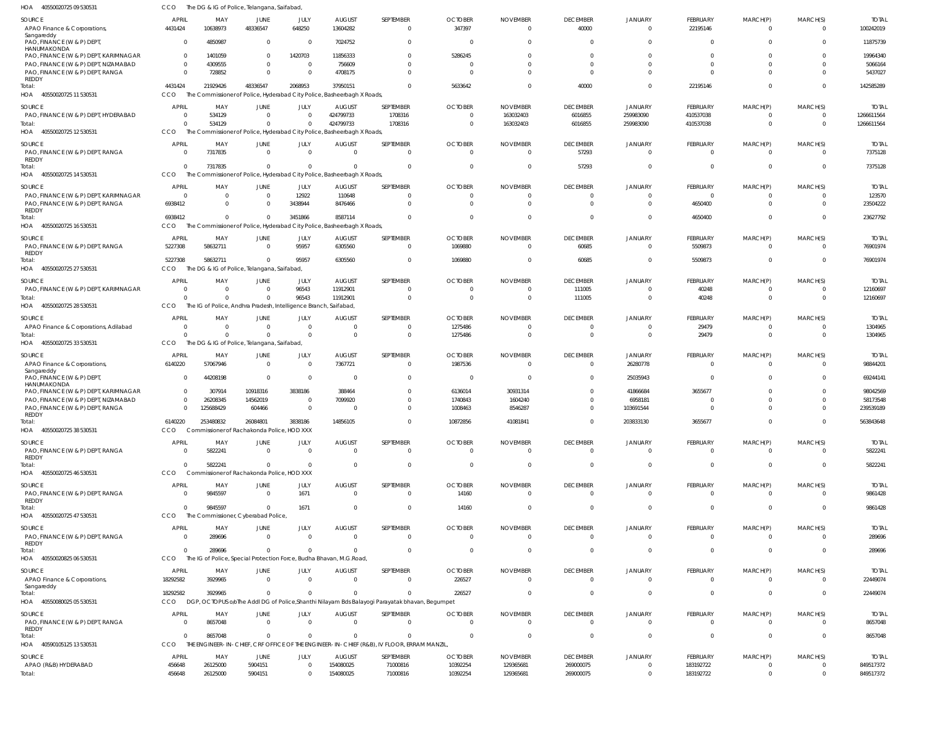| HOA<br>40550020725 09 530531                                             | CCO                            | The DG & IG of Police, Telangana, Saifabad,                                         |                            |                      |                                  |                                                                                                       |                            |                                   |                                   |                                  |                                   |                              |                      |                           |
|--------------------------------------------------------------------------|--------------------------------|-------------------------------------------------------------------------------------|----------------------------|----------------------|----------------------------------|-------------------------------------------------------------------------------------------------------|----------------------------|-----------------------------------|-----------------------------------|----------------------------------|-----------------------------------|------------------------------|----------------------|---------------------------|
| SOURCE<br>APAO Finance & Corporations,                                   | APRIL<br>4431424               | MAY<br>10638973                                                                     | JUNE<br>48336547           | JULY<br>648250       | <b>AUGUST</b><br>13604282        | SEPTEMBER<br>$\mathbf 0$                                                                              | <b>OCTOBER</b><br>347397   | <b>NOVEMBER</b><br>$\overline{0}$ | <b>DECEMBER</b><br>40000          | <b>JANUARY</b><br>$\overline{0}$ | <b>FEBRUARY</b><br>22195146       | MARCH(P)<br>$\overline{0}$   | MARCH(S)<br>$\Omega$ | <b>TOTAI</b><br>100242019 |
| Sangareddy<br>PAO, FINANCE (W & P) DEPT,                                 | $\Omega$                       | 4850987                                                                             | $\mathbf 0$                | $\Omega$             | 7024752                          | $\Omega$                                                                                              | - 0                        | $\Omega$                          | $\Omega$                          | $\Omega$                         | $\mathbf 0$                       | $\Omega$                     | $\Omega$             | 11875739                  |
| HANUMAKONDA<br>PAO, FINANCE (W & P) DEPT, KARIMNAGAR                     | $\overline{0}$                 | 1401059                                                                             | $\Omega$                   | 1420703              | 11856333                         |                                                                                                       | 5286245                    | $\Omega$                          | $\Omega$                          | $\Omega$                         | $\Omega$                          | n                            |                      | 19964340                  |
| PAO, FINANCE (W & P) DEPT, NIZAMABAD                                     | $\Omega$<br>$\Omega$           | 4309555                                                                             | $\overline{0}$<br>$\Omega$ | $\Omega$<br>$\Omega$ | 756609                           | $\Omega$<br>$\Omega$                                                                                  | - 0<br>$\Omega$            | $\Omega$<br>$\Omega$              | $\Omega$<br>$\Omega$              | $\Omega$<br>$\Omega$             | $\Omega$<br>$\Omega$              | $\Omega$<br>$\Omega$         | $\Omega$<br>$\Omega$ | 5066164                   |
| PAO, FINANCE (W & P) DEPT, RANGA<br>REDDY                                |                                | 728852                                                                              |                            |                      | 4708175                          |                                                                                                       |                            |                                   |                                   |                                  |                                   |                              |                      | 5437027                   |
| Total:<br>HOA 40550020725 11 530531                                      | 4431424<br><b>CCO</b>          | 21929426<br>The Commissioner of Police, Hyderabad City Police, Basheerbagh X Roads, | 48336547                   | 2068953              | 37950151                         | $\Omega$                                                                                              | 5633642                    | $\Omega$                          | 40000                             | $\Omega$                         | 22195146                          | $\Omega$                     | $\Omega$             | 142585289                 |
| SOURCE                                                                   | <b>APRIL</b>                   | MAY                                                                                 | JUNE                       | JULY                 | <b>AUGUST</b>                    | SEPTEMBER                                                                                             | <b>OCTOBER</b>             | <b>NOVEMBER</b>                   | <b>DECEMBER</b>                   | JANUARY                          | FEBRUARY                          | MARCH(P)                     | MARCH(S)             | <b>TOTAI</b>              |
| PAO, FINANCE (W & P) DEPT, HYDERABAD                                     | $\overline{0}$                 | 534129                                                                              | $\mathbf 0$                | $\Omega$             | 424799733                        | 1708316                                                                                               | $\overline{0}$             | 163032403                         | 6016855                           | 259983090                        | 410537038                         | $\mathbf 0$                  | $\overline{0}$       | 1266611564                |
| Total:<br>HOA 40550020725 12 530531                                      | $\Omega$<br>CCO                | 534129<br>The Commissioner of Police, Hyderabad City Police, Basheerbagh X Roads    | $\mathbf{0}$               |                      | 424799733                        | 1708316                                                                                               | $\overline{0}$             | 163032403                         | 6016855                           | 259983090                        | 410537038                         | $\overline{0}$               | $\overline{0}$       | 1266611564                |
| SOURCE                                                                   | <b>APRIL</b>                   | MAY                                                                                 | JUNE                       | JULY                 | <b>AUGUST</b>                    | SEPTEMBER                                                                                             | <b>OCTOBER</b>             | <b>NOVEMBER</b>                   | <b>DECEMBER</b>                   | JANUARY                          | FEBRUARY                          | MARCH(P)                     | MARCH(S)             | <b>TOTAI</b>              |
| PAO, FINANCE (W & P) DEPT, RANGA<br>REDDY                                | $\Omega$                       | 7317835                                                                             | $\Omega$                   | $\Omega$             | $\Omega$                         | $\mathbf 0$                                                                                           | $\overline{0}$             | $\overline{0}$                    | 57293                             | $\Omega$                         | $\mathbf 0$                       | $\mathbf 0$                  | $\Omega$             | 7375128                   |
| Total:                                                                   | $\overline{0}$                 | 7317835                                                                             | $\mathbf 0$                | $\Omega$             | $\Omega$                         | $\mathbf 0$                                                                                           | $\overline{0}$             | $\overline{0}$                    | 57293                             | $\Omega$                         | $\overline{0}$                    | $\overline{0}$               | $\Omega$             | 7375128                   |
| HOA 40550020725 14 530531                                                | CCO                            | The Commissioner of Police, Hyderabad City Police, Basheerbagh X Roads              |                            |                      |                                  |                                                                                                       |                            |                                   |                                   |                                  |                                   |                              |                      |                           |
| SOURCE<br>PAO, FINANCE (W & P) DEPT, KARIMNAGAR                          | <b>APRIL</b><br>$\Omega$       | MAY<br>$\overline{0}$                                                               | JUNE<br>$^{\circ}$         | JULY<br>12922        | <b>AUGUST</b><br>110648          | SEPTEMBER                                                                                             | <b>OCTOBER</b><br>-0       | <b>NOVEMBER</b><br>0              | <b>DECEMBER</b><br>$\overline{0}$ | <b>JANUARY</b><br>$\Omega$       | <b>FEBRUARY</b><br>$\overline{0}$ | MARCH(P)<br>-0               | MARCH(S)             | <b>TOTAI</b><br>123570    |
| PAO, FINANCE (W & P) DEPT, RANGA                                         | 6938412                        | $\Omega$                                                                            | -0                         | 3438944              | 8476466                          | 0                                                                                                     | $\overline{0}$             | $\Omega$                          | $\Omega$                          | $\Omega$                         | 4650400                           | $\mathbf 0$                  | $\Omega$             | 23504222                  |
| REDDY<br>Total:                                                          | 6938412                        | $\Omega$                                                                            | $\Omega$                   | 3451866              | 8587114                          | $\Omega$                                                                                              | $\mathbf 0$                | $\Omega$                          | $\Omega$                          | $\Omega$                         | 4650400                           | $\overline{0}$               | $\Omega$             | 23627792                  |
| HOA 40550020725 16 530531                                                | <b>CCO</b>                     | The Commissioner of Police, Hyderabad City Police, Basheerbagh X Roads              |                            |                      |                                  |                                                                                                       |                            |                                   |                                   |                                  |                                   |                              |                      |                           |
| SOURCE                                                                   | <b>APRIL</b>                   | MAY                                                                                 | JUNE                       | JULY                 | <b>AUGUST</b>                    | SEPTEMBER                                                                                             | <b>OCTOBER</b>             | <b>NOVEMBER</b>                   | <b>DECEMBER</b>                   | JANUARY                          | FEBRUARY                          | MARCH(P)                     | MARCH(S)             | <b>TOTAI</b>              |
| PAO, FINANCE (W & P) DEPT, RANGA<br>REDDY                                | 5227308                        | 58632711                                                                            | $\Omega$                   | 95957                | 6305560                          | $\Omega$                                                                                              | 1069880                    | $\Omega$                          | 60685                             | $\Omega$                         | 5509873                           | $\Omega$                     | $\Omega$             | 76901974                  |
| Total:<br>HOA 40550020725 27 530531                                      | 5227308<br>CCO                 | 58632711<br>The DG & IG of Police, Telangana, Saifabad,                             | $\Omega$                   | 95957                | 6305560                          | $\Omega$                                                                                              | 1069880                    | 0                                 | 60685                             | $\overline{0}$                   | 5509873                           | $\overline{0}$               | $\Omega$             | 76901974                  |
| SOURCE                                                                   | <b>APRIL</b>                   | MAY                                                                                 | JUNE                       | JULY                 | <b>AUGUST</b>                    | SEPTEMBER                                                                                             | <b>OCTOBER</b>             | <b>NOVEMBER</b>                   | <b>DECEMBER</b>                   | <b>JANUARY</b>                   | FEBRUARY                          | MARCH(P)                     | MARCH(S)             | <b>TOTAL</b>              |
| PAO, FINANCE (W & P) DEPT, KARIMNAGAR<br>Total:                          | $\Omega$<br>$\Omega$           | $\overline{\mathbf{0}}$<br>$\overline{0}$                                           | $\Omega$<br>$\Omega$       | 96543<br>96543       | 11912901<br>11912901             | 0                                                                                                     | -0<br>$\overline{0}$       | 0<br>$\overline{0}$               | 111005<br>111005                  | $\Omega$<br>$\overline{0}$       | 40248<br>40248                    | -0<br>$\overline{0}$         | $\Omega$<br>$\Omega$ | 12160697<br>12160697      |
| HOA 40550020725 28 530531                                                | CCO                            | The IG of Police, Andhra Pradesh, Intelligence Branch, Saifabad,                    |                            |                      |                                  |                                                                                                       |                            |                                   |                                   |                                  |                                   |                              |                      |                           |
| SOURCE                                                                   | <b>APRIL</b>                   | MAY                                                                                 | JUNE                       | JULY                 | <b>AUGUST</b>                    | SEPTEMBER                                                                                             | <b>OCTOBER</b>             | <b>NOVEMBER</b>                   | <b>DECEMBER</b>                   | JANUARY                          | <b>FEBRUARY</b>                   | MARCH(P)                     | MARCH(S)             | <b>TOTAI</b>              |
| APAO Finance & Corporations, Adilabad<br>Total:                          | $\Omega$<br>$\Omega$           | $\overline{\mathbf{0}}$<br>$\Omega$                                                 | - 0<br>$\Omega$            | $\Omega$<br>$\Omega$ | $\overline{0}$<br>$\overline{0}$ | 0<br>$\Omega$                                                                                         | 1275486<br>1275486         | - 0<br>$\Omega$                   | $\Omega$<br>$\overline{0}$        | $\Omega$<br>$\Omega$             | 29479<br>29479                    | $^{\circ}$<br>$\overline{0}$ | $\Omega$<br>$\Omega$ | 1304965<br>1304965        |
| HOA<br>40550020725 33 530531                                             | CCO                            | The DG & IG of Police, Telangana, Saifabad                                          |                            |                      |                                  |                                                                                                       |                            |                                   |                                   |                                  |                                   |                              |                      |                           |
| SOURCE<br>APAO Finance & Corporations,                                   | APRIL<br>6140220               | MAY<br>57067946                                                                     | JUNE<br>$\Omega$           | JULY<br>$\Omega$     | <b>AUGUST</b><br>7367721         | SEPTEMBER<br>$\mathbf 0$                                                                              | <b>OCTOBER</b><br>1987536  | <b>NOVEMBER</b><br>$\overline{0}$ | <b>DECEMBER</b><br>$\overline{0}$ | <b>JANUARY</b><br>26280778       | <b>FEBRUARY</b><br>$\overline{0}$ | MARCH(P)<br>$\mathbf 0$      | MARCH(S)<br>$\Omega$ | <b>TOTAI</b><br>98844201  |
| Sangareddy<br>PAO, FINANCE (W & P) DEPT,<br>HANUMAKONDA                  | $\Omega$                       | 44208198                                                                            | $\Omega$                   | $\Omega$             | $\overline{0}$                   | $\mathbf 0$                                                                                           | $\overline{0}$             | - 0                               | $\overline{0}$                    | 25035943                         | $\mathbf 0$                       | $\mathbf 0$                  | $\Omega$             | 69244141                  |
| PAO, FINANCE (W & P) DEPT, KARIMNAGAR                                    | $\Omega$                       | 307914                                                                              | 10918316                   | 3838186              | 388464                           | $\Omega$                                                                                              | 6136014                    | 30931314                          | $\Omega$                          | 41866684                         | 3655677                           | $\Omega$                     | $\Omega$             | 98042569                  |
| PAO, FINANCE (W & P) DEPT, NIZAMABAD<br>PAO, FINANCE (W & P) DEPT, RANGA | $\Omega$<br>$\Omega$           | 26208345<br>125688429                                                               | 14562019<br>604466         | $\Omega$             | 7099920<br>- 0                   | 0<br>$\Omega$                                                                                         | 1740843<br>1008463         | 1604240<br>8546287                | $\Omega$<br>$\Omega$              | 6958181<br>103691544             | 0<br>$\Omega$                     | $\Omega$                     | $\Omega$<br>$\Omega$ | 58173548<br>239539189     |
| REDDY<br>Total:                                                          | 6140220                        | 253480832                                                                           | 26084801                   | 3838186              | 14856105                         | 0                                                                                                     | 10872856                   | 41081841                          | $\overline{0}$                    | 203833130                        | 3655677                           |                              | $\Omega$             | 563843648                 |
| HOA 40550020725 38 530531                                                | CCO                            | Commissioner of Rachakonda Police, HOD XXX                                          |                            |                      |                                  |                                                                                                       |                            |                                   |                                   |                                  |                                   |                              |                      |                           |
| SOURCE                                                                   | <b>APRIL</b>                   | MAY                                                                                 | JUNE                       | JULY                 | <b>AUGUST</b>                    | SEPTEMBER                                                                                             | <b>OCTOBER</b>             | <b>NOVEMBER</b>                   | <b>DECEMBER</b>                   | <b>JANUARY</b>                   | <b>FEBRUARY</b>                   | MARCH(P)                     | MARCH(S)             | <b>TOTAL</b>              |
| PAO, FINANCE (W & P) DEPT, RANGA<br>REDDY                                | $\Omega$                       | 5822241                                                                             | $\Omega$                   | $\Omega$             | $\Omega$                         | $\Omega$                                                                                              | $\Omega$                   | $\Omega$                          | $\overline{0}$                    | $\overline{0}$                   | $\Omega$                          | $\Omega$                     | $\Omega$             | 5822241                   |
| Total:<br>HOA 40550020725 46 530531                                      | $\mathbf 0$<br>CCO             | 5822241<br>Commissioner of Rachakonda Police, HOD XXX                               | $\Omega$                   | $\Omega$             | $\overline{0}$                   | $\mathbf 0$                                                                                           | $\overline{0}$             | $\overline{0}$                    | $\overline{0}$                    | $\overline{0}$                   | $\overline{0}$                    | $\overline{0}$               | $\overline{0}$       | 5822241                   |
| SOURCE                                                                   | <b>APRIL</b>                   | MAY                                                                                 | JUNE                       | JULY                 | <b>AUGUST</b>                    | SEPTEMBER                                                                                             | <b>OCTOBER</b>             | <b>NOVEMBER</b>                   | <b>DECEMBER</b>                   | <b>JANUARY</b>                   | FEBRUARY                          | MARCH(P)                     | MARCH(S)             | <b>TOTAL</b>              |
| PAO, FINANCE (W & P) DEPT, RANGA                                         | $\overline{0}$                 | 9845597                                                                             | $\Omega$                   | 1671                 | $\overline{0}$                   | $\mathbf 0$                                                                                           | 14160                      | $\Omega$                          | $\overline{0}$                    | $\overline{0}$                   | $\overline{0}$                    | $\overline{0}$               | $\Omega$             | 9861428                   |
| REDDY<br>Total:<br>HOA 40550020725 47 530531                             | $\Omega$<br>CCO                | 9845597<br>The Commissioner, Cyberabad Police,                                      | $\Omega$                   | 1671                 | $\overline{0}$                   | $\mathbf 0$                                                                                           | 14160                      | $\overline{0}$                    | $\overline{0}$                    | $\overline{0}$                   | $\overline{0}$                    | $\overline{0}$               | $\overline{0}$       | 9861428                   |
| SOURCE                                                                   | <b>APRIL</b>                   | MAY                                                                                 | JUNE                       | JULY                 | <b>AUGUST</b>                    | SEPTEMBER                                                                                             | <b>OCTOBER</b>             | <b>NOVEMBER</b>                   | <b>DECEMBER</b>                   | <b>JANUARY</b>                   | <b>FEBRUARY</b>                   | MARCH(P)                     | MARCH(S)             | <b>TOTAL</b>              |
| PAO, FINANCE (W & P) DEPT, RANGA<br>REDDY                                | $\overline{0}$                 | 289696                                                                              | $\Omega$                   | $\Omega$             | $\Omega$                         | $\mathbf 0$                                                                                           | $\overline{0}$             | $\Omega$                          | $\overline{0}$                    | $\Omega$                         | $\overline{0}$                    | $\overline{0}$               | $\Omega$             | 289696                    |
| Total:<br>HOA 40550020825 06 530531                                      | $\Omega$<br>CCO                | 289696<br>The IG of Police, Special Protection Force, Budha Bhavan, M.G.Road,       | $\Omega$                   | $\Omega$             | $\Omega$                         | $\Omega$                                                                                              | $\Omega$                   | $\Omega$                          | $\overline{0}$                    | $\Omega$                         | $\Omega$                          | $\overline{0}$               | $\Omega$             | 289696                    |
| SOURCE                                                                   | APRIL                          | MAY                                                                                 | JUNE                       | JULY                 | <b>AUGUST</b>                    | SEPTEMBER                                                                                             | <b>OCTOBER</b>             | <b>NOVEMBER</b>                   | <b>DECEMBER</b>                   | <b>JANUARY</b>                   | <b>FEBRUARY</b>                   | MARCH(P)                     | MARCH(S)             | <b>TOTAL</b>              |
| APAO Finance & Corporations,                                             | 18292582                       | 3929965                                                                             | $\Omega$                   | $\Omega$             | $\overline{0}$                   | $\mathbf 0$                                                                                           | 226527                     | $\overline{0}$                    | $\overline{0}$                    | $\overline{0}$                   | $\overline{0}$                    | $\overline{0}$               | $\overline{0}$       | 22449074                  |
| Sangareddy<br>Total:                                                     | 18292582                       | 3929965                                                                             | $\mathbf{0}$               | $\overline{0}$       | $\overline{0}$                   | $\Omega$                                                                                              | 226527                     | $\Omega$                          | $\Omega$                          | $\overline{0}$                   | $\overline{0}$                    | $\overline{0}$               | $\Omega$             | 22449074                  |
| HOA 40550080025 05 530531                                                | CCO                            |                                                                                     |                            |                      |                                  | DGP, OCTOPUS oloThe Addl DG of Police, Shanthi Nilayam Bds Balayogi Parayatak bhavan, Begumpet        |                            |                                   |                                   |                                  |                                   |                              |                      |                           |
| SOURCE<br>PAO, FINANCE (W & P) DEPT, RANGA                               | <b>APRIL</b><br>$\overline{0}$ | MAY<br>8657048                                                                      | JUNE<br>$\Omega$           | JULY<br>$\Omega$     | <b>AUGUST</b><br>$\Omega$        | SEPTEMBER<br>$\Omega$                                                                                 | <b>OCTOBER</b><br>$\Omega$ | <b>NOVEMBER</b><br>$\Omega$       | <b>DECEMBER</b><br>$\overline{0}$ | <b>JANUARY</b><br>$\overline{0}$ | <b>FEBRUARY</b><br>$\Omega$       | MARCH(P)<br>$\overline{0}$   | MARCH(S)<br>$\Omega$ | <b>TOTAL</b><br>8657048   |
| REDDY                                                                    |                                |                                                                                     |                            |                      |                                  |                                                                                                       |                            |                                   |                                   |                                  |                                   |                              |                      |                           |
| Total:<br>HOA 40590105125 13 530531                                      | $\overline{0}$<br>CCO          | 8657048                                                                             | $\Omega$                   | $\overline{0}$       | $\Omega$                         | $\Omega$<br>THE ENGINEER-IN-CHIEF, CRF OFFICE OF THE ENGINEER-IN-CHIEF (R&B), IV FLOOR, ERRAM MANZIL, | $\overline{0}$             | $\overline{0}$                    | $\Omega$                          | $\overline{0}$                   | $\overline{0}$                    | $\overline{0}$               | $\Omega$             | 8657048                   |
| SOURCE                                                                   | APRIL                          | MAY                                                                                 | JUNE                       | JULY                 | <b>AUGUST</b>                    | SEPTEMBER                                                                                             | <b>OCTOBER</b>             | <b>NOVEMBER</b>                   | <b>DECEMBER</b>                   | <b>JANUARY</b>                   | FEBRUARY                          | MARCH(P)                     | MARCH(S)             | <b>TOTAL</b>              |
| APAO (R&B) HYDERABAD                                                     | 456648                         | 26125000                                                                            | 5904151                    | $\Omega$             | 154080025                        | 71000816                                                                                              | 10392254                   | 129365681                         | 269000075                         | $\mathbf 0$                      | 183192722                         | 0                            | $\overline{0}$       | 849517372                 |
| Total:                                                                   | 456648                         | 26125000                                                                            | 5904151                    | $\mathbf{0}$         | 154080025                        | 71000816                                                                                              | 10392254                   | 129365681                         | 269000075                         | $\overline{0}$                   | 183192722                         | $\mathbf 0$                  | $\Omega$             | 849517372                 |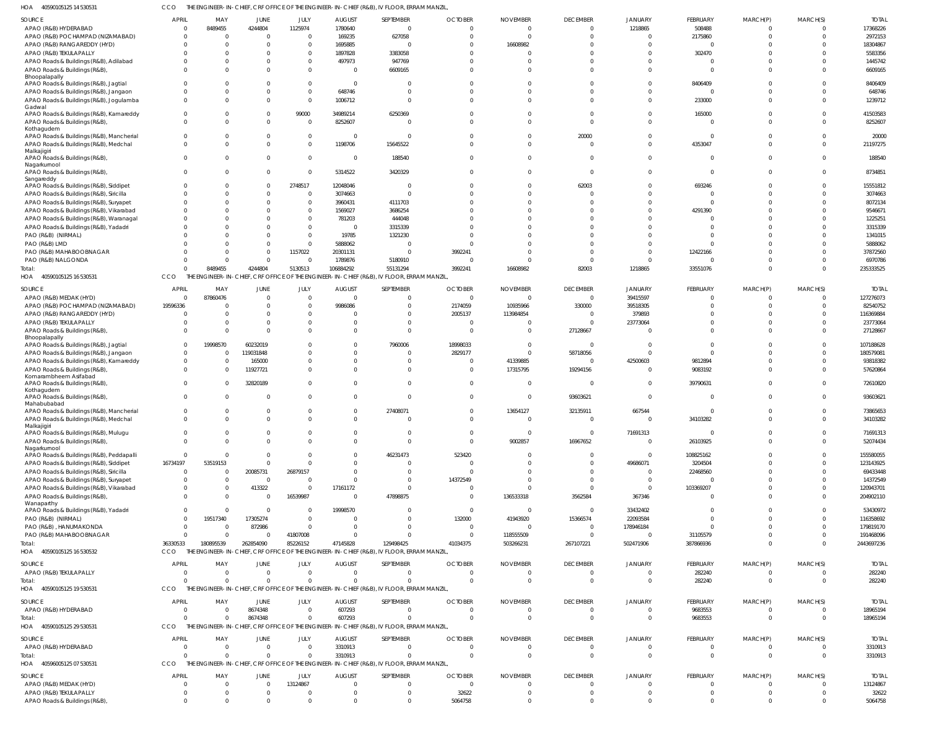40590105125 14 530531 HOA CCO THE ENGINEER-IN-CHIEF, CRF OFFICE OF THE ENGINEER-IN-CHIEF (R&B), IV FLOOR, ERRAM MANZIL,

| SOURCE                                                                         | APRIL                            | MAY                         | JUNE                 | JULY                             | <b>AUGUST</b>        | SEPTEMBER                                                                                 | <b>OCTOBER</b>       | <b>NOVEMBER</b>      | <b>DECEMBER</b>            | <b>JANUARY</b>             | FEBRUARY                   | MARCH(P)                    | MARCH(S)                   | <b>TOTAL</b>            |
|--------------------------------------------------------------------------------|----------------------------------|-----------------------------|----------------------|----------------------------------|----------------------|-------------------------------------------------------------------------------------------|----------------------|----------------------|----------------------------|----------------------------|----------------------------|-----------------------------|----------------------------|-------------------------|
| APAO (R&B) HYDERABAD                                                           | $\Omega$                         | 8489455                     | 4244804              | 1125974                          | 1780640              | $\overline{0}$                                                                            | $\Omega$             |                      | $\Omega$                   | 1218865                    | 508488                     | $\Omega$                    | $\Omega$                   | 17368226                |
| APAO (R&B) POCHAMPAD (NIZAMABAD)                                               | $\Omega$                         | $\Omega$                    | $\Omega$             | $\Omega$                         | 169235               | 627058                                                                                    |                      |                      | <sup>0</sup>               |                            | 2175860                    | $\Omega$                    | $\Omega$                   | 2972153                 |
| APAO (R&B) RANGAREDDY (HYD)                                                    | $\Omega$                         | $\Omega$                    |                      |                                  | 1695885              | $\Omega$                                                                                  |                      | 16608982             |                            |                            | $\Omega$                   |                             |                            | 18304867                |
| APAO (R&B) TEKULAPALLY                                                         | $\Omega$                         | $\Omega$                    |                      |                                  | 1897828              | 3383058                                                                                   |                      |                      |                            |                            | 302470                     |                             |                            | 5583356                 |
| APAO Roads & Buildings (R&B), Adilabad                                         | $\Omega$                         | $\Omega$                    |                      |                                  | 497973               | 947769                                                                                    |                      |                      |                            |                            | $\mathcal{L}$              |                             |                            | 1445742                 |
| APAO Roads & Buildings (R&B),                                                  | $\Omega$                         | $\Omega$                    |                      | $\Omega$                         | - 0                  | 6609165                                                                                   |                      |                      |                            |                            | $\Omega$                   | $\Omega$                    | $\Omega$                   | 6609165                 |
| Bhoopalapally                                                                  | $\Omega$                         | $\Omega$                    |                      | $\Omega$                         | $\Omega$             | $\Omega$                                                                                  |                      |                      |                            |                            |                            |                             |                            | 8406409                 |
| APAO Roads & Buildings (R&B), Jagtial<br>APAO Roads & Buildings (R&B), Jangaon | $\Omega$                         | $\Omega$                    |                      | $\Omega$                         | 648746               | $\Omega$                                                                                  |                      |                      |                            |                            | 8406409<br>$\mathcal{L}$   | $\Omega$                    | $\Omega$                   | 648746                  |
| APAO Roads & Buildings (R&B), Jogulamba                                        | $\Omega$                         | $\Omega$                    |                      | $\Omega$                         | 1006712              | $\Omega$                                                                                  |                      |                      |                            |                            | 233000                     | $\Omega$                    | $\Omega$                   | 1239712                 |
| Gadwal                                                                         |                                  |                             |                      |                                  |                      |                                                                                           |                      |                      |                            |                            |                            |                             |                            |                         |
| APAO Roads & Buildings (R&B), Kamareddy                                        | $\mathbf 0$                      | $\Omega$                    | $\Omega$             | 99000                            | 34989214             | 6250369                                                                                   |                      |                      | <sup>0</sup>               | 0                          | 165000                     | $\Omega$                    | $\Omega$                   | 41503583                |
| APAO Roads & Buildings (R&B),                                                  | $\Omega$                         | $\Omega$                    |                      |                                  | 8252607              | $\Omega$                                                                                  |                      |                      | $\Omega$                   |                            | $\Omega$                   | $\Omega$                    | $\Omega$                   | 8252607                 |
| Kothagudem                                                                     |                                  |                             |                      |                                  |                      |                                                                                           |                      |                      |                            |                            |                            |                             |                            |                         |
| APAO Roads & Buildings (R&B), Mancherial                                       | $\Omega$                         | $\Omega$                    |                      | $\Omega$                         | $\Omega$             | $\Omega$                                                                                  |                      |                      | 20000                      |                            | $\Omega$                   | $\Omega$                    | $\Omega$                   | 20000                   |
| APAO Roads & Buildings (R&B), Medchal<br>Malkajigiri                           | $\Omega$                         | $\Omega$                    |                      | $\Omega$                         | 1198706              | 15645522                                                                                  |                      |                      | $\Omega$                   | $\Omega$                   | 4353047                    | $\Omega$                    | $\Omega$                   | 21197275                |
| APAO Roads & Buildings (R&B),                                                  | $\Omega$                         | $\Omega$                    |                      | $\Omega$                         | - 0                  | 188540                                                                                    |                      |                      | $\Omega$                   | $\Omega$                   | $\Omega$                   | $\Omega$                    | $\Omega$                   | 188540                  |
| Nagarkurnool                                                                   |                                  |                             |                      |                                  |                      |                                                                                           |                      |                      |                            |                            |                            |                             |                            |                         |
| APAO Roads & Buildings (R&B),                                                  | $\Omega$                         | $\Omega$                    |                      |                                  | 5314522              | 3420329                                                                                   |                      |                      | $\Omega$                   | $\Omega$                   | $\Omega$                   | $\Omega$                    | $\Omega$                   | 8734851                 |
| Sangareddy<br>APAO Roads & Buildings (R&B), Siddipet                           | $\Omega$                         | $\Omega$                    | $\Omega$             | 2748517                          | 12048046             | $\Omega$                                                                                  |                      |                      | 62003                      | 0                          | 693246                     | $\Omega$                    | $\Omega$                   | 15551812                |
| APAO Roads & Buildings (R&B), Siricilla                                        | $\Omega$                         | $\Omega$                    |                      | $\Omega$                         | 3074663              | $\Omega$                                                                                  |                      |                      |                            |                            | $\Omega$                   |                             |                            | 3074663                 |
| APAO Roads & Buildings (R&B), Suryapet                                         | $\Omega$                         | $\Omega$                    |                      |                                  | 3960431              | 4111703                                                                                   |                      |                      |                            |                            | $\Omega$                   |                             | $\Omega$                   | 8072134                 |
| APAO Roads & Buildings (R&B), Vikarabad                                        | $\Omega$                         | $\Omega$                    |                      | $\Omega$                         | 1569027              | 3686254                                                                                   |                      |                      |                            |                            | 4291390                    |                             |                            | 9546671                 |
| APAO Roads & Buildings (R&B), Waranagal                                        | $\Omega$                         | $\Omega$                    |                      | $\Omega$                         | 781203               | 444048                                                                                    |                      |                      |                            |                            | ſ                          |                             |                            | 1225251                 |
| APAO Roads & Buildings (R&B), Yadadri                                          | $\Omega$                         | $\Omega$                    |                      |                                  | $\Omega$             | 3315339                                                                                   |                      |                      |                            |                            | $\Omega$                   |                             |                            | 3315339                 |
| PAO (R&B) (NIRMAL)                                                             | $\Omega$                         | $\Omega$                    |                      | $\Omega$                         | 19785                | 1321230                                                                                   |                      |                      |                            |                            | $\Omega$                   |                             | $\Omega$                   | 1341015                 |
| PAO (R&B) LMD                                                                  |                                  |                             |                      |                                  | 5888062              | $\Omega$                                                                                  |                      |                      |                            |                            | $\Omega$                   |                             |                            | 5888062                 |
| PAO (R&B) MAHABOOBNAGAR                                                        | $\Omega$                         | $\Omega$                    | $\Omega$             | 1157022                          | 20301131             | $\Omega$                                                                                  | 3992241              |                      |                            |                            | 12422166                   |                             | $\Omega$                   | 37872560                |
| PAO (R&B) NALGONDA                                                             | $\Omega$                         | $\Omega$                    | $\Omega$             |                                  | 1789876              | 5180910                                                                                   |                      |                      | $\Omega$                   |                            | $\Omega$                   | $\Omega$                    | $\Omega$                   | 6970786                 |
| Total:                                                                         | $\Omega$                         | 8489455                     | 4244804              | 5130513                          | 106884292            | 55131294                                                                                  | 3992241              | 16608982             | 82003                      | 1218865                    | 33551076                   | $\Omega$                    | $\Omega$                   | 235333525               |
| HOA<br>40590105125 16 530531                                                   | CCO                              | THE E                       |                      |                                  |                      | IGINEER-IN-CHIEF, CRF OFFICE OF THE ENGINEER-IN-CHIEF (R&B), IV FLOOR, ERRAM MANZIL,      |                      |                      |                            |                            |                            |                             |                            |                         |
| SOURCE                                                                         | APRIL                            | MAY                         | JUNE                 | JULY                             | <b>AUGUST</b>        | SEPTEMBER                                                                                 | <b>OCTOBER</b>       | <b>NOVEMBER</b>      | <b>DECEMBER</b>            | <b>JANUARY</b>             | FEBRUARY                   | MARCH(P)                    | MARCH(S)                   | <b>TOTAL</b>            |
| APAO (R&B) MEDAK (HYD)                                                         | $\Omega$                         | 87860476                    | $\Omega$             | $\Omega$                         | $\Omega$             | $\Omega$                                                                                  | $\Omega$             | - 0                  | $\overline{0}$             | 39415597                   | $\Omega$                   | $\Omega$                    | $\Omega$                   | 127276073               |
| APAO (R&B) POCHAMPAD (NIZAMABAD)                                               | 19596336                         | -0                          |                      | $\Omega$                         | 9986086              | $\Omega$                                                                                  | 2174059              | 10935966             | 330000                     | 39518305                   | $\Omega$                   | $\Omega$                    | $\Omega$                   | 82540752                |
| APAO (R&B) RANGAREDDY (HYD)                                                    | $\Omega$                         | $\Omega$                    |                      | $\Omega$                         | $\Omega$             | $\Omega$                                                                                  | 2005137              | 113984854            | $\Omega$                   | 379893                     | $\Omega$                   | $\Omega$                    | $\Omega$                   | 116369884               |
| APAO (R&B) TEKULAPALLY                                                         | $\Omega$                         | $\Omega$                    |                      | $\Omega$                         | $\Omega$             | $\Omega$                                                                                  | - 0                  |                      | $\Omega$                   | 23773064                   | $\Omega$                   | $\Omega$                    | $\Omega$                   | 23773064                |
| APAO Roads & Buildings (R&B),                                                  | $\Omega$                         | $\Omega$                    |                      |                                  | $\Omega$             | $\Omega$                                                                                  | $\Omega$             |                      | 27128667                   |                            | $\Omega$                   | $\Omega$                    | $\Omega$                   | 27128667                |
| Bhoopalapally                                                                  |                                  |                             |                      |                                  |                      |                                                                                           |                      |                      |                            |                            |                            |                             |                            |                         |
| APAO Roads & Buildings (R&B), Jagtial                                          | $\overline{0}$                   | 19998570                    | 60232019             |                                  |                      | 7960006                                                                                   | 18998033             | $\sqrt{ }$           | $\Omega$                   |                            | 0                          | $\Omega$                    | $\Omega$                   | 107188628               |
| APAO Roads & Buildings (R&B), Jangaon                                          | $\Omega$                         | $\Omega$                    | 119031848            | 0                                | $\Omega$             | $\Omega$                                                                                  | 2829177              | - 0                  | 58718056                   | $\Omega$                   | $\Omega$                   | $\Omega$                    | $\Omega$                   | 180579081               |
| APAO Roads & Buildings (R&B), Kamareddy                                        | $\mathbf 0$                      | $\Omega$                    | 165000               | 0                                | $\Omega$             | $\overline{0}$                                                                            | - 0                  | 41339885             | $\overline{0}$             | 42500603                   | 9812894                    | $\Omega$                    | $\Omega$                   | 93818382                |
| APAO Roads & Buildings (R&B)<br>Komarambheem Asifabad                          | $\Omega$                         | $\Omega$                    | 11927721             | <sup>0</sup>                     | $\Omega$             | $\Omega$                                                                                  | $\Omega$             | 17315795             | 19294156                   | $\Omega$                   | 9083192                    | $\Omega$                    | $\Omega$                   | 57620864                |
| APAO Roads & Buildings (R&B),                                                  | $\Omega$                         | $\Omega$                    | 32820189             |                                  |                      | $\Omega$                                                                                  | $\Omega$             |                      | $\Omega$                   | $\Omega$                   | 39790631                   | $\Omega$                    | $\Omega$                   | 72610820                |
| Kothagudem                                                                     |                                  |                             |                      |                                  |                      |                                                                                           |                      |                      |                            |                            |                            |                             |                            |                         |
| APAO Roads & Buildings (R&B),<br>Mahabubabad                                   | $\Omega$                         | $\Omega$                    |                      |                                  | - 0                  | $\overline{0}$                                                                            | $\Omega$             |                      | 93603621                   | $\Omega$                   | 0                          | $\Omega$                    | $\overline{0}$             | 93603621                |
| APAO Roads & Buildings (R&B), Mancherial                                       | 0                                | $\Omega$                    | - 0                  | 0                                | - 0                  | 27408071                                                                                  |                      | 13654127             | 32135911                   | 667544                     | $\Omega$                   | $\Omega$                    | $\Omega$                   | 73865653                |
| APAO Roads & Buildings (R&B), Medchal                                          | $\Omega$                         | $\Omega$                    | $\Omega$             | $\Omega$                         | $\Omega$             | $\Omega$                                                                                  | $\Omega$             |                      | $\Omega$                   | $\Omega$                   | 34103282                   | $\Omega$                    | $\Omega$                   | 34103282                |
| Malkajigiri                                                                    |                                  |                             |                      |                                  |                      |                                                                                           |                      |                      |                            |                            |                            |                             |                            |                         |
| APAO Roads & Buildings (R&B), Mulugu                                           | $\mathbf 0$                      | $\Omega$                    |                      | $\Omega$                         |                      | $\overline{0}$                                                                            | $\Omega$             | $\Omega$             | $\overline{0}$             | 71691313                   | $\mathbf 0$                | $\mathbf 0$                 | $\Omega$                   | 71691313                |
| APAO Roads & Buildings (R&B).                                                  | $\Omega$                         | $\Omega$                    | $\Omega$             | $\Omega$                         | $\Omega$             | $\overline{0}$                                                                            | $\Omega$             | 9002857              | 16967652                   | $\overline{0}$             | 26103925                   | $\mathbf{0}$                | $\Omega$                   | 52074434                |
| Nagarkurnool<br>APAO Roads & Buildings (R&B), Peddapalli                       | $\overline{0}$                   | $\Omega$                    | $\Omega$             | $\Omega$                         | - 0                  | 46231473                                                                                  | 523420               |                      | $\Omega$                   | $\Omega$                   | 108825162                  | $\Omega$                    | $\Omega$                   | 155580055               |
| APAO Roads & Buildings (R&B), Siddipet                                         | 16734197                         | 53519153                    |                      | $\Omega$                         | - 0                  | $\overline{0}$                                                                            | $\Omega$             |                      | $\Omega$                   | 49686071                   | 3204504                    | $\Omega$                    | $\Omega$                   | 123143925               |
| APAO Roads & Buildings (R&B), Siricilla                                        | 0                                | $\Omega$                    | 20085731             | 26879157                         | - 0                  | $\overline{0}$                                                                            | $\Omega$             |                      |                            |                            | 22468560                   | $\Omega$                    | $\Omega$                   | 69433448                |
| APAO Roads & Buildings (R&B), Suryapet                                         | $\overline{0}$                   | $\Omega$                    | $\Omega$             | $\overline{0}$                   | $\Omega$             | $\Omega$                                                                                  | 14372549             |                      | $\Omega$                   | $\Omega$                   | $\mathbf 0$                | $\Omega$                    | $\Omega$                   | 14372549                |
| APAO Roads & Buildings (R&B), Vikarabad                                        | $\mathbf 0$                      | 0                           | 413322               | $\Omega$                         | 17161172             | $\overline{0}$                                                                            | - 0                  |                      | $\Omega$                   | $\Omega$                   | 103369207                  | $\Omega$                    | $\Omega$                   | 120943701               |
| APAO Roads & Buildings (R&B),                                                  | $\Omega$                         | $\Omega$                    | $\Omega$             | 16539987                         | $\Omega$             | 47898875                                                                                  | $\Omega$             | 136533318            | 3562584                    | 367346                     | 0                          | $\Omega$                    | $\Omega$                   | 204902110               |
| Wanaparthy                                                                     |                                  |                             |                      |                                  |                      |                                                                                           |                      |                      |                            |                            |                            |                             |                            |                         |
| APAO Roads & Buildings (R&B), Yadadri                                          | $\overline{0}$                   | $\Omega$                    | $\Omega$             | $\Omega$                         | 19998570             | $\mathbf{0}$                                                                              | $\Omega$             | $\Omega$             | $\overline{0}$             | 33432402                   | 0                          | $\mathbf 0$                 | $\Omega$                   | 53430972                |
| PAO (R&B) (NIRMAL)                                                             | $\overline{0}$                   | 19517340                    | 17305274             | $\Omega$                         | $\Omega$             | $\Omega$                                                                                  | 132000               | 41943920             | 15366574                   | 22093584                   | $\mathbf 0$                | $\Omega$                    | $\Omega$                   | 116358692               |
| PAO (R&B), HANUMAKONDA                                                         | $\overline{0}$                   | - 0                         | 872986               | $\Omega$                         | - 0                  | $\overline{0}$                                                                            | $\Omega$             | - 0                  | $\overline{0}$             | 178946184                  | $\Omega$                   | $\Omega$                    | $\overline{0}$             | 179819170               |
| PAO (R&B) MAHABOOBNAGAR                                                        | $\Omega$<br>36330533             | $\overline{0}$<br>180895539 | 262854090            | 41807008<br>85226152             | $\Omega$<br>47145828 | $\Omega$<br>129498425                                                                     | $\Omega$<br>41034375 | 118555509            | $\Omega$                   | $\Omega$                   | 31105579                   | $\Omega$<br>$\mathbf 0$     | $\overline{0}$<br>$\Omega$ | 191468096<br>2443697236 |
| Total:<br>HOA 40590105125 16 530532                                            | CCO                              |                             |                      |                                  |                      | THE ENGINEER-IN-CHIEF, CRF OFFICE OF THE ENGINEER-IN-CHIEF (R&B), IV FLOOR, ERRAM MANZIL, |                      | 503266231            | 267107221                  | 502471906                  | 387866936                  |                             |                            |                         |
|                                                                                |                                  |                             |                      |                                  |                      |                                                                                           |                      |                      |                            |                            |                            |                             |                            |                         |
| <b>SOURCE</b>                                                                  | <b>APRIL</b>                     | MAY                         | <b>JUNE</b>          | JULY                             | <b>AUGUST</b>        | SEPTEMBER                                                                                 | <b>OCTOBER</b>       | <b>NOVEMBER</b>      | <b>DECEMBER</b>            | <b>JANUARY</b>             | FEBRUARY                   | MARCH(P)                    | MARCH(S)                   | <b>TOTAL</b>            |
| APAO (R&B) TEKULAPALLY                                                         | $\overline{0}$                   | $\Omega$                    | $\Omega$             | $\overline{0}$                   | $\Omega$             | $\overline{0}$                                                                            |                      |                      | 0                          | $\mathbf{0}$               | 282240                     | 0                           | $\overline{0}$             | 282240                  |
| Total:                                                                         | $\Omega$                         | $\Omega$                    | $\Omega$             | $\mathbf 0$                      | $\Omega$             | $\overline{0}$                                                                            | $\Omega$             | $\Omega$             | $\overline{0}$             | $\overline{0}$             | 282240                     | $\mathbf{0}$                | $\overline{0}$             | 282240                  |
| HOA 40590105125 19 530531                                                      | <b>CCO</b>                       |                             |                      |                                  |                      | THE ENGINEER-IN-CHIEF, CRF OFFICE OF THE ENGINEER-IN-CHIEF (R&B), IV FLOOR, ERRAM MANZIL, |                      |                      |                            |                            |                            |                             |                            |                         |
| <b>SOURCE</b>                                                                  | <b>APRIL</b>                     | MAY                         | JUNE                 | JULY                             | <b>AUGUST</b>        | SEPTEMBER                                                                                 | <b>OCTOBER</b>       | <b>NOVEMBER</b>      | <b>DECEMBER</b>            | <b>JANUARY</b>             | FEBRUARY                   | MARCH(P)                    | MARCH(S)                   | <b>TOTAL</b>            |
| APAO (R&B) HYDERABAD                                                           | $\overline{\mathbf{0}}$          | $\overline{0}$              | 8674348              | $\overline{0}$                   | 607293               | $\overline{0}$                                                                            | $\Omega$             | $\Omega$             | $\overline{0}$             | $\overline{0}$             | 9683553                    | 0                           | $\overline{0}$             | 18965194                |
| Total:                                                                         | $\Omega$                         | $\Omega$                    | 8674348              | $\Omega$                         | 607293               | $\Omega$                                                                                  | $\Omega$             | $\Omega$             | $\Omega$                   | $\Omega$                   | 9683553                    | $\mathbf{0}$                | $\overline{0}$             | 18965194                |
| HOA 40590105125 29 530531                                                      | CCO                              |                             |                      |                                  |                      | THE ENGINEER-IN-CHIEF, CRF OFFICE OF THE ENGINEER-IN-CHIEF (R&B), IV FLOOR, ERRAM MANZIL, |                      |                      |                            |                            |                            |                             |                            |                         |
| <b>SOURCE</b>                                                                  | <b>APRIL</b>                     | MAY                         | JUNE                 | JULY                             | <b>AUGUST</b>        | SEPTEMBER                                                                                 | <b>OCTOBER</b>       | <b>NOVEMBER</b>      | <b>DECEMBER</b>            | <b>JANUARY</b>             | FEBRUARY                   | MARCH(P)                    | MARCH(S)                   | <b>TOTAL</b>            |
| APAO (R&B) HYDERABAD                                                           | $\Omega$                         | $\Omega$                    | $\Omega$             | $\Omega$                         | 3310913              | $\overline{0}$                                                                            | $\Omega$             | - 0                  | $\overline{0}$             | $\overline{0}$             | $\mathbf{0}$               | $\mathbf{0}$                | $\overline{0}$             | 3310913                 |
| Total:                                                                         | $\Omega$                         | $\Omega$                    | $\Omega$             | $\Omega$                         | 3310913              | $\overline{0}$                                                                            | $\Omega$             | $\Omega$             | $\Omega$                   | $\Omega$                   | $\mathbf{0}$               | $\overline{0}$              | $\overline{0}$             | 3310913                 |
| HOA 40596005125 07 530531                                                      | CCO                              |                             |                      |                                  |                      | THE ENGINEER-IN-CHIEF, CRF OFFICE OF THE ENGINEER-IN-CHIEF (R&B), IV FLOOR, ERRAM MANZIL, |                      |                      |                            |                            |                            |                             |                            |                         |
|                                                                                |                                  |                             |                      |                                  |                      |                                                                                           |                      |                      |                            |                            |                            |                             |                            |                         |
| <b>SOURCE</b>                                                                  | <b>APRIL</b>                     | MAY                         | JUNE                 | JULY                             | <b>AUGUST</b>        | SEPTEMBER                                                                                 | <b>OCTOBER</b>       | <b>NOVEMBER</b>      | <b>DECEMBER</b>            | <b>JANUARY</b>             | <b>FEBRUARY</b>            | MARCH(P)                    | MARCH(S)                   | <b>TOTAL</b>            |
| APAO (R&B) MEDAK (HYD)                                                         | 0                                | $\overline{0}$              | $\Omega$             | 13124867                         | $\Omega$             | $\overline{0}$                                                                            | $\Omega$             | $\Omega$             | 0                          | $\overline{0}$             | $^{\circ}$                 | 0                           | $\overline{0}$             | 13124867                |
| APAO (R&B) TEKULAPALLY                                                         | $\overline{0}$<br>$\overline{0}$ | $\overline{0}$<br>$\Omega$  | $\Omega$<br>$\Omega$ | $\overline{0}$<br>$\overline{0}$ | - 0<br>$\Omega$      | $\overline{0}$<br>$\overline{0}$                                                          | 32622                | $\Omega$<br>$\Omega$ | $\overline{0}$<br>$\Omega$ | $\overline{0}$<br>$\Omega$ | $\mathbf 0$<br>$\mathbf 0$ | $\mathbf 0$<br>$\mathbf{0}$ | $\overline{0}$<br>$\Omega$ | 32622                   |
| APAO Roads & Buildings (R&B),                                                  |                                  |                             |                      |                                  |                      |                                                                                           | 5064758              |                      |                            |                            |                            |                             |                            | 5064758                 |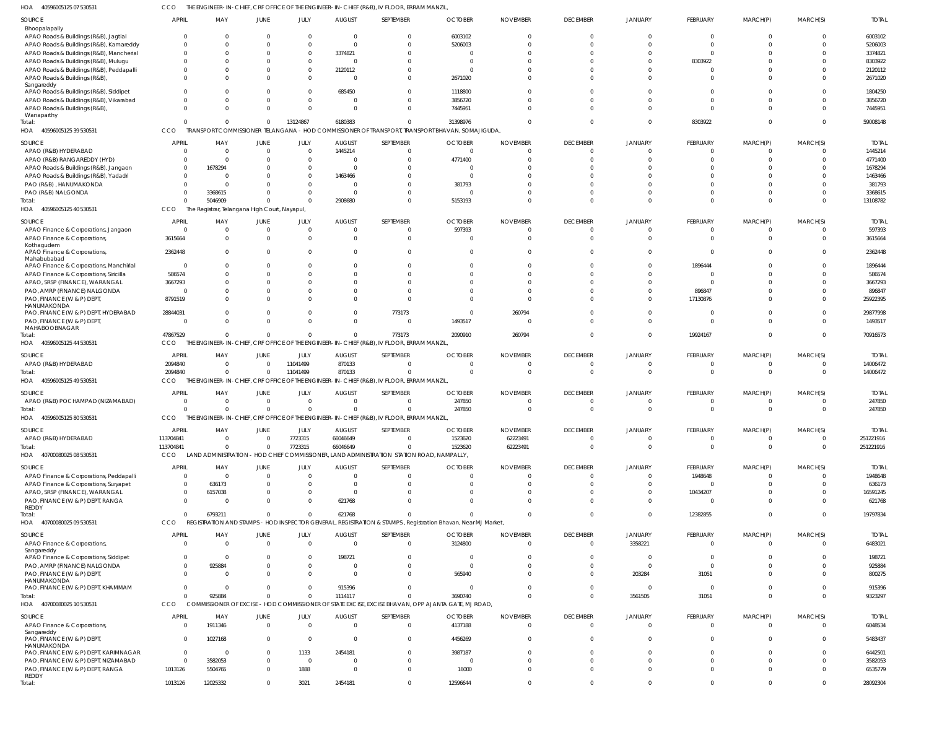40596005125 07 530531 HOA CCO THE ENGINEER-IN-CHIEF, CRF OFFICE OF THE ENGINEER-IN-CHIEF (R&B), IV FLOOR, ERRAM MANZIL,

| SOURCE<br>Bhoopalapally                                | <b>APRIL</b>                   | MAY                   | <b>JUNE</b>                                   | JULY                       | <b>AUGUST</b>             | SEPTEMBER                                                                                 | <b>OCTOBER</b>                                                                                               | <b>NOVEMBER</b>                | <b>DECEMBER</b>             | <b>JANUARY</b> | FEBRUARY             | MARCH(P)             | MARCH(S)             | <b>TOTAL</b>           |
|--------------------------------------------------------|--------------------------------|-----------------------|-----------------------------------------------|----------------------------|---------------------------|-------------------------------------------------------------------------------------------|--------------------------------------------------------------------------------------------------------------|--------------------------------|-----------------------------|----------------|----------------------|----------------------|----------------------|------------------------|
| APAO Roads & Buildings (R&B), Jagtial                  | $\mathbf{0}$                   | $\mathbf 0$           | $\Omega$                                      | $\overline{0}$             | $\Omega$                  | $\mathbf 0$                                                                               | 6003102                                                                                                      | $\mathbf 0$                    | $\Omega$                    |                | $\overline{0}$       | $\overline{0}$       | $\Omega$             | 6003102                |
| APAO Roads & Buildings (R&B), Kamareddy                | $\Omega$                       | $\Omega$              | $\Omega$                                      | $\Omega$                   | $\Omega$                  | $\Omega$                                                                                  | 5206003                                                                                                      | $\Omega$                       | $\Omega$                    |                | $\Omega$             | $\Omega$             | $\Omega$             | 5206003                |
| APAO Roads & Buildings (R&B), Mancherial               | $\mathbf{0}$                   | $\mathbf{0}$          | $\Omega$                                      | $\overline{0}$             | 3374821                   | $\Omega$                                                                                  | $\Omega$                                                                                                     | $\Omega$                       |                             |                | $\Omega$             | $\Omega$             | $\Omega$             | 3374821                |
| APAO Roads & Buildings (R&B), Mulugu                   | $\Omega$                       | $\overline{0}$        | $\Omega$                                      | $\Omega$                   | $\Omega$                  | $\Omega$                                                                                  | $\overline{0}$                                                                                               | $\Omega$                       |                             |                | 8303922              | $\Omega$             | $\Omega$             | 8303922                |
| APAO Roads & Buildings (R&B), Peddapalli               | $\Omega$                       | $\overline{0}$        | $\Omega$                                      | $\overline{0}$             | 2120112                   | $\Omega$                                                                                  | $\Omega$                                                                                                     | $\Omega$                       |                             |                | $\Omega$             | $\Omega$             | $\Omega$             | 2120112                |
| APAO Roads & Buildings (R&B),<br>Sangareddy            | $\Omega$                       | $\Omega$              | $\Omega$                                      | $\overline{0}$             | -C                        | $\Omega$                                                                                  | 2671020                                                                                                      | $\Omega$                       | $\cap$                      |                | $\Omega$             | $\Omega$             | $\Omega$             | 2671020                |
| APAO Roads & Buildings (R&B), Siddipet                 | $\Omega$                       | $\Omega$              | $\Omega$                                      | $\overline{0}$             | 685450                    | $\Omega$                                                                                  | 1118800                                                                                                      | $\Omega$                       | $\cap$                      |                | $\Omega$             | $\Omega$             | $\Omega$             | 1804250                |
| APAO Roads & Buildings (R&B), Vikarabad                | $\Omega$                       | $\Omega$              | $\Omega$                                      | $\Omega$                   | $\Omega$                  | $\Omega$                                                                                  | 3856720                                                                                                      | $\Omega$                       | $\cap$                      |                | $\Omega$             | $\Omega$             | $\Omega$             | 3856720                |
| APAO Roads & Buildings (R&B),                          | $\Omega$                       | $\Omega$              | $\Omega$                                      | $\overline{0}$             | $\Omega$                  | $\Omega$                                                                                  | 7445951                                                                                                      | $\Omega$                       | $\cap$                      |                | $\Omega$             | $\Omega$             | $\Omega$             | 7445951                |
| Wanaparthy<br>Total:                                   | $\Omega$                       | $\overline{0}$        | $\Omega$                                      | 13124867                   | 6180383                   | $\Omega$                                                                                  | 31398976                                                                                                     | $\Omega$                       | $\Omega$                    | $\Omega$       | 8303922              | $\Omega$             | $\Omega$             | 59008148               |
| HOA 40596005125 39 530531                              | <b>CCO</b>                     |                       |                                               |                            |                           |                                                                                           | TRANSPORT COMMISSIONER TELANGANA - HOD COMMISSIONER OF TRANSPORT, TRANSPORT BHAVAN, SOMAJIGUDA,              |                                |                             |                |                      |                      |                      |                        |
| SOURCE                                                 | <b>APRIL</b>                   | MAY                   | JUNE                                          | JULY                       | <b>AUGUST</b>             | SEPTEMBER                                                                                 | <b>OCTOBER</b>                                                                                               | <b>NOVEMBER</b>                | <b>DECEMBER</b>             | <b>JANUARY</b> | FEBRUARY             | MARCH(P)             | MARCH(S)             | <b>TOTAL</b>           |
| APAO (R&B) HYDERABAD                                   | $\Omega$                       | $\Omega$              | $\Omega$                                      | $\overline{0}$             | 1445214                   | $\Omega$                                                                                  | $\Omega$                                                                                                     | $\Omega$                       | $\Omega$                    |                | $\Omega$             | $\Omega$             | $\Omega$             | 1445214                |
| APAO (R&B) RANGAREDDY (HYD)                            | $\Omega$                       | $\Omega$              | $\Omega$                                      | $\Omega$                   |                           | $\Omega$                                                                                  | 4771400                                                                                                      | $\Omega$                       | $\cap$                      |                | $\Omega$             | $\Omega$             | $\Omega$             | 4771400                |
| APAO Roads & Buildings (R&B), Jangaon                  | $\Omega$                       | 1678294               | $\Omega$                                      | $\Omega$                   |                           |                                                                                           | $\Omega$                                                                                                     | $\Omega$                       |                             |                | $\Omega$             | $\Omega$             | $\Omega$             | 1678294                |
| APAO Roads & Buildings (R&B), Yadadri                  | $\Omega$<br>$\overline{0}$     | $\Omega$<br>$\Omega$  | $\Omega$<br>$\Omega$                          | $\overline{0}$<br>$\Omega$ | 1463466                   |                                                                                           | $\Omega$                                                                                                     | $\Omega$<br>C                  |                             |                | $\Omega$<br>$\Omega$ | $\Omega$<br>$\Omega$ | $\Omega$<br>$\Omega$ | 1463466                |
| PAO (R&B), HANUMAKONDA<br>PAO (R&B) NALGONDA           | $\Omega$                       | 3368615               | $\Omega$                                      | $\Omega$                   |                           |                                                                                           | 381793<br>$\Omega$                                                                                           | $\Omega$                       |                             |                | $\Omega$             | $\Omega$             | $\Omega$             | 381793<br>3368615      |
| Total:                                                 | $\Omega$                       | 5046909               | $\Omega$                                      | $\Omega$                   | 2908680                   | $\Omega$                                                                                  | 5153193                                                                                                      | $\Omega$                       | $\Omega$                    |                | $\Omega$             | $\Omega$             | $\Omega$             | 13108782               |
| HOA 40596005125 40 530531                              | CCO                            |                       | The Registrar, Telangana High Court, Nayapul, |                            |                           |                                                                                           |                                                                                                              |                                |                             |                |                      |                      |                      |                        |
|                                                        |                                |                       |                                               |                            |                           |                                                                                           |                                                                                                              |                                |                             |                |                      |                      |                      |                        |
| SOURCE<br>APAO Finance & Corporations, Jangaon         | <b>APRIL</b><br>$\overline{0}$ | MAY<br>$\overline{0}$ | JUNE<br>$\overline{0}$                        | JULY<br>$\overline{0}$     | <b>AUGUST</b><br>$\Omega$ | SEPTEMBER<br>$\Omega$                                                                     | <b>OCTOBER</b><br>597393                                                                                     | <b>NOVEMBER</b><br>$\mathbf 0$ | <b>DECEMBER</b><br>$\Omega$ | <b>JANUARY</b> | FEBRUARY<br>$\Omega$ | MARCH(P)<br>$\Omega$ | MARCH(S)<br>$\Omega$ | <b>TOTAL</b><br>597393 |
| APAO Finance & Corporations,                           | 3615664                        | $\overline{0}$        | $\Omega$                                      | $\Omega$                   | $\Omega$                  | $\Omega$                                                                                  | $\overline{0}$                                                                                               | $\overline{0}$                 | $\Omega$                    | $\Omega$       | $\Omega$             | $\Omega$             | $\Omega$             | 3615664                |
| Kothagudem                                             |                                |                       |                                               |                            |                           |                                                                                           |                                                                                                              |                                |                             |                |                      |                      |                      |                        |
| APAO Finance & Corporations,                           | 2362448                        | $\Omega$              | $\Omega$                                      | $\Omega$                   | $\cap$                    | $\Omega$                                                                                  | $\mathbf 0$                                                                                                  | $\Omega$                       | $\Omega$                    |                | $\Omega$             | $\Omega$             | $\Omega$             | 2362448                |
| Mahabubabad<br>APAO Finance & Corporations, Manchirial | $\overline{0}$                 | $\Omega$              | $\Omega$                                      | $\Omega$                   |                           | $\Omega$                                                                                  | $\Omega$                                                                                                     | $\Omega$                       | $\Omega$                    |                | 1896444              | $\Omega$             | $\Omega$             | 1896444                |
| APAO Finance & Corporations, Siricilla                 | 586574                         | $\Omega$              | $\Omega$                                      | $\Omega$                   |                           |                                                                                           | $\Omega$                                                                                                     | $\Omega$                       |                             |                | $\Omega$             | $\Omega$             | $\Omega$             | 586574                 |
| APAO, SRSP (FINANCE), WARANGAL                         | 3667293                        | $\Omega$              | $\Omega$                                      | $\Omega$                   |                           | $\Omega$                                                                                  | $\Omega$                                                                                                     | $\Omega$                       |                             |                | $\Omega$             | $\Omega$             | $\Omega$             | 3667293                |
| PAO, AMRP (FINANCE) NALGONDA                           | $\Omega$                       | $\Omega$              | $\Omega$                                      | $\Omega$                   | $\Omega$                  | $\Omega$                                                                                  | $\Omega$                                                                                                     | $\Omega$                       |                             |                | 896847               | $\Omega$             | $\Omega$             | 896847                 |
| PAO, FINANCE (W & P) DEPT                              | 8791519                        | $\Omega$              | $\Omega$                                      | $\Omega$                   |                           | $\Omega$                                                                                  | $\Omega$                                                                                                     | $\Omega$                       | $\cap$                      |                | 17130876             | $\Omega$             | $\Omega$             | 25922395               |
| HANUMAKONDA<br>PAO, FINANCE (W & P) DEPT, HYDERABAD    | 28844031                       | $\mathbf{0}$          | $\Omega$                                      | $\overline{0}$             | $\Omega$                  | 773173                                                                                    | $\overline{0}$                                                                                               | 260794                         | $\cap$                      |                | $\overline{0}$       | $\Omega$             | $\Omega$             | 29877998               |
| PAO, FINANCE (W & P) DEPT                              | $\circ$                        | $\overline{0}$        | $\Omega$                                      | $\Omega$                   | $\Omega$                  | $\Omega$                                                                                  | 1493517                                                                                                      | $\overline{0}$                 | $\Omega$                    |                | $\Omega$             | $\Omega$             | $\Omega$             | 1493517                |
| MAHABOOBNAGAR                                          |                                |                       |                                               |                            |                           |                                                                                           |                                                                                                              |                                |                             |                |                      |                      |                      |                        |
| Total:                                                 | 47867529                       | $\Omega$              | $\Omega$                                      | $\Omega$                   | $\Omega$                  | 773173                                                                                    | 2090910                                                                                                      | 260794                         | $\Omega$                    |                | 19924167             | $\Omega$             | $\Omega$             | 70916573               |
| HOA 40596005125 44 530531                              | <b>CCO</b>                     |                       |                                               |                            |                           | THE ENGINEER-IN-CHIEF, CRF OFFICE OF THE ENGINEER-IN-CHIEF (R&B), IV FLOOR, ERRAM MANZIL, |                                                                                                              |                                |                             |                |                      |                      |                      |                        |
| SOURCE                                                 | <b>APRIL</b>                   | MAY                   | JUNE                                          | JULY                       | <b>AUGUST</b>             | SEPTEMBER                                                                                 | <b>OCTOBER</b>                                                                                               | <b>NOVEMBER</b>                | <b>DECEMBER</b>             | <b>JANUARY</b> | FEBRUARY             | MARCH(P)             | MARCH(S)             | <b>TOTAL</b>           |
| APAO (R&B) HYDERABAD                                   | 2094840                        | $\Omega$              | $\Omega$                                      |                            |                           |                                                                                           | $\Omega$                                                                                                     |                                |                             |                |                      |                      |                      |                        |
|                                                        |                                |                       |                                               | 11041499                   | 870133                    | $\Omega$                                                                                  |                                                                                                              | $\Omega$                       | $\Omega$                    |                | $\Omega$             | $\Omega$             | - 0                  | 14006472               |
| Total:                                                 | 2094840                        | $\mathbf{0}$          | $\overline{0}$                                | 11041499                   | 870133                    | $\Omega$                                                                                  | $\Omega$                                                                                                     | $\Omega$                       | $\Omega$                    | $\Omega$       | $\Omega$             | $\Omega$             | $\Omega$             | 14006472               |
| HOA 40596005125 49 530531                              | CCO                            |                       |                                               |                            |                           | THE ENGINEER-IN-CHIEF, CRF OFFICE OF THE ENGINEER-IN-CHIEF (R&B), IV FLOOR, ERRAM MANZIL, |                                                                                                              |                                |                             |                |                      |                      |                      |                        |
| SOURCE                                                 | <b>APRIL</b>                   | MAY                   | <b>JUNE</b>                                   | JULY                       | <b>AUGUST</b>             | SEPTEMBER                                                                                 | <b>OCTOBER</b>                                                                                               | <b>NOVEMBER</b>                | <b>DECEMBER</b>             | <b>JANUARY</b> | FEBRUARY             | MARCH(P)             | MARCH(S)             | <b>TOTAL</b>           |
| APAO (R&B) POCHAMPAD (NIZAMABAD)                       | $\Omega$                       | $\Omega$              | $\Omega$                                      | $\Omega$                   | $\Omega$                  | $\Omega$                                                                                  | 247850                                                                                                       | $\Omega$                       | $\Omega$                    |                | $\Omega$             | $\Omega$             | $\Omega$             | 247850                 |
| Total:                                                 | $\Omega$                       | $\Omega$              | $\Omega$                                      | $\Omega$                   | $\Omega$                  | $\Omega$                                                                                  | 247850                                                                                                       | $\Omega$                       | $\Omega$                    |                | $\Omega$             | $\Omega$             | $\Omega$             | 247850                 |
| HOA 40596005125 80 530531                              | <b>CCO</b>                     |                       |                                               |                            |                           | THE ENGINEER-IN-CHIEF, CRF OFFICE OF THE ENGINEER-IN-CHIEF (R&B), IV FLOOR, ERRAM MANZIL, |                                                                                                              |                                |                             |                |                      |                      |                      |                        |
| SOURCE                                                 | <b>APRIL</b>                   | MAY                   | JUNE                                          | JULY                       | <b>AUGUST</b>             | SEPTEMBER                                                                                 | <b>OCTOBER</b>                                                                                               | <b>NOVEMBER</b>                | <b>DECEMBER</b>             | <b>JANUARY</b> | FEBRUARY             | MARCH(P)             | MARCH(S)             | <b>TOTAL</b>           |
| APAO (R&B) HYDERABAD                                   | 113704841                      | $\overline{0}$        | $\Omega$                                      | 7723315                    | 66046649                  | $\Omega$                                                                                  | 1523620                                                                                                      | 62223491                       | $\Omega$                    | - 0            | $\overline{0}$       | $\Omega$             | - 0                  | 251221916              |
| Total:                                                 | 113704841                      | $\Omega$              | $\Omega$                                      | 7723315                    | 66046649                  | $\Omega$                                                                                  | 1523620                                                                                                      | 62223491                       | $\Omega$                    | $\Omega$       | $\Omega$             | $\Omega$             | $\Omega$             | 251221916              |
| HOA 40700080025 08 530531                              | CCO                            |                       | LAND ADMINISTRATION - HOD CHIEF               |                            |                           | COMMISSIONER, LAND ADMINISTRATION STATION ROAD, NAMPALLY,                                 |                                                                                                              |                                |                             |                |                      |                      |                      |                        |
| SOURCE                                                 | APRIL                          | MAY                   | JUNE                                          | JULY                       | <b>AUGUST</b>             | SEPTEMBER                                                                                 | <b>OCTOBER</b>                                                                                               | <b>NOVEMBER</b>                | <b>DECEMBER</b>             | <b>JANUARY</b> | FEBRUARY             | MARCH(P)             | MARCH(S)             | <b>TOTAL</b>           |
| APAO Finance & Corporations, Peddapalli                | $\overline{0}$                 | $\overline{0}$        | $\Omega$                                      | $\Omega$                   | $\Omega$                  | $\Omega$                                                                                  | $\overline{0}$                                                                                               | $\overline{0}$                 | $\Omega$                    | $\Omega$       | 1948648              | $\Omega$             | - 0                  | 1948648                |
| APAO Finance & Corporations, Suryapet                  | $\overline{0}$                 | 636173                | $\Omega$                                      | $\Omega$                   | $\Omega$                  | $\Omega$                                                                                  | $\Omega$                                                                                                     | $\Omega$                       | $\Omega$                    |                | $\Omega$             | $\Omega$             | $\Omega$             | 636173                 |
| APAO, SRSP (FINANCE), WARANGAL                         | $\overline{0}$                 | 6157038               | $\Omega$                                      | $\Omega$                   | $\Omega$                  |                                                                                           | $\Omega$                                                                                                     | $\Omega$                       | $\Omega$                    |                | 10434207             | $\Omega$             | $\Omega$             | 16591245               |
| PAO, FINANCE (W & P) DEPT, RANGA                       | $\overline{0}$                 | $\overline{0}$        | $\Omega$                                      | $\Omega$                   | 621768                    |                                                                                           | $\Omega$                                                                                                     | $\Omega$                       | $\Omega$                    | $\Omega$       | $\Omega$             | $\Omega$             | $\Omega$             | 621768                 |
| REDDY<br>Total:                                        | $\Omega$                       | 6793211               | $\Omega$                                      | $\overline{0}$             | 621768                    | $\Omega$                                                                                  | $\Omega$                                                                                                     | $\Omega$                       | $\Omega$                    | $\Omega$       | 12382855             | $\Omega$             | $\overline{0}$       | 19797834               |
| HOA 40700080025 09 530531                              | CCO                            |                       |                                               |                            |                           |                                                                                           | REGISTRATION AND STAMPS - HOD INSPECTOR GENERAL, REGISTRATION & STAMPS, Registration Bhavan, Near MJ Market, |                                |                             |                |                      |                      |                      |                        |
| SOURCE                                                 | <b>APRIL</b>                   | MAY                   | JUNE                                          | JULY                       |                           | SEPTEMBER                                                                                 | <b>OCTOBER</b>                                                                                               | <b>NOVEMBER</b>                |                             | JANUARY        | FEBRUARY             |                      |                      | <b>TOTAL</b>           |
| APAO Finance & Corporations,                           | $\Omega$                       | $\Omega$              | $\Omega$                                      | $\overline{0}$             | <b>AUGUST</b><br>$\Omega$ | $\Omega$                                                                                  | 3124800                                                                                                      | $\Omega$                       | <b>DECEMBER</b><br>$\Omega$ | 3358221        | $\Omega$             | MARCH(P)<br>$\Omega$ | MARCH(S)<br>$\Omega$ | 6483021                |
| Sangareddy                                             |                                |                       |                                               |                            |                           |                                                                                           |                                                                                                              |                                |                             |                |                      |                      |                      |                        |
| APAO Finance & Corporations, Siddipet                  | $\Omega$                       | $\Omega$              | $\Omega$                                      | $\Omega$                   | 198721                    | $\Omega$                                                                                  | - 0                                                                                                          | $\Omega$                       | $\Omega$                    |                | $\Omega$             | $\Omega$             | $\Omega$             | 198721                 |
| PAO, AMRP (FINANCE) NALGONDA                           | $\Omega$                       | 925884                | $\Omega$                                      | $\overline{0}$             |                           | $\Omega$                                                                                  | $\Omega$                                                                                                     | $\Omega$                       |                             |                | $\Omega$             | $\Omega$             | $\Omega$             | 925884                 |
| PAO, FINANCE (W & P) DEPT<br>HANUMAKONDA               | $\Omega$                       | $\Omega$              | $\Omega$                                      | $\Omega$                   | $\Omega$                  | $\Omega$                                                                                  | 565940                                                                                                       | $\Omega$                       | $\Omega$                    | 203284         | 31051                | $\Omega$             | $\Omega$             | 800275                 |
| PAO, FINANCE (W & P) DEPT, KHAMMAM                     | $\Omega$                       | $\Omega$              | $\Omega$                                      | $\Omega$                   | 915396                    | $\Omega$                                                                                  | $\Omega$                                                                                                     | $\Omega$                       | $\Omega$                    | - 0            | $\Omega$             | $\Omega$             | $\Omega$             | 915396                 |
| Total:                                                 | $\Omega$                       | 925884                | $\Omega$                                      | $\Omega$                   | 1114117                   | $\Omega$                                                                                  | 3690740                                                                                                      | $\Omega$                       | $\Omega$                    | 3561505        | 31051                | $\Omega$             | $\Omega$             | 9323297                |
| HOA 40700080025 10 530531                              | <b>CCO</b>                     |                       |                                               |                            |                           |                                                                                           | COMMISSIONER OF EXCISE - HOD COMMISSIONER OF STATE EXCISE, EXCISE BHAVAN, OPP AJANTA GATE, MJ ROAD,          |                                |                             |                |                      |                      |                      |                        |
| SOURCE                                                 | <b>APRIL</b>                   | MAY                   | JUNE                                          | JULY                       | <b>AUGUST</b>             | SEPTEMBER                                                                                 | <b>OCTOBER</b>                                                                                               | <b>NOVEMBER</b>                | <b>DECEMBER</b>             | <b>JANUARY</b> | FEBRUARY             | MARCH(P)             | MARCH(S)             | <b>TOTAL</b>           |
| APAO Finance & Corporations,                           | $\mathbf{0}$                   | 1911346               | $\overline{0}$                                | $\overline{0}$             | $\Omega$                  | $\overline{0}$                                                                            | 4137188                                                                                                      | $\overline{0}$                 | $\Omega$                    | $\Omega$       | $\Omega$             | $\Omega$             | $\Omega$             | 6048534                |
| Sangareddy                                             |                                |                       |                                               |                            |                           |                                                                                           |                                                                                                              |                                |                             |                |                      |                      |                      |                        |
| PAO, FINANCE (W & P) DEPT,<br>HANUMAKONDA              | $\overline{0}$                 | 1027168               | $\Omega$                                      | $\overline{0}$             | $\Omega$                  | $\Omega$                                                                                  | 4456269                                                                                                      | $\Omega$                       | $\Omega$                    |                | $\overline{0}$       | $\Omega$             | $\Omega$             | 5483437                |
| PAO, FINANCE (W & P) DEPT, KARIMNAGAR                  | $\overline{0}$                 | $\Omega$              | $\Omega$                                      | 1133                       | 2454181                   | $\Omega$                                                                                  | 3987187                                                                                                      | $\Omega$                       | $\Omega$                    | $\Omega$       | $\Omega$             | $\Omega$             | $\Omega$             | 6442501                |
| PAO, FINANCE (W & P) DEPT, NIZAMABAD                   | $\overline{0}$                 | 3582053               | $\Omega$                                      | $\overline{0}$             |                           | $\mathbf 0$                                                                               | $\overline{0}$                                                                                               | $\Omega$                       | $\Omega$                    |                | $\overline{0}$       | $\Omega$             | $\Omega$             | 3582053                |
| PAO, FINANCE (W & P) DEPT, RANGA                       | 1013126                        | 5504765               | $\Omega$                                      | 1888                       | $\Omega$                  | $\Omega$                                                                                  | 16000                                                                                                        | $\Omega$                       | $\Omega$                    | $\Omega$       | $\Omega$             | $\Omega$             | $\Omega$             | 6535779                |
| REDDY<br>Total:                                        | 1013126                        | 12025332              | $\Omega$                                      | 3021                       | 2454181                   | $\mathbf 0$                                                                               | 12596644                                                                                                     | $\mathbf 0$                    | $\Omega$                    | $\Omega$       | $\overline{0}$       | $\overline{0}$       | $\mathbf{0}$         | 28092304               |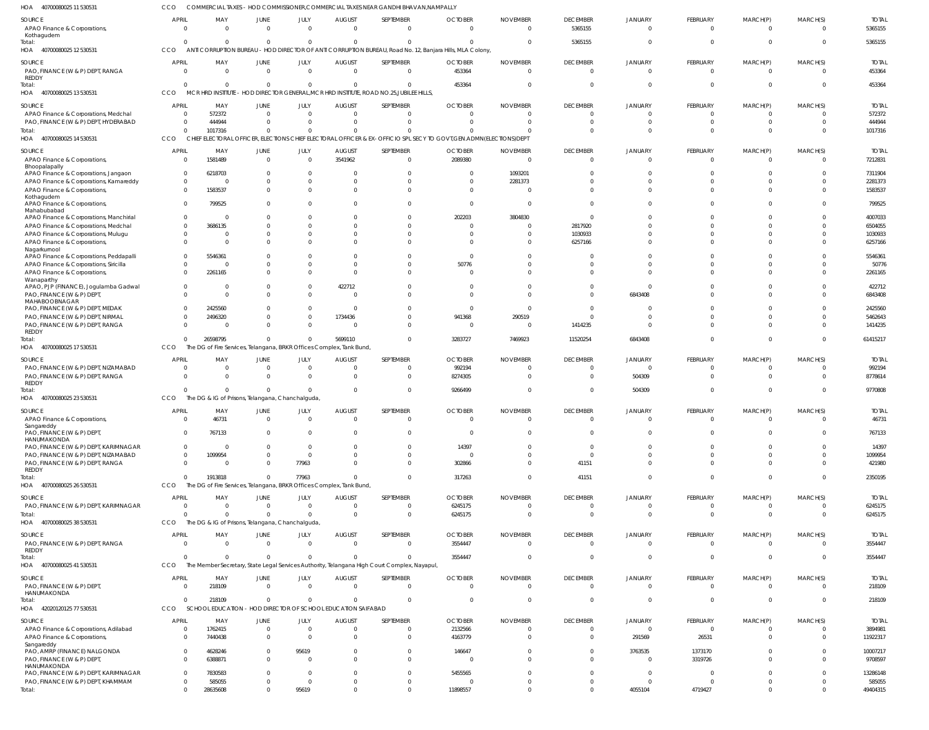40700080025 11 530531 HOA COMMERCIAL TAXES - HOD COMMISSIONER,COMMERCIAL TAXES NEAR GANDHI BHAVAN,NAMPALLY CCO

| SOURCE<br>APAO Finance & Corporations<br>Kothagudem                                  | APRIL<br>$\overline{0}$        | MAY<br>$\Omega$                                                                 | JUNE<br>$\overline{0}$           | JULY<br>$\overline{0}$      | <b>AUGUST</b><br>$\overline{0}$ | SEPTEMBER<br>$\overline{0}$                                                                  | <b>OCTOBER</b><br>$\Omega$                                                                                         | <b>NOVEMBER</b><br>$\Omega$ | <b>DECEMBER</b><br>5365155        | JANUARY<br>$\mathbf 0$  | FEBRUARY<br>$\overline{0}$       | MARCH(P)<br>$\mathbf{0}$     | MARCH(S)<br>$\overline{0}$          | <b>TOTAL</b><br>5365155 |
|--------------------------------------------------------------------------------------|--------------------------------|---------------------------------------------------------------------------------|----------------------------------|-----------------------------|---------------------------------|----------------------------------------------------------------------------------------------|--------------------------------------------------------------------------------------------------------------------|-----------------------------|-----------------------------------|-------------------------|----------------------------------|------------------------------|-------------------------------------|-------------------------|
| Total:<br>HOA 40700080025 12 530531                                                  | $\overline{0}$<br>CCO          | $\Omega$                                                                        | $\mathbf{0}$                     | $\mathbf{0}$                | $\Omega$                        | $\mathbf{0}$                                                                                 | ANTI CORRUPTION BUREAU - HOD DIRECTOR OF ANTI CORRUPTION BUREAU, Road No. 12, Banjara Hills, MLA Colony,           |                             | 5365155                           | $\Omega$                | $\mathbf 0$                      | $\mathbf{0}$                 | $\Omega$                            | 5365155                 |
| SOURCE<br>PAO, FINANCE (W & P) DEPT, RANGA<br>REDDY                                  | <b>APRIL</b><br>$\overline{0}$ | MAY<br>- 0                                                                      | <b>JUNE</b><br>$\overline{0}$    | JULY<br>$\overline{0}$      | <b>AUGUST</b><br>$\overline{0}$ | SEPTEMBER<br>$\mathbf 0$                                                                     | <b>OCTOBER</b><br>453364                                                                                           | <b>NOVEMBER</b><br>$\Omega$ | <b>DECEMBER</b><br>$\overline{0}$ | JANUARY<br>$\mathbf 0$  | FEBRUARY<br>$\overline{0}$       | MARCH(P)<br>$\mathbf{0}$     | MARCH(S)<br>$\overline{\mathbf{0}}$ | <b>TOTAL</b><br>453364  |
| Total:<br>HOA 40700080025 13 530531                                                  | $\mathbf{0}$<br>CCO            | $\Omega$<br>MCR HRD INSTITUTE                                                   | $\overline{0}$                   | $\mathbf{0}$                | $\Omega$                        | $\overline{0}$<br>- HOD DIRECTOR GENERAL, MCR HRD INSTITUTE, ROAD NO.25, JUBILEE HILLS,      | 453364                                                                                                             |                             | $\overline{0}$                    | $\Omega$                | $\overline{0}$                   | $\mathbf{0}$                 | $\Omega$                            | 453364                  |
| SOURCE<br>APAO Finance & Corporations, Medchal                                       | <b>APRIL</b><br>$\overline{0}$ | MAY<br>572372                                                                   | <b>JUNE</b><br>$\overline{0}$    | JULY<br>$\mathbf{0}$        | <b>AUGUST</b><br>$\Omega$       | SEPTEMBER<br>$\overline{0}$                                                                  | <b>OCTOBER</b>                                                                                                     | <b>NOVEMBER</b><br>- 0      | <b>DECEMBER</b><br>$\Omega$       | JANUARY<br><sup>0</sup> | FEBRUARY<br>0                    | MARCH(P)<br>$\Omega$         | MARCH(S)<br>$\Omega$                | <b>TOTAL</b><br>572372  |
| PAO, FINANCE (W & P) DEPT, HYDERABAD<br>Total:                                       | $\overline{0}$<br>$\Omega$     | 444944<br>1017316                                                               | $\overline{0}$<br>$\Omega$       | $\Omega$<br>$\Omega$        | $\Omega$<br>$\Omega$            | $\mathbf{0}$<br>$\Omega$                                                                     |                                                                                                                    | $\Omega$                    | $\Omega$<br>$\Omega$              |                         | $\mathbf 0$<br>$\Omega$          | $\mathbf 0$<br>$\Omega$      | $\Omega$<br>$\Omega$                | 444944<br>1017316       |
| HOA 40700080025 14 530531                                                            | CCO                            |                                                                                 |                                  |                             |                                 |                                                                                              | CHIEF ELECTORAL OFFICER, ELECTIONS CHIEF ELECTORAL OFFICER & EX-OFFICIO SPL SECY TO GOVT, GEN.ADMN(ELECTIONS) DEPT |                             |                                   |                         |                                  |                              |                                     |                         |
| SOURCE<br>APAO Finance & Corporations<br>Bhoopalapally                               | APRIL<br>$\overline{0}$        | MAY<br>1581489                                                                  | JUNE<br>$\overline{0}$           | JULY<br>$\mathbf{0}$        | <b>AUGUST</b><br>3541962        | SEPTEMBER<br>$\overline{0}$                                                                  | <b>OCTOBER</b><br>2089380                                                                                          | <b>NOVEMBER</b><br>$\Omega$ | <b>DECEMBER</b><br>$\overline{0}$ | JANUARY<br>$\mathbf 0$  | FEBRUARY<br>$\overline{0}$       | MARCH(P)<br>$\mathbf{0}$     | MARCH(S)<br>$\overline{\mathbf{0}}$ | <b>TOTAL</b><br>7212831 |
| APAO Finance & Corporations, Jangaon                                                 | $\overline{0}$                 | 6218703                                                                         | $\Omega$                         | $\mathbf{0}$                |                                 | $\mathbf 0$                                                                                  |                                                                                                                    | 1093201                     | $\Omega$                          |                         | $\mathbf 0$                      | $\Omega$                     | $\Omega$                            | 7311904                 |
| APAO Finance & Corporations, Kamareddy                                               | $\mathbf{0}$                   | - 0                                                                             | $\Omega$                         | $\Omega$                    | $\Omega$                        | $\mathbf 0$<br>$\Omega$                                                                      |                                                                                                                    | 2281373                     | $\Omega$<br>$\Omega$              | $\Omega$                | $\mathbf 0$                      | $\Omega$                     | $\Omega$<br>$\Omega$                | 2281373                 |
| APAO Finance & Corporations,<br>Kothagudem<br>APAO Finance & Corporations,           | $\mathbf{0}$<br>$\overline{0}$ | 1583537<br>799525                                                               | $\Omega$<br>$\Omega$             | $\Omega$<br>$\Omega$        | $\Omega$<br><sup>0</sup>        | $\mathbf 0$                                                                                  | $\Omega$                                                                                                           |                             | $\Omega$                          |                         | $\overline{0}$<br>$\Omega$       | $\Omega$<br>$\Omega$         | $\Omega$                            | 1583537<br>799525       |
| Mahabubabad                                                                          | $\overline{0}$                 | - 0                                                                             | $\Omega$                         | $\Omega$                    |                                 | $\mathbf 0$                                                                                  | 202203                                                                                                             | 3804830                     | $\overline{0}$                    |                         | $\Omega$                         | $\Omega$                     | $\Omega$                            | 4007033                 |
| APAO Finance & Corporations, Manchirial<br>APAO Finance & Corporations, Medchal      | $\Omega$                       | 3686135                                                                         | <sup>0</sup>                     | $\Omega$                    | U                               | $\Omega$                                                                                     | - 0                                                                                                                |                             | 2817920                           |                         | $\Omega$                         | $\Omega$                     | $\Omega$                            | 6504055                 |
| APAO Finance & Corporations, Mulugu                                                  | $\mathbf 0$                    |                                                                                 | $\Omega$                         | $\Omega$                    | <sup>0</sup>                    | $\mathbf 0$                                                                                  |                                                                                                                    |                             | 1030933                           |                         | $\mathbf 0$                      | $\Omega$                     | $\Omega$                            | 1030933                 |
| APAO Finance & Corporations,<br>Nagarkurnool                                         | $\mathbf 0$                    | - 0                                                                             | $\Omega$                         | $\Omega$                    |                                 | $\Omega$                                                                                     | - 0                                                                                                                |                             | 6257166                           |                         | $\Omega$<br>$\Omega$             | $\Omega$                     | $\Omega$<br>$\Omega$                | 6257166                 |
| APAO Finance & Corporations, Peddapalli<br>APAO Finance & Corporations, Siricilla    | $\mathbf 0$<br>$\mathbf 0$     | 5546361<br>$\sqrt{ }$                                                           | $\Omega$<br>$\Omega$             | $\Omega$<br>$\Omega$        | $\Omega$<br>$\Omega$            | $\mathbf 0$<br>$\mathbf 0$                                                                   | 50776                                                                                                              |                             | $\Omega$<br>$\Omega$              |                         | $\mathbf 0$                      | $\Omega$<br>$\Omega$         | $\Omega$                            | 5546361<br>50776        |
| APAO Finance & Corporations,<br>Wanaparthy                                           | $\Omega$                       | 2261165                                                                         | $\Omega$                         | $\Omega$                    | $\Omega$                        | $\Omega$                                                                                     |                                                                                                                    |                             | $\Omega$                          |                         | $\Omega$                         | $\Omega$                     | $\Omega$                            | 2261165                 |
| APAO, PJP (FINANCE), Jogulamba Gadwal<br>PAO, FINANCE (W & P) DEPT,<br>MAHABOOBNAGAR | $\overline{0}$<br>$\Omega$     | - 0<br>$\cap$                                                                   | $\Omega$<br>$\Omega$             | $\mathbf{0}$<br>$\Omega$    | 422712<br>$\Omega$              | $\Omega$<br>$\Omega$                                                                         |                                                                                                                    |                             | $\Omega$<br>$\Omega$              | $\Omega$<br>6843408     | $\Omega$<br>$\Omega$             | $\Omega$<br>$\Omega$         | $\Omega$<br>$\Omega$                | 422712<br>6843408       |
| PAO, FINANCE (W & P) DEPT, MEDAK                                                     | $\Omega$                       | 2425560                                                                         | $\Omega$                         | $\mathbf{0}$                | $\Omega$                        | $\Omega$                                                                                     | - 0                                                                                                                |                             | $\Omega$                          |                         | $\Omega$                         | $\Omega$                     | $\cap$                              | 2425560                 |
| PAO, FINANCE (W & P) DEPT, NIRMAL                                                    | $\mathbf{0}$                   | 2496320                                                                         | $\mathbf 0$                      | $\mathbf{0}$                | 1734436                         | $\mathbf 0$                                                                                  | 941368                                                                                                             | 290519                      | $\Omega$                          |                         | $\Omega$                         | $\Omega$                     | $\Omega$                            | 5462643                 |
| PAO, FINANCE (W & P) DEPT, RANGA<br><b>REDDY</b><br>Total:                           | $\Omega$<br>$\Omega$           | - 0<br>26598795                                                                 | $\Omega$<br>$\mathbf{0}$         | $\mathbf{0}$<br>$\mathbf 0$ | $\Omega$<br>5699110             | $\Omega$<br>$\Omega$                                                                         | $\Omega$<br>3283727                                                                                                | - 0<br>7469923              | 1414235<br>11520254               | $\Omega$<br>6843408     | $\Omega$<br>$\overline{0}$       | $\Omega$<br>$\mathbf{0}$     | $\Omega$<br>$\Omega$                | 1414235<br>61415217     |
| HOA 40700080025 17 530531                                                            | CCO                            | The DG of Fire Services, Telangana, BRKR Offices Complex, Tank Bund,            |                                  |                             |                                 |                                                                                              |                                                                                                                    |                             |                                   |                         |                                  |                              |                                     |                         |
| SOURCE                                                                               | APRIL                          | MAY                                                                             | JUNE                             | JULY                        | <b>AUGUST</b>                   | SEPTEMBER                                                                                    | <b>OCTOBER</b>                                                                                                     | <b>NOVEMBER</b>             | <b>DECEMBER</b>                   | JANUARY                 | FEBRUARY                         | MARCH(P)                     | MARCH(S)                            | <b>TOTAL</b>            |
| PAO, FINANCE (W & P) DEPT, NIZAMABAD<br>PAO, FINANCE (W & P) DEPT, RANGA             | $\Omega$<br>$\Omega$           | $\Omega$<br>$\Omega$                                                            | $\overline{0}$<br>$\Omega$       | $\mathbf{0}$<br>$\Omega$    | $\Omega$<br>$\Omega$            | $\Omega$<br>$\Omega$                                                                         | 992194<br>8274305                                                                                                  |                             | $\Omega$<br>$\Omega$              | $\Omega$<br>504309      | $\Omega$<br>$\Omega$             | $\Omega$<br>$\Omega$         | $\Omega$<br>$\Omega$                | 992194<br>8778614       |
| REDDY<br>Total:                                                                      | $\Omega$                       |                                                                                 | $\Omega$                         | $\Omega$                    | $\Omega$                        | $\Omega$                                                                                     | 9266499                                                                                                            |                             | $\Omega$                          | 504309                  | $\Omega$                         | $\Omega$                     | $\Omega$                            | 9770808                 |
| 40700080025 23 530531<br>HOA                                                         | CCO                            | The DG & IG of Prisons, Telangana, Chanchalguda,                                |                                  |                             |                                 |                                                                                              |                                                                                                                    |                             |                                   |                         |                                  |                              |                                     |                         |
| SOURCE                                                                               | <b>APRIL</b>                   | MAY                                                                             | JUNE                             | JULY                        | <b>AUGUST</b>                   | SEPTEMBER                                                                                    | <b>OCTOBER</b>                                                                                                     | <b>NOVEMBER</b>             | <b>DECEMBER</b>                   | JANUARY                 | FEBRUARY                         | MARCH(P)                     | MARCH(S)                            | <b>TOTAL</b>            |
| APAO Finance & Corporations<br>sangareddy<br>PAO, FINANCE (W & P) DEPT,              | $\Omega$<br>$\Omega$           | 46731<br>767133                                                                 | $\overline{0}$<br>$\Omega$       | $\mathbf{0}$<br>$\Omega$    | $\Omega$<br>$\Omega$            | $\mathbf{0}$<br>$\overline{0}$                                                               | $\Omega$                                                                                                           | $\Omega$                    | $\overline{0}$<br>$\mathbf{0}$    | $\Omega$<br>$\Omega$    | $\overline{0}$<br>$\overline{0}$ | $\mathbf{0}$<br>$\mathbf{0}$ | $\Omega$<br>$\Omega$                | 46731<br>767133         |
| HANUMAKONDA<br>PAO, FINANCE (W & P) DEPT, KARIMNAGAR                                 | $\overline{0}$                 | $\Omega$                                                                        | $\Omega$                         | $\mathbf{0}$                | $\Omega$                        | $\overline{0}$                                                                               | 14397                                                                                                              | - 0                         | $\overline{0}$                    | $\Omega$                | $\overline{0}$                   | $\mathbf{0}$                 | $\Omega$                            | 14397                   |
| PAO, FINANCE (W & P) DEPT, NIZAMABAD                                                 | $\overline{0}$                 | 1099954                                                                         | $\overline{0}$                   | $\mathbf{0}$                | $\Omega$                        | $\overline{0}$                                                                               | - 0                                                                                                                | $\Omega$                    | $\overline{0}$                    | $\Omega$                | $\overline{0}$                   | $\mathbf{0}$                 | $\mathbf{0}$                        | 1099954                 |
| PAO, FINANCE (W & P) DEPT, RANGA<br>REDDY                                            | $\overline{0}$                 | - 0                                                                             | $\mathbf 0$                      | 77963                       | $\Omega$                        | $\overline{0}$                                                                               | 302866                                                                                                             | $\Omega$                    | 41151                             | $\Omega$                | $\overline{0}$                   | $\mathbf{0}$                 | $\overline{0}$                      | 421980                  |
| Total:<br>HOA 40700080025 26 530531                                                  | $\Omega$<br>CCO                | 1913818<br>The DG of Fire Services, Telangana, BRKR Offices Complex, Tank Bund, | $\overline{0}$                   | 77963                       | $\Omega$                        | $\mathbf{0}$                                                                                 | 317263                                                                                                             | $\Omega$                    | 41151                             | $\Omega$                | $\overline{0}$                   | $\overline{0}$               | $\mathbf{0}$                        | 2350195                 |
|                                                                                      |                                |                                                                                 |                                  |                             |                                 |                                                                                              |                                                                                                                    |                             |                                   |                         |                                  |                              |                                     |                         |
| SOURCE<br>PAO, FINANCE (W & P) DEPT, KARIMNAGAR                                      | APRIL<br>- 0                   | MAY<br>$\Omega$                                                                 | JUNE<br>$\overline{0}$           | JULY<br>$\mathbf{0}$        | <b>AUGUST</b><br>$\Omega$       | SEPTEMBER<br>$\overline{0}$                                                                  | <b>OCTOBER</b><br>6245175                                                                                          | <b>NOVEMBER</b><br>- 0      | <b>DECEMBER</b><br>$\mathbf{0}$   | JANUARY<br>$\mathbf 0$  | FEBRUARY<br>$\overline{0}$       | MARCH(P)<br>0                | MARCH(S)<br>$\overline{0}$          | <b>TOTAL</b><br>6245175 |
| Total:                                                                               | $\Omega$                       | $\Omega$                                                                        | $\Omega$                         | $\Omega$                    | $\Omega$                        | $\mathbf{0}$                                                                                 | 6245175                                                                                                            | $\Omega$                    | $\overline{0}$                    | $\Omega$                | $\overline{0}$                   | $\mathbf{0}$                 | $\overline{\mathbf{0}}$             | 6245175                 |
| HOA 40700080025 38 530531                                                            | CCO                            | The DG & IG of Prisons, Telangana, Chanchalguda,                                |                                  |                             |                                 |                                                                                              |                                                                                                                    |                             |                                   |                         |                                  |                              |                                     |                         |
| SOURCE<br>PAO, FINANCE (W & P) DEPT, RANGA                                           | <b>APRIL</b><br>$\overline{0}$ | MAY<br>$\overline{0}$                                                           | JUNE<br>$\overline{0}$           | JULY<br>$\overline{0}$      | <b>AUGUST</b><br>$\overline{0}$ | SEPTEMBER<br>$\mathbf{0}$                                                                    | <b>OCTOBER</b><br>3554447                                                                                          | <b>NOVEMBER</b><br>$\Omega$ | <b>DECEMBER</b><br>$\overline{0}$ | JANUARY<br>$\mathbf 0$  | FEBRUARY<br>$\overline{0}$       | MARCH(P)<br>$\mathbf{0}$     | MARCH(S)<br>- 0                     | <b>TOTAL</b><br>3554447 |
| REDDY<br>Total:                                                                      | $\Omega$                       | $\Omega$                                                                        | $\overline{0}$                   | $\mathbf{0}$                | $\Omega$                        | $\mathbf{0}$                                                                                 | 3554447                                                                                                            | $\Omega$                    | $\overline{0}$                    | $\mathbf 0$             | $\overline{0}$                   | $\mathbf 0$                  | $\overline{0}$                      | 3554447                 |
| HOA 4070008002541530531                                                              | <b>CCO</b>                     |                                                                                 |                                  |                             |                                 | The Member Secretary, State Legal Services Authority, Telangana High Court Complex, Nayapul, |                                                                                                                    |                             |                                   |                         |                                  |                              |                                     |                         |
| SOURCE<br>PAO, FINANCE (W & P) DEPT<br>HANUMAKONDA                                   | <b>APRIL</b><br>$\overline{0}$ | MAY<br>218109                                                                   | JUNE<br>$\overline{0}$           | JULY<br>$\overline{0}$      | <b>AUGUST</b><br>$\overline{0}$ | SEPTEMBER<br>$\overline{0}$                                                                  | <b>OCTOBER</b><br>$\Omega$                                                                                         | <b>NOVEMBER</b><br>$\Omega$ | <b>DECEMBER</b><br>$\overline{0}$ | JANUARY<br>$\mathbf 0$  | FEBRUARY<br>$\overline{0}$       | MARCH(P)<br>$\mathbf{0}$     | MARCH(S)<br>$\overline{0}$          | <b>TOTAL</b><br>218109  |
| Total:<br>HOA 42020120125 77 530531                                                  | $\Omega$<br>CCO                | 218109<br>SCHOOL EDUCATION - HOD DIRECTOR OF SCHOOL EDUCATION SAIFABAD          | $\Omega$                         | $\mathbf 0$                 | $\Omega$                        | $\Omega$                                                                                     | $\Omega$                                                                                                           | $\Omega$                    | $\mathbf{0}$                      | $\mathbf 0$             | $\overline{0}$                   | $\mathbf{0}$                 | $\overline{0}$                      | 218109                  |
| SOURCE                                                                               | <b>APRIL</b>                   | MAY                                                                             | JUNE                             | JULY                        | <b>AUGUST</b>                   | SEPTEMBER                                                                                    | <b>OCTOBER</b>                                                                                                     | <b>NOVEMBER</b>             | <b>DECEMBER</b>                   | JANUARY                 | FEBRUARY                         | MARCH(P)                     | MARCH(S)                            | <b>TOTAL</b>            |
| APAO Finance & Corporations, Adilabad                                                | 0                              | 1762415                                                                         | $\overline{0}$                   | $\mathbf 0$                 | $\overline{0}$                  | $\overline{0}$                                                                               | 2132566                                                                                                            | $\Omega$                    | $\overline{0}$                    | $\mathbf 0$             | $\mathbf 0$                      | $\mathbf{0}$                 | $\overline{\mathbf{0}}$             | 3894981                 |
| APAO Finance & Corporations<br>Sangareddy                                            | $\overline{0}$                 | 7440438                                                                         | $\overline{0}$                   | $\mathbf{0}$                | $\Omega$                        | $\mathbf{0}$                                                                                 | 4163779                                                                                                            |                             | $\Omega$                          | 291569                  | 26531                            | $\mathbf{0}$                 | $\Omega$                            | 11922317                |
| PAO, AMRP (FINANCE) NALGONDA<br>PAO, FINANCE (W & P) DEPT,                           | $\overline{0}$<br>$\mathbf{0}$ | 4628246<br>6388871                                                              | $\overline{0}$<br>$\overline{0}$ | 95619<br>$\mathbf{0}$       | $\Omega$<br>$\Omega$            | $\mathbf{0}$<br>$\overline{0}$                                                               | 146647                                                                                                             |                             | $\overline{0}$<br>$\Omega$        | 3763535<br>$\mathbf 0$  | 1373170<br>3319726               | $\mathbf{0}$<br>$\mathbf{0}$ | $\Omega$<br>$\Omega$                | 10007217<br>9708597     |
| HANUMAKONDA<br>PAO, FINANCE (W & P) DEPT, KARIMNAGAR                                 | $\overline{0}$                 | 7830583                                                                         | $\Omega$                         | $\overline{0}$              | $\Omega$                        | $\overline{0}$                                                                               | 5455565                                                                                                            |                             | $\Omega$                          | $\mathbf{0}$            | $\overline{0}$                   | $\Omega$                     | $\Omega$                            | 13286148                |
| PAO, FINANCE (W & P) DEPT, KHAMMAM                                                   | $\mathbf{0}$                   | 585055                                                                          | $\mathbf 0$                      | $\mathbf{0}$                | $\mathbf 0$                     | $\overline{0}$                                                                               |                                                                                                                    | - 0                         | $\mathbf{0}$                      | $\mathbf 0$             | $\mathbf{0}$                     | $\mathbf{0}$                 | $\overline{0}$                      | 585055                  |
| Total:                                                                               | $^{\circ}$                     | 28635608                                                                        | $\Omega$                         | 95619                       | $\Omega$                        | $\overline{0}$                                                                               | 11898557                                                                                                           | $\Omega$                    | $\Omega$                          | 4055104                 | 4719427                          | $\overline{0}$               | $\Omega$                            | 49404315                |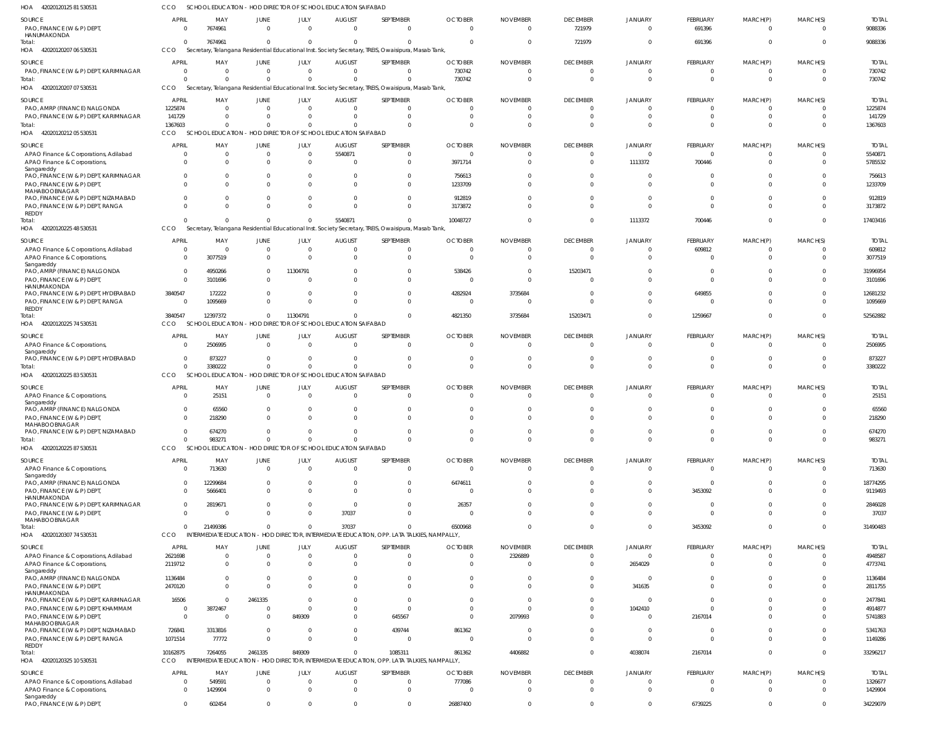42020120125 81 530531 HOA CCO SCHOOL EDUCATION - HOD DIRECTOR OF SCHOOL EDUCATION SAIFABAD

| SOURCE                                                                      | <b>APRIL</b>                   | MAY                                                          | <b>JUNE</b>                      | JULY                 | <b>AUGUST</b>                | SEPTEMBER                                                                                                        | <b>OCTOBER</b>             | <b>NOVEMBER</b>             | <b>DECEMBER</b>                   | <b>JANUARY</b>                   | <b>FEBRUARY</b>             | MARCH(P)                      | MARCH(S)             | <b>TOTAL</b>          |
|-----------------------------------------------------------------------------|--------------------------------|--------------------------------------------------------------|----------------------------------|----------------------|------------------------------|------------------------------------------------------------------------------------------------------------------|----------------------------|-----------------------------|-----------------------------------|----------------------------------|-----------------------------|-------------------------------|----------------------|-----------------------|
| PAO, FINANCE (W & P) DEPT,<br>HANUMAKONDA                                   | $\Omega$                       | 7674961                                                      | $\overline{0}$                   | $\Omega$             | $\overline{0}$               | $\Omega$                                                                                                         | $\Omega$                   | $\Omega$                    | 721979                            | $\overline{0}$                   | 691396                      | $\Omega$                      | $\Omega$             | 9088336               |
| Total:<br>HOA<br>42020120207 06 530531                                      | $\Omega$<br>CCO                | 7674961                                                      | $\overline{0}$                   | $\Omega$             | $\mathbf 0$                  | $\Omega$<br>Secretary, Telangana Residential Educational Inst. Society Secretary, TREIS, Owaisipura, Masab Tank, |                            | $\Omega$                    | 721979                            | $\overline{0}$                   | 691396                      | $\Omega$                      | $\Omega$             | 9088336               |
|                                                                             |                                |                                                              |                                  |                      |                              | SEPTEMBER                                                                                                        | <b>OCTOBER</b>             |                             |                                   |                                  |                             |                               |                      | <b>TOTAL</b>          |
| <b>SOURCE</b><br>PAO, FINANCE (W & P) DEPT, KARIMNAGAR                      | <b>APRIL</b><br>$\overline{0}$ | MAY<br>$\overline{0}$                                        | JUNE<br>$\overline{0}$           | JULY<br>$\Omega$     | <b>AUGUST</b><br>$\mathbf 0$ | $\Omega$                                                                                                         | 730742                     | <b>NOVEMBER</b>             | <b>DECEMBER</b><br>0              | <b>JANUARY</b><br>$\Omega$       | <b>FEBRUARY</b><br>$\Omega$ | MARCH(P)<br>$^{\circ}$        | MARCH(S)<br>$\Omega$ | 730742                |
| Total                                                                       |                                | $\Omega$<br>$\Omega$                                         | $\overline{0}$                   | $\Omega$             | $\Omega$                     | $\Omega$                                                                                                         | 730742                     | $\Omega$                    | $\overline{0}$                    | $\Omega$                         | $\Omega$                    | $\mathbf{0}$                  | $\Omega$             | 730742                |
| 42020120207 07 530531<br>HOA                                                | CCO                            |                                                              |                                  |                      |                              | Secretary, Telangana Residential Educational Inst. Society Secretary, TREIS, Owaisipura, Masab Tank,             |                            |                             |                                   |                                  |                             |                               |                      |                       |
| <b>SOURCE</b>                                                               | <b>APRIL</b>                   | MAY                                                          | <b>JUNE</b>                      | JULY<br>$\Omega$     | <b>AUGUST</b>                | SEPTEMBER                                                                                                        | <b>OCTOBER</b>             | <b>NOVEMBER</b>             | <b>DECEMBER</b>                   | <b>JANUARY</b>                   | FEBRUARY                    | MARCH(P)                      | MARCH(S)             | <b>TOTAL</b>          |
| PAO, AMRP (FINANCE) NALGONDA<br>PAO, FINANCE (W & P) DEPT, KARIMNAGAR       | 1225874<br>141729              | $\Omega$<br>$\mathbf 0$                                      | $\overline{0}$<br>$\mathbf{0}$   | $\Omega$             | $\mathbf 0$<br>$\Omega$      | $\Omega$<br>$\Omega$                                                                                             | 0<br>U                     |                             | 0<br>$\Omega$                     | $\Omega$<br>$\Omega$             | $\Omega$                    | $\Omega$<br>$\Omega$          | $\Omega$<br>$\Omega$ | 1225874<br>141729     |
| Total:                                                                      | 1367603                        | $\Omega$                                                     | $\Omega$                         | $\Omega$             | $\Omega$                     | $\Omega$                                                                                                         | $\Omega$                   |                             | $\Omega$                          | $\Omega$                         | $\Omega$                    | $\Omega$                      |                      | 1367603               |
| HOA 42020120212 05 530531                                                   | CCO                            | SCHOOL EDUCATION - HOD DIRECTOR OF SCHOOL EDUCATION SAIFABAD |                                  |                      |                              |                                                                                                                  |                            |                             |                                   |                                  |                             |                               |                      |                       |
| <b>SOURCE</b>                                                               | <b>APRIL</b>                   | MAY                                                          | <b>JUNE</b>                      | JULY                 | <b>AUGUST</b>                | SEPTEMBER                                                                                                        | <b>OCTOBER</b>             | <b>NOVEMBER</b>             | <b>DECEMBER</b>                   | <b>JANUARY</b>                   | FEBRUARY                    | MARCH(P)                      | MARCH(S)             | <b>TOTAL</b>          |
| APAO Finance & Corporations, Adilabad<br>APAO Finance & Corporations,       | $\overline{0}$<br>$\Omega$     | $\mathbf 0$<br>$\Omega$                                      | $\overline{0}$<br>$\mathbf 0$    | $\Omega$<br>$\Omega$ | 5540871<br>$\Omega$          | $\Omega$<br>$\Omega$                                                                                             | $\Omega$<br>3971714        |                             | $\overline{0}$<br>$\Omega$        | $\overline{0}$<br>1113372        | $\mathbf{0}$<br>700446      | $\Omega$<br>$\Omega$          | $\Omega$<br>$\Omega$ | 5540871<br>5785532    |
| Sangareddy                                                                  |                                |                                                              |                                  |                      |                              |                                                                                                                  |                            |                             |                                   |                                  |                             |                               |                      |                       |
| PAO, FINANCE (W & P) DEPT, KARIMNAGAR<br>PAO, FINANCE (W & P) DEPT,         | $\Omega$                       | $\Omega$<br>$\Omega$<br>$\Omega$                             | $^{\circ}$<br>$\Omega$           | $\Omega$<br>$\Omega$ | $\Omega$<br>$\Omega$         | $\Omega$<br>$\Omega$                                                                                             | 756613<br>1233709          |                             | $\Omega$<br>$\Omega$              | - 0<br>$\Omega$                  | $\Omega$                    | $\Omega$<br>$\Omega$          | $\Omega$             | 756613<br>1233709     |
| MAHABOOBNAGAR                                                               |                                |                                                              |                                  |                      |                              |                                                                                                                  |                            |                             |                                   |                                  |                             |                               |                      |                       |
| PAO, FINANCE (W & P) DEPT, NIZAMABAD<br>PAO, FINANCE (W & P) DEPT, RANGA    |                                | $\Omega$<br>$\Omega$<br>$\Omega$                             | $\mathbf 0$<br>$\Omega$          | $\Omega$<br>$\Omega$ | $\Omega$<br>$\Omega$         | $\Omega$<br>$\Omega$                                                                                             | 912819<br>3173872          |                             | $\Omega$<br>$\Omega$              | $\Omega$<br>$\Omega$             | $\Omega$<br>$\Omega$        | $\Omega$<br>$\Omega$          | $\Omega$<br>$\Omega$ | 912819<br>3173872     |
| REDDY                                                                       |                                |                                                              |                                  |                      |                              |                                                                                                                  |                            |                             |                                   |                                  |                             |                               |                      |                       |
| Total:<br>HOA<br>42020120225 48 530531                                      | CCO                            | $\Omega$                                                     | $\overline{0}$                   | $\Omega$             | 5540871                      | $\Omega$<br>Secretary, Telangana Residential Educational Inst. Society Secretary, TREIS, Owaisipura, Masab Tank, | 10048727                   |                             | $\Omega$                          | 1113372                          | 700446                      | $\Omega$                      | $\Omega$             | 17403416              |
| SOURCE                                                                      | <b>APRIL</b>                   | MAY                                                          | <b>JUNE</b>                      | JULY                 | <b>AUGUST</b>                | SEPTEMBER                                                                                                        | <b>OCTOBER</b>             | <b>NOVEMBER</b>             | <b>DECEMBER</b>                   | <b>JANUARY</b>                   | <b>FEBRUARY</b>             | MARCH(P)                      | MARCH(S)             | <b>TOTAL</b>          |
| APAO Finance & Corporations, Adilabad                                       |                                | $\Omega$<br>0                                                | $\overline{0}$                   | $\Omega$             | $\mathbf 0$                  | $\Omega$                                                                                                         |                            |                             | 0                                 | $\overline{0}$                   | 609812                      | $\Omega$                      | $\Omega$             | 609812                |
| APAO Finance & Corporations,                                                | $\Omega$                       | 3077519                                                      | $\overline{0}$                   | $\Omega$             | $\Omega$                     | $\Omega$                                                                                                         | $\Omega$                   |                             | $\overline{0}$                    | $\Omega$                         |                             | $\Omega$                      |                      | 3077519               |
| Sangareddy<br>PAO, AMRP (FINANCE) NALGONDA                                  | $\overline{0}$                 | 4950266                                                      | $\overline{0}$                   | 11304791             | $\Omega$                     | $\Omega$                                                                                                         | 538426                     |                             | 15203471                          | $\Omega$                         | $\Omega$                    | $\Omega$                      | $\Omega$             | 31996954              |
| PAO, FINANCE (W & P) DEPT,                                                  | $\Omega$                       | 3101696                                                      | $\Omega$                         | $\Omega$             | $\Omega$                     | $\Omega$                                                                                                         | 0                          | $\Omega$                    | 0                                 | $\Omega$                         | $\Omega$                    | $\Omega$                      | $\Omega$             | 3101696               |
| HANUMAKONDA<br>PAO, FINANCE (W & P) DEPT, HYDERABAD                         | 3840547                        | 172222                                                       | $\mathbf 0$                      | $\Omega$             | $\Omega$                     | $\Omega$                                                                                                         | 4282924                    | 3735684                     | 0                                 | $\overline{0}$                   | 649855                      | $\Omega$                      | $\Omega$             | 12681232              |
| PAO, FINANCE (W & P) DEPT, RANGA                                            | $\Omega$                       | 1095669                                                      | $\Omega$                         | $\Omega$             | $\Omega$                     | $\Omega$                                                                                                         | $\mathbf 0$                |                             | $\Omega$                          | $\Omega$                         | $\Omega$                    | $\Omega$                      | $\Omega$             | 1095669               |
| REDDY<br>Total:                                                             | 3840547                        | 12397372                                                     | $\overline{0}$                   | 11304791             | $\Omega$                     | $\Omega$                                                                                                         | 4821350                    | 3735684                     | 15203471                          | $\overline{0}$                   | 1259667                     | $\Omega$                      | $\Omega$             | 52562882              |
| 42020120225 74 530531<br>HOA                                                | CCO                            | SCHOOL EDUCATION - HOD DIRECTOR OF SCHOOL EDUCATION SAIFABAD |                                  |                      |                              |                                                                                                                  |                            |                             |                                   |                                  |                             |                               |                      |                       |
| <b>SOURCE</b>                                                               | <b>APRIL</b>                   | MAY                                                          | <b>JUNE</b>                      | JULY                 | <b>AUGUST</b>                | SEPTEMBER                                                                                                        | <b>OCTOBER</b>             | <b>NOVEMBER</b>             | <b>DECEMBER</b>                   | <b>JANUARY</b>                   | <b>FEBRUARY</b>             | MARCH(P)                      | MARCH(S)             | <b>TOTAL</b>          |
| APAO Finance & Corporations,<br>Sangareddy                                  |                                | 2506995                                                      | $\overline{0}$                   | $\Omega$             | $\Omega$                     | $\Omega$                                                                                                         | $\Omega$                   |                             | $\overline{0}$                    | $\Omega$                         | $\Omega$                    | $\Omega$                      | $\Omega$             | 2506995               |
| PAO, FINANCE (W & P) DEPT, HYDERABAD                                        | $\overline{0}$                 | 873227                                                       | $\overline{0}$                   | $\Omega$             | $^{\circ}$                   | $\Omega$                                                                                                         | 0                          |                             | 0                                 | $\Omega$                         | $\Omega$                    | $^{\circ}$                    | $\Omega$             | 873227                |
| Total                                                                       |                                | $\Omega$<br>3380222                                          | $\overline{0}$                   | $\Omega$             | $\Omega$                     | $\Omega$                                                                                                         | $\Omega$                   |                             | $\Omega$                          | $\Omega$                         | $\Omega$                    | $\mathbf 0$                   | $\Omega$             | 3380222               |
| HOA<br>42020120225 83 530531                                                | CCO                            | SCHOOL EDUCATION - HOD DIRECTOR OF SCHOOL EDUCATION SAIFABAD |                                  |                      |                              |                                                                                                                  |                            |                             |                                   |                                  |                             |                               |                      |                       |
| SOURCE<br>APAO Finance & Corporations,                                      | <b>APRIL</b><br>$\overline{0}$ | MAY<br>25151                                                 | JUNE<br>$\overline{0}$           | JULY<br>$\Omega$     | <b>AUGUST</b><br>$\mathbf 0$ | SEPTEMBER<br>$\Omega$                                                                                            | <b>OCTOBER</b><br>$\Omega$ | <b>NOVEMBER</b><br>$\Omega$ | <b>DECEMBER</b><br>$\overline{0}$ | <b>JANUARY</b><br>$\overline{0}$ | FEBRUARY<br>$\Omega$        | MARCH(P)<br>$\mathbf 0$       | MARCH(S)<br>$\Omega$ | <b>TOTAL</b><br>25151 |
| Sangareddy                                                                  |                                |                                                              |                                  |                      |                              |                                                                                                                  |                            |                             |                                   |                                  |                             |                               |                      |                       |
| PAO, AMRP (FINANCE) NALGONDA<br>PAO, FINANCE (W & P) DEPT,                  | - 0                            | 65560<br>218290<br>$\Omega$                                  | $\overline{0}$<br>$\overline{0}$ | $\Omega$<br>$\Omega$ | $^{\circ}$<br>$\Omega$       | $\Omega$<br>$\Omega$                                                                                             | $\Omega$                   | $\Omega$                    | $\Omega$<br>$\Omega$              | $\Omega$<br>$\Omega$             | $\Omega$<br>$\Omega$        | $^{\circ}$<br>$\Omega$        | $\Omega$<br>$\Omega$ | 65560<br>218290       |
| MAHABOOBNAGAR                                                               |                                |                                                              |                                  |                      |                              |                                                                                                                  |                            |                             |                                   |                                  |                             |                               |                      |                       |
| PAO, FINANCE (W & P) DEPT, NIZAMABAD<br>Total                               |                                | 674270<br>0<br>983271<br>$\Omega$                            | $\mathbf{0}$<br>$\overline{0}$   | $\Omega$             | $\Omega$<br>$\Omega$         | $\Omega$                                                                                                         | $\mathbf{0}$               | $\Omega$                    | 0<br>$\overline{0}$               | $\Omega$                         | $\Omega$                    | -0<br>$\mathbf 0$             | $\Omega$             | 674270<br>983271      |
| HOA 42020120225 87 530531                                                   | CCO                            | SCHOOL EDUCATION - HOD DIRECTOR OF SCHOOL EDUCATION SAIFABAD |                                  |                      |                              |                                                                                                                  |                            |                             |                                   |                                  |                             |                               |                      |                       |
| <b>SOURCE</b>                                                               | <b>APRI</b>                    | MAY                                                          | JUNE                             | JULY                 | <b>AUGUST</b>                | SEPTEMBER                                                                                                        | <b>OCTOBER</b>             | <b>NOVEMBER</b>             | <b>DECEMBER</b>                   | <b>JANUARY</b>                   | FEBRUARY                    | MARCH(P)                      | MARCH(S)             | <b>TOTAL</b>          |
| APAO Finance & Corporations,                                                | $\mathbf{0}$                   | 713630                                                       | $\overline{0}$                   | $\Omega$             | $\mathbf 0$                  | $\Omega$                                                                                                         | $\Omega$                   | $\Omega$                    | $\overline{0}$                    | $\overline{0}$                   | $\Omega$                    | $\overline{0}$                | $\Omega$             | 713630                |
| Sangareddy<br>PAO, AMRP (FINANCE) NALGONDA                                  | $\overline{0}$                 | 12299684                                                     | $^{\circ}$                       | $\Omega$             | $^{\circ}$                   | $\Omega$                                                                                                         | 6474611                    |                             | 0                                 | $\overline{0}$                   | - 0                         | $\Omega$                      | $\Omega$             | 18774295              |
| PAO, FINANCE (W & P) DEPT,                                                  |                                | 5666401<br>$\Omega$                                          | $\Omega$                         | $\Omega$             | $\Omega$                     | $\Omega$                                                                                                         | $\Omega$                   | $\cap$                      | $\Omega$                          | $\overline{0}$                   | 3453092                     | $\Omega$                      | $\Omega$             | 9119493               |
| HANUMAKONDA<br>PAO, FINANCE (W & P) DEPT, KARIMNAGAR                        | $\overline{0}$                 | 2819671                                                      | $\mathbf 0$                      | $\Omega$             | $\overline{0}$               | $\Omega$                                                                                                         | 26357                      |                             | $\Omega$                          | $\overline{0}$                   | - 0                         | $\Omega$                      | $\Omega$             | 2846028               |
| PAO, FINANCE (W & P) DEPT,                                                  | $\Omega$                       | $\Omega$                                                     | $\mathbf 0$                      | $\Omega$             | 37037                        | $\Omega$                                                                                                         | $\Omega$                   | $\Omega$                    | $\Omega$                          | $\Omega$                         | $\Omega$                    | $\Omega$                      | $\Omega$             | 37037                 |
| MAHABOOBNAGAR<br>Total:                                                     | $\Omega$                       | 21499386                                                     | $\overline{0}$                   | $\Omega$             | 37037                        | $\Omega$                                                                                                         | 6500968                    | $\Omega$                    | $\Omega$                          | $\overline{0}$                   | 3453092                     | $\mathbf{0}$                  | $\Omega$             | 31490483              |
| 42020120307 74 530531<br>HOA                                                | CCO                            |                                                              |                                  |                      |                              | INTERMEDIATE EDUCATION - HOD DIRECTOR, INTERMEDIATE EDUCATION, OPP. LATA TALKIES, NAMPALLY,                      |                            |                             |                                   |                                  |                             |                               |                      |                       |
| <b>SOURCE</b>                                                               | <b>APRIL</b>                   | MAY                                                          | JUNE                             | JULY                 | <b>AUGUST</b>                | SEPTEMBER                                                                                                        | <b>OCTOBER</b>             | <b>NOVEMBER</b>             | <b>DECEMBER</b>                   | <b>JANUARY</b>                   | FEBRUARY                    | MARCH(P)                      | MARCH(S)             | <b>TOTAL</b>          |
| APAO Finance & Corporations, Adilabad                                       | 2621698                        | $\mathbf 0$<br>$\mathbf 0$                                   | $\overline{0}$<br>$\overline{0}$ | $\Omega$<br>$\Omega$ | $\mathbf 0$<br>$\Omega$      | $\Omega$<br>$\Omega$                                                                                             | 0                          | 2326889                     | $\overline{0}$<br>$\Omega$        | $\overline{0}$                   | $\Omega$<br>$\Omega$        | $\overline{0}$<br>$\mathbf 0$ | $\Omega$<br>$\Omega$ | 4948587               |
| APAO Finance & Corporations,<br>Sangareddy                                  | 2119712                        |                                                              |                                  |                      |                              |                                                                                                                  |                            |                             |                                   | 2654029                          |                             |                               |                      | 4773741               |
| PAO, AMRP (FINANCE) NALGONDA<br>PAO, FINANCE (W & P) DEPT,                  | 1136484<br>2470120             | $\mathbf 0$<br>$\Omega$                                      | $\mathbf{0}$<br>$\overline{0}$   | $\Omega$<br>$\cap$   | $\Omega$<br>$\Omega$         | $\Omega$<br>$\Omega$                                                                                             | $\Omega$                   | $\Omega$                    | $\Omega$<br>$\Omega$              | $\overline{0}$<br>341635         | $\Omega$<br>$\Omega$        | $\mathbf 0$<br>$\Omega$       | $\Omega$<br>$\Omega$ | 1136484<br>2811755    |
| HANUMAKONDA                                                                 |                                |                                                              |                                  |                      |                              |                                                                                                                  |                            |                             |                                   |                                  |                             |                               |                      |                       |
| PAO, FINANCE (W & P) DEPT, KARIMNAGAR<br>PAO, FINANCE (W & P) DEPT, KHAMMAM | 16506<br>$\overline{0}$        | $\mathbf 0$<br>3872467                                       | 2461335<br>$\overline{0}$        | $\Omega$<br>$\Omega$ | $\Omega$<br>$\Omega$         | $\Omega$<br>$\Omega$                                                                                             |                            | $\Omega$<br>$\Omega$        | $\Omega$<br>$\Omega$              | $\overline{0}$<br>1042410        | $\Omega$<br>$\Omega$        | $\Omega$<br>$\mathbf 0$       | $\Omega$<br>$\Omega$ | 2477841<br>4914877    |
| PAO, FINANCE (W & P) DEPT,                                                  | $\overline{0}$                 | $\overline{0}$                                               | $\overline{0}$                   | 849309               | $\Omega$                     | 645567                                                                                                           | $\Omega$                   | 2079993                     | $\mathbf{0}$                      | $\overline{0}$                   | 2167014                     | $\Omega$                      | $\Omega$             | 5741883               |
| MAHABOOBNAGAR                                                               |                                |                                                              | $\overline{0}$                   | $\Omega$             | $\mathbf 0$                  | 439744                                                                                                           |                            |                             | $\overline{0}$                    | $\overline{0}$                   | $\Omega$                    |                               | $\Omega$             |                       |
| PAO, FINANCE (W & P) DEPT, NIZAMABAD<br>PAO, FINANCE (W & P) DEPT, RANGA    | 726841<br>1071514              | 3313816<br>77772                                             | $\overline{0}$                   | $\Omega$             | $\mathbf 0$                  | $\Omega$                                                                                                         | 861362<br>$\mathbf 0$      | $\Omega$                    | $\Omega$                          | $\overline{0}$                   | $\Omega$                    | $\mathbf 0$<br>$\mathbf 0$    | $\Omega$             | 5341763<br>1149286    |
| REDDY                                                                       |                                |                                                              |                                  |                      | $\Omega$                     |                                                                                                                  |                            |                             | $\Omega$                          |                                  |                             |                               | $\Omega$             |                       |
| Total:<br>42020120325 10 530531<br>HOA                                      | 10162875<br>CCO                | 7264055                                                      | 2461335                          | 849309               |                              | 1085311<br>INTERMEDIATE EDUCATION - HOD DIRECTOR, INTERMEDIATE EDUCATION, OPP. LATA TALKIES, NAMPALLY,           | 861362                     | 4406882                     |                                   | 4038074                          | 2167014                     | $\mathbf 0$                   |                      | 33296217              |
| <b>SOURCE</b>                                                               | APRIL                          | MAY                                                          | JUNE                             | JULY                 | <b>AUGUST</b>                | SEPTEMBER                                                                                                        | <b>OCTOBER</b>             | <b>NOVEMBER</b>             | <b>DECEMBER</b>                   | <b>JANUARY</b>                   | FEBRUARY                    | MARCH(P)                      | MARCH(S)             | <b>TOTAL</b>          |
| APAO Finance & Corporations, Adilabad                                       | $\overline{0}$                 | 549591                                                       | $\overline{0}$                   | $\Omega$             | $\mathbf 0$                  | $\Omega$                                                                                                         | 777086                     | $\Omega$                    | $\overline{0}$                    | $\Omega$                         | - 0                         | $\Omega$                      | $\Omega$             | 1326677               |
| APAO Finance & Corporations,<br>Sangareddy                                  | $\overline{0}$                 | 1429904                                                      | $\overline{0}$                   | $\Omega$             | $\mathbf 0$                  | $\Omega$                                                                                                         | $\Omega$                   | $\Omega$                    | $\overline{0}$                    | $\overline{0}$                   | $\mathbf{0}$                | $\overline{0}$                | $\overline{0}$       | 1429904               |
| PAO, FINANCE (W & P) DEPT,                                                  | $\Omega$                       | 602454                                                       | $\overline{0}$                   | $\Omega$             | $\mathbf 0$                  | $\Omega$                                                                                                         | 26887400                   | $\Omega$                    | $\overline{0}$                    | $\overline{0}$                   | 6739225                     | $\mathbf 0$                   | $\mathbf{0}$         | 34229079              |
|                                                                             |                                |                                                              |                                  |                      |                              |                                                                                                                  |                            |                             |                                   |                                  |                             |                               |                      |                       |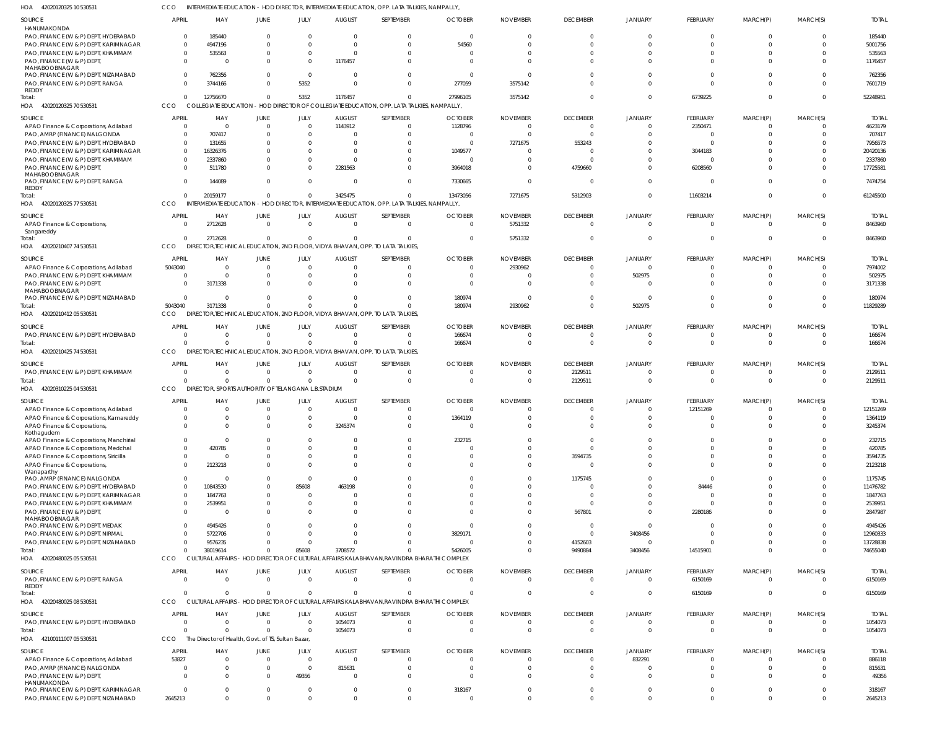42020120325 10 530531 HOA CCO INTERMEDIATE EDUCATION - HOD DIRECTOR, INTERMEDIATE EDUCATION, OPP. LATA TALKIES, NAMPALLY,

| SOURCE                                                | APRIL        | MAY                                                             | JUNE                       | JULY                        | <b>AUGUST</b>       | SEPTEMBER                                                                                   | <b>OCTOBER</b>             | <b>NOVEMBER</b>      | <b>DECEMBER</b>                  | <b>JANUARY</b>            | FEBRUARY             | MARCH(P)                     | MARCH(S)                         | <b>TOTAL</b>         |
|-------------------------------------------------------|--------------|-----------------------------------------------------------------|----------------------------|-----------------------------|---------------------|---------------------------------------------------------------------------------------------|----------------------------|----------------------|----------------------------------|---------------------------|----------------------|------------------------------|----------------------------------|----------------------|
| HANUMAKONDA                                           |              |                                                                 |                            |                             |                     |                                                                                             |                            |                      |                                  |                           |                      |                              |                                  |                      |
| PAO, FINANCE (W & P) DEPT, HYDERABAD                  | $\Omega$     | 185440                                                          | $\Omega$                   | $\overline{0}$              | 0                   | $\Omega$                                                                                    | $\Omega$                   | 0                    | $\Omega$                         | $\Omega$                  | $\Omega$             | $\Omega$                     | $\Omega$                         | 185440               |
| PAO, FINANCE (W & P) DEPT, KARIMNAGAR                 | $\Omega$     | 4947196                                                         | $\Omega$                   | $\Omega$                    | $\Omega$            | $\Omega$                                                                                    | 54560                      |                      | $\Omega$                         |                           | $\Omega$             | $\Omega$                     | $\Omega$                         | 5001756              |
| PAO, FINANCE (W & P) DEPT, KHAMMAM                    | $\Omega$     | 535563                                                          | $\Omega$                   | $\overline{0}$              | 0                   |                                                                                             | $\Omega$                   |                      | $\Omega$                         |                           | $\Omega$             | $\Omega$                     | $\Omega$                         | 535563               |
| PAO, FINANCE (W & P) DEPT,                            | $\Omega$     |                                                                 | $\Omega$                   | $\Omega$                    | 1176457             |                                                                                             | $\Omega$                   |                      | $\Omega$                         | $\Omega$                  | $\Omega$             | $\Omega$                     | $\Omega$                         | 1176457              |
| MAHABOOBNAGAR<br>PAO, FINANCE (W & P) DEPT, NIZAMABAD | $\Omega$     | 762356                                                          | $\Omega$                   | $\overline{0}$              | 0                   |                                                                                             | $\Omega$                   |                      | $\Omega$                         |                           | $\Omega$             | $\Omega$                     | $\Omega$                         | 762356               |
| PAO, FINANCE (W & P) DEPT, RANGA                      |              | 3744166                                                         | $\Omega$                   | 5352                        | $\Omega$            |                                                                                             | 277059                     | 3575142              | $\Omega$                         |                           | $\Omega$             | $\Omega$                     | $\Omega$                         | 7601719              |
| REDDY                                                 |              |                                                                 |                            |                             |                     |                                                                                             |                            |                      |                                  |                           |                      |                              |                                  |                      |
| Total:                                                | $\Omega$     | 12756670                                                        | $\Omega$                   | 5352                        | 1176457             | $\Omega$                                                                                    | 27996105                   | 3575142              | $\Omega$                         | $\Omega$                  | 6739225              | $\mathbf 0$                  | $\Omega$                         | 52248951             |
| HOA 42020120325 70 530531                             | CCO          | <b>COLLEGIATE EDUCATION</b>                                     |                            | - HOD DIREC                 |                     | TOR OF COLLEGIATE EDUCATION, OPP. LATA TALKIES, NAMPALLY,                                   |                            |                      |                                  |                           |                      |                              |                                  |                      |
| SOURCE                                                | <b>APRIL</b> | MAY                                                             | <b>JUNE</b>                | <b>JULY</b>                 | <b>AUGUST</b>       | SEPTEMBER                                                                                   | <b>OCTOBER</b>             | <b>NOVEMBER</b>      | <b>DECEMBER</b>                  | JANUARY                   | FEBRUARY             | MARCH(P)                     | MARCH(S)                         | <b>TOTAL</b>         |
| APAO Finance & Corporations, Adilabad                 | $\Omega$     | $\Omega$                                                        | $\Omega$                   | $\Omega$                    | 1143912             |                                                                                             | 1128796                    | $\Omega$             | $\Omega$                         | $\Omega$                  | 2350471              | $\Omega$                     | $\Omega$                         | 4623179              |
| PAO, AMRP (FINANCE) NALGONDA                          |              | 707417                                                          | $\Omega$                   | $\Omega$                    |                     |                                                                                             | 0                          |                      | $\Omega$                         |                           | $\Omega$             | $\Omega$                     | $\Omega$                         | 707417               |
| PAO, FINANCE (W & P) DEPT, HYDERABAD                  | $\Omega$     | 131655                                                          | n                          | $\Omega$                    |                     |                                                                                             | $\Omega$                   | 7271675              | 553243                           |                           | $\Omega$             |                              |                                  | 7956573              |
| PAO, FINANCE (W & P) DEPT, KARIMNAGAR                 | $\Omega$     | 16326376                                                        | $\Omega$                   | $\Omega$                    |                     |                                                                                             | 1049577                    |                      | $\Omega$                         | $\Omega$                  | 3044183              |                              |                                  | 20420136             |
| PAO, FINANCE (W & P) DEPT, KHAMMAM                    | $\Omega$     | 2337860                                                         | $\Omega$                   | $\Omega$                    | $\Omega$            |                                                                                             | $\Omega$                   |                      | $\Omega$                         |                           | $\Omega$             |                              |                                  | 2337860              |
| PAO, FINANCE (W & P) DEPT,                            |              | 511780                                                          | $\Omega$                   | $\Omega$                    | 2281563             |                                                                                             | 3964018                    |                      | 4759660                          | $\Omega$                  | 6208560              |                              | $\Omega$                         | 17725581             |
| MAHABOOBNAGAR<br>PAO, FINANCE (W & P) DEPT, RANGA     |              | 144089                                                          | $\Omega$                   | $\Omega$                    | $\Omega$            |                                                                                             | 7330665                    |                      | $\Omega$                         | $\Omega$                  | $\Omega$             | $\Omega$                     | $\Omega$                         | 7474754              |
| REDDY                                                 |              |                                                                 |                            |                             |                     |                                                                                             |                            |                      |                                  |                           |                      |                              |                                  |                      |
| Total:                                                |              | 20159177                                                        | $\Omega$                   | $\Omega$                    | 3425475             |                                                                                             | 13473056                   | 7271675              | 5312903                          | $\Omega$                  | 11603214             | $\Omega$                     | $\Omega$                         | 61245500             |
| HOA 42020120325 77 530531                             | CCO          |                                                                 |                            |                             |                     | INTERMEDIATE EDUCATION - HOD DIRECTOR, INTERMEDIATE EDUCATION, OPP. LATA TALKIES, NAMPALLY, |                            |                      |                                  |                           |                      |                              |                                  |                      |
| SOURCE                                                | APRII        | MAY                                                             | JUNE                       | <b>JULY</b>                 | AUGUST              | SEPTEMBER                                                                                   | <b>OCTOBER</b>             | <b>NOVEMBER</b>      | <b>DECEMBER</b>                  | <b>JANUARY</b>            | FEBRUARY             | MARCH(P)                     | MARCH(S)                         | <b>TOTAL</b>         |
| APAO Finance & Corporations,                          |              | 2712628                                                         | $\overline{0}$             | $\overline{0}$              | $\mathbf 0$         | $\Omega$                                                                                    | $\overline{0}$             | 5751332              | $\Omega$                         | $\Omega$                  | $\overline{0}$       | $\overline{0}$               | $\Omega$                         | 8463960              |
| Sangareddy                                            |              |                                                                 |                            |                             |                     |                                                                                             |                            |                      |                                  |                           |                      |                              |                                  |                      |
| Total:                                                |              | 2712628                                                         | $\Omega$                   | $\Omega$                    | $\Omega$            | $\Omega$                                                                                    | $\Omega$                   | 5751332              | $\Omega$                         | $\Omega$                  | $\mathbf 0$          | $\mathbf{0}$                 | $\Omega$                         | 8463960              |
| HOA 42020210407 74 530531                             | CCO          |                                                                 |                            |                             |                     | DIRECTOR, TECHNICAL EDUCATION, 2ND FLOOR, VIDYA BHAVAN, OPP. TO LATA TALKIES,               |                            |                      |                                  |                           |                      |                              |                                  |                      |
| SOURCE                                                | <b>APRIL</b> | MAY                                                             | JUNE                       | JULY                        | <b>AUGUST</b>       | SEPTEMBER                                                                                   | <b>OCTOBER</b>             | <b>NOVEMBER</b>      | <b>DECEMBER</b>                  | <b>JANUARY</b>            | FEBRUARY             | MARCH(P)                     | MARCH(S)                         | <b>TOTAL</b>         |
| APAO Finance & Corporations, Adilabad                 | 5043040      | $\Omega$                                                        | $\Omega$                   | $\overline{0}$              | 0                   |                                                                                             | $\Omega$                   | 2930962              | $\Omega$                         | $\Omega$                  | $\Omega$             | 0                            | $\Omega$                         | 7974002              |
| PAO, FINANCE (W & P) DEPT, KHAMMAM                    | $\Omega$     | $\Omega$                                                        | $\Omega$                   | $\Omega$                    | <sup>0</sup>        |                                                                                             | $\Omega$                   |                      | $\Omega$                         | 502975                    | $\Omega$             | $\Omega$                     | $\Omega$                         | 502975               |
| PAO, FINANCE (W & P) DEPT,<br>MAHABOOBNAGAR           |              | 3171338                                                         | $\Omega$                   | $\Omega$                    |                     |                                                                                             | <sup>0</sup>               |                      | $\Omega$                         |                           | $\Omega$             | $\Omega$                     | $\Omega$                         | 3171338              |
| PAO, FINANCE (W & P) DEPT, NIZAMABAD                  |              | $\Omega$                                                        | $\Omega$                   | $\Omega$                    |                     |                                                                                             | 180974                     |                      | $\Omega$                         | $\Omega$                  | $\Omega$             | $\Omega$                     | $\Omega$                         | 180974               |
| Total:                                                | 5043040      | 3171338                                                         | $\Omega$                   | $\Omega$                    |                     |                                                                                             | 180974                     | 2930962              | $\Omega$                         | 502975                    | $\Omega$             | $\Omega$                     | $\Omega$                         | 11829289             |
| HOA 42020210412 05 530531                             | CCO          |                                                                 |                            |                             |                     | DIRECTOR, TECHNICAL EDUCATION, 2ND FLOOR, VIDYA BHAVAN, OPP. TO LATA TALKIES                |                            |                      |                                  |                           |                      |                              |                                  |                      |
|                                                       | <b>APRIL</b> | MAY                                                             | JUNE                       | JULY                        | <b>AUGUST</b>       | SEPTEMBER                                                                                   | <b>OCTOBER</b>             | <b>NOVEMBER</b>      | <b>DECEMBER</b>                  |                           | FEBRUARY             | MARCH(P)                     | MARCH(S)                         | <b>TOTAL</b>         |
| SOURCE<br>PAO, FINANCE (W & P) DEPT, HYDERABAD        | $\Omega$     | $\Omega$                                                        | $\overline{0}$             | $\overline{0}$              | $\mathbf 0$         | $\Omega$                                                                                    | 166674                     | $\Omega$             | $\overline{0}$                   | JANUARY<br>$\Omega$       | $^{\circ}$           | $\mathbf{0}$                 | $\Omega$                         | 166674               |
| Total:                                                |              | $\Omega$                                                        | $\Omega$                   | $\Omega$                    | $\Omega$            | $\Omega$                                                                                    | 166674                     | $\Omega$             | $\Omega$                         | $\Omega$                  | $\Omega$             | $\Omega$                     | $\Omega$                         | 166674               |
| HOA 42020210425 74 530531                             | CCO          |                                                                 |                            |                             |                     | DIRECTOR, TECHNICAL EDUCATION, 2ND FLOOR, VIDYA BHAVAN, OPP. TO LATA TALKIES,               |                            |                      |                                  |                           |                      |                              |                                  |                      |
|                                                       |              |                                                                 |                            |                             |                     |                                                                                             |                            |                      |                                  |                           |                      |                              |                                  |                      |
| SOURCE                                                | <b>APRIL</b> | MAY                                                             | JUNE                       | JULY                        | <b>AUGUST</b>       | SEPTEMBER                                                                                   | <b>OCTOBER</b>             | <b>NOVEMBER</b>      | <b>DECEMBER</b>                  | <b>JANUARY</b>            | FEBRUARY             | MARCH(P)                     | MARCH(S)                         | <b>TOTAL</b>         |
| PAO, FINANCE (W & P) DEPT, KHAMMAM                    |              | $\Omega$                                                        | $\Omega$<br>$\Omega$       | $\Omega$<br>$\Omega$        | 0<br>$\Omega$       |                                                                                             | $\Omega$                   | <sup>0</sup>         | 2129511                          | $\Omega$                  | $\Omega$             | 0                            | $\Omega$                         | 2129511              |
| Total:<br>HOA 42020310225 04 530531                   | CCO          | $\Omega$<br>DIRECTOR, SPORTS AUTHORITY OF TELANGANA L.B.STADIUM |                            |                             |                     | $\Omega$                                                                                    | $\Omega$                   | $\Omega$             | 2129511                          | $\Omega$                  | $\mathbf 0$          | $\Omega$                     | $\Omega$                         | 2129511              |
|                                                       |              |                                                                 |                            |                             |                     |                                                                                             |                            |                      |                                  |                           |                      |                              |                                  |                      |
| SOURCE                                                | <b>APRIL</b> | MAY                                                             | JUNE                       | JULY                        | <b>AUGUST</b>       | SEPTEMBER                                                                                   | <b>OCTOBER</b>             | <b>NOVEMBER</b>      | <b>DECEMBER</b>                  | <b>JANUARY</b>            | FEBRUARY             | MARCH(P)                     | MARCH(S)                         | Total                |
| APAO Finance & Corporations, Adilabad                 |              | $\Omega$                                                        | $\Omega$                   | $\overline{0}$              | $\Omega$            | - 0                                                                                         | $\Omega$                   | 0                    | $\Omega$                         | $\Omega$                  | 12151269             | $\Omega$                     | $\Omega$                         | 12151269             |
| APAO Finance & Corporations, Kamareddy                | $\Omega$     | $\Omega$                                                        | $\Omega$                   | $\Omega$                    | $\Omega$            | $\Omega$                                                                                    | 1364119                    | $\Omega$             | $\Omega$                         | $\Omega$                  | $\Omega$             | $\Omega$                     | $\Omega$                         | 1364119              |
| APAO Finance & Corporations,<br>Kothagudem            |              |                                                                 |                            | $\Omega$                    | 3245374             |                                                                                             |                            |                      |                                  |                           |                      |                              |                                  | 3245374              |
| APAO Finance & Corporations, Manchirial               |              | $\Omega$                                                        | $\Omega$                   | $\Omega$                    | 0                   | $\Omega$                                                                                    | 232715                     | 0                    | $\Omega$                         | $\Omega$                  | $\Omega$             | $\Omega$                     | $\Omega$                         | 232715               |
| APAO Finance & Corporations, Medchal                  | $\Omega$     | 420785                                                          | $\Omega$                   | $\Omega$                    | $\Omega$            | $\Omega$                                                                                    | $\Omega$                   | $\Omega$             | $\Omega$                         | $\Omega$                  | $\Omega$             | $\Omega$                     | $\Omega$                         | 420785               |
| APAO Finance & Corporations, Siricilla                |              | $\Omega$                                                        | $\Omega$                   | $\Omega$                    | 0                   | $\Omega$                                                                                    | $\Omega$                   | $\Omega$             | 3594735                          | $\Omega$                  | $\Omega$             | $\Omega$                     | $\Omega$                         | 3594735              |
| APAO Finance & Corporations,                          | $\Omega$     | 2123218                                                         | $\Omega$                   | $\Omega$                    | $\Omega$            | $\Omega$                                                                                    | $\Omega$                   | <sup>0</sup>         | - 0                              | $\Omega$                  | $\Omega$             | $\Omega$                     | $\Omega$                         | 2123218              |
| Wanaparthy<br>PAO, AMRP (FINANCE) NALGONDA            | $\Omega$     |                                                                 | $\Omega$                   | $\overline{0}$              | $\Omega$            |                                                                                             | $\Omega$                   | 0                    | 1175745                          | $\Omega$                  | $\overline{0}$       | $\Omega$                     | $\Omega$                         | 1175745              |
| PAO, FINANCE (W & P) DEPT, HYDERABAD                  | $\Omega$     | 10843530                                                        | $\Omega$                   | 85608                       | 463198              |                                                                                             |                            |                      | $\Omega$                         | $\Omega$                  | 84446                | $\Omega$                     | $\Omega$                         | 11476782             |
| PAO, FINANCE (W & P) DEPT, KARIMNAGAR                 |              | 1847763                                                         | $\Omega$                   | 0                           |                     |                                                                                             | $\Omega$                   | <sup>0</sup>         | - 0                              | $\Omega$                  | 0                    | $\Omega$                     |                                  | 1847763              |
| PAO, FINANCE (W & P) DEPT, KHAMMAM                    | $\Omega$     | 2539951                                                         | 0                          | $\mathbf 0$                 | 0                   |                                                                                             | $\Omega$                   | $\Omega$             | $\Omega$                         | $\Omega$                  | $\Omega$             | $\Omega$                     | $\Omega$                         | 2539951              |
| PAO, FINANCE (W & P) DEPT,                            | $\Omega$     |                                                                 | $\Omega$                   | $\Omega$                    |                     |                                                                                             | $\Omega$                   | $\Omega$             | 567801                           | $\Omega$                  | 2280186              | $\Omega$                     | $\Omega$                         | 2847987              |
| MAHABOOBNAGAR                                         |              |                                                                 |                            |                             |                     |                                                                                             |                            |                      |                                  |                           |                      |                              |                                  |                      |
| PAO, FINANCE (W & P) DEPT, MEDAK                      |              | 4945426                                                         | $\Omega$                   | $\Omega$                    |                     |                                                                                             | $\Omega$                   |                      | - 0                              | $\Omega$                  | $\Omega$             | $\Omega$                     | $\Omega$                         | 4945426              |
| PAO, FINANCE (W & P) DEPT, NIRMAL                     |              | 5722706                                                         | $\Omega$                   | $\overline{0}$              | $\Omega$            | $\Omega$                                                                                    | 3829171                    | $\Omega$             | $\Omega$                         | 3408456                   | $\Omega$             | $\Omega$                     | $\Omega$                         | 12960333             |
| PAO, FINANCE (W & P) DEPT, NIZAMABAD<br>Total:        |              | 9576235<br>38019614                                             | $\Omega$<br>$\Omega$       | $\overline{0}$<br>85608     | $\Omega$<br>3708572 | $\Omega$                                                                                    | $\Omega$<br>5426005        | $\Omega$<br>$\Omega$ | 4152603<br>9490884               | $\overline{0}$<br>3408456 | $\Omega$<br>14515901 | $^{\circ}$<br>$\Omega$       | $\Omega$<br>$\Omega$             | 13728838<br>74655040 |
| HOA 42020480025 05 530531                             | CCO          |                                                                 |                            |                             |                     | CULTURAL AFFAIRS - HOD DIRECTOR OF CULTURAL AFFAIRS KALABHAVAN, RAVINDRA BHARATHI COMPLEX   |                            |                      |                                  |                           |                      |                              |                                  |                      |
|                                                       |              |                                                                 |                            |                             |                     |                                                                                             |                            |                      |                                  |                           |                      |                              |                                  |                      |
| SOURCE                                                | <b>APRIL</b> | MAY                                                             | JUNE                       | JULY                        | <b>AUGUST</b>       | SEPTEMBER                                                                                   | <b>OCTOBER</b>             | <b>NOVEMBER</b>      | <b>DECEMBER</b>                  | <b>JANUARY</b>            | FEBRUARY             | MARCH(P)                     | MARCH(S)                         | <b>TOTAL</b>         |
| PAO, FINANCE (W & P) DEPT, RANGA                      | $\Omega$     | $\Omega$                                                        | $\overline{0}$             | $\overline{0}$              | $\Omega$            | $\Omega$                                                                                    | $\overline{0}$             | $\Omega$             | $\overline{0}$                   | $\mathbf 0$               | 6150169              | $\mathbf{0}$                 | $\overline{0}$                   | 6150169              |
| REDDY<br>Total:                                       | $\Omega$     | $\Omega$                                                        | $\Omega$                   | $\overline{0}$              | $\Omega$            | $\Omega$                                                                                    | $\Omega$                   | $\Omega$             | $\overline{0}$                   | $\mathbf{0}$              | 6150169              | $\mathbf{0}$                 | $\Omega$                         | 6150169              |
| HOA 42020480025 08 530531                             | CCO          |                                                                 |                            |                             |                     | CULTURAL AFFAIRS - HOD DIRECTOR OF CULTURAL AFFAIRS KALABHAVAN, RAVINDRA BHARATHI COMPLEX   |                            |                      |                                  |                           |                      |                              |                                  |                      |
|                                                       |              |                                                                 |                            |                             |                     |                                                                                             |                            |                      |                                  |                           |                      |                              |                                  |                      |
| SOURCE                                                | <b>APRIL</b> | MAY                                                             | JUNE                       | JULY                        | <b>AUGUST</b>       | SEPTEMBER                                                                                   | <b>OCTOBER</b>             | <b>NOVEMBER</b>      | <b>DECEMBER</b>                  | <b>JANUARY</b>            | FEBRUARY             | MARCH(P)                     | MARCH(S)                         | <b>TOTAL</b>         |
| PAO, FINANCE (W & P) DEPT, HYDERABAD<br>Total:        | $\Omega$     | $\overline{0}$<br>$\Omega$                                      | $\overline{0}$<br>$\Omega$ | $\mathbf{0}$<br>$\mathbf 0$ | 1054073<br>1054073  | $\Omega$<br>$\Omega$                                                                        | $\overline{0}$<br>$\Omega$ | $\Omega$<br>$\Omega$ | $\overline{0}$<br>$\overline{0}$ | $\Omega$<br>$\Omega$      | 0<br>$\overline{0}$  | $\mathbf{0}$<br>$\mathbf{0}$ | $\overline{0}$<br>$\overline{0}$ | 1054073<br>1054073   |
| HOA 42100111007 05 530531                             | CCO          | The Director of Health, Govt. of TS, Sultan Bazar,              |                            |                             |                     |                                                                                             |                            |                      |                                  |                           |                      |                              |                                  |                      |
|                                                       |              |                                                                 |                            |                             |                     |                                                                                             |                            |                      |                                  |                           |                      |                              |                                  |                      |
| SOURCE                                                | <b>APRIL</b> | MAY                                                             | JUNE                       | JULY                        | <b>AUGUST</b>       | SEPTEMBER                                                                                   | <b>OCTOBER</b>             | <b>NOVEMBER</b>      | <b>DECEMBER</b>                  | JANUARY                   | FEBRUARY             | MARCH(P)                     | MARCH(S)                         | <b>TOTAL</b>         |
| APAO Finance & Corporations, Adilabad                 | 53827        | $\Omega$                                                        | $\mathbf 0$                | $\mathbf{0}$                | $\Omega$            |                                                                                             | $\Omega$                   | 0                    | $\overline{0}$                   | 832291                    | $\mathbf 0$          | 0                            | $\Omega$                         | 886118               |
| PAO, AMRP (FINANCE) NALGONDA                          |              | $\Omega$                                                        | 0                          | $\overline{0}$              | 815631              | - 0                                                                                         | $\Omega$                   | 0                    | $\overline{0}$                   | $\Omega$                  | $\Omega$             | $\mathbf{0}$                 | $\Omega$                         | 815631               |
| PAO, FINANCE (W & P) DEPT,<br>HANUMAKONDA             |              | $\Omega$                                                        | $\Omega$                   | 49356                       |                     | $\Omega$                                                                                    | $\Omega$                   | $\Omega$             | $\Omega$                         | $\Omega$                  | $\Omega$             | $\Omega$                     | $\Omega$                         | 49356                |
| PAO, FINANCE (W & P) DEPT, KARIMNAGAR                 |              | $\Omega$                                                        | $\Omega$                   | $\mathbf 0$                 | 0                   | $\Omega$                                                                                    | 318167                     | $\Omega$             | $\overline{0}$                   | $\mathbf{0}$              | $\mathbf 0$          | $\mathbf{0}$                 | $\Omega$                         | 318167               |
| PAO, FINANCE (W & P) DEPT, NIZAMABAD                  | 2645213      | $\Omega$                                                        | $\Omega$                   | $\Omega$                    | $\Omega$            | $\Omega$                                                                                    | $\overline{0}$             | $\Omega$             | $\Omega$                         | $\Omega$                  | $\Omega$             | $\mathbf{0}$                 | $\Omega$                         | 2645213              |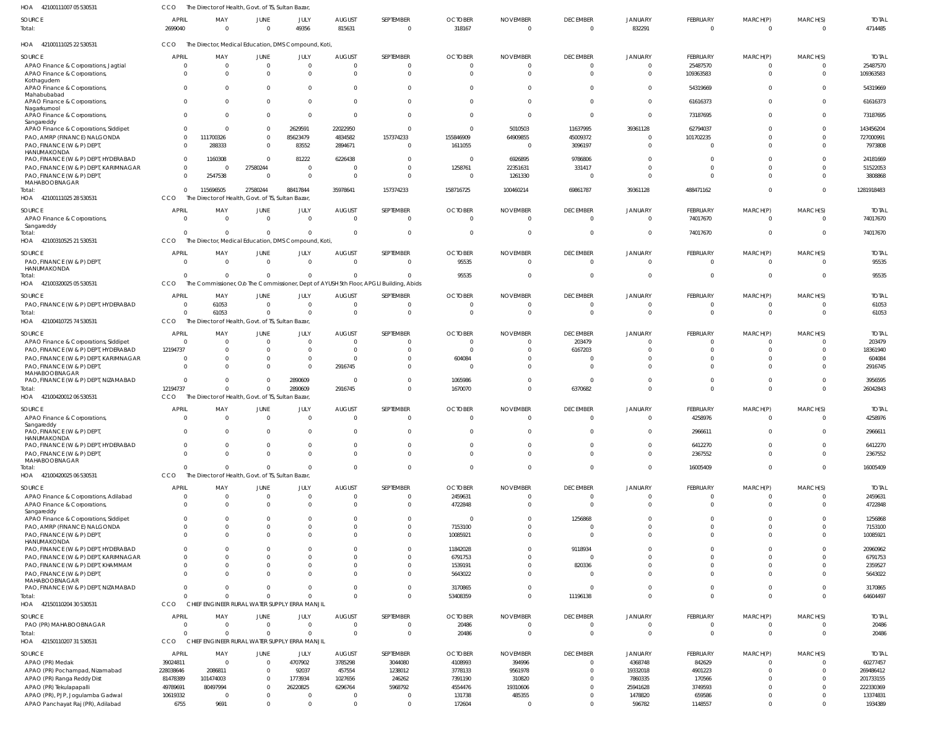42100111007 05 530531 HOA CCO The Director of Health, Govt. of TS, Sultan Bazar,

| SOURCE<br>Total:                                                   | <b>APRIL</b><br>2699040 | MAY<br>$\overline{0}$                                | JUNE<br>$\overline{0}$           | JULY<br>49356                                  | <b>AUGUST</b><br>815631   | SEPTEMBER<br>$\overline{0}$                                                            | <b>OCTOBER</b><br>318167         | <b>NOVEMBER</b><br>$\overline{0}$ | <b>DECEMBER</b><br>$\mathbf 0$ | JANUARY<br>832291        | FEBRUARY<br>$\overline{0}$ | MARCH(P)<br>$\overline{0}$ | MARCH(S)<br>$\Omega$     | <b>TOTAL</b><br>4714485 |
|--------------------------------------------------------------------|-------------------------|------------------------------------------------------|----------------------------------|------------------------------------------------|---------------------------|----------------------------------------------------------------------------------------|----------------------------------|-----------------------------------|--------------------------------|--------------------------|----------------------------|----------------------------|--------------------------|-------------------------|
| HOA<br>42100111025 22 530531                                       | CCO                     | The Director, Medical Education, DMS Compound, Koti, |                                  |                                                |                           |                                                                                        |                                  |                                   |                                |                          |                            |                            |                          |                         |
| SOURCE                                                             | APRIL                   | MAY                                                  | JUNE                             | JULY                                           | AUGUST                    | SEPTEMBER                                                                              | <b>OCTOBER</b>                   | <b>NOVEMBER</b>                   | <b>DECEMBER</b>                | JANUARY                  | FEBRUARY                   | MARCH(P)                   | MARCH(S)                 | <b>TOTAL</b>            |
| APAO Finance & Corporations, Jagtial                               | $\Omega$                | $\overline{0}$                                       | $\overline{0}$                   | $\overline{0}$                                 | $\overline{0}$            | $\Omega$                                                                               | $\overline{0}$                   | $\Omega$                          | $\mathbf 0$                    | $\Omega$                 | 25487570                   | $\overline{0}$             | $\overline{0}$           | 25487570                |
| APAO Finance & Corporations,                                       | $\cap$                  | $\Omega$                                             | $\Omega$                         | $\overline{0}$                                 | $\Omega$                  | $\Omega$                                                                               | $\Omega$                         | $\Omega$                          | $\Omega$                       | $\Omega$                 | 109363583                  | $\overline{0}$             | $\overline{0}$           | 109363583               |
| Kothagudem<br>APAO Finance & Corporations,<br>Mahabubabad          | $\Omega$                | $\Omega$                                             | $\Omega$                         | 0                                              | $\overline{0}$            | $\Omega$                                                                               | $\Omega$                         | $\Omega$                          | $\Omega$                       | 0                        | 54319669                   | $^{\circ}$                 | $\Omega$                 | 54319669                |
| APAO Finance & Corporations,<br>Nagarkurnool                       | $\Omega$                | $\Omega$                                             | $\Omega$                         | $\overline{0}$                                 | $\overline{0}$            | $\Omega$                                                                               | $\Omega$                         | $\Omega$                          | $\Omega$                       | 0                        | 61616373                   | $\mathbf{0}$               | $\Omega$                 | 61616373                |
| APAO Finance & Corporations,<br>Sangareddy                         | $\Omega$                | $\Omega$                                             | $\mathbf 0$                      | $\overline{0}$                                 | $\overline{0}$            | $\Omega$                                                                               | $\Omega$                         | $\Omega$                          | $\mathbf{0}$                   | 0                        | 73187695                   | $\Omega$                   | $\Omega$                 | 73187695                |
| APAO Finance & Corporations, Siddipet                              | $\Omega$                | $\Omega$                                             | $\overline{0}$                   | 2629591                                        | 22022950                  | $\Omega$                                                                               | $\overline{0}$                   | 5010503                           | 11637995                       | 39361128                 | 62794037                   | $\Omega$                   | $\Omega$                 | 143456204               |
| PAO, AMRP (FINANCE) NALGONDA                                       | $\Omega$                | 111700326                                            | $\mathbf 0$                      | 85623479                                       | 4834582                   | 157374233                                                                              | 155846909                        | 64909855                          | 45009372                       | $\Omega$                 | 101702235                  | $\Omega$                   | $\Omega$                 | 727000991               |
| PAO, FINANCE (W & P) DEPT,<br>HANUMAKONDA                          |                         | 288333                                               | $\overline{0}$                   | 83552                                          | 2894671                   | $\mathbf{0}$                                                                           | 1611055                          | $\Omega$                          | 3096197                        | $\Omega$                 | 0                          | $\Omega$                   | $\Omega$                 | 7973808                 |
| PAO, FINANCE (W & P) DEPT, HYDERABAD                               | $\Omega$                | 1160308                                              | $\overline{0}$                   | 81222                                          | 6226438                   | $\Omega$                                                                               | $\overline{0}$                   | 6926895                           | 9786806                        | 0                        | $\Omega$                   | $\Omega$                   | $\Omega$                 | 24181669                |
| PAO, FINANCE (W & P) DEPT, KARIMNAGAR                              | $\Omega$                | $\Omega$                                             | 27580244                         | $\overline{0}$                                 | $\Omega$                  | - 0                                                                                    | 1258761                          | 22351631                          | 331417                         | $\Omega$                 | $\Omega$                   | $\Omega$                   | $\Omega$                 | 51522053                |
| PAO, FINANCE (W & P) DEPT,<br>MAHABOOBNAGAR                        | $\Omega$                | 2547538                                              | $\overline{0}$                   | $\overline{0}$                                 | $\overline{0}$            | $\Omega$                                                                               | $\overline{0}$                   | 1261330                           | $\overline{0}$                 | $\Omega$                 | $\Omega$                   | $\Omega$                   | $\Omega$                 | 3808868                 |
| Total:                                                             |                         | 115696505<br>$\mathbf{0}$                            | 27580244                         | 88417844                                       | 35978641                  | 157374233                                                                              | 158716725                        | 100460214                         | 69861787                       | 39361128                 | 488471162                  | $\mathbf{0}$               | $\Omega$                 | 1281918483              |
| HOA 42100111025 28 530531                                          | CCO                     | The Director of Health, Govt. of TS, Sultan Bazar,   |                                  |                                                |                           |                                                                                        |                                  |                                   |                                |                          |                            |                            |                          |                         |
| SOURCE                                                             | <b>APRIL</b>            | MAY                                                  | JUNE                             | JULY                                           | <b>AUGUST</b>             | SEPTEMBER                                                                              | <b>OCTOBER</b>                   | <b>NOVEMBER</b>                   | <b>DECEMBER</b>                | JANUARY                  | FEBRUARY                   | MARCH(P)                   | MARCH(S)                 | <b>TOTAL</b>            |
| APAO Finance & Corporations,                                       | $\Omega$                | $\Omega$                                             | $\Omega$                         | $\overline{0}$                                 | $\overline{0}$            | $\Omega$                                                                               | $\Omega$                         | $\Omega$                          | $\Omega$                       | $\Omega$                 | 74017670                   | $\Omega$                   | $\Omega$                 | 74017670                |
| Sangareddy                                                         |                         |                                                      |                                  |                                                |                           |                                                                                        |                                  |                                   |                                |                          |                            |                            |                          |                         |
| Total:<br>HOA 42100310525 21 530531                                | CCO                     | $\Omega$                                             | $\Omega$                         | $\Omega$                                       | - 0                       | $\Omega$                                                                               | $\overline{0}$                   | $\Omega$                          | $\Omega$                       | 0                        | 74017670                   | $\overline{0}$             | $\Omega$                 | 74017670                |
|                                                                    |                         | The Director, Medical Education, DMS Compound, Koti, |                                  |                                                |                           |                                                                                        |                                  |                                   |                                |                          |                            |                            |                          |                         |
| SOURCE                                                             | <b>APRIL</b>            | MAY                                                  | JUNE                             | JULY                                           | <b>AUGUST</b>             | SEPTEMBER                                                                              | <b>OCTOBER</b>                   | <b>NOVEMBER</b>                   | <b>DECEMBER</b>                | JANUARY                  | FEBRUARY                   | MARCH(P)                   | MARCH(S)                 | <b>TOTAL</b>            |
| PAO, FINANCE (W & P) DEPT,<br>HANUMAKONDA                          | $\Omega$                | $\overline{0}$                                       | $\overline{0}$                   | $\overline{0}$                                 | $\overline{0}$            | $\Omega$                                                                               | 95535                            | $\Omega$                          | $\mathbf{0}$                   | $\Omega$                 | $\overline{0}$             | $\overline{0}$             | $\Omega$                 | 95535                   |
| Total:                                                             | $\cap$                  | $\Omega$                                             | $\Omega$                         | $\overline{0}$                                 | $\Omega$                  | $\Omega$                                                                               | 95535                            | $\Omega$                          | $\mathbf{0}$                   | 0                        | $\overline{0}$             | $\overline{0}$             | $\overline{0}$           | 95535                   |
| HOA 42100320025 05 530531                                          | CCO                     |                                                      |                                  |                                                |                           | The Commissioner, Olo The Commissioner, Dept of AYUSH 5th Floor, APGLI Building, Abids |                                  |                                   |                                |                          |                            |                            |                          |                         |
| SOURCE                                                             | <b>APRIL</b>            | MAY                                                  | JUNE                             | JULY                                           | <b>AUGUST</b>             | SEPTEMBER                                                                              | <b>OCTOBER</b>                   | <b>NOVEMBER</b>                   | <b>DECEMBER</b>                | JANUARY                  | FEBRUARY                   | MARCH(P)                   | MARCH(S)                 | <b>TOTAL</b>            |
| PAO, FINANCE (W & P) DEPT, HYDERABAD                               | $\Omega$                | 61053                                                | $\overline{0}$                   | $\overline{0}$                                 | $\overline{0}$            | $\Omega$                                                                               | $\Omega$                         | $\Omega$                          | $\Omega$                       | $\Omega$                 | $\overline{0}$             | $\Omega$                   | $\Omega$                 | 61053                   |
| Total:                                                             |                         | 61053                                                | $\Omega$                         | $\Omega$                                       | $\Omega$                  | $\Omega$                                                                               | $\Omega$                         | $\Omega$                          | $\Omega$                       | $\Omega$                 | $\Omega$                   | $\Omega$                   | $\Omega$                 | 61053                   |
| HOA 42100410725 74 530531                                          | CCO                     | The Director of Health, Govt. of TS, Sultan Bazar    |                                  |                                                |                           |                                                                                        |                                  |                                   |                                |                          |                            |                            |                          |                         |
| SOURCE                                                             | APRIL                   | MAY                                                  | JUNE                             | JULY                                           | <b>AUGUST</b>             | SEPTEMBER                                                                              | <b>OCTOBER</b>                   | <b>NOVEMBER</b>                   | <b>DECEMBER</b>                | JANUARY                  | FEBRUARY                   | MARCH(P)                   | MARCH(S)                 | <b>TOTAL</b>            |
| APAO Finance & Corporations, Siddipet                              | - 0                     | $\Omega$                                             | $\Omega$                         | $\overline{0}$                                 | $\Omega$                  | -0                                                                                     | $\Omega$                         | $\Omega$                          | 203479                         | $\Omega$                 | $\overline{0}$             | 0                          | $\overline{0}$           | 203479                  |
| PAO, FINANCE (W & P) DEPT, HYDERABAD                               | 12194737                | $\Omega$                                             | 0                                | $\overline{0}$                                 | $\overline{\mathbf{0}}$   | -0                                                                                     | $\Omega$                         | $\Omega$                          | 6167203                        | 0                        | $\Omega$                   | 0                          | $\Omega$                 | 18361940                |
| PAO, FINANCE (W & P) DEPT, KARIMNAGAR                              | - 0<br>$\cap$           | $\Omega$<br>$\Omega$                                 | $\Omega$                         | $\overline{0}$                                 | $\overline{0}$            |                                                                                        | 604084                           | $\Omega$<br>$\Omega$              | $\Omega$                       |                          | $\Omega$                   | $\Omega$                   |                          | 604084                  |
| PAO, FINANCE (W & P) DEPT,<br>MAHABOOBNAGAR                        |                         |                                                      | $\Omega$                         | $\Omega$                                       | 2916745                   |                                                                                        | $\Omega$                         |                                   | $\Omega$                       |                          | $\Omega$                   | $\Omega$                   | $\Omega$                 | 2916745                 |
| PAO, FINANCE (W & P) DEPT, NIZAMABAD                               | $\Omega$                | $\Omega$                                             | $\mathbf 0$                      | 2890609                                        | $\overline{\mathbf{0}}$   | $\Omega$                                                                               | 1065986                          | $\Omega$                          | $\Omega$                       | 0                        | $\Omega$                   | $\Omega$                   | $\Omega$                 | 3956595                 |
| lotal:                                                             | 12194737                | $\Omega$                                             | $\overline{0}$                   | 2890609                                        | 2916745                   | $\Omega$                                                                               | 1670070                          | $\Omega$                          | 6370682                        | $\Omega$                 | $\Omega$                   | $\Omega$                   | $\Omega$                 | 26042843                |
| HOA 42100420012 06 530531                                          | CCO                     | The Director of Health, Govt. of TS, Sultan Bazar,   |                                  |                                                |                           |                                                                                        |                                  |                                   |                                |                          |                            |                            |                          |                         |
| SOURCE                                                             | APRIL                   | MAY                                                  | JUNE                             | JULY                                           | <b>AUGUST</b>             | SEPTEMBER                                                                              | <b>OCTOBER</b>                   | <b>NOVEMBER</b>                   | <b>DECEMBER</b>                | JANUARY                  | FEBRUARY                   | MARCH(P)                   | MARCH(S)                 | <b>TOTAL</b>            |
| APAO Finance & Corporations,<br>Sangareddy                         | $\Omega$                | $\Omega$                                             | $\Omega$                         | $\Omega$                                       | $\Omega$                  | $\Omega$                                                                               | $\Omega$                         | $\Omega$                          | $\Omega$                       | $\Omega$                 | 4258976                    | $\Omega$                   | $\Omega$                 | 4258976                 |
| PAO, FINANCE (W & P) DEPT,                                         |                         | $\Omega$                                             | $\Omega$                         | $\Omega$                                       | $\Omega$                  | $\Omega$                                                                               | $\Omega$                         | $\Omega$                          | $\Omega$                       | $\Omega$                 | 2966611                    | $\Omega$                   | $\Omega$                 | 2966611                 |
| HANUMAKONDA                                                        |                         |                                                      |                                  |                                                |                           |                                                                                        |                                  |                                   |                                |                          |                            |                            |                          |                         |
| PAO, FINANCE (W & P) DEPT, HYDERABAD<br>PAO, FINANCE (W & P) DEPT, |                         | $\Omega$<br>$\Omega$                                 | $\Omega$<br>$\Omega$             | $\Omega$<br>$\Omega$                           | $\Omega$<br>$\Omega$      | $\Omega$<br>$\Omega$                                                                   | $\overline{0}$<br>$\overline{0}$ | $\Omega$<br>$\Omega$              | $\Omega$<br>$\Omega$           | <sup>0</sup><br>$\Omega$ | 6412270<br>2367552         | $\Omega$<br>$\Omega$       | <sup>0</sup><br>$\Omega$ | 6412270<br>2367552      |
| MAHABOOBNAGAR                                                      |                         |                                                      |                                  |                                                |                           |                                                                                        |                                  |                                   |                                |                          |                            |                            |                          |                         |
| Total:                                                             | $\Omega$                | $\Omega$                                             | $\Omega$                         | $\Omega$                                       | $\Omega$                  | $\Omega$                                                                               | $\overline{0}$                   | $\Omega$                          | $\Omega$                       | $\Omega$                 | 16005409                   | $\overline{0}$             | $\Omega$                 | 16005409                |
| HOA 42100420025 06 530531                                          | CCO                     | The Director of Health, Govt, of TS, Sultan Bazar    |                                  |                                                |                           |                                                                                        |                                  |                                   |                                |                          |                            |                            |                          |                         |
| SOURCE                                                             | <b>APRIL</b>            | MAY                                                  | JUNE                             | JULY                                           | <b>AUGUST</b>             | SEPTEMBER                                                                              | <b>OCTOBER</b>                   | <b>NOVEMBER</b>                   | <b>DECEMBER</b>                | JANUARY                  | FEBRUARY                   | MARCH(P)                   | MARCH(S)                 | <b>TOTAL</b>            |
| APAO Finance & Corporations, Adilabad                              | $\Omega$                | $\overline{0}$                                       | $\mathbf 0$                      | $\overline{0}$                                 | $\overline{0}$            | - 0                                                                                    | 2459631                          | $\Omega$                          | $\mathbf{0}$                   | $\overline{0}$           | $\overline{0}$             | $\overline{0}$             | $\Omega$                 | 2459631                 |
| APAO Finance & Corporations,<br>Sangareddy                         | $\Omega$                | $\overline{0}$                                       | $\mathbf 0$                      | $\overline{0}$                                 | $\overline{0}$            | $\Omega$                                                                               | 4722848                          | $\Omega$                          | $\Omega$                       | $\Omega$                 | $\Omega$                   | $\Omega$                   | $\Omega$                 | 4722848                 |
| APAO Finance & Corporations, Siddipet                              |                         | $\Omega$                                             | $\Omega$                         | $\Omega$                                       | $\Omega$                  | $\Omega$                                                                               | $\overline{0}$                   | $\Omega$                          | 1256868                        | $\Omega$                 | $\Omega$                   | $\Omega$                   | $\Omega$                 | 1256868                 |
| PAO, AMRP (FINANCE) NALGONDA                                       | $\Omega$                | $\overline{0}$                                       | $\mathbf 0$                      | $\Omega$                                       | $\overline{0}$            | $\Omega$                                                                               | 7153100                          | $\overline{0}$                    | $\Omega$                       | $\Omega$                 | $\Omega$                   | $\Omega$                   | $\Omega$                 | 7153100                 |
| PAO, FINANCE (W & P) DEPT,                                         | $\Omega$                | $\Omega$                                             | $\Omega$                         | $\Omega$                                       | $\Omega$                  | $\Omega$                                                                               | 10085921                         | $\Omega$                          | $\mathbf{0}$                   | $\Omega$                 | $\Omega$                   | $\Omega$                   | $\Omega$                 | 10085921                |
| HANUMAKONDA<br>PAO, FINANCE (W & P) DEPT, HYDERABAD                |                         | $\Omega$                                             | $\Omega$                         | $\Omega$                                       | $\Omega$                  | $\Omega$                                                                               | 11842028                         | $\Omega$                          | 9118934                        | $\Omega$                 | $\Omega$                   | $\Omega$                   | <sup>0</sup>             | 20960962                |
| PAO, FINANCE (W & P) DEPT, KARIMNAGAR                              | $\Omega$                | $\Omega$                                             | $\Omega$                         | $\Omega$                                       | $\Omega$                  | $\Omega$                                                                               | 6791753                          | $\Omega$                          | $\mathbf{0}$                   | $\Omega$                 | $\Omega$                   | $\Omega$                   | $\Omega$                 | 6791753                 |
| PAO, FINANCE (W & P) DEPT, KHAMMAM                                 | $\Omega$                | $\Omega$                                             | $\Omega$                         | $\overline{0}$                                 | $\Omega$                  | $\Omega$                                                                               | 1539191                          | $\overline{0}$                    | 820336                         | $\Omega$                 | $\Omega$                   | $\Omega$                   | <sup>0</sup>             | 2359527                 |
| PAO, FINANCE (W & P) DEPT,                                         | $\Omega$                | $\Omega$                                             | $\Omega$                         | $\Omega$                                       | $\Omega$                  | $\Omega$                                                                               | 5643022                          | $\Omega$                          | 0                              | $\Omega$                 | $\Omega$                   | $\Omega$                   | $\Omega$                 | 5643022                 |
| MAHABOOBNAGAR<br>PAO, FINANCE (W & P) DEPT, NIZAMABAD              | $\Omega$                | $\Omega$                                             | $\Omega$                         | $\Omega$                                       | $\overline{0}$            | $\Omega$                                                                               | 3170865                          | $\overline{0}$                    | $\mathbf{0}$                   | 0                        | $\Omega$                   | $\overline{0}$             | $\Omega$                 | 3170865                 |
| Total:                                                             | $\cap$                  | $\Omega$                                             | $\Omega$                         | $\overline{0}$                                 | $\Omega$                  | $\Omega$                                                                               | 53408359                         | $\Omega$                          | 11196138                       | $\Omega$                 | $\Omega$                   | $\Omega$                   | $\Omega$                 | 64604497                |
| HOA 42150110204 30 530531                                          | CCO                     | <b>CHIEF</b>                                         |                                  | <b>ENGINEER RURAL WATER SUPPLY ERRA MANJIL</b> |                           |                                                                                        |                                  |                                   |                                |                          |                            |                            |                          |                         |
| SOURCE                                                             | APRIL                   | MAY                                                  | JUNE                             | JULY                                           | <b>AUGUST</b>             | SEPTEMBER                                                                              | <b>OCTOBER</b>                   | <b>NOVEMBER</b>                   | <b>DECEMBER</b>                | JANUARY                  | FEBRUARY                   | MARCH(P)                   | MARCH(S)                 | <b>TOTAL</b>            |
| PAO (PR) MAHABOOBNAGAR                                             | $\Omega$                | $\Omega$                                             | $\mathbf 0$                      | $\overline{0}$                                 | $\Omega$                  | $\Omega$                                                                               | 20486                            | $\Omega$                          | $\Omega$                       | $\Omega$                 | $\overline{0}$             | $\overline{0}$             | $\Omega$                 | 20486                   |
| Total:                                                             | $\cap$                  | $\Omega$                                             | $\mathbf 0$                      | $\Omega$                                       | $\Omega$                  | $\Omega$                                                                               | 20486                            | $\Omega$                          | $\Omega$                       | $\Omega$                 | $\Omega$                   | $\Omega$                   | $\Omega$                 | 20486                   |
| HOA 42150110207 31 530531                                          | <b>CCO</b>              | CHIEF ENGINEER RURAL WATER SUPPLY ERRA MANJIL        |                                  |                                                |                           |                                                                                        |                                  |                                   |                                |                          |                            |                            |                          |                         |
| SOURCE                                                             | <b>APRIL</b>            | MAY                                                  | JUNE                             | JULY                                           | AUGUST                    | SEPTEMBER                                                                              | <b>OCTOBER</b>                   | <b>NOVEMBER</b>                   | <b>DECEMBER</b>                | JANUARY                  | FEBRUARY                   | MARCH(P)                   | MARCH(S)                 | <b>TOTAL</b>            |
| APAO (PR) Medak                                                    | 39024811                | $\overline{0}$                                       | $\overline{0}$                   | 4707902                                        | 3785298                   | 3044080                                                                                | 4108993                          | 394996                            | $\mathbf{0}$                   | 4368748                  | 842629                     | 0                          | $\Omega$                 | 60277457                |
| APAO (PR) Pochampad, Nizamabad                                     | 228038646               | 2086811                                              | $\overline{0}$                   | 92037                                          | 457554                    | 1238012                                                                                | 3778133                          | 9561978                           | $\mathbf{0}$                   | 19332018                 | 4901223                    | $\Omega$                   | $\Omega$                 | 269486412               |
| APAO (PR) Ranga Reddy Dist                                         | 81478389                | 101474003                                            | $\Omega$                         | 1773934                                        | 1027656                   | 246262                                                                                 | 7391190                          | 310820                            | $\Omega$                       | 7860335                  | 170566                     | $\Omega$                   | $\Omega$                 | 201733155               |
| APAO (PR) Tekulapapalli<br>APAO (PR), PJP, Jogulamba Gadwal        | 49789691<br>10619332    | 80497994<br>$\overline{0}$                           | $\overline{0}$<br>$\overline{0}$ | 26220825<br>$\overline{0}$                     | 6296764<br>$\overline{0}$ | 5968792<br>- 0                                                                         | 4554476<br>131738                | 19310606<br>485355                | $\Omega$<br>$\Omega$           | 25941628<br>1478820      | 3749593<br>659586          | $\Omega$<br>$\Omega$       | $\Omega$<br>$\Omega$     | 222330369<br>13374831   |
| APAO Panchayat Raj (PR), Adilabad                                  | 6755                    | 9691                                                 | $\overline{0}$                   | $\overline{0}$                                 | $\overline{0}$            | $\mathbf 0$                                                                            | 172604                           | $\Omega$                          | $\Omega$                       | 596782                   | 1148557                    | $\Omega$                   | $\Omega$                 | 1934389                 |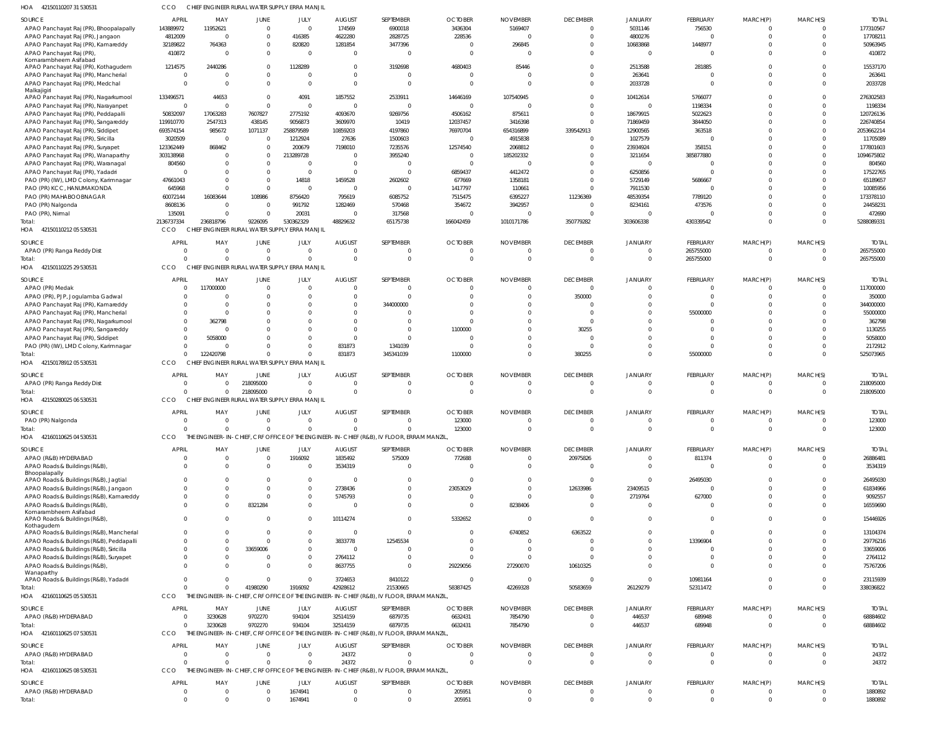| HOA<br>42150110207 31 530531                                                           | CCO                                     |                                              |                             | CHIEF ENGINEER RURAL WATER SUPPLY ERRA MANJII              |                                  |                                                                                           |                            |                                   |                                           |                                  |                          |                         |                            |                         |
|----------------------------------------------------------------------------------------|-----------------------------------------|----------------------------------------------|-----------------------------|------------------------------------------------------------|----------------------------------|-------------------------------------------------------------------------------------------|----------------------------|-----------------------------------|-------------------------------------------|----------------------------------|--------------------------|-------------------------|----------------------------|-------------------------|
| SOURCE                                                                                 | <b>APRIL</b>                            | MAY                                          | JUNE                        | JULY                                                       | <b>AUGUST</b>                    | SEPTEMBER                                                                                 | <b>OCTOBER</b>             | <b>NOVEMBER</b>                   | <b>DECEMBER</b>                           | <b>JANUARY</b>                   | FEBRUARY                 | MARCH(P)                | MARCH(S)                   | <b>TOTA</b>             |
| APAO Panchayat Raj (PR), Bhoopalapally                                                 | 143889972                               | 11952621                                     | $\overline{0}$              | $\Omega$                                                   | 174569                           | 6900018                                                                                   | 3436304                    | 5169407                           | $\overline{0}$                            | 5031146                          | 756530                   | 0                       | $\overline{0}$             | 177310567               |
| APAO Panchayat Raj (PR), Jangaon<br>APAO Panchayat Raj (PR), Kamareddy                 | 4812009<br>32189822                     | $\overline{0}$<br>764363                     | $^{\circ}$<br>$^{\circ}$    | 416385<br>820820                                           | 4622280<br>1281854               | 2828725<br>3477396                                                                        | 228536<br>- 0              | $\Omega$<br>296845                | $\overline{0}$<br>0                       | 4800276<br>10683868              | $\Omega$<br>1448977      | $\mathbf 0$<br>0        | $\overline{0}$<br>$\Omega$ | 17708211<br>50963945    |
| APAO Panchayat Raj (PR)<br>Komarambheem Asifabad                                       | 410872                                  | $\overline{0}$                               | $\mathbf{0}$                | $\Omega$                                                   | $\overline{0}$                   |                                                                                           | $\overline{0}$             | $\Omega$                          | $\Omega$                                  | $\Omega$                         | 0                        | $\Omega$                | $\Omega$                   | 410872                  |
| APAO Panchayat Raj (PR), Kothagudem                                                    | 1214575<br>$\Omega$                     | 2440286<br>$\overline{0}$                    | $\mathbf 0$<br>$\mathbf 0$  | 1128289<br>$\Omega$                                        | $\overline{0}$<br>$\overline{0}$ | 3192698                                                                                   | 4680403<br>- 0             | 85446<br>-0                       | $\Omega$<br>$\Omega$                      | 2513588<br>263641                | 281885<br>$\Omega$       | $\Omega$<br>$\Omega$    | $\Omega$<br>$\Omega$       | 15537170<br>263641      |
| APAO Panchayat Raj (PR), Mancherial<br>APAO Panchayat Raj (PR), Medchal<br>Malkajigiri | $\Omega$                                | $\overline{0}$                               | $\Omega$                    | $\Omega$                                                   | $\mathbf 0$                      | $\Omega$                                                                                  | $\overline{0}$             | $\Omega$                          | $\overline{0}$                            | 2033728                          | $\mathbf 0$              | $\Omega$                | $\mathbf{0}$               | 2033728                 |
| APAO Panchayat Raj (PR), Nagarkurnool                                                  | 133496571                               | 44653                                        | $\overline{0}$              | 4091                                                       | 1857552                          | 2533911                                                                                   | 14646169                   | 107540945                         | $\Omega$                                  | 10412614                         | 5766077                  | $\Omega$                | $\Omega$                   | 276302583               |
| APAO Panchayat Raj (PR), Narayanpet<br>APAO Panchayat Raj (PR), Peddapalli             | $\Omega$<br>50832097                    | $\overline{0}$<br>17063283                   | $\mathbf 0$<br>7607827      | $\Omega$<br>2775192                                        | $\overline{0}$<br>4093670        | $\mathbf 0$<br>9269756                                                                    | $\circ$<br>4506162         | $\Omega$<br>875611                | $\Omega$<br>$\overline{0}$                | $\Omega$<br>18679915             | 1198334<br>5022623       | $\Omega$<br>$\Omega$    | $\Omega$<br>$\Omega$       | 1198334<br>120726136    |
| APAO Panchayat Raj (PR), Sangareddy                                                    | 119910770                               | 2547313                                      | 438145                      | 9056873                                                    | 3609970                          | 10419                                                                                     | 12037457                   | 3416398                           | $\Omega$                                  | 71869459                         | 3844050                  | $\Omega$                | $\Omega$                   | 226740854               |
| APAO Panchayat Raj (PR), Siddipet                                                      | 693574154                               | 985672                                       | 1071137                     | 258879589                                                  | 10859203                         | 4197860                                                                                   | 76970704                   | 654316899                         | 339542913                                 | 12900565                         | 363518                   | $\Omega$                | $\Omega$                   | 2053662214              |
| APAO Panchayat Raj (PR), Siricilla                                                     | 3020509                                 | $\overline{\phantom{0}}$                     | $\overline{0}$              | 1212924                                                    | 27636                            | 1500603                                                                                   | $\circ$                    | 4915838                           | $\mathbf 0$                               | 1027579                          | $\Omega$                 | $\Omega$                | $\Omega$                   | 11705089                |
| APAO Panchayat Raj (PR), Suryapet<br>APAO Panchayat Raj (PR), Wanaparthy               | 123362449<br>303138968                  | 868462<br>$\overline{0}$                     | $\mathbf 0$<br>$^{\circ}$   | 200679<br>213289728                                        | 7198010<br>0                     | 7235576<br>3955240                                                                        | 12574540<br>$\overline{0}$ | 2068812<br>185202332              | $\Omega$<br>$\Omega$                      | 23934924<br>3211654              | 358151<br>385877880      | $\Omega$<br>$\Omega$    | $\Omega$<br>$\Omega$       | 177801603<br>1094675802 |
| APAO Panchayat Raj (PR), Waranagal                                                     | 804560                                  | $\Omega$                                     | $^{\circ}$                  | $\Omega$                                                   | $\overline{0}$                   |                                                                                           | $\Omega$                   | $\epsilon$                        | $\Omega$                                  |                                  | $\Omega$                 | $\Omega$                | $\Omega$                   | 804560                  |
| APAO Panchayat Raj (PR), Yadadr                                                        | $\Omega$                                | $\Omega$                                     | $\mathbf{0}$                | $\Omega$                                                   | $\overline{0}$                   |                                                                                           | 6859437                    | 4412472                           | $\Omega$                                  | 6250856                          | $\Omega$                 | $\Omega$                |                            | 17522765                |
| PAO (PR) (IW), LMD Colony, Karimnagar<br>PAO (PR) KCC, HANUMAKONDA                     | 47661043<br>645968                      | $\Omega$<br>$\Omega$                         | $\Omega$<br>$\overline{0}$  | 14818<br>$\Omega$                                          | 1459528<br>$\overline{0}$        | 2602602<br>$\overline{0}$                                                                 | 677669<br>1417797          | 1358181<br>110661                 | $\Omega$<br>$\Omega$                      | 5729149<br>7911530               | 5686667<br>0             | $\Omega$<br>$\Omega$    | $\Omega$                   | 65189657<br>10085956    |
| PAO (PR) MAHABOOBNAGAR                                                                 | 60072144                                | 16083644                                     | 108986                      | 8756420                                                    | 795619                           | 6085752                                                                                   | 7515475                    | 6395227                           | 11236369                                  | 48539354                         | 7789120                  | $\Omega$                | $\Omega$                   | 173378110               |
| PAO (PR) Nalgonda                                                                      | 8608136                                 | - 0                                          | $\overline{0}$              | 991792                                                     | 1282469                          | 570468                                                                                    | 354672                     | 3942957                           | 0                                         | 8234161                          | 473576                   | $\Omega$                | $\Omega$                   | 24458231                |
| PAO (PR), Nirmal                                                                       | 135091                                  | $\Omega$                                     | $\mathbf{0}$                | 20031                                                      | 0                                | 317568                                                                                    | $\Omega$                   | $\epsilon$                        | $\Omega$                                  | $\Omega$                         |                          | $\Omega$                | $\Omega$                   | 472690                  |
| Total:<br>HOA 42150110212 05 530531                                                    | 2136737334<br><b>CCO</b>                | 236818796                                    | 9226095                     | 530362329<br>CHIEF ENGINEER RURAL WATER SUPPLY ERRA MANJIL | 48829632                         | 65175738                                                                                  | 166042459                  | 1010171786                        | 350779282                                 | 303606338                        | 430339542                | $\mathbf 0$             | $\Omega$                   | 5288089331              |
| SOURCE                                                                                 | <b>APRIL</b>                            | MAY                                          | <b>JUNE</b>                 | JULY                                                       | <b>AUGUST</b>                    | SEPTEMBER                                                                                 | <b>OCTOBER</b>             | <b>NOVEMBER</b>                   | <b>DECEMBER</b>                           | JANUARY                          | FEBRUARY                 | MARCH(P)                | MARCH(S)                   | <b>TOTAI</b>            |
| APAO (PR) Ranga Reddy Dist                                                             | $\Omega$                                | $\overline{0}$                               | $\overline{0}$              | $\Omega$                                                   | 0                                |                                                                                           | - 0                        | -0                                | $\overline{0}$                            | $\Omega$                         | 265755000                | 0                       | $\overline{0}$             | 265755000               |
| lotal:<br>HOA 42150110225 29 530531                                                    | $\Omega$<br>CCO                         | $\overline{0}$                               | $\Omega$                    | $\Omega$<br>CHIEF ENGINEER RURAL WATER SUPPLY ERRA MANJIL  | $\overline{0}$                   | 0                                                                                         | $\circ$                    | $\circ$                           | $\overline{0}$                            | $\Omega$                         | 265755000                | $\mathbf 0$             | $\Omega$                   | 265755000               |
| SOURCE                                                                                 | <b>APRIL</b>                            | MAY                                          | JUNE                        | JULY                                                       | <b>AUGUST</b>                    | SEPTEMBER                                                                                 | <b>OCTOBER</b>             | <b>NOVEMBER</b>                   | <b>DECEMBER</b>                           | <b>JANUARY</b>                   | FEBRUARY                 | MARCH(P)                | MARCH(S)                   | <b>TOTA</b>             |
| APAO (PR) Medak                                                                        | $\Omega$                                | 117000000                                    | $\overline{0}$              | $\Omega$                                                   | $\overline{0}$                   | $\Omega$                                                                                  | $\circ$                    | $\Omega$                          | $\overline{0}$                            | $\Omega$                         | 0                        | 0                       | $\overline{0}$             | 117000000               |
| APAO (PR), PJP, Jogulamba Gadwal                                                       | $\Omega$                                | - 0                                          | $\Omega$                    | $\Omega$                                                   | $\overline{0}$                   |                                                                                           | $\Omega$                   | $\Omega$                          | 350000                                    | $\Omega$                         | $\Omega$                 | $\Omega$                | $\Omega$                   | 350000                  |
| APAO Panchayat Raj (PR), Kamareddy                                                     | $\Omega$                                | $\Omega$<br>$\Omega$                         | -0<br>$\Omega$              | $\Omega$                                                   | $\mathbf 0$<br>0                 | 344000000                                                                                 | $\Omega$<br>$\Omega$       | $\Omega$<br>$\Omega$              | $\Omega$<br>$\Omega$                      | $\Omega$<br>$\Omega$             | $\Omega$<br>55000000     | $\Omega$<br>$\Omega$    | $\Omega$<br>$\Omega$       | 344000000<br>55000000   |
| APAO Panchayat Raj (PR), Mancherial<br>APAO Panchayat Raj (PR), Nagarkurnool           | $\mathbf{0}$                            | 362798                                       | $\Omega$                    |                                                            | $\mathbf 0$                      |                                                                                           | $\Omega$                   | $\Omega$                          | $\overline{0}$                            | $\Omega$                         | 0                        | $\Omega$                |                            | 362798                  |
| APAO Panchayat Raj (PR), Sangareddy                                                    | $\Omega$                                | $\Omega$                                     | $\Omega$                    | $\Omega$                                                   | 0                                |                                                                                           | 1100000                    | $\Omega$                          | 30255                                     | $\Omega$                         | $\Omega$                 | $\Omega$                | $\Omega$                   | 1130255                 |
| APAO Panchayat Raj (PR), Siddipet                                                      | $\Omega$                                | 5058000                                      | $\Omega$                    | $\Omega$                                                   | 0                                |                                                                                           | $\Omega$                   | $\Omega$                          | - 0                                       | $\Omega$                         | $\Omega$                 | $\Omega$                | $\Omega$                   | 5058000                 |
| PAO (PR) (IW), LMD Colony, Karimnagar<br>Total:                                        | $\Omega$                                | $\Omega$<br>$\Omega$<br>122420798            | $\Omega$<br>$\mathbf{0}$    | $\Omega$<br>$\Omega$                                       | 831873<br>831873                 | 1341039<br>345341039                                                                      | $\Omega$<br>1100000        | $\Omega$<br>$\Omega$              | $\Omega$<br>380255                        | $\Omega$<br>$\Omega$             | $\Omega$<br>55000000     | $\Omega$<br>$\mathbf 0$ | $\overline{0}$<br>$\Omega$ | 2172912<br>525073965    |
| HOA 42150178912 05 530531                                                              | CCO                                     |                                              |                             | CHIEF ENGINEER RURAL WATER SUPPLY ERRA MANJIL              |                                  |                                                                                           |                            |                                   |                                           |                                  |                          |                         |                            |                         |
| SOURCE                                                                                 | <b>APRIL</b>                            | MAY                                          | <b>JUNE</b>                 | JULY                                                       | <b>AUGUST</b>                    | SEPTEMBER                                                                                 | <b>OCTOBER</b>             | <b>NOVEMBER</b>                   | <b>DECEMBER</b>                           | <b>JANUARY</b>                   | FEBRUARY                 | MARCH(P)                | MARCH(S)                   | <b>TOTAI</b>            |
| APAO (PR) Ranga Reddy Dist                                                             | $\Omega$                                | $\overline{0}$                               | 218095000                   | $\Omega$                                                   | 0                                |                                                                                           | - 0                        | -0                                | $\overline{0}$                            | $\mathbf 0$                      | 0                        | 0                       | $\overline{0}$             | 218095000               |
| lotal:<br>HOA 42150280025 06 530531                                                    | $\Omega$<br>CCO                         | $\overline{0}$                               | 218095000                   | $\Omega$<br>CHIEF ENGINEER RURAL WATER SUPPLY ERRA MANJIL  | $\overline{0}$                   | $\mathbf{0}$                                                                              | $\circ$                    | $\circ$                           | $\overline{0}$                            | $\overline{0}$                   | $\mathbf{0}$             | $\mathbf 0$             | $\overline{0}$             | 218095000               |
|                                                                                        |                                         |                                              |                             |                                                            |                                  |                                                                                           |                            |                                   |                                           |                                  |                          |                         |                            |                         |
| SOURCE<br>PAO (PR) Nalgonda                                                            | <b>APRIL</b>                            | MAY                                          | JUNE                        | JULY                                                       | <b>AUGUST</b>                    | SEPTEMBER                                                                                 | <b>OCTOBER</b><br>123000   | <b>NOVEMBER</b>                   | <b>DECEMBER</b>                           | <b>JANUARY</b>                   | FEBRUARY                 | MARCH(P)<br>0           | MARCH(S)                   | <b>TOTAL</b><br>123000  |
| Total:                                                                                 | $\Omega$                                | $\Omega$                                     | $\mathbf 0$                 | $\Omega$                                                   | $\Omega$                         | $\Omega$                                                                                  | 123000                     | $\Omega$                          | $\Omega$                                  | $\Omega$                         | $\mathbf 0$              | $\overline{0}$          | $\Omega$                   | 123000                  |
| HOA<br>42160110625 04 530531                                                           | <b>CCO</b>                              |                                              |                             |                                                            |                                  | THE ENGINEER-IN-CHIEF, CRF OFFICE OF THE ENGINEER-IN-CHIEF (R&B), IV FLOOR, ERRAM MANZIL, |                            |                                   |                                           |                                  |                          |                         |                            |                         |
| SOURCE                                                                                 | <b>APRIL</b>                            | MAY                                          | <b>JUNE</b>                 | JULY                                                       | <b>AUGUST</b>                    | SEPTEMBER                                                                                 | <b>OCTOBER</b>             | <b>NOVEMBER</b>                   | <b>DECEMBER</b>                           | <b>JANUARY</b>                   | <b>FEBRUARY</b>          | MARCH(P)                | MARCH(S)                   | <b>TOTAL</b>            |
| APAO (R&B) HYDERABAD                                                                   | $\Omega$<br>$\Omega$                    | $\overline{0}$<br>$\overline{0}$             | $\overline{0}$              | 1916092<br>$\Omega$                                        | 1835492                          | 575009<br>$\Omega$                                                                        | 772688<br>$\Omega$         | $\overline{0}$<br>$\Omega$        | 20975826                                  | $\overline{0}$<br>$\Omega$       | 811374                   | $\mathbf{0}$            | $\overline{0}$<br>$\Omega$ | 26886481                |
| APAO Roads & Buildings (R&B),<br>Bhoopalapally                                         |                                         |                                              | $\mathbf 0$                 |                                                            | 3534319                          |                                                                                           |                            |                                   | $\overline{0}$                            |                                  | $\overline{0}$           | $\mathbf{0}$            |                            | 3534319                 |
| APAO Roads & Buildings (R&B), Jagtial                                                  |                                         | $\Omega$<br>$\overline{0}$                   | $\Omega$                    | $\Omega$                                                   | 0                                | $\Omega$                                                                                  | $\overline{0}$             | $^{\circ}$                        | $\Omega$                                  | $\Omega$                         | 26495030                 | $\mathbf 0$             | $\Omega$                   | 26495030                |
| APAO Roads & Buildings (R&B), Jangaon<br>APAO Roads & Buildings (R&B), Kamareddy       | $\Omega$<br>$\Omega$                    | $\overline{0}$<br>$\overline{0}$             | $\mathbf 0$<br>$\mathbf{0}$ | $\Omega$<br>$\Omega$                                       | 2738436<br>5745793               | $\Omega$                                                                                  | 23053029<br>$\circ$        | $\Omega$<br>$\overline{0}$        | 12633986<br>$\overline{0}$                | 23409515<br>2719764              | $\overline{0}$<br>627000 | $\Omega$<br>$\mathbf 0$ | $\Omega$<br>$\Omega$       | 61834966<br>9092557     |
| APAO Roads & Buildings (R&B),                                                          | $\Omega$                                | $\Omega$                                     | 8321284                     | $\Omega$                                                   | $\Omega$                         | 0                                                                                         | $\Omega$                   | 8238406                           | $\Omega$                                  | $\Omega$                         | $\Omega$                 | $\Omega$                | $\Omega$                   | 16559690                |
| Komarambheem Asifabad<br>APAO Roads & Buildings (R&B),<br>Kothagudem                   | $\Omega$                                | $\Omega$                                     | $\mathbf{0}$                | - 0                                                        | 10114274                         | $\Omega$                                                                                  | 5332652                    | - 0                               | $\Omega$                                  | $\Omega$                         | $\mathbf 0$              | $\mathbf 0$             | $\Omega$                   | 15446926                |
| APAO Roads & Buildings (R&B), Mancherial                                               | $\Omega$                                | $\overline{0}$                               | $\overline{0}$              | $\Omega$                                                   | 0                                | $\Omega$                                                                                  | - 0                        | 6740852                           | 6363522                                   | $\overline{0}$                   | $\overline{0}$           | $\mathbf 0$             | $\Omega$                   | 13104374                |
| APAO Roads & Buildings (R&B), Peddapalli                                               | $\Omega$                                | $\Omega$                                     | $\mathbf{0}$                | $\Omega$                                                   | 3833778                          | 12545534                                                                                  | $\circ$                    | $\overline{0}$                    | $\Omega$                                  | $\Omega$                         | 13396904                 | $\Omega$                | $\Omega$                   | 29776216                |
| APAO Roads & Buildings (R&B), Siricilla<br>APAO Roads & Buildings (R&B), Suryapet      | $\Omega$                                | $\overline{0}$<br>$\Omega$<br>$\overline{0}$ | 33659006<br>0               | $\Omega$<br>$\Omega$                                       | 0<br>2764112                     | $\Omega$                                                                                  | $\Omega$<br>$\overline{0}$ | $\Omega$<br>$\overline{0}$        | $\Omega$<br>$\Omega$                      | $\Omega$<br>$\Omega$             | 0<br>$\mathbf 0$         | $\Omega$<br>$\Omega$    | $\Omega$                   | 33659006<br>2764112     |
| APAO Roads & Buildings (R&B),                                                          | $\Omega$                                | $\Omega$                                     | $\Omega$                    | $\Omega$                                                   | 8637755                          | $\Omega$                                                                                  | 29229056                   | 27290070                          | 10610325                                  | $\Omega$                         | $\mathbf 0$              | $\Omega$                | $\Omega$                   | 75767206                |
| Wanaparthy<br>APAO Roads & Buildings (R&B), Yadadri                                    | $\Omega$                                | $\Omega$                                     | $\overline{0}$              | $\Omega$                                                   | 3724653                          | 8410122                                                                                   | - 0                        | $\overline{0}$                    | $\overline{0}$                            | $\Omega$                         | 10981164                 | $\mathbf 0$             | $\Omega$                   | 23115939                |
| Total:                                                                                 | $\Omega$                                | $\Omega$                                     | 41980290                    | 1916092                                                    | 42928612                         | 21530665                                                                                  | 58387425                   | 42269328                          | 50583659                                  | 26129279                         | 52311472                 | $\overline{0}$          | $\Omega$                   | 338036822               |
| HOA 42160110625 05 530531                                                              | CCO                                     |                                              |                             |                                                            |                                  | THE ENGINEER-IN-CHIEF, CRF OFFICE OF THE ENGINEER-IN-CHIEF (R&B), IV FLOOR, ERRAM MANZIL, |                            |                                   |                                           |                                  |                          |                         |                            |                         |
| SOURCE                                                                                 | <b>APRIL</b>                            | MAY                                          | JUNE                        | JULY                                                       | <b>AUGUST</b>                    | SEPTEMBER                                                                                 | <b>OCTOBER</b>             | <b>NOVEMBER</b>                   | <b>DECEMBER</b>                           | <b>JANUARY</b>                   | <b>FEBRUARY</b>          | MARCH(P)                | MARCH(S)                   | <b>TOTAL</b>            |
| APAO (R&B) HYDERABAD<br>Total:                                                         | $\Omega$<br>$\Omega$                    | 3230628<br>3230628                           | 9702270<br>9702270          | 934104<br>934104                                           | 32514159<br>32514159             | 6879735<br>6879735                                                                        | 6632431<br>6632431         | 7854790<br>7854790                | $\overline{0}$<br>$\overline{\mathbf{0}}$ | 446537<br>446537                 | 689948<br>689948         | 0<br>$\mathbf{0}$       | $\overline{0}$<br>$\Omega$ | 68884602<br>68884602    |
| HOA 42160110625 07 530531                                                              | CCO                                     |                                              |                             |                                                            |                                  | THE ENGINEER-IN-CHIEF, CRF OFFICE OF THE ENGINEER-IN-CHIEF (R&B), IV FLOOR, ERRAM MANZIL, |                            |                                   |                                           |                                  |                          |                         |                            |                         |
| SOURCE                                                                                 | <b>APRIL</b>                            | MAY                                          | <b>JUNE</b>                 | JULY                                                       | <b>AUGUST</b>                    | SEPTEMBER                                                                                 | <b>OCTOBER</b>             | <b>NOVEMBER</b>                   | <b>DECEMBER</b>                           | <b>JANUARY</b>                   | <b>FEBRUARY</b>          | MARCH(P)                | MARCH(S)                   | <b>TOTAL</b>            |
| APAO (R&B) HYDERABAD                                                                   | $\Omega$                                | $\overline{0}$                               | $\mathbf{0}$                | $\Omega$                                                   | 24372                            | 0                                                                                         | - 0                        | -0                                | $\overline{0}$                            | $\mathbf 0$                      | $\mathbf 0$              | 0                       | $\overline{0}$             | 24372                   |
| Total:                                                                                 | $\Omega$                                | $\overline{0}$                               | $\overline{0}$              | $\Omega$                                                   | 24372                            | 0                                                                                         | $\circ$                    | $\Omega$                          | $\overline{0}$                            | $\Omega$                         | $\mathbf{0}$             | $\overline{0}$          | $\Omega$                   | 24372                   |
| HOA 42160110625 08 530531                                                              | <b>CCO</b>                              |                                              |                             |                                                            |                                  | THE ENGINEER-IN-CHIEF, CRF OFFICE OF THE ENGINEER-IN-CHIEF (R&B), IV FLOOR, ERRAM MANZIL, |                            |                                   |                                           |                                  |                          |                         |                            |                         |
| <b>SOURCE</b><br>APAO (R&B) HYDERABAD                                                  | <b>APRIL</b><br>$\overline{\mathbf{0}}$ | MAY<br>$\overline{0}$                        | JUNE<br>$\overline{0}$      | JULY<br>1674941                                            | <b>AUGUST</b><br>$\mathbf{0}$    | SEPTEMBER<br>0                                                                            | <b>OCTOBER</b><br>205951   | <b>NOVEMBER</b><br>$\overline{0}$ | <b>DECEMBER</b><br>$\overline{0}$         | <b>JANUARY</b><br>$\overline{0}$ | FEBRUARY<br>$\mathbf 0$  | MARCH(P)<br>$\mathbf 0$ | MARCH(S)<br>$\overline{0}$ | <b>TOTAL</b><br>1880892 |
| Total:                                                                                 | $\Omega$                                | $\Omega$                                     | $\Omega$                    | 1674941                                                    | $\mathbf 0$                      | $\Omega$                                                                                  | 205951                     | $\Omega$                          | $\overline{0}$                            | $\Omega$                         | $\mathbf 0$              | $\mathbf 0$             | $\Omega$                   | 1880892                 |
|                                                                                        |                                         |                                              |                             |                                                            |                                  |                                                                                           |                            |                                   |                                           |                                  |                          |                         |                            |                         |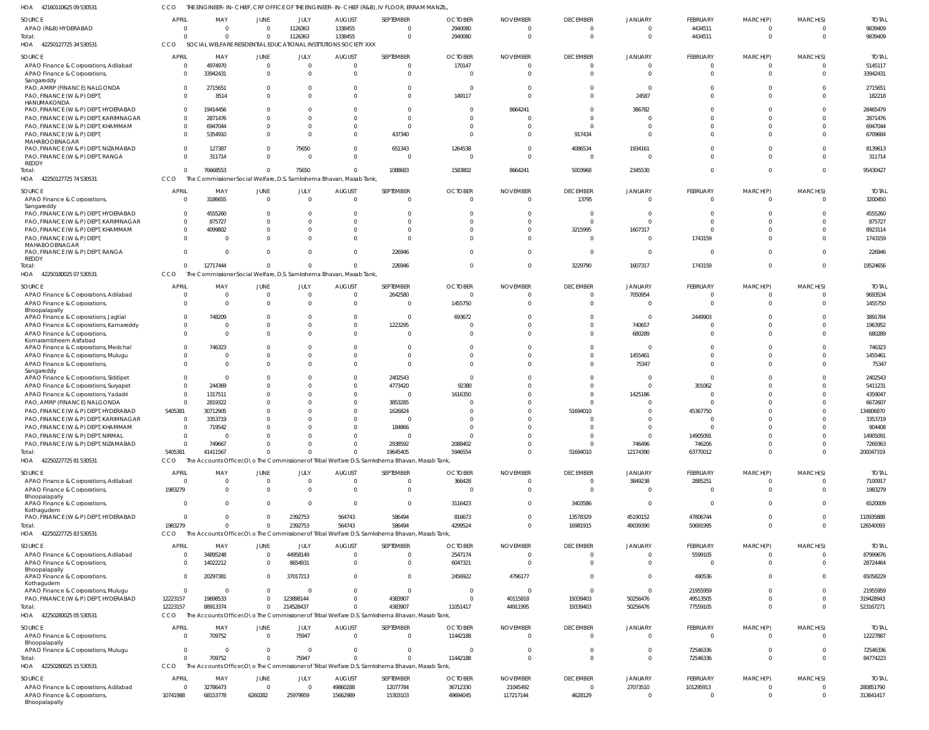42160110625 09 530531 HOA CCO THE ENGINEER-IN-CHIEF, CRF OFFICE OF THE ENGINEER-IN-CHIEF (R&B), IV FLOOR, ERRAM MANZIL,

| SOURCE                                                                         | <b>APRIL</b>             | MAY                                                                 | JUNE                       | JULY                       | <b>AUGUST</b>                | SEPTEMBER                                                                                                  | <b>OCTOBER</b>       | <b>NOVEMBER</b>      | <b>DECEMBER</b>            | <b>JANUARY</b>       | FEBRUARY             | MARCH(P)                | MARCH(S)             | <b>TOTAL</b>           |
|--------------------------------------------------------------------------------|--------------------------|---------------------------------------------------------------------|----------------------------|----------------------------|------------------------------|------------------------------------------------------------------------------------------------------------|----------------------|----------------------|----------------------------|----------------------|----------------------|-------------------------|----------------------|------------------------|
| APAO (R&B) HYDERABAD                                                           | $\Omega$                 |                                                                     | $\Omega$                   | 1126363                    | 1338455                      | $\mathbf 0$                                                                                                | 2940080              |                      | $\mathbf{0}$               | $\overline{0}$       | 4434511              | 0                       | $\Omega$             | 9839409                |
| Total:                                                                         |                          |                                                                     | $\Omega$                   | 1126363                    | 1338455                      | $\Omega$                                                                                                   | 2940080              |                      | $\Omega$                   | $\Omega$             | 4434511              | $\Omega$                | $\Omega$             | 9839409                |
| HOA 42250127725 34 530531                                                      | CCO                      | SOCIAL WELFARE RESIDENTIAL EDUCATIONAL INSTITUTIONS SOCIETY XXX     |                            |                            |                              |                                                                                                            |                      |                      |                            |                      |                      |                         |                      |                        |
| SOURCE                                                                         | APRIL                    | MAY                                                                 | JUNE                       | JULY                       | <b>AUGUST</b>                | SEPTEMBER                                                                                                  | <b>OCTOBER</b>       | <b>NOVEMBER</b>      | <b>DECEMBER</b>            | <b>JANUARY</b>       | FEBRUARY             | MARCH(P)                | MARCH(S)             | <b>TOTAL</b>           |
| APAO Finance & Corporations, Adilabad                                          | $\Omega$                 | 4974970                                                             | $\Omega$                   | $\overline{0}$             | $\Omega$                     | $\mathbf 0$                                                                                                | 170147               |                      | $\overline{0}$             | $\Omega$             | $\mathbf 0$          | 0                       | $\Omega$             | 5145117                |
| APAO Finance & Corporations,                                                   | $\Omega$                 | 33942431                                                            | $\Omega$                   | $\Omega$                   | $\Omega$                     | $\mathbf 0$                                                                                                |                      |                      | $\Omega$                   | $\Omega$             | $\overline{0}$       | $\mathbf 0$             | $\Omega$             | 33942431               |
| Sangareddy<br>PAO, AMRP (FINANCE) NALGONDA                                     | $\Omega$                 | 2715651                                                             | $\Omega$                   | $\Omega$                   | $\Omega$                     | $\Omega$                                                                                                   |                      |                      | $\Omega$                   | $\Omega$             | $\Omega$             | $\Omega$                | $\Omega$             | 2715651                |
| PAO, FINANCE (W & P) DEPT,                                                     | $\Omega$                 | 8514                                                                | $\Omega$                   | $\Omega$                   | $\Omega$                     | $\Omega$                                                                                                   | 149117               |                      | $\Omega$                   | 24587                | $\Omega$             | $\Omega$                | $\Omega$             | 182218                 |
| HANUMAKONDA                                                                    |                          |                                                                     |                            |                            |                              |                                                                                                            |                      |                      |                            |                      |                      |                         |                      |                        |
| PAO, FINANCE (W & P) DEPT, HYDERABAD<br>PAO, FINANCE (W & P) DEPT, KARIMNAGAR  | $\mathbf{0}$<br>$\Omega$ | 19414456<br>2871476                                                 |                            | $\Omega$<br>$\Omega$       | <sup>0</sup><br><sup>0</sup> | $\Omega$<br>$\Omega$                                                                                       | $\Omega$             | 8664241              | $\Omega$<br>$\Omega$       | 386782               | $\Omega$<br>$\Omega$ | $\Omega$<br>$\Omega$    |                      | 28465479<br>2871476    |
| PAO, FINANCE (W & P) DEPT, KHAMMAM                                             | $\Omega$                 | 6947044                                                             |                            | $\Omega$                   | $\Omega$                     | $\Omega$                                                                                                   |                      |                      | $\Omega$                   | $\Omega$             | $\Omega$             | $\Omega$                | $\Omega$             | 6947044                |
| PAO, FINANCE (W & P) DEPT,                                                     | $\Omega$                 | 5354910                                                             | $\Omega$                   | $\Omega$                   | <sup>0</sup>                 | 437340                                                                                                     |                      |                      | 917434                     | $\Omega$             | $\Omega$             | $\Omega$                | $\Omega$             | 6709684                |
| MAHABOOBNAGAR                                                                  |                          |                                                                     |                            |                            |                              |                                                                                                            |                      |                      |                            |                      |                      |                         |                      |                        |
| PAO, FINANCE (W & P) DEPT, NIZAMABAD                                           | $\Omega$                 | 127387                                                              | $\Omega$                   | 75650                      | $\Omega$                     | 651343                                                                                                     | 1264538              |                      | 4086534                    | 1934161              | $\Omega$             | $\Omega$                | $\Omega$             | 8139613                |
| PAO, FINANCE (W & P) DEPT, RANGA<br>REDDY                                      | $\Omega$                 | 311714                                                              | $\Omega$                   | $\Omega$                   | $\Omega$                     | $\overline{0}$                                                                                             |                      |                      | $\overline{0}$             | $\Omega$             | $\Omega$             | $\Omega$                | $\Omega$             | 311714                 |
| Total:                                                                         | $\Omega$                 | 76668553                                                            | $\Omega$                   | 75650                      | $\Omega$                     | 1088683                                                                                                    | 1583802              | 8664241              | 5003968                    | 2345530              | $\Omega$             | $\mathbf 0$             | $\Omega$             | 95430427               |
| HOA<br>42250127725 74 530531                                                   | <b>CCO</b>               | The Commissioner Social Welfare, D.S. Samkshema Bhavan, Masab Tank, |                            |                            |                              |                                                                                                            |                      |                      |                            |                      |                      |                         |                      |                        |
| SOURCE                                                                         | APRIL                    | MAY                                                                 | <b>JUNE</b>                | JULY                       | <b>AUGUST</b>                | SEPTEMBER                                                                                                  | <b>OCTOBER</b>       | <b>NOVEMBER</b>      | <b>DECEMBER</b>            | <b>JANUARY</b>       | FEBRUARY             | MARCH(P)                | MARCH(S)             | <b>TOTAL</b>           |
| APAO Finance & Corporations,                                                   | $\Omega$                 | 3186655                                                             | $\Omega$                   | $\Omega$                   | $\Omega$                     | $\Omega$                                                                                                   | $\Omega$             |                      | 13795                      | $\Omega$             | $\Omega$             | $\Omega$                | $\Omega$             | 3200450                |
| Sangareddy                                                                     |                          |                                                                     |                            |                            |                              |                                                                                                            |                      |                      |                            |                      |                      |                         |                      |                        |
| PAO, FINANCE (W & P) DEPT, HYDERABAD                                           | $\Omega$                 | 4555260                                                             | $\Omega$                   | $\Omega$                   | $\Omega$                     | $\Omega$                                                                                                   |                      |                      | $\Omega$                   | 0                    | $\Omega$             | $\Omega$                |                      | 4555260                |
| PAO, FINANCE (W & P) DEPT, KARIMNAGAR                                          | $\Omega$                 | 875727                                                              |                            | $\Omega$                   |                              | $\Omega$                                                                                                   |                      |                      | $\mathbf{0}$               | <sup>0</sup>         | $\Omega$             | ſ                       |                      | 875727                 |
| PAO, FINANCE (W & P) DEPT, KHAMMAM<br>PAO, FINANCE (W & P) DEPT,               | $\Omega$<br>$\Omega$     | 4099802                                                             |                            | $\Omega$<br>$\Omega$       | <sup>0</sup>                 | $\Omega$<br>$\Omega$                                                                                       |                      |                      | 3215995<br>$\Omega$        | 1607317<br>$\Omega$  | $\Omega$<br>1743159  | $\Omega$<br>$\Omega$    | $\Omega$<br>$\Omega$ | 8923114<br>1743159     |
| MAHABOOBNAGAR                                                                  |                          |                                                                     |                            |                            |                              |                                                                                                            |                      |                      |                            |                      |                      |                         |                      |                        |
| PAO, FINANCE (W & P) DEPT, RANGA                                               | $\Omega$                 |                                                                     | $\Omega$                   | $\Omega$                   | $\Omega$                     | 226946                                                                                                     |                      |                      | $\mathbf{0}$               | $\Omega$             | $^{\circ}$           | $\Omega$                | $\Omega$             | 226946                 |
| REDDY                                                                          | $\Omega$                 | 12717444                                                            | $\Omega$                   | $\Omega$                   | $\Omega$                     |                                                                                                            | $\Omega$             |                      |                            | 1607317              | 1743159              | $\mathbf 0$             | $\overline{0}$       |                        |
| Total:<br>HOA 42250180025 07 530531                                            | CCO                      | The Commissioner Social Welfare, D.S. Samkshema Bhavan, Masab Tank, |                            |                            |                              | 226946                                                                                                     |                      |                      | 3229790                    |                      |                      |                         |                      | 19524656               |
|                                                                                |                          |                                                                     |                            |                            |                              |                                                                                                            |                      |                      |                            |                      |                      |                         |                      |                        |
| SOURCE                                                                         | <b>APRIL</b>             | MAY                                                                 | JUNE                       | JULY                       | <b>AUGUST</b>                | SEPTEMBER                                                                                                  | <b>OCTOBER</b>       | <b>NOVEMBER</b>      | <b>DECEMBER</b>            | <b>JANUARY</b>       | FEBRUARY             | MARCH(P)                | MARCH(S)             | <b>TOTAL</b>           |
| APAO Finance & Corporations, Adilabad                                          | - 0<br>$\Omega$          | $\Omega$<br>$\Omega$                                                | $\overline{0}$             | $\overline{0}$<br>$\Omega$ | $\overline{0}$<br>$\Omega$   | 2642580                                                                                                    | $\Omega$             |                      | $\overline{0}$<br>$\Omega$ | 7050954<br>$\Omega$  | -0                   | 0<br>$\Omega$           | $\Omega$<br>$\Omega$ | 9693534                |
| APAO Finance & Corporations,<br>Bhoopalapally                                  |                          |                                                                     | $\Omega$                   |                            |                              | $\overline{0}$                                                                                             | 1455750              |                      |                            |                      | $\overline{0}$       |                         |                      | 1455750                |
| APAO Finance & Corporations, Jagtial                                           | $\Omega$                 | 748209                                                              | 0                          | $\Omega$                   | $\Omega$                     | $\overline{0}$                                                                                             | 693672               |                      | $\Omega$                   | 0                    | 2449903              | $\Omega$                | $\Omega$             | 3891784                |
| APAO Finance & Corporations, Kamareddy                                         | $\Omega$                 | $\Omega$                                                            | U                          | $\Omega$                   | $\Omega$                     | 1223295                                                                                                    |                      |                      | $\Omega$                   | 740657               | $\Omega$             | $\Omega$                | $\Omega$             | 1963952                |
| APAO Finance & Corporations,                                                   | $\Omega$                 |                                                                     |                            | $\Omega$                   | $\Omega$                     | $\mathbf 0$                                                                                                |                      |                      | $\Omega$                   | 680289               | $\Omega$             | $\Omega$                | $\Omega$             | 680289                 |
| Komarambheem Asifabad<br>APAO Finance & Corporations, Medchal                  | $\Omega$                 | 746323                                                              |                            | $\Omega$                   |                              | $\Omega$                                                                                                   |                      |                      | $\Omega$                   | 0                    | $\Omega$             | $\Omega$                | $\Omega$             | 746323                 |
| APAO Finance & Corporations, Mulugu                                            | $\Omega$                 |                                                                     |                            | $\Omega$                   | $\Omega$                     | $\mathbf 0$                                                                                                |                      |                      | $\Omega$                   | 1455461              | $\mathbf 0$          | $\Omega$                | $\Omega$             | 1455461                |
| APAO Finance & Corporations,                                                   | $\Omega$                 | - 0                                                                 |                            | $\Omega$                   |                              | $\Omega$                                                                                                   |                      |                      | $\Omega$                   | 75347                | $\Omega$             | $\Omega$                | $\Omega$             | 75347                  |
| Sangareddy                                                                     |                          |                                                                     |                            |                            |                              |                                                                                                            |                      |                      |                            |                      |                      |                         |                      |                        |
| APAO Finance & Corporations, Siddipet<br>APAO Finance & Corporations, Suryapet | $\Omega$<br>$\Omega$     | 244369                                                              |                            | $\Omega$<br>$\Omega$       | $\Omega$                     | 2402543<br>4773420                                                                                         | 92380                |                      | $\Omega$<br>$\Omega$       | $\Omega$             | $\Omega$<br>301062   | $\Omega$<br>$\Omega$    | $\Omega$             | 2402543<br>5411231     |
| APAO Finance & Corporations, Yadadri                                           | $\overline{0}$           | 1317511                                                             |                            | $\Omega$                   | $\Omega$                     | $\overline{0}$                                                                                             | 1616350              |                      | $\Omega$                   | 1425186              | $\Omega$             |                         |                      | 4359047                |
| PAO, AMRP (FINANCE) NALGONDA                                                   | $\Omega$                 | 2819322                                                             |                            | $\Omega$                   | $\Omega$                     | 3853285                                                                                                    |                      |                      | $\Omega$                   | $\Omega$             | $\Omega$             |                         |                      | 6672607                |
| PAO, FINANCE (W & P) DEPT, HYDERABAD                                           | 5405381                  | 30712905                                                            |                            | $\Omega$                   | $\Omega$                     | 1626824                                                                                                    |                      |                      | 51694010                   |                      | 45367750             |                         |                      | 134806870              |
| PAO, FINANCE (W & P) DEPT, KARIMNAGAR                                          | $\Omega$                 | 3353719                                                             | O                          | $\Omega$                   | $\Omega$                     | $\Omega$                                                                                                   |                      |                      | $\Omega$                   | $\Omega$             | $\Omega$             | $\Omega$                | $\Omega$             | 3353719                |
| PAO, FINANCE (W & P) DEPT, KHAMMAM                                             |                          | 719542                                                              |                            |                            |                              | 184866                                                                                                     |                      |                      |                            | 0                    | $\Omega$             | $\Omega$                |                      | 904408                 |
| PAO, FINANCE (W & P) DEPT, NIRMAL                                              | $\Omega$                 | $\Omega$                                                            |                            | $\Omega$                   | $\Omega$                     | 0                                                                                                          | $\Omega$             |                      | $\Omega$                   | $\Omega$             | 14905091             | $\mathbf 0$             | $\Omega$             | 14905091               |
| PAO, FINANCE (W & P) DEPT, NIZAMABAD                                           | $\Omega$                 | 749667                                                              |                            | $\Omega$                   | $\Omega$                     | 2938592                                                                                                    | 2088402              |                      | $\Omega$                   | 746496               | 746206               | $\mathbf 0$             | $\Omega$             | 7269363                |
| Total:                                                                         | 5405381                  | 41411567                                                            | $\Omega$                   | $\Omega$                   | $\Omega$                     | 19645405                                                                                                   | 5946554              |                      | 51694010                   | 12174390             | 63770012             | $\mathbf 0$             | $\Omega$             | 200047319              |
| HOA 42250227725 81 530531                                                      | CCO                      |                                                                     |                            |                            |                              | The Accounts Officer. ONo The Commissioner of Tribal Welfare D.S. Samkshema Bhayan, Masab Tank,            |                      |                      |                            |                      |                      |                         |                      |                        |
| SOURCE                                                                         | <b>APRIL</b>             | MAY                                                                 | <b>JUNE</b>                | JULY                       | <b>AUGUST</b>                | SEPTEMBER                                                                                                  | <b>OCTOBER</b>       | <b>NOVEMBER</b>      | <b>DECEMBER</b>            | JANUARY              | FEBRUARY             | MARCH(P)                | MARCH(S)             | <b>TOTAL</b>           |
| APAO Finance & Corporations, Adilabad                                          | $\overline{0}$           |                                                                     | $\overline{0}$             | $\overline{0}$             | $\overline{0}$               | $\mathbf 0$                                                                                                | 366428               |                      | $\overline{0}$             | 3849238              | 2885251              | 0                       | $\overline{0}$       | 7100917                |
| APAO Finance & Corporations,<br>Bhoopalapally                                  | 1983279                  |                                                                     | $\Omega$                   | $\Omega$                   | $\Omega$                     | $\overline{0}$                                                                                             | $\Omega$             |                      | $\Omega$                   | $\Omega$             | $\mathbf{0}$         | $\mathbf{0}$            | $\Omega$             | 1983279                |
| APAO Finance & Corporations,                                                   | $\Omega$                 |                                                                     | $\Omega$                   | $\overline{0}$             | $\overline{0}$               | $\mathbf{0}$                                                                                               | 3116423              |                      | 3403586                    | $\Omega$             | $\overline{0}$       | $\Omega$                | $\Omega$             | 6520009                |
| Kothagudem                                                                     |                          |                                                                     |                            |                            |                              |                                                                                                            |                      |                      |                            |                      |                      |                         |                      |                        |
| PAO, FINANCE (W & P) DEPT, HYDERABAD                                           | $\overline{0}$           |                                                                     | $\Omega$                   | 2392753                    | 564743                       | 586494                                                                                                     | 816673               |                      | 13578329                   | 45190152             | 47806744             | $\mathbf 0$             | $\Omega$             | 110935888              |
| Total:<br>HOA 42250227725 83 530531                                            | 1983279<br><b>CCO</b>    |                                                                     | $\Omega$                   | 2392753                    | 564743                       | 586494<br>The Accounts Officer, O \o The Commissioner of Tribal Welfare D.S. Samkshema Bhavan, Masab Tank, | 4299524              |                      | 16981915                   | 49039390             | 50691995             | $\mathbf 0$             | $\Omega$             | 126540093              |
|                                                                                |                          |                                                                     |                            |                            |                              |                                                                                                            |                      |                      |                            |                      |                      |                         |                      |                        |
| <b>SOURCE</b>                                                                  | <b>APRIL</b>             | MAY                                                                 | <b>JUNE</b>                | JULY                       | <b>AUGUST</b>                | SEPTEMBER                                                                                                  | <b>OCTOBER</b>       | <b>NOVEMBER</b>      | <b>DECEMBER</b>            | JANUARY              | FEBRUARY             | MARCH(P)                | MARCH(S)             | <b>TOTAL</b>           |
| APAO Finance & Corporations, Adilabad                                          | - 0                      | 34895248                                                            | $\overline{0}$             | 44958149                   | $\overline{0}$               | $\mathbf 0$                                                                                                | 2547174              |                      | $\overline{0}$             | $\mathbf 0$          | 5599105              | $^{\circ}$              | $\overline{0}$       | 87999676               |
| APAO Finance & Corporations,<br>Bhoopalapally                                  | $\sqrt{ }$               | 14022212                                                            | $\overline{0}$             | 8654931                    | $\Omega$                     | $\overline{0}$                                                                                             | 6047321              | $\Omega$             | $\overline{0}$             | $\mathbf 0$          | -0                   | $\mathbf 0$             | $\Omega$             | 28724464               |
| APAO Finance & Corporations,                                                   | $\Omega$                 | 20297381                                                            | $\overline{0}$             | 37017213                   | $\Omega$                     | $\overline{0}$                                                                                             | 2456922              | 4796177              | $\overline{0}$             | $\Omega$             | 490536               | $^{\circ}$              | $\Omega$             | 65058229               |
| Kothagudem                                                                     |                          |                                                                     |                            |                            |                              |                                                                                                            |                      |                      |                            |                      |                      |                         |                      |                        |
| APAO Finance & Corporations, Mulugu                                            | - 0                      | - 0                                                                 | $\Omega$                   | - 0                        | $\Omega$<br>$\Omega$         | $\overline{0}$                                                                                             | $\Omega$<br>$\Omega$ |                      | $\overline{0}$             | $\mathbf{0}$         | 21955959             | $\Omega$<br>$\mathbf 0$ | $\Omega$<br>$\Omega$ | 21955959               |
| PAO, FINANCE (W & P) DEPT, HYDERABAD<br>Total:                                 | 12223157<br>12223157     | 19698533<br>88913374                                                | $\overline{0}$<br>$\Omega$ | 123898144<br>214528437     | $\Omega$                     | 4383907<br>4383907                                                                                         | 11051417             | 40115818<br>44911995 | 19339403<br>19339403       | 50256476<br>50256476 | 49513505<br>77559105 | $\mathbf 0$             | $\Omega$             | 319428943<br>523167271 |
| HOA<br>42250280025 05 530531                                                   | <b>CCO</b>               |                                                                     |                            |                            |                              | The Accounts Officer, O\o The Commissioner of Tribal Welfare D.S. Samkshema Bhavan, Masab Tank,            |                      |                      |                            |                      |                      |                         |                      |                        |
|                                                                                |                          |                                                                     |                            |                            |                              |                                                                                                            |                      |                      |                            |                      |                      |                         |                      |                        |
| SOURCE                                                                         | <b>APRIL</b>             | MAY                                                                 | <b>JUNE</b>                | JULY                       | <b>AUGUST</b>                | SEPTEMBER                                                                                                  | <b>OCTOBER</b>       | <b>NOVEMBER</b>      | <b>DECEMBER</b>            | <b>JANUARY</b>       | FEBRUARY             | MARCH(P)                | MARCH(S)             | <b>TOTAL</b>           |
| APAO Finance & Corporations,<br>Bhoopalapally                                  | $\Omega$                 | 709752                                                              | $\overline{0}$             | 75947                      | $\Omega$                     | $\overline{0}$                                                                                             | 11442188             |                      | $\overline{0}$             | $\mathbf{0}$         | $\overline{0}$       | $\mathbf 0$             | $\Omega$             | 12227887               |
| APAO Finance & Corporations, Mulugu                                            | - 0                      | $\Omega$                                                            | $\overline{0}$             | $\overline{0}$             | $\Omega$                     | $\overline{0}$                                                                                             |                      |                      | $\overline{0}$             | $\mathbf 0$          | 72546336             | $\mathbf{0}$            | $\Omega$             | 72546336               |
| Total:                                                                         | $\Omega$                 | 709752                                                              | $\Omega$                   | 75947                      | $\Omega$                     | $\Omega$                                                                                                   | 11442188             |                      | $\overline{0}$             | $\mathbf 0$          | 72546336             | $\mathbf 0$             | $\overline{0}$       | 84774223               |
| HOA 42250280025 15 530531                                                      | CCO                      |                                                                     |                            |                            |                              | The Accounts Officer, O\o The Commissioner of Tribal Welfare D.S. Samkshema Bhavan, Masab Tank,            |                      |                      |                            |                      |                      |                         |                      |                        |
| <b>SOURCE</b>                                                                  | <b>APRIL</b>             | MAY                                                                 | <b>JUNE</b>                | JULY                       | <b>AUGUST</b>                | SEPTEMBER                                                                                                  | <b>OCTOBER</b>       | <b>NOVEMBER</b>      | <b>DECEMBER</b>            | JANUARY              | FEBRUARY             | MARCH(P)                | MARCH(S)             | <b>TOTAL</b>           |
| APAO Finance & Corporations, Adilabad                                          | - 0                      | 32786473                                                            | $\overline{0}$             | $\overline{0}$             | 49860288                     | 12077784                                                                                                   | 36712330             | 21045492             | $\overline{0}$             | 27073510             | 101295913            | 0                       | $\overline{0}$       | 280851790              |
| APAO Finance & Corporations,                                                   | 10741988                 | 68153778                                                            | 6260282                    | 25979959                   | 15662989                     | 15303103                                                                                                   | 49694045             | 117217144            | 4628129                    | $\mathbf 0$          | $\mathbf 0$          | $\mathbf 0$             | $\overline{0}$       | 313641417              |
| Bhoopalapally                                                                  |                          |                                                                     |                            |                            |                              |                                                                                                            |                      |                      |                            |                      |                      |                         |                      |                        |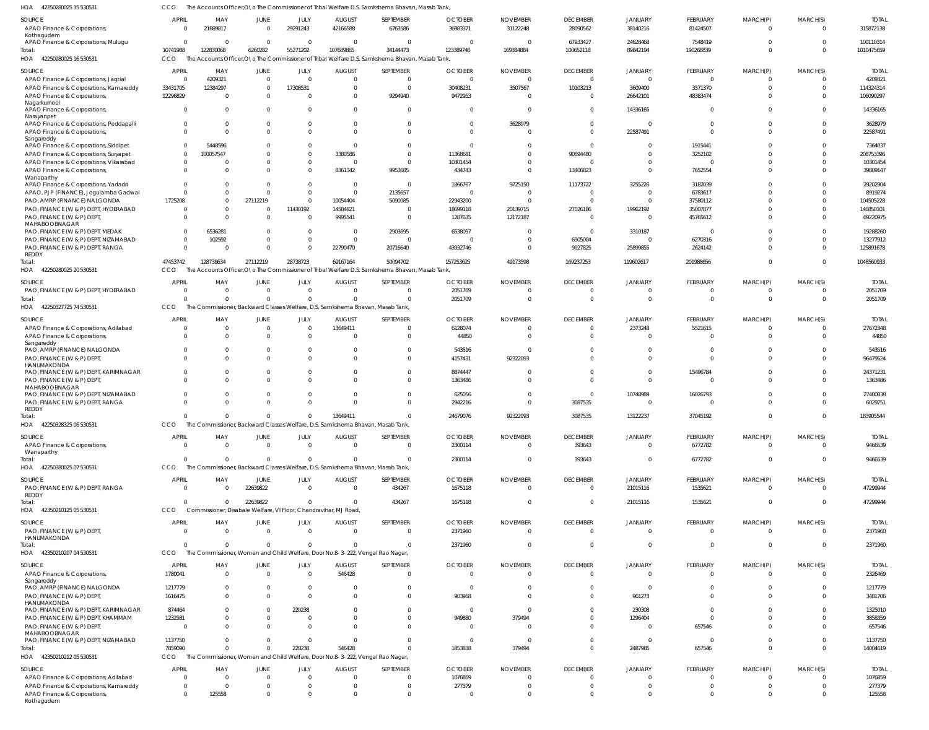42250280025 15 530531 HOA CCO The Accounts Officer, O\o The Commissioner of Tribal Welfare D.S. Samkshema Bhavan, Masab Tank,

| <b>SOURCE</b><br>APAO Finance & Corporations,                                  | APRIL<br>0             | MAY<br>21889817                                                  | <b>JUNE</b><br>$\overline{0}$    | JULY<br>29291243       | <b>AUGUST</b><br>42166588 | SEPTEMBER<br>6763586                                                                                         | <b>OCTOBER</b><br>36983371 | <b>NOVEMBER</b><br>31122248 | <b>DECEMBER</b><br>28090562 | <b>JANUARY</b><br>38140216 | FEBRUARY<br>81424507 | MARCH(P)<br>$\mathbf 0$ | MARCH(S)<br>$\Omega$ | <b>TOTAI</b><br>315872138 |
|--------------------------------------------------------------------------------|------------------------|------------------------------------------------------------------|----------------------------------|------------------------|---------------------------|--------------------------------------------------------------------------------------------------------------|----------------------------|-----------------------------|-----------------------------|----------------------------|----------------------|-------------------------|----------------------|---------------------------|
| Kothagudem<br>APAO Finance & Corporations, Muluqu                              | $\overline{0}$         | $\Omega$                                                         | $\Omega$                         | $\Omega$               | $\Omega$                  | $\overline{0}$                                                                                               | $\bigcap$                  | $\Omega$                    | 67933427                    | 24628468                   | 7548419              | $\Omega$                |                      | 100110314                 |
| Total:<br>42250280025 16 530531<br>HOA                                         | 10741988<br>CCO        | 122830068                                                        | 6260282                          | 55271202               | 107689865                 | 34144473<br>The Accounts Officer, O \o The Commissioner of Tribal Welfare D.S. Samkshema Bhavan, Masab Tank, | 123389746                  | 169384884                   | 100652118                   | 89842194                   | 190268839            | $\Omega$                | $\Omega$             | 1010475659                |
| <b>SOURCE</b>                                                                  | <b>APRIL</b>           | MAY                                                              | <b>JUNE</b>                      | JULY                   | <b>AUGUST</b>             | SEPTEMBER                                                                                                    | <b>OCTOBER</b>             | <b>NOVEMBER</b>             | <b>DECEMBER</b>             | <b>JANUARY</b>             | FEBRUARY             | MARCH(P)                | MARCH(S)             | <b>TOTAL</b>              |
| APAO Finance & Corporations, Jagtial                                           | $\overline{0}$         | 4209321                                                          | $\overline{0}$                   | $\Omega$               | $\Omega$                  | $\overline{0}$                                                                                               | $\Omega$                   | - 0                         | $\overline{0}$              | $\Omega$                   | $\overline{0}$       | $\Omega$                | $\Omega$             | 4209321                   |
| APAO Finance & Corporations, Kamareddy                                         | 33431705               | 12384297                                                         | $\Omega$                         | 17308531               | $\Omega$                  | $\overline{0}$                                                                                               | 30408231                   | 3507567                     | 10103213                    | 3609400                    | 3571370              | $\Omega$                | $\Omega$             | 114324314                 |
| APAO Finance & Corporations,<br>Nagarkurnool                                   | 12296829               | - 0                                                              | $\Omega$                         | $\Omega$               | $\Omega$                  | 9294940                                                                                                      | 9472953                    | $\sqrt{2}$                  | $\Omega$                    | 26642101                   | 48383474             |                         | $\Omega$             | 106090297                 |
| APAO Finance & Corporations,<br>Narayanpet                                     | $\overline{0}$         |                                                                  | $\Omega$                         | $\Omega$               |                           | $\Omega$                                                                                                     | $\Omega$                   |                             | $\Omega$                    | 14336165                   | $\Omega$             | $\Omega$                |                      | 14336165                  |
| APAO Finance & Corporations, Peddapalli<br>APAO Finance & Corporations,        | 0<br>$\Omega$          | $\cap$                                                           | $\Omega$<br>$\Omega$             | $\Omega$<br>$\Omega$   | $\Omega$                  | $\overline{0}$<br>$\Omega$                                                                                   | $\Omega$                   | 3628979<br>$\sqrt{2}$       | $\Omega$<br>$\Omega$        | 22587491                   | $\Omega$<br>$\Omega$ | $\Omega$                | $\Omega$             | 3628979<br>22587491       |
| Sangareddy                                                                     |                        |                                                                  |                                  |                        |                           |                                                                                                              |                            |                             |                             |                            |                      |                         |                      |                           |
| APAO Finance & Corporations, Siddipet<br>APAO Finance & Corporations, Suryapet | $^{\circ}$<br>$\Omega$ | 5448596<br>100057547                                             | $\Omega$<br>$\Omega$             | 0<br>$\Omega$          | - 0<br>3380586            | $\Omega$<br>$\Omega$                                                                                         | 11368681                   | $\Omega$                    | $\Omega$<br>90694480        | $\Omega$                   | 1915441<br>3252102   |                         | $\Omega$             | 7364037<br>208753396      |
| APAO Finance & Corporations, Vikarabad                                         | $\mathbf{0}$           |                                                                  | $\Omega$                         | $\mathbf 0$            | $\Omega$                  | $\Omega$                                                                                                     | 10301454                   |                             | $\Omega$                    | $\Omega$                   | $\Omega$             |                         | $\Omega$             | 10301454                  |
| APAO Finance & Corporations,                                                   | $\Omega$               |                                                                  | $\Omega$                         | $\Omega$               | 8361342                   | 9953685                                                                                                      | 434743                     | $\Omega$                    | 13406823                    | $\Omega$                   | 7652554              | $\Omega$                | $\Omega$             | 39809147                  |
| Wanaparthy                                                                     |                        |                                                                  |                                  |                        |                           |                                                                                                              |                            |                             |                             |                            |                      |                         |                      |                           |
| APAO Finance & Corporations, Yadadri                                           | $\Omega$               |                                                                  | $\Omega$                         | $\mathbf{0}$           | $\Omega$                  | $\overline{0}$                                                                                               | 1866767                    | 9725150                     | 11173722                    | 3255226                    | 3182039              |                         |                      | 29202904                  |
| APAO, PJP (FINANCE), Joqulamba Gadwal                                          | $\Omega$               | $\Omega$<br>$\Omega$                                             | $\Omega$<br>27112219             | $\Omega$<br>$\Omega$   | $\Omega$<br>10054404      | 2135657<br>5090085                                                                                           | - 0                        | $\Omega$<br>$\Omega$        | $\overline{0}$<br>$\Omega$  | $\Omega$                   | 6783617              |                         | $\Omega$             | 8919274<br>104505228      |
| PAO, AMRP (FINANCE) NALGONDA<br>PAO, FINANCE (W & P) DEPT, HYDERABAD           | 1725208<br>$\Omega$    | $\Omega$                                                         | $\Omega$                         | 11430192               | 14584821                  | $\Omega$                                                                                                     | 22943200<br>18699118       | 20139715                    | 27026186                    | 19962192                   | 37580112<br>35007877 |                         |                      | 146850101                 |
| PAO, FINANCE (W & P) DEPT,                                                     | $\Omega$               | $\Omega$                                                         | $\Omega$                         | $\Omega$               | 9995541                   | $\overline{0}$                                                                                               | 1287635                    | 12172187                    | $\Omega$                    | $\Omega$                   | 45765612             |                         |                      | 69220975                  |
| MAHABOOBNAGAR                                                                  |                        |                                                                  |                                  |                        |                           |                                                                                                              |                            |                             |                             |                            |                      |                         |                      |                           |
| PAO, FINANCE (W & P) DEPT, MEDAK                                               | $\Omega$               | 6536281                                                          | $\Omega$                         | $\mathbf{0}$           | $\Omega$                  | 2903695                                                                                                      | 6538097                    |                             | $\Omega$                    | 3310187                    | $\Omega$             |                         |                      | 19288260                  |
| PAO, FINANCE (W & P) DEPT, NIZAMABAD                                           | $\mathbf{0}$           | 102592                                                           | $\Omega$                         | $\mathbf 0$            | $\Omega$                  | $\overline{0}$                                                                                               | $\bigcap$                  |                             | 6905004                     | $\Omega$                   | 6270316              |                         |                      | 13277912                  |
| PAO, FINANCE (W & P) DEPT, RANGA<br>REDDY                                      | $\Omega$               | $\sqrt{ }$                                                       | $\Omega$                         | $\Omega$               | 22790470                  | 20716640                                                                                                     | 43932746                   | $\Omega$                    | 9927825                     | 25899855                   | 2624142              | $\Omega$                | $\Omega$             | 125891678                 |
| Total:                                                                         | 47453742               | 128738634                                                        | 27112219                         | 28738723               | 69167164                  | 50094702                                                                                                     | 157253625                  | 49173598                    | 169237253                   | 119602617                  | 201988656            | $\Omega$                | $\Omega$             | 1048560933                |
| 42250280025 20 530531<br>HOA                                                   | CCO                    |                                                                  |                                  |                        |                           | The Accounts Officer. ONo The Commissioner of Tribal Welfare D.S. Samkshema Bhayan, Masab Tank.              |                            |                             |                             |                            |                      |                         |                      |                           |
| <b>SOURCE</b>                                                                  | APRIL                  | MAY                                                              | <b>JUNE</b>                      | JULY                   | <b>AUGUST</b>             | SEPTEMBER                                                                                                    | <b>OCTOBER</b>             | <b>NOVEMBER</b>             | <b>DECEMBER</b>             | <b>JANUARY</b>             | FEBRUARY             | MARCH(P)                | MARCH(S)             | <b>TOTAL</b>              |
| PAO, FINANCE (W & P) DEPT, HYDERABAD                                           | 0                      | - 0                                                              | $\overline{0}$                   | $\mathbf{0}$           | $\Omega$                  | $\overline{0}$                                                                                               | 2051709                    |                             | $\overline{0}$              |                            | 0                    | $\Omega$                |                      | 2051709                   |
| Total:                                                                         | $\Omega$               |                                                                  | $\Omega$                         | $\Omega$               |                           | $\Omega$                                                                                                     | 2051709                    |                             | $\Omega$                    | $\Omega$                   | $\mathbf 0$          | $\Omega$                | $\Omega$             | 2051709                   |
| HOA 42250327725 74 530531                                                      | <b>CCO</b>             |                                                                  |                                  |                        |                           | The Commissioner, Backward Classes Welfare, D.S. Samkshema Bhavan, Masab Tank,                               |                            |                             |                             |                            |                      |                         |                      |                           |
| <b>SOURCE</b>                                                                  | APRIL                  | MAY                                                              | <b>JUNE</b>                      | JULY                   | <b>AUGUST</b>             | SEPTEMBER                                                                                                    | <b>OCTOBER</b>             | <b>NOVEMBER</b>             | <b>DECEMBER</b>             | <b>JANUARY</b>             | FEBRUARY             | MARCH(P)                | MARCH(S)             | <b>TOTAL</b>              |
| APAO Finance & Corporations, Adilabad                                          | 0                      | - 0                                                              | $\overline{0}$                   | $\mathbf 0$            | 13649411                  | $\Omega$                                                                                                     | 6128074                    | $\Omega$                    | $\overline{0}$              | 2373248                    | 5521615              | $\Omega$                |                      | 27672348                  |
| APAO Finance & Corporations,<br>Sangareddy                                     | $\Omega$               | $\Omega$                                                         | $\Omega$                         | $\Omega$               |                           | $\Omega$                                                                                                     | 44850                      | - (                         | $\Omega$                    | $\Omega$                   | $\Omega$             | $\Omega$                | $\Omega$             | 44850                     |
| PAO, AMRP (FINANCE) NALGONDA                                                   | $\Omega$               |                                                                  | $\Omega$                         | $\Omega$               |                           | $\mathbf{0}$                                                                                                 | 543516                     |                             | $\Omega$                    |                            | $\Omega$             |                         |                      | 543516                    |
| PAO, FINANCE (W & P) DEPT,                                                     | $\Omega$               | $\Omega$                                                         | $\Omega$                         | $\Omega$               | $\Omega$                  | $\Omega$                                                                                                     | 4157431                    | 92322093                    | $\Omega$                    | $\Omega$                   | $\Omega$             | $\Omega$                | $\Omega$             | 96479524                  |
| HANUMAKONDA<br>PAO, FINANCE (W & P) DEPT, KARIMNAGAR                           | $^{\circ}$             |                                                                  | $\Omega$                         | $\Omega$               |                           | $\Omega$                                                                                                     | 8874447                    |                             | $\Omega$                    | $\Omega$                   | 15496784             |                         |                      | 24371231                  |
| PAO, FINANCE (W & P) DEPT,                                                     | $\Omega$               | $\cap$                                                           | $\Omega$                         | $\Omega$               | $\cap$                    | $\Omega$                                                                                                     | 1363486                    | $\sqrt{ }$                  | $\Omega$                    | $\Omega$                   | $\Omega$             | $\Omega$                | $\Omega$             | 1363486                   |
| MAHABOOBNAGAR                                                                  |                        |                                                                  |                                  |                        |                           |                                                                                                              |                            |                             |                             |                            |                      |                         |                      |                           |
| PAO, FINANCE (W & P) DEPT, NIZAMABAD                                           | $\Omega$               | $\Omega$                                                         | $\Omega$                         | 0                      | $\cap$                    | $\overline{0}$                                                                                               | 625056                     |                             | $\Omega$                    | 10748989                   | 16026793             |                         |                      | 27400838                  |
| PAO, FINANCE (W & P) DEPT, RANGA<br>REDDY                                      | $\Omega$               |                                                                  | $\Omega$                         | $\Omega$               |                           | $\Omega$                                                                                                     | 2942216                    | $\Omega$                    | 3087535                     | $\Omega$                   | $\Omega$             | $\Omega$                | $\Omega$             | 6029751                   |
| Total:                                                                         | $\Omega$               |                                                                  | $\Omega$                         | $\Omega$               | 13649411                  | $\Omega$                                                                                                     | 24679076                   | 92322093                    | 3087535                     | 13122237                   | 37045192             | $\Omega$                | $\Omega$             | 183905544                 |
| HOA<br>42250328325 06 530531                                                   | CCO                    |                                                                  |                                  |                        |                           | The Commissioner, Backward Classes Welfare, D.S. Samkshema Bhavan, Masab Tank,                               |                            |                             |                             |                            |                      |                         |                      |                           |
| SOURCE                                                                         | <b>APRIL</b>           | MAY                                                              | JUNE                             | JULY                   | <b>AUGUST</b>             | SEPTEMBER                                                                                                    | <b>OCTOBER</b>             | <b>NOVEMBER</b>             | <b>DECEMBER</b>             | <b>JANUARY</b>             | FEBRUARY             | MARCH(P)                | MARCH(S)             | <b>TOTAL</b>              |
| APAO Finance & Corporations,                                                   | $\overline{0}$         | $\overline{0}$                                                   | $\overline{0}$                   | $\overline{0}$         | $\Omega$                  | $\mathbf 0$                                                                                                  | 2300114                    | $\Omega$                    | 393643                      | $\overline{0}$             | 6772782              | $\mathbf 0$             | $\Omega$             | 9466539                   |
| Wanaparthy                                                                     |                        |                                                                  |                                  |                        |                           |                                                                                                              |                            |                             |                             |                            |                      |                         |                      |                           |
| Total:<br>HOA 42250380025 07 530531                                            | $\overline{0}$<br>CCO  | $\Omega$                                                         | $\overline{0}$                   | $\mathbf{0}$           |                           | $\mathbf 0$<br>The Commissioner, Backward Classes Welfare, D.S. Samkshema Bhavan, Masab Tank,                | 2300114                    | $\Omega$                    | 393643                      | $\overline{0}$             | 6772782              | $\mathbf 0$             | $\Omega$             | 9466539                   |
|                                                                                |                        |                                                                  |                                  |                        |                           |                                                                                                              |                            |                             |                             |                            |                      |                         |                      |                           |
| SOURCE                                                                         | <b>APRIL</b>           | MAY                                                              | <b>JUNE</b>                      | JULY                   | <b>AUGUST</b>             | SEPTEMBER                                                                                                    | <b>OCTOBER</b>             | <b>NOVEMBER</b>             | <b>DECEMBER</b>             | <b>JANUARY</b>             | FEBRUARY             | MARCH(P)                | MARCH(S)             | <b>TOTAL</b>              |
| PAO, FINANCE (W & P) DEPT, RANGA<br>REDDY                                      | $\overline{0}$         | $\Omega$                                                         | 22639822                         | $\overline{0}$         | $\overline{0}$            | 434267                                                                                                       | 1675118                    | $\Omega$                    | $\overline{0}$              | 21015116                   | 1535621              | $\mathbf 0$             | $\Omega$             | 47299944                  |
| Total:                                                                         | $\Omega$               | $\Omega$                                                         | 22639822                         | $\Omega$               | $\Omega$                  | 434267                                                                                                       | 1675118                    | -C                          | $\overline{0}$              | 21015116                   | 1535621              | $\mathbf 0$             | $\Omega$             | 47299944                  |
| 42350210125 05 530531<br>HOA                                                   | CCO                    | Commissioner, Disabale Welfare, VI Floor, Chandravihar, MJ Road, |                                  |                        |                           |                                                                                                              |                            |                             |                             |                            |                      |                         |                      |                           |
| SOURCE                                                                         | <b>APRIL</b>           | MAY                                                              | JUNE                             | JULY                   | <b>AUGUST</b>             | SEPTEMBER                                                                                                    | <b>OCTOBER</b>             | <b>NOVEMBER</b>             | <b>DECEMBER</b>             | <b>JANUARY</b>             | FEBRUARY             | MARCH(P)                | MARCH(S)             | <b>TOTAL</b>              |
| PAO, FINANCE (W & P) DEPT,                                                     | $\overline{0}$         | $\Omega$                                                         | $\overline{0}$                   | $\mathbf 0$            | $\Omega$                  | $\mathbf 0$                                                                                                  | 2371960                    | $\Omega$                    | $\overline{0}$              | $\overline{0}$             | $\overline{0}$       | $\mathbf 0$             | $\Omega$             | 2371960                   |
| HANUMAKONDA                                                                    |                        |                                                                  |                                  |                        |                           |                                                                                                              |                            |                             |                             |                            |                      |                         |                      |                           |
| Total:                                                                         | $\mathbf{0}$           | $\Omega$                                                         | $\Omega$                         | $\mathbf 0$            |                           | $\mathbf 0$                                                                                                  | 2371960                    |                             | $\overline{0}$              | $\overline{0}$             | $\mathbf 0$          | $\mathbf 0$             | $\Omega$             | 2371960                   |
| 42350210207 04 530531<br>HOA                                                   | CCO                    |                                                                  |                                  |                        |                           | The Commissioner, Women and Child Welfare, Door No.8-3-222, Vengal Rao Nagar,                                |                            |                             |                             |                            |                      |                         |                      |                           |
| SOURCE                                                                         | <b>APRIL</b>           | MAY                                                              | JUNE                             | JULY                   | <b>AUGUST</b>             | SEPTEMBER                                                                                                    | <b>OCTOBER</b>             | <b>NOVEMBER</b>             | <b>DECEMBER</b>             | <b>JANUARY</b>             | FEBRUARY             | MARCH(P)                | MARCH(S)             | <b>TOTAL</b>              |
| APAO Finance & Corporations,<br>Sangareddy                                     | 1780041                | $\Omega$                                                         | $\mathbf{0}$                     | $\mathbf 0$            | 546428                    | $\overline{0}$                                                                                               | $\Omega$                   | $\Omega$                    | $\overline{0}$              | $\Omega$                   | $\mathbf 0$          | $\mathbf 0$             | $\Omega$             | 2326469                   |
| PAO, AMRP (FINANCE) NALGONDA                                                   | 1217779                | $\Omega$                                                         | $\mathbf{0}$                     | $\mathbf{0}$           | $\Omega$                  | $\overline{0}$                                                                                               | $\Omega$                   | $\Omega$                    | $\mathbf{0}$                | $\Omega$                   | $\mathbf 0$          | $\Omega$                |                      | 1217779                   |
| PAO, FINANCE (W & P) DEPT,                                                     | 1616475                | $\Omega$                                                         | $\Omega$                         | $\Omega$               | $\Omega$                  | $\mathbf 0$                                                                                                  | 903958                     | $\Omega$                    | $\overline{0}$              | 961273                     | $\mathbf 0$          | $\Omega$                | $\Omega$             | 3481706                   |
| HANUMAKONDA                                                                    |                        |                                                                  |                                  |                        |                           |                                                                                                              |                            |                             |                             |                            |                      |                         |                      |                           |
| PAO, FINANCE (W & P) DEPT, KARIMNAGAR<br>PAO, FINANCE (W & P) DEPT, KHAMMAM    | 874464<br>1232581      |                                                                  | $\overline{0}$<br>$\overline{0}$ | 220238<br>$\mathbf{0}$ | $\Omega$<br>$\Omega$      | $\overline{0}$<br>$\mathbf 0$                                                                                | $\overline{0}$<br>949880   | $\Omega$<br>379494          | $\Omega$<br>$\Omega$        | 230308<br>1296404          | $\Omega$<br>$\Omega$ | $\Omega$                | $\Omega$             | 1325010<br>3858359        |
| PAO, FINANCE (W & P) DEPT,                                                     | $\overline{0}$         | $\cap$                                                           | $\Omega$                         | $\Omega$               | $\Omega$                  | $\Omega$                                                                                                     | $\Omega$                   | $\Omega$                    | $\Omega$                    | $\Omega$                   | 657546               |                         |                      | 657546                    |
| MAHABOOBNAGAR                                                                  |                        |                                                                  |                                  |                        |                           |                                                                                                              |                            |                             |                             |                            |                      |                         |                      |                           |
| PAO, FINANCE (W & P) DEPT, NIZAMABAD                                           | 1137750                |                                                                  | $\Omega$                         | $\Omega$               | $\Omega$                  | $\mathbf 0$                                                                                                  | $\Omega$                   | - 0                         | $\Omega$                    | $\Omega$                   | $\Omega$             | $\Omega$                | $\Omega$             | 1137750                   |
| Total:<br>HOA 42350210212 05 530531                                            | 7859090<br>CCO         | $\cap$                                                           | $\Omega$                         | 220238                 | 546428                    | $\Omega$<br>The Commissioner, Women and Child Welfare, Door No.8-3-222, Vengal Rao Nagar,                    | 1853838                    | 379494                      | $\overline{0}$              | 2487985                    | 657546               | $\mathbf 0$             | $\Omega$             | 14004619                  |
| SOURCE                                                                         | <b>APRIL</b>           | MAY                                                              | <b>JUNE</b>                      | JULY                   | <b>AUGUST</b>             | SEPTEMBER                                                                                                    | <b>OCTOBER</b>             | <b>NOVEMBER</b>             | <b>DECEMBER</b>             | <b>JANUARY</b>             | FEBRUARY             | MARCH(P)                | MARCH(S)             | <b>TOTAL</b>              |
| APAO Finance & Corporations, Adilabad                                          | $\overline{0}$         | $\Omega$                                                         | $\overline{0}$                   | $\mathbf{0}$           | $\Omega$                  | $\overline{0}$                                                                                               | 1076859                    |                             | $\overline{0}$              | $\Omega$                   | $\mathbf 0$          | 0                       | $\Omega$             | 1076859                   |
| APAO Finance & Corporations, Kamareddy                                         | $\overline{0}$         | $\Omega$                                                         | $\Omega$                         | $\mathbf{0}$           | $\cap$                    | $\mathbf 0$                                                                                                  | 277379                     | $\Omega$                    | $\overline{0}$              | $\Omega$                   | $\mathbf 0$          | $\mathbf 0$             | $\Omega$             | 277379                    |
| APAO Finance & Corporations,<br>Kothagudem                                     | $\mathbf 0$            | 125558                                                           | $\mathbf 0$                      | $\mathbf 0$            |                           | $\mathbf 0$                                                                                                  |                            |                             | $\Omega$                    | $\Omega$                   | $\mathbf 0$          | 0                       | $\Omega$             | 125558                    |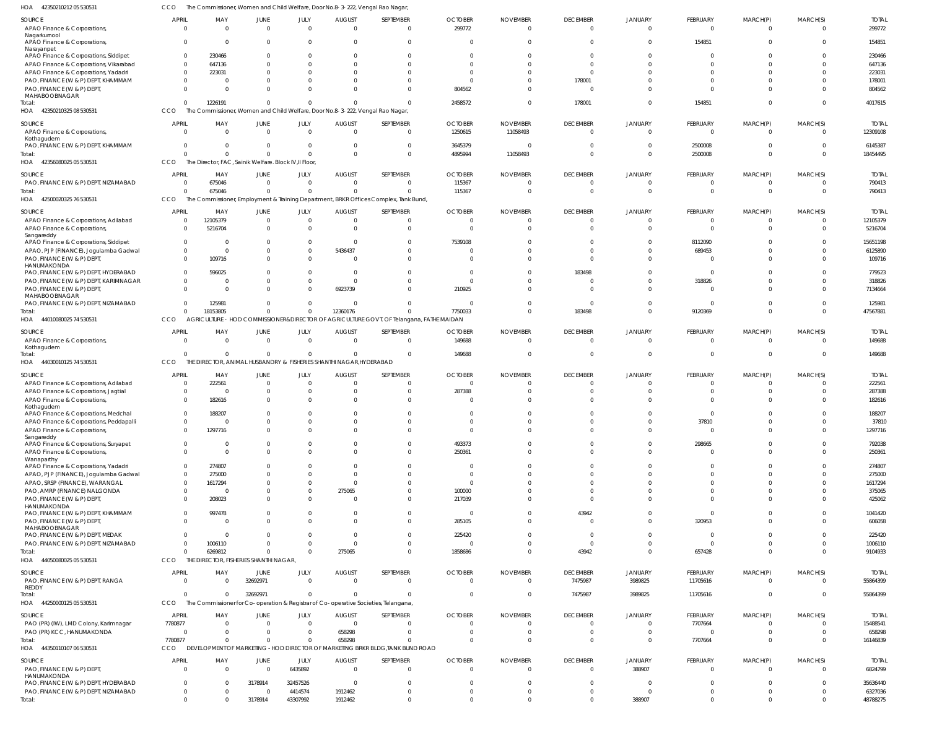| HOA<br>42350210212 05 530531                        |                          |                                                        |                           |                     | The Commissioner, Women and Child Welfare, Door No.8-3-222, Vengal Rao Nagar,       |                                                                                         |                            |                                   |                                   |                            |                                            |                            |                      |                        |
|-----------------------------------------------------|--------------------------|--------------------------------------------------------|---------------------------|---------------------|-------------------------------------------------------------------------------------|-----------------------------------------------------------------------------------------|----------------------------|-----------------------------------|-----------------------------------|----------------------------|--------------------------------------------|----------------------------|----------------------|------------------------|
| SOURCE<br>APAO Finance & Corporations,              | <b>APRIL</b><br>$\Omega$ | MAY<br>$\Omega$                                        | JUNE<br>$\Omega$          | JULY<br>$\Omega$    | <b>AUGUST</b><br>$\Omega$                                                           | SEPTEMBER<br>$\overline{0}$                                                             | <b>OCTOBER</b><br>299772   | <b>NOVEMBER</b><br>$\overline{0}$ | <b>DECEMBER</b><br>$\overline{0}$ | <b>JANUARY</b><br>$\Omega$ | <b>FEBRUARY</b><br>$\overline{\mathbf{0}}$ | MARCH(P)<br>$\overline{0}$ | MARCH(S)<br>$\Omega$ | <b>TOTAL</b><br>299772 |
| Nagarkurnool<br>APAO Finance & Corporations,        | $\Omega$                 | $\Omega$                                               | $\Omega$                  | $\Omega$            | $\overline{0}$                                                                      | $\overline{0}$                                                                          | $\Omega$                   | $\Omega$                          | $\Omega$                          | $\Omega$                   | 154851                                     | $\Omega$                   | $\Omega$             | 154851                 |
| Narayanpet<br>APAO Finance & Corporations, Siddipet | $\Omega$                 | 230466                                                 | 0                         |                     | 0                                                                                   | $\Omega$                                                                                | $\Omega$                   | $\Omega$                          | $\Omega$                          | $\Omega$                   | $\Omega$<br>$\Omega$                       |                            |                      | 230466                 |
| APAO Finance & Corporations, Vikarabad              |                          | 647136                                                 | $\Omega$                  |                     | $\Omega$                                                                            | $\Omega$                                                                                | $\Omega$                   | $\Omega$                          |                                   |                            |                                            |                            |                      | 647136                 |
| APAO Finance & Corporations, Yadadri                |                          | 223031                                                 | 0                         |                     | $\Omega$                                                                            | <sup>0</sup>                                                                            | 0                          | $\Omega$                          | $\Omega$                          |                            | $\Omega$                                   |                            | $\Omega$             | 223031                 |
| PAO, FINANCE (W & P) DEPT, KHAMMAM                  | $\Omega$                 | $\Omega$                                               | $\Omega$                  |                     | $\Omega$                                                                            | <sup>0</sup>                                                                            | - 0                        | $\Omega$                          | 178001                            |                            | $\Omega$                                   |                            | $\Omega$             | 178001                 |
| PAO, FINANCE (W & P) DEPT,                          | $\Omega$                 | $\Omega$                                               | $\Omega$                  |                     | $\Omega$                                                                            | $\Omega$                                                                                | 804562                     | $\Omega$                          | $\Omega$                          |                            | $\Omega$                                   | $\Omega$                   | $\Omega$             | 804562                 |
| MAHABOOBNAGAR                                       |                          |                                                        |                           |                     |                                                                                     |                                                                                         |                            |                                   |                                   |                            |                                            |                            |                      |                        |
| Total:                                              | $\Omega$                 | 1226191                                                | $\mathbf{0}$              |                     | $\Omega$                                                                            | $\Omega$                                                                                | 2458572                    | $\Omega$                          | 178001                            | $\Omega$                   | 154851                                     | $\Omega$                   | $\Omega$             | 4017615                |
| HOA 42350210325 08 530531                           | CCO                      |                                                        |                           |                     | The Commissioner, Women and Child Welfare, Door No.8-3-222, Vengal Rao Nagar,       |                                                                                         |                            |                                   |                                   |                            |                                            |                            |                      |                        |
| SOURCE                                              | <b>APRIL</b>             | MAY                                                    | JUNE                      | JULY                | <b>AUGUST</b>                                                                       | SEPTEMBER                                                                               | <b>OCTOBER</b>             | <b>NOVEMBER</b>                   | <b>DECEMBER</b>                   | <b>JANUARY</b>             | FEBRUARY                                   | MARCH(P)                   | MARCH(S)             | <b>TOTAL</b>           |
| APAO Finance & Corporations,                        | $\Omega$                 | $\overline{0}$                                         | $\overline{0}$            | $\Omega$            | $\overline{0}$                                                                      | $\overline{0}$                                                                          | 1250615                    | 11058493                          | $\Omega$                          | $\Omega$                   | $\overline{\mathbf{0}}$                    | $\mathbf 0$                | $\Omega$             | 12309108               |
| Kothagudem                                          |                          |                                                        |                           |                     |                                                                                     |                                                                                         |                            |                                   |                                   |                            |                                            |                            |                      |                        |
| PAO, FINANCE (W & P) DEPT, KHAMMAM                  | $\Omega$                 | $\Omega$                                               | $\Omega$                  | $\Omega$            | 0                                                                                   | $\mathbf{0}$                                                                            | 3645379                    | 0                                 | $\Omega$                          |                            | 2500008                                    | $\mathbf 0$                | $\Omega$             | 6145387                |
| Total:                                              | $\Omega$                 | $\Omega$                                               | $\overline{0}$            | $\Omega$            | $\Omega$                                                                            | $\mathbf{0}$                                                                            | 4895994                    | 11058493                          | $\Omega$                          | $\Omega$                   | 2500008                                    | $\mathbf 0$                | $\Omega$             | 18454495               |
| HOA 42356080025 05 530531                           | CCO                      | The Director, FAC, Sainik Welfare. Block IV, II Floor, |                           |                     |                                                                                     |                                                                                         |                            |                                   |                                   |                            |                                            |                            |                      |                        |
|                                                     |                          |                                                        |                           |                     |                                                                                     |                                                                                         |                            |                                   |                                   |                            |                                            |                            |                      |                        |
| SOURCE                                              | <b>APRIL</b>             | MAY                                                    | JUNE                      | JULY                | <b>AUGUST</b>                                                                       | SEPTEMBER                                                                               | <b>OCTOBER</b>             | <b>NOVEMBER</b>                   | <b>DECEMBER</b>                   | <b>JANUARY</b>             | <b>FEBRUARY</b>                            | MARCH(P)                   | MARCH(S)             | <b>TOTAL</b>           |
| PAO, FINANCE (W & P) DEPT, NIZAMABAD                | $\Omega$                 | 675046                                                 | $\overline{0}$            | $\Omega$            | $\overline{0}$                                                                      | $\overline{0}$                                                                          | 115367                     | 0                                 | $\Omega$                          | $\Omega$                   | 0                                          | 0                          | $\Omega$             | 790413                 |
| Total:                                              | $\Omega$                 | 675046                                                 | $\mathbf{0}$              | $\Omega$            | $\Omega$                                                                            | $\Omega$                                                                                | 115367                     | $\overline{0}$                    | $\Omega$                          | $\Omega$                   | $\mathbf 0$                                | $\mathbf 0$                | $\Omega$             | 790413                 |
|                                                     | <b>CCO</b>               |                                                        |                           |                     |                                                                                     | The Commissioner, Employment & Training Department, BRKR Offices Complex, Tank Bund,    |                            |                                   |                                   |                            |                                            |                            |                      |                        |
| HOA 42500020325 76 530531                           |                          |                                                        |                           |                     |                                                                                     |                                                                                         |                            |                                   |                                   |                            |                                            |                            |                      |                        |
| SOURCE                                              | <b>APRIL</b>             | MAY                                                    | JUNE                      | JULY                | <b>AUGUST</b>                                                                       | SEPTEMBER                                                                               | <b>OCTOBER</b>             | <b>NOVEMBER</b>                   | <b>DECEMBER</b>                   | <b>JANUARY</b>             | FEBRUARY                                   | MARCH(P)                   | MARCH(S)             | <b>TOTAL</b>           |
| APAO Finance & Corporations, Adilabad               | $\Omega$                 | 12105379                                               | $\overline{0}$            | $\Omega$            | $\overline{0}$                                                                      | $\overline{0}$                                                                          | $\overline{0}$             | $\overline{0}$                    | $\Omega$                          |                            | $\mathbf 0$                                | $\mathbf 0$                | $\Omega$             | 12105379               |
|                                                     | $\Omega$                 | 5216704                                                | $\mathbf{0}$              | $\Omega$            | $\Omega$                                                                            | $\mathbf{0}$                                                                            | $\Omega$                   | $\Omega$                          |                                   |                            | $\mathbf 0$                                | $\Omega$                   |                      | 5216704                |
| APAO Finance & Corporations,                        |                          |                                                        |                           |                     |                                                                                     |                                                                                         |                            |                                   |                                   |                            |                                            |                            |                      |                        |
| Sangareddy<br>APAO Finance & Corporations, Siddipet | $\Omega$                 | 0                                                      | $\Omega$                  | $\Omega$            | $\overline{0}$                                                                      | $\Omega$                                                                                | 7539108                    | $\Omega$                          |                                   |                            | 8112090                                    |                            |                      | 15651198               |
|                                                     |                          |                                                        |                           |                     |                                                                                     |                                                                                         |                            |                                   |                                   |                            |                                            |                            |                      |                        |
| APAO, PJP (FINANCE), Jogulamba Gadwal               | $\Omega$                 | $\overline{0}$                                         | 0                         | $\Omega$            | 5436437                                                                             | $\mathbf 0$                                                                             | 0                          | $\Omega$                          | $\Omega$                          | $\Omega$                   | 689453                                     |                            | $\Omega$             | 6125890                |
| PAO, FINANCE (W & P) DEPT,                          | $\Omega$                 | 109716                                                 | $\Omega$                  | $\Omega$            | 0                                                                                   | $\Omega$                                                                                | - 0                        | $\Omega$                          | $\Omega$                          |                            | $\Omega$                                   | $\Omega$                   |                      | 109716                 |
| HANUMAKONDA                                         |                          |                                                        |                           |                     |                                                                                     |                                                                                         |                            |                                   |                                   |                            |                                            |                            |                      |                        |
| PAO, FINANCE (W & P) DEPT, HYDERABAD                | $\Omega$                 | 596025                                                 | $\Omega$                  | $\Omega$            | $\overline{0}$                                                                      | $\mathbf{0}$                                                                            | 0                          | $\Omega$                          | 183498                            |                            | 0                                          | n                          | $\Omega$             | 779523                 |
| PAO, FINANCE (W & P) DEPT, KARIMNAGAR               | $\Omega$                 | 0                                                      | $\Omega$                  | $\Omega$            | $\overline{0}$                                                                      | $\Omega$                                                                                | $\overline{0}$             | $\Omega$                          |                                   | $\Omega$                   | 318826                                     |                            |                      | 318826                 |
| PAO, FINANCE (W & P) DEPT,                          | $\Omega$                 | $\Omega$                                               | $\Omega$                  | $\Omega$            | 6923739                                                                             | $\Omega$                                                                                | 210925                     | $\Omega$                          |                                   | $\Omega$                   | $\Omega$                                   | $\Omega$                   | $\Omega$             | 7134664                |
| MAHABOOBNAGAR                                       |                          |                                                        |                           |                     |                                                                                     |                                                                                         |                            |                                   |                                   |                            |                                            |                            |                      |                        |
| PAO, FINANCE (W & P) DEPT, NIZAMABAD                | $\Omega$                 | 125981                                                 | $\Omega$                  | $\Omega$            | 0                                                                                   | $\Omega$                                                                                | - 0                        | $\Omega$                          | $\Omega$                          |                            | $\Omega$                                   | $\Omega$                   | $\Omega$             | 125981                 |
| lotal:                                              | $\Omega$                 | 18153805                                               | $\mathbf{0}$              | $\Omega$            | 12360176                                                                            | $\Omega$                                                                                | 7750033                    | $\Omega$                          | 183498                            | $\Omega$                   | 9120369                                    | $\Omega$                   | $\Omega$             | 47567881               |
| HOA 44010080025 74 530531                           | CCO                      |                                                        |                           |                     |                                                                                     | AGRICULTURE - HOD COMMISSIONER&DIRECTOR OF AGRICULTURE GOVT. OF Telangana, FATHE MAIDAN |                            |                                   |                                   |                            |                                            |                            |                      |                        |
|                                                     |                          |                                                        |                           |                     |                                                                                     |                                                                                         |                            |                                   |                                   |                            |                                            |                            |                      |                        |
| SOURCE                                              | APRIL                    | MAY                                                    | JUNE                      | JULY                | <b>AUGUST</b>                                                                       | SEPTEMBER                                                                               | <b>OCTOBER</b>             | <b>NOVEMBER</b>                   | <b>DECEMBER</b>                   | <b>JANUARY</b>             | FEBRUARY                                   | MARCH(P)                   | MARCH(S)             | <b>TOTAL</b>           |
| APAO Finance & Corporations,                        | $\Omega$                 | $\overline{0}$                                         | $\overline{0}$            | $\Omega$            | $\overline{0}$                                                                      | $\overline{0}$                                                                          | 149688                     | - 0                               | $\Omega$                          | $\Omega$                   | $\mathbf 0$                                | $\mathbf 0$                | $\Omega$             | 149688                 |
| Kothagudem                                          |                          |                                                        |                           |                     |                                                                                     |                                                                                         |                            |                                   |                                   |                            |                                            |                            |                      |                        |
|                                                     |                          |                                                        |                           |                     |                                                                                     |                                                                                         |                            |                                   |                                   |                            | $\Omega$                                   | $\Omega$                   |                      |                        |
| Total:                                              | $\Omega$                 | $\mathbf 0$                                            | $\Omega$                  | $\Omega$            | $\overline{0}$                                                                      | $\overline{0}$                                                                          | 149688                     | $\overline{0}$                    | $\Omega$                          | $\Omega$                   |                                            |                            | $\Omega$             | 149688                 |
| HOA 44030010125 74 530531                           | CCO                      |                                                        |                           |                     | THE DIRECTOR, ANIMAL HUSBANDRY & FISHERIES SHANTHI NAGAR, HYDERABAD                 |                                                                                         |                            |                                   |                                   |                            |                                            |                            |                      |                        |
| SOURCE                                              | <b>APRIL</b>             | MAY                                                    | JUNE                      | JULY                | <b>AUGUST</b>                                                                       | SEPTEMBER                                                                               | <b>OCTOBER</b>             | <b>NOVEMBER</b>                   | <b>DECEMBER</b>                   | <b>JANUARY</b>             | <b>FEBRUARY</b>                            | MARCH(P)                   | MARCH(S)             | <b>TOTAL</b>           |
|                                                     |                          | 222561                                                 | 0                         | - 0                 | 0                                                                                   | $\Omega$                                                                                | $\overline{0}$             | $\Omega$                          |                                   |                            | 0                                          | $\Omega$                   |                      | 222561                 |
| APAO Finance & Corporations, Adilabad               | $\Omega$                 |                                                        | 0                         | $\Omega$            |                                                                                     | $\Omega$                                                                                |                            | C.                                |                                   |                            | $\Omega$                                   |                            |                      |                        |
| APAO Finance & Corporations, Jagtial                |                          | 0                                                      |                           |                     | 0                                                                                   |                                                                                         | 287388                     |                                   |                                   |                            |                                            |                            |                      | 287388                 |
| APAO Finance & Corporations,                        | $\Omega$                 | 182616                                                 | $\Omega$                  | - 0                 | $\Omega$                                                                            | $\mathbf 0$                                                                             | 0                          | $\Omega$                          | $\Omega$                          |                            | $\Omega$                                   | $\Omega$                   |                      | 182616                 |
| Kothagudem                                          | $\Omega$                 |                                                        | $\Omega$                  |                     | $\Omega$                                                                            | $\Omega$                                                                                | $\Omega$                   | $\Omega$                          | $\Omega$                          |                            | $\Omega$                                   | $\Omega$                   | $\Omega$             |                        |
| APAO Finance & Corporations, Medchal                |                          | 188207                                                 |                           |                     |                                                                                     |                                                                                         |                            |                                   |                                   |                            |                                            |                            |                      | 188207                 |
| APAO Finance & Corporations, Peddapalli             |                          | $\Omega$                                               | - ( )                     |                     | - ( )                                                                               | 0                                                                                       | - 0                        | - ( )                             |                                   |                            | 37810                                      |                            |                      | 37810                  |
| APAO Finance & Corporations,                        | $\Omega$                 | 1297716                                                | $\Omega$                  | $\Omega$            | $\Omega$                                                                            | $\mathbf 0$                                                                             | $\Omega$                   | $\Omega$                          | $\Omega$                          | $\Omega$                   | $\mathbf 0$                                | $\Omega$                   | $\Omega$             | 1297716                |
| Sangareddy                                          |                          |                                                        |                           |                     |                                                                                     |                                                                                         |                            |                                   |                                   |                            |                                            |                            |                      |                        |
| APAO Finance & Corporations, Suryapet               | $\Omega$                 | $\overline{0}$                                         | $\Omega$                  | $\Omega$            | $\overline{0}$                                                                      | $\mathbf 0$                                                                             | 493373                     | $\overline{0}$                    | $\Omega$                          | $\Omega$                   | 298665                                     | $\mathbf 0$                | $\Omega$             | 792038                 |
| APAO Finance & Corporations,                        | $\Omega$                 | $\Omega$                                               | $\Omega$                  | $\Omega$            | $\Omega$                                                                            | $\Omega$                                                                                | 250361                     | $\Omega$                          | $\Omega$                          | $\Omega$                   | $\mathbf 0$                                | $\Omega$                   | $\Omega$             | 250361                 |
| Wanaparthy                                          |                          |                                                        |                           |                     |                                                                                     |                                                                                         |                            |                                   |                                   |                            |                                            |                            |                      |                        |
| APAO Finance & Corporations, Yadadri                | $\Omega$                 | 274807                                                 | $\Omega$                  | - 0                 | - 0                                                                                 | $\mathbf{0}$                                                                            | 0                          | - 0                               | $\Omega$                          | $\Omega$                   | $\Omega$                                   | $\Omega$                   | $\Omega$             | 274807                 |
| APAO, PJP (FINANCE), Jogulamba Gadwal               | $\Omega$                 | 275000                                                 | $\Omega$                  | $\Omega$            | $\Omega$                                                                            | $\Omega$                                                                                | $\Omega$                   | $\Omega$                          | $\Omega$                          | $\Omega$                   | $\Omega$                                   | $\Omega$                   | $\Omega$             | 275000                 |
| APAO, SRSP (FINANCE), WARANGAL                      | $\Omega$                 | 1617294                                                | $\Omega$                  | $\Omega$            | $\Omega$                                                                            | $\Omega$                                                                                | $\Omega$                   | $\Omega$                          | $\Omega$                          | $\Omega$                   | $\Omega$                                   | $\Omega$                   | $\Omega$             | 1617294                |
| PAO, AMRP (FINANCE) NALGONDA                        | $\Omega$                 | $\overline{0}$                                         | $\Omega$                  | $\Omega$            | 275065                                                                              | $\Omega$                                                                                | 100000                     | $\Omega$                          | $\Omega$                          | $\Omega$                   | $\Omega$                                   | $\Omega$                   | $\Omega$             | 375065                 |
| PAO, FINANCE (W & P) DEPT,                          | $\Omega$                 | 208023                                                 | $\Omega$                  | $\Omega$            | $\Omega$                                                                            | $\Omega$                                                                                | 217039                     | $\Omega$                          | $\Omega$                          | $\Omega$                   | $\Omega$                                   | $\Omega$                   | $\Omega$             | 425062                 |
| HANUMAKONDA                                         |                          |                                                        |                           |                     |                                                                                     |                                                                                         |                            |                                   |                                   |                            |                                            |                            |                      |                        |
| PAO, FINANCE (W & P) DEPT, KHAMMAM                  | $\Omega$                 | 997478                                                 | $\Omega$                  | $\Omega$            | $\Omega$                                                                            | $\mathbf 0$                                                                             | $\overline{0}$             | $\Omega$                          | 43942                             | $\Omega$                   | $\Omega$                                   | $\Omega$                   | $\Omega$             | 1041420                |
| PAO, FINANCE (W & P) DEPT,                          | $\Omega$                 | $\Omega$                                               | $\Omega$                  | $\Omega$            | $\Omega$                                                                            | $\overline{0}$                                                                          | 285105                     | $\Omega$                          | $\Omega$                          | $\Omega$                   | 320953                                     | $\Omega$                   | $\Omega$             | 606058                 |
| MAHABOOBNAGAR                                       |                          |                                                        |                           |                     |                                                                                     |                                                                                         |                            |                                   |                                   |                            |                                            |                            |                      |                        |
| PAO, FINANCE (W & P) DEPT, MEDAK                    | $\Omega$                 | $\overline{0}$                                         | $\Omega$                  | $\Omega$            | $\Omega$                                                                            | $\Omega$                                                                                | 225420                     | $\Omega$                          | $\Omega$                          | $\Omega$                   | $\Omega$                                   | $\Omega$                   | $\Omega$             | 225420                 |
| PAO, FINANCE (W & P) DEPT, NIZAMABAD                | $\Omega$                 | 1006110                                                | $\Omega$                  | $\Omega$            | $\Omega$                                                                            | $\Omega$                                                                                | $\Omega$                   | $\Omega$                          | $\Omega$                          | $\Omega$                   | $\Omega$                                   | $\Omega$                   | $\Omega$             | 1006110                |
| Total:                                              | $\Omega$                 | 6269812                                                | $\Omega$                  | $\Omega$            | 275065                                                                              | $\Omega$                                                                                | 1858686                    | $\Omega$                          | 43942                             | $\overline{0}$             | 657428                                     | $\Omega$                   | $\Omega$             | 9104933                |
|                                                     | CCO                      | THE DIRECTOR, FISHERIES SHANTHI NAGAR,                 |                           |                     |                                                                                     |                                                                                         |                            |                                   |                                   |                            |                                            |                            |                      |                        |
| HOA 44050080025 05 530531                           |                          |                                                        |                           |                     |                                                                                     |                                                                                         |                            |                                   |                                   |                            |                                            |                            |                      |                        |
| SOURCE                                              | APRIL                    | MAY                                                    | JUNE                      | JULY                | <b>AUGUST</b>                                                                       | SEPTEMBER                                                                               | <b>OCTOBER</b>             | <b>NOVEMBER</b>                   | <b>DECEMBER</b>                   | <b>JANUARY</b>             | <b>FEBRUARY</b>                            | MARCH(P)                   | MARCH(S)             | <b>TOTAL</b>           |
| PAO, FINANCE (W & P) DEPT, RANGA                    | $\Omega$                 | $\mathbf{0}$                                           | 32692971                  | $\Omega$            | $\Omega$                                                                            | $\overline{0}$                                                                          | $\overline{0}$             | $\Omega$                          | 7475987                           | 3989825                    | 11705616                                   | $\mathbf 0$                | $\Omega$             | 55864399               |
| <b>REDDY</b>                                        |                          |                                                        |                           |                     |                                                                                     |                                                                                         |                            |                                   |                                   |                            |                                            |                            |                      |                        |
| Total:                                              | $\Omega$                 | $\Omega$                                               | 32692971                  | $\Omega$            | $\Omega$                                                                            | $\Omega$                                                                                | $\Omega$                   | $\Omega$                          | 7475987                           | 3989825                    | 11705616                                   | $\Omega$                   | $\Omega$             | 55864399               |
| HOA<br>44250000125 05 530531                        | CCO                      |                                                        |                           |                     | The Commissioner for Co-operation & Registrar of Co-operative Societies, Telangana, |                                                                                         |                            |                                   |                                   |                            |                                            |                            |                      |                        |
|                                                     |                          |                                                        |                           |                     |                                                                                     |                                                                                         |                            |                                   |                                   |                            |                                            |                            |                      |                        |
| SOURCE                                              | APRIL                    | MAY                                                    | JUNE                      | JULY                | <b>AUGUST</b>                                                                       | SEPTEMBER                                                                               | <b>OCTOBER</b>             | <b>NOVEMBER</b>                   | <b>DECEMBER</b>                   | <b>JANUARY</b>             | <b>FEBRUARY</b>                            | MARCH(P)                   | MARCH(S)             | <b>TOTAL</b>           |
| PAO (PR) (IW), LMD Colony, Karimnagar               | 7780877                  | $\overline{0}$                                         | $\Omega$                  | $\Omega$            | $\overline{0}$                                                                      | $\overline{0}$                                                                          | $\Omega$                   | $\Omega$                          | $\Omega$                          | $\Omega$                   | 7707664                                    | $\mathbf 0$                | $\Omega$             | 15488541               |
| PAO (PR) KCC, HANUMAKONDA                           | $\Omega$                 | $\overline{0}$                                         | $\overline{0}$            | $\Omega$            | 658298                                                                              | $\mathbf{0}$                                                                            | $\Omega$                   | - 0                               | $\Omega$                          | $\Omega$                   | $\overline{0}$                             | $\mathbf 0$                | $\Omega$             | 658298                 |
| Total:                                              | 7780877                  | $\Omega$                                               | $\Omega$                  | $\Omega$            | 658298                                                                              | $\Omega$                                                                                | $\Omega$                   | $\Omega$                          | $\Omega$                          | $\Omega$                   | 7707664                                    | $\mathbf 0$                | $\Omega$             | 16146839               |
|                                                     |                          |                                                        |                           |                     |                                                                                     |                                                                                         |                            |                                   |                                   |                            |                                            |                            |                      |                        |
| HOA 44350110107 06 530531                           | CCO                      |                                                        |                           |                     |                                                                                     | DEVELOPMENT OF MARKETING - HOD DIRECTOR OF MARKETING BRKR BLDG, TANK BUND ROAD          |                            |                                   |                                   |                            |                                            |                            |                      |                        |
| SOURCE                                              | APRIL                    | MAY                                                    | JUNE                      | JULY                | <b>AUGUST</b>                                                                       | SEPTEMBER                                                                               | <b>OCTOBER</b>             | <b>NOVEMBER</b>                   | <b>DECEMBER</b>                   | <b>JANUARY</b>             | FEBRUARY                                   | MARCH(P)                   | MARCH(S)             | <b>TOTAL</b>           |
| PAO, FINANCE (W & P) DEPT,                          | $\Omega$                 | $\mathbf{0}$                                           | $\Omega$                  | 6435892             | $\Omega$                                                                            | $\overline{0}$                                                                          | $\Omega$                   | $\Omega$                          | $\Omega$                          | 388907                     | $\mathbf 0$                                | $\mathbf 0$                | $\Omega$             | 6824799                |
| HANUMAKONDA                                         |                          |                                                        |                           |                     |                                                                                     |                                                                                         |                            |                                   |                                   |                            |                                            |                            |                      |                        |
| PAO, FINANCE (W & P) DEPT, HYDERABAD                | $\Omega$                 | $\Omega$                                               | 3178914                   | 32457526            | $\overline{0}$                                                                      | $\Omega$                                                                                | $\Omega$                   | - 0                               | $\Omega$                          | $\Omega$                   | $\Omega$                                   | $\Omega$                   | $\Omega$             | 35636440               |
|                                                     | $\Omega$                 | $\Omega$                                               |                           |                     |                                                                                     | $\Omega$                                                                                |                            | $\Omega$                          | $\Omega$                          | $\Omega$                   |                                            | $\Omega$                   | $\Omega$             |                        |
| PAO, FINANCE (W & P) DEPT, NIZAMABAD<br>Total:      | $\Omega$                 | $\Omega$                                               | $\overline{0}$<br>3178914 | 4414574<br>43307992 | 1912462<br>1912462                                                                  | $\mathbf 0$                                                                             | $\overline{0}$<br>$\Omega$ | $\Omega$                          | $\Omega$                          | 388907                     | $\mathbf 0$<br>$\mathbf 0$                 | $\Omega$                   | $\Omega$             | 6327036<br>48788275    |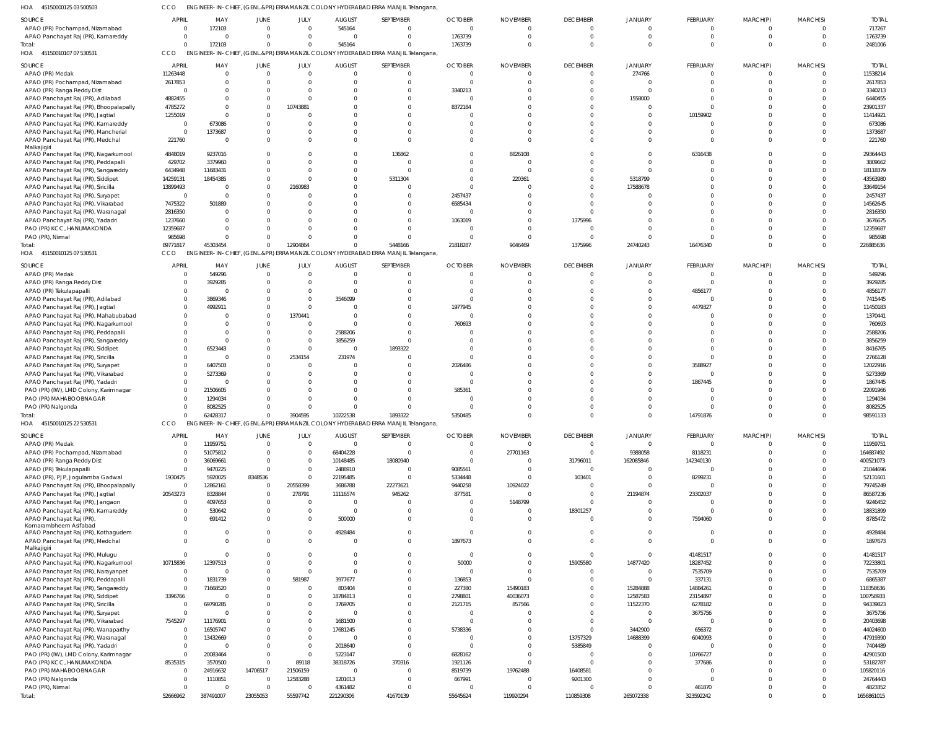45150000125 03 500503 HOA CCO ENGINEER-IN-CHIEF, (GENL.&PR) ERRAMANZIL COLONY HYDERABAD ERRA MANJIL Telangana,

| <b>SOURCE</b>                          |                         |           |                |                            |                      |                                                                                  |                         |                 |                      |                |                     |             |                            |                       |
|----------------------------------------|-------------------------|-----------|----------------|----------------------------|----------------------|----------------------------------------------------------------------------------|-------------------------|-----------------|----------------------|----------------|---------------------|-------------|----------------------------|-----------------------|
|                                        | APRIL                   | MAY       | JUNE           | JULY                       | <b>AUGUST</b>        | SEPTEMBER                                                                        | <b>OCTOBER</b>          | <b>NOVEMBER</b> | <b>DECEMBER</b>      | <b>JANUARY</b> | <b>FEBRUARY</b>     | MARCH(P)    | MARCH(S)                   | <b>TOTAL</b>          |
| APAO (PR) Pochampad, Nizamabad         | $\overline{0}$          | 172103    | $\Omega$       | $\overline{0}$             | 545164               | $\Omega$                                                                         | $\mathbf 0$             | $\Omega$        | $\overline{0}$       | $\overline{0}$ | $\Omega$            | $\Omega$    | $\Omega$                   | 717267                |
| APAO Panchayat Raj (PR), Kamareddy     | $\mathbf 0$             | $\Omega$  |                | $\Omega$                   |                      | $\Omega$                                                                         | 1763739                 | $\Omega$        | $\Omega$             | $\Omega$       | $\Omega$            | $\Omega$    | $\Omega$                   | 1763739               |
|                                        | $\Omega$                | 172103    | $\Omega$       | $\Omega$                   | 545164               |                                                                                  | 1763739                 | $\Omega$        | $\Omega$             | $\Omega$       | $\Omega$            | $\Omega$    | $\Omega$                   | 2481006               |
| Total:                                 |                         |           |                |                            |                      |                                                                                  |                         |                 |                      |                |                     |             |                            |                       |
| 45150010107 07 530531<br>HOA           | CCO                     |           |                |                            |                      | ENGINEER-IN-CHIEF, (GENL.&PR) ERRAMANZIL COLONY HYDERABAD ERRA MANJIL Telangana, |                         |                 |                      |                |                     |             |                            |                       |
| <b>SOURCE</b>                          | <b>APRIL</b>            | MAY       | <b>JUNE</b>    | JULY                       | <b>AUGUST</b>        | SEPTEMBER                                                                        | <b>OCTOBER</b>          | <b>NOVEMBER</b> | <b>DECEMBER</b>      | JANUARY        | FEBRUARY            | MARCH(P)    | MARCH(S)                   | <b>TOTAL</b>          |
|                                        |                         |           |                |                            |                      |                                                                                  |                         |                 |                      |                |                     |             |                            |                       |
| APAO (PR) Medak                        | 11263448                | $\Omega$  | $\Omega$       | $\overline{0}$             | $\Omega$             | $\Omega$                                                                         | $\overline{0}$          | $\Omega$        | $\overline{0}$       | 274766         | $\Omega$            | $\Omega$    | $\overline{0}$             | 11538214              |
| APAO (PR) Pochampad, Nizamabad         | 2617853                 | $\Omega$  |                | $\Omega$                   | $\Omega$             | $\Omega$                                                                         | $\mathbf 0$             | $\Omega$        | $\Omega$             | $\overline{0}$ | $\Omega$            | $\Omega$    | $\Omega$                   | 2617853               |
| APAO (PR) Ranga Reddy Dist             | $\overline{0}$          | $\Omega$  |                | $\Omega$                   |                      |                                                                                  | 3340213                 | $\Omega$        | $\Omega$             | C.             |                     |             |                            | 3340213               |
| APAO Panchayat Raj (PR), Adilabad      | 4882455                 | $\Omega$  | $\Omega$       | $\Omega$                   |                      |                                                                                  | $\mathbf 0$             |                 |                      | 1558000        | $\Omega$            |             |                            | 6440455               |
|                                        |                         |           |                |                            |                      |                                                                                  |                         |                 |                      |                |                     |             |                            |                       |
| APAO Panchayat Raj (PR), Bhoopalapally | 4785272                 | $\Omega$  | $\Omega$       | 10743881                   |                      |                                                                                  | 8372184                 |                 |                      | $\Omega$       |                     |             |                            | 23901337              |
| APAO Panchayat Raj (PR), Jagtial       | 1255019                 | $\Omega$  | $\Omega$       |                            |                      |                                                                                  | $\Omega$                |                 |                      | $\Omega$       | 10159902            |             |                            | 11414921              |
| APAO Panchayat Raj (PR), Kamareddy     | $\overline{0}$          | 673086    |                |                            |                      |                                                                                  | $\Omega$                |                 |                      | $\Omega$       |                     |             | $\Omega$                   | 673086                |
|                                        |                         |           |                |                            |                      |                                                                                  |                         |                 |                      |                |                     |             |                            |                       |
| APAO Panchayat Raj (PR), Mancherial    | $\overline{0}$          | 1373687   |                |                            |                      |                                                                                  | $\Omega$                | $\Omega$        |                      | $\Omega$       |                     |             | $\Omega$                   | 1373687               |
| APAO Panchayat Raj (PR), Medchal       | 221760                  | - 0       |                | $\Omega$                   |                      |                                                                                  | $\Omega$                | $\Omega$        | $\Omega$             | $\Omega$       | $\Omega$            |             | $\Omega$                   | 221760                |
| Malkajigiri                            |                         |           |                |                            |                      |                                                                                  |                         |                 |                      |                |                     |             |                            |                       |
| APAO Panchayat Raj (PR), Nagarkurnool  | 4848019                 | 9237016   |                |                            |                      | 136862                                                                           | 0                       | 8826108         |                      | $\Omega$       | 6316438             |             | $\Omega$                   | 29364443              |
| APAO Panchayat Raj (PR), Peddapalli    | 429702                  | 3379960   | $\Omega$       | $\Omega$                   | $\Omega$             | $\Omega$                                                                         | $\Omega$                | $\Omega$        | $\Omega$             | $\Omega$       |                     |             | $\Omega$                   | 3809662               |
| APAO Panchayat Raj (PR), Sangareddy    | 6434948                 | 11683431  |                | $\Omega$                   | $\Omega$             | $\Omega$                                                                         | $\Omega$                | $\Omega$        |                      | $\Omega$       |                     |             | $\Omega$                   | 18118379              |
|                                        |                         |           |                |                            |                      |                                                                                  |                         |                 |                      |                |                     |             |                            |                       |
| APAO Panchayat Raj (PR), Siddipet      | 14259131                | 18454385  |                | $\Omega$                   | $\Omega$             | 5311304                                                                          | $\Omega$                | 220361          |                      | 5318799        |                     |             |                            | 43563980              |
| APAO Panchayat Raj (PR), Siricilla     | 13899493                | - 0       | $\Omega$       | 2160983                    |                      |                                                                                  | $\Omega$                |                 |                      | 17588678       |                     |             |                            | 33649154              |
| APAO Panchayat Raj (PR), Suryapet      | $\overline{0}$          | $\Omega$  |                | $\Omega$                   |                      |                                                                                  | 2457437                 |                 |                      | $\Omega$       |                     |             |                            | 2457437               |
|                                        |                         |           |                |                            |                      |                                                                                  |                         |                 |                      |                |                     |             |                            |                       |
| APAO Panchayat Raj (PR), Vikarabad     | 7475322                 | 501889    |                |                            |                      |                                                                                  | 6585434                 |                 | $\Omega$             |                |                     |             |                            | 14562645              |
| APAO Panchayat Raj (PR), Waranagal     | 2816350                 | $\Omega$  |                |                            |                      |                                                                                  | $\Omega$                | $\Omega$        | $\Omega$             |                |                     |             |                            | 2816350               |
| APAO Panchayat Raj (PR), Yadadri       | 1237660                 | $\Omega$  |                |                            |                      |                                                                                  | 1063019                 | $\Omega$        | 1375996              |                |                     |             |                            | 3676675               |
| PAO (PR) KCC, HANUMAKONDA              | 12359687                | $\Omega$  |                |                            |                      |                                                                                  | $\Omega$                | $\Omega$        | $\Omega$             | -C             |                     |             | $\Omega$                   | 12359687              |
|                                        |                         |           |                | $\Omega$                   |                      |                                                                                  | $\Omega$                |                 |                      |                | $\Omega$            |             | $\Omega$                   |                       |
| PAO (PR), Nirmal                       | 985698                  | $\Omega$  | $\Omega$       |                            |                      |                                                                                  |                         | $\Omega$        | $\Omega$             | $\Omega$       |                     | $\Omega$    |                            | 985698                |
| Total:                                 | 89771817                | 45303454  | $\Omega$       | 12904864                   | $\Omega$             | 5448166                                                                          | 21818287                | 9046469         | 1375996              | 24740243       | 16476340            | $\Omega$    | $\Omega$                   | 226885636             |
| 45150010125 07 530531<br>HOA           | CCO                     |           |                |                            |                      | ENGINEER-IN-CHIEF, (GENL.&PR) ERRAMANZIL COLONY HYDERABAD ERRA MANJIL Telangana, |                         |                 |                      |                |                     |             |                            |                       |
|                                        |                         |           |                |                            |                      |                                                                                  |                         |                 |                      |                |                     |             |                            |                       |
| SOURCE                                 | <b>APRIL</b>            | MAY       | <b>JUNE</b>    | JULY                       | <b>AUGUST</b>        | SEPTEMBER                                                                        | <b>OCTOBER</b>          | <b>NOVEMBER</b> | <b>DECEMBER</b>      | JANUARY        | FEBRUARY            | MARCH(P)    | MARCH(S)                   | <b>TOTAL</b>          |
| APAO (PR) Medak                        | $\overline{0}$          | 549296    | $\Omega$       | $\Omega$                   | $\Omega$             | $\Omega$                                                                         | $\Omega$                | $\Omega$        | $\circ$              | $\overline{0}$ | $\Omega$            | $\Omega$    | $\Omega$                   | 549296                |
|                                        |                         |           |                |                            |                      |                                                                                  |                         |                 |                      |                |                     |             |                            |                       |
| APAO (PR) Ranga Reddy Dist             | $\mathbf 0$             | 3929285   |                | $\Omega$                   | $\Omega$             |                                                                                  | $\Omega$                | $\Omega$        | $\Omega$             | $\Omega$       | $\Omega$            | $\Omega$    | $\Omega$                   | 3929285               |
| APAO (PR) Tekulapapalli                | $\mathbf 0$             | - 0       |                | $\Omega$                   | $\Omega$             |                                                                                  | $\Omega$                |                 |                      | $\Omega$       | 4856177             |             |                            | 4856177               |
| APAO Panchayat Raj (PR), Adilabad      | $\mathbf 0$             | 3869346   |                | $\overline{0}$             | 3546099              |                                                                                  | $\Omega$                |                 |                      | $\Omega$       |                     |             | $\Omega$                   | 7415445               |
| APAO Panchayat Raj (PR), Jagtial       | $\Omega$                | 4992911   |                | $\Omega$                   |                      |                                                                                  | 1977945                 |                 |                      |                | 4479327             |             |                            | 11450183              |
|                                        |                         |           |                |                            |                      |                                                                                  |                         |                 |                      |                |                     |             |                            |                       |
| APAO Panchayat Raj (PR), Mahabubabad   | $\mathbf 0$             |           | $\Omega$       | 1370441                    | $\Omega$             |                                                                                  | $\Omega$                |                 |                      |                |                     |             |                            | 1370441               |
| APAO Panchayat Raj (PR), Nagarkurnool  | $\Omega$                |           |                | $\overline{0}$             | $\cap$               |                                                                                  | 760693                  |                 |                      |                |                     |             |                            | 760693                |
| APAO Panchayat Raj (PR), Peddapalli    | $\Omega$                | $\cap$    |                | $\overline{0}$             | 2588206              |                                                                                  |                         |                 |                      |                |                     |             | $\Omega$                   | 2588206               |
|                                        |                         |           |                |                            |                      |                                                                                  |                         |                 |                      |                |                     |             |                            |                       |
| APAO Panchayat Raj (PR), Sangareddy    | $\Omega$                | $\Omega$  |                | $\Omega$                   | 3856259              | $\Omega$                                                                         | $\Omega$                |                 |                      |                |                     |             |                            | 3856259               |
| APAO Panchayat Raj (PR), Siddipet      | $\Omega$                | 6523443   |                | $\overline{0}$             | - 0                  | 1893322                                                                          | $\Omega$                |                 |                      |                |                     |             |                            | 8416765               |
| APAO Panchayat Raj (PR), Siricilla     | $\Omega$                | - 0       |                | 2534154                    | 231974               | $\Omega$                                                                         | $\Omega$                |                 |                      |                | $\cap$              |             |                            | 2766128               |
| APAO Panchayat Raj (PR), Suryapet      | $\Omega$                | 6407503   |                | $\Omega$                   |                      |                                                                                  | 2026486                 |                 |                      |                | 3588927             |             |                            | 12022916              |
|                                        |                         |           |                |                            |                      |                                                                                  |                         |                 |                      |                |                     |             |                            |                       |
| APAO Panchayat Raj (PR), Vikarabad     | $\Omega$                | 5273369   |                |                            |                      |                                                                                  | C                       |                 |                      |                | - C                 |             |                            | 5273369               |
| APAO Panchayat Raj (PR), Yadadri       | $\mathbf 0$             |           |                |                            |                      |                                                                                  | $\Omega$                |                 |                      | $\Omega$       | 1867445             |             |                            | 1867445               |
| PAO (PR) (IW), LMD Colony, Karimnagar  | $\Omega$                | 21506605  |                |                            |                      |                                                                                  | 585361                  |                 |                      |                |                     |             |                            | 22091966              |
|                                        |                         |           |                |                            |                      |                                                                                  |                         |                 |                      |                |                     |             |                            | 1294034               |
|                                        |                         |           |                |                            |                      |                                                                                  | C                       |                 |                      |                |                     |             |                            |                       |
| PAO (PR) MAHABOOBNAGAR                 | $\Omega$                | 1294034   |                | $\Omega$                   |                      |                                                                                  |                         |                 |                      |                |                     |             |                            |                       |
| PAO (PR) Nalgonda                      |                         | 8082525   |                | $\Omega$                   |                      |                                                                                  | $\Omega$                |                 |                      |                |                     |             |                            | 8082525               |
| Total:                                 | $\Omega$                | 62428317  | $\overline{0}$ | 3904595                    |                      | 1893322                                                                          | 5350485                 |                 |                      | $\Omega$       | 14791876            | $\Omega$    | $\Omega$                   | 98591133              |
|                                        |                         |           |                |                            | 10222538             |                                                                                  |                         |                 |                      |                |                     |             |                            |                       |
| 45150010125 22 530531<br>HOA           | CCO                     |           |                |                            |                      | ENGINEER-IN-CHIEF, (GENL.&PR) ERRAMANZIL COLONY HYDERABAD ERRA MANJIL Telangana  |                         |                 |                      |                |                     |             |                            |                       |
|                                        |                         |           |                |                            |                      |                                                                                  |                         |                 |                      |                |                     |             |                            |                       |
| <b>SOURCE</b>                          | <b>APRIL</b>            | MAY       | JUNE           | JULY                       | <b>AUGUST</b>        | SEPTEMBER                                                                        | <b>OCTOBER</b>          | <b>NOVEMBER</b> | <b>DECEMBER</b>      | <b>JANUARY</b> | FEBRUARY            | MARCH(P)    | MARCH(S)                   | <b>TOTAL</b>          |
| APAO (PR) Medak                        | $\overline{0}$          | 11959751  | $\Omega$       | $\overline{0}$             | $\Omega$             | $\overline{0}$                                                                   | $\mathbf 0$             | $\Omega$        | $\overline{0}$       | $\overline{0}$ | $\Omega$            | $\Omega$    | $\overline{0}$             | 11959751              |
| APAO (PR) Pochampad, Nizamabad         | $\overline{0}$          | 51075812  | $\Omega$       | $\overline{0}$             | 68404228             | $\overline{0}$                                                                   | $\mathbf 0$             | 27701163        | $\circ$              | 9388058        | 8118231             | $\mathbf 0$ | $\overline{0}$             | 164687492             |
| APAO (PR) Ranga Reddy Dist             | $\mathbf{0}$            | 36069661  | $\Omega$       | $\overline{0}$             | 10148485             | 18080940                                                                         | $\overline{0}$          | $\Omega$        | 31796011             | 162085846      | 142340130           | $\Omega$    | $\Omega$                   | 400521073             |
|                                        | $\mathbf{0}$            |           | $\Omega$       | $\overline{0}$             |                      | $\Omega$                                                                         |                         | $\Omega$        | $\overline{0}$       | $\overline{0}$ | - 0                 | $\Omega$    | $\Omega$                   |                       |
| APAO (PR) Tekulapapalli                |                         | 9470225   |                |                            | 2488910              |                                                                                  | 9085561                 |                 |                      |                |                     |             |                            | 21044696              |
| APAO (PR), PJP, Jogulamba Gadwal       | 1930475                 | 5920025   | 8348536        | $\Omega$                   | 22195485             | $\Omega$                                                                         | 5334448                 | $\Omega$        | 103401               | $\overline{0}$ | 8299231             | $\Omega$    | $\Omega$                   | 52131601              |
| APAO Panchayat Raj (PR), Bhoopalapally | $\mathbf 0$             | 12862161  | $\overline{0}$ | 20558399                   | 3686788              | 22273621                                                                         | 9440258                 | 10924022        | - 0                  | $\overline{0}$ | - 0                 | $\Omega$    | $\Omega$                   | 79745249              |
| APAO Panchayat Raj (PR), Jagtial       | 20543273                | 8328844   | $\Omega$       | 278791                     | 11116574             | 945262                                                                           | 877581                  | $\Omega$        | $\Omega$             | 21194874       | 23302037            | $\Omega$    |                            | 86587236              |
| APAO Panchayat Raj (PR), Jangaon       | $\mathbf 0$             | 4097653   | $\Omega$       | $\overline{0}$             | - 0                  | $\Omega$                                                                         | $\mathbf 0$             | 5148799         | $\overline{0}$       | $\overline{0}$ | - 0                 | $\Omega$    | $\Omega$                   | 9246452               |
|                                        |                         |           | $\overline{0}$ | $\overline{0}$             | $\Omega$             | $\Omega$                                                                         | $\mathbf 0$             | $\Omega$        |                      | $\mathbf 0$    | $\Omega$            | $\Omega$    | $\Omega$                   |                       |
| APAO Panchayat Raj (PR), Kamareddy     | $\mathbf 0$             | 530642    |                |                            |                      |                                                                                  |                         |                 | 18301257             |                |                     |             |                            | 18831899              |
| APAO Panchayat Raj (PR),               | $\mathbf{0}$            | 691412    | $\Omega$       | $\overline{0}$             | 500000               | $\Omega$                                                                         | $\Omega$                | $\Omega$        | $\Omega$             | $\mathbf{0}$   | 7594060             | $\Omega$    | $\Omega$                   | 8785472               |
| Komarambheem Asifabad                  |                         |           |                |                            |                      |                                                                                  |                         |                 |                      |                |                     |             |                            |                       |
| APAO Panchayat Raj (PR), Kothagudem    | $\overline{0}$          | $\Omega$  | $\Omega$       | $\overline{0}$             | 4928484              | $\Omega$                                                                         | $\mathbf 0$             | $\Omega$        | $\Omega$             | $\overline{0}$ | $\Omega$            | $\Omega$    | $\Omega$                   | 4928484               |
| APAO Panchayat Raj (PR), Medchal       | $\overline{0}$          | $\Omega$  | $\Omega$       | $\Omega$                   | - 0                  | $\Omega$                                                                         | 1897673                 | $\Omega$        | $\Omega$             | $\mathbf{0}$   | $\Omega$            | $\Omega$    | $\Omega$                   | 1897673               |
| Malkajigiri                            |                         |           |                |                            |                      |                                                                                  |                         |                 |                      |                |                     |             |                            |                       |
| APAO Panchayat Raj (PR), Mulugu        | $\mathbf{0}$            | $\Omega$  | $\Omega$       | $\Omega$                   | $\Omega$             | $\Omega$                                                                         | $\mathbf{0}$            | $\Omega$        | $\overline{0}$       | $\mathbf{0}$   | 41481517            | $\Omega$    | $\Omega$                   | 41481517              |
|                                        |                         |           | $\Omega$       |                            | $\Omega$             |                                                                                  |                         | $\Omega$        |                      |                |                     | $\Omega$    | $\Omega$                   |                       |
| APAO Panchayat Raj (PR), Nagarkurnool  | 10715836                | 12397513  |                | $\overline{0}$             |                      | $\mathbf 0$                                                                      | 50000                   |                 | 15905580             | 14877420       | 18287452            |             |                            | 72233801              |
| APAO Panchayat Raj (PR), Narayanpet    | $\mathbf{0}$            | - 0       | $\Omega$       | $\overline{0}$             | $\Omega$             | $\Omega$                                                                         | $\mathbf 0$             | $\Omega$        | $\overline{0}$       | $\overline{0}$ | 7535709             | $\Omega$    | $\Omega$                   | 7535709               |
| APAO Panchayat Raj (PR), Peddapalli    | $\mathbf 0$             | 1831739   | $\overline{0}$ | 581987                     | 3977677              | $\mathbf 0$                                                                      | 136853                  | $\Omega$        | $\Omega$             | $\Omega$       | 337131              | $\Omega$    | $\Omega$                   | 6865387               |
| APAO Panchayat Raj (PR), Sangareddy    | $\mathbf{0}$            | 71668520  | $\Omega$       | $\overline{0}$             | 803404               | $\Omega$                                                                         | 227380                  | 15490183        | $\Omega$             | 15284888       | 14884261            | $\Omega$    | $\Omega$                   | 118358636             |
|                                        |                         | - 0       |                |                            |                      |                                                                                  |                         |                 | $\Omega$             |                |                     | $\Omega$    | $\Omega$                   |                       |
| APAO Panchayat Raj (PR), Siddipet      | 3396766                 |           |                | $\overline{0}$             | 18784813             | $\mathbf 0$                                                                      | 2798801                 | 40036073        |                      | 12587583       | 23154897            |             |                            | 100758933             |
| APAO Panchayat Raj (PR), Siricilla     | $\mathbf 0$             | 69790285  |                | $\overline{0}$             | 3769705              | $\mathbf 0$                                                                      | 2121715                 | 857566          | $\Omega$             | 11522370       | 6278182             | $\Omega$    | $\Omega$                   | 94339823              |
| APAO Panchayat Raj (PR), Suryapet      | $\mathbf 0$             |           |                | $\overline{0}$             | - 0                  | $\mathbf 0$                                                                      | $\overline{0}$          | $\Omega$        | $\Omega$             | $\overline{0}$ | 3675756             | $\Omega$    | $\Omega$                   | 3675756               |
|                                        | 7545297                 | 11176901  |                | $\overline{0}$             | 1681500              | $\Omega$                                                                         | $\overline{0}$          | $\Omega$        | $\Omega$             | $\overline{0}$ | - 0                 | $\Omega$    | $\Omega$                   | 20403698              |
| APAO Panchayat Raj (PR), Vikarabad     |                         |           |                |                            |                      |                                                                                  |                         |                 |                      |                |                     |             |                            |                       |
| APAO Panchayat Raj (PR), Wanaparthy    | $\mathbf 0$             | 16505747  |                | $\overline{0}$             | 17681245             | $\mathbf 0$                                                                      | 5738336                 | $\Omega$        | $\Omega$             | 3442900        | 656372              | $\Omega$    | $\Omega$                   | 44024600              |
| APAO Panchayat Raj (PR), Waranagal     | $\mathbf 0$             | 13432669  | $\Omega$       | $\overline{0}$             | - 0                  | $\Omega$                                                                         | $\mathbf 0$             | $\Omega$        | 13757329             | 14688399       | 6040993             | $\Omega$    | $\Omega$                   | 47919390              |
| APAO Panchayat Raj (PR), Yadadri       | $\mathbf 0$             |           | $\Omega$       | $\overline{0}$             | 2018640              | $\Omega$                                                                         | $\overline{0}$          | $\Omega$        | 5385849              | 0              | - 0                 | $\Omega$    | $\Omega$                   | 7404489               |
|                                        | $\mathbf{0}$            | 20083464  | $\Omega$       | $\overline{0}$             |                      | $\Omega$                                                                         |                         | $\Omega$        | $\overline{0}$       | $\overline{0}$ |                     | $\Omega$    | $\Omega$                   |                       |
| PAO (PR) (IW), LMD Colony, Karimnagar  |                         |           |                |                            | 5223147              |                                                                                  | 6828162                 |                 |                      |                | 10766727            |             |                            | 42901500              |
| PAO (PR) KCC, HANUMAKONDA              | 8535315                 | 3570500   | $\Omega$       | 89118                      | 38318726             | 370316                                                                           | 1921126                 | $\Omega$        | $\Omega$             | $\Omega$       | 377686              | $\Omega$    | $\Omega$                   | 53182787              |
| PAO (PR) MAHABOOBNAGAR                 | $\overline{0}$          | 24916632  | 14706517       | 21506159                   | $\Omega$             | $\overline{0}$                                                                   | 8519739                 | 19762488        | 16408581             | $\Omega$       | - 0                 | $\Omega$    | $\Omega$                   | 105820116             |
| PAO (PR) Nalgonda                      | $\mathbf{0}$            | 1110851   | $\Omega$       | 12583288                   | 1201013              | $\Omega$                                                                         | 667991                  | $\Omega$        | 9201300              | $\overline{0}$ | $\Omega$            | $\Omega$    | $\Omega$                   | 24764443              |
|                                        |                         | $\Omega$  | $\Omega$       |                            |                      | $\Omega$                                                                         |                         | $\Omega$        |                      | $\Omega$       |                     | $\Omega$    |                            |                       |
| PAO (PR), Nirmal<br>Total:             | $\mathbf 0$<br>52666962 | 387491007 | 23055053       | $\overline{0}$<br>55597742 | 4361482<br>221290306 | 41670139                                                                         | $\mathbf 0$<br>55645624 | 119920294       | $\circ$<br>110859308 | 265072338      | 461870<br>323592242 | $\mathbf 0$ | $\overline{0}$<br>$\Omega$ | 4823352<br>1656861015 |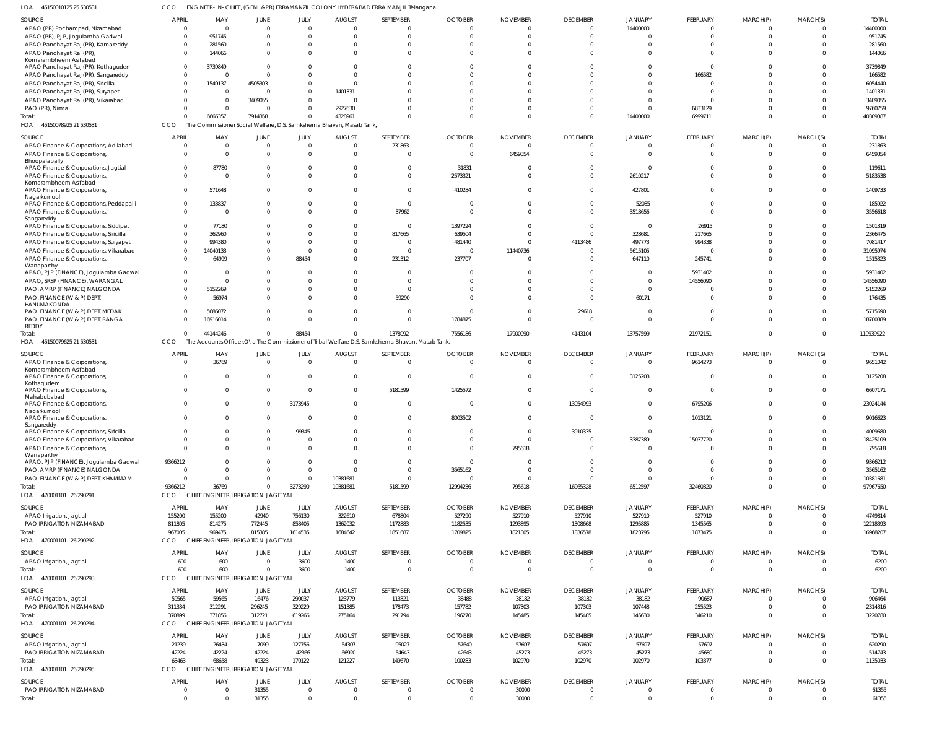| 45150010125 25 530531 | ENGINEER-IN-CHIEF, (GENL.&PR) ERRAMANZIL COLONY HYDERABAD ERRA MANJIL Telangana, |
|-----------------------|----------------------------------------------------------------------------------|
|                       |                                                                                  |

| HOA 45150010125 25 530531                                                       | CCO            |                                                 |                                          |                            |                                                                     | ENGINEER-IN-CHIEF, (GENL.&PR) ERRAMANZIL COLONY HYDERABAD ERRA MANJIL Telangana                  |                                  |                             |                                             |                                  |                           |                         |                            |                       |
|---------------------------------------------------------------------------------|----------------|-------------------------------------------------|------------------------------------------|----------------------------|---------------------------------------------------------------------|--------------------------------------------------------------------------------------------------|----------------------------------|-----------------------------|---------------------------------------------|----------------------------------|---------------------------|-------------------------|----------------------------|-----------------------|
| <b>SOURCE</b>                                                                   | <b>APRIL</b>   | MAY                                             | <b>JUNE</b>                              | JULY                       | <b>AUGUST</b>                                                       | SEPTEMBER                                                                                        | <b>OCTOBER</b>                   | <b>NOVEMBER</b>             | <b>DECEMBER</b>                             | JANUARY                          | FEBRUARY                  | MARCH(P)                | MARCH(S)                   | <b>TOTAL</b>          |
| APAO (PR) Pochampad, Nizamabad                                                  | $\Omega$       | $\Omega$                                        | $\Omega$                                 | $\mathbf 0$                | $\Omega$                                                            | $\overline{0}$                                                                                   | $\Omega$                         | $\Omega$                    | $\overline{0}$                              | 14400000                         | $\overline{0}$            | $\mathbf 0$             | $\overline{0}$             | 14400000              |
| APAO (PR), PJP, Jogulamba Gadwal<br>APAO Panchayat Raj (PR), Kamareddy          |                | 951745<br>281560                                | $\Omega$<br>0                            | $\Omega$<br>$\Omega$       |                                                                     | $\Omega$<br>$\mathbf 0$                                                                          | $\Omega$<br>$\Omega$             |                             | $\Omega$<br>$\Omega$                        | $\Omega$<br>$\Omega$             | $\Omega$<br>$\mathbf 0$   | $\Omega$<br>$\mathbf 0$ | $\Omega$<br>$\Omega$       | 951745<br>281560      |
| APAO Panchayat Raj (PR),                                                        |                | 144066                                          | $\Omega$                                 | $\Omega$                   |                                                                     | $\Omega$                                                                                         | $\Omega$                         | $\Omega$                    | $\Omega$                                    | $\Omega$                         | $\Omega$                  | $\Omega$                | $\Omega$                   | 144066                |
| Komarambheem Asifabad                                                           |                | 3739849                                         | $\Omega$                                 | $\Omega$                   |                                                                     |                                                                                                  |                                  |                             | $\Omega$                                    | $\Omega$                         | $\Omega$                  | $\Omega$                | $\Omega$                   |                       |
| APAO Panchayat Raj (PR), Kothagudem<br>APAO Panchayat Raj (PR), Sangareddy      | $\Omega$       |                                                 | $\Omega$                                 | $\Omega$                   | $\cap$                                                              | $\Omega$                                                                                         | $\Omega$                         |                             | $\Omega$                                    | $\Omega$                         | 166582                    | $\Omega$                | $\Omega$                   | 3739849<br>166582     |
| APAO Panchayat Raj (PR), Siricilla                                              |                | 1549137                                         | 4505303                                  | $\mathbf 0$                |                                                                     | $\Omega$                                                                                         |                                  |                             | $\Omega$                                    | $\Omega$                         | $\Omega$                  | $\Omega$                | $\Omega$                   | 6054440               |
| APAO Panchayat Raj (PR), Suryapet                                               |                | $\Omega$                                        | 0                                        | $\Omega$                   | 1401331                                                             |                                                                                                  | $\Omega$                         |                             | $\Omega$                                    | $\Omega$                         | $\Omega$                  | $\Omega$                | $\Omega$                   | 1401331               |
| APAO Panchayat Raj (PR), Vikarabad                                              |                | $\Omega$<br>$\Omega$                            | 3409055<br>$\Omega$                      | $\mathbf 0$<br>$\mathbf 0$ |                                                                     | $\Omega$<br>$\Omega$                                                                             | $\Omega$                         |                             | $\Omega$<br>$\Omega$                        | $\Omega$<br>$\Omega$             | $\Omega$                  | $\Omega$<br>$\Omega$    | $\Omega$<br>$\Omega$       | 3409055               |
| PAO (PR), Nirmal<br>Total:                                                      |                | 6666357                                         | 7914358                                  | $\mathbf 0$                | 2927630<br>4328961                                                  | $\Omega$                                                                                         | $\Omega$                         | $\Omega$                    | $\Omega$                                    | 14400000                         | 6833129<br>6999711        | $\Omega$                | $\Omega$                   | 9760759<br>40309387   |
| HOA 45150078925 21 530531                                                       | CCO            |                                                 |                                          |                            | The Commissioner Social Welfare, D.S. Samkshema Bhavan, Masab Tank, |                                                                                                  |                                  |                             |                                             |                                  |                           |                         |                            |                       |
| SOURCE                                                                          | <b>APRIL</b>   | MAY                                             | <b>JUNE</b>                              | JULY                       | <b>AUGUST</b>                                                       | SEPTEMBER                                                                                        | <b>OCTOBER</b>                   | <b>NOVEMBER</b>             | <b>DECEMBER</b>                             | JANUARY                          | <b>FEBRUARY</b>           | MARCH(P)                | MARCH(S)                   | <b>TOTAL</b>          |
| APAO Finance & Corporations, Adilabad                                           |                |                                                 | 0                                        | $\overline{0}$             | $\Omega$                                                            | 231863                                                                                           | $\Omega$                         |                             | $\overline{0}$                              | $\overline{0}$                   | $\overline{0}$            | $\mathbf 0$             | $\overline{0}$             | 231863                |
| APAO Finance & Corporations,<br>Bhoopalapally                                   | $\Omega$       | $\Omega$                                        | $\mathbf 0$                              | $\mathbf 0$                | $\Omega$                                                            | $\mathbf 0$                                                                                      | $\Omega$                         | 6459354                     | $\overline{0}$                              | $\overline{0}$                   | $\mathbf 0$               | $\mathbf{0}$            | $\Omega$                   | 6459354               |
| APAO Finance & Corporations, Jagtial                                            | $\Omega$       | 87780                                           | 0                                        | $\mathbf 0$                | 0                                                                   | $\mathbf 0$                                                                                      | 31831                            |                             | $\Omega$                                    | $\overline{0}$                   | $\overline{0}$            | $\mathbf 0$             | $\Omega$                   | 119611                |
| APAO Finance & Corporations,<br>Komarambheem Asifabad                           | $\Omega$       | $\Omega$                                        | $\Omega$                                 | $\Omega$                   | $\Omega$                                                            | $\mathbf 0$                                                                                      | 2573321                          | $\Omega$                    | $\Omega$                                    | 2610217                          | $\mathbf 0$               | $\mathbf 0$             | $\Omega$                   | 5183538               |
| APAO Finance & Corporations,                                                    |                | 571648                                          | $\Omega$                                 | $\Omega$                   |                                                                     | $\Omega$                                                                                         | 410284                           |                             | $\Omega$                                    | 427801                           | $\mathbf 0$               | $\mathbf 0$             | $\Omega$                   | 1409733               |
| Nagarkurnool<br>APAO Finance & Corporations, Peddapalli                         | $\Omega$       | 133837                                          | $\Omega$                                 | $\Omega$                   |                                                                     | $\mathbf 0$                                                                                      | $\Omega$                         |                             | $\Omega$                                    | 52085                            | $\mathbf 0$               | $\Omega$                | $\Omega$                   | 185922                |
| APAO Finance & Corporations,                                                    | $\Omega$       |                                                 | $\Omega$                                 | $\Omega$                   | O                                                                   | 37962                                                                                            | $\Omega$                         |                             | $\Omega$                                    | 3518656                          | $\mathbf 0$               | $\mathbf 0$             | $\Omega$                   | 3556618               |
| Sangareddy                                                                      |                |                                                 |                                          |                            |                                                                     |                                                                                                  |                                  |                             |                                             |                                  |                           |                         |                            |                       |
| APAO Finance & Corporations, Siddipet                                           |                | 77180<br>362960                                 | $\Omega$<br>$\Omega$                     | $\Omega$<br>$\Omega$       | 0                                                                   | $\overline{0}$                                                                                   | 1397224                          |                             | $\Omega$<br>$\overline{0}$                  | $\overline{0}$<br>328681         | 26915                     | $\Omega$<br>$\Omega$    | $\Omega$<br>$\Omega$       | 1501319<br>2366475    |
| APAO Finance & Corporations, Siricilla<br>APAO Finance & Corporations, Suryapet |                | 994380                                          | $\Omega$                                 | $\Omega$                   | U                                                                   | 817665<br>$\overline{0}$                                                                         | 639504<br>481440                 | $\Omega$                    | 4113486                                     | 497773                           | 217665<br>994338          | $\Omega$                | $\Omega$                   | 7081417               |
| APAO Finance & Corporations, Vikarabad                                          |                | 14040133                                        | $\Omega$                                 | $\overline{0}$             |                                                                     | $\overline{0}$                                                                                   | $\Omega$                         | 11440736                    | $\overline{0}$                              | 5615105                          | $\overline{0}$            | $\Omega$                | $\Omega$                   | 31095974              |
| APAO Finance & Corporations,                                                    |                | 64999                                           | 0                                        | 88454                      | U                                                                   | 231312                                                                                           | 237707                           |                             | $\Omega$                                    | 647110                           | 245741                    | $\Omega$                | $\Omega$                   | 1515323               |
| Wanaparthy<br>APAO, PJP (FINANCE), Jogulamba Gadwal                             |                |                                                 |                                          | $\Omega$                   |                                                                     | $\mathbf 0$                                                                                      | $\Omega$                         |                             | $\Omega$                                    | $\overline{0}$                   | 5931402                   | $\Omega$                | $\Omega$                   | 5931402               |
| APAO, SRSP (FINANCE), WARANGAL                                                  |                | $\Omega$                                        |                                          | $\Omega$                   |                                                                     | $\mathbf 0$                                                                                      | $\Omega$                         |                             | $\Omega$                                    | $\overline{0}$                   | 14556090                  | $\Omega$                | $\Omega$                   | 14556090              |
| PAO, AMRP (FINANCE) NALGONDA                                                    |                | 5152269                                         | 0                                        | $\Omega$                   | 0                                                                   | $\mathbf 0$                                                                                      | $\Omega$                         |                             | $\Omega$                                    | $\overline{0}$                   | $^{\circ}$                | $\Omega$                | $\Omega$                   | 5152269               |
| PAO, FINANCE (W & P) DEPT,<br>HANUMAKONDA                                       |                | 56974                                           | $\Omega$                                 | $\Omega$                   |                                                                     | 59290                                                                                            | $\Omega$                         |                             | $\Omega$                                    | 60171                            | $\mathbf 0$               | $\Omega$                | $\Omega$                   | 176435                |
| PAO, FINANCE (W & P) DEPT, MEDAK                                                |                | 5686072                                         | $\mathbf 0$                              | $\Omega$                   | $\Omega$                                                            | $\overline{0}$                                                                                   | $\Omega$                         |                             | 29618                                       | $\Omega$                         | $\overline{0}$            | $\mathbf 0$             | $\Omega$                   | 5715690               |
| PAO, FINANCE (W & P) DEPT, RANGA<br><b>REDDY</b>                                |                | 16916014                                        | $\mathbf 0$                              | $\mathbf{0}$               | $\Omega$                                                            | $\mathbf 0$                                                                                      | 1784875                          | $\Omega$                    | $\overline{0}$                              | $\overline{0}$                   | $\mathbf{0}$              | $\mathbf 0$             | $\Omega$                   | 18700889              |
| Total:                                                                          | $\Omega$       | 44144246                                        | $\mathbf 0$                              | 88454                      | $\Omega$                                                            | 1378092                                                                                          | 7556186                          | 17900090                    | 4143104                                     | 13757599                         | 21972151                  | $\overline{0}$          | $\Omega$                   | 110939922             |
| 45150079625 21 530531<br>HOA                                                    | <b>CCO</b>     |                                                 |                                          |                            |                                                                     | The Accounts Officer, O \o The Commissioner of Tribal Welfare D.S. Samkshema Bhavan, Masab Tank, |                                  |                             |                                             |                                  |                           |                         |                            |                       |
| SOURCE                                                                          | <b>APRIL</b>   | MAY                                             | JUNE                                     | JULY                       | <b>AUGUST</b>                                                       | SEPTEMBER                                                                                        | <b>OCTOBER</b>                   | <b>NOVEMBER</b>             | <b>DECEMBER</b>                             | <b>JANUARY</b>                   | FEBRUARY                  | MARCH(P)                | MARCH(S)                   | <b>TOTAL</b>          |
| APAO Finance & Corporations,<br>Komarambheem Asifabad                           |                | 36769                                           | $\Omega$                                 | $\Omega$                   | $\Omega$                                                            | $\Omega$                                                                                         | $\Omega$                         | $\Omega$                    | $\overline{0}$                              | $\Omega$                         | 9614273                   | $\Omega$                | $\Omega$                   | 9651042               |
| APAO Finance & Corporations,                                                    | $\Omega$       | $\Omega$                                        | $\Omega$                                 | $\Omega$                   | $\Omega$                                                            | $\overline{0}$                                                                                   | $\Omega$                         | $\Omega$                    | $\Omega$                                    | 3125208                          | $\Omega$                  | $\Omega$                | $\Omega$                   | 3125208               |
| Kothagudem                                                                      |                |                                                 |                                          |                            |                                                                     |                                                                                                  |                                  |                             |                                             |                                  |                           |                         |                            |                       |
| APAO Finance & Corporations,<br>Mahabubabad                                     |                | $\Omega$                                        | $\Omega$                                 | $\Omega$                   | $\Omega$                                                            | 5181599                                                                                          | 1425572                          | <sup>0</sup>                | $\Omega$                                    | $\Omega$                         | $\Omega$                  | $\Omega$                | $\Omega$                   | 6607171               |
| APAO Finance & Corporations,                                                    |                | <sup>0</sup>                                    | $\Omega$                                 | 3173945                    | $\Omega$                                                            | $\Omega$                                                                                         | $\Omega$                         | $\Omega$                    | 13054993                                    | $\Omega$                         | 6795206                   | $\Omega$                | $\Omega$                   | 23024144              |
| Nagarkurnool<br>APAO Finance & Corporations,                                    | $\Omega$       | $\Omega$                                        | $\mathbf 0$                              | $\mathbf{0}$               | $\Omega$                                                            | $\mathbf{0}$                                                                                     | 8003502                          | $\Omega$                    | $\overline{0}$                              | $\overline{0}$                   | 1013121                   | $\overline{0}$          | $\overline{0}$             | 9016623               |
| Sangareddy<br>APAO Finance & Corporations, Siricilla                            |                | <sup>0</sup>                                    | U                                        | 99345                      | $\Omega$                                                            | $\Omega$                                                                                         | $\Omega$                         | $\Omega$                    | 3910335                                     | $\mathbf 0$                      | $\overline{0}$            | $\Omega$                | $\Omega$                   | 4009680               |
| APAO Finance & Corporations, Vikarabad                                          |                | $\Omega$                                        | $\Omega$                                 | $\Omega$                   | O                                                                   | $\Omega$                                                                                         | $\Omega$                         | $\Omega$                    | $\overline{0}$                              | 3387389                          | 15037720                  | $\Omega$                | $\Omega$                   | 18425109              |
| APAO Finance & Corporations,                                                    | $\Omega$       | $\Omega$                                        | $\Omega$                                 | $\Omega$                   | $\Omega$                                                            | $\Omega$                                                                                         | $\Omega$                         | 795618                      | $\overline{0}$                              | $\overline{0}$                   | $\Omega$                  | $\Omega$                | $\Omega$                   | 795618                |
| Wanaparthy<br>APAO, PJP (FINANCE), Jogulamba Gadwal                             | 9366212        | <sup>0</sup>                                    | $\Omega$                                 | $\Omega$                   | $\Omega$                                                            | $\Omega$                                                                                         | $\Omega$                         | $\Omega$                    | $\overline{0}$                              | $\mathbf{0}$                     | $\Omega$                  | $\Omega$                | $\Omega$                   | 9366212               |
| PAO, AMRP (FINANCE) NALGONDA                                                    | $\Omega$       | $\Omega$                                        | $\Omega$                                 | $\mathbf 0$                | $\Omega$                                                            | $\mathbf 0$                                                                                      | 3565162                          | $\Omega$                    | $\Omega$                                    | $\Omega$                         | $\mathbf 0$               | $\Omega$                | $\Omega$                   | 3565162               |
| PAO, FINANCE (W & P) DEPT, KHAMMAM                                              | -C             | $\Omega$                                        | $\Omega$                                 | $\Omega$                   | 10381681                                                            | $\Omega$                                                                                         | $\Omega$                         |                             | $\Omega$                                    | $\Omega$                         | $\Omega$                  | $\Omega$                | $\overline{0}$             | 10381681              |
| Total:                                                                          | 9366212        | 36769                                           | $\Omega$                                 | 3273290                    | 10381681                                                            | 5181599                                                                                          | 12994236                         | 795618                      | 16965328                                    | 6512597                          | 32460320                  | $\mathbf{0}$            | $\Omega$                   | 97967650              |
| HOA 470001101 26 290291                                                         | CCO            | CHIEF ENGINEER, IRRIGATION, JAGITIYAL           |                                          |                            |                                                                     |                                                                                                  |                                  |                             |                                             |                                  |                           |                         |                            |                       |
| SOURCE                                                                          | <b>APRIL</b>   | MAY                                             | JUNE                                     | JULY                       | <b>AUGUST</b>                                                       | SEPTEMBER                                                                                        | <b>OCTOBER</b>                   | <b>NOVEMBER</b>             | <b>DECEMBER</b>                             | JANUARY                          | FEBRUARY                  | MARCH(P)                | MARCH(S)                   | <b>TOTAL</b>          |
| APAO Irrigation, Jagtial                                                        | 155200         | 155200                                          | 42940                                    | 756130                     | 322610                                                              | 678804                                                                                           | 527290                           | 527910                      | 527910                                      | 527910                           | 527910                    | $\mathbf 0$             | $\Omega$                   | 4749814               |
| PAO IRRIGATION NIZAMABAD                                                        | 811805         | 814275                                          | 772445                                   | 858405                     | 1362032                                                             | 1172883                                                                                          | 1182535                          | 1293895                     | 1308668                                     | 1295885                          | 1345565                   | $\mathbf 0$             | $\overline{0}$             | 12218393              |
| Total:<br>HOA<br>470001101 26 290292                                            | 967005<br>CCO. | 969475<br>CHIEF ENGINEER, IRRIGATION, JAGITIYAL | 815385                                   | 1614535                    | 1684642                                                             | 1851687                                                                                          | 1709825                          | 1821805                     | 1836578                                     | 1823795                          | 1873475                   | $\overline{0}$          | $\Omega$                   | 16968207              |
|                                                                                 |                |                                                 |                                          |                            |                                                                     |                                                                                                  |                                  |                             |                                             |                                  |                           |                         |                            |                       |
| SOURCE                                                                          | <b>APRIL</b>   | MAY                                             | JUNE<br>$\mathbf 0$                      | JULY<br>3600               | <b>AUGUST</b>                                                       | SEPTEMBER                                                                                        | <b>OCTOBER</b><br>$\Omega$       | <b>NOVEMBER</b><br>$\Omega$ | <b>DECEMBER</b><br>$\mathbf 0$              | <b>JANUARY</b><br>$\overline{0}$ | FEBRUARY                  | MARCH(P)                | MARCH(S)<br>$\Omega$       | <b>TOTAL</b>          |
| APAO Irrigation, Jagtial<br>Total:                                              | 600<br>600     | 600<br>600                                      | $\Omega$                                 | 3600                       | 1400<br>1400                                                        | -0<br>$\overline{0}$                                                                             | $\Omega$                         | $\Omega$                    | $\overline{0}$                              | $\mathbf{0}$                     | $^{\circ}$<br>$\mathbf 0$ | 0<br>$\mathbf{0}$       | $\overline{0}$             | 6200<br>6200          |
| HOA 470001101 26 290293                                                         | CCO            | CHIEF ENGINEER, IRRIGATION, JAGITIYAL           |                                          |                            |                                                                     |                                                                                                  |                                  |                             |                                             |                                  |                           |                         |                            |                       |
| SOURCE                                                                          | <b>APRIL</b>   | MAY                                             | JUNE                                     | JULY                       | <b>AUGUST</b>                                                       | SEPTEMBER                                                                                        | <b>OCTOBER</b>                   | <b>NOVEMBER</b>             | <b>DECEMBER</b>                             | JANUARY                          | FEBRUARY                  | MARCH(P)                | MARCH(S)                   | <b>TOTAL</b>          |
| APAO Irrigation, Jagtial                                                        | 59565          | 59565                                           | 16476                                    | 290037                     | 123779                                                              | 113321                                                                                           | 38488                            | 38182                       | 38182                                       | 38182                            | 90687                     | $\mathbf 0$             | $\Omega$                   | 906464                |
| PAO IRRIGATION NIZAMABAD                                                        | 311334         | 312291                                          | 296245                                   | 329229                     | 151385                                                              | 178473                                                                                           | 157782                           | 107303                      | 107303                                      | 107448                           | 255523                    | $\mathbf 0$             | $\overline{0}$             | 2314316               |
| Total:                                                                          | 370899         | 371856                                          | 312721                                   | 619266                     | 275164                                                              | 291794                                                                                           | 196270                           | 145485                      | 145485                                      | 145630                           | 346210                    | $\overline{0}$          | $\Omega$                   | 3220780               |
| HOA 470001101 26 290294                                                         | CCO            | CHIEF ENGINEER, IRRIGATION, JAGITIYAL           |                                          |                            |                                                                     |                                                                                                  |                                  |                             |                                             |                                  |                           |                         |                            |                       |
| SOURCE                                                                          | <b>APRIL</b>   | MAY                                             | JUNE                                     | JULY                       | <b>AUGUST</b>                                                       | SEPTEMBER                                                                                        | <b>OCTOBER</b>                   | <b>NOVEMBER</b>             | <b>DECEMBER</b>                             | <b>JANUARY</b>                   | FEBRUARY                  | MARCH(P)                | MARCH(S)                   | <b>TOTAL</b>          |
| APAO Irrigation, Jagtial                                                        | 21239          | 26434                                           | 7099                                     | 127756                     | 54307                                                               | 95027                                                                                            | 57640                            | 57697                       | 57697                                       | 57697                            | 57697                     | $\Omega$                | $\Omega$                   | 620290                |
| PAO IRRIGATION NIZAMABAD                                                        | 42224          | 42224                                           | 42224                                    | 42366                      | 66920                                                               | 54643                                                                                            | 42643                            | 45273                       | 45273                                       | 45273                            | 45680                     | $\mathbf 0$             | $\overline{0}$             | 514743                |
| Total:<br>470001101 26 290295<br>HOA                                            | 63463<br>CCO   | 68658<br><b>CHIEF</b>                           | 49323<br>ENGINEER, IRRIGATION, JAGITIYAL | 170122                     | 121227                                                              | 149670                                                                                           | 100283                           | 102970                      | 102970                                      | 102970                           | 103377                    | $\mathbf{0}$            | $\Omega$                   | 1135033               |
|                                                                                 |                |                                                 |                                          |                            |                                                                     |                                                                                                  |                                  |                             |                                             |                                  |                           |                         |                            |                       |
| SOURCE<br>PAO IRRIGATION NIZAMABAD                                              | <b>APRIL</b>   | MAY<br>$\Omega$                                 | JUNE<br>31355                            | JULY<br>$\mathbf 0$        | <b>AUGUST</b><br>$\overline{0}$                                     | SEPTEMBER<br>$\mathbf{0}$                                                                        | <b>OCTOBER</b><br>$\overline{0}$ | <b>NOVEMBER</b><br>30000    | <b>DECEMBER</b><br>$\overline{\phantom{0}}$ | <b>JANUARY</b><br>$\mathbf{0}$   | FEBRUARY<br>$\mathbf 0$   | MARCH(P)<br>$\mathbf 0$ | MARCH(S)<br>$\overline{0}$ | <b>TOTAL</b><br>61355 |
| Total:                                                                          | $\Omega$       | $\Omega$                                        | 31355                                    | $\mathbf 0$                | $\mathbf{0}$                                                        | $\mathbf 0$                                                                                      | $\mathbf{0}$                     | 30000                       | $\overline{\mathbf{0}}$                     | $\overline{0}$                   | $\mathbf 0$               | $\mathbf 0$             | $\overline{0}$             | 61355                 |
|                                                                                 |                |                                                 |                                          |                            |                                                                     |                                                                                                  |                                  |                             |                                             |                                  |                           |                         |                            |                       |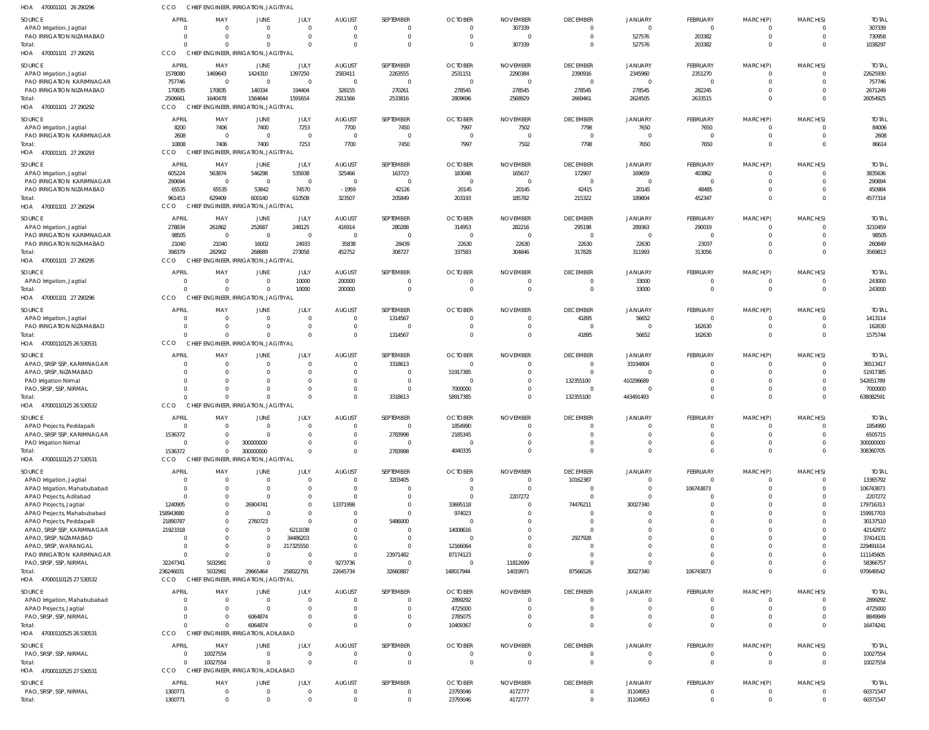| HOA<br>470001101 26 290296                              | CCO                      | CHIEF ENGINEER, IRRIGATION, JAGITIYAL             |                               |                            |                               |                           |                                  |                                   |                                            |                                  |                            |                               |                                  |                          |
|---------------------------------------------------------|--------------------------|---------------------------------------------------|-------------------------------|----------------------------|-------------------------------|---------------------------|----------------------------------|-----------------------------------|--------------------------------------------|----------------------------------|----------------------------|-------------------------------|----------------------------------|--------------------------|
| <b>SOURCE</b>                                           | <b>APRIL</b>             | MAY                                               | JUNE                          | <b>JULY</b>                | <b>AUGUST</b>                 | SEPTEMBER                 | <b>OCTOBER</b>                   | <b>NOVEMBER</b>                   | <b>DECEMBER</b>                            | <b>JANUARY</b>                   | FEBRUARY                   | MARCH(P)                      | MARCH(S)                         | <b>TOTAL</b>             |
| APAO Irrigation, Jagtial                                | $\Omega$                 | $\Omega$                                          | $\mathbf 0$                   | $\mathbf 0$                | $\mathbf{0}$                  | $\Omega$                  | $\overline{0}$                   | 307339                            | $\overline{\mathbf{0}}$                    | $\overline{0}$                   | $\overline{0}$             | 0                             | $\overline{0}$                   | 307339                   |
| PAO IRRIGATION NIZAMABAD                                | $\Omega$                 | $\Omega$                                          | $\mathbf 0$                   | $\Omega$                   | $\Omega$                      | $\Omega$                  | $\Omega$                         | $\Omega$                          | $\overline{0}$                             | 527576                           | 203382                     | $\mathbf 0$                   | $\Omega$                         | 730958                   |
| Total<br>470001101 27 290291                            | $\Omega$<br>CCO          | $\Omega$<br>CHIEF ENGINEER, IRRIGATION, JAGITIYAL | $\Omega$                      | $\Omega$                   | $\Omega$                      | $\Omega$                  | $\Omega$                         | 307339                            | $\Omega$                                   | 527576                           | 203382                     | $\mathbf 0$                   | $\Omega$                         | 1038297                  |
| HOA                                                     |                          |                                                   |                               |                            |                               |                           |                                  |                                   |                                            |                                  |                            |                               |                                  |                          |
| SOURCE                                                  | <b>APRIL</b>             | MAY                                               | <b>JUNE</b>                   | JULY                       | <b>AUGUST</b>                 | SEPTEMBER                 | <b>OCTOBER</b>                   | <b>NOVEMBER</b>                   | <b>DECEMBER</b>                            | <b>JANUARY</b>                   | FEBRUARY                   | MARCH(P)                      | MARCH(S)                         | <b>TOTAI</b>             |
| APAO Irrigation, Jagtial<br>PAO IRRIGATION KARIMNAGAR   | 1578080<br>757746        | 1469643<br>$\overline{0}$                         | 1424310<br>$\overline{0}$     | 1397250<br>$\overline{0}$  | 2583411<br>$\overline{0}$     | 2263555<br>$\overline{0}$ | 2531151<br>$\overline{0}$        | 2290384<br>$\Omega$               | 2390916<br>$\overline{0}$                  | 2345960<br>$\overline{0}$        | 2351270<br>$\mathbf{0}$    | $\mathbf{0}$<br>$\mathbf 0$   | $\overline{0}$<br>$\Omega$       | 22625930<br>757746       |
| PAO IRRIGATION NIZAMABAD                                | 170835                   | 170835                                            | 140334                        | 194404                     | 328155                        | 270261                    | 278545                           | 278545                            | 278545                                     | 278545                           | 282245                     | $\mathbf{0}$                  | $\Omega$                         | 2671249                  |
| Total:                                                  | 2506661                  | 1640478                                           | 1564644                       | 1591654                    | 2911566                       | 2533816                   | 2809696                          | 2568929                           | 2669461                                    | 2624505                          | 2633515                    | $\mathbf 0$                   | $\Omega$                         | 26054925                 |
| 470001101 27 290292<br>HOA                              | CCO                      | CHIEF ENGINEER, IRRIGATION, JAGITIYAL             |                               |                            |                               |                           |                                  |                                   |                                            |                                  |                            |                               |                                  |                          |
| SOURCE                                                  | <b>APRIL</b>             | MAY                                               | <b>JUNE</b>                   | JULY                       | <b>AUGUST</b>                 | SEPTEMBER                 | <b>OCTOBER</b>                   | <b>NOVEMBER</b>                   | <b>DECEMBER</b>                            | <b>JANUARY</b>                   | FEBRUARY                   | MARCH(P)                      | MARCH(S)                         | <b>TOTAI</b>             |
| APAO Irrigation, Jagtial                                | 8200                     | 7406                                              | 7400                          | 7253                       | 7700                          | 7450                      | 7997                             | 7502                              | 7798                                       | 7650                             | 7650                       | $^{\circ}$                    | $\Omega$                         | 84006                    |
| PAO IRRIGATION KARIMNAGAR                               | 2608                     | $\overline{0}$                                    | $\overline{0}$                | $\overline{0}$             | $\overline{0}$                | $\overline{0}$            | $\Omega$                         | $\Omega$                          | $\overline{\mathbf{0}}$                    | $\Omega$                         | $\overline{0}$             | $\mathbf 0$                   | $\overline{0}$                   | 2608                     |
| Total<br>470001101 27 290293                            | 10808<br>CCO             | 7406<br>CHIEF ENGINEER, IRRIGATION, JAGITIYAL     | 7400                          | 7253                       | 7700                          | 7450                      | 7997                             | 7502                              | 7798                                       | 7650                             | 7650                       | $\mathbf{0}$                  | $\Omega$                         | 86614                    |
| HOA                                                     |                          |                                                   |                               |                            |                               |                           |                                  |                                   |                                            |                                  |                            |                               |                                  |                          |
| SOURCE                                                  | <b>APRIL</b>             | MAY                                               | JUNE                          | JULY                       | <b>AUGUST</b>                 | SEPTEMBER                 | <b>OCTOBER</b>                   | <b>NOVEMBER</b>                   | <b>DECEMBER</b>                            | <b>JANUARY</b>                   | FEBRUARY                   | MARCH(P)                      | MARCH(S)                         | <b>TOTAL</b>             |
| APAO Irrigation, Jagtial<br>PAO IRRIGATION KARIMNAGAR   | 605224<br>290694         | 563874<br>$\overline{0}$                          | 546298<br>$\overline{0}$      | 535938<br>$\overline{0}$   | 325466<br>$\overline{0}$      | 163723<br>$\overline{0}$  | 183048<br>$\Omega$               | 165637<br>$\Omega$                | 172907<br>$\overline{\mathbf{0}}$          | 169659<br>$\overline{0}$         | 403862<br>$\overline{0}$   | $\mathbf{0}$<br>$\mathbf{0}$  | $\Omega$<br>$\Omega$             | 3835636<br>290694        |
| PAO IRRIGATION NIZAMABAD                                | 65535                    | 65535                                             | 53842                         | 74570                      | $-1959$                       | 42126                     | 20145                            | 20145                             | 42415                                      | 20145                            | 48485                      | $\mathbf 0$                   | $\Omega$                         | 450984                   |
| Total:                                                  | 961453                   | 629409                                            | 600140                        | 610508                     | 323507                        | 205849                    | 203193                           | 185782                            | 215322                                     | 189804                           | 452347                     | $\mathbf 0$                   | $\Omega$                         | 4577314                  |
| HOA<br>470001101 27 290294                              | CCO                      | CHIEF ENGINEER, IRRIGATION, JAGITIYAL             |                               |                            |                               |                           |                                  |                                   |                                            |                                  |                            |                               |                                  |                          |
| SOURCE                                                  | <b>APRIL</b>             | MAY                                               | JUNE                          | JULY                       | <b>AUGUST</b>                 | SEPTEMBER                 | <b>OCTOBER</b>                   | <b>NOVEMBER</b>                   | <b>DECEMBER</b>                            | <b>JANUARY</b>                   | FEBRUARY                   | MARCH(P)                      | MARCH(S)                         | <b>TOTAL</b>             |
| APAO Irrigation, Jagtial                                | 278834                   | 261862                                            | 252687                        | 248125                     | 416914                        | 280288                    | 314953                           | 282216                            | 295198                                     | 289363                           | 290019                     | 0                             | $\overline{0}$                   | 3210459                  |
| PAO IRRIGATION KARIMNAGAR                               | 98505                    | $\overline{0}$                                    | $\overline{0}$                | $\overline{0}$             | $\overline{0}$                | $\overline{0}$            | $\overline{0}$                   | $\Omega$                          | $\overline{0}$                             | $\overline{0}$                   | $\overline{0}$             | $\mathbf 0$                   | $\Omega$                         | 98505                    |
| PAO IRRIGATION NIZAMABAD                                | 21040<br>398379          | 21040<br>282902                                   | 16002<br>268689               | 24933<br>273058            | 35838<br>452752               | 28439<br>308727           | 22630<br>337583                  | 22630<br>304846                   | 22630                                      | 22630                            | 23037<br>313056            | $\mathbf 0$<br>$\overline{0}$ | $\Omega$<br>$\Omega$             | 260849<br>3569813        |
| Total:<br>HOA 470001101 27 290295                       | CCO                      | CHIEF ENGINEER, IRRIGATION, JAGITIYAL             |                               |                            |                               |                           |                                  |                                   | 317828                                     | 311993                           |                            |                               |                                  |                          |
|                                                         |                          |                                                   |                               |                            |                               |                           |                                  |                                   |                                            |                                  |                            |                               |                                  |                          |
| SOURCE<br>APAO Irrigation, Jagtial                      | <b>APRIL</b><br>$\Omega$ | MAY<br>$\mathbf 0$                                | <b>JUNE</b><br>$\mathbf 0$    | JULY<br>10000              | <b>AUGUST</b><br>200000       | SEPTEMBER<br>$\Omega$     | <b>OCTOBER</b><br>$\overline{0}$ | <b>NOVEMBER</b><br>$\overline{0}$ | <b>DECEMBER</b><br>$\overline{\mathbf{0}}$ | <b>JANUARY</b><br>33000          | FEBRUARY<br>$\overline{0}$ | MARCH(P)<br>$\mathbf{0}$      | MARCH(S)<br>$\overline{0}$       | <b>TOTAI</b><br>243000   |
| Total                                                   | $\Omega$                 | $\Omega$                                          | $\mathbf{0}$                  | 10000                      | 200000                        | $\Omega$                  | $\Omega$                         | $\overline{0}$                    | $\overline{0}$                             | 33000                            | $\overline{0}$             | $\mathbf{0}$                  | $\overline{0}$                   | 243000                   |
| HOA 470001101 27 290296                                 | <b>CCO</b>               | CHIEF ENGINEER, IRRIGATION, JAGITIYAL             |                               |                            |                               |                           |                                  |                                   |                                            |                                  |                            |                               |                                  |                          |
| SOURCE                                                  | <b>APRIL</b>             | MAY                                               | <b>JUNE</b>                   | JULY                       | <b>AUGUST</b>                 | SEPTEMBER                 | <b>OCTOBER</b>                   | <b>NOVEMBER</b>                   | <b>DECEMBER</b>                            | <b>JANUARY</b>                   | FEBRUARY                   | MARCH(P)                      | MARCH(S)                         | <b>TOTAL</b>             |
| APAO Irrigation, Jagtial                                | $\Omega$                 | $\mathbf 0$                                       | $\mathbf 0$                   | $\mathbf{0}$               | $\overline{0}$                | 1314567                   | $\Omega$                         | $\overline{0}$                    | 41895                                      | 56652                            | $\mathbf{0}$               | $\mathbf{0}$                  | $\Omega$                         | 1413114                  |
| PAO IRRIGATION NIZAMABAD                                | $\Omega$                 | $\Omega$                                          | $\mathbf{0}$                  | $\mathbf 0$                | $\mathbf{0}$                  | - 0                       | $\Omega$                         | $\overline{0}$                    | $\overline{\mathbf{0}}$                    | $\Omega$                         | 162630                     | $\mathbf 0$                   | $\overline{0}$                   | 162630                   |
| Total:                                                  | $\Omega$                 | $\Omega$                                          | $\Omega$                      | $\mathbf 0$                | $\mathbf 0$                   | 1314567                   | $\Omega$                         | $\overline{0}$                    | 41895                                      | 56652                            | 162630                     | $\overline{0}$                | $\Omega$                         | 1575744                  |
| HOA 47000110125 26 530531                               | <b>CCO</b>               | CHIEF ENGINEER, IRRIGATION, JAGITIYAL             |                               |                            |                               |                           |                                  |                                   |                                            |                                  |                            |                               |                                  |                          |
| SOURCE                                                  | <b>APRIL</b>             | MAY                                               | <b>JUNE</b>                   | JULY                       | <b>AUGUST</b>                 | SEPTEMBER                 | <b>OCTOBER</b>                   | <b>NOVEMBER</b>                   | <b>DECEMBER</b>                            | <b>JANUARY</b>                   | FEBRUARY                   | MARCH(P)                      | MARCH(S)                         | <b>TOTAI</b>             |
| APAO, SRSP SSP, KARIMNAGAR                              | $\overline{0}$           | $\mathbf 0$                                       | $\mathbf 0$                   | $\mathbf 0$                | $\mathbf 0$                   | 3318613                   | $\overline{0}$                   | $\overline{0}$                    | $\overline{0}$                             | 33194804                         | $\overline{0}$             | $\mathbf 0$                   | $\Omega$                         | 36513417                 |
| APAO, SRSP, NIZAMABAD<br>PAO Irrigation Nirmal          | $\Omega$<br>$\Omega$     | $\Omega$<br>$\Omega$                              | $\Omega$<br>$\mathbf 0$       | $\Omega$<br>$\Omega$       | $\mathbf{0}$<br>$\mathbf{0}$  | $\Omega$<br>$\Omega$      | 51917385<br>$\Omega$             | $\Omega$<br>$\Omega$              | $\overline{\mathbf{0}}$<br>132355100       | $\overline{0}$<br>410296689      | $\mathbf 0$<br>$\mathbf 0$ | $\mathbf 0$<br>$\mathbf 0$    | $\Omega$<br>$\Omega$             | 51917385<br>542651789    |
| PAO, SRSP, SSP, NIRMAL                                  |                          |                                                   | $\Omega$                      | $\Omega$                   | $\mathbf{0}$                  | $\Omega$                  | 7000000                          | $\Omega$                          | $\overline{0}$                             | $\Omega$                         | $\mathbf 0$                | $\mathbf 0$                   | $\Omega$                         | 7000000                  |
| Total:                                                  |                          | $\Omega$                                          | $\Omega$                      | $\Omega$                   | $\Omega$                      | 3318613                   | 58917385                         | $\Omega$                          | 132355100                                  | 443491493                        | $\Omega$                   | $\Omega$                      | $\Omega$                         | 638082591                |
| HOA 47000110125 26 530532                               | CCO                      | CHIEF ENGINEER, IRRIGATION, JAGITIYAL             |                               |                            |                               |                           |                                  |                                   |                                            |                                  |                            |                               |                                  |                          |
| SOURCE                                                  | APRIL                    | MA۱                                               | JUNE                          | JULY                       | <b>AUGUST</b>                 | SEPTEMBER                 | <b>OCTOBER</b>                   | <b>NOVEMBER</b>                   | <b>DECEMBER</b>                            | <b>JANUARY</b>                   | <b>FEBRUARY</b>            | MARCH(P)                      | MARCH(S)                         | <b>TOTAL</b>             |
| APAO Projects, Peddapalli                               | $\Omega$                 | 0                                                 | $\overline{0}$                | $\Omega$                   | $\mathbf{0}$                  | $\Omega$                  | 1854990                          | $\Omega$                          | $\Omega$                                   | $\Omega$                         | $^{\circ}$                 | 0                             | $\Omega$                         | 1854990                  |
| APAO, SRSP SSP, KARIMNAGAR                              | 1536372                  | $\Omega$                                          | $\Omega$                      | $\Omega$                   | $\Omega$                      | 2783998                   | 2185345                          |                                   | $\Omega$                                   | $\Omega$                         | $\mathbf 0$                | $\mathbf 0$                   | $\Omega$                         | 6505715                  |
| PAO Irrigation Nirmal                                   | $\Omega$<br>1536372      | 0<br>$\Omega$                                     | 300000000<br>300000000        | $\Omega$<br>$\Omega$       | $\Omega$<br>$\Omega$          | $\Omega$<br>2783998       | 4040335                          | $\Omega$                          | $\Omega$<br>$\Omega$                       | $\Omega$<br>$\Omega$             | $\mathbf 0$<br>$\Omega$    | $\mathbf 0$<br>$\mathbf 0$    | $\Omega$<br>$\Omega$             | 300000000<br>308360705   |
| Total:<br>HOA 47000110125 27 530531                     | CCO                      | CHIEF ENGINEER, IRRIGATION, JAGITIYAL             |                               |                            |                               |                           |                                  |                                   |                                            |                                  |                            |                               |                                  |                          |
|                                                         |                          |                                                   |                               |                            |                               |                           |                                  |                                   |                                            |                                  |                            |                               |                                  |                          |
| SOURCE<br>APAO Irrigation, Jagtial                      | <b>APRIL</b><br>$\Omega$ | MAY<br>0                                          | JUNE<br>$\mathbf 0$           | JULY<br>$\mathbf 0$        | <b>AUGUST</b><br>$\mathbf 0$  | SEPTEMBER<br>3203405      | <b>OCTOBER</b><br>$\Omega$       | <b>NOVEMBER</b><br>$\Omega$       | <b>DECEMBER</b><br>10162387                | <b>JANUARY</b><br>$\overline{0}$ | FEBRUARY<br>$\mathbf{0}$   | MARCH(P)<br>0                 | MARCH(S)<br>$\Omega$             | <b>TOTAL</b><br>13365792 |
| APAO Irrigation, Mahabubabad                            | $\Omega$                 | $\Omega$                                          | $\overline{0}$                | $\mathbf 0$                | $\mathbf{0}$                  | $\Omega$                  | $\Omega$                         | $\Omega$                          | $\overline{0}$                             | $\overline{0}$                   | 106743873                  | $\mathbf 0$                   | $\Omega$                         | 106743873                |
| APAO Projects, Adilabad                                 | $\Omega$                 | $\Omega$                                          | $\overline{0}$                | $\mathbf 0$                | $\Omega$                      | $\Omega$                  | $\Omega$                         | 2207272                           | $\overline{0}$                             | $\overline{0}$                   | $\mathbf 0$                | $\mathbf 0$                   | $\Omega$                         | 2207272                  |
| APAO Projects, Jagtial                                  | 1240905                  | 0                                                 | 26904741                      | $\Omega$                   | 13371998                      | $\Omega$                  | 33695118                         | $\Omega$                          | 74476211                                   | 30027340                         | $\mathbf 0$                | $\Omega$                      | $\Omega$                         | 179716313                |
| APAO Projects, Mahabubabad                              | 158943680                | 0                                                 | $\overline{0}$                | $\mathbf 0$<br>$\Omega$    | $\mathbf 0$                   | $\Omega$                  | 974023                           |                                   | $\overline{0}$                             | $\Omega$                         | $\mathbf 0$                | $\Omega$                      | $\Omega$                         | 159917703                |
| APAO Projects, Peddapalli<br>APAO, SRSP SSP, KARIMNAGAR | 21890787<br>21923318     | 0                                                 | 2760723<br>$\overline{0}$     | 6211038                    | $\Omega$<br>$\Omega$          | 5486000<br>$\Omega$       | 14008616                         |                                   | $\overline{0}$<br>$\overline{0}$           | $\Omega$<br>$\Omega$             | $\mathbf 0$<br>$\mathbf 0$ | $\Omega$<br>$\Omega$          | $\Omega$                         | 30137510<br>42142972     |
| APAO, SRSP, NIZAMABAD                                   | $\Omega$                 |                                                   | $\mathbf 0$                   | 34486203                   | $\Omega$                      | $\Omega$                  | $\Omega$                         |                                   | 2927928                                    | $\Omega$                         | $\mathbf 0$                | $\Omega$                      |                                  | 37414131                 |
| APAO, SRSP, WARANGAL                                    | $\Omega$                 | 0                                                 | $\mathbf 0$                   | 217325550                  | $\Omega$                      | $\Omega$                  | 12166064                         | <sup>0</sup>                      | $\Omega$                                   | $\Omega$                         | $\mathbf 0$                | $\Omega$                      | $\Omega$                         | 229491614                |
| PAO IRRIGATION KARIMNAGAR                               | $\Omega$                 | $\Omega$                                          | $\mathbf{0}$                  | $\mathbf 0$                | $\mathbf 0$                   | 23971482                  | 87174123                         | $\Omega$                          | $\overline{0}$                             | $\Omega$                         | $\mathbf 0$                | $\Omega$                      | $\Omega$                         | 111145605                |
| PAO, SRSP, SSP, NIRMAL                                  | 32247341                 | 5032981                                           | $\mathbf 0$                   | $\Omega$                   | 9273736                       | $\overline{0}$            | $\Omega$                         | 11812699                          | $\circ$                                    | $\Omega$                         | $\Omega$                   | $\mathbf 0$                   | $\Omega$                         | 58366757                 |
| Total:<br>HOA 47000110125 27 530532                     | 236246031<br>CCO         | 5032981<br>CHIEF ENGINEER, IRRIGATION, JAGITIYAL  | 29665464                      | 258022791                  | 22645734                      | 32660887                  | 148017944                        | 14019971                          | 87566526                                   | 30027340                         | 106743873                  | $\mathbf 0$                   | $\Omega$                         | 970649542                |
|                                                         |                          |                                                   |                               |                            |                               |                           |                                  |                                   |                                            |                                  |                            |                               |                                  |                          |
| SOURCE                                                  | <b>APRIL</b>             | MAY                                               | JUNE                          | JULY<br>$\Omega$           | <b>AUGUST</b><br>$\Omega$     | SEPTEMBER                 | <b>OCTOBER</b>                   | <b>NOVEMBER</b>                   | <b>DECEMBER</b>                            | <b>JANUARY</b>                   | FEBRUARY                   | MARCH(P)                      | MARCH(S)                         | <b>TOTAL</b>             |
| APAO Irrigation, Mahabubabad<br>APAO Projects, Jagtial  | $\Omega$                 | 0<br>$\Omega$                                     | $\overline{0}$<br>$\Omega$    | $\Omega$                   | $\Omega$                      | $\Omega$<br>$\Omega$      | 2899292<br>4725000               | $\Omega$<br>$\Omega$              | $\overline{0}$<br>$\overline{0}$           | $\overline{0}$<br>$\Omega$       | $\mathbf 0$<br>$\mathbf 0$ | 0<br>$\mathbf 0$              | $\Omega$<br>$\Omega$             | 2899292<br>4725000       |
| PAO, SRSP, SSP, NIRMAL                                  | 0                        | $\Omega$                                          | 6064874                       | $\Omega$                   | $\Omega$                      | $\mathbf 0$               | 2785075                          | $\Omega$                          | $\overline{0}$                             | $\overline{0}$                   | $\mathbf 0$                | $\mathbf 0$                   | $\Omega$                         | 8849949                  |
| Total:                                                  | $\Omega$                 | $\Omega$                                          | 6064874                       | $\Omega$                   | $\Omega$                      | $\Omega$                  | 10409367                         | $\Omega$                          | $\Omega$                                   | $\Omega$                         | $\Omega$                   | $\mathbf 0$                   | $\Omega$                         | 16474241                 |
| 47000110525 26 530531<br>HOA                            | CCO                      | CHIEF ENGINEER, IRRIGATION, ADILABAD              |                               |                            |                               |                           |                                  |                                   |                                            |                                  |                            |                               |                                  |                          |
| SOURCE                                                  | <b>APRIL</b>             | MAY                                               | JUNE                          | JULY                       | <b>AUGUST</b>                 | SEPTEMBER                 | <b>OCTOBER</b>                   | <b>NOVEMBER</b>                   | <b>DECEMBER</b>                            | <b>JANUARY</b>                   | FEBRUARY                   | MARCH(P)                      | MARCH(S)                         | <b>TOTAL</b>             |
| PAO, SRSP, SSP, NIRMAL                                  | $\overline{0}$           | 10027554                                          | $\mathbf 0$                   | $\mathbf 0$                | $\mathbf 0$                   | $\Omega$                  | $\overline{0}$                   | $\mathbf{0}$                      | $\overline{0}$                             | $\overline{0}$                   | $\mathbf 0$                | $\mathbf{0}$                  | $\overline{0}$                   | 10027554                 |
| Total:                                                  | $\Omega$                 | 10027554                                          | $\mathbf 0$                   | $\Omega$                   | $\Omega$                      | $\Omega$                  | $\Omega$                         | $\Omega$                          | $\Omega$                                   | $\overline{0}$                   | $\mathbf 0$                | $\mathbf{0}$                  | $\overline{0}$                   | 10027554                 |
| 47000110525 27 530531<br>HOA                            | CCO                      | CHIEF ENGINEER, IRRIGATION, ADILABAD              |                               |                            |                               |                           |                                  |                                   |                                            |                                  |                            |                               |                                  |                          |
| SOURCE                                                  | APRIL                    | MAY                                               | JUNE                          | JULY                       | <b>AUGUST</b>                 | SEPTEMBER                 | <b>OCTOBER</b>                   | <b>NOVEMBER</b>                   | <b>DECEMBER</b>                            | JANUARY                          | FEBRUARY                   | MARCH(P)                      | MARCH(S)                         | <b>TOTAL</b>             |
| PAO, SRSP, SSP, NIRMAL<br>Total:                        | 1300771                  | $\mathbf 0$<br>$\mathbf 0$                        | $\overline{0}$<br>$\mathbf 0$ | $\mathbf 0$<br>$\mathbf 0$ | $\overline{0}$<br>$\mathbf 0$ | $\Omega$<br>$\mathbf{0}$  | 23793046                         | 4172777<br>4172777                | $\overline{0}$<br>$\overline{0}$           | 31104953                         | $^{\circ}$<br>$\mathbf 0$  | 0<br>$\overline{0}$           | $\overline{0}$<br>$\overline{0}$ | 60371547<br>60371547     |
|                                                         | 1300771                  |                                                   |                               |                            |                               |                           | 23793046                         |                                   |                                            | 31104953                         |                            |                               |                                  |                          |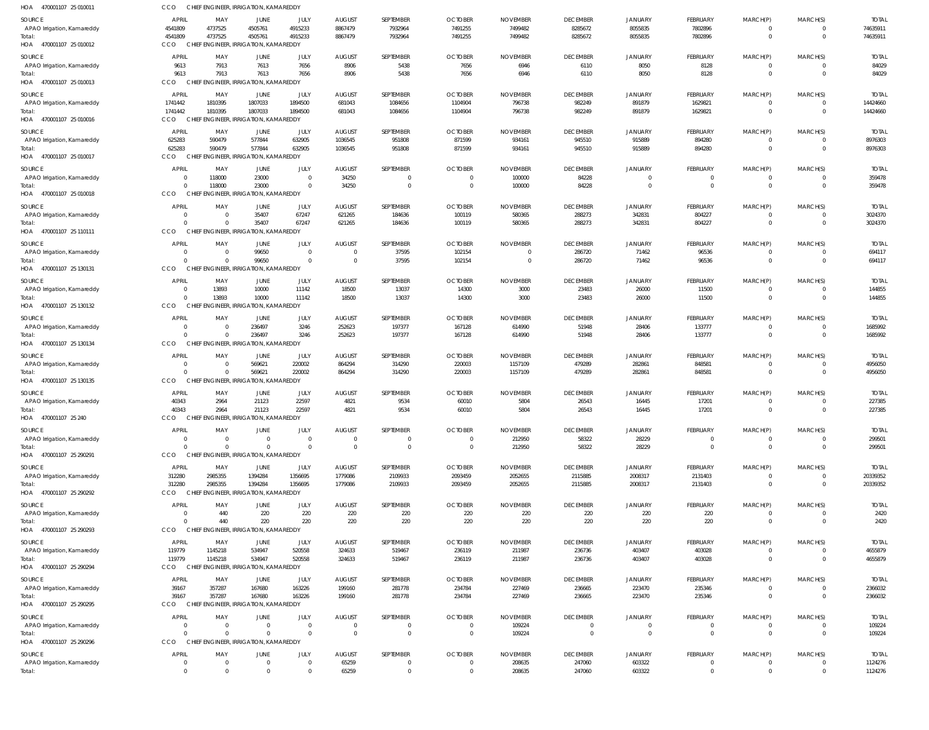| HOA 470001107 25 010011                     | CCO                   |                            | CHIEF ENGINEER, IRRIGATION, KAMAREDDY                   |                                  |                                  |                      |                                  |                            |                            |                         |                              |                                  |                            |                          |
|---------------------------------------------|-----------------------|----------------------------|---------------------------------------------------------|----------------------------------|----------------------------------|----------------------|----------------------------------|----------------------------|----------------------------|-------------------------|------------------------------|----------------------------------|----------------------------|--------------------------|
| SOURCE                                      | <b>APRIL</b>          | MAY                        | <b>JUNE</b>                                             | JULY                             | <b>AUGUST</b>                    | SEPTEMBER            | <b>OCTOBER</b>                   | <b>NOVEMBER</b>            | <b>DECEMBER</b>            | JANUARY                 | <b>FEBRUARY</b>              | MARCH(P)                         | MARCH(S)                   | <b>TOTAL</b>             |
| APAO Irrigation, Kamareddy                  | 4541809               | 4737525                    | 4505761                                                 | 4915233                          | 8867479                          | 7932964              | 7491255                          | 7499482                    | 8285672                    | 8055835                 | 7802896                      | $\overline{0}$                   | 0                          | 74635911                 |
| Total:<br>HOA 470001107 25 010012           | 4541809<br>CCO        | 4737525                    | 4505761<br>CHIEF ENGINEER, IRRIGATION, KAMAREDDY        | 4915233                          | 8867479                          | 7932964              | 7491255                          | 7499482                    | 8285672                    | 8055835                 | 7802896                      | $\overline{0}$                   | $\mathbf{0}$               | 74635911                 |
|                                             |                       |                            |                                                         |                                  |                                  |                      |                                  |                            |                            |                         |                              |                                  |                            |                          |
| SOURCE                                      | <b>APRIL</b><br>9613  | MAY<br>7913                | JUNE<br>7613                                            | JULY<br>7656                     | <b>AUGUST</b><br>8906            | SEPTEMBER<br>5438    | <b>OCTOBER</b><br>7656           | <b>NOVEMBER</b><br>6946    | <b>DECEMBER</b><br>6110    | <b>JANUARY</b><br>8050  | FEBRUARY<br>8128             | MARCH(P)<br>$\mathbf 0$          | MARCH(S)<br>$\mathbf 0$    | <b>TOTAL</b><br>84029    |
| APAO Irrigation, Kamareddy<br>Total:        | 9613                  | 7913                       | 7613                                                    | 7656                             | 8906                             | 5438                 | 7656                             | 6946                       | 6110                       | 8050                    | 8128                         | $\overline{0}$                   | $\mathbf 0$                | 84029                    |
| HOA 470001107 25 010013                     | CCO                   |                            | CHIEF ENGINEER, IRRIGATION, KAMAREDDY                   |                                  |                                  |                      |                                  |                            |                            |                         |                              |                                  |                            |                          |
| <b>SOURCE</b>                               | <b>APRIL</b>          | MAY                        | JUNE                                                    | JULY                             | <b>AUGUST</b>                    | SEPTEMBER            | <b>OCTOBER</b>                   | <b>NOVEMBER</b>            | <b>DECEMBER</b>            | JANUARY                 | <b>FEBRUARY</b>              | MARCH(P)                         | MARCH(S)                   | <b>TOTAL</b>             |
| APAO Irrigation, Kamareddy                  | 1741442               | 1810395                    | 1807033                                                 | 1894500                          | 681043                           | 1084656              | 1104904                          | 796738                     | 982249                     | 891879                  | 1629821                      | $\mathbf{0}$                     | 0                          | 14424660                 |
| Total:                                      | 1741442               | 1810395                    | 1807033                                                 | 1894500                          | 681043                           | 1084656              | 1104904                          | 796738                     | 982249                     | 891879                  | 1629821                      | $\overline{0}$                   | $\mathbf 0$                | 14424660                 |
| HOA 470001107 25 010016                     | CCO                   |                            | CHIEF ENGINEER, IRRIGATION, KAMAREDDY                   |                                  |                                  |                      |                                  |                            |                            |                         |                              |                                  |                            |                          |
| SOURCE                                      | <b>APRIL</b>          | MAY                        | JUNE                                                    | JULY                             | <b>AUGUST</b>                    | SEPTEMBER            | <b>OCTOBER</b>                   | <b>NOVEMBER</b>            | <b>DECEMBER</b>            | <b>JANUARY</b>          | <b>FEBRUARY</b>              | MARCH(P)                         | MARCH(S)                   | <b>TOTAL</b>             |
| APAO Irrigation, Kamareddy<br>Total:        | 625283<br>625283      | 590479<br>590479           | 577844<br>577844                                        | 632905<br>632905                 | 1036545<br>1036545               | 951808<br>951808     | 871599<br>871599                 | 934161<br>934161           | 945510<br>945510           | 915889<br>915889        | 894280<br>894280             | $\mathbf{0}$<br>$\overline{0}$   | $\mathbf 0$<br>$\mathbf 0$ | 8976303<br>8976303       |
| HOA 470001107 25 010017                     | CCO                   |                            | CHIEF ENGINEER, IRRIGATION, KAMAREDDY                   |                                  |                                  |                      |                                  |                            |                            |                         |                              |                                  |                            |                          |
| SOURCE                                      | APRIL                 | MAY                        | <b>JUNE</b>                                             | JULY                             | <b>AUGUST</b>                    | SEPTEMBER            | <b>OCTOBER</b>                   | <b>NOVEMBER</b>            | <b>DECEMBER</b>            | <b>JANUARY</b>          | <b>FEBRUARY</b>              | MARCH(P)                         | MARCH(S)                   | <b>TOTAL</b>             |
| APAO Irrigation, Kamareddy                  | $\Omega$              | 118000                     | 23000                                                   | $\overline{0}$                   | 34250                            | $\Omega$             | $\mathbf{0}$                     | 100000                     | 84228                      | $\mathbf 0$             | $^{\circ}$                   | $\mathbf{0}$                     | $\mathbf 0$                | 359478                   |
| Total:                                      | $\Omega$              | 118000                     | 23000                                                   | $\overline{0}$                   | 34250                            | $\overline{0}$       | $\overline{0}$                   | 100000                     | 84228                      | $\mathbf 0$             | $\overline{0}$               | $\overline{0}$                   | $\overline{0}$             | 359478                   |
| HOA 470001107 25 010018                     | CCO                   |                            | CHIEF ENGINEER, IRRIGATION, KAMAREDDY                   |                                  |                                  |                      |                                  |                            |                            |                         |                              |                                  |                            |                          |
| SOURCE                                      | APRIL                 | MAY                        | <b>JUNE</b>                                             | JULY                             | <b>AUGUST</b>                    | SEPTEMBER            | <b>OCTOBER</b>                   | <b>NOVEMBER</b>            | <b>DECEMBER</b>            | JANUARY                 | <b>FEBRUARY</b>              | MARCH(P)                         | MARCH(S)                   | <b>TOTAL</b>             |
| APAO Irrigation, Kamareddy                  | $\cap$                | $\overline{0}$<br>$\Omega$ | 35407<br>35407                                          | 67247<br>67247                   | 621265                           | 184636               | 100119                           | 580365<br>580365           | 288273<br>288273           | 342831                  | 804227                       | 0<br>$\overline{0}$              | 0<br>$\mathbf 0$           | 3024370<br>3024370       |
| Total:<br>HOA 470001107 25 110111           | <b>CCO</b>            |                            | CHIEF ENGINEER, IRRIGATION, KAMAREDDY                   |                                  | 621265                           | 184636               | 100119                           |                            |                            | 342831                  | 804227                       |                                  |                            |                          |
| SOURCE                                      | <b>APRIL</b>          | MAY                        | <b>JUNE</b>                                             | JULY                             | <b>AUGUST</b>                    | SEPTEMBER            | <b>OCTOBER</b>                   | <b>NOVEMBER</b>            | <b>DECEMBER</b>            | <b>JANUARY</b>          | FEBRUARY                     | MARCH(P)                         | MARCH(S)                   | <b>TOTAL</b>             |
| APAO Irrigation, Kamareddy                  | $\Omega$              | $\overline{0}$             | 99650                                                   | $\overline{0}$                   | $\overline{0}$                   | 37595                | 102154                           | $\overline{0}$             | 286720                     | 71462                   | 96536                        | $\mathbf{0}$                     | 0                          | 694117                   |
| Total:                                      | $\Omega$              | $\Omega$                   | 99650                                                   | $\Omega$                         | $\overline{0}$                   | 37595                | 102154                           | $\overline{0}$             | 286720                     | 71462                   | 96536                        | $\overline{0}$                   | $\mathbf 0$                | 694117                   |
| HOA 470001107 25 130131                     | CCO                   |                            | CHIEF ENGINEER, IRRIGATION, KAMAREDDY                   |                                  |                                  |                      |                                  |                            |                            |                         |                              |                                  |                            |                          |
| SOURCE                                      | APRIL                 | MAY                        | <b>JUNE</b>                                             | JULY                             | <b>AUGUST</b>                    | SEPTEMBER            | <b>OCTOBER</b>                   | <b>NOVEMBER</b>            | <b>DECEMBER</b>            | <b>JANUARY</b>          | FEBRUARY                     | MARCH(P)                         | MARCH(S)                   | <b>TOTAL</b>             |
| APAO Irrigation, Kamareddy                  | $\Omega$<br>$\cap$    | 13893                      | 10000                                                   | 11142                            | 18500                            | 13037                | 14300                            | 3000                       | 23483                      | 26000                   | 11500                        | $\mathbf{0}$                     | $\mathbf 0$                | 144855                   |
| Total:<br>HOA 470001107 25 130132           | <b>CCO</b>            | 13893                      | 10000<br>CHIEF ENGINEER, IRRIGATION, KAMAREDDY          | 11142                            | 18500                            | 13037                | 14300                            | 3000                       | 23483                      | 26000                   | 11500                        | $\overline{0}$                   | $\mathbf 0$                | 144855                   |
|                                             | APRIL                 | MAY                        |                                                         | JULY                             | <b>AUGUST</b>                    |                      | <b>OCTOBER</b>                   |                            |                            |                         |                              |                                  |                            | <b>TOTAL</b>             |
| SOURCE<br>APAO Irrigation, Kamareddy        | $\Omega$              | $\overline{\mathbf{0}}$    | JUNE<br>236497                                          | 3246                             | 252623                           | SEPTEMBER<br>197377  | 167128                           | <b>NOVEMBER</b><br>614990  | <b>DECEMBER</b><br>51948   | <b>JANUARY</b><br>28406 | FEBRUARY<br>133777           | MARCH(P)<br>$\mathbf{0}$         | MARCH(S)<br>0              | 1685992                  |
| Total:                                      | $\Omega$              | $\Omega$                   | 236497                                                  | 3246                             | 252623                           | 197377               | 167128                           | 614990                     | 51948                      | 28406                   | 133777                       | $\overline{0}$                   | $\mathbf 0$                | 1685992                  |
| HOA 470001107 25 130134                     | CCO                   |                            | CHIEF ENGINEER, IRRIGATION, KAMAREDDY                   |                                  |                                  |                      |                                  |                            |                            |                         |                              |                                  |                            |                          |
| SOURCE                                      | <b>APRIL</b>          | MAY                        | <b>JUNE</b>                                             | JULY                             | <b>AUGUST</b>                    | SEPTEMBER            | <b>OCTOBER</b>                   | <b>NOVEMBER</b>            | <b>DECEMBER</b>            | <b>JANUARY</b>          | <b>FEBRUARY</b>              | MARCH(P)                         | MARCH(S)                   | <b>TOTAL</b>             |
| APAO Irrigation, Kamareddy                  |                       | $\overline{0}$             | 569621                                                  | 220002                           | 864294                           | 314290               | 220003                           | 1157109                    | 479289                     | 282861                  | 848581                       | 0                                | 0                          | 4956050                  |
| Total:<br>HOA 470001107 25 130135           | $\cap$<br><b>CCO</b>  | $\overline{0}$             | 569621<br>CHIEF ENGINEER, IRRIGATION, KAMAREDDY         | 220002                           | 864294                           | 314290               | 220003                           | 1157109                    | 479289                     | 282861                  | 848581                       | $\overline{0}$                   | $\mathbf 0$                | 4956050                  |
|                                             |                       |                            |                                                         |                                  |                                  |                      |                                  |                            |                            |                         |                              |                                  |                            |                          |
| <b>SOURCE</b><br>APAO Irrigation, Kamareddy | <b>APRIL</b><br>40343 | MAY<br>2964                | <b>JUNE</b><br>21123                                    | JULY<br>22597                    | <b>AUGUST</b><br>4821            | SEPTEMBER<br>9534    | <b>OCTOBER</b><br>60010          | <b>NOVEMBER</b><br>5804    | <b>DECEMBER</b><br>26543   | <b>JANUARY</b><br>16445 | <b>FEBRUARY</b><br>17201     | MARCH(P)<br>$\overline{0}$       | MARCH(S)<br>0              | <b>TOTAL</b><br>227385   |
| Total:                                      | 40343                 | 2964                       | 21123                                                   | 22597                            | 4821                             | 9534                 | 60010                            | 5804                       | 26543                      | 16445                   | 17201                        | $\mathbf{0}$                     | $\Omega$                   | 227385                   |
| HOA 470001107 25 240                        | CCO                   |                            | CHIEF ENGINEER, IRRIGATION, KAMAREDDY                   |                                  |                                  |                      |                                  |                            |                            |                         |                              |                                  |                            |                          |
| SOURCE                                      | APRIL                 | MAY                        | JUNE                                                    | JULY                             | <b>AUGUST</b>                    | SEPTEMBER            | <b>OCTOBER</b>                   | <b>NOVEMBER</b>            | <b>DECEMBER</b>            | JANUARY                 | <b>FEBRUARY</b>              | MARCH(P)                         | MARCH(S)                   | <b>TOTAL</b>             |
| APAO Irrigation, Kamareddy                  | $\Omega$              | $\overline{0}$             | $\overline{0}$                                          | $\Omega$                         | $\overline{\mathbf{0}}$          |                      | $\overline{0}$                   | 212950                     | 58322                      | 28229                   | $\overline{0}$               | $\mathbf{0}$                     | $\mathbf 0$                | 299501                   |
| Total:<br>HOA 470001107 25 290291           | $\Omega$<br>CCO       | $\Omega$                   | $\overline{0}$<br>CHIEF ENGINEER, IRRIGATION, KAMAREDDY | $\Omega$                         | $\overline{\mathbf{0}}$          | $\Omega$             | $\overline{0}$                   | 212950                     | 58322                      | 28229                   | $\mathbf{0}$                 | $\overline{0}$                   | $\mathbf 0$                | 299501                   |
|                                             |                       |                            |                                                         |                                  |                                  |                      |                                  |                            |                            |                         |                              |                                  |                            |                          |
| <b>SOURCE</b><br>APAO Irrigation, Kamareddy | APRIL<br>312280       | MAY<br>2985355             | <b>JUNE</b><br>1394284                                  | JULY<br>1356695                  | <b>AUGUST</b><br>1779086         | SEPTEMBER<br>2109933 | <b>OCTOBER</b><br>2093459        | <b>NOVEMBER</b><br>2052655 | <b>DECEMBER</b><br>2115885 | JANUARY<br>2008317      | <b>FEBRUARY</b><br>2131403   | MARCH(P)<br>$\overline{0}$       | MARCH(S)<br>0              | <b>TOTAL</b><br>20339352 |
| Total:                                      | 312280                | 2985355                    | 1394284                                                 | 1356695                          | 1779086                          | 2109933              | 2093459                          | 2052655                    | 2115885                    | 2008317                 | 2131403                      | $\overline{0}$                   | $\mathbf 0$                | 20339352                 |
| HOA 470001107 25 290292                     | CCO                   |                            | CHIEF ENGINEER, IRRIGATION, KAMAREDDY                   |                                  |                                  |                      |                                  |                            |                            |                         |                              |                                  |                            |                          |
| SOURCE                                      | <b>APRIL</b>          | MAY                        | JUNE                                                    | JULY                             | <b>AUGUST</b>                    | SEPTEMBER            | <b>OCTOBER</b>                   | <b>NOVEMBER</b>            | <b>DECEMBER</b>            | <b>JANUARY</b>          | FEBRUARY                     | MARCH(P)                         | MARCH(S)                   | <b>TOTAL</b>             |
| APAO Irrigation, Kamareddy                  |                       | 440                        | 220                                                     | 220                              | 220                              | 220                  | 220                              | 220                        | 220                        | 220                     | 220                          | 0                                | 0                          | 2420                     |
| Total:                                      | $\Omega$              | 440                        | 220                                                     | 220                              | 220                              | 220                  | 220                              | 220                        | 220                        | 220                     | 220                          | $\overline{0}$                   | $\mathbf 0$                | 2420                     |
| HOA 470001107 25 290293                     | CCO                   |                            | CHIEF ENGINEER, IRRIGATION, KAMAREDDY                   |                                  |                                  |                      |                                  |                            |                            |                         |                              |                                  |                            |                          |
| SOURCE                                      | APRIL                 | MAY                        | JUNE                                                    | JULY                             | <b>AUGUST</b>                    | SEPTEMBER            | <b>OCTOBER</b>                   | <b>NOVEMBER</b>            | <b>DECEMBER</b>            | JANUARY                 | FEBRUARY                     | MARCH(P)                         | MARCH(S)                   | <b>TOTAL</b>             |
| APAO Irrigation, Kamareddy<br>Total:        | 119779<br>119779      | 1145218<br>1145218         | 534947<br>534947                                        | 520558<br>520558                 | 324633<br>324633                 | 519467<br>519467     | 236119<br>236119                 | 211987<br>211987           | 236736<br>236736           | 403407<br>403407        | 403028<br>403028             | $\mathbf{0}$<br>$\overline{0}$   | 0<br>$\mathbf 0$           | 4655879<br>4655879       |
| HOA 470001107 25 290294                     | CCO                   |                            | CHIEF ENGINEER, IRRIGATION, KAMAREDDY                   |                                  |                                  |                      |                                  |                            |                            |                         |                              |                                  |                            |                          |
| <b>SOURCE</b>                               | APRIL                 | MAY                        | JUNE                                                    | JULY                             | <b>AUGUST</b>                    | SEPTEMBER            | <b>OCTOBER</b>                   | <b>NOVEMBER</b>            | <b>DECEMBER</b>            | <b>JANUARY</b>          | FEBRUARY                     | MARCH(P)                         | MARCH(S)                   | <b>TOTAL</b>             |
| APAO Irrigation, Kamareddy                  | 39167                 | 357287                     | 167680                                                  | 163226                           | 199160                           | 281778               | 234784                           | 227469                     | 236665                     | 223470                  | 235346                       | $\mathbf{0}$                     | $\mathbf 0$                | 2366032                  |
| Total:                                      | 39167                 | 357287                     | 167680                                                  | 163226                           | 199160                           | 281778               | 234784                           | 227469                     | 236665                     | 223470                  | 235346                       | $\overline{0}$                   | $\mathbf 0$                | 2366032                  |
| HOA 470001107 25 290295                     | CCO                   |                            | CHIEF ENGINEER, IRRIGATION, KAMAREDDY                   |                                  |                                  |                      |                                  |                            |                            |                         |                              |                                  |                            |                          |
| SOURCE                                      | <b>APRIL</b>          | MAY                        | JUNE                                                    | JULY                             | <b>AUGUST</b>                    | SEPTEMBER            | <b>OCTOBER</b>                   | <b>NOVEMBER</b>            | <b>DECEMBER</b>            | <b>JANUARY</b>          | <b>FEBRUARY</b>              | MARCH(P)                         | MARCH(S)                   | <b>TOTAL</b>             |
| APAO Irrigation, Kamareddy                  | $\Omega$<br>$\Omega$  | $\overline{0}$<br>$\Omega$ | $\overline{0}$<br>$\Omega$                              | $\overline{0}$<br>$\overline{0}$ | $\overline{0}$<br>$\overline{0}$ | $\Omega$<br>$\Omega$ | $\overline{0}$<br>$\overline{0}$ | 109224<br>109224           | $^{\circ}$<br>$\Omega$     | $^{\circ}$<br>$\Omega$  | $^{\circ}$<br>$\overline{0}$ | $\overline{0}$<br>$\overline{0}$ | 0<br>$\mathbf 0$           | 109224<br>109224         |
| Total:<br>HOA 470001107 25 290296           | <b>CCO</b>            |                            | CHIEF ENGINEER, IRRIGATION, KAMAREDDY                   |                                  |                                  |                      |                                  |                            |                            |                         |                              |                                  |                            |                          |
| <b>SOURCE</b>                               | <b>APRIL</b>          | MAY                        | JUNE                                                    | JULY                             | <b>AUGUST</b>                    | SEPTEMBER            | <b>OCTOBER</b>                   | <b>NOVEMBER</b>            | <b>DECEMBER</b>            | JANUARY                 | FEBRUARY                     | MARCH(P)                         | MARCH(S)                   | <b>TOTAL</b>             |
| APAO Irrigation, Kamareddy                  |                       | $\overline{0}$             | $\overline{0}$                                          | $\circ$                          | 65259                            |                      | $\overline{0}$                   | 208635                     | 247060                     | 603322                  | 0                            | 0                                | 0                          | 1124276                  |
| Total:                                      | $\Omega$              | $\overline{0}$             | $\overline{0}$                                          | $\mathbf 0$                      | 65259                            | $\overline{0}$       | $\overline{0}$                   | 208635                     | 247060                     | 603322                  | $\overline{0}$               | $\mathbf{0}$                     | $\mathbf 0$                | 1124276                  |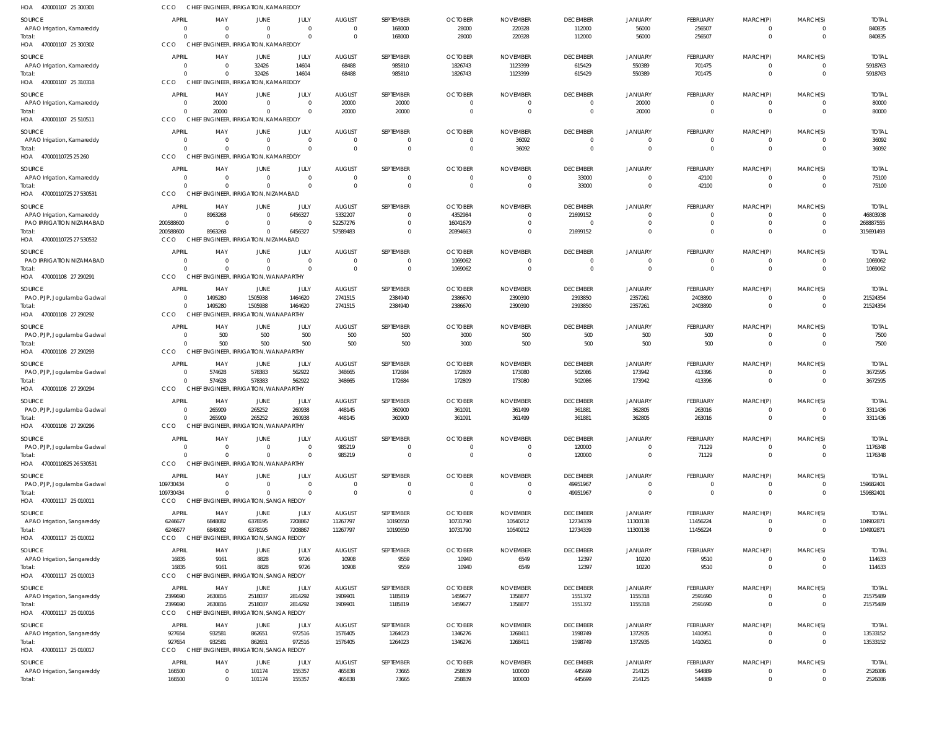| HOA 470001107 25 300301               | <b>CCO</b>                     |                      | CHIEF ENGINEER, IRRIGATION, KAMAREDDY                   |                                  |                          |                               |                                  |                            |                             |                               |                        |                              |                                  |                          |
|---------------------------------------|--------------------------------|----------------------|---------------------------------------------------------|----------------------------------|--------------------------|-------------------------------|----------------------------------|----------------------------|-----------------------------|-------------------------------|------------------------|------------------------------|----------------------------------|--------------------------|
| SOURCE                                | <b>APRIL</b>                   | MAY                  | <b>JUNE</b>                                             | JULY                             | <b>AUGUST</b>            | SEPTEMBER                     | <b>OCTOBER</b>                   | <b>NOVEMBER</b>            | <b>DECEMBER</b>             | <b>JANUARY</b>                | FEBRUARY               | MARCH(P)                     | MARCH(S)                         | <b>TOTAL</b>             |
| APAO Irrigation, Kamareddy            | - 0                            | $\Omega$             | $\overline{0}$                                          | $\overline{0}$                   | $\overline{0}$           | 168000                        | 28000                            | 220328                     | 112000                      | 56000                         | 256507                 | $\mathbf{0}$                 | $\overline{0}$                   | 840835                   |
| Total:                                | $\Omega$<br>CCO                |                      | $\Omega$<br>CHIEF ENGINEER, IRRIGATION, KAMAREDDY       | $\overline{0}$                   | $\overline{0}$           | 168000                        | 28000                            | 220328                     | 112000                      | 56000                         | 256507                 | $\mathbf{0}$                 | $\overline{0}$                   | 840835                   |
| HOA 470001107 25 300302               |                                |                      |                                                         |                                  |                          |                               |                                  |                            |                             |                               |                        |                              |                                  |                          |
| SOURCE                                | <b>APRIL</b>                   | MAY                  | <b>JUNE</b>                                             | JULY                             | <b>AUGUST</b>            | SEPTEMBER                     | <b>OCTOBER</b>                   | <b>NOVEMBER</b>            | <b>DECEMBER</b>             | <b>JANUARY</b>                | FEBRUARY               | MARCH(P)                     | MARCH(S)                         | <b>TOTAL</b>             |
| APAO Irrigation, Kamareddy<br>Total:  | $\overline{0}$<br>$\Omega$     | - 0                  | 32426<br>32426                                          | 14604<br>14604                   | 68488<br>68488           | 985810<br>985810              | 1826743<br>1826743               | 1123399<br>1123399         | 615429<br>615429            | 550389<br>550389              | 701475<br>701475       | $\mathbf{0}$<br>$\mathbf{0}$ | $\overline{0}$<br>$\overline{0}$ | 5918763<br>5918763       |
| HOA 470001107 25 310318               | CCO                            |                      | CHIEF ENGINEER, IRRIGATION, KAMAREDDY                   |                                  |                          |                               |                                  |                            |                             |                               |                        |                              |                                  |                          |
| SOURCE                                | <b>APRIL</b>                   | MAY                  | <b>JUNE</b>                                             | JULY                             | <b>AUGUST</b>            | SEPTEMBER                     | <b>OCTOBER</b>                   | <b>NOVEMBER</b>            | <b>DECEMBER</b>             | <b>JANUARY</b>                | FEBRUARY               | MARCH(P)                     | MARCH(S)                         | <b>TOTAL</b>             |
| APAO Irrigation, Kamareddy            | $\overline{0}$                 | 20000                | $\overline{0}$                                          | $\overline{0}$                   | 20000                    | 20000                         | $\Omega$                         | $\Omega$                   | $\mathbf{0}$                | 20000                         | $\overline{0}$         | $\mathbf 0$                  | $\overline{0}$                   | 80000                    |
| Total:<br>470001107 25 510511<br>HOA  | $\Omega$<br>CCO                | 20000                | $\overline{0}$<br>CHIEF ENGINEER, IRRIGATION, KAMAREDDY | $\overline{0}$                   | 20000                    | 20000                         | $\Omega$                         | $\Omega$                   | $\overline{0}$              | 20000                         | $\mathbf 0$            | $\mathbf{0}$                 | $\overline{0}$                   | 80000                    |
| SOURCE                                | <b>APRIL</b>                   | MAY                  | JUNE                                                    | JULY                             | <b>AUGUST</b>            | SEPTEMBER                     | <b>OCTOBER</b>                   | <b>NOVEMBER</b>            | <b>DECEMBER</b>             | <b>JANUARY</b>                | FEBRUARY               | MARCH(P)                     | MARCH(S)                         | <b>TOTAL</b>             |
| APAO Irrigation, Kamareddy            | - 0                            | $\Omega$             | $\overline{0}$                                          | $\overline{0}$                   | $\mathbf{0}$             | $\mathbf 0$                   | $\Omega$                         | 36092                      | $\mathbf 0$                 | $\mathbf 0$                   | $^{\circ}$             | $^{\circ}$                   | $\overline{0}$                   | 36092                    |
| Total:                                | $\Omega$                       | $\Omega$             | $\Omega$                                                | $\overline{0}$                   | $\overline{0}$           | $\overline{0}$                | $\overline{0}$                   | 36092                      | $\overline{0}$              | $\overline{0}$                | $\mathbf 0$            | $\mathbf{0}$                 | $\overline{0}$                   | 36092                    |
| HOA 47000110725 25 260                | CCO                            |                      | CHIEF ENGINEER, IRRIGATION, KAMAREDDY                   |                                  |                          |                               |                                  |                            |                             |                               |                        |                              |                                  |                          |
| SOURCE                                | <b>APRIL</b>                   | MAY                  | <b>JUNE</b>                                             | JULY                             | <b>AUGUST</b>            | SEPTEMBER                     | <b>OCTOBER</b>                   | <b>NOVEMBER</b>            | <b>DECEMBER</b>             | <b>JANUARY</b>                | FEBRUARY               | MARCH(P)                     | MARCH(S)                         | <b>TOTAL</b>             |
| APAO Irrigation, Kamareddy            | - 0<br>$\Omega$                | - 0                  | $\overline{0}$<br>$\Omega$                              | $\overline{0}$<br>$\Omega$       | $\mathbf{0}$<br>$\Omega$ | $\overline{0}$                | $\Omega$                         |                            | 33000                       | $\mathbf 0$<br>$\overline{0}$ | 42100                  | $\mathbf{0}$                 | $\overline{0}$<br>$\overline{0}$ | 75100                    |
| Total:<br>HOA 47000110725 27 530531   | CCO                            |                      | CHIEF ENGINEER, IRRIGATION, NIZAMABAD                   |                                  |                          | $\overline{0}$                |                                  | $\Omega$                   | 33000                       |                               | 42100                  | $\mathbf{0}$                 |                                  | 75100                    |
|                                       | <b>APRIL</b>                   |                      |                                                         |                                  |                          | SEPTEMBER                     | <b>OCTOBER</b>                   |                            |                             |                               |                        |                              |                                  |                          |
| SOURCE<br>APAO Irrigation, Kamareddy  | $\Omega$                       | MAY<br>8963268       | <b>JUNE</b><br>$\overline{0}$                           | JULY<br>6456327                  | <b>AUGUST</b><br>5332207 | $\mathbf 0$                   | 4352984                          | <b>NOVEMBER</b>            | <b>DECEMBER</b><br>21699152 | <b>JANUARY</b><br>$\mathbf 0$ | FEBRUARY<br>$^{\circ}$ | MARCH(P)<br>$^{\circ}$       | MARCH(S)<br>$\overline{0}$       | <b>TOTAL</b><br>46803938 |
| PAO IRRIGATION NIZAMABAD              | 200588600                      | $\Omega$             | $\overline{0}$                                          | $\Omega$                         | 52257276                 | $\mathbf 0$                   | 16041679                         | $\Omega$                   | $\Omega$                    | $\Omega$                      | $\mathbf 0$            | $\mathbf 0$                  | $\overline{0}$                   | 268887555                |
| Total:                                | 200588600                      | 8963268              | $\overline{0}$                                          | 6456327                          | 57589483                 | $\mathbf{0}$                  | 20394663                         | $\Omega$                   | 21699152                    | $\Omega$                      | $\mathbf 0$            | $\mathbf 0$                  | $\overline{0}$                   | 315691493                |
| HOA 47000110725 27 530532             | CCO                            |                      | CHIEF ENGINEER, IRRIGATION, NIZAMABAD                   |                                  |                          |                               |                                  |                            |                             |                               |                        |                              |                                  |                          |
| SOURCE                                | <b>APRIL</b>                   | MAY                  | <b>JUNE</b>                                             | JULY                             | <b>AUGUST</b>            | SEPTEMBER                     | <b>OCTOBER</b>                   | <b>NOVEMBER</b>            | <b>DECEMBER</b>             | <b>JANUARY</b>                | FEBRUARY               | MARCH(P)                     | MARCH(S)                         | <b>TOTAL</b>             |
| PAO IRRIGATION NIZAMABAD              | - 0                            | - 0                  | $\overline{0}$                                          | $\overline{0}$                   | $\mathbf{0}$             | $\mathbf 0$                   | 1069062                          |                            | $\mathbf 0$                 | $\mathbf 0$                   | $\mathbf 0$            | $\mathbf 0$                  | $\overline{0}$                   | 1069062                  |
| Total:<br>HOA 470001108 27 290291     | $\Omega$<br>CCO                |                      | $\Omega$<br>CHIEF ENGINEER, IRRIGATION, WANAPARTHY      | $\Omega$                         | $\overline{0}$           | $\overline{0}$                | 1069062                          |                            | $\overline{0}$              | $\overline{0}$                | $\mathbf 0$            | $\mathbf{0}$                 | $\overline{0}$                   | 1069062                  |
|                                       | <b>APRIL</b>                   | MAY                  |                                                         |                                  |                          |                               | <b>OCTOBER</b>                   |                            |                             |                               |                        | MARCH(P)                     | MARCH(S)                         |                          |
| SOURCE<br>PAO, PJP, Jogulamba Gadwal  | $\overline{0}$                 | 1495280              | <b>JUNE</b><br>1505938                                  | JULY<br>1464620                  | <b>AUGUST</b><br>2741515 | SEPTEMBER<br>2384940          | 2386670                          | <b>NOVEMBER</b><br>2390390 | <b>DECEMBER</b><br>2393850  | <b>JANUARY</b><br>2357261     | FEBRUARY<br>2403890    | $^{\circ}$                   | $\overline{0}$                   | <b>TOTAL</b><br>21524354 |
| Total:                                | $\Omega$                       | 1495280              | 1505938                                                 | 1464620                          | 2741515                  | 2384940                       | 2386670                          | 2390390                    | 2393850                     | 2357261                       | 2403890                | $\mathbf 0$                  | $\overline{0}$                   | 21524354                 |
| HOA 470001108 27 290292               | CCO                            | CHIEF                | ENGINEER, IRRIGATION, WANAPARTHY                        |                                  |                          |                               |                                  |                            |                             |                               |                        |                              |                                  |                          |
| SOURCE                                | <b>APRIL</b>                   | MAY                  | <b>JUNE</b>                                             | JULY                             | <b>AUGUST</b>            | SEPTEMBER                     | <b>OCTOBER</b>                   | <b>NOVEMBER</b>            | <b>DECEMBER</b>             | <b>JANUARY</b>                | FEBRUARY               | MARCH(P)                     | MARCH(S)                         | <b>TOTAL</b>             |
| PAO, PJP, Jogulamba Gadwal            | $\circ$                        | 500                  | 500                                                     | 500                              | 500                      | 500                           | 3000                             | 500                        | 500                         | 500                           | 500                    | $\mathbf{0}$                 | $\overline{0}$                   | 7500                     |
| Total:<br>HOA 470001108 27 290293     | $\Omega$<br>CCO                | 500                  | 500<br>CHIEF ENGINEER, IRRIGATION, WANAPARTHY           | 500                              | 500                      | 500                           | 3000                             | 500                        | 500                         | 500                           | 500                    | $\mathbf{0}$                 | $\overline{0}$                   | 7500                     |
|                                       |                                |                      |                                                         |                                  |                          |                               |                                  |                            |                             |                               |                        |                              |                                  |                          |
| SOURCE                                | <b>APRIL</b><br>$\overline{0}$ | MAY<br>574628        | <b>JUNE</b><br>578383                                   | JULY<br>562922                   | <b>AUGUST</b><br>348665  | SEPTEMBER<br>172684           | <b>OCTOBER</b><br>172809         | <b>NOVEMBER</b><br>173080  | <b>DECEMBER</b>             | <b>JANUARY</b><br>173942      | FEBRUARY<br>413396     | MARCH(P)<br>$^{\circ}$       | MARCH(S)<br>$\overline{0}$       | <b>TOTAL</b><br>3672595  |
| PAO, PJP, Jogulamba Gadwal<br>Total:  | $\Omega$                       | 574628               | 578383                                                  | 562922                           | 348665                   | 172684                        | 172809                           | 173080                     | 502086<br>502086            | 173942                        | 413396                 | $\mathbf{0}$                 | $\overline{0}$                   | 3672595                  |
| HOA 470001108 27 290294               | CCO                            |                      | CHIEF ENGINEER, IRRIGATION, WANAPARTHY                  |                                  |                          |                               |                                  |                            |                             |                               |                        |                              |                                  |                          |
| SOURCE                                | <b>APRIL</b>                   | MAY                  | <b>JUNE</b>                                             | JULY                             | <b>AUGUST</b>            | SEPTEMBER                     | <b>OCTOBER</b>                   | <b>NOVEMBER</b>            | <b>DECEMBER</b>             | <b>JANUARY</b>                | FEBRUARY               | MARCH(P)                     | MARCH(S)                         | <b>TOTAL</b>             |
| PAO, PJP, Jogulamba Gadwal            | $\overline{0}$                 | 265909               | 265252                                                  | 260938                           | 448145                   | 360900                        | 361091                           | 361499                     | 361881                      | 362805                        | 263016                 | $\mathbf 0$                  | $\overline{0}$                   | 3311436                  |
| Total:                                |                                | 265909               | 265252                                                  | 260938                           | 448145                   | 360900                        | 361091                           | 361499                     | 361881                      | 362805                        | 263016                 | $\cap$                       | $\sqrt{ }$                       | 3311436                  |
| HOA 470001108 27 290296               | CCO                            |                      | CHIEF ENGINEER, IRRIGATION, WANAPARTHY                  |                                  |                          |                               |                                  |                            |                             |                               |                        |                              |                                  |                          |
| SOURCE                                | <b>APRIL</b>                   | MAY                  | <b>JUNE</b>                                             | JULY                             | <b>AUGUST</b>            | SEPTEMBER                     | <b>OCTOBER</b>                   | <b>NOVEMBER</b>            | <b>DECEMBER</b>             | <b>JANUARY</b>                | FEBRUARY               | MARCH(P)                     | MARCH(S)                         | <b>TOTAL</b>             |
| PAO, PJP, Jogulamba Gadwal<br>Total:  | $\overline{0}$<br>$\Omega$     | $\Omega$<br>$\Omega$ | $\overline{0}$<br>$\mathbf 0$                           | $\overline{0}$<br>$\overline{0}$ | 985219<br>985219         | $\mathbf 0$<br>$\overline{0}$ | $\overline{0}$<br>$\overline{0}$ | $\Omega$<br>$\overline{0}$ | 120000<br>120000            | $\mathbf 0$<br>$\overline{0}$ | 71129<br>71129         | $\mathbf 0$<br>$\mathbf{0}$  | $\overline{0}$<br>$\overline{0}$ | 1176348<br>1176348       |
| HOA 47000110825 26 530531             | CCO                            |                      | CHIEF ENGINEER, IRRIGATION, WANAPARTHY                  |                                  |                          |                               |                                  |                            |                             |                               |                        |                              |                                  |                          |
| SOURCE                                | <b>APRIL</b>                   | MAY                  | <b>JUNE</b>                                             | JULY                             | <b>AUGUST</b>            | SEPTEMBER                     | <b>OCTOBER</b>                   | <b>NOVEMBER</b>            | <b>DECEMBER</b>             | JANUARY                       | FEBRUARY               | MARCH(P)                     | MARCH(S)                         | <b>TOTAL</b>             |
| PAO, PJP, Jogulamba Gadwal            | 109730434                      | $\Omega$             | $\overline{0}$                                          | $\overline{0}$                   | $\overline{0}$           | $\mathbf 0$                   | $\overline{0}$                   | $\Omega$                   | 49951967                    | $\mathbf 0$                   | $\overline{0}$         | $\mathbf 0$                  | $\overline{0}$                   | 159682401                |
| Total:                                | 109730434                      |                      | $\overline{0}$                                          | $\overline{0}$                   | $\overline{0}$           | $\overline{0}$                | $\mathbf{0}$                     |                            | 49951967                    | $\mathbf 0$                   | $\mathbf 0$            | $\mathbf{0}$                 | $\overline{0}$                   | 159682401                |
| HOA 470001117 25 010011               | <b>CCO</b>                     |                      | CHIEF ENGINEER, IRRIGATION, SANGA REDDY                 |                                  |                          |                               |                                  |                            |                             |                               |                        |                              |                                  |                          |
| SOURCE                                | <b>APRIL</b>                   | MAY                  | <b>JUNE</b>                                             | JULY                             | <b>AUGUST</b>            | SEPTEMBER                     | <b>OCTOBER</b>                   | <b>NOVEMBER</b>            | <b>DECEMBER</b>             | <b>JANUARY</b>                | FEBRUARY               | MARCH(P)                     | MARCH(S)                         | <b>TOTAL</b>             |
| APAO Irrigation, Sangareddy           | 6246677                        | 6848082              | 6378195                                                 | 7208867                          | 11267797                 | 10190550                      | 10731790                         | 10540212                   | 12734339                    | 11300138                      | 11456224               | $^{\circ}$<br>$\mathbf 0$    | $\overline{0}$                   | 104902871                |
| Total:<br>HOA 470001117 25 010012     | 6246677<br><b>CCO</b>          | 6848082              | 6378195<br>CHIEF ENGINEER, IRRIGATION, SANGA REDDY      | 7208867                          | 11267797                 | 10190550                      | 10731790                         | 10540212                   | 12734339                    | 11300138                      | 11456224               |                              | $\overline{0}$                   | 104902871                |
| SOURCE                                | <b>APRIL</b>                   | MAY                  | <b>JUNE</b>                                             | JULY                             | <b>AUGUST</b>            | SEPTEMBER                     | <b>OCTOBER</b>                   | <b>NOVEMBER</b>            | <b>DECEMBER</b>             | JANUARY                       | FEBRUARY               | MARCH(P)                     | MARCH(S)                         | <b>TOTAL</b>             |
| APAO Irrigation, Sangareddy           | 16835                          | 9161                 | 8828                                                    | 9726                             | 10908                    | 9559                          | 10940                            | 6549                       | 12397                       | 10220                         | 9510                   | $\mathbf 0$                  | $\overline{0}$                   | 114633                   |
| Total:                                | 16835                          | 9161                 | 8828                                                    | 9726                             | 10908                    | 9559                          | 10940                            | 6549                       | 12397                       | 10220                         | 9510                   | $\mathbf{0}$                 | $\overline{0}$                   | 114633                   |
| HOA 470001117 25 010013               | <b>CCO</b>                     |                      | CHIEF ENGINEER, IRRIGATION, SANGA REDDY                 |                                  |                          |                               |                                  |                            |                             |                               |                        |                              |                                  |                          |
| SOURCE                                | <b>APRIL</b>                   | MAY                  | JUNE                                                    | JULY                             | <b>AUGUST</b>            | SEPTEMBER                     | <b>OCTOBER</b>                   | <b>NOVEMBER</b>            | <b>DECEMBER</b>             | JANUARY                       | FEBRUARY               | MARCH(P)                     | MARCH(S)                         | <b>TOTAL</b>             |
| APAO Irrigation, Sangareddy           | 2399690                        | 2630816              | 2518037                                                 | 2814292                          | 1909901                  | 1185819                       | 1459677                          | 1358877                    | 1551372                     | 1155318                       | 2591690                | $\mathbf 0$                  | $\overline{0}$                   | 21575489                 |
| Total:<br>HOA 470001117 25 010016     | 2399690<br>CCO                 | 2630816              | 2518037<br>CHIEF ENGINEER, IRRIGATION, SANGA REDDY      | 2814292                          | 1909901                  | 1185819                       | 1459677                          | 1358877                    | 1551372                     | 1155318                       | 2591690                | $\mathbf 0$                  | $\overline{0}$                   | 21575489                 |
|                                       |                                |                      |                                                         |                                  |                          |                               |                                  |                            |                             |                               |                        |                              |                                  |                          |
| SOURCE<br>APAO Irrigation, Sangareddy | <b>APRIL</b><br>927654         | MAY<br>932581        | JUNE<br>862651                                          | JULY<br>972516                   | <b>AUGUST</b><br>1576405 | SEPTEMBER<br>1264023          | <b>OCTOBER</b><br>1346276        | <b>NOVEMBER</b><br>1268411 | <b>DECEMBER</b><br>1598749  | JANUARY<br>1372935            | FEBRUARY<br>1410951    | MARCH(P)<br>$\mathbf 0$      | MARCH(S)<br>$\overline{0}$       | <b>TOTAL</b><br>13533152 |
| Total:                                | 927654                         | 932581               | 862651                                                  | 972516                           | 1576405                  | 1264023                       | 1346276                          | 1268411                    | 1598749                     | 1372935                       | 1410951                | $\mathbf 0$                  | $\overline{0}$                   | 13533152                 |
| HOA 470001117 25 010017               | CCO                            |                      | CHIEF ENGINEER, IRRIGATION, SANGA REDDY                 |                                  |                          |                               |                                  |                            |                             |                               |                        |                              |                                  |                          |
| SOURCE                                | <b>APRIL</b>                   | MAY                  | <b>JUNE</b>                                             | JULY                             | <b>AUGUST</b>            | SEPTEMBER                     | <b>OCTOBER</b>                   | <b>NOVEMBER</b>            | <b>DECEMBER</b>             | <b>JANUARY</b>                | FEBRUARY               | MARCH(P)                     | MARCH(S)                         | <b>TOTAL</b>             |
| APAO Irrigation, Sangareddy           | 166500                         | $\Omega$             | 101174                                                  | 155357                           | 465838                   | 73665                         | 258839                           | 100000                     | 445699                      | 214125                        | 544889                 | $^{\circ}$                   | $\overline{0}$                   | 2526086                  |
| Total:                                | 166500                         | $\Omega$             | 101174                                                  | 155357                           | 465838                   | 73665                         | 258839                           | 100000                     | 445699                      | 214125                        | 544889                 | $\mathbf 0$                  | $\overline{0}$                   | 2526086                  |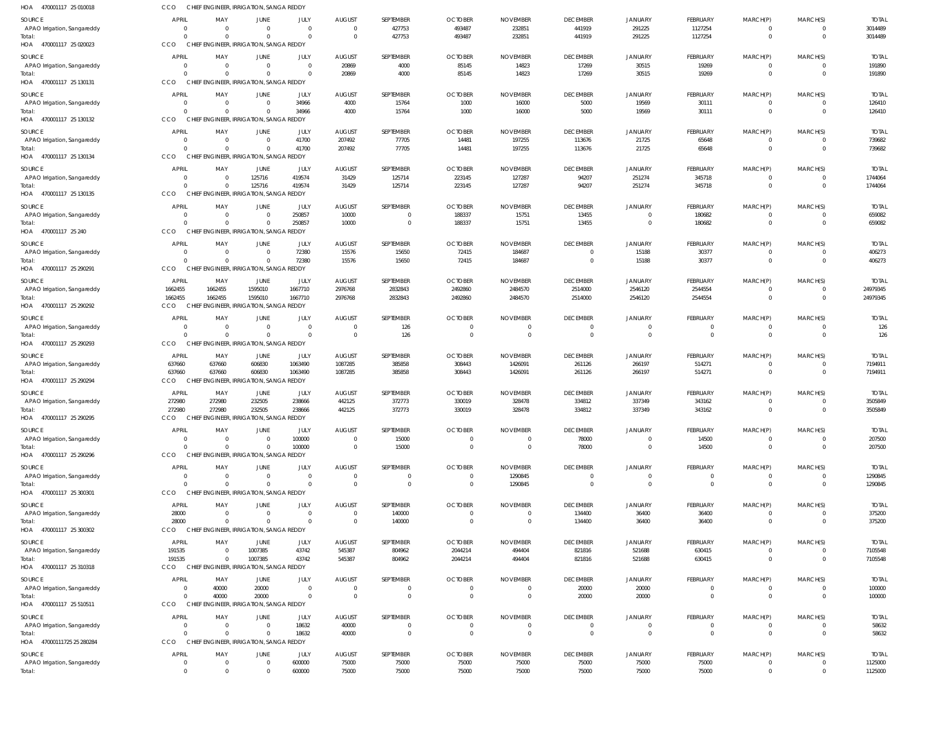| HOA 470001117 25 010018               | CCO                        |                            | CHIEF ENGINEER, IRRIGATION, SANGA REDDY             |                      |                                            |                      |                                            |                                  |                           |                           |                            |                                  |                            |                         |
|---------------------------------------|----------------------------|----------------------------|-----------------------------------------------------|----------------------|--------------------------------------------|----------------------|--------------------------------------------|----------------------------------|---------------------------|---------------------------|----------------------------|----------------------------------|----------------------------|-------------------------|
| SOURCE                                | <b>APRIL</b>               | MAY                        | <b>JUNE</b>                                         | JULY                 | <b>AUGUST</b>                              | SEPTEMBER            | <b>OCTOBER</b>                             | <b>NOVEMBER</b>                  | <b>DECEMBER</b>           | JANUARY                   | FEBRUARY                   | MARCH(P)                         | MARCH(S)                   | <b>TOTAL</b>            |
| APAO Irrigation, Sangareddy           | $\Omega$                   | $\Omega$                   | $\Omega$                                            | $\Omega$             | $\overline{0}$                             | 427753               | 493487                                     | 232851                           | 441919                    | 291225                    | 1127254                    | $\overline{0}$                   | $\mathbf 0$                | 3014489                 |
| Total:                                | $\Omega$                   | $\Omega$                   | $\Omega$                                            | $\Omega$             | $\overline{0}$                             | 427753               | 493487                                     | 232851                           | 441919                    | 291225                    | 1127254                    | $\overline{0}$                   | $\mathbf 0$                | 3014489                 |
| HOA 470001117 25 020023               | CCO                        |                            | CHIEF ENGINEER, IRRIGATION, SANGA REDDY             |                      |                                            |                      |                                            |                                  |                           |                           |                            |                                  |                            |                         |
| SOURCE                                | APRIL                      | MAY                        | <b>JUNE</b>                                         | JULY                 | <b>AUGUST</b>                              | SEPTEMBER            | <b>OCTOBER</b>                             | <b>NOVEMBER</b>                  | <b>DECEMBER</b>           | <b>JANUARY</b>            | FEBRUARY                   | MARCH(P)                         | MARCH(S)                   | <b>TOTAL</b>            |
| APAO Irrigation, Sangareddy<br>Total: | $\overline{0}$<br>$\Omega$ | $\Omega$<br>$\Omega$       | $\overline{0}$<br>$\Omega$                          | $\Omega$<br>$\Omega$ | 20869<br>20869                             | 4000<br>4000         | 85145<br>85145                             | 14823<br>14823                   | 17269<br>17269            | 30515<br>30515            | 19269<br>19269             | $\overline{0}$<br>$\overline{0}$ | $\mathbf 0$<br>$\mathbf 0$ | 191890<br>191890        |
| HOA 470001117 25 130131               | CCO                        |                            | CHIEF ENGINEER, IRRIGATION, SANGA REDDY             |                      |                                            |                      |                                            |                                  |                           |                           |                            |                                  |                            |                         |
| SOURCE                                | <b>APRIL</b>               | MAY                        | <b>JUNE</b>                                         | JULY                 | <b>AUGUST</b>                              | SEPTEMBER            | <b>OCTOBER</b>                             | <b>NOVEMBER</b>                  | <b>DECEMBER</b>           | JANUARY                   | <b>FEBRUARY</b>            | MARCH(P)                         | MARCH(S)                   | <b>TOTAL</b>            |
| APAO Irrigation, Sangareddy           | $\overline{0}$             | $\overline{0}$             | $\overline{0}$                                      | 34966                | 4000                                       | 15764                | 1000                                       | 16000                            | 5000                      | 19569                     | 30111                      | $\overline{0}$                   | $\Omega$                   | 126410                  |
| Total:                                | $\Omega$                   | $\Omega$                   | $\Omega$                                            | 34966                | 4000                                       | 15764                | 1000                                       | 16000                            | 5000                      | 19569                     | 30111                      | $\overline{0}$                   | $\mathbf 0$                | 126410                  |
| HOA 470001117 25 130132               | CCO                        |                            | CHIEF ENGINEER, IRRIGATION, SANGA REDDY             |                      |                                            |                      |                                            |                                  |                           |                           |                            |                                  |                            |                         |
| SOURCE                                | APRIL                      | MAY                        | JUNE                                                | JULY                 | <b>AUGUST</b>                              | SEPTEMBER            | <b>OCTOBER</b>                             | <b>NOVEMBER</b>                  | <b>DECEMBER</b>           | <b>JANUARY</b>            | FEBRUARY                   | MARCH(P)                         | MARCH(S)                   | <b>TOTAL</b>            |
| APAO Irrigation, Sangareddy           | $\Omega$                   | $\overline{0}$             | $\overline{0}$                                      | 41700                | 207492                                     | 77705                | 14481                                      | 197255                           | 113676                    | 21725                     | 65648                      | $\overline{0}$                   | $\mathbf 0$                | 739682                  |
| Total:<br>HOA 470001117 25 130134     | $\Omega$<br>CCO            | $\Omega$                   | $\Omega$<br>CHIEF ENGINEER, IRRIGATION, SANGA REDDY | 41700                | 207492                                     | 77705                | 14481                                      | 197255                           | 113676                    | 21725                     | 65648                      | $\overline{0}$                   | $\mathbf 0$                | 739682                  |
|                                       |                            |                            |                                                     |                      |                                            |                      |                                            |                                  |                           |                           |                            |                                  |                            |                         |
| SOURCE<br>APAO Irrigation, Sangareddy | APRIL<br>$\Omega$          | MAY<br>$\overline{0}$      | JUNE<br>125716                                      | JULY<br>419574       | <b>AUGUST</b><br>31429                     | SEPTEMBER<br>125714  | <b>OCTOBER</b><br>223145                   | <b>NOVEMBER</b><br>127287        | <b>DECEMBER</b><br>94207  | <b>JANUARY</b><br>251274  | FEBRUARY<br>345718         | MARCH(P)<br>$\Omega$             | MARCH(S)<br>$\mathbf 0$    | <b>TOTAL</b><br>1744064 |
| Total:                                | $\Omega$                   | $\Omega$                   | 125716                                              | 419574               | 31429                                      | 125714               | 223145                                     | 127287                           | 94207                     | 251274                    | 345718                     | $\overline{0}$                   | $\mathbf 0$                | 1744064                 |
| HOA 470001117 25 130135               | CCO                        |                            | CHIEF ENGINEER, IRRIGATION, SANGA REDDY             |                      |                                            |                      |                                            |                                  |                           |                           |                            |                                  |                            |                         |
| SOURCE                                | APRIL                      | MAY                        | <b>JUNE</b>                                         | JULY                 | <b>AUGUST</b>                              | SEPTEMBER            | <b>OCTOBER</b>                             | <b>NOVEMBER</b>                  | <b>DECEMBER</b>           | JANUARY                   | FEBRUARY                   | MARCH(P)                         | MARCH(S)                   | <b>TOTAL</b>            |
| APAO Irrigation, Sangareddy           | $\overline{0}$             | $\overline{0}$             | $\overline{0}$                                      | 250857               | 10000                                      | $\overline{0}$       | 188337                                     | 15751                            | 13455                     | $\mathbf 0$               | 180682                     | $\overline{0}$                   | $\mathbf 0$                | 659082                  |
| Total:                                | $\Omega$                   | $\Omega$                   | $\Omega$                                            | 250857               | 10000                                      | $\mathbf{0}$         | 188337                                     | 15751                            | 13455                     | $\mathbf 0$               | 180682                     | $\overline{0}$                   | $\mathbf 0$                | 659082                  |
| HOA 470001117 25 240                  | CCO                        |                            | CHIEF ENGINEER, IRRIGATION, SANGA REDDY             |                      |                                            |                      |                                            |                                  |                           |                           |                            |                                  |                            |                         |
| SOURCE                                | <b>APRIL</b>               | MAY                        | JUNE                                                | JULY                 | <b>AUGUST</b>                              | SEPTEMBER            | <b>OCTOBER</b>                             | <b>NOVEMBER</b>                  | <b>DECEMBER</b>           | <b>JANUARY</b>            | FEBRUARY                   | MARCH(P)                         | MARCH(S)                   | <b>TOTAL</b>            |
| APAO Irrigation, Sangareddy<br>Total: | $\overline{0}$<br>$\Omega$ | $\overline{0}$<br>$\Omega$ | $\Omega$<br>$\Omega$                                | 72380<br>72380       | 15576<br>15576                             | 15650<br>15650       | 72415<br>72415                             | 184687<br>184687                 | $\Omega$                  | 15188<br>15188            | 30377<br>30377             | $\Omega$<br>$\Omega$             | $\Omega$<br>$\Omega$       | 406273<br>406273        |
| HOA 470001117 25 290291               | CCO                        |                            | CHIEF ENGINEER, IRRIGATION, SANGA REDDY             |                      |                                            |                      |                                            |                                  |                           |                           |                            |                                  |                            |                         |
| SOURCE                                | APRIL                      | MAY                        | JUNE                                                | JULY                 | <b>AUGUST</b>                              | SEPTEMBER            | <b>OCTOBER</b>                             | <b>NOVEMBER</b>                  | <b>DECEMBER</b>           | JANUARY                   | FEBRUARY                   | MARCH(P)                         | MARCH(S)                   | <b>TOTAL</b>            |
| APAO Irrigation, Sangareddy           | 1662455                    | 1662455                    | 1595010                                             | 1667710              | 2976768                                    | 2832843              | 2492860                                    | 2484570                          | 2514000                   | 2546120                   | 2544554                    | $\overline{0}$                   | 0                          | 24979345                |
| Total:                                | 1662455                    | 1662455                    | 1595010                                             | 1667710              | 2976768                                    | 2832843              | 2492860                                    | 2484570                          | 2514000                   | 2546120                   | 2544554                    | $\overline{0}$                   | $\mathbf 0$                | 24979345                |
| HOA 470001117 25 290292               | CCO                        |                            | CHIEF ENGINEER, IRRIGATION, SANGA REDDY             |                      |                                            |                      |                                            |                                  |                           |                           |                            |                                  |                            |                         |
| SOURCE                                | APRIL                      | MAY                        | <b>JUNE</b>                                         | JULY                 | <b>AUGUST</b>                              | SEPTEMBER            | <b>OCTOBER</b>                             | <b>NOVEMBER</b>                  | <b>DECEMBER</b>           | JANUARY                   | FEBRUARY                   | MARCH(P)                         | MARCH(S)                   | <b>TOTAL</b>            |
| APAO Irrigation, Sangareddy           | $\Omega$                   | $\overline{0}$             | $\Omega$                                            | $\Omega$             | $\mathbf 0$                                | 126                  | $\overline{0}$                             | $\overline{0}$                   |                           | $\mathbf 0$               | $\Omega$                   | $\Omega$                         | $\Omega$                   | 126                     |
| Total:<br>HOA 470001117 25 290293     | $\Omega$<br>CCO            | $\Omega$                   | $\Omega$<br>CHIEF ENGINEER, IRRIGATION, SANGA REDDY | $\Omega$             | $\overline{0}$                             | 126                  | $\Omega$                                   | $\overline{0}$                   | $\Omega$                  | $\Omega$                  | $\overline{0}$             | $\Omega$                         | $\Omega$                   | 126                     |
|                                       |                            |                            |                                                     |                      |                                            |                      |                                            |                                  |                           |                           |                            |                                  |                            |                         |
| SOURCE<br>APAO Irrigation, Sangareddy | APRIL<br>637660            | MAY<br>637660              | JUNE<br>606830                                      | JULY<br>1063490      | <b>AUGUST</b><br>1087285                   | SEPTEMBER<br>385858  | <b>OCTOBER</b><br>308443                   | <b>NOVEMBER</b><br>1426091       | <b>DECEMBER</b><br>261126 | JANUARY<br>266197         | FEBRUARY<br>514271         | MARCH(P)<br>$\Omega$             | MARCH(S)<br>$\mathbf 0$    | <b>TOTAL</b><br>7194911 |
| Total:                                | 637660                     | 637660                     | 606830                                              | 1063490              | 1087285                                    | 385858               | 308443                                     | 1426091                          | 261126                    | 266197                    | 514271                     | $\overline{0}$                   | $\mathbf 0$                | 7194911                 |
| HOA 470001117 25 290294               | CCO                        |                            | CHIEF ENGINEER, IRRIGATION, SANGA REDDY             |                      |                                            |                      |                                            |                                  |                           |                           |                            |                                  |                            |                         |
| SOURCE                                | APRIL                      | MAY                        | JUNE                                                | JULY                 | <b>AUGUST</b>                              | SEPTEMBER            | <b>OCTOBER</b>                             | <b>NOVEMBER</b>                  | <b>DECEMBER</b>           | JANUARY                   | FEBRUARY                   | MARCH(P)                         | MARCH(S)                   | <b>TOTAL</b>            |
| APAO Irrigation, Sangareddy           | 272980                     | 272980                     | 232505                                              | 238666               | 442125                                     | 372773               | 330019                                     | 328478                           | 334812                    | 337349                    | 343162                     | $\Omega$                         | $\Omega$                   | 3505849                 |
| Total:                                | 272980                     | 272980                     | 232505                                              | 238666               | 442125                                     | 372773               | 330019                                     | 328478                           | 334812                    | 337349                    | 343162                     | $\Omega$                         | $\Omega$                   | 3505849                 |
| HOA 470001117 25 290295               | <b>CCO</b>                 |                            | CHIEF ENGINEER, IRRIGATION, SANGA REDDY             |                      |                                            |                      |                                            |                                  |                           |                           |                            |                                  |                            |                         |
| SOURCE                                | APRIL                      | MAY                        | <b>JUNE</b>                                         | JULY                 | <b>AUGUST</b>                              | SEPTEMBER            | <b>OCTOBER</b>                             | <b>NOVEMBER</b>                  | <b>DECEMBER</b>           | JANUARY                   | FEBRUARY                   | MARCH(P)                         | MARCH(S)                   | <b>TOTAL</b>            |
| APAO Irrigation, Sangareddy<br>Total: | $\Omega$<br>$\Omega$       | $\overline{0}$<br>$\Omega$ | $\overline{0}$<br>$\Omega$                          | 100000<br>100000     | $\overline{0}$<br>$\overline{\phantom{0}}$ | 15000<br>15000       | $\overline{\phantom{0}}$<br>$\overline{0}$ | $\overline{0}$<br>$\overline{0}$ | 78000<br>78000            | $^{\circ}$<br>$\mathbf 0$ | 14500<br>14500             | 0<br>$\overline{0}$              | 0<br>$\mathbf{0}$          | 207500<br>207500        |
| HOA 470001117 25 290296               | CCO                        |                            | CHIEF ENGINEER, IRRIGATION, SANGA REDDY             |                      |                                            |                      |                                            |                                  |                           |                           |                            |                                  |                            |                         |
| SOURCE                                | <b>APRIL</b>               | MAY                        | <b>JUNE</b>                                         | JULY                 | <b>AUGUST</b>                              | SEPTEMBER            | <b>OCTOBER</b>                             | <b>NOVEMBER</b>                  | <b>DECEMBER</b>           | <b>JANUARY</b>            | FEBRUARY                   | MARCH(P)                         | MARCH(S)                   | <b>TOTAL</b>            |
| APAO Irrigation, Sangareddy           | $\overline{0}$             | $\overline{0}$             | $\overline{0}$                                      | $\Omega$             | $\overline{0}$                             | $\overline{0}$       | $\overline{\phantom{0}}$                   | 1290845                          |                           | $\mathbf 0$               | $\overline{0}$             | $\overline{0}$                   | 0                          | 1290845                 |
| Total:                                | $\Omega$                   | $\Omega$                   | $\Omega$                                            | $\Omega$             | $\Omega$                                   | $\Omega$             | $\overline{0}$                             | 1290845                          | $\Omega$                  | $\Omega$                  | $\overline{0}$             | $\Omega$                         | $\Omega$                   | 1290845                 |
| HOA 470001117 25 300301               | CCO                        |                            | CHIEF ENGINEER, IRRIGATION, SANGA REDDY             |                      |                                            |                      |                                            |                                  |                           |                           |                            |                                  |                            |                         |
| SOURCE                                | <b>APRIL</b>               | MAY                        | JUNE                                                | JULY                 | <b>AUGUST</b>                              | SEPTEMBER            | <b>OCTOBER</b>                             | <b>NOVEMBER</b>                  | <b>DECEMBER</b>           | JANUARY                   | FEBRUARY                   | MARCH(P)                         | MARCH(S)                   | <b>TOTAL</b>            |
| APAO Irrigation, Sangareddy           | 28000                      | $\overline{0}$             | $\Omega$                                            | $\Omega$             | $\overline{0}$                             | 140000               | $\overline{\mathbf{0}}$                    | $\overline{0}$                   | 134400                    | 36400                     | 36400                      | $\overline{0}$                   | $\mathbf 0$                | 375200                  |
| Total:<br>HOA 470001117 25 300302     | 28000<br>CCO               | $\Omega$                   | $\Omega$<br>CHIEF ENGINEER, IRRIGATION, SANGA REDDY | $\Omega$             | $\overline{\phantom{0}}$                   | 140000               | $\overline{0}$                             | $\overline{0}$                   | 134400                    | 36400                     | 36400                      | $\overline{0}$                   | $\mathbf 0$                | 375200                  |
|                                       |                            |                            |                                                     |                      |                                            |                      |                                            |                                  |                           |                           |                            |                                  |                            |                         |
| SOURCE<br>APAO Irrigation, Sangareddy | APRIL<br>191535            | MAY<br>$\Omega$            | JUNE<br>1007385                                     | JULY<br>43742        | <b>AUGUST</b><br>545387                    | SEPTEMBER<br>804962  | <b>OCTOBER</b><br>2044214                  | <b>NOVEMBER</b><br>494404        | <b>DECEMBER</b><br>821816 | JANUARY<br>521688         | FEBRUARY<br>630415         | MARCH(P)<br>$\Omega$             | MARCH(S)<br>$\Omega$       | <b>TOTAL</b><br>7105548 |
| Total:                                | 191535                     | $\overline{0}$             | 1007385                                             | 43742                | 545387                                     | 804962               | 2044214                                    | 494404                           | 821816                    | 521688                    | 630415                     | $\overline{0}$                   | $\mathbf{0}$               | 7105548                 |
| HOA 470001117 25 310318               | CCO                        |                            | CHIEF ENGINEER, IRRIGATION, SANGA REDDY             |                      |                                            |                      |                                            |                                  |                           |                           |                            |                                  |                            |                         |
| SOURCE                                | <b>APRIL</b>               | MAY                        | <b>JUNE</b>                                         | JULY                 | <b>AUGUST</b>                              | SEPTEMBER            | <b>OCTOBER</b>                             | <b>NOVEMBER</b>                  | <b>DECEMBER</b>           | <b>JANUARY</b>            | FEBRUARY                   | MARCH(P)                         | MARCH(S)                   | <b>TOTAL</b>            |
| APAO Irrigation, Sangareddy           | $\overline{0}$             | 40000                      | 20000                                               | $\Omega$             | $\overline{0}$                             | $\overline{0}$       | $\overline{\phantom{0}}$                   | $\overline{0}$                   | 20000                     | 20000                     | $\overline{0}$             | 0                                | 0                          | 100000                  |
| Total:                                | $\Omega$                   | 40000                      | 20000                                               | $\Omega$             | $\overline{0}$                             | $\Omega$             | $\overline{0}$                             | $\overline{0}$                   | 20000                     | 20000                     | $\overline{0}$             | $\overline{0}$                   | $\mathbf 0$                | 100000                  |
| HOA 470001117 25 510511               | CCO                        |                            | CHIEF ENGINEER, IRRIGATION, SANGA REDDY             |                      |                                            |                      |                                            |                                  |                           |                           |                            |                                  |                            |                         |
| SOURCE                                | <b>APRIL</b>               | MAY                        | JUNE                                                | JULY                 | <b>AUGUST</b>                              | SEPTEMBER            | <b>OCTOBER</b>                             | <b>NOVEMBER</b>                  | <b>DECEMBER</b>           | <b>JANUARY</b>            | FEBRUARY                   | MARCH(P)                         | MARCH(S)                   | <b>TOTAL</b>            |
| APAO Irrigation, Sangareddy<br>Total: | $\Omega$<br>$\Omega$       | $\overline{0}$<br>$\Omega$ | $\overline{0}$<br>$\Omega$                          | 18632<br>18632       | 40000<br>40000                             | $\Omega$<br>$\Omega$ | $\overline{0}$<br>$\overline{0}$           | $\mathbf 0$<br>$\Omega$          | $\Omega$<br>$\Omega$      | $^{\circ}$<br>$\Omega$    | $\overline{0}$<br>$\Omega$ | $\overline{0}$<br>$\Omega$       | 0<br>$\Omega$              | 58632<br>58632          |
| HOA 47000111725 25 280284             | <b>CCO</b>                 |                            | CHIEF ENGINEER, IRRIGATION, SANGA REDDY             |                      |                                            |                      |                                            |                                  |                           |                           |                            |                                  |                            |                         |
| SOURCE                                | <b>APRIL</b>               | MAY                        | JUNE                                                | JULY                 | <b>AUGUST</b>                              | SEPTEMBER            | <b>OCTOBER</b>                             | <b>NOVEMBER</b>                  | <b>DECEMBER</b>           | JANUARY                   | FEBRUARY                   | MARCH(P)                         | MARCH(S)                   | <b>TOTAL</b>            |
| APAO Irrigation, Sangareddy           | $\overline{0}$             | $\overline{0}$             | $\overline{0}$                                      | 600000               | 75000                                      | 75000                | 75000                                      | 75000                            | 75000                     | 75000                     | 75000                      | $\overline{0}$                   | $\mathbf 0$                | 1125000                 |
| Total:                                | $\Omega$                   | $\Omega$                   | $\Omega$                                            | 600000               | 75000                                      | 75000                | 75000                                      | 75000                            | 75000                     | 75000                     | 75000                      | $\Omega$                         | $\Omega$                   | 1125000                 |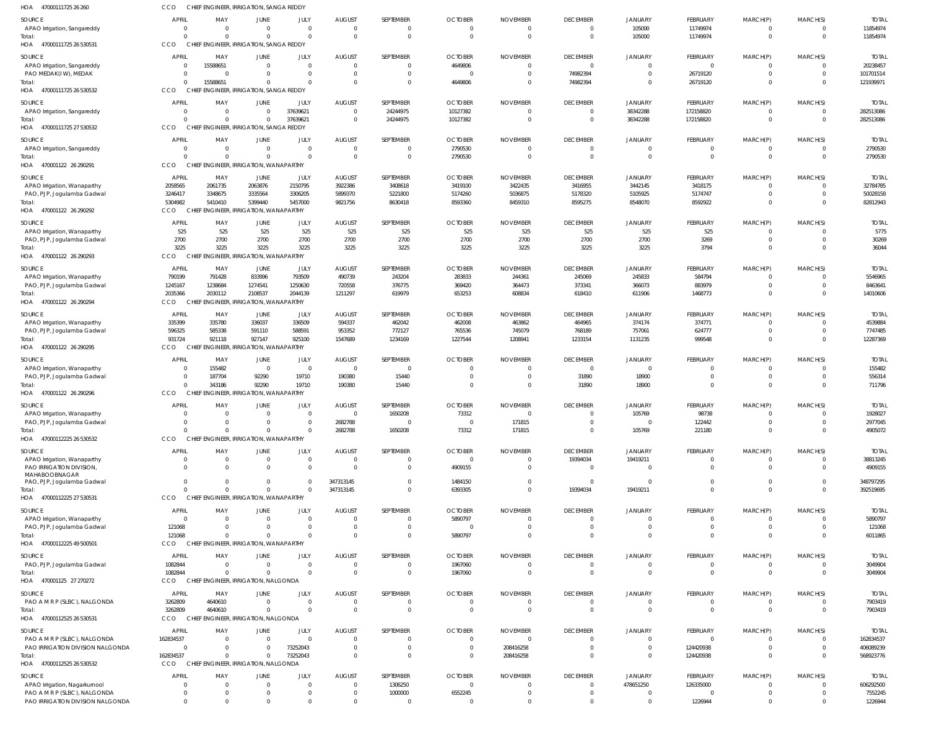| HOA 47000111725 26 260                                        | CCO                        | CHIEF ENGINEER, IRRIGATION, SANGA REDDY         |                                  |                         |                                 |                                |                              |                             |                                   |                             |                               |                            |                      |                           |
|---------------------------------------------------------------|----------------------------|-------------------------------------------------|----------------------------------|-------------------------|---------------------------------|--------------------------------|------------------------------|-----------------------------|-----------------------------------|-----------------------------|-------------------------------|----------------------------|----------------------|---------------------------|
| SOURCE                                                        | <b>APRIL</b>               | MAY                                             | <b>JUNE</b>                      | JULY                    | <b>AUGUST</b>                   | SEPTEMBER                      | <b>OCTOBER</b>               | <b>NOVEMBER</b>             | <b>DECEMBER</b>                   | JANUARY                     | FEBRUARY                      | MARCH(P)                   | MARCH(S)             | <b>TOTAI</b>              |
| APAO Irrigation, Sangareddy                                   | $\Omega$                   | - 0                                             | $\overline{0}$                   | $\Omega$                | $\overline{0}$                  | $\mathbf{0}$                   | $\Omega$                     | $\Omega$                    | $\overline{0}$                    | 105000                      | 11749974                      | $\mathbf 0$                | $\Omega$             | 11854974                  |
| Total:<br>47000111725 26 530531<br>HOA                        | CCO                        | CHIEF ENGINEER, IRRIGATION, SANGA REDDY         | $\Omega$                         | $\Omega$                | $\Omega$                        | $\Omega$                       | $\Omega$                     | $\Omega$                    | $\overline{0}$                    | 105000                      | 11749974                      | $\mathbf 0$                | $\Omega$             | 11854974                  |
|                                                               |                            |                                                 |                                  |                         |                                 |                                |                              |                             |                                   |                             |                               |                            |                      |                           |
| SOURCE<br>APAO Irrigation, Sangareddy                         | <b>APRIL</b><br>$\Omega$   | MAY<br>15588651                                 | <b>JUNE</b><br>$\overline{0}$    | JULY<br>$\overline{0}$  | <b>AUGUST</b><br>$\Omega$       | SEPTEMBER<br>$\overline{0}$    | <b>OCTOBER</b><br>4649806    | <b>NOVEMBER</b><br>$\Omega$ | <b>DECEMBER</b><br>$\overline{0}$ | JANUARY<br>$\Omega$         | FEBRUARY<br>$\overline{0}$    | MARCH(P)<br>$\mathbf 0$    | MARCH(S)<br>$\Omega$ | <b>TOTAI</b><br>20238457  |
| PAO MEDAK(IW), MEDAK                                          | $\Omega$                   | $\Omega$                                        | $\overline{0}$                   | $\overline{0}$          | $\Omega$                        | $\mathbf{0}$                   | $\Omega$                     |                             | 74982394                          | $\Omega$                    | 26719120                      | $\mathbf 0$                | $\Omega$             | 101701514                 |
| Total:                                                        | - 0                        | 15588651                                        | $\Omega$                         | $\Omega$                | $\Omega$                        | $\mathbf{0}$                   | 4649806                      |                             | 74982394                          | $\Omega$                    | 26719120                      | $\mathbf{0}$               | $\Omega$             | 121939971                 |
| HOA 47000111725 26 530532                                     | CCO                        | CHIEF ENGINEER, IRRIGATION, SANGA REDDY         |                                  |                         |                                 |                                |                              |                             |                                   |                             |                               |                            |                      |                           |
| SOURCE                                                        | <b>APRIL</b>               | MAY                                             | <b>JUNE</b>                      | JULY                    | <b>AUGUST</b><br>$\Omega$       | SEPTEMBER                      | <b>OCTOBER</b>               | <b>NOVEMBER</b>             | <b>DECEMBER</b>                   | JANUARY                     | FEBRUARY                      | MARCH(P)                   | MARCH(S)             | <b>TOTAI</b>              |
| APAO Irrigation, Sangareddy<br>Total:                         | $\Omega$                   | $\Omega$<br>$\Omega$                            | $\overline{0}$<br>$\Omega$       | 37639621<br>37639621    | $\overline{0}$                  | 24244975<br>24244975           | 10127382<br>10127382         | $\Omega$                    | $\overline{0}$<br>$\overline{0}$  | 38342288<br>38342288        | 172158820<br>172158820        | $\mathbf 0$<br>$\mathbf 0$ | $\Omega$<br>$\Omega$ | 282513086<br>282513086    |
| 47000111725 27 530532<br>HOA                                  | CCO                        | CHIEF ENGINEER, IRRIGATION, SANGA REDDY         |                                  |                         |                                 |                                |                              |                             |                                   |                             |                               |                            |                      |                           |
| SOURCE                                                        | <b>APRIL</b>               | MAY                                             | <b>JUNE</b>                      | JULY                    | <b>AUGUST</b>                   | SEPTEMBER                      | <b>OCTOBER</b>               | <b>NOVEMBER</b>             | <b>DECEMBER</b>                   | JANUARY                     | FEBRUARY                      | MARCH(P)                   | MARCH(S)             | <b>TOTAL</b>              |
| APAO Irrigation, Sangareddy                                   | - 0                        | - 0                                             | $\overline{0}$                   | $\mathbf 0$             | $\overline{0}$                  | $\mathbf 0$                    | 2790530                      | $\Omega$                    | $\overline{\mathbf{0}}$           | $\overline{0}$              | $\overline{0}$                | $\mathbf 0$                | $\Omega$             | 2790530                   |
| Total:<br>470001122 26 290291<br>HOA                          | CCO                        | CHIEF ENGINEER, IRRIGATION, WANAPARTHY          | $\Omega$                         | $\Omega$                | $\Omega$                        | $\mathbf{0}$                   | 2790530                      | - 0                         | $\overline{0}$                    | $\overline{0}$              | $\overline{0}$                | $\mathbf 0$                | $\Omega$             | 2790530                   |
|                                                               |                            |                                                 |                                  |                         |                                 |                                |                              |                             |                                   |                             |                               |                            |                      |                           |
| SOURCE<br>APAO Irrigation, Wanaparthy                         | <b>APRIL</b><br>2058565    | MAY<br>2061735                                  | JUNE<br>2063876                  | JULY<br>2150795         | <b>AUGUST</b><br>3922386        | SEPTEMBER<br>3408618           | <b>OCTOBER</b><br>3419100    | <b>NOVEMBER</b><br>3422435  | <b>DECEMBER</b><br>3416955        | JANUARY<br>3442145          | FEBRUARY<br>3418175           | MARCH(P)<br>$\Omega$       | MARCH(S)             | <b>TOTAI</b><br>32784785  |
| PAO, PJP, Jogulamba Gadwal                                    | 3246417                    | 3348675                                         | 3335564                          | 3306205                 | 5899370                         | 5221800                        | 5174260                      | 5036875                     | 5178320                           | 5105925                     | 5174747                       | $\mathbf 0$                | $\Omega$             | 50028158                  |
| Total:                                                        | 5304982                    | 5410410                                         | 5399440                          | 5457000                 | 9821756                         | 8630418                        | 8593360                      | 8459310                     | 8595275                           | 8548070                     | 8592922                       | $\Omega$                   | $\Omega$             | 82812943                  |
| HOA<br>470001122 26 290292                                    | CCO                        | CHIEI                                           | ENGINEER, IRRIGATION, WANAPARTHY |                         |                                 |                                |                              |                             |                                   |                             |                               |                            |                      |                           |
| SOURCE                                                        | <b>APRIL</b><br>525        | MAY<br>525                                      | JUNE<br>525                      | JULY<br>525             | <b>AUGUST</b><br>525            | SEPTEMBER<br>525               | <b>OCTOBER</b><br>525        | <b>NOVEMBER</b><br>525      | <b>DECEMBER</b><br>525            | <b>JANUARY</b><br>525       | FEBRUARY<br>525               | MARCH(P)<br>$\mathbf 0$    | MARCH(S)<br>$\Omega$ | <b>TOTAI</b><br>5775      |
| APAO Irrigation, Wanaparthy<br>PAO, PJP, Jogulamba Gadwal     | 2700                       | 2700                                            | 2700                             | 2700                    | 2700                            | 2700                           | 2700                         | 2700                        | 2700                              | 2700                        | 3269                          | $\mathbf 0$                | $\Omega$             | 30269                     |
| Total:                                                        | 3225                       | 3225                                            | 3225                             | 3225                    | 3225                            | 3225                           | 3225                         | 3225                        | 3225                              | 3225                        | 3794                          | $\mathbf{0}$               | $\Omega$             | 36044                     |
| HOA 470001122 26 290293                                       | CCO                        | CHIEF ENGINEER, IRRIGATION, WANAPARTHY          |                                  |                         |                                 |                                |                              |                             |                                   |                             |                               |                            |                      |                           |
| SOURCE                                                        | <b>APRIL</b>               | MAY                                             | JUNE                             | JULY                    | <b>AUGUST</b>                   | SEPTEMBER                      | <b>OCTOBER</b>               | <b>NOVEMBER</b>             | <b>DECEMBER</b>                   | <b>JANUARY</b>              | FEBRUARY                      | MARCH(P)                   | MARCH(S)             | <b>TOTAI</b>              |
| APAO Irrigation, Wanaparthy<br>PAO, PJP, Jogulamba Gadwal     | 790199<br>1245167          | 791428<br>1238684                               | 833996<br>1274541                | 793509<br>1250630       | 490739<br>720558                | 243204<br>376775               | 283833<br>369420             | 244361<br>364473            | 245069<br>373341                  | 245833<br>366073            | 584794<br>883979              | $\mathbf 0$<br>$\mathbf 0$ |                      | 5546965<br>8463641        |
| Total:                                                        | 2035366                    | 2030112                                         | 2108537                          | 2044139                 | 1211297                         | 619979                         | 653253                       | 608834                      | 618410                            | 611906                      | 1468773                       | $\mathbf{0}$               | $\Omega$             | 14010606                  |
| HOA 470001122 26 290294                                       | CCO                        | CHIEF ENGINEER, IRRIGATION, WANAPARTHY          |                                  |                         |                                 |                                |                              |                             |                                   |                             |                               |                            |                      |                           |
| SOURCE                                                        | <b>APRIL</b>               | MAY                                             | JUNE                             | JULY                    | <b>AUGUST</b>                   | SEPTEMBER                      | <b>OCTOBER</b>               | <b>NOVEMBER</b>             | <b>DECEMBER</b>                   | <b>JANUARY</b>              | FEBRUARY                      | MARCH(P)                   | MARCH(S)             | <b>TOTAL</b>              |
| APAO Irrigation, Wanaparthy<br>PAO, PJP, Jogulamba Gadwal     | 335399<br>596325           | 335780<br>585338                                | 336037<br>591110                 | 336509<br>588591        | 594337<br>953352                | 462042<br>772127               | 462008<br>765536             | 463862<br>745079            | 464965<br>768189                  | 374174<br>757061            | 374771<br>624777              | $\mathbf 0$<br>$\mathbf 0$ | $\Omega$<br>$\Omega$ | 4539884<br>7747485        |
| Total:                                                        | 931724                     | 921118                                          | 927147                           | 925100                  | 1547689                         | 1234169                        | 1227544                      | 1208941                     | 1233154                           | 1131235                     | 999548                        | $\mathbf{0}$               | $\Omega$             | 12287369                  |
| HOA 470001122 26 290295                                       | CCO                        | CHIEF ENGINEER, IRRIGATION, WANAPARTHY          |                                  |                         |                                 |                                |                              |                             |                                   |                             |                               |                            |                      |                           |
| SOURCE                                                        | <b>APRIL</b>               | MAY                                             | JUNE                             | JULY                    | <b>AUGUST</b>                   | SEPTEMBER                      | <b>OCTOBER</b>               | <b>NOVEMBER</b>             | <b>DECEMBER</b>                   | JANUARY                     | FEBRUARY                      | MARCH(P)                   | MARCH(S)             | <b>TOTAI</b>              |
| APAO Irrigation, Wanaparthy                                   | -0                         | 155482                                          | $\overline{\mathbf{0}}$          | $\overline{0}$          | $\Omega$                        | $\overline{0}$                 | - 0                          |                             | $\overline{0}$                    | $\Omega$                    | $\Omega$                      | $\Omega$                   |                      | 155482                    |
| PAO, PJP, Jogulamba Gadwal<br>Total:                          | $\overline{0}$<br>$\Omega$ | 187704<br>343186                                | 92290<br>92290                   | 19710<br>19710          | 190380<br>190380                | 15440<br>15440                 | $\Omega$<br>$\Omega$         | $\Omega$                    | 31890<br>31890                    | 18900<br>18900              | $\mathbf 0$<br>$\overline{0}$ | $\mathbf 0$<br>$\mathbf 0$ | $\Omega$             | 556314<br>711796          |
| HOA 470001122 26 290296                                       | CCO                        | CHIEF ENGINEER, IRRIGATION, WANAPARTHY          |                                  |                         |                                 |                                |                              |                             |                                   |                             |                               |                            |                      |                           |
| SOURCE                                                        | <b>APRIL</b>               | MAY                                             | <b>JUNE</b>                      | JULY                    | <b>AUGUST</b>                   | SEPTEMBER                      | <b>OCTOBER</b>               | <b>NOVEMBER</b>             | <b>DECEMBER</b>                   | <b>JANUARY</b>              | FEBRUARY                      | MARCH(P)                   | MARCH(S)             | <b>TOTAL</b>              |
| APAO Irrigation, Wanaparthy                                   |                            |                                                 | $\cap$                           | $\Omega$                |                                 | 1650208                        | 73312                        |                             | $\cap$                            | 105769                      | 98738                         |                            |                      | 1928027                   |
| PAO, PJP, Jogulamba Gadwal<br>Total:                          |                            |                                                 | $\mathbf 0$<br>$\Omega$          | $\mathbf 0$<br>$\Omega$ | 2682788<br>2682788              | $\overline{0}$<br>1650208      | $\Omega$<br>73312            | 171815<br>171815            | $\mathbf 0$<br>$\overline{0}$     | $\overline{0}$<br>105769    | 122442<br>221180              | 0<br>$\mathbf{0}$          | $\Omega$             | 2977045<br>4905072        |
| HOA 47000112225 26 530532                                     | CCO                        | CHIEF ENGINEER, IRRIGATION, WANAPARTHY          |                                  |                         |                                 |                                |                              |                             |                                   |                             |                               |                            |                      |                           |
| SOURCE                                                        | <b>APRIL</b>               | MAY                                             | <b>JUNE</b>                      | JULY                    | <b>AUGUST</b>                   | SEPTEMBER                      | <b>OCTOBER</b>               | <b>NOVEMBER</b>             | <b>DECEMBER</b>                   | <b>JANUARY</b>              | FEBRUARY                      | MARCH(P)                   | MARCH(S)             | <b>TOTAL</b>              |
| APAO Irrigation, Wanaparthy                                   | - 0                        | $\Omega$                                        | $\overline{0}$                   | $\mathbf 0$             | $\Omega$                        | $\mathbf{0}$                   | $\Omega$                     |                             | 19394034                          | 19419211                    | $\mathbf 0$                   | $\mathbf 0$                |                      | 38813245                  |
| PAO IRRIGATION DIVISION,<br>MAHABOOBNAGAR                     | $\Omega$                   |                                                 | $\Omega$                         | $\mathbf 0$             | $\Omega$                        | $\overline{0}$                 | 4909155                      |                             | $\overline{0}$                    | $\Omega$                    | $\mathbf 0$                   | $\mathbf 0$                | $\Omega$             | 4909155                   |
| PAO, PJP, Jogulamba Gadwal                                    | $\Omega$                   | $\Omega$                                        | $\overline{0}$                   | 0                       | 347313145                       | $\overline{0}$                 | 1484150                      |                             | $\overline{0}$                    | $\Omega$                    | $\Omega$                      | 0                          |                      | 348797295                 |
| Total:                                                        |                            |                                                 | $\Omega$                         | $\Omega$                | 347313145                       | $\Omega$                       | 6393305                      |                             | 19394034                          | 19419211                    | $\Omega$                      | $\Omega$                   | $\Omega$             | 392519695                 |
| HOA 47000112225 27 530531                                     | CCO                        | CHIEF ENGINEER, IRRIGATION, WANAPARTHY          |                                  |                         |                                 |                                |                              |                             |                                   |                             |                               |                            |                      |                           |
| SOURCE<br>APAO Irrigation, Wanaparthy                         | <b>APRIL</b><br>- 0        | MAY<br>- 0                                      | JUNE<br>$\overline{0}$           | JULY<br>$\mathbf 0$     | <b>AUGUST</b><br>$\overline{0}$ | SEPTEMBER<br>$\overline{0}$    | <b>OCTOBER</b><br>5890797    | <b>NOVEMBER</b>             | <b>DECEMBER</b><br>$\overline{0}$ | JANUARY<br>$\overline{0}$   | FEBRUARY<br>$\mathbf 0$       | MARCH(P)<br>0              | MARCH(S)<br>$\Omega$ | <b>TOTAL</b><br>5890797   |
| PAO, PJP, Jogulamba Gadwal                                    | 121068                     |                                                 | $\mathbf 0$                      | $\mathbf 0$             | $\Omega$                        | $\overline{0}$                 | $\Omega$                     |                             | $\overline{0}$                    | $\Omega$                    | $\mathbf 0$                   | $\mathbf 0$                | $\Omega$             | 121068                    |
| Total:                                                        | 121068                     |                                                 | $\Omega$                         | $\Omega$                | $\Omega$                        | $\mathbf{0}$                   | 5890797                      |                             | $\overline{0}$                    | $\Omega$                    | $\overline{0}$                | $\mathbf{0}$               | $\Omega$             | 6011865                   |
| HOA 47000112225 49 500501                                     | CCO                        | CHIEF ENGINEER, IRRIGATION, WANAPARTHY          |                                  |                         |                                 |                                |                              |                             |                                   |                             |                               |                            |                      |                           |
| SOURCE                                                        | <b>APRIL</b>               | MAY                                             | <b>JUNE</b>                      | JULY                    | <b>AUGUST</b>                   | SEPTEMBER                      | <b>OCTOBER</b>               | <b>NOVEMBER</b>             | <b>DECEMBER</b>                   | JANUARY                     | FEBRUARY                      | MARCH(P)                   | MARCH(S)             | <b>TOTAL</b>              |
| PAO, PJP, Jogulamba Gadwal<br>Total:                          | 1082844<br>1082844         | $\Omega$                                        | $\overline{0}$<br>$\overline{0}$ | $\Omega$<br>$\Omega$    | $\Omega$<br>$\Omega$            | $\mathbf{0}$<br>$\overline{0}$ | 1967060<br>1967060           | $\Omega$                    | $\overline{0}$<br>$\overline{0}$  | $\Omega$<br>$\Omega$        | $\mathbf 0$<br>$\overline{0}$ | $\mathbf 0$<br>$\mathbf 0$ | $\Omega$             | 3049904<br>3049904        |
| HOA 470001125 27 270272                                       | CCO                        | CHIEF ENGINEER, IRRIGATION, NALGONDA            |                                  |                         |                                 |                                |                              |                             |                                   |                             |                               |                            |                      |                           |
| SOURCE                                                        | <b>APRIL</b>               | MAY                                             | JUNE                             | JULY                    | <b>AUGUST</b>                   | SEPTEMBER                      | <b>OCTOBER</b>               | <b>NOVEMBER</b>             | <b>DECEMBER</b>                   | <b>JANUARY</b>              | FEBRUARY                      | MARCH(P)                   | MARCH(S)             | <b>TOTAL</b>              |
| PAO A M R P (SLBC), NALGONDA                                  | 3262809                    | 4640610                                         | $\overline{0}$                   | $\mathbf 0$             | $\overline{0}$                  | $\overline{0}$                 | $\Omega$                     | $\bigcap$                   | $\overline{\mathbf{0}}$           | $\overline{0}$              | $\overline{0}$                | $\mathbf 0$                | $\Omega$             | 7903419                   |
| Total:<br>HOA 47000112525 26 530531                           | 3262809<br>CCO             | 4640610<br>CHIEF ENGINEER, IRRIGATION, NALGONDA | $\mathbf 0$                      | $\mathbf 0$             | $\Omega$                        | $\mathbf{0}$                   | $\Omega$                     | - 0                         | $\overline{0}$                    | $\overline{0}$              | $\overline{0}$                | $\mathbf 0$                | $\Omega$             | 7903419                   |
|                                                               |                            |                                                 |                                  |                         |                                 |                                |                              |                             |                                   |                             |                               |                            |                      |                           |
| SOURCE<br>PAO A M R P (SLBC), NALGONDA                        | <b>APRIL</b><br>162834537  | MAY                                             | JUNE<br>$\overline{0}$           | JULY<br>$\Omega$        | <b>AUGUST</b><br>$\Omega$       | SEPTEMBER<br>$\Omega$          | <b>OCTOBER</b>               | <b>NOVEMBER</b>             | <b>DECEMBER</b><br>$\Omega$       | JANUARY<br>$\overline{0}$   | FEBRUARY<br>$\Omega$          | MARCH(P)                   | MARCH(S)             | <b>TOTAI</b><br>162834537 |
| PAO IRRIGATION DIVISION NALGONDA                              | $\overline{0}$             | $\Omega$                                        | $\overline{0}$                   | 73252043                | $\Omega$                        | $\Omega$                       | $\Omega$                     | 208416258                   | $\Omega$                          | $\Omega$                    | 124420938                     | 0                          |                      | 406089239                 |
| Total:                                                        | 162834537                  | $\Omega$                                        | $\mathbf 0$                      | 73252043                | $\Omega$                        | $\Omega$                       | $\Omega$                     | 208416258                   | $\Omega$                          | $\Omega$                    | 124420938                     | $\mathbf{0}$               | $\Omega$             | 568923776                 |
| HOA 47000112525 26 530532                                     | <b>CCO</b>                 | CHIEF ENGINEER, IRRIGATION, NALGONDA            |                                  |                         |                                 |                                |                              |                             |                                   |                             |                               |                            |                      |                           |
| SOURCE                                                        | <b>APRIL</b><br>-0         | MAY<br>- 0                                      | <b>JUNE</b><br>$\overline{0}$    | JULY<br>$\mathbf 0$     | <b>AUGUST</b><br>$\overline{0}$ | SEPTEMBER<br>1306250           | <b>OCTOBER</b><br>$^{\circ}$ | <b>NOVEMBER</b>             | <b>DECEMBER</b><br>$\overline{0}$ | <b>JANUARY</b><br>478651250 | FEBRUARY<br>126335000         | MARCH(P)<br>$\mathbf 0$    | MARCH(S)<br>$\Omega$ | <b>TOTAL</b><br>606292500 |
| APAO Irrigation, Nagarkurnool<br>PAO A M R P (SLBC), NALGONDA | - 0                        | - 0                                             | 0                                | $\mathbf 0$             | $\overline{0}$                  | 1000000                        | 6552245                      |                             | $\overline{0}$                    | $\mathbf{0}$                | - 0                           | $\mathbf 0$                | $\Omega$             | 7552245                   |
| PAO IRRIGATION DIVISION NALGONDA                              | $\Omega$                   | $\Omega$                                        | $\Omega$                         | $\mathbf 0$             | $\Omega$                        | $\overline{0}$                 | $\Omega$                     |                             | $\overline{0}$                    | $\overline{0}$              | 1226944                       | $\mathbf 0$                | $\Omega$             | 1226944                   |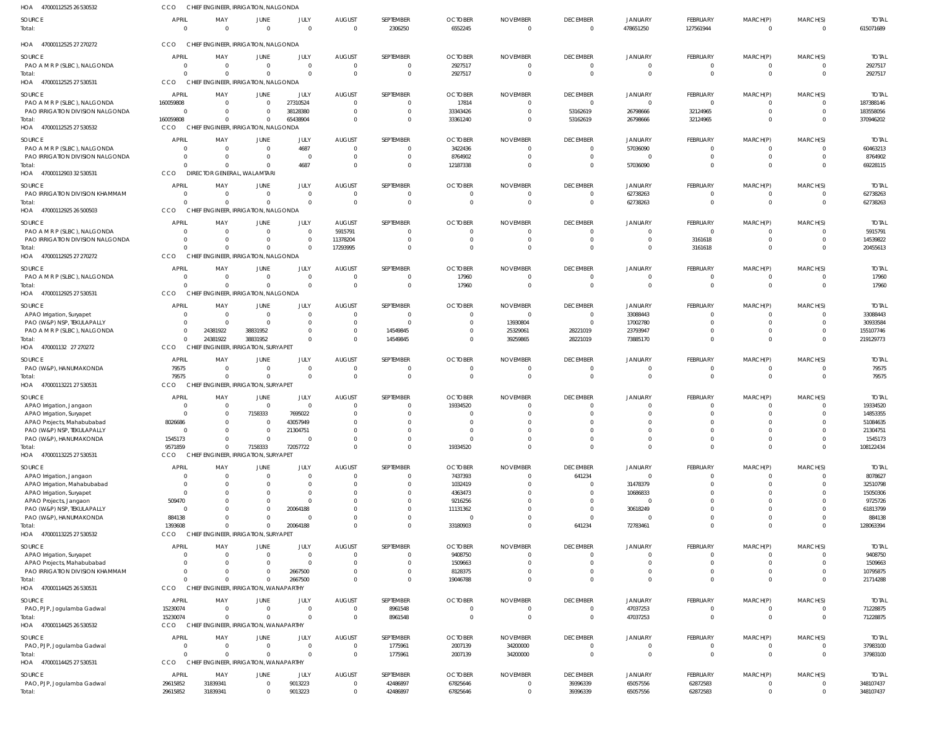| HOA<br>47000112525 26 530532                                  | CCO                         | CHIEF ENGINEER, IRRIGATION, NALGONDA             |                                  |                      |                                  |                               |                                  |                                   |                             |                            |                      |                  |                      |                         |
|---------------------------------------------------------------|-----------------------------|--------------------------------------------------|----------------------------------|----------------------|----------------------------------|-------------------------------|----------------------------------|-----------------------------------|-----------------------------|----------------------------|----------------------|------------------|----------------------|-------------------------|
| SOURCE                                                        | <b>APRIL</b>                | MAY                                              | <b>JUNE</b>                      | JULY                 | <b>AUGUST</b>                    | SEPTEMBER                     | <b>OCTOBER</b>                   | <b>NOVEMBER</b>                   | <b>DECEMBER</b>             | <b>JANUARY</b>             | FEBRUARY             | MARCH(P)         | MARCH(S)             | <b>TOTAL</b>            |
| Total:                                                        | $\overline{0}$              | $\overline{0}$                                   | $\overline{0}$                   | $\Omega$             | $\overline{0}$                   | 2306250                       | 6552245                          | $\overline{\mathbf{0}}$           | $\overline{0}$              | 478651250                  | 127561944            | 0                | $\Omega$             | 615071689               |
| HOA 47000112525 27 270272                                     | CCO                         | CHIEF ENGINEER, IRRIGATION, NALGONDA             |                                  |                      |                                  |                               |                                  |                                   |                             |                            |                      |                  |                      |                         |
|                                                               | <b>APRIL</b>                |                                                  |                                  |                      |                                  |                               |                                  |                                   |                             |                            |                      |                  |                      |                         |
| SOURCE<br>PAO A M R P (SLBC), NALGONDA                        | $\Omega$                    | MAY<br>$\overline{0}$                            | JUNE<br>$\overline{0}$           | JULY<br>$\Omega$     | <b>AUGUST</b><br>$\overline{0}$  | SEPTEMBER<br>$\overline{0}$   | <b>OCTOBER</b><br>2927517        | <b>NOVEMBER</b><br>$\overline{0}$ | <b>DECEMBER</b><br>$\Omega$ | <b>JANUARY</b><br>$\Omega$ | <b>FEBRUARY</b><br>0 | MARCH(P)         | MARCH(S)<br>$\Omega$ | <b>TOTAL</b><br>2927517 |
| Total:                                                        | $\Omega$                    | - 0                                              | $\Omega$                         | $\Omega$             | $\overline{0}$                   | $\mathbf{0}$                  | 2927517                          | $\overline{0}$                    | $\Omega$                    | $\Omega$                   | $\mathbf 0$          | $\overline{0}$   | $\Omega$             | 2927517                 |
| HOA 47000112525 27 53053                                      | CCO                         | CHIEF ENGINEER, IRRIGATION, NALGONDA             |                                  |                      |                                  |                               |                                  |                                   |                             |                            |                      |                  |                      |                         |
| SOURCE                                                        | <b>APRIL</b>                | MAY                                              | <b>JUNE</b>                      | JULY                 | <b>AUGUST</b>                    | SEPTEMBER                     | <b>OCTOBER</b>                   | <b>NOVEMBER</b>                   | <b>DECEMBER</b>             | <b>JANUARY</b>             | <b>FEBRUARY</b>      | MARCH(P)         | MARCH(S)             | <b>TOTAI</b>            |
| PAO A M R P (SLBC), NALGONDA                                  | 160059808                   | $\overline{0}$                                   | $\overline{0}$                   | 27310524             | 0                                | $\mathbf{0}$                  | 17814                            | $\Omega$                          | $\Omega$                    |                            | $\Omega$             |                  |                      | 187388146               |
| PAO IRRIGATION DIVISION NALGONDA<br>Total:                    | $\overline{0}$<br>160059808 | $\Omega$<br>$\Omega$                             | $\overline{0}$<br>$\overline{0}$ | 38128380<br>65438904 | $\overline{0}$<br>$\Omega$       | $\Omega$<br>$\Omega$          | 33343426<br>33361240             | $\circ$<br>$\Omega$               | 53162619<br>53162619        | 26798666<br>26798666       | 32124965<br>32124965 | 0<br>0           | $\Omega$             | 183558056<br>370946202  |
| HOA 47000112525 27 530532                                     | <b>CCO</b>                  | CHIEF ENGINEER, IRRIGATION, NALGONDA             |                                  |                      |                                  |                               |                                  |                                   |                             |                            |                      |                  |                      |                         |
| SOURCE                                                        | <b>APRIL</b>                | MAY                                              | JUNE                             | JULY                 | <b>AUGUST</b>                    | SEPTEMBER                     | <b>OCTOBER</b>                   | <b>NOVEMBER</b>                   | <b>DECEMBER</b>             | JANUARY                    | <b>FEBRUARY</b>      | MARCH(P)         | MARCH(S)             | <b>TOTAL</b>            |
| PAO A M R P (SLBC), NALGONDA                                  | $\Omega$                    | $\overline{0}$                                   | $\overline{0}$                   | 4687                 | 0                                | $\overline{0}$                | 3422436                          | - 0                               | $\Omega$                    | 57036090                   | 0                    |                  |                      | 60463213                |
| PAO IRRIGATION DIVISION NALGONDA                              | $\Omega$                    | 0                                                | 0                                | $\Omega$             | $\overline{0}$                   | $\mathbf{0}$                  | 8764902                          | - 0                               | $\Omega$                    |                            |                      | $\Omega$         |                      | 8764902                 |
| Total:                                                        | $\Omega$                    | $\Omega$                                         | $\Omega$                         | 4687                 | $\Omega$                         | $\Omega$                      | 12187338                         | $\Omega$                          | $\Omega$                    | 57036090                   | $\Omega$             | $\Omega$         | $\Omega$             | 69228115                |
| HOA 47000112903 32 530531                                     | CCO                         | DIRECTOR GENERAL, WALAMTARI                      |                                  |                      |                                  |                               |                                  |                                   |                             |                            |                      |                  |                      |                         |
| SOURCE                                                        | <b>APRIL</b>                | MAY                                              | JUNE                             | JULY                 | <b>AUGUST</b>                    | SEPTEMBER                     | <b>OCTOBER</b>                   | <b>NOVEMBER</b>                   | <b>DECEMBER</b>             | <b>JANUARY</b>             | FEBRUARY             | MARCH(P)         | MARCH(S)             | <b>TOTAL</b>            |
| PAO IRRIGATION DIVISION KHAMMAM<br>Total:                     | $\Omega$<br>$\Omega$        | $\overline{0}$<br>$\Omega$                       | $\overline{0}$<br>$\mathbf{0}$   | $\Omega$<br>$\Omega$ | $\overline{0}$<br>$\Omega$       | $\overline{0}$<br>$\mathbf 0$ | $\overline{0}$<br>$\Omega$       | $\overline{0}$<br>$\Omega$        | $\Omega$<br>$\Omega$        | 62738263<br>62738263       | 0<br>$\Omega$        | 0<br>$\Omega$    |                      | 62738263<br>62738263    |
| HOA 47000112925 26 500503                                     | CCO                         | CHIEF ENGINEER, IRRIGATION, NALGONDA             |                                  |                      |                                  |                               |                                  |                                   |                             |                            |                      |                  |                      |                         |
| SOURCE                                                        | <b>APRIL</b>                | MAY                                              | <b>JUNE</b>                      | JULY                 | <b>AUGUST</b>                    | SEPTEMBER                     | <b>OCTOBER</b>                   | <b>NOVEMBER</b>                   | <b>DECEMBER</b>             | <b>JANUARY</b>             | <b>FEBRUARY</b>      | MARCH(P)         | MARCH(S)             | <b>TOTAI</b>            |
| PAO A M R P (SLBC), NALGONDA                                  | $\Omega$                    | $\overline{0}$                                   | $\overline{0}$                   | $\Omega$             | 5915791                          | $\Omega$                      | $\Omega$                         | - 0                               | $\Omega$                    |                            | $\Omega$             |                  |                      | 5915791                 |
| PAO IRRIGATION DIVISION NALGONDA                              | $\Omega$                    | 0                                                | $\overline{0}$                   | $\Omega$             | 11378204                         | $\mathbf{0}$                  | $\overline{0}$                   | $\overline{0}$                    | $\Omega$                    |                            | 3161618              | $\Omega$         | $\Omega$             | 14539822                |
| Total:                                                        | $\Omega$<br>CCO             | $\Omega$<br>CHIEF ENGINEER, IRRIGATION, NALGONDA | $\Omega$                         |                      | 17293995                         | $\Omega$                      | $\Omega$                         | $\Omega$                          | $\Omega$                    |                            | 3161618              |                  |                      | 20455613                |
| HOA 47000112925 27 270272                                     |                             |                                                  |                                  |                      |                                  |                               |                                  |                                   |                             |                            |                      |                  |                      |                         |
| SOURCE<br>PAO A M R P (SLBC), NALGONDA                        | <b>APRIL</b><br>$\Omega$    | MAY<br>$\overline{0}$                            | JUNE<br>$\overline{0}$           | JULY<br>- 0          | <b>AUGUST</b><br>$\overline{0}$  | SEPTEMBER<br>$\mathbf{0}$     | <b>OCTOBER</b><br>17960          | <b>NOVEMBER</b><br>$\overline{0}$ | <b>DECEMBER</b><br>$\Omega$ | <b>JANUARY</b><br>$\Omega$ | FEBRUARY<br>0        | MARCH(P)<br>0    | MARCH(S)             | <b>TOTAL</b><br>17960   |
| Total:                                                        | $\Omega$                    | $\Omega$                                         | $\overline{0}$                   | $\Omega$             | $\overline{0}$                   | $\mathbf{0}$                  | 17960                            | $\overline{0}$                    | $\Omega$                    | $\Omega$                   | $\mathbf 0$          | $\mathbf 0$      | $\Omega$             | 17960                   |
| HOA 47000112925 27 530531                                     | CCO                         | CHIEF ENGINEER, IRRIGATION, NALGONDA             |                                  |                      |                                  |                               |                                  |                                   |                             |                            |                      |                  |                      |                         |
| SOURCE                                                        | <b>APRIL</b>                | MAY                                              | JUNE                             | JULY                 | <b>AUGUST</b>                    | SEPTEMBER                     | <b>OCTOBER</b>                   | <b>NOVEMBER</b>                   | <b>DECEMBER</b>             | <b>JANUARY</b>             | <b>FEBRUARY</b>      | MARCH(P)         | MARCH(S)             | <b>TOTAL</b>            |
| APAO Irrigation, Suryapet                                     | $\Omega$                    | $\overline{0}$                                   | $\overline{0}$                   | $\Omega$             | 0                                | $\mathbf{0}$                  | $\overline{0}$                   | $\overline{0}$                    | $\mathbf 0$                 | 33088443                   |                      |                  |                      | 33088443                |
| PAO (W&P) NSP, TEKULAPALLY                                    | $\Omega$                    | - 0                                              | $\Omega$                         | $\Omega$             | $\overline{0}$                   | $\Omega$                      | $\overline{0}$                   | 13930804                          | $\Omega$                    | 17002780                   |                      |                  |                      | 30933584                |
| PAO A M R P (SLBC), NALGONDA<br>Total:                        | $\Omega$<br>$\overline{0}$  | 24381922<br>24381922                             | 38831952<br>38831952             | $\Omega$<br>$\Omega$ | $\overline{0}$<br>$\Omega$       | 14549845<br>14549845          | $\overline{0}$<br>$\overline{0}$ | 25329061<br>39259865              | 28221019<br>28221019        | 23793947<br>73885170       |                      |                  | $\Omega$<br>$\Omega$ | 155107746<br>219129773  |
| HOA 470001132 27 270272                                       | CCO                         | CHIEF ENGINEER, IRRIGATION, SURYAPET             |                                  |                      |                                  |                               |                                  |                                   |                             |                            |                      |                  |                      |                         |
| SOURCE                                                        | APRIL                       | MAY                                              | JUNE                             | JULY                 | <b>AUGUST</b>                    | SEPTEMBER                     | <b>OCTOBER</b>                   | <b>NOVEMBER</b>                   | <b>DECEMBER</b>             | <b>JANUARY</b>             | <b>FEBRUARY</b>      | MARCH(P)         | MARCH(S)             | <b>TOTAL</b>            |
| PAO (W&P), HANUMAKONDA                                        | 79575                       | $\overline{0}$                                   | $\mathbf{0}$                     | $\Omega$             | 0                                | $\mathbf{0}$                  | $\overline{0}$                   | - 0                               | $\Omega$                    |                            | 0                    | 0                |                      | 79575                   |
| Total:                                                        | 79575                       | $\overline{0}$                                   | $\mathbf 0$                      | $\Omega$             | $\overline{0}$                   | $\mathbf 0$                   | $\overline{0}$                   | $\overline{0}$                    | $\Omega$                    | $\Omega$                   | $\mathbf 0$          |                  |                      | 79575                   |
| HOA 47000113221 27 530531                                     | CCO                         | CHIEF ENGINEER, IRRIGATION, SURYAPET             |                                  |                      |                                  |                               |                                  |                                   |                             |                            |                      |                  |                      |                         |
| SOURCE                                                        | <b>APRIL</b>                | MAY                                              | <b>JUNE</b>                      | JULY                 | <b>AUGUST</b>                    | SEPTEMBER                     | <b>OCTOBER</b>                   | <b>NOVEMBER</b>                   | <b>DECEMBER</b>             | <b>JANUARY</b>             | <b>FEBRUARY</b>      | MARCH(P)         | MARCH(S)             | <b>TOTAL</b>            |
| APAO Irrigation, Jangaon                                      | $\overline{0}$<br>$\Omega$  | $\overline{0}$<br>$\overline{0}$                 | $\Omega$<br>7158333              | $\Omega$<br>7695022  | $\Omega$<br>$\Omega$             | $\Omega$<br>$\Omega$          | 19334520<br>$\Omega$             | $\Omega$<br>$\Omega$              | $\Omega$<br>$\Omega$        | $\Omega$<br>$\Omega$       | $\Omega$<br>$\Omega$ |                  | $\Omega$             | 19334520<br>14853355    |
| APAO Irrigation, Suryapet<br>APAO Projects, Mahabubabad       | 8026686                     | $\Omega$                                         | $\mathbf{0}$                     | 43057949             | $\Omega$                         |                               | $\Omega$                         | $\Omega$                          |                             |                            |                      |                  |                      | 51084635                |
| PAO (W&P) NSP, TEKULAPALLY                                    | $\Omega$                    | $\Omega$                                         | $\Omega$                         | 21304751             | $\Omega$                         | $\Omega$                      | $\Omega$                         | $\Omega$                          | $\Omega$                    | $\Omega$                   |                      |                  |                      | 21304751                |
| PAO (W&P), HANUMAKONDA                                        | 1545173                     | $\Omega$                                         | $\Omega$                         |                      | $\Omega$                         | $\Omega$                      | $\Omega$                         | $\Omega$                          | $\Omega$                    | $\Omega$                   | $\Omega$             |                  |                      | 1545173                 |
| Total:<br>HOA 47000113225 27 530531                           | 9571859<br><b>CCO</b>       | $\Omega$<br>CHIEF ENGINEER, IRRIGATION, SURYAPET | 7158333                          | 72057722             | $\Omega$                         | $\Omega$                      | 19334520                         | $\Omega$                          | $\Omega$                    | $\Omega$                   | $\Omega$             | $\Omega$         |                      | 108122434               |
|                                                               |                             |                                                  |                                  |                      |                                  |                               |                                  |                                   |                             |                            |                      |                  |                      |                         |
| SOURCE<br>APAO Irrigation, Jangaon                            | <b>APRIL</b><br>$\Omega$    | MAY<br>$\overline{0}$                            | JUNE<br>$\mathbf{0}$             | JULY                 | <b>AUGUST</b><br>$\overline{0}$  | SEPTEMBER<br>$\mathbf{0}$     | <b>OCTOBER</b><br>7437393        | <b>NOVEMBER</b><br>$\overline{0}$ | <b>DECEMBER</b><br>641234   | <b>JANUARY</b><br>$\Omega$ | FEBRUARY<br>$\Omega$ | MARCH(P)<br>0    | MARCH(S)             | <b>TOTAL</b><br>8078627 |
| APAO Irrigation, Mahabubabad                                  | $\Omega$                    | $\Omega$                                         | $\Omega$                         |                      | $\Omega$                         | $\Omega$                      | 1032419                          | $\circ$                           | $\Omega$                    | 31478379                   |                      |                  |                      | 32510798                |
| APAO Irrigation, Suryapet                                     | $\Omega$                    |                                                  |                                  |                      | C                                |                               | 4363473                          | $\Omega$                          | $\Omega$                    | 10686833                   |                      |                  |                      | 15050306                |
| APAO Projects, Jangaon                                        | 509470                      |                                                  | $\Omega$                         |                      |                                  | $\Omega$                      | 9216256                          | $\Omega$                          | $\Omega$                    |                            |                      |                  |                      | 9725726                 |
| PAO (W&P) NSP, TEKULAPALLY<br>PAO (W&P), HANUMAKONDA          | $\Omega$<br>884138          | $\Omega$                                         | $\Omega$<br>$^{\circ}$           | 20064188             | $\Omega$                         | $\Omega$                      | 11131362<br>C                    | $\Omega$                          | $\Omega$<br>$\Omega$        | 30618249                   |                      |                  |                      | 61813799<br>884138      |
| Total:                                                        | 1393608                     | $\Omega$                                         | $\mathbf 0$                      | 20064188             | $\Omega$                         | $\Omega$                      | 33180903                         | $\overline{0}$                    | 641234                      | 72783461                   | $\Omega$             |                  |                      | 128063394               |
| HOA 47000113225 27 530532                                     | CCO                         | CHIEF ENGINEER, IRRIGATION, SURYAPET             |                                  |                      |                                  |                               |                                  |                                   |                             |                            |                      |                  |                      |                         |
| SOURCE                                                        | <b>APRIL</b>                | MAY                                              | JUNE                             | JULY                 | <b>AUGUST</b>                    | SEPTEMBER                     | <b>OCTOBER</b>                   | <b>NOVEMBER</b>                   | <b>DECEMBER</b>             | <b>JANUARY</b>             | FEBRUARY             | MARCH(P)         | MARCH(S)             | <b>TOTAL</b>            |
| APAO Irrigation, Suryapet                                     |                             | $\overline{0}$                                   | $\overline{0}$                   | $\Omega$             | $\overline{0}$                   | $\overline{0}$                | 9408750                          | $\circ$                           | $\Omega$                    |                            | 0                    |                  |                      | 9408750                 |
| APAO Projects, Mahabubabad<br>PAO IRRIGATION DIVISION KHAMMAM | $\Omega$                    | $\Omega$<br>$\overline{0}$                       | $\Omega$<br>$\overline{0}$       | $\Omega$<br>2667500  | $\overline{0}$<br>$\overline{0}$ | $\Omega$<br>0                 | 1509663                          | $\Omega$<br>$\circ$               | $\Omega$<br>$\Omega$        | $\Omega$<br>$\Omega$       | $\Omega$<br>0        |                  |                      | 1509663<br>10795875     |
| Total:                                                        | $\Omega$                    | $\Omega$                                         | $\Omega$                         | 2667500              | $\Omega$                         | $\Omega$                      | 8128375<br>19046788              | $\Omega$                          | $\Omega$                    | $\Omega$                   | $\Omega$             |                  | $\Omega$             | 21714288                |
| HOA 47000114425 26 530531                                     | CCO                         | CHIEF ENGINEER, IRRIGATION, WANAPARTHY           |                                  |                      |                                  |                               |                                  |                                   |                             |                            |                      |                  |                      |                         |
| SOURCE                                                        | APRIL                       | MAY                                              | JUNE                             | JULY                 | <b>AUGUST</b>                    | SEPTEMBER                     | <b>OCTOBER</b>                   | <b>NOVEMBER</b>                   | <b>DECEMBER</b>             | JANUARY                    | FEBRUARY             | MARCH(P)         | MARCH(S)             | <b>TOTAL</b>            |
| PAO, PJP, Jogulamba Gadwal                                    | 15230074                    | $\overline{0}$                                   | $\mathbf{0}$                     | $\Omega$             | $\overline{0}$                   | 8961548                       | $\overline{0}$                   | $\overline{0}$                    | $\mathbf{0}$                | 47037253                   | $\mathbf 0$          | 0                |                      | 71228875                |
| Total:                                                        | 15230074                    | $\Omega$                                         | $\mathbf{0}$                     | $\Omega$             | $\overline{0}$                   | 8961548                       | $\overline{0}$                   | $\overline{0}$                    | $\Omega$                    | 47037253                   | $\mathbf 0$          | $\mathbf{0}$     | $\Omega$             | 71228875                |
| HOA 47000114425 26 530532                                     | CCO                         | CHIEF ENGINEER, IRRIGATION, WANAPARTHY           |                                  |                      |                                  |                               |                                  |                                   |                             |                            |                      |                  |                      |                         |
| SOURCE                                                        | APRIL                       | MAY                                              | <b>JUNE</b>                      | JULY                 | <b>AUGUST</b>                    | SEPTEMBER                     | <b>OCTOBER</b>                   | <b>NOVEMBER</b>                   | <b>DECEMBER</b>             | <b>JANUARY</b>             | FEBRUARY             | MARCH(P)         | MARCH(S)             | <b>TOTAL</b>            |
| PAO, PJP, Jogulamba Gadwal<br>Total:                          | $\overline{0}$<br>$\Omega$  | $\overline{0}$<br>$\Omega$                       | $\overline{0}$<br>$\overline{0}$ | $\Omega$<br>$\Omega$ | $\overline{0}$<br>$\overline{0}$ | 1775961<br>1775961            | 2007139<br>2007139               | 34200000<br>34200000              | $\Omega$<br>$\Omega$        | $\Omega$<br>$\Omega$       | 0<br>$\mathbf 0$     | 0<br>$\mathbf 0$ | $\Omega$<br>$\Omega$ | 37983100<br>37983100    |
| HOA 47000114425 27 530531                                     | CCO                         | CHIEF ENGINEER, IRRIGATION, WANAPARTHY           |                                  |                      |                                  |                               |                                  |                                   |                             |                            |                      |                  |                      |                         |
| SOURCE                                                        | <b>APRIL</b>                | MAY                                              | JUNE                             | JULY                 | <b>AUGUST</b>                    | SEPTEMBER                     | <b>OCTOBER</b>                   | <b>NOVEMBER</b>                   | <b>DECEMBER</b>             | JANUARY                    | FEBRUARY             | MARCH(P)         | MARCH(S)             | <b>TOTAI</b>            |
| PAO, PJP, Jogulamba Gadwal                                    | 29615852                    | 31839341                                         | $\overline{0}$                   | 9013223              | $\overline{0}$                   | 42486897                      | 67825646                         | - 0                               | 39396339                    | 65057556                   | 62872583             | 0                |                      | 348107437               |
| Total:                                                        | 29615852                    | 31839341                                         | $\mathbf{0}$                     | 9013223              | $\overline{0}$                   | 42486897                      | 67825646                         | $\overline{0}$                    | 39396339                    | 65057556                   | 62872583             | $\Omega$         | $\Omega$             | 348107437               |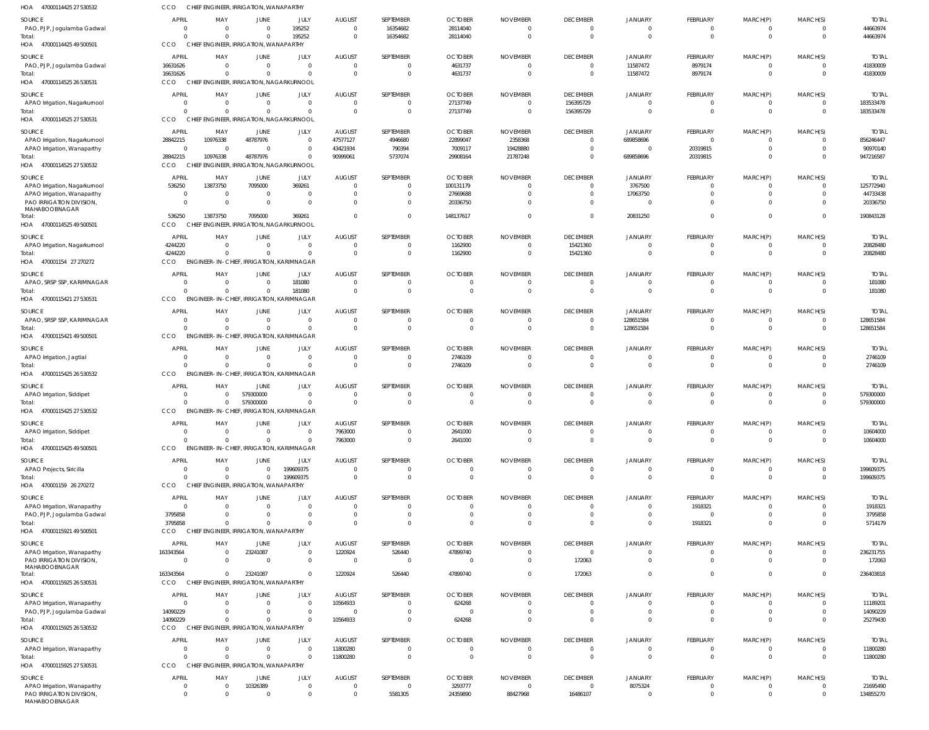| 47000114425 27 530532<br>HOA                            | CCO                        | CHIEF ENGINEER, IRRIGATION, WANAPARTHY               |                        |                            |                           |                               |                            |                             |                                           |                                  |                                  |                                  |                                  |                           |
|---------------------------------------------------------|----------------------------|------------------------------------------------------|------------------------|----------------------------|---------------------------|-------------------------------|----------------------------|-----------------------------|-------------------------------------------|----------------------------------|----------------------------------|----------------------------------|----------------------------------|---------------------------|
| <b>SOURCE</b>                                           | <b>APRIL</b>               | MAY                                                  | JUNE                   | JULY                       | <b>AUGUST</b>             | SEPTEMBER                     | <b>OCTOBER</b>             | <b>NOVEMBER</b>             | <b>DECEMBER</b>                           | JANUARY                          | <b>FEBRUARY</b>                  | MARCH(P)                         | MARCH(S)                         | <b>TOTAL</b>              |
| PAO, PJP, Jogulamba Gadwal                              | 0                          | $\Omega$                                             | - 0                    | 195252                     | $\Omega$                  | 16354682                      | 28114040                   | - 0                         | $\overline{\mathbf{0}}$                   | $\overline{0}$                   | $\overline{0}$                   | $\overline{0}$                   | $\overline{0}$                   | 44663974                  |
| Total:<br>HOA 47000114425 49 500501                     | $\Omega$<br>CCO            | $\Omega$<br>CHIEF ENGINEER, IRRIGATION, WANAPARTHY   | $\Omega$               | 195252                     | $\Omega$                  | 16354682                      | 28114040                   | - 0                         | $\overline{0}$                            | $\Omega$                         | $\mathbf 0$                      | $\mathbf 0$                      | $\Omega$                         | 44663974                  |
|                                                         |                            |                                                      |                        |                            |                           |                               |                            |                             |                                           |                                  |                                  |                                  |                                  |                           |
| SOURCE<br>PAO, PJP, Jogulamba Gadwal                    | <b>APRIL</b><br>16631626   | MAY<br>$\Omega$                                      | JUNE<br>$\Omega$       | JULY<br>$\overline{0}$     | <b>AUGUST</b><br>$\Omega$ | SEPTEMBER<br>$\mathbf 0$      | <b>OCTOBER</b><br>4631737  | <b>NOVEMBER</b><br>$\Omega$ | <b>DECEMBER</b><br>$\overline{0}$         | <b>JANUARY</b><br>11587472       | FEBRUARY<br>8979174              | MARCH(P)<br>$\overline{0}$       | MARCH(S)<br>$\overline{0}$       | <b>TOTAL</b><br>41830009  |
| Total:                                                  | 16631626                   | - 0                                                  | $\Omega$               | $\overline{0}$             | $\Omega$                  | $\overline{0}$                | 4631737                    | $\Omega$                    | $\overline{0}$                            | 11587472                         | 8979174                          | $\mathbf 0$                      | $\overline{0}$                   | 41830009                  |
| HOA 47000114525 26 530531                               | CCO                        | CHIEF ENGINEER, IRRIGATION, NAGARKURNOOL             |                        |                            |                           |                               |                            |                             |                                           |                                  |                                  |                                  |                                  |                           |
| <b>SOURCE</b>                                           | <b>APRIL</b>               | MAY                                                  | JUNE                   | JULY                       | <b>AUGUST</b>             | SEPTEMBER                     | <b>OCTOBER</b>             | <b>NOVEMBER</b>             | <b>DECEMBER</b>                           | <b>JANUARY</b>                   | <b>FEBRUARY</b>                  | MARCH(P)                         | MARCH(S)                         | <b>TOTAI</b>              |
| APAO Irrigation, Nagarkurnool                           | $\mathbf 0$                | - 0                                                  | $\Omega$               | $\overline{0}$             | - 0                       | 0                             | 27137749                   |                             | 156395729                                 | $\mathbf{0}$                     | 0                                | $\overline{0}$                   | 0                                | 183533478                 |
| Total:<br>HOA 47000114525 27 530531                     | $\Omega$<br>CCO            | $\Omega$<br>CHIEF ENGINEER. IRRIGATION. NAGARKURNOOL | $\Omega$               | $\Omega$                   | $\Omega$                  | $\mathbf 0$                   | 27137749                   | $\Omega$                    | 156395729                                 | $\Omega$                         | $\mathbf{0}$                     | $\mathbf 0$                      | $\overline{0}$                   | 183533478                 |
|                                                         |                            |                                                      |                        |                            |                           |                               |                            |                             |                                           |                                  |                                  |                                  |                                  |                           |
| SOURCE<br>APAO Irrigation, Nagarkurnool                 | <b>APRIL</b><br>28842215   | MAY<br>10976338                                      | JUNE<br>48787976       | JULY<br>$\overline{0}$     | <b>AUGUST</b><br>47577127 | SEPTEMBER<br>4946680          | <b>OCTOBER</b><br>22899047 | <b>NOVEMBER</b><br>2358368  | <b>DECEMBER</b><br>$\overline{0}$         | JANUARY<br>689858696             | FEBRUARY<br>$\mathbf{0}$         | MARCH(P)<br>$\overline{0}$       | MARCH(S)<br>$\Omega$             | <b>TOTAL</b><br>856246447 |
| APAO Irrigation, Wanaparthy                             | $\overline{0}$             | 0                                                    | - 0                    | $\overline{0}$             | 43421934                  | 790394                        | 7009117                    | 19428880                    | $\overline{0}$                            | $\Omega$                         | 20319815                         | $\overline{0}$                   | $\Omega$                         | 90970140                  |
| Total:                                                  | 28842215                   | 10976338                                             | 48787976               | $\Omega$                   | 90999061                  | 5737074                       | 29908164                   | 21787248                    | $\overline{0}$                            | 689858696                        | 20319815                         | $\overline{0}$                   | $\overline{0}$                   | 947216587                 |
| HOA 47000114525 27 530532                               | CCO                        | CHIEF ENGINEER, IRRIGATION, NAGARKURNOOL             |                        |                            |                           |                               |                            |                             |                                           |                                  |                                  |                                  |                                  |                           |
| SOURCE                                                  | <b>APRIL</b>               | MAY                                                  | JUNE                   | JULY                       | <b>AUGUST</b>             | SEPTEMBER                     | <b>OCTOBER</b>             | <b>NOVEMBER</b>             | <b>DECEMBER</b>                           | JANUARY                          | FEBRUARY                         | MARCH(P)                         | MARCH(S)                         | <b>TOTAL</b>              |
| APAO Irrigation, Nagarkurnool                           | 536250                     | 13873750                                             | 7095000                | 369261                     | - 0                       | $\Omega$                      | 100131179                  |                             | $\overline{0}$                            | 3767500                          | 0                                | 0                                | $\Omega$                         | 125772940                 |
| APAO Irrigation, Wanaparthy<br>PAO IRRIGATION DIVISION, | $\overline{0}$<br>$\Omega$ | 0<br>- 0                                             | $\Omega$<br>$\Omega$   | $\overline{0}$<br>$\Omega$ |                           | $\mathbf 0$<br>$\Omega$       | 27669688<br>20336750       |                             | $\overline{0}$<br>$\Omega$                | 17063750<br>$\Omega$             | $\mathbf{0}$<br>$\Omega$         | $\overline{0}$<br>$\Omega$       | $\Omega$                         | 44733438<br>20336750      |
| MAHABOOBNAGAR                                           |                            |                                                      |                        |                            |                           |                               |                            |                             |                                           |                                  |                                  |                                  |                                  |                           |
| Total:<br>HOA 47000114525 49 500501                     | 536250<br>CCO              | 13873750<br>CHIEF ENGINEER, IRRIGATION, NAGARKURNOOL | 7095000                | 369261                     |                           | $\mathbf 0$                   | 148137617                  |                             | $\Omega$                                  | 20831250                         | $\mathbf 0$                      | $\overline{0}$                   | $\Omega$                         | 190843128                 |
|                                                         |                            |                                                      |                        |                            |                           |                               |                            |                             |                                           |                                  |                                  |                                  |                                  |                           |
| <b>SOURCE</b><br>APAO Irrigation, Nagarkurnool          | APRIL<br>4244220           | MAY<br>$\overline{0}$                                | JUNE<br>$\Omega$       | JULY<br>$\overline{0}$     | <b>AUGUST</b><br>$\Omega$ | SEPTEMBER<br>0                | <b>OCTOBER</b><br>1162900  | <b>NOVEMBER</b>             | <b>DECEMBER</b><br>15421360               | <b>JANUARY</b><br>$\overline{0}$ | <b>FEBRUARY</b><br>0             | MARCH(P)<br>$\overline{0}$       | MARCH(S)<br>0                    | <b>TOTAL</b><br>20828480  |
| Total:                                                  | 4244220                    | $\Omega$                                             | $\Omega$               | $\Omega$                   | $\overline{0}$            | $\overline{0}$                | 1162900                    | $\Omega$                    | 15421360                                  | $\Omega$                         | $\mathbf 0$                      | $\mathbf 0$                      | $\overline{0}$                   | 20828480                  |
| HOA 470001154 27 270272                                 | CCO                        | ENGINEER-IN-CHIEF, IRRIGATION, KARIMNAGAR            |                        |                            |                           |                               |                            |                             |                                           |                                  |                                  |                                  |                                  |                           |
| <b>SOURCE</b>                                           | <b>APRIL</b>               | MAY                                                  | JUNE                   | JULY                       | <b>AUGUST</b>             | SEPTEMBER                     | <b>OCTOBER</b>             | <b>NOVEMBER</b>             | <b>DECEMBER</b>                           | <b>JANUARY</b>                   | FEBRUARY                         | MARCH(P)                         | MARCH(S)                         | <b>TOTAL</b>              |
| APAO, SRSP SSP, KARIMNAGAR                              | $\Omega$                   | 0                                                    | $\Omega$               | 181080                     | $\Omega$                  | $\mathbf 0$                   | - 0                        | - 0                         | $\overline{\mathbf{0}}$                   | $\overline{0}$                   | $\overline{0}$                   | $\overline{0}$                   | $\overline{0}$                   | 181080                    |
| Total:                                                  | $\Omega$                   | $\Omega$                                             | $\Omega$               | 181080                     | $\Omega$                  | $\Omega$                      |                            |                             | $\overline{0}$                            | $\Omega$                         | $\mathbf{0}$                     | $\overline{0}$                   | $\Omega$                         | 181080                    |
| HOA 47000115421 27 530531                               | CCO                        | ENGINEER-IN-CHIEF, IRRIGATION, KARIMNAGAR            |                        |                            |                           |                               |                            |                             |                                           |                                  |                                  |                                  |                                  |                           |
| SOURCE                                                  | <b>APRIL</b><br>$\Omega$   | MAY<br>$\Omega$                                      | JUNE                   | JULY<br>$\overline{0}$     | <b>AUGUST</b>             | SEPTEMBER                     | <b>OCTOBER</b>             | <b>NOVEMBER</b>             | <b>DECEMBER</b><br>$\overline{0}$         | <b>JANUARY</b>                   | FEBRUARY                         | MARCH(P)                         | MARCH(S)<br>$\overline{0}$       | <b>TOTAL</b>              |
| APAO, SRSP SSP, KARIMNAGAR<br>Total:                    | $\Omega$                   | $\Omega$                                             | $\Omega$<br>$\Omega$   | $\overline{0}$             | - 0<br>$\overline{0}$     | $\mathbf 0$<br>$\overline{0}$ | - 0<br>$\Omega$            | - 0<br>$\Omega$             | $\overline{0}$                            | 128651584<br>128651584           | $\overline{0}$<br>$\mathbf{0}$   | $\overline{0}$<br>$\mathbf 0$    | $\overline{0}$                   | 128651584<br>128651584    |
| HOA 47000115421 49 500501                               | CCO                        | ENGINEER-IN-CHIEF, IRRIGATION, KARIMNAGAR            |                        |                            |                           |                               |                            |                             |                                           |                                  |                                  |                                  |                                  |                           |
| SOURCE                                                  | <b>APRIL</b>               | MAY                                                  | JUNE                   | <b>JULY</b>                | <b>AUGUST</b>             | SEPTEMBER                     | <b>OCTOBER</b>             | <b>NOVEMBER</b>             | <b>DECEMBER</b>                           | JANUARY                          | <b>FEBRUARY</b>                  | MARCH(P)                         | MARCH(S)                         | <b>TOTAL</b>              |
| APAO Irrigation, Jagtial                                | 0                          | - 0                                                  | $\Omega$               | $\overline{0}$             | - 0                       | 0                             | 2746109                    |                             | $\overline{0}$                            | $\mathbf{0}$                     | 0                                | $\overline{0}$                   | 0                                | 2746109                   |
| Total:                                                  | $\Omega$                   | $\Omega$                                             | $\Omega$               | $\Omega$                   | $\Omega$                  | $\mathbf 0$                   | 2746109                    |                             | $\overline{0}$                            | $\Omega$                         | $\mathbf 0$                      | $\overline{0}$                   | $\overline{0}$                   | 2746109                   |
| HOA 47000115425 26 530532                               | CCO                        | ENGINEER-IN-CHIEF, IRRIGATION, KARIMNAGAR            |                        |                            |                           |                               |                            |                             |                                           |                                  |                                  |                                  |                                  |                           |
| SOURCE                                                  | <b>APRIL</b>               | MAY                                                  | JUNE                   | JULY                       | <b>AUGUST</b>             | SEPTEMBER                     | <b>OCTOBER</b>             | <b>NOVEMBER</b>             | <b>DECEMBER</b>                           | <b>JANUARY</b>                   | FEBRUARY                         | MARCH(P)                         | MARCH(S)                         | <b>TOTAL</b>              |
| APAO Irrigation, Siddipet<br>Total:                     | $\Omega$<br>$\Omega$       | $\Omega$<br>$\Omega$                                 | 579300000<br>579300000 | $\overline{0}$<br>$\Omega$ | $\Omega$<br>$\Omega$      | $\mathbf 0$<br>$\mathbf 0$    | $\Omega$<br>$\Omega$       | $\Omega$<br>$\Omega$        | $\overline{0}$<br>$\overline{0}$          | $\overline{0}$<br>$\overline{0}$ | $\mathbf{0}$<br>$\mathbf 0$      | $\overline{0}$<br>$\mathbf 0$    | $\Omega$<br>$\Omega$             | 579300000<br>579300000    |
| HOA 47000115425 27 530532                               | CCO                        | ENGINEER-IN-CHIEF, IRRIGATION, KARIMNAGAR            |                        |                            |                           |                               |                            |                             |                                           |                                  |                                  |                                  |                                  |                           |
| SOURCE                                                  | <b>APRIL</b>               | MAY                                                  | JUNE                   | JULY                       | <b>AUGUST</b>             | SEPTEMBER                     | <b>OCTOBER</b>             | <b>NOVEMBER</b>             | <b>DECEMBER</b>                           | <b>JANUARY</b>                   | FEBRUARY                         | MARCH(P)                         | MARCH(S)                         | <b>TOTAL</b>              |
| APAO Irrigation, Siddipet                               | 0                          | 0                                                    | $\Omega$               | $\mathbf 0$                | 7963000                   | $\mathbf 0$                   | 2641000                    |                             | $\overline{\mathbf{0}}$                   | $\overline{0}$                   | $\overline{0}$                   | $\overline{0}$                   | $\Omega$                         | 10604000                  |
| Total:                                                  | $\Omega$                   | $\Omega$                                             | $\Omega$               | $\Omega$                   | 7963000                   | $\mathbf 0$                   | 2641000                    |                             | $\overline{0}$                            | $\overline{0}$                   | $\mathbf 0$                      | $\mathbf 0$                      | $\overline{0}$                   | 10604000                  |
| HOA 47000115425 49 500501                               | CCO                        | ENGINEER-IN-CHIEF, IRRIGATION, KARIMNAGAR            |                        |                            |                           |                               |                            |                             |                                           |                                  |                                  |                                  |                                  |                           |
| SOURCE                                                  | <b>APRIL</b>               | MAY                                                  | JUNE                   | JULY                       | <b>AUGUST</b>             | SEPTEMBER                     | <b>OCTOBER</b>             | <b>NOVEMBER</b>             | <b>DECEMBER</b>                           | <b>JANUARY</b>                   | FEBRUARY                         | MARCH(P)                         | MARCH(S)                         | <b>TOTAL</b>              |
| APAO Projects, Siricilla<br>Total:                      | $\overline{0}$<br>$\Omega$ | $\overline{0}$<br>- 0                                | $\Omega$<br>$\Omega$   | 199609375<br>199609375     | $\Omega$<br>$\Omega$      | 0<br>$\mathbf 0$              | $\Omega$<br>- 0            | $\Omega$<br>- 0             | $\overline{\mathbf{0}}$<br>$\overline{0}$ | $\overline{0}$<br>$\overline{0}$ | 0<br>$\mathbf 0$                 | $\overline{0}$<br>$\overline{0}$ | $\overline{0}$<br>$\overline{0}$ | 199609375<br>199609375    |
| HOA 470001159 26 270272                                 | CCO                        | CHIEF ENGINEER, IRRIGATION, WANAPARTHY               |                        |                            |                           |                               |                            |                             |                                           |                                  |                                  |                                  |                                  |                           |
| SOURCE                                                  | <b>APRIL</b>               | MAY                                                  | JUNE                   | <b>JULY</b>                | <b>AUGUST</b>             | SEPTEMBER                     | <b>OCTOBER</b>             | <b>NOVEMBER</b>             | <b>DECEMBER</b>                           | <b>JANUARY</b>                   | FEBRUARY                         | MARCH(P)                         | MARCH(S)                         | <b>TOTAL</b>              |
| APAO Irrigation, Wanaparthy                             | $\Omega$                   | 0                                                    | - 0                    | $\Omega$                   |                           | 0                             |                            |                             | $\mathbf 0$                               | $\mathbf{0}$                     | 1918321                          | 0                                |                                  | 1918321                   |
| PAO, PJP, Jogulamba Gadwal                              | 3795858                    | 0                                                    |                        | $\Omega$                   | - 0                       | $\mathbf 0$                   |                            |                             | $\overline{0}$                            | $\overline{0}$                   | $\overline{0}$                   | $\overline{0}$                   |                                  | 3795858                   |
| Total:<br>HOA 47000115921 49 500501                     | 3795858<br>CCO             | $\Omega$<br>CHIEF ENGINEER, IRRIGATION, WANAPARTHY   | $\Omega$               | $\Omega$                   | $\Omega$                  | $\Omega$                      |                            |                             | $\Omega$                                  | $\overline{0}$                   | 1918321                          | $\overline{0}$                   | $\Omega$                         | 5714179                   |
|                                                         |                            |                                                      |                        |                            |                           |                               |                            |                             |                                           |                                  |                                  |                                  |                                  |                           |
| SOURCE<br>APAO Irrigation, Wanaparthy                   | <b>APRIL</b><br>163343564  | MAY<br>0                                             | JUNE<br>23241087       | JULY<br>$\overline{0}$     | <b>AUGUST</b><br>1220924  | SEPTEMBER<br>526440           | <b>OCTOBER</b><br>47899740 | <b>NOVEMBER</b><br>$\Omega$ | <b>DECEMBER</b><br>$\overline{0}$         | <b>JANUARY</b><br>$\overline{0}$ | FEBRUARY<br>0                    | MARCH(P)<br>0                    | MARCH(S)<br>$\overline{0}$       | <b>TOTAL</b><br>236231755 |
| PAO IRRIGATION DIVISION,                                | $\overline{0}$             | $\Omega$                                             | $\Omega$               | $\overline{0}$             | $\Omega$                  | $\overline{\phantom{0}}$      | - 0                        | $\Omega$                    | 172063                                    | $\overline{0}$                   | $\mathbf{0}$                     | $\overline{0}$                   | $\overline{0}$                   | 172063                    |
| MAHABOOBNAGAR                                           |                            |                                                      |                        |                            |                           |                               |                            |                             |                                           |                                  |                                  |                                  |                                  |                           |
| Total:<br>HOA 47000115925 26 530531                     | 163343564<br>CCO           | $\Omega$<br>CHIEF ENGINEER, IRRIGATION, WANAPARTHY   | 23241087               | $\Omega$                   | 1220924                   | 526440                        | 47899740                   | $\Omega$                    | 172063                                    | $\overline{0}$                   | $\mathbf 0$                      | $\overline{0}$                   | $\overline{0}$                   | 236403818                 |
|                                                         | <b>APRIL</b>               |                                                      | JUNE                   | JULY                       | <b>AUGUST</b>             | SEPTEMBER                     | <b>OCTOBER</b>             | <b>NOVEMBER</b>             | <b>DECEMBER</b>                           |                                  | FEBRUARY                         |                                  | MARCH(S)                         |                           |
| SOURCE<br>APAO Irrigation, Wanaparthy                   | 0                          | MAY<br>$\Omega$                                      | - 0                    | $\Omega$                   | 10564933                  | $\mathbf 0$                   | 624268                     |                             | $\overline{0}$                            | <b>JANUARY</b><br>$\overline{0}$ | 0                                | MARCH(P)<br>$\mathbf{0}$         | $\Omega$                         | <b>TOTAL</b><br>11189201  |
| PAO, PJP, Jogulamba Gadwal                              | 14090229                   | $\Omega$                                             | $\Omega$               | $\overline{0}$             |                           | $\mathbf 0$                   |                            |                             | $\overline{0}$                            | $\overline{0}$                   | $\mathbf 0$                      | $\overline{0}$                   | $\Omega$                         | 14090229                  |
| Total:                                                  | 14090229                   | $\Omega$                                             | $\Omega$               | $\Omega$                   | 10564933                  | $\mathbf 0$                   | 624268                     |                             | $\Omega$                                  | $\Omega$                         | $\mathbf 0$                      | $\overline{0}$                   | $\Omega$                         | 25279430                  |
| HOA 47000115925 26 530532                               | CCO                        | CHIEF ENGINEER, IRRIGATION, WANAPARTHY               |                        |                            |                           |                               |                            |                             |                                           |                                  |                                  |                                  |                                  |                           |
| SOURCE                                                  | <b>APRIL</b>               | MAY                                                  | JUNE                   | JULY                       | <b>AUGUST</b>             | SEPTEMBER                     | <b>OCTOBER</b>             | <b>NOVEMBER</b>             | <b>DECEMBER</b>                           | <b>JANUARY</b>                   | FEBRUARY                         | MARCH(P)                         | MARCH(S)                         | <b>TOTAL</b>              |
| APAO Irrigation, Wanaparthy<br>Total:                   | $\Omega$<br>$\Omega$       | $\overline{0}$<br>$\Omega$                           | $\Omega$<br>$\Omega$   | $\Omega$<br>$\Omega$       | 11800280<br>11800280      | $\mathbf 0$<br>$\overline{0}$ | - 0<br>$\Omega$            | - 0<br>$\Omega$             | $\overline{0}$<br>$\overline{0}$          | $\overline{0}$<br>$\overline{0}$ | $\overline{0}$<br>$\overline{0}$ | $\mathbf{0}$<br>$\mathbf 0$      | $\Omega$<br>$\overline{0}$       | 11800280<br>11800280      |
| HOA 47000115925 27 530531                               | <b>CCO</b>                 | CHIEF ENGINEER, IRRIGATION, WANAPARTHY               |                        |                            |                           |                               |                            |                             |                                           |                                  |                                  |                                  |                                  |                           |
| SOURCE                                                  | <b>APRIL</b>               | MAY                                                  | JUNE                   | JULY                       | <b>AUGUST</b>             | SEPTEMBER                     | <b>OCTOBER</b>             | <b>NOVEMBER</b>             | <b>DECEMBER</b>                           | <b>JANUARY</b>                   | FEBRUARY                         | MARCH(P)                         | MARCH(S)                         | <b>TOTAL</b>              |
| APAO Irrigation, Wanaparthy                             | 0                          | 0                                                    | 10326389               | $\mathbf 0$                | $\Omega$                  | $\overline{0}$                | 3293777                    | $\Omega$                    | $\overline{0}$                            | 8075324                          | $\overline{0}$                   | $\mathbf{0}$                     | $^{\circ}$                       | 21695490                  |
| PAO IRRIGATION DIVISION,<br>MAHABOOBNAGAR               | $\Omega$                   | $\Omega$                                             | - 0                    | $\mathbf 0$                | $\Omega$                  | 5581305                       | 24359890                   | 88427968                    | 16486107                                  | $\overline{0}$                   | $\mathbf 0$                      | $\overline{0}$                   | $\Omega$                         | 134855270                 |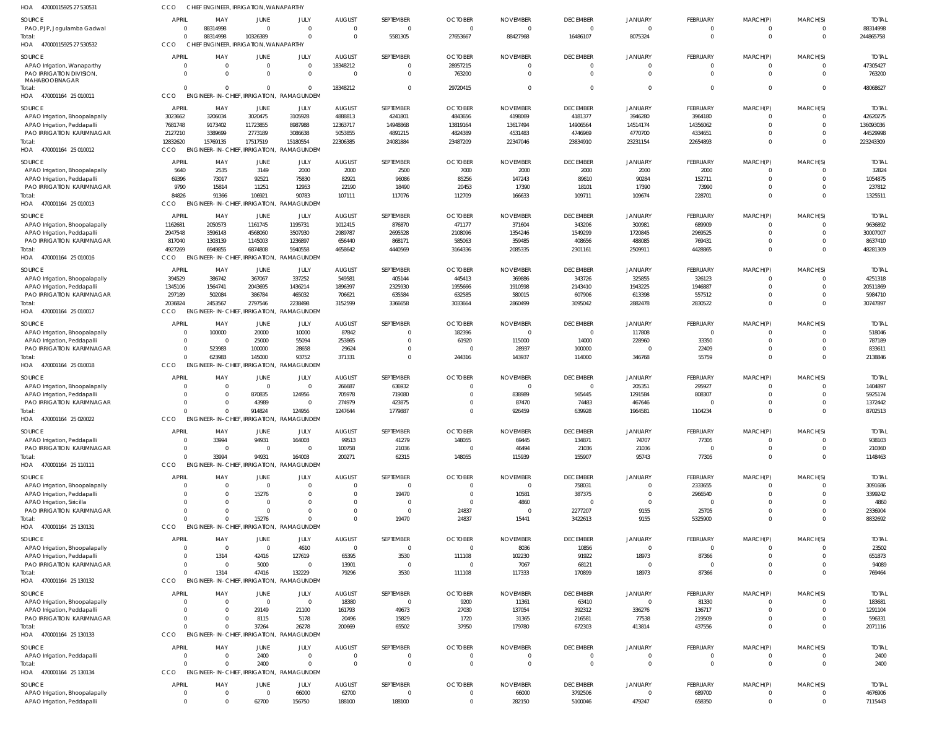| <b>HOA</b><br>47000115925 27 530531                                      | CCO                     | CHIEF ENGINEER, IRRIGATION, WANAPARTHY            |                              |                                        |                                           |                                  |                                        |                                         |                                               |                                       |                                         |                                  |                                  |                                       |
|--------------------------------------------------------------------------|-------------------------|---------------------------------------------------|------------------------------|----------------------------------------|-------------------------------------------|----------------------------------|----------------------------------------|-----------------------------------------|-----------------------------------------------|---------------------------------------|-----------------------------------------|----------------------------------|----------------------------------|---------------------------------------|
| <b>SOURCE</b><br>PAO, PJP, Jogulamba Gadwal<br>Total:                    | <b>APRI</b>             | MAY<br>88314998<br>88314998                       | JUNE<br>$\Omega$<br>10326389 | JULY<br>$\overline{0}$<br>$\mathbf{0}$ | <b>AUGUST</b><br>$\mathbf{0}$<br>$\Omega$ | SEPTEMBER<br>$\Omega$<br>5581305 | <b>OCTOBER</b><br>$\Omega$<br>27653667 | <b>NOVEMBER</b><br>$\Omega$<br>88427968 | <b>DECEMBER</b><br>$\overline{0}$<br>16486107 | <b>JANUARY</b><br>$\Omega$<br>8075324 | <b>FEBRUARY</b><br>$\Omega$<br>$\Omega$ | MARCH(P)<br>$\Omega$<br>$\Omega$ | MARCH(S)<br>$\Omega$<br>$\Omega$ | <b>TOTAL</b><br>88314998<br>244865758 |
| HOA 47000115925 27 530532                                                | <b>CCO</b>              | CHIEF ENGINEER, IRRIGATION, WANAPARTHY            |                              |                                        |                                           |                                  |                                        |                                         |                                               |                                       |                                         |                                  |                                  |                                       |
| <b>SOURCE</b>                                                            | <b>APRI</b>             | MAY                                               | JUNE                         | JULY                                   | <b>AUGUST</b>                             | SEPTEMBER                        | <b>OCTOBER</b>                         | <b>NOVEMBER</b>                         | <b>DECEMBER</b>                               | <b>JANUARY</b>                        | <b>FEBRUARY</b>                         | MARCH(P)                         | MARCH(S)                         | <b>TOTAI</b>                          |
| APAO Irrigation, Wanaparthy<br>PAO IRRIGATION DIVISION,<br>MAHABOOBNAGAR |                         | $\Omega$<br>$\Omega$                              | $\overline{0}$<br>$\Omega$   | $\mathbf 0$<br>$\mathbf 0$             | 18348212<br>$\Omega$                      | $\Omega$<br>$\Omega$             | 28957215<br>763200                     | $\Omega$<br>$\Omega$                    | $\overline{0}$<br>$\overline{0}$              | $\overline{0}$<br>$\Omega$            | $\Omega$<br>$\Omega$                    | $\Omega$                         | $\Omega$<br>$\Omega$             | 47305427<br>763200                    |
| Total:                                                                   | $\cap$                  | $\Omega$                                          | $\Omega$                     | $\mathbf{0}$                           | 18348212                                  | $\Omega$                         | 29720415                               | $\Omega$                                | $\overline{0}$                                | $\Omega$                              | $\Omega$                                | $\Omega$                         | $\Omega$                         | 48068627                              |
| HOA<br>470001164 25 010011                                               | CCO                     | <b>ENGINEER-IN-CHIEF, IRRIGATION,</b>             |                              | RAMAGUNDEM                             |                                           |                                  |                                        |                                         |                                               |                                       |                                         |                                  |                                  |                                       |
| <b>SOURCE</b><br>APAO Irrigation, Bhoopalapally                          | <b>APRIL</b><br>3023662 | MAY<br>3206034                                    | JUNE<br>3020475              | JULY<br>3105928                        | <b>AUGUST</b><br>4888813                  | SEPTEMBER<br>4241801             | <b>OCTOBER</b><br>4843656              | <b>NOVEMBER</b><br>4198069              | <b>DECEMBER</b><br>4181377                    | <b>JANUARY</b><br>3946280             | FEBRUARY<br>3964180                     | MARCH(P)<br>- 0                  | MARCH(S)<br>$\Omega$             | <b>TOTAL</b><br>42620275              |
| APAO Irrigation, Peddapalli                                              | 7681748                 | 9173402                                           | 11723855                     | 8987988                                | 12363717                                  | 14948868                         | 13819164                               | 13617494                                | 14906564                                      | 14514174                              | 14356062                                | $\Omega$                         | $\Omega$                         | 136093036                             |
| PAO IRRIGATION KARIMNAGAR                                                | 2127210                 | 3389699                                           | 2773189                      | 3086638                                | 5053855                                   | 4891215                          | 4824389                                | 4531483                                 | 4746969                                       | 4770700                               | 4334651                                 | $\Omega$                         | $\Omega$                         | 44529998                              |
| Total:<br>HOA 470001164 25 010012                                        | 12832620<br>CCO         | 15769135<br><b>ENGINEER-IN-CHIEF</b>              | 17517519<br>IRRIGATION,      | 15180554<br>RAMAGUNDEM                 | 22306385                                  | 24081884                         | 23487209                               | 22347046                                | 23834910                                      | 23231154                              | 22654893                                | $\Omega$                         | $\Omega$                         | 223243309                             |
| <b>SOURCE</b>                                                            | <b>APRIL</b>            | MAY                                               | JUNE                         | JULY                                   | <b>AUGUST</b>                             | SEPTEMBER                        | <b>OCTOBER</b>                         | <b>NOVEMBER</b>                         | <b>DECEMBER</b>                               | JANUARY                               | <b>FEBRUARY</b>                         | MARCH(P)                         | MARCH(S)                         | <b>TOTAI</b>                          |
| APAO Irrigation, Bhoopalapally                                           | 5640                    | 2535                                              | 3149                         | 2000                                   | 2000                                      | 2500                             | 7000                                   | 2000                                    | 2000                                          | 2000                                  | 2000                                    |                                  | $\Omega$                         | 32824                                 |
| APAO Irrigation, Peddapalli<br>PAO IRRIGATION KARIMNAGAR                 | 69396<br>9790           | 73017<br>15814                                    | 92521<br>11251               | 75830<br>12953                         | 82921<br>22190                            | 96086<br>18490                   | 85256<br>20453                         | 147243<br>17390                         | 89610<br>18101                                | 90284<br>17390                        | 152711<br>73990                         | $\Omega$<br>$\Omega$             | $\Omega$<br>$\Omega$             | 1054875<br>237812                     |
| Total:                                                                   | 84826                   | 91366                                             | 106921                       | 90783                                  | 107111                                    | 117076                           | 112709                                 | 166633                                  | 109711                                        | 109674                                | 228701                                  | $\Omega$                         | $\Omega$                         | 1325511                               |
| HOA 470001164 25 010013                                                  | CCO                     | <b>ENGINEER-IN-CHIEF</b>                          |                              | IRRIGATION, RAMAGUNDEM                 |                                           |                                  |                                        |                                         |                                               |                                       |                                         |                                  |                                  |                                       |
| <b>SOURCE</b>                                                            | APRIL                   | MAY                                               | JUNE                         | JULY                                   | AUGUST                                    | SEPTEMBER                        | <b>OCTOBER</b>                         | <b>NOVEMBER</b>                         | <b>DECEMBER</b>                               | <b>JANUARY</b>                        | <b>FEBRUARY</b>                         | MARCH(P)                         | MARCH(S)                         | <b>TOTAL</b>                          |
| APAO Irrigation, Bhoopalapally                                           | 1162681                 | 2050573                                           | 1161745                      | 1195731                                | 1012415                                   | 876870                           | 471177                                 | 371604                                  | 343206                                        | 300981                                | 689909                                  | $\Omega$                         | $\Omega$                         | 9636892                               |
| APAO Irrigation, Peddapalli<br>PAO IRRIGATION KARIMNAGAR                 | 2947548<br>817040       | 3596143<br>1303139                                | 4568060<br>1145003           | 3507930<br>1236897                     | 2989787<br>656440                         | 2695528<br>868171                | 2108096<br>585063                      | 1354246<br>359485                       | 1549299<br>408656                             | 1720845<br>488085                     | 2969525<br>769431                       | $\Omega$<br>$\Omega$             | $\Omega$<br>$\Omega$             | 30007007<br>8637410                   |
| Total:                                                                   | 4927269                 | 6949855                                           | 6874808                      | 5940558                                | 4658642                                   | 4440569                          | 3164336                                | 2085335                                 | 2301161                                       | 2509911                               | 4428865                                 | $\Omega$                         | $\Omega$                         | 48281309                              |
| HOA<br>470001164 25 010016                                               | CCO                     | <b>ENGINEER-IN-CHIEF</b>                          | IRRIGATION,                  | RAMAGUNDEN                             |                                           |                                  |                                        |                                         |                                               |                                       |                                         |                                  |                                  |                                       |
| <b>SOURCE</b>                                                            | APRIL                   | MAY                                               | JUNE                         | JULY                                   | <b>AUGUST</b>                             | SEPTEMBER                        | <b>OCTOBER</b>                         | <b>NOVEMBER</b>                         | <b>DECEMBER</b>                               | <b>JANUARY</b>                        | <b>FEBRUARY</b>                         | MARCH(P)                         | MARCH(S)                         | <b>TOTAI</b>                          |
| APAO Irrigation, Bhoopalapally                                           | 394529                  | 386742                                            | 367067                       | 337252                                 | 549581                                    | 405144                           | 445413                                 | 369886                                  | 343726                                        | 325855                                | 326123                                  | $\Omega$                         | $\Omega$                         | 4251318                               |
| APAO Irrigation, Peddapalli<br>PAO IRRIGATION KARIMNAGAR                 | 1345106<br>297189       | 1564741<br>502084                                 | 2043695<br>386784            | 1436214<br>465032                      | 1896397<br>706621                         | 2325930<br>635584                | 1955666<br>632585                      | 1910598<br>580015                       | 2143410<br>607906                             | 1943225<br>613398                     | 1946887<br>557512                       | $\Omega$<br>$\Omega$             | $\Omega$<br>$\Omega$             | 20511869<br>5984710                   |
| Total:                                                                   | 2036824                 | 2453567                                           | 2797546                      | 2238498                                | 3152599                                   | 3366658                          | 3033664                                | 2860499                                 | 3095042                                       | 2882478                               | 2830522                                 | $\Omega$                         | $\Omega$                         | 30747897                              |
| HOA<br>470001164 25 010017                                               | CCO                     | ENGINEER-IN-CHIEF, IRRIGATION,                    |                              | RAMAGUNDEM                             |                                           |                                  |                                        |                                         |                                               |                                       |                                         |                                  |                                  |                                       |
| <b>SOURCE</b>                                                            | <b>APRIL</b>            | MAY                                               | JUNE                         | JULY                                   | <b>AUGUST</b>                             | SEPTEMBER                        | <b>OCTOBER</b>                         | <b>NOVEMBER</b>                         | <b>DECEMBER</b>                               | <b>JANUARY</b>                        | FEBRUARY                                | MARCH(P)                         | MARCH(S)                         | <b>TOTAI</b>                          |
| APAO Irrigation, Bhoopalapally<br>APAO Irrigation, Peddapalli            | - 0<br>$\Omega$         | 100000<br>$\overline{\mathbf{0}}$                 | 20000<br>25000               | 10000<br>55094                         | 87842<br>253865                           | $\Omega$<br>$\Omega$             | 182396<br>61920                        | $\Omega$                                | $\overline{0}$                                | 117808                                | $\Omega$<br>33350                       | $\mathbf{0}$                     | $\Omega$<br>$\Omega$             | 518046<br>787189                      |
| PAO IRRIGATION KARIMNAGAR                                                | - 0                     | 523983                                            | 100000                       | 28658                                  | 29624                                     | $\Omega$                         |                                        | 115000<br>28937                         | 14000<br>100000                               | 228960<br>$\circ$                     | 22409                                   | $\Omega$                         | $\Omega$                         | 833611                                |
| Total:<br>HOA 470001164 25 010018                                        | <b>CCO</b>              | 623983<br><b>ENGINEER-IN-CHIEF,</b>               | 145000<br>IRRIGATION,        | 93752<br>RAMAGUNDEM                    | 371331                                    | $\Omega$                         | 244316                                 | 143937                                  | 114000                                        | 346768                                | 55759                                   | $\Omega$                         | $\Omega$                         | 2138846                               |
| <b>SOURCE</b>                                                            | <b>APRIL</b>            | MAY                                               | <b>JUNE</b>                  | JULY                                   | <b>AUGUST</b>                             | SEPTEMBER                        | <b>OCTOBER</b>                         | <b>NOVEMBER</b>                         | <b>DECEMBER</b>                               | <b>JANUARY</b>                        | <b>FEBRUARY</b>                         | MARCH(P)                         | MARCH(S)                         | <b>TOTAI</b>                          |
| APAO Irrigation, Bhoopalapally                                           |                         | 0                                                 | $\overline{\mathbf{0}}$      | $\mathbf{0}$                           | 266687                                    | 636932                           |                                        | $\Omega$                                | $\mathbf 0$                                   | 205351                                | 295927                                  |                                  | $\Omega$                         | 1404897                               |
| APAO Irrigation, Peddapalli                                              |                         | $\Omega$                                          | 870835                       | 124956                                 | 705978                                    | 719080                           |                                        | 838989                                  | 565445                                        | 1291584                               | 808307                                  | $\Omega$                         | $\Omega$                         | 5925174                               |
| PAO IRRIGATION KARIMNAGAR<br>Total:                                      |                         | $\Omega$                                          | 43989<br>914824              | $\mathbf 0$<br>124956                  | 274979<br>1247644                         | 423875<br>1779887                |                                        | 87470<br>926459                         | 74483<br>639928                               | 467646<br>1964581                     | 1104234                                 | $\Omega$                         | $\Omega$                         | 1372442<br>8702513                    |
| HOA<br>470001164 25 020022                                               | CCO                     | ENGINEER-IN-CHIEF, IRRIGATION, RAMAGUNDEN         |                              |                                        |                                           |                                  |                                        |                                         |                                               |                                       |                                         |                                  |                                  |                                       |
| <b>SOURCE</b>                                                            | <b>APRIL</b>            | MAY                                               | <b>JUNE</b>                  | JULY                                   | <b>AUGUST</b>                             | SEPTEMBER                        | <b>OCTOBER</b>                         | <b>NOVEMBER</b>                         | <b>DECEMBER</b>                               | <b>JANUARY</b>                        | <b>FEBRUARY</b>                         | MARCH(P)                         | MARCH(S)                         | <b>TOTAL</b>                          |
| APAO Irrigation, Peddapalli                                              | - 0                     | 33994                                             | 94931                        | 164003                                 | 99513                                     | 41279                            | 148055                                 | 69445                                   | 134871                                        | 74707                                 | 77305                                   | $\Omega$                         | $\Omega$                         | 938103                                |
| <b>PAO IRRIGATION KARIMNAGAR</b>                                         |                         | - 0                                               | $\overline{0}$               | $\overline{0}$                         | 100758                                    | 21036                            | $\Omega$                               | 46494                                   | 21036                                         | 21036                                 | $\Omega$                                | $\Omega$                         | $\Omega$                         | 210360                                |
| Total:<br>HOA 470001164 25 110111                                        | $\Omega$<br>CCO         | 33994<br>ENGINEER-IN-CHIEF, IRRIGATION,           | 94931                        | 164003<br>RAMAGUNDEM                   | 200271                                    | 62315                            | 148055                                 | 115939                                  | 155907                                        | 95743                                 | 77305                                   | $\Omega$                         | $\Omega$                         | 1148463                               |
| SOURCE                                                                   | <b>APRIL</b>            | MAY                                               | <b>JUNE</b>                  | <b>JULY</b>                            | <b>AUGUST</b>                             | SEPTEMBER                        | <b>OCTOBER</b>                         | <b>NOVEMBER</b>                         | <b>DECEMBER</b>                               | <b>JANUARY</b>                        | <b>FEBRUARY</b>                         | MARCH(P)                         | MARCH(S)                         | <b>TOTAL</b>                          |
| APAO Irrigation, Bhoopalapally                                           |                         | $\Omega$<br>$\Omega$                              | $\overline{0}$<br>15276      | $\mathbf 0$<br>$\Omega$                | 0<br>$\Omega$                             | $\Omega$<br>19470                | $\Omega$                               | - 0<br>10581                            | 758031<br>387375                              | $\overline{0}$<br>$\overline{0}$      | 2333655<br>2966540                      |                                  | $\Omega$                         | 3091686<br>3399242                    |
| APAO Irrigation, Peddapalli<br>APAO Irrigation, Siricilla                |                         | $\Omega$                                          | $\Omega$                     | $\Omega$                               | 0                                         | $\Omega$                         | $\Omega$                               | 4860                                    | $\overline{0}$                                | $\overline{0}$                        | $\Omega$                                |                                  |                                  | 4860                                  |
| PAO IRRIGATION KARIMNAGAR                                                |                         | $\Omega$                                          | $\mathbf 0$                  | $\Omega$                               | $\Omega$                                  | $\Omega$                         | 24837                                  | $\Omega$                                | 2277207                                       | 9155                                  | 25705                                   | $\Omega$                         |                                  | 2336904                               |
| Total:<br>HOA 470001164 25 130131                                        | CCO                     | $\Omega$<br>ENGINEER-IN-CHIEF, IRRIGATION,        | 15276                        | $\Omega$<br>RAMAGUNDEM                 | $\Omega$                                  | 19470                            | 24837                                  | 15441                                   | 3422613                                       | 9155                                  | 5325900                                 | $\Omega$                         | $\Omega$                         | 8832692                               |
| SOURCE                                                                   | <b>APRIL</b>            | MAY                                               | JUNE                         | JULY                                   | <b>AUGUST</b>                             | SEPTEMBER                        | <b>OCTOBER</b>                         | <b>NOVEMBER</b>                         | <b>DECEMBER</b>                               | <b>JANUARY</b>                        | <b>FEBRUARY</b>                         | MARCH(P)                         | MARCH(S)                         | <b>TOTAL</b>                          |
| APAO Irrigation, Bhoopalapally                                           | - 0                     | $\overline{0}$                                    | $\overline{0}$               | 4610                                   | $\mathbf 0$                               | $\Omega$                         | $\Omega$                               | 8036                                    | 10856                                         | $\overline{0}$                        | $\Omega$                                |                                  | $\Omega$                         | 23502                                 |
| APAO Irrigation, Peddapalli                                              | - 0                     | 1314                                              | 42416                        | 127619                                 | 65395                                     | 3530                             | 111108                                 | 102230                                  | 91922                                         | 18973                                 | 87366                                   | 0                                | $\Omega$                         | 651873                                |
| PAO IRRIGATION KARIMNAGAR<br>Total:                                      |                         | - 0<br>1314                                       | 5000<br>47416                | $\mathbf{0}$<br>132229                 | 13901<br>79296                            | $\Omega$<br>3530                 | $\Omega$<br>111108                     | 7067<br>117333                          | 68121<br>170899                               | $\circ$<br>18973                      | - 0<br>87366                            | $\Omega$<br>$\Omega$             | $\Omega$<br>$\Omega$             | 94089<br>769464                       |
| HOA 470001164 25 130132                                                  | CCO                     | ENGINEER-IN-CHIEF, IRRIGATION,                    |                              | RAMAGUNDEM                             |                                           |                                  |                                        |                                         |                                               |                                       |                                         |                                  |                                  |                                       |
| <b>SOURCE</b>                                                            | <b>APRIL</b>            | MAY                                               | JUNE                         | JULY                                   | <b>AUGUST</b>                             | SEPTEMBER                        | <b>OCTOBER</b>                         | <b>NOVEMBER</b>                         | <b>DECEMBER</b>                               | <b>JANUARY</b>                        | <b>FEBRUARY</b>                         | MARCH(P)                         | MARCH(S)                         | <b>TOTAI</b>                          |
| APAO Irrigation, Bhoopalapally                                           |                         | $\overline{0}$                                    | $\overline{0}$               | $\mathbf{0}$                           | 18380                                     | $\Omega$                         | 9200                                   | 11361                                   | 63410                                         | $\overline{0}$                        | 81330                                   |                                  | 0                                | 183681                                |
| APAO Irrigation, Peddapalli                                              |                         | $\Omega$                                          | 29149                        | 21100                                  | 161793                                    | 49673                            | 27030                                  | 137054                                  | 392312                                        | 336276                                | 136717                                  | $\Omega$                         | $\Omega$                         | 1291104                               |
| PAO IRRIGATION KARIMNAGAR<br>Total:                                      |                         | $\Omega$<br>$\Omega$                              | 8115<br>37264                | 5178<br>26278                          | 20496<br>200669                           | 15829<br>65502                   | 1720<br>37950                          | 31365<br>179780                         | 216581<br>672303                              | 77538<br>413814                       | 219509<br>437556                        | $\Omega$<br>$\Omega$             | $\Omega$<br>$\Omega$             | 596331<br>2071116                     |
| HOA 470001164 25 130133                                                  | CCO                     | ENGINEER-IN-CHIEF, IRRIGATION, RAMAGUNDEM         |                              |                                        |                                           |                                  |                                        |                                         |                                               |                                       |                                         |                                  |                                  |                                       |
| <b>SOURCE</b>                                                            | <b>APRIL</b>            | MAY                                               | JUNE                         | JULY                                   | <b>AUGUST</b>                             | SEPTEMBER                        | <b>OCTOBER</b>                         | <b>NOVEMBER</b>                         | <b>DECEMBER</b>                               | <b>JANUARY</b>                        | <b>FEBRUARY</b>                         | MARCH(P)                         | MARCH(S)                         | <b>TOTAL</b>                          |
| APAO Irrigation, Peddapalli                                              | - 0                     | $\Omega$                                          | 2400                         | $\overline{0}$                         | $\Omega$                                  | $\Omega$                         | $\overline{0}$                         | $\overline{0}$                          | $\overline{0}$                                | $\circ$                               | $\Omega$                                | $\Omega$                         | $\Omega$                         | 2400                                  |
| Total:<br>HOA 470001164 25 130134                                        | <b>CCO</b>              | $\Omega$<br><b>ENGINEER-IN-CHIEF, IRRIGATION,</b> | 2400                         | $\overline{0}$<br>RAMAGUNDEM           | $\Omega$                                  | $\Omega$                         | $\overline{0}$                         | $\overline{0}$                          | $\overline{0}$                                | $\mathbf{0}$                          | $\Omega$                                | $\mathbf 0$                      | $\overline{0}$                   | 2400                                  |
| <b>SOURCE</b>                                                            | <b>APRIL</b>            | MAY                                               | JUNE                         | JULY                                   | <b>AUGUST</b>                             | SEPTEMBER                        | <b>OCTOBER</b>                         | <b>NOVEMBER</b>                         | <b>DECEMBER</b>                               | <b>JANUARY</b>                        | FEBRUARY                                | MARCH(P)                         | MARCH(S)                         | <b>TOTAL</b>                          |
| APAO Irrigation, Bhoopalapally                                           |                         | 0                                                 | $\overline{0}$               | 66000                                  | 62700                                     | $\Omega$                         | $\Omega$                               | 66000                                   | 3792506                                       | $\circ$                               | 689700                                  | $\Omega$                         | 0                                | 4676906                               |
| APAO Irrigation, Peddapalli                                              | $\Omega$                | $\Omega$                                          | 62700                        | 156750                                 | 188100                                    | 188100                           | $\mathbf 0$                            | 282150                                  | 5100046                                       | 479247                                | 658350                                  | $\Omega$                         | $\Omega$                         | 7115443                               |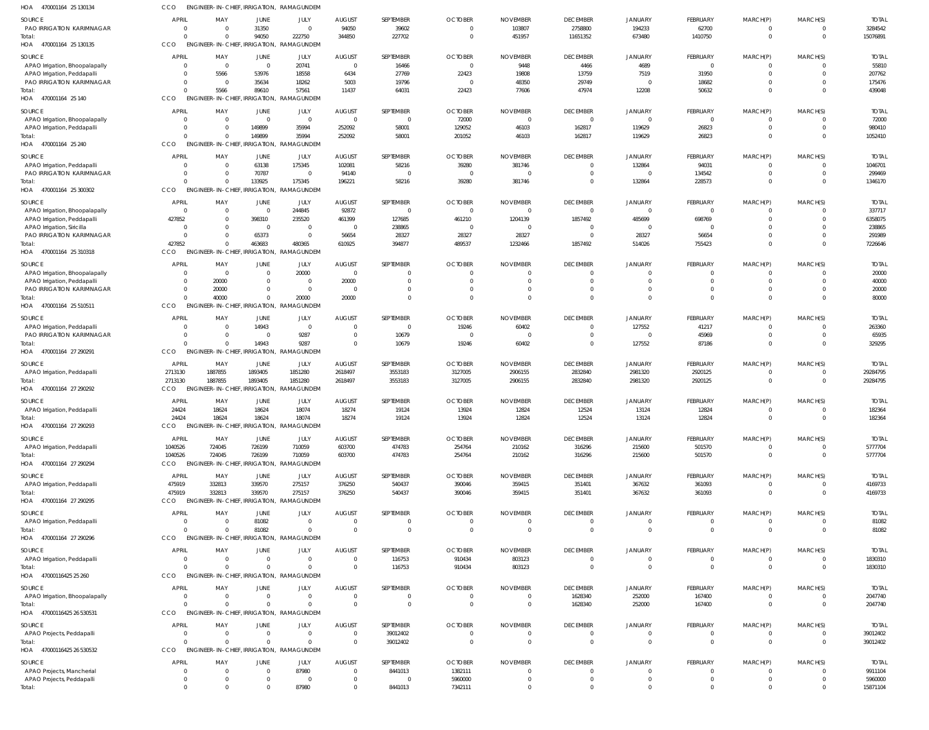| HOA<br>470001164 25 130134                                    | CCO                | ENGINEER-IN-CHIEF, IRRIGATION,             |                                   | RAMAGUNDEM                                |                                 |                          |                                  |                                  |                                |                                  |                                |                         |                            |                        |
|---------------------------------------------------------------|--------------------|--------------------------------------------|-----------------------------------|-------------------------------------------|---------------------------------|--------------------------|----------------------------------|----------------------------------|--------------------------------|----------------------------------|--------------------------------|-------------------------|----------------------------|------------------------|
| <b>SOURCE</b>                                                 | <b>APRIL</b>       | MAY                                        | JUNE                              | JULY                                      | <b>AUGUST</b>                   | SEPTEMBER                | <b>OCTOBER</b>                   | <b>NOVEMBER</b>                  | <b>DECEMBER</b>                | <b>JANUARY</b>                   | FEBRUARY                       | MARCH(P)                | MARCH(S)                   | <b>TOTAI</b>           |
| PAO IRRIGATION KARIMNAGAR                                     | - 0                | $\Omega$                                   | 31350                             | $\overline{0}$                            | 94050                           | 39602                    | $\Omega$                         | 103807                           | 2758800                        | 194233                           | 62700                          | 0                       | $\Omega$                   | 3284542                |
| Total:<br>HOA<br>470001164 25 130135                          | CCO                | $\Omega$<br>ENGINEER-IN-CHIEF, IRRIGATION, | 94050                             | 222750<br>RAMAGUNDEM                      | 344850                          | 227702                   | $\overline{0}$                   | 451957                           | 11651352                       | 673480                           | 1410750                        | $\mathbf 0$             | $\overline{0}$             | 15076891               |
|                                                               |                    |                                            |                                   |                                           |                                 |                          |                                  |                                  |                                |                                  |                                |                         |                            |                        |
| SOURCE                                                        | <b>APRI</b><br>- 0 | MAY<br>$\overline{\mathbf{0}}$             | JUNE<br>$\overline{\mathbf{0}}$   | JULY<br>20741                             | <b>AUGUST</b><br>$\mathbf{0}$   | SEPTEMBER<br>16466       | <b>OCTOBER</b><br>$\overline{0}$ | <b>NOVEMBER</b><br>9448          | <b>DECEMBER</b><br>4466        | <b>JANUARY</b><br>4689           | FEBRUARY<br>$\mathbf{0}$       | MARCH(P)<br>$\mathbf 0$ | MARCH(S)<br>$\Omega$       | <b>TOTAL</b><br>55810  |
| APAO Irrigation, Bhoopalapally<br>APAO Irrigation, Peddapalli |                    | 5566                                       | 53976                             | 18558                                     | 6434                            | 27769                    | 22423                            | 19808                            | 13759                          | 7519                             | 31950                          | $\mathbf 0$             | $\Omega$                   | 207762                 |
| PAO IRRIGATION KARIMNAGAR                                     |                    | 0                                          | 35634                             | 18262                                     | 5003                            | 19796                    | $\overline{0}$                   | 48350                            | 29749                          | $\overline{0}$                   | 18682                          | $\mathbf 0$             | $\Omega$                   | 175476                 |
| Total:                                                        |                    | 5566                                       | 89610                             | 57561                                     | 11437                           | 64031                    | 22423                            | 77606                            | 47974                          | 12208                            | 50632                          | $\Omega$                | $\Omega$                   | 439048                 |
| HOA<br>470001164 25 140                                       | CCO                | <b>ENGINEER-IN-CHIEF, IRRIGATION.</b>      |                                   | RAMAGUNDEM                                |                                 |                          |                                  |                                  |                                |                                  |                                |                         |                            |                        |
| SOURCE                                                        | <b>APRI</b>        | MAY                                        | JUNE                              | JULY                                      | <b>AUGUST</b>                   | SEPTEMBER                | <b>OCTOBER</b>                   | <b>NOVEMBER</b>                  | <b>DECEMBER</b>                | <b>JANUARY</b>                   | FEBRUARY                       | MARCH(P)                | MARCH(S)                   | <b>TOTAI</b>           |
| APAO Irrigation, Bhoopalapally                                | - 0                | $\overline{0}$                             | $\overline{0}$                    | $\mathbf{0}$                              | $\overline{0}$                  | $\Omega$                 | 72000                            | $\Omega$                         | $\overline{0}$                 | $\overline{0}$                   | 0                              | -0                      |                            | 72000                  |
| APAO Irrigation, Peddapalli                                   | $\Omega$           | $\Omega$<br>$\Omega$                       | 149899<br>149899                  | 35994<br>35994                            | 252092                          | 58001                    | 129052                           | 46103                            | 162817                         | 119629                           | 26823                          | $\mathbf 0$<br>$\Omega$ | $\Omega$<br>$\Omega$       | 980410                 |
| Total:<br>HOA 470001164 25 240                                | CCO                | <b>ENGINEER-IN-CHIEF, IRRIGATION,</b>      |                                   | RAMAGUNDEM                                | 252092                          | 58001                    | 201052                           | 46103                            | 162817                         | 119629                           | 26823                          |                         |                            | 1052410                |
| SOURCE                                                        | <b>APRI</b>        | MAY                                        | JUNE                              | JULY                                      | <b>AUGUST</b>                   | SEPTEMBER                | <b>OCTOBER</b>                   | <b>NOVEMBER</b>                  | <b>DECEMBER</b>                | <b>JANUARY</b>                   | FEBRUARY                       | MARCH(P)                | MARCH(S)                   | <b>TOTAL</b>           |
| APAO Irrigation, Peddapalli                                   |                    | $\overline{0}$                             | 63138                             | 175345                                    | 102081                          | 58216                    | 39280                            | 381746                           | $\overline{0}$                 | 132864                           | 94031                          | $\mathbf 0$             | $\Omega$                   | 1046701                |
| PAO IRRIGATION KARIMNAGAR                                     |                    | $\mathbf 0$                                | 70787                             | $\overline{0}$                            | 94140                           | $\Omega$                 | $\Omega$                         | $\Omega$                         | $\mathbf 0$                    | $\overline{0}$                   | 134542                         | $\mathbf 0$             | $\mathbf 0$                | 299469                 |
| Total:                                                        |                    | $\Omega$                                   | 133925                            | 175345                                    | 196221                          | 58216                    | 39280                            | 381746                           | $\overline{0}$                 | 132864                           | 228573                         | $\Omega$                | $\mathbf 0$                | 1346170                |
| HOA 470001164 25 300302                                       | CCO                |                                            |                                   | ENGINEER-IN-CHIEF, IRRIGATION, RAMAGUNDEM |                                 |                          |                                  |                                  |                                |                                  |                                |                         |                            |                        |
| SOURCE                                                        | <b>APRIL</b>       | MAY                                        | JUNE                              | JULY                                      | <b>AUGUST</b>                   | SEPTEMBER                | <b>OCTOBER</b>                   | <b>NOVEMBER</b>                  | <b>DECEMBER</b>                | <b>JANUARY</b>                   | FEBRUARY                       | MARCH(P)                | MARCH(S)                   | <b>TOTAL</b>           |
| APAO Irrigation, Bhoopalapally                                | - 0                | $\overline{0}$                             | $\overline{\mathbf{0}}$           | 244845                                    | 92872                           | $\Omega$                 | $\overline{0}$                   | $\overline{0}$                   | $\overline{0}$                 | $\overline{0}$                   | $\overline{0}$                 | -0                      |                            | 337717                 |
| APAO Irrigation, Peddapalli                                   | 427852<br>$\Omega$ | $\overline{0}$<br>$\Omega$                 | 398310<br>$\overline{\mathbf{0}}$ | 235520<br>$\overline{0}$                  | 461399<br>$\overline{0}$        | 127685<br>238865         | 461210<br>$\overline{0}$         | 1204139<br>$\Omega$              | 1857492<br>$\overline{0}$      | 485699<br>$\overline{0}$         | 698769<br>- 0                  | $\Omega$<br>$\Omega$    | $\Omega$                   | 6358075<br>238865      |
| APAO Irrigation, Siricilla<br>PAO IRRIGATION KARIMNAGAR       |                    | $\Omega$                                   | 65373                             | $\overline{0}$                            | 56654                           | 28327                    | 28327                            | 28327                            | $\Omega$                       | 28327                            | 56654                          | $\Omega$                | $\Omega$                   | 291989                 |
| Total:                                                        | 427852             | $\Omega$                                   | 463683                            | 480365                                    | 610925                          | 394877                   | 489537                           | 1232466                          | 1857492                        | 514026                           | 755423                         | $\Omega$                | $\Omega$                   | 7226646                |
| HOA 470001164 25 310318                                       | CCO                | ENGINEER-IN-CHIEF, IRRIGATION,             |                                   | RAMAGUNDEM                                |                                 |                          |                                  |                                  |                                |                                  |                                |                         |                            |                        |
| SOURCE                                                        | <b>APRIL</b>       | MAY                                        | <b>JUNE</b>                       | JULY                                      | <b>AUGUST</b>                   | SEPTEMBER                | <b>OCTOBER</b>                   | <b>NOVEMBER</b>                  | <b>DECEMBER</b>                | <b>JANUARY</b>                   | <b>FEBRUARY</b>                | MARCH(P)                | MARCH(S)                   | <b>TOTAI</b>           |
| APAO Irrigation, Bhoopalapally                                |                    | $\overline{\mathbf{0}}$                    | $\mathbf 0$                       | 20000                                     | $\overline{0}$                  | $\Omega$                 | $\Omega$                         | 0                                | $\mathbf 0$                    | $^{\circ}$                       | $\Omega$                       | 0                       | $\Omega$                   | 20000                  |
| APAO Irrigation, Peddapalli                                   |                    | 20000                                      | $\mathbf 0$                       | $\mathbf{0}$                              | 20000                           | $\Omega$                 | $\Omega$                         | $\Omega$                         | $\overline{0}$                 | $\overline{0}$                   | $\Omega$                       | $\mathbf 0$             | $\Omega$                   | 40000                  |
| PAO IRRIGATION KARIMNAGAR                                     |                    | 20000                                      | $\mathbf 0$                       | $\overline{0}$                            | $\overline{0}$                  | $\Omega$                 | $\Omega$                         | $\Omega$                         | $\mathbf 0$                    | $\overline{0}$                   | $\Omega$                       | $\mathbf 0$             | $\Omega$                   | 20000                  |
| Total:<br>HOA 470001164 25 510511                             | CCO                | 40000<br>ENGINEER-IN-CHIEF, IRRIGATION,    | $\mathbf 0$                       | 20000<br>RAMAGUNDEM                       | 20000                           | $\Omega$                 | $\Omega$                         | $\Omega$                         | $\Omega$                       | $\overline{0}$                   | $\Omega$                       | $\Omega$                | $\Omega$                   | 80000                  |
|                                                               |                    |                                            |                                   |                                           |                                 |                          |                                  |                                  |                                |                                  |                                |                         |                            |                        |
| SOURCE<br>APAO Irrigation, Peddapalli                         | <b>APRIL</b>       | MAY<br>$\Omega$                            | JUNE<br>14943                     | JULY<br>$\overline{0}$                    | <b>AUGUST</b><br>$\overline{0}$ | SEPTEMBER<br>$\Omega$    | <b>OCTOBER</b><br>19246          | <b>NOVEMBER</b><br>60402         | <b>DECEMBER</b><br>$\mathbf 0$ | <b>JANUARY</b><br>127552         | FEBRUARY<br>41217              | MARCH(P)<br>0           | MARCH(S)<br>$\Omega$       | <b>TOTAI</b><br>263360 |
| PAO IRRIGATION KARIMNAGAR                                     | $\Omega$           | $\Omega$                                   | $\Omega$                          | 9287                                      | $\Omega$                        | 10679                    | $\Omega$                         | $\Omega$                         | $\mathbf 0$                    | $\Omega$                         | 45969                          | $\mathbf 0$             | $\Omega$                   | 65935                  |
| Total:                                                        |                    | $\mathbf{0}$                               | 14943                             | 9287                                      | $\mathbf{0}$                    | 10679                    | 19246                            | 60402                            | $\mathbf 0$                    | 127552                           | 87186                          | $\Omega$                | $\Omega$                   | 329295                 |
| HOA 470001164 27 290291                                       | CCO                | ENGINEER-IN-CHIEF, IRRIGATION,             |                                   | RAMAGUNDEN                                |                                 |                          |                                  |                                  |                                |                                  |                                |                         |                            |                        |
| SOURCE                                                        | APRIL              | MAY                                        | JUNE                              | JULY                                      | <b>AUGUST</b>                   | SEPTEMBER                | <b>OCTOBER</b>                   | <b>NOVEMBER</b>                  | <b>DECEMBER</b>                | <b>JANUARY</b>                   | FEBRUARY                       | MARCH(P)                | MARCH(S)                   | <b>TOTAL</b>           |
| APAO Irrigation, Peddapalli                                   | 2713130            | 1887855                                    | 1893405                           | 1851280                                   | 2618497                         | 3553183                  | 3127005                          | 2906155                          | 2832840                        | 2981320                          | 2920125                        | $\mathbf 0$             | $\mathbf 0$                | 29284795               |
| Total:                                                        | 2713130<br>CCO     | 1887855                                    | 1893405                           | 1851280                                   | 2618497                         | 3553183                  | 3127005                          | 2906155                          | 2832840                        | 2981320                          | 2920125                        | $\mathbf 0$             | $\overline{0}$             | 29284795               |
| HOA 470001164 27 290292                                       |                    | <b>ENGINEER-IN-CHIEF</b>                   | IRRIGATION,                       | RAMAGUNDEM                                |                                 |                          |                                  |                                  |                                |                                  |                                |                         |                            |                        |
| SOURCE                                                        | <b>APRI</b>        | MAY<br>18624                               | JUNE                              | JULY<br>18074                             | <b>AUGUST</b><br>18274          | SEPTEMBER                | <b>OCTOBER</b>                   | <b>NOVEMBER</b>                  | <b>DECEMBER</b>                | <b>JANUARY</b>                   | FEBRUARY                       | MARCH(P)<br>$\Omega$    | MARCH(S)<br>$\Omega$       | <b>TOTAI</b>           |
| APAO Irrigation, Peddapalli<br>Total:                         | 24424<br>24424     | 18624                                      | 18624<br>18624                    | 18074                                     | 18274                           | 19124<br>19124           | 13924<br>13924                   | 12824<br>12824                   | 12524<br>12524                 | 13124<br>13124                   | 12824<br>12824                 |                         | $\overline{0}$             | 182364<br>182364       |
| 470001164 27 290293<br>HOA                                    | CCO                |                                            |                                   | ENGINEER-IN-CHIEF, IRRIGATION, RAMAGUNDEN |                                 |                          |                                  |                                  |                                |                                  |                                |                         |                            |                        |
| SOURCE                                                        | <b>APRIL</b>       | MAY                                        | JUNE                              | JULY                                      | <b>AUGUST</b>                   | SEPTEMBER                | <b>OCTOBER</b>                   | <b>NOVEMBER</b>                  | <b>DECEMBER</b>                | <b>JANUARY</b>                   | FEBRUARY                       | MARCH(P)                | MARCH(S)                   | <b>TOTAL</b>           |
| APAO Irrigation, Peddapalli                                   | 1040526            | 724045                                     | 726199                            | 710059                                    | 603700                          | 474783                   | 254764                           | 210162                           | 316296                         | 215600                           | 501570                         | $\mathbf 0$             | $\overline{0}$             | 5777704                |
| Total:                                                        | 1040526            | 724045                                     | 726199                            | 710059                                    | 603700                          | 474783                   | 254764                           | 210162                           | 316296                         | 215600                           | 501570                         | $\mathbf{0}$            | $\overline{0}$             | 5777704                |
| HOA 470001164 27 290294                                       | CCO                | <b>ENGINEER-IN-CHIEF</b>                   | IRRIGATION,                       | RAMAGUNDEM                                |                                 |                          |                                  |                                  |                                |                                  |                                |                         |                            |                        |
| SOURCE                                                        | APRIL              | MAY                                        | JUNE                              | JULY                                      | <b>AUGUST</b>                   | SEPTEMBER                | <b>OCTOBER</b>                   | <b>NOVEMBER</b>                  | <b>DECEMBER</b>                | <b>JANUARY</b>                   | FEBRUARY                       | MARCH(P)                | MARCH(S)                   | <b>TOTAL</b>           |
| APAO Irrigation, Peddapalli                                   | 475919             | 332813                                     | 339570                            | 275157                                    | 376250                          | 540437                   | 390046                           | 359415                           | 351401                         | 367632                           | 361093                         | -0                      | $\mathbf 0$                | 4169733                |
| Total:                                                        | 475919             | 332813                                     | 339570                            | 275157                                    | 376250                          | 540437                   | 390046                           | 359415                           | 351401                         | 367632                           | 361093                         | $\mathbf{0}$            | $\overline{0}$             | 4169733                |
| HOA 470001164 27 290295                                       | CCO                | <b>ENGINEER-IN-CHIEF</b>                   |                                   | IRRIGATION, RAMAGUNDEM                    |                                 |                          |                                  |                                  |                                |                                  |                                |                         |                            |                        |
| SOURCE                                                        | <b>APRIL</b>       | MAY                                        | JUNE                              | <b>JULY</b>                               | <b>AUGUST</b>                   | SEPTEMBER                | <b>OCTOBER</b>                   | <b>NOVEMBER</b>                  | <b>DECEMBER</b>                | <b>JANUARY</b>                   | FEBRUARY                       | MARCH(P)                | MARCH(S)                   | <b>TOTAL</b>           |
| APAO Irrigation, Peddapalli<br>Total:                         |                    | $\overline{0}$<br>$\Omega$                 | 81082<br>81082                    | $\overline{0}$<br>$\overline{0}$          | $\mathbf{0}$<br>$\mathbf 0$     | $\Omega$<br>$\mathbf{0}$ | $\mathbf 0$<br>$\mathbf{0}$      | $\overline{0}$<br>$\overline{0}$ | $\mathbf 0$<br>$\mathbf 0$     | $\overline{0}$<br>$\overline{0}$ | $\overline{0}$<br>$\mathbf{0}$ | 0<br>$\mathbf 0$        | $\Omega$<br>$\overline{0}$ | 81082<br>81082         |
| HOA 470001164 27 290296                                       | CCO                |                                            |                                   | ENGINEER-IN-CHIEF, IRRIGATION, RAMAGUNDEM |                                 |                          |                                  |                                  |                                |                                  |                                |                         |                            |                        |
| SOURCE                                                        | <b>APRIL</b>       | MAY                                        | JUNE                              | JULY                                      | <b>AUGUST</b>                   | SEPTEMBER                | <b>OCTOBER</b>                   | <b>NOVEMBER</b>                  | <b>DECEMBER</b>                | <b>JANUARY</b>                   | FEBRUARY                       | MARCH(P)                | MARCH(S)                   | <b>TOTAL</b>           |
| APAO Irrigation, Peddapalli                                   | $\Omega$           | $\Omega$                                   | $\overline{0}$                    | $\overline{0}$                            | $\mathbf 0$                     | 116753                   | 910434                           | 803123                           | $\overline{0}$                 | $\overline{0}$                   | $\overline{0}$                 | 0                       | $\Omega$                   | 1830310                |
| Total:                                                        | $\cap$             | $\Omega$                                   | $\mathbf 0$                       | $\mathbf 0$                               | $\mathbf 0$                     | 116753                   | 910434                           | 803123                           | $\overline{0}$                 | $\overline{0}$                   | $\Omega$                       | $\Omega$                | $\overline{0}$             | 1830310                |
| HOA 47000116425 25 260                                        | CCO                | ENGINEER-IN-CHIEF, IRRIGATION,             |                                   | RAMAGUNDEM                                |                                 |                          |                                  |                                  |                                |                                  |                                |                         |                            |                        |
| SOURCE                                                        | APRIL              | MAY                                        | JUNE                              | JULY                                      | <b>AUGUST</b>                   | SEPTEMBER                | <b>OCTOBER</b>                   | <b>NOVEMBER</b>                  | <b>DECEMBER</b>                | <b>JANUARY</b>                   | FEBRUARY                       | MARCH(P)                | MARCH(S)                   | <b>TOTAL</b>           |
| APAO Irrigation, Bhoopalapally                                | $\Omega$           | $\overline{0}$                             | $\overline{0}$                    | $\overline{0}$                            | $\mathbf 0$                     | $\Omega$                 | $\overline{0}$                   | $^{\circ}$                       | 1628340                        | 252000                           | 167400                         | $\mathbf 0$             | $\overline{0}$             | 2047740                |
| Total:<br>HOA 47000116425 26 530531                           | CCO                | $\Omega$<br>ENGINEER-IN-CHIEF, IRRIGATION, | $\mathbf 0$                       | $\mathbf 0$<br>RAMAGUNDEM                 | $\mathbf 0$                     | $\Omega$                 | $\overline{0}$                   | $^{\circ}$                       | 1628340                        | 252000                           | 167400                         | $\mathbf 0$             | $\overline{0}$             | 2047740                |
|                                                               |                    |                                            |                                   |                                           |                                 |                          |                                  |                                  |                                |                                  |                                |                         |                            |                        |
| SOURCE                                                        | <b>APRIL</b>       | MAY                                        | JUNE                              | JULY                                      | <b>AUGUST</b>                   | SEPTEMBER                | <b>OCTOBER</b>                   | <b>NOVEMBER</b>                  | <b>DECEMBER</b>                | <b>JANUARY</b>                   | FEBRUARY                       | MARCH(P)                | MARCH(S)                   | <b>TOTAL</b>           |
| APAO Projects, Peddapalli<br>Total:                           | - 0                | $\overline{0}$<br>$\Omega$                 | $\mathbf 0$<br>$\Omega$           | $\overline{0}$<br>$\mathbf 0$             | $\mathbf{0}$<br>$\mathbf 0$     | 39012402<br>39012402     | $\overline{0}$<br>$\overline{0}$ | $^{\circ}$<br>$\overline{0}$     | $\mathbf 0$<br>$\mathbf 0$     | $\overline{0}$<br>$\overline{0}$ | 0<br>$\mathbf{0}$              | -0<br>$\mathbf{0}$      | 0<br>$\overline{0}$        | 39012402<br>39012402   |
| HOA 47000116425 26 530532                                     | CCO                | ENGINEER-IN-CHIEF, IRRIGATION,             |                                   | RAMAGUNDEM                                |                                 |                          |                                  |                                  |                                |                                  |                                |                         |                            |                        |
| SOURCE                                                        | <b>APRIL</b>       | MAY                                        | <b>JUNE</b>                       | <b>JULY</b>                               | <b>AUGUST</b>                   | SEPTEMBER                | <b>OCTOBER</b>                   | <b>NOVEMBER</b>                  | <b>DECEMBER</b>                | <b>JANUARY</b>                   | FEBRUARY                       | MARCH(P)                | MARCH(S)                   | <b>TOTAL</b>           |
| APAO Projects, Mancherial                                     |                    | $\overline{0}$                             | $\overline{0}$                    | 87980                                     | $\mathbf 0$                     | 8441013                  | 1382111                          | $^{\circ}$                       | $\mathbf 0$                    | $\overline{0}$                   | $\overline{0}$                 | 0                       |                            | 9911104                |
| APAO Projects, Peddapalli                                     | - 0                | $\overline{0}$                             | $\mathbf 0$                       | $\overline{0}$                            | $\mathbf{0}$                    | $\overline{0}$           | 5960000                          | $\overline{0}$                   | $\overline{0}$                 | $\overline{0}$                   | $\mathbf 0$                    | $\mathbf 0$             | $\mathbf 0$                | 5960000                |
| Total:                                                        | $\cap$             | $\mathbf 0$                                | $\Omega$                          | 87980                                     | $\mathbf 0$                     | 8441013                  | 7342111                          | $\mathbf 0$                      | $\mathbf 0$                    | $\overline{0}$                   | $\Omega$                       | $\Omega$                | $\Omega$                   | 15871104               |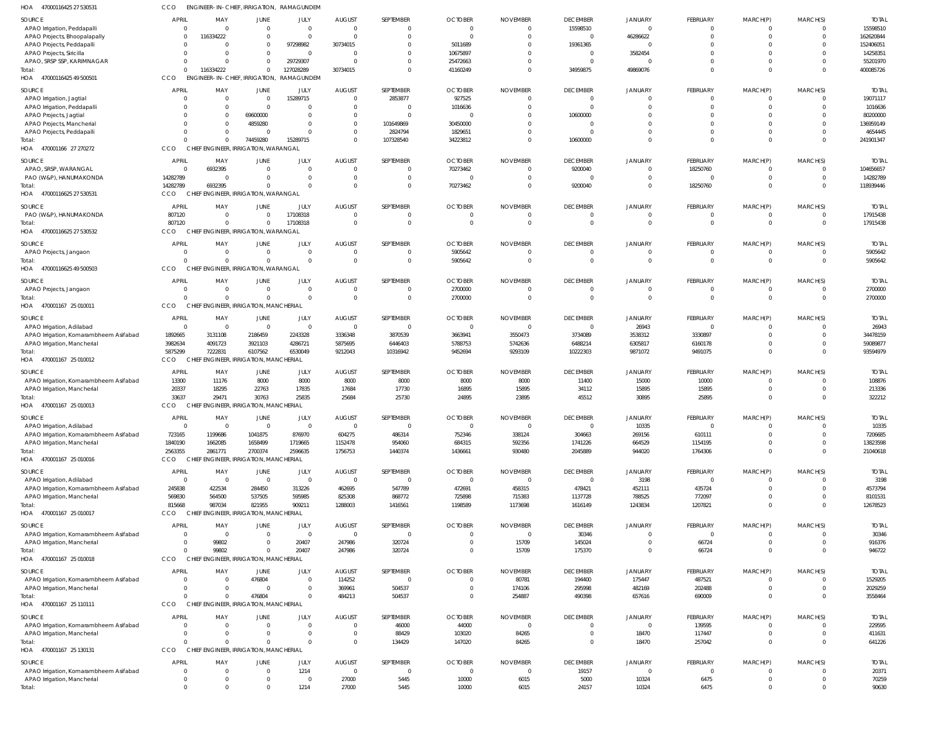| HOA 47000116425 27 530531                                             | CCO                          |                              | ENGINEER-IN-CHIEF, IRRIGATION, RAMAGUNDEM            |                         |                                 |                                  |                               |                                   |                             |                            |                                   |                                  |                 |                         |
|-----------------------------------------------------------------------|------------------------------|------------------------------|------------------------------------------------------|-------------------------|---------------------------------|----------------------------------|-------------------------------|-----------------------------------|-----------------------------|----------------------------|-----------------------------------|----------------------------------|-----------------|-------------------------|
| SOURCE                                                                | <b>APRIL</b>                 | MAY                          | <b>JUNE</b>                                          | JULY                    | <b>AUGUST</b>                   | SEPTEMBER                        | <b>OCTOBER</b>                | <b>NOVEMBER</b>                   | <b>DECEMBER</b>             | <b>JANUARY</b>             | <b>FEBRUARY</b>                   | MARCH(P)                         | MARCH(S)        | <b>TOTAL</b>            |
| APAO Irrigation, Peddapalli                                           | $\mathbf{0}$                 | $\Omega$                     | $\overline{0}$                                       | $\Omega$                | $\overline{0}$                  | $\overline{0}$                   | $\overline{0}$                | $\overline{0}$                    | 15598510                    | $\Omega$                   | $\overline{0}$                    | $\overline{0}$                   | -0              | 15598510                |
| APAO Projects, Bhoopalapally                                          | $\Omega$                     | 116334222                    | $\mathbf 0$                                          | $\Omega$                | $\Omega$                        | $\Omega$                         | $\Omega$                      | $\Omega$                          | $\Omega$                    | 46286622                   | $\Omega$                          | $\Omega$                         | $\Omega$        | 162620844               |
| APAO Projects, Peddapalli<br>APAO Projects, Siricilla                 | $\Omega$<br>$\Omega$         | $\Omega$                     | $\mathbf 0$<br>$\mathbf 0$                           | 97298982<br>$\Omega$    | 30734015<br>$\Omega$            | $\Omega$<br>$\Omega$             | 5011689<br>10675897           | $\mathbf{0}$<br>$\Omega$          | 19361365<br>$\Omega$        | $\Omega$<br>3582454        | $\Omega$<br>$\Omega$              | $\Omega$<br>$\Omega$             |                 | 152406051<br>14258351   |
| APAO, SRSP SSP, KARIMNAGAR                                            | $\Omega$                     | $\Omega$                     | $\mathbf 0$                                          | 29729307                | $\Omega$                        | $\overline{0}$                   | 25472663                      | $\Omega$                          | $\Omega$                    | $\Omega$                   | $\mathbf 0$                       | $\overline{0}$                   |                 | 55201970                |
| Total:                                                                | $\Omega$                     | 116334222                    | $\Omega$                                             | 127028289               | 30734015                        | $\Omega$                         | 41160249                      | $\Omega$                          | 34959875                    | 49869076                   | $\Omega$                          | $\Omega$                         | $\Omega$        | 400085726               |
| 47000116425 49 500501<br>HOA                                          | CCO                          |                              | ENGINEER-IN-CHIEF, IRRIGATION,                       | RAMAGUNDEM              |                                 |                                  |                               |                                   |                             |                            |                                   |                                  |                 |                         |
| SOURCE                                                                | <b>APRIL</b>                 | MAY                          | <b>JUNE</b>                                          | JULY                    | <b>AUGUST</b>                   | SEPTEMBER                        | <b>OCTOBER</b>                | <b>NOVEMBER</b>                   | <b>DECEMBER</b>             | <b>JANUARY</b>             | <b>FEBRUARY</b>                   | MARCH(P)                         | MARCH(S)        | <b>TOTAL</b>            |
| APAO Irrigation, Jagtial                                              | $\overline{0}$               | $\mathbf{0}$                 | $\overline{0}$                                       | 15289715                | $\mathbf{0}$                    | 2853877                          | 927525                        | $\overline{0}$                    | $\Omega$                    | $\Omega$                   | $\overline{0}$                    | $\overline{0}$                   |                 | 19071117                |
| APAO Irrigation, Peddapalli<br>APAO Projects, Jagtial                 | $\Omega$<br>$\Omega$         | $\mathbf{0}$<br>$\mathbf{0}$ | $\overline{0}$<br>69600000                           | $\Omega$<br>$\Omega$    | $\mathbf 0$<br>$\mathbf 0$      | $\overline{0}$<br>$\Omega$       | 1016636<br>$\mathbf 0$        | $\Omega$<br>$\mathbf{0}$          | $\Omega$<br>10600000        |                            | $\Omega$<br>$\Omega$              | $\overline{0}$<br>$\Omega$       |                 | 1016636<br>80200000     |
| APAO Projects, Mancherial                                             | $\Omega$                     | $\Omega$                     | 4859280                                              | $\Omega$                | $\mathbf{0}$                    | 101649869                        | 30450000                      | $\Omega$                          |                             |                            | $\Omega$                          | $\Omega$                         |                 | 136959149               |
| APAO Projects, Peddapalli                                             | $\Omega$                     | $\mathbf{0}$                 | $\overline{0}$                                       | $\Omega$                | $\mathbf 0$                     | 2824794                          | 1829651                       | $\Omega$                          |                             |                            | $\Omega$                          | $\overline{0}$                   |                 | 4654445                 |
| Total:                                                                | $\Omega$                     | $\Omega$                     | 74459280                                             | 15289715                | $\mathbf 0$                     | 107328540                        | 34223812                      | $\Omega$                          | 10600000                    |                            | $\Omega$                          | $\Omega$                         |                 | 241901347               |
| 470001166 27 270272<br>HOA                                            | CCO                          |                              | CHIEF ENGINEER, IRRIGATION, WARANGAL                 |                         |                                 |                                  |                               |                                   |                             |                            |                                   |                                  |                 |                         |
| SOURCE                                                                | <b>APRIL</b>                 | MAY                          | <b>JUNE</b>                                          | JULY                    | <b>AUGUST</b>                   | SEPTEMBER                        | <b>OCTOBER</b>                | <b>NOVEMBER</b>                   | <b>DECEMBER</b>             | <b>JANUARY</b>             | <b>FEBRUARY</b>                   | MARCH(P)                         | MARCH(S)        | <b>TOTAL</b>            |
| APAO, SRSP, WARANGAL<br>PAO (W&P), HANUMAKONDA                        | 14282789                     | 6932395<br>$\Omega$          | $\overline{0}$<br>$\mathbf 0$                        | $\Omega$<br>$\Omega$    | $\mathbf{0}$<br>$\mathbf 0$     | $\overline{0}$<br>$\overline{0}$ | 70273462<br>0                 | $\overline{0}$<br>$\overline{0}$  | 9200040<br>$\Omega$         | $\Omega$<br>$\Omega$       | 18250760<br>$\Omega$              | $\Omega$<br>$\overline{0}$       | - 0<br>$\Omega$ | 104656657<br>14282789   |
| Total:                                                                | 14282789                     | 6932395                      | $\Omega$                                             | $\Omega$                | $\Omega$                        | $\Omega$                         | 70273462                      | $\overline{0}$                    | 9200040                     | $\Omega$                   | 18250760                          | $\Omega$                         | $\Omega$        | 118939446               |
| 47000116625 27 530531<br>HOA                                          | <b>CCO</b>                   |                              | CHIEF ENGINEER, IRRIGATION, WARANGAL                 |                         |                                 |                                  |                               |                                   |                             |                            |                                   |                                  |                 |                         |
| SOURCE                                                                | <b>APRIL</b>                 | MAY                          | <b>JUNE</b>                                          | JULY                    | <b>AUGUST</b>                   | SEPTEMBER                        | <b>OCTOBER</b>                | <b>NOVEMBER</b>                   | <b>DECEMBER</b>             | <b>JANUARY</b>             | <b>FEBRUARY</b>                   | MARCH(P)                         | MARCH(S)        | <b>TOTAL</b>            |
| PAO (W&P), HANUMAKONDA                                                | 807120                       | $\mathbf{0}$                 | $\overline{0}$                                       | 17108318                | $\overline{0}$                  | $\overline{0}$                   | $\overline{0}$                | $\overline{0}$                    | $\Omega$                    | $\Omega$                   | $\overline{0}$                    | $\overline{0}$                   |                 | 17915438                |
| Total:                                                                | 807120                       | $\mathbf{0}$                 | $\overline{0}$                                       | 17108318                | $\mathbf{0}$                    | $\overline{0}$                   | $\mathbf 0$                   | $\overline{0}$                    | $\Omega$                    | $\Omega$                   | $\Omega$                          | $\Omega$                         |                 | 17915438                |
| 47000116625 27 530532<br>HOA                                          | CCO                          |                              | CHIEF ENGINEER, IRRIGATION, WARANGAL                 |                         |                                 |                                  |                               |                                   |                             |                            |                                   |                                  |                 |                         |
| SOURCE                                                                | <b>APRIL</b>                 | MAY                          | <b>JUNE</b>                                          | JULY                    | <b>AUGUST</b>                   | SEPTEMBER                        | <b>OCTOBER</b>                | <b>NOVEMBER</b>                   | <b>DECEMBER</b>             | <b>JANUARY</b>             | <b>FEBRUARY</b>                   | MARCH(P)                         | MARCH(S)        | <b>TOTAL</b>            |
| APAO Projects, Jangaon                                                | $\Omega$                     | $\Omega$                     | $\overline{0}$                                       | $\Omega$                | $\overline{0}$                  | $\Omega$                         | 5905642                       | $\Omega$                          | $\Omega$                    |                            | $\overline{0}$                    | $\Omega$                         | -0              | 5905642                 |
| Total:<br>HOA 47000116625 49 500503                                   | $\Omega$<br>CCO              | $\Omega$                     | $\mathbf{0}$<br>CHIEF ENGINEER, IRRIGATION, WARANGAL | $\Omega$                | $\mathbf{0}$                    | $\overline{0}$                   | 5905642                       | $\overline{0}$                    | $\Omega$                    | $\Omega$                   | $\overline{0}$                    | $\Omega$                         | $\mathbf 0$     | 5905642                 |
|                                                                       |                              |                              |                                                      |                         |                                 |                                  |                               |                                   |                             |                            |                                   |                                  |                 |                         |
| SOURCE<br>APAO Projects, Jangaon                                      | <b>APRIL</b><br>$\mathbf{0}$ | MAY<br>$\mathbf{0}$          | <b>JUNE</b><br>$\overline{0}$                        | <b>JULY</b><br>$\Omega$ | <b>AUGUST</b><br>$\overline{0}$ | SEPTEMBER<br>$\overline{0}$      | <b>OCTOBER</b><br>2700000     | <b>NOVEMBER</b><br>$\overline{0}$ | <b>DECEMBER</b><br>$\Omega$ | <b>JANUARY</b><br>$\Omega$ | <b>FEBRUARY</b><br>$\overline{0}$ | MARCH(P)<br>$\overline{0}$       | MARCH(S)        | <b>TOTAL</b><br>2700000 |
| Total:                                                                | $\cap$                       | $\Omega$                     | $\mathbf 0$                                          | $\Omega$                | $\mathbf{0}$                    | $\overline{0}$                   | 2700000                       | $\overline{0}$                    | $\Omega$                    |                            | $\Omega$                          | $\Omega$                         | $\Omega$        | 2700000                 |
| HOA 470001167 25 010011                                               | CCO                          |                              | CHIEF ENGINEER, IRRIGATION, MANCHERIAL               |                         |                                 |                                  |                               |                                   |                             |                            |                                   |                                  |                 |                         |
| SOURCE                                                                | <b>APRIL</b>                 | MAY                          | JUNE                                                 | JULY                    | <b>AUGUST</b>                   | SEPTEMBER                        | <b>OCTOBER</b>                | <b>NOVEMBER</b>                   | <b>DECEMBER</b>             | <b>JANUARY</b>             | <b>FEBRUARY</b>                   | MARCH(P)                         | MARCH(S)        | <b>TOTAL</b>            |
| APAO Irrigation, Adilabad                                             | $\overline{0}$               | $\overline{0}$               | $\overline{0}$                                       | $\Omega$                | $\overline{0}$                  | $\overline{0}$                   | $\overline{0}$                | $\overline{0}$                    | $\Omega$                    | 26943                      | $\Omega$                          | $\Omega$                         | -0              | 26943                   |
| APAO Irrigation, Komarambheem Asifabad                                | 1892665                      | 3131108                      | 2186459                                              | 2243328                 | 3336348                         | 3870539                          | 3663941                       | 3550473                           | 3734089                     | 3538312                    | 3330897                           | $\overline{0}$                   | $\Omega$        | 34478159                |
| APAO Irrigation, Mancherial                                           | 3982634                      | 4091723                      | 3921103                                              | 4286721                 | 5875695                         | 6446403                          | 5788753                       | 5742636                           | 6488214                     | 6305817                    | 6160178                           | $\overline{0}$                   |                 | 59089877                |
| Total:<br>HOA 470001167 25 010012                                     | 5875299<br>CCO               | 7222831                      | 6107562<br>CHIEF ENGINEER, IRRIGATION, MANCHERIAL    | 6530049                 | 9212043                         | 10316942                         | 9452694                       | 9293109                           | 10222303                    | 9871072                    | 9491075                           | $\Omega$                         | $\Omega$        | 93594979                |
|                                                                       |                              |                              |                                                      |                         |                                 |                                  |                               |                                   |                             |                            |                                   |                                  |                 |                         |
| SOURCE                                                                | <b>APRIL</b><br>13300        | MAY<br>11176                 | JUNE<br>8000                                         | JULY<br>8000            | <b>AUGUST</b><br>8000           | SEPTEMBER<br>8000                | <b>OCTOBER</b><br>8000        | <b>NOVEMBER</b><br>8000           | <b>DECEMBER</b><br>11400    | <b>JANUARY</b><br>15000    | <b>FEBRUARY</b><br>10000          | MARCH(P)<br>$\overline{0}$       | MARCH(S)        | <b>TOTAL</b><br>108876  |
| APAO Irrigation, Komarambheem Asifabad<br>APAO Irrigation, Mancherial | 20337                        | 18295                        | 22763                                                | 17835                   | 17684                           | 17730                            | 16895                         | 15895                             | 34112                       | 15895                      | 15895                             | $\overline{0}$                   |                 | 213336                  |
| Total:                                                                | 33637                        | 29471                        | 30763                                                | 25835                   | 25684                           | 25730                            | 24895                         | 23895                             | 45512                       | 30895                      | 25895                             | $\Omega$                         |                 | 322212                  |
| HOA 470001167 25 010013                                               | CCO                          |                              | CHIEF ENGINEER, IRRIGATION, MANCHERIAL               |                         |                                 |                                  |                               |                                   |                             |                            |                                   |                                  |                 |                         |
| SOURCE                                                                | <b>APRIL</b>                 | MAY                          | JUNE                                                 | JULY                    | <b>AUGUST</b>                   | SEPTEMBER                        | <b>OCTOBER</b>                | <b>NOVEMBER</b>                   | <b>DECEMBER</b>             | <b>JANUARY</b>             | <b>FEBRUARY</b>                   | MARCH(P)                         | MARCH(S)        | <b>TOTAL</b>            |
| APAO Irrigation, Adilabad                                             | $\overline{0}$               | $\Omega$                     | $\overline{0}$                                       | $\Omega$                | $\overline{0}$                  | $\overline{0}$                   | $\overline{0}$                | $\overline{0}$                    | $\Omega$                    | 10335                      | $\Omega$                          | $\Omega$                         |                 | 10335                   |
| APAO Irrigation, Komarambheem Asifabad                                | 723165                       | 1199686                      | 1041875                                              | 876970                  | 604275                          | 486314                           | 752346                        | 338124                            | 304663                      | 269156                     | 610111                            | $\overline{0}$                   | $\Omega$        | 7206685                 |
| APAO Irrigation, Mancherial<br>Total:                                 | 1840190<br>2563355           | 1662085<br>2861771           | 1658499<br>2700374                                   | 1719665<br>2596635      | 1152478<br>1756753              | 954060<br>1440374                | 684315<br>1436661             | 592356<br>930480                  | 1741226<br>2045889          | 664529<br>944020           | 1154195<br>1764306                | $\Omega$<br>$\Omega$             | $\Omega$        | 13823598<br>21040618    |
| HOA 470001167 25 010016                                               | CCO                          |                              | CHIEF ENGINEER, IRRIGATION, MANCHERIAL               |                         |                                 |                                  |                               |                                   |                             |                            |                                   |                                  |                 |                         |
| SOURCE                                                                | APRIL                        | MAY                          | JUNE                                                 | <b>JULY</b>             | <b>AUGUST</b>                   | SEPTEMBER                        | <b>OCTOBER</b>                | <b>NOVEMBER</b>                   | <b>DECEMBER</b>             | <b>JANUARY</b>             | <b>FEBRUARY</b>                   | MARCH(P)                         | MARCH(S)        | <b>TOTAL</b>            |
| APAO Irrigation, Adilabad                                             | $\overline{0}$               | $\overline{0}$               | $\mathbf{0}$                                         | $\overline{0}$          | $\mathbf{0}$                    | $\overline{0}$                   | $\mathbf{0}$                  | $\overline{0}$                    | $\Omega$                    | 3198                       | $\overline{0}$                    | $\overline{0}$                   |                 | 3198                    |
| APAO Irrigation, Komarambheem Asifabad                                | 245838                       | 422534                       | 284450                                               | 313226                  | 462695                          | 547789                           | 472691                        | 458315                            | 478421                      | 452111                     | 435724                            | $\overline{0}$                   |                 | 4573794                 |
| APAO Irrigation, Mancherial                                           | 569830                       | 564500                       | 537505                                               | 595985                  | 825308                          | 868772                           | 725898                        | 715383                            | 1137728                     | 788525                     | 772097                            | $\Omega$                         |                 | 8101531                 |
| Total:                                                                | 815668                       | 987034                       | 821955                                               | 909211                  | 1288003                         | 1416561                          | 1198589                       | 1173698                           | 1616149                     | 1243834                    | 1207821                           | $\Omega$                         |                 | 12678523                |
| HOA 470001167 25 010017                                               | CCO                          |                              | CHIEF ENGINEER, IRRIGATION, MANCHERIAL               |                         |                                 |                                  |                               |                                   |                             |                            |                                   |                                  |                 |                         |
| SOURCE                                                                | <b>APRIL</b>                 | MAY                          | JUNE                                                 | JULY                    | <b>AUGUST</b>                   | SEPTEMBER                        | <b>OCTOBER</b>                | <b>NOVEMBER</b>                   | <b>DECEMBER</b>             | <b>JANUARY</b>             | <b>FEBRUARY</b>                   | MARCH(P)                         | MARCH(S)        | <b>TOTAL</b>            |
| APAO Irrigation, Komarambheem Asifabad<br>APAO Irrigation, Mancherial | $\overline{0}$<br>$\Omega$   | $\overline{0}$<br>99802      | $\overline{0}$<br>$\overline{0}$                     | $\Omega$<br>20407       | $\overline{0}$<br>247986        | $\Omega$<br>320724               | $\overline{0}$<br>$\mathbf 0$ | $\overline{0}$<br>15709           | 30346<br>145024             | $\Omega$<br>$\Omega$       | $\overline{0}$<br>66724           | $\Omega$<br>$\overline{0}$       | $\Omega$        | 30346<br>916376         |
| Total:                                                                | $\Omega$                     | 99802                        | $\mathbf 0$                                          | 20407                   | 247986                          | 320724                           | $\mathbf 0$                   | 15709                             | 175370                      | $\Omega$                   | 66724                             | $\Omega$                         | $\Omega$        | 946722                  |
| HOA 470001167 25 010018                                               | CCO                          |                              | CHIEF ENGINEER, IRRIGATION, MANCHERIAL               |                         |                                 |                                  |                               |                                   |                             |                            |                                   |                                  |                 |                         |
| SOURCE                                                                | <b>APRIL</b>                 | MAY                          | JUNE                                                 | <b>JULY</b>             | <b>AUGUST</b>                   | SEPTEMBER                        | <b>OCTOBER</b>                | <b>NOVEMBER</b>                   | <b>DECEMBER</b>             | <b>JANUARY</b>             | <b>FEBRUARY</b>                   | MARCH(P)                         | MARCH(S)        | <b>TOTAL</b>            |
| APAO Irrigation, Komarambheem Asifabad                                | $\overline{0}$               | $\mathbf{0}$                 | 476804                                               | $\Omega$                | 114252                          | $\overline{0}$                   | $\overline{0}$                | 80781                             | 194400                      | 175447                     | 487521                            | $\overline{0}$                   |                 | 1529205                 |
| APAO Irrigation, Mancherial                                           | $\mathbf{0}$                 | $\mathbf{0}$                 | $\overline{0}$                                       | $\Omega$                | 369961                          | 504537                           | $\mathbf 0$                   | 174106                            | 295998                      | 482169                     | 202488                            | $\overline{0}$                   |                 | 2029259                 |
| Total:                                                                | $\Omega$                     | $\Omega$                     | 476804                                               | $\Omega$                | 484213                          | 504537                           | $\mathbf 0$                   | 254887                            | 490398                      | 657616                     | 690009                            | $\Omega$                         |                 | 3558464                 |
| HOA 470001167 25 110111                                               | CCO                          |                              | CHIEF ENGINEER, IRRIGATION, MANCHERIAL               |                         |                                 |                                  |                               |                                   |                             |                            |                                   |                                  |                 |                         |
| SOURCE                                                                | <b>APRIL</b>                 | MAY                          | <b>JUNE</b>                                          | <b>JULY</b>             | <b>AUGUST</b>                   | SEPTEMBER                        | <b>OCTOBER</b>                | <b>NOVEMBER</b>                   | <b>DECEMBER</b>             | <b>JANUARY</b>             | <b>FEBRUARY</b>                   | MARCH(P)                         | MARCH(S)        | <b>TOTAL</b>            |
| APAO Irrigation, Komarambheem Asifabad<br>APAO Irrigation, Mancherial | $\Omega$<br>$\Omega$         | $\Omega$<br>$\Omega$         | $\overline{0}$<br>$\overline{0}$                     | $\Omega$<br>$\Omega$    | $\overline{0}$<br>$\mathbf 0$   | 46000<br>88429                   | 44000<br>103020               | $\Omega$<br>84265                 | $\Omega$<br>$\Omega$        | $\Omega$<br>18470          | 139595<br>117447                  | $\overline{0}$<br>$\overline{0}$ | - 0<br>$\Omega$ | 229595<br>411631        |
| Total:                                                                | $\Omega$                     | $\Omega$                     | $\mathbf 0$                                          | $\Omega$                | $\mathbf 0$                     | 134429                           | 147020                        | 84265                             | $\Omega$                    | 18470                      | 257042                            | $\Omega$                         | $\Omega$        | 641226                  |
| HOA 470001167 25 130131                                               | CCO                          |                              | CHIEF ENGINEER, IRRIGATION, MANCHERIAL               |                         |                                 |                                  |                               |                                   |                             |                            |                                   |                                  |                 |                         |
| SOURCE                                                                | <b>APRIL</b>                 | MAY                          | JUNE                                                 | <b>JULY</b>             | <b>AUGUST</b>                   | SEPTEMBER                        | <b>OCTOBER</b>                | <b>NOVEMBER</b>                   | <b>DECEMBER</b>             | <b>JANUARY</b>             | <b>FEBRUARY</b>                   | MARCH(P)                         | MARCH(S)        | <b>TOTAL</b>            |
| APAO Irrigation, Komarambheem Asifabad                                | $\mathbf{0}$                 | $\overline{0}$               | $\overline{0}$                                       | 1214                    | $\overline{0}$                  | $\overline{0}$                   | $\overline{0}$                | $\overline{0}$                    | 19157                       | $\Omega$                   | $\overline{0}$                    | $\Omega$                         |                 | 20371                   |
| APAO Irrigation, Mancherial                                           | $\mathbf{0}$                 | $\mathbf{0}$                 | $\mathbf 0$                                          | $\Omega$                | 27000                           | 5445                             | 10000                         | 6015                              | 5000                        | 10324                      | 6475                              | $\overline{0}$                   |                 | 70259                   |
| Total:                                                                | $\Omega$                     | $\Omega$                     | $\Omega$                                             | 1214                    | 27000                           | 5445                             | 10000                         | 6015                              | 24157                       | 10324                      | 6475                              | $\Omega$                         |                 | 90630                   |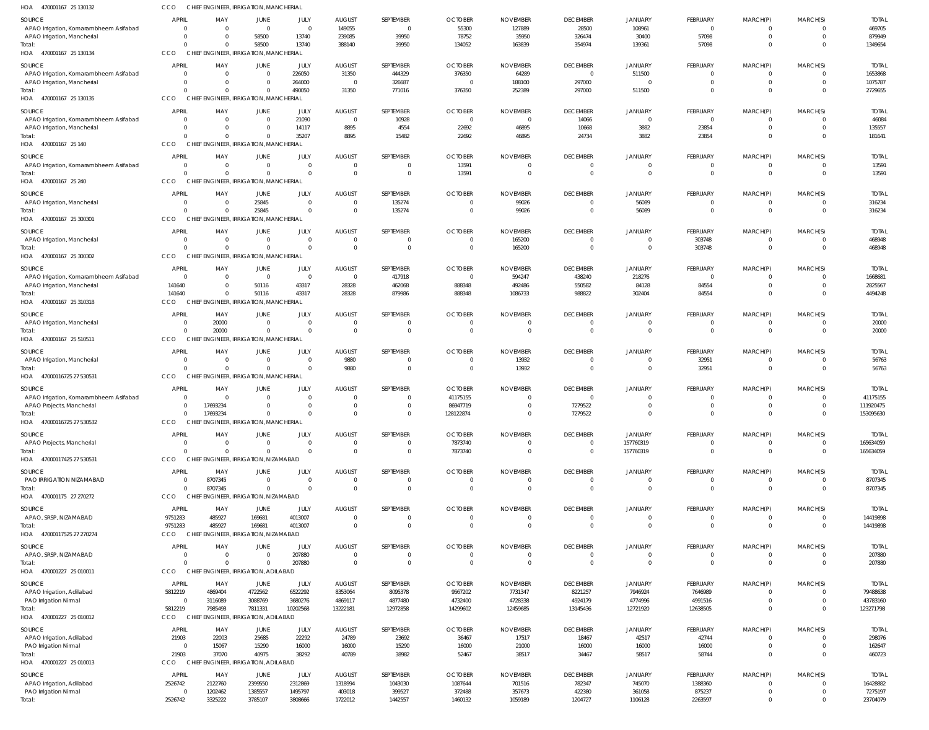| HOA 470001167 25 130132                          | CCO                            | CHIEF ENGINEER, IRRIGATION, MANCHERIAL             |                            |                            |                                  |                            |                                  |                                   |                                   |                                  |                               |                               |                            |                           |
|--------------------------------------------------|--------------------------------|----------------------------------------------------|----------------------------|----------------------------|----------------------------------|----------------------------|----------------------------------|-----------------------------------|-----------------------------------|----------------------------------|-------------------------------|-------------------------------|----------------------------|---------------------------|
| SOURCE                                           | <b>APRIL</b>                   | MAY                                                | JUNE                       | JULY                       | <b>AUGUST</b>                    | SEPTEMBER                  | <b>OCTOBER</b>                   | <b>NOVEMBER</b>                   | <b>DECEMBER</b>                   | <b>JANUARY</b>                   | FEBRUARY                      | MARCH(P)                      | MARCH(S)                   | <b>TOTAI</b>              |
| APAO Irrigation, Komarambheem Asifabad           | $\Omega$                       | $\overline{\mathbf{0}}$                            | $\Omega$                   | $\Omega$                   | 149055                           | $\mathbf 0$                | 55300                            | 127889                            | 28500                             | 108961                           | $\mathbf 0$                   | $\Omega$                      | $\Omega$                   | 469705                    |
| APAO Irrigation, Mancherial                      | $\Omega$<br>$\Omega$           | $\Omega$                                           | 58500                      | 13740                      | 239085                           | 39950                      | 78752                            | 35950                             | 326474                            | 30400                            | 57098                         | $\mathbf 0$                   | $\Omega$                   | 879949                    |
| Total:<br>HOA 470001167 25 130134                | CCO                            | $\Omega$<br>CHIEF ENGINEER, IRRIGATION, MANCHERIAL | 58500                      | 13740                      | 388140                           | 39950                      | 134052                           | 163839                            | 354974                            | 139361                           | 57098                         | $\mathbf 0$                   | $\Omega$                   | 1349654                   |
|                                                  |                                |                                                    |                            |                            |                                  |                            |                                  |                                   |                                   |                                  |                               |                               |                            |                           |
| SOURCE<br>APAO Irrigation, Komarambheem Asifabad | <b>APRIL</b><br>$\overline{0}$ | MAY<br>$\overline{0}$                              | JUNE<br>$\mathbf 0$        | JULY<br>226050             | <b>AUGUST</b><br>31350           | SEPTEMBER<br>444329        | <b>OCTOBER</b><br>376350         | <b>NOVEMBER</b><br>64289          | <b>DECEMBER</b><br>$\overline{0}$ | <b>JANUARY</b><br>511500         | FEBRUARY<br>$\mathbf 0$       | MARCH(P)<br>$\mathbf 0$       | MARCH(S)<br>$\Omega$       | <b>TOTAL</b><br>1653868   |
| APAO Irrigation, Mancherial                      | $\overline{0}$                 | $\overline{0}$                                     | $\mathbf 0$                | 264000                     | $\overline{0}$                   | 326687                     | $\overline{0}$                   | 188100                            | 297000                            | $\Omega$                         | $\mathbf 0$                   | $\mathbf 0$                   | $\Omega$                   | 1075787                   |
| Total:                                           | $\Omega$                       | $\Omega$                                           | $\Omega$                   | 490050                     | 31350                            | 771016                     | 376350                           | 252389                            | 297000                            | 511500                           | $\mathbf 0$                   | $\mathbf 0$                   | $\overline{0}$             | 2729655                   |
| HOA 470001167 25 130135                          | CCO                            | CHIEF ENGINEER, IRRIGATION, MANCHERIAL             |                            |                            |                                  |                            |                                  |                                   |                                   |                                  |                               |                               |                            |                           |
| SOURCE                                           | <b>APRIL</b>                   | MAY                                                | JUNE                       | JULY                       | <b>AUGUST</b>                    | SEPTEMBER                  | <b>OCTOBER</b>                   | <b>NOVEMBER</b>                   | <b>DECEMBER</b>                   | <b>JANUARY</b>                   | FEBRUARY                      | MARCH(P)                      | MARCH(S)                   | <b>TOTAL</b>              |
| APAO Irrigation, Komarambheem Asifabad           | $\overline{0}$                 | $\overline{0}$                                     | $\Omega$                   | 21090                      | $\overline{0}$                   | 10928                      | $\overline{0}$                   | $\overline{0}$                    | 14066                             | $\Omega$                         | $\overline{0}$                | $^{\circ}$                    | $\Omega$                   | 46084                     |
| APAO Irrigation, Mancherial<br>Total:            | $\overline{0}$<br>$\Omega$     | $\overline{0}$<br>$\Omega$                         | $\Omega$<br>$\Omega$       | 14117<br>35207             | 8895<br>8895                     | 4554<br>15482              | 22692<br>22692                   | 46895<br>46895                    | 10668<br>24734                    | 3882<br>3882                     | 23854<br>23854                | $\mathbf 0$<br>$\mathbf 0$    | $\Omega$<br>$\Omega$       | 135557<br>181641          |
| HOA 470001167 25 140                             | CCO                            | CHIEF ENGINEER, IRRIGATION, MANCHERIAL             |                            |                            |                                  |                            |                                  |                                   |                                   |                                  |                               |                               |                            |                           |
| SOURCE                                           | <b>APRIL</b>                   | MAY                                                | JUNE                       | JULY                       | <b>AUGUST</b>                    | SEPTEMBER                  | <b>OCTOBER</b>                   | <b>NOVEMBER</b>                   | <b>DECEMBER</b>                   | <b>JANUARY</b>                   | FEBRUARY                      | MARCH(P)                      | MARCH(S)                   | <b>TOTAL</b>              |
| APAO Irrigation, Komarambheem Asifabad           | $\overline{0}$                 | $\overline{\mathbf{0}}$                            | $\Omega$                   | $\Omega$                   | $\overline{0}$                   | 0                          | 13591                            | $\overline{0}$                    | $\overline{0}$                    | $\overline{0}$                   | $\mathbf 0$                   | $\mathbf 0$                   | $\Omega$                   | 13591                     |
| Total:                                           | $\Omega$                       | $\overline{0}$                                     | $\Omega$                   | $\Omega$                   | $\overline{0}$                   | $\mathbf 0$                | 13591                            | $\overline{0}$                    | $\overline{0}$                    | $\overline{0}$                   | $\mathbf 0$                   | $\mathbf 0$                   | $\overline{0}$             | 13591                     |
| HOA 470001167 25 240                             | CCO                            | CHIEF ENGINEER, IRRIGATION, MANCHERIAL             |                            |                            |                                  |                            |                                  |                                   |                                   |                                  |                               |                               |                            |                           |
| SOURCE                                           | <b>APRIL</b>                   | MAY                                                | JUNE                       | JULY                       | <b>AUGUST</b>                    | SEPTEMBER                  | <b>OCTOBER</b>                   | <b>NOVEMBER</b>                   | <b>DECEMBER</b>                   | <b>JANUARY</b>                   | FEBRUARY                      | MARCH(P)                      | MARCH(S)                   | <b>TOTAI</b>              |
| APAO Irrigation, Mancherial                      | $\overline{0}$                 | $\overline{0}$                                     | 25845                      | $\Omega$                   | $\overline{0}$                   | 135274                     | $\mathbf 0$                      | 99026                             | $\overline{0}$                    | 56089                            | $\mathbf 0$                   | $\mathbf 0$                   | $\Omega$                   | 316234                    |
| Total:<br>HOA 470001167 25 300301                | $\Omega$<br>CCO                | $\Omega$<br>CHIEF ENGINEER, IRRIGATION, MANCHERIAL | 25845                      | $\Omega$                   | $\overline{0}$                   | 135274                     | $\overline{0}$                   | 99026                             | $\overline{0}$                    | 56089                            | $\mathbf 0$                   | $\overline{0}$                | $\Omega$                   | 316234                    |
|                                                  |                                |                                                    |                            |                            |                                  |                            |                                  |                                   |                                   |                                  |                               |                               |                            |                           |
| SOURCE<br>APAO Irrigation, Mancherial            | <b>APRIL</b><br>$\overline{0}$ | MAY<br>$\overline{0}$                              | JUNE<br>$\Omega$           | JULY<br>$\Omega$           | <b>AUGUST</b><br>$\overline{0}$  | SEPTEMBER<br>$\mathbf 0$   | <b>OCTOBER</b><br>$\overline{0}$ | <b>NOVEMBER</b><br>165200         | <b>DECEMBER</b><br>$\overline{0}$ | <b>JANUARY</b><br>$\overline{0}$ | <b>FEBRUARY</b><br>303748     | MARCH(P)<br>$\mathbf 0$       | MARCH(S)<br>$\Omega$       | <b>TOTAL</b><br>468948    |
| Total:                                           | $\Omega$                       | $\Omega$                                           | $\Omega$                   | $\Omega$                   | $\Omega$                         | $\mathbf 0$                | $\overline{0}$                   | 165200                            | $\overline{0}$                    | $\overline{0}$                   | 303748                        | $\overline{0}$                | $\Omega$                   | 468948                    |
| HOA 470001167 25 300302                          | CCO                            | CHIEF ENGINEER, IRRIGATION, MANCHERIAL             |                            |                            |                                  |                            |                                  |                                   |                                   |                                  |                               |                               |                            |                           |
| SOURCE                                           | <b>APRIL</b>                   | MAY                                                | JUNE                       | JULY                       | <b>AUGUST</b>                    | SEPTEMBER                  | <b>OCTOBER</b>                   | <b>NOVEMBER</b>                   | <b>DECEMBER</b>                   | <b>JANUARY</b>                   | FEBRUARY                      | MARCH(P)                      | MARCH(S)                   | <b>TOTAI</b>              |
| APAO Irrigation, Komarambheem Asifabad           | $\overline{0}$                 | $\overline{\mathbf{0}}$                            | $\mathbf{0}$               | $\Omega$                   | $\overline{0}$                   | 417918                     | $\overline{0}$                   | 594247                            | 438240                            | 218276                           | $\overline{0}$                | $\Omega$                      | $\Omega$                   | 1668681                   |
| APAO Irrigation, Mancherial                      | 141640                         | $\overline{0}$                                     | 50116                      | 43317                      | 28328                            | 462068                     | 888348                           | 492486                            | 550582                            | 84128                            | 84554                         | $\mathbf 0$                   | $\Omega$                   | 2825567                   |
| Total:                                           | 141640                         | $\Omega$                                           | 50116                      | 43317                      | 28328                            | 879986                     | 888348                           | 1086733                           | 988822                            | 302404                           | 84554                         | $\mathbf 0$                   | $\Omega$                   | 4494248                   |
| HOA 470001167 25 310318                          | CCO                            | CHIEF ENGINEER, IRRIGATION, MANCHERIAL             |                            |                            |                                  |                            |                                  |                                   |                                   |                                  |                               |                               |                            |                           |
| SOURCE                                           | APRIL                          | MAY                                                | JUNE                       | JULY                       | <b>AUGUST</b>                    | SEPTEMBER                  | <b>OCTOBER</b>                   | <b>NOVEMBER</b>                   | <b>DECEMBER</b>                   | <b>JANUARY</b>                   | FEBRUARY                      | MARCH(P)                      | MARCH(S)                   | <b>TOTAL</b>              |
| APAO Irrigation, Mancherial<br>Total:            | $\overline{0}$<br>$\Omega$     | 20000<br>20000                                     | $\Omega$<br>$\Omega$       | $\Omega$<br>$\overline{0}$ | $\overline{0}$<br>$\overline{0}$ | $\mathbf 0$<br>$\mathbf 0$ | $\overline{0}$<br>$\overline{0}$ | $\overline{0}$<br>$\overline{0}$  | $\overline{0}$<br>$\overline{0}$  | $\overline{0}$<br>$\overline{0}$ | $\mathbf 0$<br>$\overline{0}$ | $\mathbf 0$<br>$\overline{0}$ | $\Omega$<br>$\overline{0}$ | 20000<br>20000            |
| HOA 470001167 25 510511                          | CCO                            | CHIEF ENGINEER, IRRIGATION, MANCHERIAL             |                            |                            |                                  |                            |                                  |                                   |                                   |                                  |                               |                               |                            |                           |
| SOURCE                                           | <b>APRIL</b>                   | MAY                                                | JUNE                       | JULY                       | <b>AUGUST</b>                    | SEPTEMBER                  | <b>OCTOBER</b>                   | <b>NOVEMBER</b>                   | <b>DECEMBER</b>                   | <b>JANUARY</b>                   | FEBRUARY                      | MARCH(P)                      | MARCH(S)                   | <b>TOTAL</b>              |
| APAO Irrigation, Mancherial                      | $\overline{0}$                 | $\overline{\mathbf{0}}$                            | $\Omega$                   | $\Omega$                   | 9880                             | 0                          | $^{\circ}$                       | 13932                             | $\overline{0}$                    | $\overline{0}$                   | 32951                         | $^{\circ}$                    | $\Omega$                   | 56763                     |
| Total:                                           | $\Omega$                       | $\Omega$                                           | $\Omega$                   | $\Omega$                   | 9880                             | 0                          | $\overline{0}$                   | 13932                             | $\overline{0}$                    | $\overline{0}$                   | 32951                         | $\mathbf 0$                   | $\overline{0}$             | 56763                     |
| HOA 47000116725 27 530531                        | CCO                            | CHIEF ENGINEER, IRRIGATION, MANCHERIAL             |                            |                            |                                  |                            |                                  |                                   |                                   |                                  |                               |                               |                            |                           |
| SOURCE                                           | <b>APRIL</b>                   | MAY                                                | JUNE                       | JULY                       | <b>AUGUST</b>                    | SEPTEMBER                  | <b>OCTOBER</b>                   | <b>NOVEMBER</b>                   | <b>DECEMBER</b>                   | <b>JANUARY</b>                   | FEBRUARY                      | MARCH(P)                      | MARCH(S)                   | <b>TOTAI</b>              |
| APAO Irrigation, Komarambheem Asifabad           | $\overline{0}$                 | $\overline{\mathbf{0}}$                            | $\Omega$                   | $\Omega$                   | $\overline{0}$                   | 0                          | 41175155                         | $\Omega$                          | $\overline{0}$                    | $\Omega$                         | -0                            | $\Omega$                      | $\Omega$                   | 41175155                  |
| APAO Projects, Mancherial                        | $\Omega$                       | 17693234                                           | $\Omega$                   | $\Omega$                   | $\overline{0}$                   | $\Omega$                   | 86947719                         | $\overline{0}$                    | 7279522                           | $\Omega$                         | $\mathbf 0$                   | $\Omega$                      | $\Omega$                   | 111920475                 |
| Total:<br>HOA 47000116725 27 530532              | $\Omega$<br>CCO                | 17693234<br>CHIEF ENGINEER, IRRIGATION, MANCHERIAL | $\Omega$                   | $\Omega$                   | $\cap$                           | $\Omega$                   | 128122874                        | $\Omega$                          | 7279522                           | $\Omega$                         | $\Omega$                      | $\Omega$                      | $\Omega$                   | 153095630                 |
|                                                  |                                |                                                    |                            |                            |                                  |                            |                                  |                                   |                                   |                                  |                               |                               |                            |                           |
| SOURCE                                           | APRIL<br>$\overline{0}$        | MAY<br>$\overline{\mathbf{0}}$                     | JUNE<br>$\Omega$           | JULY<br>$\Omega$           | <b>AUGUST</b><br>$\overline{0}$  | SEPTEMBER<br>$\mathbf 0$   | <b>OCTOBER</b><br>7873740        | <b>NOVEMBER</b><br>$\overline{0}$ | <b>DECEMBER</b><br>$\overline{0}$ | <b>JANUARY</b><br>157760319      | FEBRUARY<br>$^{\circ}$        | MARCH(P)<br>$^{\circ}$        | MARCH(S)<br>$\overline{0}$ | <b>TOTAL</b><br>165634059 |
| APAO Projects, Mancherial<br>Total:              | $\Omega$                       | $\Omega$                                           | $\Omega$                   | $\Omega$                   | $\overline{0}$                   | $\mathbf 0$                | 7873740                          | $\overline{0}$                    | $\overline{0}$                    | 157760319                        | $\mathbf 0$                   | $\overline{0}$                | $\overline{0}$             | 165634059                 |
| HOA 47000117425 27 530531                        | CCO                            | CHIEF ENGINEER, IRRIGATION, NIZAMABAD              |                            |                            |                                  |                            |                                  |                                   |                                   |                                  |                               |                               |                            |                           |
| SOURCE                                           | <b>APRIL</b>                   | MAY                                                | JUNE                       | JULY                       | <b>AUGUST</b>                    | SEPTEMBER                  | <b>OCTOBER</b>                   | <b>NOVEMBER</b>                   | <b>DECEMBER</b>                   | <b>JANUARY</b>                   | FEBRUARY                      | MARCH(P)                      | MARCH(S)                   | <b>TOTAL</b>              |
| PAO IRRIGATION NIZAMABAD                         | $\overline{0}$                 | 8707345                                            | $\Omega$                   | $\Omega$                   | $\overline{0}$                   | $\mathbf 0$                | $\overline{0}$                   | $\overline{0}$                    | $\overline{0}$                    | $\overline{0}$                   | $\overline{0}$                | $\mathbf 0$                   | $\Omega$                   | 8707345                   |
| Total:                                           | $\Omega$                       | 8707345                                            | $\Omega$                   | $\Omega$                   | $\overline{0}$                   | $\mathbf 0$                | $\overline{0}$                   | $\overline{0}$                    | $\overline{0}$                    | $\overline{0}$                   | $\mathbf 0$                   | $\mathbf 0$                   | $\overline{0}$             | 8707345                   |
| HOA 470001175 27 270272                          | CCO                            | CHIEF ENGINEER, IRRIGATION, NIZAMABAD              |                            |                            |                                  |                            |                                  |                                   |                                   |                                  |                               |                               |                            |                           |
| SOURCE                                           | APRIL                          | MAY                                                | JUNE                       | JULY                       | <b>AUGUST</b>                    | SEPTEMBER                  | <b>OCTOBER</b>                   | <b>NOVEMBER</b>                   | <b>DECEMBER</b>                   | <b>JANUARY</b>                   | <b>FEBRUARY</b>               | MARCH(P)                      | MARCH(S)                   | <b>TOTAI</b>              |
| APAO, SRSP, NIZAMABAD                            | 9751283                        | 485927                                             | 169681                     | 4013007                    | $\overline{0}$                   | 0                          | $\mathbf 0$                      | $\overline{0}$                    | $\overline{0}$                    | $\overline{0}$                   | $\mathbf 0$                   | $\mathbf 0$                   | $\Omega$                   | 14419898                  |
| Total:                                           | 9751283                        | 485927                                             | 169681                     | 4013007                    | $\overline{0}$                   | $\Omega$                   | $\Omega$                         | $\Omega$                          | $\overline{0}$                    | $\Omega$                         | $\Omega$                      | $\overline{0}$                | $\Omega$                   | 14419898                  |
| HOA 47000117525 27 270274                        | <b>CCO</b>                     | CHIEF ENGINEER, IRRIGATION, NIZAMABAD              |                            |                            |                                  |                            |                                  |                                   |                                   |                                  |                               |                               |                            |                           |
| SOURCE                                           | <b>APRIL</b>                   | MAY                                                | JUNE                       | JULY                       | <b>AUGUST</b>                    | SEPTEMBER                  | <b>OCTOBER</b>                   | <b>NOVEMBER</b>                   | <b>DECEMBER</b>                   | <b>JANUARY</b>                   | <b>FEBRUARY</b>               | MARCH(P)                      | MARCH(S)                   | <b>TOTAL</b>              |
| APAO, SRSP, NIZAMABAD<br>Total:                  | $\overline{0}$<br>$\Omega$     | $\overline{0}$<br>$\Omega$                         | $\overline{0}$<br>$\Omega$ | 207880<br>207880           | $\overline{0}$<br>$\Omega$       | $\mathbf 0$<br>$\mathbf 0$ | $\overline{0}$<br>$\overline{0}$ | $\overline{0}$<br>$\overline{0}$  | $\overline{0}$<br>$\overline{0}$  | $\overline{0}$<br>$\overline{0}$ | $\overline{0}$<br>$\mathbf 0$ | $\mathbf 0$<br>$\overline{0}$ | $\Omega$<br>$\overline{0}$ | 207880<br>207880          |
| HOA 470001227 25 010011                          | <b>CCO</b>                     | CHIEF ENGINEER, IRRIGATION, ADILABAD               |                            |                            |                                  |                            |                                  |                                   |                                   |                                  |                               |                               |                            |                           |
| SOURCE                                           | APRIL                          | MAY                                                | JUNE                       | JULY                       | <b>AUGUST</b>                    | SEPTEMBER                  | <b>OCTOBER</b>                   | <b>NOVEMBER</b>                   | <b>DECEMBER</b>                   | <b>JANUARY</b>                   | FEBRUARY                      | MARCH(P)                      | MARCH(S)                   | <b>TOTAL</b>              |
| APAO Irrigation, Adilabad                        | 5812219                        | 4869404                                            | 4722562                    | 6522292                    | 8353064                          | 8095378                    | 9567202                          | 7731347                           | 8221257                           | 7946924                          | 7646989                       | $\Omega$                      | $\Omega$                   | 79488638                  |
| <b>PAO Irrigation Nirmal</b>                     | $\overline{0}$                 | 3116089                                            | 3088769                    | 3680276                    | 4869117                          | 4877480                    | 4732400                          | 4728338                           | 4924179                           | 4774996                          | 4991516                       | $\mathbf 0$                   | $\Omega$                   | 43783160                  |
| Total:                                           | 5812219                        | 7985493                                            | 7811331                    | 10202568                   | 13222181                         | 12972858                   | 14299602                         | 12459685                          | 13145436                          | 12721920                         | 12638505                      | $\Omega$                      | $\Omega$                   | 123271798                 |
| HOA 470001227 25 010012                          | <b>CCO</b>                     | CHIEF ENGINEER, IRRIGATION, ADILABAD               |                            |                            |                                  |                            |                                  |                                   |                                   |                                  |                               |                               |                            |                           |
| SOURCE                                           | <b>APRIL</b>                   | MAY                                                | JUNE                       | JULY                       | <b>AUGUST</b>                    | SEPTEMBER                  | <b>OCTOBER</b>                   | <b>NOVEMBER</b>                   | <b>DECEMBER</b>                   | <b>JANUARY</b>                   | <b>FEBRUARY</b>               | MARCH(P)                      | MARCH(S)                   | <b>TOTAL</b>              |
| APAO Irrigation, Adilabad                        | 21903                          | 22003                                              | 25685                      | 22292                      | 24789                            | 23692                      | 36467                            | 17517                             | 18467                             | 42517                            | 42744                         | $\mathbf 0$                   | $\Omega$                   | 298076                    |
| PAO Irrigation Nirmal                            | $\overline{0}$                 | 15067                                              | 15290                      | 16000                      | 16000                            | 15290                      | 16000                            | 21000                             | 16000                             | 16000                            | 16000                         | $\mathbf 0$                   | $\overline{0}$             | 162647                    |
| Total:<br>HOA 470001227 25 010013                | 21903<br><b>CCO</b>            | 37070<br>CHIEF ENGINEER, IRRIGATION, ADILABAD      | 40975                      | 38292                      | 40789                            | 38982                      | 52467                            | 38517                             | 34467                             | 58517                            | 58744                         | $\mathbf 0$                   | $\Omega$                   | 460723                    |
|                                                  |                                |                                                    |                            |                            |                                  |                            |                                  |                                   |                                   |                                  |                               |                               |                            |                           |
| SOURCE<br>APAO Irrigation, Adilabad              | APRIL<br>2526742               | MAY<br>2122760                                     | JUNE<br>2399550            | JULY<br>2312869            | <b>AUGUST</b><br>1318994         | SEPTEMBER<br>1043030       | <b>OCTOBER</b><br>1087644        | <b>NOVEMBER</b><br>701516         | <b>DECEMBER</b><br>782347         | <b>JANUARY</b><br>745070         | <b>FEBRUARY</b><br>1388360    | MARCH(P)<br>$\mathbf 0$       | MARCH(S)<br>$\Omega$       | <b>TOTAI</b><br>16428882  |
| PAO Irrigation Nirmal                            | $\overline{0}$                 | 1202462                                            | 1385557                    | 1495797                    | 403018                           | 399527                     | 372488                           | 357673                            | 422380                            | 361058                           | 875237                        | $\mathbf 0$                   | $\Omega$                   | 7275197                   |
| Total:                                           | 2526742                        | 3325222                                            | 3785107                    | 3808666                    | 1722012                          | 1442557                    | 1460132                          | 1059189                           | 1204727                           | 1106128                          | 2263597                       | $\mathbf 0$                   | $\Omega$                   | 23704079                  |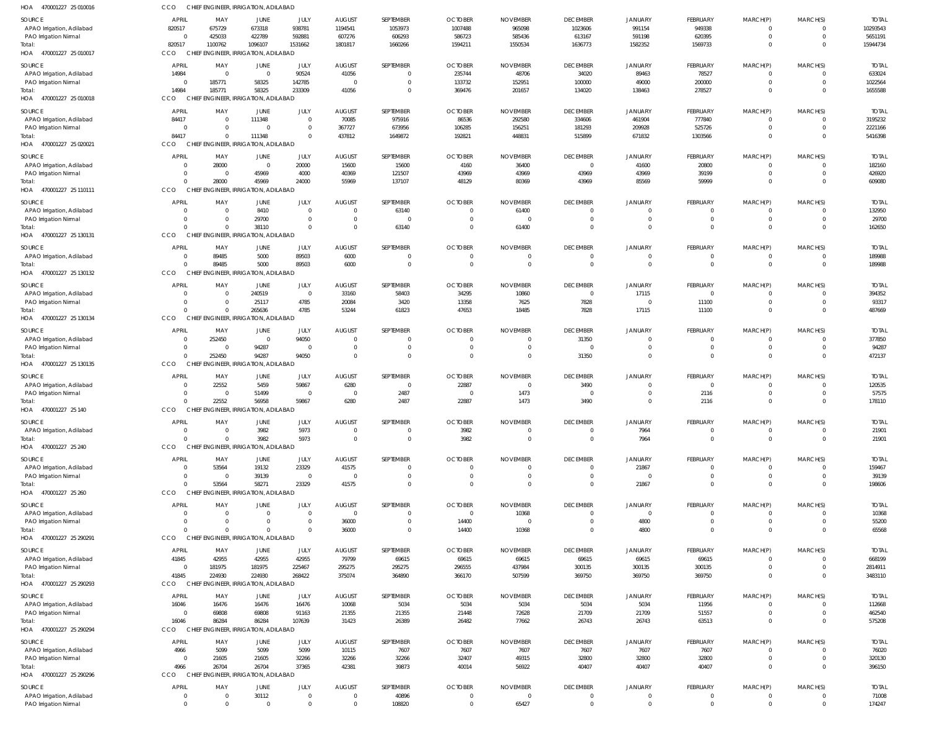| HOA<br>470001227 25 010016                         | CCO                              | CHIEF ENGINEER, IRRIGATION, ADILABAD             |                      |                                  |                          |                             |                            |                             |                                           |                                  |                                   |                                  |                                  |                          |
|----------------------------------------------------|----------------------------------|--------------------------------------------------|----------------------|----------------------------------|--------------------------|-----------------------------|----------------------------|-----------------------------|-------------------------------------------|----------------------------------|-----------------------------------|----------------------------------|----------------------------------|--------------------------|
| <b>SOURCE</b><br>APAO Irrigation, Adilabad         | <b>APRIL</b><br>820517           | MAY<br>675729                                    | JUNE<br>673318       | JULY<br>938781                   | <b>AUGUST</b><br>1194541 | SEPTEMBER<br>1053973        | <b>OCTOBER</b><br>1007488  | <b>NOVEMBER</b><br>965098   | <b>DECEMBER</b><br>1023606                | <b>JANUARY</b><br>991154         | FEBRUARY<br>949338                | MARCH(P)<br>$\overline{0}$       | MARCH(S)<br>$\overline{0}$       | <b>TOTAL</b><br>10293543 |
| PAO Irrigation Nirmal                              | $\Omega$                         | 425033                                           | 422789               | 592881                           | 607276                   | 606293                      | 586723                     | 585436                      | 613167                                    | 591198                           | 620395                            | $\mathbf 0$                      | $\overline{0}$                   | 5651191                  |
| Total:<br>HOA 470001227 25 010017                  | 820517<br>CCO                    | 1100762<br>CHIEF ENGINEER, IRRIGATION, ADILABAD  | 1096107              | 1531662                          | 1801817                  | 1660266                     | 1594211                    | 1550534                     | 1636773                                   | 1582352                          | 1569733                           | $\overline{0}$                   | $\Omega$                         | 15944734                 |
| SOURCE                                             | <b>APRIL</b>                     | MAY                                              | JUNE                 | JULY                             | <b>AUGUST</b>            | SEPTEMBER                   | <b>OCTOBER</b>             | <b>NOVEMBER</b>             | <b>DECEMBER</b>                           | <b>JANUARY</b>                   | FEBRUARY                          | MARCH(P)                         | MARCH(S)                         | <b>TOTAL</b>             |
| APAO Irrigation, Adilabad                          | 14984                            | $\overline{0}$                                   | $\Omega$             | 90524                            | 41056                    | $\mathbf{0}$                | 235744                     | 48706                       | 34020                                     | 89463                            | 78527                             | $\overline{0}$                   | $\Omega$                         | 633024                   |
| PAO Irrigation Nirmal                              | $\overline{0}$                   | 185771                                           | 58325                | 142785                           | C                        | $\mathbf{0}$                | 133732                     | 152951                      | 100000                                    | 49000                            | 200000                            | $\mathbf 0$                      | $\overline{0}$                   | 1022564                  |
| Total:<br>HOA<br>470001227 25 010018               | 14984<br>CCO                     | 185771<br>CHIEF ENGINEER, IRRIGATION, ADILABAD   | 58325                | 233309                           | 41056                    | $\mathbf{0}$                | 369476                     | 201657                      | 134020                                    | 138463                           | 278527                            | $\mathbf{0}$                     | $\Omega$                         | 1655588                  |
| SOURCE                                             | <b>APRIL</b>                     | MAY                                              | JUNE                 | JULY                             | <b>AUGUST</b>            | SEPTEMBER                   | <b>OCTOBER</b>             | <b>NOVEMBER</b>             | <b>DECEMBER</b>                           | JANUARY                          | FEBRUARY                          | MARCH(P)                         | MARCH(S)                         | <b>TOTAL</b>             |
| APAO Irrigation, Adilabad                          | 84417                            | $\overline{\mathbf{0}}$                          | 111348               | $\Omega$                         | 70085                    | 975916                      | 86536                      | 292580                      | 334606                                    | 461904                           | 777840                            | 0                                | $\Omega$                         | 3195232                  |
| PAO Irrigation Nirmal                              | $\Omega$                         | $\overline{0}$                                   | $\Omega$             | $\overline{0}$                   | 367727                   | 673956                      | 106285                     | 156251                      | 181293                                    | 209928                           | 525726                            | $\mathbf 0$                      | $\overline{0}$                   | 2221166                  |
| Total:<br>HOA<br>470001227 25 020021               | 84417<br>CCO                     | $\Omega$<br>CHIEF ENGINEER, IRRIGATION, ADILABAD | 111348               | $\Omega$                         | 437812                   | 1649872                     | 192821                     | 448831                      | 515899                                    | 671832                           | 1303566                           | $\mathbf{0}$                     | $\Omega$                         | 5416398                  |
| SOURCE                                             | <b>APRIL</b>                     | MAY                                              | JUNE                 | JULY                             | <b>AUGUST</b>            | SEPTEMBER                   | <b>OCTOBER</b>             | <b>NOVEMBER</b>             | <b>DECEMBER</b>                           | <b>JANUARY</b>                   | FEBRUARY                          | MARCH(P)                         | MARCH(S)                         | <b>TOTAL</b>             |
| APAO Irrigation, Adilabad                          | $\overline{0}$                   | 28000                                            | $\mathbf{0}$         | 20000                            | 15600                    | 15600                       | 4160                       | 36400                       | $\overline{0}$                            | 41600                            | 20800                             | $\overline{0}$                   | $\overline{0}$                   | 182160                   |
| PAO Irrigation Nirmal                              | $\overline{0}$                   | $\overline{\mathbf{0}}$                          | 45969                | 4000                             | 40369                    | 121507                      | 43969                      | 43969                       | 43969                                     | 43969                            | 39199                             | $\mathbf 0$                      | $\Omega$                         | 426920                   |
| Total:<br>HOA 470001227 25 110111                  | $\Omega$<br>CCO                  | 28000<br>CHIEF ENGINEER, IRRIGATION, ADILABAD    | 45969                | 24000                            | 55969                    | 137107                      | 48129                      | 80369                       | 43969                                     | 85569                            | 59999                             | $\mathbf{0}$                     | $\overline{0}$                   | 609080                   |
| <b>SOURCE</b>                                      | <b>APRIL</b>                     | MAY                                              |                      |                                  | <b>AUGUST</b>            | SEPTEMBER                   | <b>OCTOBER</b>             | <b>NOVEMBER</b>             | <b>DECEMBER</b>                           |                                  | <b>FEBRUARY</b>                   |                                  | MARCH(S)                         | <b>TOTAL</b>             |
| APAO Irrigation, Adilabad                          | $\overline{0}$                   | $\overline{0}$                                   | JUNE<br>8410         | JULY<br>$\Omega$                 | $\Omega$                 | 63140                       | $\mathbf 0$                | 61400                       | $\overline{0}$                            | JANUARY<br>$^{\circ}$            | $\overline{0}$                    | MARCH(P)<br>$\overline{0}$       | $\overline{0}$                   | 132950                   |
| PAO Irrigation Nirmal                              | $\Omega$                         | $\overline{0}$                                   | 29700                | $\Omega$                         | $\Omega$                 | $\Omega$                    | $\overline{0}$             | $\overline{0}$              | $\overline{0}$                            | $\overline{0}$                   | $\mathbf 0$                       | $\mathbf 0$                      | $\overline{0}$                   | 29700                    |
| Total:<br>HOA 470001227 25 130131                  | $\Omega$<br>CCO                  | $\Omega$<br>CHIEF ENGINEER, IRRIGATION, ADILABAD | 38110                | $\Omega$                         | $\Omega$                 | 63140                       | $\Omega$                   | 61400                       | $\overline{0}$                            | $\overline{0}$                   | $\mathbf{0}$                      | $\mathbf{0}$                     | $\overline{0}$                   | 162650                   |
|                                                    |                                  |                                                  |                      |                                  |                          |                             |                            |                             |                                           |                                  |                                   |                                  |                                  |                          |
| SOURCE<br>APAO Irrigation, Adilabad                | <b>APRIL</b><br>$\Omega$         | MAY<br>89485                                     | JUNE<br>5000         | JULY<br>89503                    | <b>AUGUST</b><br>6000    | SEPTEMBER<br>$\mathbf{0}$   | <b>OCTOBER</b><br>$\Omega$ | <b>NOVEMBER</b><br>$\Omega$ | <b>DECEMBER</b><br>$\overline{0}$         | <b>JANUARY</b><br>$^{\circ}$     | <b>FEBRUARY</b><br>$\overline{0}$ | MARCH(P)<br>$\overline{0}$       | MARCH(S)<br>$\overline{0}$       | <b>TOTAL</b><br>189988   |
| Total:                                             | $\Omega$                         | 89485                                            | 5000                 | 89503                            | 6000                     | $\mathbf{0}$                | $\Omega$                   | $\circ$                     | $\overline{0}$                            | $\overline{0}$                   | $\mathbf{0}$                      | $\mathbf{0}$                     | $\overline{0}$                   | 189988                   |
| HOA 470001227 25 130132                            | CCO                              | CHIEF ENGINEER, IRRIGATION, ADILABAD             |                      |                                  |                          |                             |                            |                             |                                           |                                  |                                   |                                  |                                  |                          |
| SOURCE                                             | <b>APRIL</b>                     | MAY                                              | JUNE                 | JULY                             | <b>AUGUST</b>            | SEPTEMBER                   | <b>OCTOBER</b>             | <b>NOVEMBER</b>             | <b>DECEMBER</b>                           | <b>JANUARY</b>                   | <b>FEBRUARY</b>                   | MARCH(P)                         | MARCH(S)                         | <b>TOTAL</b>             |
| APAO Irrigation, Adilabad<br>PAO Irrigation Nirmal | $\Omega$<br>$\Omega$             | $\overline{0}$<br>$\Omega$                       | 240519<br>25117      | $\overline{0}$<br>4785           | 33160<br>20084           | 58403<br>3420               | 34295<br>13358             | 10860<br>7625               | $\overline{0}$<br>7828                    | 17115<br>$\Omega$                | $\mathbf 0$<br>11100              | $\overline{0}$<br>$\mathbf 0$    | $\overline{0}$<br>$\Omega$       | 394352<br>93317          |
| Total:                                             | $\Omega$                         | $\Omega$                                         | 265636               | 4785                             | 53244                    | 61823                       | 47653                      | 18485                       | 7828                                      | 17115                            | 11100                             | $\mathbf{0}$                     | $\overline{0}$                   | 487669                   |
| HOA 470001227 25 130134                            | CCO                              | CHIEF ENGINEER, IRRIGATION, ADILABAD             |                      |                                  |                          |                             |                            |                             |                                           |                                  |                                   |                                  |                                  |                          |
| <b>SOURCE</b>                                      | <b>APRIL</b>                     | MAY                                              | JUNE                 | JULY                             | <b>AUGUST</b>            | SEPTEMBER                   | <b>OCTOBER</b>             | <b>NOVEMBER</b>             | <b>DECEMBER</b>                           | <b>JANUARY</b>                   | <b>FEBRUARY</b>                   | MARCH(P)                         | MARCH(S)                         | <b>TOTAL</b>             |
| APAO Irrigation, Adilabad<br>PAO Irrigation Nirmal | $\overline{0}$<br>$\overline{0}$ | 252450<br>$\overline{0}$                         | - 0<br>94287         | 94050<br>$\Omega$                | - 0<br>$\mathsf{C}$      | $\mathbf{0}$<br>$\mathbf 0$ | $\Omega$<br>$\Omega$       | -0<br>$^{\circ}$            | 31350<br>$\overline{0}$                   | $\overline{0}$<br>$\overline{0}$ | $\overline{0}$<br>$\mathbf 0$     | $\overline{0}$<br>$\mathbf 0$    | $\overline{0}$<br>$\Omega$       | 377850<br>94287          |
| Total:                                             | $\Omega$                         | 252450                                           | 94287                | 94050                            | $\Omega$                 | $\mathbf 0$                 | $\Omega$                   | $\Omega$                    | 31350                                     | $\Omega$                         | $\mathbf{0}$                      | $\overline{0}$                   | $\Omega$                         | 472137                   |
| HOA 470001227 25 130135                            | CCO                              | CHIEF ENGINEER, IRRIGATION, ADILABAD             |                      |                                  |                          |                             |                            |                             |                                           |                                  |                                   |                                  |                                  |                          |
| <b>SOURCE</b>                                      | <b>APRIL</b>                     | MAY                                              | JUNE                 | JULY                             | <b>AUGUST</b>            | SEPTEMBER                   | <b>OCTOBER</b>             | <b>NOVEMBER</b>             | <b>DECEMBER</b>                           | JANUARY                          | <b>FEBRUARY</b>                   | MARCH(P)                         | MARCH(S)                         | <b>TOTAL</b>             |
| APAO Irrigation, Adilabad<br>PAO Irrigation Nirmal | $\overline{0}$<br>$\overline{0}$ | 22552<br>$\overline{0}$                          | 5459<br>51499        | 59867<br>$\Omega$                | 6280<br>$\overline{0}$   | $\mathbf{0}$<br>2487        | 22887<br>$\circ$           | $\overline{0}$<br>1473      | 3490<br>$\overline{0}$                    | $\overline{0}$<br>$\overline{0}$ | $\overline{0}$<br>2116            | 0<br>$\overline{0}$              | $\overline{0}$<br>$\overline{0}$ | 120535<br>57575          |
| Total:                                             | $\cap$                           | 22552                                            | 56958                | 59867                            | 6280                     | 2487                        | 22887                      | 1473                        | 3490                                      | $\Omega$                         | 2116                              | $\mathbf 0$                      | $\Omega$                         | 178110                   |
| HOA 470001227 25 140                               | CCO                              | CHIEF ENGINEER, IRRIGATION, ADILABAD             |                      |                                  |                          |                             |                            |                             |                                           |                                  |                                   |                                  |                                  |                          |
| SOURCE                                             | <b>APRIL</b>                     | MAY                                              | JUNE                 | JULY                             | <b>AUGUST</b>            | SEPTEMBER                   | <b>OCTOBER</b>             | <b>NOVEMBER</b>             | <b>DECEMBER</b>                           | <b>JANUARY</b>                   | FEBRUARY                          | MARCH(P)                         | MARCH(S)                         | <b>TOTAL</b>             |
| APAO Irrigation, Adilabad<br>Total:                | $\overline{0}$<br>$\Omega$       | $\overline{0}$<br>$\Omega$                       | 3982<br>3982         | 5973<br>5973                     | $\Omega$<br>$\Omega$     | $\mathbf{0}$<br>$\mathbf 0$ | 3982<br>3982               | $\overline{0}$<br>$\Omega$  | $\overline{\mathbf{0}}$<br>$\overline{0}$ | 7964<br>7964                     | $\overline{0}$<br>$\overline{0}$  | $\overline{0}$<br>$\overline{0}$ | $\overline{0}$<br>$\overline{0}$ | 21901<br>21901           |
| HOA 470001227 25 240                               | CCO                              | CHIEF ENGINEER, IRRIGATION, ADILABAD             |                      |                                  |                          |                             |                            |                             |                                           |                                  |                                   |                                  |                                  |                          |
| SOURCE                                             | <b>APRIL</b>                     | MAY                                              | JUNE                 | JULY                             | <b>AUGUST</b>            | SEPTEMBER                   | <b>OCTOBER</b>             | <b>NOVEMBER</b>             | <b>DECEMBER</b>                           | <b>JANUARY</b>                   | <b>FEBRUARY</b>                   | MARCH(P)                         | MARCH(S)                         | <b>TOTAL</b>             |
| APAO Irrigation, Adilabad                          | $\overline{0}$<br>$\overline{0}$ | 53564                                            | 19132                | 23329<br>$\overline{0}$          | 41575                    | $\mathbf{0}$<br>$\mathbf 0$ | $\overline{0}$             | $\overline{0}$              | $\overline{0}$<br>$\overline{0}$          | 21867<br>$\Omega$                | $\overline{0}$<br>$\mathbf 0$     | 0<br>$\mathbf 0$                 | $\Omega$<br>$\overline{0}$       | 159467                   |
| PAO Irrigation Nirmal<br>Total:                    | $\Omega$                         | $\overline{\mathbf{0}}$<br>53564                 | 39139<br>58271       | 23329                            | $\overline{0}$<br>41575  | $\Omega$                    | $\overline{0}$<br>$\Omega$ | $\overline{0}$<br>$\Omega$  | $\overline{0}$                            | 21867                            | $\mathbf{0}$                      | $\mathbf{0}$                     | $\Omega$                         | 39139<br>198606          |
| HOA 470001227 25 260                               | CCO                              | CHIEF ENGINEER, IRRIGATION, ADILABAD             |                      |                                  |                          |                             |                            |                             |                                           |                                  |                                   |                                  |                                  |                          |
| <b>SOURCE</b>                                      | <b>APRIL</b>                     | MAY                                              | JUNE                 | JULY                             | <b>AUGUST</b>            | SEPTEMBER                   | <b>OCTOBER</b>             | <b>NOVEMBER</b>             | <b>DECEMBER</b>                           | JANUARY                          | <b>FEBRUARY</b>                   | MARCH(P)                         | MARCH(S)                         | <b>TOTAL</b>             |
| APAO Irrigation, Adilabad<br>PAO Irrigation Nirmal | $\overline{0}$<br>$\overline{0}$ | $\overline{0}$<br>$\overline{0}$                 | $\Omega$<br>$\Omega$ | $\overline{0}$<br>$\overline{0}$ | $\overline{0}$<br>36000  | $\mathbf{0}$<br>$\mathbf 0$ | $\overline{0}$<br>14400    | 10368<br>$\overline{0}$     | $\overline{0}$<br>$\overline{0}$          | $\overline{0}$<br>4800           | $\overline{0}$<br>$\mathbf 0$     | $\overline{0}$<br>$\mathbf 0$    | $\overline{0}$<br>$\overline{0}$ | 10368<br>55200           |
| Total:                                             | $\Omega$                         | $\Omega$                                         |                      | $\Omega$                         | 36000                    | $\mathbf 0$                 | 14400                      | 10368                       | $\overline{0}$                            | 4800                             | $\overline{0}$                    | $\mathbf{0}$                     | $\overline{0}$                   | 65568                    |
| HOA 470001227 25 290291                            | CCO                              | CHIEF ENGINEER, IRRIGATION, ADILABAD             |                      |                                  |                          |                             |                            |                             |                                           |                                  |                                   |                                  |                                  |                          |
| SOURCE                                             | <b>APRIL</b>                     | MAY                                              | JUNE                 | JULY                             | <b>AUGUST</b>            | SEPTEMBER                   | <b>OCTOBER</b>             | <b>NOVEMBER</b>             | <b>DECEMBER</b>                           | <b>JANUARY</b>                   | <b>FEBRUARY</b>                   | MARCH(P)                         | MARCH(S)                         | <b>TOTAL</b>             |
| APAO Irrigation, Adilabad<br>PAO Irrigation Nirmal | 41845<br>$\Omega$                | 42955<br>181975                                  | 42955<br>181975      | 42955<br>225467                  | 79799<br>295275          | 69615<br>295275             | 69615<br>296555            | 69615<br>437984             | 69615<br>300135                           | 69615<br>300135                  | 69615<br>300135                   | $\overline{0}$<br>$\mathbf 0$    | $\Omega$<br>$\overline{0}$       | 668199<br>2814911        |
| Total:                                             | 41845                            | 224930                                           | 224930               | 268422                           | 375074                   | 364890                      | 366170                     | 507599                      | 369750                                    | 369750                           | 369750                            | $\mathbf{0}$                     | $\overline{0}$                   | 3483110                  |
| HOA 470001227 25 290293                            | <b>CCO</b>                       | CHIEF ENGINEER, IRRIGATION, ADILABAD             |                      |                                  |                          |                             |                            |                             |                                           |                                  |                                   |                                  |                                  |                          |
| SOURCE                                             | <b>APRIL</b>                     | MAY                                              | JUNE                 | JULY                             | <b>AUGUST</b>            | SEPTEMBER                   | <b>OCTOBER</b>             | <b>NOVEMBER</b>             | <b>DECEMBER</b>                           | <b>JANUARY</b>                   | <b>FEBRUARY</b>                   | MARCH(P)                         | MARCH(S)                         | <b>TOTAL</b>             |
| APAO Irrigation, Adilabad<br>PAO Irrigation Nirmal | 16046<br>$\overline{0}$          | 16476<br>69808                                   | 16476<br>69808       | 16476<br>91163                   | 10068<br>21355           | 5034<br>21355               | 5034<br>21448              | 5034<br>72628               | 5034<br>21709                             | 5034<br>21709                    | 11956<br>51557                    | $\overline{0}$<br>$\mathbf 0$    | $\Omega$<br>$\overline{0}$       | 112668<br>462540         |
| Total:                                             | 16046                            | 86284                                            | 86284                | 107639                           | 31423                    | 26389                       | 26482                      | 77662                       | 26743                                     | 26743                            | 63513                             | $\overline{0}$                   | $\overline{0}$                   | 575208                   |
| HOA 470001227 25 290294                            | CCO                              | CHIEF ENGINEER, IRRIGATION, ADILABAD             |                      |                                  |                          |                             |                            |                             |                                           |                                  |                                   |                                  |                                  |                          |
| SOURCE                                             | <b>APRIL</b>                     | MAY                                              | JUNE                 | JULY                             | <b>AUGUST</b>            | SEPTEMBER                   | <b>OCTOBER</b>             | <b>NOVEMBER</b>             | <b>DECEMBER</b>                           | <b>JANUARY</b>                   | <b>FEBRUARY</b>                   | MARCH(P)                         | MARCH(S)                         | <b>TOTAL</b>             |
| APAO Irrigation, Adilabad<br>PAO Irrigation Nirmal | 4966<br>$\overline{0}$           | 5099<br>21605                                    | 5099<br>21605        | 5099<br>32266                    | 10115<br>32266           | 7607<br>32266               | 7607<br>32407              | 7607<br>49315               | 7607<br>32800                             | 7607<br>32800                    | 7607<br>32800                     | 0<br>$\mathbf 0$                 | $\Omega$<br>$\overline{0}$       | 76020<br>320130          |
| Total:                                             | 4966                             | 26704                                            | 26704                | 37365                            | 42381                    | 39873                       | 40014                      | 56922                       | 40407                                     | 40407                            | 40407                             | $\mathbf{0}$                     | $\Omega$                         | 396150                   |
| HOA 470001227 25 290296                            | CCO                              | CHIEF ENGINEER, IRRIGATION, ADILABAD             |                      |                                  |                          |                             |                            |                             |                                           |                                  |                                   |                                  |                                  |                          |
| SOURCE                                             | <b>APRIL</b>                     | MAY                                              | JUNE                 | JULY                             | <b>AUGUST</b>            | SEPTEMBER                   | <b>OCTOBER</b>             | <b>NOVEMBER</b>             | <b>DECEMBER</b>                           | <b>JANUARY</b>                   | FEBRUARY                          | MARCH(P)                         | MARCH(S)                         | <b>TOTAL</b>             |
| APAO Irrigation, Adilabad<br>PAO Irrigation Nirmal | $\overline{0}$<br>$\Omega$       | $\overline{0}$<br>$\overline{0}$                 | 30112<br>$\Omega$    | $\overline{0}$<br>$\mathbf{0}$   | 0<br>$\Omega$            | 40896<br>108820             | $\circ$<br>$\Omega$        | $\overline{0}$<br>65427     | $\overline{0}$<br>$\overline{0}$          | $\overline{0}$<br>$\mathbf 0$    | $\mathbf 0$<br>$\mathbf{0}$       | $\mathbf 0$<br>$\mathbf{0}$      | $\mathbf{0}$<br>$\mathbf 0$      | 71008<br>174247          |
|                                                    |                                  |                                                  |                      |                                  |                          |                             |                            |                             |                                           |                                  |                                   |                                  |                                  |                          |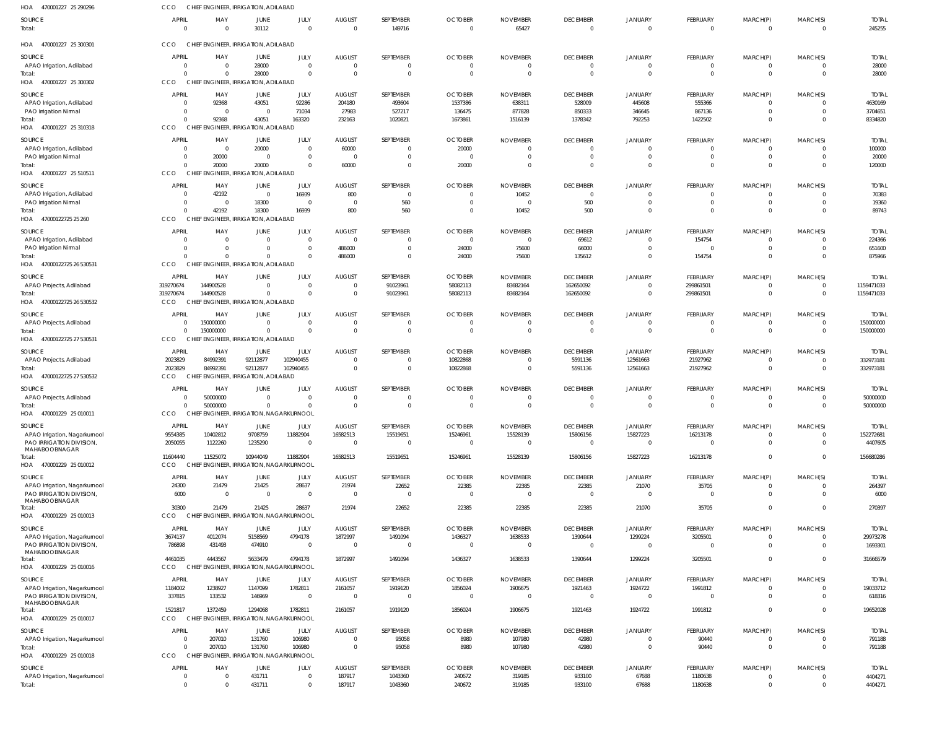| HOA 470001227 25 290296                                                                           | CCO                                                                 | CHIEF ENGINEER, IRRIGATION, ADILABAD                                            |                                    |                                                   |                                                   |                                                         |                                                                |                                                     |                                                     |                                                    |                                                       |                                                                |                                                         |                                               |
|---------------------------------------------------------------------------------------------------|---------------------------------------------------------------------|---------------------------------------------------------------------------------|------------------------------------|---------------------------------------------------|---------------------------------------------------|---------------------------------------------------------|----------------------------------------------------------------|-----------------------------------------------------|-----------------------------------------------------|----------------------------------------------------|-------------------------------------------------------|----------------------------------------------------------------|---------------------------------------------------------|-----------------------------------------------|
| SOURCE<br>Total:                                                                                  | <b>APRIL</b><br>$\Omega$                                            | MAY<br>$\Omega$                                                                 | JUNE<br>30112                      | JULY<br>$\overline{0}$                            | <b>AUGUST</b><br>$\Omega$                         | SEPTEMBER<br>149716                                     | <b>OCTOBER</b><br>$\overline{0}$                               | <b>NOVEMBER</b><br>65427                            | <b>DECEMBER</b><br>$\Omega$                         | <b>JANUARY</b><br>$\Omega$                         | <b>FEBRUARY</b><br>$\overline{0}$                     | MARCH(P)<br>$\overline{0}$                                     | MARCH(S)<br>$\mathbf{0}$                                | <b>TOTAL</b><br>245255                        |
| HOA 470001227 25 300301                                                                           | CCO                                                                 | CHIEF ENGINEER, IRRIGATION, ADILABAD                                            |                                    |                                                   |                                                   |                                                         |                                                                |                                                     |                                                     |                                                    |                                                       |                                                                |                                                         |                                               |
| SOURCE<br>APAO Irrigation, Adilabad<br>Total:<br>HOA 470001227 25 300302                          | <b>APRIL</b><br>$\circ$<br>$\Omega$<br>CCO                          | MAY<br>- 0<br>-0<br>CHIEF ENGINEER, IRRIGATION, ADILABAD                        | JUNE<br>28000<br>28000             | JULY<br>$\overline{0}$<br>$\Omega$                | <b>AUGUST</b><br>$\Omega$<br>$\Omega$             | SEPTEMBER<br>$\mathbf{0}$<br>$\mathbf 0$                | <b>OCTOBER</b><br>$\overline{0}$<br>$\overline{0}$             | <b>NOVEMBER</b><br>$\overline{0}$<br>$\overline{0}$ | <b>DECEMBER</b><br>$\Omega$<br>$\Omega$             | JANUARY<br>$\Omega$<br>$\Omega$                    | <b>FEBRUARY</b><br>$\mathbf{0}$<br>$\overline{0}$     | MARCH(P)<br>$\overline{0}$<br>$\overline{0}$                   | MARCH(S)<br>$\mathbf{0}$<br>$\overline{0}$              | <b>TOTAL</b><br>28000<br>28000                |
| SOURCE<br>APAO Irrigation, Adilabad<br>PAO Irrigation Nirmal<br>Total:<br>HOA 470001227 25 310318 | <b>APRIL</b><br>$\overline{0}$<br>$\overline{0}$<br>$\Omega$<br>CCO | MAY<br>92368<br>$\overline{0}$<br>92368<br>CHIEF ENGINEER, IRRIGATION, ADILABAD | JUNE<br>43051<br>$\Omega$<br>43051 | JULY<br>92286<br>71034<br>163320                  | <b>AUGUST</b><br>204180<br>27983<br>232163        | SEPTEMBER<br>493604<br>527217<br>1020821                | <b>OCTOBER</b><br>1537386<br>136475<br>1673861                 | <b>NOVEMBER</b><br>638311<br>877828<br>1516139      | <b>DECEMBER</b><br>528009<br>850333<br>1378342      | <b>JANUARY</b><br>445608<br>346645<br>792253       | <b>FEBRUARY</b><br>555366<br>867136<br>1422502        | MARCH(P)<br>$\overline{0}$<br>$\overline{0}$<br>$\overline{0}$ | MARCH(S)<br>$\mathbf{0}$<br>$\mathbf 0$<br>$\mathbf 0$  | <b>TOTAL</b><br>4630169<br>3704651<br>8334820 |
| SOURCE<br>APAO Irrigation, Adilabad<br><b>PAO Irrigation Nirmal</b><br>Total:                     | <b>APRIL</b><br>$\overline{0}$<br>$\circ$<br>$\Omega$               | MAY<br>$\overline{0}$<br>20000<br>20000                                         | JUNE<br>20000<br>$\Omega$<br>20000 | JULY<br>$\overline{0}$<br>$\mathbf 0$<br>$\Omega$ | <b>AUGUST</b><br>60000<br>$\overline{0}$<br>60000 | SEPTEMBER<br>$\mathbf{0}$<br>$\mathbf 0$<br>$\mathbf 0$ | <b>OCTOBER</b><br>20000<br>$\overline{0}$<br>20000             | <b>NOVEMBER</b><br>0<br>$\overline{0}$<br>$\Omega$  | <b>DECEMBER</b><br>$\Omega$<br>$\Omega$<br>$\Omega$ | <b>JANUARY</b><br>$\Omega$<br>$\Omega$             | <b>FEBRUARY</b><br>0<br>$\overline{0}$<br>$\Omega$    | MARCH(P)<br>$\overline{0}$<br>$\overline{0}$<br>$\mathbf{0}$   | MARCH(S)<br>$\mathbf{0}$<br>$\mathbf{0}$<br>$\mathbf 0$ | <b>TOTAL</b><br>100000<br>20000<br>120000     |
| HOA 470001227 25 510511                                                                           | CCO                                                                 | CHIEF ENGINEER, IRRIGATION, ADILABAD                                            |                                    |                                                   |                                                   |                                                         |                                                                |                                                     |                                                     |                                                    |                                                       |                                                                |                                                         |                                               |
| SOURCE<br>APAO Irrigation, Adilabad<br>PAO Irrigation Nirmal<br>Total:<br>HOA 47000122725 25 260  | <b>APRIL</b><br>$\overline{0}$<br>$\overline{0}$<br>$\Omega$<br>CCO | MAY<br>42192<br>$\overline{0}$<br>42192<br>CHIEF ENGINEER, IRRIGATION, ADILABAD | JUNE<br>$\Omega$<br>18300<br>18300 | JULY<br>16939<br>$\overline{\mathbf{0}}$<br>16939 | <b>AUGUST</b><br>800<br>$\Omega$<br>800           | SEPTEMBER<br>$\mathbf{0}$<br>560<br>560                 | <b>OCTOBER</b><br>$\overline{0}$<br>$\overline{0}$<br>$\Omega$ | <b>NOVEMBER</b><br>10452<br>$\overline{0}$<br>10452 | <b>DECEMBER</b><br>$\Omega$<br>500<br>500           | <b>JANUARY</b><br>$\Omega$<br>$\Omega$<br>$\Omega$ | FEBRUARY<br>$\Omega$<br>$\overline{0}$<br>$\Omega$    | MARCH(P)<br>$\overline{0}$<br>$\overline{0}$<br>$\Omega$       | MARCH(S)<br>$^{\circ}$<br>$\mathbf 0$<br>$\Omega$       | <b>TOTAL</b><br>70383<br>19360<br>89743       |
| SOURCE<br>APAO Irrigation, Adilabad<br>PAO Irrigation Nirmal                                      | <b>APRIL</b><br>$\circ$<br>$\Omega$                                 | MAY<br>$\Omega$<br>$\Omega$                                                     | JUNE<br>$\Omega$<br>$\Omega$       | JULY<br>$\overline{0}$<br>$\overline{0}$          | <b>AUGUST</b><br>$\Omega$<br>486000               | SEPTEMBER<br>$\mathbf{0}$<br>$\mathbf 0$                | <b>OCTOBER</b><br>$\overline{0}$<br>24000                      | <b>NOVEMBER</b><br>$\overline{0}$<br>75600          | <b>DECEMBER</b><br>69612<br>66000                   | <b>JANUARY</b><br>$\Omega$<br>$\Omega$             | <b>FEBRUARY</b><br>154754<br>$\Omega$                 | MARCH(P)<br>$\overline{0}$<br>$\overline{0}$                   | MARCH(S)<br>$\overline{0}$<br>$\mathbf 0$               | <b>TOTAL</b><br>224366<br>651600              |
| Total:<br>HOA 47000122725 26 530531                                                               | $\Omega$<br>CCO                                                     | $\Omega$<br>CHIEF ENGINEER, IRRIGATION, ADILABAD                                |                                    | $\Omega$                                          | 486000                                            | $\mathbf{0}$                                            | 24000                                                          | 75600                                               | 135612                                              | $\Omega$                                           | 154754                                                | $\overline{0}$                                                 | $\mathbf 0$                                             | 875966                                        |
| SOURCE<br>APAO Projects, Adilabad<br>Total:<br>HOA 47000122725 26 530532                          | <b>APRIL</b><br>319270674<br>319270674<br>CCO                       | MAY<br>144900528<br>144900528<br>CHIEF ENGINEER, IRRIGATION, ADILABAD           | JUNE<br>$\Omega$<br>$\Omega$       | JULY<br>$\Omega$<br>$\Omega$                      | <b>AUGUST</b><br>$\Omega$<br>$\Omega$             | SEPTEMBER<br>91023961<br>91023961                       | <b>OCTOBER</b><br>58082113<br>58082113                         | <b>NOVEMBER</b><br>83682164<br>83682164             | <b>DECEMBER</b><br>162650092<br>162650092           | <b>JANUARY</b><br>$\Omega$<br>$\Omega$             | FEBRUARY<br>299861501<br>299861501                    | MARCH(P)<br>$\overline{0}$<br>$\mathbf{0}$                     | MARCH(S)<br>$\mathbf{0}$<br>$\overline{0}$              | <b>TOTAL</b><br>1159471033<br>1159471033      |
| SOURCE<br>APAO Projects, Adilabad<br>Total:<br>47000122725 27 530531<br>HOA                       | <b>APRIL</b><br>- 0<br>$\Omega$<br>CCO                              | MAY<br>150000000<br>150000000<br>CHIEF ENGINEER, IRRIGATION, ADILABAD           | JUNE<br>$\Omega$<br>$\Omega$       | JULY<br>$\overline{0}$<br>$\overline{0}$          | <b>AUGUST</b><br>$\Omega$<br>$\Omega$             | SEPTEMBER<br>$\mathbf{0}$<br>$\mathbf 0$                | <b>OCTOBER</b><br>$\overline{0}$<br>$\overline{0}$             | <b>NOVEMBER</b><br>$\overline{0}$<br>$\overline{0}$ | <b>DECEMBER</b><br>$\Omega$<br>$\Omega$             | <b>JANUARY</b><br>$\Omega$<br>$\Omega$             | <b>FEBRUARY</b><br>$\overline{0}$<br>$\overline{0}$   | MARCH(P)<br>$\overline{0}$<br>$\mathbf{0}$                     | MARCH(S)<br>$\overline{0}$<br>$\overline{0}$            | <b>TOTAL</b><br>150000000<br>150000000        |
| SOURCE<br>APAO Projects, Adilabad<br>Total:<br>HOA 47000122725 27 530532                          | APRIL<br>2023829<br>2023829<br><b>CCO</b>                           | MAY<br>84992391<br>84992391<br>CHIEF ENGINEER, IRRIGATION, ADILABAD             | JUNE<br>92112877<br>92112877       | JULY<br>102940455<br>102940455                    | <b>AUGUST</b><br>$\Omega$                         | SEPTEMBER<br>$\Omega$<br>$\mathbf 0$                    | <b>OCTOBER</b><br>10822868<br>10822868                         | <b>NOVEMBER</b><br>$\Omega$<br>$\overline{0}$       | <b>DECEMBER</b><br>5591136<br>5591136               | <b>JANUARY</b><br>12561663<br>12561663             | <b>FEBRUARY</b><br>21927962<br>21927962               | MARCH(P)<br>$\overline{0}$<br>$\overline{0}$                   | MARCH(S)<br>$\mathbf 0$<br>$\overline{0}$               | <b>TOTAL</b><br>332973181<br>332973181        |
| SOURCE<br>APAO Projects, Adilabad<br>Total:<br>HOA 470001229 25 010011                            | <b>APRIL</b><br>-0<br>$\Omega$<br>CCO                               | MAY<br>50000000<br>50000000<br>CHIEF ENGINEER, IRRIGATION, NAGARKURNOOL         | JUNE<br>- 0<br>$\Omega$            | JULY<br>$\overline{0}$<br>$\Omega$                | <b>AUGUST</b><br>- 0<br>$\Omega$                  | SEPTEMBER<br>$\mathbf{0}$<br>$\mathbf 0$                | <b>OCTOBER</b><br>- 0<br>$\overline{0}$                        | <b>NOVEMBER</b><br>0<br>$\overline{0}$              | <b>DECEMBER</b><br>$\Omega$<br>$\Omega$             | <b>JANUARY</b><br>$\Omega$<br>$\Omega$             | <b>FEBRUARY</b><br>0<br>$\Omega$                      | MARCH(P)<br>$\overline{0}$<br>$\mathbf{0}$                     | MARCH(S)<br>$\mathbf{0}$<br>$\mathbf{0}$                | <b>TOTAL</b><br>50000000<br>50000000          |
| SOURCE<br>APAO Irrigation, Nagarkurnool<br>PAO IRRIGATION DIVISION,<br>MAHABOOBNAGAR              | APRIL<br>9554385<br>2050055                                         | MAY<br>10402812<br>1122260                                                      | JUNE<br>9708759<br>1235290         | JULY<br>11882904<br>$\overline{0}$                | <b>AUGUST</b><br>16582513<br>$\overline{0}$       | SEPTEMBER<br>15519651<br>$\overline{0}$                 | <b>OCTOBER</b><br>15246961<br>$\overline{0}$                   | <b>NOVEMBER</b><br>15528139<br>$\overline{0}$       | <b>DECEMBER</b><br>15806156<br>$\overline{0}$       | <b>JANUARY</b><br>15827223<br>$\Omega$             | <b>FEBRUARY</b><br>16213178<br>$\overline{0}$         | MARCH(P)<br>$\overline{0}$<br>$\overline{0}$                   | MARCH(S)<br>$^{\circ}$<br>$\overline{0}$                | <b>TOTAL</b><br>152272681<br>4407605          |
| Total:<br>HOA 470001229 25 010012                                                                 | 11604440<br>CCO                                                     | 11525072<br>CHIEF ENGINEER, IRRIGATION, NAGARKURNOOL                            | 10944049                           | 11882904                                          | 16582513                                          | 15519651                                                | 15246961                                                       | 15528139                                            | 15806156                                            | 15827223                                           | 16213178                                              | $\overline{0}$                                                 | $\mathbf{0}$                                            | 156680286                                     |
| SOURCE<br>APAO Irrigation, Nagarkurnool<br>PAO IRRIGATION DIVISION,<br>MAHABOOBNAGAR              | <b>APRIL</b><br>24300<br>6000                                       | MAY<br>21479<br>$\overline{0}$                                                  | JUNE<br>21425<br>$\Omega$          | JULY<br>28637<br>$\overline{0}$                   | <b>AUGUST</b><br>21974<br>$\overline{0}$          | SEPTEMBER<br>22652<br>$\overline{0}$                    | <b>OCTOBER</b><br>22385<br>$\overline{0}$                      | <b>NOVEMBER</b><br>22385<br>$\overline{0}$          | <b>DECEMBER</b><br>22385<br>$\overline{0}$          | <b>JANUARY</b><br>21070<br>$\Omega$                | FEBRUARY<br>35705<br>$\overline{0}$                   | MARCH(P)<br>$\overline{0}$<br>$\mathbf{0}$                     | MARCH(S)<br>$\mathbf 0$<br>$\overline{0}$               | <b>TOTAL</b><br>264397<br>6000                |
| Total:<br>HOA 470001229 25 010013                                                                 | 30300<br>CCO                                                        | 21479<br>CHIEF ENGINEER, IRRIGATION, NAGARKURNOOL                               | 21425                              | 28637                                             | 21974                                             | 22652                                                   | 22385                                                          | 22385                                               | 22385                                               | 21070                                              | 35705                                                 | $\mathbf{0}$                                                   | $\mathbf 0$                                             | 270397                                        |
| SOURCE<br>APAO Irrigation, Nagarkurnool<br>PAO IRRIGATION DIVISION,<br>MAHABOOBNAGAR              | APRIL<br>3674137<br>786898                                          | MAY<br>4012074<br>431493                                                        | JUNE<br>5158569<br>474910          | JULY<br>4794178<br>$\overline{0}$                 | <b>AUGUST</b><br>1872997<br>$\overline{0}$        | SEPTEMBER<br>1491094<br>$\overline{0}$                  | <b>OCTOBER</b><br>1436327<br>$\overline{0}$                    | <b>NOVEMBER</b><br>1638533<br>$\overline{0}$        | <b>DECEMBER</b><br>1390644<br>$\overline{0}$        | <b>JANUARY</b><br>1299224<br>$\Omega$              | <b>FEBRUARY</b><br>3205501<br>$\overline{0}$          | MARCH(P)<br>$\overline{0}$<br>$\mathbf{0}$                     | MARCH(S)<br>$^{\circ}$<br>$\mathbf 0$                   | <b>TOTAL</b><br>29973278<br>1693301           |
| Total:<br>HOA 470001229 25 010016                                                                 | 4461035<br>CCO                                                      | 4443567<br>CHIEF ENGINEER, IRRIGATION, NAGARKURNOOL                             | 5633479                            | 4794178                                           | 1872997                                           | 1491094                                                 | 1436327                                                        | 1638533                                             | 1390644                                             | 1299224                                            | 3205501                                               | $\mathbf{0}$                                                   | $\mathbf 0$                                             | 31666579                                      |
| SOURCE<br>APAO Irrigation, Nagarkurnool<br>PAO IRRIGATION DIVISION,<br>MAHABOOBNAGAR              | APRIL<br>1184002<br>337815                                          | MAY<br>1238927<br>133532                                                        | JUNE<br>1147099<br>146969          | JULY<br>1782811<br>$\overline{0}$                 | <b>AUGUST</b><br>2161057<br>$\Omega$              | SEPTEMBER<br>1919120<br>$\overline{0}$                  | <b>OCTOBER</b><br>1856024<br>$\overline{0}$                    | <b>NOVEMBER</b><br>1906675<br>$\overline{0}$        | <b>DECEMBER</b><br>1921463<br>$\Omega$              | <b>JANUARY</b><br>1924722<br>$\Omega$              | <b>FEBRUARY</b><br>1991812<br>$\overline{\mathbf{0}}$ | MARCH(P)<br>$\overline{0}$<br>$\mathbf{0}$                     | MARCH(S)<br>$\overline{0}$<br>$\mathbf 0$               | <b>TOTAL</b><br>19033712<br>618316            |
| Total:<br>HOA 470001229 25 010017                                                                 | 1521817<br>CCO                                                      | 1372459<br>CHIEF ENGINEER, IRRIGATION, NAGARKURNOOL                             | 1294068                            | 1782811                                           | 2161057                                           | 1919120                                                 | 1856024                                                        | 1906675                                             | 1921463                                             | 1924722                                            | 1991812                                               | $\mathbf{0}$                                                   | $\overline{0}$                                          | 19652028                                      |
| SOURCE<br>APAO Irrigation, Nagarkurnool<br>Total:<br>HOA 470001229 25 010018                      | <b>APRIL</b><br>$\overline{0}$<br>$\Omega$<br>CCO                   | MAY<br>207010<br>207010<br>CHIEF ENGINEER, IRRIGATION, NAGARKURNOOL             | JUNE<br>131760<br>131760           | JULY<br>106980<br>106980                          | <b>AUGUST</b><br>$\Omega$<br>$\Omega$             | SEPTEMBER<br>95058<br>95058                             | <b>OCTOBER</b><br>8980<br>8980                                 | <b>NOVEMBER</b><br>107980<br>107980                 | <b>DECEMBER</b><br>42980<br>42980                   | <b>JANUARY</b><br>$\Omega$<br>$\Omega$             | <b>FEBRUARY</b><br>90440<br>90440                     | MARCH(P)<br>$\overline{0}$<br>$\overline{0}$                   | MARCH(S)<br>$\mathbf 0$<br>$\overline{0}$               | <b>TOTAL</b><br>791188<br>791188              |
| SOURCE<br>APAO Irrigation, Nagarkurnool<br>Total:                                                 | <b>APRIL</b><br>$\overline{0}$<br>$\overline{0}$                    | MAY<br>- 0<br>$\Omega$                                                          | JUNE<br>431711<br>431711           | JULY<br>$\overline{0}$<br>$\overline{0}$          | <b>AUGUST</b><br>187917<br>187917                 | SEPTEMBER<br>1043360<br>1043360                         | <b>OCTOBER</b><br>240672<br>240672                             | <b>NOVEMBER</b><br>319185<br>319185                 | <b>DECEMBER</b><br>933100<br>933100                 | JANUARY<br>67688<br>67688                          | <b>FEBRUARY</b><br>1180638<br>1180638                 | MARCH(P)<br>$\overline{0}$<br>$\overline{0}$                   | MARCH(S)<br>$\overline{0}$<br>$\overline{0}$            | <b>TOTAL</b><br>4404271<br>4404271            |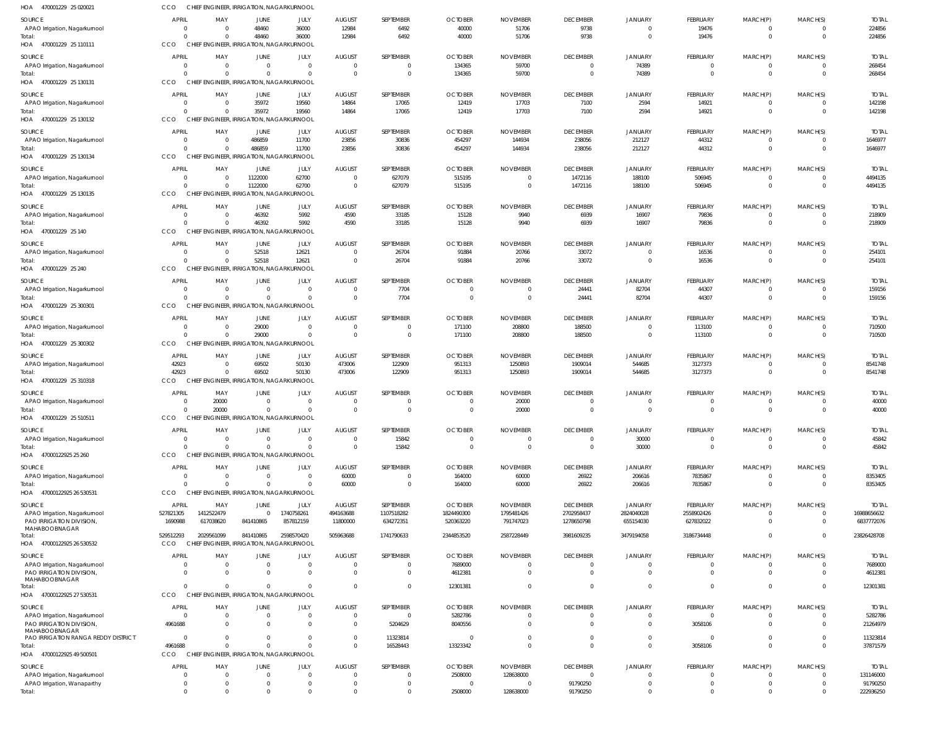| <b>APRIL</b><br><b>AUGUST</b><br><b>SEPTEMBER</b><br><b>OCTOBER</b><br><b>DECEMBER</b><br><b>SOURCE</b><br>MAY<br><b>JUNE</b><br>JULY<br><b>NOVEMBER</b><br><b>JANUARY</b>                                                                                                                                       | <b>FEBRUARY</b><br>MARCH(P)                    | MARCH(S)<br><b>TOTAL</b>                       |
|------------------------------------------------------------------------------------------------------------------------------------------------------------------------------------------------------------------------------------------------------------------------------------------------------------------|------------------------------------------------|------------------------------------------------|
| 48460<br>9738<br>36000<br>12984<br>6492<br>40000<br>51706<br>APAO Irrigation, Nagarkurnool<br>$\overline{0}$<br>0<br>$\overline{0}$                                                                                                                                                                              | 19476<br>0                                     | 224856<br>$\Omega$                             |
| 36000<br>12984<br>9738<br>$\Omega$<br>48460<br>6492<br>40000<br>51706<br>$\Omega$<br>Total:<br>$\Omega$                                                                                                                                                                                                          | 19476<br>$\mathbf 0$                           | 224856<br>$\Omega$                             |
| HOA 470001229 25 110111<br>CCO<br>CHIEF ENGINEER, IRRIGATION, NAGARKURNOOL                                                                                                                                                                                                                                       |                                                |                                                |
| <b>APRIL</b><br>MAY<br>JULY<br><b>AUGUST</b><br>SEPTEMBER<br><b>OCTOBER</b><br><b>DECEMBER</b><br><b>SOURCE</b><br><b>JUNE</b><br><b>NOVEMBER</b><br><b>JANUARY</b>                                                                                                                                              | FEBRUARY<br>MARCH(P)                           | MARCH(S)<br><b>TOTAL</b>                       |
| 134365<br>59700<br>74389<br>$\overline{0}$<br>APAO Irrigation, Nagarkurnool<br>$\overline{0}$<br>$\overline{0}$<br>$\Omega$<br>$\mathsf{C}$<br>$\Omega$<br>$\overline{0}$<br>134365<br>59700<br>74389<br>$\Omega$<br>$\Omega$<br>$\mathbf 0$<br>$\Omega$<br>$\mathsf{C}$<br>$\overline{0}$<br>Total:<br>$\Omega$ | 0<br>0<br>$\mathbf 0$<br>$\mathbf 0$           | 268454<br>268454<br>$\Omega$                   |
| CHIEF ENGINEER, IRRIGATION, NAGARKURNOOL<br>HOA 470001229 25 130131<br>CCO                                                                                                                                                                                                                                       |                                                |                                                |
| <b>APRIL</b><br><b>AUGUST</b><br>SEPTEMBER<br><b>OCTOBER</b><br><b>DECEMBER</b><br>MAY<br>JUNE<br>JULY<br><b>NOVEMBER</b><br><b>JANUARY</b>                                                                                                                                                                      | <b>FEBRUARY</b><br>MARCH(P)                    | MARCH(S)<br><b>TOTAL</b>                       |
| SOURCE<br>35972<br>19560<br>17703<br>2594<br>14864<br>17065<br>12419<br>7100<br>APAO Irrigation, Nagarkurnool<br>$\overline{0}$<br>$\overline{0}$                                                                                                                                                                | 14921<br>0                                     | 142198<br>$\Omega$                             |
| 35972<br>19560<br>17703<br>7100<br>$\Omega$<br>14864<br>17065<br>12419<br>2594<br>Total:<br>- 0                                                                                                                                                                                                                  | 14921<br>$\mathbf 0$                           | $\mathbf{0}$<br>142198                         |
| CCO<br>CHIEF ENGINEER, IRRIGATION, NAGARKURNOOL<br>HOA 470001229 25 130132                                                                                                                                                                                                                                       |                                                |                                                |
| <b>APRIL</b><br>MAY<br>JULY<br><b>AUGUST</b><br>SEPTEMBER<br><b>OCTOBER</b><br><b>NOVEMBER</b><br><b>DECEMBER</b><br><b>SOURCE</b><br>JUNE<br><b>JANUARY</b>                                                                                                                                                     | <b>FEBRUARY</b><br>MARCH(P)                    | MARCH(S)<br><b>TOTAL</b>                       |
| 486859<br>11700<br>23856<br>454297<br>212127<br>30836<br>144934<br>238056<br>APAO Irrigation, Nagarkurnool<br>$\overline{0}$<br>0                                                                                                                                                                                | 44312<br>0                                     | 1646977<br>$\Omega$                            |
| 486859<br>11700<br>23856<br>30836<br>212127<br>$\Omega$<br>454297<br>144934<br>238056<br>Total:<br>$\Omega$                                                                                                                                                                                                      | 44312<br>$\mathbf 0$                           | 1646977<br>$\Omega$                            |
| <b>ENGINEER, IRRIGATION, NAGARKURNOOL</b><br>HOA 470001229 25 130134<br>CCO<br><b>CHIEF</b>                                                                                                                                                                                                                      |                                                |                                                |
| <b>APRIL</b><br>JULY<br><b>AUGUST</b><br><b>OCTOBER</b><br><b>DECEMBER</b><br>MAY<br>JUNE<br>SEPTEMBER<br><b>NOVEMBER</b><br><b>JANUARY</b><br>SOURCE                                                                                                                                                            | <b>FEBRUARY</b><br>MARCH(P)                    | <b>TOTAL</b><br>MARCH(S)                       |
| 1122000<br>62700<br>627079<br>515195<br>1472116<br>$\overline{0}$<br>188100<br>APAO Irrigation, Nagarkurnool<br>$\overline{0}$<br>$\overline{0}$<br>$\mathbf{0}$                                                                                                                                                 | 506945<br>$\Omega$                             | 4494135<br>$\Omega$                            |
| 1122000<br>62700<br>627079<br>515195<br>$\Omega$<br>1472116<br>188100<br>$\Omega$<br>$\Omega$<br>$\overline{0}$<br>Total:                                                                                                                                                                                        | 506945<br>$\mathbf 0$                          | 4494135<br>$\Omega$                            |
| CCO<br>CHIEF ENGINEER, IRRIGATION, NAGARKURNOOL<br>HOA 470001229 25 130135                                                                                                                                                                                                                                       |                                                |                                                |
| <b>APRIL</b><br>MAY<br><b>AUGUST</b><br>SEPTEMBER<br><b>OCTOBER</b><br>SOURCE<br>JUNE<br>JULY<br><b>NOVEMBER</b><br><b>DECEMBER</b><br><b>JANUARY</b>                                                                                                                                                            | FEBRUARY<br>MARCH(P)                           | MARCH(S)<br><b>TOTAL</b>                       |
| 46392<br>5992<br>4590<br>33185<br>16907<br>15128<br>9940<br>6939<br>APAO Irrigation, Nagarkurnool<br>$\overline{0}$<br>0<br>5992<br>$\Omega$                                                                                                                                                                     | 79836<br>0                                     | 218909<br>$\Omega$                             |
| 46392<br>15128<br>4590<br>33185<br>9940<br>6939<br>16907<br>Total:<br>$\Omega$<br>CCO<br>CHIEF ENGINEER, IRRIGATION, NAGARKURNOOL<br>HOA 470001229 25 140                                                                                                                                                        | 79836<br>$\mathbf 0$                           | 218909                                         |
|                                                                                                                                                                                                                                                                                                                  |                                                |                                                |
| <b>APRIL</b><br>JULY<br><b>AUGUST</b><br>SEPTEMBER<br><b>OCTOBER</b><br><b>DECEMBER</b><br><b>SOURCE</b><br>MAY<br><b>JUNE</b><br><b>NOVEMBER</b><br><b>JANUARY</b><br>52518<br>12621<br>91884<br>33072<br>26704<br>20766<br>$\overline{0}$<br>$\Omega$<br>$\overline{0}$<br>$\Omega$                            | <b>FEBRUARY</b><br>MARCH(P)<br>16536<br>0      | MARCH(S)<br><b>TOTAL</b><br>254101<br>$\Omega$ |
| APAO Irrigation, Nagarkurnool<br>52518<br>12621<br>33072<br>$\Omega$<br>$\Omega$<br>26704<br>91884<br>20766<br>$\Omega$<br>$\Omega$<br>Total:                                                                                                                                                                    | 16536<br>$\mathbf 0$                           | 254101<br>$\Omega$                             |
| CCO<br>CHIEF ENGINEER, IRRIGATION, NAGARKURNOOL<br>HOA 470001229 25 240                                                                                                                                                                                                                                          |                                                |                                                |
| <b>APRIL</b><br>JULY<br><b>AUGUST</b><br>SEPTEMBER<br><b>OCTOBER</b><br><b>NOVEMBER</b><br><b>DECEMBER</b><br>SOURCE<br>MAY<br>JUNE<br><b>JANUARY</b>                                                                                                                                                            | MARCH(P)<br>FEBRUARY                           | MARCH(S)<br><b>TOTAL</b>                       |
|                                                                                                                                                                                                                                                                                                                  | 44307<br>0                                     | 159156<br>$\Omega$                             |
| $\overline{0}$<br>$\overline{0}$<br>$\mathsf{C}$<br>$\overline{0}$<br>$\overline{0}$<br>0<br>$\Omega$                                                                                                                                                                                                            | 44307<br>$\mathbf 0$                           | 159156<br>$\Omega$                             |
| 82704<br>7704<br>24441<br>APAO Irrigation, Nagarkurnool<br>7704<br>82704<br>$\Omega$<br>$\overline{0}$<br>24441<br>$\Omega$<br>$\Omega$<br>$\Omega$<br>$\overline{0}$<br>$\overline{0}$<br>Total:                                                                                                                |                                                |                                                |
| CHIEF ENGINEER, IRRIGATION, NAGARKURNOOL<br>CCO<br>HOA 470001229 25 300301                                                                                                                                                                                                                                       |                                                |                                                |
| <b>APRIL</b><br>JULY<br><b>AUGUST</b><br>MAY<br>JUNE<br>SEPTEMBER<br><b>OCTOBER</b><br><b>NOVEMBER</b><br><b>DECEMBER</b><br><b>JANUARY</b><br>SOURCE                                                                                                                                                            | FEBRUARY<br>MARCH(P)                           | MARCH(S)<br><b>TOTAL</b>                       |
| 29000<br>$\overline{0}$<br>171100<br>208800<br>188500<br>APAO Irrigation, Nagarkurnool<br>$\overline{0}$<br>$\overline{0}$<br>$\mathbf 0$<br>$\Omega$<br>0                                                                                                                                                       | 113100<br>$\mathbf 0$                          | 710500<br>$\Omega$                             |
| 29000<br>$\Omega$<br>$\mathbf{0}$<br>$\mathbf 0$<br>171100<br>208800<br>188500<br>$\Omega$<br>$\Omega$<br>$\overline{0}$<br>Total:                                                                                                                                                                               | 113100<br>$\mathbf 0$                          | 710500<br>$\Omega$                             |
| CHIEF ENGINEER, IRRIGATION, NAGARKURNOOL<br>HOA 470001229 25 300302<br>CCO                                                                                                                                                                                                                                       |                                                |                                                |
| <b>APRIL</b><br>MAY<br><b>JULY</b><br><b>AUGUST</b><br>SEPTEMBER<br><b>OCTOBER</b><br><b>NOVEMBER</b><br><b>DECEMBER</b><br>JANUARY<br>SOURCE<br><b>JUNE</b>                                                                                                                                                     | <b>FEBRUARY</b><br>MARCH(P)                    | MARCH(S)<br><b>TOTAL</b>                       |
| 42923<br>69502<br>50130<br>122909<br>951313<br>473006<br>1250893<br>1909014<br>544685<br>APAO Irrigation, Nagarkurnool<br>$\overline{0}$                                                                                                                                                                         | 3127373<br>0                                   | 8541748                                        |
| 42923<br>69502<br>50130<br>951313<br>473006<br>122909<br>1250893<br>1909014<br>544685<br>$\overline{0}$<br>Total:                                                                                                                                                                                                | 3127373<br>$\mathbf 0$                         | 8541748<br>$\Omega$                            |
| CCO<br>CHIEF ENGINEER, IRRIGATION, NAGARKURNOOL<br>HOA 470001229 25 310318                                                                                                                                                                                                                                       |                                                |                                                |
| <b>APRIL</b><br>JULY<br><b>AUGUST</b><br>SEPTEMBER<br><b>OCTOBER</b><br><b>DECEMBER</b><br>MAY<br><b>JUNE</b><br><b>NOVEMBER</b><br><b>JANUARY</b><br>SOURCE                                                                                                                                                     | <b>FEBRUARY</b><br>MARCH(P)                    | MARCH(S)<br><b>TOTAL</b>                       |
| 20000<br>20000<br>APAO Irrigation, Nagarkurnool<br>$\overline{0}$<br>$\Omega$<br>0<br>-0<br>$\Omega$                                                                                                                                                                                                             | 0<br>0                                         | 40000                                          |
| $\Omega$<br>$\Omega$<br>20000<br>$\Omega$<br>$\mathbf{0}$<br>$\Omega$<br>$\Omega$<br>20000<br>$\Omega$<br>$\Omega$<br>Total:                                                                                                                                                                                     | $\Omega$<br>$\Omega$                           | 40000<br>$\Omega$                              |
| CCO<br>HOA 470001229 25 510511<br>CHIEF ENGINEER, IRRIGATION, NAGARKURNOOL                                                                                                                                                                                                                                       |                                                |                                                |
| <b>APRIL</b><br>JULY<br><b>AUGUST</b><br><b>OCTOBER</b><br><b>DECEMBER</b><br>SOURCE<br>MAY<br><b>JUNE</b><br>SEPTEMBER<br><b>NOVEMBER</b><br><b>JANUARY</b><br>$\Omega$                                                                                                                                         | <b>FEBRUARY</b><br>MARCH(P)                    | MARCH(S)<br><b>TOTAL</b>                       |
| 15842<br>30000<br>$\Omega$<br>$\Omega$<br>APAO Irrigation, Nagarkurnool<br>$\Omega$<br>$\Omega$<br>$\overline{0}$<br>$\overline{0}$<br>$\overline{0}$<br>15842<br>$\Omega$<br>$\overline{0}$<br>30000<br>$\Omega$<br>$\Omega$<br>$\overline{0}$<br>Total:<br>$\Omega$<br>- 0                                     | $\mathbf 0$<br>0<br>$\mathbf 0$<br>$\mathbf 0$ | 45842<br>45842<br>$\Omega$                     |
| HOA 47000122925 25 260<br>CCO<br>CHIEF ENGINEER, IRRIGATION, NAGARKURNOOL                                                                                                                                                                                                                                        |                                                |                                                |
|                                                                                                                                                                                                                                                                                                                  |                                                |                                                |
| <b>APRIL</b><br>JULY<br><b>AUGUST</b><br><b>OCTOBER</b><br>SOURCE<br>MAY<br><b>JUNE</b><br>SEPTEMBER<br><b>NOVEMBER</b><br><b>DECEMBER</b><br><b>JANUARY</b><br>26922<br>$\overline{0}$<br>$\overline{0}$<br>60000<br>164000<br>60000<br>APAO Irrigation, Nagarkurnool<br>$\Omega$<br>0<br>206616<br>$\Omega$    | FEBRUARY<br>MARCH(P)<br>7835867                | MARCH(S)<br><b>TOTAL</b><br>8353405            |
| $\Omega$<br>60000<br>164000<br>60000<br>26922<br>$\Omega$<br>$\mathbf 0$<br>206616<br>Total:<br>$\Omega$<br>$\Omega$                                                                                                                                                                                             | 7835867<br>$\mathbf 0$                         | 8353405<br>$\Omega$                            |
| CHIEF ENGINEER, IRRIGATION, NAGARKURNOOL<br>HOA 47000122925 26 530531<br>CCO                                                                                                                                                                                                                                     |                                                |                                                |
| MAY<br>JULY<br><b>AUGUST</b><br>SEPTEMBER<br><b>OCTOBER</b><br><b>DECEMBER</b><br>SOURCE<br><b>APRIL</b><br><b>JUNE</b><br><b>NOVEMBER</b><br><b>JANUARY</b>                                                                                                                                                     | FEBRUARY<br>MARCH(P)                           | MARCH(S)<br><b>TOTAI</b>                       |
| 1412522479<br>1740758261<br>527821305<br>494163688<br>1107518282<br>1824490300<br>1795481426<br>2702958437<br>2824040028<br>APAO Irrigation, Nagarkurnool<br>$\Omega$                                                                                                                                            | 2558902426<br>0                                | 16988656632                                    |
| 841410865<br>634272351<br>PAO IRRIGATION DIVISION,<br>1690988<br>617038620<br>857812159<br>11800000<br>520363220<br>791747023<br>1278650798<br>655154030                                                                                                                                                         | 627832022<br>$\Omega$                          | 6837772076<br>$\Omega$                         |
| MAHABOOBNAGAR<br>529512293<br>2029561099<br>841410865<br>2598570420<br>505963688<br>1741790633<br>2344853520<br>2587228449<br>3981609235<br>3479194058<br>Total:                                                                                                                                                 | 3186734448<br>$\mathbf 0$                      | 23826428708<br>$\Omega$                        |
| CCO<br>CHIEF ENGINEER, IRRIGATION, NAGARKURNOOL<br>HOA 47000122925 26 530532                                                                                                                                                                                                                                     |                                                |                                                |
|                                                                                                                                                                                                                                                                                                                  |                                                |                                                |
| <b>APRIL</b><br>JULY<br><b>AUGUST</b><br>SEPTEMBER<br>MAY<br>JUNE<br><b>OCTOBER</b><br><b>NOVEMBER</b><br><b>DECEMBER</b><br><b>JANUARY</b><br>SOURCE<br>7689000<br>APAO Irrigation, Nagarkurnool<br>$\overline{0}$<br>$\overline{0}$<br>0<br>$\Omega$<br>0<br>0<br>0                                            | FEBRUARY<br>MARCH(P)<br>0                      | MARCH(S)<br><b>TOTAL</b><br>7689000            |
| PAO IRRIGATION DIVISION,<br>$\Omega$<br>$\overline{0}$<br>4612381<br>$\Omega$<br>$\Omega$<br>$\Omega$<br>$\Omega$<br>$\Omega$<br>$\Omega$<br>$\Omega$                                                                                                                                                            | $\Omega$<br>$\Omega$                           | 4612381<br>$\Omega$                            |
| MAHABOOBNAGAR<br>$\Omega$<br>-C                                                                                                                                                                                                                                                                                  |                                                |                                                |
| 12301381<br>$\Omega$<br>$\mathbf 0$<br>$\Omega$<br>$\overline{0}$<br>$\Omega$<br>$\Omega$<br>Total:<br>$\Omega$<br>CCO<br>CHIEF ENGINEER, IRRIGATION, NAGARKURNOOL<br>HOA 47000122925 27 530531                                                                                                                  | $\mathbf 0$<br>$\Omega$                        | 12301381<br>$\Omega$                           |
|                                                                                                                                                                                                                                                                                                                  |                                                |                                                |
| <b>APRIL</b><br>JULY<br><b>AUGUST</b><br>SEPTEMBER<br><b>OCTOBER</b><br><b>DECEMBER</b><br>SOURCE<br>MAY<br>JUNE<br><b>NOVEMBER</b><br><b>JANUARY</b><br>$\overline{0}$<br>$\overline{0}$<br>$\overline{0}$<br>$\mathbf 0$<br>$\mathbf 0$<br>- 0<br>$\Omega$                                                     | FEBRUARY<br>MARCH(P)<br>$\mathbf 0$<br>0       | MARCH(S)<br><b>TOTAL</b>                       |
| 5282786<br>APAO Irrigation, Nagarkurnool<br>PAO IRRIGATION DIVISION,<br>4961688<br>5204629<br>8040556<br>$\Omega$<br>$\Omega$<br>$\Omega$<br>$\Omega$<br>$\Omega$<br>$\Omega$                                                                                                                                    | 3058106<br>$\Omega$                            | 5282786<br>21264979<br>$\Omega$                |
| MAHABOOBNAGAR                                                                                                                                                                                                                                                                                                    |                                                |                                                |
| PAO IRRIGATION RANGA REDDY DISTRICT<br>11323814<br>$\overline{0}$<br>$\Omega$<br>$\Omega$<br>$\Omega$<br>- 0<br>0<br>$\Omega$<br>$\Omega$<br>$\cap$                                                                                                                                                              | 0                                              | 11323814                                       |
| 4961688<br>16528443<br>13323342<br>$\Omega$<br>$\Omega$<br>$\Omega$<br>$\Omega$<br>$\Omega$<br>$\Omega$<br>Total:<br>CCO<br>CHIEF ENGINEER, IRRIGATION, NAGARKURNOOL<br>HOA 47000122925 49 500501                                                                                                                | 3058106<br>$\Omega$                            | 37871579<br>$\Omega$                           |
|                                                                                                                                                                                                                                                                                                                  |                                                |                                                |
| <b>APRIL</b><br>JULY<br><b>AUGUST</b><br>MAY<br><b>JUNE</b><br>SEPTEMBER<br><b>OCTOBER</b><br><b>NOVEMBER</b><br><b>DECEMBER</b><br><b>JANUARY</b><br>SOURCE<br>$\overline{0}$<br>$\Omega$<br>$\Omega$<br>- 0<br>$\Omega$<br>$\Omega$<br>0<br>$\Omega$                                                           | FEBRUARY<br>MARCH(P)<br>$\Omega$               | MARCH(S)<br><b>TOTAI</b><br>$\Omega$           |
| 2508000<br>128638000<br>APAO Irrigation, Nagarkurnool<br>91790250<br>APAO Irrigation, Wanaparthy<br>$\overline{0}$<br>$\Omega$<br>$\overline{0}$<br>$\Omega$<br>0<br>0<br>0<br>C                                                                                                                                 | 0<br>0                                         | 131146000<br>91790250<br>$\Omega$              |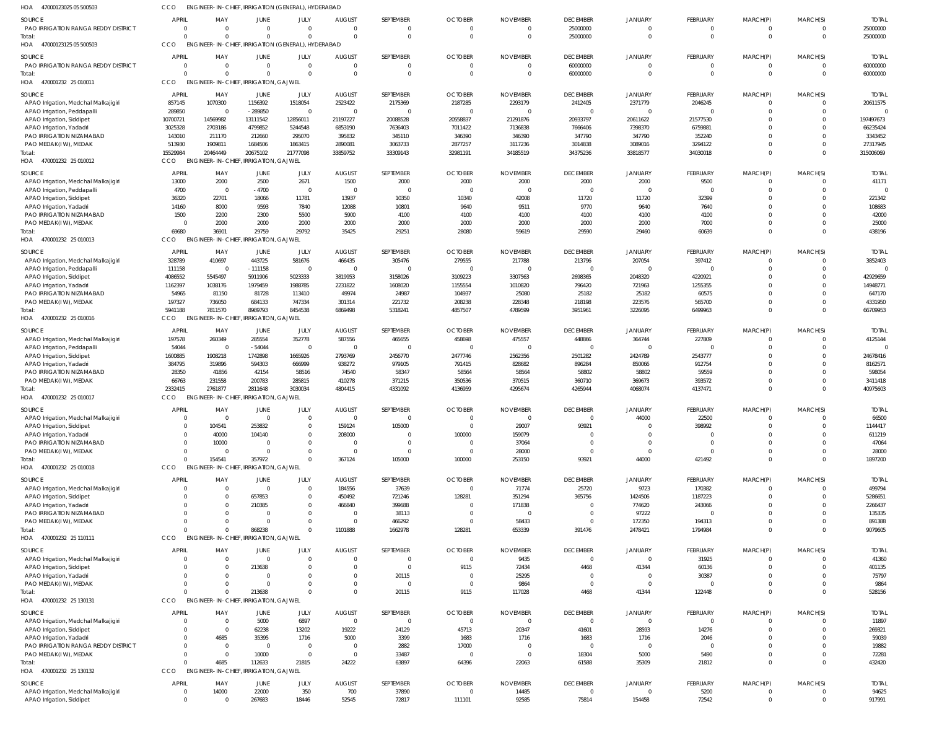| HOA<br>47000123025 05 500503                                        | CCO                      | ENGINEER-IN-CHIEF, IRRIGATION (GENERAL), HYDERABAD             |                             |                         |                              |                                  |                                |                             |                             |                            |                                   |                            |                      |                          |
|---------------------------------------------------------------------|--------------------------|----------------------------------------------------------------|-----------------------------|-------------------------|------------------------------|----------------------------------|--------------------------------|-----------------------------|-----------------------------|----------------------------|-----------------------------------|----------------------------|----------------------|--------------------------|
| SOURCE<br>PAO IRRIGATION RANGA REDDY DISTRICT                       | <b>APRIL</b><br>$\Omega$ | MAY<br>$\Omega$                                                | JUNE<br>$\mathbf 0$         | JULY<br>$\Omega$        | <b>AUGUST</b><br>$\mathbf 0$ | SEPTEMBER<br>$\overline{0}$      | <b>OCTOBER</b><br>$\mathbf{0}$ | <b>NOVEMBER</b><br>0        | <b>DECEMBER</b><br>25000000 | <b>JANUARY</b>             | <b>FEBRUARY</b><br>$\Omega$       | MARCH(P)<br>$^{\circ}$     | MARCH(S)             | <b>TOTAL</b><br>25000000 |
| Total<br>HOA<br>47000123125 05 500503                               | CCO                      | $\Omega$<br>ENGINEER-IN-CHIEF, IRRIGATION (GENERAL), HYDERABAD | $\Omega$                    | $\Omega$                | $\Omega$                     | $\Omega$                         | $\mathbf 0$                    | $\mathbf 0$                 | 25000000                    |                            | $\Omega$                          | $\Omega$                   |                      | 25000000                 |
| <b>SOURCE</b>                                                       | <b>APRIL</b><br>$\Omega$ | MAY<br>$\Omega$                                                | JUNE<br>$\overline{0}$      | JULY<br>$\Omega$        | <b>AUGUST</b><br>$\mathbf 0$ | SEPTEMBER<br>$\overline{0}$      | <b>OCTOBER</b>                 | <b>NOVEMBER</b><br>$\Omega$ | <b>DECEMBER</b>             | <b>JANUARY</b>             | <b>FEBRUARY</b><br>$\overline{0}$ | MARCH(P)                   | MARCH(S)             | <b>TOTAL</b>             |
| PAO IRRIGATION RANGA REDDY DISTRICT<br>Total                        |                          | $\Omega$                                                       | $\Omega$                    | $\Omega$                | $\mathbf 0$                  | $\Omega$                         | $\mathbf 0$<br>$\mathbf 0$     | $\mathbf 0$                 | 60000000<br>60000000        |                            | $\Omega$                          | $\overline{0}$<br>$\Omega$ | $\Omega$             | 60000000<br>60000000     |
| 470001232 25 010011<br>HOA                                          | CCO                      | ENGINEER-IN-CHIEF, IRRIGATION, GAJWEL                          |                             |                         |                              |                                  |                                |                             |                             |                            |                                   |                            |                      |                          |
| <b>SOURCE</b>                                                       | <b>APRIL</b>             | MAY                                                            | JUNE                        | JULY                    | <b>AUGUST</b>                | SEPTEMBER                        | <b>OCTOBER</b>                 | <b>NOVEMBER</b>             | <b>DECEMBER</b>             | JANUARY                    | <b>FEBRUARY</b>                   | MARCH(P)                   | MARCH(S)             | <b>TOTAL</b>             |
| APAO Irrigation, Medchal Malkajigiri<br>APAO Irrigation, Peddapalli | 857145<br>289850         | 1070300<br>$\overline{0}$                                      | 1156392<br>$-289850$        | 1518054<br>$\Omega$     | 2523422<br>$\mathbf 0$       | 2175369<br>- 0                   | 2187285<br>$\mathbf{0}$        | 2293179<br>$\Omega$         | 2412405<br>$\Omega$         | 2371779<br>$\Omega$        | 2046245<br>$\Omega$               | $\overline{0}$<br>$\Omega$ |                      | 20611575                 |
| APAO Irrigation, Siddipet                                           | 10700721                 | 14569982                                                       | 13111542                    | 12856011                | 21197227                     | 20088528                         | 20558837                       | 21291876                    | 20933797                    | 20611622                   | 21577530                          | $\Omega$                   |                      | 197497673                |
| APAO Irrigation, Yadadri                                            | 3025328                  | 2703186                                                        | 4799852                     | 5244548                 | 6853190                      | 7636403                          | 7011422                        | 7136838                     | 7666406                     | 7398370                    | 6759881                           | $\Omega$                   |                      | 66235424                 |
| PAO IRRIGATION NIZAMABAD<br>PAO MEDAK(IW), MEDAK                    | 143010<br>513930         | 211170<br>1909811                                              | 212660<br>1684506           | 295070<br>1863415       | 395832<br>2890081            | 345110<br>3063733                | 346390<br>2877257              | 346390<br>3117236           | 347790<br>3014838           | 347790<br>3089016          | 352240<br>3294122                 | $\Omega$<br>$\Omega$       |                      | 3343452<br>27317945      |
| Total:                                                              | 15529984                 | 20464449                                                       | 20675102                    | 21777098                | 33859752                     | 33309143                         | 32981191                       | 34185519                    | 34375236                    | 33818577                   | 34030018                          | $\Omega$                   |                      | 315006069                |
| HOA<br>470001232 25 010012                                          | CCO                      | <b>ENGINEER-IN-CHIEF</b>                                       | <b>IRRIGATION, GAJWEL</b>   |                         |                              |                                  |                                |                             |                             |                            |                                   |                            |                      |                          |
| <b>SOURCE</b>                                                       | <b>APRIL</b>             | MAY                                                            | JUNE                        | JULY                    | <b>AUGUST</b>                | SEPTEMBER                        | <b>OCTOBER</b>                 | <b>NOVEMBER</b>             | <b>DECEMBER</b>             | <b>JANUARY</b>             | <b>FEBRUARY</b>                   | MARCH(P)                   | MARCH(S)             | <b>TOTAL</b>             |
| APAO Irrigation, Medchal Malkajigiri<br>APAO Irrigation, Peddapalli | 13000<br>4700            | 2000<br>$\overline{\mathbf{0}}$                                | 2500<br>$-4700$             | 2671<br>$\Omega$        | 1500<br>$\overline{0}$       | 2000<br>$\Omega$                 | 2000<br>$\mathbf{0}$           | 2000<br>$\Omega$            | 2000<br>$\Omega$            | 2000<br>$\Omega$           | 9500<br>$\Omega$                  | $\overline{0}$<br>$\Omega$ | - 0<br>$\Omega$      | 41171                    |
| APAO Irrigation, Siddipet                                           | 36320                    | 22701                                                          | 18066                       | 11781                   | 13937                        | 10350                            | 10340                          | 42008                       | 11720                       | 11720                      | 32399                             | $\Omega$                   |                      | 221342                   |
| APAO Irrigation, Yadadri                                            | 14160                    | 8000                                                           | 9593                        | 7840                    | 12088                        | 10801                            | 9640                           | 9511                        | 9770                        | 9640                       | 7640                              | $\Omega$                   |                      | 108683                   |
| PAO IRRIGATION NIZAMABAD                                            | 1500                     | 2200<br>2000                                                   | 2300<br>2000                | 5500<br>2000            | 5900<br>2000                 | 4100<br>2000                     | 4100<br>2000                   | 4100<br>2000                | 4100<br>2000                | 4100<br>2000               | 4100<br>7000                      | $\Omega$<br>$\Omega$       | $\Omega$             | 42000<br>25000           |
| PAO MEDAK(IW), MEDAK<br>Total:                                      | 69680                    | 36901                                                          | 29759                       | 29792                   | 35425                        | 29251                            | 28080                          | 59619                       | 29590                       | 29460                      | 60639                             | $\Omega$                   | $\Omega$             | 438196                   |
| HOA<br>470001232 25 010013                                          | CCO                      | ENGINEER-IN-CHIEF, IRRIGATION, GAJWEL                          |                             |                         |                              |                                  |                                |                             |                             |                            |                                   |                            |                      |                          |
| <b>SOURCE</b>                                                       | <b>APRIL</b>             | MAY                                                            | <b>JUNE</b>                 | JULY                    | <b>AUGUST</b>                | SEPTEMBER                        | <b>OCTOBER</b>                 | <b>NOVEMBER</b>             | <b>DECEMBER</b>             | <b>JANUARY</b>             | <b>FEBRUARY</b>                   | MARCH(P)                   | MARCH(S)             | <b>TOTAL</b>             |
| APAO Irrigation, Medchal Malkajigiri                                | 328789                   | 410697                                                         | 443725                      | 581676                  | 466435                       | 305476                           | 279555                         | 217788                      | 213796                      | 207054                     | 397412                            | $\Omega$                   |                      | 3852403                  |
| APAO Irrigation, Peddapalli<br>APAO Irrigation, Siddipet            | 111158<br>4086552        | - 0<br>5545497                                                 | $-111158$<br>5911906        | $\Omega$<br>5023333     | $\mathbf 0$<br>3819953       | $\Omega$<br>3158026              | $\overline{0}$<br>3109223      | C<br>3307563                | $\Omega$<br>2698365         | $\Omega$<br>2048320        | $\Omega$<br>4220921               | $\Omega$<br>$\Omega$       |                      | $\Omega$<br>42929659     |
| APAO Irrigation, Yadadri                                            | 1162397                  | 1038176                                                        | 1979459                     | 1988785                 | 2231822                      | 1608020                          | 1155554                        | 1010820                     | 796420                      | 721963                     | 1255355                           | $\Omega$                   |                      | 14948771                 |
| PAO IRRIGATION NIZAMABAD                                            | 54965                    | 81150                                                          | 81728                       | 113410                  | 49974                        | 24987                            | 104937                         | 25080                       | 25182                       | 25182                      | 60575                             | $\Omega$                   |                      | 647170                   |
| PAO MEDAK(IW), MEDAK<br>Total:                                      | 197327<br>5941188        | 736050<br>7811570                                              | 684133<br>8989793           | 747334<br>8454538       | 301314<br>6869498            | 221732<br>5318241                | 208238<br>4857507              | 228348<br>4789599           | 218198<br>3951961           | 223576<br>3226095          | 565700<br>6499963                 | $\Omega$<br>$\Omega$       |                      | 4331950<br>66709953      |
| HOA<br>470001232 25 010016                                          | CCO                      | <b>ENGINEER-IN-CHIEF</b>                                       | , IRRIGATION, GAJWEL        |                         |                              |                                  |                                |                             |                             |                            |                                   |                            |                      |                          |
| SOURCE                                                              | <b>APRIL</b>             | MAY                                                            | JUNE                        | JULY                    | <b>AUGUST</b>                | SEPTEMBER                        | <b>OCTOBER</b>                 | <b>NOVEMBER</b>             | <b>DECEMBER</b>             | <b>JANUARY</b>             | <b>FEBRUARY</b>                   | MARCH(P)                   | MARCH(S)             | <b>TOTAL</b>             |
| APAO Irrigation, Medchal Malkajigiri                                | 197578                   | 260349                                                         | 285554                      | 352778                  | 587556                       | 465655                           | 458698                         | 475557                      | 448866                      | 364744                     | 227809                            | $\Omega$                   |                      | 4125144                  |
| APAO Irrigation, Peddapalli<br>APAO Irrigation, Siddipet            | 54044<br>1600885         | $\overline{0}$<br>1908218                                      | $-54044$<br>1742898         | $\Omega$<br>1665926     | 0<br>2793769                 | - 0<br>2456770                   | 0<br>2477746                   | C<br>2562356                | $\Omega$<br>2501282         | $\Omega$<br>2424789        | 2543777                           | $\Omega$<br>$\Omega$       |                      | 24678416                 |
| APAO Irrigation, Yadadr                                             | 384795                   | 319896                                                         | 594303                      | 666999                  | 938272                       | 979105                           | 791415                         | 828682                      | 896284                      | 850066                     | 912754                            | $\Omega$                   |                      | 8162571                  |
| PAO IRRIGATION NIZAMABAD                                            | 28350                    | 41856                                                          | 42154                       | 58516                   | 74540                        | 58347                            | 58564                          | 58564                       | 58802                       | 58802                      | 59559                             | $\Omega$                   |                      | 598054                   |
| PAO MEDAK(IW), MEDAK<br>Total                                       | 66763<br>2332415         | 231558<br>2761877                                              | 200783<br>2811648           | 285815<br>3030034       | 410278<br>4804415            | 371215<br>4331092                | 350536<br>4136959              | 370515<br>4295674           | 360710<br>4265944           | 369673<br>4068074          | 393572<br>4137471                 | $\overline{0}$<br>$\Omega$ | $\Omega$<br>$\Omega$ | 3411418<br>40975603      |
| 470001232 25 010017<br>HOA                                          | CCO                      | <b>ENGINEER-IN-CHIEF, IRRIGATION, GAJWEL</b>                   |                             |                         |                              |                                  |                                |                             |                             |                            |                                   |                            |                      |                          |
| <b>SOURCE</b>                                                       | <b>APRIL</b>             | MAY                                                            | JUNE                        | <b>JULY</b>             | <b>AUGUST</b>                | SEPTEMBER                        | <b>OCTOBER</b>                 | <b>NOVEMBER</b>             | <b>DECEMBER</b>             | <b>JANUARY</b>             | <b>FEBRUARY</b>                   | MARCH(P)                   | MARCH(S)             | <b>TOTAL</b>             |
| APAO Irrigation, Medchal Malkajigiri                                |                          |                                                                | $\sqrt{ }$                  |                         | $\cap$                       |                                  |                                |                             |                             | 44000                      | 22500                             |                            |                      | 66500                    |
| APAO Irrigation, Siddipet                                           | $\Omega$                 | 104541<br>40000                                                | 253832<br>104140            | $\Omega$                | 159124<br>208000             | 105000<br>$\Omega$               | $\Omega$<br>100000             | 29007<br>159079             | 93921                       |                            | 398992                            | $\Omega$<br>$\Omega$       |                      | 1144417<br>611219        |
| APAO Irrigation, Yadadri<br>PAO IRRIGATION NIZAMABAD                | $\Omega$                 | 10000                                                          | $\overline{0}$              | $\Omega$                | 0                            | $\Omega$                         | 0                              | 37064                       |                             |                            |                                   | $\Omega$                   |                      | 47064                    |
| PAO MEDAK(IW), MEDAK                                                | $\Omega$                 | $\Omega$                                                       | $\Omega$                    | $\Omega$                | $\mathbf 0$                  | $\Omega$                         | $\overline{0}$                 | 28000                       | $\Omega$                    | $\Omega$                   |                                   | $\Omega$                   |                      | 28000                    |
| Total:<br>470001232 25 010018<br>HOA                                | $\Omega$<br>CCO          | 154541<br>ENGINEER-IN-CHIEF, IRRIGATION, GAJWEL                | 357972                      | $\Omega$                | 367124                       | 105000                           | 100000                         | 253150                      | 93921                       | 44000                      | 421492                            | $\Omega$                   |                      | 1897200                  |
|                                                                     | <b>APRIL</b>             |                                                                |                             | JULY                    |                              | SEPTEMBER                        | <b>OCTOBER</b>                 | <b>NOVEMBER</b>             |                             | <b>JANUARY</b>             |                                   |                            |                      |                          |
| <b>SOURCE</b><br>APAO Irrigation, Medchal Malkajigiri               | $\mathbf{0}$             | MAY<br>$\overline{0}$                                          | JUNE<br>$\mathbf 0$         | $\overline{0}$          | <b>AUGUST</b><br>184556      | 37639                            | $\mathbf{0}$                   | 71774                       | <b>DECEMBER</b><br>25720    | 9723                       | <b>FEBRUARY</b><br>170382         | MARCH(P)<br>$\Omega$       | MARCH(S)             | <b>TOTAL</b><br>499794   |
| APAO Irrigation, Siddipet                                           |                          | $\overline{0}$                                                 | 657853                      | $\overline{0}$          | 450492                       | 721246                           | 128281                         | 351294                      | 365756                      | 1424506                    | 1187223                           |                            |                      | 5286651                  |
| APAO Irrigation, Yadadri                                            |                          | $\Omega$                                                       | 210385                      | $\Omega$                | 466840                       | 399688                           | $\mathbf{0}$                   | 171838                      | $\Omega$                    | 774620                     | 243066                            |                            |                      | 2266437                  |
| PAO IRRIGATION NIZAMABAD<br>PAO MEDAK(IW), MEDAK                    |                          | $\overline{0}$<br>$\Omega$                                     | $\mathbf{0}$<br>$\mathbf 0$ | $\Omega$<br>$\Omega$    | 0<br>$\mathbf 0$             | 38113<br>466292                  | $\mathbf{0}$<br>$\mathbf{0}$   | $\overline{0}$<br>58433     |                             | 97222<br>172350            | 194313                            | $\Omega$                   |                      | 135335<br>891388         |
| Total:                                                              |                          | $\Omega$                                                       | 868238                      | $\Omega$                | 1101888                      | 1662978                          | 128281                         | 653339                      | 391476                      | 2478421                    | 1794984                           | $\Omega$                   | $\Omega$             | 9079605                  |
| HOA 470001232 25 110111                                             | CCO                      | <b>ENGINEER-IN-CHIEF, IRRIGATION, GAJWEL</b>                   |                             |                         |                              |                                  |                                |                             |                             |                            |                                   |                            |                      |                          |
| <b>SOURCE</b>                                                       | <b>APRIL</b><br>$\Omega$ | MAY<br>$\overline{0}$                                          | <b>JUNE</b><br>$\mathbf 0$  | <b>JULY</b><br>$\Omega$ | <b>AUGUST</b><br>$\mathbf 0$ | SEPTEMBER<br>$\overline{0}$      | <b>OCTOBER</b><br>$\mathbf{0}$ | <b>NOVEMBER</b><br>9435     | <b>DECEMBER</b><br>$\Omega$ | <b>JANUARY</b><br>$\Omega$ | <b>FEBRUARY</b><br>31925          | MARCH(P)                   | MARCH(S)             | <b>TOTAL</b><br>41360    |
| APAO Irrigation, Medchal Malkajigiri<br>APAO Irrigation, Siddipet   |                          | $\Omega$                                                       | 213638                      | $\Omega$                | $\mathbf 0$                  | $\overline{\mathbf{0}}$          | 9115                           | 72434                       | 4468                        | 41344                      | 60136                             | $\Omega$                   |                      | 401135                   |
| APAO Irrigation, Yadadri                                            |                          | $\Omega$                                                       | $\Omega$                    |                         | $\Omega$                     | 20115                            | $\overline{0}$                 | 25295                       |                             |                            | 30387                             |                            |                      | 75797                    |
| PAO MEDAK(IW), MEDAK                                                |                          | $\Omega$<br>$\Omega$                                           | $\mathbf 0$<br>213638       | $\Omega$                | $\mathbf 0$<br>$\Omega$      | $\overline{\mathbf{0}}$<br>20115 | $\overline{0}$<br>9115         | 9864                        |                             | $\Omega$                   | $\Omega$<br>122448                | $\Omega$<br>$\Omega$       |                      | 9864                     |
| Total:<br>HOA<br>470001232 25 130131                                | CCO                      | ENGINEER-IN-CHIEF, IRRIGATION, GAJWEL                          |                             |                         |                              |                                  |                                | 117028                      | 4468                        | 41344                      |                                   |                            |                      | 528156                   |
| SOURCE                                                              | <b>APRIL</b>             | MAY                                                            | JUNE                        | JULY                    | <b>AUGUST</b>                | SEPTEMBER                        | <b>OCTOBER</b>                 | <b>NOVEMBER</b>             | <b>DECEMBER</b>             | <b>JANUARY</b>             | FEBRUARY                          | MARCH(P)                   | MARCH(S)             | <b>TOTAL</b>             |
| APAO Irrigation, Medchal Malkajigiri                                | $\mathbf{0}$             | $\overline{0}$                                                 | 5000                        | 6897                    | $\mathbf{0}$                 | $\overline{\mathbf{0}}$          | $\mathbf{0}$                   | $\overline{0}$              | $\overline{0}$              | $\Omega$                   | $\overline{\phantom{0}}$          |                            |                      | 11897                    |
| APAO Irrigation, Siddipet                                           |                          | $\overline{0}$                                                 | 62238                       | 13202                   | 19222                        | 24129                            | 45713                          | 20347                       | 41601                       | 28593                      | 14276                             |                            |                      | 269321                   |
| APAO Irrigation, Yadadri<br>PAO IRRIGATION RANGA REDDY DISTRICT     | $\Omega$                 | 4685<br>$\overline{0}$                                         | 35395<br>$\overline{0}$     | 1716<br>$\Omega$        | 5000<br>$\mathbf 0$          | 3399<br>2882                     | 1683<br>17000                  | 1716<br>$\overline{0}$      | 1683<br>$\Omega$            | 1716<br>$\Omega$           | 2046<br>$\Omega$                  |                            |                      | 59039<br>19882           |
| PAO MEDAK(IW), MEDAK                                                | $\Omega$                 | $\overline{0}$                                                 | 10000                       | $\Omega$                | $\overline{0}$               | 33487                            | 0                              | $\overline{0}$              | 18304                       | 5000                       | 5490                              | $\mathbf 0$                | $\Omega$             | 72281                    |
| Total:                                                              |                          | 4685                                                           | 112633                      | 21815                   | 24222                        | 63897                            | 64396                          | 22063                       | 61588                       | 35309                      | 21812                             | $\Omega$                   | $\Omega$             | 432420                   |
| HOA 470001232 25 130132                                             | CCO                      | ENGINEER-IN-CHIEF, IRRIGATION, GAJWEL                          |                             |                         |                              |                                  |                                |                             |                             |                            |                                   |                            |                      |                          |
| SOURCE<br>APAO Irrigation, Medchal Malkajigiri                      | <b>APRIL</b><br>0        | MAY<br>14000                                                   | JUNE<br>22000               | JULY<br>350             | <b>AUGUST</b><br>700         | SEPTEMBER<br>37890               | <b>OCTOBER</b><br>$\mathbf{0}$ | <b>NOVEMBER</b><br>14485    | <b>DECEMBER</b><br>$\Omega$ | <b>JANUARY</b><br>$\Omega$ | <b>FEBRUARY</b><br>5200           | MARCH(P)                   | MARCH(S)             | <b>TOTAL</b><br>94625    |
| APAO Irrigation, Siddipet                                           | $\mathbf 0$              | $\overline{0}$                                                 | 267683                      | 18446                   | 52545                        | 72817                            | 111101                         | 92585                       | 75814                       | 154458                     | 72542                             | $\overline{0}$             | $\Omega$             | 917991                   |
|                                                                     |                          |                                                                |                             |                         |                              |                                  |                                |                             |                             |                            |                                   |                            |                      |                          |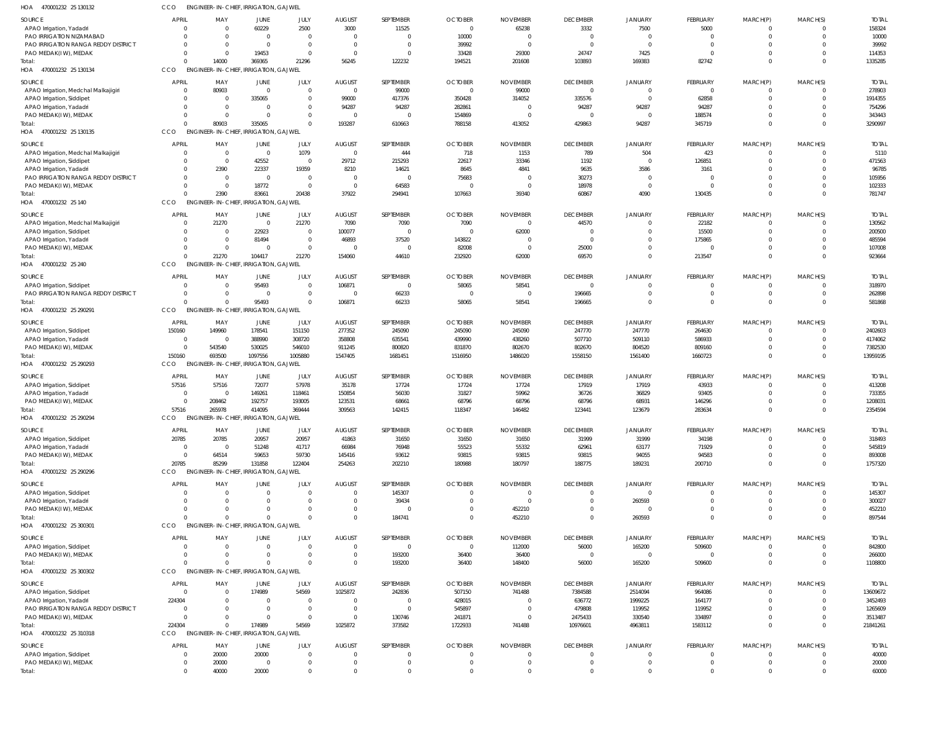| HOA<br>470001232 25 130132           | CCO                        |                          | ENGINEER-IN-CHIEF, IRRIGATION, GAJWEL        |                |               |                |                |                 |                 |                         |                |                             |                      |              |
|--------------------------------------|----------------------------|--------------------------|----------------------------------------------|----------------|---------------|----------------|----------------|-----------------|-----------------|-------------------------|----------------|-----------------------------|----------------------|--------------|
| <b>SOURCE</b>                        | <b>APRIL</b>               | MAY                      | <b>JUNE</b>                                  | JULY           | <b>AUGUST</b> | SEPTEMBER      | <b>OCTOBER</b> | <b>NOVEMBER</b> | <b>DECEMBER</b> | <b>JANUARY</b>          | FEBRUARY       | MARCH(P)                    | MARCH(S)             | <b>TOTAL</b> |
| APAO Irrigation, Yadadri             |                            | $\Omega$                 | 60229                                        | 2500           | 3000          | 11525          | $\overline{0}$ | 65238           | 3332            | 7500                    | 5000           | $\overline{0}$              | $\Omega$             | 158324       |
| PAO IRRIGATION NIZAMABAD             | $\Omega$                   | $\Omega$                 | $\overline{0}$                               | $\mathbf 0$    | $\mathbf 0$   | $\Omega$       | 10000          | $\Omega$        | $\overline{0}$  | $\overline{0}$          | $\mathbf 0$    | $\mathbf 0$                 | $\Omega$             | 10000        |
| PAO IRRIGATION RANGA REDDY DISTRICT  | $\Omega$                   | $\Omega$                 | $\overline{0}$                               | $\mathbf{0}$   | $\mathbf 0$   | $\Omega$       | 39992          | $\Omega$        | $\overline{0}$  | $\Omega$                | $\Omega$       | $\mathbf 0$                 | $\Omega$             | 39992        |
| PAO MEDAK(IW), MEDAK                 | $\Omega$                   | $\Omega$                 | 19453                                        | $\mathbf 0$    | $\Omega$      | $\Omega$       | 33428          | 29300           | 24747           | 7425                    | $\Omega$       | $\mathbf 0$                 | $\Omega$             | 114353       |
| Total:                               | $\Omega$                   | 14000                    | 369365                                       | 21296          | 56245         | 122232         | 194521         | 201608          | 103893          | 169383                  | 82742          | $\mathbf 0$                 | $\Omega$             | 1335285      |
| HOA 470001232 25 130134              | CCO                        |                          | <b>ENGINEER-IN-CHIEF, IRRIGATION, GAJWEL</b> |                |               |                |                |                 |                 |                         |                |                             |                      |              |
| <b>SOURCE</b>                        | <b>APRIL</b>               | MAY                      | <b>JUNE</b>                                  | JULY           | <b>AUGUST</b> | SEPTEMBER      | <b>OCTOBER</b> | <b>NOVEMBER</b> | <b>DECEMBER</b> | <b>JANUARY</b>          | FEBRUARY       | MARCH(P)                    | MARCH(S)             | <b>TOTAL</b> |
| APAO Irrigation, Medchal Malkajigiri |                            | 80903                    | $\overline{\mathbf{0}}$                      | $\mathbf 0$    | $\mathbf 0$   | 99000          | $\overline{0}$ | 99000           | $\overline{0}$  | $\overline{0}$          | $\overline{0}$ | $\mathbf 0$                 | $\Omega$             | 278903       |
| APAO Irrigation, Siddipet            |                            | $\overline{0}$           | 335065                                       | $\mathbf 0$    | 99000         | 417376         | 350428         | 314052          | 335576          | $\overline{0}$          | 62858          | $\mathbf 0$                 | $\Omega$             | 1914355      |
| APAO Irrigation, Yadadri             |                            | $\overline{0}$           | $\overline{0}$                               | $\mathbf{0}$   | 94287         | 94287          | 282861         | $\Omega$        | 94287           | 94287                   | 94287          | $\mathbf{0}$                | $\Omega$             | 754296       |
| PAO MEDAK(IW), MEDAK                 |                            | $\Omega$                 | $\overline{0}$                               | $\mathbf 0$    | $\mathbf 0$   | $\Omega$       | 154869         | $\Omega$        | $\overline{0}$  | $\overline{0}$          | 188574         | $\mathbf 0$                 | $\Omega$             | 343443       |
| Total:                               | $\Omega$                   | 80903                    | 335065                                       | $\mathbf 0$    | 193287        | 610663         | 788158         | 413052          | 429863          | 94287                   | 345719         | $\mathbf 0$                 | $\Omega$             | 3290997      |
| 470001232 25 130135<br>HOA           | CCO                        |                          | <b>ENGINEER-IN-CHIEF, IRRIGATION, GAJWEL</b> |                |               |                |                |                 |                 |                         |                |                             |                      |              |
|                                      |                            |                          |                                              |                |               |                |                |                 |                 |                         |                |                             |                      |              |
| SOURCE                               | <b>APRIL</b>               | MAY                      | <b>JUNE</b>                                  | JULY           | <b>AUGUST</b> | SEPTEMBER      | <b>OCTOBER</b> | <b>NOVEMBER</b> | <b>DECEMBER</b> | JANUARY                 | FEBRUARY       | MARCH(P)                    | MARCH(S)             | <b>TOTAL</b> |
| APAO Irrigation, Medchal Malkajigiri | $\Omega$                   | $\overline{0}$           | $\overline{0}$                               | 1079           | $\mathbf 0$   | 444            | 718            | 1153            | 789             | 504                     | 423            | $^{\circ}$                  | $\Omega$             | 5110         |
| APAO Irrigation, Siddipet            | $\Omega$                   | $\overline{0}$           | 42552                                        | $\overline{0}$ | 29712         | 215293         | 22617          | 33346           | 1192            | $\overline{0}$          | 126851         | $\mathbf 0$                 | $\Omega$             | 471563       |
| APAO Irrigation, Yadadri             | $\Omega$                   | 2390                     | 22337                                        | 19359          | 8210          | 14621          | 8645           | 4841            | 9635            | 3586                    | 3161           | $\mathbf 0$                 | $\Omega$             | 96785        |
| PAO IRRIGATION RANGA REDDY DISTRICT  | $\Omega$                   | $\overline{0}$           | $\overline{0}$                               | $\overline{0}$ | $\mathbf 0$   | $\overline{0}$ | 75683          | $\Omega$        | 30273           | $\overline{0}$          | 0              | $\mathbf 0$                 | $\Omega$             | 105956       |
| PAO MEDAK(IW), MEDAK                 | $\Omega$                   | $\overline{0}$           | 18772                                        | $\overline{0}$ | $\mathbf 0$   | 64583          | $\Omega$       | $\Omega$        | 18978           | $\overline{0}$          | $\Omega$       | $\mathbf 0$                 | $\Omega$             | 102333       |
| Total:                               | $\Omega$                   | 2390                     | 83661                                        | 20438          | 37922         | 294941         | 107663         | 39340           | 60867           | 4090                    | 130435         | $\mathbf 0$                 | $\Omega$             | 781747       |
| HOA 470001232 25 140                 | CCO                        |                          | <b>ENGINEER-IN-CHIEF, IRRIGATION, GAJWEL</b> |                |               |                |                |                 |                 |                         |                |                             |                      |              |
| SOURCE                               | <b>APRIL</b>               | MAY                      | <b>JUNE</b>                                  | JULY           | <b>AUGUST</b> | SEPTEMBER      | <b>OCTOBER</b> | <b>NOVEMBER</b> | <b>DECEMBER</b> | <b>JANUARY</b>          | FEBRUARY       | MARCH(P)                    | MARCH(S)             | <b>TOTAL</b> |
| APAO Irrigation, Medchal Malkajigiri |                            | 21270                    | $\overline{0}$                               | 21270          | 7090          | 7090           | 7090           | $\overline{0}$  | 44570           | $\mathbf 0$             | 22182          | $\mathbf 0$                 | $\Omega$             | 130562       |
| APAO Irrigation, Siddipet            |                            | $\overline{0}$           | 22923                                        | $\overline{0}$ | 100077        | $\overline{0}$ | $\overline{0}$ | 62000           | $\overline{0}$  | $\overline{0}$          | 15500          | $\mathbf 0$                 | $\Omega$             | 200500       |
| APAO Irrigation, Yadadri             | $\Omega$                   | $\overline{0}$           | 81494                                        | $\mathbf 0$    | 46893         | 37520          | 143822         | $\Omega$        | $\circ$         | $\overline{0}$          | 175865         | $\mathbf{0}$                | $\Omega$             | 485594       |
| PAO MEDAK(IW), MEDAK                 |                            | $\overline{0}$           | $\overline{0}$                               | $\mathbf 0$    | $\mathbf 0$   | $\Omega$       | 82008          | $\Omega$        | 25000           | $\overline{0}$          | $\Omega$       | $\mathbf 0$                 | $\Omega$             | 107008       |
| Total:                               |                            | 21270                    | 104417                                       | 21270          | 154060        | 44610          | 232920         | 62000           | 69570           | $\overline{0}$          | 213547         | $\mathbf 0$                 | $\Omega$             | 923664       |
| 470001232 25 240<br>HOA              | CCO                        |                          | <b>ENGINEER-IN-CHIEF, IRRIGATION, GAJWEL</b> |                |               |                |                |                 |                 |                         |                |                             |                      |              |
| SOURCE                               | <b>APRIL</b>               | MAY                      | JUNE                                         | JULY           | <b>AUGUST</b> | SEPTEMBER      | <b>OCTOBER</b> | <b>NOVEMBER</b> | <b>DECEMBER</b> | <b>JANUARY</b>          | FEBRUARY       | MARCH(P)                    | MARCH(S)             | <b>TOTAL</b> |
| APAO Irrigation, Siddipet            | $\Omega$                   | $\Omega$                 | 95493                                        | $\mathbf 0$    | 106871        | $\Omega$       | 58065          | 58541           | $\overline{0}$  | $\mathbf 0$             | 0              | $^{\circ}$                  | $\Omega$             | 318970       |
| PAO IRRIGATION RANGA REDDY DISTRICT  | $\Omega$                   | $\overline{0}$           | $\overline{0}$                               | $\mathbf 0$    | $\mathbf 0$   | 66233          | $\overline{0}$ | $\Omega$        | 196665          | $\overline{0}$          | $\mathbf 0$    | $\overline{0}$              | $\Omega$             | 262898       |
| Total:                               |                            | $\Omega$                 | 95493                                        | $\Omega$       | 106871        | 66233          | 58065          | 58541           | 196665          | $\Omega$                | $\mathbf 0$    | $\mathbf 0$                 | $\Omega$             | 581868       |
| 470001232 25 290291<br>HOA           | CCO                        |                          | <b>ENGINEER-IN-CHIEF, IRRIGATION, GAJWEL</b> |                |               |                |                |                 |                 |                         |                |                             |                      |              |
|                                      |                            |                          |                                              |                |               |                |                |                 |                 |                         |                |                             |                      |              |
| SOURCE                               | APRIL                      | MAY                      | JUNE                                         | JULY           | <b>AUGUST</b> | SEPTEMBER      | <b>OCTOBER</b> | <b>NOVEMBER</b> | <b>DECEMBER</b> | <b>JANUARY</b>          | FEBRUARY       | MARCH(P)                    | MARCH(S)             | <b>TOTAL</b> |
| APAO Irrigation, Siddipet            | 150160                     | 149960                   | 178541                                       | 151150         | 277352        | 245090         | 245090         | 245090          | 247770          | 247770                  | 264630         | $\overline{0}$              | $\Omega$             | 2402603      |
| APAO Irrigation, Yadadri             | $\Omega$                   | $\overline{0}$           | 388990                                       | 308720         | 358808        | 635541         | 439990         | 438260          | 507710          | 509110                  | 586933         | $\mathbf 0$                 | $\Omega$             | 4174062      |
| PAO MEDAK(IW), MEDAK                 | $\Omega$                   | 543540                   | 530025                                       | 546010         | 911245        | 800820         | 831870         | 802670          | 802670          | 804520                  | 809160         | $\mathbf 0$                 | $\Omega$             | 7382530      |
| Total:                               | 150160                     | 693500                   | 1097556                                      | 1005880        | 1547405       | 1681451        | 1516950        | 1486020         | 1558150         | 1561400                 | 1660723        | $\mathbf 0$                 | $\Omega$             | 13959195     |
| HOA<br>470001232 25 290293           | <b>CCO</b>                 | <b>ENGINEER-IN-CHIEF</b> | <b>IRRIGATION, GAJWEL</b>                    |                |               |                |                |                 |                 |                         |                |                             |                      |              |
| SOURCE                               | <b>APRIL</b>               | MAY                      | JUNE                                         | JULY           | <b>AUGUST</b> | SEPTEMBER      | <b>OCTOBER</b> | <b>NOVEMBER</b> | <b>DECEMBER</b> | <b>JANUARY</b>          | FEBRUARY       | MARCH(P)                    | MARCH(S)             | <b>TOTAL</b> |
| APAO Irrigation, Siddipet            | 57516                      | 57516                    | 72077                                        | 57978          | 35178         | 17724          | 17724          | 17724           | 17919           | 17919                   | 43933          | $^{\circ}$                  | $\Omega$             | 413208       |
| APAO Irrigation, Yadadri             | $\Omega$                   | $\overline{0}$           | 149261                                       | 118461         | 150854        | 56030          | 31827          | 59962           | 36726           | 36829                   | 93405          | $\mathbf 0$                 | $\Omega$             | 733355       |
| PAO MEDAK(IW), MEDAK                 |                            | 208462                   | 192757                                       | 193005         | 123531        | 68661          | 68796          | 68796           | 68796           | 68931                   | 146296         | $\mathbf 0$                 | $\Omega$             | 1208031      |
| Total:                               | 57516                      | 265978                   | 414095                                       | 369444         | 309563        | 142415         | 118347         | 146482          | 123441          | 123679                  | 283634         | $\Omega$                    | $\Omega$             | 2354594      |
| HOA 470001232 25 290294              | <b>CCO</b>                 | <b>ENGINEER-IN-CHIEF</b> | <b>IRRIGATION, GAJWEL</b>                    |                |               |                |                |                 |                 |                         |                |                             |                      |              |
|                                      |                            |                          |                                              |                |               |                |                |                 |                 |                         |                |                             |                      |              |
| SOURCE                               | <b>APRIL</b>               | MAY                      | JUNE                                         | JULY           | <b>AUGUST</b> | SEPTEMBER      | <b>OCTOBER</b> | <b>NOVEMBER</b> | <b>DECEMBER</b> | <b>JANUARY</b>          | FEBRUARY       | MARCH(P)                    | MARCH(S)             | <b>TOTAL</b> |
| APAO Irrigation, Siddipet            | 20785                      | 20785                    | 20957                                        | 20957          | 41863         | 31650          | 31650          | 31650           | 31999           | 31999                   | 34198          | $^{\circ}$                  | $\Omega$<br>$\Omega$ | 318493       |
| APAO Irrigation, Yadadri             | $\overline{0}$<br>$\Omega$ | $\overline{0}$           | 51248                                        | 41717          | 66984         | 76948          | 55523          | 55332           | 62961           | 63177                   | 71929          | $\mathbf 0$                 |                      | 545819       |
| PAO MEDAK(IW), MEDAK                 | 20785                      | 64514<br>85299           | 59653<br>131858                              | 59730          | 145416        | 93612          | 93815          | 93815           | 93815           | 94055                   | 94583          | $\mathbf{0}$<br>$\mathbf 0$ | $\Omega$<br>$\Omega$ | 893008       |
| Total:<br>HOA 470001232 25 290296    | <b>CCO</b>                 |                          | ENGINEER-IN-CHIEF, IRRIGATION, GAJWEL        | 122404         | 254263        | 202210         | 180988         | 180797          | 188775          | 189231                  | 200710         |                             |                      | 1757320      |
|                                      |                            |                          |                                              |                |               |                |                |                 |                 |                         |                |                             |                      |              |
| SOURCE                               | <b>APRIL</b>               | MAY                      | <b>JUNE</b>                                  | JULY           | <b>AUGUST</b> | SEPTEMBER      | <b>OCTOBER</b> | <b>NOVEMBER</b> | <b>DECEMBER</b> | <b>JANUARY</b>          | FEBRUARY       | MARCH(P)                    | MARCH(S)             | <b>TOTAL</b> |
| APAO Irrigation, Siddipet            |                            | $\Omega$                 | $\overline{0}$                               | $\mathbf 0$    | $\Omega$      | 145307         | $\Omega$       | $\Omega$        | $\overline{0}$  | $\overline{0}$          | 0              | $^{\circ}$                  | $\Omega$             | 145307       |
| APAO Irrigation, Yadadri             |                            | $\Omega$                 | $\Omega$                                     | $\mathbf 0$    | $\Omega$      | 39434          | $\Omega$       | $\Omega$        | $\overline{0}$  | 260593                  | $\mathbf 0$    | $\mathbf 0$                 | $\Omega$             | 300027       |
| PAO MEDAK(IW), MEDAK                 | $\Omega$                   | $\Omega$                 | $\overline{0}$                               | $\Omega$       | $\Omega$      | $\Omega$       | $\Omega$       | 452210          | $\overline{0}$  | $\overline{0}$          | $\mathbf 0$    | $\mathbf 0$                 | $\Omega$             | 452210       |
| Total:                               |                            | $\Omega$                 | $\Omega$                                     | $\Omega$       | $\Omega$      | 184741         | $\Omega$       | 452210          | $\Omega$        | 260593                  | $\Omega$       | $\mathbf 0$                 | $\Omega$             | 897544       |
| HOA 470001232 25 300301              | CCO                        |                          | <b>ENGINEER-IN-CHIEF, IRRIGATION, GAJWEL</b> |                |               |                |                |                 |                 |                         |                |                             |                      |              |
| SOURCE                               | <b>APRIL</b>               | MAY                      | JUNE                                         | JULY           | <b>AUGUST</b> | SEPTEMBER      | <b>OCTOBER</b> | <b>NOVEMBER</b> | <b>DECEMBER</b> | <b>JANUARY</b>          | FEBRUARY       | MARCH(P)                    | MARCH(S)             | <b>TOTAL</b> |
| APAO Irrigation, Siddipet            |                            | $\mathbf 0$              | $\overline{0}$                               | $\overline{0}$ | $\mathbf 0$   | $\overline{0}$ | $\overline{0}$ | 112000          | 56000           | 165200                  | 509600         | $\overline{0}$              | $\Omega$             | 842800       |
| PAO MEDAK(IW), MEDAK                 |                            | $\mathbf 0$              | $\overline{0}$                               | $\mathbf 0$    | $\mathbf 0$   | 193200         | 36400          | 36400           | $\overline{0}$  | $\overline{\mathbf{0}}$ | $\overline{0}$ | $\mathbf 0$                 | $\overline{0}$       | 266000       |
| Total:                               |                            | $\Omega$                 | $\overline{0}$                               | $\mathbf 0$    | $\mathbf 0$   | 193200         | 36400          | 148400          | 56000           | 165200                  | 509600         | $\mathbf 0$                 | $\overline{0}$       | 1108800      |
| HOA 470001232 25 300302              | <b>CCO</b>                 |                          | <b>ENGINEER-IN-CHIEF, IRRIGATION, GAJWEL</b> |                |               |                |                |                 |                 |                         |                |                             |                      |              |
|                                      |                            |                          |                                              |                |               |                |                |                 |                 |                         |                |                             |                      |              |
| SOURCE                               | APRIL                      | MAY                      | JUNE                                         | JULY           | <b>AUGUST</b> | SEPTEMBER      | <b>OCTOBER</b> | <b>NOVEMBER</b> | <b>DECEMBER</b> | <b>JANUARY</b>          | FEBRUARY       | MARCH(P)                    | MARCH(S)             | <b>TOTAL</b> |
| APAO Irrigation, Siddipet            | $\Omega$                   | $\Omega$                 | 174989                                       | 54569          | 1025872       | 242836         | 507150         | 741488          | 7384588         | 2514094                 | 964086         | $\mathbf 0$                 | $\Omega$             | 13609672     |
| APAO Irrigation, Yadadri             | 224304                     | $\Omega$                 | $\overline{0}$                               | $\mathbf 0$    | $\mathbf 0$   | $\Omega$       | 428015         | $\Omega$        | 636772          | 1999225                 | 164177         | $\mathbf 0$                 | $\Omega$             | 3452493      |
| PAO IRRIGATION RANGA REDDY DISTRICT  | $\Omega$                   |                          | $\overline{0}$                               | $\overline{0}$ | $\mathbf 0$   | $\Omega$       | 545897         | $\Omega$        | 479808          | 119952                  | 119952         | $\mathbf 0$                 | $\Omega$             | 1265609      |
| PAO MEDAK(IW), MEDAK                 |                            | $\Omega$                 | $\Omega$                                     | $\mathbf 0$    | $\Omega$      | 130746         | 241871         | $\Omega$        | 2475433         | 330540                  | 334897         | $\mathbf 0$                 | $\Omega$             | 3513487      |
| Total:                               | 224304                     | $\Omega$                 | 174989                                       | 54569          | 1025872       | 373582         | 1722933        | 741488          | 10976601        | 4963811                 | 1583112        | $\mathbf 0$                 | $\Omega$             | 21841261     |
| HOA 470001232 25 310318              | <b>CCO</b>                 |                          | <b>ENGINEER-IN-CHIEF, IRRIGATION, GAJWEL</b> |                |               |                |                |                 |                 |                         |                |                             |                      |              |
| SOURCE                               | <b>APRIL</b>               | MAY                      | <b>JUNE</b>                                  | JULY           | <b>AUGUST</b> | SEPTEMBER      | <b>OCTOBER</b> | <b>NOVEMBER</b> | <b>DECEMBER</b> | <b>JANUARY</b>          | FEBRUARY       | MARCH(P)                    | MARCH(S)             | <b>TOTAL</b> |
| APAO Irrigation, Siddipet            |                            | 20000                    | 20000                                        | $\mathbf 0$    | $\mathbf 0$   | $\Omega$       | $\mathbf 0$    | $\mathbf{0}$    | $\overline{0}$  | $\overline{0}$          | $\mathbf 0$    | $\mathbf 0$                 | $\Omega$             | 40000        |
| PAO MEDAK(IW), MEDAK                 |                            | 20000                    | $\overline{0}$                               | $\mathbf 0$    | $\mathbf 0$   | $\mathbf{0}$   | $\overline{0}$ | $\mathbf{0}$    | $\overline{0}$  | $\overline{0}$          | $\mathbf 0$    | $\mathbf 0$                 | $\overline{0}$       | 20000        |
| Total:                               | $\Omega$                   | 40000                    | 20000                                        | $\mathbf 0$    | 0             | $\Omega$       | $\Omega$       | $\Omega$        | $\Omega$        | $\overline{0}$          | $\Omega$       | $\mathbf 0$                 | $\Omega$             | 60000        |
|                                      |                            |                          |                                              |                |               |                |                |                 |                 |                         |                |                             |                      |              |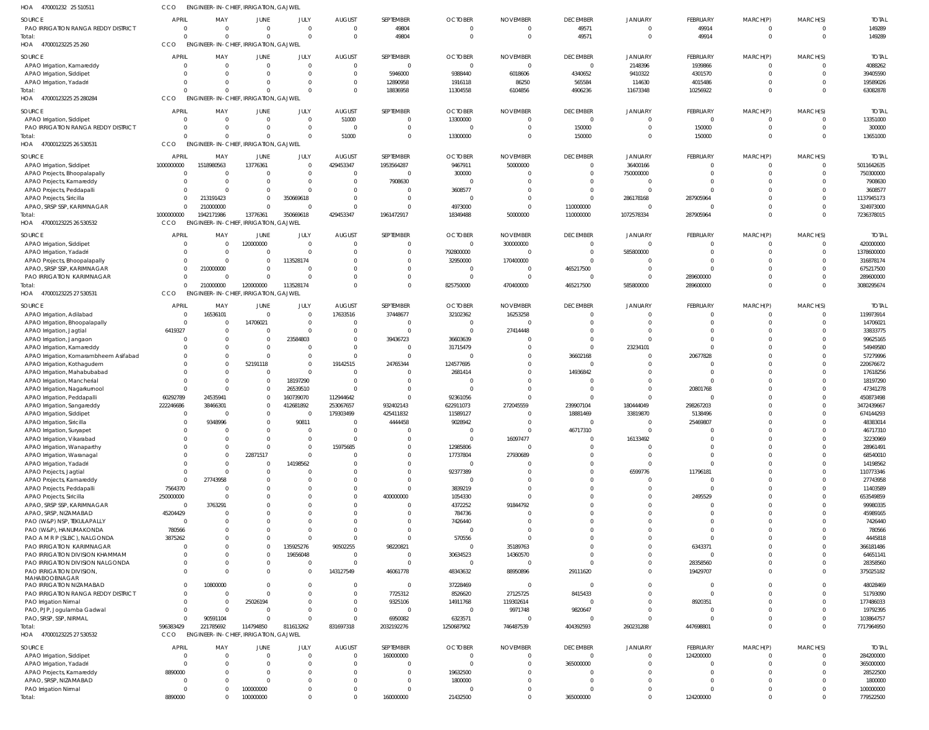| HOA<br>470001232 25 510511                                  | ссо                              | <b>ENGINEER-IN-CHIEF, IRRIGATION, GAJWEL</b>               |                                  |                              |                                  |                              |                            |                     |                                   |                         |                                |                             |                                  |                         |
|-------------------------------------------------------------|----------------------------------|------------------------------------------------------------|----------------------------------|------------------------------|----------------------------------|------------------------------|----------------------------|---------------------|-----------------------------------|-------------------------|--------------------------------|-----------------------------|----------------------------------|-------------------------|
| <b>SOURCE</b>                                               | <b>APRIL</b>                     | MAY                                                        | JUNE                             | JULY                         | <b>AUGUST</b>                    | SEPTEMBER                    | <b>OCTOBER</b>             | <b>NOVEMBER</b>     | <b>DECEMBER</b>                   | JANUARY                 | FEBRUARY                       | MARCH(P)                    | MARCH(S)                         | <b>TOTAL</b>            |
| PAO IRRIGATION RANGA REDDY DISTRICT                         | $\Omega$                         | $\Omega$                                                   | $\overline{0}$                   | $\mathbf{0}$                 | $\Omega$                         | 49804                        | $\Omega$                   | - 0                 | 49571                             | $\mathbf 0$             | 49914                          | $^{\circ}$                  | $\overline{0}$                   | 149289                  |
| Total:<br>HOA 47000123225 25 260                            | $\Omega$<br>CCO                  | $\cap$<br><b>ENGINEER-IN-CHIEF, IRRIGATION, GAJWEL</b>     | $\Omega$                         | $\Omega$                     | $\Omega$                         | 49804                        | $\Omega$                   | $\Omega$            | 49571                             | $\mathbf 0$             | 49914                          | $\overline{0}$              | $\overline{0}$                   | 149289                  |
|                                                             |                                  |                                                            |                                  |                              |                                  |                              |                            |                     |                                   |                         |                                |                             |                                  |                         |
| SOURCE                                                      | <b>APRIL</b>                     | MAY                                                        | <b>JUNE</b>                      | JULY                         | <b>AUGUST</b>                    | SEPTEMBER                    | <b>OCTOBER</b>             | <b>NOVEMBER</b>     | <b>DECEMBER</b>                   | JANUARY                 | FEBRUARY                       | MARCH(P)                    | MARCH(S)                         | <b>TOTAL</b>            |
| APAO Irrigation, Kamareddy<br>APAO Irrigation, Siddipet     | $\overline{0}$<br>$\Omega$       | $\Omega$<br>$\Omega$                                       | $\overline{0}$<br>$\mathbf{0}$   | $\mathbf{0}$<br>$\mathbf{0}$ | $\overline{0}$<br>$\overline{0}$ | $\mathbf 0$<br>5946000       | $\Omega$<br>9388440        | $\Omega$<br>6018606 | $\overline{0}$<br>4340652         | 2148396<br>9410322      | 1939866<br>4301570             | $\mathbf 0$<br>$\mathbf 0$  | $\overline{0}$<br>$\overline{0}$ | 4088262<br>39405590     |
| APAO Irrigation, Yadadri                                    | $\Omega$                         |                                                            | $\Omega$                         | $\Omega$                     | $\mathbf 0$                      | 12890958                     | 1916118                    | 86250               | 565584                            | 114630                  | 4015486                        | $\mathbf 0$                 | $\Omega$                         | 19589026                |
| Total:                                                      | $\Omega$                         |                                                            | $\Omega$                         | $\Omega$                     | $\Omega$                         | 18836958                     | 11304558                   | 6104856             | 4906236                           | 11673348                | 10256922                       | $\mathbf 0$                 | $\Omega$                         | 63082878                |
| 47000123225 25 280284<br>HOA                                | CCO                              | ENGINEER-IN-CHIEF, IRRIGATION, GAJWEL                      |                                  |                              |                                  |                              |                            |                     |                                   |                         |                                |                             |                                  |                         |
| SOURCE                                                      | APRIL                            | MAY                                                        | JUNE                             | JULY                         | <b>AUGUST</b>                    | SEPTEMBER                    | <b>OCTOBER</b>             | <b>NOVEMBER</b>     | <b>DECEMBER</b>                   | JANUARY                 | FEBRUARY                       | MARCH(P)                    | MARCH(S)                         | <b>TOTAL</b>            |
| APAO Irrigation, Siddipet                                   | $\overline{0}$                   | $\Omega$                                                   | $\overline{0}$                   | $\mathbf{0}$                 | 51000                            | $\mathbf 0$                  | 13300000                   | $\Omega$            | $\mathbf 0$                       | $\mathbf 0$             | $\overline{0}$                 | 0                           | $\overline{0}$                   | 13351000                |
| PAO IRRIGATION RANGA REDDY DISTRICT                         | $\Omega$                         | $\Omega$                                                   | $\mathbf{0}$                     | $\mathbf 0$                  | $\Omega$                         | $\mathbf{0}$                 | $\Omega$                   |                     | 150000                            | $\Omega$                | 150000                         | $\mathbf 0$                 | $\overline{0}$                   | 300000                  |
| Total:<br>HOA 47000123225 26 530531                         | $\Omega$<br>CCO                  | <b>ENGINEER-IN-CHIEF, IRRIGATION, GAJWEL</b>               | $\Omega$                         | $\Omega$                     | 51000                            | $\mathbf 0$                  | 13300000                   | $\Omega$            | 150000                            | $\Omega$                | 150000                         | $\mathbf 0$                 | $\Omega$                         | 13651000                |
|                                                             |                                  |                                                            |                                  |                              |                                  |                              |                            |                     |                                   |                         |                                |                             |                                  |                         |
| SOURCE                                                      | <b>APRIL</b>                     | MAY                                                        | JUNE                             | JULY                         | <b>AUGUST</b>                    | SEPTEMBER                    | <b>OCTOBER</b>             | <b>NOVEMBER</b>     | <b>DECEMBER</b><br>$\overline{0}$ | JANUARY                 | FEBRUARY                       | MARCH(P)                    | MARCH(S)<br>$\overline{0}$       | <b>TOTAL</b>            |
| APAO Irrigation, Siddipet<br>APAO Projects, Bhoopalapally   | 1000000000<br>$\overline{0}$     | 1518980563<br>$\sqrt{ }$                                   | 13776361<br>$\mathbf{0}$         | $\mathbf{0}$<br>$\mathbf{0}$ | 429453347<br>$\overline{0}$      | 1953564287<br>$\overline{0}$ | 9467911<br>300000          | 50000000            | $\mathbf 0$                       | 36400166<br>750000000   | $\overline{0}$<br>$\mathbf 0$  | $\mathbf 0$<br>$\mathbf 0$  | $\overline{0}$                   | 5011642635<br>750300000 |
| APAO Projects, Kamareddy                                    | $\Omega$                         | - 0                                                        | $\Omega$                         | $\Omega$                     | $\Omega$                         | 7908630                      | - 0                        |                     | $\mathbf 0$                       | $\Omega$                | $\mathbf 0$                    | $\mathbf 0$                 | $\Omega$                         | 7908630                 |
| APAO Projects, Peddapalli                                   |                                  | $\Omega$                                                   | $\mathbf{0}$                     | $\Omega$                     | $\Omega$                         | $\mathbf{0}$                 | 3608577                    |                     | $\overline{0}$                    | $\Omega$                | $\Omega$                       | $\mathbf 0$                 | $\Omega$                         | 3608577                 |
| APAO Projects, Siricilla                                    |                                  | 213191423<br>$\mathbf{0}$                                  | $\mathbf 0$                      | 350669618                    | $\Omega$                         | $\mathbf 0$                  | $\Omega$                   |                     | $\overline{0}$                    | 286178168               | 287905964                      | $\Omega$                    | $\overline{0}$                   | 1137945173              |
| APAO, SRSP SSP, KARIMNAGAR                                  |                                  | 210000000<br>$\Omega$                                      | $\Omega$                         | $\Omega$                     | <sup>0</sup>                     | $\Omega$                     | 4973000                    |                     | 110000000                         | 0                       | $\mathbf 0$                    | $\mathbf 0$                 | $\overline{0}$                   | 324973000               |
| Total:<br>HOA 47000123225 26 530532                         | 1000000000<br>CCO                | 1942171986<br><b>ENGINEER-IN-CHIEF, IRRIGATION, GAJWEL</b> | 13776361                         | 350669618                    | 429453347                        | 1961472917                   | 18349488                   | 50000000            | 110000000                         | 1072578334              | 287905964                      | $\mathbf 0$                 | $\Omega$                         | 7236378015              |
|                                                             |                                  |                                                            |                                  |                              |                                  |                              |                            |                     |                                   |                         |                                |                             |                                  |                         |
| SOURCE                                                      | APRIL<br>$\Omega$                | MAY<br>$\Omega$                                            | <b>JUNE</b>                      | JULY<br>$\mathbf{0}$         | <b>AUGUST</b><br>$\Omega$        | SEPTEMBER                    | <b>OCTOBER</b><br>$\Omega$ | <b>NOVEMBER</b>     | <b>DECEMBER</b><br>$\mathbf{0}$   | JANUARY<br>$\mathbf 0$  | FEBRUARY                       | MARCH(P)                    | MARCH(S)<br>$\overline{0}$       | <b>TOTAL</b>            |
| APAO Irrigation, Siddipet<br>APAO Irrigation, Yadadri       | $\Omega$                         | $\Omega$                                                   | 120000000<br>$\Omega$            | $\Omega$                     | $\Omega$                         | $\mathbf{0}$<br>$\mathbf 0$  | 792800000                  | 300000000           | $\overline{0}$                    | 585800000               | 0<br>$\mathbf 0$               | 0<br>$\mathbf 0$            | $\overline{0}$                   | 420000000<br>1378600000 |
| APAO Projects, Bhoopalapally                                |                                  | $^{\circ}$<br>$\Omega$                                     | $\mathbf{0}$                     | 113528174                    | <sup>0</sup>                     | $\mathbf 0$                  | 32950000                   | 170400000           | $\Omega$                          | $\Omega$                | $\mathbf 0$                    | $\mathbf 0$                 | $\overline{0}$                   | 316878174               |
| APAO, SRSP SSP, KARIMNAGAR                                  |                                  | 210000000<br>$\Omega$                                      | $\mathbf{0}$                     | $\Omega$                     | $\Omega$                         | $\mathbf 0$                  | - 0                        | - 0                 | 465217500                         | $\Omega$                | $\Omega$                       | $\Omega$                    | $\Omega$                         | 675217500               |
| PAO IRRIGATION KARIMNAGAR                                   |                                  | $\Omega$                                                   | $\Omega$                         | $\Omega$                     | $\Omega$                         | $\mathbf 0$                  | $\Omega$                   | $\Omega$            | $\mathbf{0}$                      | 0                       | 289600000                      | $\mathbf 0$                 | $\overline{0}$                   | 289600000               |
| Total:                                                      |                                  | 210000000<br>$\Omega$                                      | 120000000                        | 113528174                    | $\Omega$                         | $\mathbf 0$                  | 825750000                  | 470400000           | 465217500                         | 585800000               | 289600000                      | $\mathbf 0$                 | $\Omega$                         | 3080295674              |
| HOA 47000123225 27 530531                                   | CCO                              | <b>ENGINEER-IN-CHIEF, IRRIGATION, GAJWEL</b>               |                                  |                              |                                  |                              |                            |                     |                                   |                         |                                |                             |                                  |                         |
| SOURCE                                                      | <b>APRIL</b>                     | MAY                                                        | JUNE                             | JULY                         | <b>AUGUST</b>                    | SEPTEMBER                    | <b>OCTOBER</b>             | <b>NOVEMBER</b>     | <b>DECEMBER</b>                   | JANUARY                 | FEBRUARY                       | MARCH(P)                    | MARCH(S)                         | <b>TOTAL</b>            |
| APAO Irrigation, Adilabad                                   | $\overline{0}$<br>$\overline{0}$ | 16536101                                                   | $\overline{0}$<br>14706021       | $\mathbf{0}$<br>$\mathbf{0}$ | 17633516<br>$\Omega$             | 37448677<br>$\overline{0}$   | 32102362                   | 16253258            | $\mathbf{0}$<br>$\Omega$          | $\mathbf 0$<br>$\Omega$ | $\overline{0}$<br>$\mathbf{0}$ | $\mathbf{0}$<br>$\mathbf 0$ | $\overline{0}$<br>$\Omega$       | 119973914<br>14706021   |
| APAO Irrigation, Bhoopalapally<br>APAO Irrigation, Jagtial  | 6419327                          | $\Omega$                                                   | $\overline{0}$                   | $\mathbf{0}$                 | $\Omega$                         | $\mathbf{0}$                 | $\Omega$                   | 27414448            | $\Omega$                          | $\Omega$                | $\mathbf 0$                    | $\Omega$                    | $\Omega$                         | 33833775                |
| APAO Irrigation, Jangaon                                    | 0                                |                                                            | $\overline{0}$                   | 23584803                     | $\Omega$                         | 39436723                     | 36603639                   |                     | $\Omega$                          |                         | $\mathbf 0$                    | $\Omega$                    | $\Omega$                         | 99625165                |
| APAO Irrigation, Kamareddy                                  | $\Omega$                         |                                                            | $\Omega$                         | $\mathbf{0}$                 | $\Omega$                         | $\overline{0}$               | 31715479                   |                     | $\overline{0}$                    | 23234101                | $\Omega$                       | $\Omega$                    | $\Omega$                         | 54949580                |
| APAO Irrigation, Komarambheem Asifabad                      |                                  | $\Omega$                                                   | $\overline{0}$                   | $\mathbf{0}$                 | $\Omega$                         | $\mathbf{0}$                 |                            |                     | 36602168                          | $\mathbf 0$             | 20677828                       | $\Omega$                    | $\Omega$                         | 57279996                |
| APAO Irrigation, Kothagudem                                 |                                  | $\Omega$                                                   | 52191118                         | $\mathbf{0}$<br>$\Omega$     | 19142515                         | 24765344                     | 124577695                  |                     | $\mathbf 0$                       | $\Omega$                | $\mathbf 0$<br>$\mathbf{0}$    | $\Omega$<br>$\Omega$        | $\Omega$<br>$\Omega$             | 220676672               |
| APAO Irrigation, Mahabubabad<br>APAO Irrigation, Mancherial | $\Omega$                         | $\Omega$                                                   | $\overline{0}$<br>$\overline{0}$ | 18197290                     | $\Omega$                         | $\mathbf 0$<br>$\mathbf 0$   | 2681414                    |                     | 14936842<br>$\overline{0}$        | $\Omega$                | $\mathbf 0$                    | $\Omega$                    | $\Omega$                         | 17618256<br>18197290    |
| APAO Irrigation, Nagarkurnool                               |                                  | $\Omega$                                                   | $\overline{0}$                   | 26539510                     | $\Omega$                         | $\mathbf 0$                  |                            |                     | $\overline{0}$                    | 0                       | 20801768                       | $\Omega$                    | $\Omega$                         | 47341278                |
| APAO Irrigation, Peddapalli                                 | 60292789                         | 24535941                                                   | $\overline{0}$                   | 160739070                    | 112944642                        | $\mathbf 0$                  | 92361056                   |                     | $\Omega$                          | $\Omega$                | $\mathbf 0$                    | $\Omega$                    | $\Omega$                         | 450873498               |
| APAO Irrigation, Sangareddy                                 | 222246686                        | 38466301                                                   | $\overline{0}$                   | 412681892                    | 253067657                        | 932402143                    | 622911073                  | 272045559           | 239907104                         | 180444049               | 298267203                      | $\Omega$                    | $\Omega$                         | 3472439667              |
| APAO Irrigation, Siddipet                                   |                                  | $\mathbf{0}$<br>9348996                                    | $\Omega$                         | 0<br>9081                    | 179303499                        | 425411832<br>4444458         | 11589127<br>9028942        | $\cap$              | 18881469                          | 33819870                | 5138496<br>25469807            | $\Omega$<br>$\Omega$        | $\Omega$                         | 674144293<br>48383014   |
| APAO Irrigation, Siricilla<br>APAO Irrigation, Suryapet     | 0                                |                                                            | 0<br>$\Omega$                    | $\Omega$                     | $\Omega$                         | $\overline{0}$               | - 0                        | $\Omega$            | 46717310                          | $\Omega$                | 0                              | $\Omega$                    | $\Omega$                         | 46717310                |
| APAO Irrigation, Vikarabad                                  | $\Omega$                         |                                                            | $\Omega$                         | $\Omega$                     | $\Omega$                         | $\mathbf 0$                  | $\Omega$                   | 16097477            | $\overline{0}$                    | 16133492                | $\mathbf 0$                    | $\mathbf 0$                 | $\Omega$                         | 32230969                |
| APAO Irrigation, Wanaparthy                                 | 0                                |                                                            | $\Omega$                         | $\Omega$                     | 15975685                         | $\Omega$                     | 12985806                   | ſ                   | $\Omega$                          |                         | $\mathbf 0$                    | $\Omega$                    | $\Omega$                         | 28961491                |
| APAO Irrigation, Waranagal                                  |                                  | $\Omega$                                                   | 22871517                         | $\Omega$                     |                                  | $\mathbf 0$                  | 17737804                   | 27930689            | $\Omega$                          |                         | $\mathbf 0$                    | $\Omega$                    | $\Omega$                         | 68540010                |
| APAO Irrigation, Yadadri                                    | $\Omega$                         |                                                            | $\overline{0}$                   | 14198562                     |                                  | $\mathbf 0$                  | $\Omega$                   |                     | $\Omega$<br>$\Omega$              |                         | $\mathbf 0$                    | $\Omega$<br>$\Omega$        | $\Omega$<br>$\Omega$             | 14198562                |
| APAO Projects, Jagtial<br>APAO Projects, Kamareddy          |                                  | $\mathbf 0$<br>27743958<br>$\mathbf{0}$                    | $\mathbf{0}$                     | $\Omega$<br>$\Omega$         |                                  | $\mathbf{0}$<br>$\mathbf 0$  | 92377389<br>- 0            |                     | $\Omega$                          | 6599776<br>0            | 11796181<br>$\overline{0}$     | $\Omega$                    | $\Omega$                         | 110773346<br>27743958   |
| APAO Projects, Peddapalli                                   | 7564370                          |                                                            | $\Omega$                         | $\Omega$                     |                                  | $\Omega$                     | 3839219                    |                     | $\Omega$                          |                         | $\Omega$                       | $\Omega$                    | $\Omega$                         | 11403589                |
| APAO Projects, Siricilla                                    | 250000000                        |                                                            |                                  | $\Omega$                     |                                  | 400000000                    | 1054330                    |                     | $\Omega$                          | $\Omega$                | 2495529                        | $\Omega$                    | $\Omega$                         | 653549859               |
| APAO, SRSP SSP, KARIMNAGAR                                  | $\overline{0}$                   | 3763291                                                    | $\Omega$                         | $\Omega$                     |                                  | $\mathbf{0}$                 | 4372252                    | 91844792            | $\Omega$                          | $\Omega$                | $\mathbf 0$                    | $\Omega$                    | $\Omega$                         | 99980335                |
| APAO, SRSP, NIZAMABAD                                       | 45204429<br>$\overline{0}$       |                                                            | $\Omega$                         | $\Omega$<br>$\Omega$         | U                                | $\mathbf 0$<br>$\mathbf 0$   | 784736                     |                     | $\Omega$<br>$\Omega$              | $\Omega$<br>$\Omega$    | $\mathbf 0$<br>$\mathbf 0$     | $\Omega$<br>$\Omega$        | $\Omega$<br>$\Omega$             | 45989165                |
| PAO (W&P) NSP, TEKULAPALLY<br>PAO (W&P), HANUMAKONDA        | 780566                           |                                                            |                                  | $\Omega$                     |                                  | $\mathbf 0$                  | 7426440<br>- 0             |                     | $\Omega$                          |                         | $\Omega$                       | $\Omega$                    | $\Omega$                         | 7426440<br>780566       |
| PAO A M R P (SLBC), NALGONDA                                | 3875262                          |                                                            | $\Omega$                         | $\Omega$                     | U                                | $\mathbf 0$                  | 570556                     |                     | $\Omega$                          | $\Omega$                | $\Omega$                       | $\Omega$                    | $\Omega$                         | 4445818                 |
| PAO IRRIGATION KARIMNAGAR                                   | 0                                |                                                            | $\mathbf 0$                      | 135925276                    | 90502255                         | 98220821                     | - 0                        | 35189763            | $\Omega$                          | $\Omega$                | 6343371                        | $\Omega$                    | $\Omega$                         | 366181486               |
| PAO IRRIGATION DIVISION KHAMMAM                             | 0                                |                                                            | $\overline{0}$                   | 19656048                     |                                  | $\overline{0}$               | 30634523                   | 14360570            | $\Omega$                          | $\Omega$                | $\mathbf 0$                    | $\Omega$                    | $\Omega$                         | 64651141                |
| PAO IRRIGATION DIVISION NALGONDA                            | 0                                |                                                            | $\Omega$                         | $\overline{0}$               | $\Omega$                         | $\mathbf{0}$                 | - 0                        |                     | $\Omega$                          | $\Omega$                | 28358560                       | $\Omega$                    | $\Omega$                         | 28358560                |
| PAO IRRIGATION DIVISION,<br>MAHABOOBNAGAR                   |                                  | $\Omega$                                                   | $\Omega$                         | $\Omega$                     | 143127549                        | 46061778                     | 48343632                   | 88950896            | 29111620                          | $\Omega$                | 19429707                       | $\mathbf 0$                 | $\Omega$                         | 375025182               |
| PAO IRRIGATION NIZAMABAD                                    |                                  | 10800000<br>$\Omega$                                       | $\Omega$                         | $\Omega$                     | $\Omega$                         | $\mathbf{0}$                 | 37228469                   | - 0                 | $\overline{0}$                    | $\Omega$                | $\overline{0}$                 | $\Omega$                    | $\Omega$                         | 48028469                |
| PAO IRRIGATION RANGA REDDY DISTRICT                         |                                  | $\mathbf{0}$                                               | $\Omega$                         | $\Omega$                     | $\Omega$                         | 7725312                      | 8526620                    | 27125725            | 8415433                           | $\Omega$                | $\overline{0}$                 | $\Omega$                    | $\Omega$                         | 51793090                |
| PAO Irrigation Nirmal                                       | $\Omega$                         | - 0<br>$\cap$                                              | 25026194                         | $\Omega$<br>$\Omega$         | $\Omega$                         | 9325106                      | 14911768<br>- 0            | 119302614           | $\overline{0}$                    | $\mathbf 0$<br>$\Omega$ | 8920351                        | $\mathbf 0$<br>$\Omega$     | $\Omega$<br>$\Omega$             | 177486033               |
| PAO, PJP, Jogulamba Gadwal<br>PAO, SRSP, SSP, NIRMAL        |                                  | $\mathbf 0$<br>90591104<br>$\Omega$                        | $\Omega$<br>$\Omega$             | $\Omega$                     | $\Omega$<br>$\Omega$             | $\overline{0}$<br>6950082    | 6323571                    | 9971748             | 9820647<br>$\overline{0}$         | $\Omega$                | 0<br>$\mathbf 0$               | $\mathbf 0$                 | $\Omega$                         | 19792395<br>103864757   |
| Total:                                                      | 596383429                        | 221785692                                                  | 114794850                        | 811613262                    | 831697318                        | 2032192276                   | 1250687902                 | 746487539           | 404392593                         | 260231288               | 447698801                      | $\mathbf 0$                 | $\Omega$                         | 7717964950              |
| HOA 47000123225 27 530532                                   | CCO                              | <b>ENGINEER-IN-CHIEF, IRRIGATION, GAJWEL</b>               |                                  |                              |                                  |                              |                            |                     |                                   |                         |                                |                             |                                  |                         |
| SOURCE                                                      | <b>APRIL</b>                     | MAY                                                        | JUNE                             | JULY                         | <b>AUGUST</b>                    | SEPTEMBER                    | <b>OCTOBER</b>             | <b>NOVEMBER</b>     | <b>DECEMBER</b>                   | JANUARY                 | FEBRUARY                       | MARCH(P)                    | MARCH(S)                         | <b>TOTAL</b>            |
| APAO Irrigation, Siddipet                                   | 0                                | - 0                                                        | $\overline{0}$                   | $\Omega$                     | $\Omega$                         | 160000000                    | $\Omega$                   | $\Omega$            | $\mathbf 0$                       | $\mathbf 0$             | 124200000                      | $\Omega$                    | $\overline{0}$                   | 284200000               |
| APAO Irrigation, Yadadri                                    | $\Omega$                         |                                                            | $\Omega$                         | $\Omega$                     | $\Omega$                         | $\mathbf{0}$                 | $\Omega$                   |                     | 365000000                         |                         | 0                              | $\Omega$                    | $\Omega$                         | 365000000               |
| APAO Projects, Kamareddy                                    | 8890000                          |                                                            | $\Omega$                         | $\Omega$                     | $\Omega$                         | $\mathbf 0$                  | 19632500                   |                     | $\Omega$                          |                         | $\mathbf 0$                    | $\Omega$                    | $\Omega$                         | 28522500                |
| APAO, SRSP, NIZAMABAD<br>PAO Irrigation Nirmal              | 0<br>0                           |                                                            | $\Omega$<br>100000000            | $\Omega$<br>$\Omega$         | $\Omega$<br><sup>0</sup>         | $\mathbf 0$<br>$\mathbf 0$   | 1800000                    |                     | $\Omega$<br>$\Omega$              | $\Omega$                | $\Omega$<br>$\Omega$           | $\Omega$<br>$\Omega$        | $\Omega$<br>- 0                  | 1800000<br>100000000    |
| Total:                                                      | 8890000                          | $\Omega$                                                   | 100000000                        | $\Omega$                     | $\Omega$                         | 160000000                    | 21432500                   |                     | 365000000                         | $\mathbf 0$             | 124200000                      | $\mathbf 0$                 | $\overline{0}$                   | 779522500               |
|                                                             |                                  |                                                            |                                  |                              |                                  |                              |                            |                     |                                   |                         |                                |                             |                                  |                         |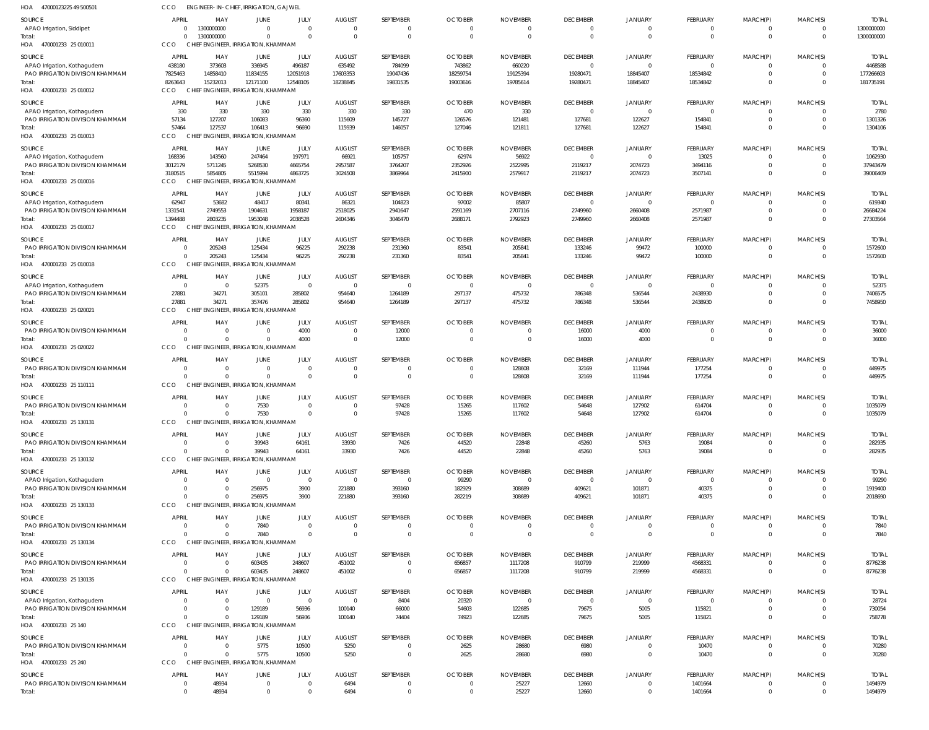| HOA 47000123225 49 500501                                      | CCO                            | <b>ENGINEER-IN-CHIEF, IRRIGATION, GAJWEL</b>    |                                                |                               |                        |                            |                                  |                                  |                                   |                                  |                                   |                         |                          |                          |
|----------------------------------------------------------------|--------------------------------|-------------------------------------------------|------------------------------------------------|-------------------------------|------------------------|----------------------------|----------------------------------|----------------------------------|-----------------------------------|----------------------------------|-----------------------------------|-------------------------|--------------------------|--------------------------|
| <b>SOURCE</b>                                                  | <b>APRIL</b>                   | MAY                                             | <b>JUNE</b>                                    | JULY                          | <b>AUGUST</b>          | SEPTEMBER                  | <b>OCTOBER</b>                   | <b>NOVEMBER</b>                  | <b>DECEMBER</b>                   | <b>JANUARY</b>                   | <b>FEBRUARY</b>                   | MARCH(P)                | MARCH(S)                 | <b>TOTAI</b>             |
| APAO Irrigation, Siddipet                                      | $\mathbf{0}$<br>$\Omega$       | 1300000000<br>1300000000                        | $\Omega$<br>$\Omega$                           | $\overline{0}$<br>$\Omega$    | $\Omega$<br>$\Omega$   | 0<br>$\mathbf{0}$          | $\overline{0}$<br>$\Omega$       | $\overline{0}$<br>$\overline{0}$ | $\Omega$<br>$\Omega$              | $\Omega$<br>$\Omega$             | $\mathbf{0}$<br>$\mathbf{0}$      | 0<br>$\mathbf{0}$       | $\Omega$<br>$\mathbf{0}$ | 1300000000<br>1300000000 |
| Total:<br>HOA 470001233 25 010011                              | CCO                            | CHIEF ENGINEER, IRRIGATION, KHAMMAM             |                                                |                               |                        |                            |                                  |                                  |                                   |                                  |                                   |                         |                          |                          |
| SOURCE                                                         | <b>APRIL</b>                   | MAY                                             | JUNE                                           | JULY                          | <b>AUGUST</b>          | SEPTEMBER                  | <b>OCTOBER</b>                   | <b>NOVEMBER</b>                  | <b>DECEMBER</b>                   | <b>JANUARY</b>                   | <b>FEBRUARY</b>                   | MARCH(P)                | MARCH(S)                 | <b>TOTAI</b>             |
| APAO Irrigation, Kothagudem                                    | 438180                         | 373603                                          | 336945                                         | 496187                        | 635492                 | 784099                     | 743862                           | 660220                           | $\overline{0}$                    | $\Omega$                         | $\mathbf{0}$                      | 0                       | $\Omega$                 | 4468588                  |
| PAO IRRIGATION DIVISION KHAMMAM                                | 7825463                        | 14858410                                        | 11834155                                       | 12051918                      | 17603353               | 19047436                   | 18259754                         | 19125394                         | 19280471                          | 18845407                         | 18534842                          | $\mathbf 0$             | $\Omega$                 | 177266603                |
| Total:<br>HOA 470001233 25 010012                              | 8263643<br>CCO                 | 15232013<br>CHIEF ENGINEER, IRRIGATION, KHAMMAM | 12171100                                       | 12548105                      | 18238845               | 19831535                   | 19003616                         | 19785614                         | 19280471                          | 18845407                         | 18534842                          | $\Omega$                | $\Omega$                 | 181735191                |
|                                                                |                                |                                                 |                                                |                               |                        |                            |                                  |                                  |                                   |                                  |                                   |                         |                          |                          |
| <b>SOURCE</b><br>APAO Irrigation, Kothagudem                   | <b>APRIL</b><br>330            | MAY<br>330                                      | <b>JUNE</b><br>330                             | JULY<br>330                   | <b>AUGUST</b><br>330   | SEPTEMBER<br>330           | <b>OCTOBER</b><br>470            | <b>NOVEMBER</b><br>330           | <b>DECEMBER</b><br>$\Omega$       | <b>JANUARY</b><br>$\Omega$       | <b>FEBRUARY</b><br>$\overline{0}$ | MARCH(P)<br>0           | MARCH(S)                 | <b>TOTAI</b><br>2780     |
| PAO IRRIGATION DIVISION KHAMMAM                                | 57134                          | 127207                                          | 106083                                         | 96360                         | 115609                 | 145727                     | 126576                           | 121481                           | 127681                            | 122627                           | 154841                            | $\mathbf 0$             | $\Omega$                 | 1301326                  |
| Total:                                                         | 57464                          | 127537                                          | 106413                                         | 96690                         | 115939                 | 146057                     | 127046                           | 121811                           | 127681                            | 122627                           | 154841                            | $\Omega$                | $\Omega$                 | 1304106                  |
| HOA 470001233 25 010013                                        | CCO                            | <b>CHIEF</b>                                    | ENGINEER, IRRIGATION, KHAMMAM                  |                               |                        |                            |                                  |                                  |                                   |                                  |                                   |                         |                          |                          |
| SOURCE<br>APAO Irrigation, Kothagudem                          | <b>APRIL</b><br>168336         | MAY<br>143560                                   | JUNE<br>247464                                 | JULY<br>197971                | <b>AUGUST</b><br>66921 | SEPTEMBER<br>105757        | <b>OCTOBER</b><br>62974          | <b>NOVEMBER</b><br>56922         | <b>DECEMBER</b><br>$\overline{0}$ | <b>JANUARY</b>                   | <b>FEBRUARY</b><br>13025          | MARCH(P)<br>0           | MARCH(S)                 | <b>TOTAI</b><br>1062930  |
| PAO IRRIGATION DIVISION KHAMMAM                                | 3012179                        | 5711245                                         | 5268530                                        | 4665754                       | 2957587                | 3764207                    | 2352926                          | 2522995                          | 2119217                           | 2074723                          | 3494116                           | $\mathbf 0$             |                          | 37943479                 |
| Total:                                                         | 3180515                        | 5854805                                         | 5515994                                        | 4863725                       | 3024508                | 3869964                    | 2415900                          | 2579917                          | 2119217                           | 2074723                          | 3507141                           | $\Omega$                | $\Omega$                 | 39006409                 |
| HOA 470001233 25 010016                                        | CCO                            | CHIEF ENGINEER, IRRIGATION, KHAMMAM             |                                                |                               |                        |                            |                                  |                                  |                                   |                                  |                                   |                         |                          |                          |
| SOURCE                                                         | <b>APRIL</b>                   | MAY                                             | JUNE                                           | JULY                          | <b>AUGUST</b>          | SEPTEMBER                  | <b>OCTOBER</b>                   | <b>NOVEMBER</b>                  | <b>DECEMBER</b>                   | <b>JANUARY</b>                   | FEBRUARY                          | MARCH(P)                | MARCH(S)                 | <b>TOTAI</b>             |
| APAO Irrigation, Kothagudem<br>PAO IRRIGATION DIVISION KHAMMAM | 62947<br>1331541               | 53682<br>2749553                                | 48417<br>1904631                               | 80341<br>1958187              | 86321<br>2518025       | 104823<br>2941647          | 97002<br>2591169                 | 85807<br>2707116                 | $\overline{0}$<br>2749960         | 2660408                          | $\overline{0}$<br>2571987         | 0<br>$\mathbf 0$        | $\Omega$<br>$\Omega$     | 619340<br>26684224       |
| Total:                                                         | 1394488                        | 2803235                                         | 1953048                                        | 2038528                       | 2604346                | 3046470                    | 2688171                          | 2792923                          | 2749960                           | 2660408                          | 2571987                           | $\Omega$                | $\Omega$                 | 27303564                 |
| HOA 470001233 25 010017                                        | CCO                            | CHIEF ENGINEER, IRRIGATION, KHAMMAM             |                                                |                               |                        |                            |                                  |                                  |                                   |                                  |                                   |                         |                          |                          |
| <b>SOURCE</b>                                                  | <b>APRIL</b>                   | MAY                                             | JUNE                                           | JULY                          | <b>AUGUST</b>          | SEPTEMBER                  | <b>OCTOBER</b>                   | <b>NOVEMBER</b>                  | <b>DECEMBER</b>                   | <b>JANUARY</b>                   | <b>FEBRUARY</b>                   | MARCH(P)                | MARCH(S)                 | <b>TOTAL</b>             |
| PAO IRRIGATION DIVISION KHAMMAM                                | $\overline{0}$                 | 205243                                          | 125434                                         | 96225                         | 292238                 | 231360                     | 83541                            | 205841                           | 133246                            | 99472                            | 100000                            | 0                       |                          | 1572600                  |
| Total:<br>HOA 470001233 25 010018                              | $\Omega$<br>CCO                | 205243<br><b>CHIEF</b>                          | 125434<br><b>ENGINEER, IRRIGATION, KHAMMAM</b> | 96225                         | 292238                 | 231360                     | 83541                            | 205841                           | 133246                            | 99472                            | 100000                            | $\mathbf 0$             | $\Omega$                 | 1572600                  |
| SOURCE                                                         | <b>APRIL</b>                   | MAY                                             | JUNE                                           | JULY                          | <b>AUGUST</b>          | SEPTEMBER                  | <b>OCTOBER</b>                   | <b>NOVEMBER</b>                  | <b>DECEMBER</b>                   | <b>JANUARY</b>                   | FEBRUARY                          | MARCH(P)                | MARCH(S)                 | <b>TOTAI</b>             |
| APAO Irrigation, Kothagudem                                    | $\overline{0}$                 | $\overline{0}$                                  | 52375                                          | $\Omega$                      | $\Omega$               | $\mathbf 0$                | $\overline{0}$                   | $\overline{0}$                   | $\Omega$                          |                                  | $\Omega$                          | $\Omega$                | $\Omega$                 | 52375                    |
| PAO IRRIGATION DIVISION KHAMMAM                                | 27881                          | 34271                                           | 305101                                         | 285802                        | 954640                 | 1264189                    | 297137                           | 475732                           | 786348                            | 536544                           | 2438930                           | $\mathbf 0$             | $\Omega$                 | 7406575                  |
| Total:<br>HOA 470001233 25 020021                              | 27881<br>CCO                   | 34271<br><b>CHIEF</b>                           | 357476<br>ENGINEER, IRRIGATION, KHAMMAM        | 285802                        | 954640                 | 1264189                    | 297137                           | 475732                           | 786348                            | 536544                           | 2438930                           | $\Omega$                | $\Omega$                 | 7458950                  |
|                                                                |                                |                                                 |                                                |                               |                        |                            |                                  |                                  |                                   |                                  |                                   |                         |                          |                          |
| <b>SOURCE</b><br>PAO IRRIGATION DIVISION KHAMMAM               | <b>APRIL</b><br>$\overline{0}$ | MAY<br>$\Omega$                                 | JUNE                                           | JULY<br>4000                  | <b>AUGUST</b><br>- 0   | SEPTEMBER<br>12000         | <b>OCTOBER</b><br>$\circ$        | <b>NOVEMBER</b><br>0             | <b>DECEMBER</b><br>16000          | <b>JANUARY</b><br>4000           | <b>FEBRUARY</b><br>$\overline{0}$ | MARCH(P)<br>0           | MARCH(S)                 | <b>TOTAL</b><br>36000    |
| Total:                                                         | $\Omega$                       | $\Omega$                                        |                                                | 4000                          | $\Omega$               | 12000                      | $\overline{0}$                   | $\overline{0}$                   | 16000                             | 4000                             | $\mathbf{0}$                      | $\Omega$                | $\Omega$                 | 36000                    |
| HOA 470001233 25 020022                                        | CCO                            | CHIEF ENGINEER, IRRIGATION, KHAMMAM             |                                                |                               |                        |                            |                                  |                                  |                                   |                                  |                                   |                         |                          |                          |
| <b>SOURCE</b>                                                  | <b>APRIL</b>                   | MAY                                             | JUNE                                           | JULY                          | <b>AUGUST</b>          | SEPTEMBER                  | <b>OCTOBER</b>                   | <b>NOVEMBER</b>                  | <b>DECEMBER</b>                   | <b>JANUARY</b>                   | FEBRUARY                          | MARCH(P)                | MARCH(S)                 | <b>TOTAI</b>             |
| PAO IRRIGATION DIVISION KHAMMAM                                | $\Omega$                       | $\Omega$                                        | $\Omega$                                       | $\overline{0}$                | $\Omega$               | 0                          | $\overline{0}$                   | 128608                           | 32169                             | 111944                           | 177254                            | $\Omega$                | $\Omega$                 | 449975                   |
| Total:<br>HOA 470001233 25 110111                              | $\Omega$<br>CCO                | $\Omega$<br>CHIEF ENGINEER. IRRIGATION. KHAMMAM | $\Omega$                                       | $\Omega$                      | $\Omega$               | $\mathbf 0$                | $\overline{0}$                   | 128608                           | 32169                             | 111944                           | 177254                            | $\mathbf 0$             | $\Omega$                 | 449975                   |
| <b>SOURCE</b>                                                  | <b>APRIL</b>                   | MAY                                             | JUNE                                           | JULY                          | <b>AUGUST</b>          | SEPTEMBER                  | <b>OCTOBER</b>                   | <b>NOVEMBER</b>                  | <b>DECEMBER</b>                   | <b>JANUARY</b>                   | <b>FEBRUARY</b>                   | MARCH(P)                | MARCH(S)                 | <b>TOTAL</b>             |
| PAO IRRIGATION DIVISION KHAMMAM                                | $\Omega$                       | $\Omega$                                        | 7530                                           | $\Omega$                      | $\Omega$               | 97428                      | 15265                            | 117602                           | 54648                             | 127902                           | 614704                            | $\Omega$                |                          | 1035079                  |
| Total:                                                         | $\bigcap$                      | - 0                                             | 7530                                           |                               |                        | 97428                      | 15265                            | 117602                           | 54648                             | 127902                           | 614704                            |                         |                          | 1035079                  |
| HOA 470001233 25 130131                                        | CCO                            | CHIEF ENGINEER, IRRIGATION, KHAMMAM             |                                                |                               |                        |                            |                                  |                                  |                                   |                                  |                                   |                         |                          |                          |
| <b>SOURCE</b>                                                  | <b>APRIL</b>                   | MAY                                             | <b>JUNE</b>                                    | <b>JULY</b>                   | <b>AUGUST</b>          | SEPTEMBER                  | <b>OCTOBER</b>                   | <b>NOVEMBER</b>                  | <b>DECEMBER</b>                   | <b>JANUARY</b>                   | <b>FEBRUARY</b>                   | MARCH(P)                | MARCH(S)                 | <b>TOTAL</b>             |
| PAO IRRIGATION DIVISION KHAMMAM<br>Total:                      | $\Omega$<br>$\Omega$           | - 0<br>$\Omega$                                 | 39943<br>39943                                 | 64161<br>64161                | 33930<br>33930         | 7426<br>7426               | 44520<br>44520                   | 22848<br>22848                   | 45260<br>45260                    | 5763<br>5763                     | 19084<br>19084                    | 0<br>$\mathbf 0$        | $\Omega$                 | 282935<br>282935         |
| HOA 470001233 25 130132                                        | CCO                            | CHIEF ENGINEER. IRRIGATION. KHAMMAM             |                                                |                               |                        |                            |                                  |                                  |                                   |                                  |                                   |                         |                          |                          |
| SOURCE                                                         | <b>APRIL</b>                   | MAY                                             | JUNE                                           | JULY                          | <b>AUGUST</b>          | SEPTEMBER                  | <b>OCTOBER</b>                   | <b>NOVEMBER</b>                  | <b>DECEMBER</b>                   | JANUARY                          | <b>FEBRUARY</b>                   | MARCH(P)                | MARCH(S)                 | <b>TOTAL</b>             |
| APAO Irrigation, Kothagudem                                    | $\Omega$                       | $\Omega$                                        | $\Omega$                                       | $\overline{0}$                | $\Omega$               | $\mathbf 0$                | 99290                            | $\overline{0}$                   | $\overline{0}$                    | $\Omega$                         | $\mathbf{0}$                      | 0                       |                          | 99290                    |
| PAO IRRIGATION DIVISION KHAMMAM                                | $\Omega$<br>$\Omega$           | $\Omega$<br>$\Omega$                            | 256975<br>256975                               | 3900<br>3900                  | 221880<br>221880       | 393160<br>393160           | 182929<br>282219                 | 308689<br>308689                 | 409621<br>409621                  | 101871<br>101871                 | 40375<br>40375                    | $\mathbf 0$<br>$\Omega$ | $\Omega$<br>$\Omega$     | 1919400<br>2018690       |
| Total:<br>HOA 470001233 25 130133                              | CCO                            | CHIEF ENGINEER, IRRIGATION, KHAMMAM             |                                                |                               |                        |                            |                                  |                                  |                                   |                                  |                                   |                         |                          |                          |
| <b>SOURCE</b>                                                  | <b>APRIL</b>                   | MAY                                             | <b>JUNE</b>                                    | JULY                          | <b>AUGUST</b>          | SEPTEMBER                  | <b>OCTOBER</b>                   | <b>NOVEMBER</b>                  | <b>DECEMBER</b>                   | <b>JANUARY</b>                   | <b>FEBRUARY</b>                   | MARCH(P)                | MARCH(S)                 | <b>TOTAL</b>             |
| PAO IRRIGATION DIVISION KHAMMAM                                | $\Omega$                       | $\overline{0}$                                  | 7840                                           | $\overline{0}$                | $\Omega$               | 0                          | $\overline{0}$                   | 0                                | $\mathbf{0}$                      |                                  | $\mathbf{0}$                      | 0                       |                          | 7840                     |
| Total:                                                         | $\Omega$                       | $\Omega$                                        | 7840                                           | $\Omega$                      | $\overline{0}$         | $\mathbf{0}$               | $\overline{0}$                   | $\overline{0}$                   | $\overline{0}$                    | $\Omega$                         | $\mathbf{0}$                      | $\mathbf{0}$            | $\Omega$                 | 7840                     |
| HOA 470001233 25 130134                                        | CCO                            | CHIEF ENGINEER, IRRIGATION, KHAMMAM             |                                                |                               |                        |                            |                                  |                                  |                                   |                                  |                                   |                         |                          |                          |
| <b>SOURCE</b>                                                  | <b>APRIL</b>                   | MAY                                             | JUNE                                           | JULY                          | <b>AUGUST</b>          | SEPTEMBER                  | <b>OCTOBER</b>                   | <b>NOVEMBER</b>                  | <b>DECEMBER</b>                   | <b>JANUARY</b>                   | FEBRUARY                          | MARCH(P)                | MARCH(S)                 | <b>TOTAL</b>             |
| PAO IRRIGATION DIVISION KHAMMAM<br>Total:                      | $\overline{0}$<br>$\Omega$     | 0<br>$\Omega$                                   | 603435<br>603435                               | 248607<br>248607              | 451002<br>451002       | $\mathbf 0$<br>$\mathbf 0$ | 656857<br>656857                 | 1117208<br>1117208               | 910799<br>910799                  | 219999<br>219999                 | 4568331<br>4568331                | 0<br>$\mathbf 0$        | $\Omega$                 | 8776238<br>8776238       |
| HOA 470001233 25 130135                                        | CCO                            | <b>CHIEF</b>                                    | ENGINEER, IRRIGATION, KHAMMAM                  |                               |                        |                            |                                  |                                  |                                   |                                  |                                   |                         |                          |                          |
| SOURCE                                                         | <b>APRIL</b>                   | MAY                                             | JUNE                                           | JULY                          | <b>AUGUST</b>          | SEPTEMBER                  | <b>OCTOBER</b>                   | <b>NOVEMBER</b>                  | <b>DECEMBER</b>                   | <b>JANUARY</b>                   | FEBRUARY                          | MARCH(P)                | MARCH(S)                 | <b>TOTAL</b>             |
| APAO Irrigation, Kothagudem                                    | $\Omega$                       | $\Omega$                                        | $\Omega$                                       | $\Omega$                      | $\Omega$               | 8404                       | 20320                            | $\overline{0}$                   | $\overline{0}$                    | $\Omega$                         | $\mathbf{0}$                      | 0                       | $\Omega$                 | 28724                    |
| PAO IRRIGATION DIVISION KHAMMAM                                | $\Omega$<br>$\Omega$           | $\Omega$                                        | 129189                                         | 56936                         | 100140                 | 66000                      | 54603                            | 122685                           | 79675                             | 5005                             | 115821                            | $\mathbf 0$             | $\Omega$                 | 730054                   |
| Total:<br>HOA 470001233 25 140                                 | CCO                            | $\Omega$<br>CHIEF ENGINEER, IRRIGATION, KHAMMAM | 129189                                         | 56936                         | 100140                 | 74404                      | 74923                            | 122685                           | 79675                             | 5005                             | 115821                            | $\Omega$                | $\Omega$                 | 758778                   |
| <b>SOURCE</b>                                                  | <b>APRIL</b>                   | MAY                                             | JUNE                                           | JULY                          | <b>AUGUST</b>          | SEPTEMBER                  | <b>OCTOBER</b>                   | <b>NOVEMBER</b>                  | <b>DECEMBER</b>                   | JANUARY                          | FEBRUARY                          | MARCH(P)                | MARCH(S)                 | <b>TOTAL</b>             |
| PAO IRRIGATION DIVISION KHAMMAM                                | $\overline{0}$                 | $\overline{0}$                                  | 5775                                           | 10500                         | 5250                   | 0                          | 2625                             | 28680                            | 6980                              | $\Omega$                         | 10470                             | 0                       |                          | 70280                    |
| Total:                                                         | $\Omega$                       | $\Omega$                                        | 5775                                           | 10500                         | 5250                   | $\mathbf 0$                | 2625                             | 28680                            | 6980                              | $\Omega$                         | 10470                             | $\mathbf 0$             | $\Omega$                 | 70280                    |
| HOA 470001233 25 240                                           | CCO                            | CHIEF ENGINEER, IRRIGATION, KHAMMAM             |                                                |                               |                        |                            |                                  |                                  |                                   |                                  |                                   |                         |                          |                          |
| <b>SOURCE</b>                                                  | <b>APRIL</b>                   | MAY                                             | JUNE                                           | JULY                          | <b>AUGUST</b>          | SEPTEMBER                  | <b>OCTOBER</b>                   | <b>NOVEMBER</b>                  | <b>DECEMBER</b>                   | <b>JANUARY</b>                   | FEBRUARY                          | MARCH(P)                | MARCH(S)                 | <b>TOTAL</b>             |
| PAO IRRIGATION DIVISION KHAMMAM<br>Total:                      | 0<br>$\overline{0}$            | 48934<br>48934                                  | $\Omega$<br>$\Omega$                           | $\overline{0}$<br>$\mathbf 0$ | 6494<br>6494           | 0<br>$\mathbf 0$           | $\overline{0}$<br>$\overline{0}$ | 25227<br>25227                   | 12660<br>12660                    | $\overline{0}$<br>$\overline{0}$ | 1401664<br>1401664                | 0<br>$\mathbf 0$        | $\Omega$<br>$\Omega$     | 1494979<br>1494979       |
|                                                                |                                |                                                 |                                                |                               |                        |                            |                                  |                                  |                                   |                                  |                                   |                         |                          |                          |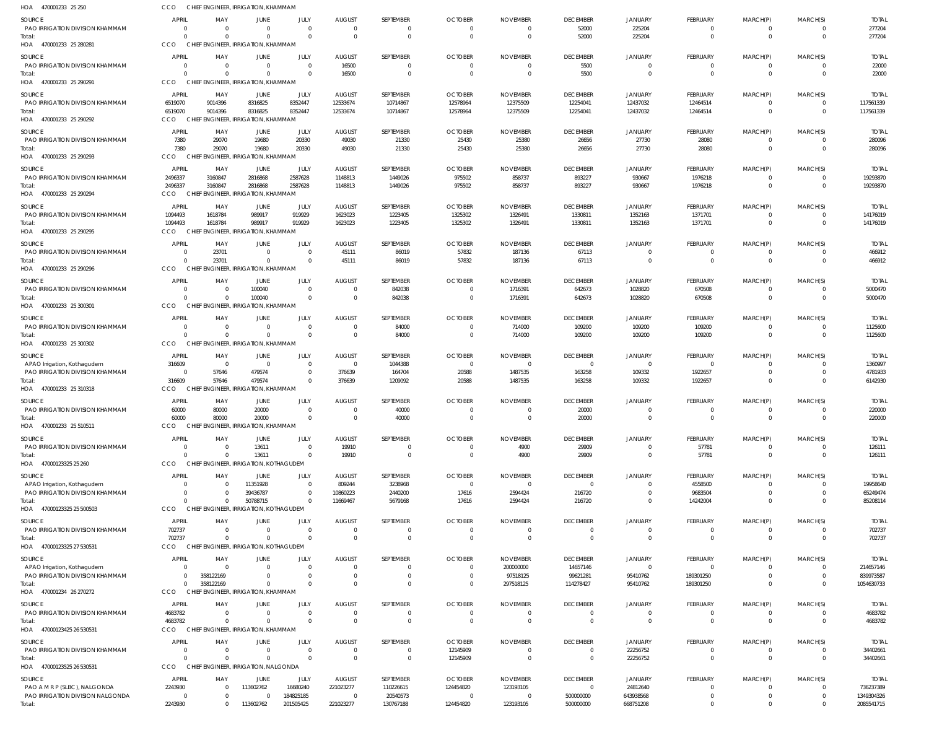| HOA 470001233 25 250                                           | CCO                                  | CHIEF ENGINEER, IRRIGATION, KHAMMAM                               |                                          |                              |                                             |                            |                                                    |                                          |                                   |                                  |                                        |                                        |                                              |                                  |
|----------------------------------------------------------------|--------------------------------------|-------------------------------------------------------------------|------------------------------------------|------------------------------|---------------------------------------------|----------------------------|----------------------------------------------------|------------------------------------------|-----------------------------------|----------------------------------|----------------------------------------|----------------------------------------|----------------------------------------------|----------------------------------|
| SOURCE<br>PAO IRRIGATION DIVISION KHAMMAM<br>Total:            | <b>APRIL</b><br>$\Omega$<br>$\Omega$ | MAY<br>- 0<br>$\Omega$                                            | JUNE<br>$\Omega$<br>$\Omega$             | JULY<br>$\Omega$<br>$\Omega$ | <b>AUGUST</b><br>$\overline{0}$<br>$\Omega$ | SEPTEMBER<br>0<br>$\Omega$ | <b>OCTOBER</b><br>$\overline{0}$<br>$\overline{0}$ | <b>NOVEMBER</b><br>- 0<br>$\overline{0}$ | <b>DECEMBER</b><br>52000<br>52000 | JANUARY<br>225204<br>225204      | FEBRUARY<br>0<br>$\mathbf{0}$          | MARCH(P)<br>0<br>$\mathbf 0$           | MARCH(S)<br>$\overline{0}$<br>$\overline{0}$ | <b>TOTAL</b><br>277204<br>277204 |
| HOA 470001233 25 280281                                        | CCO<br><b>APRIL</b>                  | CHIEF ENGINEER, IRRIGATION, KHAMMAM<br>MAY                        | JUNE                                     | JULY                         | <b>AUGUST</b>                               | SEPTEMBER                  | <b>OCTOBER</b>                                     | <b>NOVEMBER</b>                          | <b>DECEMBER</b>                   | <b>JANUARY</b>                   |                                        |                                        | MARCH(S)                                     | <b>TOTAL</b>                     |
| SOURCE<br><b>PAO IRRIGATION DIVISION KHAMMAM</b><br>Total:     | $\Omega$<br>$\Omega$                 | $\overline{0}$<br>$\Omega$                                        | $\Omega$<br>$\Omega$                     | $\Omega$                     | 16500<br>16500                              | 0<br>$\mathbf{0}$          | $\overline{0}$<br>$\overline{0}$                   | $\Omega$<br>$\overline{0}$               | 5500<br>5500                      | $\overline{0}$<br>$\overline{0}$ | FEBRUARY<br>$\mathbf 0$<br>$\mathbf 0$ | MARCH(P)<br>$\mathbf 0$<br>$\mathbf 0$ | $\Omega$<br>$\overline{0}$                   | 22000<br>22000                   |
| HOA 470001233 25 290291                                        | CCO                                  | CHIEF ENGINEER, IRRIGATION, KHAMMAM                               |                                          |                              |                                             |                            |                                                    |                                          |                                   |                                  |                                        |                                        |                                              |                                  |
| SOURCE<br>PAO IRRIGATION DIVISION KHAMMAM                      | APRIL<br>6519070                     | MAY<br>9014396                                                    | JUNE<br>8316825                          | JULY<br>8352447              | <b>AUGUST</b><br>12533674                   | SEPTEMBER<br>10714867      | <b>OCTOBER</b><br>12578964                         | <b>NOVEMBER</b><br>12375509              | <b>DECEMBER</b><br>12254041       | JANUARY<br>12437032              | FEBRUARY<br>12464514                   | MARCH(P)<br>$\mathbf 0$                | MARCH(S)<br>$\overline{0}$                   | <b>TOTAL</b><br>117561339        |
| Total:<br>HOA 470001233 25 290292                              | 6519070<br>CCO                       | 9014396<br>CHIEF ENGINEER, IRRIGATION, KHAMMAM                    | 8316825                                  | 8352447                      | 12533674                                    | 10714867                   | 12578964                                           | 12375509                                 | 12254041                          | 12437032                         | 12464514                               | $\mathbf 0$                            | $\overline{0}$                               | 117561339                        |
| SOURCE                                                         | <b>APRIL</b>                         | MAY                                                               | JUNE                                     | JULY                         | <b>AUGUST</b>                               | SEPTEMBER                  | <b>OCTOBER</b>                                     | <b>NOVEMBER</b>                          | <b>DECEMBER</b>                   | <b>JANUARY</b>                   | FEBRUARY                               | MARCH(P)                               | MARCH(S)                                     | <b>TOTAL</b>                     |
| PAO IRRIGATION DIVISION KHAMMAM<br>Total:                      | 7380<br>7380                         | 29070<br>29070                                                    | 19680<br>19680                           | 20330<br>20330               | 49030<br>49030                              | 21330<br>21330             | 25430<br>25430                                     | 25380<br>25380                           | 26656<br>26656                    | 27730<br>27730                   | 28080<br>28080                         | $\mathbf 0$<br>$\mathbf 0$             | $\Omega$<br>$\Omega$                         | 280096<br>280096                 |
| HOA 470001233 25 290293                                        | CCO                                  | CHIEF ENGINEER, IRRIGATION, KHAMMAM                               |                                          |                              |                                             |                            |                                                    |                                          |                                   |                                  |                                        |                                        |                                              |                                  |
| SOURCE                                                         | <b>APRIL</b>                         | MAY                                                               | JUNE                                     | JULY                         | <b>AUGUST</b>                               | SEPTEMBER                  | <b>OCTOBER</b>                                     | <b>NOVEMBER</b>                          | <b>DECEMBER</b>                   | JANUARY                          | FEBRUARY                               | MARCH(P)                               | MARCH(S)                                     | <b>TOTAL</b>                     |
| PAO IRRIGATION DIVISION KHAMMAM<br>Total:                      | 2496337<br>2496337                   | 3160847<br>3160847                                                | 2816868<br>2816868                       | 2587628<br>2587628           | 1148813<br>1148813                          | 1449026<br>1449026         | 975502<br>975502                                   | 858737<br>858737                         | 893227<br>893227                  | 930667<br>930667                 | 1976218<br>1976218                     | $\Omega$<br>$\mathbf{0}$               | $\overline{0}$<br>$\overline{0}$             | 19293870<br>19293870             |
| HOA 470001233 25 290294                                        | CCO                                  | CHIEF ENGINEER, IRRIGATION, KHAMMAM                               |                                          |                              |                                             |                            |                                                    |                                          |                                   |                                  |                                        |                                        |                                              |                                  |
| SOURCE                                                         | APRIL                                | MAY                                                               | JUNE                                     | JULY                         | <b>AUGUST</b>                               | SEPTEMBER                  | <b>OCTOBER</b>                                     | <b>NOVEMBER</b>                          | <b>DECEMBER</b>                   | <b>JANUARY</b>                   | FEBRUARY                               | MARCH(P)                               | MARCH(S)                                     | <b>TOTAL</b>                     |
| PAO IRRIGATION DIVISION KHAMMAM                                | 1094493<br>1094493                   | 1618784<br>1618784                                                | 989917<br>989917                         | 919929<br>919929             | 1623023                                     | 1223405                    | 1325302                                            | 1326491                                  | 1330811                           | 1352163                          | 1371701                                | $\mathbf 0$<br>$\mathbf 0$             | $\overline{0}$<br>$\overline{0}$             | 14176019                         |
| Total:<br>HOA 470001233 25 290295                              | CCO                                  | CHIEF ENGINEER, IRRIGATION, KHAMMAM                               |                                          |                              | 1623023                                     | 1223405                    | 1325302                                            | 1326491                                  | 1330811                           | 1352163                          | 1371701                                |                                        |                                              | 14176019                         |
| SOURCE                                                         | <b>APRIL</b>                         | MAY                                                               | JUNE                                     | JULY                         | <b>AUGUST</b>                               | SEPTEMBER                  | <b>OCTOBER</b>                                     | <b>NOVEMBER</b>                          | <b>DECEMBER</b>                   | JANUARY                          | FEBRUARY                               | MARCH(P)                               | MARCH(S)                                     | <b>TOTAL</b>                     |
| PAO IRRIGATION DIVISION KHAMMAN                                | $\Omega$                             | 23701                                                             | $\Omega$                                 | $\Omega$                     | 45111                                       | 86019                      | 57832                                              | 187136                                   | 67113                             | $\overline{0}$                   | $\mathbf 0$                            | $\mathbf 0$                            | $\overline{0}$                               | 466912                           |
| Total:<br>HOA 470001233 25 290296                              | $\Omega$<br>CCO                      | 23701<br>CHIEF EN                                                 | $\Omega$<br>IGINEER, IRRIGATION, KHAMMAM | $\Omega$                     | 45111                                       | 86019                      | 57832                                              | 187136                                   | 67113                             | $\overline{0}$                   | $\mathbf 0$                            | $\mathbf 0$                            | $\overline{0}$                               | 466912                           |
| SOURCE                                                         | <b>APRIL</b>                         | MAY                                                               | JUNE                                     | JULY                         | <b>AUGUST</b>                               | SEPTEMBER                  | <b>OCTOBER</b>                                     | <b>NOVEMBER</b>                          | <b>DECEMBER</b>                   | <b>JANUARY</b>                   | FEBRUARY                               | MARCH(P)                               | MARCH(S)                                     | <b>TOTAL</b>                     |
| PAO IRRIGATION DIVISION KHAMMAM<br>Total:                      | $\Omega$<br>$\Omega$                 | $\overline{\mathbf{0}}$<br>$\Omega$                               | 100040<br>100040                         | $\Omega$<br>$\Omega$         | $\overline{0}$<br>$\overline{0}$            | 842038<br>842038           | $\overline{0}$<br>$\overline{0}$                   | 1716391<br>1716391                       | 642673<br>642673                  | 1028820<br>1028820               | 670508<br>670508                       | $\mathbf 0$<br>$\mathbf 0$             | $\overline{0}$<br>$\Omega$                   | 5000470<br>5000470               |
| HOA 470001233 25 300301                                        | CCO                                  | CHIEF ENGINEER, IRRIGATION, KHAMMAM                               |                                          |                              |                                             |                            |                                                    |                                          |                                   |                                  |                                        |                                        |                                              |                                  |
| SOURCE                                                         | <b>APRIL</b>                         | MAY                                                               | JUNE                                     | JULY                         | <b>AUGUST</b>                               | SEPTEMBER                  | <b>OCTOBER</b>                                     | <b>NOVEMBER</b>                          | <b>DECEMBER</b>                   | <b>JANUARY</b>                   | FEBRUARY                               | MARCH(P)                               | MARCH(S)                                     | <b>TOTAL</b>                     |
| PAO IRRIGATION DIVISION KHAMMAM                                | $\Omega$<br>$\Omega$                 | $\overline{\mathbf{0}}$<br>$\Omega$                               | $\Omega$<br>$\Omega$                     | $\Omega$<br>$\Omega$         | $\overline{0}$<br>$\overline{0}$            | 84000<br>84000             | $^{\circ}$<br>$\overline{0}$                       | 714000<br>714000                         | 109200<br>109200                  | 109200<br>109200                 | 109200                                 | $\mathbf 0$<br>$\mathbf{0}$            | $\overline{0}$<br>$\overline{0}$             | 1125600<br>1125600               |
| Total:<br>HOA 470001233 25 300302                              | CCO                                  | CHIEF ENGINEER, IRRIGATION, KHAMMAM                               |                                          |                              |                                             |                            |                                                    |                                          |                                   |                                  | 109200                                 |                                        |                                              |                                  |
| SOURCE                                                         | APRIL                                | MAY                                                               | JUNE                                     | JULY                         | <b>AUGUST</b>                               | SEPTEMBER                  | <b>OCTOBER</b>                                     | <b>NOVEMBER</b>                          | <b>DECEMBER</b>                   | <b>JANUARY</b>                   | FEBRUARY                               | MARCH(P)                               | MARCH(S)                                     | <b>TOTAL</b>                     |
| APAO Irrigation, Kothagudem<br>PAO IRRIGATION DIVISION KHAMMAM | 316609<br>$\overline{0}$             | $\overline{0}$<br>57646                                           | $\overline{0}$<br>479574                 | $\Omega$<br>$\Omega$         | $\overline{0}$<br>376639                    | 1044388<br>164704          | $\overline{0}$<br>20588                            | $\overline{0}$<br>1487535                | $\overline{0}$<br>163258          | $\overline{0}$<br>109332         | $\mathbf 0$<br>1922657                 | 0<br>$\mathbf 0$                       | $\Omega$<br>$\overline{0}$                   | 1360997<br>4781933               |
| Total:                                                         | 316609                               | 57646                                                             | 479574                                   | $\Omega$                     | 376639                                      | 1209092                    | 20588                                              | 1487535                                  | 163258                            | 109332                           | 1922657                                | $\mathbf{0}$                           | $\Omega$                                     | 6142930                          |
| HOA 470001233 25 310318                                        | CCO                                  | CHIEF ENGINEER, IRRIGATION, KHAMMAM                               |                                          |                              |                                             |                            |                                                    |                                          |                                   |                                  |                                        |                                        |                                              |                                  |
| SOURCE<br>PAO IRRIGATION DIVISION KHAMMAM                      | <b>APRIL</b><br>60000                | MAY<br>80000                                                      | JUNE<br>20000                            | JULY<br>$\Omega$             | <b>AUGUST</b><br>$\Omega$                   | <b>SEPTEMBER</b><br>40000  | <b>OCTOBER</b><br>$\Omega$                         | <b>NOVEMBER</b><br>$\Omega$              | <b>DECEMBER</b><br>20000          | <b>JANUARY</b><br>$\Omega$       | FEBRUARY<br>$\Omega$                   | MARCH(P)<br>$\Omega$                   | MARCH(S)<br>$\Omega$                         | <b>TOTAL</b><br>220000           |
| Total:<br>HOA 470001233 25 510511                              | 60000<br>CCO                         | 80000<br>CHIEF ENGINEER, IRRIGATION, KHAMMAM                      | 20000                                    |                              |                                             | 40000                      |                                                    |                                          | 20000                             |                                  |                                        |                                        |                                              | 220000                           |
| SOURCE                                                         | <b>APRIL</b>                         | MAY                                                               | JUNE                                     | JULY                         | <b>AUGUST</b>                               | SEPTEMBER                  | <b>OCTOBER</b>                                     | <b>NOVEMBER</b>                          | <b>DECEMBER</b>                   | <b>JANUARY</b>                   | FEBRUARY                               | MARCH(P)                               | MARCH(S)                                     | <b>TOTAL</b>                     |
| PAO IRRIGATION DIVISION KHAMMAM                                | $\Omega$                             | - 0                                                               | 13611                                    | $\Omega$                     | 19910                                       | 0                          | $\overline{0}$                                     | 4900                                     | 29909                             | $\overline{0}$                   | 57781                                  | 0                                      | $\overline{0}$                               | 126111                           |
| Total:<br>HOA 47000123325 25 260                               | $\Omega$<br>CCO                      | $\overline{\mathbf{0}}$<br>CHIEF ENGINEER, IRRIGATION, KOTHAGUDEM | 13611                                    |                              | 19910                                       | $\mathbf{0}$               | $\overline{0}$                                     | 4900                                     | 29909                             | $\overline{0}$                   | 57781                                  | $\mathbf 0$                            | $\overline{0}$                               | 126111                           |
| SOURCE                                                         | <b>APRIL</b>                         | MAY                                                               | JUNE                                     | JULY                         | <b>AUGUST</b>                               | SEPTEMBER                  | <b>OCTOBER</b>                                     | <b>NOVEMBER</b>                          | <b>DECEMBER</b>                   | <b>JANUARY</b>                   | FEBRUARY                               | MARCH(P)                               | MARCH(S)                                     | <b>TOTAL</b>                     |
| APAO Irrigation, Kothagudem                                    | $\Omega$                             | $\Omega$                                                          | 11351928                                 | $\Omega$                     | 809244                                      | 3238968                    | $\overline{0}$                                     | $\Omega$                                 | $\overline{0}$                    | $\Omega$                         | 4558500                                | $\Omega$                               | $\Omega$                                     | 19958640                         |
| PAO IRRIGATION DIVISION KHAMMAM                                | $\Omega$<br>$\Omega$                 | $\Omega$                                                          | 39436787                                 | $\Omega$                     | 10860223                                    | 2440200                    | 17616                                              | 2594424                                  | 216720                            | $\mathbf{0}$                     | 9683504                                | $\mathbf 0$                            | $\Omega$<br>$\Omega$                         | 65249474                         |
| Total:<br>HOA 47000123325 25 500503                            | CCO                                  | $\overline{0}$<br>CHIEF ENGINEER, IRRIGATION, KOTHAGUDEM          | 50788715                                 |                              | 11669467                                    | 5679168                    | 17616                                              | 2594424                                  | 216720                            | $\Omega$                         | 14242004                               | 0                                      |                                              | 85208114                         |
| SOURCE                                                         | APRIL                                | MAY                                                               | JUNE                                     | JULY                         | <b>AUGUST</b>                               | SEPTEMBER                  | <b>OCTOBER</b>                                     | <b>NOVEMBER</b>                          | <b>DECEMBER</b>                   | <b>JANUARY</b>                   | FEBRUARY                               | MARCH(P)                               | MARCH(S)                                     | <b>TOTAL</b>                     |
| PAO IRRIGATION DIVISION KHAMMAM                                | 702737<br>702737                     | $\overline{0}$<br>$\Omega$                                        | $\overline{0}$<br>$\Omega$               | $\Omega$                     | $\overline{0}$<br>$\overline{0}$            | 0<br>$\mathbf 0$           | - 0<br>$\overline{0}$                              | - 0<br>$\overline{0}$                    | $\overline{0}$<br>$\overline{0}$  | $\mathbf{0}$<br>$\overline{0}$   | 0<br>$\mathbf 0$                       | 0<br>$\mathbf 0$                       | $\overline{0}$<br>$\overline{0}$             | 702737<br>702737                 |
| Total:<br>HOA 47000123325 27 530531                            | CCO                                  | CHIEF ENGINEER, IRRIGATION, KOTHAGUDEM                            |                                          |                              |                                             |                            |                                                    |                                          |                                   |                                  |                                        |                                        |                                              |                                  |
| SOURCE                                                         | <b>APRIL</b>                         | MAY                                                               | JUNE                                     | JULY                         | <b>AUGUST</b>                               | SEPTEMBER                  | <b>OCTOBER</b>                                     | <b>NOVEMBER</b>                          | <b>DECEMBER</b>                   | JANUARY                          | FEBRUARY                               | MARCH(P)                               | MARCH(S)                                     | <b>TOTAL</b>                     |
| APAO Irrigation, Kothagudem<br>PAO IRRIGATION DIVISION KHAMMAM | $\overline{0}$<br>$\Omega$           | - 0<br>358122169                                                  | $\Omega$<br>$\Omega$                     | $\Omega$<br>$\Omega$         | $\Omega$<br>$\Omega$                        | 0<br>0                     | $\overline{0}$<br>$^{\circ}$                       | 200000000<br>97518125                    | 14657146<br>99621281              | $\Omega$<br>95410762             | $\Omega$<br>189301250                  | $\Omega$<br>$\mathbf 0$                | $\overline{0}$<br>$\overline{0}$             | 214657146<br>839973587           |
| Total:                                                         | $\Omega$                             | 358122169                                                         | $\Omega$                                 |                              | $\Omega$                                    | $\Omega$                   | $\overline{0}$                                     | 297518125                                | 114278427                         | 95410762                         | 189301250                              | $\mathbf 0$                            | $\overline{0}$                               | 1054630733                       |
| HOA 470001234 26 270272                                        | CCO                                  | CHIEF ENGINEER, IRRIGATION, KHAMMAM                               |                                          |                              |                                             |                            |                                                    |                                          |                                   |                                  |                                        |                                        |                                              |                                  |
| SOURCE                                                         | APRIL                                | MAY                                                               | JUNE                                     | JULY                         | <b>AUGUST</b>                               | SEPTEMBER                  | <b>OCTOBER</b>                                     | <b>NOVEMBER</b>                          | <b>DECEMBER</b>                   | <b>JANUARY</b>                   | FEBRUARY                               | MARCH(P)                               | MARCH(S)                                     | <b>TOTAL</b>                     |
| PAO IRRIGATION DIVISION KHAMMAM<br>Total:                      | 4683782<br>4683782                   | $\overline{0}$<br>$\overline{0}$                                  | $\overline{0}$<br>$\Omega$               | $\Omega$                     | $\circ$<br>$\Omega$                         | 0<br>$\mathbf{0}$          | - 0<br>$\overline{0}$                              | - 0<br>$\overline{0}$                    | $\overline{0}$<br>$\overline{0}$  | $\mathbf{0}$<br>$\overline{0}$   | $\mathbf 0$<br>$\mathbf 0$             | 0<br>$\mathbf 0$                       | $\Omega$<br>$\overline{0}$                   | 4683782<br>4683782               |
| HOA 47000123425 26 530531                                      | CCO                                  | CHIEF ENGINEER, IRRIGATION, KHAMMAM                               |                                          |                              |                                             |                            |                                                    |                                          |                                   |                                  |                                        |                                        |                                              |                                  |
| SOURCE                                                         | <b>APRIL</b>                         | MAY                                                               | JUNE                                     | JULY                         | <b>AUGUST</b>                               | SEPTEMBER                  | <b>OCTOBER</b>                                     | <b>NOVEMBER</b>                          | <b>DECEMBER</b>                   | JANUARY                          | FEBRUARY                               | MARCH(P)                               | MARCH(S)                                     | <b>TOTAL</b>                     |
| PAO IRRIGATION DIVISION KHAMMAM                                | $\Omega$                             | $\overline{\mathbf{0}}$                                           | $\mathbf 0$                              | $\Omega$                     | $\overline{0}$                              | 0                          | 12145909                                           | $\Omega$                                 | $\overline{0}$                    | 22256752                         | 0                                      | 0                                      | $\overline{0}$                               | 34402661                         |
| Total:<br>HOA 47000123525 26 530531                            | $\Omega$<br>CCO                      | $\Omega$<br>CHIEF ENGINEER, IRRIGATION, NALGONDA                  | $\Omega$                                 | $\Omega$                     | $\Omega$                                    | $\mathbf 0$                | 12145909                                           | $\overline{0}$                           | $\overline{0}$                    | 22256752                         | $\mathbf 0$                            | $\mathbf 0$                            | $\overline{0}$                               | 34402661                         |
| SOURCE                                                         | APRIL                                | MAY                                                               | JUNE                                     | JULY                         | <b>AUGUST</b>                               | SEPTEMBER                  | <b>OCTOBER</b>                                     | <b>NOVEMBER</b>                          | <b>DECEMBER</b>                   | JANUARY                          | FEBRUARY                               | MARCH(P)                               | MARCH(S)                                     | <b>TOTAL</b>                     |
| PAO A M R P (SLBC), NALGONDA                                   | 2243930                              | 0                                                                 | 113602762                                | 16680240                     | 221023277                                   | 110226615                  | 124454820                                          | 123193105                                | $\overline{0}$                    | 24812640                         | $\mathbf 0$                            | 0                                      | $\overline{0}$                               | 736237389                        |
| PAO IRRIGATION DIVISION NALGONDA                               | $\overline{0}$                       | 0                                                                 | $\overline{0}$                           | 184825185                    | $\overline{0}$                              | 20540573                   | - 0                                                | - 0                                      | 500000000                         | 643938568                        | 0                                      | $\mathbf 0$                            | $\overline{0}$                               | 1349304326                       |
| Total:                                                         | 2243930                              | $\overline{0}$                                                    | 113602762                                | 201505425                    | 221023277                                   | 130767188                  | 124454820                                          | 123193105                                | 500000000                         | 668751208                        | $\mathbf 0$                            | $\mathbf 0$                            | $\Omega$                                     | 2085541715                       |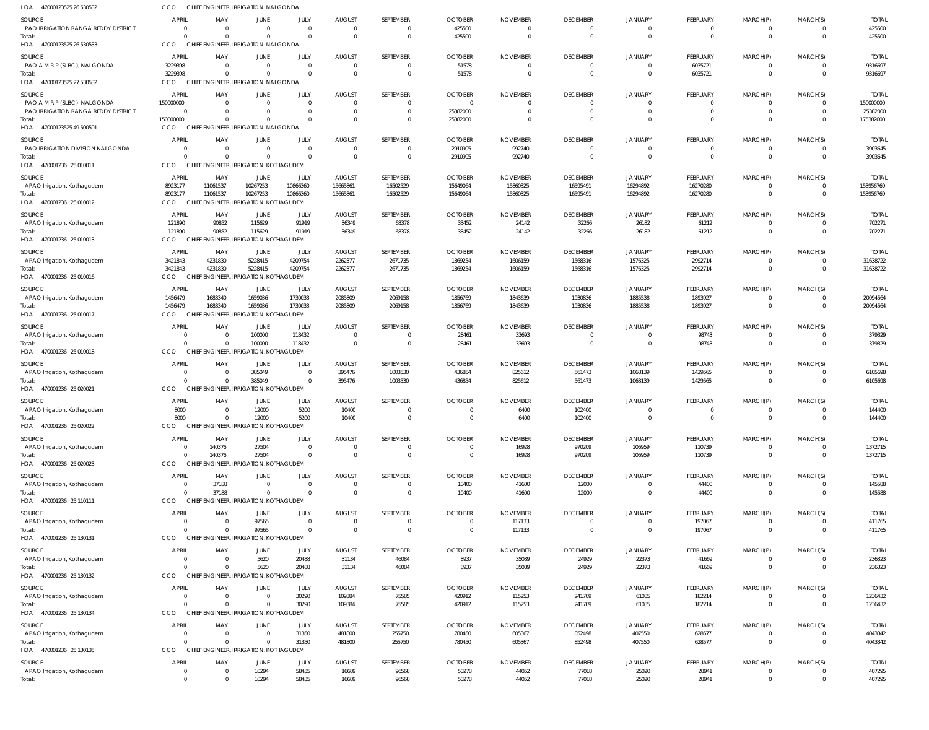| HOA 47000123525 26 530532                  | CCO                            | CHIEF ENGINEER, IRRIGATION, NALGONDA               |                                  |                             |                            |                               |                            |                           |                                   |                                  |                         |                              |                            |                         |
|--------------------------------------------|--------------------------------|----------------------------------------------------|----------------------------------|-----------------------------|----------------------------|-------------------------------|----------------------------|---------------------------|-----------------------------------|----------------------------------|-------------------------|------------------------------|----------------------------|-------------------------|
| SOURCE                                     | APRIL                          | MAY                                                | <b>JUNE</b>                      | JULY                        | <b>AUGUST</b>              | SEPTEMBER                     | <b>OCTOBER</b>             | <b>NOVEMBER</b>           | <b>DECEMBER</b>                   | <b>JANUARY</b>                   | FEBRUARY                | MARCH(P)                     | MARCH(S)                   | <b>TOTAL</b>            |
| PAO IRRIGATION RANGA REDDY DISTRICT        | 0                              | $\Omega$                                           | $\overline{0}$                   | $\mathbf{0}$                | $\Omega$                   | $\overline{0}$                | 425500                     |                           | $\overline{0}$                    | $\overline{0}$                   | $\mathbf 0$             | $\mathbf 0$                  | $\Omega$                   | 425500                  |
| Total:                                     | $\Omega$<br>CCO                | CHIEF ENGINEER, IRRIGATION, NALGONDA               | $\Omega$                         | $\Omega$                    | $\Omega$                   | $\mathbf 0$                   | 425500                     | $\Omega$                  | $\overline{0}$                    | $\overline{0}$                   | $\overline{0}$          | $\mathbf 0$                  | $\Omega$                   | 425500                  |
| HOA 47000123525 26 530533                  |                                |                                                    |                                  |                             |                            |                               |                            |                           |                                   |                                  |                         |                              |                            |                         |
| SOURCE                                     | APRII<br>3229398               | MAY<br>$\Omega$                                    | <b>JUNE</b><br>$\Omega$          | JULY<br>$\mathbf{0}$        | <b>AUGUST</b><br>$\Omega$  | SEPTEMBER<br>$\overline{0}$   | <b>OCTOBER</b>             | <b>NOVEMBER</b>           | <b>DECEMBER</b><br>$\overline{0}$ | <b>JANUARY</b><br>$\overline{0}$ | FEBRUARY<br>6035721     | MARCH(P)<br>$\mathbf{0}$     | MARCH(S)<br>$\Omega$       | <b>TOTAI</b><br>9316697 |
| PAO A M R P (SLBC), NALGONDA<br>Total:     | 3229398                        | $\Omega$                                           | $\Omega$                         | $\Omega$                    | $\Omega$                   | $\overline{0}$                | 51578<br>51578             | $\Omega$                  | $\overline{0}$                    | $\Omega$                         | 6035721                 | $\mathbf 0$                  | $\Omega$                   | 9316697                 |
| HOA 47000123525 27 530532                  | CCO                            | CHIEF ENGINEER, IRRIGATION, NALGONDA               |                                  |                             |                            |                               |                            |                           |                                   |                                  |                         |                              |                            |                         |
| SOURCE                                     | <b>APRIL</b>                   | MAY                                                | JUNE                             | JULY                        | <b>AUGUST</b>              | SEPTEMBER                     | <b>OCTOBER</b>             | <b>NOVEMBER</b>           | <b>DECEMBER</b>                   | JANUARY                          | FEBRUARY                | MARCH(P)                     | MARCH(S)                   | <b>TOTAI</b>            |
| PAO A M R P (SLBC), NALGONDA               | 150000000                      | $\Omega$                                           | $\Omega$                         | $\mathbf{0}$                | $\Omega$                   | $\overline{0}$                | $\Omega$                   |                           | $\overline{0}$                    | $\Omega$                         | $\overline{0}$          | $\mathbf{0}$                 | $\Omega$                   | 150000000               |
| PAO IRRIGATION RANGA REDDY DISTRICT        | $\overline{0}$                 |                                                    | $\mathbf{0}$                     | $\mathbf{0}$                | $\Omega$                   | $\mathbf 0$                   | 25382000                   |                           | $\overline{0}$                    | $\overline{0}$                   | $\mathbf 0$             | $\mathbf 0$                  | $\Omega$                   | 25382000                |
| Total:<br>HOA 47000123525 49 500501        | 150000000<br>CCO               | $\Omega$<br>CHIEF ENGINEER, IRRIGATION, NALGONDA   | $\Omega$                         | $\Omega$                    | $\Omega$                   | $\overline{0}$                | 25382000                   |                           | $\overline{0}$                    | $\Omega$                         | $\mathbf 0$             | $\mathbf 0$                  | $\Omega$                   | 175382000               |
|                                            |                                |                                                    |                                  |                             |                            |                               |                            |                           |                                   |                                  |                         |                              |                            |                         |
| SOURCE<br>PAO IRRIGATION DIVISION NALGONDA | <b>APRIL</b><br>$\Omega$       | MAY<br>$\Omega$                                    | JUNE<br>$\overline{0}$           | JULY<br>$\Omega$            | <b>AUGUST</b><br>$\Omega$  | SEPTEMBER<br>$\overline{0}$   | <b>OCTOBER</b><br>2910905  | <b>NOVEMBER</b><br>992740 | <b>DECEMBER</b><br>$\overline{0}$ | JANUARY<br>$\Omega$              | FEBRUARY<br>0           | MARCH(P)<br>$\mathbf{0}$     | MARCH(S)<br>$\Omega$       | <b>TOTAI</b><br>3903645 |
| Total:                                     | $\Omega$                       |                                                    | $\Omega$                         | $\Omega$                    | $\Omega$                   | $\overline{0}$                | 2910905                    | 992740                    | $\overline{0}$                    | $\Omega$                         | $\mathbf 0$             | $\mathbf 0$                  | $\Omega$                   | 3903645                 |
| HOA 470001236 25 010011                    | CCO                            | CHIEF ENGINEER, IRRIGATION, KOTHAGUDEM             |                                  |                             |                            |                               |                            |                           |                                   |                                  |                         |                              |                            |                         |
| SOURCE                                     | <b>APRIL</b>                   | MAY                                                | JUNE                             | JULY                        | <b>AUGUST</b>              | SEPTEMBER                     | <b>OCTOBER</b>             | <b>NOVEMBER</b>           | <b>DECEMBER</b>                   | <b>JANUARY</b>                   | FEBRUARY                | MARCH(P)                     | MARCH(S)                   | <b>TOTAL</b>            |
| APAO Irrigation, Kothagudem                | 8923177                        | 11061537                                           | 10267253                         | 10866360                    | 15665861                   | 16502529                      | 15649064                   | 15860325                  | 16595491                          | 16294892                         | 16270280                | $\mathbf 0$                  | $\Omega$                   | 153956769               |
| Total:                                     | 8923177                        | 11061537                                           | 10267253                         | 10866360                    | 15665861                   | 16502529                      | 15649064                   | 15860325                  | 16595491                          | 16294892                         | 16270280                | $\mathbf 0$                  | $\Omega$                   | 153956769               |
| HOA 470001236 25 010012                    | CCO                            | CHIEF ENGINEER, IRRIGATION, KOTHAGUDEM             |                                  |                             |                            |                               |                            |                           |                                   |                                  |                         |                              |                            |                         |
| SOURCE                                     | <b>APRIL</b>                   | MAY                                                | JUNE                             | JULY                        | <b>AUGUST</b>              | SEPTEMBER                     | <b>OCTOBER</b>             | <b>NOVEMBER</b>           | <b>DECEMBER</b>                   | <b>JANUARY</b>                   | FEBRUARY                | MARCH(P)                     | MARCH(S)                   | <b>TOTAL</b>            |
| APAO Irrigation, Kothagudem<br>Total:      | 121890<br>121890               | 90852<br>90852                                     | 115629<br>115629                 | 91919<br>91919              | 36349<br>36349             | 68378<br>68378                | 33452<br>33452             | 24142<br>24142            | 32266<br>32266                    | 26182<br>26182                   | 61212<br>61212          | $\mathbf{0}$<br>$\mathbf{0}$ | $\Omega$<br>$\overline{0}$ | 702271<br>702271        |
| HOA 470001236 25 010013                    | CCO                            | CHIEF ENGINEER, IRRIGATION, KOTHAGUDEM             |                                  |                             |                            |                               |                            |                           |                                   |                                  |                         |                              |                            |                         |
| SOURCE                                     | APRIL                          | MAY                                                | JUNE                             | JULY                        | <b>AUGUST</b>              | SEPTEMBER                     | <b>OCTOBER</b>             | <b>NOVEMBER</b>           | <b>DECEMBER</b>                   | <b>JANUARY</b>                   | FEBRUARY                | MARCH(P)                     | MARCH(S)                   | <b>TOTAL</b>            |
| APAO Irrigation, Kothagudem                | 3421843                        | 4231830                                            | 5228415                          | 4209754                     | 2262377                    | 2671735                       | 1869254                    | 1606159                   | 1568316                           | 1576325                          | 2992714                 | $\mathbf 0$                  | $\Omega$                   | 31638722                |
| Total:                                     | 3421843                        | 4231830                                            | 5228415                          | 4209754                     | 2262377                    | 2671735                       | 1869254                    | 1606159                   | 1568316                           | 1576325                          | 2992714                 | $\mathbf 0$                  | $\Omega$                   | 31638722                |
| HOA 470001236 25 010016                    | CCO                            | CHIEF ENGINEER, IRRIGATION, KOTHAGUDEM             |                                  |                             |                            |                               |                            |                           |                                   |                                  |                         |                              |                            |                         |
| SOURCE                                     | APRIL                          | MAY                                                | JUNE                             | JULY                        | <b>AUGUST</b>              | SEPTEMBER                     | <b>OCTOBER</b>             | <b>NOVEMBER</b>           | <b>DECEMBER</b>                   | <b>JANUARY</b>                   | FEBRUARY                | MARCH(P)                     | MARCH(S)                   | <b>TOTAI</b>            |
| APAO Irrigation, Kothagudem                | 1456479                        | 1683340                                            | 1659036                          | 1730033                     | 2085809                    | 2069158                       | 1856769                    | 1843639                   | 1930836                           | 1885538                          | 1893927                 | $\mathbf{0}$                 | $\Omega$                   | 20094564                |
| Total:<br>HOA 470001236 25 010017          | 1456479<br>CCO                 | 1683340<br>CHIEF ENGINEER, IRRIGATION, KOTHAGUDEM  | 1659036                          | 1730033                     | 2085809                    | 2069158                       | 1856769                    | 1843639                   | 1930836                           | 1885538                          | 1893927                 | $\mathbf 0$                  | $\Omega$                   | 20094564                |
|                                            |                                |                                                    |                                  |                             |                            |                               |                            |                           |                                   |                                  |                         |                              |                            |                         |
| SOURCE<br>APAO Irrigation, Kothagudem      | <b>APRIL</b><br>$\overline{0}$ | MAY<br>- 0                                         | JUNE<br>100000                   | JULY<br>118432              | <b>AUGUST</b><br>$\Omega$  | SEPTEMBER<br>$\overline{0}$   | <b>OCTOBER</b><br>28461    | <b>NOVEMBER</b><br>33693  | <b>DECEMBER</b><br>$\overline{0}$ | <b>JANUARY</b><br>$\Omega$       | FEBRUARY<br>98743       | MARCH(P)<br>$\mathbf{0}$     | MARCH(S)<br>$\Omega$       | <b>TOTAL</b><br>379329  |
| Total:                                     | $\Omega$                       | $\Omega$                                           | 100000                           | 118432                      | $\Omega$                   | $\mathbf 0$                   | 28461                      | 33693                     | $\overline{0}$                    | $\overline{0}$                   | 98743                   | $\mathbf 0$                  | $\Omega$                   | 379329                  |
| HOA 470001236 25 010018                    | <b>CCO</b>                     | CHIEF ENGINEER, IRRIGATION, KOTHAGUDEM             |                                  |                             |                            |                               |                            |                           |                                   |                                  |                         |                              |                            |                         |
| SOURCE                                     | <b>APRIL</b>                   | MAY                                                | JUNE                             | JULY                        | <b>AUGUST</b>              | SEPTEMBER                     | <b>OCTOBER</b>             | <b>NOVEMBER</b>           | <b>DECEMBER</b>                   | JANUARY                          | FEBRUARY                | MARCH(P)                     | MARCH(S)                   | <b>TOTAL</b>            |
| APAO Irrigation, Kothagudem                | 0                              | $\Omega$                                           | 385049                           | $\Omega$                    | 395476                     | 1003530                       | 436854                     | 825612                    | 561473                            | 1068139                          | 1429565                 | $\overline{0}$               | $\Omega$                   | 6105698                 |
| Total:                                     | $\Omega$                       | $\Omega$<br>CHIEF ENGINEER, IRRIGATION, KOTHAGUDEM | 385049                           | $\mathbf 0$                 | 395476                     | 1003530                       | 436854                     | 825612                    | 561473                            | 1068139                          | 1429565                 | $\mathbf{0}$                 | $\Omega$                   | 6105698                 |
| HOA 470001236 25 020021                    | CCO                            |                                                    |                                  |                             |                            |                               |                            |                           |                                   |                                  |                         |                              |                            |                         |
| SOURCE                                     | APRIL<br>8000                  | MAY<br>$\Omega$                                    | JUNE<br>12000                    | JULY<br>5200                | <b>AUGUST</b><br>10400     | SEPTEMBER<br>$\overline{0}$   | <b>OCTOBER</b><br>$\Omega$ | <b>NOVEMBER</b><br>6400   | <b>DECEMBER</b><br>102400         | <b>JANUARY</b><br>$\overline{0}$ | FEBRUARY<br>$\mathbf 0$ | MARCH(P)<br>$\mathbf{0}$     | MARCH(S)<br>$\Omega$       | <b>TOTAL</b><br>144400  |
| APAO Irrigation, Kothagudem<br>Total:      | 8000                           |                                                    | 12000                            | 5200                        | 10400                      |                               |                            | 6400                      | 102400                            |                                  | $\Omega$                |                              | $\cap$                     | 144400                  |
| HOA 470001236 25 020022                    | CCO                            | CHIEF ENGINEER, IRRIGATION, KOTHAGUDEM             |                                  |                             |                            |                               |                            |                           |                                   |                                  |                         |                              |                            |                         |
| SOURCE                                     | <b>APRIL</b>                   | MAY                                                | <b>JUNE</b>                      | JULY                        | <b>AUGUST</b>              | SEPTEMBER                     | <b>OCTOBER</b>             | <b>NOVEMBER</b>           | <b>DECEMBER</b>                   | <b>JANUARY</b>                   | <b>FEBRUARY</b>         | MARCH(P)                     | MARCH(S)                   | <b>TOTAL</b>            |
| APAO Irrigation, Kothagudem                | $\overline{0}$                 | 140376                                             | 27504                            | $\mathbf{0}$                | $\Omega$                   | $\overline{0}$                | $\Omega$                   | 16928                     | 970209                            | 106959                           | 110739                  | $\mathbf{0}$                 | $\Omega$                   | 1372715                 |
| Total:                                     | $\Omega$                       | 140376                                             | 27504                            | $\Omega$                    | $\Omega$                   | $\mathbf 0$                   | $\Omega$                   | 16928                     | 970209                            | 106959                           | 110739                  | $\mathbf 0$                  | $\Omega$                   | 1372715                 |
| HOA 470001236 25 020023                    | CCO                            | CHIEF ENGINEER, IRRIGATION, KOTHAGUDEM             |                                  |                             |                            |                               |                            |                           |                                   |                                  |                         |                              |                            |                         |
| SOURCE                                     | <b>APRIL</b>                   | MAY                                                | JUNE                             | JULY                        | <b>AUGUST</b>              | SEPTEMBER                     | <b>OCTOBER</b>             | <b>NOVEMBER</b>           | <b>DECEMBER</b>                   | <b>JANUARY</b>                   | FEBRUARY                | MARCH(P)                     | MARCH(S)                   | <b>TOTAL</b>            |
| APAO Irrigation, Kothagudem<br>Total:      | $\overline{0}$<br>$\Omega$     | 37188<br>37188                                     | $\overline{0}$<br>$\overline{0}$ | $\mathbf{0}$<br>$\mathbf 0$ | $\overline{0}$<br>$\Omega$ | $\overline{0}$<br>$\mathbf 0$ | 10400<br>10400             | 41600<br>41600            | 12000<br>12000                    | $\overline{0}$<br>$\overline{0}$ | 44400<br>44400          | $\mathbf 0$<br>$\mathbf 0$   | $\Omega$<br>$\Omega$       | 145588<br>145588        |
| HOA 470001236 25 110111                    | CCO                            | CHIEF ENGINEER, IRRIGATION, KOTHAGUDEM             |                                  |                             |                            |                               |                            |                           |                                   |                                  |                         |                              |                            |                         |
| SOURCE                                     | <b>APRIL</b>                   | MAY                                                | JUNE                             | JULY                        | <b>AUGUST</b>              | SEPTEMBER                     | <b>OCTOBER</b>             | <b>NOVEMBER</b>           | <b>DECEMBER</b>                   | <b>JANUARY</b>                   | FEBRUARY                | MARCH(P)                     | MARCH(S)                   | <b>TOTAL</b>            |
| APAO Irrigation, Kothagudem                | $\overline{0}$                 | $\Omega$                                           | 97565                            | $\overline{0}$              | $\Omega$                   | $\mathbf{0}$                  |                            | 117133                    | $\overline{0}$                    | $\overline{0}$                   | 197067                  | 0                            |                            | 411765                  |
| Total:                                     | $\Omega$                       | $\Omega$                                           | 97565                            | $\mathbf 0$                 | $\Omega$                   | $\overline{0}$                | $\overline{0}$             | 117133                    | $\overline{0}$                    | $\overline{0}$                   | 197067                  | $\mathbf 0$                  | $\Omega$                   | 411765                  |
| HOA 470001236 25 130131                    | CCO                            | CHIEF ENGINEER, IRRIGATION, KOTHAGUDEM             |                                  |                             |                            |                               |                            |                           |                                   |                                  |                         |                              |                            |                         |
| SOURCE                                     | <b>APRIL</b>                   | MAY                                                | JUNE                             | JULY                        | <b>AUGUST</b>              | SEPTEMBER                     | <b>OCTOBER</b>             | <b>NOVEMBER</b>           | <b>DECEMBER</b>                   | JANUARY                          | FEBRUARY                | MARCH(P)                     | MARCH(S)                   | <b>TOTAL</b>            |
| APAO Irrigation, Kothagudem<br>Total:      | $\overline{0}$<br>$\Omega$     | $\Omega$<br>$\Omega$                               | 5620<br>5620                     | 20488<br>20488              | 31134<br>31134             | 46084<br>46084                | 8937<br>8937               | 35089<br>35089            | 24929<br>24929                    | 22373<br>22373                   | 41669<br>41669          | $\mathbf 0$<br>$\mathbf 0$   | $\Omega$<br>$\Omega$       | 236323<br>236323        |
| HOA 470001236 25 130132                    | CCO                            | CHIEF ENGINEER, IRRIGATION, KOTHAGUDEM             |                                  |                             |                            |                               |                            |                           |                                   |                                  |                         |                              |                            |                         |
| SOURCE                                     | <b>APRIL</b>                   | MAY                                                | JUNE                             | JULY                        | <b>AUGUST</b>              | SEPTEMBER                     | <b>OCTOBER</b>             | <b>NOVEMBER</b>           | <b>DECEMBER</b>                   | JANUARY                          | FEBRUARY                | MARCH(P)                     | MARCH(S)                   | <b>TOTAL</b>            |
| APAO Irrigation, Kothagudem                | $\overline{0}$                 | $\Omega$                                           | $\overline{0}$                   | 30290                       | 109384                     | 75585                         | 420912                     | 115253                    | 241709                            | 61085                            | 182214                  | $\mathbf{0}$                 | $\Omega$                   | 1236432                 |
| Total:                                     | $\Omega$                       | $\Omega$                                           | $\mathbf 0$                      | 30290                       | 109384                     | 75585                         | 420912                     | 115253                    | 241709                            | 61085                            | 182214                  | $\mathbf 0$                  | $\Omega$                   | 1236432                 |
| HOA 470001236 25 130134                    | CCO                            | CHIEF ENGINEER, IRRIGATION, KOTHAGUDEM             |                                  |                             |                            |                               |                            |                           |                                   |                                  |                         |                              |                            |                         |
| SOURCE                                     | <b>APRIL</b>                   | MAY                                                | JUNE                             | JULY                        | <b>AUGUST</b>              | SEPTEMBER                     | <b>OCTOBER</b>             | <b>NOVEMBER</b>           | <b>DECEMBER</b>                   | <b>JANUARY</b>                   | <b>FEBRUARY</b>         | MARCH(P)                     | MARCH(S)                   | <b>TOTAL</b>            |
| APAO Irrigation, Kothagudem<br>Total:      | $\overline{0}$<br>$\Omega$     | $\Omega$                                           | $\overline{0}$<br>$\Omega$       | 31350<br>31350              | 481800<br>481800           | 255750<br>255750              | 780450<br>780450           | 605367<br>605367          | 852498<br>852498                  | 407550<br>407550                 | 628577<br>628577        | $\mathbf 0$<br>$\mathbf 0$   | $\Omega$<br>$\Omega$       | 4043342<br>4043342      |
| HOA 470001236 25 130135                    | CCO                            | CHIEF ENGINEER, IRRIGATION, KOTHAGUDEM             |                                  |                             |                            |                               |                            |                           |                                   |                                  |                         |                              |                            |                         |
| SOURCE                                     | <b>APRIL</b>                   | MAY                                                | JUNE                             | JULY                        | <b>AUGUST</b>              | SEPTEMBER                     | <b>OCTOBER</b>             | <b>NOVEMBER</b>           | <b>DECEMBER</b>                   | <b>JANUARY</b>                   | FEBRUARY                | MARCH(P)                     | MARCH(S)                   | <b>TOTAL</b>            |
| APAO Irrigation, Kothagudem                | $\overline{0}$                 | $\Omega$                                           | 10294                            | 58435                       | 16689                      | 96568                         | 50278                      | 44052                     | 77018                             | 25020                            | 28941                   | 0                            |                            | 407295                  |
| Total:                                     | $\mathbf 0$                    | $\Omega$                                           | 10294                            | 58435                       | 16689                      | 96568                         | 50278                      | 44052                     | 77018                             | 25020                            | 28941                   | $\mathbf 0$                  | $\mathbf{0}$               | 407295                  |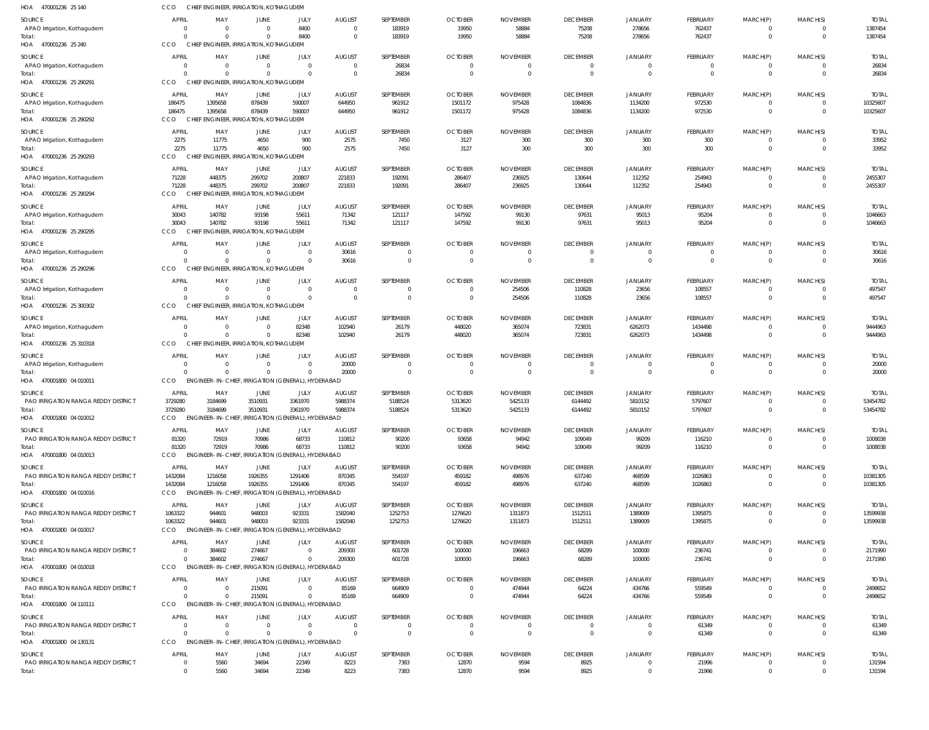| HOA<br>470001236 25 140                                     | CCO                      | CHIEF ENGINEER, IRRIGATION, KOTHAGUDEM                        |                                 |                         |                           |                             |                            |                             |                                   |                                  |                                   |                            |                            |                          |
|-------------------------------------------------------------|--------------------------|---------------------------------------------------------------|---------------------------------|-------------------------|---------------------------|-----------------------------|----------------------------|-----------------------------|-----------------------------------|----------------------------------|-----------------------------------|----------------------------|----------------------------|--------------------------|
| SOURCE                                                      | <b>APRIL</b>             | MAY                                                           | JUNE                            | JULY                    | <b>AUGUST</b>             | SEPTEMBER                   | <b>OCTOBER</b>             | <b>NOVEMBER</b>             | <b>DECEMBER</b>                   | JANUARY                          | FEBRUARY                          | MARCH(P)                   | MARCH(S)                   | <b>TOTAL</b>             |
| APAO Irrigation, Kothagudem                                 | - 0                      | $\Omega$                                                      | $\Omega$                        | 8400                    | $\overline{0}$            | 183919                      | 19950                      | 58884                       | 75208                             | 278656                           | 762437                            | $\mathbf 0$                | $\Omega$                   | 1387454                  |
| Total:<br>HOA 470001236 25 240                              | CCO                      | $\Omega$<br>CHIEF ENGINEER, IRRIGATION, KOTHAGUDEM            | $\Omega$                        | 8400                    | $\overline{0}$            | 183919                      | 19950                      | 58884                       | 75208                             | 278656                           | 762437                            | $\mathbf 0$                | $\Omega$                   | 1387454                  |
| SOURCE                                                      | <b>APRIL</b>             | MAY                                                           | <b>JUNE</b>                     | <b>JULY</b>             | <b>AUGUST</b>             | SEPTEMBER                   | <b>OCTOBER</b>             | <b>NOVEMBER</b>             | <b>DECEMBER</b>                   | <b>JANUARY</b>                   | FEBRUARY                          | MARCH(P)                   | MARCH(S)                   | <b>TOTAL</b>             |
| APAO Irrigation, Kothagudem                                 |                          | $\Omega$                                                      | $\Omega$                        | $\Omega$                | $\Omega$                  | 26834                       |                            |                             | $\Omega$                          | $\Omega$                         | $\Omega$                          | 0                          | $\Omega$                   | 26834                    |
| Total:                                                      |                          | 0                                                             | $\Omega$                        | $\Omega$                | $\mathbf{0}$              | 26834                       |                            | $\Omega$                    | $\overline{0}$                    | $\overline{0}$                   | $\overline{0}$                    | $\mathbf 0$                | $\Omega$                   | 26834                    |
| HOA 470001236 25 290291                                     | CCO                      | CHIEF ENGINEER, IRRIGATION, KOTHAGUDEM                        |                                 |                         |                           |                             |                            |                             |                                   |                                  |                                   |                            |                            |                          |
| SOURCE                                                      | APRIL                    | MAY                                                           | <b>JUNE</b>                     | JULY                    | <b>AUGUST</b>             | SEPTEMBER                   | <b>OCTOBER</b>             | <b>NOVEMBER</b>             | <b>DECEMBER</b>                   | <b>JANUARY</b>                   | FEBRUARY                          | MARCH(P)                   | MARCH(S)                   | <b>TOTAL</b>             |
| APAO Irrigation, Kothagudem<br>Total:                       | 186475<br>186475         | 1395658<br>1395658                                            | 878439<br>878439                | 590007<br>590007        | 644950<br>644950          | 961912<br>961912            | 1501172<br>1501172         | 975428<br>975428            | 1084836<br>1084836                | 1134200<br>1134200               | 972530<br>972530                  | 0<br>$\mathbf{0}$          | $\Omega$<br>$\overline{0}$ | 10325607<br>10325607     |
| HOA 470001236 25 290292                                     | CCO                      | CHIEF ENGINEER, IRRIGATION, KOTHAGUDEM                        |                                 |                         |                           |                             |                            |                             |                                   |                                  |                                   |                            |                            |                          |
| SOURCE                                                      | <b>APRIL</b>             | MAY                                                           | <b>JUNE</b>                     | JULY                    | <b>AUGUST</b>             | SEPTEMBER                   | <b>OCTOBER</b>             | <b>NOVEMBER</b>             | <b>DECEMBER</b>                   | <b>JANUARY</b>                   | <b>FEBRUARY</b>                   | MARCH(P)                   | MARCH(S)                   | <b>TOTAL</b>             |
| APAO Irrigation, Kothagudem                                 | 2275                     | 11775                                                         | 4650                            | 900                     | 2575                      | 7450                        | 3127                       | 300                         | 300                               | 300                              | 300                               | 0                          | $\Omega$                   | 33952                    |
| Total:                                                      | 2275                     | 11775                                                         | 4650                            | 900                     | 2575                      | 7450                        | 3127                       | 300                         | 300                               | 300                              | 300                               | $\mathbf 0$                | $\Omega$                   | 33952                    |
| HOA 470001236 25 290293                                     | <b>CCO</b>               | <b>CHIEF</b>                                                  | NGINEER, IRRIGATION, KOTHAGUDEM |                         |                           |                             |                            |                             |                                   |                                  |                                   |                            |                            |                          |
| SOURCE                                                      | <b>APRIL</b>             | MAY                                                           | JUNE<br>299702                  | JULY                    | <b>AUGUST</b>             | SEPTEMBER                   | <b>OCTOBER</b>             | <b>NOVEMBER</b>             | <b>DECEMBER</b>                   | JANUARY                          | FEBRUARY                          | MARCH(P)                   | MARCH(S)                   | <b>TOTAI</b>             |
| APAO Irrigation, Kothagudem<br>Total:                       | 71228<br>71228           | 448375<br>448375                                              | 299702                          | 200807<br>200807        | 221833<br>221833          | 192091<br>192091            | 286407<br>286407           | 236925<br>236925            | 130644<br>130644                  | 112352<br>112352                 | 254943<br>254943                  | $\mathbf 0$<br>$\mathbf 0$ | $\Omega$<br>$\Omega$       | 2455307<br>2455307       |
| HOA 470001236 25 290294                                     | CCO                      | CHIEF ENGINEER, IRRIGATION, KOTHAGUDEM                        |                                 |                         |                           |                             |                            |                             |                                   |                                  |                                   |                            |                            |                          |
| SOURCE                                                      | <b>APRIL</b>             | MAY                                                           | JUNE                            | JULY                    | <b>AUGUST</b>             | SEPTEMBER                   | <b>OCTOBER</b>             | <b>NOVEMBER</b>             | <b>DECEMBER</b>                   | <b>JANUARY</b>                   | FEBRUARY                          | MARCH(P)                   | MARCH(S)                   | <b>TOTAI</b>             |
| APAO Irrigation, Kothagudem                                 | 30043                    | 140782                                                        | 93198                           | 55611                   | 71342                     | 121117                      | 147592                     | 99130                       | 97631                             | 95013                            | 95204                             | 0                          | $\Omega$                   | 1046663                  |
| Total:<br>HOA 470001236 25 290295                           | 30043<br>CCO             | 140782<br>CHIEF ENGINEER, IRRIGATION, KOTHAGUDEM              | 93198                           | 55611                   | 71342                     | 121117                      | 147592                     | 99130                       | 97631                             | 95013                            | 95204                             | $\mathbf{0}$               | $\Omega$                   | 1046663                  |
|                                                             |                          |                                                               |                                 |                         |                           |                             |                            |                             |                                   |                                  |                                   |                            |                            |                          |
| SOURCE<br>APAO Irrigation, Kothagudem                       | <b>APRIL</b>             | MAY<br>$\Omega$                                               | <b>JUNE</b><br>0                | JULY<br>$\overline{0}$  | <b>AUGUST</b><br>30616    | SEPTEMBER<br>$\overline{0}$ | <b>OCTOBER</b><br>$\Omega$ | <b>NOVEMBER</b><br>$\Omega$ | <b>DECEMBER</b><br>$\overline{0}$ | <b>JANUARY</b><br>$\overline{0}$ | <b>FEBRUARY</b><br>$\overline{0}$ | MARCH(P)<br>0              | MARCH(S)<br>$\Omega$       | <b>TOTAL</b><br>30616    |
| Total:                                                      |                          | $\Omega$                                                      | $\Omega$                        | $\Omega$                | 30616                     | $\mathbf 0$                 | $\Omega$                   | $\Omega$                    | $\overline{0}$                    | $\overline{0}$                   | $\overline{0}$                    | $\mathbf 0$                | $\Omega$                   | 30616                    |
| HOA 470001236 25 290296                                     | CCO                      | CHIEF ENGINEER, IRRIGATION, KOTHAGUDEM                        |                                 |                         |                           |                             |                            |                             |                                   |                                  |                                   |                            |                            |                          |
| <b>SOURCE</b>                                               | <b>APRIL</b>             | MAY                                                           | JUNE                            | JULY                    | <b>AUGUST</b>             | SEPTEMBER                   | <b>OCTOBER</b>             | <b>NOVEMBER</b>             | <b>DECEMBER</b>                   | <b>JANUARY</b>                   | <b>FEBRUARY</b>                   | MARCH(P)                   | MARCH(S)                   | <b>TOTAL</b>             |
| APAO Irrigation, Kothagudem                                 |                          | 0                                                             | $\Omega$                        | $\Omega$                | $\mathbf{0}$              | 0                           |                            | 254506                      | 110828                            | 23656                            | 108557                            | 0                          | $\Omega$                   | 497547                   |
| Total:<br>HOA 470001236 25 300302                           | CCO                      | CHIEF ENGINEER, IRRIGATION, KOTHAGUDEM                        | $\Omega$                        | $\Omega$                | $\Omega$                  | $\mathbf{0}$                | $\Omega$                   | 254506                      | 110828                            | 23656                            | 108557                            | $\mathbf{0}$               | $\Omega$                   | 497547                   |
|                                                             | <b>APRIL</b>             | MAY                                                           | JUNE                            | JULY                    | <b>AUGUST</b>             | SEPTEMBER                   | <b>OCTOBER</b>             | <b>NOVEMBER</b>             | <b>DECEMBER</b>                   |                                  |                                   | MARCH(P)                   | MARCH(S)                   | <b>TOTAL</b>             |
| SOURCE<br>APAO Irrigation, Kothagudem                       |                          | $\Omega$                                                      | 0                               | 82348                   | 102940                    | 26179                       | 448020                     | 365074                      | 723831                            | JANUARY<br>6262073               | FEBRUARY<br>1434498               | 0                          | $\Omega$                   | 9444963                  |
| Total:                                                      |                          | $\Omega$                                                      | $\Omega$                        | 82348                   | 102940                    | 26179                       | 448020                     | 365074                      | 723831                            | 6262073                          | 1434498                           | $\mathbf{0}$               | $\Omega$                   | 9444963                  |
| HOA 470001236 25 310318                                     | CCO                      | CHIEF ENGINEER, IRRIGATION, KOTHAGUDEM                        |                                 |                         |                           |                             |                            |                             |                                   |                                  |                                   |                            |                            |                          |
| SOURCE                                                      | <b>APRIL</b>             | MAY                                                           | JUNE                            | JULY                    | <b>AUGUST</b>             | SEPTEMBER                   | <b>OCTOBER</b>             | <b>NOVEMBER</b>             | <b>DECEMBER</b>                   | <b>JANUARY</b>                   | FEBRUARY                          | MARCH(P)                   | MARCH(S)                   | <b>TOTAL</b>             |
| APAO Irrigation, Kothagudem<br>Total:                       |                          | $\Omega$<br>$\Omega$                                          | $\Omega$<br>$\Omega$            | $\Omega$<br>$\Omega$    | 20000<br>20000            | $\Omega$<br>$\mathbf 0$     | $\Omega$                   | $\Omega$<br>$\Omega$        | $\Omega$<br>$\overline{0}$        | $\Omega$<br>$\overline{0}$       | $\Omega$<br>$\overline{0}$        | $\Omega$<br>$\mathbf 0$    | $\Omega$<br>$\Omega$       | 20000<br>20000           |
| HOA 470001800 04 010011                                     | CCO                      | ENGINEER-IN-CHIEF, IRRIGATION (GENERAL), HYDERABAD            |                                 |                         |                           |                             |                            |                             |                                   |                                  |                                   |                            |                            |                          |
| SOURCE                                                      | <b>APRIL</b>             | MAY                                                           | JUNE                            | JULY                    | <b>AUGUST</b>             | SEPTEMBER                   | <b>OCTOBER</b>             | <b>NOVEMBER</b>             | <b>DECEMBER</b>                   | JANUARY                          | FEBRUARY                          | MARCH(P)                   | MARCH(S)                   | <b>TOTAI</b>             |
| <b>PAO IRRIGATION RANGA REDDY DISTRICT</b>                  | 3729280                  | 3184699                                                       | 3510931                         | 3361970                 | 5988374                   | 5188524                     | 5313620                    | 5425133                     | 6144492                           | 5810152                          | 5797607                           | 0                          | $\Omega$                   | 53454782                 |
| Total:                                                      | 3729280                  | 3184699                                                       | 3510931                         | 3361970                 | 5988374                   | 5188524                     | 5313620                    | 5425133                     | 6144492                           | 5810152                          | 5797607                           | $\mathbf 0$                | $\Omega$                   | 53454782                 |
| HOA 470001800 04 010012                                     | CCO                      | ENGINEER-IN-CHIEF, IRRIGATION (GENERAL), HYDERABAD            |                                 |                         |                           |                             |                            |                             |                                   |                                  |                                   |                            |                            |                          |
| <b>SOURCE</b><br><b>PAO IRRIGATION RANGA REDDY DISTRICT</b> | <b>APRIL</b><br>81320    | MAY<br>72919                                                  | JUNE<br>70986                   | JULY<br>68733           | <b>AUGUST</b><br>110812   | SEPTEMBER<br>90200          | <b>OCTOBER</b><br>93658    | <b>NOVEMBER</b><br>94942    | <b>DECEMBER</b><br>109049         | JANUARY<br>99209                 | FEBRUARY<br>116210                | MARCH(P)<br>0              | MARCH(S)<br>$\Omega$       | <b>TOTAL</b><br>1008038  |
| Total:                                                      | 81320                    | 72919                                                         | 70986                           | 68733                   | 110812                    | 90200                       | 93658                      | 94942                       | 109049                            | 99209                            | 116210                            | $\mathbf 0$                | $\Omega$                   | 1008038                  |
| HOA 470001800 04 010013                                     | CCO                      | ENGINEER-IN-CHIEF, IRRIGATION (GENERAL), HYDERABAD            |                                 |                         |                           |                             |                            |                             |                                   |                                  |                                   |                            |                            |                          |
| <b>SOURCE</b>                                               | <b>APRIL</b>             | MAY                                                           | JUNE                            | JULY                    | <b>AUGUST</b>             | SEPTEMBER                   | <b>OCTOBER</b>             | <b>NOVEMBER</b>             | <b>DECEMBER</b>                   | <b>JANUARY</b>                   | <b>FEBRUARY</b>                   | MARCH(P)                   | MARCH(S)                   | <b>TOTAL</b>             |
| <b>PAO IRRIGATION RANGA REDDY DISTRICT</b>                  | 1432084                  | 1216058                                                       | 1926355                         | 1291406                 | 870345                    | 554197                      | 459182                     | 498976                      | 637240                            | 468599                           | 1026863                           | 0                          | $\Omega$                   | 10381305                 |
| Total:<br>HOA 470001800 04 010016                           | 1432084<br>CCO           | 1216058<br>ENGINEER-IN-CHIEF, IRRIGATION (GENERAL), HYDERABAD | 1926355                         | 1291406                 | 870345                    | 554197                      | 459182                     | 498976                      | 637240                            | 468599                           | 1026863                           | $\overline{0}$             | $\Omega$                   | 10381305                 |
|                                                             |                          |                                                               |                                 |                         |                           | SEPTEMBER                   | <b>OCTOBER</b>             |                             |                                   |                                  |                                   |                            |                            |                          |
| SOURCE<br>PAO IRRIGATION RANGA REDDY DISTRICT               | APRIL<br>1063322         | MAY<br>944601                                                 | JUNE<br>948003                  | JULY<br>923331          | <b>AUGUST</b><br>1582040  | 1252753                     | 1276620                    | <b>NOVEMBER</b><br>1311873  | <b>DECEMBER</b><br>1512511        | <b>JANUARY</b><br>1389009        | FEBRUARY<br>1395875               | MARCH(P)<br>$\Omega$       | MARCH(S)<br>$\Omega$       | <b>TOTAL</b><br>13599938 |
| Total:                                                      | 1063322                  | 944601                                                        | 948003                          | 923331                  | 1582040                   | 1252753                     | 1276620                    | 1311873                     | 1512511                           | 1389009                          | 1395875                           | $\mathbf 0$                | $\Omega$                   | 13599938                 |
| HOA 470001800 04 010017                                     | CCO                      | ENGINEER-IN-CHIEF, IRRIGATION (GENERAL), HYDERABAD            |                                 |                         |                           |                             |                            |                             |                                   |                                  |                                   |                            |                            |                          |
| SOURCE                                                      | <b>APRIL</b>             | MAY                                                           | JUNE                            | JULY                    | <b>AUGUST</b>             | SEPTEMBER                   | <b>OCTOBER</b>             | <b>NOVEMBER</b>             | <b>DECEMBER</b>                   | JANUARY                          | <b>FEBRUARY</b>                   | MARCH(P)                   | MARCH(S)                   | total                    |
| <b>PAO IRRIGATION RANGA REDDY DISTRICT</b><br>Total:        |                          | 384602<br>384602                                              | 274667<br>274667                | $\Omega$<br>$\mathbf 0$ | 209300<br>209300          | 601728<br>601728            | 100000<br>100000           | 196663<br>196663            | 68289<br>68289                    | 100000<br>100000                 | 236741<br>236741                  | 0<br>$\mathbf 0$           | $\Omega$<br>$\Omega$       | 2171990<br>2171990       |
| HOA 470001800 04 010018                                     | <b>CCO</b>               | ENGINEER-IN-CHIEF, IRRIGATION (GENERAL), HYDERABAD            |                                 |                         |                           |                             |                            |                             |                                   |                                  |                                   |                            |                            |                          |
| SOURCE                                                      | <b>APRIL</b>             | MAY                                                           | JUNE                            | JULY                    | <b>AUGUST</b>             | SEPTEMBER                   | <b>OCTOBER</b>             | <b>NOVEMBER</b>             | <b>DECEMBER</b>                   | <b>JANUARY</b>                   | <b>FEBRUARY</b>                   | MARCH(P)                   | MARCH(S)                   | Total                    |
| PAO IRRIGATION RANGA REDDY DISTRICT                         |                          |                                                               | 215091                          | $\Omega$                | 85169                     | 664909                      | $\Omega$                   | 474944                      | 64224                             | 434766                           | 559549                            | $\mathbf 0$                | $\Omega$                   | 2498652                  |
| Total:                                                      |                          |                                                               | 215091                          | $\Omega$                | 85169                     | 664909                      | $\Omega$                   | 474944                      | 64224                             | 434766                           | 559549                            | $\mathbf 0$                | $\Omega$                   | 2498652                  |
| HOA 470001800 04 110111                                     | CCO                      | ENGINEER-IN-CHIEF, IRRIGATION (GENERAL), HYDERABAD            |                                 |                         |                           |                             |                            |                             |                                   |                                  |                                   |                            |                            |                          |
| SOURCE                                                      | <b>APRIL</b><br>$\Omega$ | MAY<br>$\Omega$                                               | JUNE<br>$\Omega$                | JULY<br>$\overline{0}$  | <b>AUGUST</b><br>$\Omega$ | SEPTEMBER<br>$\overline{0}$ | <b>OCTOBER</b><br>$\Omega$ | <b>NOVEMBER</b><br>$\Omega$ | <b>DECEMBER</b><br>$\overline{0}$ | <b>JANUARY</b><br>$\overline{0}$ | FEBRUARY                          | MARCH(P)                   | MARCH(S)<br>$\Omega$       | <b>TOTAL</b>             |
| <b>PAO IRRIGATION RANGA REDDY DISTRICT</b><br>Total:        | $\Omega$                 | $\Omega$                                                      | $\Omega$                        | $\Omega$                | $\Omega$                  | $\mathbf{0}$                | $\Omega$                   | $\Omega$                    | $\overline{0}$                    | $\overline{0}$                   | 61349<br>61349                    | 0<br>$\overline{0}$        | $\Omega$                   | 61349<br>61349           |
| HOA 470001800 04 130131                                     | CCO                      | ENGINEER-IN-CHIEF, IRRIGATION (GENERAL), HYDERABAD            |                                 |                         |                           |                             |                            |                             |                                   |                                  |                                   |                            |                            |                          |
| <b>SOURCE</b>                                               | <b>APRIL</b>             | MAY                                                           | JUNE                            | JULY                    | <b>AUGUST</b>             | SEPTEMBER                   | <b>OCTOBER</b>             | <b>NOVEMBER</b>             | <b>DECEMBER</b>                   | <b>JANUARY</b>                   | FEBRUARY                          | MARCH(P)                   | MARCH(S)                   | <b>TOTAL</b>             |
| PAO IRRIGATION RANGA REDDY DISTRICT                         |                          | 5560                                                          | 34694                           | 22349                   | 8223                      | 7383                        | 12870                      | 9594                        | 8925                              | 0                                | 21996                             | 0                          | $\Omega$                   | 131594                   |
| Total:                                                      | $\Omega$                 | 5560                                                          | 34694                           | 22349                   | 8223                      | 7383                        | 12870                      | 9594                        | 8925                              | $\mathbf{0}$                     | 21996                             | $\mathbf 0$                | $\Omega$                   | 131594                   |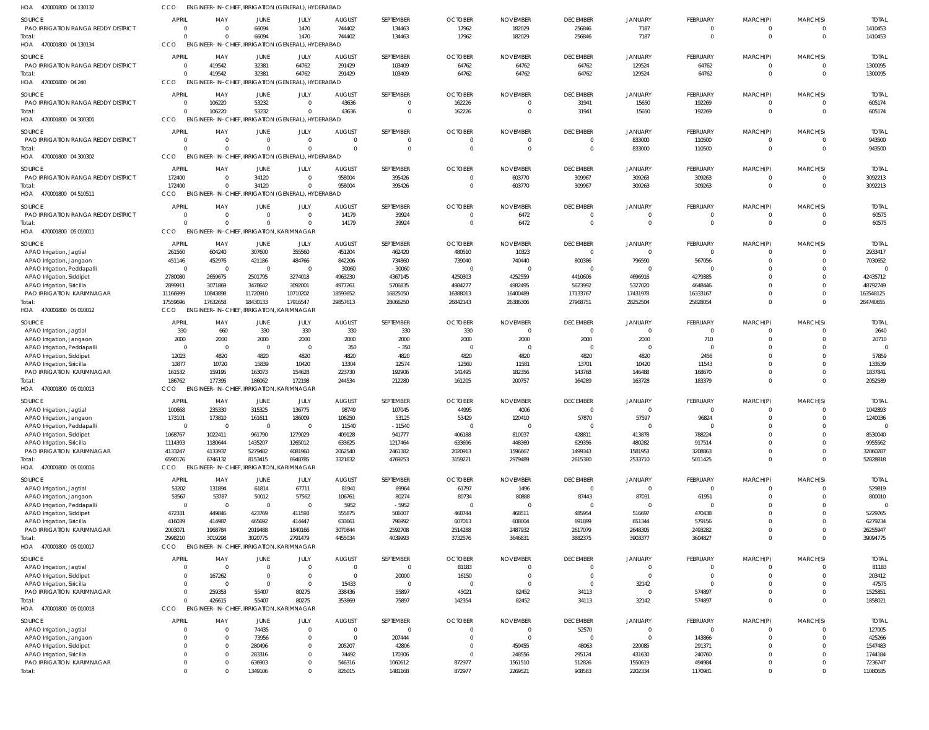| HOA<br>4/0001800 04 130132                                     | CCO                    |                                                     |                      | ENGINEER-IN-CHIEF, IRRIGAIION (GENERAL), HYDERABAD         |                          |                      |                          |                         |                                 |                            |                         |                            |                            |                         |
|----------------------------------------------------------------|------------------------|-----------------------------------------------------|----------------------|------------------------------------------------------------|--------------------------|----------------------|--------------------------|-------------------------|---------------------------------|----------------------------|-------------------------|----------------------------|----------------------------|-------------------------|
| <b>SOURCE</b>                                                  | <b>APRIL</b>           | MAY                                                 | JUNE                 | JULY                                                       | <b>AUGUST</b>            | SEPTEMBER            | <b>OCTOBER</b>           | <b>NOVEMBER</b>         | <b>DECEMBER</b>                 | <b>JANUARY</b>             | FEBRUARY                | MARCH(P)                   | MARCH(S)                   | <b>TOTAL</b>            |
| PAO IRRIGATION RANGA REDDY DISTRICT                            |                        | $\Omega$                                            | 66094                | 1470                                                       | 744402                   | 134463               | 17962                    | 182029                  | 256846                          | 7187                       | $\mathbf 0$<br>$\Omega$ | 0                          | $\overline{0}$<br>$\Omega$ | 1410453                 |
| Total:<br>470001800 04 130134<br>HOA                           | CCO                    |                                                     | 66094                | 1470<br>ENGINEER-IN-CHIEF, IRRIGATION (GENERAL), HYDERABAD | 744402                   | 134463               | 17962                    | 182029                  | 256846                          | 7187                       |                         | $\mathbf 0$                |                            | 1410453                 |
| <b>SOURCE</b>                                                  | <b>APRIL</b>           | MAY                                                 | JUNE                 | JULY                                                       | <b>AUGUST</b>            | SEPTEMBER            | <b>OCTOBER</b>           | <b>NOVEMBER</b>         | <b>DECEMBER</b>                 | JANUARY                    | FEBRUARY                | MARCH(P)                   | MARCH(S)                   | <b>TOTAL</b>            |
| <b>PAO IRRIGATION RANGA REDDY DISTRICT</b>                     | - 0                    | 419542                                              | 32381                | 64762                                                      | 291429                   | 103409               | 64762                    | 64762                   | 64762                           | 129524                     | 64762                   | 0                          | $\overline{0}$             | 1300095                 |
| Total:                                                         |                        | 419542                                              | 32381                | 64762                                                      | 291429                   | 103409               | 64762                    | 64762                   | 64762                           | 129524                     | 64762                   | $\mathbf{0}$               | $\Omega$                   | 1300095                 |
| HOA<br>470001800 04 240                                        | CCO                    |                                                     |                      | ENGINEER-IN-CHIEF, IRRIGATION (GENERAL), HYDERABAD         |                          |                      |                          |                         |                                 |                            |                         |                            |                            |                         |
| SOURCE                                                         | <b>APRIL</b>           | MAY                                                 | JUNE                 | JULY                                                       | <b>AUGUST</b>            | SEPTEMBER            | <b>OCTOBER</b>           | <b>NOVEMBER</b>         | <b>DECEMBER</b>                 | <b>JANUARY</b>             | FEBRUARY                | MARCH(P)                   | MARCH(S)                   | <b>TOTAL</b>            |
| PAO IRRIGATION RANGA REDDY DISTRICT<br>Total:                  |                        | 106220<br>106220                                    | 53232<br>53232       | $\Omega$<br>$\Omega$                                       | 43636<br>43636           | $\Omega$<br>$\Omega$ | 162226<br>162226         | $\Omega$                | 31941<br>31941                  | 15650<br>15650             | 192269<br>192269        | $\Omega$<br>$\mathbf 0$    | $\Omega$<br>$\Omega$       | 605174<br>605174        |
| HOA<br>470001800 04 300301                                     | CCO                    |                                                     |                      | ENGINEER-IN-CHIEF, IRRIGATION (GENERAL), HYDERABAD         |                          |                      |                          |                         |                                 |                            |                         |                            |                            |                         |
| <b>SOURCE</b>                                                  | <b>APRIL</b>           | MAY                                                 | JUNE                 | JULY                                                       | <b>AUGUST</b>            | SEPTEMBER            | <b>OCTOBER</b>           | <b>NOVEMBER</b>         | <b>DECEMBER</b>                 | <b>JANUARY</b>             | FEBRUARY                | MARCH(P)                   | MARCH(S)                   | <b>TOTAL</b>            |
| <b>PAO IRRIGATION RANGA REDDY DISTRICT</b>                     |                        | $\Omega$                                            | $\mathbf 0$          | $\mathbf{0}$                                               | $\Omega$                 | $\mathbf{0}$         | $\Omega$                 |                         | $\overline{0}$                  | 833000                     | 110500                  | 0                          | $\overline{0}$             | 943500                  |
| Total:                                                         |                        | $\Omega$                                            | $\Omega$             | $\Omega$                                                   | $\Omega$                 | $\mathbf 0$          | $\overline{0}$           | $\Omega$                | $\overline{0}$                  | 833000                     | 110500                  | $\mathbf 0$                | $\overline{0}$             | 943500                  |
| HOA 470001800 04 300302                                        | CCO                    |                                                     |                      | ENGINEER-IN-CHIEF, IRRIGATION (GENERAL), HYDERABAD         |                          |                      |                          |                         |                                 |                            |                         |                            |                            |                         |
| <b>SOURCE</b>                                                  | APRIL                  | MAY                                                 | <b>JUNE</b>          | JULY                                                       | <b>AUGUST</b>            | SEPTEMBER            | <b>OCTOBER</b>           | <b>NOVEMBER</b>         | <b>DECEMBER</b>                 | <b>JANUARY</b>             | FEBRUARY                | MARCH(P)                   | MARCH(S)                   | <b>TOTAL</b>            |
| PAO IRRIGATION RANGA REDDY DISTRICT<br>Total:                  | 172400<br>172400       | $\Omega$<br>$\Omega$                                | 34120<br>34120       | $\Omega$<br>$\Omega$                                       | 958004<br>958004         | 395426<br>395426     | $\Omega$<br>$\Omega$     | 603770<br>603770        | 309967<br>309967                | 309263<br>309263           | 309263<br>309263        | 0<br>$\mathbf{0}$          | $\overline{0}$<br>$\Omega$ | 3092213<br>3092213      |
| HOA<br>470001800 04 510511                                     | CCO                    |                                                     |                      | ENGINEER-IN-CHIEF, IRRIGATION (GENERAL), HYDERABAD         |                          |                      |                          |                         |                                 |                            |                         |                            |                            |                         |
| SOURCE                                                         | <b>APRIL</b>           | MAY                                                 | JUNE                 | JULY                                                       | <b>AUGUST</b>            | SEPTEMBER            | <b>OCTOBER</b>           | <b>NOVEMBER</b>         | <b>DECEMBER</b>                 | <b>JANUARY</b>             | FEBRUARY                | MARCH(P)                   | MARCH(S)                   | <b>TOTAL</b>            |
| PAO IRRIGATION RANGA REDDY DISTRICT                            |                        | $\Omega$                                            | $\Omega$             | $\mathbf{0}$                                               | 14179                    | 39924                | $\Omega$                 | 6472                    | $\overline{0}$                  | $\overline{0}$             | $\overline{0}$          | $\mathbf 0$                | $\overline{0}$             | 60575                   |
| Total:                                                         |                        | $\Omega$                                            | $\Omega$             | $\Omega$                                                   | 14179                    | 39924                | $\Omega$                 | 6472                    | $\overline{0}$                  | $\Omega$                   | $\mathbf 0$             | $\overline{0}$             | $\Omega$                   | 60575                   |
| HOA<br>470001800 05 010011                                     | CCO                    | ENGINEER-IN-CHIEF, IRRIGATION, KARIMNAGAR           |                      |                                                            |                          |                      |                          |                         |                                 |                            |                         |                            |                            |                         |
| SOURCE                                                         | <b>APRIL</b>           | MAY                                                 | JUNE                 | JULY                                                       | <b>AUGUST</b>            | SEPTEMBER            | <b>OCTOBER</b>           | <b>NOVEMBER</b>         | <b>DECEMBER</b>                 | <b>JANUARY</b>             | FEBRUARY                | MARCH(P)                   | MARCH(S)                   | <b>TOTAL</b>            |
| APAO Irrigation, Jagtial<br>APAO Irrigation, Jangaon           | 261560<br>451146       | 604240<br>452976                                    | 307600<br>421186     | 355560<br>484766                                           | 451204<br>842206         | 462420<br>734860     | 480510<br>739040         | 10323<br>740440         | $\Omega$<br>800386              | $\Omega$<br>796590         | $\Omega$<br>567056      | $\Omega$<br>$\Omega$       | $\Omega$<br>$\Omega$       | 2933417<br>7030652      |
| APAO Irrigation, Peddapalli                                    | $\Omega$               | $\Omega$                                            | $\Omega$             | $\Omega$                                                   | 30060                    | $-30060$             | $\Omega$                 |                         | $\Omega$                        | $\Omega$                   | $\Omega$                | $\Omega$                   |                            |                         |
| APAO Irrigation, Siddipet                                      | 2780080                | 2659675                                             | 2501795              | 3274018                                                    | 4963230                  | 4367145              | 4250303                  | 4252559                 | 4410606                         | 4696916                    | 4279385                 | $\Omega$                   | $\Omega$                   | 42435712                |
| APAO Irrigation, Siricilla                                     | 2899911                | 3071869                                             | 3478642              | 3092001                                                    | 4977261                  | 5706835              | 4984277                  | 4982495                 | 5623992                         | 5327020                    | 4648446                 | $\Omega$                   | $\Omega$                   | 48792749                |
| PAO IRRIGATION KARIMNAGAR<br>Total:                            | 11166999<br>17559696   | 10843898<br>17632658                                | 11720910<br>18430133 | 10710202<br>17916547                                       | 18593652<br>29857613     | 16825050<br>28066250 | 16388013<br>26842143     | 16400489<br>26386306    | 17133767<br>27968751            | 17431978<br>28252504       | 16333167<br>25828054    | $\Omega$<br>$\Omega$       | $\Omega$<br>$\Omega$       | 163548125<br>264740655  |
| 470001800 05 010012<br>HOA                                     | CCO                    | ENGINEER-IN-CHIEF, IRRIGATION,                      |                      | KARIMNAGAR                                                 |                          |                      |                          |                         |                                 |                            |                         |                            |                            |                         |
| <b>SOURCE</b>                                                  | <b>APRIL</b>           | MAY                                                 | JUNE                 | JULY                                                       | <b>AUGUST</b>            | SEPTEMBER            | <b>OCTOBER</b>           | <b>NOVEMBER</b>         | <b>DECEMBER</b>                 | JANUARY                    | FEBRUARY                | MARCH(P)                   | MARCH(S)                   | <b>TOTAL</b>            |
| APAO Irrigation, Jagtial                                       | 330                    | 660                                                 | 330                  | 330                                                        | 330                      | 330                  | 330                      | $\Omega$                | $\overline{\phantom{0}}$        | $\mathbf 0$                | $\overline{0}$          | 0                          | $\Omega$                   | 2640                    |
| APAO Irrigation, Jangaon                                       | 2000                   | 2000                                                | 2000                 | 2000                                                       | 2000                     | 2000                 | 2000                     | 2000                    | 2000                            | 2000                       | 710                     | $\mathbf 0$                | $\Omega$                   | 20710                   |
| APAO Irrigation, Peddapalli<br>APAO Irrigation, Siddipet       | $\Omega$<br>12023      | $\Omega$<br>4820                                    | $\mathbf{0}$<br>4820 | $\overline{0}$<br>4820                                     | 350<br>4820              | $-350$<br>4820       | $\Omega$<br>4820         | 4820                    | $\overline{\mathbf{0}}$<br>4820 | $\Omega$<br>4820           | $\overline{0}$<br>2456  | $\Omega$<br>$\mathbf 0$    | $\Omega$<br>$\Omega$       | 57859                   |
| APAO Irrigation, Siricilla                                     | 10877                  | 10720                                               | 15839                | 10420                                                      | 13304                    | 12574                | 12560                    | 11581                   | 13701                           | 10420                      | 11543                   | $\Omega$                   | $\Omega$                   | 133539                  |
| <b>PAO IRRIGATION KARIMNAGAR</b>                               | 161532                 | 159195                                              | 163073               | 154628                                                     | 223730                   | 192906               | 141495                   | 182356                  | 143768                          | 146488                     | 168670                  | $\mathbf 0$                | $\Omega$                   | 1837841                 |
| Total:<br>HOA 470001800 05 010013                              | 186762<br>CCO.         | 177395<br>ENGINEER-IN-CHIEF, IRRIGATION, KARIMNAGAR | 186062               | 172198                                                     | 244534                   | 212280               | 161205                   | 200757                  | 164289                          | 163728                     | 183379                  | $\mathbf 0$                | $\Omega$                   | 2052589                 |
|                                                                |                        |                                                     |                      |                                                            |                          |                      |                          |                         |                                 |                            |                         |                            |                            |                         |
| SOURCE<br>APAO Irrigation, Jagtial                             | <b>APRIL</b><br>100668 | MAY<br>235330                                       | JUNE<br>315325       | JULY<br>136775                                             | <b>AUGUST</b><br>98749   | SEPTEMBER<br>107045  | <b>OCTOBER</b><br>44995  | <b>NOVEMBER</b><br>4006 | <b>DECEMBER</b><br>$\Omega$     | <b>JANUARY</b><br>$\Omega$ | FEBRUARY<br>$\Omega$    | MARCH(P)<br>$\Omega$       | MARCH(S)<br>$\Omega$       | <b>TOTAL</b><br>1042893 |
| APAO Irrigation, Jangaon                                       | 173101                 | 173810                                              | 161611               | 186009                                                     | 106250                   | 53125                | 53429                    | 120410                  | 57870                           | 57597                      | 96824                   | $\Omega$                   | $\Omega$                   | 1240036                 |
| APAO Irrigation, Peddapall                                     |                        |                                                     | $\Omega$             | $\Omega$                                                   | 11540                    | $-11540$             | $\Omega$                 |                         | $\mathbf 0$                     | $\mathbf{0}$               | $\Omega$                | $\Omega$                   |                            |                         |
| APAO Irrigation, Siddipet                                      | 1068767                | 1022411<br>1180644                                  | 961790<br>1435207    | 1279029<br>1265012                                         | 409128<br>633625         | 941777<br>1217464    | 406188<br>633696         | 810037<br>448369        | 428811<br>629356                | 413878<br>480282           | 788224<br>917514        | $\Omega$<br>$\Omega$       | $\Omega$                   | 8530040<br>9955562      |
| APAO Irrigation, Siricilla<br>PAO IRRIGATION KARIMNAGAR        | 1114393<br>4133247     | 4133937                                             | 5279482              | 4081960                                                    | 2062540                  | 2461382              | 2020913                  | 1596667                 | 1499343                         | 1581953                    | 3208863                 | $\Omega$                   | $\Omega$                   | 32060287                |
| Total:                                                         | 6590176                | 6746132                                             | 8153415              | 6948785                                                    | 3321832                  | 4769253              | 3159221                  | 2979489                 | 2615380                         | 2533710                    | 5011425                 | $\Omega$                   | $\Omega$                   | 52828818                |
| HOA 470001800 05 010016                                        | CCO                    | ENGINEER-IN-CHIEF, IRRIGATION, KARIMNAGAR           |                      |                                                            |                          |                      |                          |                         |                                 |                            |                         |                            |                            |                         |
| SOURCE                                                         | <b>APRIL</b>           | MAY                                                 | JUNE                 | JULY                                                       | <b>AUGUST</b>            | SEPTEMBER            | <b>OCTOBER</b>           | <b>NOVEMBER</b>         | <b>DECEMBER</b>                 | JANUARY                    | FEBRUARY                | MARCH(P)                   | MARCH(S)                   | <b>TOTAL</b>            |
| APAO Irrigation, Jagtial                                       | 53202<br>53567         | 131894<br>53787                                     | 61814<br>50012       | 67711<br>57562                                             | 81941                    | 69964<br>80274       | 61797<br>80734           | 1496<br>80888           | $\overline{0}$<br>87443         | $\mathbf{0}$<br>87031      | $\mathbf 0$<br>61951    | 0<br>$\mathbf 0$           | $\Omega$<br>$\overline{0}$ | 529819<br>800010        |
| APAO Irrigation, Jangaon<br>APAO Irrigation, Peddapalli        | $\mathbf{0}$           | $\overline{0}$                                      | $\overline{0}$       | $\overline{0}$                                             | 106761<br>5952           | $-5952$              | $\overline{0}$           |                         | $\overline{0}$                  | $\overline{0}$             | $^{\circ}$              | $\Omega$                   | $\Omega$                   | $\Omega$                |
| APAO Irrigation, Siddipet                                      | 472331                 | 449846                                              | 423769               | 411593                                                     | 555875                   | 506007               | 468744                   | 468511                  | 485954                          | 516697                     | 470438                  | $\Omega$                   | $\Omega$                   | 5229765                 |
| APAO Irrigation, Siricilla                                     | 416039                 | 414987                                              | 465692               | 414447                                                     | 633661                   | 796992               | 607013                   | 608004                  | 691899                          | 651344                     | 579156                  | $\Omega$                   | $\Omega$                   | 6279234                 |
| PAO IRRIGATION KARIMNAGAR<br>Total:                            | 2003071<br>2998210     | 1968784<br>3019298                                  | 2019488<br>3020775   | 1840166<br>2791479                                         | 3070844<br>4455034       | 2592708<br>4039993   | 2514288<br>3732576       | 2487932<br>3646831      | 2617079<br>3882375              | 2648305<br>3903377         | 2493282<br>3604827      | $\mathbf 0$<br>$\mathbf 0$ | $\Omega$<br>$\Omega$       | 26255947<br>39094775    |
| HOA 470001800 05 010017                                        | CCO.                   | ENGINEER-IN-CHIEF, IRRIGATION, KARIMNAGAR           |                      |                                                            |                          |                      |                          |                         |                                 |                            |                         |                            |                            |                         |
| SOURCE                                                         | <b>APRIL</b>           | MAY                                                 | JUNE                 | JULY                                                       | <b>AUGUST</b>            | SEPTEMBER            | <b>OCTOBER</b>           | <b>NOVEMBER</b>         | <b>DECEMBER</b>                 | JANUARY                    | FEBRUARY                | MARCH(P)                   | MARCH(S)                   | <b>TOTAL</b>            |
| APAO Irrigation, Jagtial                                       |                        |                                                     | 0                    | $\Omega$                                                   | $\Omega$                 | $\overline{0}$       | 81183                    |                         | $\mathbf 0$                     | $\Omega$                   | $\Omega$                | $\Omega$                   |                            | 81183                   |
| APAO Irrigation, Siddipet                                      |                        | 167262                                              | $\Omega$             | $\overline{0}$                                             | $\Omega$                 | 20000                | 16150                    |                         | $\overline{0}$                  | $\Omega$                   | $\Omega$                | $\Omega$                   |                            | 203412                  |
| APAO Irrigation, Siricilla<br><b>PAO IRRIGATION KARIMNAGAR</b> |                        | 259353                                              | $\Omega$<br>55407    | $\mathbf{0}$<br>80275                                      | 15433<br>338436          | $\Omega$<br>55897    | $\Omega$<br>45021        | 82452                   | $\Omega$<br>34113               | 32142<br>$\mathbf 0$       | $\Omega$<br>574897      | $\Omega$<br>$\mathbf 0$    |                            | 47575<br>1525851        |
| Total:                                                         |                        | 426615                                              | 55407                | 80275                                                      | 353869                   | 75897                | 142354                   | 82452                   | 34113                           | 32142                      | 574897                  | $\mathbf 0$                | $\Omega$                   | 1858021                 |
| HOA<br>470001800 05 010018                                     | CCO                    | ENGINEER-IN-CHIEF, IRRIGATION, KARIMNAGAR           |                      |                                                            |                          |                      |                          |                         |                                 |                            |                         |                            |                            |                         |
| SOURCE                                                         | <b>APRIL</b>           | MAY                                                 | JUNE                 | JULY                                                       | <b>AUGUST</b>            | SEPTEMBER            | <b>OCTOBER</b>           | <b>NOVEMBER</b>         | <b>DECEMBER</b>                 | JANUARY                    | FEBRUARY                | MARCH(P)                   | MARCH(S)                   | <b>TOTAL</b>            |
| APAO Irrigation, Jagtial                                       |                        | $\Omega$                                            | 74435                | $\mathbf{0}$                                               | $\overline{0}$           | $\overline{0}$       | $\Omega$                 | $\Omega$                | 52570                           | $\overline{0}$             | $\overline{0}$          | 0                          | $\Omega$                   | 127005                  |
| APAO Irrigation, Jangaon<br>APAO Irrigation, Siddipet          |                        | $\Omega$<br>$\Omega$                                | 73956<br>280496      | $\mathbf 0$<br>$\mathbf 0$                                 | $\overline{0}$<br>205207 | 207444<br>42806      | $\Omega$<br>$\mathbf{0}$ | $\Omega$<br>459455      | $\overline{0}$<br>48063         | $\overline{0}$<br>220085   | 143866<br>291371        | 0<br>$\Omega$              | $\Omega$<br>$\Omega$       | 425266<br>1547483       |
| APAO Irrigation, Siricilla                                     |                        | $\Omega$                                            | 283316               | $\mathbf 0$                                                | 74492                    | 170306               | $\Omega$                 | 248556                  | 295124                          | 431630                     | 240760                  | $\Omega$                   | $\Omega$                   | 1744184                 |
| PAO IRRIGATION KARIMNAGAR                                      |                        | 0                                                   | 636903               | $\mathbf 0$                                                | 546316                   | 1060612              | 872977                   | 1561510                 | 512826                          | 1550619                    | 494984                  | $\mathbf 0$                | $\Omega$                   | 7236747                 |
| Total:                                                         |                        | $\Omega$                                            | 1349106              | $\mathbf{0}$                                               | 826015                   | 1481168              | 872977                   | 2269521                 | 908583                          | 2202334                    | 1170981                 | $\mathbf 0$                | $\Omega$                   | 11080685                |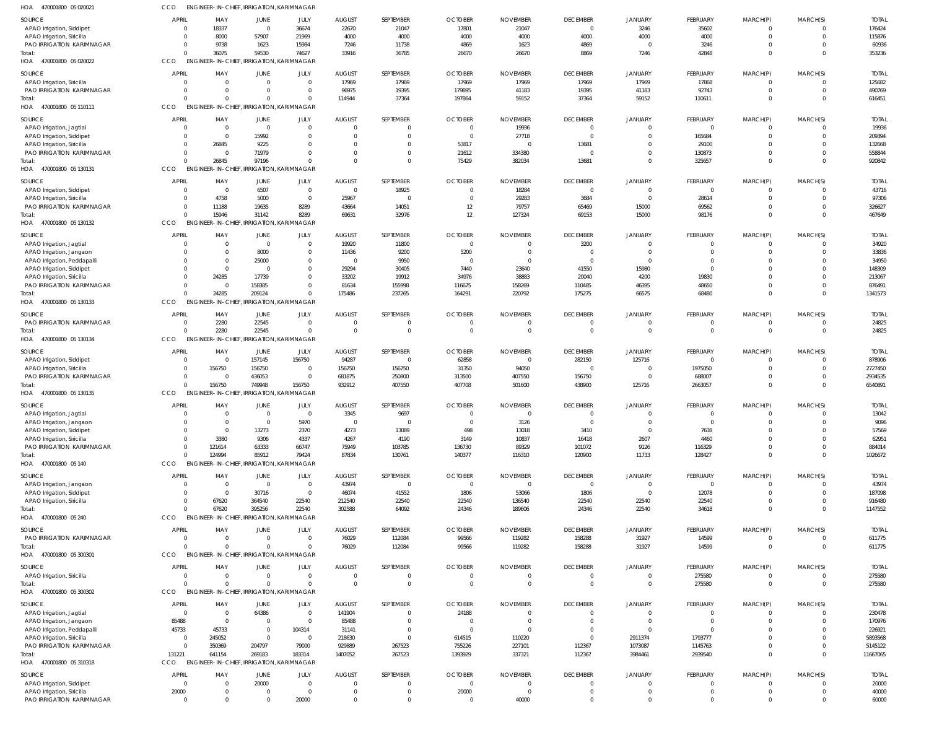| HOA<br>470001800 05 020021       | CCO            | ENGINEER-IN-CHIEF, IRRIGATION, KARIMNAGAR |                               |              |                |                |                |                 |                 |                |                |             |          |              |
|----------------------------------|----------------|-------------------------------------------|-------------------------------|--------------|----------------|----------------|----------------|-----------------|-----------------|----------------|----------------|-------------|----------|--------------|
| <b>SOURCE</b>                    | APRIL          | MAY                                       | JUNE                          | JULY         | <b>AUGUST</b>  | SEPTEMBER      | <b>OCTOBER</b> | <b>NOVEMBER</b> | <b>DECEMBER</b> | <b>JANUARY</b> | FEBRUARY       | MARCH(P)    | MARCH(S) | <b>TOTAI</b> |
| APAO Irrigation, Siddipet        | $\Omega$       | 18337                                     | $\overline{0}$                | 36674        | 22670          | 21047          | 17801          | 21047           | $\mathbf{0}$    | 3246           | 35602          | $\mathbf 0$ |          | 176424       |
| APAO Irrigation, Siricilla       | 0              | 8000                                      | 57907                         | 21969        | 4000           | 4000           | 4000           | 4000            | 4000            | 4000           | 4000           | $\mathbf 0$ | $\Omega$ | 115876       |
| PAO IRRIGATION KARIMNAGAR        | $\Omega$       | 9738                                      | 1623                          | 15984        | 7246           | 11738          | 4869           | 1623            | 4869            | $\Omega$       | 3246           | 0           |          | 60936        |
| Total:                           | $\Omega$       | 36075                                     | 59530                         | 74627        | 33916          | 36785          | 26670          | 26670           | 8869            | 7246           | 42848          | $\Omega$    | $\Omega$ | 353236       |
| HOA<br>470001800 05 020022       | CCO            | ENGINEER-IN-CHIEF, IRRIGATION, KARIMNAGAR |                               |              |                |                |                |                 |                 |                |                |             |          |              |
|                                  |                |                                           |                               |              |                |                |                |                 |                 |                |                |             |          |              |
| <b>SOURCE</b>                    | <b>APRIL</b>   | MAY                                       | JUNE                          | JULY         | <b>AUGUST</b>  | SEPTEMBER      | <b>OCTOBER</b> | <b>NOVEMBER</b> | <b>DECEMBER</b> | <b>JANUARY</b> | FEBRUARY       | MARCH(P)    | MARCH(S) | <b>TOTAL</b> |
| APAO Irrigation, Siricilla       | $\Omega$       | $\Omega$                                  | $\overline{0}$                | $\mathbf{0}$ | 17969          | 17969          | 17969          | 17969           | 17969           | 17969          | 17868          | $\mathbf 0$ | $\Omega$ | 125682       |
| <b>PAO IRRIGATION KARIMNAGAR</b> | $\Omega$       | $\Omega$                                  | $\mathbf{0}$                  | $\mathbf{0}$ | 96975          | 19395          | 179895         | 41183           | 19395           | 41183          | 92743          | $\mathbf 0$ | $\Omega$ | 490769       |
| Total:                           | $\Omega$       | $\Omega$                                  | $\Omega$                      | $\mathbf{0}$ | 114944         | 37364          | 197864         | 59152           | 37364           | 59152          | 110611         | $\mathbf 0$ | $\Omega$ | 616451       |
| HOA 470001800 05 110111          | CCO            | ENGINEER-IN-CHIEF, IRRIGATION, KARIMNAGAR |                               |              |                |                |                |                 |                 |                |                |             |          |              |
| <b>SOURCE</b>                    | <b>APRIL</b>   | MAY                                       | JUNE                          | JULY         | <b>AUGUST</b>  | SEPTEMBER      | <b>OCTOBER</b> | <b>NOVEMBER</b> | <b>DECEMBER</b> | <b>JANUARY</b> | FEBRUARY       | MARCH(P)    | MARCH(S) | <b>TOTAI</b> |
| APAO Irrigation, Jagtial         | $\Omega$       | $\Omega$                                  | $\Omega$                      | $\Omega$     | $\Omega$       | $^{\circ}$     | $\Omega$       | 19936           | $\overline{0}$  | $\Omega$       | $\mathbf 0$    | $\mathbf 0$ |          | 19936        |
| APAO Irrigation, Siddipet        | $\Omega$       | $\Omega$                                  | 15992                         | $\Omega$     | $\Omega$       | $\Omega$       | $\Omega$       | 27718           | $\Omega$        | $\Omega$       | 165684         | $\mathbf 0$ |          | 209394       |
| APAO Irrigation, Siricilla       | $\Omega$       | 26845                                     | 9225                          | $\Omega$     |                | $\Omega$       | 53817          | 0               | 13681           | $\Omega$       | 29100          | $\Omega$    |          | 132668       |
| PAO IRRIGATION KARIMNAGAR        | $\Omega$       | $\Omega$                                  | 71979                         | $\Omega$     |                | $\Omega$       | 21612          | 334380          | $\Omega$        | $\Omega$       | 130873         | $\Omega$    |          | 558844       |
| Total:                           | $\Omega$       | 26845                                     | 97196                         | $\Omega$     |                | $\Omega$       | 75429          | 382034          | 13681           | $\Omega$       | 325657         | $\Omega$    | $\Omega$ | 920842       |
| HOA 470001800 05 130131          | CCO            | ENGINEER-IN-CHIEF, IRRIGATION, KARIMNAGAR |                               |              |                |                |                |                 |                 |                |                |             |          |              |
|                                  |                |                                           |                               |              |                |                |                |                 |                 |                |                |             |          |              |
| SOURCE                           | APRIL          | MAY                                       | JUNE                          | JULY         | <b>AUGUST</b>  | SEPTEMBER      | <b>OCTOBER</b> | <b>NOVEMBER</b> | <b>DECEMBER</b> | <b>JANUARY</b> | FEBRUARY       | MARCH(P)    | MARCH(S) | <b>TOTAI</b> |
| APAO Irrigation, Siddipet        | 0              | $\Omega$                                  | 6507                          | $\mathbf 0$  | $\overline{0}$ | 18925          |                | 18284           | $\overline{0}$  | $\Omega$       | $\overline{0}$ | 0           |          | 43716        |
| APAO Irrigation, Siricilla       | 0              | 4758                                      | 5000                          | $\mathbf{0}$ | 25967          | $\overline{0}$ | $\Omega$       | 29283           | 3684            | $\Omega$       | 28614          | $\mathbf 0$ | $\Omega$ | 97306        |
| PAO IRRIGATION KARIMNAGAR        | $\mathbf{0}$   | 11188                                     | 19635                         | 8289         | 43664          | 14051          | 12             | 79757           | 65469           | 15000          | 69562          | $\mathbf 0$ | $\Omega$ | 326627       |
| Total:                           | $\Omega$       | 15946                                     | 31142                         | 8289         | 69631          | 32976          | 12             | 127324          | 69153           | 15000          | 98176          | $\mathbf 0$ | $\Omega$ | 467649       |
| HOA 470001800 05 130132          | CCO            | ENGINEER-IN-CHIEF, IRRIGATION, KARIMNAGAR |                               |              |                |                |                |                 |                 |                |                |             |          |              |
| <b>SOURCE</b>                    | APRIL          | MAY                                       | <b>JUNE</b>                   | JULY         | <b>AUGUST</b>  | SEPTEMBER      | <b>OCTOBER</b> | <b>NOVEMBER</b> | <b>DECEMBER</b> | <b>JANUARY</b> | FEBRUARY       | MARCH(P)    | MARCH(S) | <b>TOTAI</b> |
| APAO Irrigation, Jagtial         | $\Omega$       | - 0                                       | $\overline{0}$                | $\mathbf{0}$ | 19920          | 11800          | $\Omega$       | $\Omega$        | 3200            | $\Omega$       | 0              | $\Omega$    |          | 34920        |
| APAO Irrigation, Jangaon         | $\Omega$       | - 0                                       | 8000                          | $\mathbf{0}$ | 11436          | 9200           | 5200           | $\Omega$        | $\Omega$        | $\Omega$       | $\Omega$       | $\Omega$    |          | 33836        |
| APAO Irrigation, Peddapalli      | $\Omega$       | $\Omega$                                  | 25000                         | $\mathbf 0$  | $\Omega$       | 9950           |                | $\Omega$        | $\Omega$        | $\Omega$       | $\Omega$       | $\Omega$    |          | 34950        |
| APAO Irrigation, Siddipet        | $\Omega$       | $\Omega$                                  | $\Omega$                      | $\mathbf 0$  | 29294          | 30405          | 7440           | 23640           | 41550           | 15980          | $\Omega$       |             |          | 148309       |
| APAO Irrigation, Siricilla       | $\Omega$       | 24285                                     | 17739                         | $\mathbf 0$  | 33202          | 19912          | 34976          | 38883           | 20040           | 4200           | 19830          | $\Omega$    |          | 213067       |
| PAO IRRIGATION KARIMNAGAR        | $\Omega$       | $\Omega$                                  | 158385                        | $\Omega$     | 81634          | 155998         | 116675         | 158269          | 110485          | 46395          | 48650          | $\Omega$    |          | 876491       |
| Total:                           | $\Omega$       | 24285                                     | 209124                        | $\Omega$     | 175486         | 237265         | 164291         | 220792          | 175275          | 66575          | 68480          | $\Omega$    | $\Omega$ | 1341573      |
| HOA 470001800 05 130133          | CCO            | <b>ENGINEER-IN-CHIEF.</b>                 | IRRIGATION, KARIMNAGAR        |              |                |                |                |                 |                 |                |                |             |          |              |
|                                  |                |                                           |                               |              |                |                |                |                 |                 |                |                |             |          |              |
| SOURCE                           | APRIL          | MAY                                       | <b>JUNE</b>                   | JULY         | <b>AUGUST</b>  | SEPTEMBER      | <b>OCTOBER</b> | <b>NOVEMBER</b> | <b>DECEMBER</b> | <b>JANUARY</b> | FEBRUARY       | MARCH(P)    | MARCH(S) | <b>TOTAL</b> |
| PAO IRRIGATION KARIMNAGAR        | 0              | 2280                                      | 22545                         | $\mathbf{0}$ | $\Omega$       | $^{\circ}$     |                |                 | $\mathbf{0}$    | $\Omega$       | $\mathbf 0$    | $\mathbf 0$ |          | 24825        |
| Total:                           | $\Omega$       | 2280                                      | 22545                         | $\mathbf{0}$ | $\Omega$       | $\overline{0}$ | $\Omega$       | $\Omega$        | $\overline{0}$  | $\Omega$       | $\mathbf 0$    | $\mathbf 0$ | $\Omega$ | 24825        |
| HOA<br>470001800 05 130134       | CCO            | ENGINEER-IN-CHIEF, IRRIGATION, KARIMNAGAR |                               |              |                |                |                |                 |                 |                |                |             |          |              |
| <b>SOURCE</b>                    | APRIL          | MAY                                       | JUNE                          | JULY         | <b>AUGUST</b>  | SEPTEMBER      | <b>OCTOBER</b> | <b>NOVEMBER</b> | <b>DECEMBER</b> | <b>JANUARY</b> | FEBRUARY       | MARCH(P)    | MARCH(S) | <b>TOTAI</b> |
| APAO Irrigation, Siddipet        | 0              | $\Omega$                                  | 157145                        | 156750       | 94287          | $\mathbf 0$    | 62858          | 0               | 282150          | 125716         | $\mathbf 0$    | $\mathbf 0$ |          | 878906       |
| APAO Irrigation, Siricilla       | $\mathbf{0}$   | 156750                                    | 156750                        | $\mathbf{0}$ | 156750         | 156750         | 31350          | 94050           | $\Omega$        | $\Omega$       | 1975050        | $\mathbf 0$ |          | 2727450      |
| PAO IRRIGATION KARIMNAGAR        | $\Omega$       | $\Omega$                                  | 436053                        | $\mathbf{0}$ | 681875         | 250800         | 313500         | 407550          | 156750          | $\Omega$       | 688007         | 0           |          | 2934535      |
| Total:                           | $\Omega$       | 156750                                    | 749948                        | 156750       | 932912         | 407550         | 407708         | 501600          | 438900          | 125716         | 2663057        | $\Omega$    | $\Omega$ | 6540891      |
| HOA<br>470001800 05 130135       | CCO            | <b>ENGINEER-IN-CHIEF,</b>                 | IRRIGATION, KARIMNAGAR        |              |                |                |                |                 |                 |                |                |             |          |              |
|                                  |                |                                           |                               |              |                |                |                |                 |                 |                |                |             |          |              |
| SOURCE                           | <b>APRIL</b>   | MAY                                       | JUNE                          | JULY         | <b>AUGUST</b>  | SEPTEMBER      | <b>OCTOBER</b> | <b>NOVEMBER</b> | <b>DECEMBER</b> | <b>JANUARY</b> | FEBRUARY       | MARCH(P)    | MARCH(S) | <b>TOTAI</b> |
| APAO Irrigation, Jagtial         | $\Omega$       | $\Omega$                                  | $\overline{0}$                | $\mathbf{0}$ | 3345           | 9697           | $\Omega$       | $\Omega$        | $\mathbf{0}$    | $\Omega$       | $\mathbf 0$    | $\mathbf 0$ | $\Omega$ | 13042        |
| APAO Irrigation, Jangaon         |                |                                           | $\Omega$                      | 5970         |                | $\Omega$       |                | 3126            | $\overline{0}$  | $\Omega$       | $\Omega$       |             |          | 9096         |
| APAO Irrigation, Siddipet        | $\Omega$       | $\Omega$                                  | 13273                         | 2370         | 4273           | 13089          | 498            | 13018           | 3410            | $\Omega$       | 7638           | $\Omega$    |          | 57569        |
| APAO Irrigation, Siricilla       | $\Omega$       | 3380                                      | 9306                          | 4337         | 4267           | 4190           | 3149           | 10837           | 16418           | 2607           | 4460           | $\Omega$    | $\Omega$ | 62951        |
| PAO IRRIGATION KARIMNAGAR        | $\Omega$       | 121614                                    | 63333                         | 66747        | 75949          | 103785         | 136730         | 89329           | 101072          | 9126           | 116329         | $\Omega$    | $\Omega$ | 884014       |
| Total:                           | $\Omega$       | 124994                                    | 85912                         | 79424        | 87834          | 130761         | 140377         | 116310          | 120900          | 11733          | 128427         | $\mathbf 0$ | $\Omega$ | 1026672      |
| HOA 470001800 05 140             | CCO            | ENGINEER-IN-CHIEF, IRRIGATION, KARIMNAGAR |                               |              |                |                |                |                 |                 |                |                |             |          |              |
| SOURCE                           | APRIL          | MAY                                       | <b>JUNE</b>                   | JULY         | <b>AUGUST</b>  | SEPTEMBER      | <b>OCTOBER</b> | <b>NOVEMBER</b> | <b>DECEMBER</b> | <b>JANUARY</b> | FEBRUARY       | MARCH(P)    | MARCH(S) | <b>TOTAL</b> |
| APAO Irrigation, Jangaon         | $\overline{0}$ | $\overline{0}$                            | $\overline{0}$                | $\mathbf 0$  | 43974          | $\mathbf 0$    | $\Omega$       | $\overline{0}$  | $\overline{0}$  | $\Omega$       | $\mathbf 0$    |             |          | 43974        |
| APAO Irrigation, Siddipet        | $\Omega$       | $\Omega$                                  | 30716                         | $\mathbf 0$  | 46074          | 41552          | 1806           | 53066           | 1806            | $\Omega$       | 12078          | $\mathbf 0$ | $\Omega$ | 187098       |
| APAO Irrigation, Siricilla       | $\mathbf{0}$   | 67620                                     | 364540                        | 22540        | 212540         | 22540          | 22540          | 136540          | 22540           | 22540          | 22540          | $\Omega$    |          | 916480       |
| Total:                           | $\Omega$       | 67620                                     | 395256                        | 22540        | 302588         | 64092          | 24346          | 189606          | 24346           | 22540          | 34618          | $\Omega$    | $\Omega$ | 1147552      |
| HOA 470001800 05 240             | CCO            | <b>ENGINEER-IN-CHIEF,</b>                 | <b>IRRIGATION, KARIMNAGAR</b> |              |                |                |                |                 |                 |                |                |             |          |              |
|                                  |                |                                           |                               |              |                |                |                |                 |                 |                |                |             |          |              |
| SOURCE                           | APRIL          | MAY                                       | <b>JUNE</b>                   | JULY         | <b>AUGUST</b>  | SEPTEMBER      | <b>OCTOBER</b> | <b>NOVEMBER</b> | <b>DECEMBER</b> | <b>JANUARY</b> | FEBRUARY       | MARCH(P)    | MARCH(S) | <b>TOTAL</b> |
| PAO IRRIGATION KARIMNAGAR        | $\overline{0}$ | $\Omega$                                  | $\overline{0}$                | $\mathbf{0}$ | 76029          | 112084         | 99566          | 119282          | 158288          | 31927          | 14599          | $\mathbf 0$ | $\Omega$ | 611775       |
| Total:                           | $\Omega$       | $\Omega$                                  | $\Omega$                      | $\mathbf 0$  | 76029          | 112084         | 99566          | 119282          | 158288          | 31927          | 14599          | $\mathbf 0$ | $\Omega$ | 611775       |
| HOA 470001800 05 300301          | CCO            | ENGINEER-IN-CHIEF, IRRIGATION, KARIMNAGAR |                               |              |                |                |                |                 |                 |                |                |             |          |              |
| SOURCE                           | <b>APRIL</b>   | MAY                                       | JUNE                          | JULY         | <b>AUGUST</b>  | SEPTEMBER      | <b>OCTOBER</b> | <b>NOVEMBER</b> | <b>DECEMBER</b> | <b>JANUARY</b> | FEBRUARY       | MARCH(P)    | MARCH(S) | <b>TOTAL</b> |
| APAO Irrigation, Siricilla       | $\Omega$       | $\Omega$                                  | $\overline{0}$                | $\mathbf 0$  | $\Omega$       | $\mathbf 0$    | $\Omega$       | $\mathbf 0$     | $\overline{0}$  | $\overline{0}$ | 275580         | $\mathbf 0$ | $\Omega$ | 275580       |
| Total:                           | $\Omega$       | $\Omega$                                  | $\Omega$                      | $\Omega$     | $\Omega$       | $\mathbf 0$    | $\Omega$       | $\Omega$        | $\overline{0}$  | $\Omega$       | 275580         | $\mathbf 0$ | $\Omega$ | 275580       |
| HOA 470001800 05 300302          | CCO            | ENGINEER-IN-CHIEF, IRRIGATION, KARIMNAGAR |                               |              |                |                |                |                 |                 |                |                |             |          |              |
|                                  |                |                                           |                               |              |                |                |                |                 |                 |                |                |             |          |              |
| SOURCE                           | <b>APRIL</b>   | MAY                                       | JUNE                          | JULY         | <b>AUGUST</b>  | SEPTEMBER      | <b>OCTOBER</b> | <b>NOVEMBER</b> | <b>DECEMBER</b> | <b>JANUARY</b> | FEBRUARY       | MARCH(P)    | MARCH(S) | <b>TOTAL</b> |
| APAO Irrigation, Jagtial         | $\mathbf 0$    | $\Omega$                                  | 64386                         | $\mathbf 0$  | 141904         | $\mathbf 0$    | 24188          | $\Omega$        | $\overline{0}$  | $\mathbf{0}$   | $\overline{0}$ | $\mathbf 0$ | $\Omega$ | 230478       |
| APAO Irrigation, Jangaon         | 85488          | $\overline{0}$                            | $\overline{0}$                | $\mathbf 0$  | 85488          | $\mathbf 0$    | $\bigcap$      | $\Omega$        | $\overline{0}$  | $\Omega$       | $\mathbf 0$    | $\mathbf 0$ | $\Omega$ | 170976       |
| APAO Irrigation, Peddapalli      | 45733          | 45733                                     | $\overline{0}$                | 104314       | 31141          | $\mathbf 0$    | $\Omega$       | 0               | $\overline{0}$  | $\Omega$       | $\Omega$       | $\Omega$    | $\Omega$ | 226921       |
| APAO Irrigation, Siricilla       | $\mathbf 0$    | 245052                                    | $\overline{0}$                | $\mathbf 0$  | 218630         | $\mathbf 0$    | 614515         | 110220          | $\overline{0}$  | 2911374        | 1793777        | $\Omega$    | $\Omega$ | 5893568      |
| PAO IRRIGATION KARIMNAGAR        | $\overline{0}$ | 350369                                    | 204797                        | 79000        | 929889         | 267523         | 755226         | 227101          | 112367          | 1073087        | 1145763        | 0           | $\Omega$ | 5145122      |
| Total:                           | 131221         | 641154                                    | 269183                        | 183314       | 1407052        | 267523         | 1393929        | 337321          | 112367          | 3984461        | 2939540        | $\mathbf 0$ | $\Omega$ | 11667065     |
| HOA 470001800 05 310318          | CCO            | ENGINEER-IN-CHIEF, IRRIGATION, KARIMNAGAR |                               |              |                |                |                |                 |                 |                |                |             |          |              |
| SOURCE                           | <b>APRIL</b>   | MAY                                       | JUNE                          | JULY         | <b>AUGUST</b>  | SEPTEMBER      | <b>OCTOBER</b> | <b>NOVEMBER</b> | <b>DECEMBER</b> | <b>JANUARY</b> | FEBRUARY       | MARCH(P)    | MARCH(S) | <b>TOTAL</b> |
| APAO Irrigation, Siddipet        | $\overline{0}$ | $\Omega$                                  | 20000                         | $\mathbf 0$  | $\Omega$       | $\Omega$       | $\Omega$       | $\Omega$        | $\mathbf{0}$    | $\Omega$       | $\Omega$       | $\Omega$    |          | 20000        |
| APAO Irrigation, Siricilla       | 20000          | $\Omega$                                  | $\overline{0}$                | $\mathbf 0$  | $\Omega$       | $\mathbf 0$    | 20000          | $\mathbf 0$     | $\overline{0}$  | $\overline{0}$ | $\mathbf 0$    | $\mathbf 0$ | $\Omega$ | 40000        |
| PAO IRRIGATION KARIMNAGAR        | $\Omega$       | $\Omega$                                  | $\Omega$                      | 20000        | $\Omega$       | $\Omega$       | $\Omega$       | 40000           | $\Omega$        | $\Omega$       | $\Omega$       | $\Omega$    | $\Omega$ | 60000        |
|                                  |                |                                           |                               |              |                |                |                |                 |                 |                |                |             |          |              |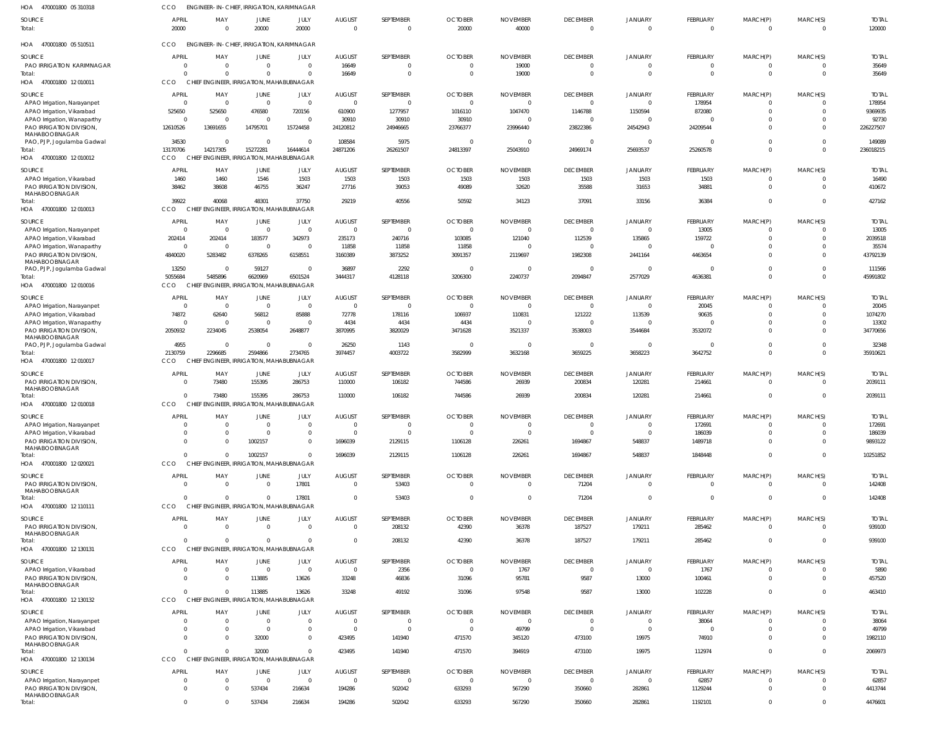| HOA 470001800 05 310318                                                  | CCO                            |                      |                                        | ENGINEER-IN-CHIEF, IRRIGATION, KARIMNAGAR            |                                 |                                  |                            |                             |                                   |                                  |                           |                             |                          |                         |
|--------------------------------------------------------------------------|--------------------------------|----------------------|----------------------------------------|------------------------------------------------------|---------------------------------|----------------------------------|----------------------------|-----------------------------|-----------------------------------|----------------------------------|---------------------------|-----------------------------|--------------------------|-------------------------|
| SOURCE<br>Total:                                                         | <b>APRIL</b><br>20000          | MAY<br>$\Omega$      | JUNE<br>20000                          | JULY<br>20000                                        | <b>AUGUST</b><br>$\overline{0}$ | SEPTEMBER<br>$\mathbf{0}$        | <b>OCTOBER</b><br>20000    | <b>NOVEMBER</b><br>40000    | <b>DECEMBER</b><br>$\overline{0}$ | JANUARY<br>$\overline{0}$        | FEBRUARY<br>$\mathbf 0$   | MARCH(P)<br>$\mathbf 0$     | MARCH(S)<br>$\Omega$     | <b>TOTAL</b><br>120000  |
| HOA 470001800 05 510511                                                  | <b>CCO</b>                     |                      |                                        | ENGINEER-IN-CHIEF, IRRIGATION, KARIMNAGAR            |                                 |                                  |                            |                             |                                   |                                  |                           |                             |                          |                         |
| SOURCE<br><b>PAO IRRIGATION KARIMNAGAR</b>                               | <b>APRIL</b><br>$\Omega$       | MAY<br>$\Omega$      | JUNE<br>$\overline{0}$                 | JULY<br>$\mathbf{0}$                                 | <b>AUGUST</b><br>16649          | SEPTEMBER<br>$\mathbf{0}$        | <b>OCTOBER</b><br>$\Omega$ | <b>NOVEMBER</b><br>19000    | <b>DECEMBER</b><br>$\overline{0}$ | JANUARY<br>$\mathbf{0}$          | FEBRUARY<br>$\mathbf{0}$  | MARCH(P)<br>$\mathbf{0}$    | MARCH(S)<br>$\Omega$     | <b>TOTAL</b><br>35649   |
| Total:<br>470001800 12 010011<br>HOA                                     | $\Omega$<br><b>CCO</b>         | $\cap$               | $\Omega$                               | $\Omega$<br>CHIEF ENGINEER, IRRIGATION, MAHABUBNAGAR | 16649                           | $\overline{0}$                   | $\Omega$                   | 19000                       | $\overline{0}$                    | $\overline{0}$                   | $\mathbf 0$               | $\mathbf 0$                 | $\Omega$                 | 35649                   |
| SOURCE                                                                   | <b>APRIL</b>                   | MAY                  | JUNE                                   | JULY                                                 | <b>AUGUST</b>                   | SEPTEMBER                        | <b>OCTOBER</b>             | <b>NOVEMBER</b>             | <b>DECEMBER</b>                   | JANUARY                          | FEBRUARY                  | MARCH(P)                    | MARCH(S)                 | <b>TOTAL</b>            |
| APAO Irrigation, Narayanpet<br>APAO Irrigation, Vikarabad                | $\overline{0}$<br>525650       | - 0<br>525650        | $\overline{0}$<br>476580               | $\mathbf 0$<br>720156                                | $\Omega$<br>610900              | $\mathbf{0}$<br>1277957          | $\Omega$<br>1016110        | $\Omega$<br>1047470         | $\overline{0}$<br>1146788         | $\overline{0}$<br>1150594        | 178954<br>872080          | $\mathbf 0$<br>$\mathbf{0}$ | $\Omega$<br>$\Omega$     | 178954<br>9369935       |
| APAO Irrigation, Wanaparthy<br>PAO IRRIGATION DIVISION,                  | $\overline{0}$<br>12610526     | $\Omega$<br>13691655 | $\overline{0}$<br>14795701             | $\mathbf 0$<br>15724458                              | 30910<br>24120812               | 30910<br>24946665                | 30910<br>23766377          | - 0<br>23996440             | $\overline{0}$<br>23822386        | $\overline{0}$<br>24542943       | $\Omega$<br>24209544      | $\mathbf{0}$<br>$\mathbf 0$ | $\Omega$<br>$\Omega$     | 92730<br>226227507      |
| MAHABOOBNAGAR<br>PAO, PJP, Jogulamba Gadwal                              | 34530                          | $\Omega$             | $\overline{0}$                         | $\Omega$                                             | 108584                          | 5975                             | $\Omega$                   | $\Omega$                    | $\overline{0}$                    | $\overline{0}$                   | $\mathbf 0$               | $\mathbf 0$                 | $\Omega$                 | 149089                  |
| Total:<br>HOA 470001800 12 010012                                        | 13170706<br><b>CCO</b>         | 14217305             | 15272281                               | 16444614<br>CHIEF ENGINEER, IRRIGATION, MAHABUBNAGAR | 24871206                        | 26261507                         | 24813397                   | 25043910                    | 24969174                          | 25693537                         | 25260578                  | $\mathbf 0$                 | $\Omega$                 | 236018215               |
| SOURCE                                                                   | <b>APRIL</b>                   | MAY                  | JUNE                                   | JULY                                                 | <b>AUGUST</b>                   | SEPTEMBER                        | <b>OCTOBER</b>             | <b>NOVEMBER</b>             | <b>DECEMBER</b>                   | JANUARY                          | FEBRUARY                  | MARCH(P)                    | MARCH(S)                 | <b>TOTAI</b>            |
| APAO Irrigation, Vikarabad<br>PAO IRRIGATION DIVISION,                   | 1460<br>38462                  | 1460<br>38608        | 1546<br>46755                          | 1503<br>36247                                        | 1503<br>27716                   | 1503<br>39053                    | 1503<br>49089              | 1503<br>32620               | 1503<br>35588                     | 1503<br>31653                    | 1503<br>34881             | $\mathbf{0}$<br>$\mathbf 0$ | $\Omega$<br>$\Omega$     | 16490<br>410672         |
| MAHABOOBNAGAR<br>Total:                                                  | 39922                          | 40068                | 48301                                  | 37750                                                | 29219                           | 40556                            | 50592                      | 34123                       | 37091                             | 33156                            | 36384                     | $\mathbf 0$                 | $\mathbf 0$              | 427162                  |
| HOA 470001800 12010013                                                   | CCO.                           |                      |                                        | CHIEF ENGINEER, IRRIGATION, MAHABUBNAGAR             |                                 |                                  |                            |                             |                                   |                                  |                           |                             |                          |                         |
| SOURCE<br>APAO Irrigation, Narayanpet                                    | <b>APRIL</b><br>$\overline{0}$ | MAY<br>$\mathsf{C}$  | JUNE<br>$\overline{0}$                 | JULY<br>$\mathbf 0$                                  | <b>AUGUST</b><br>$\Omega$       | SEPTEMBER<br>$\overline{0}$      | <b>OCTOBER</b><br>$\Omega$ | <b>NOVEMBER</b><br>$\Omega$ | <b>DECEMBER</b><br>$\overline{0}$ | JANUARY<br>$\overline{0}$        | FEBRUARY<br>13005         | MARCH(P)<br>$\mathbf 0$     | MARCH(S)<br>$\Omega$     | <b>TOTAI</b><br>13005   |
| APAO Irrigation, Vikarabad                                               | 202414                         | 202414               | 183577                                 | 342973                                               | 235173                          | 240716                           | 103085                     | 121040                      | 112539                            | 135865                           | 159722                    | $\mathbf 0$                 | $\Omega$                 | 2039518                 |
| APAO Irrigation, Wanaparthy<br>PAO IRRIGATION DIVISION,<br>MAHABOOBNAGAR | $\overline{0}$<br>4840020      | $\Omega$<br>5283482  | $\overline{0}$<br>6378265              | $\overline{0}$<br>6158551                            | 11858<br>3160389                | 11858<br>3873252                 | 11858<br>3091357           | $\Omega$<br>2119697         | $\overline{0}$<br>1982308         | $\overline{0}$<br>2441164        | $\overline{0}$<br>4463654 | $\mathbf 0$<br>$\mathbf 0$  | $\Omega$<br>$\Omega$     | 35574<br>43792139       |
| PAO, PJP, Jogulamba Gadwal                                               | 13250                          | - 0                  | 59127                                  | $\mathbf 0$                                          | 36897                           | 2292                             | - 0                        | $\Omega$                    | $\overline{0}$                    | $\overline{0}$                   | $\mathbf 0$               | $\mathbf 0$                 | $\Omega$                 | 111566                  |
| Total:<br>HOA 470001800 12010016                                         | 5055684<br>CCO                 | 5485896              | 6620969                                | 6501524<br>CHIEF ENGINEER, IRRIGATION, MAHABUBNAGAR  | 3444317                         | 4128118                          | 3206300                    | 2240737                     | 2094847                           | 2577029                          | 4636381                   | $\mathbf 0$                 | $\Omega$                 | 45991802                |
| SOURCE                                                                   | <b>APRIL</b>                   | MAY                  | JUNE                                   | JULY                                                 | <b>AUGUST</b>                   | SEPTEMBER                        | <b>OCTOBER</b>             | <b>NOVEMBER</b>             | <b>DECEMBER</b>                   | JANUARY                          | FEBRUARY                  | MARCH(P)                    | MARCH(S)                 | <b>TOTAI</b>            |
| APAO Irrigation, Narayanpet<br>APAO Irrigation, Vikarabad                | $\overline{0}$<br>74872        | $\Omega$<br>62640    | $\overline{0}$<br>56812                | $\mathbf 0$<br>85888                                 | $\Omega$<br>72778               | $\overline{0}$<br>178116         | $\Omega$<br>106937         | $\Omega$<br>110831          | $\overline{0}$<br>121222          | $\overline{0}$<br>113539         | 20045<br>90635            | - 0<br>$\mathbf 0$          | $\Omega$<br>$\mathbf 0$  | 20045<br>1074270        |
| APAO Irrigation, Wanaparthy                                              | $\overline{0}$                 | $\Omega$             | $\Omega$                               | $\mathbf{0}$                                         | 4434                            | 4434                             | 4434                       |                             | $\mathbf{0}$                      | $\Omega$                         |                           | $\mathbf 0$                 | $\Omega$                 | 13302                   |
| PAO IRRIGATION DIVISION,<br>MAHABOOBNAGAR                                | 2050932                        | 2234045              | 2538054                                | 2648877                                              | 3870995                         | 3820029                          | 3471628                    | 3521337                     | 3538003                           | 3544684                          | 3532072                   | $\mathbf 0$                 | $\Omega$                 | 34770656                |
| PAO, PJP, Jogulamba Gadwal<br>Total:                                     | 4955<br>2130759                | $\Omega$<br>2296685  | $\Omega$<br>2594866                    | $\Omega$<br>2734765                                  | 26250<br>3974457                | 1143<br>4003722                  | 3582999                    | - 0<br>3632168              | $\overline{0}$<br>3659225         | $\overline{0}$<br>3658223        | $\Omega$<br>3642752       | $\mathbf 0$<br>$\mathbf 0$  | $\mathbf 0$<br>$\Omega$  | 32348<br>35910621       |
| HOA 470001800 12 010017                                                  | CCO                            |                      |                                        | CHIEF ENGINEER, IRRIGATION, MAHABUBNAGAR             |                                 |                                  |                            |                             |                                   |                                  |                           |                             |                          |                         |
| SOURCE<br>PAO IRRIGATION DIVISION,                                       | <b>APRIL</b><br>$\overline{0}$ | MAY<br>73480         | JUNE<br>155395                         | JULY<br>286753                                       | <b>AUGUST</b><br>110000         | SEPTEMBER<br>106182              | <b>OCTOBER</b><br>744586   | <b>NOVEMBER</b><br>26939    | <b>DECEMBER</b><br>200834         | JANUARY<br>120281                | FEBRUARY<br>214661        | MARCH(P)<br>$\mathbf 0$     | MARCH(S)<br>$\Omega$     | <b>TOTAL</b><br>2039111 |
| MAHABOOBNAGAR<br>Total:<br>HOA 470001800 12 010018                       | $\Omega$<br>CCO                | 73480                | 155395                                 | 286753<br>CHIEF ENGINEER, IRRIGATION, MAHABUBNAGAR   | 110000                          | 106182                           | 744586                     | 26939                       | 200834                            | 120281                           | 214661                    | $\mathbf 0$                 | $\Omega$                 | 2039111                 |
| SOURCE                                                                   | <b>APRIL</b>                   | MAY                  | JUNE                                   | JULY                                                 | <b>AUGUST</b>                   | SEPTEMBER                        | <b>OCTOBER</b>             | <b>NOVEMBER</b>             | <b>DECEMBER</b>                   | <b>JANUARY</b>                   | FEBRUARY                  | MARCH(P)                    | MARCH(S)                 | <b>TOTAL</b>            |
| APAO Irrigation, Narayanpet                                              | $\overline{0}$                 | $\Omega$             | $\overline{0}$                         | $\mathbf 0$                                          | $\Omega$                        | $\overline{0}$                   | $\Omega$                   | $\Omega$                    | $\overline{0}$                    | $\overline{0}$                   | 172691                    | $\mathbf{0}$                |                          | 172691                  |
| APAO Irrigation, Vikarabad<br>PAO IRRIGATION DIVISION,                   | $\overline{0}$<br>$\Omega$     | $\Omega$             | $\Omega$<br>1002157                    | $\mathbf{0}$<br>$\mathbf{0}$                         | $\Omega$<br>1696039             | $\mathbf{0}$<br>2129115          | $\Omega$<br>1106128        | $\Omega$<br>226261          | $\overline{0}$<br>1694867         | $\overline{0}$<br>548837         | 186039<br>1489718         | $\mathbf 0$<br>$\Omega$     | $\Omega$<br>$\Omega$     | 186039<br>9893122       |
| MAHABOOBNAGAR<br>Total:                                                  | $\Omega$                       |                      | 1002157                                | $\Omega$                                             | 1696039                         | 2129115                          | 1106128                    | 226261                      | 1694867                           | 548837                           | 1848448                   | $\mathbf 0$                 | $\Omega$                 | 10251852                |
| HOA 470001800 12 020021                                                  | CCO                            |                      |                                        | CHIEF ENGINEER, IRRIGATION, MAHABUBNAGAR             |                                 |                                  |                            |                             |                                   |                                  |                           |                             |                          |                         |
| SOURCE<br>PAO IRRIGATION DIVISION,                                       | <b>APRIL</b><br>$\overline{0}$ | MAY<br>$\Omega$      | JUNE<br>$\overline{0}$                 | JULY<br>17801                                        | <b>AUGUST</b><br>$\Omega$       | SEPTEMBER<br>53403               | <b>OCTOBER</b><br>$\Omega$ | <b>NOVEMBER</b><br>$\Omega$ | <b>DECEMBER</b><br>71204          | <b>JANUARY</b><br>$\overline{0}$ | FEBRUARY<br>$\mathbf 0$   | MARCH(P)<br>$\mathbf{0}$    | MARCH(S)<br>$\Omega$     | <b>TOTAL</b><br>142408  |
| MAHABOOBNAGAR<br>Total:                                                  | $\Omega$                       | $\Omega$             | $\Omega$                               | 17801                                                | $\Omega$                        | 53403                            | $\Omega$                   | $\Omega$                    | 71204                             | $\overline{0}$                   | $\mathbf{0}$              | $\mathbf 0$                 | $\Omega$                 | 142408                  |
| HOA 470001800 12 110111                                                  | CCO                            |                      |                                        | CHIEF ENGINEER, IRRIGATION, MAHABUBNAGAR             |                                 |                                  |                            |                             |                                   |                                  |                           |                             |                          |                         |
| SOURCE<br>PAO IRRIGATION DIVISION,                                       | <b>APRIL</b><br>$\Omega$       | MAY<br>$\Omega$      | JUNE<br>$\overline{0}$                 | JULY<br>$\mathbf 0$                                  | <b>AUGUST</b><br>$\Omega$       | SEPTEMBER<br>208132              | <b>OCTOBER</b><br>42390    | <b>NOVEMBER</b><br>36378    | <b>DECEMBER</b><br>187527         | JANUARY<br>179211                | FEBRUARY<br>285462        | MARCH(P)<br>$\mathbf 0$     | MARCH(S)<br>$\Omega$     | <b>TOTAL</b><br>939100  |
| MAHABOOBNAGAR<br>Total:                                                  | $\Omega$                       | $\Omega$             | $\Omega$                               | $\mathbf 0$                                          | $\Omega$                        | 208132                           | 42390                      | 36378                       | 187527                            | 179211                           | 285462                    | $\mathbf 0$                 | $\Omega$                 | 939100                  |
| HOA 470001800 12 130131                                                  | CCO                            |                      |                                        | CHIEF ENGINEER, IRRIGATION, MAHABUBNAGAR             |                                 |                                  |                            |                             |                                   |                                  |                           |                             |                          |                         |
| SOURCE<br>APAO Irrigation, Vikarabad                                     | <b>APRIL</b><br>0              | MAY<br>$\Omega$      | <b>JUNE</b><br>$\overline{\mathbf{0}}$ | JULY<br>$\mathbf 0$                                  | <b>AUGUST</b><br>$\Omega$       | SEPTEMBER<br>2356                | <b>OCTOBER</b><br>$\Omega$ | <b>NOVEMBER</b><br>1767     | <b>DECEMBER</b><br>$\overline{0}$ | JANUARY<br>$\mathbf 0$           | FEBRUARY<br>1767          | MARCH(P)<br>0               | MARCH(S)<br>$\Omega$     | <b>TOTAL</b><br>5890    |
| PAO IRRIGATION DIVISION,<br>MAHABOOBNAGAR                                | $\Omega$                       | $\Omega$             | 113885                                 | 13626                                                | 33248                           | 46836                            | 31096                      | 95781                       | 9587                              | 13000                            | 100461                    | $\mathbf 0$                 | $\Omega$                 | 457520                  |
| Total:<br>HOA 470001800 12 130132                                        | $\Omega$<br>CCO                |                      | 113885                                 | 13626<br>CHIEF ENGINEER, IRRIGATION, MAHABUBNAGAR    | 33248                           | 49192                            | 31096                      | 97548                       | 9587                              | 13000                            | 102228                    | $\mathbf{0}$                | $\mathbf 0$              | 463410                  |
| SOURCE                                                                   | <b>APRIL</b>                   | MAY                  | JUNE                                   | JULY                                                 | <b>AUGUST</b>                   | SEPTEMBER                        | <b>OCTOBER</b>             | <b>NOVEMBER</b>             | <b>DECEMBER</b>                   | <b>JANUARY</b>                   | FEBRUARY                  | MARCH(P)                    | MARCH(S)                 | <b>TOTAL</b>            |
| APAO Irrigation, Narayanpet                                              | $\Omega$<br>$\Omega$           | $\Omega$             | $\Omega$<br>$\overline{0}$             | $\mathbf{0}$<br>$\mathbf{0}$                         | $\Omega$<br>$\Omega$            | $\overline{0}$<br>$\overline{0}$ | $\Omega$<br>$\Omega$       | $\Omega$<br>49799           | $\overline{0}$<br>$\overline{0}$  | $\mathbf{0}$<br>$\overline{0}$   | 38064<br>- 0              | - 0<br>$\overline{0}$       | <sup>0</sup><br>$\Omega$ | 38064<br>49799          |
| APAO Irrigation, Vikarabad<br>PAO IRRIGATION DIVISION,<br>MAHABOOBNAGAR  | $\Omega$                       |                      | 32000                                  | $\mathbf{0}$                                         | 423495                          | 141940                           | 471570                     | 345120                      | 473100                            | 19975                            | 74910                     | $\Omega$                    | $\Omega$                 | 1982110                 |
| Total:<br>HOA 470001800 12 130134                                        | $\Omega$<br>CCO                |                      | 32000                                  | $\Omega$<br>CHIEF ENGINEER, IRRIGATION, MAHABUBNAGAR | 423495                          | 141940                           | 471570                     | 394919                      | 473100                            | 19975                            | 112974                    | $\mathbf 0$                 | $\mathbf 0$              | 2069973                 |
| SOURCE                                                                   | <b>APRIL</b>                   | MAY                  | JUNE                                   | JULY                                                 | <b>AUGUST</b>                   | SEPTEMBER                        | <b>OCTOBER</b>             | <b>NOVEMBER</b>             | <b>DECEMBER</b>                   | <b>JANUARY</b>                   | FEBRUARY                  | MARCH(P)                    | MARCH(S)                 | <b>TOTAL</b>            |
| APAO Irrigation, Narayanpet                                              | 0                              | $\Omega$             | $\overline{0}$                         | $\mathbf{0}$                                         | $\Omega$                        | $\mathbf 0$                      | $\Omega$                   | $\Omega$                    | $\overline{0}$                    | $\mathbf 0$                      | 62857                     | $\mathbf{0}$                | $\Omega$                 | 62857                   |
| PAO IRRIGATION DIVISION,<br>MAHABOOBNAGAR                                | $\overline{0}$                 |                      | 537434                                 | 216634                                               | 194286                          | 502042                           | 633293                     | 567290                      | 350660                            | 282861                           | 1129244                   | $\mathbf{0}$                | $\Omega$                 | 4413744                 |
| Total:                                                                   | $\overline{0}$                 |                      | 537434                                 | 216634                                               | 194286                          | 502042                           | 633293                     | 567290                      | 350660                            | 282861                           | 1192101                   | $\mathbf{0}$                | $\mathbf 0$              | 4476601                 |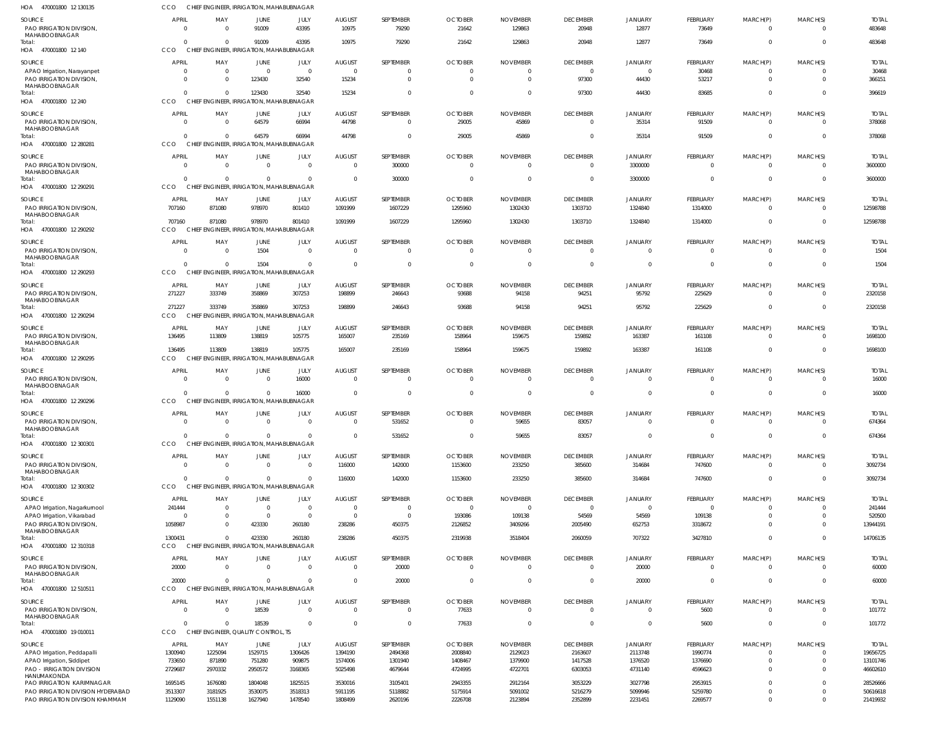| 470001800 12 130135<br>HOA                                           | CCO                | CHIEF ENGINEER, IRRIGATION, MAHABUBNAGAR             |                            |                            |                                  |                             |                          |                           |                           |                          |                          |                            |                            |                         |
|----------------------------------------------------------------------|--------------------|------------------------------------------------------|----------------------------|----------------------------|----------------------------------|-----------------------------|--------------------------|---------------------------|---------------------------|--------------------------|--------------------------|----------------------------|----------------------------|-------------------------|
| <b>SOURCE</b><br>PAO IRRIGATION DIVISION,                            | <b>APRIL</b>       | MAY                                                  | <b>JUNE</b><br>91009       | JULY<br>43395              | <b>AUGUST</b><br>10975           | SEPTEMBER<br>79290          | <b>OCTOBER</b><br>21642  | <b>NOVEMBER</b><br>129863 | <b>DECEMBER</b><br>20948  | <b>JANUARY</b><br>12877  | FEBRUARY<br>73649        | MARCH(P)<br>$\overline{0}$ | MARCH(S)<br>$\overline{0}$ | <b>TOTAL</b><br>483648  |
| MAHABOOBNAGAR<br>Total:<br>HOA 470001800 12 140                      | CCO                | CHIEF ENGINEER, IRRIGATION, MAHABUBNAGAR             | 91009                      | 43395                      | 10975                            | 79290                       | 21642                    | 129863                    | 20948                     | 12877                    | 73649                    | $\overline{0}$             | $\Omega$                   | 483648                  |
| <b>SOURCE</b>                                                        | <b>APRIL</b>       | MAY                                                  | JUNE                       | JULY                       | <b>AUGUST</b>                    | SEPTEMBER                   | <b>OCTOBER</b>           | <b>NOVEMBER</b>           | <b>DECEMBER</b>           | <b>JANUARY</b>           | FEBRUARY                 | MARCH(P)                   | MARCH(S)                   | <b>TOTAL</b>            |
| APAO Irrigation, Narayanpet                                          | - 0                | $\Omega$                                             | $\Omega$                   | $\overline{0}$             | $\Omega$                         | $\mathbf{0}$                | $\Omega$                 |                           | $\overline{0}$            | $\mathbf 0$              | 30468                    | 0                          | $\overline{0}$             | 30468                   |
| PAO IRRIGATION DIVISION,                                             | $\Omega$           | $\Omega$                                             | 123430                     | 32540                      | 15234                            | $\Omega$                    | $\Omega$                 | $\Omega$                  | 97300                     | 44430                    | 53217                    | $\mathbf 0$                | $\Omega$                   | 366151                  |
| MAHABOOBNAGAR<br>Total:                                              |                    | $\Omega$                                             | 123430                     | 32540                      | 15234                            | $\Omega$                    | $\Omega$                 |                           | 97300                     | 44430                    | 83685                    | $\mathbf{0}$               | $\Omega$                   | 396619                  |
| HOA 470001800 12 240                                                 | CCO                | CHIEF ENGINEER, IRRIGATION, MAHABUBNAGAR             |                            |                            |                                  |                             |                          |                           |                           |                          |                          |                            |                            |                         |
| <b>SOURCE</b>                                                        | APRIL              | MAY                                                  | JUNE                       | JULY                       | <b>AUGUST</b>                    | SEPTEMBER                   | <b>OCTOBER</b>           | <b>NOVEMBER</b>           | <b>DECEMBER</b>           | <b>JANUARY</b>           | FEBRUARY                 | MARCH(P)                   | MARCH(S)                   | <b>TOTAL</b>            |
| PAO IRRIGATION DIVISION,<br>MAHABOOBNAGAR                            |                    |                                                      | 64579                      | 66994                      | 44798                            | $\mathbf 0$                 | 29005                    | 45869                     | $\overline{0}$            | 35314                    | 91509                    | $\mathbf 0$                | $\overline{0}$             | 378068                  |
| Total:<br>HOA 470001800 12 280281                                    | CCO                | $\Omega$<br>CHIEF ENGINEER, IRRIGATION, MAHABUBNAGAR | 64579                      | 66994                      | 44798                            | $\Omega$                    | 29005                    | 45869                     | $\overline{\mathbf{0}}$   | 35314                    | 91509                    | $\overline{0}$             | $\Omega$                   | 378068                  |
| <b>SOURCE</b>                                                        | APRIL              | MAY                                                  | <b>JUNE</b>                | JULY                       | <b>AUGUST</b>                    | SEPTEMBER                   | <b>OCTOBER</b>           | <b>NOVEMBER</b>           | <b>DECEMBER</b>           | <b>JANUARY</b>           | FEBRUARY                 | MARCH(P)                   | MARCH(S)                   | <b>TOTAL</b>            |
| PAO IRRIGATION DIVISION,                                             | $\Omega$           | $\Omega$                                             | $\mathbf{0}$               | $\mathbf 0$                | $\Omega$                         | 300000                      | $\Omega$                 | $\Omega$                  | $\overline{0}$            | 3300000                  | $\overline{0}$           | $\overline{0}$             | $\overline{0}$             | 3600000                 |
| MAHABOOBNAGAR<br>Total:                                              |                    | $\Omega$                                             | $\Omega$                   | $\mathbf{0}$               | $\Omega$                         | 300000                      | $\Omega$                 |                           | $\overline{\mathbf{0}}$   | 3300000                  | $\mathbf{0}$             | $\overline{0}$             | $\overline{\mathbf{0}}$    | 3600000                 |
| HOA 470001800 12 290291                                              | CCO                | CHIEF ENGINEER, IRRIGATION, MAHABUBNAGAR             |                            |                            |                                  |                             |                          |                           |                           |                          |                          |                            |                            |                         |
| <b>SOURCE</b>                                                        | APRIL              | MAY                                                  | <b>JUNE</b>                | JULY                       | <b>AUGUST</b>                    | SEPTEMBER                   | <b>OCTOBER</b>           | <b>NOVEMBER</b>           | <b>DECEMBER</b>           | <b>JANUARY</b>           | FEBRUARY                 | MARCH(P)                   | MARCH(S)                   | <b>TOTAL</b>            |
| PAO IRRIGATION DIVISION,                                             | 707160             | 871080                                               | 978970                     | 801410                     | 1091999                          | 1607229                     | 1295960                  | 1302430                   | 1303710                   | 1324840                  | 1314000                  | $\overline{0}$             | $\Omega$                   | 12598788                |
| MAHABOOBNAGAR<br>Total:<br>HOA 470001800 12 290292                   | 707160<br>CCO      | 871080<br>CHIEF ENGINEER, IRRIGATION, MAHABUBNAGAR   | 978970                     | 801410                     | 1091999                          | 1607229                     | 1295960                  | 1302430                   | 1303710                   | 1324840                  | 1314000                  | $\overline{0}$             | $\overline{\mathbf{0}}$    | 12598788                |
| <b>SOURCE</b>                                                        | <b>APRIL</b>       | MAY                                                  | <b>JUNE</b>                | JULY                       | <b>AUGUST</b>                    | SEPTEMBER                   | <b>OCTOBER</b>           | <b>NOVEMBER</b>           | <b>DECEMBER</b>           | <b>JANUARY</b>           | <b>FEBRUARY</b>          | MARCH(P)                   | MARCH(S)                   | <b>TOTAL</b>            |
| PAO IRRIGATION DIVISION,                                             | -C                 | $\Omega$                                             | 1504                       | $\mathbf{0}$               | $\Omega$                         | $\Omega$                    | $\Omega$                 | $\Omega$                  | $\overline{0}$            | $\Omega$                 | $\overline{0}$           | $\overline{0}$             | $\Omega$                   | 1504                    |
| MAHABOOBNAGAR<br>Total:                                              |                    | $\Omega$                                             | 1504                       | $\Omega$                   | $\Omega$                         | $\mathbf 0$                 | $\Omega$                 |                           | $\overline{\mathbf{0}}$   | $\mathbf{0}$             | $\overline{0}$           | $\overline{0}$             | $\overline{0}$             | 1504                    |
| HOA 470001800 12 290293                                              | CCO                | CHIEF ENGINEER, IRRIGATION, MAHABUBNAGAR             |                            |                            |                                  |                             |                          |                           |                           |                          |                          |                            |                            |                         |
| <b>SOURCE</b>                                                        | APRIL              | MAY                                                  | <b>JUNE</b>                | JULY                       | <b>AUGUST</b>                    | SEPTEMBER                   | <b>OCTOBER</b>           | <b>NOVEMBER</b>           | <b>DECEMBER</b>           | <b>JANUARY</b>           | <b>FEBRUARY</b>          | MARCH(P)                   | MARCH(S)                   | <b>TOTAL</b>            |
| PAO IRRIGATION DIVISION,<br>MAHABOOBNAGAR                            | 271227             | 333749                                               | 358869                     | 307253                     | 198899                           | 246643                      | 93688                    | 94158                     | 94251                     | 95792                    | 225629                   | 0                          | $\overline{0}$             | 2320158                 |
| Total:<br>HOA 470001800 12 290294                                    | 271227<br>CCO      | 333749<br>CHIEF ENGINEER, IRRIGATION, MAHABUBNAGAR   | 358869                     | 307253                     | 198899                           | 246643                      | 93688                    | 94158                     | 94251                     | 95792                    | 225629                   | $\overline{0}$             | $\Omega$                   | 2320158                 |
|                                                                      |                    |                                                      |                            |                            |                                  |                             |                          |                           |                           |                          |                          |                            |                            |                         |
| <b>SOURCE</b><br>PAO IRRIGATION DIVISION,<br>MAHABOOBNAGAR           | APRIL<br>136495    | MAY<br>113809                                        | <b>JUNE</b><br>138819      | JULY<br>105775             | <b>AUGUST</b><br>165007          | SEPTEMBER<br>235169         | <b>OCTOBER</b><br>158964 | <b>NOVEMBER</b><br>159675 | <b>DECEMBER</b><br>159892 | <b>JANUARY</b><br>163387 | FEBRUARY<br>161108       | MARCH(P)<br>0              | MARCH(S)<br>$\Omega$       | <b>TOTAL</b><br>1698100 |
| Total:                                                               | 136495             | 113809                                               | 138819                     | 105775                     | 165007                           | 235169                      | 158964                   | 159675                    | 159892                    | 163387                   | 161108                   | $\mathbf 0$                | $\Omega$                   | 1698100                 |
| HOA 470001800 12 290295                                              | cco                | CHIEF ENGINEER, IRRIGATION, MAHABUBNAGAR             |                            |                            |                                  |                             |                          |                           |                           |                          |                          |                            |                            |                         |
| <b>SOURCE</b>                                                        | <b>APRIL</b>       | MAY                                                  | <b>JUNE</b>                | JULY                       | <b>AUGUST</b>                    | SEPTEMBER                   | <b>OCTOBER</b>           | <b>NOVEMBER</b>           | <b>DECEMBER</b>           | <b>JANUARY</b>           | FEBRUARY                 | MARCH(P)                   | MARCH(S)                   | <b>TOTAL</b>            |
| PAO IRRIGATION DIVISION,<br>MAHABOOBNAGAR                            |                    | $\Omega$                                             | 0                          | 16000                      | $\overline{0}$                   | $\mathbf 0$                 | $\Omega$                 | - 0                       | $\overline{0}$            | $\mathbf 0$              | $\overline{0}$           | $\overline{0}$             | $\overline{0}$             | 16000                   |
| Total:                                                               |                    | $\Omega$                                             | $\Omega$                   | 16000                      | $\Omega$                         | $\mathbf{0}$                | $\Omega$                 | $\Omega$                  | $\overline{0}$            | $\overline{0}$           | $\mathbf 0$              | $\mathbf{0}$               | $\Omega$                   | 16000                   |
| HOA 470001800 12 290296                                              | <b>CCO</b>         | CHIEF ENGINEER, IRRIGATION, MAHABUBNAGAR             |                            |                            |                                  |                             |                          |                           |                           |                          |                          |                            |                            |                         |
| <b>SOURCE</b>                                                        | <b>APRIL</b>       | MAY                                                  | <b>JUNE</b>                | JULY                       | <b>AUGUST</b>                    | <b>SEPTEMBER</b>            | <b>OCTOBER</b>           | <b>NOVEMBER</b>           | <b>DECEMBER</b>           | <b>JANUARY</b>           | FEBRUARY                 | MARCH(P)                   | MARCH(S)                   | <b>TOTAL</b>            |
| PAO IRRIGATION DIVISION,<br>MAHABOOBNAGAR                            | $\Omega$           | $\Omega$                                             | $\Omega$                   | $\Omega$                   | $\mathbf 0$                      | 531652                      | $\Omega$                 | 59655                     | 83057                     | $\Omega$                 | $\mathbf{0}$             | $\overline{0}$             | $\overline{0}$             | 674364                  |
| Total:                                                               | $\Omega$           | $\Omega$                                             | $\Omega$                   | $\mathbf{0}$               | $\Omega$                         | 531652                      | $\Omega$                 | 59655                     | 83057                     | $\overline{0}$           | $\mathbf 0$              | $\overline{0}$             | $\overline{0}$             | 674364                  |
| HOA 470001800 12 300301                                              | CCO                | CHIEF ENGINEER, IRRIGATION, MAHABUBNAGAR             |                            |                            |                                  |                             |                          |                           |                           |                          |                          |                            |                            |                         |
| <b>SOURCE</b>                                                        | <b>APRIL</b>       | MAY                                                  | <b>JUNE</b>                | JULY                       | <b>AUGUST</b>                    | SEPTEMBER                   | <b>OCTOBER</b>           | <b>NOVEMBER</b>           | <b>DECEMBER</b>           | <b>JANUARY</b>           | FEBRUARY                 | MARCH(P)                   | MARCH(S)                   | <b>TOTAL</b>            |
| PAO IRRIGATION DIVISION,<br>MAHABOOBNAGAR                            | $\Omega$           | $\Omega$                                             | $\mathbf 0$                | $\mathbf 0$                | 116000                           | 142000                      | 1153600                  | 233250                    | 385600                    | 314684                   | 747600                   | $\overline{0}$             | $\overline{0}$             | 3092734                 |
| Total:                                                               | $\Omega$           | $\Omega$                                             | $\mathbf 0$                | $\mathbf{0}$               | 116000                           | 142000                      | 1153600                  | 233250                    | 385600                    | 314684                   | 747600                   | $\overline{0}$             | $\overline{0}$             | 3092734                 |
| HOA 470001800 12 300302                                              | CCO                | CHIEF ENGINEER, IRRIGATION, MAHABUBNAGAR             |                            |                            |                                  |                             |                          |                           |                           |                          |                          |                            |                            |                         |
| SOURCE                                                               | APRIL              | MAY                                                  | JUNE                       | JULY                       | <b>AUGUST</b>                    | SEPTEMBER                   | <b>OCTOBER</b>           | <b>NOVEMBER</b>           | <b>DECEMBER</b>           | <b>JANUARY</b>           | FEBRUARY                 | MARCH(P)                   | MARCH(S)                   | <b>TOTAL</b>            |
| APAO Irrigation, Nagarkurnool<br>APAO Irrigation, Vikarabad          | 241444<br>$\Omega$ | $\Omega$<br>$\mathbf{0}$                             | $\mathbf 0$<br>$\mathbf 0$ | $\mathbf 0$<br>$\mathbf 0$ | $\overline{0}$<br>$\overline{0}$ | $\mathbf{0}$<br>$\mathbf 0$ | $\Omega$<br>193086       | $\Omega$<br>109138        | $\overline{0}$<br>54569   | $\mathbf 0$<br>54569     | $\overline{0}$<br>109138 | 0<br>$\mathbf 0$           | $\Omega$<br>$\overline{0}$ | 241444<br>520500        |
| PAO IRRIGATION DIVISION,                                             | 1058987            | $\Omega$                                             | 423330                     | 260180                     | 238286                           | 450375                      | 2126852                  | 3409266                   | 2005490                   | 652753                   | 3318672                  | $\mathbf 0$                | $\Omega$                   | 13944191                |
| MAHABOOBNAGAR                                                        |                    |                                                      |                            |                            |                                  |                             |                          |                           |                           |                          |                          |                            |                            |                         |
| Total:<br>HOA 470001800 12 310318                                    | 1300431<br>CCO     | $\Omega$<br>CHIEF ENGINEER, IRRIGATION, MAHABUBNAGAR | 423330                     | 260180                     | 238286                           | 450375                      | 2319938                  | 3518404                   | 2060059                   | 707322                   | 3427810                  | $\mathbf 0$                | $\overline{0}$             | 14706135                |
| SOURCE                                                               | <b>APRIL</b>       | MAY                                                  | <b>JUNE</b>                | JULY                       | <b>AUGUST</b>                    | SEPTEMBER                   | <b>OCTOBER</b>           | <b>NOVEMBER</b>           | <b>DECEMBER</b>           | <b>JANUARY</b>           | FEBRUARY                 | MARCH(P)                   | MARCH(S)                   | <b>TOTAL</b>            |
| PAO IRRIGATION DIVISION,                                             | 20000              | $\Omega$                                             | $\mathbf{0}$               | $\mathbf 0$                | $\overline{0}$                   | 20000                       | $\overline{0}$           | $\Omega$                  | $\overline{0}$            | 20000                    | $\mathbf 0$              | $\mathbf 0$                | $\Omega$                   | 60000                   |
| MAHABOOBNAGAR<br>Total:                                              | 20000              | $\Omega$                                             | $\mathbf 0$                | $\mathbf 0$                | $\mathbf 0$                      | 20000                       | $\overline{0}$           | $\Omega$                  | $\overline{0}$            | 20000                    | $\overline{0}$           | $\overline{0}$             | $\overline{0}$             | 60000                   |
| HOA 470001800 12 510511                                              | CCO                | CHIEF ENGINEER, IRRIGATION, MAHABUBNAGAR             |                            |                            |                                  |                             |                          |                           |                           |                          |                          |                            |                            |                         |
| <b>SOURCE</b>                                                        | <b>APRIL</b>       | MAY                                                  | JUNE                       | JULY                       | <b>AUGUST</b>                    | SEPTEMBER                   | <b>OCTOBER</b>           | <b>NOVEMBER</b>           | <b>DECEMBER</b>           | <b>JANUARY</b>           | FEBRUARY                 | MARCH(P)                   | MARCH(S)                   | <b>TOTAL</b>            |
| PAO IRRIGATION DIVISION,                                             | $\Omega$           | $\Omega$                                             | 18539                      | $\mathbf 0$                | $\Omega$                         | $\mathbf 0$                 | 77633                    | $\Omega$                  | $\overline{0}$            | $\mathbf{0}$             | 5600                     | $\overline{0}$             | $\overline{0}$             | 101772                  |
| MAHABOOBNAGAR<br>Total:                                              |                    | $\Omega$                                             | 18539                      | $\mathbf 0$                | $\Omega$                         | $\mathbf 0$                 | 77633                    | $\Omega$                  | $\overline{0}$            | $\overline{0}$           | 5600                     | $\overline{0}$             | $\overline{0}$             | 101772                  |
| HOA 470001800 19 010011                                              | CCO                | CHIEF ENGINEER, QUALITY CONTROL, TS                  |                            |                            |                                  |                             |                          |                           |                           |                          |                          |                            |                            |                         |
| SOURCE                                                               | <b>APRIL</b>       | MAY                                                  | JUNE                       | JULY                       | <b>AUGUST</b>                    | SEPTEMBER                   | <b>OCTOBER</b>           | <b>NOVEMBER</b>           | <b>DECEMBER</b>           | <b>JANUARY</b>           | FEBRUARY                 | MARCH(P)                   | MARCH(S)                   | <b>TOTAL</b>            |
| APAO Irrigation, Peddapalli                                          | 1300940            | 1225094                                              | 1529715                    | 1306426                    | 1394190                          | 2494368                     | 2008840                  | 2129023                   | 2163607                   | 2113748                  | 1990774                  | $\overline{0}$             | $\overline{0}$             | 19656725                |
| APAO Irrigation, Siddipet                                            | 733650             | 871890                                               | 751280                     | 909875                     | 1574006                          | 1301940                     | 1408467                  | 1379900                   | 1417528                   | 1376520                  | 1376690                  | $\overline{0}$             | $\overline{0}$             | 13101746                |
| <b>PAO - IRRIGATION DIVISION</b><br><b>HANUMAKONDA</b>               | 2729687            | 2970332                                              | 2950572                    | 3168365                    | 5025498                          | 4679644                     | 4724995                  | 4722701                   | 6303053                   | 4731140                  | 4596623                  | $\mathbf{0}$               | $\overline{0}$             | 46602610                |
| <b>PAO IRRIGATION KARIMNAGAR</b>                                     | 1695145            | 1676080                                              | 1804048                    | 1825515                    | 3530016                          | 3105401                     | 2943355                  | 2912164                   | 3053229                   | 3027798                  | 2953915                  | $\overline{0}$             | $\overline{0}$             | 28526666                |
| PAO IRRIGATION DIVISION HYDERABAD<br>PAO IRRIGATION DIVISION KHAMMAM | 3513307<br>1129090 | 3181925<br>1551138                                   | 3530075<br>1627940         | 3518313<br>1478540         | 5911195<br>1808499               | 5118882<br>2620196          | 5175914<br>2226708       | 5091002<br>2123894        | 5216279<br>2352899        | 5099946<br>2231451       | 5259780<br>2269577       | $\mathbf 0$<br>$\mathbf 0$ | $\overline{0}$<br>$\Omega$ | 50616618<br>21419932    |
|                                                                      |                    |                                                      |                            |                            |                                  |                             |                          |                           |                           |                          |                          |                            |                            |                         |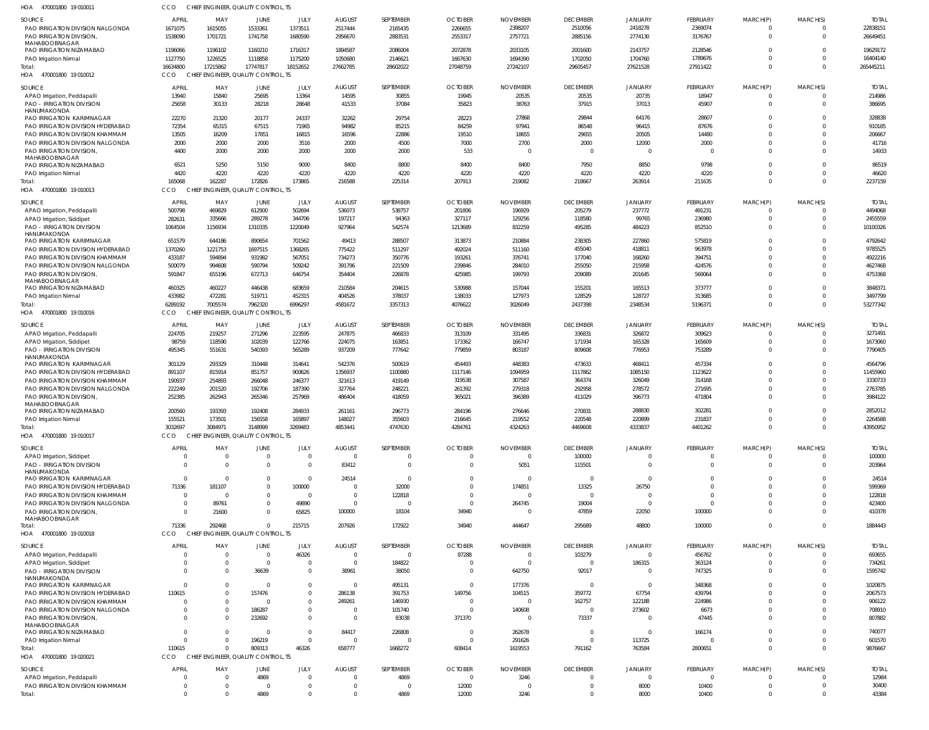| HOA 470001800 19 010011                                              | CCO                    | CHIEF ENGINEER, QUALITY CONTROL, TS             |                   |                      |                         |                       |                          |                                   |                           |                          |                      |                         |                      |                         |
|----------------------------------------------------------------------|------------------------|-------------------------------------------------|-------------------|----------------------|-------------------------|-----------------------|--------------------------|-----------------------------------|---------------------------|--------------------------|----------------------|-------------------------|----------------------|-------------------------|
| <b>SOURCE</b>                                                        | <b>APRIL</b>           | MAY                                             | JUNE              | JULY                 | <b>AUGUST</b>           | SEPTEMBER             | <b>OCTOBER</b>           | <b>NOVEMBER</b>                   | <b>DECEMBER</b>           | <b>JANUARY</b>           | <b>FEBRUARY</b>      | MARCH(P)                | MARCH(S)             | <b>TOTAL</b>            |
| PAO IRRIGATION DIVISION NALGONDA                                     | 1671075                | 1615055                                         | 1533361           | 1373511              | 2517444                 | 2165435               | 2266655                  | 2398207                           | 2510056                   | 2418278                  | 2369074              | 0                       | $\Omega$             | 22838151                |
| PAO IRRIGATION DIVISION,<br>MAHABOOBNAGAR                            | 1538090                | 1701721                                         | 1741758           | 1680590              | 2956670                 | 2883531               | 2553317                  | 2757721                           | 2885156                   | 2774130                  | 3176767              | $\mathbf 0$             | $\Omega$             | 26649451                |
| PAO IRRIGATION NIZAMABAD                                             | 1196066                | 1196102                                         | 1160210           | 1716317              | 1894587                 | 2086004               | 2072878                  | 2033105                           | 2001600                   | 2143757                  | 2128546              | $\mathbf 0$             | $\Omega$             | 19629172                |
| PAO Irrigation Nirmal                                                | 1127750                | 1226525                                         | 1118858           | 1175200              | 1050680                 | 2146621               | 1667630                  | 1694390                           | 1702050                   | 1704760                  | 1789676              | $\Omega$                | $\Omega$             | 16404140                |
| Total:<br>HOA 470001800 19 010012                                    | 16634800<br>CCO        | 17215862<br>CHIEF ENGINEER, QUALITY CONTROL, TS | 17747817          | 18152652             | 27662785                | 28602022              | 27048759                 | 27242107                          | 29605457                  | 27621528                 | 27911422             | $\mathbf 0$             | $\overline{0}$       | 265445211               |
| SOURCE                                                               | <b>APRIL</b>           | MAY                                             | JUNE              | JULY                 | <b>AUGUST</b>           | SEPTEMBER             | <b>OCTOBER</b>           | <b>NOVEMBER</b>                   | <b>DECEMBER</b>           | <b>JANUARY</b>           | <b>FEBRUARY</b>      | MARCH(P)                | MARCH(S)             | <b>TOTAL</b>            |
| APAO Irrigation, Peddapalli                                          | 13940                  | 15840                                           | 25695             | 13364                | 14595                   | 30855                 | 19945                    | 20535                             | 20535                     | 20735                    | 18947                | 0                       | $\Omega$             | 214986                  |
| PAO - IRRIGATION DIVISION                                            | 25658                  | 30133                                           | 28218             | 28648                | 41533                   | 37084                 | 35823                    | 38763                             | 37915                     | 37013                    | 45907                | $\mathbf{0}$            | $\Omega$             | 386695                  |
| HANUMAKONDA<br>PAO IRRIGATION KARIMNAGAR                             | 22270                  | 21320                                           | 20177             | 24337                | 32262                   | 29754                 | 28223                    | 27868                             | 29844                     | 64176                    | 28607                | $\mathbf 0$             | $\Omega$             | 328838                  |
| PAO IRRIGATION DIVISION HYDERABAD                                    | 72354                  | 65315                                           | 67515             | 71965                | 94982                   | 85215                 | 84259                    | 97941                             | 86548                     | 96415                    | 87676                | $\mathbf 0$             | $\Omega$             | 910185                  |
| PAO IRRIGATION DIVISION KHAMMAM                                      | 13505                  | 16209                                           | 17851             | 16815                | 16596                   | 22886                 | 19510                    | 18655                             | 29655                     | 20505                    | 14480                | $\mathbf 0$             | $\Omega$             | 206667                  |
| PAO IRRIGATION DIVISION NALGONDA                                     | 2000                   | 2000                                            | 2000              | 3516                 | 2000                    | 4500                  | 7000                     | 2700                              | 2000                      | 12000                    | 2000                 | $\mathbf 0$             | $\Omega$             | 41716                   |
| PAO IRRIGATION DIVISION,<br>MAHABOOBNAGAR                            | 4400                   | 2000                                            | 2000              | 2000                 | 2000                    | 2000                  | 533                      | $\Omega$                          | - 0                       | $\Omega$                 | $\overline{0}$       | $\mathbf 0$             | $\Omega$             | 14933                   |
| PAO IRRIGATION NIZAMABAD                                             | 6521                   | 5250                                            | 5150              | 9000                 | 8400                    | 8800                  | 8400                     | 8400                              | 7950                      | 8850                     | 9798                 | $\mathbf 0$             | $\Omega$             | 86519                   |
| PAO Irrigation Nirmal                                                | 4420                   | 4220                                            | 4220              | 4220                 | 4220                    | 4220                  | 4220                     | 4220                              | 4220                      | 4220                     | 4220                 | $\mathbf 0$             | $\Omega$             | 46620                   |
| Total:<br>HOA 470001800 19 010013                                    | 165068<br>CCO          | 162287<br>CHIEF ENGINEER, QUALITY CONTROL, TS   | 172826            | 173865               | 216588                  | 225314                | 207913                   | 219082                            | 218667                    | 263914                   | 211635               | $\mathbf 0$             | $\Omega$             | 2237159                 |
|                                                                      |                        |                                                 |                   |                      |                         |                       |                          |                                   |                           |                          |                      |                         |                      |                         |
| <b>SOURCE</b>                                                        | <b>APRIL</b><br>500798 | MAY<br>469829                                   | JUNE<br>612900    | JULY<br>502694       | <b>AUGUST</b><br>536073 | SEPTEMBER<br>538757   | <b>OCTOBER</b><br>201806 | <b>NOVEMBER</b><br>196929         | <b>DECEMBER</b><br>205279 | <b>JANUARY</b><br>237772 | FEBRUARY<br>491231   | MARCH(P)<br>$\Omega$    | MARCH(S)<br>$\Omega$ | <b>TOTAL</b><br>4494068 |
| APAO Irrigation, Peddapalli<br>APAO Irrigation, Siddipet             | 282631                 | 335666                                          | 289278            | 344706               | 197217                  | 94363                 | 327117                   | 129256                            | 118580                    | 99765                    | 236980               | $\mathbf 0$             | $\Omega$             | 2455559                 |
| <b>PAO - IRRIGATION DIVISION</b>                                     | 1064504                | 1156934                                         | 1310335           | 1220049              | 927964                  | 542574                | 1213689                  | 832259                            | 495285                    | 484223                   | 852510               | $\Omega$                | $\Omega$             | 10100326                |
| HANUMAKONDA                                                          |                        |                                                 |                   |                      |                         |                       |                          |                                   |                           |                          |                      |                         |                      |                         |
| PAO IRRIGATION KARIMNAGAR                                            | 651579                 | 644186                                          | 890654            | 701562               | 49413                   | 288507                | 313873                   | 210884                            | 238305                    | 227860                   | 575819               | $\Omega$<br>$\Omega$    | $\Omega$             | 4792642                 |
| PAO IRRIGATION DIVISION HYDERABAD<br>PAO IRRIGATION DIVISION KHAMMAM | 1370260<br>433187      | 1221753<br>594894                               | 1697515<br>931982 | 1368265<br>567051    | 775422<br>734273        | 511297<br>350776      | 492024<br>193261         | 511160<br>376741                  | 455040<br>177040          | 418811<br>168260         | 963978<br>394751     | $\Omega$                | $\Omega$<br>$\Omega$ | 9785525<br>4922216      |
| PAO IRRIGATION DIVISION NALGONDA                                     | 500079                 | 994608                                          | 590794            | 509242               | 391796                  | 221509                | 239846                   | 284010                            | 255050                    | 215958                   | 424576               | $\Omega$                | $\Omega$             | 4627468                 |
| PAO IRRIGATION DIVISION                                              | 591847                 | 655196                                          | 672713            | 646754               | 354404                  | 226878                | 425985                   | 199793                            | 209089                    | 201645                   | 569064               | $\Omega$                | $\Omega$             | 4753368                 |
| MAHABOOBNAGAR<br>PAO IRRIGATION NIZAMABAD                            | 460325                 | 460227                                          | 446438            | 683659               | 210584                  | 204615                | 530988                   | 157044                            | 155201                    | 165513                   | 373777               | $\Omega$                | $\Omega$             | 3848371                 |
| PAO Irrigation Nirmal                                                | 433982                 | 472281                                          | 519711            | 452315               | 404526                  | 378037                | 138033                   | 127973                            | 128529                    | 128727                   | 313685               | $\Omega$                | $\Omega$             | 3497799                 |
| Total:                                                               | 6289192                | 7005574                                         | 7962320           | 6996297              | 4581672                 | 3357313               | 4076622                  | 3026049                           | 2437398                   | 2348534                  | 5196371              | $\mathbf 0$             | $\Omega$             | 53277342                |
| HOA 470001800 19 010016                                              | CCO                    | CHIEF ENGINEER, QUALITY CONTROL, TS             |                   |                      |                         |                       |                          |                                   |                           |                          |                      |                         |                      |                         |
| SOURCE                                                               | <b>APRIL</b>           | MAY                                             | JUNE              | JULY                 | <b>AUGUST</b>           | SEPTEMBER             | <b>OCTOBER</b>           | <b>NOVEMBER</b>                   | <b>DECEMBER</b>           | <b>JANUARY</b>           | FEBRUARY             | MARCH(P)                | MARCH(S)             | <b>TOTAL</b>            |
| APAO Irrigation, Peddapalli                                          | 224705                 | 219257                                          | 271296            | 223595               | 247875                  | 466833                | 313109                   | 331495                            | 336831                    | 326872                   | 309623               | 0                       | $\Omega$             | 3271491                 |
| APAO Irrigation, Siddipet                                            | 98759                  | 118590                                          | 102039            | 122766               | 224075                  | 163851                | 173362                   | 166747                            | 171934                    | 165328                   | 165609               | $\mathbf{0}$            | $\Omega$             | 1673060                 |
| <b>PAO - IRRIGATION DIVISION</b><br>HANUMAKONDA                      | 495345                 | 551631                                          | 540393            | 565289               | 937209                  | 777642                | 779859                   | 803187                            | 809608                    | 776953                   | 753289               | $\mathbf{0}$            | $\Omega$             | 7790405                 |
| PAO IRRIGATION KARIMNAGAR                                            | 301129                 | 293329                                          | 310448            | 314641               | 542376                  | 500619                | 454493                   | 448383                            | 473633                    | 468411                   | 457334               | $\Omega$                | $\Omega$             | 4564796                 |
| PAO IRRIGATION DIVISION HYDERABAD                                    | 891107                 | 815914                                          | 851757            | 900626               | 1356937                 | 1100880               | 1117146                  | 1094959                           | 1117862                   | 1085150                  | 1123622              | $\Omega$                | $\Omega$             | 11455960                |
| PAO IRRIGATION DIVISION KHAMMAM<br>PAO IRRIGATION DIVISION NALGONDA  | 190937                 | 254893                                          | 266048            | 246377               | 321613<br>327764        | 419149<br>248221      | 319538<br>261392         | 307587<br>279318                  | 364374                    | 326049<br>278572         | 314168<br>271695     | $\Omega$<br>$\mathbf 0$ | $\Omega$<br>$\Omega$ | 3330733<br>2763785      |
| PAO IRRIGATION DIVISION<br>MAHABOOBNAGAR                             | 222249<br>252385       | 201520<br>262943                                | 192706<br>265346  | 187390<br>257969     | 486404                  | 418059                | 365021                   | 396389                            | 292958<br>411029          | 396773                   | 471804               | $\Omega$                | $\Omega$             | 3984122                 |
| PAO IRRIGATION NIZAMABAD                                             | 200560                 | 193393                                          | 192408            | 284933               | 261161                  | 296773                | 284196                   | 276646                            | 270831                    | 288830                   | 302281               | $\mathbf 0$             | $\Omega$             | 2852012                 |
| PAO Irrigation Nirmal                                                | 155521                 | 173501                                          | 156558            | 165897               | 148027                  | 355603                | 216645                   | 219552                            | 220548                    | 220899                   | 231837               |                         | $\Omega$             | 2264588                 |
| Total:                                                               | 3032697                | 3084971                                         | 3148999           | 3269483              | 4853441                 | 4747630               | 4284761                  | 4324263                           | 4469608                   | 4333837                  | 4401262              | $\overline{0}$          | $\Omega$             | 43950952                |
| 470001800 19 010017<br>HOA                                           | CCO                    | CHIEF ENGINEER, QUALITY CONTROL, TS             |                   |                      |                         |                       |                          |                                   |                           |                          |                      |                         |                      |                         |
| <b>SOURCE</b>                                                        | APRIL<br>$\Omega$      | MAY<br>$\Omega$                                 | JUNE<br>- 0       | JULY<br>$\Omega$     | <b>AUGUST</b><br>- 0    | SEPTEMBER<br>$\Omega$ | <b>OCTOBER</b>           | <b>NOVEMBER</b><br>$\overline{0}$ | <b>DECEMBER</b><br>100000 | JANUARY<br>$\Omega$      | FEBRUARY<br>$\Omega$ | MARCH(P)<br>$\Omega$    | MARCH(S)<br>$\Omega$ | <b>TOTAL</b><br>100000  |
| APAO Irrigation, Siddipet<br><b>PAO - IRRIGATION DIVISION</b>        | $\Omega$               | $\Omega$                                        |                   | $\Omega$             | 83412                   | $\Omega$              |                          | 5051                              | 115501                    | $\Omega$                 | $\Omega$             | $\Omega$                | $\Omega$             | 203964                  |
| HANUMAKONDA                                                          |                        |                                                 |                   |                      |                         |                       |                          |                                   |                           |                          |                      |                         |                      |                         |
| PAO IRRIGATION KARIMNAGAR                                            | $\Omega$               | $\Omega$                                        | $\Omega$          | $\Omega$             | 24514                   | $\Omega$              |                          | $\Omega$                          | $\Omega$                  | $\Omega$                 | $\Omega$             | $\Omega$                | $\Omega$             | 24514                   |
| PAO IRRIGATION DIVISION HYDERABAD<br>PAO IRRIGATION DIVISION KHAMMAM | 71336<br>$\Omega$      | 181107<br>$\Omega$                              |                   | 100000<br>$\Omega$   | - 0<br>$\Omega$         | 32000<br>122818       |                          | 174851<br>$\Omega$                | 13325<br>$\Omega$         | 26750<br>$\Omega$        | $\Omega$<br>$\Omega$ | $\Omega$<br>$\Omega$    | $\Omega$<br>$\Omega$ | 599369<br>122818        |
| PAO IRRIGATION DIVISION NALGONDA                                     | $\Omega$               | 89761                                           |                   | 49890                | $\Omega$                | $\Omega$              | $\Omega$                 | 264745                            | 19004                     | $\Omega$                 | $\Omega$             | $\Omega$                | $\Omega$             | 423400                  |
| PAO IRRIGATION DIVISION                                              | $\Omega$               | 21600                                           |                   | 65825                | 100000                  | 18104                 | 34940                    | $\Omega$                          | 47859                     | 22050                    | 100000               | $\Omega$                | $\Omega$             | 410378                  |
| MAHABOOBNAGAR<br>Total:                                              | 71336                  | 292468                                          | $\Omega$          | 215715               | 207926                  | 172922                | 34940                    | 444647                            | 295689                    | 48800                    | 100000               | $\Omega$                | $\overline{0}$       | 1884443                 |
| HOA 470001800 19010018                                               | CCO                    | CHIEF ENGINEER, QUALITY CONTROL, TS             |                   |                      |                         |                       |                          |                                   |                           |                          |                      |                         |                      |                         |
| SOURCE                                                               | <b>APRIL</b>           | MAY                                             | JUNE              | JULY                 | <b>AUGUST</b>           | SEPTEMBER             | <b>OCTOBER</b>           | <b>NOVEMBER</b>                   | <b>DECEMBER</b>           | <b>JANUARY</b>           | FEBRUARY             | MARCH(P)                | MARCH(S)             | <b>TOTAL</b>            |
| APAO Irrigation, Peddapalli                                          |                        | $\overline{0}$                                  | $\Omega$          | 46326                | - 0                     | $\overline{0}$        | 87288                    | -0                                | 103279                    | $\overline{0}$           | 456762               | 0                       | $\Omega$             | 693655                  |
| APAO Irrigation, Siddipet                                            | $\Omega$               | $\overline{0}$                                  | $\Omega$          | $\Omega$             | $\overline{0}$          | 184822                | $\Omega$                 | - 0                               | $\overline{\mathbf{0}}$   | 186315                   | 363124               | $\mathbf 0$             | $\Omega$             | 734261                  |
| <b>PAO - IRRIGATION DIVISION</b><br>HANUMAKONDA                      | $\Omega$               | $\Omega$                                        | 36639             | $\Omega$             | 38961                   | 38050                 |                          | 642750                            | 92017                     | $\Omega$                 | 747325               | $\mathbf 0$             | $\Omega$             | 1595742                 |
| PAO IRRIGATION KARIMNAGAR                                            | $\Omega$               | $\Omega$                                        | $\Omega$          | $\Omega$             | - 0                     | 495131                | $\Omega$                 | 177376                            | $\overline{\mathbf{0}}$   | $\Omega$                 | 348368               | $\Omega$                | $\Omega$             | 1020875                 |
| PAO IRRIGATION DIVISION HYDERABAD                                    | 110615                 | $\Omega$                                        | 157476            | $\Omega$             | 286138                  | 391753                | 149756                   | 104515                            | 359772                    | 67754                    | 439794               | $\Omega$                | $\Omega$             | 2067573                 |
| PAO IRRIGATION DIVISION KHAMMAM                                      | $\Omega$               | $\Omega$                                        |                   | $\Omega$             | 249261                  | 146930                | - 0                      | -0                                | 162757                    | 122188                   | 224986               | $\Omega$                | $\Omega$             | 906122                  |
| PAO IRRIGATION DIVISION NALGONDA<br>PAO IRRIGATION DIVISION,         | $\Omega$               | $\Omega$<br>$\Omega$                            | 186287<br>232692  | $\Omega$<br>$\Omega$ | $\overline{0}$          | 101740<br>83038       | $\Omega$<br>371370       | 140608<br>-0                      | 0<br>73337                | 273602<br>$\Omega$       | 6673<br>47445        | $\Omega$<br>$\Omega$    | $\Omega$<br>$\Omega$ | 708910<br>807882        |
| MAHABOOBNAGAR                                                        |                        |                                                 |                   |                      |                         |                       |                          |                                   |                           |                          |                      |                         |                      |                         |
| PAO IRRIGATION NIZAMABAD                                             | $\Omega$               | $\overline{0}$                                  | - 0               | $\Omega$             | 84417                   | 226808                | - 0                      | 262678                            | $\overline{\mathbf{0}}$   | $\overline{0}$           | 166174               | 0                       | $\Omega$             | 740077                  |
| PAO Irrigation Nirmal                                                | $\Omega$               | $\Omega$<br>$\Omega$                            | 196219            | $\Omega$             | $\mathsf{C}$            | $\overline{0}$        | $\Omega$                 | 291626                            | $\overline{0}$            | 113725                   | $\Omega$             | $\mathbf 0$             | $\Omega$<br>$\Omega$ | 601570                  |
| Total:<br>HOA 470001800 19 020021                                    | 110615<br>CCO          | CHIEF ENGINEER, QUALITY CONTROL, TS             | 809313            | 46326                | 658777                  | 1668272               | 608414                   | 1619553                           | 791162                    | 763584                   | 2800651              | $\mathbf 0$             |                      | 9876667                 |
| SOURCE                                                               | APRIL                  | MAY                                             | JUNE              | JULY                 | <b>AUGUST</b>           | SEPTEMBER             | <b>OCTOBER</b>           | <b>NOVEMBER</b>                   | <b>DECEMBER</b>           | JANUARY                  | FEBRUARY             | MARCH(P)                | MARCH(S)             | <b>TOTAL</b>            |
| APAO Irrigation, Peddapalli                                          |                        | $\Omega$                                        | 4869              | $\Omega$             |                         | 4869                  |                          | 3246                              | $\Omega$                  | $\Omega$                 | $\Omega$             | -C                      | $\Omega$             | 12984                   |
| PAO IRRIGATION DIVISION KHAMMAM                                      |                        | $\Omega$                                        | - 0               | $\Omega$             |                         | $\Omega$              | 12000                    | $\overline{0}$                    | - 0                       | 8000                     | 10400                | 0                       | $\Omega$             | 30400                   |
| Total:                                                               | $\Omega$               | $\Omega$                                        | 4869              | $\Omega$             | $\Omega$                | 4869                  | 12000                    | 3246                              | $\Omega$                  | 8000                     | 10400                | $\Omega$                | $\Omega$             | 43384                   |
|                                                                      |                        |                                                 |                   |                      |                         |                       |                          |                                   |                           |                          |                      |                         |                      |                         |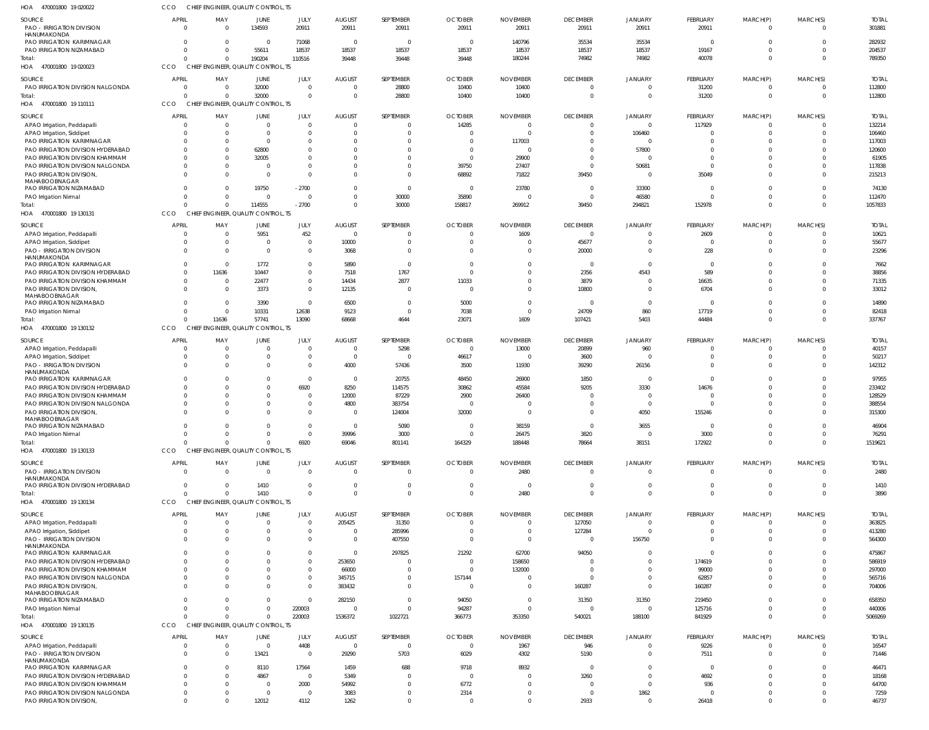470001800 19 020022 HOA 470001800 19 020023 470001800 19 110111 470001800 19 130131 470001800 19 130132 HOA 470001800 19 130133 470001800 19 130134 HOA 470001800 19 130135 HOA HOA HOA HOA HOA CHIEF ENGINEER, QUALITY CONTROL, TS CHIEF ENGINEER, QUALITY CONTROL, TS CHIEF ENGINEER, QUALITY CONTROL, TS CHIEF ENGINEER, QUALITY CONTROL, TS CHIEF ENGINEER, QUALITY CONTROL, TS CHIEF ENGINEER, QUALITY CONTROL, TS CCO CHIEF ENGINEER, QUALITY CONTROL, TS CHIEF ENGINEER, QUALITY CONTROL, TS CCO **CCO** CCO **CCO CCO** CCO CCO 0  $\Omega$  $\Omega$  $\Omega$ 0 0 0 0 0 0 11636 0 0  $\Omega$ 190204 32000 114555 57741 0 1410  $\Omega$ 110516  $\Omega$ -2700 13090 6920 0 220003 39448 0 0 68668 69046 0 1536372 39448 28800 30000 4644 801141 0 1022721 39448 10400 158817 23071 164329 0 366773 180244 10400 269912 1609 188448 2480 353350 74982  $\Omega$ 39450 107421 78664 0 540021 74982  $\Omega$ 294821 5403 38151 0 188100 40078 31200 152978 44484 172922 0 841929 0  $\Omega$ 0  $\Omega$ 0 0 0 0  $\Omega$  $\Omega$  $\Omega$ 0 0  $\Omega$ 789350 112800 1057833 337767 1519621 3890 5069269 PAO - IRRIGATION DIVISION HANUMAKONDA PAO IRRIGATION KARIMNAGAR PAO IRRIGATION NIZAMABAD PAO IRRIGATION DIVISION NALGONDA APAO Irrigation, Peddapall APAO Irrigation, Siddipet PAO IRRIGATION KARIMNAGAR PAO IRRIGATION DIVISION HYDERABAD PAO IRRIGATION DIVISION KHAMMAM PAO IRRIGATION DIVISION NALGONDA PAO IRRIGATION DIVISION, MAHABOOBNAGAR PAO IRRIGATION NIZAMABAD PAO Irrigation Nirmal APAO Irrigation, Peddapalli APAO Irrigation, Siddipet PAO - IRRIGATION DIVISION HANUMAKONDA PAO IRRIGATION KARIMNAGAR PAO IRRIGATION DIVISION HYDERABAD PAO IRRIGATION DIVISION KHAMMAM PAO IRRIGATION DIVISION, MAHABOOBNAGAR PAO IRRIGATION NIZAMABAD PAO Irrigation Nirmal APAO Irrigation, Peddapall APAO Irrigation, Siddipet PAO - IRRIGATION DIVISION HANUMAKONDA PAO IRRIGATION KARIMNAGAR PAO IRRIGATION DIVISION HYDERABAD PAO IRRIGATION DIVISION KHAMMAM PAO IRRIGATION DIVISION NALGONDA PAO IRRIGATION DIVISION, MAHABOOBNAGAR PAO IRRIGATION NIZAMABAD PAO Irrigation Nirmal PAO - IRRIGATION DIVISION **HANUMAKONDA** PAO IRRIGATION DIVISION HYDERABAD APAO Irrigation, Peddapalli APAO Irrigation, Siddipet PAO - IRRIGATION DIVISION HANUMAKONDA PAO IRRIGATION KARIMNAGAR PAO IRRIGATION DIVISION HYDERABAD PAO IRRIGATION DIVISION KHAMMAM PAO IRRIGATION DIVISION NALGONDA PAO IRRIGATION DIVISION, MAHABOOBNAGAR PAO IRRIGATION NIZAMABAD PAO Irrigation Nirmal APAO Irrigation, Peddapalli PAO - IRRIGATION DIVISION HANUMAKONDA PAO IRRIGATION KARIMNAGAR PAO IRRIGATION DIVISION HYDERABAD PAO IRRIGATION DIVISION KHAMMAM PAO IRRIGATION DIVISION NALGONDA PAO IRRIGATION DIVISION, SOURCE SOURCE SOURCE SOURCE SOURCE SOURCE SOURCE SOURCE  $\Omega$ 0  $\Omega$ 0 0  $\mathfrak{g}$  $\Omega$  $\Omega$ 0  $\Omega$ 0  $\Omega$ 0 0  $\Omega$ 0  $\Omega$ 0  $\Omega$ 0  $\Omega$ 0  $\Omega$ 0 0  $\mathbf 0$ 0  $\Omega$  $\Omega$  $\sqrt{2}$ 0  $\Omega$ 0  $\Omega$ 0  $\Omega$ 0  $\sqrt{2}$  $\sqrt{2}$  $\Omega$  $\Omega$ 0  $\Omega$ 0 0  $\sqrt{2}$  $\Omega$  $\Omega$  $\Omega$  $\Omega$  $\Omega$ APRIL **APRIL** APRIL **APRI** APRIL **APRIL APRIL** APRIL  $\Omega$ 0 0 0 0  $\Omega$ 0 0 0 0 0 0 0 0 0 0 0 11636 0 0 0 0 0 0 0 0 0  $\Omega$ 0  $\Omega$ 0  $\Omega$ 0 0 0 0 0  $\Omega$  $\Omega$ 0  $\sqrt{2}$ 0  $\Omega$  $\Omega$ 0  $\Omega$  $\Omega$ 0 0  $\Omega$  $\theta$ MAY MAY MAY MAY MAY MAY MAY MAY 134593  $\Omega$ 55611 32000  $\Omega$ 0  $\Omega$ 62800 32005  $\Omega$  $\mathbf 0$ 19750 0 5951  $\Omega$  $\mathbf 0$ 1772 10447 22477 3373 3390 10331  $\Omega$  $\mathbf 0$ 0  $\mathbf 0$  $\Omega$  $\Omega$  $\Omega$  $\Omega$  $\Omega$  $\Omega$ 0 1410 0  $\Omega$ 0  $\Omega$  $\Omega$  $\Omega$  $\Omega$  $\overline{0}$  $\Omega$  $\overline{0}$  $\sqrt{2}$ 13421 8110 4867  $\Omega$  $\sqrt{2}$ 12012 JUNE **JUNE** JUNE JUNE JUNE JUNE JUNE JUNE 20911 71068 18537 0  $\Omega$ 0  $\Omega$  $\Omega$ 0  $\Omega$ 0 -2700 0 452  $\Omega$ 0 0 0  $\Omega$ 0  $\Omega$ 12638  $\Omega$ 0  $\Omega$ 0 6920 0  $\Omega$  $\Omega$ 0 0 0  $\Omega$ 0  $\Omega$ 0  $\Omega$  $\Omega$  $\Omega$  $\Omega$ 0  $\Omega$ 220003 4408  $\Omega$ 17564  $\Omega$ 2000 0 4112 JULY JULY JULY JULY JULY JULY JULY JULY 20911 0 18537 0  $\Omega$ 0 0 0 0  $\Omega$ 0 0 0 0 10000 3068 5890 7518 14434 12135 6500 9123  $\Omega$ 0 4000 0 8250 12000 4800 0  $\Omega$ 39996 0 0 205425 0 0  $\Omega$ 253650 66000 345715 383432 282150  $\mathfrak{g}$ 0 29290 1459 5349 54992 3083 1262 AUGUST AUGUST AUGUST AUGUST AUGUST AUGUST AUGUST AUGUST 20911 0 18537 28800 0 0 0 0 0 0 0  $\Omega$ 30000 0  $\Omega$ 0 0 1767 2877 0  $\Omega$ 0 5298 0 57436 20755 114575 87229 383754 124004 5090 3000 0  $\Omega$ 31350 285996 407550 297825  $\Omega$ 0  $\sqrt{2}$ 0  $\sqrt{2}$ 0  $\Omega$ 5703 688 0  $\Omega$  $\Omega$ 0 SEPTEMBER SEPTEMBER SEPTEMBER SEPTEMBER SEPTEMBER SEPTEMBER SEPTEMBER SEPTEMBER 20911 0 18537 10400 14285 0 0 0 0 39750 68892  $\Omega$ 35890 0  $\Omega$ 0 0 0 11033 0 5000 7038  $\Omega$ 46617 3500 48450 30862 2900 0 32000 0 0 0  $\Omega$ 0 0 0 21292 0 0 157144 0 94050 94287  $\Omega$ 6029 9718  $\Omega$ 6772 2314 0 **OCTOBER OCTOBER** OCTOBER OCTOBER OCTOBER **OCTOBER** OCTOBER OCTOBER 20911 140796 18537 10400  $\Omega$  $\Omega$ 117003 0 29900 27407 71822 23780 0 1609  $\Omega$ 0  $\Omega$ 0  $\Omega$ 0  $\Omega$ 0 13000 0 11930 26900 45584 26400  $\Omega$  $\Omega$ 38159 26475 2480 0 0  $\Omega$ 0 62700 158650 132000  $\Omega$ 0  $\Omega$ 0 1967 4302 8932  $\Omega$  $\Omega$  $\Omega$  $\Omega$ NOVEMBER NOVEMBER NOVEMBER NOVEMBER NOVEMBER NOVEMBER NOVEMBER NOVEMBER 20911 35534 18537 0 0 0  $\Omega$ 0 0  $\Omega$ 39450  $\Omega$ 0 0 45677 20000 0 2356 3879 10800 0 24709 20899 3600 39290 1850 9205 0  $\Omega$  $\Omega$ 0 3820 0  $\Omega$ 127050 127284 0 94050 0  $\Omega$ 0 160287 31350 0 946 5190  $\Omega$ 3260  $\Omega$  $\Omega$ 2933 DECEMBER **DECEMBER** DECEMBER DECEMBER DECEMBER DECEMBER DECEMBER DECEMBER 20911 35534 18537 0  $\Omega$ 106460 0 57800 0 50681 0 33300 46580 0  $\Omega$ 0  $\Omega$ 4543  $\Omega$ 0 0 860 960  $\overline{0}$ 26156 0 3330 0  $\Omega$ 4050 3655  $\Omega$ 0  $\Omega$ 0  $\Omega$ 156750  $\sqrt{2}$  $\Omega$  $\Omega$  $\Omega$  $\overline{0}$ 31350  $\Omega$ 0  $\sqrt{2}$  $\Omega$ 0  $\Omega$ 1862  $\theta$ **JANUARY** JANUARY JANUARY JANUARY JANUARY JANUARY JANUARY JANUARY 20911 0 19167 31200 117929 0 0 0 0  $\sqrt{2}$ 35049 0 0 2609  $\Omega$ 228 0 589 16635 6704  $\Omega$ 17719 0 0 0 0 14676 0 0 155246 0 3000 0  $\Omega$ 0  $\Omega$ 0  $\Omega$ 174619 99000 62857 160287 219450 125716 9226 7511  $\Omega$ 4692 936  $\overline{0}$ 26418 FEBRUARY FEBRUARY FEBRUARY FEBRUARY FEBRUARY FEBRUARY FEBRUARY FEBRUARY  $\Omega$ 0 0 0  $\Omega$ 0 0 0 0  $\Omega$ 0  $\Omega$ 0 0 0 0  $\Omega$ 0 0 0  $\Omega$ 0 0 0 0  $\mathbf 0$ 0 0 0 0  $\Omega$ 0 0 0 0  $\Omega$ 0  $\Omega$  $\Omega$  $\Omega$  $\Omega$  $\Omega$  $\Omega$  $\Omega$  $\Omega$  $\Omega$  $\Omega$ 0  $\Omega$  $\Omega$  $\Omega$ MARCH(P) MARCH(P) MARCH(P) MARCH(P) MARCH(P) MARCH(P) MARCH(P) MARCH(P)  $\Omega$  $\Omega$ 0 0  $\Omega$ 0  $\Omega$ 0 0  $\Omega$ 0  $\Omega$ 0  $\Omega$ 0 0 0  $\Omega$  $\Omega$ 0  $\Omega$ 0  $\Omega$ 0  $\Omega$ 0  $\Omega$  $\Omega$  $\Omega$  $\Omega$  $\Omega$  $\Omega$ 0 0 0  $\Omega$ 0 0  $\Omega$  $\Omega$  $\bigcap$ 0  $\Omega$  $\theta$ 0 0  $\Omega$  $\theta$  $\Omega$  $\Omega$  $\theta$ MARCH(S) MARCH(S) MARCH(S) MARCH(S) MARCH(S) MARCH(S) MARCH(S) MARCH(S) 301881 282932 204537 112800 132214 106460 117003 120600 61905 117838 215213 74130 112470 10621 55677 23296 7662 38856 71335 33012 14890 82418 40157 50217 142312 97955 233402 128529 388554 315300 46904 76291 2480 1410 363825 413280 564300 475867 586919 297000 565716 704006 658350 440006 16547 71446 46471 18168 64700 7259 46737 TOTAL TOTAL TOTAL TOTAL TOTAL TOTAL TOTAL TOTAL Total: Total: Total: Total: Total: Total: Total: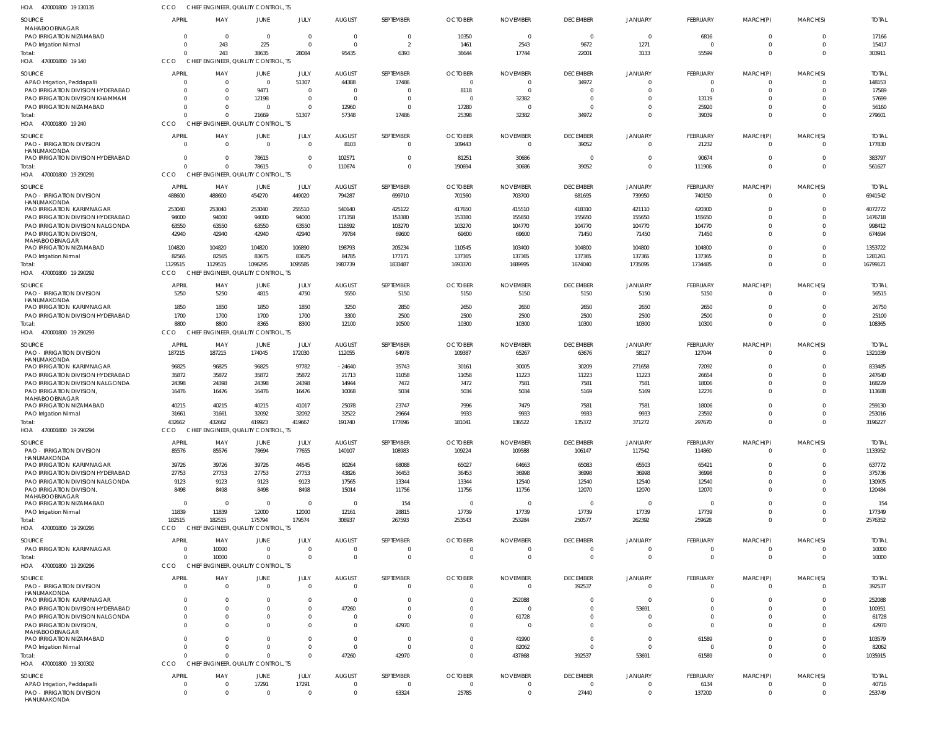470001800 19 130135 HOA CCO CHIEF ENGINEER, QUALITY CONTROL, TS

| <b>SOURCE</b>                                                         | <b>APRIL</b>         | MAY                   | JUNE                                        | JULY                       | <b>AUGUST</b>             | SEPTEMBER                   | <b>OCTOBER</b>                   | <b>NOVEMBER</b>                   | <b>DECEMBER</b>             | JANUARY                    | <b>FEBRUARY</b>             | MARCH(P)             | MARCH(S)             | <b>TOTAL</b>          |
|-----------------------------------------------------------------------|----------------------|-----------------------|---------------------------------------------|----------------------------|---------------------------|-----------------------------|----------------------------------|-----------------------------------|-----------------------------|----------------------------|-----------------------------|----------------------|----------------------|-----------------------|
| MAHABOOBNAGAR                                                         |                      |                       |                                             |                            |                           |                             |                                  |                                   |                             |                            |                             |                      |                      |                       |
| PAO IRRIGATION NIZAMABAD                                              | $\Omega$             | $\Omega$              | $\Omega$                                    | $\Omega$<br>$\Omega$       | $\Omega$                  | $\Omega$<br>$\overline{2}$  | 10350                            | $\Omega$                          | $\Omega$                    |                            | 6816                        |                      | $\Omega$             | 17166<br>15417        |
| PAO Irrigation Nirmal<br>Total:                                       |                      | 243<br>243            | 225<br>38635                                | 28084                      | 95435                     | 6393                        | 1461<br>36644                    | 2543<br>17744                     | 9672<br>22001               | 1271<br>3133               | 55599                       | $\Omega$             | $\Omega$             | 303911                |
| HOA 470001800 19 140                                                  | CCO                  |                       | CHIEF ENGINEER, QUALITY CONTROL, TS         |                            |                           |                             |                                  |                                   |                             |                            |                             |                      |                      |                       |
|                                                                       | APRIL                |                       |                                             | JULY                       | <b>AUGUST</b>             | SEPTEMBER                   | <b>OCTOBER</b>                   | <b>NOVEMBER</b>                   | <b>DECEMBER</b>             | JANUARY                    |                             |                      | MARCH(S)             | <b>TOTAL</b>          |
| SOURCE<br>APAO Irrigation, Peddapalli                                 | $\Omega$             | MAY<br>$\Omega$       | JUNE<br>$\mathbf 0$                         | 51307                      | 44388                     | 17486                       | $\Omega$                         | $\Omega$                          | 34972                       |                            | <b>FEBRUARY</b><br>$\Omega$ | MARCH(P)<br>$\Omega$ | $\Omega$             | 148153                |
| PAO IRRIGATION DIVISION HYDERABAD                                     |                      | $\Omega$              | 9471                                        | $\overline{0}$             |                           | $\overline{0}$              | 8118                             | $\overline{0}$                    | - 0                         |                            |                             | $\Omega$             | $\Omega$             | 17589                 |
| PAO IRRIGATION DIVISION KHAMMAM                                       | $\Omega$             | $\Omega$              | 12198                                       | $\overline{0}$             | $\Omega$                  | $\Omega$                    | - 0                              | 32382                             | $\Omega$                    |                            | 13119                       |                      | $\Omega$             | 57699                 |
| PAO IRRIGATION NIZAMABAD                                              |                      | $\Omega$              | $\Omega$                                    | $\Omega$                   | 12960                     | $\Omega$                    | 17280                            | $\Omega$                          | $\Omega$                    |                            | 25920                       |                      | $\Omega$             | 56160                 |
| Total:                                                                |                      | $\Omega$              | 21669                                       | 51307                      | 57348                     | 17486                       | 25398                            | 32382                             | 34972                       |                            | 39039                       |                      | $\Omega$             | 279601                |
| HOA<br>470001800 19 240                                               | CCO                  |                       | CHIEF ENGINEER, QUALITY CONTROL, TS         |                            |                           |                             |                                  |                                   |                             |                            |                             |                      |                      |                       |
| <b>SOURCE</b>                                                         | <b>APRIL</b>         | MAY                   | <b>JUNE</b>                                 | JULY                       | <b>AUGUST</b>             | SEPTEMBER                   | <b>OCTOBER</b>                   | <b>NOVEMBER</b>                   | <b>DECEMBER</b>             | <b>JANUARY</b>             | <b>FEBRUARY</b>             | MARCH(P)             | MARCH(S)             | <b>TOTAL</b>          |
| PAO - IRRIGATION DIVISION                                             | $\Omega$             | $\Omega$              | $\Omega$                                    | $\overline{0}$             | 8103                      | $\Omega$                    | 109443                           | $\Omega$                          | 39052                       |                            | 21232                       | $\Omega$             | $\Omega$             | 177830                |
| HANUMAKONDA<br>PAO IRRIGATION DIVISION HYDERABAD                      |                      | <sup>0</sup>          | 78615                                       | $\Omega$                   | 102571                    | $\Omega$                    | 81251                            | 30686                             | $\Omega$                    |                            | 90674                       | $\Omega$             | $\Omega$             | 383797                |
| Total:                                                                |                      | $\Omega$              | 78615                                       | $\Omega$                   | 110674                    | $\Omega$                    | 190694                           | 30686                             | 39052                       |                            | 111906                      | $\Omega$             | $\Omega$             | 561627                |
| HOA<br>470001800 19 290291                                            | CCO                  |                       | CHIEF ENGINEER, QUALITY CONTROL, TS         |                            |                           |                             |                                  |                                   |                             |                            |                             |                      |                      |                       |
| SOURCE                                                                | <b>APRIL</b>         | MAY                   | JUNE                                        | JULY                       | <b>AUGUST</b>             | SEPTEMBER                   | <b>OCTOBER</b>                   | <b>NOVEMBER</b>                   | <b>DECEMBER</b>             | <b>JANUARY</b>             | <b>FEBRUARY</b>             | MARCH(P)             | MARCH(S)             | <b>TOTAL</b>          |
| PAO - IRRIGATION DIVISION                                             | 488600               | 488600                | 454270                                      | 449020                     | 794287                    | 699710                      | 701560                           | 703700                            | 681695                      | 739950                     | 740150                      | $\Omega$             | $\Omega$             | 6941542               |
| HANUMAKONDA                                                           |                      |                       |                                             |                            |                           |                             |                                  |                                   |                             |                            |                             |                      |                      |                       |
| <b>PAO IRRIGATION KARIMNAGAR</b><br>PAO IRRIGATION DIVISION HYDERABAD | 253040<br>94000      | 253040<br>94000       | 253040<br>94000                             | 255510<br>94000            | 540140<br>171358          | 425122<br>153380            | 417650<br>153380                 | 415510<br>155650                  | 418310<br>155650            | 421110<br>155650           | 420300<br>155650            | $\Omega$             | $\Omega$<br>$\Omega$ | 4072772<br>1476718    |
| PAO IRRIGATION DIVISION NALGONDA                                      | 63550                | 63550                 | 63550                                       | 63550                      | 118592                    | 103270                      | 103270                           | 104770                            | 104770                      | 104770                     | 104770                      |                      | $\Omega$             | 998412                |
| PAO IRRIGATION DIVISION,                                              | 42940                | 42940                 | 42940                                       | 42940                      | 79784                     | 69600                       | 69600                            | 69600                             | 71450                       | 71450                      | 71450                       | $\Omega$             | $\Omega$             | 674694                |
| MAHABOOBNAGAR                                                         |                      |                       |                                             |                            |                           |                             |                                  |                                   |                             |                            |                             |                      |                      |                       |
| PAO IRRIGATION NIZAMABAD                                              | 104820               | 104820                | 104820                                      | 106890                     | 198793                    | 205234                      | 110545                           | 103400                            | 104800                      | 104800                     | 104800                      |                      | $\Omega$             | 1353722               |
| PAO Irrigation Nirmal<br>Total:                                       | 82565<br>1129515     | 82565<br>1129515      | 83675<br>1096295                            | 83675<br>1095585           | 84785<br>1987739          | 177171<br>1833487           | 137365<br>1693370                | 137365<br>1689995                 | 137365<br>1674040           | 137365<br>1735095          | 137365<br>1734485           | $\Omega$             | $\Omega$<br>$\Omega$ | 1281261<br>16799121   |
| HOA 470001800 19 290292                                               | <b>CCO</b>           |                       | CHIEF ENGINEER, QUALITY CONTROL, TS         |                            |                           |                             |                                  |                                   |                             |                            |                             |                      |                      |                       |
|                                                                       |                      |                       |                                             |                            |                           |                             |                                  |                                   |                             |                            |                             |                      |                      |                       |
| <b>SOURCE</b><br><b>PAO - IRRIGATION DIVISION</b>                     | <b>APRIL</b><br>5250 | MAY<br>5250           | JUNE<br>4815                                | JULY<br>4750               | <b>AUGUST</b><br>5550     | SEPTEMBER<br>5150           | <b>OCTOBER</b><br>5150           | <b>NOVEMBER</b><br>5150           | <b>DECEMBER</b><br>5150     | <b>JANUARY</b><br>5150     | FEBRUARY<br>5150            | MARCH(P)<br>$\Omega$ | MARCH(S)<br>$\Omega$ | <b>TOTAL</b><br>56515 |
| HANUMAKONDA                                                           |                      |                       |                                             |                            |                           |                             |                                  |                                   |                             |                            |                             |                      |                      |                       |
| <b>PAO IRRIGATION KARIMNAGAR</b>                                      | 1850                 | 1850                  | 1850                                        | 1850                       | 3250                      | 2850                        | 2650                             | 2650                              | 2650                        | 2650                       | 2650                        |                      | $\Omega$             | 26750                 |
| PAO IRRIGATION DIVISION HYDERABAD                                     | 1700                 | 1700                  | 1700                                        | 1700                       | 3300                      | 2500                        | 2500                             | 2500                              | 2500                        | 2500                       | 2500                        |                      | $\Omega$             | 25100                 |
| Total:                                                                | 8800<br>CCO          | 8800                  | 8365<br>CHIEF ENGINEER, QUALITY CONTROL, TS | 8300                       | 12100                     | 10500                       | 10300                            | 10300                             | 10300                       | 10300                      | 10300                       |                      | $\Omega$             | 108365                |
| HOA 470001800 19 290293                                               |                      |                       |                                             |                            |                           |                             |                                  |                                   |                             |                            |                             |                      |                      |                       |
| SOURCE                                                                | APRIL                | MAY                   | JUNE                                        | JULY                       | <b>AUGUST</b>             | SEPTEMBER                   | <b>OCTOBER</b>                   | <b>NOVEMBER</b>                   | <b>DECEMBER</b>             | <b>JANUARY</b>             | <b>FEBRUARY</b>             | MARCH(P)             | MARCH(S)             | <b>TOTAL</b>          |
| PAO - IRRIGATION DIVISION<br>HANUMAKONDA                              | 187215               | 187215                | 174045                                      | 172030                     | 112055                    | 64978                       | 109387                           | 65267                             | 63676                       | 58127                      | 127044                      | $\Omega$             | $\Omega$             | 1321039               |
| PAO IRRIGATION KARIMNAGAR                                             | 96825                | 96825                 | 96825                                       | 97782                      | $-24640$                  | 35743                       | 30161                            | 30005                             | 30209                       | 271658                     | 72092                       | $\Omega$             | $\Omega$             | 833485                |
| PAO IRRIGATION DIVISION HYDERABAD                                     | 35872                | 35872                 | 35872                                       | 35872                      | 21713                     | 11058                       | 11058                            | 11223                             | 11223                       | 11223                      | 26654                       |                      | $\Omega$             | 247640                |
| PAO IRRIGATION DIVISION NALGONDA                                      | 24398                | 24398                 | 24398                                       | 24398                      | 14944                     | 7472                        | 7472                             | 7581                              | 7581                        | 7581                       | 18006                       |                      | $\Omega$             | 168229                |
| PAO IRRIGATION DIVISION,<br>MAHABOOBNAGAR                             | 16476                | 16476                 | 16476                                       | 16476                      | 10068                     | 5034                        | 5034                             | 5034                              | 5169                        | 5169                       | 12276                       |                      | $\Omega$             | 113688                |
| PAO IRRIGATION NIZAMABAD                                              | 40215                | 40215                 | 40215                                       | 41017                      | 25078                     | 23747                       | 7996                             | 7479                              | 7581                        | 7581                       | 18006                       |                      |                      | 259130                |
| PAO Irrigation Nirmal                                                 | 31661                | 31661                 | 32092                                       | 32092                      | 32522                     | 29664                       | 9933                             | 9933                              | 9933                        | 9933                       | 23592                       |                      | $\Omega$             | 253016                |
| Total:                                                                | 432662               | 432662                | 419923                                      | 419667                     | 191740                    | 177696                      | 181041                           | 136522                            | 135372                      | 371272                     | 297670                      |                      | $\Omega$             | 3196227               |
| HOA 470001800 19 290294                                               | CCO                  |                       | CHIEF ENGINEER, QUALITY CONTROL, TS         |                            |                           |                             |                                  |                                   |                             |                            |                             |                      |                      |                       |
| SOURCE                                                                | APRIL                | MAY                   | JUNE                                        | JULY                       | <b>AUGUST</b>             | SEPTEMBER                   | <b>OCTOBER</b>                   | <b>NOVEMBER</b>                   | <b>DECEMBER</b>             | <b>JANUARY</b>             | FEBRUARY                    | MARCH(P)             | MARCH(S)             | <b>TOTAL</b>          |
| PAO - IRRIGATION DIVISION                                             | 85576                | 85576                 | 78694                                       | 77655                      | 140107                    | 108983                      | 109224                           | 109588                            | 106147                      | 117542                     | 114860                      | $\Omega$             | $\Omega$             | 1133952               |
| HANUMAKONDA<br>PAO IRRIGATION KARIMNAGAR                              | 39726                | 39726                 | 39726                                       | 44545                      | 80264                     | 68088                       | 65027                            | 64663                             | 65083                       | 65503                      | 65421                       |                      |                      | 637772                |
| PAO IRRIGATION DIVISION HYDERABAD                                     | 27753                | 27753                 | 27753                                       | 27753                      | 43826                     | 36453                       | 36453                            | 36998                             | 36998                       | 36998                      | 36998                       |                      |                      | 375736                |
| PAO IRRIGATION DIVISION NALGONDA                                      | 9123                 | 9123                  | 9123                                        | 9123                       | 17565                     | 13344                       | 13344                            | 12540                             | 12540                       | 12540                      | 12540                       |                      |                      | 130905                |
| PAO IRRIGATION DIVISION,                                              | 8498                 | 8498                  | 8498                                        | 8498                       | 15014                     | 11756                       | 11756                            | 11756                             | 12070                       | 12070                      | 12070                       |                      |                      | 120484                |
| MAHABOOBNAGAR<br>PAO IRRIGATION NIZAMABAD                             | $\Omega$             | $\Omega$              | $\mathbf 0$                                 | $\overline{\mathbf{0}}$    | $\Omega$                  | 154                         | - 0                              | $\overline{\mathbf{0}}$           | $\overline{0}$              | $\Omega$                   | - 0                         |                      | $\Omega$             | 154                   |
| PAO Irrigation Nirmal                                                 | 11839                | 11839                 | 12000                                       | 12000                      | 12161                     | 28815                       | 17739                            | 17739                             | 17739                       | 17739                      | 17739                       |                      | $\Omega$             | 177349                |
| Total:                                                                | 182515               | 182515                | 175794                                      | 179574                     | 308937                    | 267593                      | 253543                           | 253284                            | 250577                      | 262392                     | 259628                      | $\Omega$             | $\Omega$             | 2576352               |
| HOA 470001800 19 290295                                               | <b>CCO</b>           |                       | CHIEF ENGINEER, QUALITY CONTROL, TS         |                            |                           |                             |                                  |                                   |                             |                            |                             |                      |                      |                       |
| SOURCE                                                                | <b>APRIL</b>         | MAY                   | JUNE                                        | JULY                       | <b>AUGUST</b>             | SEPTEMBER                   | <b>OCTOBER</b>                   | <b>NOVEMBER</b>                   | <b>DECEMBER</b>             | JANUARY                    | <b>FEBRUARY</b>             | MARCH(P)             | MARCH(S)             | <b>TOTAL</b>          |
| PAO IRRIGATION KARIMNAGAR                                             | $\Omega$             | 10000                 | $\mathbf 0$                                 | $\overline{0}$             | $\Omega$                  | $\overline{0}$              | $\Omega$                         | $\overline{0}$                    | $\Omega$                    |                            | $\Omega$                    | $\Omega$             | $\Omega$             | 10000                 |
| Total:                                                                |                      | 10000                 | $\Omega$                                    | $\Omega$                   | $\Omega$                  | $\overline{0}$              | $\Omega$                         | $\Omega$                          | $\Omega$                    | $\Omega$                   | $\Omega$                    | $\Omega$             | $\Omega$             | 10000                 |
| HOA 470001800 19 290296                                               | <b>CCO</b>           |                       | CHIEF ENGINEER, QUALITY CONTROL, TS         |                            |                           |                             |                                  |                                   |                             |                            |                             |                      |                      |                       |
| <b>SOURCE</b>                                                         | <b>APRIL</b>         | MAY                   | <b>JUNE</b>                                 | JULY                       | <b>AUGUST</b>             | SEPTEMBER                   | <b>OCTOBER</b>                   | <b>NOVEMBER</b>                   | <b>DECEMBER</b>             | <b>JANUARY</b>             | FEBRUARY                    | MARCH(P)             | MARCH(S)             | <b>TOTAL</b>          |
| PAO - IRRIGATION DIVISION                                             | $\Omega$             | $\Omega$              | $\mathbf 0$                                 | $\overline{0}$             | $\Omega$                  | $\overline{0}$              | $\Omega$                         | $\mathbf{0}$                      | 392537                      | $\Omega$                   | $\Omega$                    | $\Omega$             | $\Omega$             | 392537                |
| HANUMAKONDA                                                           |                      |                       |                                             |                            |                           |                             |                                  |                                   |                             |                            |                             |                      |                      |                       |
| PAO IRRIGATION KARIMNAGAR<br>PAO IRRIGATION DIVISION HYDERABAD        |                      | $\Omega$              | 0                                           | $\Omega$<br>$\overline{0}$ | 47260                     | $\Omega$<br>$\Omega$        | $\Omega$                         | 252088<br>$\Omega$                | $\Omega$<br>$\Omega$        | -C<br>53691                |                             |                      | $\Omega$             | 252088<br>100951      |
| PAO IRRIGATION DIVISION NALGONDA                                      |                      | $\Omega$              |                                             | $\Omega$                   |                           | $\overline{0}$              |                                  | 61728                             | - 0                         |                            |                             |                      |                      | 61728                 |
| PAO IRRIGATION DIVISION,                                              |                      | $\Omega$              |                                             | $\Omega$                   |                           | 42970                       |                                  | $\Omega$                          | $\cap$                      |                            |                             |                      |                      | 42970                 |
| MAHABOOBNAGAR                                                         |                      |                       |                                             |                            |                           |                             |                                  |                                   |                             |                            |                             |                      |                      |                       |
| PAO IRRIGATION NIZAMABAD                                              |                      | $\Omega$              |                                             | $\Omega$                   |                           | $\overline{0}$              |                                  | 41990                             | $\Omega$                    | $\Omega$                   | 61589                       |                      | $\Omega$             | 103579                |
| PAO Irrigation Nirmal<br>Total:                                       |                      | $\Omega$<br>$\Omega$  | $\Omega$<br>$\Omega$                        | $\Omega$<br>$\Omega$       | $\Omega$<br>47260         | $\Omega$<br>42970           | $\Omega$                         | 82062<br>437868                   | $\Omega$<br>392537          | $\Omega$<br>53691          | 61589                       |                      | $\Omega$<br>$\Omega$ | 82062<br>1035915      |
| HOA 470001800 19 300302                                               | CCO                  |                       | CHIEF ENGINEER, QUALITY CONTROL, TS         |                            |                           |                             |                                  |                                   |                             |                            |                             |                      |                      |                       |
|                                                                       |                      |                       |                                             |                            |                           |                             |                                  |                                   |                             |                            |                             |                      |                      |                       |
| SOURCE<br>APAO Irrigation, Peddapalli                                 | <b>APRIL</b><br>- 0  | MAY<br>$\overline{0}$ | JUNE<br>17291                               | JULY<br>17291              | <b>AUGUST</b><br>$\Omega$ | SEPTEMBER<br>$\overline{0}$ | <b>OCTOBER</b><br>$\overline{0}$ | <b>NOVEMBER</b><br>$\overline{0}$ | <b>DECEMBER</b><br>$\Omega$ | <b>JANUARY</b><br>$\Omega$ | <b>FEBRUARY</b><br>6134     | MARCH(P)<br>- 0      | MARCH(S)             | <b>TOTAL</b><br>40716 |
| <b>PAO - IRRIGATION DIVISION</b>                                      | $\Omega$             | $\mathbf{0}$          | $\mathbf 0$                                 | $\overline{0}$             | $\overline{0}$            | 63324                       | 25785                            | $\overline{0}$                    | 27440                       | $\mathbf 0$                | 137200                      | $\Omega$             | $\mathbf{0}$         | 253749                |
| HANUMAKONDA                                                           |                      |                       |                                             |                            |                           |                             |                                  |                                   |                             |                            |                             |                      |                      |                       |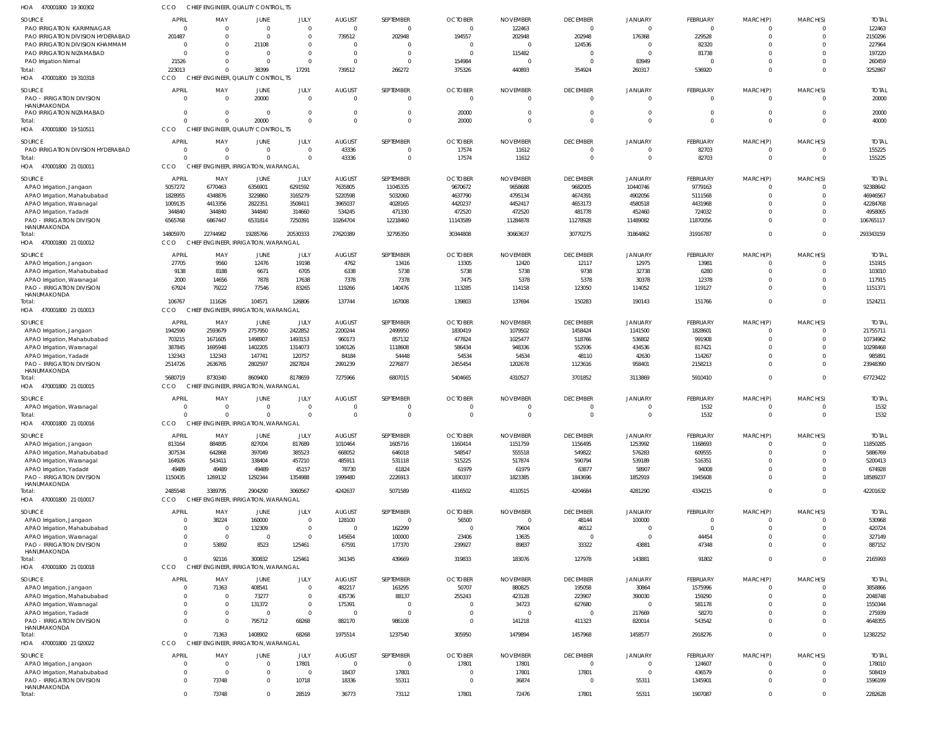| HUA<br>470001800 19300302                                      |                            | ENGINEER, QUALII'     | UUNKULIS                                        |                            |                      |                  |                 |                 |                         |                      |                |                            |                         |                  |
|----------------------------------------------------------------|----------------------------|-----------------------|-------------------------------------------------|----------------------------|----------------------|------------------|-----------------|-----------------|-------------------------|----------------------|----------------|----------------------------|-------------------------|------------------|
| SOURCE                                                         | <b>APRIL</b>               | MAY                   | JUNE                                            | JULY                       | <b>AUGUST</b>        | SEPTEMBER        | <b>OCTOBER</b>  | <b>NOVEMBER</b> | <b>DECEMBER</b>         | <b>JANUARY</b>       | FEBRUARY       | MARCH(P)                   | MARCH(S)                | <b>TOTAL</b>     |
| PAO IRRIGATION KARIMNAGAR                                      | $\overline{0}$             |                       | $\Omega$                                        | $\mathbf 0$                | $\Omega$             | $\mathbf{0}$     | $\Omega$        | 122463          | $\mathbf{0}$            | $\mathbf 0$          | $\mathbf 0$    | $\mathbf{0}$               | $\Omega$                | 122463           |
| PAO IRRIGATION DIVISION HYDERABAD                              | 201487                     |                       | $\Omega$                                        | $\mathbf 0$                | 739512               | 202948           | 194557          | 202948          | 202948                  | 176368               | 229528         | $\mathbf 0$                | $\Omega$                | 2150296          |
| PAO IRRIGATION DIVISION KHAMMAM                                | $\overline{0}$             |                       | 21108                                           | $\mathbf 0$                | - 0                  | $\overline{0}$   | - 0             | $\sqrt{ }$      | 124536                  | $\Omega$             | 82320          | $\mathbf 0$                | $\Omega$                | 227964           |
| PAO IRRIGATION NIZAMABAD                                       | C                          |                       | $\Omega$                                        | $\mathbf 0$                | $\Omega$             | $\mathbf{0}$     | $\Omega$        | 115482          | $\Omega$                | $\Omega$             | 81738          | $\mathbf 0$                | $\Omega$                | 197220           |
| PAO Irrigation Nirmal                                          | 21526                      |                       | $\Omega$                                        | $\Omega$                   | $\Omega$             | $\mathbf{0}$     | 154984          | $\Omega$        | $\Omega$                | 83949                | $\mathbf 0$    | $\mathbf 0$                | $\Omega$                | 260459           |
| Total:                                                         | 223013                     |                       | 38399                                           | 17291                      | 739512               | 266272           | 375326          | 440893          | 354924                  | 260317               | 536920         | $\mathbf 0$                | $\Omega$                | 3252867          |
| 470001800 19 310318<br>HOA                                     | <b>CCO</b>                 |                       | CHIEF ENGINEER, QUALITY CONTROL, TS             |                            |                      |                  |                 |                 |                         |                      |                |                            |                         |                  |
| <b>SOURCE</b>                                                  | <b>APRIL</b>               | MAY                   | JUNE                                            | JULY                       | <b>AUGUST</b>        | SEPTEMBER        | <b>OCTOBER</b>  | <b>NOVEMBER</b> | <b>DECEMBER</b>         | <b>JANUARY</b>       | FEBRUARY       | MARCH(P)                   | MARCH(S)                | <b>TOTAL</b>     |
| <b>PAO - IRRIGATION DIVISION</b>                               | $\Omega$                   | $\Omega$              | 20000                                           | $\mathbf 0$                | $\Omega$             | $\mathbf 0$      | $\Omega$        | $\Omega$        | $\mathbf 0$             | $\Omega$             | $\mathbf 0$    | $\mathbf{0}$               | $\overline{0}$          | 20000            |
| HANUMAKONDA                                                    |                            |                       |                                                 |                            |                      |                  |                 |                 |                         |                      |                |                            |                         |                  |
| PAO IRRIGATION NIZAMABAD                                       | $\overline{0}$<br>$\Omega$ | $\Omega$              | $\overline{0}$                                  | $\mathbf 0$                | $\Omega$<br>$\Omega$ | $\mathbf{0}$     | 20000           | $\Omega$        | $\mathbf 0$             | $\Omega$             | $\mathbf 0$    | $\mathbf 0$                | $\overline{0}$          | 20000            |
| Total:<br>470001800 19 510511<br>HOA                           | CCO                        |                       | 20000<br>CHIEF ENGINEER, QUALITY CONTROL, TS    | $\Omega$                   |                      | $\Omega$         | 20000           | $\Omega$        | $\Omega$                | $\Omega$             | $\mathbf 0$    | $\mathbf 0$                | $\Omega$                | 40000            |
|                                                                |                            |                       |                                                 |                            |                      |                  |                 |                 |                         |                      |                |                            |                         |                  |
| SOURCE                                                         | <b>APRIL</b>               | MAY                   | JUNE                                            | JULY                       | <b>AUGUST</b>        | SEPTEMBER        | <b>OCTOBER</b>  | <b>NOVEMBER</b> | <b>DECEMBER</b>         | <b>JANUARY</b>       | FEBRUARY       | MARCH(P)                   | MARCH(S)                | <b>TOTAL</b>     |
| PAO IRRIGATION DIVISION HYDERABAD                              | $\overline{0}$             | $\Omega$              | $\overline{0}$                                  | $\mathbf 0$                | 43336                | $\overline{0}$   | 17574           | 11612           | $\mathbf 0$             | $\mathbf 0$          | 82703          | $\mathbf{0}$               | $\overline{0}$          | 155225           |
| Total:                                                         | $\Omega$                   |                       | $\Omega$                                        | $\mathbf 0$                | 43336                | $\mathbf 0$      | 17574           | 11612           | $\mathbf 0$             | $\Omega$             | 82703          | $\overline{0}$             | $\overline{0}$          | 155225           |
| 470001800 21 010011<br>HOA                                     | CCO                        |                       | CHIEF ENGINEER, IRRIGATION, WARANGAL            |                            |                      |                  |                 |                 |                         |                      |                |                            |                         |                  |
| SOURCE                                                         | APRIL                      | MAY                   | JUNE                                            | JULY                       | <b>AUGUST</b>        | SEPTEMBER        | <b>OCTOBER</b>  | <b>NOVEMBER</b> | <b>DECEMBER</b>         | <b>JANUARY</b>       | FEBRUARY       | MARCH(P)                   | MARCH(S)                | <b>TOTAL</b>     |
| APAO Irrigation, Jangaon                                       | 5057272                    | 6770463               | 6356901                                         | 6291592                    | 7635805              | 11045335         | 9670672         | 9658688         | 9682005                 | 10440746             | 9779163        | $\Omega$                   | $\overline{0}$          | 92388642         |
| APAO Irrigation, Mahabubabad                                   | 1828955                    | 4348876               | 3229860                                         | 3165279                    | 5220598              | 5032060          | 4637790         | 4795134         | 4674391                 | 4902056              | 5111568        | $\mathbf 0$                | $\Omega$                | 46946567         |
| APAO Irrigation, Waranagal                                     | 1009135                    | 4413356               | 2822351                                         | 3508411                    | 3965037              | 4028165          | 4420237         | 4452417         | 4653173                 | 4580518              | 4431968        | $\Omega$                   | $\Omega$                | 42284768         |
| APAO Irrigation, Yadadri                                       | 344840                     | 344840                | 344840                                          | 314660                     | 534245               | 471330           | 472520          | 472520          | 481778                  | 452460               | 724032         | $\mathbf 0$                | $\overline{0}$          | 4958065          |
| <b>PAO - IRRIGATION DIVISION</b>                               | 6565768                    | 6867447               | 6531814                                         | 7250391                    | 10264704             | 12218460         | 11143589        | 11284878        | 11278928                | 11489082             | 11870056       | $\Omega$                   | $\Omega$                | 106765117        |
| HANUMAKONDA<br>Total:                                          | 14805970                   | 22744982              | 19285766                                        | 20530333                   | 27620389             | 32795350         | 30344808        | 30663637        | 30770275                | 31864862             | 31916787       | $\mathbf 0$                | $\Omega$                | 293343159        |
| HOA 470001800 21 010012                                        | <b>CCO</b>                 |                       | CHIEF ENGINEER, IRRIGATION, WARANGAL            |                            |                      |                  |                 |                 |                         |                      |                |                            |                         |                  |
|                                                                |                            |                       |                                                 |                            |                      |                  |                 |                 |                         |                      |                |                            |                         |                  |
| SOURCE                                                         | <b>APRIL</b>               | MAY                   | JUNE                                            | JULY                       | <b>AUGUST</b>        | SEPTEMBER        | <b>OCTOBER</b>  | <b>NOVEMBER</b> | <b>DECEMBER</b>         | <b>JANUARY</b>       | FEBRUARY       | MARCH(P)                   | MARCH(S)                | <b>TOTAL</b>     |
| APAO Irrigation, Jangaon                                       | 27705                      | 9560                  | 12476                                           | 19198                      | 4762                 | 13416            | 13305           | 12420           | 12117                   | 12975                | 13981          | $\mathbf 0$                | $\overline{0}$          | 151915           |
| APAO Irrigation, Mahabubabad                                   | 9138                       | 8188                  | 6671                                            | 6705                       | 6338                 | 5738             | 5738            | 5738            | 9738                    | 32738                | 6280           | $\mathbf 0$                | $\Omega$                | 103010           |
| APAO Irrigation, Waranagal                                     | 2000                       | 14656                 | 7878                                            | 17638                      | 7378                 | 7378             | 7475            | 5378            | 5378                    | 30378                | 12378          | $\mathbf 0$                | $\Omega$<br>$\Omega$    | 117915           |
| <b>PAO - IRRIGATION DIVISION</b><br>HANUMAKONDA                | 67924                      | 79222                 | 77546                                           | 83265                      | 119266               | 140476           | 113285          | 114158          | 123050                  | 114052               | 119127         | $\mathbf 0$                |                         | 1151371          |
| Total:                                                         | 106767                     | 111626                | 104571                                          | 126806                     | 137744               | 167008           | 139803          | 137694          | 150283                  | 190143               | 151766         | $\overline{0}$             | $\overline{0}$          | 1524211          |
| 470001800 21 010013<br>HOA                                     | CCO                        |                       | CHIEF ENGINEER, IRRIGATION, WARANGAL            |                            |                      |                  |                 |                 |                         |                      |                |                            |                         |                  |
| SOURCE                                                         | APRIL                      | MAY                   | JUNE                                            | JULY                       | <b>AUGUST</b>        | SEPTEMBER        | <b>OCTOBER</b>  | <b>NOVEMBER</b> | <b>DECEMBER</b>         | <b>JANUARY</b>       | FEBRUARY       | MARCH(P)                   | MARCH(S)                | <b>TOTAL</b>     |
| APAO Irrigation, Jangaon                                       | 1942590                    | 2593679               | 2757950                                         | 2422852                    | 2200244              | 2499950          | 1830419         | 1079502         | 1458424                 | 1141500              | 1828601        | $\Omega$                   | $\overline{0}$          | 21755711         |
| APAO Irrigation, Mahabubabad                                   | 703215                     | 1671605               | 1498907                                         | 1493153                    | 960173               | 857132           | 477824          | 1025477         | 518766                  | 536802               | 991908         | $\mathbf 0$                | $\overline{0}$          | 10734962         |
| APAO Irrigation, Waranagal                                     | 387845                     | 1695948               | 1402205                                         | 1314073                    | 1040126              | 1118608          | 586434          | 948336          | 552936                  | 434536               | 817421         | $\Omega$                   | $\Omega$                | 10298468         |
| APAO Irrigation, Yadadri                                       | 132343                     | 132343                | 147741                                          | 120757                     | 84184                | 54448            | 54534           | 54534           | 48110                   | 42630                | 114267         | $\mathbf 0$                | $\overline{0}$          | 985891           |
| <b>PAO - IRRIGATION DIVISION</b>                               | 2514726                    | 2636765               | 2802597                                         | 2827824                    | 2991239              | 2276877          | 2455454         | 1202678         | 1123616                 | 958401               | 2158213        | $\Omega$                   | $\Omega$                | 23948390         |
| HANUMAKONDA                                                    |                            |                       |                                                 |                            |                      |                  |                 |                 |                         |                      |                |                            |                         |                  |
| Total:                                                         | 5680719                    | 8730340               | 8609400                                         | 8178659                    | 7275966              | 6807015          | 5404665         | 4310527         | 3701852                 | 3113869              | 5910410        | $\mathbf 0$                | $\Omega$                | 67723422         |
| HOA 470001800 21 010015                                        | CCO.                       |                       | CHIEF ENGINEER, IRRIGATION, WARANGAL            |                            |                      |                  |                 |                 |                         |                      |                |                            |                         |                  |
| SOURCE                                                         | <b>APRIL</b>               | MAY                   | JUNE                                            | JULY                       | <b>AUGUST</b>        | SEPTEMBER        | <b>OCTOBER</b>  | <b>NOVEMBER</b> | <b>DECEMBER</b>         | <b>JANUARY</b>       | FEBRUARY       | MARCH(P)                   | MARCH(S)                | <b>TOTAL</b>     |
| APAO Irrigation, Waranagal                                     | C                          |                       | 0                                               | $\mathbf 0$                | $\Omega$             | $\mathbf 0$      |                 |                 | $\Omega$                | 0                    | 1532           | $\mathbf 0$                | $\Omega$                | 1532             |
| Total:                                                         | $\Omega$                   | $\Omega$              | $\Omega$                                        | $\mathbf 0$                | $\Omega$             | $\mathbf 0$      | $\Omega$        | $\Omega$        | $\Omega$                | $\Omega$             | 1532           | $\mathbf 0$                | $\Omega$                | 1532             |
| HOA<br>470001800 21 010016                                     | CCO                        |                       | CHIEF ENGINEER, IRRIGATION, WARANGAL            |                            |                      |                  |                 |                 |                         |                      |                |                            |                         |                  |
| <b>SOURCE</b>                                                  | APRIL                      | MAY                   | <b>JUNE</b>                                     | JULY                       | <b>AUGUST</b>        | SEPTEMBER        | <b>OCTOBER</b>  | <b>NOVEMBER</b> | <b>DECEMBER</b>         | <b>JANUARY</b>       | FEBRUARY       | MARCH(P)                   | MARCH(S)                | <b>TOTAL</b>     |
| APAO Irrigation, Jangaon                                       | 813164                     | 884895                | 827004                                          | 817689                     | 1010464              | 1605716          | 1160414         | 1151759         | 1156495                 | 1253992              | 1168693        | 0                          | $\overline{0}$          | 11850285         |
| APAO Irrigation, Mahabubabad                                   | 307534                     | 642868                | 397049                                          | 385523                     | 668052               | 646018           | 548547          | 555518          | 549822                  | 576283               | 609555         | $\mathbf 0$                | $\overline{0}$          | 5886769          |
| APAO Irrigation, Waranagal                                     | 164926                     | 543411                | 338404                                          | 457210                     | 485911               | 531118           | 515225          | 517874          | 590794                  | 539189               | 516351         | $\Omega$                   | $\Omega$                | 5200413          |
| APAO Irrigation, Yadadri                                       | 49489                      | 49489                 | 49489                                           | 45157                      | 78730                | 61824            | 61979           | 61979           | 63877                   | 58907                | 94008          | $\Omega$                   | $\Omega$                | 674928           |
| <b>PAO - IRRIGATION DIVISION</b>                               | 1150435                    | 1269132               | 1292344                                         | 1354988                    | 1999480              | 2226913          | 1830337         | 1823385         | 1843696                 | 1852919              | 1945608        | $\Omega$                   | $\Omega$                | 18589237         |
| HANUMAKONDA<br>Total:                                          | 2485548                    | 3389795               | 2904290                                         | 3060567                    | 4242637              | 5071589          | 4116502         | 4110515         | 4204684                 | 4281290              | 4334215        | $\mathbf 0$                | $\Omega$                | 42201632         |
| HOA 470001800 21 010017                                        | <b>CCO</b>                 |                       | CHIEF ENGINEER, IRRIGATION, WARANGAL            |                            |                      |                  |                 |                 |                         |                      |                |                            |                         |                  |
|                                                                |                            |                       |                                                 |                            |                      |                  |                 |                 |                         |                      |                |                            |                         |                  |
| SOURCE                                                         | <b>APRIL</b>               | MAY                   | JUNE                                            | JULY                       | <b>AUGUST</b>        | SEPTEMBER        | <b>OCTOBER</b>  | <b>NOVEMBER</b> | <b>DECEMBER</b>         | JANUARY              | FEBRUARY       | MARCH(P)                   | MARCH(S)                | <b>TOTAL</b>     |
| APAO Irrigation, Jangaon                                       | $\overline{0}$             | 38224                 | 160000                                          | $\mathbf 0$                | 128100               | $\mathbf 0$      | 56500           | $\Omega$        | 48144                   | 100000               | $\mathbf{0}$   | $\mathbf{0}$               | $\overline{0}$          | 530968           |
| APAO Irrigation, Mahabubabad                                   | C<br>$\overline{0}$        | - 0<br>$\overline{0}$ | 132309<br>$\overline{0}$                        | $\mathbf 0$<br>$\mathbf 0$ | $\Omega$             | 162299           | $\Omega$        | 79604           | 46512<br>$\overline{0}$ | $\Omega$<br>$\Omega$ | $\mathbf{0}$   | $\mathbf 0$<br>$\mathbf 0$ | $\Omega$<br>$\Omega$    | 420724           |
| APAO Irrigation, Waranagal<br><b>PAO - IRRIGATION DIVISION</b> | $\Omega$                   | 53892                 | 8523                                            | 125461                     | 145654<br>67591      | 100000<br>177370 | 23406<br>239927 | 13635<br>89837  | 33322                   | 43881                | 44454<br>47348 | $\mathbf 0$                | $\Omega$                | 327149<br>887152 |
| HANUMAKONDA                                                    |                            |                       |                                                 |                            |                      |                  |                 |                 |                         |                      |                |                            |                         |                  |
| Total:                                                         | $\Omega$                   | 92116                 | 300832                                          | 125461                     | 341345               | 439669           | 319833          | 183076          | 127978                  | 143881               | 91802          | $\mathbf 0$                | $\overline{0}$          | 2165993          |
| HOA 470001800 21 010018                                        | CCO                        |                       | CHIEF ENGINEER, IRRIGATION, WARANGAL            |                            |                      |                  |                 |                 |                         |                      |                |                            |                         |                  |
| SOURCE                                                         | <b>APRIL</b>               | MAY                   | JUNE                                            | JULY                       | <b>AUGUST</b>        | SEPTEMBER        | <b>OCTOBER</b>  | <b>NOVEMBER</b> | <b>DECEMBER</b>         | <b>JANUARY</b>       | FEBRUARY       | MARCH(P)                   | MARCH(S)                | <b>TOTAL</b>     |
| APAO Irrigation, Jangaon                                       | $\Omega$                   | 71363                 | 408541                                          | $\mathbf 0$                | 482217               | 163295           | 50707           | 880825          | 195058                  | 30864                | 1575996        | 0                          | $\overline{0}$          | 3858866          |
| APAO Irrigation, Mahabubabad                                   | $\overline{0}$             | $\Omega$              | 73277                                           | $\mathbf 0$                | 435736               | 88137            | 255243          | 423128          | 223907                  | 390030               | 159290         | $\mathbf 0$                | $\overline{0}$          | 2048748          |
| APAO Irrigation, Waranagal                                     | $\overline{0}$             | $\Omega$              | 131372                                          | $\mathbf 0$                | 175391               | $\overline{0}$   | $\Omega$        | 34723           | 627680                  | $\overline{0}$       | 581178         | $\Omega$                   | $\Omega$                | 1550344          |
| APAO Irrigation, Yadadri                                       | $\Omega$                   | $\Omega$              | $\Omega$                                        | $\mathbf 0$                | $\Omega$             | $\overline{0}$   | - 0             |                 | $\mathbf 0$             | 217669               | 58270          | $\Omega$                   | $\Omega$                | 275939           |
| <b>PAO - IRRIGATION DIVISION</b>                               | $\Omega$                   | $\Omega$              | 795712                                          | 68268                      | 882170               | 986108           | $\Omega$        | 141218          | 411323                  | 820014               | 543542         | $\Omega$                   | $\Omega$                | 4648355          |
| HANUMAKONDA                                                    |                            |                       |                                                 |                            |                      |                  |                 |                 |                         |                      |                |                            |                         |                  |
| Total:                                                         | $\Omega$<br>CCO            | 71363                 | 1408902<br>CHIEF ENGINEER, IRRIGATION, WARANGAL | 68268                      | 1975514              | 1237540          | 305950          | 1479894         | 1457968                 | 1458577              | 2918276        | $\mathbf 0$                | $\Omega$                | 12382252         |
| HOA 470001800 21 020022                                        |                            |                       |                                                 |                            |                      |                  |                 |                 |                         |                      |                |                            |                         |                  |
| SOURCE                                                         | <b>APRIL</b>               | MAY                   | JUNE                                            | JULY                       | <b>AUGUST</b>        | SEPTEMBER        | <b>OCTOBER</b>  | <b>NOVEMBER</b> | <b>DECEMBER</b>         | JANUARY              | FEBRUARY       | MARCH(P)                   | MARCH(S)                | <b>TOTAL</b>     |
| APAO Irrigation, Jangaon                                       | $\overline{0}$             | $\mathsf{C}$          | $\overline{0}$                                  | 17801                      | $\Omega$             | $\mathbf 0$      | 17801           | 17801           | $\mathbf{0}$            | $\mathbf 0$          | 124607         | $\mathbf{0}$               | $\overline{\mathbf{0}}$ | 178010           |
| APAO Irrigation, Mahabubabad                                   | $\overline{0}$             | $\Omega$              | 0                                               | $\mathbf{0}$               | 18437                | 17801            | - 0             | 17801           | 17801                   | $\overline{0}$       | 436579         | $\mathbf{0}$               | $\overline{0}$          | 508419           |
| <b>PAO - IRRIGATION DIVISION</b><br>HANUMAKONDA                | $\overline{0}$             | 73748                 | 0                                               | 10718                      | 18336                | 55311            | $\overline{0}$  | 36874           | $\overline{0}$          | 55311                | 1345901        | $\mathbf 0$                | $\overline{0}$          | 1596199          |
| Total:                                                         | $\mathbf 0$                | 73748                 | $\Omega$                                        | 28519                      | 36773                | 73112            | 17801           | 72476           | 17801                   | 55311                | 1907087        | $\mathbf{0}$               | $\mathbf{0}$            | 2282628          |
|                                                                |                            |                       |                                                 |                            |                      |                  |                 |                 |                         |                      |                |                            |                         |                  |

470001800 19 300302 HOA CCO CHIEF ENGINEER, QUALITY CONTROL, TS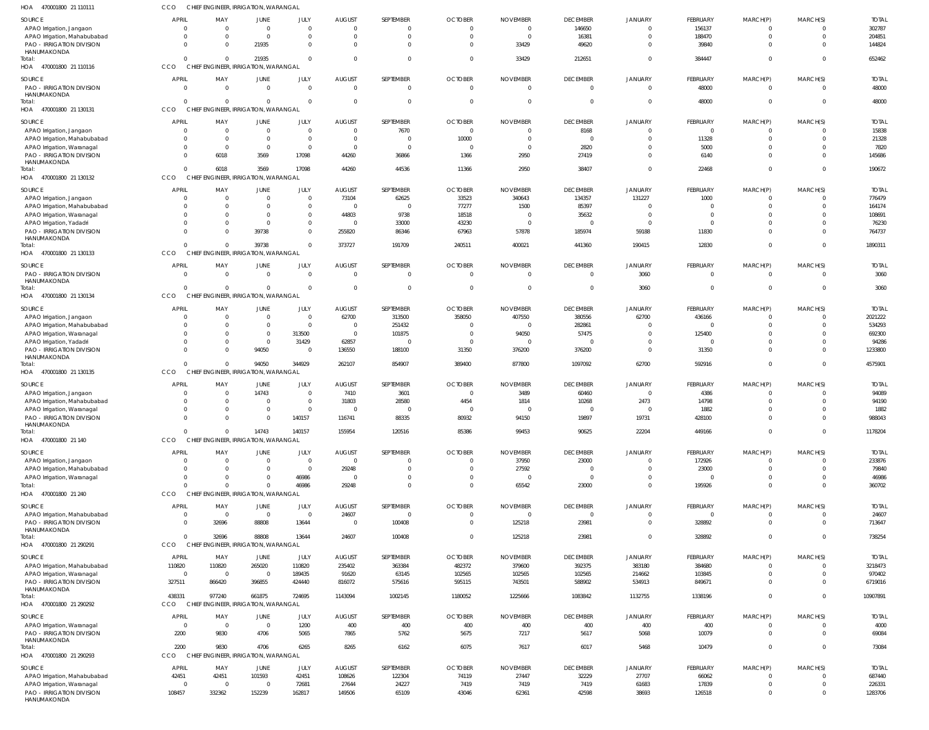| HOA<br>470001800 21 110111                                       | ссо                      |                        | CHIEF ENGINEER, IRRIGATION, WARANGAL          |                              |                           |                                  |                         |                          |                          |                            |                          |                         |                      |                        |
|------------------------------------------------------------------|--------------------------|------------------------|-----------------------------------------------|------------------------------|---------------------------|----------------------------------|-------------------------|--------------------------|--------------------------|----------------------------|--------------------------|-------------------------|----------------------|------------------------|
| SOURCE                                                           | <b>APRIL</b>             | MAY                    | <b>JUNE</b>                                   | JULY                         | <b>AUGUST</b>             | SEPTEMBER                        | <b>OCTOBER</b>          | <b>NOVEMBER</b>          | <b>DECEMBER</b>          | JANUARY                    | FEBRUARY                 | MARCH(P)                | MARCH(S)             | <b>TOTAI</b>           |
| APAO Irrigation, Jangaon                                         | $\Omega$                 | $\Omega$               | $\overline{0}$                                | $\mathbf{0}$                 | $\Omega$                  | $\overline{0}$                   | $\Omega$                | $\Omega$                 | 146650                   | $\overline{0}$             | 156137                   | 0                       | $\Omega$             | 302787                 |
| APAO Irrigation, Mahabubabad<br><b>PAO - IRRIGATION DIVISION</b> | $\mathbf{0}$<br>$\Omega$ | $\Omega$<br>$\Omega$   | $\overline{0}$<br>21935                       | $\mathbf{0}$<br>$\Omega$     | $\Omega$<br>$\Omega$      | $\overline{0}$<br>$\overline{0}$ | $\Omega$<br>$\Omega$    | $\Omega$<br>33429        | 16381<br>49620           | $\Omega$<br>$\Omega$       | 188470<br>39840          | $\mathbf 0$<br>$\Omega$ | $\Omega$<br>$\Omega$ | 204851<br>144824       |
| HANUMAKONDA                                                      |                          |                        |                                               |                              |                           |                                  |                         |                          |                          |                            |                          |                         |                      |                        |
| Total:                                                           | $\Omega$                 |                        | 21935                                         | $\Omega$                     | $\Omega$                  | $\overline{0}$                   | $\Omega$                | 33429                    | 212651                   | $\mathbf{0}$               | 384447                   | $\mathbf 0$             | $\Omega$             | 652462                 |
| HOA 470001800 21 110116                                          | CCO                      |                        | CHIEF ENGINEER, IRRIGATION, WARANGAL          |                              |                           |                                  |                         |                          |                          |                            |                          |                         |                      |                        |
| SOURCE                                                           | <b>APRIL</b>             | MAY                    | JUNE                                          | JULY                         | <b>AUGUST</b>             | SEPTEMBER                        | <b>OCTOBER</b>          | <b>NOVEMBER</b>          | <b>DECEMBER</b>          | <b>JANUARY</b>             | <b>FEBRUARY</b>          | MARCH(P)                | MARCH(S)             | <b>TOTAL</b>           |
| PAO - IRRIGATION DIVISION<br>HANUMAKONDA                         | $\overline{0}$           | $\Omega$               | $\mathbf{0}$                                  | $\mathbf 0$                  | $\Omega$                  | $\overline{0}$                   | $\Omega$                | $\Omega$                 | $\overline{0}$           | $\overline{0}$             | 48000                    | $\mathbf 0$             | $\Omega$             | 48000                  |
| Total:                                                           | $\overline{0}$           | $\Omega$               | $\mathbf{0}$                                  | $\mathbf 0$                  | $\Omega$                  | $\overline{0}$                   | $\Omega$                |                          | $\overline{0}$           | $\overline{0}$             | 48000                    | $\mathbf 0$             | $\Omega$             | 48000                  |
| 470001800 21 130131<br>HOA                                       | CCO                      |                        | CHIEF ENGINEER, IRRIGATION, WARANGAL          |                              |                           |                                  |                         |                          |                          |                            |                          |                         |                      |                        |
| SOURCE                                                           | <b>APRIL</b>             | MAY                    | JUNE                                          | JULY                         | <b>AUGUST</b>             | SEPTEMBER                        | <b>OCTOBER</b>          | <b>NOVEMBER</b>          | <b>DECEMBER</b>          | JANUARY                    | FEBRUARY                 | MARCH(P)                | MARCH(S)             | <b>TOTAL</b>           |
| APAO Irrigation, Jangaon                                         | $\mathbf{0}$             | $\Omega$               | $\overline{0}$                                | $\mathbf{0}$                 | $\Omega$                  | 7670                             | $\Omega$                |                          | 8168                     | $\Omega$                   | $\mathbf 0$              |                         |                      | 15838                  |
| APAO Irrigation, Mahabubabad                                     | $\Omega$                 | $\Omega$               | $\overline{0}$                                | $\mathbf 0$                  | $\Omega$                  | $\overline{0}$                   | 10000                   |                          | $\overline{0}$           | $\Omega$                   | 11328                    |                         | $\Omega$             | 21328                  |
| APAO Irrigation, Waranagal                                       | $\Omega$<br>$\mathbf 0$  | $\overline{0}$<br>6018 | $\overline{0}$<br>3569                        | $\mathbf{0}$<br>17098        | $\Omega$                  | $\overline{0}$                   | $\Omega$                | $\Omega$<br>2950         | 2820                     | $\Omega$<br>$\overline{0}$ | 5000<br>6140             | $\Omega$<br>$\Omega$    | $\Omega$<br>$\Omega$ | 7820                   |
| <b>PAO - IRRIGATION DIVISION</b><br>HANUMAKONDA                  |                          |                        |                                               |                              | 44260                     | 36866                            | 1366                    |                          | 27419                    |                            |                          |                         |                      | 145686                 |
| Total:                                                           | $\Omega$                 | 6018                   | 3569                                          | 17098                        | 44260                     | 44536                            | 11366                   | 2950                     | 38407                    | $\mathbf{0}$               | 22468                    | $\mathbf 0$             | $\Omega$             | 190672                 |
| HOA 470001800 21 130132                                          | CCO                      |                        | CHIEF ENGINEER, IRRIGATION, WARANGAL          |                              |                           |                                  |                         |                          |                          |                            |                          |                         |                      |                        |
| SOURCE                                                           | <b>APRIL</b>             | MAY                    | JUNE                                          | JULY                         | <b>AUGUST</b>             | SEPTEMBER                        | <b>OCTOBER</b>          | <b>NOVEMBER</b>          | <b>DECEMBER</b>          | <b>JANUARY</b>             | <b>FEBRUARY</b>          | MARCH(P)                | MARCH(S)             | <b>TOTAL</b>           |
| APAO Irrigation, Jangaon                                         | $\overline{0}$           | $\Omega$               | $\overline{0}$                                | $\mathbf 0$                  | 73104                     | 62625                            | 33523                   | 340643                   | 134357                   | 131227                     | 1000                     | 0                       | $\Omega$             | 776479                 |
| APAO Irrigation, Mahabubabad                                     | 0                        |                        | $\mathbf{0}$                                  | $\mathbf{0}$                 |                           | $\overline{0}$                   | 77277                   | 1500                     | 85397                    | $\Omega$                   | $\mathbf 0$              | $\Omega$                | $\Omega$             | 164174                 |
| APAO Irrigation, Waranagal<br>APAO Irrigation, Yadadr            | $\Omega$<br>$\Omega$     |                        | $\Omega$<br>$\overline{0}$                    | $\mathbf{0}$<br>$\mathbf{0}$ | 44803<br>$\Omega$         | 9738<br>33000                    | 18518<br>43230          | - 0                      | 35632<br>$\overline{0}$  | $\Omega$<br>$\Omega$       | $\mathbf 0$<br>$\Omega$  |                         | $\Omega$<br>$\Omega$ | 108691<br>76230        |
| <b>PAO - IRRIGATION DIVISION</b>                                 | $\Omega$                 |                        | 39738                                         | $\mathbf{0}$                 | 255820                    | 86346                            | 67963                   | 57878                    | 185974                   | 59188                      | 11830                    | $\Omega$                | $\Omega$             | 764737                 |
| HANUMAKONDA                                                      |                          |                        |                                               |                              |                           |                                  |                         |                          |                          |                            |                          |                         |                      |                        |
| Total:                                                           | $\Omega$                 | $\cap$                 | 39738                                         | $\mathbf 0$                  | 373727                    | 191709                           | 240511                  | 400021                   | 441360                   | 190415                     | 12830                    | $\mathbf 0$             | $\Omega$             | 1890311                |
| 470001800 21 130133<br>HOA                                       | CCO                      |                        | CHIEF ENGINEER, IRRIGATION, WARANGAL          |                              |                           |                                  |                         |                          |                          |                            |                          |                         |                      |                        |
| SOURCE                                                           | <b>APRIL</b>             | MAY                    | JUNE                                          | JULY                         | <b>AUGUST</b>             | SEPTEMBER                        | <b>OCTOBER</b>          | <b>NOVEMBER</b>          | <b>DECEMBER</b>          | JANUARY                    | FEBRUARY                 | MARCH(P)                | MARCH(S)             | <b>TOTAL</b>           |
| PAO - IRRIGATION DIVISION<br>HANUMAKONDA                         | $\Omega$                 | $\Omega$               | $\mathbf{0}$                                  | $\mathbf 0$                  | $\Omega$                  | $\overline{0}$                   | $\Omega$                | $\Omega$                 | $\overline{0}$           | 3060                       | $\mathbf 0$              | $\mathbf 0$             | $\Omega$             | 3060                   |
| Total:                                                           | $\Omega$                 | $\Omega$               | $\mathbf{0}$                                  | $\mathbf 0$                  | $\Omega$                  | $\overline{0}$                   | $\Omega$                | $\Omega$                 | $\overline{0}$           | 3060                       | $\mathbf 0$              | $\mathbf 0$             | $\Omega$             | 3060                   |
| HOA 470001800 21 130134                                          | CCO                      |                        | CHIEF ENGINEER, IRRIGATION, WARANGAL          |                              |                           |                                  |                         |                          |                          |                            |                          |                         |                      |                        |
| SOURCE                                                           | <b>APRIL</b>             | MAY                    | JUNE                                          | JULY                         | <b>AUGUST</b>             | SEPTEMBER                        | <b>OCTOBER</b>          | <b>NOVEMBER</b>          | <b>DECEMBER</b>          | JANUARY                    | FEBRUARY                 | MARCH(P)                | MARCH(S)             | <b>TOTAL</b>           |
| APAO Irrigation, Jangaon                                         | 0                        | $\Omega$               | $\overline{0}$                                | $\mathbf 0$                  | 62700                     | 313500                           | 358050                  | 407550                   | 380556                   | 62700                      | 436166                   | 0                       | $\Omega$             | 2021222                |
| APAO Irrigation, Mahabubabad                                     | $\Omega$                 |                        | $\overline{0}$                                | $\mathbf 0$                  | $\Omega$                  | 251432                           |                         |                          | 282861                   | $\Omega$                   | $\mathbf 0$              | $\Omega$                | $\Omega$             | 534293                 |
| APAO Irrigation, Waranagal                                       | $^{\circ}$               | $\Omega$               | $\overline{0}$                                | 313500                       | $\Omega$                  | 101875                           | $\Omega$                | 94050                    | 57475                    | $\overline{0}$<br>$\Omega$ | 125400                   |                         | $\Omega$<br>$\Omega$ | 692300                 |
| APAO Irrigation, Yadadri<br>PAO - IRRIGATION DIVISION            | $\mathbf{0}$<br>$\Omega$ |                        | $\overline{0}$<br>94050                       | 31429<br>$\mathbf{0}$        | 62857<br>136550           | $\overline{0}$<br>188100         | $\Omega$<br>31350       | 376200                   | $\overline{0}$<br>376200 | $\Omega$                   | $\mathbf 0$<br>31350     | $\Omega$                | $\Omega$             | 94286<br>1233800       |
| HANUMAKONDA                                                      |                          |                        |                                               |                              |                           |                                  |                         |                          |                          |                            |                          |                         |                      |                        |
| Total:                                                           | $\Omega$                 | $\Omega$               | 94050                                         | 344929                       | 262107                    | 854907                           | 389400                  | 877800                   | 1097092                  | 62700                      | 592916                   | $\mathbf 0$             | $\Omega$             | 4575901                |
| 470001800 21 130135<br>HOA                                       | CCO                      |                        | CHIEF ENGINEER, IRRIGATION, WARANGAL          |                              |                           |                                  |                         |                          |                          |                            |                          |                         |                      |                        |
| SOURCE                                                           | <b>APRIL</b>             | MAY                    | JUNE                                          | JULY                         | <b>AUGUST</b>             | SEPTEMBER                        | <b>OCTOBER</b>          | <b>NOVEMBER</b>          | <b>DECEMBER</b>          | JANUARY                    | FEBRUARY                 | MARCH(P)                | MARCH(S)             | <b>TOTAI</b>           |
| APAO Irrigation, Jangaon                                         | $\Omega$                 |                        | 14743                                         | $\mathbf{0}$                 | 7410                      | 3601                             | $\Omega$                | 3489                     | 60460                    | $\Omega$                   | 4386                     | $\Omega$<br>$\Omega$    | $\Omega$             | 94089                  |
| APAO Irrigation, Mahabubabad<br>APAO Irrigation, Waranagal       | $\Omega$<br>$\Omega$     | $\Omega$<br>$\Omega$   | $\Omega$<br>$\Omega$                          | $\mathbf{0}$<br>$\Omega$     | 31803<br>$\Omega$         | 28580<br>$\Omega$                | 4454<br>$\Omega$        | 1814<br>-C               | 10268<br>$\Omega$        | 2473<br>$\Omega$           | 14798<br>1882            |                         | $\Omega$             | 94190<br>1882          |
| <b>PAO - IRRIGATION DIVISION</b>                                 | $\Omega$                 | $\overline{0}$         | $\overline{0}$                                | 140157                       | 116741                    | 88335                            | 80932                   | 94150                    | 19897                    | 19731                      | 428100                   |                         | $\mathbf 0$          | 988043                 |
| HANUMAKONDA                                                      |                          |                        |                                               |                              |                           |                                  |                         |                          |                          |                            |                          |                         |                      |                        |
| Total:<br>HOA 470001800 21 140                                   | $\overline{0}$<br>CCO    | $\Omega$               | 14743<br>CHIEF ENGINEER, IRRIGATION, WARANGAL | 140157                       | 155954                    | 120516                           | 85386                   | 99453                    | 90625                    | 22204                      | 449166                   | $\mathbf 0$             | $\overline{0}$       | 1178204                |
|                                                                  |                          |                        |                                               |                              |                           |                                  |                         |                          |                          |                            |                          |                         |                      |                        |
| SOURCE                                                           | APRIL                    | MAY<br>$\Omega$        | <b>JUNE</b>                                   | JULY<br>$\overline{0}$       | <b>AUGUST</b><br>$\Omega$ | SEPTEMBER<br>$\overline{0}$      | <b>OCTOBER</b>          | <b>NOVEMBER</b>          | <b>DECEMBER</b>          | <b>JANUARY</b>             | <b>FEBRUARY</b>          | MARCH(P)                | MARCH(S)<br>$\Omega$ | <b>TOTAL</b><br>233876 |
| APAO Irrigation, Jangaon<br>APAO Irrigation, Mahabubabad         | 0<br>$\Omega$            | $\Omega$               | $\overline{0}$<br>$\overline{0}$              | $\overline{0}$               | 29248                     | $\mathbf 0$                      | $\Omega$                | 37950<br>27592           | 23000<br>$\overline{0}$  | $\mathbf{0}$<br>$\Omega$   | 172926<br>23000          | 0<br>$\mathbf 0$        | $\Omega$             | 79840                  |
| APAO Irrigation, Waranagal                                       | $\mathbf{0}$             | $\Omega$               | $\mathbf 0$                                   | 46986                        | $\Omega$                  | $\mathbf 0$                      | $\Omega$                | - 0                      | $\overline{0}$           | $\overline{0}$             | $^{\circ}$               | $\mathbf 0$             | $\Omega$             | 46986                  |
| Total:                                                           | $\Omega$                 |                        | $\Omega$                                      | 46986                        | 29248                     | $\mathbf 0$                      | $\Omega$                | 65542                    | 23000                    | $\overline{0}$             | 195926                   | $\mathbf 0$             | $\Omega$             | 360702                 |
| HOA 470001800 21 240                                             | CCO                      |                        | CHIEF ENGINEER, IRRIGATION, WARANGAL          |                              |                           |                                  |                         |                          |                          |                            |                          |                         |                      |                        |
| SOURCE                                                           | <b>APRIL</b>             | MAY                    | JUNE                                          | JULY                         | <b>AUGUST</b>             | SEPTEMBER                        | <b>OCTOBER</b>          | <b>NOVEMBER</b>          | <b>DECEMBER</b>          | <b>JANUARY</b>             | <b>FEBRUARY</b>          | MARCH(P)                | MARCH(S)             | <b>TOTAL</b>           |
| APAO Irrigation, Mahabubabad                                     | $\overline{0}$           | $\overline{0}$         | $\overline{0}$                                | $\mathbf 0$                  | 24607                     | $\overline{0}$                   | $\Omega$                | $\overline{0}$           | $\overline{0}$           | $\overline{0}$             | $\overline{0}$           | $\mathbf 0$             | $\Omega$             | 24607                  |
| <b>PAO - IRRIGATION DIVISION</b>                                 | $\mathbf{0}$             | 32696                  | 88808                                         | 13644                        | $\Omega$                  | 100408                           | $\Omega$                | 125218                   | 23981                    | $\overline{0}$             | 328892                   | $\mathbf 0$             | $\Omega$             | 713647                 |
| HANUMAKONDA<br>Total:                                            | $\Omega$                 | 32696                  | 88808                                         | 13644                        | 24607                     | 100408                           | $\Omega$                | 125218                   | 23981                    | $\mathbf{0}$               | 328892                   | $\mathbf 0$             | $\Omega$             | 738254                 |
| HOA 470001800 21 290291                                          | CCO                      |                        | CHIEF ENGINEER, IRRIGATION, WARANGAL          |                              |                           |                                  |                         |                          |                          |                            |                          |                         |                      |                        |
| SOURCE                                                           | <b>APRIL</b>             | MAY                    | JUNE                                          | JULY                         | <b>AUGUST</b>             | SEPTEMBER                        | <b>OCTOBER</b>          | <b>NOVEMBER</b>          | <b>DECEMBER</b>          | <b>JANUARY</b>             | <b>FEBRUARY</b>          | MARCH(P)                | MARCH(S)             | <b>TOTAL</b>           |
| APAO Irrigation, Mahabubabad                                     | 110820                   | 110820                 | 265020                                        | 110820                       | 235402                    | 363384                           | 482372                  | 379600                   | 392375                   | 383180                     | 384680                   | $\mathbf 0$             | $\Omega$             | 3218473                |
| APAO Irrigation, Waranagal                                       | $\mathbf 0$              | $\Omega$               | $\overline{0}$                                | 189435                       | 91620                     | 63145                            | 102565                  | 102565                   | 102565                   | 214662                     | 103845                   | $\mathbf 0$             | $\Omega$             | 970402                 |
| PAO - IRRIGATION DIVISION                                        | 327511                   | 866420                 | 396855                                        | 424440                       | 816072                    | 575616                           | 595115                  | 743501                   | 588902                   | 534913                     | 849671                   | $\mathbf 0$             | $\Omega$             | 6719016                |
| HANUMAKONDA<br>Total:                                            | 438331                   | 977240                 | 661875                                        | 724695                       | 1143094                   | 1002145                          | 1180052                 | 1225666                  | 1083842                  | 1132755                    | 1338196                  | $\mathbf 0$             | $\Omega$             | 10907891               |
| HOA 470001800 21 290292                                          | CCO                      |                        | CHIEF ENGINEER, IRRIGATION, WARANGAL          |                              |                           |                                  |                         |                          |                          |                            |                          |                         |                      |                        |
| SOURCE                                                           | <b>APRIL</b>             | MAY                    | JUNE                                          | JULY                         | <b>AUGUST</b>             | SEPTEMBER                        | <b>OCTOBER</b>          | <b>NOVEMBER</b>          | <b>DECEMBER</b>          | <b>JANUARY</b>             | <b>FEBRUARY</b>          | MARCH(P)                | MARCH(S)             | <b>TOTAL</b>           |
| APAO Irrigation, Waranagal                                       | $\overline{0}$           | $\overline{0}$         | $\overline{0}$                                | 1200                         | 400                       | 400                              | 400                     | 400                      | 400                      | 400                        | 400                      | $\mathbf 0$             | $\Omega$             | 4000                   |
| PAO - IRRIGATION DIVISION                                        | 2200                     | 9830                   | 4706                                          | 5065                         | 7865                      | 5762                             | 5675                    | 7217                     | 5617                     | 5068                       | 10079                    | $\mathbf 0$             | $\Omega$             | 69084                  |
| HANUMAKONDA<br>Total:                                            | 2200                     | 9830                   | 4706                                          | 6265                         | 8265                      | 6162                             | 6075                    | 7617                     | 6017                     | 5468                       | 10479                    | $\mathbf 0$             | $\Omega$             | 73084                  |
| HOA 470001800 21 290293                                          | CCO                      |                        | CHIEF ENGINEER, IRRIGATION, WARANGAL          |                              |                           |                                  |                         |                          |                          |                            |                          |                         |                      |                        |
|                                                                  |                          |                        |                                               |                              |                           |                                  |                         |                          |                          |                            |                          |                         |                      |                        |
| SOURCE<br>APAO Irrigation, Mahabubabad                           | <b>APRIL</b><br>42451    | MAY<br>42451           | JUNE<br>101593                                | JULY<br>42451                | <b>AUGUST</b><br>108626   | SEPTEMBER<br>122304              | <b>OCTOBER</b><br>74119 | <b>NOVEMBER</b><br>27447 | <b>DECEMBER</b><br>32229 | <b>JANUARY</b><br>27707    | <b>FEBRUARY</b><br>66062 | MARCH(P)<br>$\mathbf 0$ | MARCH(S)<br>$\Omega$ | <b>TOTAL</b><br>687440 |
| APAO Irrigation, Waranagal                                       | $\mathbf 0$              | $\Omega$               | $\overline{0}$                                | 72681                        | 27644                     | 24227                            | 7419                    | 7419                     | 7419                     | 61683                      | 17839                    | $\mathbf 0$             | $\Omega$             | 226331                 |
| PAO - IRRIGATION DIVISION<br>HANUMAKONDA                         | 108457                   | 332362                 | 152239                                        | 162817                       | 149506                    | 65109                            | 43046                   | 62361                    | 42598                    | 38693                      | 126518                   | $\mathbf 0$             | $\Omega$             | 1283706                |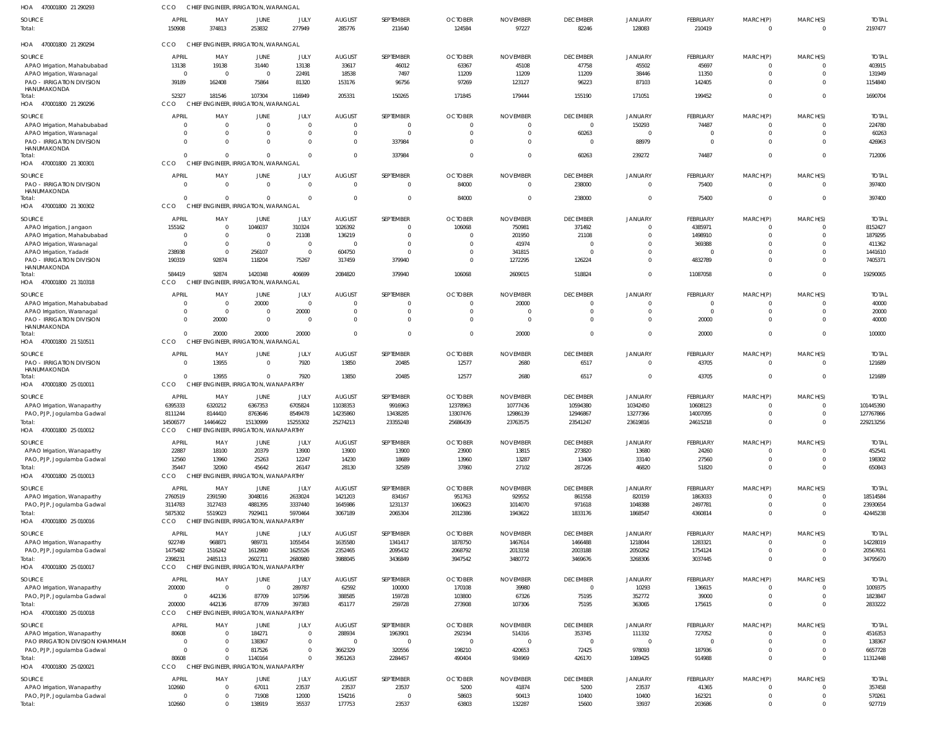| HOA<br>470001800 21 290293                               | CCO                    |                        | CHIEF ENGINEER, IRRIGATION, WARANGAL     |                |                          |                     |                          |                           |                           |                     |                           |                      |                            |                         |
|----------------------------------------------------------|------------------------|------------------------|------------------------------------------|----------------|--------------------------|---------------------|--------------------------|---------------------------|---------------------------|---------------------|---------------------------|----------------------|----------------------------|-------------------------|
| SOURCE<br>Total:                                         | <b>APRIL</b><br>150908 | MAY<br>374813          | JUNE<br>253832                           | JULY<br>277949 | <b>AUGUST</b><br>285776  | SEPTEMBER<br>211640 | <b>OCTOBER</b><br>124584 | <b>NOVEMBER</b><br>97227  | <b>DECEMBER</b><br>82246  | JANUARY<br>128083   | <b>FEBRUARY</b><br>210419 | MARCH(P)<br>$\Omega$ | MARCH(S)<br>$\overline{0}$ | <b>TOTAL</b><br>2197477 |
| HOA 470001800 21 290294                                  | CCO                    |                        | CHIEF ENGINEER, IRRIGATION, WARANGAL     |                |                          |                     |                          |                           |                           |                     |                           |                      |                            |                         |
| SOURCE                                                   | <b>APRIL</b>           | MAY                    | JUNE                                     | JULY           | <b>AUGUST</b>            | SEPTEMBER           | <b>OCTOBER</b>           | <b>NOVEMBER</b>           | <b>DECEMBER</b>           | <b>JANUARY</b>      | <b>FEBRUARY</b>           | MARCH(P)             | MARCH(S)                   | <b>TOTAL</b>            |
| APAO Irrigation, Mahabubabad                             | 13138                  | 19138                  | 31440                                    | 13138          | 33617                    | 46012               | 63367                    | 45108                     | 47758                     | 45502               | 45697                     | 0                    | $\Omega$                   | 403915                  |
| APAO Irrigation, Waranagal                               | $\overline{0}$         | $\overline{0}$         | $\Omega$                                 | 22491          | 18538                    | 7497                | 11209                    | 11209                     | 11209                     | 38446               | 11350                     | $\mathbf 0$          | $\Omega$                   | 131949                  |
| PAO - IRRIGATION DIVISION                                | 39189                  | 162408                 | 75864                                    | 81320          | 153176                   | 96756               | 97269                    | 123127                    | 96223                     | 87103               | 142405                    | $\mathbf{0}$         | $\Omega$                   | 1154840                 |
| HANUMAKONDA                                              |                        |                        |                                          |                |                          |                     |                          |                           |                           |                     |                           |                      |                            |                         |
| Total:<br>HOA 470001800 21 290296                        | 52327<br>CCO           | 181546<br><b>CHIEF</b> | 107304<br>ENGINEER, IRRIGATION, WARANGAL | 116949         | 205331                   | 150265              | 171845                   | 179444                    | 155190                    | 171051              | 199452                    | $\mathbf 0$          | $\Omega$                   | 1690704                 |
| SOURCE                                                   | <b>APRIL</b>           | MAY                    | JUNE                                     | JULY           | <b>AUGUST</b>            | SEPTEMBER           | <b>OCTOBER</b>           | <b>NOVEMBER</b>           | <b>DECEMBER</b>           | <b>JANUARY</b>      | <b>FEBRUARY</b>           | MARCH(P)             | MARCH(S)                   | <b>TOTAL</b>            |
| APAO Irrigation, Mahabubabad                             | U                      | $\Omega$               | $\Omega$                                 | $\Omega$       | $\Omega$                 | $\mathbf 0$         |                          |                           | $\overline{0}$            | 150293              | 74487                     | 0                    | $\Omega$                   | 224780                  |
| APAO Irrigation, Waranagal                               | U                      | $\Omega$               |                                          | $\Omega$       |                          | $\Omega$            |                          |                           | 60263                     | $\Omega$            | 0                         | $\mathbf 0$          | $\Omega$                   | 60263                   |
| <b>PAO - IRRIGATION DIVISION</b>                         | $\Omega$               | $\Omega$               |                                          | $\Omega$       | $\Omega$                 | 337984              |                          |                           | $\overline{0}$            | 88979               | $\overline{0}$            | $\Omega$             | $\Omega$                   | 426963                  |
| HANUMAKONDA<br>Total:                                    | $\Omega$               | $\Omega$               | $\Omega$                                 | $\Omega$       | $\Omega$                 | 337984              |                          |                           | 60263                     | 239272              | 74487                     | $\Omega$             | $\Omega$                   | 712006                  |
| HOA<br>470001800 21 300301                               | CCO                    |                        | CHIEF ENGINEER, IRRIGATION, WARANGAL     |                |                          |                     |                          |                           |                           |                     |                           |                      |                            |                         |
|                                                          |                        |                        |                                          |                |                          |                     |                          |                           |                           |                     |                           |                      |                            |                         |
| SOURCE                                                   | <b>APRIL</b>           | MAY                    | JUNE                                     | JULY           | <b>AUGUST</b>            | SEPTEMBER           | <b>OCTOBER</b>           | <b>NOVEMBER</b>           | <b>DECEMBER</b>           | <b>JANUARY</b>      | <b>FEBRUARY</b>           | MARCH(P)             | MARCH(S)                   | <b>TOTAL</b>            |
| <b>PAO - IRRIGATION DIVISION</b><br>HANUMAKONDA          | $\Omega$               | $\Omega$               | $\Omega$                                 | $\mathbf{0}$   | $\Omega$                 | $\mathbf 0$         | 84000                    | $\Omega$                  | 238000                    | $\overline{0}$      | 75400                     | $\mathbf{0}$         | $\Omega$                   | 397400                  |
| Total:                                                   | $\Omega$               | $\Omega$               | $\Omega$                                 | $\overline{0}$ | $\Omega$                 | $\mathbf 0$         | 84000                    |                           | 238000                    | $\overline{0}$      | 75400                     | $\mathbf 0$          | $\overline{0}$             | 397400                  |
| HOA 470001800 21 300302                                  | CCO                    |                        | CHIEF ENGINEER, IRRIGATION, WARANGAL     |                |                          |                     |                          |                           |                           |                     |                           |                      |                            |                         |
|                                                          | <b>APRIL</b>           |                        |                                          |                |                          | SEPTEMBER           |                          |                           |                           |                     |                           |                      | MARCH(S)                   |                         |
| SOURCE                                                   | 155162                 | MAY<br>$\Omega$        | JUNE<br>1046037                          | JULY<br>310324 | <b>AUGUST</b><br>1026392 | $\Omega$            | <b>OCTOBER</b><br>106068 | <b>NOVEMBER</b><br>750981 | <b>DECEMBER</b><br>371492 | JANUARY<br>$\Omega$ | FEBRUARY<br>4385971       | MARCH(P)<br>$\Omega$ | $\Omega$                   | <b>TOTAL</b><br>8152427 |
| APAO Irrigation, Jangaon<br>APAO Irrigation, Mahabubabad | $\Omega$               | $\Omega$               | $\Omega$                                 | 21108          | 136219                   | $\Omega$            |                          | 201950                    | 21108                     | $\Omega$            | 1498910                   | $\Omega$             | $\Omega$                   | 1879295                 |
| APAO Irrigation, Waranagal                               | $\Omega$               | $\Omega$               | $\Omega$                                 | $\overline{0}$ |                          | $\Omega$            |                          | 41974                     | $\Omega$                  | $\Omega$            | 369388                    | $\Omega$             | $\Omega$                   | 411362                  |
| APAO Irrigation, Yadadri                                 | 238938                 | $\Omega$               | 256107                                   | $\overline{0}$ | 604750                   | $\Omega$            |                          | 341815                    | $\Omega$                  | $\mathbf 0$         | $\Omega$                  | $\Omega$             | $\Omega$                   | 1441610                 |
| <b>PAO - IRRIGATION DIVISION</b>                         | 190319                 | 92874                  | 118204                                   | 75267          | 317459                   | 379940              | $\Omega$                 | 1272295                   | 126224                    | $\overline{0}$      | 4832789                   | $\Omega$             | $\Omega$                   | 7405371                 |
| HANUMAKONDA                                              |                        |                        |                                          |                |                          |                     |                          |                           |                           |                     |                           |                      |                            |                         |
| Total:                                                   | 584419                 | 92874                  | 1420348                                  | 406699         | 2084820                  | 379940              | 106068                   | 2609015                   | 518824                    | $\mathbf 0$         | 11087058                  | $\Omega$             | $\Omega$                   | 19290065                |
| HOA 470001800 21 310318                                  | CCO                    |                        | CHIEF ENGINEER, IRRIGATION, WARANGAL     |                |                          |                     |                          |                           |                           |                     |                           |                      |                            |                         |
| SOURCE                                                   | <b>APRIL</b>           | MAY                    | JUNE                                     | JULY           | <b>AUGUST</b>            | SEPTEMBER           | <b>OCTOBER</b>           | <b>NOVEMBER</b>           | <b>DECEMBER</b>           | <b>JANUARY</b>      | <b>FEBRUARY</b>           | MARCH(P)             | MARCH(S)                   | <b>TOTAL</b>            |
| APAO Irrigation, Mahabubabad                             | 0                      | $\Omega$               | 20000                                    | $\overline{0}$ |                          | $\mathbf 0$         |                          | 20000                     | $\overline{0}$            | $\mathbf 0$         | $\mathbf 0$               | 0                    | $\Omega$                   | 40000                   |
| APAO Irrigation, Waranagal                               | $\mathbf 0$            | $\overline{0}$         | $\Omega$                                 | 20000          | $\Omega$                 | $\mathbf 0$         |                          | - (                       | $\overline{0}$            | $\overline{0}$      | $\mathbf 0$               | $\mathbf 0$          | $\Omega$                   | 20000                   |
| <b>PAO - IRRIGATION DIVISION</b>                         | $\Omega$               | 20000                  | $\Omega$                                 | $\Omega$       | $\Omega$                 | $\mathbf 0$         |                          | $\cup$                    | $\Omega$                  | $\overline{0}$      | 20000                     | $\mathbf{0}$         | $\Omega$                   | 40000                   |
| HANUMAKONDA<br>Total:                                    | $\Omega$               | 20000                  | 20000                                    | 20000          | $\Omega$                 | $\mathbf 0$         | $\Omega$                 | 20000                     | $\overline{0}$            | $\overline{0}$      | 20000                     | $\mathbf 0$          | $\overline{0}$             | 100000                  |
| HOA 470001800 21 510511                                  | CCO                    |                        | CHIEF ENGINEER, IRRIGATION, WARANGAL     |                |                          |                     |                          |                           |                           |                     |                           |                      |                            |                         |
|                                                          |                        |                        |                                          |                |                          |                     |                          |                           |                           |                     |                           |                      |                            |                         |
| <b>SOURCE</b>                                            | <b>APRIL</b>           | MAY                    | JUNE                                     | JULY           | <b>AUGUST</b>            | SEPTEMBER           | <b>OCTOBER</b>           | <b>NOVEMBER</b>           | <b>DECEMBER</b>           | <b>JANUARY</b>      | <b>FEBRUARY</b>           | MARCH(P)             | MARCH(S)                   | <b>TOTAL</b>            |
| <b>PAO - IRRIGATION DIVISION</b><br>HANUMAKONDA          | $\mathbf 0$            | 13955                  | $\Omega$                                 | 7920           | 13850                    | 20485               | 12577                    | 2680                      | 6517                      | $\overline{0}$      | 43705                     | $\mathbf{0}$         | $\mathbf{0}$               | 121689                  |
| Total                                                    | $\Omega$               | 13955                  | $\Omega$                                 | 7920           | 13850                    | 20485               | 12577                    | 2680                      | 6517                      | $\overline{0}$      | 43705                     | $\mathbf{0}$         | $\mathbf{0}$               | 121689                  |
| HOA 470001800 25 010011                                  | CCO                    |                        | CHIEF ENGINEER, IRRIGATION, WANAPARTHY   |                |                          |                     |                          |                           |                           |                     |                           |                      |                            |                         |
| SOURCE                                                   | <b>APRIL</b>           | MAY                    | JUNE                                     | JULY           | <b>AUGUST</b>            | SEPTEMBER           | <b>OCTOBER</b>           | <b>NOVEMBER</b>           | <b>DECEMBER</b>           | <b>JANUARY</b>      | <b>FEBRUARY</b>           | MARCH(P)             | MARCH(S)                   | <b>TOTAL</b>            |
| APAO Irrigation, Wanaparthy                              | 6395333                | 6320212                | 6367353                                  | 6705824        | 11038353                 | 9916963             | 12378963                 | 10777436                  | 10594380                  | 10342450            | 10608123                  | 0                    | $\Omega$                   | 101445390               |
| PAO, PJP, Jogulamba Gadwal                               | 8111244                | 8144410                | 8763646                                  | 8549478        | 14235860                 | 13438285            | 13307476                 | 12986139                  | 12946867                  | 13277366            | 14007095                  | $\Omega$             | $\Omega$                   | 127767866               |
| Total                                                    | 14506577               | 14464622               | 15130999                                 | 15255302       | 25274213                 | 23355248            | 25686439                 | 23763575                  | 23541247                  | 23619816            | 24615218                  | $\mathbf 0$          | $\overline{0}$             | 229213256               |
| HOA<br>470001800 25 010012                               | <b>CCO</b>             |                        | CHIEF ENGINEER, IRRIGATION, WANAPARTHY   |                |                          |                     |                          |                           |                           |                     |                           |                      |                            |                         |
| SOURCE                                                   | <b>APRIL</b>           | MAY                    | JUNE                                     | JULY           | <b>AUGUST</b>            | SEPTEMBER           | <b>OCTOBER</b>           | <b>NOVEMBER</b>           | <b>DECEMBER</b>           | <b>JANUARY</b>      | <b>FEBRUARY</b>           | MARCH(P)             | MARCH(S)                   | <b>TOTAL</b>            |
| APAO Irrigation, Wanaparthy                              | 22887                  | 18100                  | 20379                                    | 13900          | 13900                    | 13900               | 23900                    | 13815                     | 273820                    | 13680               | 24260                     | $\mathbf 0$          | $\Omega$                   | 452541                  |
| PAO, PJP, Jogulamba Gadwal                               | 12560                  | 13960                  | 25263                                    | 12247          | 14230                    | 18689               | 13960                    | 13287                     | 13406                     | 33140               | 27560                     | $\mathbf{0}$         | $\mathbf{0}$               | 198302                  |
| Total:                                                   | 35447                  | 32060                  | 45642                                    | 26147          | 28130                    | 32589               | 37860                    | 27102                     | 287226                    | 46820               | 51820                     | $\mathbf 0$          | $\overline{0}$             | 650843                  |
| HOA 470001800 25 010013                                  | CCO                    |                        | CHIEF ENGINEER, IRRIGATION, WANAPARTHY   |                |                          |                     |                          |                           |                           |                     |                           |                      |                            |                         |
| SOURCE                                                   | APRIL                  | MAY                    | JUNE                                     | JULY           | <b>AUGUST</b>            | SEPTEMBER           | <b>OCTOBER</b>           | <b>NOVEMBER</b>           | <b>DECEMBER</b>           | <b>JANUARY</b>      | <b>FEBRUARY</b>           | MARCH(P)             | MARCH(S)                   | <b>TOTAL</b>            |
| APAO Irrigation, Wanaparthy                              | 2760519                | 2391590                | 3048016                                  | 2633024        | 1421203                  | 834167              | 951763                   | 929552                    | 861558                    | 820159              | 1863033                   | 0                    | $\Omega$                   | 18514584                |
| PAO, PJP, Jogulamba Gadwal                               | 3114783                | 3127433                | 4881395                                  | 3337440        | 1645986                  | 1231137             | 1060623                  | 1014070                   | 971618                    | 1048388             | 2497781                   | $\mathbf{0}$         | $\overline{0}$             | 23930654                |
| Total:                                                   | 5875302                | 5519023                | 7929411                                  | 5970464        | 3067189                  | 2065304             | 2012386                  | 1943622                   | 1833176                   | 1868547             | 4360814                   | $\mathbf{0}$         | $\Omega$                   | 42445238                |
| HOA 470001800 25 010016                                  | <b>CCO</b>             |                        | CHIEF ENGINEER, IRRIGATION, WANAPARTHY   |                |                          |                     |                          |                           |                           |                     |                           |                      |                            |                         |
| SOURCE                                                   | <b>APRIL</b>           | MAY                    | JUNE                                     | JULY           | <b>AUGUST</b>            | SEPTEMBER           | <b>OCTOBER</b>           | <b>NOVEMBER</b>           | <b>DECEMBER</b>           | JANUARY             | <b>FEBRUARY</b>           | MARCH(P)             | MARCH(S)                   | <b>TOTAL</b>            |
| APAO Irrigation, Wanaparthy                              | 922749                 | 968871                 | 989731                                   | 1055454        | 1635580                  | 1341417             | 1878750                  | 1467614                   | 1466488                   | 1218044             | 1283321                   | $\Omega$             | $\Omega$                   | 14228019                |
| PAO, PJP, Jogulamba Gadwal                               | 1475482                | 1516242                | 1612980                                  | 1625526        | 2352465                  | 2095432             | 2068792                  | 2013158                   | 2003188                   | 2050262             | 1754124                   | $\mathbf 0$          | $\Omega$                   | 20567651                |
| Total:                                                   | 2398231                | 2485113                | 2602711                                  | 2680980        | 3988045                  | 3436849             | 3947542                  | 3480772                   | 3469676                   | 3268306             | 3037445                   | $\Omega$             | $\Omega$                   | 34795670                |
| HOA 470001800 25 010017                                  | <b>CCO</b>             |                        | CHIEF ENGINEER, IRRIGATION, WANAPARTHY   |                |                          |                     |                          |                           |                           |                     |                           |                      |                            |                         |
| SOURCE                                                   | <b>APRIL</b>           | MAY                    | JUNE                                     | JULY           | <b>AUGUST</b>            | SEPTEMBER           | <b>OCTOBER</b>           | <b>NOVEMBER</b>           | <b>DECEMBER</b>           | <b>JANUARY</b>      | <b>FEBRUARY</b>           | MARCH(P)             | MARCH(S)                   | <b>TOTAL</b>            |
| APAO Irrigation, Wanaparthy                              | 200000                 | 0                      | $\mathbf{0}$                             | 289787         | 62592                    | 100000              | 170108                   | 39980                     | $\overline{0}$            | 10293               | 136615                    | $\mathbf 0$          | $\Omega$                   | 1009375                 |
| PAO, PJP, Jogulamba Gadwal                               | $\mathbf 0$            | 442136                 | 87709                                    | 107596         | 388585                   | 159728              | 103800                   | 67326                     | 75195                     | 352772              | 39000                     | $\mathbf 0$          | $\mathbf{0}$               | 1823847                 |
| Total:                                                   | 200000                 | 442136                 | 87709                                    | 397383         | 451177                   | 259728              | 273908                   | 107306                    | 75195                     | 363065              | 175615                    | $\mathbf 0$          | $\overline{0}$             | 2833222                 |
| HOA 470001800 25 010018                                  | CCO                    |                        | CHIEF ENGINEER, IRRIGATION, WANAPARTHY   |                |                          |                     |                          |                           |                           |                     |                           |                      |                            |                         |
| SOURCE                                                   | <b>APRIL</b>           | MAY                    | JUNE                                     | JULY           | <b>AUGUST</b>            | SEPTEMBER           | <b>OCTOBER</b>           | <b>NOVEMBER</b>           | <b>DECEMBER</b>           | <b>JANUARY</b>      | <b>FEBRUARY</b>           | MARCH(P)             | MARCH(S)                   | <b>TOTAL</b>            |
| APAO Irrigation, Wanaparthy                              | 80608                  | $\Omega$               | 184271                                   | $\Omega$       | 288934                   | 1963901             | 292194                   | 514316                    | 353745                    | 111332              | 727052                    | $\Omega$             | $\Omega$                   | 4516353                 |
| PAO IRRIGATION DIVISION KHAMMAM                          | $\Omega$               | $\Omega$               | 138367                                   | $\Omega$       |                          | $\Omega$            |                          |                           | $\overline{0}$            | $\Omega$            | $\Omega$                  | $\Omega$             | $\Omega$                   | 138367                  |
| PAO, PJP, Jogulamba Gadwal                               | $\Omega$               | $\Omega$               | 817526                                   | $\Omega$       | 3662329                  | 320556              | 198210                   | 420653                    | 72425                     | 978093              | 187936                    | $\mathbf 0$          | $\Omega$                   | 6657728                 |
| Total:                                                   | 80608                  | $\Omega$               | 1140164                                  | $\Omega$       | 3951263                  | 2284457             | 490404                   | 934969                    | 426170                    | 1089425             | 914988                    | $\Omega$             | $\Omega$                   | 11312448                |
| HOA 470001800 25 020021                                  | <b>CCO</b>             |                        | CHIEF ENGINEER, IRRIGATION, WANAPARTHY   |                |                          |                     |                          |                           |                           |                     |                           |                      |                            |                         |
| SOURCE                                                   | <b>APRIL</b>           | MAY                    | JUNE                                     | JULY           | <b>AUGUST</b>            | SEPTEMBER           | <b>OCTOBER</b>           | <b>NOVEMBER</b>           | <b>DECEMBER</b>           | <b>JANUARY</b>      | <b>FEBRUARY</b>           | MARCH(P)             | MARCH(S)                   | <b>TOTAL</b>            |
| APAO Irrigation, Wanaparthy                              | 102660                 | 0                      | 67011                                    | 23537          | 23537                    | 23537               | 5200                     | 41874                     | 5200                      | 23537               | 41365                     | $\mathbf 0$          | $\Omega$                   | 357458                  |
| PAO, PJP, Jogulamba Gadwal                               | $\mathbf 0$            | $\Omega$               | 71908                                    | 12000          | 154216                   | $\mathbf 0$         | 58603                    | 90413                     | 10400                     | 10400               | 162321                    | $\mathbf 0$          | $\mathbf{0}$               | 570261                  |
| Total:                                                   | 102660                 | $\Omega$               | 138919                                   | 35537          | 177753                   | 23537               | 63803                    | 132287                    | 15600                     | 33937               | 203686                    | $\mathbf 0$          | $\mathbf{0}$               | 927719                  |
|                                                          |                        |                        |                                          |                |                          |                     |                          |                           |                           |                     |                           |                      |                            |                         |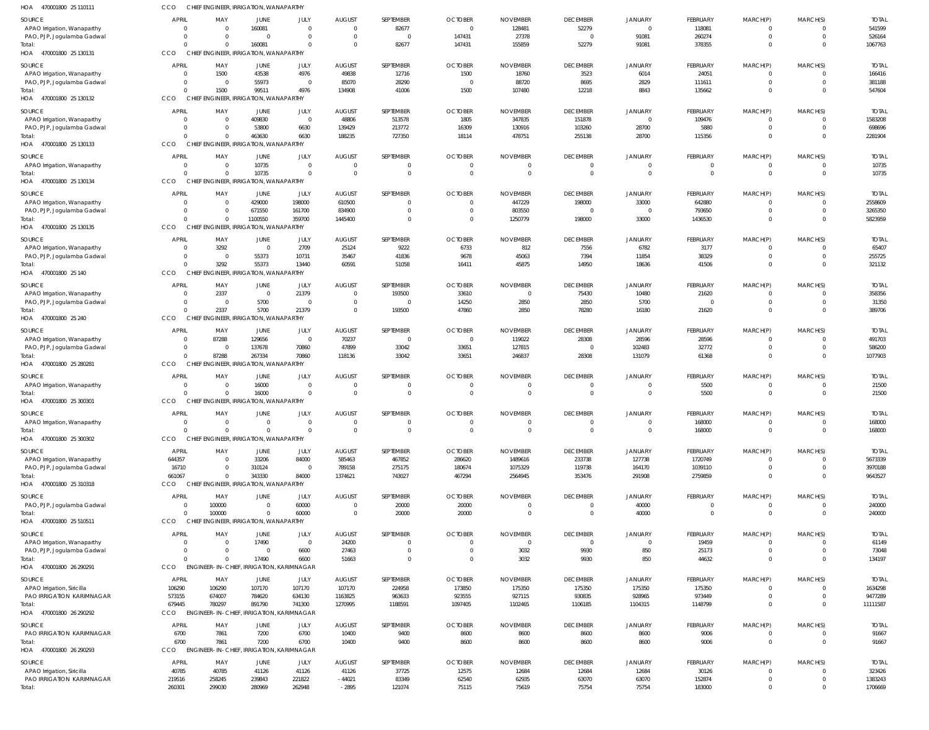| <b>APRIL</b><br><b>AUGUST</b><br>SEPTEMBER<br><b>OCTOBER</b><br><b>DECEMBER</b><br>SOURCE<br>MAY<br>JUNE<br>JULY<br><b>NOVEMBER</b><br><b>JANUARY</b><br><b>FEBRUARY</b><br>82677<br>52279<br>160081<br>128481<br>118081<br>APAO Irrigation, Wanaparthy<br>$\Omega$<br>$\Omega$<br>$\Omega$<br>$\overline{0}$<br>$\Omega$<br>$\Omega$<br>147431<br>91081<br>$\overline{0}$<br>27378<br>$\overline{0}$<br>260274<br>PAO, PJP, Jogulamba Gadwal<br>$\Omega$<br>$\Omega$<br>$\Omega$<br>$\Omega$<br>$\Omega$<br>160081<br>82677<br>147431<br>155859<br>52279<br>91081<br>378355<br>$\Omega$<br>Total:<br>$\Omega$<br>$\Omega$<br>$\Omega$<br>CHIEF ENGINEER, IRRIGATION, WANAPARTHY<br>HOA 470001800 25 130131<br>CCO<br><b>APRIL</b><br><b>AUGUST</b><br>SEPTEMBER<br><b>OCTOBER</b><br><b>DECEMBER</b><br>SOURCE<br>MAY<br>JUNE<br>JULY<br><b>NOVEMBER</b><br>JANUARY<br>FEBRUARY<br>43538<br>4976<br>49838<br>1500<br>12716<br>1500<br>18760<br>3523<br>6014<br>24051<br>APAO Irrigation, Wanaparthy<br>- 0<br>55973<br>85070<br>28290<br>88720<br>8695<br>2829<br>111611<br>PAO, PJP, Jogulamba Gadwal<br>$\circ$<br>$\overline{0}$<br>$\overline{0}$<br>$\Omega$<br>99511<br>4976<br>1500<br>1500<br>134908<br>41006<br>107480<br>12218<br>8843<br>135662<br>$\Omega$<br>Total:<br>HOA 470001800 25 130132<br>CCO<br>CHIEF ENGINEER, IRRIGATION, WANAPARTHY<br><b>APRIL</b><br>JULY<br><b>AUGUST</b><br><b>OCTOBER</b><br><b>NOVEMBER</b><br>SOURCE<br>MAY<br>JUNE<br>SEPTEMBER<br><b>DECEMBER</b><br>JANUARY<br>FEBRUARY<br>409830<br>$\overline{0}$<br>48806<br>513578<br>1805<br>347835<br>151878<br>109476<br>APAO Irrigation, Wanaparthy<br>$\Omega$<br>$\overline{0}$<br>$\Omega$<br>6630<br>53800<br>139429<br>213772<br>16309<br>130916<br>103260<br>28700<br>5880<br>PAO, PJP, Jogulamba Gadwal<br>$\overline{0}$<br>$\Omega$<br>6630<br>188235<br>727350<br>463630<br>18114<br>478751<br>255138<br>28700<br>115356<br>$\Omega$<br>Total:<br>CCO<br>CHIEF ENGINEER, IRRIGATION, WANAPARTHY<br>HOA 470001800 25 130133<br><b>AUGUST</b><br>SEPTEMBER<br><b>OCTOBER</b><br><b>NOVEMBER</b><br><b>DECEMBER</b><br>FEBRUARY<br>SOURCE<br><b>APRIL</b><br>MAY<br>JUNE<br>JULY<br>JANUARY<br>10735<br>$\Omega$<br>$\overline{0}$<br>$\overline{0}$<br>APAO Irrigation, Wanaparthy<br>$\circ$<br>$\Omega$<br>$\overline{0}$<br>$\overline{0}$<br>$\Omega$<br>$\Omega$<br>10735<br>$\Omega$<br>$\overline{0}$<br>$\Omega$<br>$\Omega$<br>$\mathbf{0}$<br>$\Omega$<br>Total:<br>$\Omega$<br>- 0<br>CCO<br>CHIEF ENGINEER, IRRIGATION, WANAPARTHY<br>HOA 470001800 25 130134<br><b>APRIL</b><br><b>OCTOBER</b><br>MAY<br>JULY<br><b>AUGUST</b><br>SEPTEMBER<br><b>NOVEMBER</b><br><b>DECEMBER</b><br><b>JANUARY</b><br>FEBRUARY<br>SOURCE<br>JUNE<br>198000<br>429000<br>610500<br>447229<br>198000<br>33000<br>642880<br>APAO Irrigation, Wanaparthy<br>$\Omega$<br>$\overline{0}$<br>$\Omega$<br>$\Omega$<br>671550<br>161700<br>834900<br>803550<br>793650<br>PAO, PJP, Jogulamba Gadwal<br>$\Omega$<br>$\overline{0}$<br>$\overline{0}$<br>$\overline{0}$<br>$\Omega$<br>$\Omega$<br>1100550<br>359700<br>33000<br>1445400<br>$\Omega$<br>1250779<br>198000<br>1436530<br>$\Omega$<br>Total:<br>$\Omega$<br>$\Omega$<br>CCO<br>CHIEF ENGINEER, IRRIGATION, WANAPARTHY<br>HOA 470001800 25 130135 | MARCH(P)<br>$^{\circ}$<br>$\mathbf 0$<br>$^{\circ}$<br>MARCH(P)<br>0<br>$\mathbf 0$<br>$\Omega$<br>MARCH(P)<br>$^{\circ}$<br>$\mathbf 0$<br>$\mathbf 0$<br>MARCH(P)<br>$\mathbf 0$<br>$\mathbf 0$<br>MARCH(P)<br>$^{\circ}$ | MARCH(S)<br>$\Omega$<br>$\Omega$<br>$\Omega$<br>MARCH(S)<br>$\Omega$<br>$\Omega$<br>MARCH(S)<br>$\Omega$<br>$\Omega$<br>$\Omega$<br>MARCH(S)<br>$\Omega$<br>$\Omega$<br>MARCH(S) | <b>TOTAI</b><br>541599<br>526164<br>1067763<br><b>TOTAL</b><br>166416<br>381188<br>547604<br><b>TOTAI</b><br>1583208<br>698696<br>2281904<br><b>TOTAI</b><br>10735<br>10735 |
|-------------------------------------------------------------------------------------------------------------------------------------------------------------------------------------------------------------------------------------------------------------------------------------------------------------------------------------------------------------------------------------------------------------------------------------------------------------------------------------------------------------------------------------------------------------------------------------------------------------------------------------------------------------------------------------------------------------------------------------------------------------------------------------------------------------------------------------------------------------------------------------------------------------------------------------------------------------------------------------------------------------------------------------------------------------------------------------------------------------------------------------------------------------------------------------------------------------------------------------------------------------------------------------------------------------------------------------------------------------------------------------------------------------------------------------------------------------------------------------------------------------------------------------------------------------------------------------------------------------------------------------------------------------------------------------------------------------------------------------------------------------------------------------------------------------------------------------------------------------------------------------------------------------------------------------------------------------------------------------------------------------------------------------------------------------------------------------------------------------------------------------------------------------------------------------------------------------------------------------------------------------------------------------------------------------------------------------------------------------------------------------------------------------------------------------------------------------------------------------------------------------------------------------------------------------------------------------------------------------------------------------------------------------------------------------------------------------------------------------------------------------------------------------------------------------------------------------------------------------------------------------------------------------------------------------------------------------------------------------------------------------------------------------------------------------------------------------------------------------------------------------------------------------------------------------------------------------------------------------------------------------------------------------------------------|-----------------------------------------------------------------------------------------------------------------------------------------------------------------------------------------------------------------------------|----------------------------------------------------------------------------------------------------------------------------------------------------------------------------------|-----------------------------------------------------------------------------------------------------------------------------------------------------------------------------|
|                                                                                                                                                                                                                                                                                                                                                                                                                                                                                                                                                                                                                                                                                                                                                                                                                                                                                                                                                                                                                                                                                                                                                                                                                                                                                                                                                                                                                                                                                                                                                                                                                                                                                                                                                                                                                                                                                                                                                                                                                                                                                                                                                                                                                                                                                                                                                                                                                                                                                                                                                                                                                                                                                                                                                                                                                                                                                                                                                                                                                                                                                                                                                                                                                                                                                                       |                                                                                                                                                                                                                             |                                                                                                                                                                                  |                                                                                                                                                                             |
|                                                                                                                                                                                                                                                                                                                                                                                                                                                                                                                                                                                                                                                                                                                                                                                                                                                                                                                                                                                                                                                                                                                                                                                                                                                                                                                                                                                                                                                                                                                                                                                                                                                                                                                                                                                                                                                                                                                                                                                                                                                                                                                                                                                                                                                                                                                                                                                                                                                                                                                                                                                                                                                                                                                                                                                                                                                                                                                                                                                                                                                                                                                                                                                                                                                                                                       |                                                                                                                                                                                                                             |                                                                                                                                                                                  |                                                                                                                                                                             |
|                                                                                                                                                                                                                                                                                                                                                                                                                                                                                                                                                                                                                                                                                                                                                                                                                                                                                                                                                                                                                                                                                                                                                                                                                                                                                                                                                                                                                                                                                                                                                                                                                                                                                                                                                                                                                                                                                                                                                                                                                                                                                                                                                                                                                                                                                                                                                                                                                                                                                                                                                                                                                                                                                                                                                                                                                                                                                                                                                                                                                                                                                                                                                                                                                                                                                                       |                                                                                                                                                                                                                             |                                                                                                                                                                                  |                                                                                                                                                                             |
|                                                                                                                                                                                                                                                                                                                                                                                                                                                                                                                                                                                                                                                                                                                                                                                                                                                                                                                                                                                                                                                                                                                                                                                                                                                                                                                                                                                                                                                                                                                                                                                                                                                                                                                                                                                                                                                                                                                                                                                                                                                                                                                                                                                                                                                                                                                                                                                                                                                                                                                                                                                                                                                                                                                                                                                                                                                                                                                                                                                                                                                                                                                                                                                                                                                                                                       |                                                                                                                                                                                                                             |                                                                                                                                                                                  |                                                                                                                                                                             |
|                                                                                                                                                                                                                                                                                                                                                                                                                                                                                                                                                                                                                                                                                                                                                                                                                                                                                                                                                                                                                                                                                                                                                                                                                                                                                                                                                                                                                                                                                                                                                                                                                                                                                                                                                                                                                                                                                                                                                                                                                                                                                                                                                                                                                                                                                                                                                                                                                                                                                                                                                                                                                                                                                                                                                                                                                                                                                                                                                                                                                                                                                                                                                                                                                                                                                                       |                                                                                                                                                                                                                             |                                                                                                                                                                                  |                                                                                                                                                                             |
|                                                                                                                                                                                                                                                                                                                                                                                                                                                                                                                                                                                                                                                                                                                                                                                                                                                                                                                                                                                                                                                                                                                                                                                                                                                                                                                                                                                                                                                                                                                                                                                                                                                                                                                                                                                                                                                                                                                                                                                                                                                                                                                                                                                                                                                                                                                                                                                                                                                                                                                                                                                                                                                                                                                                                                                                                                                                                                                                                                                                                                                                                                                                                                                                                                                                                                       |                                                                                                                                                                                                                             |                                                                                                                                                                                  |                                                                                                                                                                             |
|                                                                                                                                                                                                                                                                                                                                                                                                                                                                                                                                                                                                                                                                                                                                                                                                                                                                                                                                                                                                                                                                                                                                                                                                                                                                                                                                                                                                                                                                                                                                                                                                                                                                                                                                                                                                                                                                                                                                                                                                                                                                                                                                                                                                                                                                                                                                                                                                                                                                                                                                                                                                                                                                                                                                                                                                                                                                                                                                                                                                                                                                                                                                                                                                                                                                                                       |                                                                                                                                                                                                                             |                                                                                                                                                                                  |                                                                                                                                                                             |
|                                                                                                                                                                                                                                                                                                                                                                                                                                                                                                                                                                                                                                                                                                                                                                                                                                                                                                                                                                                                                                                                                                                                                                                                                                                                                                                                                                                                                                                                                                                                                                                                                                                                                                                                                                                                                                                                                                                                                                                                                                                                                                                                                                                                                                                                                                                                                                                                                                                                                                                                                                                                                                                                                                                                                                                                                                                                                                                                                                                                                                                                                                                                                                                                                                                                                                       |                                                                                                                                                                                                                             |                                                                                                                                                                                  |                                                                                                                                                                             |
|                                                                                                                                                                                                                                                                                                                                                                                                                                                                                                                                                                                                                                                                                                                                                                                                                                                                                                                                                                                                                                                                                                                                                                                                                                                                                                                                                                                                                                                                                                                                                                                                                                                                                                                                                                                                                                                                                                                                                                                                                                                                                                                                                                                                                                                                                                                                                                                                                                                                                                                                                                                                                                                                                                                                                                                                                                                                                                                                                                                                                                                                                                                                                                                                                                                                                                       |                                                                                                                                                                                                                             |                                                                                                                                                                                  |                                                                                                                                                                             |
|                                                                                                                                                                                                                                                                                                                                                                                                                                                                                                                                                                                                                                                                                                                                                                                                                                                                                                                                                                                                                                                                                                                                                                                                                                                                                                                                                                                                                                                                                                                                                                                                                                                                                                                                                                                                                                                                                                                                                                                                                                                                                                                                                                                                                                                                                                                                                                                                                                                                                                                                                                                                                                                                                                                                                                                                                                                                                                                                                                                                                                                                                                                                                                                                                                                                                                       |                                                                                                                                                                                                                             |                                                                                                                                                                                  |                                                                                                                                                                             |
|                                                                                                                                                                                                                                                                                                                                                                                                                                                                                                                                                                                                                                                                                                                                                                                                                                                                                                                                                                                                                                                                                                                                                                                                                                                                                                                                                                                                                                                                                                                                                                                                                                                                                                                                                                                                                                                                                                                                                                                                                                                                                                                                                                                                                                                                                                                                                                                                                                                                                                                                                                                                                                                                                                                                                                                                                                                                                                                                                                                                                                                                                                                                                                                                                                                                                                       |                                                                                                                                                                                                                             |                                                                                                                                                                                  |                                                                                                                                                                             |
|                                                                                                                                                                                                                                                                                                                                                                                                                                                                                                                                                                                                                                                                                                                                                                                                                                                                                                                                                                                                                                                                                                                                                                                                                                                                                                                                                                                                                                                                                                                                                                                                                                                                                                                                                                                                                                                                                                                                                                                                                                                                                                                                                                                                                                                                                                                                                                                                                                                                                                                                                                                                                                                                                                                                                                                                                                                                                                                                                                                                                                                                                                                                                                                                                                                                                                       |                                                                                                                                                                                                                             |                                                                                                                                                                                  |                                                                                                                                                                             |
|                                                                                                                                                                                                                                                                                                                                                                                                                                                                                                                                                                                                                                                                                                                                                                                                                                                                                                                                                                                                                                                                                                                                                                                                                                                                                                                                                                                                                                                                                                                                                                                                                                                                                                                                                                                                                                                                                                                                                                                                                                                                                                                                                                                                                                                                                                                                                                                                                                                                                                                                                                                                                                                                                                                                                                                                                                                                                                                                                                                                                                                                                                                                                                                                                                                                                                       |                                                                                                                                                                                                                             |                                                                                                                                                                                  |                                                                                                                                                                             |
|                                                                                                                                                                                                                                                                                                                                                                                                                                                                                                                                                                                                                                                                                                                                                                                                                                                                                                                                                                                                                                                                                                                                                                                                                                                                                                                                                                                                                                                                                                                                                                                                                                                                                                                                                                                                                                                                                                                                                                                                                                                                                                                                                                                                                                                                                                                                                                                                                                                                                                                                                                                                                                                                                                                                                                                                                                                                                                                                                                                                                                                                                                                                                                                                                                                                                                       |                                                                                                                                                                                                                             |                                                                                                                                                                                  |                                                                                                                                                                             |
|                                                                                                                                                                                                                                                                                                                                                                                                                                                                                                                                                                                                                                                                                                                                                                                                                                                                                                                                                                                                                                                                                                                                                                                                                                                                                                                                                                                                                                                                                                                                                                                                                                                                                                                                                                                                                                                                                                                                                                                                                                                                                                                                                                                                                                                                                                                                                                                                                                                                                                                                                                                                                                                                                                                                                                                                                                                                                                                                                                                                                                                                                                                                                                                                                                                                                                       |                                                                                                                                                                                                                             |                                                                                                                                                                                  |                                                                                                                                                                             |
|                                                                                                                                                                                                                                                                                                                                                                                                                                                                                                                                                                                                                                                                                                                                                                                                                                                                                                                                                                                                                                                                                                                                                                                                                                                                                                                                                                                                                                                                                                                                                                                                                                                                                                                                                                                                                                                                                                                                                                                                                                                                                                                                                                                                                                                                                                                                                                                                                                                                                                                                                                                                                                                                                                                                                                                                                                                                                                                                                                                                                                                                                                                                                                                                                                                                                                       |                                                                                                                                                                                                                             |                                                                                                                                                                                  |                                                                                                                                                                             |
|                                                                                                                                                                                                                                                                                                                                                                                                                                                                                                                                                                                                                                                                                                                                                                                                                                                                                                                                                                                                                                                                                                                                                                                                                                                                                                                                                                                                                                                                                                                                                                                                                                                                                                                                                                                                                                                                                                                                                                                                                                                                                                                                                                                                                                                                                                                                                                                                                                                                                                                                                                                                                                                                                                                                                                                                                                                                                                                                                                                                                                                                                                                                                                                                                                                                                                       |                                                                                                                                                                                                                             |                                                                                                                                                                                  | <b>TOTAI</b>                                                                                                                                                                |
|                                                                                                                                                                                                                                                                                                                                                                                                                                                                                                                                                                                                                                                                                                                                                                                                                                                                                                                                                                                                                                                                                                                                                                                                                                                                                                                                                                                                                                                                                                                                                                                                                                                                                                                                                                                                                                                                                                                                                                                                                                                                                                                                                                                                                                                                                                                                                                                                                                                                                                                                                                                                                                                                                                                                                                                                                                                                                                                                                                                                                                                                                                                                                                                                                                                                                                       | $\mathbf 0$                                                                                                                                                                                                                 | $\Omega$<br>$\overline{0}$                                                                                                                                                       | 2558609<br>3265350                                                                                                                                                          |
|                                                                                                                                                                                                                                                                                                                                                                                                                                                                                                                                                                                                                                                                                                                                                                                                                                                                                                                                                                                                                                                                                                                                                                                                                                                                                                                                                                                                                                                                                                                                                                                                                                                                                                                                                                                                                                                                                                                                                                                                                                                                                                                                                                                                                                                                                                                                                                                                                                                                                                                                                                                                                                                                                                                                                                                                                                                                                                                                                                                                                                                                                                                                                                                                                                                                                                       | $\Omega$                                                                                                                                                                                                                    | $\Omega$                                                                                                                                                                         | 5823959                                                                                                                                                                     |
|                                                                                                                                                                                                                                                                                                                                                                                                                                                                                                                                                                                                                                                                                                                                                                                                                                                                                                                                                                                                                                                                                                                                                                                                                                                                                                                                                                                                                                                                                                                                                                                                                                                                                                                                                                                                                                                                                                                                                                                                                                                                                                                                                                                                                                                                                                                                                                                                                                                                                                                                                                                                                                                                                                                                                                                                                                                                                                                                                                                                                                                                                                                                                                                                                                                                                                       |                                                                                                                                                                                                                             |                                                                                                                                                                                  |                                                                                                                                                                             |
| <b>AUGUST</b><br><b>OCTOBER</b><br><b>NOVEMBER</b><br><b>DECEMBER</b><br>SOURCE<br><b>APRIL</b><br>MAY<br>JUNE<br>JULY<br>SEPTEMBER<br>JANUARY<br><b>FEBRUARY</b>                                                                                                                                                                                                                                                                                                                                                                                                                                                                                                                                                                                                                                                                                                                                                                                                                                                                                                                                                                                                                                                                                                                                                                                                                                                                                                                                                                                                                                                                                                                                                                                                                                                                                                                                                                                                                                                                                                                                                                                                                                                                                                                                                                                                                                                                                                                                                                                                                                                                                                                                                                                                                                                                                                                                                                                                                                                                                                                                                                                                                                                                                                                                     | MARCH(P)                                                                                                                                                                                                                    | MARCH(S)                                                                                                                                                                         | <b>TOTA</b>                                                                                                                                                                 |
| 3292<br>2709<br>9222<br>6733<br>7556<br>6782<br>25124<br>812<br>3177<br>APAO Irrigation, Wanaparthy<br>$\circ$<br>$\overline{0}$                                                                                                                                                                                                                                                                                                                                                                                                                                                                                                                                                                                                                                                                                                                                                                                                                                                                                                                                                                                                                                                                                                                                                                                                                                                                                                                                                                                                                                                                                                                                                                                                                                                                                                                                                                                                                                                                                                                                                                                                                                                                                                                                                                                                                                                                                                                                                                                                                                                                                                                                                                                                                                                                                                                                                                                                                                                                                                                                                                                                                                                                                                                                                                      | $\mathbf 0$                                                                                                                                                                                                                 | $\Omega$                                                                                                                                                                         | 65407                                                                                                                                                                       |
| 55373<br>10731<br>41836<br>9678<br>38329<br>35467<br>45063<br>7394<br>11854<br>PAO, PJP, Jogulamba Gadwal<br>$\Omega$<br>- 0<br>3292<br>55373<br>13440<br>$\Omega$<br>60591<br>51058<br>16411<br>45875<br>14950<br>18636<br>41506<br>Total:                                                                                                                                                                                                                                                                                                                                                                                                                                                                                                                                                                                                                                                                                                                                                                                                                                                                                                                                                                                                                                                                                                                                                                                                                                                                                                                                                                                                                                                                                                                                                                                                                                                                                                                                                                                                                                                                                                                                                                                                                                                                                                                                                                                                                                                                                                                                                                                                                                                                                                                                                                                                                                                                                                                                                                                                                                                                                                                                                                                                                                                           | $\mathbf 0$<br>$\mathbf 0$                                                                                                                                                                                                  | $\Omega$<br>$\Omega$                                                                                                                                                             | 255725<br>321132                                                                                                                                                            |
| CCO<br>CHIEF ENGINEER, IRRIGATION, WANAPARTHY<br>HOA 470001800 25 140                                                                                                                                                                                                                                                                                                                                                                                                                                                                                                                                                                                                                                                                                                                                                                                                                                                                                                                                                                                                                                                                                                                                                                                                                                                                                                                                                                                                                                                                                                                                                                                                                                                                                                                                                                                                                                                                                                                                                                                                                                                                                                                                                                                                                                                                                                                                                                                                                                                                                                                                                                                                                                                                                                                                                                                                                                                                                                                                                                                                                                                                                                                                                                                                                                 |                                                                                                                                                                                                                             |                                                                                                                                                                                  |                                                                                                                                                                             |
| <b>APRIL</b><br>JULY<br><b>AUGUST</b><br>SEPTEMBER<br><b>OCTOBER</b><br><b>NOVEMBER</b><br><b>DECEMBER</b><br>SOURCE<br>MAY<br><b>JANUARY</b><br><b>FEBRUARY</b><br>JUNE                                                                                                                                                                                                                                                                                                                                                                                                                                                                                                                                                                                                                                                                                                                                                                                                                                                                                                                                                                                                                                                                                                                                                                                                                                                                                                                                                                                                                                                                                                                                                                                                                                                                                                                                                                                                                                                                                                                                                                                                                                                                                                                                                                                                                                                                                                                                                                                                                                                                                                                                                                                                                                                                                                                                                                                                                                                                                                                                                                                                                                                                                                                              | MARCH(P)                                                                                                                                                                                                                    | MARCH(S)                                                                                                                                                                         | <b>TOTAI</b>                                                                                                                                                                |
| 21379<br>2337<br>193500<br>33610<br>75430<br>10480<br>21620<br>APAO Irrigation, Wanaparthy<br>- 0<br>$\overline{0}$<br>$\Omega$<br>$\Omega$                                                                                                                                                                                                                                                                                                                                                                                                                                                                                                                                                                                                                                                                                                                                                                                                                                                                                                                                                                                                                                                                                                                                                                                                                                                                                                                                                                                                                                                                                                                                                                                                                                                                                                                                                                                                                                                                                                                                                                                                                                                                                                                                                                                                                                                                                                                                                                                                                                                                                                                                                                                                                                                                                                                                                                                                                                                                                                                                                                                                                                                                                                                                                           | $^{\circ}$                                                                                                                                                                                                                  | $\Omega$                                                                                                                                                                         | 358356                                                                                                                                                                      |
| 5700<br>14250<br>2850<br>$\Omega$<br>$\Omega$<br>2850<br>5700<br>PAO, PJP, Jogulamba Gadwal<br>$\overline{0}$<br>$\Omega$<br>$\overline{0}$<br>$\overline{0}$                                                                                                                                                                                                                                                                                                                                                                                                                                                                                                                                                                                                                                                                                                                                                                                                                                                                                                                                                                                                                                                                                                                                                                                                                                                                                                                                                                                                                                                                                                                                                                                                                                                                                                                                                                                                                                                                                                                                                                                                                                                                                                                                                                                                                                                                                                                                                                                                                                                                                                                                                                                                                                                                                                                                                                                                                                                                                                                                                                                                                                                                                                                                         | $\mathbf 0$                                                                                                                                                                                                                 | $\Omega$                                                                                                                                                                         | 31350                                                                                                                                                                       |
| 5700<br>21379<br>$\Omega$<br>2337<br>193500<br>47860<br>2850<br>78280<br>16180<br>21620<br>$\Omega$<br>Total:<br>CCO<br>CHIEF ENGINEER, IRRIGATION, WANAPARTHY<br>HOA 470001800 25 240                                                                                                                                                                                                                                                                                                                                                                                                                                                                                                                                                                                                                                                                                                                                                                                                                                                                                                                                                                                                                                                                                                                                                                                                                                                                                                                                                                                                                                                                                                                                                                                                                                                                                                                                                                                                                                                                                                                                                                                                                                                                                                                                                                                                                                                                                                                                                                                                                                                                                                                                                                                                                                                                                                                                                                                                                                                                                                                                                                                                                                                                                                                | $\mathbf 0$                                                                                                                                                                                                                 | $\Omega$                                                                                                                                                                         | 389706                                                                                                                                                                      |
| <b>APRIL</b><br><b>AUGUST</b><br>SEPTEMBER<br><b>OCTOBER</b><br><b>NOVEMBER</b><br><b>DECEMBER</b><br>SOURCE<br>MAY<br>JUNE<br>JULY<br><b>JANUARY</b><br>FEBRUARY                                                                                                                                                                                                                                                                                                                                                                                                                                                                                                                                                                                                                                                                                                                                                                                                                                                                                                                                                                                                                                                                                                                                                                                                                                                                                                                                                                                                                                                                                                                                                                                                                                                                                                                                                                                                                                                                                                                                                                                                                                                                                                                                                                                                                                                                                                                                                                                                                                                                                                                                                                                                                                                                                                                                                                                                                                                                                                                                                                                                                                                                                                                                     | MARCH(P)                                                                                                                                                                                                                    | MARCH(S)                                                                                                                                                                         | <b>TOTAI</b>                                                                                                                                                                |
| 70237<br>87288<br>129656<br>119022<br>28308<br>28596<br>28596<br>APAO Irrigation, Wanaparthy<br>$\overline{0}$<br>- 0<br>$\overline{0}$<br>$\Omega$                                                                                                                                                                                                                                                                                                                                                                                                                                                                                                                                                                                                                                                                                                                                                                                                                                                                                                                                                                                                                                                                                                                                                                                                                                                                                                                                                                                                                                                                                                                                                                                                                                                                                                                                                                                                                                                                                                                                                                                                                                                                                                                                                                                                                                                                                                                                                                                                                                                                                                                                                                                                                                                                                                                                                                                                                                                                                                                                                                                                                                                                                                                                                   | 0                                                                                                                                                                                                                           |                                                                                                                                                                                  | 491703                                                                                                                                                                      |
| 47899<br>33042<br>32772<br>137678<br>70860<br>33651<br>127815<br>102483<br>PAO, PJP, Jogulamba Gadwal<br>$\overline{0}$<br>$\overline{0}$<br>$\overline{0}$                                                                                                                                                                                                                                                                                                                                                                                                                                                                                                                                                                                                                                                                                                                                                                                                                                                                                                                                                                                                                                                                                                                                                                                                                                                                                                                                                                                                                                                                                                                                                                                                                                                                                                                                                                                                                                                                                                                                                                                                                                                                                                                                                                                                                                                                                                                                                                                                                                                                                                                                                                                                                                                                                                                                                                                                                                                                                                                                                                                                                                                                                                                                           | $\mathbf 0$                                                                                                                                                                                                                 |                                                                                                                                                                                  | 586200                                                                                                                                                                      |
| 87288<br>267334<br>33042<br>246837<br>$\Omega$<br>70860<br>118136<br>33651<br>28308<br>131079<br>61368<br>Total:                                                                                                                                                                                                                                                                                                                                                                                                                                                                                                                                                                                                                                                                                                                                                                                                                                                                                                                                                                                                                                                                                                                                                                                                                                                                                                                                                                                                                                                                                                                                                                                                                                                                                                                                                                                                                                                                                                                                                                                                                                                                                                                                                                                                                                                                                                                                                                                                                                                                                                                                                                                                                                                                                                                                                                                                                                                                                                                                                                                                                                                                                                                                                                                      | $\mathbf 0$                                                                                                                                                                                                                 | $\Omega$                                                                                                                                                                         | 1077903                                                                                                                                                                     |
| CCO<br>CHIEF ENGINEER, IRRIGATION, WANAPARTHY<br>HOA 470001800 25 280281                                                                                                                                                                                                                                                                                                                                                                                                                                                                                                                                                                                                                                                                                                                                                                                                                                                                                                                                                                                                                                                                                                                                                                                                                                                                                                                                                                                                                                                                                                                                                                                                                                                                                                                                                                                                                                                                                                                                                                                                                                                                                                                                                                                                                                                                                                                                                                                                                                                                                                                                                                                                                                                                                                                                                                                                                                                                                                                                                                                                                                                                                                                                                                                                                              |                                                                                                                                                                                                                             |                                                                                                                                                                                  |                                                                                                                                                                             |
| <b>AUGUST</b><br><b>OCTOBER</b><br><b>APRIL</b><br>JULY<br>SEPTEMBER<br><b>NOVEMBER</b><br><b>DECEMBER</b><br><b>JANUARY</b><br>FEBRUARY<br>SOURCE<br>MAY<br>JUNE                                                                                                                                                                                                                                                                                                                                                                                                                                                                                                                                                                                                                                                                                                                                                                                                                                                                                                                                                                                                                                                                                                                                                                                                                                                                                                                                                                                                                                                                                                                                                                                                                                                                                                                                                                                                                                                                                                                                                                                                                                                                                                                                                                                                                                                                                                                                                                                                                                                                                                                                                                                                                                                                                                                                                                                                                                                                                                                                                                                                                                                                                                                                     | MARCH(P)                                                                                                                                                                                                                    | MARCH(S)                                                                                                                                                                         | <b>TOTAI</b>                                                                                                                                                                |
| 16000<br>$\overline{0}$<br>5500<br>APAO Irrigation, Wanaparthy<br>$\circ$<br>$\overline{0}$<br>$\overline{0}$<br>$\overline{0}$<br>$\Omega$<br>$\Omega$<br>$\Omega$<br>$\Omega$<br>16000<br>$\overline{0}$<br>$\overline{0}$<br>$\overline{0}$<br>5500<br>$\Omega$<br>$\Omega$<br>$\overline{0}$<br>Total:<br>$\Omega$<br>$\Omega$<br>$\Omega$                                                                                                                                                                                                                                                                                                                                                                                                                                                                                                                                                                                                                                                                                                                                                                                                                                                                                                                                                                                                                                                                                                                                                                                                                                                                                                                                                                                                                                                                                                                                                                                                                                                                                                                                                                                                                                                                                                                                                                                                                                                                                                                                                                                                                                                                                                                                                                                                                                                                                                                                                                                                                                                                                                                                                                                                                                                                                                                                                        | $^{\circ}$<br>$\mathbf 0$                                                                                                                                                                                                   | $\Omega$<br>$\overline{0}$                                                                                                                                                       | 21500<br>21500                                                                                                                                                              |
| CHIEF ENGINEER, IRRIGATION, WANAPARTHY<br>CCO<br>HOA 470001800 25 300301                                                                                                                                                                                                                                                                                                                                                                                                                                                                                                                                                                                                                                                                                                                                                                                                                                                                                                                                                                                                                                                                                                                                                                                                                                                                                                                                                                                                                                                                                                                                                                                                                                                                                                                                                                                                                                                                                                                                                                                                                                                                                                                                                                                                                                                                                                                                                                                                                                                                                                                                                                                                                                                                                                                                                                                                                                                                                                                                                                                                                                                                                                                                                                                                                              |                                                                                                                                                                                                                             |                                                                                                                                                                                  |                                                                                                                                                                             |
| APRIL<br><b>AUGUST</b><br>SEPTEMBER<br><b>OCTOBER</b><br><b>NOVEMBER</b><br><b>DECEMBER</b><br>SOURCE<br>MAY<br>JUNE<br>JULY<br><b>JANUARY</b><br><b>FEBRUARY</b>                                                                                                                                                                                                                                                                                                                                                                                                                                                                                                                                                                                                                                                                                                                                                                                                                                                                                                                                                                                                                                                                                                                                                                                                                                                                                                                                                                                                                                                                                                                                                                                                                                                                                                                                                                                                                                                                                                                                                                                                                                                                                                                                                                                                                                                                                                                                                                                                                                                                                                                                                                                                                                                                                                                                                                                                                                                                                                                                                                                                                                                                                                                                     | MARCH(P)                                                                                                                                                                                                                    | MARCH(S)                                                                                                                                                                         | <b>TOTAL</b>                                                                                                                                                                |
| APAO Irrigation, Wanaparthy<br>$\Omega$<br>$\Omega$<br>$\overline{0}$<br>$\overline{0}$<br>168000                                                                                                                                                                                                                                                                                                                                                                                                                                                                                                                                                                                                                                                                                                                                                                                                                                                                                                                                                                                                                                                                                                                                                                                                                                                                                                                                                                                                                                                                                                                                                                                                                                                                                                                                                                                                                                                                                                                                                                                                                                                                                                                                                                                                                                                                                                                                                                                                                                                                                                                                                                                                                                                                                                                                                                                                                                                                                                                                                                                                                                                                                                                                                                                                     | $\Omega$                                                                                                                                                                                                                    | $\Omega$                                                                                                                                                                         | 168000                                                                                                                                                                      |
| $\mathbf{0}$<br>$\Omega$<br>$\overline{0}$<br>168000<br>Total:<br>$\Omega$<br>$\Omega$<br>$\Omega$<br>$\Omega$<br>$\Omega$<br>$\Omega$                                                                                                                                                                                                                                                                                                                                                                                                                                                                                                                                                                                                                                                                                                                                                                                                                                                                                                                                                                                                                                                                                                                                                                                                                                                                                                                                                                                                                                                                                                                                                                                                                                                                                                                                                                                                                                                                                                                                                                                                                                                                                                                                                                                                                                                                                                                                                                                                                                                                                                                                                                                                                                                                                                                                                                                                                                                                                                                                                                                                                                                                                                                                                                | $\mathbf 0$                                                                                                                                                                                                                 | $\overline{0}$                                                                                                                                                                   | 168000                                                                                                                                                                      |
| <b>CCO</b><br>CHIEF ENGINEER, IRRIGATION, WANAPARTHY<br>HOA 470001800 25 300302                                                                                                                                                                                                                                                                                                                                                                                                                                                                                                                                                                                                                                                                                                                                                                                                                                                                                                                                                                                                                                                                                                                                                                                                                                                                                                                                                                                                                                                                                                                                                                                                                                                                                                                                                                                                                                                                                                                                                                                                                                                                                                                                                                                                                                                                                                                                                                                                                                                                                                                                                                                                                                                                                                                                                                                                                                                                                                                                                                                                                                                                                                                                                                                                                       |                                                                                                                                                                                                                             |                                                                                                                                                                                  |                                                                                                                                                                             |
| SEPTEMBER<br><b>OCTOBER</b><br><b>NOVEMBER</b><br><b>DECEMBER</b><br><b>FEBRUARY</b><br><b>SOURCE</b><br><b>APRIL</b><br>MAY<br>JUNE<br>JULY<br><b>AUGUST</b><br><b>JANUARY</b>                                                                                                                                                                                                                                                                                                                                                                                                                                                                                                                                                                                                                                                                                                                                                                                                                                                                                                                                                                                                                                                                                                                                                                                                                                                                                                                                                                                                                                                                                                                                                                                                                                                                                                                                                                                                                                                                                                                                                                                                                                                                                                                                                                                                                                                                                                                                                                                                                                                                                                                                                                                                                                                                                                                                                                                                                                                                                                                                                                                                                                                                                                                       | MARCH(P)                                                                                                                                                                                                                    | MARCH(S)                                                                                                                                                                         | <b>TOTAL</b>                                                                                                                                                                |
| 84000<br>585463<br>233738<br>127738<br>644357<br>33206<br>467852<br>286620<br>1489616<br>1720749<br>APAO Irrigation, Wanaparthy<br>$\Omega$<br>789158<br>1075329<br>119738<br>PAO, PJP, Jogulamba Gadwal<br>16710<br>310124<br>$\overline{0}$<br>275175<br>180674<br>164170<br>1039110<br>$\Omega$                                                                                                                                                                                                                                                                                                                                                                                                                                                                                                                                                                                                                                                                                                                                                                                                                                                                                                                                                                                                                                                                                                                                                                                                                                                                                                                                                                                                                                                                                                                                                                                                                                                                                                                                                                                                                                                                                                                                                                                                                                                                                                                                                                                                                                                                                                                                                                                                                                                                                                                                                                                                                                                                                                                                                                                                                                                                                                                                                                                                    | $^{\circ}$<br>$\mathbf 0$                                                                                                                                                                                                   | $\Omega$                                                                                                                                                                         | 5673339<br>3970188                                                                                                                                                          |
| 84000<br>661067<br>343330<br>1374621<br>743027<br>467294<br>2564945<br>353476<br>291908<br>2759859<br>Total:<br>$\Omega$                                                                                                                                                                                                                                                                                                                                                                                                                                                                                                                                                                                                                                                                                                                                                                                                                                                                                                                                                                                                                                                                                                                                                                                                                                                                                                                                                                                                                                                                                                                                                                                                                                                                                                                                                                                                                                                                                                                                                                                                                                                                                                                                                                                                                                                                                                                                                                                                                                                                                                                                                                                                                                                                                                                                                                                                                                                                                                                                                                                                                                                                                                                                                                              | $\mathbf 0$                                                                                                                                                                                                                 | $\Omega$                                                                                                                                                                         | 9643527                                                                                                                                                                     |
| CHIEF ENGINEER, IRRIGATION, WANAPARTHY<br>CCO<br>HOA 470001800 25 310318                                                                                                                                                                                                                                                                                                                                                                                                                                                                                                                                                                                                                                                                                                                                                                                                                                                                                                                                                                                                                                                                                                                                                                                                                                                                                                                                                                                                                                                                                                                                                                                                                                                                                                                                                                                                                                                                                                                                                                                                                                                                                                                                                                                                                                                                                                                                                                                                                                                                                                                                                                                                                                                                                                                                                                                                                                                                                                                                                                                                                                                                                                                                                                                                                              |                                                                                                                                                                                                                             |                                                                                                                                                                                  |                                                                                                                                                                             |
|                                                                                                                                                                                                                                                                                                                                                                                                                                                                                                                                                                                                                                                                                                                                                                                                                                                                                                                                                                                                                                                                                                                                                                                                                                                                                                                                                                                                                                                                                                                                                                                                                                                                                                                                                                                                                                                                                                                                                                                                                                                                                                                                                                                                                                                                                                                                                                                                                                                                                                                                                                                                                                                                                                                                                                                                                                                                                                                                                                                                                                                                                                                                                                                                                                                                                                       | MARCH(P)                                                                                                                                                                                                                    | MARCH(S)                                                                                                                                                                         | <b>TOTAL</b>                                                                                                                                                                |
| JULY<br><b>AUGUST</b><br>SEPTEMBER<br><b>OCTOBER</b><br><b>NOVEMBER</b><br><b>DECEMBER</b><br><b>JANUARY</b><br><b>FEBRUARY</b><br><b>SOURCE</b><br><b>APRIL</b><br>MAY<br>JUNE                                                                                                                                                                                                                                                                                                                                                                                                                                                                                                                                                                                                                                                                                                                                                                                                                                                                                                                                                                                                                                                                                                                                                                                                                                                                                                                                                                                                                                                                                                                                                                                                                                                                                                                                                                                                                                                                                                                                                                                                                                                                                                                                                                                                                                                                                                                                                                                                                                                                                                                                                                                                                                                                                                                                                                                                                                                                                                                                                                                                                                                                                                                       |                                                                                                                                                                                                                             |                                                                                                                                                                                  |                                                                                                                                                                             |
| 60000<br>40000<br>100000<br>20000<br>20000<br>$\overline{0}$<br>PAO, PJP, Jogulamba Gadwal<br>$\overline{0}$<br>$\Omega$<br>$\mathbf 0$<br>$\Omega$                                                                                                                                                                                                                                                                                                                                                                                                                                                                                                                                                                                                                                                                                                                                                                                                                                                                                                                                                                                                                                                                                                                                                                                                                                                                                                                                                                                                                                                                                                                                                                                                                                                                                                                                                                                                                                                                                                                                                                                                                                                                                                                                                                                                                                                                                                                                                                                                                                                                                                                                                                                                                                                                                                                                                                                                                                                                                                                                                                                                                                                                                                                                                   | 0                                                                                                                                                                                                                           |                                                                                                                                                                                  | 240000                                                                                                                                                                      |
| 60000<br>$\Omega$<br>100000<br>20000<br>20000<br>$\overline{0}$<br>40000<br>$\mathbf{0}$<br>$\Omega$<br>Total:<br>$\Omega$                                                                                                                                                                                                                                                                                                                                                                                                                                                                                                                                                                                                                                                                                                                                                                                                                                                                                                                                                                                                                                                                                                                                                                                                                                                                                                                                                                                                                                                                                                                                                                                                                                                                                                                                                                                                                                                                                                                                                                                                                                                                                                                                                                                                                                                                                                                                                                                                                                                                                                                                                                                                                                                                                                                                                                                                                                                                                                                                                                                                                                                                                                                                                                            | $\mathbf 0$                                                                                                                                                                                                                 | $\overline{0}$                                                                                                                                                                   | 240000                                                                                                                                                                      |
| <b>CCO</b><br>CHIEF ENGINEER, IRRIGATION, WANAPARTHY<br>HOA 470001800 25 510511                                                                                                                                                                                                                                                                                                                                                                                                                                                                                                                                                                                                                                                                                                                                                                                                                                                                                                                                                                                                                                                                                                                                                                                                                                                                                                                                                                                                                                                                                                                                                                                                                                                                                                                                                                                                                                                                                                                                                                                                                                                                                                                                                                                                                                                                                                                                                                                                                                                                                                                                                                                                                                                                                                                                                                                                                                                                                                                                                                                                                                                                                                                                                                                                                       |                                                                                                                                                                                                                             |                                                                                                                                                                                  |                                                                                                                                                                             |
| <b>APRIL</b><br><b>AUGUST</b><br>SEPTEMBER<br><b>OCTOBER</b><br><b>NOVEMBER</b><br><b>DECEMBER</b><br><b>SOURCE</b><br>MAY<br><b>JUNE</b><br>JULY<br><b>JANUARY</b><br><b>FEBRUARY</b>                                                                                                                                                                                                                                                                                                                                                                                                                                                                                                                                                                                                                                                                                                                                                                                                                                                                                                                                                                                                                                                                                                                                                                                                                                                                                                                                                                                                                                                                                                                                                                                                                                                                                                                                                                                                                                                                                                                                                                                                                                                                                                                                                                                                                                                                                                                                                                                                                                                                                                                                                                                                                                                                                                                                                                                                                                                                                                                                                                                                                                                                                                                | MARCH(P)                                                                                                                                                                                                                    | MARCH(S)                                                                                                                                                                         | <b>TOTAL</b>                                                                                                                                                                |
| 24200<br>17490<br>$\overline{0}$<br>19459<br>APAO Irrigation, Wanaparthy<br>$\Omega$<br>$\overline{0}$<br>$\overline{0}$<br>$\Omega$<br>$\mathbf{0}$<br>$\Omega$<br>$\Omega$<br>6600<br>27463<br>3032<br>9930<br>850<br>25173<br>$\Omega$<br>$\overline{0}$<br>PAO, PJP, Jogulamba Gadwal<br>$\Omega$<br>$\Omega$<br>$\Omega$                                                                                                                                                                                                                                                                                                                                                                                                                                                                                                                                                                                                                                                                                                                                                                                                                                                                                                                                                                                                                                                                                                                                                                                                                                                                                                                                                                                                                                                                                                                                                                                                                                                                                                                                                                                                                                                                                                                                                                                                                                                                                                                                                                                                                                                                                                                                                                                                                                                                                                                                                                                                                                                                                                                                                                                                                                                                                                                                                                         | $^{\circ}$<br>$\mathbf 0$                                                                                                                                                                                                   | $\Omega$                                                                                                                                                                         | 61149<br>73048                                                                                                                                                              |
| 17490<br>850<br>$\Omega$<br>6600<br>51663<br>$\overline{0}$<br>3032<br>9930<br>44632<br>Total:<br>$\Omega$<br>$\Omega$                                                                                                                                                                                                                                                                                                                                                                                                                                                                                                                                                                                                                                                                                                                                                                                                                                                                                                                                                                                                                                                                                                                                                                                                                                                                                                                                                                                                                                                                                                                                                                                                                                                                                                                                                                                                                                                                                                                                                                                                                                                                                                                                                                                                                                                                                                                                                                                                                                                                                                                                                                                                                                                                                                                                                                                                                                                                                                                                                                                                                                                                                                                                                                                | $\mathbf 0$                                                                                                                                                                                                                 | $\Omega$                                                                                                                                                                         | 134197                                                                                                                                                                      |
| CCO<br>ENGINEER-IN-CHIEF, IRRIGATION, KARIMNAGAR<br>HOA 470001800 26 290291                                                                                                                                                                                                                                                                                                                                                                                                                                                                                                                                                                                                                                                                                                                                                                                                                                                                                                                                                                                                                                                                                                                                                                                                                                                                                                                                                                                                                                                                                                                                                                                                                                                                                                                                                                                                                                                                                                                                                                                                                                                                                                                                                                                                                                                                                                                                                                                                                                                                                                                                                                                                                                                                                                                                                                                                                                                                                                                                                                                                                                                                                                                                                                                                                           |                                                                                                                                                                                                                             |                                                                                                                                                                                  |                                                                                                                                                                             |
| <b>SOURCE</b><br>APRIL<br>MAY<br>JULY<br><b>AUGUST</b><br>SEPTEMBER<br><b>OCTOBER</b><br><b>NOVEMBER</b><br><b>DECEMBER</b><br><b>JANUARY</b><br><b>JUNE</b><br><b>FEBRUARY</b>                                                                                                                                                                                                                                                                                                                                                                                                                                                                                                                                                                                                                                                                                                                                                                                                                                                                                                                                                                                                                                                                                                                                                                                                                                                                                                                                                                                                                                                                                                                                                                                                                                                                                                                                                                                                                                                                                                                                                                                                                                                                                                                                                                                                                                                                                                                                                                                                                                                                                                                                                                                                                                                                                                                                                                                                                                                                                                                                                                                                                                                                                                                       | MARCH(P)                                                                                                                                                                                                                    | MARCH(S)                                                                                                                                                                         | <b>TOTAL</b>                                                                                                                                                                |
| 107170<br>107170<br>106290<br>106290<br>107170<br>224958<br>173850<br>175350<br>175350<br>175350<br>175350<br>APAO Irrigation, Siricilla                                                                                                                                                                                                                                                                                                                                                                                                                                                                                                                                                                                                                                                                                                                                                                                                                                                                                                                                                                                                                                                                                                                                                                                                                                                                                                                                                                                                                                                                                                                                                                                                                                                                                                                                                                                                                                                                                                                                                                                                                                                                                                                                                                                                                                                                                                                                                                                                                                                                                                                                                                                                                                                                                                                                                                                                                                                                                                                                                                                                                                                                                                                                                              | O                                                                                                                                                                                                                           |                                                                                                                                                                                  | 1634298                                                                                                                                                                     |
| 634130<br>1163825<br>923555<br>927115<br>930835<br>928965<br>573155<br>674007<br>784620<br>963633<br>973449<br>PAO IRRIGATION KARIMNAGAR<br>679445<br>891790<br>741300<br>780297<br>1270995<br>1188591<br>1097405<br>1102465<br>1106185<br>1104315<br>1148799<br>Total:                                                                                                                                                                                                                                                                                                                                                                                                                                                                                                                                                                                                                                                                                                                                                                                                                                                                                                                                                                                                                                                                                                                                                                                                                                                                                                                                                                                                                                                                                                                                                                                                                                                                                                                                                                                                                                                                                                                                                                                                                                                                                                                                                                                                                                                                                                                                                                                                                                                                                                                                                                                                                                                                                                                                                                                                                                                                                                                                                                                                                               | $\mathbf 0$<br>$\Omega$                                                                                                                                                                                                     | $\Omega$<br>$\Omega$                                                                                                                                                             | 9477289<br>11111587                                                                                                                                                         |
| <b>CCO</b><br><b>ENGINEER-IN-CHIEF,</b><br>IRRIGATION, KARIMNAGAR<br>HOA 470001800 26 290292                                                                                                                                                                                                                                                                                                                                                                                                                                                                                                                                                                                                                                                                                                                                                                                                                                                                                                                                                                                                                                                                                                                                                                                                                                                                                                                                                                                                                                                                                                                                                                                                                                                                                                                                                                                                                                                                                                                                                                                                                                                                                                                                                                                                                                                                                                                                                                                                                                                                                                                                                                                                                                                                                                                                                                                                                                                                                                                                                                                                                                                                                                                                                                                                          |                                                                                                                                                                                                                             |                                                                                                                                                                                  |                                                                                                                                                                             |
| <b>OCTOBER</b><br><b>NOVEMBER</b><br>SOURCE<br><b>APRIL</b><br>MAY<br>JULY<br><b>AUGUST</b><br>SEPTEMBER<br><b>DECEMBER</b><br>JANUARY<br><b>FEBRUARY</b><br>JUNE                                                                                                                                                                                                                                                                                                                                                                                                                                                                                                                                                                                                                                                                                                                                                                                                                                                                                                                                                                                                                                                                                                                                                                                                                                                                                                                                                                                                                                                                                                                                                                                                                                                                                                                                                                                                                                                                                                                                                                                                                                                                                                                                                                                                                                                                                                                                                                                                                                                                                                                                                                                                                                                                                                                                                                                                                                                                                                                                                                                                                                                                                                                                     | MARCH(P)                                                                                                                                                                                                                    | MARCH(S)                                                                                                                                                                         | <b>TOTAL</b>                                                                                                                                                                |
| 6700<br>10400<br>PAO IRRIGATION KARIMNAGAR<br>6700<br>7861<br>7200<br>9400<br>8600<br>8600<br>8600<br>8600<br>9006                                                                                                                                                                                                                                                                                                                                                                                                                                                                                                                                                                                                                                                                                                                                                                                                                                                                                                                                                                                                                                                                                                                                                                                                                                                                                                                                                                                                                                                                                                                                                                                                                                                                                                                                                                                                                                                                                                                                                                                                                                                                                                                                                                                                                                                                                                                                                                                                                                                                                                                                                                                                                                                                                                                                                                                                                                                                                                                                                                                                                                                                                                                                                                                    | $^{\circ}$                                                                                                                                                                                                                  | $\Omega$                                                                                                                                                                         | 91667                                                                                                                                                                       |
| 6700<br>6700<br>7861<br>7200<br>10400<br>9400<br>8600<br>8600<br>8600<br>8600<br>9006<br>Total:                                                                                                                                                                                                                                                                                                                                                                                                                                                                                                                                                                                                                                                                                                                                                                                                                                                                                                                                                                                                                                                                                                                                                                                                                                                                                                                                                                                                                                                                                                                                                                                                                                                                                                                                                                                                                                                                                                                                                                                                                                                                                                                                                                                                                                                                                                                                                                                                                                                                                                                                                                                                                                                                                                                                                                                                                                                                                                                                                                                                                                                                                                                                                                                                       | $\mathbf 0$                                                                                                                                                                                                                 | $\overline{0}$                                                                                                                                                                   | 91667                                                                                                                                                                       |
| HOA 470001800 26 290293<br>CCO<br><b>ENGINEER-IN-CHIEF, IRRIGATION, KARIMNAGAR</b>                                                                                                                                                                                                                                                                                                                                                                                                                                                                                                                                                                                                                                                                                                                                                                                                                                                                                                                                                                                                                                                                                                                                                                                                                                                                                                                                                                                                                                                                                                                                                                                                                                                                                                                                                                                                                                                                                                                                                                                                                                                                                                                                                                                                                                                                                                                                                                                                                                                                                                                                                                                                                                                                                                                                                                                                                                                                                                                                                                                                                                                                                                                                                                                                                    |                                                                                                                                                                                                                             |                                                                                                                                                                                  |                                                                                                                                                                             |
| <b>APRIL</b><br><b>AUGUST</b><br>SEPTEMBER<br><b>OCTOBER</b><br><b>NOVEMBER</b><br><b>DECEMBER</b><br><b>JANUARY</b><br><b>FEBRUARY</b><br><b>SOURCE</b><br>MAY<br><b>JUNE</b><br>JULY                                                                                                                                                                                                                                                                                                                                                                                                                                                                                                                                                                                                                                                                                                                                                                                                                                                                                                                                                                                                                                                                                                                                                                                                                                                                                                                                                                                                                                                                                                                                                                                                                                                                                                                                                                                                                                                                                                                                                                                                                                                                                                                                                                                                                                                                                                                                                                                                                                                                                                                                                                                                                                                                                                                                                                                                                                                                                                                                                                                                                                                                                                                | MARCH(P)                                                                                                                                                                                                                    | MARCH(S)                                                                                                                                                                         | <b>TOTAL</b>                                                                                                                                                                |
| 40785<br>40785<br>41126<br>41126<br>41126<br>37725<br>12575<br>12684<br>12684<br>12684<br>30126<br>APAO Irrigation, Siricilla<br>83349<br>62540<br>PAO IRRIGATION KARIMNAGAR<br>219516<br>258245<br>239843<br>221822<br>$-44021$<br>62935<br>63070<br>63070<br>152874                                                                                                                                                                                                                                                                                                                                                                                                                                                                                                                                                                                                                                                                                                                                                                                                                                                                                                                                                                                                                                                                                                                                                                                                                                                                                                                                                                                                                                                                                                                                                                                                                                                                                                                                                                                                                                                                                                                                                                                                                                                                                                                                                                                                                                                                                                                                                                                                                                                                                                                                                                                                                                                                                                                                                                                                                                                                                                                                                                                                                                 | $\Omega$<br>$\mathbf 0$                                                                                                                                                                                                     | $\overline{0}$                                                                                                                                                                   | 323426<br>1383243                                                                                                                                                           |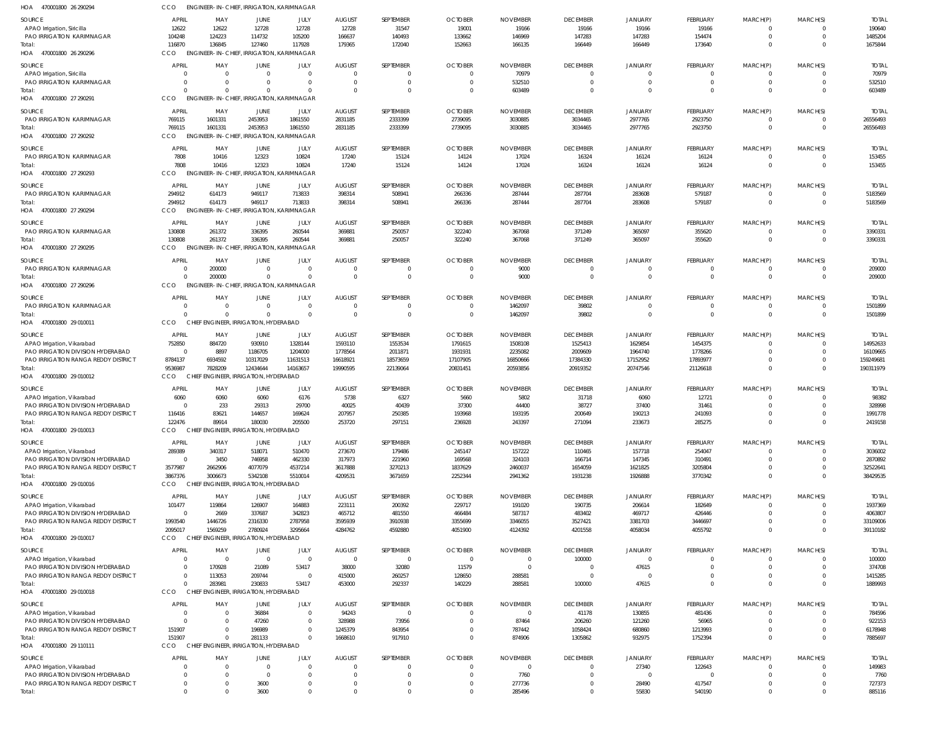| HOA 470001800 26 290294                                         | <b>CCO</b>               | <b>ENGINEER-IN-CHIEF, IRRIGATION, KARIMNAGAR</b>   |                    |                               |                           |                       |                          |                             |                             |                          |                                   |                         |                                  |                         |
|-----------------------------------------------------------------|--------------------------|----------------------------------------------------|--------------------|-------------------------------|---------------------------|-----------------------|--------------------------|-----------------------------|-----------------------------|--------------------------|-----------------------------------|-------------------------|----------------------------------|-------------------------|
| SOURCE                                                          | APRIL                    | MAY                                                | JUNE               | JULY                          | <b>AUGUST</b>             | SEPTEMBER             | <b>OCTOBER</b>           | <b>NOVEMBER</b>             | <b>DECEMBER</b>             | JANUARY                  | FEBRUARY                          | MARCH(P)                | MARCH(S)                         | <b>TOTAL</b>            |
| APAO Irrigation, Siricilla                                      | 12622                    | 12622                                              | 12728              | 12728                         | 12728                     | 31547                 | 19001                    | 19166                       | 19166                       | 19166                    | 19166                             | $\Omega$                | $\Omega$                         | 190640                  |
| <b>PAO IRRIGATION KARIMNAGAR</b>                                | 104248<br>116870         | 124223<br>136845                                   | 114732<br>127460   | 105200<br>117928              | 166637                    | 140493                | 133662                   | 146969                      | 147283                      | 147283                   | 154474<br>173640                  | $\mathbf 0$<br>$\Omega$ | $\overline{0}$<br>$\Omega$       | 1485204<br>1675844      |
| Total:<br>HOA 470001800 26 290296                               | <b>CCO</b>               | <b>ENGINEER-IN-CHIEF</b>                           |                    | <b>IRRIGATION, KARIMNAGAR</b> | 179365                    | 172040                | 152663                   | 166135                      | 166449                      | 166449                   |                                   |                         |                                  |                         |
|                                                                 |                          |                                                    |                    |                               |                           |                       |                          |                             |                             |                          |                                   |                         |                                  |                         |
| SOURCE<br>APAO Irrigation, Siricilla                            | <b>APRIL</b><br>$\Omega$ | MAY<br>$\Omega$                                    | JUNE<br>$\Omega$   | JULY<br>$\Omega$              | <b>AUGUST</b><br>$\Omega$ | SEPTEMBER<br>$\Omega$ | <b>OCTOBER</b><br>-0     | <b>NOVEMBER</b><br>70979    | <b>DECEMBER</b><br>$\Omega$ | JANUARY<br>$\Omega$      | <b>FEBRUARY</b><br>$\overline{0}$ | MARCH(P)<br>0           | MARCH(S)<br>$\Omega$             | <b>TOTAL</b><br>70979   |
| PAO IRRIGATION KARIMNAGAR                                       | $\Omega$                 | $\Omega$                                           |                    | $\Omega$                      | $\Omega$                  | $\mathbf 0$           | $\Omega$                 | 532510                      | $\overline{0}$              | $\overline{0}$           | $\mathbf 0$                       | $\mathbf 0$             | $\overline{0}$                   | 532510                  |
| Total:                                                          | $\Omega$                 | $\Omega$                                           |                    | $\Omega$                      | $\Omega$                  | $\Omega$              | $^{\circ}$               | 603489                      | $\Omega$                    | $\Omega$                 | $\mathbf 0$                       | $\mathbf 0$             | $\Omega$                         | 603489                  |
| HOA 470001800 27 290291                                         | CCO                      | <b>ENGINEER-IN-CHIEF, IRRIGATION, KARIMNAGAR</b>   |                    |                               |                           |                       |                          |                             |                             |                          |                                   |                         |                                  |                         |
| SOURCE                                                          | <b>APRIL</b>             | MAY                                                | JUNE               | JULY                          | <b>AUGUST</b>             | SEPTEMBER             | <b>OCTOBER</b>           | <b>NOVEMBER</b>             | <b>DECEMBER</b>             | <b>JANUARY</b>           | <b>FEBRUARY</b>                   | MARCH(P)                | MARCH(S)                         | <b>TOTAL</b>            |
| <b>PAO IRRIGATION KARIMNAGAR</b>                                | 769115                   | 1601331                                            | 2453953            | 1861550                       | 2831185                   | 2333399               | 2739095                  | 3030885                     | 3034465                     | 2977765                  | 2923750                           | $\overline{0}$          | $\overline{0}$                   | 26556493                |
| Total:                                                          | 769115                   | 1601331                                            | 2453953            | 1861550                       | 2831185                   | 2333399               | 2739095                  | 3030885                     | 3034465                     | 2977765                  | 2923750                           | $\mathbf{0}$            | $\Omega$                         | 26556493                |
| HOA 470001800 27 290292                                         | <b>CCO</b>               | <b>ENGINEER-IN-CHIEF</b>                           |                    | <b>IRRIGATION, KARIMNAGAR</b> |                           |                       |                          |                             |                             |                          |                                   |                         |                                  |                         |
| SOURCE                                                          | <b>APRIL</b>             | MAY                                                | JUNE               | JULY                          | <b>AUGUST</b>             | SEPTEMBER             | <b>OCTOBER</b>           | <b>NOVEMBER</b>             | <b>DECEMBER</b>             | <b>JANUARY</b>           | FEBRUARY                          | MARCH(P)                | MARCH(S)                         | <b>TOTAL</b>            |
| <b>PAO IRRIGATION KARIMNAGAR</b>                                | 7808                     | 10416                                              | 12323              | 10824                         | 17240                     | 15124                 | 14124                    | 17024                       | 16324                       | 16124                    | 16124                             | $\overline{0}$          | $\overline{0}$<br>$\overline{0}$ | 153455                  |
| Total:<br>HOA 470001800 27 290293                               | 7808<br>CCO              | 10416<br>ENGINEER-IN-CHIEF, IRRIGATION, KARIMNAGAR | 12323              | 10824                         | 17240                     | 15124                 | 14124                    | 17024                       | 16324                       | 16124                    | 16124                             | $\mathbf 0$             |                                  | 153455                  |
|                                                                 |                          |                                                    |                    |                               |                           |                       |                          |                             |                             |                          |                                   |                         |                                  |                         |
| SOURCE<br>PAO IRRIGATION KARIMNAGAR                             | APRIL<br>294912          | MAY<br>614173                                      | JUNE<br>949117     | JULY<br>713833                | <b>AUGUST</b><br>398314   | SEPTEMBER<br>508941   | <b>OCTOBER</b><br>266336 | <b>NOVEMBER</b><br>287444   | <b>DECEMBER</b><br>287704   | JANUARY<br>283608        | FEBRUARY<br>579187                | MARCH(P)<br>0           | MARCH(S)<br>0                    | <b>TOTAL</b><br>5183569 |
| Total:                                                          | 294912                   | 614173                                             | 949117             | 713833                        | 398314                    | 508941                | 266336                   | 287444                      | 287704                      | 283608                   | 579187                            | $\overline{0}$          | $\overline{0}$                   | 5183569                 |
| HOA 470001800 27 290294                                         | CCO                      | ENGINEER-IN-CHIEF, IRRIGATION, KARIMNAGAR          |                    |                               |                           |                       |                          |                             |                             |                          |                                   |                         |                                  |                         |
| SOURCE                                                          | APRIL                    | MAY                                                | JUNE               | JULY                          | <b>AUGUST</b>             | SEPTEMBER             | <b>OCTOBER</b>           | <b>NOVEMBER</b>             | <b>DECEMBER</b>             | <b>JANUARY</b>           | FEBRUARY                          | MARCH(P)                | MARCH(S)                         | Total                   |
| <b>PAO IRRIGATION KARIMNAGAR</b>                                | 130808                   | 261372                                             | 336395             | 260544                        | 369881                    | 250057                | 322240                   | 367068                      | 371249                      | 365097                   | 355620                            | 0                       | $\Omega$                         | 3390331                 |
| Total:                                                          | 130808                   | 261372                                             | 336395             | 260544                        | 369881                    | 250057                | 322240                   | 367068                      | 371249                      | 365097                   | 355620                            | $\mathbf{0}$            | $\overline{0}$                   | 3390331                 |
| HOA 470001800 27 290295                                         | CCO                      | <b>ENGINEER-IN-CHIEF</b>                           |                    | <b>IRRIGATION, KARIMNAGAR</b> |                           |                       |                          |                             |                             |                          |                                   |                         |                                  |                         |
| SOURCE                                                          | <b>APRIL</b>             | MAY                                                | JUNE               | JULY                          | <b>AUGUST</b>             | SEPTEMBER             | <b>OCTOBER</b>           | <b>NOVEMBER</b>             | <b>DECEMBER</b>             | <b>JANUARY</b>           | FEBRUARY                          | MARCH(P)                | MARCH(S)                         | <b>TOTAL</b>            |
| PAO IRRIGATION KARIMNAGAR                                       | $\Omega$                 | 200000                                             |                    | 0                             | $\Omega$                  | $\Omega$              | $\Omega$                 | 9000                        | $^{\circ}$                  | $\mathbf 0$              | 0                                 | 0                       | $\overline{0}$                   | 209000                  |
| Total:                                                          |                          | 200000                                             |                    | $\Omega$                      | $\Omega$                  | $\Omega$              | $\Omega$                 | 9000                        | $\overline{0}$              | $\Omega$                 | $\mathbf{0}$                      | $\mathbf 0$             | $\overline{0}$                   | 209000                  |
| HOA 470001800 27 290296                                         | CCO                      | ENGINEER-IN-CHIEF, IRRIGATION, KARIMNAGAR          |                    |                               |                           |                       |                          |                             |                             |                          |                                   |                         |                                  |                         |
| SOURCE                                                          | <b>APRIL</b>             | MAY                                                | JUNE               | JULY                          | <b>AUGUST</b>             | SEPTEMBER             | <b>OCTOBER</b>           | <b>NOVEMBER</b>             | <b>DECEMBER</b>             | <b>JANUARY</b>           | <b>FEBRUARY</b>                   | MARCH(P)                | MARCH(S)                         | <b>TOTAL</b>            |
| PAO IRRIGATION KARIMNAGAR                                       | $\Omega$                 | $\Omega$                                           | $\Omega$           | $\Omega$                      | 0                         | $\mathbf 0$           | $\overline{0}$           | 1462097                     | 39802                       | $\overline{0}$           | $\overline{0}$                    | 0                       | $\Omega$                         | 1501899                 |
| Total:<br>HOA 470001800 29 010011                               | $\Omega$<br>CCO          | $\Omega$<br>CHIEF ENGINEER, IRRIGATION, HYDERABAD  |                    | $\Omega$                      | $\Omega$                  | $\mathbf 0$           | $\overline{0}$           | 1462097                     | 39802                       | $\overline{0}$           | $\overline{0}$                    | $\mathbf{0}$            | $\overline{0}$                   | 1501899                 |
|                                                                 |                          |                                                    |                    |                               |                           |                       |                          |                             |                             |                          |                                   |                         |                                  |                         |
| SOURCE                                                          | <b>APRIL</b>             | MAY                                                | JUNE               | JULY                          | <b>AUGUST</b>             | SEPTEMBER             | <b>OCTOBER</b>           | <b>NOVEMBER</b>             | <b>DECEMBER</b>             | JANUARY                  | FEBRUARY                          | MARCH(P)                | MARCH(S)                         | <b>TOTAL</b>            |
| APAO Irrigation, Vikarabad<br>PAO IRRIGATION DIVISION HYDERABAD | 752850<br>$\overline{0}$ | 884720<br>8897                                     | 930910<br>1186705  | 1328144<br>1204000            | 1593110<br>1778564        | 1553534<br>2011871    | 1791615<br>1931931       | 1508108<br>2235082          | 1525413<br>2009609          | 1629854<br>1964740       | 1454375<br>1778266                | -0<br>$\Omega$          | $\Omega$<br>$\Omega$             | 14952633<br>16109665    |
| PAO IRRIGATION RANGA REDDY DISTRICT                             | 8784137                  | 6934592                                            | 10317029           | 11631513                      | 16618921                  | 18573659              | 17107905                 | 16850666                    | 17384330                    | 17152952                 | 17893977                          | $\Omega$                | $\Omega$                         | 159249681               |
| Total:                                                          | 9536987                  | 7828209                                            | 12434644           | 14163657                      | 19990595                  | 22139064              | 20831451                 | 20593856                    | 20919352                    | 20747546                 | 21126618                          | $\mathbf 0$             | $\overline{0}$                   | 190311979               |
| HOA 470001800 29 010012                                         | CCO                      | CHIEF ENGINEER, IRRIGATION, HYDERABAD              |                    |                               |                           |                       |                          |                             |                             |                          |                                   |                         |                                  |                         |
| SOURCE                                                          | APRIL                    | MAY                                                | JUNE               | JULY                          | <b>AUGUST</b>             | SEPTEMBER             | <b>OCTOBER</b>           | <b>NOVEMBER</b>             | <b>DECEMBER</b>             | <b>JANUARY</b>           | <b>FEBRUARY</b>                   | MARCH(P)                | MARCH(S)                         | <b>TOTAL</b>            |
| APAO Irrigation, Vikarabad                                      | 6060                     | 6060                                               | 6060               | 6176                          | 5738                      | 6327                  | 5660                     | 5802                        | 31718                       | 6060                     | 12721                             | $\Omega$                |                                  | 98382                   |
| PAO IRRIGATION DIVISION HYDERABAD                               | $\Omega$                 | 233                                                | 29313              | 29700                         | 40025                     | 40439                 | 37300                    | 44400                       | 38727                       | 37400                    | 31461                             | $\Omega$                | $\Omega$                         | 328998                  |
| PAO IRRIGATION RANGA REDDY DISTRICT                             | 116416                   | 83621                                              | 144657             | 169624                        | 207957                    | 250385                | 193968                   | 193195                      | 200649                      | 190213                   | 241093                            | $\Omega$                | $\Omega$                         | 1991778                 |
| Total:<br>HOA 470001800 29 010013                               | 122476<br>CCO            | 89914<br>CHIEF ENGINEER, IRRIGATION, HYDERABAD     | 180030             | 205500                        | 253720                    | 297151                | 236928                   | 243397                      | 271094                      | 233673                   | 285275                            | $\overline{0}$          | $\overline{0}$                   | 2419158                 |
|                                                                 |                          |                                                    |                    |                               |                           |                       |                          |                             |                             |                          |                                   |                         |                                  |                         |
| SOURCE                                                          | APRIL<br>289389          | MAY<br>340317                                      | JUNE<br>518071     | JULY<br>510470                | <b>AUGUST</b><br>273670   | SEPTEMBER<br>179486   | <b>OCTOBER</b><br>245147 | <b>NOVEMBER</b><br>157222   | <b>DECEMBER</b><br>110465   | <b>JANUARY</b><br>157718 | <b>FEBRUARY</b><br>254047         | MARCH(P)<br>$\Omega$    | MARCH(S)<br>$\Omega$             | <b>TOTAL</b><br>3036002 |
| APAO Irrigation, Vikarabad<br>PAO IRRIGATION DIVISION HYDERABAD | $\Omega$                 | 3450                                               | 746958             | 462330                        | 317973                    | 221960                | 169568                   | 324103                      | 166714                      | 147345                   | 310491                            | $\Omega$                | $\Omega$                         | 2870892                 |
| PAO IRRIGATION RANGA REDDY DISTRICT                             | 3577987                  | 2662906                                            | 4077079            | 4537214                       | 3617888                   | 3270213               | 1837629                  | 2460037                     | 1654059                     | 1621825                  | 3205804                           | $\Omega$                |                                  | 32522641                |
| Total:                                                          | 3867376                  | 3006673                                            | 5342108            | 5510014                       | 4209531                   | 3671659               | 2252344                  | 2941362                     | 1931238                     | 1926888                  | 3770342                           | $\Omega$                | $\Omega$                         | 38429535                |
| HOA 470001800 29 010016                                         | CCO                      | CHIEF ENGINEER, IRRIGATION, HYDERABAD              |                    |                               |                           |                       |                          |                             |                             |                          |                                   |                         |                                  |                         |
| SOURCE                                                          | APRIL                    | MAY                                                | JUNE               | JULY                          | <b>AUGUST</b>             | SEPTEMBER             | <b>OCTOBER</b>           | <b>NOVEMBER</b>             | <b>DECEMBER</b>             | JANUARY                  | FEBRUARY                          | MARCH(P)                | MARCH(S)                         | <b>TOTAL</b>            |
| APAO Irrigation, Vikarabad                                      | 101477                   | 119864                                             | 126907             | 164883                        | 223111                    | 200392                | 229717                   | 191020                      | 190735                      | 206614                   | 182649                            | $\Omega$                | $\Omega$                         | 1937369                 |
| PAO IRRIGATION DIVISION HYDERABAD                               | $\overline{0}$           | 2669                                               | 337687             | 342823                        | 465712                    | 481550                | 466484                   | 587317                      | 483402                      | 469717                   | 426446                            | $\mathbf 0$             | $\Omega$                         | 4063807                 |
| PAO IRRIGATION RANGA REDDY DISTRICT<br>Total:                   | 1993540<br>2095017       | 1446726<br>1569259                                 | 2316330<br>2780924 | 2787958<br>3295664            | 3595939<br>4284762        | 3910938<br>4592880    | 3355699<br>4051900       | 3346055<br>4124392          | 3527421<br>4201558          | 3381703<br>4058034       | 3446697<br>4055792                | $\Omega$<br>$\mathbf 0$ | $\Omega$<br>$\Omega$             | 33109006<br>39110182    |
| HOA 470001800 29 010017                                         | <b>CCO</b>               | CHIEF ENGINEER, IRRIGATION, HYDERABAD              |                    |                               |                           |                       |                          |                             |                             |                          |                                   |                         |                                  |                         |
|                                                                 | <b>APRIL</b>             |                                                    |                    | JULY                          |                           |                       | <b>OCTOBER</b>           |                             |                             |                          |                                   |                         |                                  |                         |
| SOURCE<br>APAO Irrigation, Vikarabad                            | 0                        | MAY<br>- 0                                         | JUNE<br>$\Omega$   | $\Omega$                      | <b>AUGUST</b><br>$\Omega$ | SEPTEMBER<br>$\Omega$ | $\Omega$                 | <b>NOVEMBER</b><br>$\Omega$ | <b>DECEMBER</b><br>100000   | JANUARY<br>$\Omega$      | <b>FEBRUARY</b><br>-0             | MARCH(P)<br>-C          | MARCH(S)<br>$\Omega$             | Total<br>100000         |
| PAO IRRIGATION DIVISION HYDERABAD                               | 0                        | 170928                                             | 21089              | 53417                         | 38000                     | 32080                 | 11579                    | $\Omega$                    | $^{\circ}$                  | 47615                    | $\Omega$                          | $\Omega$                | $\Omega$                         | 374708                  |
| PAO IRRIGATION RANGA REDDY DISTRICT                             | $\Omega$                 | 113053                                             | 209744             | $\Omega$                      | 415000                    | 260257                | 128650                   | 288581                      | $\Omega$                    |                          | $\Omega$                          | $\Omega$                | $\Omega$                         | 1415285                 |
| Total:                                                          | $\Omega$                 | 283981                                             | 230833             | 53417                         | 453000                    | 292337                | 140229                   | 288581                      | 100000                      | 47615                    | $\Omega$                          | $\mathbf 0$             | $\Omega$                         | 1889993                 |
| HOA 470001800 29 010018                                         | CCO                      | CHIEF ENGINEER, IRRIGATION, HYDERABAD              |                    |                               |                           |                       |                          |                             |                             |                          |                                   |                         |                                  |                         |
| SOURCE                                                          | APRIL                    | MAY                                                | JUNE               | JULY                          | <b>AUGUST</b>             | SEPTEMBER             | <b>OCTOBER</b>           | <b>NOVEMBER</b>             | <b>DECEMBER</b>             | <b>JANUARY</b>           | <b>FEBRUARY</b>                   | MARCH(P)                | MARCH(S)                         | <b>TOTAL</b>            |
| APAO Irrigation, Vikarabad                                      | $\Omega$                 | $\overline{0}$                                     | 36884              | $\Omega$                      | 94243                     | $\mathbf 0$           | $\Omega$                 | $\Omega$                    | 41178                       | 130855                   | 481436                            | $\Omega$                | $\Omega$                         | 784596                  |
| PAO IRRIGATION DIVISION HYDERABAD                               | $\Omega$                 | $\Omega$<br>$\Omega$                               | 47260              | $\Omega$<br>$\Omega$          | 328988                    | 73956                 | $\Omega$                 | 87464                       | 206260                      | 121260                   | 56965                             | $\Omega$                | $\Omega$<br>$\Omega$             | 922153                  |
| <b>PAO IRRIGATION RANGA REDDY DISTRICT</b><br>Total:            | 151907<br>151907         | $\Omega$                                           | 196989<br>281133   | $\Omega$                      | 1245379<br>1668610        | 843954<br>917910      | $\Omega$<br>$\Omega$     | 787442<br>874906            | 1058424<br>1305862          | 680860<br>932975         | 1213993<br>1752394                | 0<br>$\mathbf 0$        | $\Omega$                         | 6178948<br>7885697      |
| HOA 470001800 29 110111                                         | CCO                      | CHIEF ENGINEER, IRRIGATION, HYDERABAD              |                    |                               |                           |                       |                          |                             |                             |                          |                                   |                         |                                  |                         |
| SOURCE                                                          | <b>APRIL</b>             | MAY                                                | <b>JUNE</b>        | JULY                          | <b>AUGUST</b>             | SEPTEMBER             | <b>OCTOBER</b>           | <b>NOVEMBER</b>             | <b>DECEMBER</b>             | <b>JANUARY</b>           | <b>FEBRUARY</b>                   | MARCH(P)                | MARCH(S)                         | <b>TOTAL</b>            |
| APAO Irrigation, Vikarabad                                      | $\Omega$                 | $\Omega$                                           |                    | $\Omega$                      | $\Omega$                  |                       | $\Omega$                 | $\Omega$                    | $^{\circ}$                  | 27340                    | 122643                            | $\Omega$                | $\Omega$                         | 149983                  |
| PAO IRRIGATION DIVISION HYDERABAD                               | $\Omega$                 | $\Omega$                                           |                    | $\Omega$                      |                           |                       |                          | 7760                        | $\Omega$                    | $\Omega$                 | $\Omega$                          | $\Omega$                | $\Omega$                         | 7760                    |
| PAO IRRIGATION RANGA REDDY DISTRICT                             | $\Omega$                 | $\Omega$                                           | 3600               | 0                             | $\Omega$                  | $\Omega$              | $\Omega$                 | 277736                      | $\Omega$                    | 28490                    | 417547                            | $\Omega$                | $\Omega$                         | 727373                  |
| Total:                                                          | $\Omega$                 | $\Omega$                                           | 3600               | $\Omega$                      |                           | $\Omega$              | $\Omega$                 | 285496                      | $\Omega$                    | 55830                    | 540190                            | $\mathbf 0$             | $\Omega$                         | 885116                  |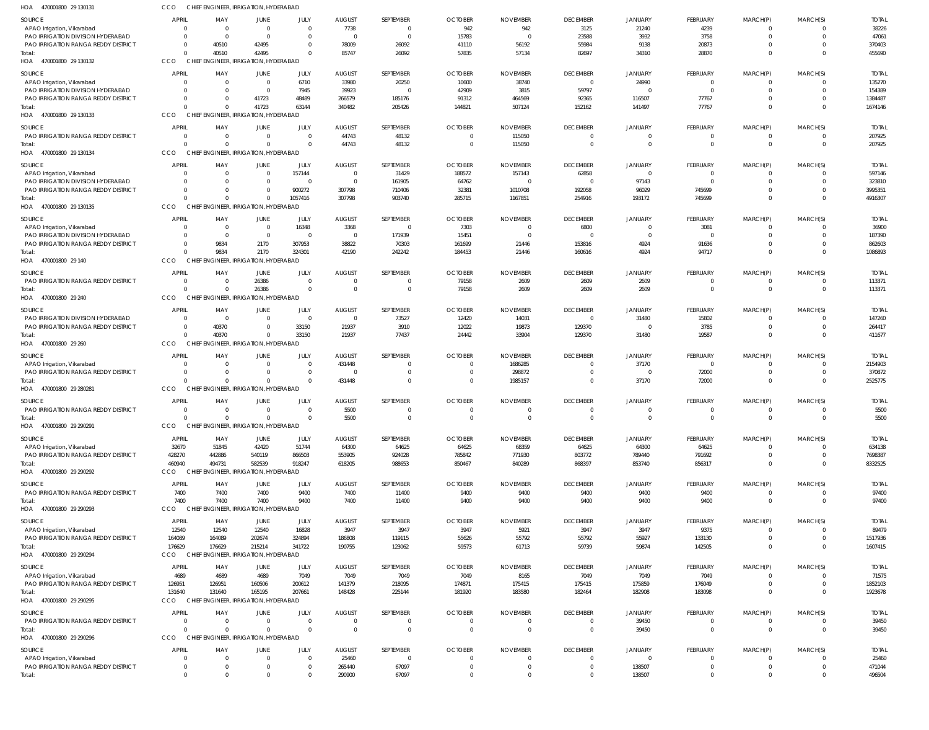| HOA<br>470001800 29 130131                                        | CCO                        |                         | CHIEF ENGINEER, IRRIGATION, HYDERABAD             |                      |                                 |                       |                            |                            |                             |                         |                             |                            |                            |                         |
|-------------------------------------------------------------------|----------------------------|-------------------------|---------------------------------------------------|----------------------|---------------------------------|-----------------------|----------------------------|----------------------------|-----------------------------|-------------------------|-----------------------------|----------------------------|----------------------------|-------------------------|
| SOURCE                                                            | <b>APRIL</b>               | MAY                     | JUNE                                              | JULY                 | <b>AUGUST</b>                   | SEPTEMBER             | <b>OCTOBER</b>             | <b>NOVEMBER</b>            | <b>DECEMBER</b>             | JANUARY                 | <b>FEBRUARY</b>             | MARCH(P)                   | MARCH(S)                   | <b>TOTAL</b>            |
| APAO Irrigation, Vikarabad                                        | $\Omega$                   | $\Omega$                | $\overline{0}$                                    | $\Omega$             | 7738                            | $\Omega$              | 942                        | 942                        | 3125                        | 21240                   | 4239                        | $\Omega$                   | $\Omega$                   | 38226                   |
| PAO IRRIGATION DIVISION HYDERABAD                                 | $\Omega$                   | $\Omega$                | $\Omega$                                          | $\Omega$             | $\overline{0}$                  | $\Omega$              | 15783                      | $\Omega$                   | 23588                       | 3932                    | 3758                        | $\Omega$                   | $\Omega$                   | 47061                   |
| <b>PAO IRRIGATION RANGA REDDY DISTRICT</b>                        | 0<br>$\Omega$              | 40510                   | 42495                                             | $\Omega$<br>$\Omega$ | 78009                           | 26092                 | 41110                      | 56192                      | 55984                       | 9138                    | 20873                       | $\Omega$<br>$\Omega$       | $\Omega$<br>$\Omega$       | 370403                  |
| Total:<br>HOA 470001800 29 130132                                 | CCO                        | 40510                   | 42495<br>CHIEF ENGINEER, IRRIGATION, HYDERABAD    |                      | 85747                           | 26092                 | 57835                      | 57134                      | 82697                       | 34310                   | 28870                       |                            |                            | 455690                  |
| SOURCE                                                            | <b>APRIL</b>               | MAY                     | JUNE                                              | JULY                 | <b>AUGUST</b>                   | SEPTEMBER             | <b>OCTOBER</b>             | <b>NOVEMBER</b>            | <b>DECEMBER</b>             | JANUARY                 | <b>FEBRUARY</b>             | MARCH(P)                   | MARCH(S)                   | <b>TOTAI</b>            |
| APAO Irrigation, Vikarabad                                        | 0                          | $\Omega$                | $\Omega$                                          | 6710                 | 33980                           | 20250                 | 10600                      | 38740                      | $\Omega$                    | 24990                   | $\Omega$                    | - 0                        | $\Omega$                   | 135270                  |
| PAO IRRIGATION DIVISION HYDERABAD                                 |                            | 0                       | $\Omega$                                          | 7945                 | 39923                           | $\Omega$              | 42909                      | 3815                       | 59797                       | $\Omega$                | $\Omega$                    | $\Omega$                   | $\Omega$                   | 154389                  |
| PAO IRRIGATION RANGA REDDY DISTRICT                               | 0                          | <sup>0</sup>            | 41723                                             | 48489                | 266579                          | 185176                | 91312                      | 464569                     | 92365                       | 116507                  | 77767                       | $\Omega$                   | $\Omega$                   | 1384487                 |
| Total:                                                            |                            | $\Omega$                | 41723                                             | 63144                | 340482                          | 205426                | 144821                     | 507124                     | 152162                      | 141497                  | 77767                       | $\Omega$                   | $\Omega$                   | 1674146                 |
| HOA 470001800 29 130133                                           | CCO                        |                         | CHIEF ENGINEER, IRRIGATION, HYDERABAD             |                      |                                 |                       |                            |                            |                             |                         |                             |                            |                            |                         |
| SOURCE                                                            | <b>APRIL</b>               | MAY                     | <b>JUNE</b>                                       | JULY                 | <b>AUGUST</b>                   | SEPTEMBER             | <b>OCTOBER</b>             | <b>NOVEMBER</b>            | <b>DECEMBER</b>             | <b>JANUARY</b>          | <b>FEBRUARY</b>             | MARCH(P)                   | MARCH(S)                   | <b>TOTAL</b>            |
| <b>PAO IRRIGATION RANGA REDDY DISTRICT</b>                        | $\Omega$<br>$\Omega$       | $\Omega$<br>$\Omega$    | $\overline{0}$<br>$\Omega$                        | $\Omega$<br>$\Omega$ | 44743                           | 48132                 | $\Omega$                   | 115050                     | $\Omega$                    | 0                       | $\Omega$<br>$\overline{0}$  | $\Omega$<br>$\mathbf{0}$   | 0                          | 207925                  |
| Total:<br>HOA 470001800 29 130134                                 | <b>CCO</b>                 |                         | CHIEF ENGINEER, IRRIGATION, HYDERABAD             |                      | 44743                           | 48132                 | $\mathbf 0$                | 115050                     | $\overline{0}$              | 0                       |                             |                            | $\overline{0}$             | 207925                  |
|                                                                   | <b>APRIL</b>               |                         |                                                   |                      |                                 | SEPTEMBER             |                            |                            |                             |                         |                             |                            |                            |                         |
| SOURCE<br>APAO Irrigation, Vikarabad                              | 0                          | MAY<br>0                | JUNE<br>- 0                                       | JULY<br>157144       | <b>AUGUST</b><br>$\overline{0}$ | 31429                 | <b>OCTOBER</b><br>188572   | <b>NOVEMBER</b><br>157143  | <b>DECEMBER</b><br>62858    | <b>JANUARY</b><br>0     | FEBRUARY<br>$\Omega$        | MARCH(P)<br>$\Omega$       | MARCH(S)<br>$\Omega$       | <b>TOTAL</b><br>597146  |
| PAO IRRIGATION DIVISION HYDERABAD                                 | <sup>0</sup>               | $\Omega$                | $\Omega$                                          | $\Omega$             | $\mathbf 0$                     | 161905                | 64762                      |                            | $\Omega$                    | 97143                   | $\Omega$                    | $\Omega$                   | $\Omega$                   | 323810                  |
| PAO IRRIGATION RANGA REDDY DISTRICT                               | 0                          | <sup>0</sup>            | $\Omega$                                          | 900272               | 307798                          | 710406                | 32381                      | 1010708                    | 192058                      | 96029                   | 745699                      | $\Omega$                   | $\Omega$                   | 3995351                 |
| Total:                                                            |                            | $\Omega$                | $\Omega$                                          | 1057416              | 307798                          | 903740                | 285715                     | 1167851                    | 254916                      | 193172                  | 745699                      | $\Omega$                   | $\Omega$                   | 4916307                 |
| HOA 470001800 29 130135                                           | <b>CCO</b>                 |                         | CHIEF ENGINEER. IRRIGATION. HYDERABAD             |                      |                                 |                       |                            |                            |                             |                         |                             |                            |                            |                         |
| SOURCE                                                            | <b>APRIL</b>               | MAY                     | JUNE                                              | JULY                 | <b>AUGUST</b>                   | SEPTEMBER             | <b>OCTOBER</b>             | <b>NOVEMBER</b>            | <b>DECEMBER</b>             | JANUARY                 | FEBRUARY                    | MARCH(P)                   | MARCH(S)                   | <b>TOTAL</b>            |
| APAO Irrigation, Vikarabad                                        | $\Omega$                   | $\mathbf 0$             | $\overline{0}$                                    | 16348                | 3368                            | $\Omega$              | 7303                       | $\Omega$                   | 6800                        | - 0                     | 3081                        | $\Omega$                   | $\Omega$                   | 36900                   |
| PAO IRRIGATION DIVISION HYDERABAD                                 | $\Omega$                   | $\Omega$                | $\overline{0}$                                    | $\Omega$             | $\overline{0}$                  | 171939                | 15451                      | $\Omega$                   | $\Omega$                    | $\Omega$                | $\Omega$                    | $\Omega$                   | $\Omega$<br>$\Omega$       | 187390                  |
| <b>PAO IRRIGATION RANGA REDDY DISTRICT</b><br>Total:              | 0<br>$\Omega$              | 9834<br>9834            | 2170<br>2170                                      | 307953<br>324301     | 38822<br>42190                  | 70303<br>242242       | 161699<br>184453           | 21446<br>21446             | 153816<br>160616            | 4924<br>4924            | 91636<br>94717              | $\Omega$<br>$\Omega$       | $\Omega$                   | 862603<br>1086893       |
| HOA 470001800 29 140                                              | CCO                        |                         | CHIEF ENGINEER, IRRIGATION, HYDERABAD             |                      |                                 |                       |                            |                            |                             |                         |                             |                            |                            |                         |
| SOURCE                                                            | <b>APRIL</b>               | MAY                     | <b>JUNE</b>                                       | JULY                 | <b>AUGUST</b>                   | SEPTEMBER             | <b>OCTOBER</b>             | <b>NOVEMBER</b>            | <b>DECEMBER</b>             | JANUARY                 | <b>FEBRUARY</b>             | MARCH(P)                   | MARCH(S)                   | <b>TOTAL</b>            |
| PAO IRRIGATION RANGA REDDY DISTRICT                               | 0                          | 0                       | 26386                                             | $\Omega$             | $\Omega$                        | $\Omega$              | 79158                      | 2609                       | 2609                        | 2609                    | $\Omega$                    | - 0                        | $\Omega$                   | 113371                  |
| Total:                                                            |                            | $\Omega$                | 26386                                             | $\Omega$             | $\Omega$                        | $\overline{0}$        | 79158                      | 2609                       | 2609                        | 2609                    | $\Omega$                    | $\Omega$                   | $\overline{0}$             | 113371                  |
| HOA 470001800 29 240                                              | CCO                        |                         | CHIEF ENGINEER, IRRIGATION, HYDERABAD             |                      |                                 |                       |                            |                            |                             |                         |                             |                            |                            |                         |
| SOURCE                                                            | <b>APRIL</b>               | MAY                     | JUNE                                              | JULY                 | <b>AUGUST</b>                   | SEPTEMBER             | <b>OCTOBER</b>             | <b>NOVEMBER</b>            | <b>DECEMBER</b>             | JANUARY                 | FEBRUARY                    | MARCH(P)                   | MARCH(S)                   | <b>TOTAL</b>            |
| PAO IRRIGATION DIVISION HYDERABAD                                 | $\overline{0}$             | $\overline{0}$          | $\overline{0}$                                    | $\Omega$             | $\overline{0}$                  | 73527                 | 12420                      | 14031                      | $\overline{0}$              | 31480                   | 15802                       | $\Omega$                   | $\Omega$                   | 147260                  |
| <b>PAO IRRIGATION RANGA REDDY DISTRICT</b>                        | $\Omega$                   | 40370                   | $\Omega$                                          | 33150                | 21937                           | 3910                  | 12022                      | 19873                      | 129370                      | $\overline{0}$          | 3785                        | $\Omega$                   | $\Omega$                   | 264417                  |
| Total:<br>HOA 470001800 29 260                                    | $\Omega$<br><b>CCO</b>     | 40370                   | $\Omega$<br>CHIEF ENGINEER, IRRIGATION, HYDERABAD | 33150                | 21937                           | 77437                 | 24442                      | 33904                      | 129370                      | 31480                   | 19587                       | $\Omega$                   | $\Omega$                   | 411677                  |
|                                                                   |                            |                         |                                                   |                      |                                 |                       |                            |                            |                             |                         |                             |                            |                            |                         |
| SOURCE<br>APAO Irrigation, Vikarabad                              | <b>APRIL</b><br>0          | MAY<br>$\Omega$         | JUNE<br>$\overline{0}$                            | JULY<br>$\Omega$     | <b>AUGUST</b><br>431448         | SEPTEMBER<br>$\Omega$ | <b>OCTOBER</b><br>$\Omega$ | <b>NOVEMBER</b><br>1686285 | <b>DECEMBER</b><br>$\Omega$ | <b>JANUARY</b><br>37170 | <b>FEBRUARY</b><br>$\Omega$ | MARCH(P)<br>$\Omega$       | MARCH(S)<br>$\Omega$       | <b>TOTAI</b><br>2154903 |
| PAO IRRIGATION RANGA REDDY DISTRICT                               | 0                          | $\Omega$                | $\Omega$                                          | $\Omega$             | $\Omega$                        | $\Omega$              | $\Omega$                   | 298872                     | $\Omega$                    | $\overline{0}$          | 72000                       | $\Omega$                   | $\Omega$                   | 370872                  |
| Total:                                                            |                            | $\Omega$                | $\Omega$                                          | $\Omega$             | 431448                          | $\Omega$              | $\Omega$                   | 1985157                    | $\Omega$                    | 37170                   | 72000                       | $\Omega$                   | $\Omega$                   | 2525775                 |
| HOA 470001800 29 280281                                           | CCO                        |                         | CHIEF ENGINEER, IRRIGATION, HYDERABAD             |                      |                                 |                       |                            |                            |                             |                         |                             |                            |                            |                         |
| <b>SOURCE</b>                                                     | <b>APRIL</b>               | MAY                     | <b>JUNE</b>                                       | JULY                 | <b>AUGUST</b>                   | <b>SEPTEMBER</b>      | <b>OCTOBER</b>             | <b>NOVEMBER</b>            | <b>DECEMBER</b>             | JANUARY                 | <b>FEBRUARY</b>             | MARCH(P)                   | MARCH(S)                   | <b>TOTAL</b>            |
| PAO IRRIGATION RANGA REDDY DISTRICT                               | $\Omega$                   | $\Omega$                | $\overline{0}$                                    | $\Omega$             | 5500                            | $\Omega$              | $\Omega$                   | $\Omega$                   | $\Omega$                    | $\Omega$                | $\Omega$                    | $\Omega$                   | $\Omega$                   | 5500                    |
| Total:                                                            |                            |                         | $\Omega$                                          |                      | 5500                            | $\Omega$              |                            |                            |                             | 0                       |                             |                            | $\Omega$                   | 5500                    |
| HOA 470001800 29 290291                                           | CCO                        |                         | CHIEF ENGINEER, IRRIGATION, HYDERABAD             |                      |                                 |                       |                            |                            |                             |                         |                             |                            |                            |                         |
| SOURCE                                                            | APRIL                      | MAY                     | <b>JUNE</b>                                       | JULY                 | <b>AUGUST</b>                   | SEPTEMBER             | <b>OCTOBER</b>             | <b>NOVEMBER</b>            | <b>DECEMBER</b>             | <b>JANUARY</b>          | FEBRUARY                    | MARCH(P)                   | MARCH(S)                   | <b>TOTAL</b>            |
| APAO Irrigation, Vikarabad                                        | 32670                      | 51845                   | 42420                                             | 51744                | 64300                           | 64625                 | 64625                      | 68359                      | 64625                       | 64300                   | 64625                       |                            | $\Omega$                   | 634138                  |
| PAO IRRIGATION RANGA REDDY DISTRICT<br>Total:                     | 428270<br>460940           | 442886<br>494731        | 540119<br>582539                                  | 866503<br>918247     | 553905<br>618205                | 924028<br>988653      | 785842<br>850467           | 771930<br>840289           | 803772<br>868397            | 789440<br>853740        | 791692<br>856317            | $\Omega$<br>$\Omega$       | $\Omega$<br>$\Omega$       | 7698387<br>8332525      |
| HOA 470001800 29 290292                                           | CCO                        |                         | CHIEF ENGINEER, IRRIGATION, HYDERABAD             |                      |                                 |                       |                            |                            |                             |                         |                             |                            |                            |                         |
| <b>SOURCE</b>                                                     | <b>APRIL</b>               | MAY                     | JUNE                                              | JULY                 | <b>AUGUST</b>                   | SEPTEMBER             | <b>OCTOBER</b>             | <b>NOVEMBER</b>            | <b>DECEMBER</b>             | JANUARY                 | FEBRUARY                    | MARCH(P)                   | MARCH(S)                   | <b>TOTAL</b>            |
| PAO IRRIGATION RANGA REDDY DISTRICT                               | 7400                       | 7400                    | 7400                                              | 9400                 | 7400                            | 11400                 | 9400                       | 9400                       | 9400                        | 9400                    | 9400                        | $\Omega$                   | 0                          | 97400                   |
| Total:                                                            | 7400                       | 7400                    | 7400                                              | 9400                 | 7400                            | 11400                 | 9400                       | 9400                       | 9400                        | 9400                    | 9400                        | $\Omega$                   | $\overline{0}$             | 97400                   |
| HOA 470001800 29 290293                                           | CCO                        |                         | CHIEF ENGINEER, IRRIGATION, HYDERABAD             |                      |                                 |                       |                            |                            |                             |                         |                             |                            |                            |                         |
| SOURCE                                                            | <b>APRIL</b>               | MAY                     | JUNE                                              | JULY                 | <b>AUGUST</b>                   | SEPTEMBER             | <b>OCTOBER</b>             | <b>NOVEMBER</b>            | <b>DECEMBER</b>             | JANUARY                 | FEBRUARY                    | MARCH(P)                   | MARCH(S)                   | <b>TOTAL</b>            |
| APAO Irrigation, Vikarabad                                        | 12540                      | 12540                   | 12540                                             | 16828                | 3947                            | 3947                  | 3947                       | 5921                       | 3947                        | 3947                    | 9375                        |                            | $\Omega$                   | 89479                   |
| PAO IRRIGATION RANGA REDDY DISTRICT                               | 164089                     | 164089                  | 202674                                            | 324894               | 186808                          | 119115                | 55626                      | 55792                      | 55792                       | 55927                   | 133130                      | $\Omega$                   | $\Omega$                   | 1517936                 |
| Total:<br>HOA 470001800 29 290294                                 | 176629<br>CCO              | 176629                  | 215214<br>CHIEF ENGINEER, IRRIGATION, HYDERABAD   | 341722               | 190755                          | 123062                | 59573                      | 61713                      | 59739                       | 59874                   | 142505                      | $\Omega$                   | $\Omega$                   | 1607415                 |
|                                                                   |                            |                         |                                                   |                      |                                 |                       |                            |                            |                             |                         |                             |                            |                            |                         |
| SOURCE                                                            | APRIL                      | MAY                     | JUNE                                              | JULY                 | <b>AUGUST</b>                   | SEPTEMBER             | <b>OCTOBER</b>             | <b>NOVEMBER</b>            | <b>DECEMBER</b>             | JANUARY                 | FEBRUARY                    | MARCH(P)                   | MARCH(S)                   | <b>TOTAL</b>            |
| APAO Irrigation, Vikarabad<br>PAO IRRIGATION RANGA REDDY DISTRICT | 4689<br>126951             | 4689<br>126951          | 4689<br>160506                                    | 7049<br>200612       | 7049<br>141379                  | 7049<br>218095        | 7049<br>174871             | 8165<br>175415             | 7049<br>175415              | 7049<br>175859          | 7049<br>176049              | $\Omega$<br>$\Omega$       | $\Omega$<br>$\overline{0}$ | 71575<br>1852103        |
| Total:                                                            | 131640                     | 131640                  | 165195                                            | 207661               | 148428                          | 225144                | 181920                     | 183580                     | 182464                      | 182908                  | 183098                      | $\Omega$                   | $\Omega$                   | 1923678                 |
| HOA 470001800 29 290295                                           | <b>CCO</b>                 |                         | CHIEF ENGINEER, IRRIGATION, HYDERABAD             |                      |                                 |                       |                            |                            |                             |                         |                             |                            |                            |                         |
| SOURCE                                                            | <b>APRIL</b>               | MAY                     | JUNE                                              | JULY                 | AUGUST                          | SEPTEMBER             | <b>OCTOBER</b>             | <b>NOVEMBER</b>            | <b>DECEMBER</b>             | JANUARY                 | FEBRUARY                    | MARCH(P)                   | MARCH(S)                   | <b>TOTAL</b>            |
| PAO IRRIGATION RANGA REDDY DISTRICT                               | $\Omega$                   | $\Omega$                | $\Omega$                                          | $\Omega$             | $\mathbf 0$                     | $\Omega$              | $\mathbf 0$                | $\Omega$                   | $\Omega$                    | 39450                   | $\Omega$                    | $\Omega$                   | $\overline{0}$             | 39450                   |
| Total:                                                            | $\Omega$                   | $\Omega$                | $\Omega$                                          | $\Omega$             | $\Omega$                        | $\Omega$              | $\Omega$                   | $\Omega$                   | $\overline{0}$              | 39450                   | $\Omega$                    | $\Omega$                   | $\overline{0}$             | 39450                   |
| HOA 470001800 29 290296                                           | <b>CCO</b>                 |                         | CHIEF ENGINEER, IRRIGATION, HYDERABAD             |                      |                                 |                       |                            |                            |                             |                         |                             |                            |                            |                         |
| SOURCE                                                            | <b>APRIL</b>               | MAY                     | JUNE                                              | JULY                 | <b>AUGUST</b>                   | SEPTEMBER             | <b>OCTOBER</b>             | <b>NOVEMBER</b>            | <b>DECEMBER</b>             | <b>JANUARY</b>          | FEBRUARY                    | MARCH(P)                   | MARCH(S)                   | <b>TOTAL</b>            |
| APAO Irrigation, Vikarabad                                        | $\overline{0}$             | $\Omega$                | $\overline{0}$                                    | $\Omega$             | 25460                           | $\overline{0}$        | $\mathbf 0$                | $\mathbf 0$                | $\overline{0}$              | 0                       | $\Omega$                    | $\Omega$                   | 0                          | 25460                   |
| PAO IRRIGATION RANGA REDDY DISTRICT<br>Total:                     | $\overline{0}$<br>$\Omega$ | $\mathbf 0$<br>$\Omega$ | $\overline{0}$<br>$\Omega$                        | $\Omega$<br>$\Omega$ | 265440<br>290900                | 67097<br>67097        | $\mathbf 0$<br>$\Omega$    | $\mathbf 0$<br>$\Omega$    | $\overline{0}$              | 138507<br>138507        | $\overline{0}$<br>$\Omega$  | $\overline{0}$<br>$\Omega$ | $\overline{0}$<br>$\Omega$ | 471044<br>496504        |
|                                                                   |                            |                         |                                                   |                      |                                 |                       |                            |                            |                             |                         |                             |                            |                            |                         |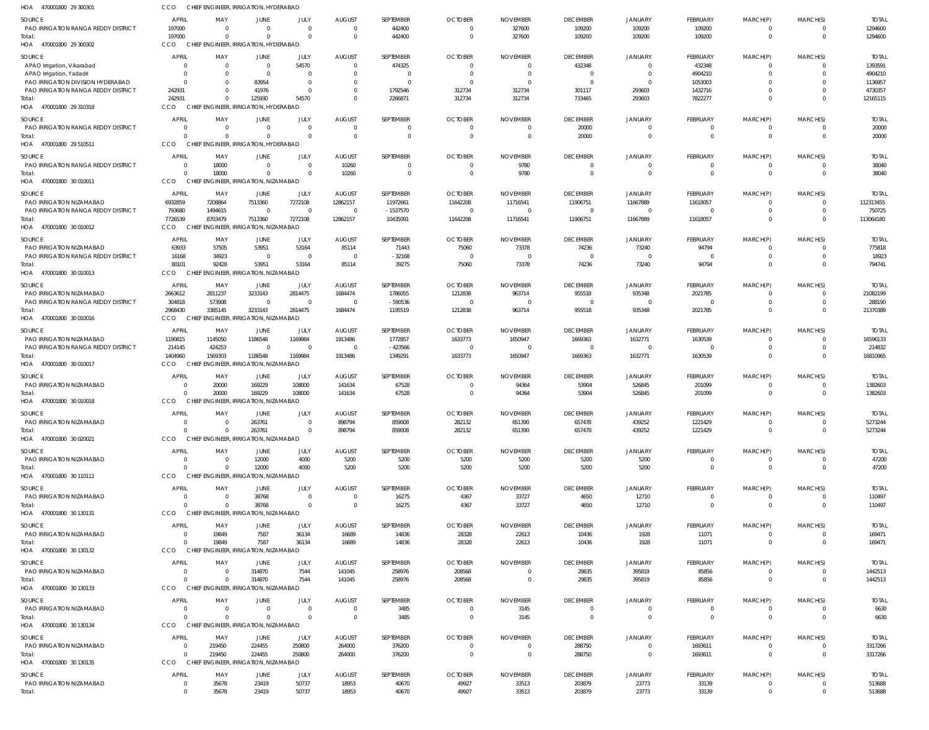| HOA 470001800 29 300301                                                         | CCO                              | CHIEF ENGINEER, IRRIGATION, HYDERABAD                         |                                           |                                 |                                             |                                 |                                                       |                                     |                                       |                                    |                                      |                                      |                      |                                    |
|---------------------------------------------------------------------------------|----------------------------------|---------------------------------------------------------------|-------------------------------------------|---------------------------------|---------------------------------------------|---------------------------------|-------------------------------------------------------|-------------------------------------|---------------------------------------|------------------------------------|--------------------------------------|--------------------------------------|----------------------|------------------------------------|
| SOURCE<br><b>PAO IRRIGATION RANGA REDDY DISTRICT</b><br>Total:                  | <b>APRIL</b><br>197000<br>197000 | MAY<br>$\Omega$<br>$\Omega$                                   | <b>JUNE</b><br>$\Omega$<br>$\Omega$       | JULY<br>$\Omega$<br>$\Omega$    | <b>AUGUST</b><br>$\Omega$<br>$\overline{0}$ | SEPTEMBER<br>442400<br>442400   | <b>OCTOBER</b><br>$\Omega$<br>$\overline{\mathbf{0}}$ | <b>NOVEMBER</b><br>327600<br>327600 | <b>DECEMBER</b><br>109200<br>109200   | <b>JANUARY</b><br>109200<br>109200 | <b>FEBRUARY</b><br>109200<br>109200  | MARCH(P)<br>$\Omega$<br>$\mathbf{0}$ | MARCH(S)<br>$\Omega$ | <b>TOTAL</b><br>1294600<br>1294600 |
| HOA 470001800 29 300302                                                         | <b>CCO</b>                       | CHIEF ENGINEER, IRRIGATION, HYDERABAD                         |                                           |                                 |                                             |                                 |                                                       |                                     |                                       |                                    |                                      |                                      |                      |                                    |
| SOURCE<br>APAO Irrigation, Vikarabad<br>APAO Irrigation, Yadadri                | APRI<br>-0<br>$\Omega$           | MAY<br>$\Omega$<br>$\Omega$                                   | <b>JUNE</b><br>$\overline{0}$<br>$\Omega$ | JULY<br>54570<br>$\overline{0}$ | <b>AUGUST</b><br>- 0<br>$\Omega$            | SEPTEMBER<br>474325<br>$\Omega$ | <b>OCTOBER</b><br>- 0<br>- 0                          | <b>NOVEMBER</b><br>- 0<br>$\Omega$  | <b>DECEMBER</b><br>432348<br>$\Omega$ | JANUARY<br>$\Omega$                | <b>FEBRUARY</b><br>432348<br>4904210 | MARCH(P)<br>$\Omega$<br>$\Omega$     | MARCH(S)<br>$\Omega$ | <b>TOTAI</b><br>1393591<br>4904210 |
| PAO IRRIGATION DIVISION HYDERABAD<br><b>PAO IRRIGATION RANGA REDDY DISTRICT</b> | $\Omega$<br>242931               | $\Omega$                                                      | 83954<br>41976                            | $\overline{0}$<br>$\Omega$      | $\overline{0}$<br>$\Omega$                  | $\Omega$<br>1792546             | - 0<br>312734                                         | $\Omega$<br>312734                  | $\Omega$<br>301117                    | 293603                             | 1053003<br>1432716                   | $\Omega$<br>$\Omega$                 | $\Omega$<br>$\Omega$ | 1136957<br>4730357                 |
| Total:<br>HOA 470001800 29 310318                                               | 242931<br>CCO                    | $\Omega$<br>CHIEF ENGINEER, IRRIGATION, HYDERABAD             | 125930                                    | 54570                           | $\Omega$                                    | 2266871                         | 312734                                                | 312734                              | 733465                                | 293603                             | 7822277                              | $\Omega$                             | $\Omega$             | 12165115                           |
| SOURCE                                                                          | <b>APRIL</b>                     | MAY                                                           | <b>JUNE</b>                               | JULY                            | <b>AUGUST</b>                               | SEPTEMBER                       | <b>OCTOBER</b>                                        | <b>NOVEMBER</b>                     | <b>DECEMBER</b>                       | <b>JANUARY</b>                     | <b>FEBRUARY</b>                      | MARCH(P)                             | MARCH(S)             | <b>TOTAI</b>                       |
| <b>PAO IRRIGATION RANGA REDDY DISTRICT</b><br>Total:                            | $\Omega$<br>$\cap$<br>CCO        | $\Omega$<br>$\Omega$<br>CHIEF ENGINEER, IRRIGATION, HYDERABAD | $\Omega$<br>$\Omega$                      | 0<br>$\Omega$                   | $\overline{0}$<br>$\Omega$                  | $\Omega$                        | 0<br>$\overline{0}$                                   | $\Omega$<br>$\overline{\mathbf{0}}$ | 20000<br>20000                        | $\Omega$                           | 0<br>$\Omega$                        | 0<br>$\mathbf 0$                     | $\Omega$             | 20000<br>20000                     |
| HOA 470001800 29 510511<br>SOURCE                                               | APRIL                            | MAY                                                           | <b>JUNE</b>                               | JULY                            | <b>AUGUST</b>                               | SEPTEMBER                       | <b>OCTOBER</b>                                        | <b>NOVEMBER</b>                     | <b>DECEMBER</b>                       | <b>JANUARY</b>                     | FEBRUARY                             | MARCH(P)                             | MARCH(S)             | <b>TOTAL</b>                       |
| <b>PAO IRRIGATION RANGA REDDY DISTRICT</b>                                      | $\Omega$                         | 18000                                                         | $\Omega$                                  | $\Omega$                        | 10260                                       | $\Omega$                        | $\overline{\mathbf{0}}$                               | 9780                                | $\Omega$                              | $\Omega$                           | $\mathbf 0$                          | 0                                    | $\Omega$             | 38040                              |
| Total:<br>HOA 470001800 30 010011                                               | $\Omega$<br>CCO                  | 18000<br>CHIEF ENGINEER, IRRIGATION, NIZAMABAD                | $\Omega$                                  | $\Omega$                        | 10260                                       | $\Omega$                        | $\overline{0}$                                        | 9780                                | $\Omega$                              | $\Omega$                           | $\mathbf{0}$                         | $\overline{0}$                       | $\Omega$             | 38040                              |
| SOURCE                                                                          | <b>APRIL</b>                     | MAY                                                           | JUNE                                      | JULY                            | AUGUST                                      | SEPTEMBER                       | <b>OCTOBER</b>                                        | <b>NOVEMBER</b>                     | <b>DECEMBER</b>                       | JANUARY                            | FEBRUARY                             | MARCH(P)                             | MARCH(S)             | <b>TOTA</b>                        |
| PAO IRRIGATION NIZAMABAD<br><b>PAO IRRIGATION RANGA REDDY DISTRICT</b>          | 6932859<br>793680                | 7208864<br>1494615                                            | 7513360<br>$\Omega$                       | 7272108<br>$\Omega$             | 12862157<br>$\overline{0}$                  | 11972661<br>$-1537570$          | 11642208<br>- 0                                       | 11716541<br>$\Omega$                | 11906751<br>$\Omega$                  | 11667889                           | 11618057<br>$\Omega$                 | 0<br>$\Omega$                        | $\Omega$<br>$\Omega$ | 112313455<br>750725                |
| Total:                                                                          | 7726539                          | 8703479                                                       | 7513360                                   | 7272108                         | 12862157                                    | 10435091                        | 11642208                                              | 11716541                            | 11906751                              | 11667889                           | 11618057                             | $\Omega$                             | $\Omega$             | 113064180                          |
| HOA 470001800 30 010012                                                         | CCO                              | <b>CHIEF</b>                                                  | <b>ENGINEER, IRRIGATION, NIZAMABAD</b>    |                                 |                                             |                                 |                                                       |                                     |                                       |                                    |                                      |                                      |                      |                                    |
| SOURCE<br><b>PAO IRRIGATION NIZAMABAD</b>                                       | <b>APRIL</b><br>63933            | MAY<br>57505                                                  | <b>JUNE</b><br>53951                      | JULY<br>53164                   | <b>AUGUST</b><br>85114                      | SEPTEMBER<br>71443              | <b>OCTOBER</b><br>75060                               | <b>NOVEMBER</b><br>73378            | <b>DECEMBER</b><br>74236              | <b>JANUARY</b><br>73240            | <b>FEBRUARY</b><br>94794             | MARCH(P)<br>0                        | MARCH(S)<br>$\Omega$ | <b>TOTAI</b><br>775818             |
| <b>PAO IRRIGATION RANGA REDDY DISTRICT</b>                                      | 16168                            | 34923                                                         | $\Omega$                                  | $\Omega$                        | $\overline{0}$                              | $-32168$                        | - 0                                                   | $\overline{0}$                      | $\Omega$                              |                                    | $\Omega$                             | $\Omega$                             | $\Omega$             | 18923                              |
| Total:<br>HOA 470001800 30 010013                                               | 80101<br>CCO                     | 92428<br><b>CHIEF</b>                                         | 53951<br>ENGINEER, IRRIGATION, NIZAMABAD  | 53164                           | 85114                                       | 39275                           | 75060                                                 | 73378                               | 74236                                 | 73240                              | 94794                                | $\Omega$                             | $\Omega$             | 794741                             |
| SOURCE                                                                          | APRIL                            | MAY                                                           | <b>JUNE</b>                               | JULY                            | <b>AUGUST</b>                               | SEPTEMBER                       | <b>OCTOBER</b>                                        | <b>NOVEMBER</b>                     | <b>DECEMBER</b>                       | <b>JANUARY</b>                     | FEBRUARY                             | MARCH(P)                             | MARCH(S)             | <b>TOTAI</b>                       |
| PAO IRRIGATION NIZAMABAD<br>PAO IRRIGATION RANGA REDDY DISTRICT                 | 2663612<br>304818                | 2811237<br>573908                                             | 3233143<br>$\overline{0}$                 | 2814475<br>$\Omega$             | 1684474<br>$\overline{0}$                   | 1786055<br>$-590536$            | 1212838<br>$\overline{\mathbf{0}}$                    | 963714<br>$\overline{0}$            | 955518<br>$\Omega$                    | 935348                             | 2021785<br>$\Omega$                  | 0<br>$\Omega$                        | $\Omega$             | 21082199<br>288190                 |
| Total:<br>HOA 470001800 30 010016                                               | 2968430<br>CCO                   | 3385145<br>CHIEF ENGINEER, IRRIGATION, NIZAMABAD              | 3233143                                   | 2814475                         | 1684474                                     | 1195519                         | 1212838                                               | 963714                              | 955518                                | 935348                             | 2021785                              | $\Omega$                             | $\Omega$             | 21370389                           |
| SOURCE                                                                          | <b>APRIL</b>                     | MAY                                                           | JUNE                                      | JULY                            | <b>AUGUST</b>                               | SEPTEMBER                       | <b>OCTOBER</b>                                        | <b>NOVEMBER</b>                     | <b>DECEMBER</b>                       | <b>JANUARY</b>                     | FEBRUARY                             | MARCH(P)                             | MARCH(S)             | <b>TOTAL</b>                       |
| PAO IRRIGATION NIZAMABAD                                                        | 1190815                          | 1145050                                                       | 1186548                                   | 1169984<br>$\Omega$             | 1913486                                     | 1772857                         | 1633773                                               | 1650947                             | 1669363                               | 1632771<br>$\Omega$                | 1630539                              | $\Omega$                             | $\Omega$             | 16596133                           |
| <b>PAO IRRIGATION RANGA REDDY DISTRICT</b><br>Total:<br>HOA 470001800 30 010017 | 214145<br>1404960<br>CCO         | 424253<br>1569303<br>CHIEF ENGINEER, IRRIGATION, NIZAMABAD    | $\overline{0}$<br>1186548                 | 1169984                         | $\overline{0}$<br>1913486                   | $-423566$<br>1349291            | $\overline{\phantom{0}}$<br>1633773                   | - 0<br>1650947                      | $\Omega$<br>1669363                   | 1632771                            | $\Omega$<br>1630539                  | 0<br>$\Omega$                        | $\Omega$<br>$\Omega$ | 214832<br>16810965                 |
| SOURCE                                                                          | APRIL                            | MAY                                                           | JUNE                                      | JULY                            | <b>AUGUST</b>                               | SEPTEMBER                       | <b>OCTOBER</b>                                        | <b>NOVEMBER</b>                     | <b>DECEMBER</b>                       | <b>JANUARY</b>                     | FEBRUARY                             | MARCH(P)                             | MARCH(S)             | <b>TOTAI</b>                       |
| PAO IRRIGATION NIZAMABAD                                                        | $\Omega$                         | 20000                                                         | 169229                                    | 108000                          | 141634                                      | 67528                           | $\overline{\mathbf{0}}$                               | 94364                               | 53904                                 | 526845                             | 201099                               | $\Omega$                             | - 0                  | 1382603                            |
| Total:<br>HOA 470001800 30 010018                                               | CCO                              | 20000<br>CHIEI                                                | 169229<br>ENGINEER, IRRIGATION, NIZAMABAD | 108000                          | 141634                                      | 67528                           | $\overline{\mathbf{0}}$                               | 94364                               | 53904                                 | 526845                             | 201099                               | $\mathbf{0}$                         | $\Omega$             | 1382603                            |
| SOURCE                                                                          | APRIL                            | MAY                                                           | <b>JUNE</b>                               | JULY                            | <b>AUGUST</b>                               | SEPTEMBER                       | <b>OCTOBER</b>                                        | <b>NOVEMBER</b>                     | <b>DECEMBER</b>                       | <b>JANUARY</b>                     | <b>FEBRUARY</b>                      | MARCH(P)                             | MARCH(S)             | <b>TOTAL</b>                       |
| PAO IRRIGATION NIZAMABAD<br>Total:                                              | $\Omega$                         | $\Omega$                                                      | 263761<br>263761                          | $\Omega$<br>$\Omega$            | 898794<br>898794                            | 859008<br>859008                | 282132<br>282132                                      | 651390<br>651390                    | 657478<br>657478                      | 439252<br>439252                   | 1221429<br>1221429                   | $\Omega$<br>$\mathbf{0}$             | $\Omega$<br>$\Omega$ | 5273244<br>5273244                 |
| HOA 470001800 30 020021                                                         | CCO                              | CHIEF ENGINEER, IRRIGATION, NIZAMABAD                         |                                           |                                 |                                             |                                 |                                                       |                                     |                                       |                                    |                                      |                                      |                      |                                    |
| SOURCE<br>PAO IRRIGATION NIZAMABAD                                              | APRIL<br>$\Omega$                | MAY<br>$\Omega$                                               | <b>JUNE</b><br>12000                      | JULY<br>4000                    | <b>AUGUST</b><br>5200                       | SEPTEMBER<br>5200               | <b>OCTOBER</b><br>5200                                | <b>NOVEMBER</b><br>5200             | <b>DECEMBER</b><br>5200               | <b>JANUARY</b><br>5200             | FEBRUARY<br>$\Omega$                 | MARCH(P)<br>$\Omega$                 | MARCH(S)             | <b>TOTAL</b><br>47200              |
| Total:<br>HOA 470001800 30 110111                                               | $\Omega$<br><b>CCO</b>           | $\Omega$<br>CHIEF ENGINEER, IRRIGATION, NIZAMABAD             | 12000                                     | 4000                            | 5200                                        | 5200                            | 5200                                                  | 5200                                | 5200                                  | 5200                               | $\mathbf 0$                          | $\mathbf{0}$                         | $\Omega$             | 47200                              |
| SOURCE                                                                          | <b>APRIL</b>                     | MAY                                                           | <b>JUNE</b>                               | JULY                            | <b>AUGUST</b>                               | SEPTEMBER                       | <b>OCTOBER</b>                                        | <b>NOVEMBER</b>                     | <b>DECEMBER</b>                       | <b>JANUARY</b>                     | <b>FEBRUARY</b>                      | MARCH(P)                             | MARCH(S)             | <b>TOTAL</b>                       |
| PAO IRRIGATION NIZAMABAD                                                        | $\Omega$                         | $\Omega$                                                      | 38768                                     | $\overline{0}$                  | $\overline{0}$                              | 16275                           | 4367                                                  | 33727                               | 4650                                  | 12710                              | 0                                    | 0                                    | $\Omega$             | 110497                             |
| Total:<br>HOA 470001800 30 130131                                               | $\Omega$<br>CCO                  | $\Omega$<br>CHIEF ENGINEER, IRRIGATION, NIZAMABAD             | 38768                                     | $\Omega$                        | $\overline{0}$                              | 16275                           | 4367                                                  | 33727                               | 4650                                  | 12710                              | $\overline{0}$                       | $\overline{0}$                       | $\Omega$             | 110497                             |
| SOURCE                                                                          | APRIL                            | MAY                                                           | JUNE                                      | JULY                            | <b>AUGUST</b>                               | SEPTEMBER                       | <b>OCTOBER</b>                                        | <b>NOVEMBER</b>                     | <b>DECEMBER</b>                       | <b>JANUARY</b>                     | FEBRUARY                             | MARCH(P)                             | MARCH(S)             | <b>TOTAL</b>                       |
| PAO IRRIGATION NIZAMABAD<br>Total:                                              | $\Omega$                         | 19849<br>19849<br>CHIEF ENGINEER, IRRIGATION, NIZAMABAD       | 7587<br>7587                              | 36134<br>36134                  | 16689<br>16689                              | 14836<br>14836                  | 28328<br>28328                                        | 22613<br>22613                      | 10436<br>10436                        | 1928<br>1928                       | 11071<br>11071                       | 0<br>$\mathbf{0}$                    | $\Omega$<br>$\Omega$ | 169471<br>169471                   |
| HOA 470001800 30 130132                                                         | CCO                              |                                                               |                                           |                                 |                                             |                                 |                                                       |                                     |                                       |                                    |                                      |                                      |                      |                                    |
| SOURCE<br>PAO IRRIGATION NIZAMABAD                                              | <b>APRIL</b><br>$\Omega$         | MAY<br>$\Omega$                                               | <b>JUNE</b><br>314870                     | JULY<br>7544                    | <b>AUGUST</b><br>141045                     | SEPTEMBER<br>258976             | <b>OCTOBER</b><br>208568                              | <b>NOVEMBER</b><br>$\overline{0}$   | <b>DECEMBER</b><br>29835              | <b>JANUARY</b><br>395819           | <b>FEBRUARY</b><br>85856             | MARCH(P)<br>0                        | MARCH(S)<br>$\Omega$ | <b>TOTAL</b><br>1442513            |
| Total:<br>HOA 470001800 30 130133                                               | $\Omega$<br><b>CCO</b>           | $\Omega$<br>CHIEF ENGINEER, IRRIGATION, NIZAMABAD             | 314870                                    | 7544                            | 141045                                      | 258976                          | 208568                                                | $\overline{\mathbf{0}}$             | 29835                                 | 395819                             | 85856                                | $\overline{0}$                       | $\Omega$             | 1442513                            |
| SOURCE                                                                          | <b>APRIL</b>                     | MAY                                                           | <b>JUNE</b>                               | JULY                            | <b>AUGUST</b>                               | SEPTEMBER                       | <b>OCTOBER</b>                                        | <b>NOVEMBER</b>                     | <b>DECEMBER</b>                       | <b>JANUARY</b>                     | FEBRUARY                             | MARCH(P)                             | MARCH(S)             | <b>TOTAL</b>                       |
| PAO IRRIGATION NIZAMABAD<br>Total:                                              | $\Omega$<br>$\Omega$             | $\Omega$<br>$\Omega$                                          | $\Omega$<br>$\Omega$                      | $\Omega$<br>$\Omega$            | $\overline{0}$<br>$\overline{0}$            | 3485<br>3485                    | $\Omega$<br>$\overline{0}$                            | 3145<br>3145                        | $\Omega$<br>$\overline{0}$            | - 0<br>$\Omega$                    | $\Omega$<br>$\mathbf 0$              | $\Omega$<br>$\mathbf 0$              | $\Omega$             | 6630<br>6630                       |
| HOA 470001800 30 130134                                                         | CCO                              | CHIEF ENGINEER, IRRIGATION, NIZAMABAD                         |                                           |                                 |                                             |                                 |                                                       |                                     |                                       |                                    |                                      |                                      |                      |                                    |
| SOURCE<br>PAO IRRIGATION NIZAMABAD                                              | APRIL<br>$\Omega$                | MAY<br>219450                                                 | <b>JUNE</b><br>224455                     | <b>JULY</b><br>250800           | <b>AUGUST</b><br>264000                     | SEPTEMBER<br>376200             | <b>OCTOBER</b><br>$\overline{\mathbf{0}}$             | <b>NOVEMBER</b><br>$\overline{0}$   | <b>DECEMBER</b><br>288750             | <b>JANUARY</b><br>$\Omega$         | <b>FEBRUARY</b><br>1693611           | MARCH(P)<br>0                        | MARCH(S)<br>$\Omega$ | <b>TOTAL</b><br>3317266            |
| Total:                                                                          | $\Omega$                         | 219450                                                        | 224455                                    | 250800                          | 264000                                      | 376200                          | $\overline{0}$                                        | $\overline{\mathbf{0}}$             | 288750                                | $\Omega$                           | 1693611                              | $\overline{0}$                       | $\Omega$             | 3317266                            |
| HOA 470001800 30 130135                                                         | CCO                              | <b>CHIEF</b>                                                  | ENGINEER, IRRIGATION, NIZAMABAD           |                                 |                                             |                                 |                                                       |                                     |                                       |                                    |                                      |                                      |                      |                                    |
| SOURCE<br>PAO IRRIGATION NIZAMABAD                                              | APRIL<br>$\Omega$                | MAY<br>35678                                                  | JUNE<br>23419                             | JULY<br>50737                   | AUGUST<br>18953                             | SEPTEMBER<br>40670              | <b>OCTOBER</b><br>49927                               | <b>NOVEMBER</b><br>33513            | <b>DECEMBER</b><br>203879             | JANUARY<br>23773                   | FEBRUARY<br>33139                    | MARCH(P)<br>$\mathbf 0$              | MARCH(S)<br>$\Omega$ | <b>TOTAL</b><br>513688             |
| Total:                                                                          | $\Omega$                         | 35678                                                         | 23419                                     | 50737                           | 18953                                       | 40670                           | 49927                                                 | 33513                               | 203879                                | 23773                              | 33139                                | $\mathbf 0$                          | $\overline{0}$       | 513688                             |
|                                                                                 |                                  |                                                               |                                           |                                 |                                             |                                 |                                                       |                                     |                                       |                                    |                                      |                                      |                      |                                    |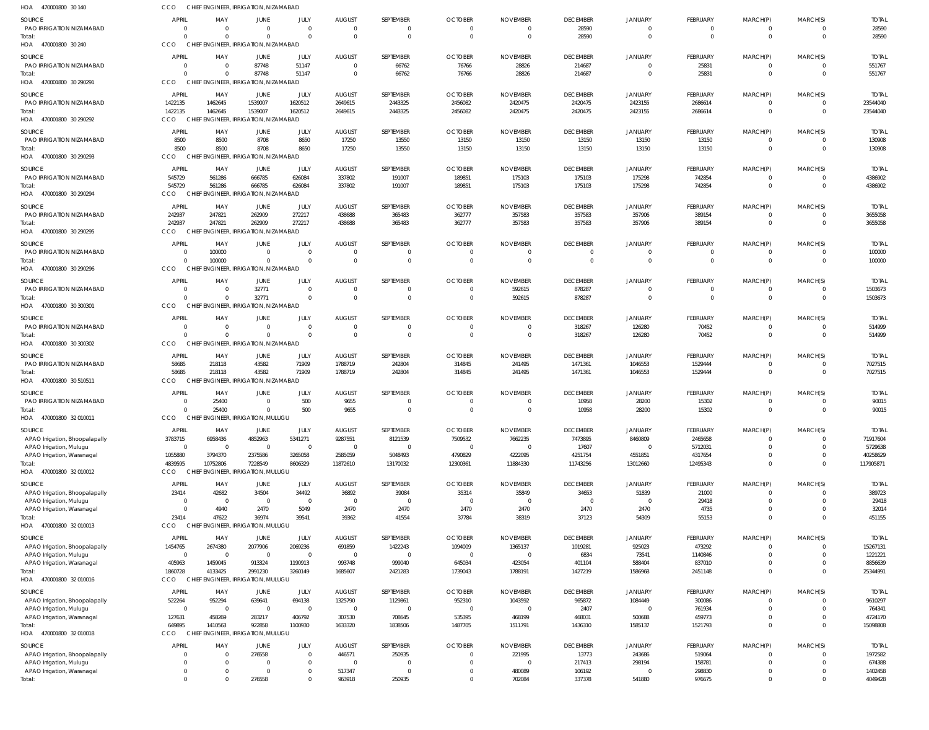| HOA 470001800 30 140                                  | <b>CCO</b>                 | CHIEF ENGINEER, IRRIGATION, NIZAMABAD             |                                     |                           |                               |                                    |                                  |                                    |                           |                            |                          |                         |                      |                        |
|-------------------------------------------------------|----------------------------|---------------------------------------------------|-------------------------------------|---------------------------|-------------------------------|------------------------------------|----------------------------------|------------------------------------|---------------------------|----------------------------|--------------------------|-------------------------|----------------------|------------------------|
| SOURCE                                                | APRIL                      | MAY                                               | JUNE                                | JULY                      | <b>AUGUST</b>                 | SEPTEMBER                          | <b>OCTOBER</b>                   | <b>NOVEMBER</b>                    | <b>DECEMBER</b>           | <b>JANUARY</b>             | <b>FEBRUARY</b>          | MARCH(P)                | MARCH(S)             | <b>TOTAL</b>           |
| PAO IRRIGATION NIZAMABAD                              | - 0                        | - 0                                               | $\Omega$                            | $\Omega$                  | $\Omega$                      | $\Omega$                           | $\Omega$                         | $\Omega$                           | 28590                     | $\Omega$                   | 0                        | $\Omega$                |                      | 28590                  |
| Total:<br>HOA 470001800 30 240                        | $\Omega$<br>CCO            | $\Omega$<br>CHIEF ENGINEER, IRRIGATION, NIZAMABAD | $\Omega$                            | $\Omega$                  | $\mathbf{0}$                  | $\mathbf 0$                        | $\overline{0}$                   | $\overline{0}$                     | 28590                     | $\Omega$                   | $\mathbf 0$              | $\mathbf 0$             | $\Omega$             | 28590                  |
|                                                       |                            |                                                   |                                     |                           |                               |                                    |                                  |                                    |                           |                            |                          |                         |                      |                        |
| SOURCE<br>PAO IRRIGATION NIZAMABAD                    | APRIL<br>0                 | MAY<br>$\overline{\mathbf{0}}$                    | JUNE<br>87748                       | JULY<br>51147             | <b>AUGUST</b><br>$\mathbf{0}$ | SEPTEMBER<br>66762                 | <b>OCTOBER</b><br>76766          | <b>NOVEMBER</b><br>28826           | <b>DECEMBER</b><br>214687 | <b>JANUARY</b><br>$\Omega$ | <b>FEBRUARY</b><br>25831 | MARCH(P)<br>$\Omega$    | MARCH(S)             | <b>TOTAL</b><br>551767 |
| Total:                                                | $\Omega$                   | - 0                                               | 87748                               | 51147                     | $\Omega$                      | 66762                              | 76766                            | 28826                              | 214687                    | $\Omega$                   | 25831                    | $\Omega$                | $\Omega$             | 551767                 |
| HOA 470001800 30 290291                               | CCO                        | CHIEF ENGINEER, IRRIGATION, NIZAMABAD             |                                     |                           |                               |                                    |                                  |                                    |                           |                            |                          |                         |                      |                        |
| SOURCE                                                | APRIL                      | MAY                                               | JUNE                                | JULY                      | <b>AUGUST</b>                 | SEPTEMBER                          | <b>OCTOBER</b>                   | <b>NOVEMBER</b>                    | <b>DECEMBER</b>           | <b>JANUARY</b>             | <b>FEBRUARY</b>          | MARCH(P)                | MARCH(S)             | <b>TOTAL</b>           |
| PAO IRRIGATION NIZAMABAD                              | 1422135                    | 1462645                                           | 1539007                             | 1620512                   | 2649615                       | 2443325                            | 2456082                          | 2420475                            | 2420475                   | 2423155                    | 2686614                  | $\Omega$                |                      | 23544040               |
| Total:<br>HOA 470001800 30 290292                     | 1422135<br>CCO             | 1462645<br>CHIEF ENGINEER, IRRIGATION, NIZAMABAD  | 1539007                             | 1620512                   | 2649615                       | 2443325                            | 2456082                          | 2420475                            | 2420475                   | 2423155                    | 2686614                  | $\Omega$                | $\Omega$             | 23544040               |
|                                                       |                            |                                                   |                                     |                           |                               |                                    |                                  |                                    |                           |                            |                          |                         |                      |                        |
| SOURCE<br>PAO IRRIGATION NIZAMABAD                    | APRIL<br>8500              | MAY<br>8500                                       | JUNE<br>8708                        | JULY<br>8650              | <b>AUGUST</b><br>17250        | SEPTEMBER<br>13550                 | <b>OCTOBER</b><br>13150          | <b>NOVEMBER</b><br>13150           | <b>DECEMBER</b><br>13150  | <b>JANUARY</b><br>13150    | <b>FEBRUARY</b><br>13150 | MARCH(P)<br>0           | MARCH(S)<br>$\Omega$ | <b>TOTAL</b><br>130908 |
| Total:                                                | 8500                       | 8500                                              | 8708                                | 8650                      | 17250                         | 13550                              | 13150                            | 13150                              | 13150                     | 13150                      | 13150                    | $\mathbf 0$             | $\Omega$             | 130908                 |
| HOA 470001800 30 290293                               | CCO                        | CHIEF ENGINEER, IRRIGATION, NIZAMABAD             |                                     |                           |                               |                                    |                                  |                                    |                           |                            |                          |                         |                      |                        |
| SOURCE                                                | APRIL                      | MAY                                               | JUNE                                | JULY                      | <b>AUGUST</b>                 | SEPTEMBER                          | <b>OCTOBER</b>                   | <b>NOVEMBER</b>                    | <b>DECEMBER</b>           | <b>JANUARY</b>             | <b>FEBRUARY</b>          | MARCH(P)                | MARCH(S)             | <b>TOTAL</b>           |
| PAO IRRIGATION NIZAMABAD<br>Total:                    | 545729<br>545729           | 561286<br>561286                                  | 666785<br>666785                    | 626084<br>626084          | 337802<br>337802              | 191007<br>191007                   | 189851<br>189851                 | 175103<br>175103                   | 175103<br>175103          | 175298<br>175298           | 742854<br>742854         | $\Omega$<br>$\Omega$    | $\Omega$             | 4386902<br>4386902     |
| HOA 470001800 30 290294                               | <b>CCO</b>                 | CHIEF ENGINEER, IRRIGATION, NIZAMABAD             |                                     |                           |                               |                                    |                                  |                                    |                           |                            |                          |                         |                      |                        |
| SOURCE                                                | APRIL                      | MAY                                               | JUNE                                | JULY                      | <b>AUGUST</b>                 | SEPTEMBER                          | <b>OCTOBER</b>                   | <b>NOVEMBER</b>                    | <b>DECEMBER</b>           | <b>JANUARY</b>             | <b>FEBRUARY</b>          | MARCH(P)                | MARCH(S)             | <b>TOTAL</b>           |
| PAO IRRIGATION NIZAMABAD                              | 242937                     | 247821                                            | 262909                              | 272217                    | 438688                        | 365483                             | 362777                           | 357583                             | 357583                    | 357906                     | 389154                   | 0                       |                      | 3655058                |
| Total:                                                | 242937                     | 247821                                            | 262909                              | 272217                    | 438688                        | 365483                             | 362777                           | 357583                             | 357583                    | 357906                     | 389154                   | $\mathbf 0$             | $\Omega$             | 3655058                |
| HOA 470001800 30 290295                               | CCO                        | CHIEF ENGINEER, IRRIGATION, NIZAMABAD             |                                     |                           |                               |                                    |                                  |                                    |                           |                            |                          |                         |                      |                        |
| SOURCE                                                | <b>APRIL</b>               | MAY                                               | <b>JUNE</b>                         | JULY                      | <b>AUGUST</b>                 | SEPTEMBER                          | <b>OCTOBER</b>                   | <b>NOVEMBER</b>                    | <b>DECEMBER</b>           | <b>JANUARY</b>             | <b>FEBRUARY</b>          | MARCH(P)                | MARCH(S)             | <b>TOTAL</b>           |
| PAO IRRIGATION NIZAMABAD<br>Total:                    | $\overline{0}$<br>$\Omega$ | 100000<br>100000                                  | $\Omega$<br>$\Omega$                | $\Omega$<br>$\Omega$      | $\mathbf{0}$<br>$\Omega$      | $\Omega$<br>$\Omega$               | $\overline{0}$<br>$\Omega$       | $\mathbf 0$<br>$\Omega$            | $\Omega$<br>$\Omega$      | $\Omega$<br>$\Omega$       | 0<br>$\Omega$            | $\Omega$<br>$\Omega$    | $\Omega$             | 100000<br>100000       |
| HOA 470001800 30 290296                               | CCO                        | CHIEF ENGINEER, IRRIGATION, NIZAMABAD             |                                     |                           |                               |                                    |                                  |                                    |                           |                            |                          |                         |                      |                        |
| SOURCE                                                | APRIL                      | MAY                                               | JUNE                                | JULY                      | <b>AUGUST</b>                 | SEPTEMBER                          | <b>OCTOBER</b>                   | <b>NOVEMBER</b>                    | <b>DECEMBER</b>           | <b>JANUARY</b>             | FEBRUARY                 | MARCH(P)                | MARCH(S)             | <b>TOTAL</b>           |
| PAO IRRIGATION NIZAMABAD                              | $\Omega$                   | - 0                                               | 32771                               | $\overline{0}$            | $\Omega$                      | $\Omega$                           | $\overline{0}$                   | 592615                             | 878287                    | $\Omega$                   | 0                        | $\Omega$                | $\Omega$             | 1503673                |
| Total:                                                | $\Omega$                   | - 0                                               | 32771                               | $\overline{0}$            | $\Omega$                      | $\overline{0}$                     | $\overline{0}$                   | 592615                             | 878287                    | $\Omega$                   | $\mathbf 0$              | $\Omega$                | $\Omega$             | 1503673                |
| HOA 470001800 30 300301                               | CCO                        | CHIEF ENGINEER, IRRIGATION, NIZAMABAD             |                                     |                           |                               |                                    |                                  |                                    |                           |                            |                          |                         |                      |                        |
| SOURCE                                                | APRIL                      | MAY                                               | JUNE                                | JULY                      | <b>AUGUST</b>                 | SEPTEMBER                          | <b>OCTOBER</b>                   | <b>NOVEMBER</b>                    | <b>DECEMBER</b>           | <b>JANUARY</b>             | <b>FEBRUARY</b>          | MARCH(P)                | MARCH(S)             | <b>TOTAL</b>           |
| PAO IRRIGATION NIZAMABAD<br>Total:                    | $\Omega$<br>$\Omega$       | - 0<br>$\Omega$                                   | $\Omega$<br>$\Omega$                | $\Omega$<br>$\Omega$      | $\Omega$<br>$\Omega$          | $\Omega$<br>$\mathbf 0$            | $\Omega$<br>$\overline{0}$       | $\Omega$<br>$\overline{0}$         | 318267<br>318267          | 126280<br>126280           | 70452<br>70452           | $\Omega$<br>$\mathbf 0$ | $\Omega$             | 514999<br>514999       |
| HOA 470001800 30 300302                               | <b>CCO</b>                 | CHIEF ENGINEER, IRRIGATION, NIZAMABAD             |                                     |                           |                               |                                    |                                  |                                    |                           |                            |                          |                         |                      |                        |
| SOURCE                                                | APRIL                      | MAY                                               | JUNE                                | JULY                      | <b>AUGUST</b>                 | SEPTEMBER                          | <b>OCTOBER</b>                   | <b>NOVEMBER</b>                    | <b>DECEMBER</b>           | <b>JANUARY</b>             | <b>FEBRUARY</b>          | MARCH(P)                | MARCH(S)             | <b>TOTAL</b>           |
| PAO IRRIGATION NIZAMABAD                              | 58685                      | 218118                                            | 43582                               | 71909                     | 1788719                       | 242804                             | 314845                           | 241495                             | 1471361                   | 1046553                    | 1529444                  |                         |                      | 7027515                |
| Total:                                                | 58685                      | 218118<br>CHIEF ENGINEER, IRRIGATION, NIZAMABAD   | 43582                               | 71909                     | 1788719                       | 242804                             | 314845                           | 241495                             | 1471361                   | 1046553                    | 1529444                  | $\Omega$                | $\Omega$             | 7027515                |
| HOA 470001800 30 510511                               | <b>CCO</b>                 |                                                   |                                     |                           |                               |                                    |                                  |                                    |                           |                            |                          |                         |                      |                        |
| SOURCE<br><b>PAO IRRIGATION NIZAMABAD</b>             | <b>APRIL</b><br>$\Omega$   | MAY<br>25400                                      | JUNE<br>$\Omega$                    | <b>JULY</b><br>500        | <b>AUGUST</b><br>9655         | SEPTEMBER<br>$\Omega$              | <b>OCTOBER</b><br>$\Omega$       | <b>NOVEMBER</b><br>$\Omega$        | <b>DECEMBER</b><br>10958  | JANUARY<br>28200           | <b>FEBRUARY</b><br>15302 | MARCH(P)<br>$\Omega$    | MARCH(S)             | <b>TOTAL</b><br>90015  |
| Total:                                                | $\Omega$                   | 25400                                             | $\Omega$                            | 500                       | 9655                          | $\Omega$                           | $\Omega$                         | $\Omega$                           | 10958                     | 28200                      | 15302                    | $\Omega$                |                      | 90015                  |
| HOA 470001800 32 010011                               | CCO                        | <b>CHIEF</b>                                      | <b>ENGINEER, IRRIGATION, MULUGU</b> |                           |                               |                                    |                                  |                                    |                           |                            |                          |                         |                      |                        |
| SOURCE                                                | APRIL                      | MAY                                               | JUNE                                | JULY                      | <b>AUGUST</b>                 | SEPTEMBER                          | <b>OCTOBER</b>                   | <b>NOVEMBER</b>                    | <b>DECEMBER</b>           | <b>JANUARY</b>             | FEBRUARY                 | MARCH(P)                | MARCH(S)             | <b>TOTAL</b>           |
| APAO Irrigation, Bhoopalapally                        | 3783715                    | 6958436                                           | 4852963                             | 5341271                   | 9287551                       | 8121539                            | 7509532                          | 7662235                            | 7473895                   | 8460809                    | 2465658                  | $\Omega$                |                      | 71917604               |
| APAO Irrigation, Mulugu<br>APAO Irrigation, Waranagal | $\overline{0}$<br>1055880  | $\overline{\mathbf{0}}$<br>3794370                | $\overline{0}$<br>2375586           | $\overline{0}$<br>3265058 | $\overline{0}$<br>2585059     | $\overline{\mathbf{0}}$<br>5048493 | $\overline{0}$<br>4790829        | $\overline{0}$<br>4222095          | 17607<br>4251754          | $\Omega$<br>4551851        | 5712031<br>4317654       | $\Omega$                | $\Omega$             | 5729638<br>40258629    |
| Total:                                                | 4839595                    | 10752806                                          | 7228549                             | 8606329                   | 11872610                      | 13170032                           | 12300361                         | 11884330                           | 11743256                  | 13012660                   | 12495343                 | $\Omega$                | $\Omega$             | 117905871              |
| HOA 470001800 32010012                                | <b>CCO</b>                 | CHIEF ENGINEER, IRRIGATION, MULUGU                |                                     |                           |                               |                                    |                                  |                                    |                           |                            |                          |                         |                      |                        |
| SOURCE                                                | <b>APRIL</b>               | MAY                                               | JUNE                                | JULY                      | <b>AUGUST</b>                 | SEPTEMBER                          | <b>OCTOBER</b>                   | <b>NOVEMBER</b>                    | <b>DECEMBER</b>           | <b>JANUARY</b>             | <b>FEBRUARY</b>          | MARCH(P)                | MARCH(S)             | <b>TOTAL</b>           |
| APAO Irrigation, Bhoopalapally                        | 23414                      | 42682                                             | 34504                               | 34492                     | 36892                         | 39084                              | 35314                            | 35849                              | 34653                     | 51839                      | 21000                    |                         |                      | 389723                 |
| APAO Irrigation, Mulugu<br>APAO Irrigation, Waranagal | $\overline{0}$<br>$\Omega$ | $\overline{\mathbf{0}}$<br>4940                   | $\overline{0}$<br>2470              | $\overline{0}$<br>5049    | $\overline{0}$<br>2470        | $\overline{0}$<br>2470             | $\overline{0}$<br>2470           | $\overline{0}$<br>2470             | $\Omega$<br>2470          | $\Omega$<br>2470           | 29418<br>4735            | $\Omega$<br>0           |                      | 29418<br>32014         |
| Total:                                                | 23414                      | 47622                                             | 36974                               | 39541                     | 39362                         | 41554                              | 37784                            | 38319                              | 37123                     | 54309                      | 55153                    | $\Omega$                |                      | 451155                 |
| HOA 470001800 32 010013                               | CCO                        | CHIEF ENGINEER, IRRIGATION, MULUGU                |                                     |                           |                               |                                    |                                  |                                    |                           |                            |                          |                         |                      |                        |
| SOURCE                                                | <b>APRIL</b>               | MAY                                               | JUNE                                | JULY                      | <b>AUGUST</b>                 | SEPTEMBER                          | <b>OCTOBER</b>                   | <b>NOVEMBER</b>                    | <b>DECEMBER</b>           | <b>JANUARY</b>             | FEBRUARY                 | MARCH(P)                | MARCH(S)             | <b>TOTAL</b>           |
| APAO Irrigation, Bhoopalapally                        | 1454765                    | 2674380                                           | 2077906                             | 2069236                   | 691859                        | 1422243                            | 1094009                          | 1365137                            | 1019281                   | 925023                     | 473292                   |                         |                      | 15267131               |
| APAO Irrigation, Mulugu<br>APAO Irrigation, Waranagal | $\overline{0}$<br>405963   | $\overline{\mathbf{0}}$<br>1459045                | $\overline{0}$<br>913324            | $\overline{0}$<br>1190913 | $\overline{0}$<br>993748      | $\overline{\mathbf{0}}$<br>999040  | $\overline{0}$<br>645034         | $\overline{\phantom{0}}$<br>423054 | 6834<br>401104            | 73541<br>588404            | 1140846<br>837010        | $\Omega$                | $\Omega$             | 1221221<br>8856639     |
| Total:                                                | 1860728                    | 4133425                                           | 2991230                             | 3260149                   | 1685607                       | 2421283                            | 1739043                          | 1788191                            | 1427219                   | 1586968                    | 2451148                  | $\Omega$                | $\Omega$             | 25344991               |
| HOA 470001800 32010016                                | CCO                        | CHIEF ENGINEER, IRRIGATION, MULUGU                |                                     |                           |                               |                                    |                                  |                                    |                           |                            |                          |                         |                      |                        |
| SOURCE                                                | APRIL                      | MAY                                               | JUNE                                | JULY                      | <b>AUGUST</b>                 | SEPTEMBER                          | <b>OCTOBER</b>                   | <b>NOVEMBER</b>                    | <b>DECEMBER</b>           | <b>JANUARY</b>             | FEBRUARY                 | MARCH(P)                | MARCH(S)             | <b>TOTAL</b>           |
| APAO Irrigation, Bhoopalapally                        | 522264                     | 952294                                            | 639641                              | 694138                    | 1325790                       | 1129861                            | 952310                           | 1043592                            | 965872                    | 1084449                    | 300086                   | $\Omega$                |                      | 9610297                |
| APAO Irrigation, Mulugu<br>APAO Irrigation, Waranagal | $\overline{0}$<br>127631   | $\overline{\mathbf{0}}$<br>458269                 | $\overline{0}$<br>283217            | $\Omega$<br>406792        | $\overline{0}$<br>307530      | $\Omega$<br>708645                 | $\overline{0}$<br>535395         | $\overline{0}$<br>468199           | 2407<br>468031            | $\Omega$<br>500688         | 761934<br>459773         | $\Omega$<br>0           |                      | 764341<br>4724170      |
| Total:                                                | 649895                     | 1410563                                           | 922858                              | 1100930                   | 1633320                       | 1838506                            | 1487705                          | 1511791                            | 1436310                   | 1585137                    | 1521793                  | $\Omega$                |                      | 15098808               |
| HOA 470001800 32010018                                | CCO                        | CHIEF ENGINEER, IRRIGATION, MULUGU                |                                     |                           |                               |                                    |                                  |                                    |                           |                            |                          |                         |                      |                        |
| SOURCE                                                | <b>APRIL</b>               | MAY                                               | JUNE                                | JULY                      | <b>AUGUST</b>                 | SEPTEMBER                          | <b>OCTOBER</b>                   | <b>NOVEMBER</b>                    | <b>DECEMBER</b>           | <b>JANUARY</b>             | FEBRUARY                 | MARCH(P)                | MARCH(S)             | <b>TOTAL</b>           |
| APAO Irrigation, Bhoopalapally                        | $\overline{0}$<br>$\Omega$ | $\overline{\mathbf{0}}$                           | 276558                              | $\Omega$                  | 446571                        | 250935                             | $\overline{0}$                   | 221995                             | 13773                     | 243686                     | 519064                   |                         |                      | 1972582                |
| APAO Irrigation, Mulugu<br>APAO Irrigation, Waranagal | $\mathbf 0$                | $\overline{0}$<br>$\Omega$                        | $\Omega$<br>$\overline{0}$          | $\Omega$<br>$\Omega$      | $\overline{0}$<br>517347      | $\Omega$<br>$\mathbf 0$            | $\overline{0}$<br>$\overline{0}$ | $\overline{0}$<br>480089           | 217413<br>106192          | 298194<br>$\Omega$         | 158781<br>298830         |                         | $\Omega$             | 674388<br>1402458      |
| Total:                                                | $\Omega$                   | $\Omega$                                          | 276558                              | $\Omega$                  | 963918                        | 250935                             | $\mathbf{0}$                     | 702084                             | 337378                    | 541880                     | 976675                   | $\mathbf 0$             | $\Omega$             | 4049428                |
|                                                       |                            |                                                   |                                     |                           |                               |                                    |                                  |                                    |                           |                            |                          |                         |                      |                        |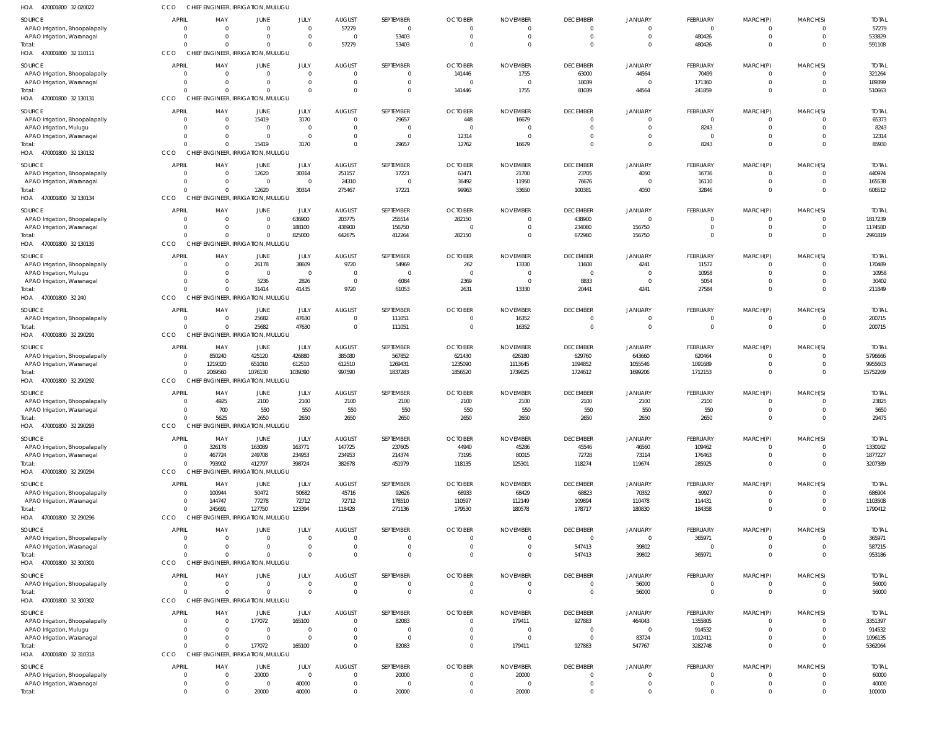| HOA 470001800 32 020022                                      | CCO                            |                 | CHIEF ENGINEER, IRRIGATION, MULUGU                   |                           |                                 |                             |                          |                          |                                   |                                  |                            |                            |                            |                         |
|--------------------------------------------------------------|--------------------------------|-----------------|------------------------------------------------------|---------------------------|---------------------------------|-----------------------------|--------------------------|--------------------------|-----------------------------------|----------------------------------|----------------------------|----------------------------|----------------------------|-------------------------|
| SOURCE                                                       | <b>APRIL</b>                   | MAY             | <b>JUNE</b>                                          | JULY                      | <b>AUGUST</b>                   | SEPTEMBER                   | <b>OCTOBER</b>           | <b>NOVEMBER</b>          | <b>DECEMBER</b>                   | JANUARY                          | FEBRUARY                   | MARCH(P)                   | MARCH(S)                   | <b>TOTAL</b>            |
| APAO Irrigation, Bhoopalapally                               | $\Omega$                       | $\Omega$        | $\mathbf{0}$                                         | $\overline{0}$            | 57279                           | $\overline{0}$              |                          |                          | $\mathbf{0}$                      | $\mathbf{0}$                     | $\overline{0}$             | 0                          | $\mathbf 0$                | 57279                   |
| APAO Irrigation, Waranagal                                   | $\Omega$                       |                 | $\Omega$                                             | $\overline{0}$            | $\overline{0}$                  | 53403                       | $\Omega$                 |                          | $\overline{0}$<br>$\Omega$        | $\overline{0}$                   | 480426                     | $\mathbf 0$                | $\overline{0}$<br>$\Omega$ | 533829                  |
| Total:<br>HOA 470001800 32 110111                            | $\Omega$<br>CCO                |                 | $\Omega$<br>CHIEF ENGINEER, IRRIGATION, MULUGU       | $\overline{0}$            | 57279                           | 53403                       | $\Omega$                 |                          |                                   | $\mathbf 0$                      | 480426                     | $\mathbf 0$                |                            | 591108                  |
| SOURCE                                                       | <b>APRIL</b>                   | MAY             | <b>JUNE</b>                                          | JULY                      | <b>AUGUST</b>                   | SEPTEMBER                   | <b>OCTOBER</b>           | <b>NOVEMBER</b>          | <b>DECEMBER</b>                   | JANUARY                          | FEBRUARY                   | MARCH(P)                   | MARCH(S)                   | <b>TOTAL</b>            |
| APAO Irrigation, Bhoopalapally                               | - 0                            | $\Omega$        | $\overline{0}$                                       | $\overline{0}$            | $\overline{0}$                  | $^{\circ}$                  | 141446                   | 1755                     | 63000                             | 44564                            | 70499                      | $^{\circ}$                 | $\overline{0}$             | 321264                  |
| APAO Irrigation, Waranagal                                   | $\circ$                        | $\Omega$        | $\overline{0}$                                       | $\overline{0}$            | $\overline{0}$                  | $\mathbf 0$                 | $\Omega$                 | $\Omega$                 | 18039                             | $\overline{0}$                   | 171360                     | $\mathbf 0$                | $\overline{0}$             | 189399                  |
| Total:                                                       | $\Omega$                       |                 | $\Omega$                                             | $\Omega$                  | $\Omega$                        | $\mathbf 0$                 | 141446                   | 1755                     | 81039                             | 44564                            | 241859                     | $\mathbf 0$                | $\Omega$                   | 510663                  |
| HOA 470001800 32 130131                                      | CCO                            |                 | CHIEF ENGINEER, IRRIGATION, MULUGU                   |                           |                                 |                             |                          |                          |                                   |                                  |                            |                            |                            |                         |
| SOURCE                                                       | <b>APRIL</b>                   | MAY             | <b>JUNE</b>                                          | JULY                      | <b>AUGUST</b>                   | SEPTEMBER                   | <b>OCTOBER</b>           | <b>NOVEMBER</b>          | <b>DECEMBER</b>                   | <b>JANUARY</b>                   | FEBRUARY                   | MARCH(P)                   | MARCH(S)                   | <b>TOTAL</b>            |
| APAO Irrigation, Bhoopalapally                               | - 0                            | $\Omega$        | 15419                                                | 3170                      | $\overline{0}$                  | 29657                       | 448                      | 16679                    | $\overline{0}$                    | $\mathbf 0$                      | $\overline{0}$             | $\mathbf 0$                | $\overline{0}$             | 65373                   |
| APAO Irrigation, Mulugu<br>APAO Irrigation, Waranagal        | $\Omega$<br>$\Omega$           | $\Omega$        | $\mathbf{0}$<br>$\overline{0}$                       | $\circ$<br>$\overline{0}$ | $\Omega$<br>$\Omega$            | $\mathbf 0$<br>$\mathbf{0}$ | 12314                    | $\Omega$                 | $\overline{0}$<br>$\Omega$        | $\overline{0}$<br>$\overline{0}$ | 8243<br>$\overline{0}$     | $\mathbf 0$<br>$\mathbf 0$ | $\Omega$<br>$\Omega$       | 8243<br>12314           |
| Total:                                                       | $\Omega$                       |                 | 15419                                                | 3170                      | $\Omega$                        | 29657                       | 12762                    | 16679                    | $\Omega$                          | $\mathbf 0$                      | 8243                       | $\mathbf 0$                | $\Omega$                   | 85930                   |
| HOA 470001800 32 130132                                      | CCO                            |                 | CHIEF ENGINEER, IRRIGATION, MULUGU                   |                           |                                 |                             |                          |                          |                                   |                                  |                            |                            |                            |                         |
| SOURCE                                                       | <b>APRIL</b>                   | MAY             | <b>JUNE</b>                                          | JULY                      | <b>AUGUST</b>                   | SEPTEMBER                   | <b>OCTOBER</b>           | <b>NOVEMBER</b>          | <b>DECEMBER</b>                   | JANUARY                          | FEBRUARY                   | MARCH(P)                   | MARCH(S)                   | <b>TOTAL</b>            |
| APAO Irrigation, Bhoopalapally                               | - 0                            | $\Omega$        | 12620                                                | 30314                     | 251157                          | 17221                       | 63471                    | 21700                    | 23705                             | 4050                             | 16736                      | $^{\circ}$                 | $\Omega$                   | 440974                  |
| APAO Irrigation, Waranagal                                   | - 0                            | $\Omega$        | $\overline{\mathbf{0}}$                              | $\overline{0}$            | 24310                           | $\overline{0}$              | 36492                    | 11950                    | 76676                             | $\overline{0}$                   | 16110                      | $\mathbf 0$                | $\overline{0}$             | 165538                  |
| Total:<br>HOA 470001800 32 130134                            | $\Omega$<br>CCO                |                 | 12620<br>CHIEF ENGINEER, IRRIGATION, MULUGU          | 30314                     | 275467                          | 17221                       | 99963                    | 33650                    | 100381                            | 4050                             | 32846                      | $\mathbf 0$                | $\overline{0}$             | 606512                  |
|                                                              |                                |                 |                                                      |                           |                                 |                             |                          |                          |                                   |                                  |                            |                            |                            |                         |
| SOURCE                                                       | <b>APRIL</b>                   | MAY<br>$\Omega$ | JUNE<br>$\overline{0}$                               | JULY<br>636900            | <b>AUGUST</b><br>203775         | SEPTEMBER                   | <b>OCTOBER</b><br>282150 | <b>NOVEMBER</b>          | <b>DECEMBER</b><br>438900         | JANUARY<br>$\overline{0}$        | FEBRUARY<br>$\mathbf{0}$   | MARCH(P)<br>$\mathbf 0$    | MARCH(S)<br>$\overline{0}$ | <b>TOTAL</b><br>1817239 |
| APAO Irrigation, Bhoopalapally<br>APAO Irrigation, Waranagal | - 0<br>$\Omega$                |                 | $\overline{0}$                                       | 188100                    | 438900                          | 255514<br>156750            |                          |                          | 234080                            | 156750                           | $\mathbf{0}$               | $\mathbf 0$                | $\overline{0}$             | 1174580                 |
| Total:                                                       | $\Omega$                       |                 | $\Omega$                                             | 825000                    | 642675                          | 412264                      | 282150                   |                          | 672980                            | 156750                           | $\mathbf{0}$               | $\mathbf 0$                | $\overline{0}$             | 2991819                 |
| HOA 470001800 32 130135                                      | CCO                            |                 | CHIEF ENGINEER, IRRIGATION, MULUGU                   |                           |                                 |                             |                          |                          |                                   |                                  |                            |                            |                            |                         |
| SOURCE                                                       | <b>APRIL</b>                   | MAY             | <b>JUNE</b>                                          | JULY                      | <b>AUGUST</b>                   | SEPTEMBER                   | <b>OCTOBER</b>           | <b>NOVEMBER</b>          | <b>DECEMBER</b>                   | JANUARY                          | FEBRUARY                   | MARCH(P)                   | MARCH(S)                   | <b>TOTAL</b>            |
| APAO Irrigation, Bhoopalapally                               | - 0                            | $\Omega$        | 26178                                                | 38609                     | 9720                            | 54969                       | 262                      | 13330                    | 11608                             | 4241                             | 11572                      | 0                          | $\overline{0}$             | 170489                  |
| APAO Irrigation, Mulugu                                      | $\Omega$                       | $\Omega$        | $\overline{\mathbf{0}}$                              | $\overline{0}$            | $\overline{0}$                  | $\overline{0}$              | $\Omega$                 | $\Omega$                 | $\overline{0}$                    | $\overline{0}$                   | 10958                      | $\mathbf 0$                | $\overline{0}$             | 10958                   |
| APAO Irrigation, Waranagal                                   | $\Omega$<br>$\Omega$           | $\Omega$        | 5236<br>31414                                        | 2826<br>41435             | $\overline{0}$                  | 6084                        | 2369                     | $\Omega$                 | 8833                              | $\overline{0}$                   | 5054                       | $\mathbf 0$<br>$\mathbf 0$ | $\overline{0}$<br>$\Omega$ | 30402                   |
| Total:<br>HOA 470001800 32 240                               | CCO                            |                 | CHIEF ENGINEER, IRRIGATION, MULUGU                   |                           | 9720                            | 61053                       | 2631                     | 13330                    | 20441                             | 4241                             | 27584                      |                            |                            | 211849                  |
| SOURCE                                                       | <b>APRIL</b>                   | MAY             | <b>JUNE</b>                                          | JULY                      | <b>AUGUST</b>                   | SEPTEMBER                   | <b>OCTOBER</b>           | <b>NOVEMBER</b>          | <b>DECEMBER</b>                   | <b>JANUARY</b>                   | FEBRUARY                   | MARCH(P)                   | MARCH(S)                   | <b>TOTAL</b>            |
| APAO Irrigation, Bhoopalapally                               | $\circ$                        | $\Omega$        | 25682                                                | 47630                     | $\overline{0}$                  | 111051                      | 0                        | 16352                    | $\overline{0}$                    | $\overline{0}$                   | $\mathbf 0$                | $\mathbf 0$                | $\overline{0}$             | 200715                  |
| Total:                                                       | $\Omega$                       |                 | 25682                                                | 47630                     | $\overline{0}$                  | 111051                      | $\Omega$                 | 16352                    | $\overline{0}$                    | $\overline{0}$                   | $\overline{0}$             | $\mathbf 0$                | $\Omega$                   | 200715                  |
| HOA<br>470001800 32 290291                                   | CCO<br>CHIE                    |                 | <b>ENGINEER, IRRIGATION, MULUGU</b>                  |                           |                                 |                             |                          |                          |                                   |                                  |                            |                            |                            |                         |
| SOURCE                                                       | <b>APRIL</b>                   | MAY             | JUNE                                                 | JULY                      | <b>AUGUST</b>                   | SEPTEMBER                   | <b>OCTOBER</b>           | <b>NOVEMBER</b>          | <b>DECEMBER</b>                   | JANUARY                          | FEBRUARY                   | MARCH(P)                   | MARCH(S)                   | <b>TOTAL</b>            |
| APAO Irrigation, Bhoopalapally                               | - 0                            | 850240          | 425120                                               | 426880                    | 385080                          | 567852                      | 621430                   | 626180                   | 629760                            | 643660                           | 620464                     | $^{\circ}$                 | $\overline{0}$             | 5796666                 |
| APAO Irrigation, Waranagal                                   | $\circ$                        | 1219320         | 651010                                               | 612510                    | 612510                          | 1269431                     | 1235090                  | 1113645                  | 1094852                           | 1055546                          | 1091689                    | $\mathbf 0$                | $\overline{0}$             | 9955603                 |
| Total:<br>HOA 470001800 32 290292                            | $\Omega$<br>CCO                | 2069560         | 1076130<br>CHIEF ENGINEER, IRRIGATION, MULUGU        | 1039390                   | 997590                          | 1837283                     | 1856520                  | 1739825                  | 1724612                           | 1699206                          | 1712153                    | $\mathbf 0$                | $\Omega$                   | 15752269                |
|                                                              |                                |                 |                                                      |                           |                                 |                             |                          |                          |                                   |                                  |                            |                            |                            |                         |
| SOURCE                                                       | <b>APRIL</b>                   | MAY<br>4925     | <b>JUNE</b><br>2100                                  | JULY<br>2100              | <b>AUGUST</b><br>2100           | SEPTEMBER<br>2100           | <b>OCTOBER</b>           | <b>NOVEMBER</b><br>2100  | <b>DECEMBER</b><br>2100           | JANUARY<br>2100                  | FEBRUARY<br>2100           | MARCH(P)<br>$\mathbf 0$    | MARCH(S)<br>$\Omega$       | <b>TOTAL</b><br>23825   |
| APAO Irrigation, Bhoopalapally<br>APAO Irrigation, Waranagal | $\Omega$                       | 700             | 550                                                  | 550                       | 550                             | 550                         | 2100<br>550              | 550                      | 550                               | 550                              | 550                        | $\mathbf 0$                | $\Omega$                   | 5650                    |
| Total:                                                       |                                | 5625            | 2650                                                 | 2650                      | 2650                            | 2650                        | 2650                     | 2650                     | 2650                              | 2650                             | 2650                       | $\Omega$                   |                            | 29475                   |
| HOA 470001800 32 290293                                      | <b>CCO</b>                     |                 | CHIEF ENGINEER, IRRIGATION, MULUGU                   |                           |                                 |                             |                          |                          |                                   |                                  |                            |                            |                            |                         |
| <b>SOURCE</b>                                                | <b>APRIL</b>                   | MAY             | <b>JUNE</b>                                          | JULY                      | <b>AUGUST</b>                   | SEPTEMBER                   | <b>OCTOBER</b>           | <b>NOVEMBER</b>          | <b>DECEMBER</b>                   | <b>JANUARY</b>                   | <b>FEBRUARY</b>            | MARCH(P)                   | MARCH(S)                   | <b>TOTAL</b>            |
| APAO Irrigation, Bhoopalapally                               | - 0                            | 326178          | 163089                                               | 163771                    | 147725                          | 237605                      | 44940                    | 45286                    | 45546                             | 46560                            | 109462                     | 0                          | $\overline{0}$             | 1330162                 |
| APAO Irrigation, Waranagal                                   | $\circ$                        | 467724          | 249708                                               | 234953                    | 234953                          | 214374                      | 73195                    | 80015                    | 72728                             | 73114                            | 176463                     | $\mathbf 0$                | $\overline{0}$             | 1877227                 |
| Total:<br>HOA 470001800 32 290294                            | $\Omega$<br>CCO                | 793902          | 412797<br>CHIEF ENGINEER, IRRIGATION, MULUGU         | 398724                    | 382678                          | 451979                      | 118135                   | 125301                   | 118274                            | 119674                           | 285925                     | $\mathbf 0$                | $\Omega$                   | 3207389                 |
|                                                              |                                |                 |                                                      |                           |                                 |                             |                          |                          |                                   |                                  |                            |                            |                            |                         |
| SOURCE<br>APAO Irrigation, Bhoopalapally                     | <b>APRIL</b><br>$\overline{0}$ | MAY<br>100944   | <b>JUNE</b><br>50472                                 | JULY<br>50682             | <b>AUGUST</b><br>45716          | SEPTEMBER<br>92626          | <b>OCTOBER</b><br>68933  | <b>NOVEMBER</b><br>68429 | <b>DECEMBER</b><br>68823          | <b>JANUARY</b><br>70352          | FEBRUARY<br>69927          | MARCH(P)<br>0              | MARCH(S)<br>$\Omega$       | <b>TOTAL</b><br>686904  |
| APAO Irrigation, Waranagal                                   | - 0                            | 144747          | 77278                                                | 72712                     | 72712                           | 178510                      | 110597                   | 112149                   | 109894                            | 110478                           | 114431                     | $\mathbf 0$                | $\Omega$                   | 1103508                 |
| Total:                                                       | $\Omega$                       | 245691          | 127750                                               | 123394                    | 118428                          | 271136                      | 179530                   | 180578                   | 178717                            | 180830                           | 184358                     | $\overline{0}$             | $\Omega$                   | 1790412                 |
| HOA 470001800 32 290296                                      | CCO<br><b>CHIEF</b>            |                 | ENGINEER, IRRIGATION, MULUGU                         |                           |                                 |                             |                          |                          |                                   |                                  |                            |                            |                            |                         |
| SOURCE                                                       | <b>APRIL</b>                   | MAY             | JUNE                                                 | JULY                      | <b>AUGUST</b>                   | SEPTEMBER                   | <b>OCTOBER</b>           | <b>NOVEMBER</b>          | <b>DECEMBER</b>                   | <b>JANUARY</b>                   | FEBRUARY                   | MARCH(P)                   | MARCH(S)                   | <b>TOTAL</b>            |
| APAO Irrigation, Bhoopalapally                               | $\overline{0}$                 | $\Omega$        | $\overline{0}$                                       | $\overline{0}$            | $\overline{0}$                  | $^{\circ}$                  | $\Omega$                 |                          | $\overline{0}$                    | $\mathbf 0$                      | 365971                     | $^{\circ}$                 | $\overline{0}$             | 365971                  |
| APAO Irrigation, Waranagal                                   | $\Omega$                       |                 | $\mathbf{0}$                                         | $\overline{0}$            | $\overline{0}$                  | $\mathbb O$                 | $\Omega$                 |                          | 547413                            | 39802                            | $\overline{0}$             | $\mathbf 0$                | $\overline{0}$             | 587215                  |
| Total:<br>HOA 470001800 32 300301                            | $\Omega$<br>CCO                |                 | $\overline{0}$<br>CHIEF ENGINEER, IRRIGATION, MULUGU | $\overline{0}$            | $\Omega$                        | $\mathbf 0$                 | $\Omega$                 |                          | 547413                            | 39802                            | 365971                     | $\mathbf 0$                | $\Omega$                   | 953186                  |
|                                                              |                                |                 |                                                      |                           |                                 |                             |                          |                          |                                   |                                  |                            |                            |                            |                         |
| <b>SOURCE</b><br>APAO Irrigation, Bhoopalapally              | <b>APRIL</b><br>$\overline{0}$ | MAY<br>$\Omega$ | <b>JUNE</b><br>$\overline{0}$                        | JULY<br>$\overline{0}$    | <b>AUGUST</b><br>$\overline{0}$ | SEPTEMBER<br>$\mathbf 0$    | <b>OCTOBER</b><br>0      | <b>NOVEMBER</b>          | <b>DECEMBER</b><br>$\overline{0}$ | JANUARY<br>56000                 | FEBRUARY<br>$\mathbf 0$    | MARCH(P)<br>$\mathbf 0$    | MARCH(S)<br>$\overline{0}$ | <b>TOTAL</b><br>56000   |
| Total:                                                       | $\Omega$                       |                 | $\overline{0}$                                       | $\overline{0}$            | $\overline{0}$                  | $\mathbf 0$                 | $\Omega$                 |                          | $\overline{0}$                    | 56000                            | $\overline{0}$             | $\mathbf 0$                | $\Omega$                   | 56000                   |
| HOA 470001800 32 300302                                      | <b>CCO</b>                     |                 | CHIEF ENGINEER, IRRIGATION, MULUGU                   |                           |                                 |                             |                          |                          |                                   |                                  |                            |                            |                            |                         |
| SOURCE                                                       | <b>APRIL</b>                   | MAY             | <b>JUNE</b>                                          | JULY                      | <b>AUGUST</b>                   | SEPTEMBER                   | <b>OCTOBER</b>           | <b>NOVEMBER</b>          | <b>DECEMBER</b>                   | <b>JANUARY</b>                   | FEBRUARY                   | MARCH(P)                   | MARCH(S)                   | <b>TOTAL</b>            |
| APAO Irrigation, Bhoopalapally                               | - 0                            |                 | 177072                                               | 165100                    | $\overline{0}$                  | 82083                       |                          | 179411                   | 927883                            | 464043                           | 1355805                    | 0                          | $\Omega$                   | 3351397                 |
| APAO Irrigation, Mulugu                                      | $\Omega$                       | $\Omega$        | $\overline{0}$                                       | $\overline{0}$            | $\mathbf{0}$                    | $\mathbf 0$                 | $\Omega$                 |                          | $\overline{0}$                    | $\overline{0}$                   | 914532                     | $\mathbf 0$                | $\Omega$                   | 914532                  |
| APAO Irrigation, Waranagal                                   | $\Omega$                       | $\Omega$        | $\overline{0}$                                       | $\overline{0}$            | $\Omega$                        | $\mathbf{0}$                | $\Omega$                 | $\Omega$                 | $\overline{0}$                    | 83724                            | 1012411                    | $\mathbf 0$                | $\overline{0}$             | 1096135                 |
| Total:                                                       | $\Omega$<br>CCO                | $\Omega$        | 177072<br>CHIEF ENGINEER, IRRIGATION, MULUGU         | 165100                    | $\Omega$                        | 82083                       | $\Omega$                 | 179411                   | 927883                            | 547767                           | 3282748                    | $\mathbf 0$                | $\Omega$                   | 5362064                 |
| HOA 470001800 32 310318                                      |                                |                 |                                                      |                           |                                 |                             |                          |                          |                                   |                                  |                            |                            |                            |                         |
| SOURCE                                                       | <b>APRIL</b>                   | MAY             | <b>JUNE</b>                                          | JULY                      | <b>AUGUST</b>                   | SEPTEMBER                   | <b>OCTOBER</b>           | <b>NOVEMBER</b>          | <b>DECEMBER</b>                   | <b>JANUARY</b>                   | FEBRUARY                   | MARCH(P)                   | MARCH(S)                   | <b>TOTAL</b>            |
| APAO Irrigation, Bhoopalapally<br>APAO Irrigation, Waranagal | - 0<br>- 0                     |                 | 20000<br>$\overline{0}$                              | $\overline{0}$<br>40000   | $\overline{0}$<br>$\mathbf{0}$  | 20000<br>$\mathbf 0$        | 0<br>$\Omega$            | 20000                    | $\overline{0}$<br>$\overline{0}$  | $\overline{0}$<br>$\overline{0}$ | $\mathbf 0$<br>$\mathbf 0$ | 0<br>$\mathbf 0$           | $\Omega$<br>$\Omega$       | 60000<br>40000          |
| Total:                                                       | $\Omega$                       |                 | 20000                                                | 40000                     | $\mathbf 0$                     | 20000                       | $\mathbf 0$              | 20000                    | $\overline{0}$                    | $\overline{0}$                   | $\mathbf 0$                | $\mathbf{0}$               | $\overline{0}$             | 100000                  |
|                                                              |                                |                 |                                                      |                           |                                 |                             |                          |                          |                                   |                                  |                            |                            |                            |                         |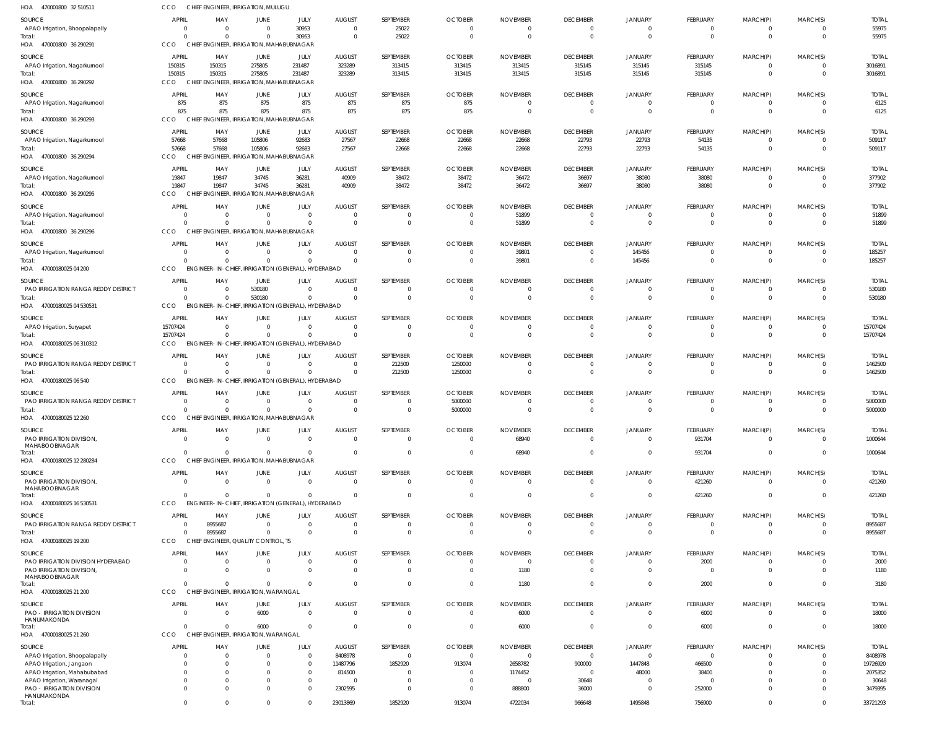| HOA 470001800 32510511                                   | CCO                            | CHIEF ENGINEER, IRRIGATION, MULUGU                              |                            |                                   |                                  |                          |                                  |                                   |                                   |                                  |                              |                                  |                      |                        |
|----------------------------------------------------------|--------------------------------|-----------------------------------------------------------------|----------------------------|-----------------------------------|----------------------------------|--------------------------|----------------------------------|-----------------------------------|-----------------------------------|----------------------------------|------------------------------|----------------------------------|----------------------|------------------------|
| SOURCE                                                   | <b>APRIL</b>                   | MAY                                                             | JUNE                       | JULY                              | <b>AUGUST</b>                    | SEPTEMBER                | <b>OCTOBER</b>                   | <b>NOVEMBER</b>                   | <b>DECEMBER</b>                   | <b>JANUARY</b>                   | FEBRUARY                     | MARCH(P)                         | MARCH(S)             | <b>TOTAL</b>           |
| APAO Irrigation, Bhoopalapally<br>Total:                 | $\overline{0}$<br>$\Omega$     | $\overline{0}$<br>$\Omega$                                      | $\overline{0}$<br>$\Omega$ | 30953<br>30953                    | $\overline{0}$<br>$\overline{0}$ | 25022<br>25022           | $\overline{0}$<br>$\mathbf{0}$   | $\overline{0}$<br>$\overline{0}$  | $\overline{0}$<br>$\overline{0}$  | $\overline{0}$<br>$\overline{0}$ | $^{\circ}$<br>$\overline{0}$ | $\overline{0}$<br>$\overline{0}$ | $\Omega$<br>$\Omega$ | 55975<br>55975         |
| HOA 470001800 36 290291                                  | CCO                            | CHIEF ENGINEER, IRRIGATION, MAHABUBNAGAR                        |                            |                                   |                                  |                          |                                  |                                   |                                   |                                  |                              |                                  |                      |                        |
| SOURCE                                                   | APRIL                          | MAY                                                             | JUNE                       | JULY                              | <b>AUGUST</b>                    | SEPTEMBER                | <b>OCTOBER</b>                   | <b>NOVEMBER</b>                   | <b>DECEMBER</b>                   | <b>JANUARY</b>                   | FEBRUARY                     | MARCH(P)                         | MARCH(S)             | <b>TOTAL</b>           |
| APAO Irrigation, Nagarkurnool<br>Total:                  | 150315<br>150315               | 150315<br>150315                                                | 275805<br>275805           | 231487<br>231487                  | 323289<br>323289                 | 313415<br>313415         | 313415<br>313415                 | 313415<br>313415                  | 315145<br>315145                  | 315145<br>315145                 | 315145<br>315145             | $\overline{0}$<br>$\overline{0}$ | $\Omega$<br>$\Omega$ | 3016891<br>3016891     |
| HOA 470001800 36 290292                                  | <b>CCO</b>                     | CHIEF ENGINEER, IRRIGATION, MAHABUBNAGAR                        |                            |                                   |                                  |                          |                                  |                                   |                                   |                                  |                              |                                  |                      |                        |
| SOURCE                                                   | <b>APRIL</b>                   | MAY                                                             | JUNE                       | JULY                              | <b>AUGUST</b>                    | SEPTEMBER                | <b>OCTOBER</b>                   | <b>NOVEMBER</b>                   | <b>DECEMBER</b>                   | <b>JANUARY</b>                   | FEBRUARY                     | MARCH(P)                         | MARCH(S)             | <b>TOTAL</b>           |
| APAO Irrigation, Nagarkurnool                            | 875                            | 875                                                             | 875                        | 875                               | 875                              | 875                      | 875                              | $\overline{0}$                    | $\overline{0}$                    | $\Omega$                         | $^{\circ}$                   | $^{\circ}$                       | $\Omega$             | 6125                   |
| Total:<br>HOA 470001800 36 290293                        | 875<br>CCO                     | 875<br>CHIEF ENGINEER, IRRIGATION, MAHABUBNAGAR                 | 875                        | 875                               | 875                              | 875                      | 875                              | $\overline{0}$                    | $\overline{0}$                    | $\overline{0}$                   | $\overline{0}$               | $\overline{0}$                   | $\mathbf{0}$         | 6125                   |
| SOURCE                                                   | <b>APRIL</b>                   | MAY                                                             | JUNE                       | JULY                              | <b>AUGUST</b>                    | SEPTEMBER                | <b>OCTOBER</b>                   | <b>NOVEMBER</b>                   | <b>DECEMBER</b>                   | <b>JANUARY</b>                   | FEBRUARY                     | MARCH(P)                         | MARCH(S)             | <b>TOTAL</b>           |
| APAO Irrigation, Nagarkurnool                            | 57668                          | 57668                                                           | 105806                     | 92683                             | 27567                            | 22668                    | 22668                            | 22668                             | 22793                             | 22793                            | 54135                        | 0                                | $\Omega$             | 509117                 |
| Total:<br>HOA 470001800 36 290294                        | 57668<br>CCO                   | 57668<br>CHIEF ENGINEER, IRRIGATION, MAHABUBNAGAR               | 105806                     | 92683                             | 27567                            | 22668                    | 22668                            | 22668                             | 22793                             | 22793                            | 54135                        | $\mathbf 0$                      | $\Omega$             | 509117                 |
| SOURCE                                                   | <b>APRIL</b>                   | MAY                                                             | JUNE                       | JULY                              | <b>AUGUST</b>                    | SEPTEMBER                | <b>OCTOBER</b>                   | <b>NOVEMBER</b>                   | <b>DECEMBER</b>                   | <b>JANUARY</b>                   | FEBRUARY                     | MARCH(P)                         | MARCH(S)             | <b>TOTAL</b>           |
| APAO Irrigation, Nagarkurnool                            | 19847                          | 19847                                                           | 34745                      | 36281                             | 40909                            | 38472                    | 38472                            | 36472                             | 36697                             | 38080                            | 38080                        | $\mathbf 0$                      | $\Omega$             | 377902                 |
| Total:                                                   | 19847                          | 19847                                                           | 34745                      | 36281                             | 40909                            | 38472                    | 38472                            | 36472                             | 36697                             | 38080                            | 38080                        | $\overline{0}$                   | $\Omega$             | 377902                 |
| HOA 470001800 36 290295                                  | CCO                            | CHIEF ENGINEER, IRRIGATION, MAHABUBNAGAR                        |                            |                                   |                                  |                          |                                  |                                   |                                   |                                  |                              |                                  |                      |                        |
| SOURCE<br>APAO Irrigation, Nagarkurnool                  | APRIL<br>$\overline{0}$        | MAY<br>$\overline{0}$                                           | JUNE<br>$\overline{0}$     | JULY<br>$\Omega$                  | <b>AUGUST</b><br>$\overline{0}$  | SEPTEMBER<br>$\Omega$    | <b>OCTOBER</b><br>$\overline{0}$ | <b>NOVEMBER</b><br>51899          | <b>DECEMBER</b><br>$\Omega$       | <b>JANUARY</b><br>$\Omega$       | FEBRUARY<br>$^{\circ}$       | MARCH(P)<br>$\mathbf 0$          | MARCH(S)<br>$\Omega$ | <b>TOTAL</b><br>51899  |
| Total:                                                   | $\Omega$                       | $\Omega$                                                        | $\Omega$                   | $\Omega$                          | $\overline{0}$                   | $\mathbf 0$              | $\overline{0}$                   | 51899                             | $\overline{0}$                    | $\overline{0}$                   | $\mathbf 0$                  | $\overline{0}$                   | $\Omega$             | 51899                  |
| HOA 470001800 36 290296                                  | CCO                            | CHIEF ENGINEER, IRRIGATION, MAHABUBNAGAR                        |                            |                                   |                                  |                          |                                  |                                   |                                   |                                  |                              |                                  |                      |                        |
| SOURCE<br>APAO Irrigation, Nagarkurnool                  | <b>APRIL</b><br>$\overline{0}$ | MAY<br>$\overline{0}$                                           | JUNE<br>$\overline{0}$     | JULY<br>$\Omega$                  | <b>AUGUST</b><br>$\overline{0}$  | SEPTEMBER<br>0           | <b>OCTOBER</b><br>$\overline{0}$ | <b>NOVEMBER</b><br>39801          | <b>DECEMBER</b><br>$\overline{0}$ | <b>JANUARY</b><br>145456         | FEBRUARY<br>$^{\circ}$       | MARCH(P)<br>$^{\circ}$           | MARCH(S)<br>$\Omega$ | <b>TOTAL</b><br>185257 |
| Total:                                                   | $\Omega$                       | $\Omega$                                                        | $\Omega$                   | $\Omega$                          | $\Omega$                         | $\Omega$                 | $\overline{0}$                   | 39801                             | $\overline{0}$                    | 145456                           | $\mathbf 0$                  | $\overline{0}$                   | $\Omega$             | 185257                 |
| HOA 47000180025 04 200                                   | CCO                            | ENGINEER-IN-CHIEF, IRRIGATION (GENERAL), HYDERABAD              |                            |                                   |                                  |                          |                                  |                                   |                                   |                                  |                              |                                  |                      |                        |
| SOURCE                                                   | <b>APRIL</b>                   | MAY                                                             | JUNE                       | JULY                              | <b>AUGUST</b>                    | SEPTEMBER                | <b>OCTOBER</b>                   | <b>NOVEMBER</b>                   | <b>DECEMBER</b>                   | <b>JANUARY</b>                   | FEBRUARY                     | MARCH(P)                         | MARCH(S)             | <b>TOTAL</b>           |
| PAO IRRIGATION RANGA REDDY DISTRICT<br>Total:            | $\overline{0}$<br>$\Omega$     | $\overline{0}$<br>$\overline{0}$                                | 530180<br>530180           | $\Omega$<br>$\mathbf 0$           | $\overline{0}$<br>$\Omega$       | $\mathbf 0$              | $\overline{0}$<br>$\overline{0}$ | - 0<br>$\overline{0}$             | $\Omega$<br>$\overline{0}$        | $\Omega$<br>$\overline{0}$       | $^{\circ}$<br>$\mathbf 0$    | -0<br>$\overline{0}$             | $\Omega$<br>$\Omega$ | 530180<br>530180       |
| HOA 47000180025 04 530531                                | CCO                            | <b>ENGINEER-IN-CHIEF</b>                                        |                            | , IRRIGATION (GENERAL), HYDERABAD |                                  |                          |                                  |                                   |                                   |                                  |                              |                                  |                      |                        |
| SOURCE                                                   | APRIL                          | MAY                                                             | JUNE                       | JULY                              | <b>AUGUST</b>                    | SEPTEMBER                | <b>OCTOBER</b>                   | <b>NOVEMBER</b>                   | <b>DECEMBER</b>                   | <b>JANUARY</b>                   | FEBRUARY                     | MARCH(P)                         | MARCH(S)             | <b>TOTAI</b>           |
| APAO Irrigation, Suryapet<br>Total:                      | 15707424<br>15707424           | $\overline{0}$<br>$\overline{0}$                                | $\overline{0}$<br>$\Omega$ | $\Omega$<br>$\Omega$              | $\overline{0}$<br>$\Omega$       | 0<br>$\mathbf 0$         | $\overline{0}$<br>$\overline{0}$ | $\overline{0}$<br>$\overline{0}$  | $\overline{0}$<br>$\overline{0}$  | $\overline{0}$<br>$\Omega$       | $^{\circ}$<br>$\overline{0}$ | 0<br>$\overline{0}$              | $\Omega$<br>$\Omega$ | 15707424<br>15707424   |
| HOA 47000180025 06 310312                                | CCO                            | ENGINEER-IN-CHIEF, IRRIGATION (GENERAL), HYDERABAD              |                            |                                   |                                  |                          |                                  |                                   |                                   |                                  |                              |                                  |                      |                        |
| SOURCE                                                   | <b>APRIL</b>                   | MAY                                                             | JUNE                       | JULY                              | <b>AUGUST</b>                    | SEPTEMBER                | <b>OCTOBER</b>                   | <b>NOVEMBER</b>                   | <b>DECEMBER</b>                   | <b>JANUARY</b>                   | FEBRUARY                     | MARCH(P)                         | MARCH(S)             | <b>TOTAL</b>           |
| PAO IRRIGATION RANGA REDDY DISTRICT                      | $\overline{0}$<br>$\Omega$     | $\overline{0}$                                                  | $\overline{0}$             | $\Omega$                          | $\overline{0}$                   | 212500                   | 1250000                          | $\overline{0}$                    | $\overline{0}$                    | $\overline{0}$                   | $\mathbf 0$                  | $\mathbf 0$                      | $\Omega$             | 1462500                |
| Total:<br>HOA 47000180025 06 540                         | CCO                            | $\Omega$<br>ENGINEER-IN-CHIEF, IRRIGATION (GENERAL), HYDERABAD  | $\Omega$                   | $\Omega$                          | $\overline{0}$                   | 212500                   | 1250000                          | $\overline{0}$                    | $\overline{0}$                    | $\overline{0}$                   | $\mathbf 0$                  | $\overline{0}$                   | $\Omega$             | 1462500                |
| SOURCE                                                   | <b>APRIL</b>                   | MAY                                                             | JUNE                       | JULY                              | <b>AUGUST</b>                    | SEPTEMBER                | <b>OCTOBER</b>                   | <b>NOVEMBER</b>                   | <b>DECEMBER</b>                   | <b>JANUARY</b>                   | FEBRUARY                     | MARCH(P)                         | MARCH(S)             | <b>TOTAL</b>           |
| PAO IRRIGATION RANGA REDDY DISTRICT                      | $\overline{0}$                 | $\overline{0}$                                                  | $\Omega$                   | $\Omega$                          | $\Omega$                         | 0                        | 5000000                          | - 0                               | $\Omega$                          | $\Omega$                         | $^{\circ}$                   | -0                               | $\Omega$             | 5000000                |
| Total:<br>HOA 47000180025 12 260                         | $\Omega$<br>CCO                | $\Omega$<br>CHIEF ENGINEER, IRRIGATION, MAHABUBNAGAR            | $\Omega$                   | $\Omega$                          | $\Omega$                         | $\mathbf 0$              | 5000000                          | $\overline{0}$                    | $\overline{0}$                    | $\Omega$                         | $\overline{0}$               | $\overline{0}$                   | $\Omega$             | 5000000                |
| SOURCE                                                   | <b>APRIL</b>                   | MAY                                                             | JUNE                       | JULY                              | <b>AUGUST</b>                    | SEPTEMBER                | <b>OCTOBER</b>                   | <b>NOVEMBER</b>                   | <b>DECEMBER</b>                   | <b>JANUARY</b>                   | FEBRUARY                     | MARCH(P)                         | MARCH(S)             | <b>TOTAL</b>           |
| PAO IRRIGATION DIVISION,                                 | $\overline{0}$                 | $\overline{0}$                                                  | $\mathbf{0}$               | $\Omega$                          | $\mathbf{0}$                     | $\mathbf 0$              | $\overline{0}$                   | 68940                             | $\overline{0}$                    | $\overline{0}$                   | 931704                       | $\overline{0}$                   | $\Omega$             | 1000644                |
| MAHABOOBNAGAR<br>Total:                                  | $\Omega$                       | $\overline{\mathbf{0}}$                                         | $\Omega$                   | $\Omega$                          | $\overline{0}$                   | $\mathbf 0$              | $\overline{0}$                   | 68940                             | $\overline{0}$                    | $\overline{0}$                   | 931704                       | $\mathbf 0$                      | $\Omega$             | 1000644                |
| HOA 47000180025 12 280284                                | CCO                            | CHIEF ENGINEER, IRRIGATION, MAHABUBNAGAR                        |                            |                                   |                                  |                          |                                  |                                   |                                   |                                  |                              |                                  |                      |                        |
| SOURCE                                                   | <b>APRIL</b>                   | MAY                                                             | JUNE                       | JULY                              | <b>AUGUST</b>                    | SEPTEMBER                | <b>OCTOBER</b>                   | <b>NOVEMBER</b>                   | <b>DECEMBER</b>                   | <b>JANUARY</b>                   | <b>FEBRUARY</b>              | MARCH(P)                         | MARCH(S)             | <b>TOTAL</b>           |
| PAO IRRIGATION DIVISION,<br>MAHABOOBNAGAR                | $\overline{0}$                 | $\overline{\mathbf{0}}$                                         | $\overline{0}$             | $\Omega$                          | $\overline{0}$                   | $\mathbf 0$              | $\overline{0}$                   | $\overline{0}$                    | $\overline{0}$                    | $\overline{0}$                   | 421260                       | $\overline{0}$                   | $\Omega$             | 421260                 |
| Total:<br>HOA<br>47000180025 16 530531                   | $\Omega$<br>CCO                | $\Omega$<br>ENGINEER-IN-CHIEF, IRRIGATION (GENERAL), HYDERABAD  | $\Omega$                   | $\Omega$                          | $\Omega$                         | $\Omega$                 | $\overline{0}$                   | $\overline{0}$                    | $\overline{0}$                    | $\overline{0}$                   | 421260                       | $\mathbf 0$                      | $\Omega$             | 421260                 |
| SOURCE                                                   | <b>APRIL</b>                   | MAY                                                             | JUNE                       | JULY                              | <b>AUGUST</b>                    | SEPTEMBER                | <b>OCTOBER</b>                   | <b>NOVEMBER</b>                   | <b>DECEMBER</b>                   | <b>JANUARY</b>                   | <b>FEBRUARY</b>              | MARCH(P)                         | MARCH(S)             | <b>TOTAL</b>           |
| PAO IRRIGATION RANGA REDDY DISTRICT                      | $\overline{0}$                 | 8955687                                                         | $\overline{0}$             | $\Omega$                          | $\overline{0}$                   | 0                        | $\overline{0}$                   | $\overline{0}$                    | $\overline{0}$                    | $\overline{0}$                   | $\overline{0}$               | $\mathbf 0$                      | $\Omega$             | 8955687                |
| Total:<br>HOA 47000180025 19 200                         | $\Omega$<br>CCO                | 8955687<br>CHIEF ENGINEER, QUALITY CONTROL, TS                  | $\Omega$                   | $\Omega$                          | $\Omega$                         | $\mathbf 0$              | $\overline{0}$                   | $\overline{0}$                    | $\overline{0}$                    | $\Omega$                         | $\mathbf 0$                  | $\mathbf 0$                      | $\Omega$             | 8955687                |
|                                                          |                                |                                                                 |                            |                                   |                                  |                          |                                  |                                   |                                   |                                  |                              |                                  |                      |                        |
| SOURCE<br>PAO IRRIGATION DIVISION HYDERABAD              | <b>APRIL</b><br>$\overline{0}$ | MAY<br>$\overline{0}$                                           | JUNE<br>$\overline{0}$     | JULY<br>$\Omega$                  | <b>AUGUST</b><br>$\overline{0}$  | SEPTEMBER<br>$\Omega$    | <b>OCTOBER</b><br>$\overline{0}$ | <b>NOVEMBER</b><br>$\overline{0}$ | <b>DECEMBER</b><br>$\mathbf{0}$   | <b>JANUARY</b><br>$\Omega$       | FEBRUARY<br>2000             | MARCH(P)<br>$^{\circ}$           | MARCH(S)<br>$\Omega$ | <b>TOTAL</b><br>2000   |
| PAO IRRIGATION DIVISION,<br>MAHABOOBNAGAR                | $\Omega$                       | $\Omega$                                                        | $\Omega$                   | $\Omega$                          | $\overline{0}$                   | $\mathbf 0$              | $\overline{0}$                   | 1180                              | $\overline{0}$                    | $\Omega$                         | $\overline{0}$               | $\overline{0}$                   | $\Omega$             | 1180                   |
| Total:                                                   | $\Omega$                       | $\Omega$                                                        | $\Omega$                   | $\Omega$                          | $\Omega$                         | $\Omega$                 | $\overline{0}$                   | 1180                              | $\Omega$                          | $\overline{0}$                   | 2000                         | $\mathbf 0$                      | $\Omega$             | 3180                   |
| HOA 47000180025 21 200                                   | CCO                            | CHIEF ENGINEER, IRRIGATION, WARANGAL                            |                            |                                   |                                  |                          |                                  |                                   |                                   |                                  |                              |                                  |                      |                        |
| SOURCE<br><b>PAO - IRRIGATION DIVISION</b>               | <b>APRIL</b><br>$\overline{0}$ | MAY<br>$\overline{0}$                                           | JUNE<br>6000               | JULY<br>$\Omega$                  | <b>AUGUST</b><br>$\overline{0}$  | SEPTEMBER<br>$\mathbf 0$ | <b>OCTOBER</b><br>$\overline{0}$ | <b>NOVEMBER</b><br>6000           | <b>DECEMBER</b><br>$\overline{0}$ | <b>JANUARY</b><br>$\overline{0}$ | <b>FEBRUARY</b><br>6000      | MARCH(P)<br>$\overline{0}$       | MARCH(S)<br>$\Omega$ | <b>TOTAL</b><br>18000  |
| HANUMAKONDA                                              |                                |                                                                 |                            |                                   |                                  |                          |                                  |                                   |                                   |                                  |                              |                                  |                      |                        |
| Total:<br>HOA 47000180025 21 260                         | $\Omega$<br>CCO                | $\overline{\mathbf{0}}$<br>CHIEF ENGINEER, IRRIGATION, WARANGAL | 6000                       | $\Omega$                          | $\Omega$                         | $\mathbf 0$              | $\overline{0}$                   | 6000                              | $\overline{0}$                    | $\overline{0}$                   | 6000                         | $\mathbf 0$                      | $\Omega$             | 18000                  |
| SOURCE                                                   | <b>APRIL</b>                   | MAY                                                             | JUNE                       | JULY                              | <b>AUGUST</b>                    | SEPTEMBER                | <b>OCTOBER</b>                   | <b>NOVEMBER</b>                   | <b>DECEMBER</b>                   | <b>JANUARY</b>                   | FEBRUARY                     | MARCH(P)                         | MARCH(S)             | <b>TOTAL</b>           |
| APAO Irrigation, Bhoopalapally                           | $\overline{0}$                 | $\overline{0}$                                                  | $\Omega$                   | $\Omega$                          | 8408978                          | $\Omega$                 | $\overline{0}$                   | - 0                               | $\Omega$                          | $\Omega$                         | $^{\circ}$                   | -0                               | $\Omega$             | 8408978                |
| APAO Irrigation, Jangaon<br>APAO Irrigation, Mahabubabad | $\Omega$<br>$\Omega$           | $\overline{0}$<br>$\Omega$                                      | -0<br>$\Omega$             | $\Omega$<br>$\Omega$              | 11487796<br>814500               | 1852920                  | 913074<br>$\overline{0}$         | 2658782<br>1174452                | 900000<br>$\Omega$                | 1447848<br>48000                 | 466500<br>38400              | $\Omega$<br>$\Omega$             | $\Omega$<br>$\Omega$ | 19726920<br>2075352    |
| APAO Irrigation, Waranagal                               | $\Omega$                       | $\overline{0}$                                                  | $\Omega$                   | $\Omega$                          | $\overline{0}$                   | $\mathbf 0$              | $\overline{0}$                   | $\overline{0}$                    | 30648                             | $\Omega$                         | $\overline{0}$               | $\Omega$                         |                      | 30648                  |
| PAO - IRRIGATION DIVISION<br>HANUMAKONDA                 | $\Omega$                       | $\Omega$                                                        | $\Omega$                   | $\Omega$                          | 2302595                          | $\Omega$                 | $\overline{0}$                   | 888800                            | 36000                             | $\Omega$                         | 252000                       | $\Omega$                         | $\Omega$             | 3479395                |
| Total:                                                   | $\overline{0}$                 | $\overline{0}$                                                  | $\Omega$                   | $\Omega$                          | 23013869                         | 1852920                  | 913074                           | 4722034                           | 966648                            | 1495848                          | 756900                       | $\mathbf 0$                      | $\overline{0}$       | 33721293               |
|                                                          |                                |                                                                 |                            |                                   |                                  |                          |                                  |                                   |                                   |                                  |                              |                                  |                      |                        |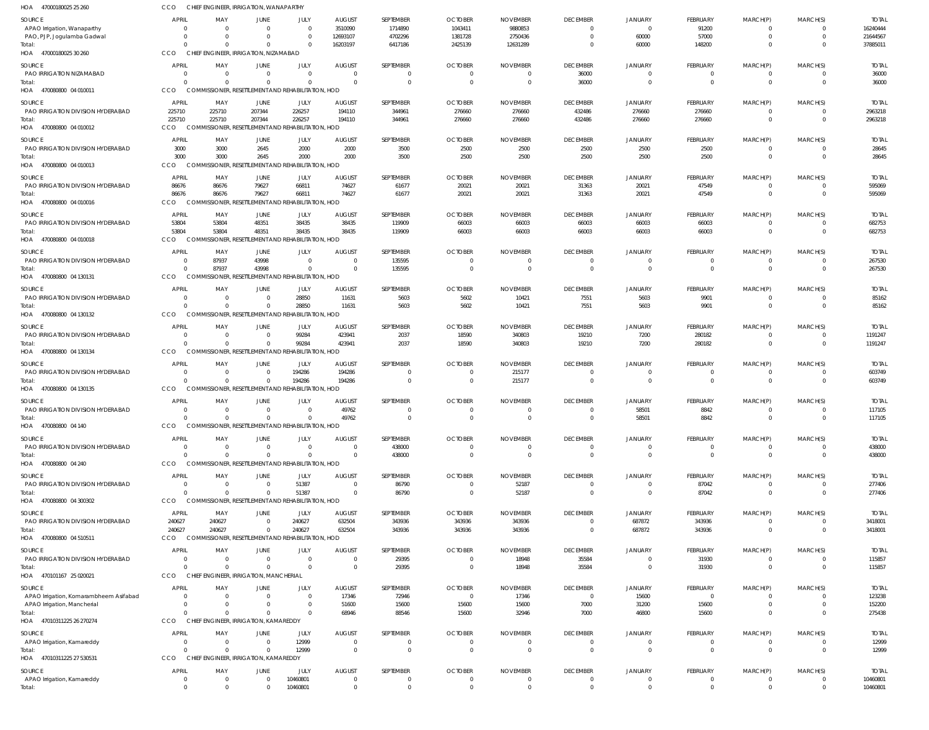| HOA 47000180025 25 260                      | CCO                      | CHIEF ENGINEER, IRRIGATION, WANAPARTHY             |                                              |                                        |                           |                           |                                  |                             |                             |                            |                             |                                  |                          |                        |
|---------------------------------------------|--------------------------|----------------------------------------------------|----------------------------------------------|----------------------------------------|---------------------------|---------------------------|----------------------------------|-----------------------------|-----------------------------|----------------------------|-----------------------------|----------------------------------|--------------------------|------------------------|
| SOURCE                                      | <b>APRIL</b>             | MAY                                                | JUNE                                         | JULY                                   | <b>AUGUST</b>             | SEPTEMBER                 | <b>OCTOBER</b>                   | <b>NOVEMBER</b>             | <b>DECEMBER</b>             | <b>JANUARY</b>             | FEBRUARY                    | MARCH(P)                         | MARCH(S)                 | <b>TOTAL</b>           |
| APAO Irrigation, Wanaparthy                 | $\Omega$                 | $\Omega$                                           | $\Omega$                                     | $\Omega$                               | 3510090                   | 1714890                   | 1043411                          | 9880853                     | $\Omega$                    | $\Omega$                   | 91200                       | $\Omega$                         | - 0                      | 16240444               |
| PAO, PJP, Jogulamba Gadwal                  | $\Omega$                 | $\Omega$                                           |                                              | $\Omega$                               | 12693107                  | 4702296                   | 1381728                          | 2750436                     | $\Omega$                    | 60000                      | 57000                       | $\Omega$                         | $\Omega$                 | 21644567               |
| Total:<br>HOA 47000180025 30 260            | $\Omega$<br>CCO          | $\Omega$<br>CHIEF ENGINEER. IRRIGATION. NIZAMABAD  |                                              | $\Omega$                               | 16203197                  | 6417186                   | 2425139                          | 12631289                    | $\Omega$                    | 60000                      | 148200                      | $\Omega$                         | $\Omega$                 | 37885011               |
|                                             |                          |                                                    |                                              |                                        |                           |                           |                                  |                             |                             |                            |                             |                                  |                          |                        |
| SOURCE<br>PAO IRRIGATION NIZAMABAD          | <b>APRIL</b><br>$\Omega$ | MAY<br>$\Omega$                                    | JUNE<br>$\Omega$                             | JULY<br>$\overline{0}$                 | <b>AUGUST</b><br>- 0      | SEPTEMBER<br>$\mathbf{0}$ | <b>OCTOBER</b><br>$\overline{0}$ | <b>NOVEMBER</b><br>0        | <b>DECEMBER</b><br>36000    | JANUARY<br>$\Omega$        | FEBRUARY<br>0               | MARCH(P)<br>$\overline{0}$       | MARCH(S)<br>$\mathbf{0}$ | <b>TOTAL</b><br>36000  |
| Total:                                      | $\Omega$                 | $\Omega$                                           | $\Omega$                                     | $\Omega$                               | $\Omega$                  | $\mathbf 0$               | $\overline{0}$                   | $\overline{0}$              | 36000                       | $\Omega$                   | $\mathbf 0$                 | $\Omega$                         | $\Omega$                 | 36000                  |
| HOA 470080800 04 010011                     | CCO                      | COMMISSIONER, RESETTLEMENT AND REHABILITATION, HOD |                                              |                                        |                           |                           |                                  |                             |                             |                            |                             |                                  |                          |                        |
| SOURCE                                      | APRIL                    | MAY                                                | <b>JUNE</b>                                  | JULY                                   | <b>AUGUST</b>             | SEPTEMBER                 | <b>OCTOBER</b>                   | <b>NOVEMBER</b>             | <b>DECEMBER</b>             | <b>JANUARY</b>             | FEBRUARY                    | MARCH(P)                         | MARCH(S)                 | <b>TOTAL</b>           |
| PAO IRRIGATION DIVISION HYDERABAD           | 225710                   | 225710                                             | 207344                                       | 226257                                 | 194110                    | 344961                    | 276660                           | 276660                      | 432486                      | 276660                     | 276660                      | $\Omega$                         | $\Omega$                 | 2963218                |
| Total:                                      | 225710                   | 225710                                             | 207344                                       | 226257                                 | 194110                    | 344961                    | 276660                           | 276660                      | 432486                      | 276660                     | 276660                      | $\Omega$                         | $\Omega$                 | 2963218                |
| HOA 470080800 04 010012                     | CCO                      | <b>COMMISSIONER, RESET</b>                         |                                              | <b>TLEMENT AND REHABILITATION, HOD</b> |                           |                           |                                  |                             |                             |                            |                             |                                  |                          |                        |
| SOURCE                                      | APRIL                    | MAY                                                | <b>JUNE</b>                                  | JULY                                   | <b>AUGUST</b>             | SEPTEMBER                 | <b>OCTOBER</b>                   | <b>NOVEMBER</b>             | <b>DECEMBER</b>             | <b>JANUARY</b>             | <b>FEBRUARY</b>             | MARCH(P)                         | MARCH(S)                 | <b>TOTAL</b>           |
| PAO IRRIGATION DIVISION HYDERABAD           | 3000                     | 3000                                               | 2645                                         | 2000                                   | 2000                      | 3500                      | 2500                             | 2500                        | 2500                        | 2500                       | 2500                        | $^{\circ}$                       | $\mathbf{0}$             | 28645                  |
| Total:                                      | 3000                     | 3000                                               | 2645                                         | 2000                                   | 2000                      | 3500                      | 2500                             | 2500                        | 2500                        | 2500                       | 2500                        | $\overline{0}$                   | $\mathbf 0$              | 28645                  |
| HOA 470080800 04 010013                     | CCO                      | COMMISSIONER, RESETTLEMENT AND REHABILITATION, HOD |                                              |                                        |                           |                           |                                  |                             |                             |                            |                             |                                  |                          |                        |
| SOURCE                                      | APRIL                    | MAY                                                | <b>JUNE</b>                                  | JULY                                   | <b>AUGUST</b>             | SEPTEMBER                 | <b>OCTOBER</b>                   | <b>NOVEMBER</b>             | <b>DECEMBER</b>             | <b>JANUARY</b>             | FEBRUARY                    | MARCH(P)                         | MARCH(S)                 | <b>TOTAL</b>           |
| PAO IRRIGATION DIVISION HYDERABAD           | 86676                    | 86676                                              | 79627                                        | 66811                                  | 74627                     | 61677                     | 20021                            | 20021                       | 31363                       | 20021                      | 47549                       | $\overline{0}$                   | $\Omega$                 | 595069                 |
| Total:                                      | 86676                    | 86676                                              | 79627                                        | 66811                                  | 74627                     | 61677                     | 20021                            | 20021                       | 31363                       | 20021                      | 47549                       | $\Omega$                         | $\Omega$                 | 595069                 |
| HOA 470080800 04 010016                     | CCO                      | <b>COMM</b>                                        | SIONER, RESETTLEMENT AND REHABILITATION, HOD |                                        |                           |                           |                                  |                             |                             |                            |                             |                                  |                          |                        |
| SOURCE                                      | APRIL                    | MAY                                                | <b>JUNE</b>                                  | JULY                                   | <b>AUGUST</b>             | SEPTEMBER                 | <b>OCTOBER</b>                   | <b>NOVEMBER</b>             | <b>DECEMBER</b>             | JANUARY                    | FEBRUARY                    | MARCH(P)                         | MARCH(S)                 | <b>TOTAL</b>           |
| PAO IRRIGATION DIVISION HYDERABAD           | 53804<br>53804           | 53804                                              | 48351                                        | 38435<br>38435                         | 38435                     | 119909                    | 66003                            | 66003                       | 66003                       | 66003                      | 66003                       | $\overline{0}$<br>$\overline{0}$ | $\Omega$<br>$\Omega$     | 682753                 |
| Total:<br>HOA 470080800 04 010018           | CCO                      | 53804<br><b>COMMISSIONER, RESET</b>                | 48351                                        | TLEMENT AND REHABILITATION, HOD        | 38435                     | 119909                    | 66003                            | 66003                       | 66003                       | 66003                      | 66003                       |                                  |                          | 682753                 |
|                                             |                          |                                                    |                                              |                                        |                           |                           |                                  |                             |                             |                            |                             |                                  |                          |                        |
| SOURCE<br>PAO IRRIGATION DIVISION HYDERABAD | APRIL<br>$\Omega$        | MAY<br>87937                                       | <b>JUNE</b><br>43998                         | JULY<br>$\Omega$                       | <b>AUGUST</b><br>- 0      | SEPTEMBER<br>135595       | <b>OCTOBER</b><br>$\Omega$       | <b>NOVEMBER</b><br>$\Omega$ | <b>DECEMBER</b><br>- 0      | <b>JANUARY</b>             | <b>FEBRUARY</b><br>$\Omega$ | MARCH(P)<br>$^{\circ}$           | MARCH(S)<br>- 0          | <b>TOTAL</b><br>267530 |
| Total:                                      | $\Omega$                 | 87937                                              | 43998                                        | $\Omega$                               |                           | 135595                    | $\overline{0}$                   | $\overline{0}$              | $\Omega$                    | $\Omega$                   | $\mathbf 0$                 | $\Omega$                         | $\Omega$                 | 267530                 |
| HOA 470080800 04 130131                     | CCO                      | COMMISSIONER, RESETTLEMENT AND REHABILITATION, HOD |                                              |                                        |                           |                           |                                  |                             |                             |                            |                             |                                  |                          |                        |
| SOURCE                                      | <b>APRIL</b>             | MAY                                                | <b>JUNE</b>                                  | JULY                                   | <b>AUGUST</b>             | SEPTEMBER                 | <b>OCTOBER</b>                   | <b>NOVEMBER</b>             | <b>DECEMBER</b>             | <b>JANUARY</b>             | <b>FEBRUARY</b>             | MARCH(P)                         | MARCH(S)                 | <b>TOTAL</b>           |
| PAO IRRIGATION DIVISION HYDERABAD           | - 0                      | $\overline{0}$                                     | $\Omega$                                     | 28850                                  | 11631                     | 5603                      | 5602                             | 10421                       | 7551                        | 5603                       | 9901                        | $^{\circ}$                       | $\Omega$                 | 85162                  |
| Total:                                      | $\Omega$                 | $\Omega$                                           | $\Omega$                                     | 28850                                  | 11631                     | 5603                      | 5602                             | 10421                       | 7551                        | 5603                       | 9901                        | $\Omega$                         | $\Omega$                 | 85162                  |
| HOA 470080800 04 130132                     | CCO                      | COMMISSIONER, RESETTLEMENT AND REHABILITATION, HOD |                                              |                                        |                           |                           |                                  |                             |                             |                            |                             |                                  |                          |                        |
| SOURCE                                      | APRIL                    | MAY                                                | JUNE                                         | JULY                                   | <b>AUGUST</b>             | SEPTEMBER                 | <b>OCTOBER</b>                   | <b>NOVEMBER</b>             | <b>DECEMBER</b>             | <b>JANUARY</b>             | FEBRUARY                    | MARCH(P)                         | MARCH(S)                 | <b>TOTAL</b>           |
| PAO IRRIGATION DIVISION HYDERABAD           | $\Omega$                 | $\Omega$                                           | $\Omega$                                     | 99284                                  | 423941                    | 2037                      | 18590                            | 340803                      | 19210                       | 7200                       | 280182                      | $^{\circ}$                       | $\Omega$                 | 1191247                |
| Total:                                      | $\Omega$                 | $\Omega$                                           | $\Omega$                                     | 99284                                  | 423941                    | 2037                      | 18590                            | 340803                      | 19210                       | 7200                       | 280182                      | $\Omega$                         | $\Omega$                 | 1191247                |
| HOA 470080800 04 130134                     | CCO                      | COMMISSIONER, RESETTLEMENT AND REHABILITATION, HOD |                                              |                                        |                           |                           |                                  |                             |                             |                            |                             |                                  |                          |                        |
| SOURCE                                      | <b>APRIL</b>             | MAY                                                | JUNE                                         | JULY                                   | <b>AUGUST</b>             | SEPTEMBER                 | <b>OCTOBER</b>                   | <b>NOVEMBER</b>             | <b>DECEMBER</b>             | <b>JANUARY</b>             | FEBRUARY                    | MARCH(P)                         | MARCH(S)                 | <b>TOTAL</b>           |
| PAO IRRIGATION DIVISION HYDERABAD           | $\Omega$                 | - 0                                                | $\Omega$                                     | 194286                                 | 194286                    | $\mathbf{0}$              | $\overline{0}$                   | 215177                      | $\Omega$                    | $\Omega$                   | 0                           | $\overline{0}$                   | $\Omega$                 | 603749                 |
| Total:                                      | $\Omega$                 | $\Omega$                                           | $\Omega$                                     | 194286                                 | 194286                    | $\mathbf{0}$              | $\overline{0}$                   | 215177                      | $\overline{0}$              | $\Omega$                   | $\mathbf 0$                 | $\overline{0}$                   | $\Omega$                 | 603749                 |
| HOA 470080800 04 130135                     | <b>CCO</b>               | COMMISSIONER, RESETTLEMENT AND REHABILITATION, HOD |                                              |                                        |                           |                           |                                  |                             |                             |                            |                             |                                  |                          |                        |
| SOURCE                                      | <b>APRIL</b>             | MAY                                                | JUNE                                         | <b>JULY</b>                            | <b>AUGUST</b>             | SEPTEMBER                 | <b>OCTOBER</b>                   | <b>NOVEMBER</b>             | <b>DECEMBER</b>             | <b>JANUARY</b>             | FEBRUARY                    | MARCH(P)                         | MARCH(S)                 | <b>TOTAL</b>           |
| PAO IRRIGATION DIVISION HYDERABAD           | $\Omega$                 | $\Omega$                                           | $\Omega$                                     | $\Omega$                               | 49762                     | 0                         | $\Omega$                         | $\Omega$                    | $\Omega$                    | 58501                      | 8842                        | $\Omega$                         | $\Omega$                 | 117105                 |
| Total:<br>HOA 470080800 04 140              | CCO                      | COMMISSIONER, RESETTLEMENT AND REHABILITATION, HOD |                                              |                                        | 49762                     |                           |                                  |                             |                             | 58501                      | 8842                        |                                  |                          | 117105                 |
|                                             |                          |                                                    |                                              |                                        |                           |                           |                                  |                             |                             |                            |                             |                                  |                          |                        |
| SOURCE<br>PAO IRRIGATION DIVISION HYDERABAD | <b>APRIL</b><br>$\Omega$ | MAY<br>$\Omega$                                    | <b>JUNE</b><br>$\Omega$                      | JULY<br>$\overline{0}$                 | <b>AUGUST</b><br>$\Omega$ | SEPTEMBER<br>438000       | <b>OCTOBER</b><br>$\overline{0}$ | <b>NOVEMBER</b><br>$\Omega$ | <b>DECEMBER</b><br>$\Omega$ | <b>JANUARY</b><br>$\Omega$ | <b>FEBRUARY</b><br>0        | MARCH(P)<br>$^{\circ}$           | MARCH(S)                 | <b>TOTAL</b><br>438000 |
| Total:                                      | $\Omega$                 | $\Omega$                                           | $\Omega$                                     | $\overline{0}$                         | $\Omega$                  | 438000                    | 0                                | $\overline{0}$              | $\Omega$                    | $\Omega$                   | $\mathbf 0$                 | $\overline{0}$                   | $\mathbf 0$              | 438000                 |
| HOA 470080800 04 240                        | CCO                      | COMMISSIONER, RESETTLEMENT AND REHABILITATION, HOD |                                              |                                        |                           |                           |                                  |                             |                             |                            |                             |                                  |                          |                        |
| SOURCE                                      | APRIL                    | MAY                                                | JUNE                                         | JULY                                   | <b>AUGUST</b>             | SEPTEMBER                 | <b>OCTOBER</b>                   | <b>NOVEMBER</b>             | <b>DECEMBER</b>             | <b>JANUARY</b>             | FEBRUARY                    | MARCH(P)                         | MARCH(S)                 | <b>TOTAL</b>           |
| PAO IRRIGATION DIVISION HYDERABAD           | $\Omega$                 | $\Omega$                                           | $\Omega$                                     | 51387                                  | $\Omega$                  | 86790                     | $\overline{0}$                   | 52187                       | $\Omega$                    | $\Omega$                   | 87042                       | $^{\circ}$                       | $\Omega$                 | 277406                 |
| Total:                                      | $\Omega$                 | $\Omega$                                           | $\Omega$                                     | 51387                                  | $\Omega$                  | 86790                     | $\overline{0}$                   | 52187                       | $\Omega$                    | $\Omega$                   | 87042                       | $\overline{0}$                   | $\Omega$                 | 277406                 |
| HOA 470080800 04 300302                     | CCO                      | COMMISSIONER, RESETTLEMENT AND REHABILITATION, HOD |                                              |                                        |                           |                           |                                  |                             |                             |                            |                             |                                  |                          |                        |
| SOURCE                                      | <b>APRIL</b>             | MAY                                                | <b>JUNE</b>                                  | JULY                                   | <b>AUGUST</b>             | SEPTEMBER                 | <b>OCTOBER</b>                   | <b>NOVEMBER</b>             | <b>DECEMBER</b>             | <b>JANUARY</b>             | FEBRUARY                    | MARCH(P)                         | MARCH(S)                 | <b>TOTAL</b>           |
| PAO IRRIGATION DIVISION HYDERABAD           | 240627                   | 240627                                             | $\overline{0}$                               | 240627                                 | 632504                    | 343936                    | 343936                           | 343936                      | $\Omega$                    | 687872                     | 343936                      | $^{\circ}$                       | $\mathbf{0}$             | 3418001                |
| Total:                                      | 240627                   | 240627                                             | $\Omega$                                     | 240627                                 | 632504                    | 343936                    | 343936                           | 343936                      | $\Omega$                    | 687872                     | 343936                      | $\overline{0}$                   | $\Omega$                 | 3418001                |
| HOA 470080800 04 510511                     | CCO                      | COMMISSIONER, RESETTLEMENT AND REHABILITATION, HOD |                                              |                                        |                           |                           |                                  |                             |                             |                            |                             |                                  |                          |                        |
| SOURCE                                      | <b>APRIL</b>             | MAY                                                | JUNE                                         | JULY                                   | <b>AUGUST</b>             | SEPTEMBER                 | <b>OCTOBER</b>                   | <b>NOVEMBER</b>             | <b>DECEMBER</b>             | <b>JANUARY</b>             | FEBRUARY                    | MARCH(P)                         | MARCH(S)                 | <b>TOTAL</b>           |
| PAO IRRIGATION DIVISION HYDERABAD           | 0                        | $\Omega$                                           | $\Omega$                                     | $\overline{0}$                         |                           | 29395                     | $\overline{0}$                   | 18948                       | 35584                       | $\Omega$                   | 31930                       | 0                                |                          | 115857                 |
| Total:                                      | $\Omega$                 | $\Omega$                                           | $\Omega$                                     | $\Omega$                               | - 0                       | 29395                     | $\overline{0}$                   | 18948                       | 35584                       | $\Omega$                   | 31930                       | $\Omega$                         | $\Omega$                 | 115857                 |
| HOA 470101167 25 020021                     | CCO                      | CHIEF ENGINEER, IRRIGATION, MANCHERIAL             |                                              |                                        |                           |                           |                                  |                             |                             |                            |                             |                                  |                          |                        |
| SOURCE                                      | <b>APRIL</b>             | MAY                                                | JUNE                                         | JULY                                   | <b>AUGUST</b>             | SEPTEMBER                 | <b>OCTOBER</b>                   | <b>NOVEMBER</b>             | <b>DECEMBER</b>             | <b>JANUARY</b>             | FEBRUARY                    | MARCH(P)                         | MARCH(S)                 | <b>TOTAL</b>           |
| APAO Irrigation, Komarambheem Asifabad      | $\Omega$<br>$\Omega$     | $\Omega$<br>- 0                                    | $\Omega$<br>$\Omega$                         | $\overline{0}$<br>$\overline{0}$       | 17346                     | 72946<br>15600            | $\overline{0}$                   | 17346<br>15600              | $\overline{0}$              | 15600                      | $\overline{0}$              | $\Omega$<br>$\mathbf 0$          | $\mathbf 0$              | 123238                 |
| APAO Irrigation, Mancherial<br>Total:       | $\Omega$                 | $\Omega$                                           | $\Omega$                                     | $\mathbf 0$                            | 51600<br>68946            | 88546                     | 15600<br>15600                   | 32946                       | 7000<br>7000                | 31200<br>46800             | 15600<br>15600              | $\Omega$                         | $\Omega$                 | 152200<br>275438       |
| HOA 47010311225 26 270274                   | CCO                      | CHIEF ENGINEER, IRRIGATION, KAMAREDDY              |                                              |                                        |                           |                           |                                  |                             |                             |                            |                             |                                  |                          |                        |
| SOURCE                                      | <b>APRIL</b>             | MAY                                                | JUNE                                         | JULY                                   | <b>AUGUST</b>             | SEPTEMBER                 | <b>OCTOBER</b>                   | <b>NOVEMBER</b>             | <b>DECEMBER</b>             | <b>JANUARY</b>             | FEBRUARY                    | MARCH(P)                         | MARCH(S)                 | <b>TOTAL</b>           |
| APAO Irrigation, Kamareddy                  | 0                        | $\overline{0}$                                     | $\Omega$                                     | 12999                                  |                           | 0                         | $\overline{0}$                   | 0                           | - 0                         |                            | 0                           | 0                                |                          | 12999                  |
| Total:                                      | $\Omega$                 | $\Omega$                                           | $\Omega$                                     | 12999                                  | $\Omega$                  | $\mathbf 0$               | $\overline{0}$                   | $\overline{0}$              | $\Omega$                    | $\Omega$                   | $\mathbf 0$                 | $\Omega$                         | $\Omega$                 | 12999                  |
| HOA 47010311225 27 530531                   | CCO                      | CHIEF ENGINEER, IRRIGATION, KAMAREDDY              |                                              |                                        |                           |                           |                                  |                             |                             |                            |                             |                                  |                          |                        |
| SOURCE                                      | <b>APRIL</b>             | MAY                                                | JUNE                                         | JULY                                   | <b>AUGUST</b>             | SEPTEMBER                 | <b>OCTOBER</b>                   | <b>NOVEMBER</b>             | <b>DECEMBER</b>             | JANUARY                    | FEBRUARY                    | MARCH(P)                         | MARCH(S)                 | <b>TOTAL</b>           |
| APAO Irrigation, Kamareddy                  | $\overline{0}$           | $\overline{0}$                                     | $\overline{0}$                               | 10460801                               | $\Omega$                  | $\mathbf 0$               | $\overline{0}$                   | $\Omega$                    | $\Omega$                    | $\Omega$                   | $\mathbf 0$                 | $^{\circ}$                       | $\Omega$                 | 10460801               |
| Total:                                      | $\overline{0}$           | $^{\circ}$                                         | $\Omega$                                     | 10460801                               | $\Omega$                  | $\mathbf 0$               | $\mathbf 0$                      | $\mathbf{0}$                | $\overline{0}$              | $\Omega$                   | $\mathbf 0$                 | $\mathbf 0$                      | $\mathbf 0$              | 10460801               |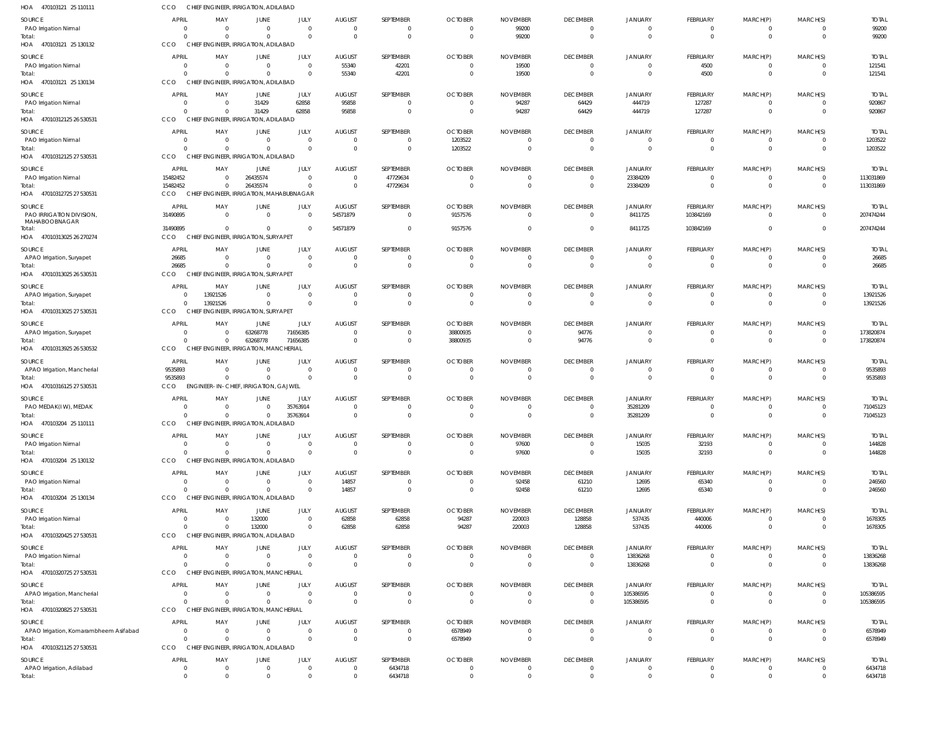| HOA 470103121 25 110111                   | CCO                      | CHIEF ENGINEER, IRRIGATION, ADILABAD               |                                        |                                 |                                             |                                          |                                                |                                   |                                                     |                                                  |                                           |                                       |                                              |                                |
|-------------------------------------------|--------------------------|----------------------------------------------------|----------------------------------------|---------------------------------|---------------------------------------------|------------------------------------------|------------------------------------------------|-----------------------------------|-----------------------------------------------------|--------------------------------------------------|-------------------------------------------|---------------------------------------|----------------------------------------------|--------------------------------|
| SOURCE<br>PAO Irrigation Nirmal<br>Total: | <b>APRIL</b>             | MAY<br>$\Omega$<br>$\Omega$                        | <b>JUNE</b><br>$\mathbf 0$<br>$\Omega$ | JULY<br>$\mathbf 0$<br>$\Omega$ | <b>AUGUST</b><br>$\overline{0}$<br>$\Omega$ | SEPTEMBER<br>$\mathbf 0$<br>$\mathbf{0}$ | <b>OCTOBER</b><br>$\mathbf{0}$<br>$\mathbf{0}$ | <b>NOVEMBER</b><br>99200<br>99200 | <b>DECEMBER</b><br>$\overline{0}$<br>$\overline{0}$ | <b>JANUARY</b><br>$\mathbf{0}$<br>$\overline{0}$ | FEBRUARY<br>$\mathbf 0$<br>$\overline{0}$ | MARCH(P)<br>$^{\circ}$<br>$\mathbf 0$ | MARCH(S)<br>$\overline{0}$<br>$\overline{0}$ | <b>TOTAL</b><br>99200<br>99200 |
| HOA 470103121 25 130132                   | CCO                      | CHIEF ENGINEER, IRRIGATION, ADILABAD               |                                        |                                 |                                             |                                          |                                                |                                   |                                                     |                                                  |                                           |                                       |                                              |                                |
| SOURCE                                    | <b>APRIL</b>             | MAY                                                | <b>JUNE</b>                            | JULY                            | <b>AUGUST</b>                               | SEPTEMBER                                | <b>OCTOBER</b>                                 | <b>NOVEMBER</b>                   | <b>DECEMBER</b>                                     | JANUARY                                          | FEBRUARY                                  | MARCH(P)                              | MARCH(S)                                     | <b>TOTAL</b>                   |
| PAO Irrigation Nirmal<br>Total:           | - 0                      | $\Omega$<br>$\Omega$                               | $\mathbf 0$<br>$\mathbf 0$             | $\mathbf 0$<br>$\mathbf 0$      | 55340<br>55340                              | 42201<br>42201                           | $\overline{0}$<br>$\mathbf{0}$                 | 19500<br>19500                    | $\overline{0}$<br>$\overline{0}$                    | $\overline{0}$<br>$\overline{0}$                 | 4500<br>4500                              | $\overline{0}$<br>$\mathbf{0}$        | $\overline{0}$<br>$\overline{0}$             | 121541<br>121541               |
| HOA 470103121 25 130134                   | CCO                      | CHIEF ENGINEER, IRRIGATION, ADILABAD               |                                        |                                 |                                             |                                          |                                                |                                   |                                                     |                                                  |                                           |                                       |                                              |                                |
| <b>SOURCE</b>                             | <b>APRIL</b>             | MAY                                                | <b>JUNE</b>                            | JULY<br>62858                   | <b>AUGUST</b>                               | SEPTEMBER<br>$\Omega$                    | <b>OCTOBER</b>                                 | <b>NOVEMBER</b>                   | <b>DECEMBER</b>                                     | <b>JANUARY</b>                                   | FEBRUARY                                  | MARCH(P)                              | MARCH(S)                                     | <b>TOTAL</b>                   |
| PAO Irrigation Nirmal<br>Total:           |                          | $\Omega$                                           | 31429<br>31429                         | 62858                           | 95858<br>95858                              | $\mathbf{0}$                             | $\overline{0}$<br>$\overline{0}$               | 94287<br>94287                    | 64429<br>64429                                      | 444719<br>444719                                 | 127287<br>127287                          | $\overline{0}$<br>$\overline{0}$      | $\overline{0}$<br>$\overline{0}$             | 920867<br>920867               |
| HOA 47010312125 26 530531                 | CCO                      | CHIEF ENGINEER, IRRIGATION, ADILABAD               |                                        |                                 |                                             |                                          |                                                |                                   |                                                     |                                                  |                                           |                                       |                                              |                                |
| <b>SOURCE</b>                             | <b>APRIL</b><br>- 0      | MAY<br>$\Omega$                                    | <b>JUNE</b><br>$\mathbf 0$             | JULY<br>$\overline{0}$          | <b>AUGUST</b><br>$\overline{0}$             | SEPTEMBER<br>$\mathbf 0$                 | <b>OCTOBER</b>                                 | <b>NOVEMBER</b><br>$^{\circ}$     | <b>DECEMBER</b><br>$\overline{\mathbf{0}}$          | <b>JANUARY</b><br>$\mathbf{0}$                   | FEBRUARY<br>$\mathbf 0$                   | MARCH(P)                              | MARCH(S)<br>$\overline{0}$                   | <b>TOTAL</b>                   |
| PAO Irrigation Nirmal<br>Total:           |                          | $\Omega$                                           | $\Omega$                               | $\mathbf 0$                     | $\Omega$                                    | $\mathbf{0}$                             | 1203522<br>1203522                             | $\Omega$                          | $\overline{0}$                                      | $\overline{0}$                                   | $\mathbf{0}$                              | 0<br>$\mathbf{0}$                     | $\overline{0}$                               | 1203522<br>1203522             |
| HOA 47010312125 27 530531                 | CCO                      | CHIEF ENGINEER, IRRIGATION, ADILABAD               |                                        |                                 |                                             |                                          |                                                |                                   |                                                     |                                                  |                                           |                                       |                                              |                                |
| SOURCE                                    | <b>APRIL</b><br>15482452 | MAY                                                | <b>JUNE</b><br>26435574                | JULY<br>$\mathbf 0$             | <b>AUGUST</b><br>$\overline{0}$             | SEPTEMBER<br>47729634                    | <b>OCTOBER</b><br>$\mathbf{0}$                 | <b>NOVEMBER</b><br>$\Omega$       | <b>DECEMBER</b><br>$\overline{0}$                   | JANUARY<br>23384209                              | FEBRUARY<br>$\mathbf 0$                   | MARCH(P)<br>$^{\circ}$                | MARCH(S)<br>$\overline{0}$                   | <b>TOTAL</b><br>113031869      |
| PAO Irrigation Nirmal<br>Total:           | 15482452                 | $\Omega$                                           | 26435574                               | $\mathbf 0$                     | $\Omega$                                    | 47729634                                 | $\mathbf{0}$                                   | $\mathbf{0}$                      | $\overline{\mathbf{0}}$                             | 23384209                                         | $\mathbf 0$                               | $\mathbf{0}$                          | $\overline{0}$                               | 113031869                      |
| HOA 47010312725 27 530531                 | CCO                      | CHIEF ENGINEER, IRRIGATION, MAHABUBNAGAR           |                                        |                                 |                                             |                                          |                                                |                                   |                                                     |                                                  |                                           |                                       |                                              |                                |
| <b>SOURCE</b><br>PAO IRRIGATION DIVISION. | <b>APRIL</b><br>31490895 | MAY<br>$\Omega$                                    | JUNE<br>$\mathbf 0$                    | JULY<br>$\mathbf{0}$            | <b>AUGUST</b><br>54571879                   | SEPTEMBER<br>$\mathbf{0}$                | <b>OCTOBER</b><br>9157576                      | <b>NOVEMBER</b><br>$\Omega$       | <b>DECEMBER</b><br>$\overline{\mathbf{0}}$          | JANUARY<br>8411725                               | FEBRUARY<br>103842169                     | MARCH(P)<br>$\mathbf 0$               | MARCH(S)<br>$\overline{\mathbf{0}}$          | <b>TOTAL</b><br>207474244      |
| MAHABOOBNAGAR                             |                          |                                                    |                                        |                                 |                                             |                                          |                                                |                                   |                                                     |                                                  |                                           |                                       |                                              |                                |
| Total:<br>HOA 47010313025 26 270274       | 31490895<br>CCO          | $\Omega$<br>CHIEF ENGINEER, IRRIGATION, SURYAPET   | $\Omega$                               | $\mathbf 0$                     | 54571879                                    | $\Omega$                                 | 9157576                                        |                                   | $\overline{0}$                                      | 8411725                                          | 103842169                                 | $\mathbf 0$                           | $\Omega$                                     | 207474244                      |
| SOURCE                                    | <b>APRIL</b>             | MAY                                                | <b>JUNE</b>                            | JULY                            | <b>AUGUST</b>                               | SEPTEMBER                                | <b>OCTOBER</b>                                 | <b>NOVEMBER</b>                   | <b>DECEMBER</b>                                     | JANUARY                                          | FEBRUARY                                  | MARCH(P)                              | MARCH(S)                                     | <b>TOTAL</b>                   |
| APAO Irrigation, Suryapet                 | 26685                    | $\Omega$                                           | $\Omega$                               | $\mathbf 0$                     | $\Omega$                                    | $\mathbf 0$                              | $\overline{0}$                                 | $\Omega$                          | $\overline{0}$                                      | $\overline{0}$                                   | $\mathbf 0$                               | $\overline{0}$                        | $\overline{0}$                               | 26685                          |
| Total:<br>HOA 47010313025 26 530531       | 26685<br>CCO             | $\Omega$<br>CHIEF ENGINEER, IRRIGATION, SURYAPET   | $\mathbf 0$                            | $\mathbf 0$                     | $\Omega$                                    | $\mathbf 0$                              | $\overline{0}$                                 | $\Omega$                          | $\overline{0}$                                      | $\overline{0}$                                   | $\overline{0}$                            | $\overline{0}$                        | $\overline{0}$                               | 26685                          |
| SOURCE                                    | <b>APRIL</b>             | MAY                                                | <b>JUNE</b>                            | JULY                            | <b>AUGUST</b>                               | SEPTEMBER                                | <b>OCTOBER</b>                                 | <b>NOVEMBER</b>                   | <b>DECEMBER</b>                                     | <b>JANUARY</b>                                   | FEBRUARY                                  | MARCH(P)                              | MARCH(S)                                     | <b>TOTAL</b>                   |
| APAO Irrigation, Suryapet                 |                          | 13921526                                           | $\mathbf 0$                            | $\overline{0}$                  | $\overline{0}$                              | $\mathbf{0}$                             | $\overline{0}$                                 | 0                                 | $\overline{0}$                                      | $\mathbf{0}$                                     | $\mathbf{0}$                              | $^{\circ}$                            | $\overline{\mathbf{0}}$                      | 13921526                       |
| Total:<br>HOA 47010313025 27 530531       | CCO                      | 13921526<br>CHIEF ENGINEER, IRRIGATION, SURYAPET   | $\mathbf 0$                            | $\mathbf 0$                     | $\Omega$                                    | $\mathbf 0$                              | $\Omega$                                       | $\Omega$                          | $\overline{0}$                                      | $\overline{0}$                                   | $\mathbf 0$                               | $\mathbf{0}$                          | $\overline{0}$                               | 13921526                       |
| SOURCE                                    | <b>APRIL</b>             | MAY                                                | <b>JUNE</b>                            | JULY                            | <b>AUGUST</b>                               | SEPTEMBER                                | <b>OCTOBER</b>                                 | <b>NOVEMBER</b>                   | <b>DECEMBER</b>                                     | <b>JANUARY</b>                                   | FEBRUARY                                  | MARCH(P)                              | MARCH(S)                                     | <b>TOTAL</b>                   |
| APAO Irrigation, Suryapet                 |                          |                                                    | 63268778                               | 71656385                        | $\Omega$                                    | $\Omega$                                 | 38800935                                       | $\Omega$                          | 94776                                               | $\overline{0}$                                   | $\overline{0}$                            | 0                                     | $\overline{0}$                               | 173820874                      |
| Total:<br>HOA 47010313925 26 530532       | CCO                      | $\Omega$<br>CHIEF ENGINEER, IRRIGATION, MANCHERIAL | 63268778                               | 71656385                        | $\Omega$                                    | $\mathbf 0$                              | 38800935                                       | $\mathbf{0}$                      | 94776                                               | $\overline{0}$                                   | $\mathbf 0$                               | $\mathbf 0$                           | $\overline{0}$                               | 173820874                      |
| SOURCE                                    | <b>APRIL</b>             | MAY                                                | JUNE                                   | JULY                            | <b>AUGUST</b>                               | SEPTEMBER                                | <b>OCTOBER</b>                                 | <b>NOVEMBER</b>                   | <b>DECEMBER</b>                                     | <b>JANUARY</b>                                   | FEBRUARY                                  | MARCH(P)                              | MARCH(S)                                     | <b>TOTAL</b>                   |
| APAO Irrigation, Mancherial               | 9535893                  | $\Omega$                                           | $\mathbf 0$                            | $\overline{0}$                  | $\Omega$                                    | $\mathbf{0}$                             | $\overline{0}$                                 | $\Omega$                          | $\overline{\mathbf{0}}$                             | $\overline{0}$                                   | $\mathbf 0$                               | $\overline{0}$                        | $\overline{0}$                               | 9535893                        |
| Total:<br>HOA 47010316125 27 530531       | 9535893<br>CCO           | $\Omega$<br>ENGINEER-IN-CHIEF, IRRIGATION, GAJWEL  | $\mathbf 0$                            | $\mathbf 0$                     | $\overline{0}$                              | $\mathbf 0$                              | $\overline{0}$                                 | $\mathbf 0$                       | $\overline{0}$                                      | $\overline{0}$                                   | $\mathbf 0$                               | $\overline{0}$                        | $\overline{0}$                               | 9535893                        |
| <b>SOURCE</b>                             | <b>APRIL</b>             | MAY                                                | <b>JUNE</b>                            | JULY                            | <b>AUGUST</b>                               | SEPTEMBER                                | <b>OCTOBER</b>                                 | <b>NOVEMBER</b>                   | <b>DECEMBER</b>                                     | JANUARY                                          | FEBRUARY                                  | MARCH(P)                              | MARCH(S)                                     | <b>TOTAL</b>                   |
| PAO MEDAK(IW), MEDAK                      | $\Omega$                 | $\Omega$                                           | 0                                      | 35763914                        | $\Omega$                                    | $\Omega$                                 | $\Omega$                                       | $\Omega$                          | $\overline{\mathbf{0}}$                             | 35281209                                         | $\Omega$<br>$\Omega$                      | $^{\circ}$                            | $\Omega$                                     | 71045123                       |
| Total:<br>HOA 470103204 25 110111         | CCO                      | $\Omega$<br>CHIEF ENGINEER, IRRIGATION, ADILABAD   | $\Omega$                               | 35763914                        | $\Omega$                                    | $\Omega$                                 | $\Omega$                                       | $\Omega$                          | $\Omega$                                            | 35281209                                         |                                           | $\Omega$                              | $\Omega$                                     | 71045123                       |
| <b>SOURCE</b>                             | <b>APRIL</b>             | MAY                                                | JUNE                                   | JULY                            | <b>AUGUST</b>                               | SEPTEMBER                                | <b>OCTOBER</b>                                 | <b>NOVEMBER</b>                   | <b>DECEMBER</b>                                     | <b>JANUARY</b>                                   | FEBRUARY                                  | MARCH(P)                              | MARCH(S)                                     | <b>TOTAL</b>                   |
| PAO Irrigation Nirmal                     | $\Omega$                 | $\Omega$                                           | $\mathbf 0$                            | $\mathbf{0}$                    | $\overline{0}$                              | $\mathbf 0$                              | $\overline{0}$                                 | 97600                             | $\overline{\mathbf{0}}$                             | 15035                                            | 32193                                     | $^{\circ}$                            | $\overline{0}$                               | 144828                         |
| Total:<br>HOA 470103204 25 130132         | CCO                      | $\Omega$<br>CHIEF ENGINEER, IRRIGATION, ADILABAD   | $\Omega$                               | $\mathbf 0$                     | $\Omega$                                    | $\mathbf{0}$                             | $\overline{0}$                                 | 97600                             | $\overline{0}$                                      | 15035                                            | 32193                                     | $\overline{0}$                        | $\overline{0}$                               | 144828                         |
| SOURCE                                    | <b>APRIL</b>             | MAY                                                | <b>JUNE</b>                            | JULY                            | <b>AUGUST</b>                               | SEPTEMBER                                | <b>OCTOBER</b>                                 | <b>NOVEMBER</b>                   | <b>DECEMBER</b>                                     | <b>JANUARY</b>                                   | <b>FEBRUARY</b>                           | MARCH(P)                              | MARCH(S)                                     | <b>TOTAL</b>                   |
| PAO Irrigation Nirmal                     |                          | $\Omega$                                           | $\mathbf 0$                            | $\mathbf 0$                     | 14857                                       | $\Omega$                                 | $\mathbf{0}$                                   | 92458                             | 61210                                               | 12695                                            | 65340                                     | $^{\circ}$                            | $\Omega$                                     | 246560                         |
| Total:<br>HOA 470103204 25 130134         | CCO                      | $\Omega$<br>CHIEF ENGINEER, IRRIGATION, ADILABAD   | $\mathbf 0$                            | $\mathbf 0$                     | 14857                                       | $\mathbf{0}$                             | $\mathbf{0}$                                   | 92458                             | 61210                                               | 12695                                            | 65340                                     | $\mathbf{0}$                          | $\overline{0}$                               | 246560                         |
| <b>SOURCE</b>                             | <b>APRIL</b>             | MAY                                                | JUNE                                   | JULY                            | <b>AUGUST</b>                               | SEPTEMBER                                | <b>OCTOBER</b>                                 | <b>NOVEMBER</b>                   | <b>DECEMBER</b>                                     | <b>JANUARY</b>                                   | FEBRUARY                                  | MARCH(P)                              | MARCH(S)                                     | <b>TOTAL</b>                   |
| PAO Irrigation Nirmal                     | $\Omega$                 | $\Omega$                                           | 132000                                 | $\mathbf 0$                     | 62858                                       | 62858                                    | 94287                                          | 220003                            | 128858                                              | 537435                                           | 440006                                    | $^{\circ}$                            | $\overline{0}$                               | 1678305                        |
| Total:<br>HOA 47010320425 27 530531       | CCO                      | $\Omega$<br>CHIEF ENGINEER, IRRIGATION, ADILABAD   | 132000                                 | $\mathbf 0$                     | 62858                                       | 62858                                    | 94287                                          | 220003                            | 128858                                              | 537435                                           | 440006                                    | $\overline{0}$                        | $\overline{0}$                               | 1678305                        |
| <b>SOURCE</b>                             | <b>APRIL</b>             | MAY                                                | <b>JUNE</b>                            | JULY                            | <b>AUGUST</b>                               | SEPTEMBER                                | <b>OCTOBER</b>                                 | <b>NOVEMBER</b>                   | <b>DECEMBER</b>                                     | <b>JANUARY</b>                                   | FEBRUARY                                  | MARCH(P)                              | MARCH(S)                                     | <b>TOTAL</b>                   |
| PAO Irrigation Nirmal                     | -C                       | $\Omega$                                           | $\mathbf 0$                            | $\mathbf 0$                     | $\overline{0}$                              | $\mathbf 0$                              | $\overline{0}$                                 | $\overline{0}$                    | $\overline{0}$                                      | 13836268                                         | $\mathbf 0$                               | $\overline{0}$                        | $\overline{0}$                               | 13836268                       |
| Total:<br>HOA 47010320725 27 530531       | CCO                      | $\Omega$<br>CHIEF ENGINEER, IRRIGATION, MANCHERIAL | $\Omega$                               | $\mathbf 0$                     | $\Omega$                                    | $\Omega$                                 | $\Omega$                                       | $\Omega$                          | $\overline{0}$                                      | 13836268                                         | $\overline{0}$                            | $\mathbf 0$                           | $\Omega$                                     | 13836268                       |
| SOURCE                                    | APRIL                    | MAY                                                | JUNE                                   | JULY                            | <b>AUGUST</b>                               | SEPTEMBER                                | <b>OCTOBER</b>                                 | <b>NOVEMBER</b>                   | <b>DECEMBER</b>                                     | JANUARY                                          | FEBRUARY                                  | MARCH(P)                              | MARCH(S)                                     | <b>TOTAL</b>                   |
| APAO Irrigation, Mancherial               | $\Omega$                 | $\Omega$                                           | $\mathbf 0$                            | $\mathbf 0$                     | $\overline{0}$                              | $\mathbf 0$                              | $\overline{0}$                                 | $\mathbf{0}$                      | $\overline{0}$                                      | 105386595                                        | $\mathbf 0$                               | $^{\circ}$                            | $\overline{\mathbf{0}}$                      | 105386595                      |
| Total:<br>HOA 47010320825 27 530531       | CCO                      | $\Omega$<br>CHIEF ENGINEER, IRRIGATION, MANCHERIAL | $\Omega$                               | $\mathbf 0$                     | $\Omega$                                    | $\overline{0}$                           | $\mathbf{0}$                                   | $\mathbf 0$                       | $\overline{0}$                                      | 105386595                                        | $\mathbf{0}$                              | $\overline{0}$                        | $\overline{0}$                               | 105386595                      |
| SOURCE                                    | <b>APRIL</b>             | MAY                                                | <b>JUNE</b>                            | JULY                            | <b>AUGUST</b>                               | SEPTEMBER                                | <b>OCTOBER</b>                                 | <b>NOVEMBER</b>                   | <b>DECEMBER</b>                                     | <b>JANUARY</b>                                   | FEBRUARY                                  | MARCH(P)                              | MARCH(S)                                     | <b>TOTAL</b>                   |
| APAO Irrigation, Komarambheem Asifabad    |                          | $\Omega$                                           | $\mathbf 0$                            | $\overline{0}$                  | $\overline{0}$                              | $\mathbf 0$                              | 6578949                                        | 0                                 | $\overline{0}$                                      | $\mathbf{0}$                                     | $\mathbf 0$                               | $^{\circ}$                            | $\overline{0}$                               | 6578949                        |
| Total:<br>HOA 47010321125 27 530531       | CCO                      | $\Omega$<br>CHIEF ENGINEER, IRRIGATION, ADILABAD   | $\mathbf 0$                            | $\mathbf 0$                     | $\overline{0}$                              | $\mathbf 0$                              | 6578949                                        | $\mathbf{0}$                      | $\overline{0}$                                      | $\overline{0}$                                   | $\overline{0}$                            | $\mathbf{0}$                          | $\overline{\mathbf{0}}$                      | 6578949                        |
| <b>SOURCE</b>                             | <b>APRIL</b>             | MAY                                                | <b>JUNE</b>                            | JULY                            | <b>AUGUST</b>                               | SEPTEMBER                                | <b>OCTOBER</b>                                 | <b>NOVEMBER</b>                   | <b>DECEMBER</b>                                     | JANUARY                                          | FEBRUARY                                  | MARCH(P)                              | MARCH(S)                                     | <b>TOTAL</b>                   |
| APAO Irrigation, Adilabad                 | 0                        | $\mathbf{0}$                                       | 0                                      | $\mathbf 0$                     | $\overline{0}$                              | 6434718                                  | $\overline{0}$                                 | 0                                 | $\overline{\mathbf{0}}$                             | $\overline{0}$                                   | $\mathbf 0$                               | 0                                     | $\overline{0}$                               | 6434718                        |
| Total:                                    | $\Omega$                 | $\mathbf 0$                                        | $\Omega$                               | $\mathbf 0$                     | $\mathbf 0$                                 | 6434718                                  | $\mathbf{0}$                                   | $\mathbf 0$                       | $\overline{0}$                                      | $\overline{0}$                                   | $\mathbf{0}$                              | $\mathbf{0}$                          | $\overline{0}$                               | 6434718                        |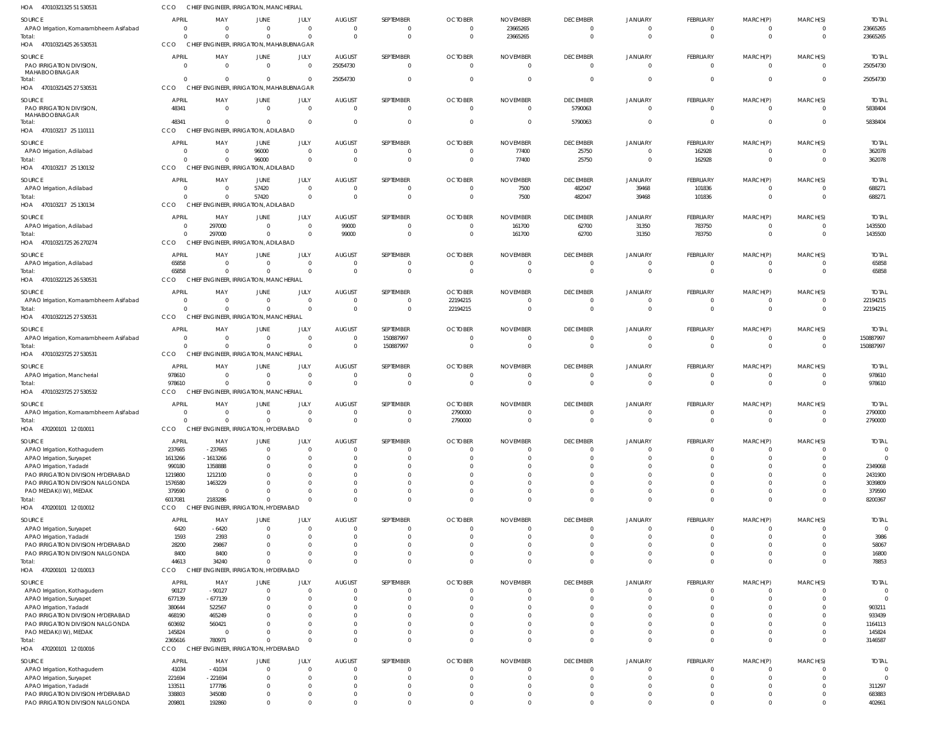| HOA<br>47010321325 51 530531                                          | CCO                   |                            | CHIEF ENGINEER, IRRIGATION, MANCHERIAL            |                            |                           |                            |                                  |                             |                             |                            |                                |                         |                      |                          |
|-----------------------------------------------------------------------|-----------------------|----------------------------|---------------------------------------------------|----------------------------|---------------------------|----------------------------|----------------------------------|-----------------------------|-----------------------------|----------------------------|--------------------------------|-------------------------|----------------------|--------------------------|
| SOURCE                                                                | <b>APRIL</b>          | MAY                        | JUNE                                              | JULY                       | <b>AUGUST</b>             | SEPTEMBER                  | <b>OCTOBER</b>                   | <b>NOVEMBER</b>             | <b>DECEMBER</b>             | JANUARY                    | <b>FEBRUARY</b>                | MARCH(P)                | MARCH(S)             | <b>TOTAL</b>             |
| APAO Irrigation, Komarambheem Asifabad                                | $\overline{0}$        | - 0                        | $\Omega$                                          | $\Omega$                   | $\Omega$                  | 0                          | $\overline{0}$                   | 23665265                    | $\overline{0}$              | $\Omega$                   | $\mathbf 0$                    | 0                       | $\Omega$             | 23665265                 |
| Total:                                                                | $\Omega$              | $\Omega$                   | $\Omega$                                          | $\overline{0}$             | $\mathsf{C}$              | $\mathbf 0$                | $\overline{0}$                   | 23665265                    | $\Omega$                    | $\Omega$                   | $\mathbf{0}$                   | $\mathbf 0$             | $\Omega$             | 23665265                 |
| HOA 47010321425 26 530531                                             | CCO                   |                            | CHIEF ENGINEER, IRRIGATION, MAHABUBNAGAR          |                            |                           |                            |                                  |                             |                             |                            |                                |                         |                      |                          |
| SOURCE                                                                | <b>APRIL</b>          | MAY                        | JUNE                                              | JULY                       | <b>AUGUST</b>             | SEPTEMBER                  | <b>OCTOBER</b>                   | <b>NOVEMBER</b>             | <b>DECEMBER</b>             | <b>JANUARY</b>             | <b>FEBRUARY</b>                | MARCH(P)                | MARCH(S)             | <b>TOTAL</b>             |
| PAO IRRIGATION DIVISION,<br>MAHABOOBNAGAR                             | $\Omega$              | $\Omega$                   | $\Omega$                                          | $\Omega$                   | 25054730                  | $\Omega$                   | $\overline{0}$                   | $\Omega$                    | $\Omega$                    | $\Omega$                   | $\Omega$                       | $\mathbf 0$             | $\Omega$             | 25054730                 |
| Total:                                                                | $\Omega$              | $\Omega$                   | $\Omega$                                          | $\Omega$                   | 25054730                  | $\mathbf 0$                | $\overline{0}$                   | $\overline{0}$              | $\Omega$                    | $\Omega$                   | $\mathbf{0}$                   | $\mathbf 0$             | $\Omega$             | 25054730                 |
| HOA 47010321425 27 530531                                             | CCO                   |                            | CHIEF ENGINEER, IRRIGATION, MAHABUBNAGAR          |                            |                           |                            |                                  |                             |                             |                            |                                |                         |                      |                          |
| SOURCE                                                                | <b>APRIL</b>          | MAY                        | JUNE                                              | JULY                       | <b>AUGUST</b>             | SEPTEMBER                  | <b>OCTOBER</b>                   | <b>NOVEMBER</b>             | <b>DECEMBER</b>             | <b>JANUARY</b>             | <b>FEBRUARY</b>                | MARCH(P)                | MARCH(S)             | <b>TOTAL</b>             |
| PAO IRRIGATION DIVISION,                                              | 48341                 | $\Omega$                   | $\Omega$                                          | $\overline{0}$             | $\Omega$                  | $\mathbf 0$                | $\overline{0}$                   | $\Omega$                    | 5790063                     | $\Omega$                   | $\mathbf 0$                    | $\mathbf 0$             | $\Omega$             | 5838404                  |
| MAHABOOBNAGAR<br>Total:                                               | 48341                 | $\Omega$                   | $\Omega$                                          | $\Omega$                   | $\Omega$                  | $\mathbf 0$                | $\overline{0}$                   | $\overline{0}$              | 5790063                     | $\Omega$                   | $\mathbf{0}$                   | 0                       | $\Omega$             | 5838404                  |
| HOA 470103217 25 110111                                               | <b>CCO</b>            |                            | CHIEF ENGINEER, IRRIGATION, ADILABAD              |                            |                           |                            |                                  |                             |                             |                            |                                |                         |                      |                          |
| SOURCE                                                                | <b>APRIL</b>          | MAY                        | JUNE                                              | JULY                       | <b>AUGUST</b>             | SEPTEMBER                  | <b>OCTOBER</b>                   | <b>NOVEMBER</b>             | <b>DECEMBER</b>             | <b>JANUARY</b>             | <b>FEBRUARY</b>                | MARCH(P)                | MARCH(S)             | <b>TOTAL</b>             |
| APAO Irrigation, Adilabad                                             | $\overline{0}$        | - 0                        | 96000                                             | $\overline{0}$             | $\Omega$                  | $\mathbf 0$                | $\overline{0}$                   | 77400                       | 25750                       | $\Omega$                   | 162928                         | $\mathbf 0$             |                      | 362078                   |
| Total:                                                                | $\Omega$              | $\Omega$                   | 96000                                             | $\Omega$                   | -C                        | $\Omega$                   | $\overline{0}$                   | 77400                       | 25750                       | $\Omega$                   | 162928                         | $\mathbf 0$             | $\Omega$             | 362078                   |
| HOA 470103217 25 130132                                               | CCO                   | <b>CHIEF</b>               | ENGINEER, IRRIGATION, ADILABAD                    |                            |                           |                            |                                  |                             |                             |                            |                                |                         |                      |                          |
| SOURCE                                                                | <b>APRIL</b>          | MAY                        | JUNE                                              | JULY                       | <b>AUGUST</b>             | SEPTEMBER                  | <b>OCTOBER</b>                   | <b>NOVEMBER</b>             | <b>DECEMBER</b>             | <b>JANUARY</b>             | <b>FEBRUARY</b>                | MARCH(P)                | MARCH(S)             | <b>TOTAL</b>             |
| APAO Irrigation, Adilabad                                             | $\overline{0}$        | $\Omega$                   | 57420                                             | $\overline{0}$             | $\mathsf{C}$              | $\mathbf 0$                | $\overline{0}$                   | 7500                        | 482047                      | 39468                      | 101836                         | $\mathbf 0$             | $\Omega$             | 688271                   |
| Total:                                                                | $\Omega$              | $\Omega$                   | 57420                                             | $\overline{0}$             | $\Omega$                  | $\mathbf 0$                | $\overline{0}$                   | 7500                        | 482047                      | 39468                      | 101836                         | $\mathbf 0$             | $\Omega$             | 688271                   |
| HOA 470103217 25 130134                                               | CCO                   |                            | CHIEF ENGINEER, IRRIGATION, ADILABAD              |                            |                           |                            |                                  |                             |                             |                            |                                |                         |                      |                          |
| SOURCE                                                                | <b>APRIL</b>          | MAY                        | JUNE                                              | JULY                       | <b>AUGUST</b>             | SEPTEMBER                  | <b>OCTOBER</b>                   | <b>NOVEMBER</b>             | <b>DECEMBER</b>             | <b>JANUARY</b>             | <b>FEBRUARY</b>                | MARCH(P)                | MARCH(S)             | <b>TOTAL</b>             |
| APAO Irrigation, Adilabad                                             | $\mathbf{0}$          | 297000                     | $\Omega$                                          | $\Omega$                   | 99000                     | 0                          | $\overline{0}$                   | 161700                      | 62700                       | 31350                      | 783750                         | 0                       | $\Omega$             | 1435500                  |
| Total:<br>HOA 47010321725 26 270274                                   | $\Omega$<br>CCO       | 297000                     | $\Omega$<br>CHIEF ENGINEER, IRRIGATION, ADILABAD  | $\Omega$                   | 99000                     | $\mathbf 0$                | $\overline{0}$                   | 161700                      | 62700                       | 31350                      | 783750                         | $\mathbf 0$             | $\Omega$             | 1435500                  |
|                                                                       |                       |                            |                                                   |                            |                           |                            |                                  |                             |                             |                            |                                |                         |                      |                          |
| SOURCE                                                                | <b>APRIL</b>          | MAY                        | JUNE                                              | JULY                       | <b>AUGUST</b>             | SEPTEMBER                  | <b>OCTOBER</b>                   | <b>NOVEMBER</b>             | <b>DECEMBER</b>             | <b>JANUARY</b>             | <b>FEBRUARY</b>                | MARCH(P)                | MARCH(S)             | <b>TOTAL</b>             |
| APAO Irrigation, Adilabad<br>Total:                                   | 65858<br>65858        | $\overline{0}$<br>$\Omega$ | $\Omega$<br>$\Omega$                              | $\overline{0}$<br>$\Omega$ | - 0<br>$\Omega$           | $\mathbf 0$<br>$\mathbf 0$ | $\overline{0}$<br>$\overline{0}$ | 0<br>$\overline{0}$         | $\Omega$<br>$\overline{0}$  | $\Omega$<br>$\Omega$       | $\mathbf 0$<br>$\mathbf 0$     | 0<br>$\mathbf 0$        | $\Omega$<br>$\Omega$ | 65858<br>65858           |
| HOA 47010322125 26 530531                                             | CCO                   | <b>CHIEF</b>               | <b>ENGINEER, IRRIGATION, MANCHERIAL</b>           |                            |                           |                            |                                  |                             |                             |                            |                                |                         |                      |                          |
|                                                                       | <b>APRIL</b>          |                            |                                                   |                            |                           |                            |                                  |                             |                             |                            |                                |                         |                      |                          |
| SOURCE<br>APAO Irrigation, Komarambheem Asifabad                      | $\Omega$              | MAY<br>$\Omega$            | JUNE<br>$\Omega$                                  | JULY<br>$\Omega$           | <b>AUGUST</b><br>$\Omega$ | SEPTEMBER<br>$\mathbf 0$   | <b>OCTOBER</b><br>22194215       | <b>NOVEMBER</b><br>$\Omega$ | <b>DECEMBER</b><br>$\Omega$ | <b>JANUARY</b><br>$\Omega$ | <b>FEBRUARY</b><br>$\mathbf 0$ | MARCH(P)<br>$\mathbf 0$ | MARCH(S)<br>$\Omega$ | <b>TOTAI</b><br>22194215 |
| Total:                                                                | $\Omega$              | $\Omega$                   | $\Omega$                                          | $\Omega$                   | $\Omega$                  | $\mathbf 0$                | 22194215                         | $\Omega$                    | $\Omega$                    | $\Omega$                   | $\Omega$                       | $\mathbf 0$             | $\Omega$             | 22194215                 |
| HOA 47010322125 27 530531                                             | CCO                   |                            | CHIEF ENGINEER, IRRIGATION, MANCHERIAL            |                            |                           |                            |                                  |                             |                             |                            |                                |                         |                      |                          |
| SOURCE                                                                | <b>APRIL</b>          | MAY                        | JUNE                                              | JULY                       | <b>AUGUST</b>             | SEPTEMBER                  | <b>OCTOBER</b>                   | <b>NOVEMBER</b>             | <b>DECEMBER</b>             | <b>JANUARY</b>             | <b>FEBRUARY</b>                | MARCH(P)                | MARCH(S)             | <b>TOTAL</b>             |
| APAO Irrigation, Komarambheem Asifabad                                | $\overline{0}$        | $\Omega$                   | $\Omega$                                          | $\overline{0}$             | $\Omega$                  | 150887997                  | $\overline{0}$                   | $\overline{0}$              | $\overline{0}$              | $\Omega$                   | $\mathbf 0$                    | 0                       | $\Omega$             | 150887997                |
| Total:                                                                | $\Omega$              | $\Omega$                   | $\Omega$                                          | $\overline{0}$             | $\Omega$                  | 150887997                  | $\overline{0}$                   | $\overline{0}$              | $\Omega$                    | $\Omega$                   | $\mathbf{0}$                   | 0                       | $\Omega$             | 150887997                |
| HOA 47010323725 27 530531                                             | CCO                   |                            | CHIEF ENGINEER, IRRIGATION, MANCHERIAL            |                            |                           |                            |                                  |                             |                             |                            |                                |                         |                      |                          |
| SOURCE                                                                | <b>APRIL</b>          | MAY                        | JUNE                                              | JULY                       | <b>AUGUST</b>             | SEPTEMBER                  | <b>OCTOBER</b>                   | <b>NOVEMBER</b>             | <b>DECEMBER</b>             | <b>JANUARY</b>             | <b>FEBRUARY</b>                | MARCH(P)                | MARCH(S)             | <b>TOTAL</b>             |
| APAO Irrigation, Mancherial                                           | 978610                | $\Omega$                   | $\Omega$                                          | $\Omega$                   |                           | 0                          | $\Omega$                         | $\Omega$                    | $\Omega$                    |                            | 0                              | $\Omega$                |                      | 978610                   |
| Total:                                                                | 978610                | $\Omega$                   | $\Omega$                                          | $\mathbf{0}$               | $\Omega$                  | $\mathbf 0$                | $\overline{0}$                   | $\overline{0}$              | $\Omega$                    | $\Omega$                   | $\mathbf 0$                    | $\mathbf 0$             | $\Omega$             | 978610                   |
| HOA 47010323725 27 530532                                             | CCO                   |                            | CHIEF ENGINEER, IRRIGATION, MANCHERIAL            |                            |                           |                            |                                  |                             |                             |                            |                                |                         |                      |                          |
| SOURCE                                                                | <b>APRIL</b>          | MAY                        | JUNE                                              | JULY                       | <b>AUGUST</b>             | SEPTEMBER                  | <b>OCTOBER</b>                   | <b>NOVEMBER</b>             | <b>DECEMBER</b>             | <b>JANUARY</b>             | <b>FEBRUARY</b>                | MARCH(P)                | MARCH(S)             | <b>TOTAL</b>             |
| APAO Irrigation, Komarambheem Asifabad                                | $\Omega$              | $\Omega$                   | $\Omega$                                          | $\Omega$                   | $\Omega$                  | $\Omega$                   | 2790000                          | $\Omega$                    | $\Omega$                    | $\Omega$                   | $\Omega$                       | $\Omega$                | $\Omega$             | 2790000                  |
| Total:<br>HOA<br>470200101 12 010011                                  | $\Omega$<br>CCO       | $\Omega$                   | $\Omega$<br>CHIEF ENGINEER, IRRIGATION, HYDERABAD | $\Omega$                   |                           | $\mathbf 0$                | 2790000                          | $\Omega$                    | $\overline{0}$              | $\Omega$                   | $\mathbf{0}$                   | $\mathbf 0$             | $\Omega$             | 2790000                  |
|                                                                       |                       |                            |                                                   |                            |                           |                            |                                  |                             |                             |                            |                                |                         |                      |                          |
| SOURCE                                                                | <b>APRIL</b>          | MAY                        | JUNE                                              | JULY                       | <b>AUGUST</b>             | SEPTEMBER                  | <b>OCTOBER</b>                   | <b>NOVEMBER</b>             | <b>DECEMBER</b>             | <b>JANUARY</b>             | <b>FEBRUARY</b>                | MARCH(P)                | MARCH(S)             | <b>TOTAL</b>             |
| APAO Irrigation, Kothagudem<br>APAO Irrigation, Suryapet              | 237665<br>1613266     | $-237665$<br>$-1613266$    | $\Omega$                                          | $\Omega$<br>$\Omega$       |                           | $\Omega$<br>$\Omega$       | $\overline{0}$<br>$\Omega$       | $\Omega$<br>$\Omega$        | $\Omega$<br>$\Omega$        | $\Omega$                   | $\mathbf 0$<br>$\Omega$        | 0                       |                      | $\Omega$                 |
| APAO Irrigation, Yadadri                                              | 990180                | 1358888                    |                                                   | <sup>0</sup>               |                           |                            | $\Omega$                         | $\Omega$                    | $\Omega$                    |                            |                                |                         |                      | 2349068                  |
| PAO IRRIGATION DIVISION HYDERABAD                                     | 1219800               | 1212100                    |                                                   | <sup>0</sup>               |                           |                            | - 0                              | $\Omega$                    |                             | $\cap$                     |                                |                         |                      | 2431900                  |
| PAO IRRIGATION DIVISION NALGONDA                                      | 1576580               | 1463229                    |                                                   |                            |                           |                            | $\Omega$                         | $\Omega$                    |                             |                            |                                |                         |                      | 3039809                  |
| PAO MEDAK(IW), MEDAK                                                  | 379590                | $\Omega$                   |                                                   | <sup>0</sup>               |                           |                            | $\Omega$                         | $\Omega$                    | $\Omega$                    | $\Omega$                   | $\Omega$                       |                         |                      | 379590                   |
| Total:<br>HOA 470200101 12 010012                                     | 6017081<br><b>CCO</b> | 2183286                    | $\Omega$<br>CHIEF ENGINEER, IRRIGATION, HYDERABAD | $\Omega$                   |                           | $\Omega$                   | $\Omega$                         | $\Omega$                    | $\Omega$                    | $\Omega$                   | $\Omega$                       | $\Omega$                | $\Omega$             | 8200367                  |
|                                                                       |                       |                            |                                                   |                            |                           |                            |                                  |                             |                             |                            |                                |                         |                      |                          |
| SOURCE                                                                | <b>APRIL</b>          | MAY                        | JUNE                                              | JULY                       | <b>AUGUST</b>             | SEPTEMBER                  | <b>OCTOBER</b>                   | <b>NOVEMBER</b>             | <b>DECEMBER</b>             | JANUARY                    | FEBRUARY                       | MARCH(P)                | MARCH(S)             | <b>TOTAL</b>             |
| APAO Irrigation, Suryapet<br>APAO Irrigation, Yadadri                 | 6420<br>1593          | $-6420$<br>2393            | $\Omega$                                          | $\Omega$<br>$\Omega$       |                           | 0<br>$\Omega$              | - 0<br>- 0                       | $\Omega$<br>$\Omega$        | $\Omega$<br>$\Omega$        | $\Omega$                   | $\mathbf 0$<br>$\Omega$        | U                       | $\Omega$             | 3986                     |
| PAO IRRIGATION DIVISION HYDERABAD                                     | 28200                 | 29867                      |                                                   | $\Omega$                   |                           | 0                          | $\Omega$                         | $\Omega$                    | $\Omega$                    | $\Omega$                   | $\Omega$                       |                         |                      | 58067                    |
| PAO IRRIGATION DIVISION NALGONDA                                      | 8400                  | 8400                       |                                                   | $\Omega$                   |                           | $\Omega$                   | - 0                              | $\Omega$                    | $\Omega$                    | $\Omega$                   | $\Omega$                       |                         | $\Omega$             | 16800                    |
| Total:                                                                | 44613                 | 34240                      | $\cap$                                            | $\Omega$                   |                           | $\Omega$                   | $\Omega$                         | $\Omega$                    | $\Omega$                    | $\Omega$                   | $\Omega$                       | $\Omega$                | $\Omega$             | 78853                    |
| HOA 470200101 12 010013                                               | <b>CCO</b>            | <b>CHIEF</b>               | ENGINEER, IRRIGATION, HYDERABAD                   |                            |                           |                            |                                  |                             |                             |                            |                                |                         |                      |                          |
| SOURCE                                                                | <b>APRIL</b>          | MAY                        | JUNE                                              | JULY                       | <b>AUGUST</b>             | SEPTEMBER                  | <b>OCTOBER</b>                   | <b>NOVEMBER</b>             | <b>DECEMBER</b>             | <b>JANUARY</b>             | <b>FEBRUARY</b>                | MARCH(P)                | MARCH(S)             | <b>TOTAL</b>             |
| APAO Irrigation, Kothagudem                                           | 90127                 | $-90127$                   | $\Omega$                                          | $\Omega$                   |                           |                            | $\Omega$                         | $\Omega$                    | $\Omega$                    |                            |                                |                         |                      |                          |
| APAO Irrigation, Suryapet                                             | 677139                | $-677139$                  |                                                   | $\Omega$                   |                           | <sup>0</sup>               | $\Omega$                         | $\Omega$                    | $\Omega$                    | $\cap$                     | $\Omega$                       |                         |                      |                          |
| APAO Irrigation, Yadadri<br>PAO IRRIGATION DIVISION HYDERABAD         | 380644<br>468190      | 522567<br>465249           |                                                   | <sup>0</sup>               |                           |                            | $\Omega$<br>$\Omega$             | $\Omega$<br>$\Omega$        | $\Omega$                    |                            |                                |                         |                      | 903211<br>933439         |
| PAO IRRIGATION DIVISION NALGONDA                                      | 603692                | 560421                     |                                                   | <sup>0</sup>               |                           |                            | $\Omega$                         | $\Omega$                    | $\Omega$                    | $\Omega$                   |                                |                         |                      | 1164113                  |
| PAO MEDAK(IW), MEDAK                                                  | 145824                | - 0                        |                                                   | <sup>0</sup>               |                           | $\Omega$                   | $\Omega$                         | $\Omega$                    | $\Omega$                    | $\Omega$                   | $\Omega$                       |                         |                      | 145824                   |
| Total:                                                                | 2365616               | 780971                     |                                                   | $\Omega$                   |                           | $\Omega$                   | $\Omega$                         | $\Omega$                    | $\Omega$                    | $\Omega$                   | $\Omega$                       | $\Omega$                | $\Omega$             | 3146587                  |
| HOA 470200101 12 010016                                               | <b>CCO</b>            | <b>CHIEF</b>               | ENGINEER, IRRIGATION, HYDERABAD                   |                            |                           |                            |                                  |                             |                             |                            |                                |                         |                      |                          |
| SOURCE                                                                | <b>APRIL</b>          | MAY                        | JUNE                                              | JULY                       | <b>AUGUST</b>             | SEPTEMBER                  | <b>OCTOBER</b>                   | <b>NOVEMBER</b>             | <b>DECEMBER</b>             | <b>JANUARY</b>             | <b>FEBRUARY</b>                | MARCH(P)                | MARCH(S)             | <b>TOTAL</b>             |
| APAO Irrigation, Kothagudem                                           | 41034                 | $-41034$                   | $\Omega$                                          | $\Omega$                   |                           | 0                          | $\Omega$                         | $\Omega$                    | $\Omega$                    | $\Omega$                   | $\mathbf 0$                    | 0                       | $\Omega$             | $\Omega$                 |
| APAO Irrigation, Suryapet                                             | 221694                | $-221694$                  |                                                   | $\Omega$                   |                           | 0                          | $\Omega$                         | $\Omega$                    | $\Omega$                    | $\Omega$                   | $\Omega$                       |                         | $\cap$               |                          |
| APAO Irrigation, Yadadri                                              | 133511                | 177786                     |                                                   | $\Omega$                   |                           | $\Omega$                   | $\Omega$                         | $\Omega$                    | $\Omega$                    | $\Omega$                   | $\Omega$                       |                         |                      | 311297                   |
| PAO IRRIGATION DIVISION HYDERABAD<br>PAO IRRIGATION DIVISION NALGONDA | 338803<br>209801      | 345080<br>192860           |                                                   | $\Omega$<br>$\Omega$       |                           | 0<br>$\Omega$              | $\Omega$<br>$\Omega$             | $\Omega$<br>$\Omega$        | $\Omega$<br>$\Omega$        | $\Omega$<br>$\Omega$       | 0<br>$\Omega$                  | $\Omega$                | $\Omega$             | 683883<br>402661         |
|                                                                       |                       |                            |                                                   |                            |                           |                            |                                  |                             |                             |                            |                                |                         |                      |                          |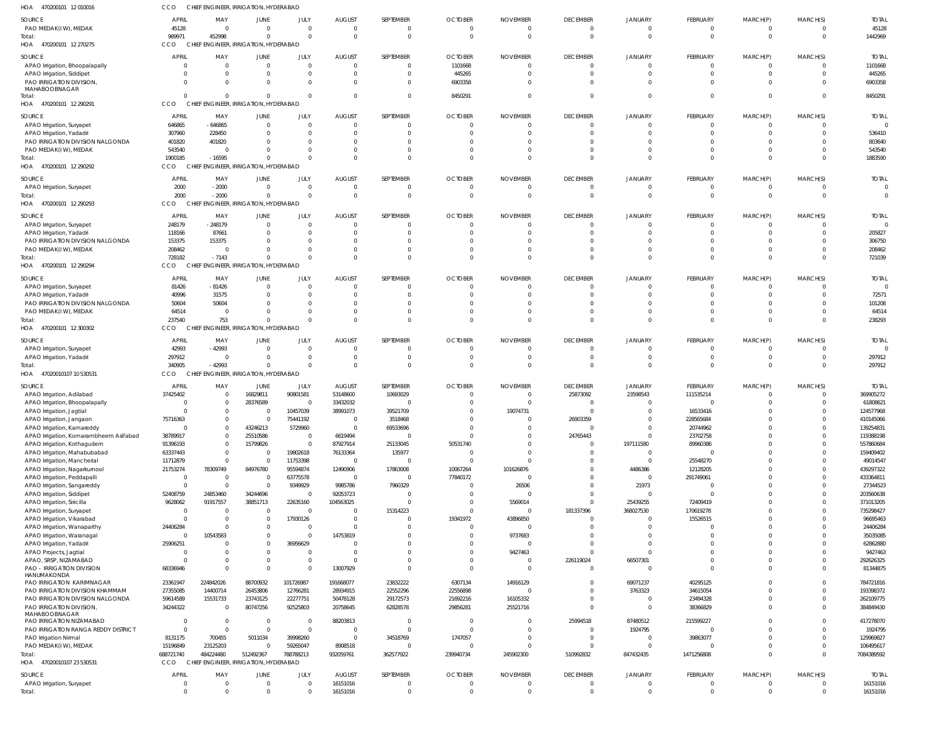| HOA<br>470200101 12 010016                              | CCO                      | CHIEF ENGINEER, IRRIGATION, HYDERABAD |                                 |                                  |                           |                              |                       |                             |                                   |                                  |                            |                            |                                  |                           |
|---------------------------------------------------------|--------------------------|---------------------------------------|---------------------------------|----------------------------------|---------------------------|------------------------------|-----------------------|-----------------------------|-----------------------------------|----------------------------------|----------------------------|----------------------------|----------------------------------|---------------------------|
| SOURCE                                                  | <b>APRIL</b>             | MAY                                   | JUNE                            | JULY                             | <b>AUGUST</b>             | SEPTEMBER                    | <b>OCTOBER</b>        | <b>NOVEMBER</b>             | <b>DECEMBER</b>                   | JANUARY                          | <b>FEBRUARY</b>            | MARCH(P)                   | MARCH(S)                         | <b>TOTAL</b>              |
| PAO MEDAK(IW), MEDAK                                    | 45128                    | $\overline{0}$                        | $\Omega$                        | $\overline{0}$                   | $\Omega$                  | $\mathbf{0}$                 | $\Omega$              | $\Omega$                    | $\overline{0}$                    | $\mathbf{0}$                     | 0                          | 0                          | $\overline{0}$                   | 45128                     |
| Total:                                                  | 989971                   | 452998                                | $\Omega$                        | $\Omega$                         | $\Omega$                  | $\mathbf 0$                  | $\Omega$              | $\Omega$                    | $\Omega$                          | $\Omega$                         | $\mathbf{0}$               | $\mathbf{0}$               | $\overline{0}$                   | 1442969                   |
| HOA 470200101 12 270275                                 | CCO                      | CHIEF ENGINEER, IRRIGATION, HYDERABAD |                                 |                                  |                           |                              |                       |                             |                                   |                                  |                            |                            |                                  |                           |
| SOURCE                                                  | <b>APRIL</b>             | MAY                                   | JUNE                            | <b>JULY</b>                      | <b>AUGUST</b>             | SEPTEMBER                    | <b>OCTOBER</b>        | <b>NOVEMBER</b>             | <b>DECEMBER</b>                   | JANUARY                          | FEBRUARY                   | MARCH(P)                   | MARCH(S)                         | <b>TOTAL</b>              |
| APAO Irrigation, Bhoopalapally                          | $\Omega$                 | 0                                     | $\Omega$                        | $\overline{0}$                   |                           | $\Omega$                     | 1101668               |                             | $\Omega$                          | $\Omega$                         | 0                          | $\Omega$                   | $\Omega$                         | 1101668                   |
| APAO Irrigation, Siddipet                               | $\Omega$                 | 0                                     |                                 | $\mathbf{0}$<br>$\Omega$         |                           | $\mathbf{0}$<br>$\Omega$     | 445265<br>6903358     |                             | $\Omega$<br>$\Omega$              | $\Omega$<br>$\Omega$             | $\mathbf 0$<br>$\Omega$    | $\mathbf 0$<br>$\Omega$    | $\Omega$<br>$\Omega$             | 445265                    |
| PAO IRRIGATION DIVISION,<br>MAHABOOBNAGAR               |                          | $\Omega$                              |                                 |                                  |                           |                              |                       |                             |                                   |                                  |                            |                            |                                  | 6903358                   |
| Total:                                                  | $\Omega$                 | $\Omega$                              | $\Omega$                        | $\Omega$                         |                           | $\mathbf 0$                  | 8450291               |                             | $\Omega$                          | $\Omega$                         | $\Omega$                   | $\mathbf 0$                | $\Omega$                         | 8450291                   |
| HOA 470200101 12 290291                                 | CCO                      | CHIEF ENGINEER, IRRIGATION, HYDERABAD |                                 |                                  |                           |                              |                       |                             |                                   |                                  |                            |                            |                                  |                           |
| SOURCE                                                  | <b>APRIL</b>             | MAY                                   | JUNE                            | JULY                             | <b>AUGUST</b>             | SEPTEMBER                    | <b>OCTOBER</b>        | <b>NOVEMBER</b>             | <b>DECEMBER</b>                   | JANUARY                          | FEBRUARY                   | MARCH(P)                   | MARCH(S)                         | <b>TOTAL</b>              |
| APAO Irrigation, Suryapet                               | 646865                   | $-646865$                             | $\Omega$                        | $\Omega$                         | - 0                       | $\mathbf{0}$                 | - 0                   | $\Omega$                    | $\overline{0}$                    | $\Omega$                         | 0                          | 0                          | $\Omega$                         |                           |
| APAO Irrigation, Yadadri                                | 307960                   | 228450                                |                                 | $\Omega$                         | $\Omega$                  | $\Omega$                     | - 0                   |                             | $\Omega$                          | $\Omega$                         | $\Omega$                   | $\Omega$                   | $\Omega$                         | 536410                    |
| PAO IRRIGATION DIVISION NALGONDA                        | 401820                   | 401820                                |                                 | $\Omega$                         |                           | $\Omega$                     |                       |                             |                                   |                                  | $\Omega$                   | $\Omega$                   | $\Omega$                         | 803640                    |
| PAO MEDAK(IW), MEDAK                                    | 543540<br>1900185        | 0<br>$-16595$                         | $\Omega$                        | $\Omega$                         | $\Omega$                  | $\Omega$<br>$\Omega$         |                       |                             | $\Omega$                          | $\Omega$<br>$\Omega$             | $\mathbf 0$<br>$\mathbf 0$ | 0<br>$\mathbf 0$           | $\Omega$<br>$\Omega$             | 543540<br>1883590         |
| Total:<br>HOA 470200101 12 290292                       | CCO                      | CHIEF ENGINEER, IRRIGATION, HYDERABAD |                                 |                                  |                           |                              |                       |                             |                                   |                                  |                            |                            |                                  |                           |
|                                                         |                          |                                       |                                 |                                  |                           |                              |                       |                             |                                   |                                  |                            |                            |                                  |                           |
| SOURCE                                                  | <b>APRIL</b>             | MAY                                   | <b>JUNE</b>                     | JULY                             | <b>AUGUST</b>             | SEPTEMBER                    | <b>OCTOBER</b>        | <b>NOVEMBER</b>             | <b>DECEMBER</b>                   | JANUARY                          | FEBRUARY                   | MARCH(P)                   | MARCH(S)                         | <b>TOTAL</b>              |
| APAO Irrigation, Suryapet<br>Total:                     | 2000<br>2000             | $-2000$<br>$-2000$                    | $\Omega$<br>$\Omega$            | $\overline{0}$<br>$\Omega$       | $\Omega$                  | $\Omega$<br>$\mathbf 0$      |                       |                             | $\overline{0}$<br>$\overline{0}$  | $\Omega$<br>$\Omega$             | 0<br>$\mathbf{0}$          | 0<br>$\mathbf 0$           | $\mathbf{0}$<br>$\overline{0}$   | $\Omega$                  |
| HOA 470200101 12 290293                                 | CCO                      | <b>CHIEF</b>                          | ENGINEER, IRRIGATION, HYDERABAD |                                  |                           |                              |                       |                             |                                   |                                  |                            |                            |                                  |                           |
|                                                         |                          |                                       |                                 |                                  |                           |                              |                       |                             |                                   |                                  |                            |                            |                                  |                           |
| SOURCE                                                  | <b>APRIL</b><br>248179   | MAY<br>$-248179$                      | JUNE                            | JULY<br>$\Omega$                 | <b>AUGUST</b>             | SEPTEMBER<br>$\mathbf{0}$    | <b>OCTOBER</b><br>- 0 | <b>NOVEMBER</b><br>$\Omega$ | <b>DECEMBER</b><br>$\overline{0}$ | <b>JANUARY</b><br>$\Omega$       | FEBRUARY<br>$\mathbf 0$    | MARCH(P)<br>0              | MARCH(S)<br>$\Omega$             | <b>TOTAL</b>              |
| APAO Irrigation, Suryapet<br>APAO Irrigation, Yadadri   | 118166                   | 87661                                 |                                 | $\Omega$                         | - 0                       | $\Omega$                     |                       |                             | $\Omega$                          | $\Omega$                         | $\Omega$                   | $\Omega$                   | $\Omega$                         | 205827                    |
| PAO IRRIGATION DIVISION NALGONDA                        | 153375                   | 153375                                |                                 | $\Omega$                         |                           | $\Omega$                     |                       |                             |                                   |                                  | $\Omega$                   | $\Omega$                   | $\Omega$                         | 306750                    |
| PAO MEDAK(IW), MEDAK                                    | 208462                   | $\overline{0}$                        |                                 |                                  |                           | $\Omega$                     |                       |                             |                                   | $\Omega$                         | $\mathbf 0$                | 0                          | $\Omega$                         | 208462                    |
| Total:                                                  | 728182                   | $-7143$                               | $\Omega$                        | $\Omega$                         | $\Omega$                  | $\Omega$                     |                       |                             | $\Omega$                          | $\Omega$                         | $\mathbf 0$                | $\mathbf{0}$               | $\Omega$                         | 721039                    |
| HOA 470200101 12 290294                                 | CCO                      | CHIEF ENGINEER, IRRIGATION, HYDERABAD |                                 |                                  |                           |                              |                       |                             |                                   |                                  |                            |                            |                                  |                           |
| SOURCE                                                  | <b>APRIL</b>             | MAY                                   | JUNE                            | JULY                             | <b>AUGUST</b>             | SEPTEMBER                    | <b>OCTOBER</b>        | <b>NOVEMBER</b>             | <b>DECEMBER</b>                   | <b>JANUARY</b>                   | FEBRUARY                   | MARCH(P)                   | MARCH(S)                         | <b>TOTAL</b>              |
| APAO Irrigation, Suryapet                               | 81426                    | $-81426$                              |                                 | $\Omega$                         |                           |                              |                       |                             | $\Omega$                          |                                  | $\Omega$                   |                            |                                  |                           |
| APAO Irrigation, Yadadri                                | 40996                    | 31575                                 |                                 | $\Omega$                         |                           | $\Omega$                     |                       |                             | $\Omega$                          | $\Omega$                         | $\Omega$                   | $\Omega$                   | $\Omega$                         | 72571                     |
| PAO IRRIGATION DIVISION NALGONDA                        | 50604                    | 50604                                 |                                 |                                  |                           |                              |                       |                             |                                   |                                  | $\Omega$                   |                            |                                  | 101208                    |
| PAO MEDAK(IW), MEDAK                                    | 64514                    | $\overline{0}$                        |                                 |                                  |                           | $\Omega$                     |                       |                             |                                   |                                  | $\Omega$                   | $\Omega$                   |                                  | 64514                     |
| Total:                                                  | 237540                   | 753                                   |                                 | $\Omega$                         |                           | $\Omega$                     |                       |                             | $\Omega$                          | $\Omega$                         | $\Omega$                   | $\Omega$                   | $\Omega$                         | 238293                    |
| HOA 470200101 12 300302                                 | <b>CCO</b>               | CHIEF ENGINEER, IRRIGATION, HYDERABAD |                                 |                                  |                           |                              |                       |                             |                                   |                                  |                            |                            |                                  |                           |
| SOURCE                                                  | <b>APRIL</b>             | MAY                                   | JUNE                            | JULY                             | <b>AUGUST</b>             | SEPTEMBER                    | <b>OCTOBER</b>        | <b>NOVEMBER</b>             | <b>DECEMBER</b>                   | JANUARY                          | FEBRUARY                   | MARCH(P)                   | MARCH(S)                         | <b>TOTAL</b>              |
| APAO Irrigation, Suryapet                               | 42993                    | $-42993$                              | $\Omega$                        | $\Omega$                         | - 0                       | $\mathbf{0}$                 | - 0                   | $\Omega$                    | $\overline{0}$                    | $\Omega$                         | 0                          | $\Omega$                   | $\Omega$                         |                           |
| APAO Irrigation, Yadadri<br>Total                       | 297912<br>340905         | $\overline{0}$<br>$-42993$            | $\Omega$<br>$\Omega$            | $\overline{0}$<br>$\Omega$       | $\Omega$<br>$\Omega$      | $\mathbf{0}$<br>$\mathbf{0}$ | - 0<br>- 0            | $\Omega$                    | $\overline{0}$<br>$\Omega$        | $\Omega$<br>$\Omega$             | $\mathbf 0$<br>$\mathbf 0$ | 0<br>$\mathbf 0$           | $\overline{0}$<br>$\Omega$       | 297912<br>297912          |
| HOA 47020010107 10 530531                               | CCO                      | CHIEF ENGINEER, IRRIGATION, HYDERABAD |                                 |                                  |                           |                              |                       |                             |                                   |                                  |                            |                            |                                  |                           |
|                                                         |                          |                                       |                                 |                                  |                           |                              |                       |                             |                                   |                                  |                            |                            |                                  |                           |
| SOURCE<br>APAO Irrigation, Adilabad                     | <b>APRIL</b><br>37425402 | MAY<br>$\overline{0}$                 | JUNE<br>16829811                | JULY<br>90801581                 | <b>AUGUST</b><br>53148600 | SEPTEMBER<br>10693029        | <b>OCTOBER</b>        | <b>NOVEMBER</b>             | <b>DECEMBER</b><br>25873092       | JANUARY<br>23598543              | FEBRUARY<br>111535214      | MARCH(P)<br>0              | MARCH(S)<br>$\Omega$             | <b>TOTAL</b><br>369905272 |
| APAO Irrigation, Bhoopalapally                          | $\Omega$                 | $\Omega$                              | 28376589                        |                                  | 33432032                  | $\Omega$                     |                       |                             | $\Omega$                          | $\Omega$                         | 0                          | $\Omega$                   |                                  | 61808621                  |
| APAO Irrigation, Jagtial                                | $\Omega$                 | $\Omega$                              |                                 | 10457039                         | 38991073                  | 39521709                     |                       | 19074731                    | $\Omega$                          | $\Omega$                         | 16533416                   | $\Omega$                   | $\Omega$                         | 124577968                 |
| APAO Irrigation, Jangaon                                | 75716363                 |                                       |                                 | 75441192                         |                           | 3518468                      |                       |                             | 26903359                          | $\overline{0}$                   | 228565684                  | $\Omega$                   | $\Omega$                         | 410145066                 |
| APAO Irrigation, Kamareddy                              | $\overline{0}$           | $\Omega$                              | 43246213                        | 5729960                          |                           | 69533696                     |                       |                             | $\Omega$                          | $\Omega$                         | 20744962                   | $\Omega$                   |                                  | 139254831                 |
| APAO Irrigation, Komarambheem Asifabad                  | 38789917                 | $\Omega$                              | 25510586                        | $\Omega$                         | 6619494                   |                              |                       |                             |                                   |                                  |                            |                            | $\Omega$                         |                           |
| APAO Irrigation, Kothagudem                             | 91396193                 | $\Omega$                              |                                 |                                  |                           | $\overline{0}$               |                       |                             | 24765443                          | $\Omega$                         | 23702758                   | $\Omega$                   | $\Omega$                         | 119388198                 |
| APAO Irrigation, Mahabubabad                            |                          |                                       | 15799826                        | $\Omega$                         | 87927914                  | 25133045                     | 50531740              |                             | $\overline{0}$                    | 197111580                        | 89960386                   | $\Omega$                   | $\Omega$                         | 557860684                 |
| APAO Irrigation, Mancherial                             | 63337443                 | $\overline{0}$                        | - 0                             | 19802618                         | 76133364                  | 135977                       |                       |                             | $\Omega$                          | $\Omega$                         | $\Omega$                   | $\Omega$                   | $\Omega$                         | 159409402                 |
| APAO Irrigation, Nagarkurnool                           | 11712879                 | $\overline{0}$                        | $\Omega$                        | 11753398                         | $\Omega$                  | $\mathbf{0}$                 |                       |                             |                                   | $\Omega$                         | 25548270                   | $\Omega$                   | $\Omega$                         | 49014547                  |
|                                                         | 21753274                 | 78309749                              | 84976780                        | 95594874                         | 12490906                  | 17863008                     | 10067264              | 101626876                   |                                   | 4486386                          | 12128205                   | $\Omega$                   | $\Omega$                         | 439297322                 |
| APAO Irrigation, Peddapalli                             | $\Omega$<br>$\Omega$     | $\overline{0}$                        | $\Omega$<br>$\Omega$            | 63775578                         | $\Omega$                  | $\overline{0}$               | 77840172              | $\mathcal{L}$               | $\Omega$                          | $\overline{0}$                   | 291749061                  | $\Omega$<br>$\Omega$       | $\Omega$<br>$\Omega$             | 433364811                 |
| APAO Irrigation, Sangareddy                             | 52408759                 | $\overline{0}$<br>24853460            | 34244696                        | 9349929<br>$\overline{0}$        | 9985786<br>92053723       | 7960329<br>$\Omega$          |                       | 26506                       | $\Omega$                          | 21973<br>$\Omega$                | 0<br>$\Omega$              | $\Omega$                   | $\Omega$                         | 27344523<br>203560638     |
| APAO Irrigation, Siddipet<br>APAO Irrigation, Siricilla | 9628062                  | 91917557                              | 38851713                        | 22635160                         | 104563025                 | $\Omega$                     |                       | 5569014                     | $\Omega$                          | 25439255                         | 72409419                   | $\Omega$                   | $\Omega$                         | 371013205                 |
| APAO Irrigation, Suryapet                               | $\Omega$                 | $\overline{0}$                        | $\Omega$                        | $\overline{0}$                   |                           | 15314223                     |                       | - (                         | 181337396                         | 368027530                        | 170619278                  | $\Omega$                   | $\Omega$                         | 735298427                 |
| APAO Irrigation, Vikarabad                              | $\Omega$                 | $\overline{0}$                        |                                 | 17930126                         |                           | $\Omega$                     | 19341972              | 43896850                    | $\Omega$                          | $\Omega$                         | 15526515                   | $\Omega$                   | $\Omega$                         | 96695463                  |
| APAO Irrigation, Wanaparthy                             | 24406284                 | $\overline{0}$                        |                                 | $\Omega$                         |                           | $\Omega$                     |                       | - (                         | $\Omega$                          |                                  | $\Omega$                   | $\Omega$                   |                                  | 24406284                  |
| APAO Irrigation, Waranagal                              | $\overline{0}$           | 10543583                              | $\Omega$                        | $\Omega$                         | 14753819                  | $\Omega$                     |                       | 9737683                     | $\Omega$                          | $\Omega$                         | $\Omega$                   | $\Omega$                   |                                  | 35035085                  |
| APAO Irrigation, Yadadri                                | 25906251                 | $\Omega$                              |                                 | 36956629                         |                           | $\Omega$                     |                       |                             | $\Omega$                          | $\Omega$                         | $\Omega$                   | $\Omega$                   |                                  | 62862880                  |
| APAO Projects, Jagtial                                  | $\Omega$                 | $\Omega$                              |                                 | $\Omega$                         |                           | $\Omega$                     |                       | 9427463                     | $\Omega$                          | $\Omega$                         | $\Omega$                   | $\Omega$                   | $\Omega$                         | 9427463                   |
| APAO, SRSP, NIZAMABAD                                   | $\Omega$                 | $\Omega$<br>$\Omega$                  |                                 | $\mathbf{0}$<br>$\Omega$         |                           | $\Omega$<br>$\Omega$         |                       |                             | 226119024<br>$\Omega$             | 66507301<br>$\Omega$             | $\mathbf 0$<br>$\Omega$    | $\mathbf 0$<br>$\Omega$    | $\Omega$<br>$\Omega$             | 292626325                 |
| <b>PAO - IRRIGATION DIVISION</b><br>HANUMAKONDA         | 68336946                 |                                       |                                 |                                  | 13007929                  |                              |                       |                             |                                   |                                  |                            |                            |                                  | 81344875                  |
| PAO IRRIGATION KARIMNAGAR                               | 23361947                 | 224842026                             | 88700932                        | 101726987                        | 191668077                 | 23832222                     | 6307134               | 14916129                    | $\Omega$                          | 69071237                         | 40295125                   | $\Omega$                   | $\Omega$                         | 784721816                 |
| PAO IRRIGATION DIVISION KHAMMAM                         | 27355085                 | 14400714                              | 26453806                        | 12766281                         | 28934915                  | 22552296                     | 22556898              |                             | $\Omega$                          | 3763323                          | 34615054                   | $\Omega$                   | $\Omega$                         | 193398372                 |
| PAO IRRIGATION DIVISION NALGONDA                        | 59614589                 | 15531733                              | 23743125                        | 22277751                         | 50478128                  | 29172573                     | 21692216              | 16105332                    | $\Omega$                          | $\overline{0}$                   | 23494328                   | $\mathbf 0$                | $\Omega$                         | 262109775                 |
| PAO IRRIGATION DIVISION,<br>MAHABOOBNAGAR               | 34244322                 | $\overline{0}$                        | 80747256                        | 92525803                         | 20758645                  | 62828578                     | 29856281              | 25521716                    | $\Omega$                          | $\Omega$                         | 38366829                   | $\Omega$                   | $\Omega$                         | 384849430                 |
| PAO IRRIGATION NIZAMABAD                                | $\Omega$                 | 0                                     | - 0                             | $\Omega$                         | 88203813                  | $\Omega$                     |                       |                             | 25994518                          | 87480512                         | 215599227                  | $\Omega$                   | $\Omega$                         | 417278070                 |
| PAO IRRIGATION RANGA REDDY DISTRICT                     | $\overline{0}$           | $\overline{0}$                        | $\Omega$                        | $\overline{0}$                   |                           | $\Omega$                     |                       |                             | $\mathbf{0}$                      | 1924795                          | 0                          | $\Omega$                   | $\Omega$                         | 1924795                   |
| PAO Irrigation Nirmal                                   | 8131175                  | 700455                                | 5011034                         | 39998260                         | $\Omega$                  | 34518769                     | 1747057               |                             | $\overline{0}$                    | $\Omega$                         | 39863077                   | $\Omega$                   | $\Omega$                         | 129969827                 |
| PAO MEDAK(IW), MEDAK                                    | 15196849                 | 23125203                              | $\Omega$                        | 59265047                         | 8908518                   | $\mathbf{0}$                 |                       |                             | $\Omega$                          | $\Omega$                         | 0                          | $\mathbf 0$                | $\Omega$                         | 106495617                 |
| Total:                                                  | 688721740                | 484224480                             | 512492367                       | 788788213                        | 932059761                 | 362577922                    | 239940734             | 245902300                   | 510992832                         | 847432435                        | 1471256808                 | $\mathbf 0$                | $\Omega$                         | 7084389592                |
| HOA 47020010107 23 530531                               | CCO                      | CHIEF ENGINEER, IRRIGATION, HYDERABAD |                                 |                                  |                           |                              |                       |                             |                                   |                                  |                            |                            |                                  |                           |
| SOURCE                                                  | <b>APRIL</b>             | MAY                                   | JUNE                            | JULY                             | <b>AUGUST</b>             | SEPTEMBER                    | <b>OCTOBER</b>        | <b>NOVEMBER</b>             | <b>DECEMBER</b>                   | <b>JANUARY</b>                   | FEBRUARY                   | MARCH(P)                   | MARCH(S)                         | <b>TOTAL</b>              |
| APAO Irrigation, Suryapet<br>Total:                     | 0<br>$\Omega$            | $\overline{0}$<br>$\Omega$            | $\Omega$                        | $\overline{0}$<br>$\overline{0}$ | 16151016<br>16151016      | $\mathbf{0}$<br>$\mathbf{0}$ | $\Omega$<br>$\Omega$  | $\Omega$<br>$\Omega$        | $\overline{0}$<br>$\overline{0}$  | $\overline{0}$<br>$\overline{0}$ | $\mathbf 0$<br>$\mathbf 0$ | $\mathbf 0$<br>$\mathbf 0$ | $\overline{0}$<br>$\overline{0}$ | 16151016<br>16151016      |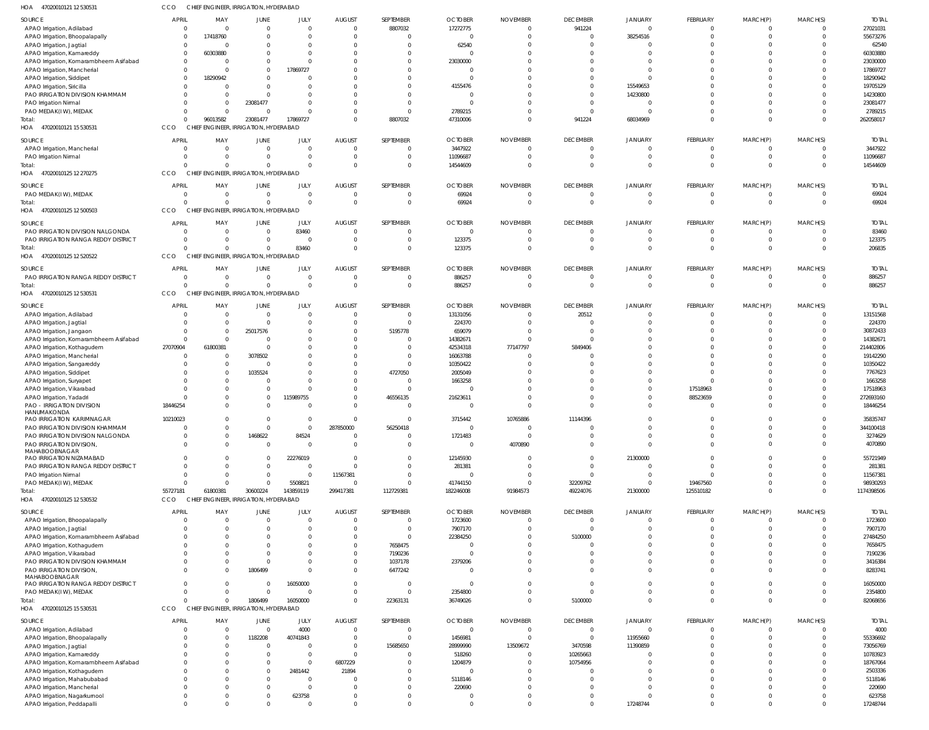| HOA<br>47020010121 12 530531                                            | CCO          | CHIEF ENGINEER, IRRIGATION, HYDERABAD                          |                                  |                      |                                  |                               |                           |                          |                                   |                            |                                |                            |                            |                        |
|-------------------------------------------------------------------------|--------------|----------------------------------------------------------------|----------------------------------|----------------------|----------------------------------|-------------------------------|---------------------------|--------------------------|-----------------------------------|----------------------------|--------------------------------|----------------------------|----------------------------|------------------------|
| SOURCE                                                                  | <b>APRIL</b> | MAY                                                            | <b>JUNE</b>                      | JULY                 | <b>AUGUST</b>                    | SEPTEMBER                     | <b>OCTOBER</b>            | <b>NOVEMBER</b>          | <b>DECEMBER</b>                   | <b>JANUARY</b>             | FEBRUARY                       | MARCH(P)                   | MARCH(S)                   | <b>TOTAL</b>           |
| APAO Irrigation, Adilabad                                               |              | $\overline{0}$<br>$\Omega$                                     | $\Omega$                         | $\Omega$             | $\overline{0}$                   | 8807032                       | 17272775                  | $\overline{0}$           | 941224                            | $\Omega$                   | $\mathbf 0$                    | 0                          | $\overline{0}$             | 27021031               |
| APAO Irrigation, Bhoopalapally<br>APAO Irrigation, Jagtial              |              | 17418760<br>$\Omega$<br>- 0                                    | $\Omega$<br>0                    | $\Omega$<br>$\Omega$ | $\overline{0}$<br>$\Omega$       | $\Omega$                      | 0<br>62540                | $\Omega$<br>$\Omega$     | $\overline{0}$<br>$\Omega$        | 38254516<br>$\Omega$       | $\overline{0}$<br>$\cup$       | $\overline{0}$             | $\Omega$<br>$\Omega$       | 55673276<br>62540      |
| APAO Irrigation, Kamareddy                                              |              | 60303880<br>$\Omega$                                           | $\Omega$                         | $\Omega$             | $\Omega$                         |                               | $\Omega$                  | $\Omega$                 | $\Omega$                          | $\Omega$                   | $\Omega$                       | $\Omega$                   | $\Omega$                   | 60303880               |
| APAO Irrigation, Komarambheem Asifabad                                  |              | $\Omega$<br>$\Omega$                                           | $^{\circ}$                       | $\cap$               | $\Omega$                         |                               | 23030000                  | $\Omega$                 | $\Omega$                          | $\Omega$                   | $\Omega$                       | $\Omega$                   | $\Omega$                   | 23030000               |
| APAO Irrigation, Mancherial                                             |              | $\Omega$<br>$\Omega$                                           | $\mathbf 0$                      | 17869727             | $\Omega$                         |                               | - 0                       | $\Omega$                 | $\Omega$                          | $\Omega$                   | $\Omega$                       | $\Omega$                   | $\Omega$                   | 17869727               |
| APAO Irrigation, Siddipet<br>APAO Irrigation, Siricilla                 |              | 18290942<br>$\Omega$<br>$\Omega$<br>$\Omega$                   | $\Omega$<br>$\Omega$             | $\Omega$             | $\Omega$<br>$\Omega$             |                               | 0<br>4155476              | $\Omega$<br>$\Omega$     | $\Omega$<br>$\Omega$              | $\Omega$<br>15549653       | $\sqrt{ }$<br>$\Omega$         | $\Omega$<br>$\Omega$       | $\Omega$<br>$\Omega$       | 18290942<br>19705129   |
| PAO IRRIGATION DIVISION KHAMMAM                                         |              | $\Omega$                                                       | $\Omega$                         |                      | $\Omega$                         |                               | 0                         | $\Omega$                 | $\Omega$                          | 14230800                   | $\sqrt{ }$                     | $\Omega$                   | $\Omega$                   | 14230800               |
| PAO Irrigation Nirmal                                                   |              | $\Omega$                                                       | 23081477                         | $\cap$               | $\Omega$                         | $\Omega$                      | - 0                       | $\Omega$                 | $\Omega$                          | $\Omega$                   | $\Omega$                       | $\Omega$                   | $\Omega$                   | 23081477               |
| PAO MEDAK(IW), MEDAK                                                    |              | $\Omega$<br>$\overline{0}$                                     | $\overline{0}$                   | $\cap$               | $\mathbf{0}$                     | $\Omega$                      | 2789215                   | $\Omega$                 | $\Omega$                          | $\Omega$                   | $\Omega$                       | $\overline{0}$             | $\Omega$                   | 2789215                |
| Total:<br>HOA 47020010121 15 530531                                     | CCO          | 96013582<br>$\Omega$<br>CHIEF ENGINEER, IRRIGATION, HYDERABAD  | 23081477                         | 17869727             | $\Omega$                         | 8807032                       | 47310006                  | $\Omega$                 | 941224                            | 68034969                   | $\Omega$                       | $\Omega$                   | $\Omega$                   | 262058017              |
|                                                                         |              |                                                                |                                  |                      |                                  |                               |                           |                          |                                   |                            |                                |                            |                            |                        |
| SOURCE                                                                  | <b>APRIL</b> | MAY<br>$\Omega$<br>$\overline{0}$                              | JUNE<br>$\overline{0}$           | JULY<br>$\Omega$     | <b>AUGUST</b><br>$\overline{0}$  | SEPTEMBER<br>$\Omega$         | <b>OCTOBER</b><br>3447922 | <b>NOVEMBER</b><br>0     | <b>DECEMBER</b><br>$\overline{0}$ | JANUARY<br>$\Omega$        | <b>FEBRUARY</b><br>$\mathbf 0$ | MARCH(P)<br>$\mathbf 0$    | MARCH(S)<br>$\overline{0}$ | <b>TOTAL</b>           |
| APAO Irrigation, Mancherial<br>PAO Irrigation Nirmal                    |              | $\overline{0}$<br>$\Omega$                                     | $\mathbf{0}$                     | - 0                  | $\overline{0}$                   | $\mathbf 0$                   | 11096687                  | 0                        | $\overline{0}$                    | $\Omega$                   | $\overline{0}$                 | $\overline{0}$             | $\overline{0}$             | 3447922<br>11096687    |
| Total:                                                                  |              | $\mathbf 0$<br>$\Omega$                                        | $\mathbf 0$                      |                      | $\overline{0}$                   | $\Omega$                      | 14544609                  | $\Omega$                 | $\Omega$                          | $\Omega$                   | $\overline{0}$                 | $\mathbf{0}$               | $\Omega$                   | 14544609               |
| HOA 47020010125 12 270275                                               | CCO          | CHIEF ENGINEER, IRRIGATION, HYDERABAD                          |                                  |                      |                                  |                               |                           |                          |                                   |                            |                                |                            |                            |                        |
| SOURCE                                                                  | <b>APRIL</b> | MAY                                                            | JUNE                             | JULY                 | <b>AUGUST</b>                    | SEPTEMBER                     | <b>OCTOBER</b>            | <b>NOVEMBER</b>          | <b>DECEMBER</b>                   | JANUARY                    | <b>FEBRUARY</b>                | MARCH(P)                   | MARCH(S)                   | <b>TOTAL</b>           |
| PAO MEDAK(IW), MEDAK                                                    |              | $\Omega$<br>$\overline{0}$                                     | $\overline{0}$                   | $\Omega$             | $\overline{0}$                   | $\Omega$                      | 69924                     | 0                        | $\overline{0}$                    | $\Omega$                   | $\mathbf 0$                    | $\mathbf 0$                | $\overline{0}$             | 69924                  |
| Total:                                                                  |              | $\Omega$<br>$\Omega$                                           | $\mathbf 0$                      | $\Omega$             | $\overline{0}$                   | $\mathbf 0$                   | 69924                     | $\overline{0}$           | $\overline{0}$                    | $\Omega$                   | $\mathbf 0$                    | $\mathbf 0$                | $\overline{0}$             | 69924                  |
| HOA<br>47020010125 12 500503                                            | CCO          | CHIEF ENGINEER, IRRIGATION, HYDERABAD                          |                                  |                      |                                  |                               |                           |                          |                                   |                            |                                |                            |                            |                        |
| SOURCE                                                                  | <b>APRIL</b> | MAY                                                            | JUNE                             | JULY                 | <b>AUGUST</b>                    | SEPTEMBER                     | <b>OCTOBER</b>            | <b>NOVEMBER</b>          | <b>DECEMBER</b>                   | JANUARY                    | FEBRUARY                       | MARCH(P)                   | MARCH(S)                   | <b>TOTAL</b>           |
| PAO IRRIGATION DIVISION NALGONDA<br>PAO IRRIGATION RANGA REDDY DISTRICT |              | $\overline{0}$<br>$\overline{0}$<br>$\Omega$<br>$\overline{0}$ | $\overline{0}$<br>$\mathbf{0}$   | 83460<br>$\Omega$    | $\overline{0}$<br>$\overline{0}$ | $\overline{0}$<br>$\mathbf 0$ | $\overline{0}$<br>123375  | $\overline{0}$<br>0      | $\overline{0}$<br>$\Omega$        | $\overline{0}$<br>$\Omega$ | $\mathbf 0$<br>$\overline{0}$  | $\mathbf 0$<br>$\mathbf 0$ | $\Omega$<br>$\Omega$       | 83460<br>123375        |
| Total:                                                                  |              | $\Omega$<br>$\overline{0}$                                     | $\mathbf 0$                      | 83460                | $\overline{0}$                   | $\mathbf 0$                   | 123375                    | 0                        | $\Omega$                          | $\Omega$                   | $\mathbf 0$                    | $\mathbf 0$                | $\overline{0}$             | 206835                 |
| HOA 47020010125 12 520522                                               | <b>CCO</b>   | CHIEF ENGINEER, IRRIGATION, HYDERABAD                          |                                  |                      |                                  |                               |                           |                          |                                   |                            |                                |                            |                            |                        |
| SOURCE                                                                  | <b>APRIL</b> | MAY                                                            | <b>JUNE</b>                      | JULY                 | <b>AUGUST</b>                    | SEPTEMBER                     | <b>OCTOBER</b>            | <b>NOVEMBER</b>          | <b>DECEMBER</b>                   | <b>JANUARY</b>             | FEBRUARY                       | MARCH(P)                   | MARCH(S)                   | <b>TOTAL</b>           |
| PAO IRRIGATION RANGA REDDY DISTRICT                                     |              | $\Omega$<br>$\overline{0}$                                     | $\overline{0}$                   | $\Omega$             | $\overline{0}$                   | $\overline{0}$                | 886257                    | $\overline{0}$           | $\overline{0}$                    | $\overline{0}$             | $\mathbf 0$                    | $\mathbf 0$                | $\overline{0}$             | 886257                 |
| Total:                                                                  |              | $\Omega$<br>$\Omega$                                           | $\mathbf{0}$                     | $\Omega$             | $\overline{0}$                   | $\Omega$                      | 886257                    | 0                        | $\Omega$                          | $\Omega$                   | $\mathbf{0}$                   | $\mathbf 0$                | $\overline{0}$             | 886257                 |
| HOA<br>47020010125 12 530531                                            | CCO          | CHIEF ENGINEER, IRRIGATION, HYDERABAD                          |                                  |                      |                                  |                               |                           |                          |                                   |                            |                                |                            |                            |                        |
| SOURCE                                                                  | <b>APRIL</b> | MAY                                                            | JUNE                             | JULY                 | <b>AUGUST</b>                    | SEPTEMBER                     | <b>OCTOBER</b>            | <b>NOVEMBER</b>          | <b>DECEMBER</b>                   | JANUARY                    | <b>FEBRUARY</b>                | MARCH(P)                   | MARCH(S)                   | <b>TOTAL</b>           |
| APAO Irrigation, Adilabad                                               |              | $\overline{0}$<br>$\Omega$                                     | $\overline{0}$                   | - 0                  | $\overline{0}$                   | $\overline{0}$                | 13131056                  | 0                        | 20512                             | $\Omega$                   | $\mathbf 0$                    | $\mathbf 0$                | $\overline{0}$             | 13151568               |
| APAO Irrigation, Jagtial<br>APAO Irrigation, Jangaon                    |              | $\overline{0}$<br>$\overline{0}$                               | $\overline{0}$<br>25017576       | $\Omega$             | $\overline{0}$<br>$\mathbf{0}$   | $\overline{0}$<br>5195778     | 224370<br>659079          | $\Omega$<br>$\Omega$     | $\Omega$<br>$\Omega$              | $\Omega$<br>$\Omega$       | $\mathbf 0$<br>$\Omega$        | $\mathbf 0$<br>$\Omega$    | $\Omega$<br>$\Omega$       | 224370<br>30872433     |
| APAO Irrigation, Komarambheem Asifabad                                  |              | $\overline{0}$<br>$\Omega$                                     | 0                                |                      | $\Omega$                         | $\Omega$                      | 14382671                  | $\Omega$                 | $\Omega$                          | $\cap$                     | $\Omega$                       | $\Omega$                   | $\Omega$                   | 14382671               |
| APAO Irrigation, Kothagudem                                             | 27070904     | 61800381                                                       | $\overline{0}$                   |                      | $\Omega$                         |                               | 42534318                  | 77147797                 | 5849406                           | $\Omega$                   | $\Omega$                       | $\Omega$                   | $\Omega$                   | 214402806              |
| APAO Irrigation, Mancherial                                             |              | $\Omega$<br>$\Omega$                                           | 3078502                          |                      | $\Omega$                         | $\Omega$                      | 16063788                  | $\Omega$                 | $\cap$                            | $\Omega$                   | $\Omega$                       | $\Omega$                   | $\Omega$                   | 19142290               |
| APAO Irrigation, Sangareddy                                             |              | $\mathbf 0$                                                    | $\overline{0}$                   |                      | 0                                | $\Omega$                      | 10350422                  | $\Omega$                 | $\Omega$                          | $\Omega$                   | $\Omega$                       | $\Omega$                   |                            | 10350422               |
| APAO Irrigation, Siddipet                                               |              | $\overline{0}$<br>$\Omega$                                     | 1035524<br>$\Omega$              |                      | $\mathbf{0}$<br>$\mathbf{0}$     | 4727050<br>$\Omega$           | 2005049<br>1663258        | $\Omega$<br>$\Omega$     | $\Omega$<br>$\Omega$              | $\Omega$                   | $\Omega$<br>$\Omega$           | $\Omega$<br>$\Omega$       | $\Omega$<br>$\Omega$       | 7767623<br>1663258     |
| APAO Irrigation, Suryapet<br>APAO Irrigation, Vikarabad                 |              | $\Omega$                                                       | $\mathbf{0}$                     |                      | $\mathbf{0}$                     | $\Omega$                      | $\Omega$                  | $\Omega$                 | $\Omega$                          | $\Omega$                   | 17518963                       |                            | $\Omega$                   | 17518963               |
| APAO Irrigation, Yadadri                                                |              | $\Omega$                                                       | $\mathbf{0}$                     | 115989755            | $\mathbf{0}$                     | 46556135                      | 21623611                  | $\Omega$                 | $\Omega$                          | $\Omega$                   | 88523659                       |                            | $\Omega$                   | 272693160              |
| <b>PAO - IRRIGATION DIVISION</b>                                        | 18446254     | $\Omega$                                                       | $\Omega$                         |                      | $\Omega$                         | $\Omega$                      | $\Omega$                  | $\Omega$                 | $\Omega$                          | $\Omega$                   | $\Omega$                       | $\Omega$                   | $\Omega$                   | 18446254               |
| HANUMAKONDA<br>PAO IRRIGATION KARIMNAGAR                                | 10210023     | $\cap$                                                         | $\cap$                           |                      | $\cap$                           |                               | 3715442                   | 10765886                 | 11144396                          |                            |                                |                            | $\bigcap$                  | 35835747               |
| PAO IRRIGATION DIVISION KHAMMAM                                         |              | $\Omega$<br>$\Omega$                                           | $\mathbf{0}$                     | - 0                  | 287850000                        | 56250418                      | 0                         | - 0                      | $\Omega$                          |                            | 0                              |                            | $\Omega$                   | 344100418              |
| PAO IRRIGATION DIVISION NALGONDA                                        |              | $\mathbf{0}$<br>$\Omega$                                       | 1468622                          | 84524                | $\overline{0}$                   | $\mathbf 0$                   | 1721483                   | 0                        | $\overline{0}$                    | $\overline{0}$             | $\mathbf 0$                    | $\Omega$                   | $\Omega$                   | 3274629                |
| PAO IRRIGATION DIVISION,<br>MAHABOOBNAGAR                               |              | $\Omega$<br>$\cap$                                             | $\overline{0}$                   | $\Omega$             | $\Omega$                         | $\Omega$                      | 0                         | 4070890                  | $\Omega$                          | $\Omega$                   | $\Omega$                       | $\Omega$                   | $\Omega$                   | 4070890                |
| PAO IRRIGATION NIZAMABAD                                                |              | $\Omega$                                                       | $\Omega$                         | 22276019             | $\overline{0}$                   | $\Omega$                      | 12145930                  | 0                        | $\Omega$                          | 21300000                   | $\Omega$                       | $\Omega$                   | $\Omega$                   | 55721949               |
| PAO IRRIGATION RANGA REDDY DISTRICT                                     |              | $\Omega$                                                       | $\mathbf{0}$                     | $\Omega$             | $\Omega$                         | $\Omega$                      | 281381                    | $\Omega$                 | $\Omega$                          | $\Omega$                   | $\mathbf 0$                    | $\Omega$                   | $\Omega$                   | 281381                 |
| PAO Irrigation Nirmal                                                   |              | $\Omega$                                                       | $\Omega$                         | - 0                  | 11567381                         | $\Omega$                      | 0                         | 0                        | $\Omega$                          | $\Omega$                   | $\Omega$                       | $\Omega$                   | $\Omega$                   | 11567381               |
| PAO MEDAK(IW), MEDAK<br>Total:                                          | 55727181     | $\Omega$<br>$\Omega$<br>61800381                               | $\mathbf{0}$<br>30600224         | 5508821<br>143859119 | $\overline{0}$<br>299417381      | $\Omega$<br>112729381         | 41744150<br>182246008     | 0<br>91984573            | 32209762<br>49224076              | $\Omega$<br>21300000       | 19467560<br>125510182          | $\Omega$<br>$\mathbf 0$    | $\Omega$<br>$\Omega$       | 98930293<br>1174398506 |
| HOA 47020010125 12 530532                                               | <b>CCO</b>   | CHIEF ENGINEER, IRRIGATION, HYDERABAD                          |                                  |                      |                                  |                               |                           |                          |                                   |                            |                                |                            |                            |                        |
| SOURCE                                                                  | <b>APRIL</b> | MAY                                                            | JUNE                             | JULY                 | <b>AUGUST</b>                    | SEPTEMBER                     | <b>OCTOBER</b>            | <b>NOVEMBER</b>          | <b>DECEMBER</b>                   | JANUARY                    | <b>FEBRUARY</b>                | MARCH(P)                   | MARCH(S)                   | <b>TOTAL</b>           |
| APAO Irrigation, Bhoopalapally                                          |              | $\Omega$                                                       | $\Omega$                         | $\Omega$             | $\overline{0}$                   | $\Omega$                      | 1723600                   | $\mathbf{0}$             | $\overline{0}$                    | $\Omega$                   | $\mathbf 0$                    | 0                          | $\overline{0}$             | 1723600                |
| APAO Irrigation, Jagtial                                                |              | $\Omega$                                                       | $\Omega$                         | $\Omega$             | $\overline{0}$                   | $\overline{0}$                | 7907170                   | $\mathbf 0$              | $\Omega$                          | $\Omega$                   | $\mathbf 0$                    | $\mathbf 0$                | $\Omega$                   | 7907170                |
| APAO Irrigation, Komarambheem Asifabad                                  |              |                                                                | $\Omega$                         |                      | 0                                | $\mathbf{0}$                  | 22384250                  | $\Omega$                 | 5100000                           | $\Omega$                   | $\Omega$                       |                            | $\Omega$                   | 27484250               |
| APAO Irrigation, Kothagudem                                             |              |                                                                | $\Omega$                         |                      | $\mathbf{0}$                     | 7658475                       | 0                         | $\Omega$                 | $\Omega$<br>$\Omega$              | $\Omega$<br>$\Omega$       | $\Omega$<br>$\Omega$           | $\Omega$<br>$\Omega$       |                            | 7658475                |
| APAO Irrigation, Vikarabad<br>PAO IRRIGATION DIVISION KHAMMAM           |              | <sup>0</sup>                                                   | $\Omega$<br>$\Omega$             | $\Omega$             | $\mathbf{0}$<br>$^{\circ}$       | 7190236<br>1037178            | 0<br>2379206              | $\Omega$<br>$\Omega$     | $\Omega$                          | $\Omega$                   | $\Omega$                       | $\Omega$                   | $\Omega$                   | 7190236<br>3416384     |
| PAO IRRIGATION DIVISION,                                                |              | $\Omega$<br>$\Omega$                                           | 1806499                          | $\cap$               | $\mathbf 0$                      | 6477242                       | 0                         | $\Omega$                 | $\Omega$                          | $\Omega$                   | $\Omega$                       | $\Omega$                   | $\Omega$                   | 8283741                |
| MAHABOOBNAGAR                                                           |              | $\Omega$                                                       |                                  |                      |                                  |                               |                           |                          |                                   |                            |                                |                            |                            |                        |
| PAO IRRIGATION RANGA REDDY DISTRICT<br>PAO MEDAK(IW), MEDAK             |              | $\Omega$<br>$\Omega$<br>0                                      | $\overline{0}$<br>$\overline{0}$ | 16050000<br>$\cap$   | $\mathbf{0}$<br>$\mathbf 0$      | $\Omega$<br>$\Omega$          | - 0<br>2354800            | $\Omega$<br>$\mathbf{0}$ | $\Omega$<br>$\Omega$              | $\Omega$<br>$\Omega$       | $\Omega$<br>$\mathbf 0$        | $\Omega$<br>$\Omega$       | $\Omega$<br>$\Omega$       | 16050000<br>2354800    |
| Total:                                                                  |              | $\Omega$<br>$\Omega$                                           | 1806499                          | 16050000             | $\mathbf{0}$                     | 22363131                      | 36749026                  | $\Omega$                 | 5100000                           | $\Omega$                   | $\mathbf{0}$                   | $\mathbf 0$                | $\Omega$                   | 82068656               |
| HOA 47020010125 15 530531                                               | CCO          | CHIEF ENGINEER, IRRIGATION, HYDERABAD                          |                                  |                      |                                  |                               |                           |                          |                                   |                            |                                |                            |                            |                        |
| SOURCE                                                                  | <b>APRIL</b> | MAY                                                            | JUNE                             | <b>JULY</b>          | <b>AUGUST</b>                    | SEPTEMBER                     | <b>OCTOBER</b>            | <b>NOVEMBER</b>          | <b>DECEMBER</b>                   | JANUARY                    | <b>FEBRUARY</b>                | MARCH(P)                   | MARCH(S)                   | <b>TOTAL</b>           |
| APAO Irrigation, Adilabad                                               |              | $\overline{0}$                                                 | $\overline{0}$                   | 4000                 | $\overline{0}$                   | $\overline{0}$                | $\overline{0}$            | $\overline{0}$           | $\overline{0}$                    | $\overline{0}$             | $\overline{0}$                 | $\mathbf 0$                | $\overline{0}$             | 4000                   |
| APAO Irrigation, Bhoopalapally                                          |              | $\overline{0}$                                                 | 1182208                          | 40741843             | 0                                | $\overline{0}$                | 1456981                   | 0                        | $\overline{0}$                    | 11955660                   | $\mathbf 0$                    | $\Omega$                   | $\Omega$                   | 55336692               |
| APAO Irrigation, Jagtial                                                |              | $\Omega$                                                       | $\overline{0}$                   | - 0                  | $\overline{0}$                   | 15685650                      | 28999990                  | 13509672                 | 3470598                           | 11390859                   | $\Omega$                       | $\cup$                     |                            | 73056769               |
| APAO Irrigation, Kamareddy<br>APAO Irrigation, Komarambheem Asifabad    |              | $\Omega$                                                       | 0<br>$\mathbf{0}$                | - 0<br>$\Omega$      | $\overline{0}$<br>6807229        |                               | 518260<br>1204879         | -0<br>$\Omega$           | 10265663<br>10754956              | $\Omega$                   | $\cup$<br>$\Omega$             | $\cup$                     |                            | 10783923<br>18767064   |
| APAO Irrigation, Kothagudem                                             |              |                                                                | $\mathbf{0}$                     | 2481442              | 21894                            |                               | - 0                       | -0                       | $\Omega$                          |                            | $\Omega$                       |                            |                            | 2503336                |
| APAO Irrigation, Mahabubabad                                            |              |                                                                | $\Omega$                         | - 0                  | $\Omega$                         |                               | 5118146                   | $\Omega$                 | $\Omega$                          | $\Omega$                   | $\Omega$                       |                            |                            | 5118146                |
| APAO Irrigation, Mancherial                                             |              | $\Omega$<br>$\Omega$                                           | $\Omega$                         | $\Omega$             | $\Omega$                         |                               | 220690                    | $\Omega$                 | $\Omega$                          | $\Omega$                   | $\Omega$                       |                            |                            | 220690                 |
| APAO Irrigation, Nagarkurnool                                           |              | $\Omega$<br>$\Omega$<br>$\Omega$<br>$\Omega$                   | $\mathbf{0}$<br>$\Omega$         | 623758<br>$\Omega$   | $\mathbf{0}$                     | 0<br>$\Omega$                 | 0                         | 0                        | $\Omega$<br>$\Omega$              | $\Omega$                   | $\Omega$<br>$\Omega$           | $\Omega$<br>$\Omega$       | $\Omega$<br>$\Omega$       | 623758                 |
| APAO Irrigation, Peddapalli                                             |              |                                                                |                                  |                      | $\mathbf 0$                      |                               | $\overline{0}$            | $\mathbf 0$              |                                   | 17248744                   |                                |                            |                            | 17248744               |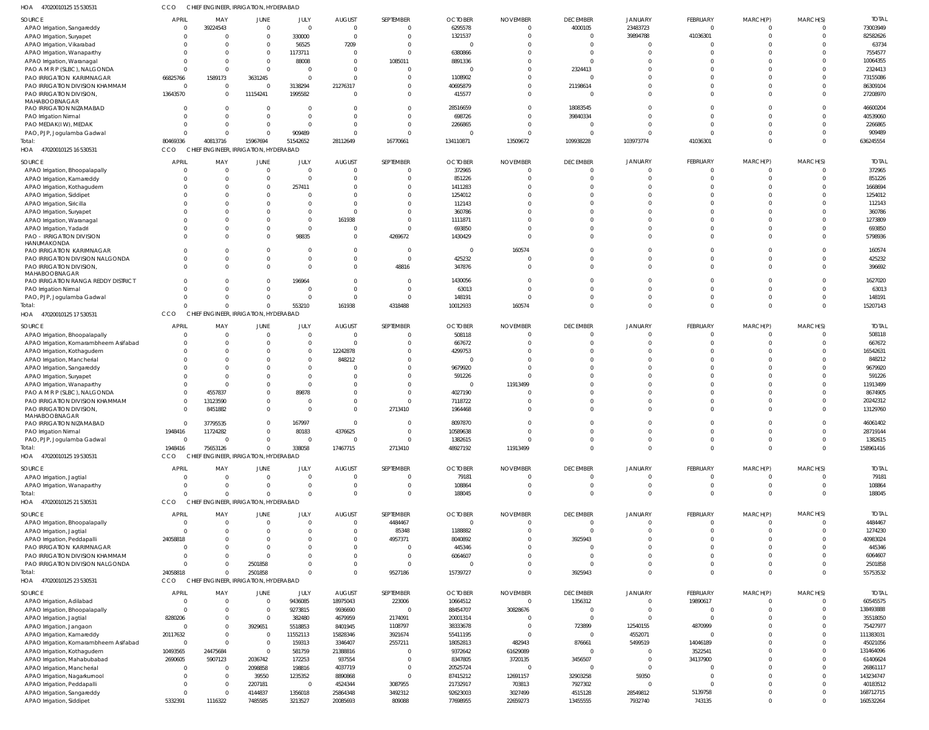| <b>SOURCE</b>                          | <b>APRIL</b>   | MAY                                   | JUNE           | JULY           | <b>AUGUST</b> | SEPTEMBER      | <b>OCTOBER</b> | <b>NOVEMBER</b> | <b>DECEMBER</b> | <b>JANUARY</b> | <b>FEBRUARY</b> | MARCH(P)     | MARCH(S)       | <b>TOTAL</b> |
|----------------------------------------|----------------|---------------------------------------|----------------|----------------|---------------|----------------|----------------|-----------------|-----------------|----------------|-----------------|--------------|----------------|--------------|
| APAO Irrigation, Sangareddy            | $\overline{0}$ | 39224543                              | $\mathbf{0}$   | $\overline{0}$ | $\Omega$      | $\mathbf 0$    | 6295578        | $\Omega$        | 4000105         | 23483723       | $\mathbf{0}$    | $\Omega$     | $\circ$        | 73003949     |
| APAO Irrigation, Suryapet              | $\Omega$       |                                       | $\Omega$       | 330000         | $\Omega$      | $\mathbf 0$    | 1321537        |                 | $\overline{0}$  | 39894788       | 41036301        | $\Omega$     | $\Omega$       | 82582626     |
|                                        |                |                                       |                |                |               |                |                |                 |                 |                |                 |              |                |              |
| APAO Irrigation, Vikarabad             | $\Omega$       |                                       | $\Omega$       | 56525          | 7209          | $\mathbf 0$    |                |                 | $\Omega$        | $\Omega$       |                 |              | $\Omega$       | 63734        |
| APAO Irrigation, Wanaparthy            | $\Omega$       |                                       | $\Omega$       | 1173711        | $\Omega$      | $\mathbf 0$    | 6380866        |                 | $\Omega$        | $\Omega$       | $\cap$          |              | $\Omega$       | 7554577      |
| APAO Irrigation, Waranagal             | $\Omega$       |                                       | $\Omega$       | 88008          | $\Omega$      | 1085011        | 8891336        |                 | $\Omega$        |                |                 |              | $\Omega$       | 10064355     |
| PAO A M R P (SLBC), NALGONDA           | $\Omega$       |                                       | $\Omega$       | $\Omega$       |               | $\overline{0}$ |                |                 | 2324413         | $\Omega$       |                 |              | $\Omega$       | 2324413      |
| PAO IRRIGATION KARIMNAGAR              | 66825766       | 1589173                               | 3631245        | $\overline{0}$ |               | $\mathbf 0$    | 1108902        |                 | $\Omega$        | $\cap$         | $\cap$          |              | $\Omega$       | 73155086     |
|                                        |                |                                       |                |                |               |                |                |                 |                 |                |                 |              |                |              |
| PAO IRRIGATION DIVISION KHAMMAM        | $\overline{0}$ |                                       | $\Omega$       | 3138294        | 21276317      | $\mathbf 0$    | 40695879       |                 | 21198614        | $\Omega$       | $\cap$          | $\cap$       | $\Omega$       | 86309104     |
| PAO IRRIGATION DIVISION,               | 13643570       |                                       | 11154241       | 1995582        |               | $\mathbf 0$    | 415577         |                 | $\Omega$        | $\Omega$       | $\Omega$        | $\Omega$     | $\Omega$       | 27208970     |
| MAHABOOBNAGAR                          |                |                                       |                |                |               |                |                |                 |                 |                |                 |              |                |              |
| PAO IRRIGATION NIZAMABAD               | $\Omega$       |                                       | $\Omega$       | $\Omega$       |               | $\mathbf 0$    | 28516659       |                 | 18083545        | $\Omega$       | $\cap$          | $\cap$       | $\Omega$       | 46600204     |
| PAO Irrigation Nirmal                  | $\Omega$       |                                       | $\Omega$       | $\overline{0}$ |               | $\mathbf 0$    | 698726         |                 | 39840334        | $\Omega$       |                 |              | $\Omega$       | 40539060     |
| PAO MEDAK(IW), MEDAK                   | 0              |                                       | 0              | $\Omega$       |               | $\mathbf 0$    | 2266865        |                 | $\overline{0}$  | $\Omega$       | $\Omega$        | $\cap$       | $\Omega$       | 2266865      |
|                                        | $\Omega$       |                                       | $\Omega$       | 909489         |               | $\Omega$       |                |                 | $\Omega$        | $\Omega$       | $\cap$          | $\cap$       | $\Omega$       | 909489       |
| PAO, PJP, Jogulamba Gadwal             |                |                                       |                |                |               |                |                |                 |                 |                |                 |              |                |              |
| Total:                                 | 80469336       | 40813716                              | 15967694       | 51542652       | 28112649      | 16770661       | 134110871      | 13509672        | 109938228       | 103973774      | 41036301        | $\Omega$     | $\Omega$       | 636245554    |
| HOA 47020010125 16 530531              | CCO            | CHIEF ENGINEER, IRRIGATION, HYDERABAD |                |                |               |                |                |                 |                 |                |                 |              |                |              |
|                                        |                |                                       |                |                |               |                |                |                 |                 |                |                 |              |                |              |
| SOURCE                                 | <b>APRIL</b>   | MAY                                   | JUNE           | JULY           | <b>AUGUST</b> | SEPTEMBER      | <b>OCTOBER</b> | <b>NOVEMBER</b> | <b>DECEMBER</b> | <b>JANUARY</b> | FEBRUARY        | MARCH(P)     | MARCH(S)       | <b>TOTAI</b> |
| APAO Irrigation, Bhoopalapally         | $\Omega$       | - 0                                   | $\Omega$       | $\mathbf 0$    | $\Omega$      | $\mathbf{0}$   | 372965         |                 | $\overline{0}$  | $\Omega$       | $\Omega$        | $\Omega$     | $\Omega$       | 372965       |
| APAO Irrigation, Kamareddy             | $\Omega$       |                                       | $\Omega$       | $\Omega$       | $\Omega$      | $\mathbf 0$    | 851226         |                 | $\Omega$        | $\Omega$       | $\Omega$        | $\Omega$     | $\Omega$       | 851226       |
| APAO Irrigation, Kothagudem            |                |                                       | $\Omega$       | 257411         |               | $\mathbf{0}$   | 1411283        |                 | $\Omega$        |                | $\cap$          |              | $\Omega$       | 1668694      |
|                                        |                |                                       |                |                |               |                |                |                 |                 |                |                 |              |                |              |
| APAO Irrigation, Siddipet              |                |                                       | $\Omega$       |                |               | $\Omega$       | 1254012        |                 | $\Omega$        | $\Omega$       |                 |              | $\Omega$       | 1254012      |
| APAO Irrigation, Siricilla             |                |                                       |                | $\Omega$       |               | $\Omega$       | 112143         |                 | $\Omega$        | $\Omega$       |                 |              | $\Omega$       | 112143       |
| APAO Irrigation, Suryapet              |                |                                       |                | $\Omega$       | $\Omega$      | $\mathbf 0$    | 360786         |                 | $\Omega$        | $\Omega$       |                 |              | $\Omega$       | 360786       |
| APAO Irrigation, Waranagal             |                |                                       |                | $\Omega$       | 161938        | $\Omega$       | 1111871        |                 | $\Omega$        | $\cap$         |                 |              | $\Omega$       | 1273809      |
|                                        |                |                                       |                |                |               |                |                |                 |                 |                |                 |              |                |              |
| APAO Irrigation, Yadadri               | $\Omega$       |                                       | <sup>0</sup>   | $\Omega$       | $\Omega$      | $\mathbf{0}$   | 693850         |                 | $\Omega$        | $\Omega$       |                 | $\Omega$     | $\Omega$       | 693850       |
| PAO - IRRIGATION DIVISION              | $\Omega$       |                                       | $\Omega$       | 98835          | $\Omega$      | 4269672        | 1430429        |                 | $\Omega$        | $\Omega$       | $\Omega$        | $\Omega$     | $\Omega$       | 5798936      |
| HANUMAKONDA                            |                |                                       |                |                |               |                |                |                 |                 |                |                 |              |                |              |
| PAO IRRIGATION KARIMNAGAR              | $\Omega$       |                                       | $\Omega$       |                | <sup>0</sup>  | $\overline{0}$ |                | 160574          | $\Omega$        | $\Omega$       | $\cap$          | $\cap$       | $\Omega$       | 160574       |
| PAO IRRIGATION DIVISION NALGONDA       | $\Omega$       |                                       |                | $\Omega$       | <sup>0</sup>  | $\mathbf{0}$   | 425232         |                 | $\Omega$        | $\Omega$       | $\Omega$        | $\Omega$     | $\Omega$       | 425232       |
|                                        |                |                                       |                |                |               |                |                |                 |                 |                |                 |              |                |              |
| PAO IRRIGATION DIVISION,               | $\Omega$       |                                       | $\Omega$       | $\Omega$       | $\Omega$      | 48816          | 347876         |                 | $\Omega$        | $\Omega$       | $\Omega$        | $\Omega$     | $\Omega$       | 396692       |
| MAHABOOBNAGAR                          |                |                                       |                |                |               |                |                |                 |                 |                |                 |              |                |              |
| PAO IRRIGATION RANGA REDDY DISTRICT    | $\Omega$       |                                       | $\Omega$       | 196964         |               | $\mathbf{0}$   | 1430056        |                 | $\Omega$        | $\Omega$       |                 |              | $\Omega$       | 1627020      |
| PAO Irrigation Nirmal                  | $\Omega$       |                                       | $\Omega$       | $\Omega$       | $\Omega$      | $\mathbf 0$    | 63013          |                 | $\Omega$        | $\Omega$       | $\cap$          | $\cap$       | $\Omega$       | 63013        |
| PAO, PJP, Jogulamba Gadwal             | $\Omega$       |                                       | $\Omega$       | $\overline{0}$ | $\Omega$      | $\mathbf 0$    | 148191         |                 | $\Omega$        | $\Omega$       | $\Omega$        | $\Omega$     | $\Omega$       | 148191       |
| Total:                                 | $\Omega$       |                                       | $\Omega$       | 553210         | 161938        | 4318488        | 10012933       | 160574          | $\Omega$        | $\Omega$       | $\Omega$        | $\Omega$     | $\Omega$       | 15207143     |
|                                        |                |                                       |                |                |               |                |                |                 |                 |                |                 |              |                |              |
| HOA 47020010125 17 530531              | <b>CCO</b>     | CHIEF ENGINEER, IRRIGATION, HYDERABAD |                |                |               |                |                |                 |                 |                |                 |              |                |              |
| SOURCE                                 | <b>APRIL</b>   | MAY                                   | JUNE           | JULY           | <b>AUGUST</b> | SEPTEMBER      | <b>OCTOBER</b> | <b>NOVEMBER</b> | <b>DECEMBER</b> | <b>JANUARY</b> | <b>FEBRUARY</b> |              | MARCH(S)       | <b>TOTAL</b> |
|                                        |                |                                       |                |                |               |                |                |                 |                 |                |                 | MARCH(P)     |                |              |
| APAO Irrigation, Bhoopalapally         | $\Omega$       |                                       | $\Omega$       | $\mathbf{0}$   | $\Omega$      | $\mathbf{0}$   | 508118         |                 | $\overline{0}$  | $\overline{0}$ | $\Omega$        | $\Omega$     | $\overline{0}$ | 508118       |
| APAO Irrigation, Komarambheem Asifabad | $\Omega$       |                                       |                | $\mathbf{0}$   |               | $\mathbf 0$    | 667672         |                 | $\Omega$        | $\Omega$       | $\Omega$        | $\Omega$     | $\Omega$       | 667672       |
| APAO Irrigation, Kothagudem            | $\Omega$       |                                       |                | $\mathbf 0$    | 12242878      | $\mathbf 0$    | 4299753        |                 | $\Omega$        | $\Omega$       | $\Omega$        |              | $\Omega$       | 16542631     |
|                                        | $\Omega$       |                                       |                | $\Omega$       |               | $\mathbf 0$    |                |                 | $\Omega$        | $\Omega$       |                 |              | $\Omega$       | 848212       |
| APAO Irrigation, Mancherial            |                |                                       |                |                | 848212        |                |                |                 |                 |                |                 |              |                |              |
| APAO Irrigation, Sangareddy            |                |                                       |                | $\Omega$       |               | $\mathbf 0$    | 9679920        |                 | $\Omega$        | $\Omega$       |                 |              | $\Omega$       | 9679920      |
| APAO Irrigation, Suryapet              | $\Omega$       |                                       |                | $\Omega$       |               | $\mathbf 0$    | 591226         |                 | $\cap$          | $\cap$         |                 |              | $\Omega$       | 591226       |
| APAO Irrigation, Wanaparthy            | $\Omega$       |                                       |                | $\Omega$       |               | $\mathbf 0$    |                | 11913499        |                 |                |                 |              | $\Omega$       | 11913499     |
|                                        | $\Omega$       |                                       |                |                |               |                |                |                 |                 | $\Omega$       |                 |              |                | 8674905      |
| PAO A M R P (SLBC), NALGONDA           |                | 4557837                               | 0              | 89878          |               | $\mathbf 0$    | 4027190        |                 | n               |                |                 |              | $\Omega$       |              |
| PAO IRRIGATION DIVISION KHAMMAM        | $\Omega$       | 13123590                              |                |                |               | $\mathbf 0$    | 7118722        |                 | $\Omega$        | $\Omega$       |                 |              | $\Omega$       | 20242312     |
| PAO IRRIGATION DIVISION,               | $\Omega$       | 8451882                               | $\Omega$       | $\Omega$       | <sup>0</sup>  | 2713410        | 1964468        |                 | $\Omega$        | $\Omega$       | $\Omega$        | $\Omega$     | $\Omega$       | 13129760     |
| MAHABOOBNAGAR                          |                |                                       |                |                |               |                |                |                 |                 |                |                 |              |                |              |
| PAO IRRIGATION NIZAMABAD               | $\sqrt{ }$     | 37795535                              | $\cap$         | 167997         |               | $\cap$         | 8097870        |                 |                 |                |                 |              | $\bigcap$      | 46061402     |
| PAO Irrigation Nirmal                  | 1948416        | 11724282                              | 0              | 80183          | 4376625       | $\overline{0}$ | 10589638       |                 | $\Omega$        | $\Omega$       | $\Omega$        | $\Omega$     | $\Omega$       | 28719144     |
|                                        |                |                                       |                |                |               |                |                |                 |                 |                |                 |              |                |              |
| PAO, PJP, Jogulamba Gadwal             | $\overline{0}$ |                                       | 0              | $\mathbf 0$    | $\mathbf{0}$  | $\overline{0}$ | 1382615        |                 | $\overline{0}$  | $\overline{0}$ | $\mathbf 0$     | $\Omega$     | $\overline{0}$ | 1382615      |
| Total:                                 | 1948416        | 75653126                              | $\Omega$       | 338058         | 17467715      | 2713410        | 48927192       | 11913499        | $\Omega$        | $\overline{0}$ | $\Omega$        | $\Omega$     | $\Omega$       | 158961416    |
| HOA 47020010125 19 530531              | CCO            | CHIEF ENGINEER, IRRIGATION, HYDERABAD |                |                |               |                |                |                 |                 |                |                 |              |                |              |
|                                        |                |                                       |                |                |               |                |                |                 |                 |                |                 |              |                |              |
| SOURCE                                 | <b>APRIL</b>   | MAY                                   | JUNE           | JULY           | <b>AUGUST</b> | SEPTEMBER      | <b>OCTOBER</b> | <b>NOVEMBER</b> | <b>DECEMBER</b> | <b>JANUARY</b> | <b>FEBRUARY</b> | MARCH(P)     | MARCH(S)       | <b>TOTAL</b> |
| APAO Irrigation, Jagtial               | $\overline{0}$ | $\Omega$                              | $\mathbf{0}$   | $\mathbf 0$    | $\Omega$      | $\mathbf 0$    | 79181          | $\Omega$        | $\overline{0}$  | $\overline{0}$ | $\Omega$        | - 0          | $\Omega$       | 79181        |
| APAO Irrigation, Wanaparthy            | $\Omega$       | - 0                                   | $\mathbf 0$    | $\mathbf{0}$   | $\Omega$      | $\mathbf 0$    | 108864         | $\Omega$        | $\overline{0}$  | $\overline{0}$ | $\mathbf{0}$    | $\mathbf{0}$ | $\overline{0}$ | 108864       |
|                                        |                |                                       |                |                |               |                |                |                 |                 |                |                 |              |                |              |
| Total:                                 | $\Omega$       |                                       | $\Omega$       | $\Omega$       | $\Omega$      | $\mathbf 0$    | 188045         | $\Omega$        | $\Omega$        | $\Omega$       | $\Omega$        | $\Omega$     | $\Omega$       | 188045       |
| HOA 47020010125 21 530531              | CCO            | CHIEF ENGINEER. IRRIGATION. HYDERABAD |                |                |               |                |                |                 |                 |                |                 |              |                |              |
|                                        |                |                                       |                |                |               |                |                |                 |                 |                |                 |              |                |              |
| SOURCE                                 | <b>APRIL</b>   | MAY                                   | JUNE           | JULY           | <b>AUGUST</b> | SEPTEMBER      | <b>OCTOBER</b> | <b>NOVEMBER</b> | <b>DECEMBER</b> | <b>JANUARY</b> | FEBRUARY        | MARCH(P)     | MARCH(S)       | <b>TOTAL</b> |
| APAO Irrigation, Bhoopalapally         | $\overline{0}$ | - 0                                   | $\mathbf{0}$   | $\mathbf 0$    | $\Omega$      | 4484467        | $\mathbf{0}$   | $\Omega$        | $\overline{0}$  | $\overline{0}$ | $\Omega$        | $\Omega$     | $\overline{0}$ | 4484467      |
| APAO Irrigation, Jagtial               | $\overline{0}$ |                                       | $\Omega$       | $\mathbf{0}$   | $\Omega$      | 85348          | 1188882        | <sup>0</sup>    | $\overline{0}$  | $\circ$        | $\Omega$        | $\Omega$     | $\overline{0}$ | 1274230      |
| APAO Irrigation, Peddapalli            | 24058818       |                                       |                | $\Omega$       | 0             | 4957371        | 8040892        |                 | 3925943         | $\overline{0}$ | $\Omega$        | $\Omega$     | $\Omega$       | 40983024     |
|                                        |                |                                       |                |                |               |                |                |                 |                 |                | $\Omega$        |              |                |              |
| PAO IRRIGATION KARIMNAGAR              | - 0            |                                       | 0              | $\Omega$       | <sup>0</sup>  | $\mathbf{0}$   | 445346         |                 | $\Omega$        | $\Omega$       |                 | $\Omega$     | $\Omega$       | 445346       |
| PAO IRRIGATION DIVISION KHAMMAM        | $\Omega$       |                                       | <sup>0</sup>   | $\Omega$       | <sup>0</sup>  | $\mathbf{0}$   | 6064607        |                 | $\circ$         | $\Omega$       | $\Omega$        | $\Omega$     | $\Omega$       | 6064607      |
| PAO IRRIGATION DIVISION NALGONDA       | $\circ$        |                                       | 2501858        | $\Omega$       | <sup>0</sup>  | $\mathbf{0}$   |                |                 | $\circ$         | $\Omega$       | $\Omega$        | $\Omega$     | $\overline{0}$ | 2501858      |
| Total:                                 | 24058818       |                                       | 2501858        | $\Omega$       | $\Omega$      | 9527186        | 15739727       | $\Omega$        | 3925943         | $\overline{0}$ | $\Omega$        | $\Omega$     | $\overline{0}$ | 55753532     |
|                                        |                |                                       |                |                |               |                |                |                 |                 |                |                 |              |                |              |
| HOA 47020010125 23 530531              | <b>CCO</b>     | CHIEF ENGINEER, IRRIGATION, HYDERABAD |                |                |               |                |                |                 |                 |                |                 |              |                |              |
| SOURCE                                 | <b>APRIL</b>   | MAY                                   | JUNE           | JULY           | <b>AUGUST</b> | SEPTEMBER      | <b>OCTOBER</b> | <b>NOVEMBER</b> | <b>DECEMBER</b> | <b>JANUARY</b> | <b>FEBRUARY</b> | MARCH(P)     | MARCH(S)       | <b>TOTAI</b> |
|                                        |                |                                       |                |                |               |                |                |                 |                 |                |                 |              |                |              |
| APAO Irrigation, Adilabad              | $\circ$        | $\Omega$                              | $\overline{0}$ | 9436085        | 18975043      | 223006         | 10664512       | $\Omega$        | 1356312         | $\overline{0}$ | 19890617        | $\Omega$     | $\overline{0}$ | 60545575     |
| APAO Irrigation, Bhoopalapally         | $\Omega$       | $\Omega$                              | $\overline{0}$ | 9273815        | 9936690       | $\overline{0}$ | 88454707       | 30828676        | $\overline{0}$  | $\circ$        | $\Omega$        | $\Omega$     | $\Omega$       | 138493888    |
| APAO Irrigation, Jagtial               | 8280206        |                                       | $\mathbf{0}$   | 382480         | 4679959       | 2174091        | 20001314       |                 | $\overline{0}$  | $\Omega$       | $\Omega$        | $\Omega$     | $\Omega$       | 35518050     |
|                                        | $\overline{0}$ |                                       |                |                |               |                |                |                 |                 |                |                 | $\Omega$     | $\Omega$       | 75427977     |
| APAO Irrigation, Jangaon               |                |                                       | 3929651        | 5518853        | 8401945       | 1108797        | 38333678       |                 | 723899          | 12540155       | 4870999         |              |                |              |
| APAO Irrigation, Kamareddy             | 20117632       |                                       | $\overline{0}$ | 11552113       | 15828346      | 3921674        | 55411195       |                 | $\overline{0}$  | 4552071        |                 | $\Omega$     | $\Omega$       | 111383031    |
| APAO Irrigation, Komarambheem Asifabad | $\overline{0}$ | $\Omega$                              | $\mathbf{0}$   | 159313         | 3346407       | 2557211        | 18052813       | 482943          | 876661          | 5499519        | 14046189        | $\cap$       | $\Omega$       | 45021056     |
| APAO Irrigation, Kothagudem            | 10493565       | 24475684                              | $\mathbf{0}$   | 581759         | 21388816      | $\overline{0}$ | 9372642        | 61629089        | $\overline{0}$  | - 0            | 3522541         |              |                | 131464096    |
|                                        |                |                                       |                |                |               |                |                |                 |                 |                |                 |              |                |              |
| APAO Irrigation, Mahabubabad           | 2690605        | 5907123                               | 2036742        | 172253         | 937554        | $\mathbf 0$    | 8347805        | 3720135         | 3456507         | $\overline{0}$ | 34137900        |              | n              | 61406624     |
| APAO Irrigation, Mancherial            | $\circ$        | - 0                                   | 2098858        | 198816         | 4037719       | $\mathbf 0$    | 20525724       |                 | $\overline{0}$  | $\Omega$       |                 | $\Omega$     | n              | 26861117     |
| APAO Irrigation, Nagarkurnool          | $\Omega$       | $\Omega$                              | 39550          | 1235352        | 8890868       | $\mathbf{0}$   | 87415212       | 12691157        | 32903258        | 59350          | $\Omega$        | $\Omega$     | $\Omega$       | 143234747    |
| APAO Irrigation, Peddapalli            | $\Omega$       | - 0                                   | 2207181        | $\overline{0}$ | 4524344       | 3087955        | 21732917       | 703813          | 7927302         | $\overline{0}$ | $\Omega$        | $\Omega$     | $\Omega$       | 40183512     |
|                                        |                |                                       |                |                |               |                |                |                 |                 |                |                 |              |                |              |
| APAO Irrigation, Sangareddy            | $\Omega$       |                                       | 4144837        | 1356018        | 25864348      | 3492312        | 92623003       | 3027499         | 4515128         | 28549812       | 5139758         | $\Omega$     | $\Omega$       | 168712715    |
| APAO Irrigation, Siddipet              | 5332391        | 1116322                               | 7485585        | 3213527        | 20085693      | 809088         | 77698955       | 22659273        | 13455555        | 7932740        | 743135          | $\Omega$     | $\overline{0}$ | 160532264    |

47020010125 15 530531 HOA CCO CHIEF ENGINEER, IRRIGATION, HYDERABAD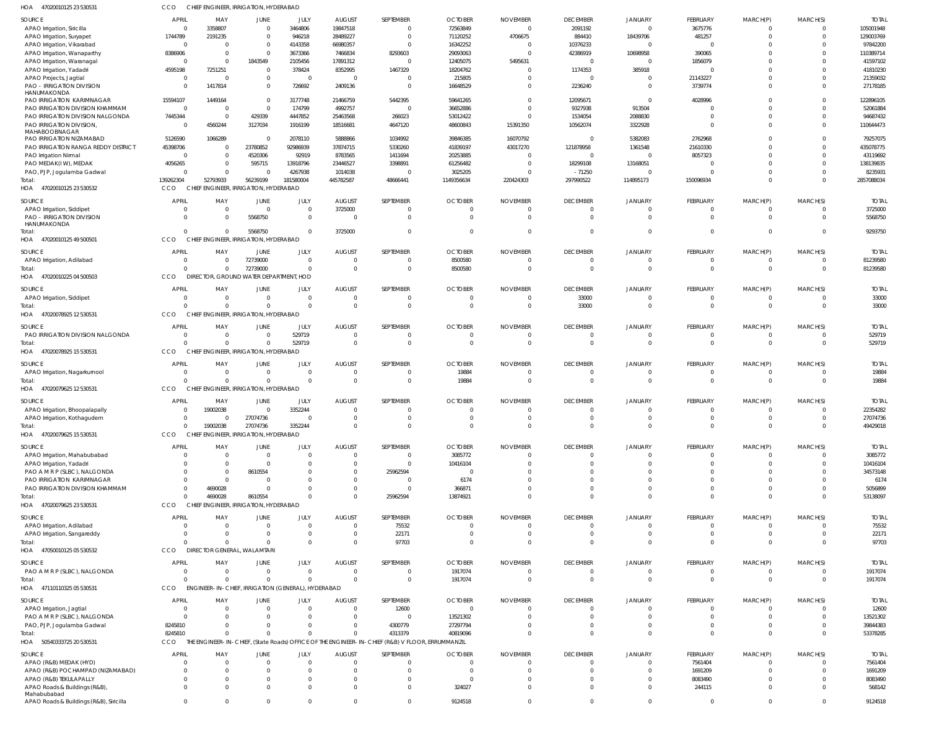| HOA<br>47020010125 23 530531                             | CCO                          | CHIEF ENGINEER, IRRIGATION, HYDERABAD              |                      |                                |                        |                                                                                                 |                       |                 |                                |                          |                                |                               |                            |                        |
|----------------------------------------------------------|------------------------------|----------------------------------------------------|----------------------|--------------------------------|------------------------|-------------------------------------------------------------------------------------------------|-----------------------|-----------------|--------------------------------|--------------------------|--------------------------------|-------------------------------|----------------------------|------------------------|
| SOURCE                                                   | <b>APRIL</b>                 | MAY                                                | JUNE                 | JULY                           | <b>AUGUST</b>          | SEPTEMBER                                                                                       | <b>OCTOBER</b>        | <b>NOVEMBER</b> | <b>DECEMBER</b>                | <b>JANUARY</b>           | FEBRUARY                       | MARCH(P)                      | MARCH(S)                   | <b>TOTA</b>            |
| APAO Irrigation, Siricilla                               | $\overline{0}$               | 3358807                                            | $\Omega$             | 3464806                        | 19847518               | $\mathbf{0}$                                                                                    | 72563849              | $\Omega$        | 2091192                        | $\mathbf{0}$             | 3675776                        | 0                             | $\Omega$                   | 105001948              |
| APAO Irrigation, Suryapet                                | 1744789                      | 2191235                                            | $\Omega$             | 946218                         | 28489227               | $\mathbf 0$                                                                                     | 71120252              | 4706675         | 884410                         | 18439706                 | 481257                         | $\mathbf 0$                   | $\Omega$                   | 129003769              |
| APAO Irrigation, Vikarabad                               | $\Omega$                     | $\Omega$                                           | $\Omega$             | 4143358                        | 66980357               | $\Omega$                                                                                        | 16342252              |                 | 10376233                       | $\Omega$                 | $\mathbf 0$                    | $\Omega$                      |                            | 97842200               |
| APAO Irrigation, Wanaparthy                              | 8386906                      | $\overline{0}$                                     | $\Omega$             | 3673366                        | 7466834                | 8293603                                                                                         | 29093063              |                 | 42386919                       | 10698958                 | 390065                         | $\Omega$                      |                            | 110389714              |
| APAO Irrigation, Waranagal<br>APAO Irrigation, Yadadri   | $\overline{0}$<br>4595198    | $\overline{0}$<br>7251251                          | 1843549<br>$\Omega$  | 2105456<br>378424              | 17891312<br>8352995    | $\overline{0}$<br>1467329                                                                       | 12405075<br>18204762  | 5495631         | $\overline{0}$<br>1174353      | 385918                   | 1856079<br>$\Omega$            | $\Omega$<br>$\Omega$          |                            | 41597102<br>41810230   |
| APAO Projects, Jagtial                                   | $\overline{0}$               | $\overline{0}$                                     | $\Omega$             | $\overline{0}$                 | $\Omega$               | $\overline{0}$                                                                                  | 215805                |                 | $\overline{0}$                 |                          | 21143227                       | $\mathbf 0$                   |                            | 21359032               |
| <b>PAO - IRRIGATION DIVISION</b><br>HANUMAKONDA          |                              | 1417814                                            | $\Omega$             | 726692                         | 2409136                | $\mathbf{0}$                                                                                    | 16648529              |                 | 2236240                        | $\Omega$                 | 3739774                        | $\Omega$                      |                            | 27178185               |
| PAO IRRIGATION KARIMNAGAR                                | 15594107                     | 1449164                                            | $\Omega$             | 3177748                        | 21466759               | 5442395                                                                                         | 59641265              |                 | 12095671                       | $\Omega$                 | 4028996                        | $\Omega$                      |                            | 122896105              |
| PAO IRRIGATION DIVISION KHAMMAM                          | $\overline{0}$               | $\overline{0}$                                     | $\Omega$             | 174799                         | 4992757                | $\overline{0}$                                                                                  | 36652886              |                 | 9327938                        | 913504                   | 0                              | $\Omega$                      | $\Omega$                   | 52061884               |
| PAO IRRIGATION DIVISION NALGONDA                         | 7445344                      | $\overline{0}$                                     | 429339               | 4447852                        | 25463568               | 266023                                                                                          | 53012422              |                 | 1534054                        | 2088830                  | $\mathbf 0$                    | $\mathbf 0$                   |                            | 94687432               |
| PAO IRRIGATION DIVISION<br>MAHABOOBNAGAR                 | $\Omega$                     | 4560244                                            | 3127034              | 1916199                        | 18516681               | 4647120                                                                                         | 48600843              | 15391350        | 10562074                       | 3322928                  | $\mathbf 0$                    | $\mathbf 0$                   | $\Omega$                   | 110644473              |
| PAO IRRIGATION NIZAMABAD                                 | 5126590                      | 1066289                                            | $\Omega$             | 2078110                        | 5888866                | 1034992                                                                                         | 39846385              | 16070792        | $\Omega$                       | 5382083                  | 2762968                        | 0                             |                            | 79257075               |
| PAO IRRIGATION RANGA REDDY DISTRICT                      | 45398706                     | 0                                                  | 23780852             | 92986939                       | 37874715               | 5330260                                                                                         | 41839197              | 43017270        | 121878958                      | 1361548                  | 21610330                       | $\Omega$                      | $\Omega$                   | 435078775              |
| PAO Irrigation Nirmal                                    | $\Omega$                     | 0                                                  | 4520306              | 92919                          | 8783565                | 1411694                                                                                         | 20253885              |                 | $\overline{0}$                 | $\Omega$                 | 8057323                        | $\Omega$                      |                            | 43119692               |
| PAO MEDAK(IW), MEDAK                                     | 4056265<br>$\Omega$          | 0<br>$\Omega$                                      | 595715<br>$\Omega$   | 13918796<br>4267938            | 23446527<br>1014038    | 3398891<br>$\overline{0}$                                                                       | 61256482<br>3025205   | $\sqrt{ }$      | 18299108<br>$-71250$           | 13168051                 | 0<br>$\Omega$                  | $\Omega$<br>$\mathbf 0$       | $\Omega$                   | 138139835<br>8235931   |
| PAO, PJP, Jogulamba Gadwal<br>Total:                     | 139262304                    | 52793933                                           | 56239199             | 181580004                      | 445782587              | 48666441                                                                                        | 1149356634            | 220424303       | 297990522                      | 114895173                | 150096934                      | $\mathbf 0$                   | $\Omega$                   | 2857088034             |
| HOA<br>47020010125 23 530532                             | CCO                          | CHIEF ENGINEER, IRRIGATION, HYDERABAD              |                      |                                |                        |                                                                                                 |                       |                 |                                |                          |                                |                               |                            |                        |
| SOURCE                                                   | <b>APRIL</b>                 | MAY                                                | JUNE                 | JULY                           | <b>AUGUST</b>          | SEPTEMBER                                                                                       | <b>OCTOBER</b>        | <b>NOVEMBER</b> | <b>DECEMBER</b>                | <b>JANUARY</b>           | FEBRUARY                       | MARCH(P)                      | MARCH(S)                   | <b>TOTAL</b>           |
| APAO Irrigation, Siddipet                                | $\mathbf{0}$                 | $\overline{0}$                                     | $\Omega$             | $\overline{0}$                 | 3725000                | $\mathbf{0}$                                                                                    |                       |                 | $\mathbf{0}$                   | $\mathbf{0}$             | $\overline{0}$                 | $\mathbf 0$                   | $\overline{0}$             | 3725000                |
| PAO - IRRIGATION DIVISION<br>HANUMAKONDA                 | $\Omega$                     | $\Omega$                                           | 5568750              | $\overline{0}$                 |                        | $\mathbf 0$                                                                                     |                       |                 | $\Omega$                       | $\Omega$                 | $\mathbf{0}$                   | $\mathbf{0}$                  | $\Omega$                   | 5568750                |
| Total:                                                   | $\Omega$                     | $\Omega$                                           | 5568750              | $\Omega$                       | 3725000                | $\mathbf 0$                                                                                     |                       |                 | $\Omega$                       | $\Omega$                 | $\mathbf 0$                    | $\overline{0}$                | $\Omega$                   | 9293750                |
| HOA 47020010125 49 500501                                | CCO                          | CHIEF ENGINEER, IRRIGATION, HYDERABAD              |                      |                                |                        |                                                                                                 |                       |                 |                                |                          |                                |                               |                            |                        |
| SOURCE                                                   | <b>APRIL</b>                 | MAY                                                | JUNE                 | JULY                           | <b>AUGUST</b>          | SEPTEMBER                                                                                       | <b>OCTOBER</b>        | <b>NOVEMBER</b> | <b>DECEMBER</b>                | <b>JANUARY</b>           | FEBRUARY                       | MARCH(P)                      | MARCH(S)                   | <b>TOTAI</b>           |
| APAO Irrigation, Adilabad                                | $\Omega$                     | $\Omega$                                           | 72739000             | $\Omega$                       | - 0                    | 0                                                                                               | 8500580               | - 0             | $\mathbf{0}$                   | $\Omega$                 | $\overline{0}$                 | $\overline{0}$                | 0                          | 81239580               |
| Total:<br>HOA<br>47020010225 04 500503                   | $\Omega$<br>CCO              | $\Omega$<br>DIRECTOR, GROUND WATER DEPARTMENT, HOD | 72739000             | $\Omega$                       | $\Omega$               | $\mathbf 0$                                                                                     | 8500580               | $\Omega$        | $\overline{0}$                 | $\Omega$                 | $\mathbf{0}$                   | $\overline{0}$                | $\overline{0}$             | 81239580               |
|                                                          |                              |                                                    |                      |                                |                        |                                                                                                 |                       |                 |                                |                          |                                |                               |                            |                        |
| SOURCE                                                   | <b>APRIL</b>                 | MAY                                                | JUNE                 | JULY                           | <b>AUGUST</b>          | SEPTEMBER                                                                                       | <b>OCTOBER</b>        | <b>NOVEMBER</b> | <b>DECEMBER</b>                | <b>JANUARY</b>           | FEBRUARY                       | MARCH(P)                      | MARCH(S)                   | <b>TOTAL</b>           |
| APAO Irrigation, Siddipet<br>Total:                      | $\overline{0}$<br>$\Omega$   | $\overline{0}$<br>$\sqrt{2}$                       | $\Omega$             | $\overline{0}$<br>$\mathbf{0}$ | $\Omega$<br>$\sqrt{ }$ | $\mathbf{0}$<br>$\mathbf 0$                                                                     | - 0<br>$\Omega$       | - 0             | 33000<br>33000                 | $\mathbf{0}$<br>$\Omega$ | $\overline{0}$<br>$\mathbf{0}$ | $\mathbf 0$<br>$\overline{0}$ | $\Omega$<br>$\Omega$       | 33000<br>33000         |
| HOA<br>47020078925 12 530531                             | CCO                          | CHIEF ENGINEER, IRRIGATION, HYDERABAD              |                      |                                |                        |                                                                                                 |                       |                 |                                |                          |                                |                               |                            |                        |
|                                                          |                              |                                                    |                      |                                |                        |                                                                                                 |                       |                 |                                |                          |                                |                               |                            |                        |
| SOURCE<br>PAO IRRIGATION DIVISION NALGONDA               | <b>APRIL</b><br>$\mathbf{0}$ | MAY<br>$\overline{0}$                              | JUNE<br>$\Omega$     | JULY<br>529719                 | <b>AUGUST</b><br>- 0   | SEPTEMBER<br>$\Omega$                                                                           | <b>OCTOBER</b><br>- 0 | <b>NOVEMBER</b> | <b>DECEMBER</b><br>0           | <b>JANUARY</b>           | FEBRUARY<br>0                  | MARCH(P)<br>0                 | MARCH(S)<br>$\Omega$       | <b>TOTAL</b><br>529719 |
| Total:                                                   | $\Omega$                     | $\Omega$                                           | $\Omega$             | 529719                         | $\Omega$               | $\mathbf 0$                                                                                     | $\Omega$              | $\Omega$        | $\Omega$                       | $\Omega$                 | $\mathbf{0}$                   | $\overline{0}$                | $\Omega$                   | 529719                 |
| HOA 47020078925 15 530531                                | CCO                          | CHIEF ENGINEER, IRRIGATION, HYDERABAD              |                      |                                |                        |                                                                                                 |                       |                 |                                |                          |                                |                               |                            |                        |
| SOURCE                                                   | <b>APRIL</b>                 | MAY                                                | JUNE                 | JULY                           | <b>AUGUST</b>          | SEPTEMBER                                                                                       | <b>OCTOBER</b>        | <b>NOVEMBER</b> | <b>DECEMBER</b>                | <b>JANUARY</b>           | FEBRUARY                       | MARCH(P)                      | MARCH(S)                   | <b>TOTAL</b>           |
| APAO Irrigation, Nagarkurnool                            | $\mathbf{0}$                 | $\overline{0}$                                     | $\Omega$             | $\overline{0}$                 | - 0                    | $\overline{0}$                                                                                  | 19884                 |                 | $\mathbf{0}$                   | $\mathbf{0}$             | $\overline{0}$                 | $\overline{0}$                | $\Omega$                   | 19884                  |
| Total:                                                   | $\Omega$                     | $\Omega$                                           | $\Omega$             | $\Omega$                       | $\Omega$               | $\mathbf 0$                                                                                     | 19884                 |                 | $\overline{0}$                 | $\Omega$                 | $\mathbf{0}$                   | $\overline{0}$                | $\overline{0}$             | 19884                  |
| HOA 47020079625 12 530531                                | CCO                          | CHIEF ENGINEER, IRRIGATION, HYDERABAD              |                      |                                |                        |                                                                                                 |                       |                 |                                |                          |                                |                               |                            |                        |
| <b>SOURCE</b>                                            | <b>APRIL</b>                 | MAY                                                | JUNE                 | JULY                           | <b>AUGUST</b>          | SEPTEMBER                                                                                       | <b>OCTOBER</b>        | <b>NOVEMBER</b> | <b>DECEMBER</b>                | <b>JANUARY</b>           | FEBRUARY                       | MARCH(P)                      | MARCH(S)                   | <b>TOTAI</b>           |
| APAO Irrigation, Bhoopalapally                           | $\overline{0}$               | 19002038                                           | $\Omega$             | 3352244                        | $\Omega$               | $\Omega$                                                                                        | $\Omega$              | $\cap$          | $\Omega$                       | $\Omega$                 | $\mathbf 0$                    | $\Omega$                      | $\Omega$                   | 22354282               |
| APAO Irrigation, Kothagudem                              | $\mathbf 0$                  | $\mathbf 0$                                        | 27074736             | $\overline{0}$                 | $\overline{0}$         | $\Omega$                                                                                        |                       |                 | $\mathbf{0}$                   |                          | $\Omega$                       | $\mathbf 0$                   | $^{\circ}$                 | 27074736               |
| Total:                                                   |                              | 19002038<br>$\Omega$                               | 27074736             | 3352244                        | $\Omega$               | $\mathbf 0$                                                                                     | $\Omega$              | - 0             | $\mathbf{0}$                   | $\Omega$                 | $\mathbf{0}$                   | $\mathbf 0$                   | $\Omega$                   | 49429018               |
| HOA<br>47020079625 15 530531                             | CCO                          | CHIEF ENGINEER, IRRIGATION, HYDERABAD              |                      |                                |                        |                                                                                                 |                       |                 |                                |                          |                                |                               |                            |                        |
| SOURCE                                                   | <b>APRIL</b>                 | MAY                                                | JUNE                 | JULY                           | <b>AUGUST</b>          | SEPTEMBER                                                                                       | <b>OCTOBER</b>        | <b>NOVEMBER</b> | <b>DECEMBER</b>                | <b>JANUARY</b>           | FEBRUARY                       | MARCH(P)                      | MARCH(S)                   | <b>TOTAL</b>           |
| APAO Irrigation, Mahabubabad                             | $\Omega$                     | $\overline{0}$                                     | - 0                  | $\Omega$                       |                        | $\mathbf{0}$                                                                                    | 3085772               |                 | $\Omega$                       | 0                        | 0                              | 0                             |                            | 3085772                |
| APAO Irrigation, Yadadri                                 |                              | $\Omega$                                           |                      | $\Omega$                       |                        | $\mathbf 0$                                                                                     | 10416104              |                 | $\Omega$                       |                          | $\mathbf 0$                    | $\mathbf 0$                   |                            | 10416104               |
| PAO A M R P (SLBC), NALGONDA                             |                              | $\Omega$                                           | 8610554              | $\Omega$                       |                        | 25962594                                                                                        |                       |                 |                                |                          | $\mathbf 0$                    | 0                             |                            | 34573148               |
| PAO IRRIGATION KARIMNAGAR                                |                              | 0                                                  |                      |                                |                        | $\mathbf{0}$                                                                                    | 6174                  |                 |                                | $\Omega$                 | $\mathbf 0$                    | $\mathbf 0$                   |                            | 6174                   |
| PAO IRRIGATION DIVISION KHAMMAM                          | $\Omega$                     | 4690028                                            |                      | <sup>0</sup>                   |                        | $\mathbf{0}$                                                                                    | 366871                |                 |                                | $\Omega$                 | $\mathbf 0$                    | $\mathbf 0$                   |                            | 5056899                |
| Total:<br>HOA 47020079625 23 530531                      | $\Omega$                     | 4690028                                            | 8610554              | $\Omega$                       |                        | 25962594                                                                                        | 13874921              |                 | $\Omega$                       | $\Omega$                 | $\mathbf 0$                    | $\mathbf 0$                   | $\Omega$                   | 53138097               |
|                                                          | CCO                          | CHIEF ENGINEER, IRRIGATION, HYDERABAD              |                      |                                |                        |                                                                                                 |                       |                 |                                |                          |                                |                               |                            |                        |
| <b>SOURCE</b>                                            | <b>APRIL</b>                 | MAY                                                | JUNE                 | JULY                           | <b>AUGUST</b>          | SEPTEMBER                                                                                       | <b>OCTOBER</b>        | <b>NOVEMBER</b> | <b>DECEMBER</b>                | JANUARY                  | FEBRUARY                       | MARCH(P)                      | MARCH(S)                   | <b>TOTAL</b>           |
| APAO Irrigation, Adilabad                                | $\Omega$                     | 0                                                  |                      | $\Omega$                       | - 0                    | 75532                                                                                           | - 0                   |                 | $\Omega$                       | $\Omega$                 | 0                              | 0                             |                            | 75532                  |
| APAO Irrigation, Sangareddy<br>Total:                    | $\Omega$<br>$\Omega$         | $\Omega$<br>$\Omega$                               | $\Omega$<br>$\Omega$ | $\Omega$<br>$\Omega$           | $\Omega$<br>$\Omega$   | 22171<br>97703                                                                                  | $\Omega$              | - 0             | $\Omega$<br>$\Omega$           | $\Omega$<br>$\Omega$     | $\mathbf 0$<br>$\mathbf 0$     | $\mathbf 0$<br>$\mathbf 0$    | $\Omega$<br>$\Omega$       | 22171<br>97703         |
| HOA 47050010125 05 530532                                | CCO                          | <b>DIRECTOR GENERAL, WALAMTARI</b>                 |                      |                                |                        |                                                                                                 |                       |                 |                                |                          |                                |                               |                            |                        |
|                                                          |                              |                                                    |                      |                                |                        |                                                                                                 |                       |                 |                                |                          |                                |                               |                            |                        |
| SOURCE                                                   | <b>APRIL</b>                 | MAY                                                | <b>JUNE</b>          | <b>JULY</b>                    | <b>AUGUST</b>          | SEPTEMBER                                                                                       | <b>OCTOBER</b>        | <b>NOVEMBER</b> | <b>DECEMBER</b>                | JANUARY                  | FEBRUARY                       | MARCH(P)                      | MARCH(S)                   | <b>TOTAL</b>           |
| PAO A M R P (SLBC), NALGONDA<br>Total:                   | $\overline{0}$<br>$\Omega$   | $\overline{0}$<br>$\Omega$                         | $\Omega$<br>$\Omega$ | $\overline{0}$<br>$\mathbf{0}$ | $\sqrt{ }$             | $\mathbf{0}$<br>$\mathbf{0}$                                                                    | 1917074<br>1917074    |                 | $\mathbf{0}$<br>$\overline{0}$ | $\Omega$<br>$\Omega$     | $\mathbf 0$<br>$\mathbf{0}$    | $\mathbf 0$<br>$\overline{0}$ | $\Omega$<br>$\overline{0}$ | 1917074<br>1917074     |
| HOA 47110110325 05 530531                                | CCO                          | ENGINEER-IN-CHIEF, IRRIGATION (GENERAL), HYDERABAD |                      |                                |                        |                                                                                                 |                       |                 |                                |                          |                                |                               |                            |                        |
|                                                          |                              |                                                    |                      |                                |                        |                                                                                                 |                       |                 |                                |                          |                                |                               |                            |                        |
| SOURCE                                                   | <b>APRIL</b>                 | MAY                                                | JUNE                 | JULY                           | <b>AUGUST</b>          | SEPTEMBER                                                                                       | <b>OCTOBER</b>        | <b>NOVEMBER</b> | <b>DECEMBER</b>                | JANUARY                  | FEBRUARY                       | MARCH(P)                      | MARCH(S)                   | <b>TOTAI</b>           |
| APAO Irrigation, Jagtial<br>PAO A M R P (SLBC), NALGONDA | $\Omega$                     | $\Omega$<br>$\Omega$                               |                      | $\Omega$<br>$\Omega$           | - 0<br>$\Omega$        | 12600<br>$\mathbf{0}$                                                                           | $\Omega$<br>13521302  |                 | $\Omega$                       | $\Omega$<br>$\Omega$     | 0<br>$\mathbf 0$               | 0<br>$\mathbf 0$              |                            | 12600<br>13521302      |
| PAO, PJP, Jogulamba Gadwal                               | 8245810                      | $\Omega$                                           |                      | $\Omega$                       |                        | 4300779                                                                                         | 27297794              |                 |                                |                          | $\mathbf 0$                    | $\mathbf 0$                   |                            | 39844383               |
| Total:                                                   | 8245810                      | $\Omega$                                           |                      | $\Omega$                       |                        | 4313379                                                                                         | 40819096              |                 | $\Omega$                       | $\Omega$                 | $\mathbf 0$                    | $\mathbf 0$                   | $\Omega$                   | 53378285               |
| HOA 50540333725 20 530531                                | CCO                          |                                                    |                      |                                |                        | THE ENGINEER-IN-CHIEF, (State Roads) OFFICE OF THE ENGINEER-IN-CHIEF (R&B) V FLOOR, ERRUMMANZIL |                       |                 |                                |                          |                                |                               |                            |                        |
| SOURCE                                                   | <b>APRIL</b>                 | MAY                                                | JUNE                 | JULY                           | <b>AUGUST</b>          | SEPTEMBER                                                                                       | <b>OCTOBER</b>        | <b>NOVEMBER</b> | <b>DECEMBER</b>                | JANUARY                  | FEBRUARY                       | MARCH(P)                      | MARCH(S)                   | <b>TOTAL</b>           |
| APAO (R&B) MEDAK (HYD)                                   | $\Omega$                     | $\Omega$                                           |                      | $\Omega$                       |                        | $\mathbf{0}$                                                                                    | $\sqrt{ }$            |                 | $\Omega$                       | $\Omega$                 | 7561404                        | $\mathbf 0$                   | $\Omega$                   | 7561404                |
| APAO (R&B) POCHAMPAD (NIZAMABAD)                         |                              | $\Omega$                                           |                      | $\Omega$                       |                        | $\mathbf{0}$                                                                                    | - 0                   |                 | $\Omega$                       | $\Omega$                 | 1691209                        | $\mathbf 0$                   | $\Omega$                   | 1691209                |
| APAO (R&B) TEKULAPALLY                                   |                              | $\Omega$                                           |                      | $\Omega$                       |                        | $\mathbf{0}$                                                                                    | - 0                   |                 |                                | $\Omega$                 | 8083490                        | $\mathbf 0$                   |                            | 8083490                |
| APAO Roads & Buildings (R&B),                            | $\Omega$                     | $\Omega$                                           |                      | $\Omega$                       |                        | $\mathbf{0}$                                                                                    | 324027                |                 |                                | $\Omega$                 | 244115                         | $\Omega$                      |                            | 568142                 |
| Mahabubabad<br>APAO Roads & Buildings (R&B), Siricilla   | $\mathbf 0$                  | 0                                                  | $\Omega$             | $\overline{0}$                 | $\Omega$               | $\mathbf 0$                                                                                     | 9124518               | $\Omega$        | $\mathbf 0$                    | $\mathbf 0$              | $\mathbf 0$                    | $\mathbf{0}$                  | $\mathbf 0$                | 9124518                |
|                                                          |                              |                                                    |                      |                                |                        |                                                                                                 |                       |                 |                                |                          |                                |                               |                            |                        |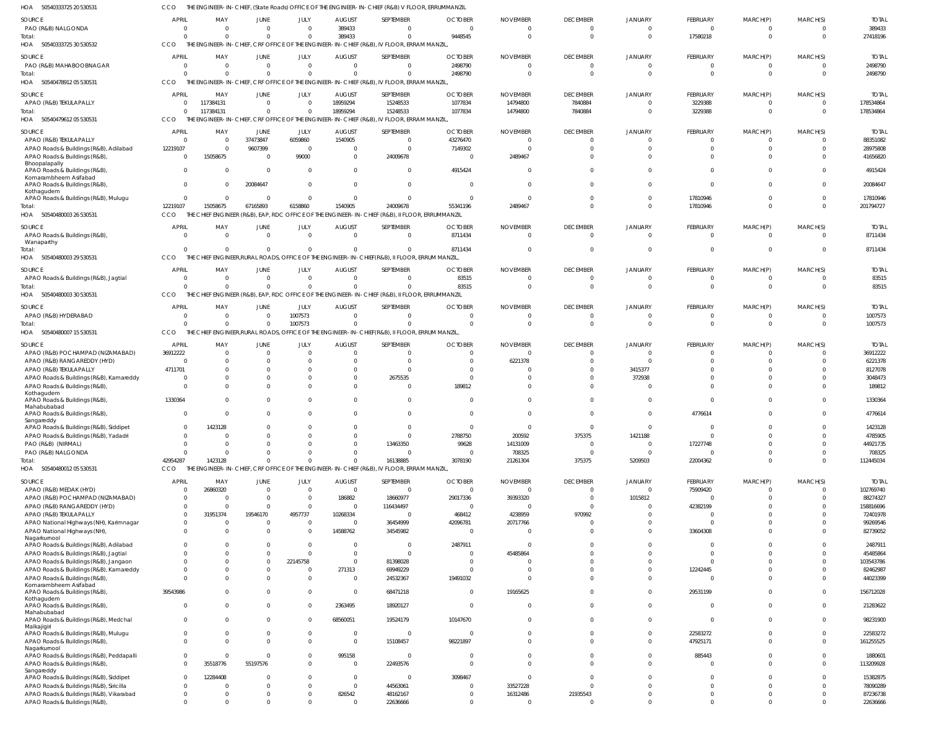50540333725 20 530531 50540333725 30 530532 50540478912 05 530531 50540479612 05 530531 HOA 50540480003 26 530531 50540480003 29 530531 50540480003 30 530531 50540480007 15 530531 50540480012 05 530531 HOA HOA HOA HOA HOA HOA HOA HOA THE ENGINEER-IN-CHIEF, (State Roads) OFFICE OF THE ENGINEER-IN-CHIEF (R&B) V FLOOR, ERRUMMANZIL THE ENGINEER-IN-CHIEF, CRF OFFICE OF THE ENGINEER-IN-CHIEF (R&B), IV FLOOR, ERRAM MANZIL, THE ENGINEER-IN-CHIEF, CRF OFFICE OF THE ENGINEER-IN-CHIEF (R&B), IV FLOOR, ERRAM MANZIL THE ENGINEER-IN-CHIEF, CRF OFFICE OF THE ENGINEER-IN-CHIEF (R&B), IV FLOOR, ERRAM MANZIL, THE CHIEF ENGINEER (R&B), EAP, RDC OFFICE OF THE ENGINEER-IN-CHIEF (R&B), II FLOOR, ERRUMMANZIL THE CHIEF ENGINEER,RURAL ROADS, OFFICE OF THE ENGINEER-IN-CHIEF(R&B), II FLOOR, ERRUM MANZIL, THE CHIEF ENGINEER (R&B), EAP, RDC OFFICE OF THE ENGINEER-IN-CHIEF (R&B), II FLOOR, ERRUMMANZIL THE CHIEF ENGINEER,RURAL ROADS, OFFICE OF THE ENGINEER-IN-CHIEF(R&B), II FLOOR, ERRUM MANZIL, THE ENGINEER-IN-CHIEF, CRF OFFICE OF THE ENGINEER-IN-CHIEF (R&B), IV FLOOR, ERRAM MANZIL, CCO CCO. **CCO** CCO **CCO CCO CCO CCO CCO** 0 0  $\theta$ 12219107  $\Omega$ 0  $\Omega$ 42954287 0 0 117384131 15058675 0 0 0 1423128 0 0  $\Omega$ 67165893  $\Omega$ 0 0  $\Omega$ 0 0  $\Omega$ 6158860 0 0 1007573  $\sqrt{2}$ 389433 0 18959294 1540905  $\Omega$ 0 0  $\Omega$ 0 0 15248533 24009678 0 0  $\Omega$ 16138885 9448545 2498790 1077834 55341196 8711434 83515 0 3078190 0 0 14794800 2489467  $\Omega$ 0 0 21261304 0 0 7840884 0  $\Omega$ 0  $\Omega$ 375375 0 0 0 0  $\Omega$ 0  $\Omega$ 5209503 17580218 0 3229388 17810946  $\Omega$ 0 0 22004362 0 0 0 0  $\Omega$ 0  $\Omega$  $\Omega$ 0 0  $\Omega$ 0  $\Omega$ 0 0  $\Omega$ 27418196 2498790 178534864 201794727 8711434 83515 1007573 112445034 PAO (R&B) NALGONDA PAO (R&B) MAHABOOBNAGAR APAO (R&B) TEKULAPALLY APAO (R&B) TEKULAPALLY APAO Roads & Buildings (R&B), Adilabad APAO Roads & Buildings (R&B), Bhoopalapally APAO Roads & Buildings (R&B), Komarambheem Asifabad APAO Roads & Buildings (R&B), Kothagudem APAO Roads & Buildings (R&B), Mulugu APAO Roads & Buildings (R&B), Wanaparthy APAO Roads & Buildings (R&B), Jagtial APAO (R&B) HYDERABAD APAO (R&B) POCHAMPAD (NIZAMABAD) APAO (R&B) RANGAREDDY (HYD) APAO (R&B) TEKULAPALLY APAO Roads & Buildings (R&B), Kamareddy APAO Roads & Buildings (R&B), Kothagudem APAO Roads & Buildings (R&B), Mahabubabad APAO Roads & Buildings (R&B), Sangareddy APAO Roads & Buildings (R&B), Siddipet APAO Roads & Buildings (R&B), Yadadri PAO (R&B) (NIRMAL) PAO (R&B) NALGONDA APAO (R&B) MEDAK (HYD) APAO (R&B) POCHAMPAD (NIZAMABAD) APAO (R&B) RANGAREDDY (HYD) APAO (R&B) TEKULAPALLY APAO National Highways (NH), Karimnagar APAO National Highways (NH), Nagarkurnool APAO Roads & Buildings (R&B), Adilabad APAO Roads & Buildings (R&B), Jagtial APAO Roads & Buildings (R&B), Jangaon APAO Roads & Buildings (R&B), Kamareddy APAO Roads & Buildings (R&B), Komarambheem Asifabad APAO Roads & Buildings (R&B), Kothagudem APAO Roads & Buildings (R&B), Mahabubabad APAO Roads & Buildings (R&B), Medchal Malkajigiri APAO Roads & Buildings (R&B), Mulugu APAO Roads & Buildings (R&B), Nagarkurnool APAO Roads & Buildings (R&B), Peddapalli APAO Roads & Buildings (R&B), Sangareddy APAO Roads & Buildings (R&B), Siddipet APAO Roads & Buildings (R&B), Siricilla APAO Roads & Buildings (R&B), Vikarabad APAO Roads & Buildings (R&B), SOURCE SOURCE SOURCE SOURCE SOURCE SOURCE SOURCE SOURCE **SOURCE** 0 0 0  $\sqrt{0}$ 12219107  $\Omega$  $\Omega$ 0  $\Omega$  $\mathfrak{c}$  $\Omega$ 0 36912222 0 4711701 0  $\mathfrak{g}$ 1330364 0 0  $\Omega$  $\Omega$ 0  $\Omega$ 0 0 0 0  $\Omega$ 0 0 0 0  $\Omega$ 39543986 0 0  $\Omega$ 0 0 0  $\Omega$ 0  $\Omega$  $\mathbf 0$ APRIL **APRIL** APRIL APRIL **APRIL** APRIL **APRIL APRIL** APRIL 0 0 117384131 0 0 15058675  $\Omega$ 0 0 0 0 0  $\Omega$  $\Omega$ 0 0 0  $\Omega$  $\Omega$ 1423128  $\Omega$  $\Omega$ 0 26860320 0  $\Omega$ 31951374 0  $\Omega$ 0 0 0 0 0 0 0 0 0 0 0 35518776 12284408 0 0  $\theta$ MAY MAY MAY MAY MAY MAY MAY MAY MAY 0 0 0 37473847 9607399  $\Omega$  $\Omega$ 20084647  $\Omega$ 0  $\Omega$ 0  $\Omega$  $\Omega$ 0 0 0  $\Omega$  $\Omega$ 0  $\Omega$  $\Omega$ 0  $\Omega$  $\mathbf 0$  $\Omega$ 19546170  $\mathbf{C}$  $\Omega$ 0  $\Omega$ 0 0 0  $\Omega$ 0 0  $\Omega$ 0  $\Omega$ 55197576  $\sqrt{2}$ 0  $\Omega$ 0 JUNE **JUNE** JUNE JUNE **JUNE** JUNE **JUNE** JUNE JUNE  $\Omega$ 0 0 6059860 0 99000  $\Omega$  $\Omega$  $\bigcap$ 0 0 1007573  $\Omega$  $\Omega$ 0  $\Omega$ 0 0 0 0 0  $\Omega$ 0  $\Omega$ 0  $\Omega$ 4957737 0  $\Omega$ 0  $\Omega$ 22145758 0 0 0 0 0  $\cap$ 0  $\Omega$ 0  $\Omega$ 0 0 0 JULY JULY JULY JULY JULY JULY JULY JULY JULY 389433 0 18959294 1540905 0  $\Omega$ 0 0  $\Omega$ 0  $\Omega$ 0  $\Omega$  $\Omega$ 0 0 0  $\Omega$ 0 0 0  $\theta$ 0  $\Omega$ 186882  $\Omega$ 10268334 0 14588762 0  $\Omega$ 0 271313 0  $\Omega$ 2363495 68560051 0 0 995158 0  $\Omega$ 0 826542 0 AUGUST AUGUST AUGUST AUGUST **AUGUST** AUGUST **AUGUST** AUGUST AUGUST  $\Omega$ 0 15248533  $\Omega$ 0 24009678  $\Omega$ 0  $\sqrt{2}$ 0  $\Omega$ 0  $\Omega$  $\Omega$ 0 2675535 0  $\Omega$  $\Omega$ 0 0 13463350 0  $\Omega$ 18660977 116434497  $\Omega$ 36454999 34545982 0 0 81398028 69949229 24532367 68471218 18920127 19524179  $\bigcap$ 15108457 0 22493576 0 44563061 48162167 22636666 SEPTEMBER **SEPTEMBER** SEPTEMBER SEPTEMBER SEPTEMBER SEPTEMBER **SEPTEMBER** SEPTEMBER SEPTEMBER  $\Omega$ 2498790 1077834 43276470 7149302  $\Omega$ 4915424 0  $\cap$ 8711434 83515 0  $\Omega$  $\Omega$ 0 0 189812  $\Omega$  $\Omega$ 0 2788750 99628 0  $\Omega$ 29017336  $\Omega$ 468412 42096781  $\sqrt{2}$ 2487911 0 0 0 19491032  $\Omega$ 0 10147670 0 98221897  $\Omega$ 0 3098467 0 0 0 **OCTOBER OCTOBER** OCTOBER OCTOBER **OCTOBER OCTOBER** OCTOBER **OCTOBER** OCTOBER  $\Omega$ 0 14794800  $\Omega$ 0 2489467 0  $\Omega$ 0 0  $\bigcap$ 0 0 6221378 0  $\Omega$  $\Omega$  $\Omega$  $\Omega$ 0 200592 14131009 708325  $\Omega$ 39393320  $\Omega$ 4238959 20717766  $\Omega$ 0 45485864 0 0 0 19165625 0 0  $\Omega$ 0  $\cap$ 0  $\Omega$ 33527228 16312486 0 NOVEMBER NOVEMBER NOVEMBER NOVEMBER NOVEMBER NOVEMBER NOVEMBER NOVEMBER NOVEMBER  $\Omega$ 0 7840884  $\Omega$ 0  $\Omega$  $\Omega$  $\Omega$  $\bigcap$ 0  $\bigcap$ 0 0  $\Omega$ 0 0 0  $\Omega$  $\Omega$ 0 375375  $\Omega$ 0  $\Omega$ 0  $\Omega$ 970992 0  $\Omega$ 0 0 0 0 0 0 0 0 0 0  $\Omega$ 0  $\Omega$ 0 21935543 0 DECEMBER **DECEMBER** DECEMBER DECEMBER **DECEMBER** DECEMBER **DECEMBER** DECEMBER DECEMBER 0  $\mathbf{C}$ 0  $\Omega$ 0  $\Omega$  $\Omega$ 0  $\Omega$ 0  $\Omega$ 0  $\Omega$  $\Omega$ 3415377 372938 0  $\Omega$  $\Omega$ 0 1421188  $\Omega$ 0  $\Omega$ 1015812 0 0 0  $\Omega$ 0  $\Omega$ 0 0 0  $\Omega$ 0 0  $\Omega$  $\mathbf 0$  $\Omega$ 0 0 0  $\Omega$  $\mathfrak{g}$ JANUARY JANUARY JANUARY JANUARY JANUARY **JANUARY** JANUARY **JANUARY** JANUARY  $\Omega$ 0 3229388  $\Omega$ 0  $\sqrt{2}$  $\Omega$ 0 17810946 0  $\sqrt{2}$ 0  $\Omega$  $\Omega$ 0  $\Omega$  $\Omega$  $\sqrt{2}$ 4776614 0 0 17227748 0 75909420 0 42382199  $\Omega$ 0 33604308 0 0 0 12242445  $\Omega$ 29531199 0 0 22583272 47925171 885443 0 0 0  $\Omega$ 0 FEBRUARY **FEBRUARY** FEBRUARY FEBRUARY FEBRUARY FEBRUARY **FEBRUARY** FEBRUARY FEBRUARY 0 0 0  $\Omega$ 0  $\Omega$  $\Omega$ 0  $\Omega$ 0  $\Omega$ 0  $\Omega$  $\Omega$ 0 0 0  $\Omega$  $\Omega$ 0 0  $\Omega$ 0  $\Omega$ 0  $\Omega$  $\Omega$ 0  $\Omega$ 0 0 0 0 0  $\Omega$ 0 0  $\Omega$ 0  $\Omega$ 0 0 0  $\Omega$ 0 MARCH(P) MARCH(P) MARCH(P) MARCH(P) MARCH(P) MARCH(P) MARCH(P) MARCH(P) MARCH(P)  $\Omega$ 0  $\Omega$  $\Omega$ 0  $\Omega$  $\Omega$ 0  $\Omega$ 0 0 0  $\Omega$  $\Omega$ 0 0 0  $\Omega$  $\Omega$ 0  $\Omega$  $\Omega$ 0  $\Omega$ 0  $\Omega$  $\Omega$ 0  $\Omega$ 0  $\Omega$ 0 0 0 0 0 0 0 0  $\Omega$ 0  $\Omega$ 0 0 0 MARCH(S) MARCH(S) MARCH(S) MARCH(S) MARCH(S) MARCH(S) MARCH(S) MARCH(S) MARCH(S) 389433 2498790 178534864 88351082 28975808 41656820 4915424 20084647 17810946 8711434 83515 1007573 36912222 6221378 8127078 3048473 189812 1330364 4776614 1423128 4785905 44921735 708325 102769740 88274327 158816696 72401978 99269546 82739052 2487911 45485864 103543786 82462987 44023399 156712028 21283622 98231900 22583272 161255525 1880601 113209928 15382875 78090289 87236738 22636666 TOTAL TOTAL TOTAL TOTAL TOTAL TOTAL TOTAL TOTAL TOTAL Total: Total: Total: Total: Total: Total: Total: Total: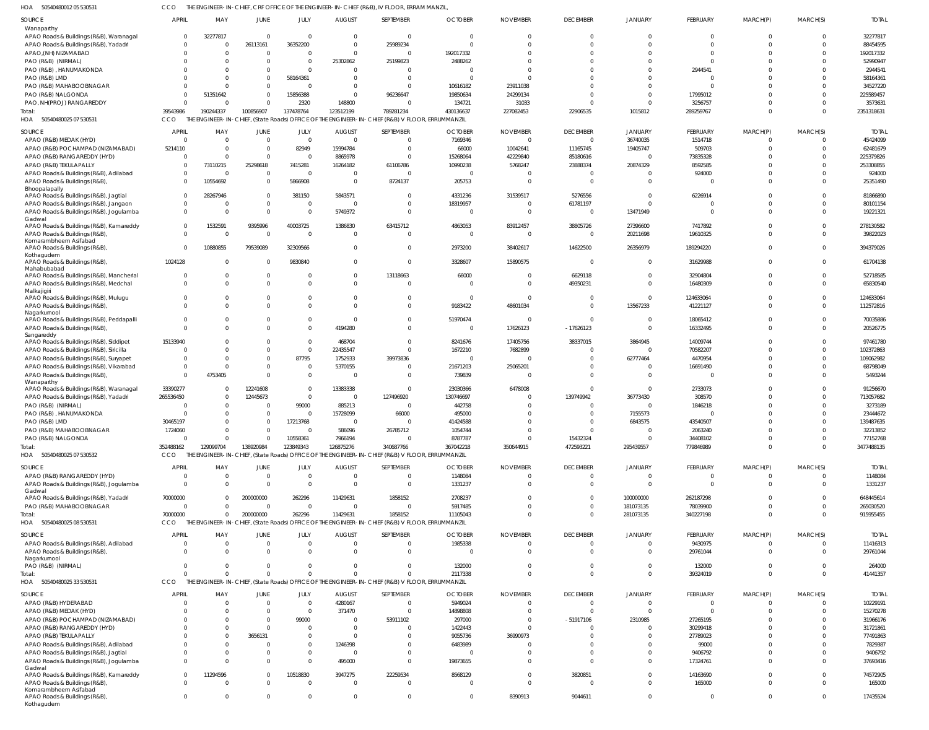50540480012 05 530531 HOA CCO THE ENGINEER-IN-CHIEF, CRF OFFICE OF THE ENGINEER-IN-CHIEF (R&B), IV FLOOR, ERRAM MANZIL,

| SOURCE                                                   | <b>APRIL</b>                   | MAY             | JUNE                   | JULY                | <b>AUGUST</b>                   | SEPTEMBER                                                                                       | <b>OCTOBER</b>            | <b>NOVEMBER</b>             | <b>DECEMBER</b>                | <b>JANUARY</b>          | FEBRUARY            | MARCH(P)                   | MARCH(S)             | <b>TOTAL</b>             |
|----------------------------------------------------------|--------------------------------|-----------------|------------------------|---------------------|---------------------------------|-------------------------------------------------------------------------------------------------|---------------------------|-----------------------------|--------------------------------|-------------------------|---------------------|----------------------------|----------------------|--------------------------|
| Wanaparthy<br>APAO Roads & Buildings (R&B), Waranagal    | 0                              | 32277817        | $\Omega$               | $\Omega$            | $\Omega$                        | $\overline{0}$                                                                                  |                           |                             | $\mathbf 0$                    |                         | $\mathbf 0$         | $\mathbf 0$                | $\Omega$             | 32277817                 |
| APAO Roads & Buildings (R&B), Yadadri                    | $\Omega$                       | - 0             | 26113161               | 36352200            | $\Omega$                        | 25989234                                                                                        |                           |                             | $\Omega$                       |                         | $\Omega$            | $\Omega$                   | $\Omega$             | 88454595                 |
| APAO, (NH) NIZAMABAD                                     | $\Omega$                       | $\Omega$        | $\Omega$               | $\Omega$            | $\Omega$                        | $\mathbf{0}$                                                                                    | 192017332                 |                             |                                |                         | $\Omega$            | $\Omega$                   | $\Omega$             | 192017332                |
| PAO (R&B) (NIRMAL)                                       | $\Omega$                       |                 |                        | $\Omega$            | 25302862                        | 25199823                                                                                        | 2488262                   |                             |                                |                         | $\Omega$            | $\Omega$                   | $\Omega$             | 52990947                 |
| PAO (R&B), HANUMAKONDA                                   | $\Omega$                       |                 | $\Omega$               | $\Omega$            | $\Omega$                        | $\mathbf{0}$                                                                                    |                           |                             |                                |                         | 2944541             | $\Omega$                   | $\cap$               | 2944541                  |
| PAO (R&B) LMD                                            | $\Omega$                       |                 | $\Omega$               | 58164361            | $\Omega$                        | $\mathbf{0}$                                                                                    |                           |                             |                                |                         | $\Omega$            | $\Omega$                   | $\Omega$             | 58164361                 |
| PAO (R&B) MAHABOOBNAGAR                                  | $\Omega$                       |                 | $\Omega$               | $\Omega$            | $\Omega$                        | $\Omega$                                                                                        | 10616182                  | 23911038                    |                                |                         | $\Omega$            | $\Omega$                   | $\Omega$             | 34527220                 |
| PAO (R&B) NALGONDA                                       | $\Omega$                       | 51351642        | $\Omega$               | 15856388            | $\Omega$                        | 96236647                                                                                        | 19850634                  | 24299134                    |                                |                         | 17995012            | $\Omega$                   | $\Omega$             | 225589457                |
| PAO, NH(PROJ) RANGAREDDY                                 | $\Omega$                       |                 | $\Omega$               | 2320                | 148800                          | $\Omega$                                                                                        | 134721                    | 31033                       |                                |                         | 3256757             | $\Omega$                   | $\Omega$             | 3573631                  |
| Total:                                                   | 39543986                       | 190244337       | 100856907              | 137478764           | 123512199                       | 789281234                                                                                       | 430136637                 | 227082453                   | 22906535                       | 1015812                 | 289259767           | $\Omega$                   | $\Omega$             | 2351318631               |
| 50540480025 07 530531<br>HOA                             | CCO                            |                 |                        |                     |                                 | THE ENGINEER-IN-CHIEF, (State Roads) OFFICE OF THE ENGINEER-IN-CHIEF (R&B) V FLOOR, ERRUMMANZIL |                           |                             |                                |                         |                     |                            |                      |                          |
| <b>SOURCE</b>                                            | <b>APRIL</b>                   | MAY             | <b>JUNE</b>            | JULY                | <b>AUGUST</b>                   | SEPTEMBER                                                                                       | <b>OCTOBER</b>            | <b>NOVEMBER</b>             | <b>DECEMBER</b>                | JANUARY                 | FEBRUARY            | MARCH(P)                   | MARCH(S)             | <b>TOTAL</b>             |
| APAO (R&B) MEDAK (HYD)                                   | $\overline{0}$                 | - 0             | $\overline{0}$         | $\overline{0}$      | $\Omega$                        | $\mathbf 0$                                                                                     | 7169346                   | - 0                         | $\mathbf{0}$                   | 36740035                | 1514718             | 0                          | $\Omega$             | 45424099                 |
| APAO (R&B) POCHAMPAD (NIZAMABAD)                         | 5214110                        | $\cap$          | $\Omega$               | 82949               | 15994784                        | $\mathbf{0}$                                                                                    | 66000                     | 10042641                    | 11165745                       | 19405747                | 509703              | $\mathbf 0$                | $\Omega$             | 62481679                 |
| APAO (R&B) RANGAREDDY (HYD)                              | 0                              | - 0             | $\Omega$               | $\Omega$            | 8865978                         | $\mathbf{0}$                                                                                    | 15268064                  | 42229840                    | 85180616                       | $\Omega$                | 73835328            | $\Omega$                   | $\Omega$             | 225379826                |
| APAO (R&B) TEKULAPALLY                                   | 0                              | 73110215        | 25298618               | 7415281             | 16264182                        | 61106786                                                                                        | 10990238                  | 5768247                     | 23888374                       | 20874329                | 8592585             | $\Omega$                   | $\Omega$             | 253308855                |
| APAO Roads & Buildings (R&B), Adilabad                   | $\mathbf 0$                    | - 0             | $\overline{0}$         | 0                   | $\Omega$                        | $\overline{0}$                                                                                  | - 0                       |                             | 0                              |                         | 924000              | $\Omega$                   | $\Omega$             | 924000                   |
| APAO Roads & Buildings (R&B),                            | $\Omega$                       | 10554692        | $\Omega$               | 5866908             | $\Omega$                        | 8724137                                                                                         | 205753                    |                             | $\Omega$                       | $\Omega$                | 0                   | $\Omega$                   | $\Omega$             | 25351490                 |
| Bhoopalapally<br>APAO Roads & Buildings (R&B), Jagtial   | $\mathbf 0$                    | 28267946        | $\overline{0}$         | 381150              | 5843571                         | $\overline{0}$                                                                                  | 4331236                   | 31539517                    | 5276556                        | $\Omega$                | 6226914             | $\Omega$                   | $\Omega$             | 81866890                 |
| APAO Roads & Buildings (R&B), Jangaon                    | $\mathbf 0$                    |                 | $\Omega$               | $\mathbf 0$         | $\Omega$                        | $\mathbf{0}$                                                                                    | 18319957                  | - 0                         | 61781197                       | $\Omega$                | $\overline{0}$      | $\Omega$                   | $\Omega$             | 80101154                 |
| APAO Roads & Buildings (R&B), Jogulamba                  | $\mathbf 0$                    |                 | $\overline{0}$         | $\mathbf 0$         | 5749372                         | $\mathbf 0$                                                                                     |                           |                             | $\mathbf 0$                    | 13471949                | $\mathbf{0}$        | $\Omega$                   | $\Omega$             | 19221321                 |
| Gadwal                                                   |                                |                 |                        |                     |                                 |                                                                                                 |                           |                             |                                |                         |                     |                            |                      |                          |
| APAO Roads & Buildings (R&B), Kamareddy                  | $\mathbf 0$                    | 1532591         | 9395996                | 40003725            | 1386830                         | 63415712                                                                                        | 4863053                   | 83912457                    | 38805726                       | 27396600                | 7417892             | $\Omega$                   | $\Omega$             | 278130582                |
| APAO Roads & Buildings (R&B)                             | $\mathbf 0$                    | - 0             | $\overline{0}$         | $\Omega$            | $\Omega$                        | $\mathbf{0}$                                                                                    |                           |                             | $\mathbf 0$                    | 20211698                | 19610325            | $\mathbf 0$                | $\Omega$             | 39822023                 |
| Komarambheem Asifabad<br>APAO Roads & Buildings (R&B)    | $\Omega$                       | 10880855        | 79539089               | 32309566            | $\Omega$                        | $\mathbf{0}$                                                                                    | 2973200                   | 38402617                    | 14622500                       | 26356979                | 189294220           | $\Omega$                   | $\Omega$             | 394379026                |
| Kothagudem                                               |                                |                 |                        |                     |                                 |                                                                                                 |                           |                             |                                |                         |                     |                            |                      |                          |
| APAO Roads & Buildings (R&B),                            | 1024128                        |                 | $\Omega$               | 9830840             | $\Omega$                        | $\mathbf 0$                                                                                     | 3328607                   | 15890575                    | $\Omega$                       | $\Omega$                | 31629988            | $\mathbf 0$                | $\Omega$             | 61704138                 |
| Mahabubabad<br>APAO Roads & Buildings (R&B), Mancherial  | 0                              |                 | $\Omega$               | $\Omega$            | $\Omega$                        | 13118663                                                                                        | 66000                     |                             | 6629118                        | $\Omega$                | 32904804            | $\mathbf 0$                | $\Omega$             | 52718585                 |
| APAO Roads & Buildings (R&B), Medchal                    | $\Omega$                       |                 | $\Omega$               | $\Omega$            | $\Omega$                        | $\mathbf{0}$                                                                                    | $\cap$                    |                             | 49350231                       | $\Omega$                | 16480309            | $\Omega$                   | $\Omega$             | 65830540                 |
| Malkajigiri                                              |                                |                 |                        |                     |                                 |                                                                                                 |                           |                             |                                |                         |                     |                            |                      |                          |
| APAO Roads & Buildings (R&B), Mulugu                     | $\Omega$                       |                 | $\Omega$               | $\Omega$            | <sup>0</sup>                    | $\mathbf 0$                                                                                     | - 0                       |                             | $\Omega$                       | $\Omega$                | 124633064           | $\Omega$                   | $\Omega$             | 124633064                |
| APAO Roads & Buildings (R&B),                            | $\Omega$                       |                 | $\Omega$               | $\Omega$            | $\Omega$                        | $\mathbf 0$                                                                                     | 9183422                   | 48601034                    | $\Omega$                       | 13567233                | 41221127            | $\mathbf 0$                | $\Omega$             | 112572816                |
| Nagarkurnool<br>APAO Roads & Buildings (R&B), Peddapalli | $\Omega$                       |                 | $\Omega$               | $\mathbf 0$         | $\Omega$                        | $\mathbf 0$                                                                                     | 51970474                  |                             | $\Omega$                       | $\Omega$                | 18065412            | $\Omega$                   | $\Omega$             | 70035886                 |
| APAO Roads & Buildings (R&B),                            | $\Omega$                       |                 | $\Omega$               | $\Omega$            | 4194280                         | $\mathbf 0$                                                                                     |                           | 17626123                    | $-17626123$                    |                         | 16332495            | $\mathbf 0$                | $\Omega$             | 20526775                 |
| Sangareddy                                               |                                |                 |                        |                     |                                 |                                                                                                 |                           |                             |                                |                         |                     |                            |                      |                          |
| APAO Roads & Buildings (R&B), Siddipet                   | 15133940                       |                 | $\Omega$               | $\mathbf 0$         | 468704                          | $\mathbf 0$                                                                                     | 8241676                   | 17405756                    | 38337015                       | 3864945                 | 14009744            | $\Omega$                   | $\Omega$             | 97461780                 |
| APAO Roads & Buildings (R&B), Siricilla                  | 0                              |                 | $\Omega$               | $\mathbf 0$         | 22435547                        | $\Omega$                                                                                        | 1672210                   | 7682899                     | 0                              | $\Omega$                | 70582207            | $\Omega$                   | $\Omega$             | 102372863                |
| APAO Roads & Buildings (R&B), Suryapet                   | 0                              |                 | $\Omega$               | 87795               | 1752933                         | 39973836                                                                                        | $\Omega$                  |                             | $\Omega$                       | 62777464                | 4470954             | $\Omega$                   | $\Omega$             | 109062982                |
| APAO Roads & Buildings (R&B), Vikarabad                  | $\overline{0}$                 | - 0             | $\Omega$               | $\Omega$            | 5370155                         | $\mathbf{0}$                                                                                    | 21671203                  | 25065201                    | 0                              |                         | 16691490            | $\Omega$                   | $\Omega$             | 68798049                 |
| APAO Roads & Buildings (R&B),<br>Wanaparthy              | $\Omega$                       | 4753405         | $\Omega$               | $\mathbf 0$         | $\Omega$                        | $\mathbf{0}$                                                                                    | 739839                    |                             | $\Omega$                       |                         | $\overline{0}$      | $\mathbf 0$                | $\Omega$             | 5493244                  |
| APAO Roads & Buildings (R&B), Waranagal                  | 33390277                       |                 | 12241608               | $\mathbf 0$         | 13383338                        | $\overline{0}$                                                                                  | 23030366                  | 6478008                     | $\Omega$                       | $\Omega$                | 2733073             | $\Omega$                   | $\Omega$             | 91256670                 |
| APAO Roads & Buildings (R&B), Yadadri                    | 265536450                      | $\Omega$        | 12445673               | $\mathbf 0$         | $\Omega$                        | 127496920                                                                                       | 130746697                 | - 0                         | 139749942                      | 36773430                | 308570              | $\Omega$                   | $\Omega$             | 713057682                |
| PAO (R&B) (NIRMAL)                                       | $\sqrt{ }$                     | - 0             | $\Omega$               | 99000               | 885213                          | $\overline{0}$                                                                                  | 442758                    |                             | $\Omega$                       | $\Omega$                | 1846218             | $\Omega$                   | $\Omega$             | 3273189                  |
| PAO (R&B), HANUMAKONDA                                   | ſ                              | $\Omega$        | $\Omega$               | 0                   | 15728099                        | 66000                                                                                           | 495000                    |                             | $\Omega$                       | 7155573                 | $\Omega$            | $\Omega$                   | $\Omega$             | 23444672                 |
| PAO (R&B) LMD                                            | 30465197                       | $\Omega$        | $\Omega$               | 17213768            | $\Omega$                        | $\Omega$                                                                                        | 41424588                  |                             | $\Omega$                       | 6843575                 | 43540507            | $\Omega$                   | $\cap$               | 139487635                |
| PAO (R&B) MAHABOOBNAGAR                                  | 1724060                        |                 | $\Omega$               | $\Omega$            | 586096                          | 26785712                                                                                        | 1054744                   | $\Omega$                    | $\Omega$                       | $\overline{0}$          | 2063240             | $\Omega$                   | $\Omega$             | 32213852                 |
| PAO (R&B) NALGONDA                                       | $\overline{0}$                 | $\Omega$        | $\Omega$               | 10558361            | 7966194                         | $\overline{0}$                                                                                  | 8787787                   | $\Omega$                    | 15432324                       | $\Omega$                | 34408102            | $\mathbf 0$                | $\Omega$             | 77152768                 |
| Total:                                                   | 352488162                      | 129099704       | 138920984              | 123849343           | 126875276                       | 340687766                                                                                       | 367042218                 | 350644915                   | 472593221                      | 295439557               | 779846989           | $\mathbf 0$                | $\Omega$             | 3477488135               |
| HOA<br>50540480025 07 530532                             | <b>CCO</b>                     |                 |                        |                     |                                 | THE ENGINEER-IN-CHIEF, (State Roads) OFFICE OF THE ENGINEER-IN-CHIEF (R&B) V FLOOR, ERRUMMANZIL |                           |                             |                                |                         |                     |                            |                      |                          |
| SOURCE                                                   | <b>APRIL</b>                   | MAY             | JUNE                   | JULY                | <b>AUGUST</b>                   | SEPTEMBER                                                                                       | <b>OCTOBER</b>            | <b>NOVEMBER</b>             | <b>DECEMBER</b>                | <b>JANUARY</b>          | FEBRUARY            | MARCH(P)                   | MARCH(S)             | <b>TOTAL</b>             |
| APAO (R&B) RANGAREDDY (HYD)                              | $\overline{0}$                 | $\Omega$        | $\overline{0}$         | $\mathbf 0$         | $\Omega$                        | $\overline{0}$                                                                                  | 1148084                   | $\Omega$                    | $\mathbf 0$                    | $\mathbf 0$             | $\overline{0}$      | $\overline{0}$             | $\Omega$             | 1148084                  |
| APAO Roads & Buildings (R&B), Jogulamba                  | $\Omega$                       | $\Omega$        | $\Omega$               | $\Omega$            | $\Omega$                        | $\Omega$                                                                                        | 1331237                   | $\Omega$                    | $\Omega$                       | $\Omega$                | $\Omega$            | $\Omega$                   | $\Omega$             | 1331237                  |
| Gadwal<br>APAO Roads & Buildings (R&B), Yadadri          | 70000000                       | $\Omega$        | 200000000              | 262296              | 11429631                        | 1858152                                                                                         | 2708237                   |                             | $\Omega$                       | 100000000               | 262187298           | $\Omega$                   | $\Omega$             | 648445614                |
| PAO (R&B) MAHABOOBNAGAR                                  | $\Omega$                       | $\Omega$        | $\Omega$               | $\Omega$            | $\Omega$                        | $\Omega$                                                                                        | 5917485                   |                             | $\Omega$                       | 181073135               | 78039900            | $\Omega$                   | $\Omega$             | 265030520                |
| Total:                                                   | 70000000                       | $\Omega$        | 200000000              | 262296              | 11429631                        | 1858152                                                                                         | 11105043                  | $\cap$                      | $\Omega$                       | 281073135               | 340227198           | $\Omega$                   | $\Omega$             | 915955455                |
| HOA<br>50540480025 08 530531                             | CCO                            |                 |                        |                     |                                 | THE ENGINEER-IN-CHIEF, (State Roads) OFFICE OF THE ENGINEER-IN-CHIEF (R&B) V FLOOR, ERRUMMANZIL |                           |                             |                                |                         |                     |                            |                      |                          |
|                                                          |                                |                 |                        |                     |                                 |                                                                                                 |                           |                             |                                |                         |                     |                            |                      |                          |
| SOURCE<br>APAO Roads & Buildings (R&B), Adilabad         | <b>APRIL</b><br>$\overline{0}$ | MAY<br>$\Omega$ | JUNE<br>$\overline{0}$ | JULY<br>$\mathbf 0$ | <b>AUGUST</b><br>$\overline{0}$ | SEPTEMBER<br>$\mathbf 0$                                                                        | <b>OCTOBER</b><br>1985338 | <b>NOVEMBER</b><br>$\Omega$ | <b>DECEMBER</b><br>$\mathbf 0$ | JANUARY<br>$\mathbf{0}$ | FEBRUARY<br>9430975 | MARCH(P)<br>$\overline{0}$ | MARCH(S)<br>$\Omega$ | <b>TOTAL</b><br>11416313 |
| APAO Roads & Buildings (R&B),                            | $\Omega$                       | $\Omega$        | $\Omega$               | $\Omega$            | $\Omega$                        | $\overline{0}$                                                                                  | $\Omega$                  | - 0                         | $\mathbf 0$                    | $\Omega$                | 29761044            | $\mathbf 0$                | $\Omega$             | 29761044                 |
| Nagarkurnool                                             |                                |                 |                        |                     |                                 |                                                                                                 |                           |                             |                                |                         |                     |                            |                      |                          |
| PAO (R&B) (NIRMAL)                                       | $\mathbf 0$                    | $\Omega$        | $\mathbf 0$            | $\Omega$            | $\Omega$                        | $\overline{0}$                                                                                  | 132000                    | $\Omega$                    | $\Omega$                       | $\mathbf{0}$            | 132000              | $\mathbf 0$                | $\Omega$             | 264000                   |
| Total:                                                   | $\Omega$                       | $\cap$          | $\Omega$               | $\Omega$            | $\Omega$                        | $\Omega$                                                                                        | 2117338                   | $\cap$                      | $\Omega$                       | $\mathbf 0$             | 39324019            | $\mathbf 0$                | $\Omega$             | 41441357                 |
| 50540480025 33 530531<br>HOA                             | CCO                            |                 |                        |                     |                                 | THE ENGINEER-IN-CHIEF, (State Roads) OFFICE OF THE ENGINEER-IN-CHIEF (R&B) V FLOOR, ERRUMMANZIL |                           |                             |                                |                         |                     |                            |                      |                          |
| SOURCE                                                   | <b>APRIL</b>                   | MAY             | <b>JUNE</b>            | JULY                | <b>AUGUST</b>                   | SEPTEMBER                                                                                       | <b>OCTOBER</b>            | <b>NOVEMBER</b>             | <b>DECEMBER</b>                | <b>JANUARY</b>          | FEBRUARY            | MARCH(P)                   | MARCH(S)             | <b>TOTAL</b>             |
| APAO (R&B) HYDERABAD                                     | $\Omega$                       | $\Omega$        | $\Omega$               | $\mathbf 0$         | 4280167                         | $\overline{0}$                                                                                  | 5949024                   | $\Omega$                    | $\mathbf 0$                    | $\mathbf{0}$            | $\overline{0}$      | $\Omega$                   | $\Omega$             | 10229191                 |
| APAO (R&B) MEDAK (HYD)                                   | $\Omega$                       | $\Omega$        | $\Omega$               | $\Omega$            | 371470                          | $\Omega$                                                                                        | 14898808                  | $\Omega$                    | $\Omega$                       | $\Omega$                | $\Omega$            | $\Omega$                   | $\Omega$             | 15270278                 |
| APAO (R&B) POCHAMPAD (NIZAMABAD)                         | $\Omega$                       | $\Omega$        | $\Omega$               | 99000               | $\Omega$                        | 53911102                                                                                        | 297000                    |                             | $-51917106$                    | 2310985                 | 27265195            | $\Omega$                   |                      | 31966176                 |
| APAO (R&B) RANGAREDDY (HYD)                              | $\Omega$                       | $\cap$          | $\Omega$               | $\Omega$            | $\Omega$                        | $\Omega$                                                                                        | 1422443                   |                             | U                              | $\Omega$                | 30299418            | $\Omega$                   | $\Omega$             | 31721861                 |
| APAO (R&B) TEKULAPALLY                                   | $\Omega$                       |                 | 3656131                | $\Omega$            | $\Omega$                        | $\Omega$                                                                                        | 9055736                   | 36990973                    |                                |                         | 27789023            | $\Omega$                   |                      | 77491863                 |
| APAO Roads & Buildings (R&B), Adilabad                   | $\Omega$                       | $\cap$          | $\Omega$               | $\Omega$            | 1246398                         | $\Omega$                                                                                        | 6483989                   |                             |                                |                         | 99000               | $\Omega$                   | $\Omega$             | 7829387                  |
| APAO Roads & Buildings (R&B), Jagtial                    | $\Omega$                       |                 | $\Omega$               | $\mathbf 0$         | $\Omega$                        | $\mathbf{0}$                                                                                    | $\Omega$                  |                             | $\Omega$                       | $\Omega$                | 9406792             | $\Omega$                   | $\Omega$             | 9406792                  |
| APAO Roads & Buildings (R&B), Jogulamba                  | $\Omega$                       | $\cap$          | $\Omega$               | $\Omega$            | 495000                          | $\Omega$                                                                                        | 19873655                  |                             | $\Omega$                       | $\Omega$                | 17324761            | $\Omega$                   | $\Omega$             | 37693416                 |
| Gadwal<br>APAO Roads & Buildings (R&B), Kamareddy        | $\mathbf 0$                    | 11294596        | $\Omega$               | 10518830            | 3947275                         | 22259534                                                                                        | 8568129                   | $\Omega$                    | 3820851                        | $\Omega$                | 14163690            | $\Omega$                   | $\Omega$             | 74572905                 |
| APAO Roads & Buildings (R&B)                             | $\Omega$                       |                 | $\Omega$               | $\Omega$            | $\Omega$                        | $\Omega$                                                                                        |                           | $\Omega$                    | $\Omega$                       | $\Omega$                | 165000              | $\Omega$                   | $\Omega$             | 165000                   |
| Komarambheem Asifabad                                    |                                |                 |                        |                     |                                 |                                                                                                 |                           |                             |                                |                         |                     |                            |                      |                          |
| APAO Roads & Buildings (R&B),<br>Kothagudem              | $\mathbf 0$                    | $\Omega$        | $\mathbf 0$            | $\mathbf 0$         | $\mathbf 0$                     | $\mathbf 0$                                                                                     | $\Omega$                  | 8390913                     | 9044611                        | $\mathbf 0$             | $\mathbf{0}$        | $\mathbf 0$                | $\Omega$             | 17435524                 |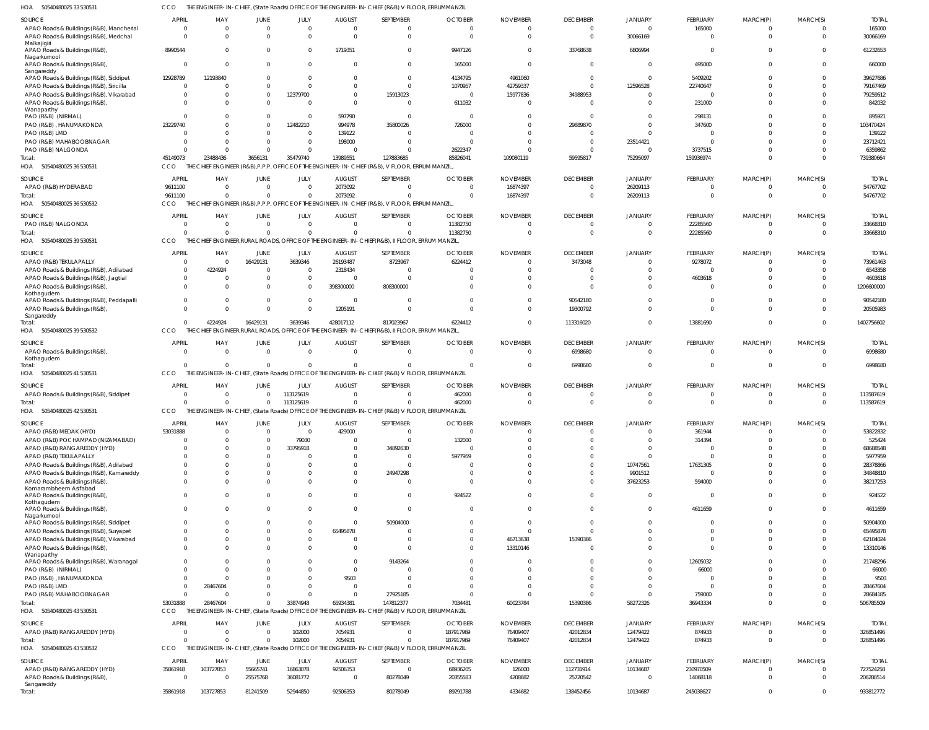50540480025 33 530531 HOA CCO THE ENGINEER-IN-CHIEF, (State Roads) OFFICE OF THE ENGINEER-IN-CHIEF (R&B) V FLOOR, ERRUMMANZIL

| SOURCE                                               | <b>APRIL</b><br>$\overline{0}$ | MAY<br>$\Omega$ | JUNE<br>$\Omega$ | JULY<br>$\mathbf 0$ | <b>AUGUST</b><br>$\Omega$ | SEPTEMBER<br>$\overline{0}$                                                                     | <b>OCTOBER</b><br>- 0 | <b>NOVEMBER</b><br>- 0 | <b>DECEMBER</b><br>$\overline{0}$ | JANUARY<br>$\overline{0}$ | <b>FEBRUARY</b>          | MARCH(P)             | MARCH(S)<br>$\Omega$ | <b>TOTAL</b><br>165000 |
|------------------------------------------------------|--------------------------------|-----------------|------------------|---------------------|---------------------------|-------------------------------------------------------------------------------------------------|-----------------------|------------------------|-----------------------------------|---------------------------|--------------------------|----------------------|----------------------|------------------------|
| APAO Roads & Buildings (R&B), Mancherial             | $\Omega$                       | $\Omega$        | $\Omega$         | $\Omega$            | $\Omega$                  | $\overline{0}$                                                                                  | $\Omega$              | - 0                    | $\overline{0}$                    |                           | 165000<br>$\overline{0}$ | 0<br>$\mathbf 0$     | $\Omega$             |                        |
| APAO Roads & Buildings (R&B), Medchal<br>Malkajigiri | 8990544                        |                 | $\Omega$         | $\Omega$            | 1719351                   | $\overline{0}$                                                                                  | 9947126               |                        | 33768638                          | 30066169<br>6806994       | 0                        | $\Omega$             | $\Omega$             | 30066169<br>61232653   |
| APAO Roads & Buildings (R&B),<br>Nagarkurnool        |                                |                 |                  |                     |                           |                                                                                                 |                       |                        |                                   |                           |                          |                      |                      |                        |
| APAO Roads & Buildings (R&B),<br>Sangareddy          | $\circ$                        | $\Omega$        | $\Omega$         | $\Omega$            | - 0                       | $\Omega$                                                                                        | 165000                |                        | $\overline{0}$                    | $\overline{0}$            | 495000                   | $\mathbf 0$          | $\Omega$             | 660000                 |
| APAO Roads & Buildings (R&B), Siddipet               | 12928789                       | 12193840        |                  | 0                   |                           | $\overline{0}$                                                                                  | 4134795               | 4961060                | $\Omega$                          | $\Omega$                  | 5409202                  | $\Omega$             | $\Omega$             | 39627686               |
| APAO Roads & Buildings (R&B), Siricilla              | $\Omega$                       |                 | $\Omega$         | $\Omega$            | $\Omega$                  | $\Omega$                                                                                        | 1070957               | 42759337               | $\Omega$                          | 12596528                  | 22740647                 | $\Omega$             | $\Omega$             | 79167469               |
| APAO Roads & Buildings (R&B), Vikarabad              | - 0                            |                 | $\mathbf{0}$     | 12379700            | $\Omega$                  | 15913023                                                                                        | - 0                   | 15977836               | 34988953                          | $\Omega$                  | - 0                      | $\Omega$             |                      | 79259512               |
| APAO Roads & Buildings (R&B)                         | $\Omega$                       |                 |                  | $\Omega$            | $\Omega$                  | $\overline{0}$                                                                                  | 611032                |                        | $\Omega$                          |                           | 231000                   | $\Omega$             | $\Omega$             | 842032                 |
| Wanaparthy<br>PAO (R&B) (NIRMAL)                     | $\Omega$                       |                 | $\Omega$         |                     | 597790                    | $\overline{0}$                                                                                  | - 0                   |                        | $\Omega$                          | $\Omega$                  | 298131                   | $\Omega$             | $\Omega$             | 895921                 |
| PAO (R&B), HANUMAKONDA                               | 23229740                       |                 |                  | 12482210            | 994978                    | 35800026                                                                                        | 726000                |                        | 29889870                          | $\Omega$                  | 347600                   | $\Omega$             | $\Omega$             | 103470424              |
| PAO (R&B) LMD                                        | $\Omega$                       | $\Omega$        |                  | 0                   | 139122                    | $\overline{0}$                                                                                  | - 0                   |                        |                                   | $\Omega$                  | - 0                      | $\Omega$             |                      | 139122                 |
| PAO (R&B) MAHABOOBNAGAR                              | $\Omega$                       |                 |                  | $\Omega$            | 198000                    | $\Omega$                                                                                        |                       |                        | $\Omega$                          | 23514421                  | $\Omega$                 | $\Omega$             |                      | 23712421               |
| PAO (R&B) NALGONDA                                   | $\Omega$                       | -0              | $\Omega$         | $\Omega$            | - 0                       | $\Omega$                                                                                        | 2622347               |                        | $\Omega$                          | $\overline{0}$            | 3737515                  | $\Omega$             | $\Omega$             | 6359862                |
| Total:                                               | 45149073                       | 23488436        | 3656131          | 35479740            | 13989551                  | 127883685                                                                                       | 85826041              | 109080119              | 59595817                          | 75295097                  | 159936974                | $\Omega$             | $\Omega$             | 739380664              |
| 50540480025 36 530531<br>HOA                         | CCO                            |                 |                  |                     |                           | THE CHIEF ENGINEER (R&B), P.P.P, OFFICE OF THE ENGINEER-IN-CHIEF (R&B), V FLOOR, ERRUM MANZIL   |                       |                        |                                   |                           |                          |                      |                      |                        |
|                                                      |                                |                 |                  |                     |                           |                                                                                                 |                       |                        |                                   |                           |                          |                      |                      |                        |
| SOURCE                                               | APRIL                          | MAY             | JUNE             | JULY                | <b>AUGUST</b>             | SEPTEMBER                                                                                       | <b>OCTOBER</b>        | <b>NOVEMBER</b>        | <b>DECEMBER</b>                   | JANUARY                   | FEBRUARY                 | MARCH(P)             | MARCH(S)             | <b>TOTA</b>            |
| APAO (R&B) HYDERABAD                                 | 9611100                        | $\Omega$        | $\Omega$         | $\Omega$            | 2073092                   | $\Omega$                                                                                        | - 0                   | 16874397               | $\Omega$                          | 26209113                  | $\mathbf 0$              | 0                    | 0                    | 54767702               |
| Total:                                               | 9611100                        |                 | $\Omega$         | $\Omega$            | 2073092                   | $\Omega$                                                                                        | $\Omega$              | 16874397               | $\Omega$                          | 26209113                  | $\overline{0}$           | $\mathbf 0$          | $\Omega$             | 54767702               |
| 50540480025 36 530532<br>HOA                         | CCO                            |                 |                  |                     |                           | CHIEF ENGINEER (R&B), P.P.P, OFFICE OF THE ENGINEER-IN-CHIEF (R&B), V FLOOR, ERRUM MANZIL,      |                       |                        |                                   |                           |                          |                      |                      |                        |
| SOURCE                                               | <b>APRIL</b>                   | MAY             | JUNE             | JULY                | <b>AUGUST</b>             | SEPTEMBER                                                                                       | <b>OCTOBER</b>        | <b>NOVEMBER</b>        | <b>DECEMBER</b>                   | JANUARY                   | FEBRUARY                 | MARCH(P)             | MARCH(S)             | <b>TOTAL</b>           |
| PAO (R&B) NALGONDA                                   | $\Omega$                       | $\Omega$        | $\Omega$         | $\mathbf 0$         | $\Omega$                  | $\overline{0}$                                                                                  | 11382750              | - 0                    | $\overline{0}$                    | $\mathbf 0$               | 22285560                 | 0                    | $\Omega$             | 33668310               |
| Total:                                               | $\Omega$                       | $\Omega$        | $\Omega$         | $\Omega$            |                           | $\Omega$                                                                                        | 11382750              | $\sqrt{ }$             | $\Omega$                          | $\Omega$                  | 22285560                 | $\overline{0}$       | $\Omega$             | 33668310               |
| HOA 50540480025 39 530531                            | CCO                            |                 |                  |                     |                           | THE CHIEF ENGINEER, RURAL ROADS, OFFICE OF THE ENGINEER-IN-CHIEF (R&B), II FLOOR, ERRUM MANZIL, |                       |                        |                                   |                           |                          |                      |                      |                        |
| SOURCE                                               | <b>APRIL</b>                   | MAY             | JUNE             | JULY                | <b>AUGUST</b>             | SEPTEMBER                                                                                       | <b>OCTOBER</b>        | <b>NOVEMBER</b>        | <b>DECEMBER</b>                   | JANUARY                   | <b>FEBRUARY</b>          | MARCH(P)             | MARCH(S)             | <b>TOTAI</b>           |
| APAO (R&B) TEKULAPALLY                               | $\overline{0}$                 | $\Omega$        | 16429131         | 3639346             | 26193487                  | 8723967                                                                                         | 6224412               |                        | 3473048                           | $\Omega$                  | 9278072                  |                      |                      | 73961463               |
| APAO Roads & Buildings (R&B), Adilabad               | $\overline{0}$                 | 4224924         | - 0              | $\Omega$            | 2318434                   | $\circ$                                                                                         |                       |                        |                                   |                           | O                        | $\Omega$             | $\Omega$             | 6543358                |
| APAO Roads & Buildings (R&B), Jagtial                | $\overline{0}$                 | -0              |                  | $\mathbf 0$         |                           | $\Omega$                                                                                        |                       |                        |                                   | $\Omega$                  | 4603618                  | $\Omega$             |                      | 4603618                |
| APAO Roads & Buildings (R&B),                        | $\Omega$                       |                 |                  | 0                   | 398300000                 | 808300000                                                                                       |                       |                        | $\Omega$                          | $\Omega$                  | O                        | $\Omega$             | $\Omega$             | 1206600000             |
| Kothagudem                                           |                                |                 |                  |                     |                           |                                                                                                 |                       |                        |                                   |                           |                          |                      |                      |                        |
| APAO Roads & Buildings (R&B), Peddapalli             | $\overline{0}$                 |                 | $\Omega$         | $\Omega$            | - 0                       | $\Omega$                                                                                        |                       |                        | 90542180                          | $\Omega$                  | $\Omega$                 | $\Omega$             | $\Omega$             | 90542180               |
| APAO Roads & Buildings (R&B)                         | $\Omega$                       |                 |                  | $\Omega$            | 1205191                   | $\Omega$                                                                                        |                       |                        | 19300792                          | $\Omega$                  | $\Omega$                 | $\Omega$             | $\Omega$             | 20505983               |
| Sangareddy                                           |                                |                 |                  |                     |                           |                                                                                                 |                       |                        |                                   |                           |                          |                      |                      |                        |
| Total:                                               | $\Omega$                       | 4224924         | 16429131         | 3639346             | 428017112                 | 817023967                                                                                       | 6224412               |                        | 113316020                         | $\Omega$                  | 13881690                 | $\mathbf{0}$         | $\Omega$             | 1402756602             |
| 50540480025 39 530532<br>HOA                         | CCO                            | THE CHIEF       |                  |                     |                           | ENGINEER, RURAL ROADS, OFFICE OF THE ENGINEER-IN-CHIEF (R&B), II FLOOR, ERRUM MANZIL,           |                       |                        |                                   |                           |                          |                      |                      |                        |
| SOURCE                                               | <b>APRIL</b>                   | MAY             | JUNE             | JULY                | <b>AUGUST</b>             | SEPTEMBER                                                                                       | <b>OCTOBER</b>        | <b>NOVEMBER</b>        | <b>DECEMBER</b>                   | <b>JANUARY</b>            | FEBRUARY                 | MARCH(P)             | MARCH(S)             | <b>TOTAI</b>           |
| APAO Roads & Buildings (R&B),                        | $\Omega$                       | $\Omega$        | $\Omega$         | $\Omega$            | $\Omega$                  | $\overline{0}$                                                                                  | $\Omega$              | - 0                    | 6998680                           | $\mathbf 0$               | $\overline{0}$           | $^{\circ}$           | $\Omega$             | 6998680                |
| Kothagudem                                           |                                |                 |                  |                     |                           |                                                                                                 |                       |                        |                                   |                           |                          |                      |                      |                        |
| Total:                                               | $\Omega$                       | $\Omega$        | $\Omega$         |                     |                           | $\Omega$                                                                                        |                       |                        | 6998680                           | $\mathbf 0$               | $\overline{0}$           | $\overline{0}$       | $\Omega$             | 6998680                |
| HOA 50540480025 41 530531                            | CCO                            |                 |                  |                     |                           | THE ENGINEER-IN-CHIEF, (State Roads) OFFICE OF THE ENGINEER-IN-CHIEF (R&B) V FLOOR, ERRUMMANZIL |                       |                        |                                   |                           |                          |                      |                      |                        |
| SOURCE                                               | APRIL                          | MAY             | JUNE             | JULY                | <b>AUGUST</b>             | SEPTEMBER                                                                                       | <b>OCTOBER</b>        | <b>NOVEMBER</b>        | <b>DECEMBER</b>                   | <b>JANUARY</b>            | <b>FEBRUARY</b>          | MARCH(P)             | MARCH(S)             | <b>TOTA</b>            |
| APAO Roads & Buildings (R&B), Siddipet               | - 0                            | $\Omega$        |                  | 113125619           | $\Omega$                  | $\Omega$                                                                                        | 462000                |                        |                                   |                           | 0                        |                      | $\Omega$             | 113587619              |
| Total:                                               | $\Omega$                       |                 | $\Omega$         | 113125619           | $\Omega$                  | $\Omega$                                                                                        | 462000                |                        | $\Omega$                          | $\Omega$                  | $\mathbf{0}$             | $\mathbf{0}$         | $\Omega$             | 113587619              |
| HOA 50540480025 42 530531                            | CCO                            |                 |                  |                     |                           | THE ENGINEER-IN-CHIEF, (State Roads) OFFICE OF THE ENGINEER-IN-CHIEF (R&B) V FLOOR, ERRUMMANZIL |                       |                        |                                   |                           |                          |                      |                      |                        |
| <b>SOURCE</b>                                        | <b>APRIL</b>                   | MAY             | <b>JUNE</b>      | JULY                | <b>AUGUST</b>             | <b>SEPTEMBER</b>                                                                                | <b>OCTOBER</b>        | <b>NOVEMBER</b>        | <b>DECEMBER</b>                   | <b>JANUARY</b>            | <b>FEBRUARY</b>          | MARCH(P)             | MARCH(S)             | <b>TOTA</b>            |
| APAO (R&B) MEDAK (HYD)                               | 53031888                       |                 |                  | $\Omega$            | 429000                    | $\overline{0}$                                                                                  | $\Omega$              |                        | $\Omega$                          | $\Omega$                  | 361944                   | $\Omega$             | $\Omega$             | 53822832               |
| APAO (R&B) POCHAMPAD (NIZAMABAD)                     | $\overline{0}$                 |                 |                  | 79030               | $\Omega$                  | $\overline{0}$                                                                                  | 132000                |                        | $\Omega$                          | $\Omega$                  | 314394                   | $\Omega$             | $\Omega$             | 525424                 |
| APAO (R&B) RANGAREDDY (HYD)                          | $\Omega$                       |                 |                  | 33795918            |                           | 34892630                                                                                        | $\sqrt{ }$            |                        |                                   | $\Omega$                  | $\overline{0}$           |                      |                      | 68688548               |
| APAO (R&B) TEKULAPALLY                               | $\Omega$                       |                 |                  |                     |                           | $\overline{0}$                                                                                  | 5977959               |                        |                                   | $\Omega$                  | $\Omega$                 |                      |                      | 5977959                |
| APAO Roads & Buildings (R&B), Adilabad               | $\Omega$                       |                 |                  |                     |                           | $\Omega$                                                                                        |                       |                        |                                   | 10747561                  | 17631305                 |                      |                      | 28378866               |
| APAO Roads & Buildings (R&B), Kamareddy              | $\Omega$                       |                 |                  |                     |                           | 24947298                                                                                        |                       |                        |                                   | 9901512                   | $\mathbf 0$              | $\Omega$             |                      | 34848810               |
| APAO Roads & Buildings (R&B),                        | $\Omega$                       |                 |                  |                     |                           | $\overline{0}$                                                                                  | - 0                   |                        | $\Omega$                          | 37623253                  | 594000                   | $\Omega$             | $\Omega$             | 38217253               |
| Komarambheem Asifabad                                |                                |                 |                  |                     |                           |                                                                                                 |                       |                        |                                   |                           |                          |                      |                      |                        |
| APAO Roads & Buildings (R&B),                        | $\Omega$                       |                 | $\Omega$         |                     |                           | $\overline{0}$                                                                                  | 924522                |                        | $\Omega$                          | $\mathbf 0$               | $\Omega$                 | $\Omega$             | $\Omega$             | 924522                 |
| Kothagudem<br>APAO Roads & Buildings (R&B),          | $\Omega$                       |                 | $\Omega$         |                     |                           | $\overline{0}$                                                                                  | $\Omega$              |                        | $\Omega$                          | $\mathbf 0$               | 4611659                  | $\Omega$             | $\Omega$             | 4611659                |
| Nagarkurnool                                         |                                |                 |                  |                     |                           |                                                                                                 |                       |                        |                                   |                           |                          |                      |                      |                        |
| APAO Roads & Buildings (R&B), Siddipet               | $\overline{0}$                 |                 |                  |                     | $\Omega$                  | 50904000                                                                                        |                       |                        | $\Omega$                          | $\Omega$                  | $\Omega$                 | $\Omega$             | $\Omega$             | 50904000               |
| APAO Roads & Buildings (R&B), Suryapet               | $\Omega$                       | $\Omega$        |                  |                     | 65495878                  | $\Omega$                                                                                        |                       | $\Omega$               | $\Omega$                          | $\Omega$                  | $\Omega$                 | $\Omega$             | $\Omega$             | 65495878               |
| APAO Roads & Buildings (R&B), Vikarabad              | $\overline{0}$                 | $\Omega$        |                  | $\Omega$            |                           | $\Omega$                                                                                        |                       | 46713638               | 15390386                          | $\Omega$                  | $\Omega$                 | $\Omega$             | $\Omega$             | 62104024               |
| APAO Roads & Buildings (R&B),                        | $\Omega$                       |                 | $\Omega$         |                     |                           | $\Omega$                                                                                        | $\Omega$              | 13310146               |                                   | $\Omega$                  | $\Omega$                 | $\Omega$             | $\Omega$             | 13310146               |
| Wanaparthy                                           |                                |                 |                  |                     |                           |                                                                                                 |                       |                        |                                   |                           |                          |                      |                      |                        |
| APAO Roads & Buildings (R&B), Waranagal              | $\Omega$                       |                 |                  |                     | $\Omega$                  | 9143264                                                                                         |                       |                        |                                   | $\Omega$                  | 12605032                 | $\Omega$             | $\Omega$             | 21748296               |
| PAO (R&B) (NIRMAL)                                   | $\Omega$                       |                 |                  |                     | $\Omega$                  | $\Omega$                                                                                        |                       |                        |                                   | $\Omega$                  | 66000                    | $\cup$               |                      | 66000                  |
| PAO (R&B), HANUMAKONDA                               | $\Omega$                       |                 |                  |                     | 9503                      | $\Omega$                                                                                        |                       |                        |                                   | $\Omega$                  | $\mathbf 0$              | $\Omega$             |                      | 9503                   |
| PAO (R&B) LMD                                        | $\Omega$<br>$\Omega$           | 28467604        | $\Omega$         |                     | $\Omega$<br>$\Omega$      | $\Omega$                                                                                        |                       |                        |                                   | $\Omega$<br>$\Omega$      | $\Omega$                 | $\Omega$<br>$\Omega$ |                      | 28467604               |
| PAO (R&B) MAHABOOBNAGAR                              | 53031888                       | 28467604        | $\Omega$         | 33874948            | 65934381                  | 27925185<br>147812377                                                                           | 7034481               | 60023784               | 15390386                          | 58272326                  | 759000<br>36943334       | $\Omega$             | $\Omega$             | 28684185<br>506785509  |
| Total:<br>HOA 50540480025 43 530531                  |                                |                 |                  |                     |                           | THE ENGINEER-IN-CHIEF, (State Roads) OFFICE OF THE ENGINEER-IN-CHIEF (R&B) V FLOOR, ERRUMMANZIL |                       |                        |                                   |                           |                          |                      |                      |                        |
|                                                      |                                |                 |                  |                     |                           |                                                                                                 |                       |                        |                                   |                           |                          |                      |                      |                        |
|                                                      | CCO                            |                 |                  |                     |                           |                                                                                                 |                       | <b>NOVEMBER</b>        | <b>DECEMBER</b>                   | <b>JANUARY</b>            |                          |                      |                      | <b>TOTAL</b>           |
| SOURCE                                               | <b>APRIL</b>                   | MAY             | JUNE             | JULY                | <b>AUGUST</b>             | SEPTEMBER                                                                                       | <b>OCTOBER</b>        |                        |                                   |                           | FEBRUARY                 | MARCH(P)             | MARCH(S)             |                        |
| APAO (R&B) RANGAREDDY (HYD)                          | $\overline{0}$                 | $\Omega$        | $\Omega$         | 102000              | 7054931                   | $\overline{0}$                                                                                  | 187917969             | 76409407               | 42012834                          | 12479422                  | 874933                   | 0                    | $\Omega$             | 326851496              |
| Total:                                               | $\Omega$                       |                 | $\Omega$         | 102000              | 7054931                   | $\overline{0}$                                                                                  | 187917969             | 76409407               | 42012834                          | 12479422                  | 874933                   | $\overline{0}$       | $\overline{0}$       | 326851496              |
| HOA 50540480025 43 530532                            | CCO                            |                 |                  |                     |                           | THE ENGINEER-IN-CHIEF, (State Roads) OFFICE OF THE ENGINEER-IN-CHIEF (R&B) V FLOOR, ERRUMMANZIL |                       |                        |                                   |                           |                          |                      |                      |                        |
| SOURCE                                               | <b>APRIL</b>                   | MAY             | JUNE             | JULY                | <b>AUGUST</b>             | SEPTEMBER                                                                                       | <b>OCTOBER</b>        | <b>NOVEMBER</b>        | <b>DECEMBER</b>                   | <b>JANUARY</b>            | FEBRUARY                 | MARCH(P)             | MARCH(S)             | <b>TOTAI</b>           |
| APAO (R&B) RANGAREDDY (HYD)                          | 35861918                       | 103727853       | 55665741         | 16863078            | 92506353                  | $\overline{0}$                                                                                  | 68936205              | 126000                 | 112731914                         | 10134687                  | 230970509                | $^{\circ}$           | $\Omega$             | 727524258              |
| APAO Roads & Buildings (R&B),                        | $\Omega$                       | $\Omega$        | 25575768         | 36081772            | $\Omega$                  | 80278049                                                                                        | 20355583              | 4208682                | 25720542                          | $\Omega$                  | 14068118                 | $\mathbf 0$          | $\Omega$             | 206288514              |
| Sangareddy<br>Total:                                 | 35861918                       | 103727853       | 81241509         | 52944850            | 92506353                  | 80278049                                                                                        | 89291788              | 4334682                | 138452456                         | 10134687                  | 245038627                | $\mathbf 0$          | $\mathbf{0}$         | 933812772              |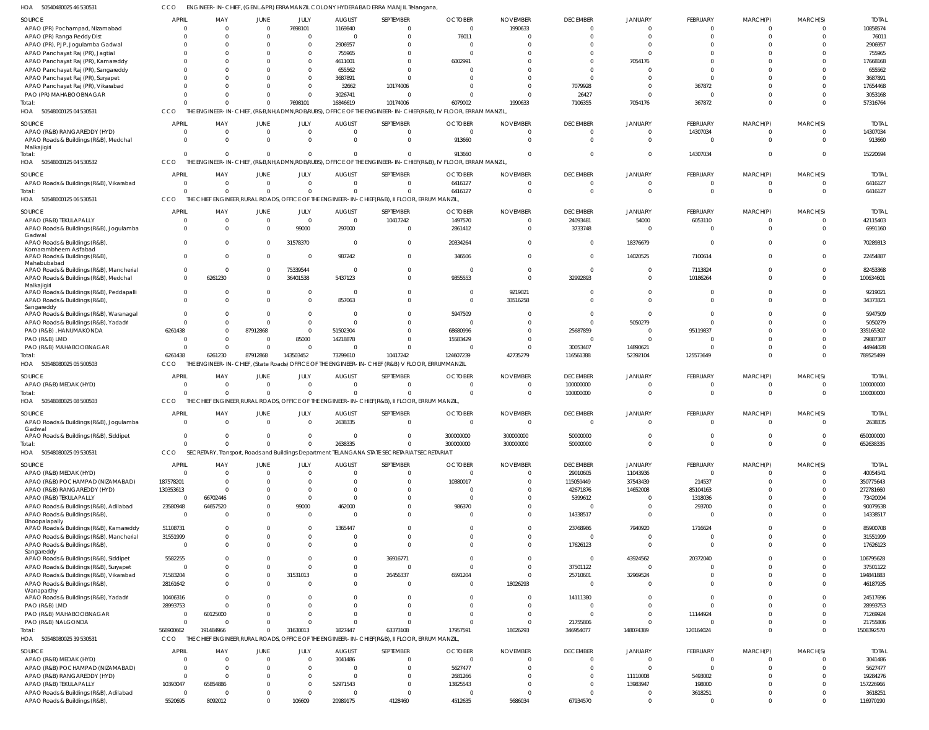50540480025 46 530531 HOA CCO ENGINEER-IN-CHIEF, (GENL.&PR) ERRAMANZIL COLONY HYDERABAD ERRA MANJIL Telangana,

| SOURCE                                                                 | <b>APRIL</b>               | MAY             | JUNE                    | JULY                 | <b>AUGUST</b>            | SEPTEMBER                                                                                       | <b>OCTOBER</b>                                                                                               | <b>NOVEMBER</b> | <b>DECEMBER</b>             | <b>JANUARY</b> | FEBRUARY                    | MARCH(P)    | MARCH(S)             | <b>TOTAI</b>         |
|------------------------------------------------------------------------|----------------------------|-----------------|-------------------------|----------------------|--------------------------|-------------------------------------------------------------------------------------------------|--------------------------------------------------------------------------------------------------------------|-----------------|-----------------------------|----------------|-----------------------------|-------------|----------------------|----------------------|
| APAO (PR) Pochampad, Nizamabad                                         | $\mathbf{0}$               | 0               | $\overline{0}$          | 7698101              | 1169840                  |                                                                                                 | $\mathbf 0$                                                                                                  | 1990633         | $\overline{0}$              | $\Omega$       | $\mathbf 0$                 | $\Omega$    |                      | 10858574             |
| APAO (PR) Ranga Reddy Dist                                             |                            | 0               | $\Omega$                | $\Omega$             |                          | $\Omega$                                                                                        | 76011                                                                                                        |                 | $\Omega$                    |                | $\Omega$                    |             | $\Omega$             | 76011                |
| APAO (PR), PJP, Jogulamba Gadwal                                       |                            | 0               | $\Omega$                | $\Omega$             | 2906957                  |                                                                                                 |                                                                                                              |                 |                             |                | $\Omega$                    |             |                      | 2906957              |
| APAO Panchayat Raj (PR), Jagtial                                       |                            |                 |                         | $\Omega$             | 755965                   |                                                                                                 | $\Omega$                                                                                                     |                 |                             |                | $\cup$                      |             |                      | 755965               |
| APAO Panchayat Raj (PR), Kamareddy                                     |                            |                 |                         | $\Omega$             | 4611001                  |                                                                                                 | 6002991                                                                                                      |                 |                             | 7054176        |                             |             |                      | 17668168             |
| APAO Panchayat Raj (PR), Sangareddy                                    |                            |                 |                         | $\Omega$             | 655562                   |                                                                                                 |                                                                                                              |                 |                             |                | $\cup$                      |             |                      | 655562               |
| APAO Panchayat Raj (PR), Suryapet                                      |                            | 0               | $\Omega$                | $\Omega$             | 3687891                  |                                                                                                 |                                                                                                              |                 | $\Omega$                    |                | $\Omega$                    |             |                      | 3687891              |
| APAO Panchayat Raj (PR), Vikarabad                                     |                            |                 |                         | $\Omega$             | 32662                    | 10174006                                                                                        |                                                                                                              |                 | 7079928                     |                | 367872                      |             |                      | 17654468             |
| PAO (PR) MAHABOOBNAGAR                                                 |                            |                 | $\Omega$                | $\Omega$             | 3026741                  | $\Omega$                                                                                        |                                                                                                              |                 | 26427                       |                | $\Omega$                    |             |                      | 3053168              |
| Total:                                                                 | U                          | $\Omega$        | $\Omega$                | 7698101              | 16846619                 | 10174006                                                                                        | 6079002                                                                                                      | 1990633         | 7106355                     | 7054176        | 367872                      | $\Omega$    | $\Omega$             | 57316764             |
| HOA<br>50548000125 04 530531                                           | CCO                        |                 |                         |                      |                          |                                                                                                 | THE ENGINEER-IN-CHIEF, (R&B,NH,ADMN,ROB/RUBS), OFFICE OF THE ENGINEER-IN-CHIEF(R&B), IV FLOOR, ERRAM MANZIL  |                 |                             |                |                             |             |                      |                      |
|                                                                        |                            |                 |                         |                      |                          |                                                                                                 |                                                                                                              |                 |                             |                |                             |             |                      |                      |
| <b>SOURCE</b>                                                          | <b>APRIL</b>               | MAY             | JUNE                    | JULY                 | <b>AUGUST</b>            | SEPTEMBER                                                                                       | <b>OCTOBER</b>                                                                                               | <b>NOVEMBER</b> | <b>DECEMBER</b>             | <b>JANUARY</b> | FEBRUARY                    | MARCH(P)    | MARCH(S)             | <b>TOTAI</b>         |
| APAO (R&B) RANGAREDDY (HYD)                                            | $\Omega$                   | $\Omega$        | $\mathbf 0$             | $\Omega$             | $\Omega$                 | $\Omega$                                                                                        | $\Omega$                                                                                                     |                 | $\overline{0}$              | $\Omega$       | 14307034                    | 0           | $\Omega$             | 14307034             |
| APAO Roads & Buildings (R&B), Medchal                                  | $\Omega$                   | $\Omega$        | $\mathbf 0$             | $\Omega$             | $\Omega$                 | $\Omega$                                                                                        | 913660                                                                                                       |                 | $\overline{0}$              | $\Omega$       | $\mathbf 0$                 | $\mathbf 0$ | $\Omega$             | 913660               |
| Malkajigiri                                                            |                            |                 |                         |                      |                          |                                                                                                 |                                                                                                              |                 |                             |                |                             |             |                      |                      |
| Total:                                                                 | $\Omega$                   | $\Omega$        | $\Omega$                | $\Omega$             | $\Omega$                 | $\Omega$                                                                                        | 913660                                                                                                       |                 | $\Omega$                    | $\Omega$       | 14307034                    | $\mathbf 0$ | $\Omega$             | 15220694             |
| HOA 50548000125 04 530532                                              | CCO                        |                 |                         |                      |                          |                                                                                                 | THE ENGINEER-IN-CHIEF, (R&B,NH,ADMN,ROB/RUBS), OFFICE OF THE ENGINEER-IN-CHIEF(R&B), IV FLOOR, ERRAM MANZIL, |                 |                             |                |                             |             |                      |                      |
| <b>SOURCE</b>                                                          | <b>APRIL</b>               | MAY             | JUNE                    | JULY                 | <b>AUGUST</b>            | SEPTEMBER                                                                                       | <b>OCTOBER</b>                                                                                               | <b>NOVEMBER</b> | <b>DECEMBER</b>             | JANUARY        | FEBRUARY                    | MARCH(P)    | MARCH(S)             | <b>TOTAI</b>         |
| APAO Roads & Buildings (R&B), Vikarabad                                | $\mathbf{0}$               | $\Omega$        | $\mathbf 0$             | $\Omega$             | $\Omega$                 | $\Omega$                                                                                        | 6416127                                                                                                      |                 | $\Omega$                    | $\Omega$       | $\mathbf 0$                 | 0           |                      | 6416127              |
| Total:                                                                 | $\Omega$                   | $\Omega$        | $\mathbf 0$             | $\Omega$             | $\Omega$                 | $\Omega$                                                                                        | 6416127                                                                                                      |                 | $\overline{0}$              | $\Omega$       | $\overline{0}$              | $\mathbf 0$ | $\Omega$             | 6416127              |
| HOA<br>50548000125 06 530531                                           | <b>CCO</b>                 | THE             |                         |                      |                          | CHIEF ENGINEER, RURAL ROADS, OFFICE OF THE ENGINEER-IN-CHIEF (R&B), II FLOOR, ERRUM MANZIL      |                                                                                                              |                 |                             |                |                             |             |                      |                      |
|                                                                        |                            |                 |                         |                      |                          |                                                                                                 |                                                                                                              |                 |                             |                |                             |             |                      |                      |
| SOURCE                                                                 | <b>APRIL</b>               | MAY             | JUNE                    | JULY                 | <b>AUGUST</b>            | SEPTEMBER                                                                                       | <b>OCTOBER</b>                                                                                               | <b>NOVEMBER</b> | <b>DECEMBER</b>             | <b>JANUARY</b> | <b>FEBRUARY</b>             | MARCH(P)    | MARCH(S)             | <b>TOTAI</b>         |
| APAO (R&B) TEKULAPALLY                                                 | $\Omega$                   | $\Omega$        | $\overline{0}$          | $\overline{0}$       | $\mathbf 0$              | 10417242                                                                                        | 1497570                                                                                                      |                 | 24093481                    | 54000          | 6053110                     | 0           | $\Omega$             | 42115403             |
| APAO Roads & Buildings (R&B), Jogulamba                                | $\overline{0}$             | $\Omega$        | $\mathbf 0$             | 99000                | 297000                   | $\Omega$                                                                                        | 2861412                                                                                                      |                 | 3733748                     |                | $\mathbf 0$                 | $\mathbf 0$ | $\Omega$             | 6991160              |
| Gadwal<br>APAO Roads & Buildings (R&B)                                 | $\mathbf{0}$               | 0               | 0                       | 31578370             | $\mathbf 0$              | $\Omega$                                                                                        | 20334264                                                                                                     |                 | $\mathbf{0}$                | 18376679       | 0                           | $\Omega$    | $\Omega$             | 70289313             |
| Komarambheem Asifabad                                                  |                            |                 |                         |                      |                          |                                                                                                 |                                                                                                              |                 |                             |                |                             |             |                      |                      |
| APAO Roads & Buildings (R&B),                                          | $\overline{0}$             | $\Omega$        | $\mathbf 0$             | $\mathbf{0}$         | 987242                   | $\Omega$                                                                                        | 346506                                                                                                       |                 | $\overline{0}$              | 14020525       | 7100614                     | $\Omega$    | $\Omega$             | 22454887             |
| Mahabubabad                                                            |                            |                 |                         |                      |                          |                                                                                                 |                                                                                                              |                 |                             |                |                             |             |                      |                      |
| APAO Roads & Buildings (R&B), Mancherial                               | $^{\circ}$                 | $\Omega$        | 0                       | 75339544             | 0                        | $\Omega$                                                                                        | $\overline{0}$                                                                                               |                 | $\mathbf{0}$                | 0              | 7113824                     | $\Omega$    | $\Omega$             | 82453368             |
| APAO Roads & Buildings (R&B), Medchal                                  | $\Omega$                   | 6261230         | 0                       | 36401538             | 5437123                  | $\Omega$                                                                                        | 9355553                                                                                                      |                 | 32992893                    | $\Omega$       | 10186264                    | $\Omega$    | $\Omega$             | 100634601            |
| Malkajigiri<br>APAO Roads & Buildings (R&B), Peddapalli                | $\overline{0}$             |                 | 0                       | $\mathbf 0$          | 0                        | $\Omega$                                                                                        | $\Omega$                                                                                                     | 9219021         | $\Omega$                    |                | O                           | $\Omega$    |                      | 9219021              |
| APAO Roads & Buildings (R&B)                                           | $\Omega$                   | $\Omega$        | $\Omega$                | $\Omega$             | 857063                   | $\Omega$                                                                                        | $\Omega$                                                                                                     | 33516258        | $\Omega$                    |                | $\Omega$                    | $\Omega$    | $\Omega$             | 34373321             |
| Sangareddy                                                             |                            |                 |                         |                      |                          |                                                                                                 |                                                                                                              |                 |                             |                |                             |             |                      |                      |
| APAO Roads & Buildings (R&B), Waranagal                                | $\Omega$                   | 0               | $\mathbf 0$             | $\mathbf 0$          | $\Omega$                 |                                                                                                 | 5947509                                                                                                      |                 | $\Omega$                    |                | $\Omega$                    |             |                      | 5947509              |
| APAO Roads & Buildings (R&B), Yadadri                                  | $\Omega$                   | $\Omega$        | $\Omega$                | $\mathbf 0$          | $\Omega$                 |                                                                                                 | $\Omega$                                                                                                     |                 | $\Omega$                    | 5050279        | $\Omega$                    |             | $\Omega$             | 5050279              |
| PAO (R&B), HANUMAKONDA                                                 | 6261438                    | $\Omega$        | 87912868                | $\mathbf 0$          | 51502304                 |                                                                                                 | 68680996                                                                                                     |                 | 25687859                    |                | 95119837                    |             | $\Omega$             | 335165302            |
| PAO (R&B) LMD                                                          | $\Omega$                   | $\Omega$        | $\Omega$                | 85000                | 14218878                 | $\Omega$                                                                                        | 15583429                                                                                                     |                 | $\overline{0}$              |                | $\Omega$                    | $\Omega$    | $\Omega$             | 29887307             |
| PAO (R&B) MAHABOOBNAGAR                                                | $\Omega$                   | $\Omega$        | $\mathbf{0}$            | $\Omega$             | $\Omega$                 | $\Omega$                                                                                        |                                                                                                              |                 | 30053407                    | 14890621       | $\Omega$                    | $\Omega$    | $\Omega$             | 44944028             |
|                                                                        |                            |                 |                         |                      |                          |                                                                                                 |                                                                                                              |                 |                             |                | 125573649                   | $\Omega$    | $\Omega$             | 789525499            |
| Total                                                                  | 6261438                    | 6261230         | 87912868                |                      |                          | 10417242                                                                                        |                                                                                                              | 42735279        |                             |                |                             |             |                      |                      |
| 50548080025 05 500503                                                  | CCO                        |                 |                         | 143503452            | 73299610                 |                                                                                                 | 124607239                                                                                                    |                 | 116561388                   | 52392104       |                             |             |                      |                      |
| HOA                                                                    |                            |                 |                         |                      |                          | THE ENGINEER-IN-CHIEF, (State Roads) OFFICE OF THE ENGINEER-IN-CHIEF (R&B) V FLOOR, ERRUMMANZIL |                                                                                                              |                 |                             |                |                             |             |                      |                      |
| SOURCE                                                                 | <b>APRIL</b>               | MAY             | <b>JUNE</b>             | JULY                 | <b>AUGUST</b>            | SEPTEMBER                                                                                       | <b>OCTOBER</b>                                                                                               | <b>NOVEMBER</b> | <b>DECEMBER</b>             | <b>JANUARY</b> | FEBRUARY                    | MARCH(P)    | MARCH(S)             | <b>TOTAI</b>         |
| APAO (R&B) MEDAK (HYD)                                                 | $\Omega$                   | 0               | $\overline{0}$          | $\Omega$             | $\Omega$                 | $\Omega$                                                                                        | $\Omega$                                                                                                     |                 | 100000000                   |                | 0                           | 0           | $\Omega$             | 100000000            |
| Total:                                                                 | $\Omega$                   | $\Omega$        | $\mathbf 0$             | $\mathbf 0$          | $\Omega$                 | $\Omega$                                                                                        | $\Omega$                                                                                                     |                 | 100000000                   | $\Omega$       | $\Omega$                    | $\Omega$    | $\Omega$             | 100000000            |
| 50548080025 08 500503<br>HOA                                           | CCO                        |                 |                         |                      |                          | THE CHIEF ENGINEER, RURAL ROADS, OFFICE OF THE ENGINEER-IN-CHIEF (R&B), II FLOOR, ERRUM MANZIL  |                                                                                                              |                 |                             |                |                             |             |                      |                      |
|                                                                        |                            |                 |                         |                      |                          |                                                                                                 |                                                                                                              |                 |                             |                |                             |             |                      |                      |
| <b>SOURCE</b>                                                          | <b>APRIL</b>               | MAY<br>$\Omega$ | <b>JUNE</b><br>$\Omega$ | JULY<br>$\mathbf{0}$ | <b>AUGUST</b><br>2638335 | SEPTEMBER<br>$\Omega$                                                                           | <b>OCTOBER</b><br>$\Omega$                                                                                   | <b>NOVEMBER</b> | <b>DECEMBER</b><br>$\Omega$ | <b>JANUARY</b> | <b>FEBRUARY</b><br>$\Omega$ | MARCH(P)    | MARCH(S)<br>$\Omega$ | <b>TOTAL</b>         |
| APAO Roads & Buildings (R&B), Jogulamba<br>Gadwal                      |                            |                 |                         |                      |                          |                                                                                                 |                                                                                                              |                 |                             |                |                             |             |                      | 2638335              |
| APAO Roads & Buildings (R&B), Siddipet                                 | $\mathbf{0}$               | 0               | $\mathbf 0$             | $\mathbf 0$          | $\mathbf 0$              | $\Omega$                                                                                        | 300000000                                                                                                    | 300000000       | 50000000                    | 0              | $\mathbf 0$                 | $\mathbf 0$ | $\Omega$             | 650000000            |
| Total                                                                  | $\Omega$                   | $\Omega$        | $\Omega$                | $\Omega$             | 2638335                  | $\Omega$                                                                                        | 300000000                                                                                                    | 300000000       | 50000000                    | $\Omega$       | $\Omega$                    | $\Omega$    | $\Omega$             | 652638335            |
| 50548080025 09 530531<br>HOA                                           | CCO                        |                 |                         |                      |                          | SECRETARY, Transport, Roads and Buildings Department TELANGANA STATE SECRETARIAT SECRETARIAT    |                                                                                                              |                 |                             |                |                             |             |                      |                      |
|                                                                        |                            |                 |                         |                      |                          |                                                                                                 |                                                                                                              |                 |                             |                |                             |             |                      |                      |
| <b>SOURCE</b>                                                          | <b>APRIL</b>               | MAY             | <b>JUNE</b>             | JULY                 | <b>AUGUST</b>            | SEPTEMBER                                                                                       | <b>OCTOBER</b>                                                                                               | <b>NOVEMBER</b> | <b>DECEMBER</b>             | <b>JANUARY</b> | FEBRUARY                    | MARCH(P)    | MARCH(S)             | <b>TOTAL</b>         |
| APAO (R&B) MEDAK (HYD)                                                 | $\Omega$                   | $\Omega$        | $\overline{0}$          | $\Omega$             | $\Omega$                 | $\Omega$                                                                                        | $\mathbf 0$                                                                                                  |                 | 29010605                    | 11043936       | $\overline{0}$              | $\mathbf 0$ | $\Omega$             | 40054541             |
| APAO (R&B) POCHAMPAD (NIZAMABAD)                                       | 187578201                  | $\Omega$        | $\Omega$                | $\Omega$             | $\Omega$                 | $\Omega$                                                                                        | 10380017                                                                                                     |                 | 115059449                   | 37543439       | 214537                      | $\Omega$    | $\Omega$             | 350775643            |
| APAO (R&B) RANGAREDDY (HYD)                                            | 130353613                  | $\Omega$        | $\Omega$                | $\Omega$             | $\Omega$                 |                                                                                                 | $\Omega$                                                                                                     |                 | 42671876                    | 14652008       | 85104163                    |             | $\Omega$             | 272781660            |
| APAO (R&B) TEKULAPALLY                                                 | $\overline{0}$             | 66702446        | $\Omega$                | $\Omega$             | $\Omega$                 |                                                                                                 | $\Omega$                                                                                                     |                 | 5399612                     | $\Omega$       | 1318036                     |             |                      | 73420094             |
| APAO Roads & Buildings (R&B), Adilabad                                 | 23580948                   | 64657520        | $\Omega$                | 99000                | 462000                   | $\cap$                                                                                          | 986370                                                                                                       |                 | $\overline{0}$              |                | 293700                      |             | $\cap$               | 90079538             |
| APAO Roads & Buildings (R&B)                                           | $\overline{0}$             | 0               | $\Omega$                | $\Omega$             | $\Omega$                 |                                                                                                 | $\Omega$                                                                                                     |                 | 14338517                    | $\Omega$       | $\Omega$                    | $\Omega$    |                      | 14338517             |
| Bhoopalapally<br>APAO Roads & Buildings (R&B), Kamareddy               | 51108731                   | $\Omega$        | $\Omega$                | $\Omega$             | 1365447                  | $\Omega$                                                                                        | $\Omega$                                                                                                     |                 | 23768986                    | 7940920        | 1716624                     | $\Omega$    | $\cap$               | 85900708             |
| APAO Roads & Buildings (R&B), Mancherial                               | 31551999                   | 0               | $\mathbf 0$             | $\mathbf{0}$         | $\Omega$                 | $\Omega$                                                                                        | $\Omega$                                                                                                     |                 | $\mathbf 0$                 |                | O                           | $\Omega$    | $\Omega$             | 31551999             |
| APAO Roads & Buildings (R&B)                                           | $\overline{0}$             | $\Omega$        | $\Omega$                | $\Omega$             | 0                        | $\Omega$                                                                                        | $\Omega$                                                                                                     |                 | 17626123                    | $\Omega$       | $\overline{0}$              | $\Omega$    | $\Omega$             | 17626123             |
| Sangareddy                                                             |                            |                 |                         |                      |                          |                                                                                                 |                                                                                                              |                 |                             |                |                             |             |                      |                      |
| APAO Roads & Buildings (R&B), Siddipet                                 | 5582255                    | $\Omega$        | $\mathbf 0$             | $\Omega$             | 0                        | 36916771                                                                                        | $\Omega$                                                                                                     |                 | $\overline{0}$              | 43924562       | 20372040                    | $\Omega$    | $\cap$               | 106795628            |
| APAO Roads & Buildings (R&B), Suryapet                                 | $\overline{0}$             | $\Omega$        | $\mathbf 0$             | $\Omega$             | 0                        | $\Omega$                                                                                        | $\Omega$                                                                                                     |                 | 37501122                    | $\Omega$       | $\overline{0}$              | $\Omega$    | $\Omega$             | 37501122             |
| APAO Roads & Buildings (R&B), Vikarabad                                | 71583204                   | 0               | $\mathbf 0$             | 31531013             | 0                        | 26456337                                                                                        | 6591204                                                                                                      |                 | 25710601                    | 32969524       | $\mathbf 0$                 | $\Omega$    | $\Omega$             | 194841883            |
| APAO Roads & Buildings (R&B)                                           | 28161642                   | $\Omega$        | $\Omega$                | $\Omega$             | $\Omega$                 | $\Omega$                                                                                        | $\overline{0}$                                                                                               | 18026293        | $\overline{0}$              | $\Omega$       | $\Omega$                    | $\Omega$    | $\Omega$             | 46187935             |
| Wanaparthy                                                             |                            |                 |                         |                      |                          |                                                                                                 |                                                                                                              |                 |                             |                |                             |             |                      |                      |
| APAO Roads & Buildings (R&B), Yadadri                                  | 10406316                   | $\Omega$        | $\Omega$                | $\Omega$             | $\Omega$                 | $\Omega$                                                                                        | $\Omega$                                                                                                     |                 | 14111380                    | $\Omega$       | $\mathbf 0$                 | $\Omega$    | $\cap$               | 24517696             |
| PAO (R&B) LMD                                                          | 28993753                   | $\Omega$        | $\Omega$                | $\Omega$             | $\Omega$                 | $\Omega$                                                                                        | $\Omega$                                                                                                     |                 | $\overline{0}$              | $\Omega$       | $\Omega$                    | $\Omega$    | $\cap$               | 28993753             |
| PAO (R&B) MAHABOOBNAGAR                                                | <sup>0</sup>               | 60125000        | $\Omega$                | $\Omega$             | $\Omega$                 | $\Omega$                                                                                        | $\Omega$                                                                                                     |                 | $\overline{0}$              | $\Omega$       | 11144924                    | $\Omega$    | $\Omega$             | 71269924             |
| PAO (R&B) NALGONDA                                                     | $\Omega$                   | $\Omega$        | $\Omega$                | $\Omega$             | $\Omega$                 | $\Omega$                                                                                        | $\Omega$                                                                                                     |                 | 21755806                    | $\Omega$       | $\Omega$                    | $\Omega$    | $\Omega$             | 21755806             |
| Total:                                                                 | 568900662                  | 191484966       | $\mathbf 0$             | 31630013             | 1827447                  | 63373108                                                                                        | 17957591                                                                                                     | 18026293        | 346954077                   | 148074389      | 120164024                   | $\Omega$    | $\Omega$             | 1508392570           |
| 50548080025 39 530531<br>HOA                                           | CCO                        |                 |                         |                      |                          | THE CHIEF ENGINEER, RURAL ROADS, OFFICE OF THE ENGINEER-IN-CHIEF (R&B), II FLOOR, ERRUM MANZIL  |                                                                                                              |                 |                             |                |                             |             |                      |                      |
| SOURCE                                                                 | <b>APRIL</b>               | MAY             | <b>JUNE</b>             | JULY                 | <b>AUGUST</b>            | SEPTEMBER                                                                                       | <b>OCTOBER</b>                                                                                               | <b>NOVEMBER</b> | <b>DECEMBER</b>             | <b>JANUARY</b> | FEBRUARY                    | MARCH(P)    | MARCH(S)             | <b>TOTAL</b>         |
| APAO (R&B) MEDAK (HYD)                                                 | $\Omega$                   | $\Omega$        | $\mathbf 0$             | $\overline{0}$       | 3041486                  | $\Omega$                                                                                        | $\Omega$                                                                                                     |                 | $\mathbf{0}$                |                | $\mathbf 0$                 | $\Omega$    | $\Omega$             | 3041486              |
| APAO (R&B) POCHAMPAD (NIZAMABAD)                                       | $\overline{0}$             | $\Omega$        | $\Omega$                | $\mathbf 0$          | $\Omega$                 | $\Omega$                                                                                        | 5627477                                                                                                      |                 | $\overline{0}$              |                | $\overline{0}$              | $\Omega$    | $\Omega$             | 5627477              |
| APAO (R&B) RANGAREDDY (HYD)                                            | $\mathbf{0}$               | $\Omega$        | $\Omega$                | $\mathbf 0$          | $\Omega$                 | $\Omega$                                                                                        | 2681266                                                                                                      |                 | $\Omega$                    | 11110008       | 5493002                     | $\Omega$    | $\Omega$             | 19284276             |
|                                                                        |                            | 65854886        | $\Omega$                | $\mathbf 0$          |                          | $\Omega$                                                                                        |                                                                                                              |                 | $\overline{0}$              |                |                             |             | $\Omega$             |                      |
| APAO (R&B) TEKULAPALLY                                                 | 10393047<br>$\overline{0}$ |                 | $\Omega$                | $\mathbf{0}$         | 52971543<br>$\Omega$     | $\Omega$                                                                                        | 13825543<br>0                                                                                                |                 | $\Omega$                    | 13983947       | 198000                      | $\Omega$    | $\Omega$             | 157226966            |
| APAO Roads & Buildings (R&B), Adilabad<br>APAO Roads & Buildings (R&B) | 5520695                    | 8092012         | $\Omega$                | 106609               | 20989175                 | 4128460                                                                                         | 4512635                                                                                                      | 5686034         | 67934570                    | $\Omega$       | 3618251<br>$\Omega$         | $\Omega$    | $\Omega$             | 3618251<br>116970190 |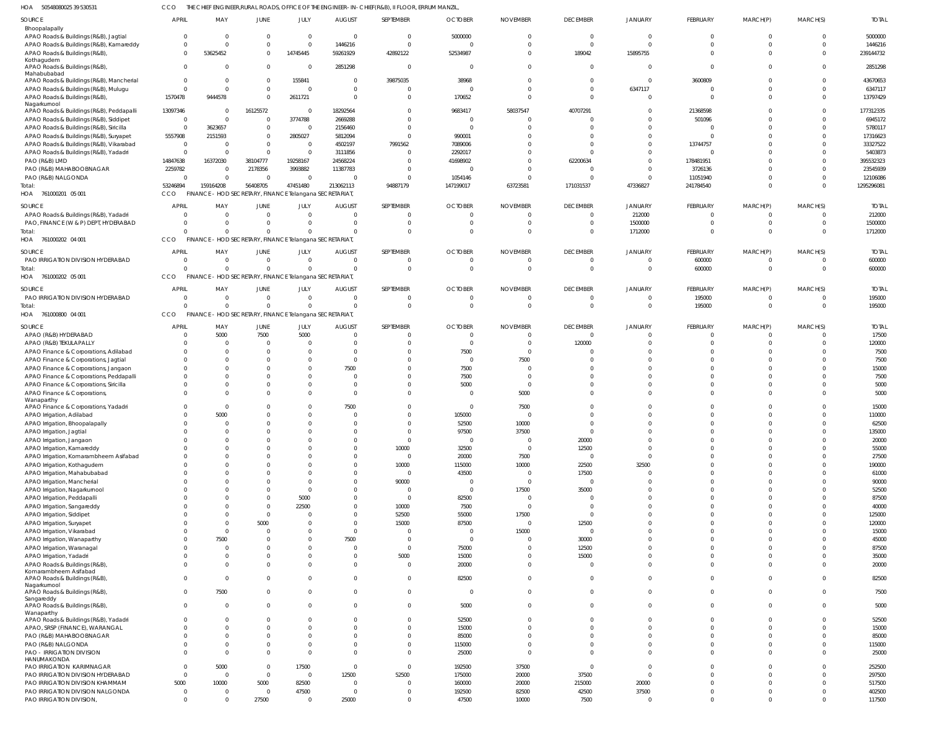50548080025 39 530531 HOA CCO THE CHIEF ENGINEER,RURAL ROADS, OFFICE OF THE ENGINEER-IN-CHIEF(R&B), II FLOOR, ERRUM MANZIL,

| SOURCE                                                  | <b>APRIL</b>   | MAY                                                     | JUNE         | JULY           | <b>AUGUST</b>  | SEPTEMBER      | <b>OCTOBER</b> | <b>NOVEMBER</b> | <b>DECEMBER</b>         | JANUARY        | FEBRUARY        | MARCH(P) | MARCH(S) | <b>TOTAL</b> |
|---------------------------------------------------------|----------------|---------------------------------------------------------|--------------|----------------|----------------|----------------|----------------|-----------------|-------------------------|----------------|-----------------|----------|----------|--------------|
| Bhoopalapally                                           |                |                                                         |              |                |                |                |                |                 |                         |                |                 |          |          |              |
| APAO Roads & Buildings (R&B), Jagtial                   | $\Omega$       | $\Omega$                                                | $\Omega$     | $\mathbf{0}$   | $\Omega$       | $\overline{0}$ | 5000000        |                 | $\overline{\mathbf{0}}$ | $\Omega$       | $\mathbf 0$     | 0        | $\Omega$ | 5000000      |
| APAO Roads & Buildings (R&B), Kamareddy                 | $\Omega$       | $\Omega$                                                | $\Omega$     | $\Omega$       | 1446216        | $\mathbf{0}$   | - 0            |                 | $\Omega$                | $\Omega$       | $\Omega$        | $\Omega$ | $\Omega$ | 1446216      |
| APAO Roads & Buildings (R&B),                           | $\Omega$       | 53625452                                                | $\Omega$     | 14745445       | 59261929       | 42892122       | 52534987       |                 | 189042                  | 15895755       | $\Omega$        |          | $\Omega$ | 239144732    |
| Kothagudem<br>APAO Roads & Buildings (R&B),             | $\Omega$       | $\Omega$                                                | $\mathbf{0}$ | $\overline{0}$ | 2851298        | $\overline{0}$ | $\Omega$       |                 | $\Omega$                | $\Omega$       | $\Omega$        |          | $\Omega$ | 2851298      |
| Mahabubabad<br>APAO Roads & Buildings (R&B), Mancherial | $\Omega$       | $\Omega$                                                | $\mathbf{0}$ | 155841         | $\Omega$       | 39875035       | 38968          |                 | $\overline{0}$          | $\Omega$       | 3600809         |          |          | 43670653     |
| APAO Roads & Buildings (R&B), Mulugu                    | $\Omega$       | $\Omega$                                                | $\Omega$     | $\overline{0}$ | $\Omega$       | $\overline{0}$ | - 0            |                 | $\Omega$                | 6347117        | $\Omega$        |          | $\Omega$ | 6347117      |
| APAO Roads & Buildings (R&B),                           | 1570478        | 9444578                                                 | $\Omega$     | 2611721        | $\Omega$       | $\overline{0}$ | 170652         |                 | $\Omega$                | $\Omega$       | $\Omega$        |          | $\Omega$ | 13797429     |
| Nagarkurnool                                            |                |                                                         |              |                |                |                |                |                 |                         |                |                 |          |          |              |
| APAO Roads & Buildings (R&B), Peddapalli                | 13097346       | $\Omega$                                                | 16125572     | $\overline{0}$ | 18292564       | $\Omega$       | 9683417        | 58037547        | 40707291                | $\Omega$       | 21368598        |          |          | 177312335    |
| APAO Roads & Buildings (R&B), Siddipet                  | $\overline{0}$ | $\Omega$                                                | $\mathbf{0}$ | 3774788        | 2669288        | $\mathbf 0$    | - 0            |                 | $\Omega$                | $\Omega$       | 501096          |          |          | 6945172      |
| APAO Roads & Buildings (R&B), Siricilla                 | $\Omega$       | 3623657                                                 | $\Omega$     | $\overline{0}$ | 2156460        | $\mathbf 0$    | $\Omega$       |                 | $\Omega$                | $\Omega$       | $\Omega$        |          |          | 5780117      |
| APAO Roads & Buildings (R&B), Suryapet                  | 5557908        | 2151593                                                 | $\mathbf{0}$ | 2805027        | 5812094        | $\Omega$       | 990001         |                 | $\Omega$                | $\Omega$       | $\Omega$        |          |          | 17316623     |
| APAO Roads & Buildings (R&B), Vikarabad                 | $\overline{0}$ | $\Omega$                                                | $\Omega$     | $\overline{0}$ | 4502197        | 7991562        | 7089006        |                 | $\Omega$                | $\Omega$       | 13744757        |          |          | 33327522     |
| APAO Roads & Buildings (R&B), Yadadri                   | $\overline{0}$ | $\Omega$                                                | $\Omega$     | $\overline{0}$ | 3111856        | $\Omega$       | 2292017        |                 | $\Omega$                | $\Omega$       | $\Omega$        |          |          | 5403873      |
| PAO (R&B) LMD                                           | 14847638       | 16372030                                                | 38104777     | 19258167       | 24568224       | $\Omega$       | 41698902       |                 | 62200634                | $\Omega$       | 178481951       |          |          | 395532323    |
| PAO (R&B) MAHABOOBNAGAR                                 | 2259782        | $\Omega$                                                | 2178356      | 3993882        | 11387783       | $\overline{0}$ | ſ              |                 | $\Omega$                | $\Omega$       | 3726136         |          |          | 23545939     |
| PAO (R&B) NALGONDA                                      | $\Omega$       | $\Omega$                                                | $\mathbf 0$  | $\overline{0}$ |                | $\Omega$       | 1054146        |                 | $\Omega$                | $\Omega$       | 11051940        |          | $\Omega$ | 12106086     |
| Total:                                                  | 53246894       | 159164208                                               | 56408705     | 47451480       | 213062113      | 94887179       | 147199017      | 63723581        | 171031537               | 47336827       | 241784540       |          | $\Omega$ | 1295296081   |
| HOA 761000201 05 001                                    | CCO            | FINANCE - HOD SECRETARY, FINANCE Telangana SECRETARIAT, |              |                |                |                |                |                 |                         |                |                 |          |          |              |
| SOURCE                                                  | <b>APRIL</b>   | MAY                                                     | <b>JUNE</b>  | JULY           | <b>AUGUST</b>  | SEPTEMBER      | <b>OCTOBER</b> | <b>NOVEMBER</b> | <b>DECEMBER</b>         | <b>JANUARY</b> | <b>FEBRUARY</b> | MARCH(P) | MARCH(S) | <b>TOTAL</b> |
| APAO Roads & Buildings (R&B), Yadadri                   |                | $\Omega$                                                | $\Omega$     | $\Omega$       | $\Omega$       | $\Omega$       |                |                 | $\Omega$                | 212000         | $\Omega$        |          |          | 212000       |
| PAO, FINANCE (W & P) DEPT, HYDERABAD                    | $\Omega$       | $\Omega$                                                | $\Omega$     | $\Omega$       |                | $\Omega$       |                |                 | $\Omega$                | 1500000        |                 |          |          | 1500000      |
| Total:                                                  |                |                                                         | $\Omega$     | $\Omega$       |                | $\Omega$       |                |                 | $\Omega$                | 1712000        | $\Omega$        | $\Omega$ |          | 1712000      |
| HOA<br>761000202 04 001                                 | CCO            | FINANCE - HOD SECRETARY, FINANCE Telangana SECRETARIAT  |              |                |                |                |                |                 |                         |                |                 |          |          |              |
| SOURCE                                                  | <b>APRI</b>    | MAY                                                     | JUNE         | JULY           | <b>AUGUST</b>  | SEPTEMBER      | <b>OCTOBER</b> | <b>NOVEMBER</b> | <b>DECEMBER</b>         | <b>JANUARY</b> | FEBRUARY        | MARCH(P) | MARCH(S) | <b>TOTAL</b> |
| PAO IRRIGATION DIVISION HYDERABAD                       | $\Omega$       | $\Omega$                                                | $\mathbf{0}$ | $\mathbf{0}$   | $\Omega$       | $\overline{0}$ | $\Omega$       | $\Omega$        | $\overline{0}$          | $\overline{0}$ | 600000          |          |          | 600000       |
| Total:                                                  |                | $\Omega$                                                | $\Omega$     | $\Omega$       |                | $\mathbf{0}$   | $\Omega$       | - 0             | $\Omega$                | $\Omega$       | 600000          | $\Omega$ | $\Omega$ | 600000       |
| HOA 761000202 05 001                                    | CCO            | FINANCE - HOD SECRETARY, FINANCE Telangana SECRETARIAT, |              |                |                |                |                |                 |                         |                |                 |          |          |              |
| SOURCE                                                  | <b>APRI</b>    | MAY                                                     | JUNE         | JULY           | <b>AUGUST</b>  | SEPTEMBER      | <b>OCTOBER</b> | <b>NOVEMBER</b> | <b>DECEMBER</b>         | <b>JANUARY</b> | FEBRUARY        | MARCH(P) | MARCH(S) | <b>TOTAL</b> |
| PAO IRRIGATION DIVISION HYDERABAD                       | $\Omega$       | $\Omega$                                                | $\Omega$     | $\Omega$       | $\Omega$       | $\Omega$       |                |                 | $\Omega$                | $\Omega$       | 195000          |          |          | 195000       |
| Total:                                                  |                | $\Omega$                                                | $\Omega$     | $\Omega$       | $\Omega$       | $\mathbf{0}$   | $\Omega$       | - 0             | $\Omega$                | $\Omega$       | 195000          | $\Omega$ | $\Omega$ | 195000       |
| HOA 761000800 04 001                                    | CCO            | FINANCE - HOD SECRETARY, FINANCE Telangana SECRETARIAT, |              |                |                |                |                |                 |                         |                |                 |          |          |              |
|                                                         |                |                                                         |              |                |                |                |                |                 |                         |                |                 |          |          |              |
| SOURCE                                                  | <b>APRIL</b>   | MAY                                                     | JUNE         | JULY           | <b>AUGUST</b>  | SEPTEMBER      | <b>OCTOBER</b> | <b>NOVEMBER</b> | <b>DECEMBER</b>         | <b>JANUARY</b> | FEBRUARY        | MARCH(P) | MARCH(S) | <b>TOTAL</b> |
| APAO (R&B) HYDERABAD                                    |                | 5000                                                    | 7500         | 5000           | $\Omega$       | $\mathbf{0}$   | $\Omega$       |                 | $\overline{0}$          | $\Omega$       | $\mathbf 0$     |          | $\Omega$ | 17500        |
| APAO (R&B) TEKULAPALLY                                  | $\Omega$       | $\Omega$                                                | $\Omega$     | $\Omega$       | $\Omega$       | $\Omega$       | $\Omega$       |                 | 120000                  | $\Omega$       | $\Omega$        |          | $\Omega$ | 120000       |
| APAO Finance & Corporations, Adilabad                   | $\Omega$       | $\Omega$                                                | $\Omega$     | $\Omega$       | $\Omega$       | $\Omega$       | 7500           |                 | $\Omega$                |                | $\Omega$        |          |          | 7500         |
| APAO Finance & Corporations, Jagtial                    |                | $\Omega$                                                | 0            | $\Omega$       | $\Omega$       | $\Omega$       | $\Omega$       | 7500            | $\Omega$                |                | $\Omega$        |          |          | 7500         |
| APAO Finance & Corporations, Jangaon                    |                | $\Omega$                                                | 0            | $\Omega$       | 7500           | $\Omega$       | 7500           |                 | $\Omega$                |                |                 |          |          | 15000        |
| APAO Finance & Corporations, Peddapalli                 |                | $\Omega$                                                | $\Omega$     | $\Omega$       | $\Omega$       | $\Omega$       | 7500           |                 | $\Omega$                |                | $\Omega$        |          |          | 7500         |
| APAO Finance & Corporations, Siricilla                  | $\Omega$       | $\Omega$                                                | 0            | $\Omega$       | $\Omega$       | $\mathbf 0$    | 5000           | $\Omega$        | $\Omega$                | $\Omega$       | $\Omega$        |          |          | 5000         |
| APAO Finance & Corporations,                            |                | $\Omega$                                                | $\Omega$     | $\Omega$       | $\Omega$       | $\Omega$       | $\Omega$       | 5000            | $\Omega$                | $\Omega$       | $\Omega$        |          |          | 5000         |
| Wanaparthy<br>APAO Finance & Corporations, Yadadri      |                | $\Omega$                                                | 0            | $\Omega$       | 7500           | $^{\circ}$     | $\overline{0}$ | 7500            | $\Omega$                | $\Omega$       | $\Omega$        |          |          | 15000        |
| APAO Irrigation, Adilabad                               | $\Omega$       | 5000                                                    | $\Omega$     | $\Omega$       | $\Omega$       | $\Omega$       | 105000         |                 | $\Omega$                | $\Omega$       | $\Omega$        |          |          | 110000       |
| APAO Irrigation, Bhoopalapally                          | $\Omega$       | $\Omega$                                                | $\Omega$     | $\Omega$       | $\Omega$       | $\Omega$       | 52500          | 10000           | $\Omega$                | $\Omega$       | $\Omega$        |          | $\Omega$ | 62500        |
| APAO Irrigation, Jagtial                                | $\Omega$       | $\Omega$                                                | 0            | $\Omega$       | $\Omega$       | $\overline{0}$ | 97500          | 37500           | $\overline{0}$          | $\Omega$       | $\Omega$        |          | $\Omega$ | 135000       |
| APAO Irrigation, Jangaon                                |                | $\Omega$                                                | $\Omega$     | $\Omega$       | $\Omega$       | $\mathbf 0$    | $\overline{0}$ | $\Omega$        | 20000                   | $\overline{0}$ | $\Omega$        |          | $\Omega$ | 20000        |
| APAO Irrigation, Kamareddy                              |                | $\Omega$                                                | $\Omega$     | $\Omega$       | $\Omega$       | 10000          | 32500          | $\Omega$        | 12500                   | $\overline{0}$ | $\Omega$        |          | $\Omega$ | 55000        |
| APAO Irrigation, Komarambheem Asifabad                  |                | $\Omega$                                                | <sup>0</sup> | $\Omega$       | $\Omega$       | $\mathbf 0$    | 20000          | 7500            | $\overline{0}$          | $\overline{0}$ | $\Omega$        |          |          | 27500        |
| APAO Irrigation, Kothagudem                             | $\Omega$       | $\Omega$                                                |              | $\Omega$       | $\Omega$       | 10000          | 115000         | 10000           | 22500                   | 32500          | $\Omega$        |          |          | 190000       |
| APAO Irrigation, Mahabubabad                            |                | $\Omega$                                                | <sup>0</sup> | $\Omega$       | $\Omega$       | $\mathbf 0$    | 43500          | $\Omega$        | 17500                   | $\Omega$       | $\Omega$        |          |          | 61000        |
| APAO Irrigation, Mancherial                             |                | $\Omega$                                                | <sup>0</sup> | $\Omega$       | $\Omega$       | 90000          | $\overline{0}$ | $\Omega$        | $\overline{0}$          | $\Omega$       | $\Omega$        |          |          | 90000        |
| APAO Irrigation, Nagarkurnool                           |                | $\Omega$                                                | 0            | $\Omega$       | $\Omega$       | $\overline{0}$ | $\overline{0}$ | 17500           | 35000                   | $\Omega$       | $\Omega$        |          |          | 52500        |
| APAO Irrigation, Peddapalli                             |                | $\Omega$                                                | U            | 5000           | $\Omega$       | $\overline{0}$ | 82500          | - 0             | $\overline{\mathbf{0}}$ | $\Omega$       | $\Omega$        |          |          | 87500        |
| APAO Irrigation, Sangareddy                             |                | $\Omega$                                                | $\Omega$     | 22500          | $\Omega$       | 10000          | 7500           | $\Omega$        | $\Omega$                | $\Omega$       | $\Omega$        |          |          | 40000        |
| APAO Irrigation, Siddipet                               |                | $\Omega$                                                | $\Omega$     | $\Omega$       | $\Omega$       | 52500          | 55000          | 17500           | $\overline{0}$          | $\Omega$       | $\Omega$        |          |          | 125000       |
| APAO Irrigation, Suryapet                               |                | $\mathbf{0}$                                            | 5000         | $\Omega$       | $\Omega$       | 15000          | 87500          | $\Omega$        | 12500                   | $\Omega$       | $\Omega$        |          |          | 120000       |
| APAO Irrigation, Vikarabad                              |                | $\Omega$                                                | $\Omega$     | $\Omega$       | $\Omega$       | $\overline{0}$ | $\overline{0}$ | 15000           | $\overline{0}$          | $\Omega$       | $\Omega$        |          |          | 15000        |
| APAO Irrigation, Wanaparthy                             | $\Omega$       | 7500                                                    | 0            | $\Omega$       | 7500           | $\overline{0}$ | $\overline{0}$ | $\bigcap$       | 30000                   | $\Omega$       | $\Omega$        |          |          | 45000        |
| APAO Irrigation, Waranagal                              | $\Omega$       | $\Omega$                                                | 0            | $\Omega$       | $\Omega$       | $\overline{0}$ | 75000          | $\bigcap$       | 12500                   | $\Omega$       | $\Omega$        |          | $\Omega$ | 87500        |
| APAO Irrigation, Yadadri                                | $\Omega$       | $\Omega$                                                | $\Omega$     | $\Omega$       | $\Omega$       | 5000           | 15000          |                 | 15000                   | $\Omega$       | $\Omega$        |          | $\Omega$ | 35000        |
| APAO Roads & Buildings (R&B),                           | $\Omega$       | $\Omega$                                                | $\Omega$     | $\Omega$       | $\Omega$       | $\mathbf 0$    | 20000          |                 | $\overline{0}$          | $\Omega$       | $\Omega$        | U        | $\Omega$ | 20000        |
| Komarambheem Asifabad                                   |                |                                                         |              |                |                |                |                |                 |                         |                |                 |          |          |              |
| APAO Roads & Buildings (R&B),                           | $\Omega$       | $\Omega$                                                | $\Omega$     | $\Omega$       | $\Omega$       | $\overline{0}$ | 82500          | $\Omega$        | $\overline{0}$          | $\Omega$       | $\mathbf 0$     | U        |          | 82500        |
| Nagarkurnool<br>APAO Roads & Buildings (R&B),           | $\Omega$       | 7500                                                    | $\mathbf{0}$ | $\mathbf 0$    | $\Omega$       | $\overline{0}$ | $\overline{0}$ | $\Omega$        | $\overline{0}$          | $\overline{0}$ | $\mathbf 0$     | U        | $\Omega$ | 7500         |
| Sangareddy                                              |                |                                                         |              |                |                |                |                |                 |                         |                |                 |          |          |              |
| APAO Roads & Buildings (R&B),                           | $\Omega$       | $\Omega$                                                | $\Omega$     | $\Omega$       | $\Omega$       | $\overline{0}$ | 5000           | $\Omega$        | $\Omega$                | $\Omega$       | $\mathbf 0$     |          | $\Omega$ | 5000         |
| Wanaparthy<br>APAO Roads & Buildings (R&B), Yadadri     | $\Omega$       | $\mathbf{0}$                                            | 0            | $\Omega$       | $\Omega$       | $\overline{0}$ | 52500          | $\Omega$        | $\overline{0}$          | $\Omega$       | $\Omega$        |          | $\Omega$ | 52500        |
| APAO, SRSP (FINANCE), WARANGAL                          |                | $\Omega$                                                | 0            | $\Omega$       |                | $\mathbf 0$    | 15000          |                 | $\Omega$                | $\Omega$       | $\Omega$        |          | $\Omega$ | 15000        |
| PAO (R&B) MAHABOOBNAGAR                                 | $\Omega$       | $\Omega$                                                | $\Omega$     | $\Omega$       | $\Omega$       | $\mathbf 0$    | 85000          | $\Omega$        | $\Omega$                | $\Omega$       | $\Omega$        |          | $\Omega$ | 85000        |
| PAO (R&B) NALGONDA                                      |                | $\Omega$                                                | 0            | $\mathbf 0$    | $\Omega$       | $\mathbf 0$    | 115000         | $\Omega$        | $\Omega$                | $\overline{0}$ | $\Omega$        |          | $\Omega$ | 115000       |
| <b>PAO - IRRIGATION DIVISION</b>                        | $\Omega$       | $\Omega$                                                | $\Omega$     | $\Omega$       | $\Omega$       | $\overline{0}$ | 25000          | $\Omega$        | $\Omega$                | $\Omega$       | $\Omega$        | $\Omega$ | $\Omega$ | 25000        |
| HANUMAKONDA                                             |                |                                                         |              |                |                |                |                |                 |                         |                |                 |          |          |              |
| PAO IRRIGATION KARIMNAGAR                               | $\Omega$       | 5000                                                    | $\mathbf{0}$ | 17500          | $\overline{0}$ | $\overline{0}$ | 192500         | 37500           | $\overline{0}$          | $\overline{0}$ | $\Omega$        |          |          | 252500       |
| PAO IRRIGATION DIVISION HYDERABAD                       | $\Omega$       | $\overline{0}$                                          | $\mathbf 0$  | $\overline{0}$ | 12500          | 52500          | 175000         | 20000           | 37500                   | $\overline{0}$ | $\Omega$        |          | $\Omega$ | 297500       |
| PAO IRRIGATION DIVISION KHAMMAM                         | 5000           | 10000                                                   | 5000         | 82500          | $\overline{0}$ | $\overline{0}$ | 160000         | 20000           | 215000                  | 20000          | $\Omega$        |          | $\Omega$ | 517500       |
| PAO IRRIGATION DIVISION NALGONDA                        | $\mathbf{0}$   | $\overline{0}$                                          | $\mathbf 0$  | 47500          | $\overline{0}$ | $\mathbf{0}$   | 192500         | 82500           | 42500                   | 37500          | $\Omega$        | $\Omega$ | $\Omega$ | 402500       |
| PAO IRRIGATION DIVISION,                                | $\overline{0}$ | $\overline{0}$                                          | 27500        | $\mathbf 0$    | 25000          | $\overline{0}$ | 47500          | 10000           | 7500                    | $\overline{0}$ | $\Omega$        | $\Omega$ | $\Omega$ | 117500       |